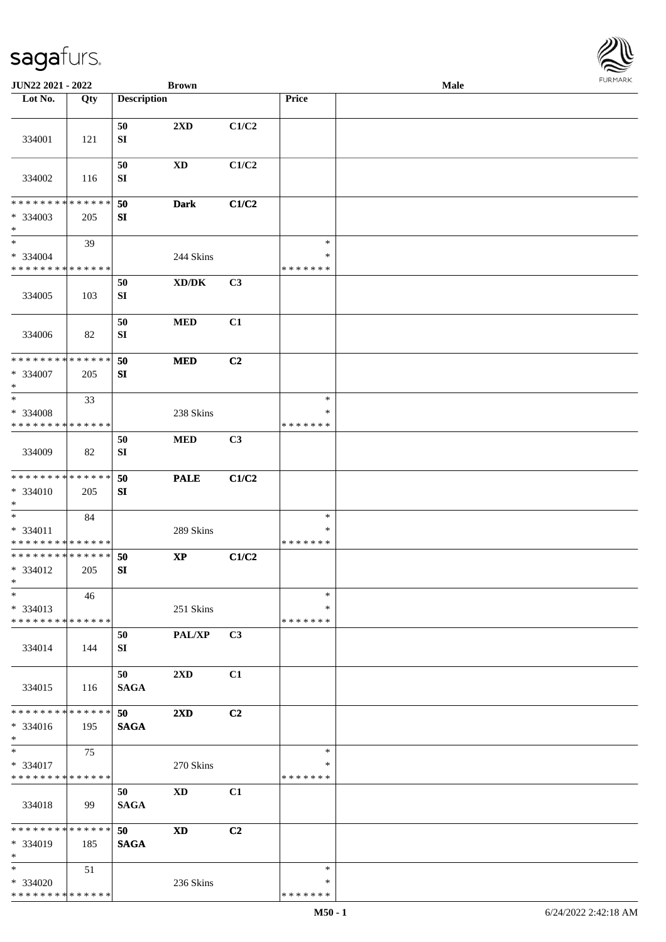| <b>FURMARK</b> |
|----------------|
|                |

| JUN22 2021 - 2022                                 |     |                    | <b>Brown</b>            |       |                                   | Male | <b>FURMARK</b> |
|---------------------------------------------------|-----|--------------------|-------------------------|-------|-----------------------------------|------|----------------|
| Lot No.                                           | Qty | <b>Description</b> |                         |       | Price                             |      |                |
| 334001                                            | 121 | 50<br>SI           | 2XD                     | C1/C2 |                                   |      |                |
| 334002                                            | 116 | 50<br>SI           | <b>XD</b>               | C1/C2 |                                   |      |                |
| * * * * * * * * * * * * * *<br>* 334003<br>$\ast$ | 205 | 50<br>SI           | <b>Dark</b>             | C1/C2 |                                   |      |                |
| $\ast$<br>* 334004<br>* * * * * * * * * * * * * * | 39  |                    | 244 Skins               |       | $\ast$<br>∗<br>* * * * * * *      |      |                |
| 334005                                            | 103 | 50<br>SI           | XD/DK                   | C3    |                                   |      |                |
| 334006                                            | 82  | 50<br>SI           | <b>MED</b>              | C1    |                                   |      |                |
| **************<br>* 334007<br>$\ast$              | 205 | 50<br>SI           | <b>MED</b>              | C2    |                                   |      |                |
| $\ast$<br>* 334008<br>* * * * * * * * * * * * * * | 33  |                    | 238 Skins               |       | $\ast$<br>$\ast$<br>* * * * * * * |      |                |
| 334009                                            | 82  | 50<br>SI           | <b>MED</b>              | C3    |                                   |      |                |
| * * * * * * * * * * * * * *<br>* 334010<br>$\ast$ | 205 | 50<br>SI           | <b>PALE</b>             | C1/C2 |                                   |      |                |
| $\ast$<br>* 334011<br>**************              | 84  |                    | 289 Skins               |       | $\ast$<br>$\ast$<br>* * * * * * * |      |                |
| **************<br>* 334012<br>$\ast$              | 205 | 50<br>SI           | $\bold{XP}$             | C1/C2 |                                   |      |                |
| $\ast$<br>* 334013<br>* * * * * * * * * * * * * * | 46  |                    | 251 Skins               |       | $\ast$<br>∗<br>* * * * * * *      |      |                |
| 334014                                            | 144 | 50<br>SI           | PAL/XP                  | C3    |                                   |      |                |
| 334015                                            | 116 | 50<br><b>SAGA</b>  | 2XD                     | C1    |                                   |      |                |
| * * * * * * * * * * * * * *<br>* 334016<br>$\ast$ | 195 | 50<br><b>SAGA</b>  | $2\mathbf{X}\mathbf{D}$ | C2    |                                   |      |                |
| $\ast$<br>* 334017<br>* * * * * * * * * * * * * * | 75  |                    | 270 Skins               |       | $\ast$<br>$\ast$<br>* * * * * * * |      |                |
| 334018                                            | 99  | 50<br><b>SAGA</b>  | $\mathbf{X}\mathbf{D}$  | C1    |                                   |      |                |
| * * * * * * * * * * * * * *<br>* 334019<br>$\ast$ | 185 | 50<br><b>SAGA</b>  | $\mathbf{X}\mathbf{D}$  | C2    |                                   |      |                |
| $\ast$<br>* 334020<br>* * * * * * * * * * * * * * | 51  |                    | 236 Skins               |       | $\ast$<br>∗<br>* * * * * * *      |      |                |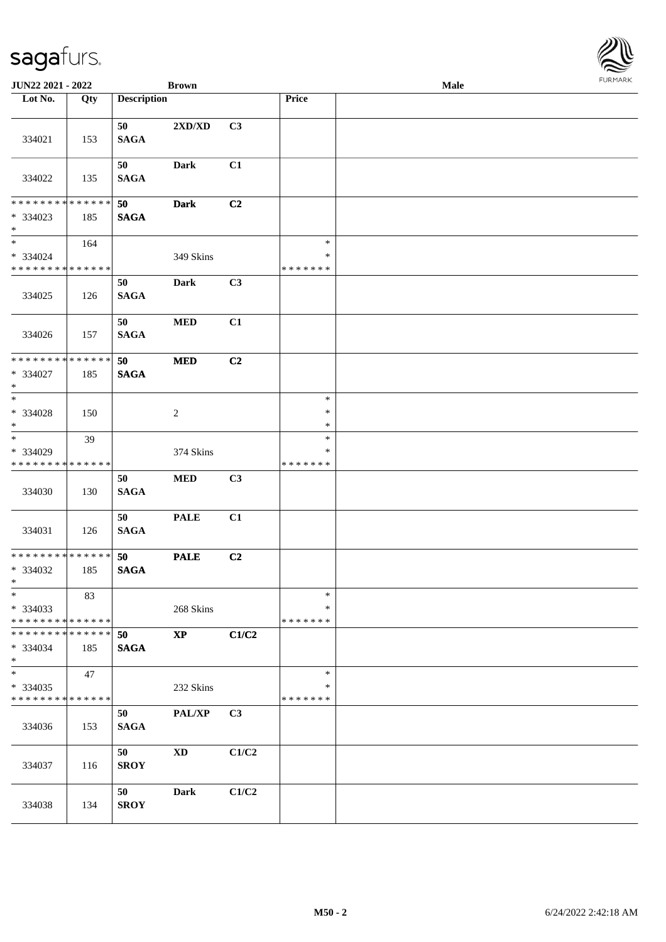| <b>JUN22 2021 - 2022</b>                                                               |             |                    | <b>Brown</b>           |       |                         | <b>Male</b> |  |
|----------------------------------------------------------------------------------------|-------------|--------------------|------------------------|-------|-------------------------|-------------|--|
| Lot No.                                                                                | Qty         | <b>Description</b> |                        |       | Price                   |             |  |
|                                                                                        |             |                    |                        |       |                         |             |  |
| 334021                                                                                 | 153         | 50<br><b>SAGA</b>  | 2XD/XD                 | C3    |                         |             |  |
| 334022                                                                                 | 135         | 50<br><b>SAGA</b>  | Dark                   | C1    |                         |             |  |
| * * * * * * * *                                                                        | * * * * * * |                    |                        |       |                         |             |  |
| * 334023<br>$\ast$                                                                     | 185         | 50<br><b>SAGA</b>  | <b>Dark</b>            | C2    |                         |             |  |
| $\ddot{x}$<br>* 334024                                                                 | 164         |                    | 349 Skins              |       | $\ast$<br>$\ast$        |             |  |
| * * * * * * * * * * * * * *                                                            |             |                    |                        |       | * * * * * * *           |             |  |
| 334025                                                                                 | 126         | 50<br><b>SAGA</b>  | <b>Dark</b>            | C3    |                         |             |  |
| 334026                                                                                 | 157         | 50<br><b>SAGA</b>  | $\bf MED$              | C1    |                         |             |  |
| * * * * * * * * * * * * * *                                                            |             | 50                 | <b>MED</b>             | C2    |                         |             |  |
| * 334027<br>$\ast$                                                                     | 185         | <b>SAGA</b>        |                        |       |                         |             |  |
|                                                                                        |             |                    |                        |       | $\ast$                  |             |  |
| $* 334028$<br>$\ast$<br>$\overline{\ast}$                                              | 150         |                    | $\sqrt{2}$             |       | $\ast$<br>$\ast$        |             |  |
|                                                                                        | 39          |                    |                        |       | $\ast$                  |             |  |
| * 334029<br>* * * * * * * *                                                            | * * * * * * |                    | 374 Skins              |       | $\ast$<br>* * * * * * * |             |  |
|                                                                                        |             | 50                 | $\bf MED$              | C3    |                         |             |  |
| 334030                                                                                 | 130         | <b>SAGA</b>        |                        |       |                         |             |  |
| 334031                                                                                 | 126         | 50<br><b>SAGA</b>  | <b>PALE</b>            | C1    |                         |             |  |
| * * * * * * * * <mark>* * * * * * *</mark><br>* 334032<br>$*$                          | 185         | 50<br><b>SAGA</b>  | <b>PALE</b>            | C2    |                         |             |  |
| $\ast$                                                                                 | 83          |                    |                        |       | $\ast$                  |             |  |
| * 334033                                                                               |             |                    | 268 Skins              |       | $\ast$                  |             |  |
| * * * * * * * * <mark>* * * * * *</mark><br>* * * * * * * * * * * * * * <mark>*</mark> |             |                    |                        |       | * * * * * * *           |             |  |
| * 334034<br>$\ast$                                                                     | 185         | 50<br><b>SAGA</b>  | $\mathbf{X}\mathbf{P}$ | C1/C2 |                         |             |  |
| $*$                                                                                    | 47          |                    |                        |       | $\ast$                  |             |  |
| * 334035                                                                               |             |                    | 232 Skins              |       | ∗                       |             |  |
| * * * * * * * * <mark>* * * * * * *</mark>                                             |             | 50                 |                        | C3    | * * * * * * *           |             |  |
| 334036                                                                                 | 153         | <b>SAGA</b>        | PAL/XP                 |       |                         |             |  |
| 334037                                                                                 | 116         | 50<br><b>SROY</b>  | <b>XD</b>              | C1/C2 |                         |             |  |
| 334038                                                                                 | 134         | 50<br><b>SROY</b>  | Dark                   | C1/C2 |                         |             |  |

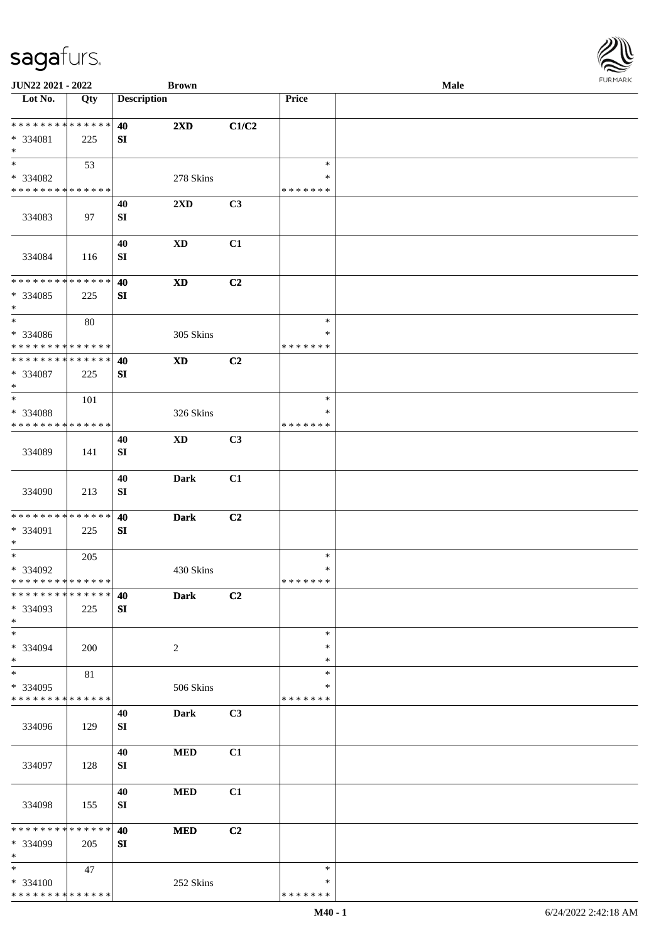\* \* \* \* \* \* \* \* \* \* \* \* \* \*

| * * * * * * * * * * * * * *<br>* 334081           | 225                | 40<br><b>SI</b>            | 2XD                     | C1/C2          |                              |  |  |
|---------------------------------------------------|--------------------|----------------------------|-------------------------|----------------|------------------------------|--|--|
| $\ast$<br>$\overline{\ast}$                       | 53                 |                            |                         |                | $\ast$                       |  |  |
| * 334082<br>* * * * * * * * * * * * * *           |                    |                            | 278 Skins               |                | $\ast$<br>* * * * * * *      |  |  |
| 334083                                            | 97                 | 40<br><b>SI</b>            | $2\mathbf{X}\mathbf{D}$ | C3             |                              |  |  |
| 334084                                            | 116                | 40<br>SI                   | <b>XD</b>               | C1             |                              |  |  |
| ******** <mark>******</mark><br>* 334085<br>$*$   | 225                | 40<br>SI                   | <b>XD</b>               | C2             |                              |  |  |
| $\ast$<br>* 334086<br>* * * * * * * * * * * * * * | 80                 |                            | 305 Skins               |                | $\ast$<br>$\ast$<br>*******  |  |  |
| * * * * * * * * * * * * * *<br>* 334087<br>$*$    | 225                | 40<br><b>SI</b>            | <b>XD</b>               | C2             |                              |  |  |
| $\ast$<br>* 334088<br>* * * * * * * * * * * * * * | 101                |                            | 326 Skins               |                | $\ast$<br>$\ast$<br>*******  |  |  |
| 334089                                            | 141                | 40<br>SI                   | <b>XD</b>               | C <sub>3</sub> |                              |  |  |
| 334090                                            | 213                | 40<br>SI                   | <b>Dark</b>             | C1             |                              |  |  |
| **************<br>* 334091<br>$*$                 | 225                | 40<br>SI                   | <b>Dark</b>             | C2             |                              |  |  |
| $*$<br>* 334092<br>**************                 | 205                |                            | 430 Skins               |                | $\ast$<br>$\ast$<br>*******  |  |  |
| ************** 40<br>* 334093<br>$\ast$           | 225                | SI                         | <b>Dark</b>             | C2             |                              |  |  |
| $\overline{\phantom{0}}$<br>* 334094<br>$\ast$    | 200                |                            | $\overline{c}$          |                | $\ast$<br>$\ast$<br>$\ast$   |  |  |
| $\ast$<br>* 334095<br>* * * * * * * * * * * * * * | 81                 |                            | 506 Skins               |                | $\ast$<br>∗<br>* * * * * * * |  |  |
| 334096                                            | 129                | 40<br>${\bf S}{\bf I}$     | <b>Dark</b>             | C3             |                              |  |  |
| 334097                                            | 128                | $40\,$<br>${\bf S}{\bf I}$ | $\bf MED$               | C1             |                              |  |  |
| 334098                                            | 155                | 40<br>${\bf S}{\bf I}$     | $\bf MED$               | C1             |                              |  |  |
| * * * * * * * *<br>* 334099<br>$\ast$             | * * * * * *<br>205 | 40<br>SI                   | $\bf MED$               | C2             |                              |  |  |
| $\ast$<br>* 334100                                | 47                 |                            | 252 Skins               |                | $\ast$<br>$\ast$             |  |  |

 $\overline{\phantom{a}}$ 

**JUN22 2021 - 2022 Brown Male**

**Lot No. Qty Description Price**

\* \* \* \* \* \* \*

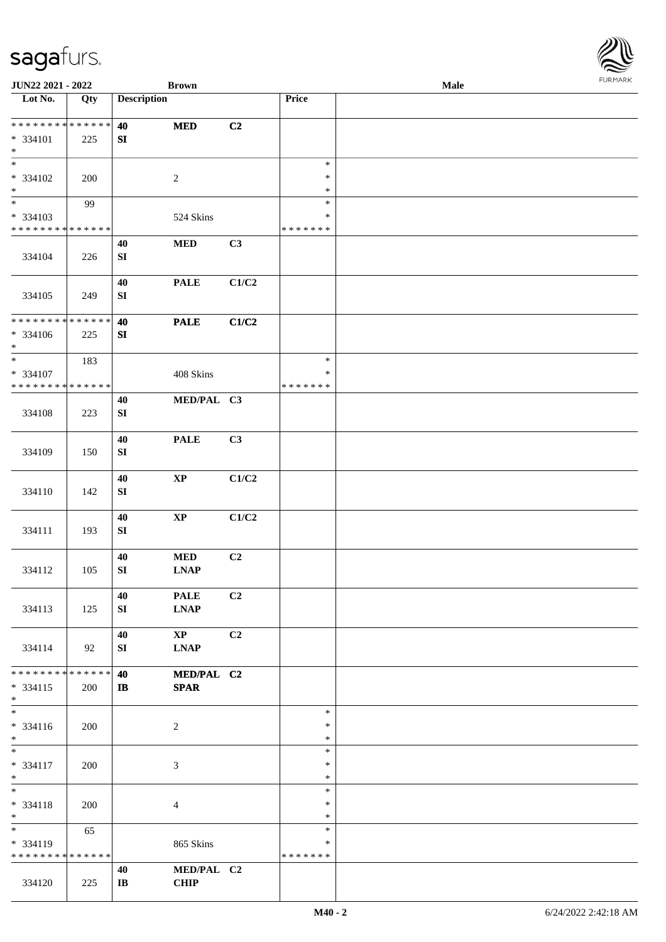| <b>JUN22 2021 - 2022</b>                               |             |                        | <b>Brown</b>                        |                |                  | Male | <b>FURPIARA</b> |
|--------------------------------------------------------|-------------|------------------------|-------------------------------------|----------------|------------------|------|-----------------|
| Lot No.                                                | Qty         | <b>Description</b>     |                                     |                | Price            |      |                 |
|                                                        |             |                        |                                     |                |                  |      |                 |
| * * * * * * * *                                        | * * * * * * | 40                     | $\bf MED$                           | C2             |                  |      |                 |
| $* 334101$                                             | 225         | SI                     |                                     |                |                  |      |                 |
| $\ast$<br>$\overline{\ast}$                            |             |                        |                                     |                |                  |      |                 |
|                                                        |             |                        |                                     |                | $\ast$           |      |                 |
| * 334102                                               | 200         |                        | $\sqrt{2}$                          |                | $\ast$           |      |                 |
| $\ast$<br>$\ast$                                       |             |                        |                                     |                | $\ast$           |      |                 |
|                                                        | 99          |                        |                                     |                | $\ast$<br>$\ast$ |      |                 |
| * 334103<br>* * * * * * * * <mark>* * * * * * *</mark> |             |                        | 524 Skins                           |                | * * * * * * *    |      |                 |
|                                                        |             |                        | $\bf MED$                           | C3             |                  |      |                 |
| 334104                                                 | 226         | 40<br>SI               |                                     |                |                  |      |                 |
|                                                        |             |                        |                                     |                |                  |      |                 |
|                                                        |             | 40                     | <b>PALE</b>                         | C1/C2          |                  |      |                 |
| 334105                                                 | 249         | SI                     |                                     |                |                  |      |                 |
|                                                        |             |                        |                                     |                |                  |      |                 |
| * * * * * * * * * * * * * *                            |             | 40                     | <b>PALE</b>                         | C1/C2          |                  |      |                 |
| * 334106                                               | 225         | ${\bf SI}$             |                                     |                |                  |      |                 |
| $\ast$                                                 |             |                        |                                     |                |                  |      |                 |
| $\ast$                                                 | 183         |                        |                                     |                | $\ast$           |      |                 |
| * 334107                                               |             |                        | 408 Skins                           |                | $\ast$           |      |                 |
| * * * * * * * * <mark>* * * * * * *</mark>             |             |                        |                                     |                | * * * * * * *    |      |                 |
|                                                        |             | 40                     | MED/PAL C3                          |                |                  |      |                 |
| 334108                                                 | 223         | SI                     |                                     |                |                  |      |                 |
|                                                        |             |                        |                                     |                |                  |      |                 |
|                                                        |             | 40                     | <b>PALE</b>                         | C3             |                  |      |                 |
| 334109                                                 | 150         | ${\bf SI}$             |                                     |                |                  |      |                 |
|                                                        |             |                        |                                     |                |                  |      |                 |
|                                                        |             | 40                     | $\mathbf{X}\mathbf{P}$              | C1/C2          |                  |      |                 |
| 334110                                                 | 142         | SI                     |                                     |                |                  |      |                 |
|                                                        |             |                        |                                     |                |                  |      |                 |
|                                                        |             | 40                     | $\mathbf{X}\mathbf{P}$              | C1/C2          |                  |      |                 |
| 334111                                                 | 193         | SI                     |                                     |                |                  |      |                 |
|                                                        |             |                        |                                     |                |                  |      |                 |
|                                                        |             | 40                     | $\bf MED$                           | C2             |                  |      |                 |
| 334112                                                 | 105         | SI                     | $\ensuremath{\text{L}N\!AP}\xspace$ |                |                  |      |                 |
|                                                        |             |                        |                                     |                |                  |      |                 |
|                                                        |             | 40                     | <b>PALE</b>                         | C <sub>2</sub> |                  |      |                 |
| 334113                                                 | 125         | SI                     | <b>LNAP</b>                         |                |                  |      |                 |
|                                                        |             |                        |                                     |                |                  |      |                 |
|                                                        |             | 40                     | $\mathbf{X}\mathbf{P}$              | C2             |                  |      |                 |
| 334114                                                 | 92          | SI                     | <b>LNAP</b>                         |                |                  |      |                 |
| * * * * * * * * <mark>* * * * * *</mark>               |             |                        |                                     |                |                  |      |                 |
|                                                        |             | 40<br>$\mathbf{I}$     | MED/PAL C2                          |                |                  |      |                 |
| $* 334115$<br>$*$                                      | 200         |                        | <b>SPAR</b>                         |                |                  |      |                 |
| $\ast$                                                 |             |                        |                                     |                | $\ast$           |      |                 |
| $* 334116$                                             | 200         |                        | 2                                   |                | $\ast$           |      |                 |
| $*$                                                    |             |                        |                                     |                | $\ast$           |      |                 |
| $*$                                                    |             |                        |                                     |                | $\ast$           |      |                 |
| $* 334117$                                             | 200         |                        | 3                                   |                | $\ast$           |      |                 |
| $*$                                                    |             |                        |                                     |                | $\ast$           |      |                 |
| $*$                                                    |             |                        |                                     |                | $\ast$           |      |                 |
| * 334118                                               | 200         |                        | $\overline{4}$                      |                | $\ast$           |      |                 |
| $*$                                                    |             |                        |                                     |                | $\ast$           |      |                 |
| $\ddot{x}$                                             | 65          |                        |                                     |                | $\ast$           |      |                 |
| * 334119                                               |             |                        | 865 Skins                           |                | $\ast$           |      |                 |
| * * * * * * * * <mark>* * * * * * *</mark>             |             |                        |                                     |                | * * * * * * *    |      |                 |
|                                                        |             | 40                     | MED/PAL C2                          |                |                  |      |                 |
| 334120                                                 | 225         | $\mathbf{I}\mathbf{B}$ | <b>CHIP</b>                         |                |                  |      |                 |

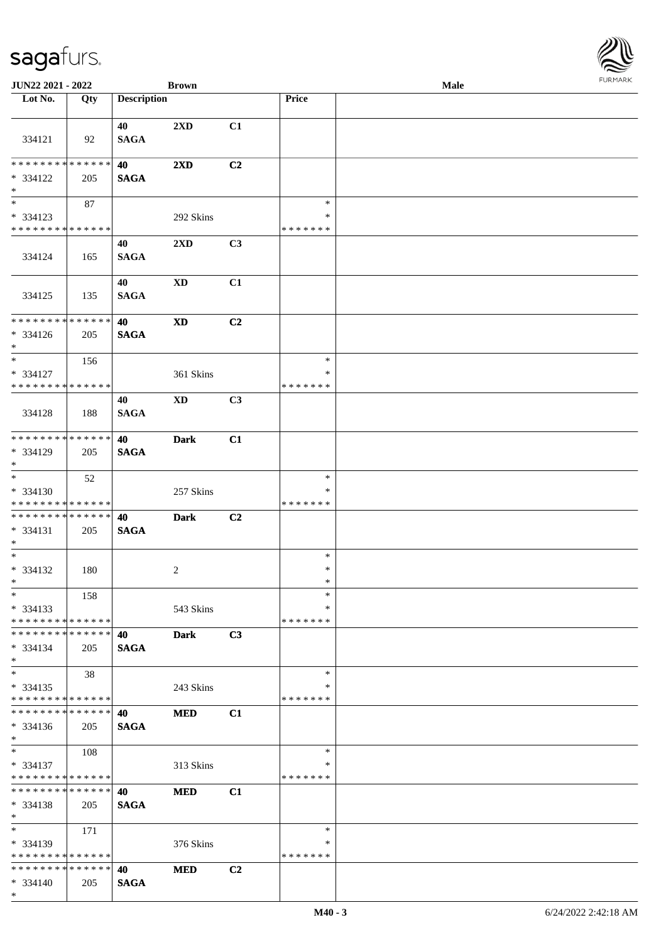| JUN22 2021 - 2022                                      |     |                    | <b>Brown</b>            |    |                         | Male | $1 \times 1$ |
|--------------------------------------------------------|-----|--------------------|-------------------------|----|-------------------------|------|--------------|
| Lot No.                                                | Qty | <b>Description</b> |                         |    | Price                   |      |              |
|                                                        |     |                    |                         |    |                         |      |              |
| 334121                                                 | 92  | 40<br><b>SAGA</b>  | 2XD                     | C1 |                         |      |              |
|                                                        |     |                    |                         |    |                         |      |              |
| * * * * * * * * * * * * * *                            |     | 40                 | $2\mathbf{X}\mathbf{D}$ | C2 |                         |      |              |
| * 334122                                               | 205 | <b>SAGA</b>        |                         |    |                         |      |              |
| $*$                                                    |     |                    |                         |    |                         |      |              |
| $\overline{\ast}$                                      | 87  |                    |                         |    | $\ast$                  |      |              |
| * 334123<br>* * * * * * * * * * * * * *                |     |                    | 292 Skins               |    | $\ast$<br>* * * * * * * |      |              |
|                                                        |     | 40                 | 2XD                     | C3 |                         |      |              |
| 334124                                                 | 165 | <b>SAGA</b>        |                         |    |                         |      |              |
|                                                        |     |                    |                         |    |                         |      |              |
|                                                        |     | 40                 | $\mathbf{X}\mathbf{D}$  | C1 |                         |      |              |
| 334125                                                 | 135 | <b>SAGA</b>        |                         |    |                         |      |              |
| * * * * * * * * * * * * * *                            |     | 40                 | <b>XD</b>               | C2 |                         |      |              |
| * 334126                                               | 205 | <b>SAGA</b>        |                         |    |                         |      |              |
| $*$                                                    |     |                    |                         |    |                         |      |              |
| $*$                                                    | 156 |                    |                         |    | $\ast$                  |      |              |
| * 334127                                               |     |                    | 361 Skins               |    | $\ast$                  |      |              |
| * * * * * * * * * * * * * *                            |     |                    |                         |    | * * * * * * *           |      |              |
| 334128                                                 |     | 40                 | $\mathbf{X}\mathbf{D}$  | C3 |                         |      |              |
|                                                        | 188 | <b>SAGA</b>        |                         |    |                         |      |              |
| * * * * * * * * * * * * * *                            |     | 40                 | <b>Dark</b>             | C1 |                         |      |              |
| * 334129                                               | 205 | <b>SAGA</b>        |                         |    |                         |      |              |
| $*$                                                    |     |                    |                         |    |                         |      |              |
|                                                        | 52  |                    |                         |    | $\ast$                  |      |              |
| * 334130<br>* * * * * * * * <mark>* * * * * * *</mark> |     |                    | 257 Skins               |    | ∗<br>* * * * * * *      |      |              |
| ******** <mark>******</mark>                           |     | 40                 | <b>Dark</b>             | C2 |                         |      |              |
| $* 334131$                                             | 205 | <b>SAGA</b>        |                         |    |                         |      |              |
| $*$                                                    |     |                    |                         |    |                         |      |              |
| $*$                                                    |     |                    |                         |    | $\ast$                  |      |              |
| $* 334132$<br>$*$ $-$                                  | 180 |                    | $\overline{c}$          |    | $\ast$<br>$\ast$        |      |              |
| $*$                                                    | 158 |                    |                         |    | $\ast$                  |      |              |
| * 334133                                               |     |                    | 543 Skins               |    | $\ast$                  |      |              |
| * * * * * * * * * * * * * *                            |     |                    |                         |    | * * * * * * *           |      |              |
| * * * * * * * * * * * * * *                            |     | 40                 | <b>Dark</b>             | C3 |                         |      |              |
| $* 334134$<br>$*$                                      | 205 | <b>SAGA</b>        |                         |    |                         |      |              |
| $*$                                                    | 38  |                    |                         |    | $\ast$                  |      |              |
| $* 334135$                                             |     |                    | 243 Skins               |    | ∗                       |      |              |
| * * * * * * * * * * * * * *                            |     |                    |                         |    | * * * * * * *           |      |              |
| * * * * * * * * * * * * * *                            |     | 40                 | <b>MED</b>              | C1 |                         |      |              |
| $* 334136$<br>$*$                                      | 205 | <b>SAGA</b>        |                         |    |                         |      |              |
| $*$                                                    | 108 |                    |                         |    | $\ast$                  |      |              |
| * 334137                                               |     |                    | 313 Skins               |    | ∗                       |      |              |
| * * * * * * * * * * * * * *                            |     |                    |                         |    | * * * * * * *           |      |              |
| * * * * * * * * * * * * * * *                          |     | 40                 | <b>MED</b>              | C1 |                         |      |              |
| * 334138<br>$*$                                        | 205 | <b>SAGA</b>        |                         |    |                         |      |              |
| $*$                                                    | 171 |                    |                         |    | $\ast$                  |      |              |
| * 334139                                               |     |                    | 376 Skins               |    | ∗                       |      |              |
| * * * * * * * * * * * * * *                            |     |                    |                         |    | * * * * * * *           |      |              |
| * * * * * * * * * * * * * *                            |     | 40                 | <b>MED</b>              | C2 |                         |      |              |
| $* 334140$                                             | 205 | <b>SAGA</b>        |                         |    |                         |      |              |

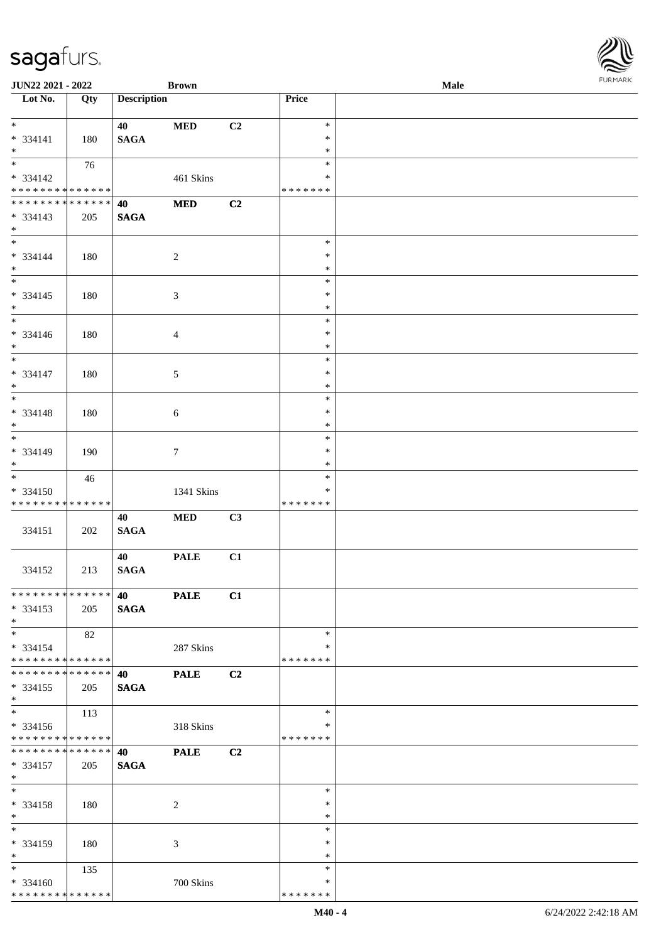| JUN22 2021 - 2022                |     |                    | <b>Brown</b>   |    |               | Male | $1 \times 1 \times 1 \times 1 \times 1$ |
|----------------------------------|-----|--------------------|----------------|----|---------------|------|-----------------------------------------|
| $\overline{\phantom{1}}$ Lot No. | Qty | <b>Description</b> |                |    | Price         |      |                                         |
|                                  |     |                    |                |    |               |      |                                         |
| $*$                              |     | 40                 | <b>MED</b>     | C2 | $\ast$        |      |                                         |
| $* 334141$                       | 180 | <b>SAGA</b>        |                |    | $\ast$        |      |                                         |
| $*$                              |     |                    |                |    | $\ast$        |      |                                         |
|                                  | 76  |                    |                |    | $\ast$        |      |                                         |
| * 334142                         |     |                    | 461 Skins      |    | $\ast$        |      |                                         |
| * * * * * * * * * * * * * *      |     |                    |                |    | * * * * * * * |      |                                         |
| * * * * * * * * * * * * * *      |     | 40                 | $\bf MED$      | C2 |               |      |                                         |
| * 334143                         | 205 | <b>SAGA</b>        |                |    |               |      |                                         |
| $*$                              |     |                    |                |    |               |      |                                         |
|                                  |     |                    |                |    | $\ast$        |      |                                         |
| * 334144                         |     |                    |                |    | $\ast$        |      |                                         |
| $*$                              | 180 |                    | $\overline{c}$ |    | $\ast$        |      |                                         |
|                                  |     |                    |                |    | $\ast$        |      |                                         |
|                                  |     |                    |                |    |               |      |                                         |
| $* 334145$                       | 180 |                    | $\mathfrak{Z}$ |    | $\ast$        |      |                                         |
| $*$                              |     |                    |                |    | $\ast$        |      |                                         |
| $*$                              |     |                    |                |    | $\ast$        |      |                                         |
| * 334146                         | 180 |                    | $\overline{4}$ |    | $\ast$        |      |                                         |
| $*$                              |     |                    |                |    | $\ast$        |      |                                         |
| $\overline{\phantom{0}}$         |     |                    |                |    | $\ast$        |      |                                         |
| $* 334147$                       | 180 |                    | $\mathfrak{S}$ |    | $\ast$        |      |                                         |
| $*$                              |     |                    |                |    | $\ast$        |      |                                         |
| $\overline{\phantom{0}}$         |     |                    |                |    | $\ast$        |      |                                         |
| $* 334148$                       | 180 |                    | 6              |    | $\ast$        |      |                                         |
| $*$                              |     |                    |                |    | $\ast$        |      |                                         |
| $\overline{\ast}$                |     |                    |                |    | $\ast$        |      |                                         |
| * 334149                         | 190 |                    | $\tau$         |    | $\ast$        |      |                                         |
| $*$                              |     |                    |                |    | $\ast$        |      |                                         |
|                                  | 46  |                    |                |    | $\ast$        |      |                                         |
| * 334150                         |     |                    | 1341 Skins     |    | $\ast$        |      |                                         |
| * * * * * * * * * * * * * *      |     |                    |                |    | * * * * * * * |      |                                         |
|                                  |     |                    |                |    |               |      |                                         |
|                                  |     | 40                 | $\bf MED$      | C3 |               |      |                                         |
| 334151                           | 202 | <b>SAGA</b>        |                |    |               |      |                                         |
|                                  |     |                    |                |    |               |      |                                         |
|                                  |     | 40                 | <b>PALE</b>    | C1 |               |      |                                         |
| 334152                           | 213 | <b>SAGA</b>        |                |    |               |      |                                         |
|                                  |     |                    |                |    |               |      |                                         |
| * * * * * * * * * * * * * * *    |     | 40                 | <b>PALE</b>    | C1 |               |      |                                         |
| $* 334153$                       | 205 | <b>SAGA</b>        |                |    |               |      |                                         |
| $*$                              |     |                    |                |    |               |      |                                         |
| $*$                              | 82  |                    |                |    | $\ast$        |      |                                         |
| * 334154                         |     |                    | 287 Skins      |    | ∗             |      |                                         |
| * * * * * * * * * * * * * *      |     |                    |                |    | * * * * * * * |      |                                         |
| * * * * * * * * * * * * * * *    |     | 40                 | <b>PALE</b>    | C2 |               |      |                                         |
| * 334155                         | 205 | <b>SAGA</b>        |                |    |               |      |                                         |
| $*$                              |     |                    |                |    |               |      |                                         |
| $*$                              | 113 |                    |                |    | $\ast$        |      |                                         |
| $* 334156$                       |     |                    | 318 Skins      |    | ∗             |      |                                         |
| * * * * * * * * * * * * * *      |     |                    |                |    | * * * * * * * |      |                                         |
| * * * * * * * * * * * * * *      |     | 40                 | <b>PALE</b>    | C2 |               |      |                                         |
| * 334157                         |     |                    |                |    |               |      |                                         |
| $*$                              | 205 | <b>SAGA</b>        |                |    |               |      |                                         |
| $*$                              |     |                    |                |    | $\ast$        |      |                                         |
|                                  |     |                    |                |    | $\ast$        |      |                                         |
| * 334158                         | 180 |                    | $\sqrt{2}$     |    |               |      |                                         |
| $*$                              |     |                    |                |    | $\ast$        |      |                                         |
| $*$                              |     |                    |                |    | $\ast$        |      |                                         |
| * 334159                         | 180 |                    | 3              |    | $\ast$        |      |                                         |
| $*$                              |     |                    |                |    | $\ast$        |      |                                         |
| $*$                              | 135 |                    |                |    | $\ast$        |      |                                         |
| $* 334160$                       |     |                    | 700 Skins      |    | ∗             |      |                                         |
| * * * * * * * * * * * * * *      |     |                    |                |    | * * * * * * * |      |                                         |

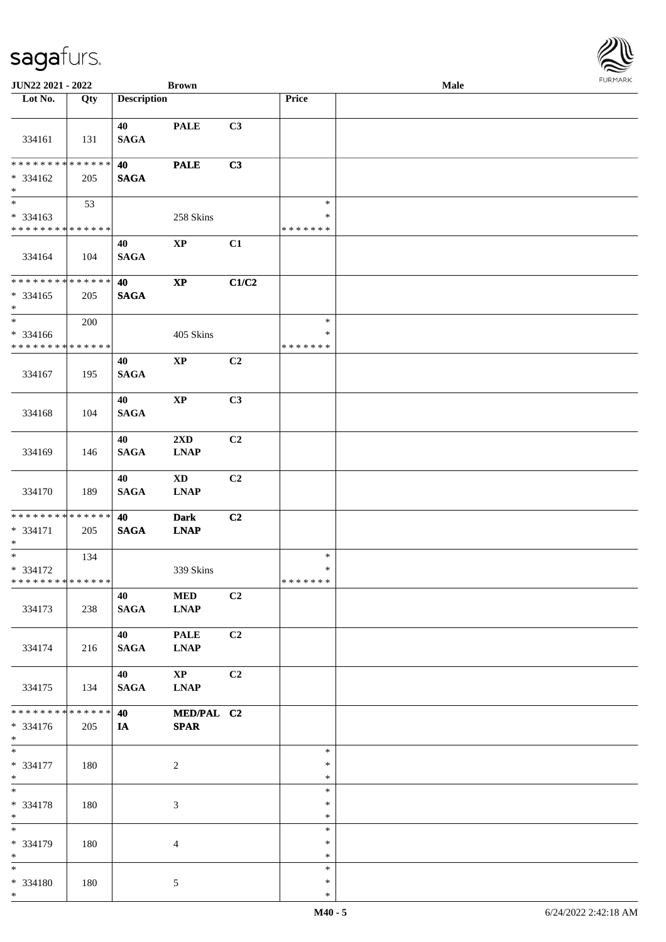| <b>JUN22 2021 - 2022</b>                                               |                      |                      | <b>Brown</b>                           |       |                                   | Male | $1 \times 1 \times 1 \times 1 \times 1$ |
|------------------------------------------------------------------------|----------------------|----------------------|----------------------------------------|-------|-----------------------------------|------|-----------------------------------------|
| Lot No.                                                                | Qty                  | <b>Description</b>   |                                        |       | Price                             |      |                                         |
| 334161                                                                 | 131                  | 40<br><b>SAGA</b>    | <b>PALE</b>                            | C3    |                                   |      |                                         |
| ******** <mark>******</mark><br>$* 334162$<br>$*$                      | 205                  | 40<br><b>SAGA</b>    | <b>PALE</b>                            | C3    |                                   |      |                                         |
| $* 334163$<br>* * * * * * * * * * * * * *                              | 53                   |                      | 258 Skins                              |       | $\ast$<br>$\ast$<br>* * * * * * * |      |                                         |
| 334164                                                                 | 104                  | 40<br><b>SAGA</b>    | $\mathbf{XP}$                          | C1    |                                   |      |                                         |
| * * * * * * * * * * * * * *<br>$* 334165$<br>$*$                       | 205                  | 40<br><b>SAGA</b>    | $\bold{XP}$                            | C1/C2 |                                   |      |                                         |
| $\ddot{x}$<br>$* 334166$<br>* * * * * * * * <mark>* * * * * * *</mark> | 200                  |                      | 405 Skins                              |       | $\ast$<br>$\ast$<br>* * * * * * * |      |                                         |
| 334167                                                                 | 195                  | 40<br><b>SAGA</b>    | $\bold{XP}$                            | C2    |                                   |      |                                         |
| 334168                                                                 | 104                  | 40<br><b>SAGA</b>    | $\mathbf{X}\mathbf{P}$                 | C3    |                                   |      |                                         |
| 334169                                                                 | 146                  | 40<br><b>SAGA</b>    | $2\mathbf{X}\mathbf{D}$<br><b>LNAP</b> | C2    |                                   |      |                                         |
| 334170                                                                 | 189                  | 40<br><b>SAGA</b>    | <b>XD</b><br><b>LNAP</b>               | C2    |                                   |      |                                         |
| * * * * * * * * <mark>*</mark><br>* 334171<br>$*$                      | * * * * * *<br>205   | 40<br><b>SAGA</b>    | <b>Dark</b><br><b>LNAP</b>             | C2    |                                   |      |                                         |
| $\overline{\ast}$<br>* 334172<br>* * * * * * * * * * * * * * *         | 134                  |                      | 339 Skins                              |       | $\ast$<br>$\ast$<br>* * * * * * * |      |                                         |
| 334173                                                                 | 238                  | 40<br><b>SAGA</b>    | <b>MED</b><br><b>LNAP</b>              | C2    |                                   |      |                                         |
| 334174                                                                 | 216                  | 40<br>SAGA           | <b>PALE</b><br><b>LNAP</b>             | C2    |                                   |      |                                         |
| 334175                                                                 | 134                  | 40<br><b>SAGA</b>    | $\mathbf{X}\mathbf{P}$<br><b>LNAP</b>  | C2    |                                   |      |                                         |
| * * * * * * * *<br>* 334176<br>$*$                                     | * * * * * * *<br>205 | 40 — 10<br><b>IA</b> | MED/PAL C2<br><b>SPAR</b>              |       |                                   |      |                                         |
| $\ast$<br>* 334177<br>$*$                                              | 180                  |                      | 2                                      |       | $\ast$<br>$\ast$<br>$\ast$        |      |                                         |
| $*$<br>* 334178<br>$*$                                                 | 180                  |                      | $\mathfrak{Z}$                         |       | $\ast$<br>$\ast$<br>$\ast$        |      |                                         |
| $*$<br>* 334179<br>$*$                                                 | 180                  |                      | $\overline{4}$                         |       | $\ast$<br>$\ast$<br>$\ast$        |      |                                         |
| * 334180<br>$\ast$                                                     | 180                  |                      | $\mathfrak{S}$                         |       | $\ast$<br>$\ast$<br>$\ast$        |      |                                         |

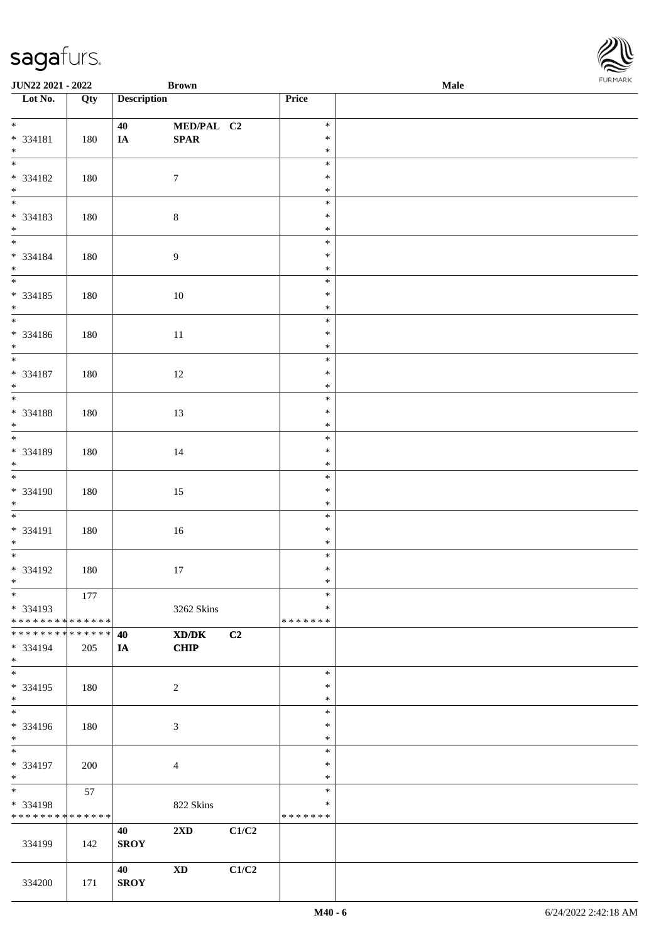| <b>JUN22 2021 - 2022</b>                 |     |                    | <b>Brown</b>            |       |                  | Male | <b>FURPIARA</b> |
|------------------------------------------|-----|--------------------|-------------------------|-------|------------------|------|-----------------|
| Lot No.                                  | Qty | <b>Description</b> |                         |       | Price            |      |                 |
|                                          |     |                    |                         |       |                  |      |                 |
| $*$                                      |     | 40                 | MED/PAL C2              |       | $\ast$           |      |                 |
| * 334181                                 | 180 | <b>IA</b>          | SPAR                    |       | $\ast$<br>$\ast$ |      |                 |
| $*$                                      |     |                    |                         |       | $\ast$           |      |                 |
| * 334182                                 | 180 |                    | $7\phantom{.0}$         |       | $\ast$           |      |                 |
| $*$                                      |     |                    |                         |       | $\ast$           |      |                 |
| $\overline{\phantom{0}}$                 |     |                    |                         |       | $\ast$           |      |                 |
| * 334183                                 | 180 |                    | $\,8\,$                 |       | $\ast$           |      |                 |
| $*$                                      |     |                    |                         |       | $\ast$           |      |                 |
| $*$                                      |     |                    |                         |       | $\ast$           |      |                 |
| * 334184                                 | 180 |                    | $\overline{9}$          |       | $\ast$           |      |                 |
| $*$<br>$*$                               |     |                    |                         |       | $\ast$           |      |                 |
|                                          |     |                    |                         |       | $\ast$           |      |                 |
| * 334185                                 | 180 |                    | 10                      |       | $\ast$           |      |                 |
| $*$                                      |     |                    |                         |       | $\ast$           |      |                 |
| $\overline{\phantom{0}}$                 |     |                    |                         |       | $\ast$           |      |                 |
| * 334186                                 | 180 |                    | 11                      |       | $\ast$           |      |                 |
| $*$<br>$*$                               |     |                    |                         |       | $\ast$           |      |                 |
|                                          |     |                    |                         |       | $\ast$<br>$\ast$ |      |                 |
| * 334187<br>$*$                          | 180 |                    | 12                      |       | $\ast$           |      |                 |
|                                          |     |                    |                         |       | $\ast$           |      |                 |
| * 334188                                 | 180 |                    | 13                      |       | $\ast$           |      |                 |
| $*$                                      |     |                    |                         |       | $\ast$           |      |                 |
|                                          |     |                    |                         |       | $\ast$           |      |                 |
| * 334189                                 | 180 |                    | 14                      |       | $\ast$           |      |                 |
| $*$                                      |     |                    |                         |       | $\ast$           |      |                 |
| $\overline{\phantom{0}}$                 |     |                    |                         |       | $\ast$           |      |                 |
| * 334190                                 | 180 |                    | 15                      |       | $\ast$           |      |                 |
| $*$                                      |     |                    |                         |       | $\ast$           |      |                 |
|                                          |     |                    |                         |       | $\ast$           |      |                 |
| * 334191                                 | 180 |                    | 16                      |       | $\ast$           |      |                 |
| $*$<br>$*$                               |     |                    |                         |       | $\ast$           |      |                 |
|                                          |     |                    |                         |       | $\ast$           |      |                 |
| * 334192                                 | 180 |                    | 17                      |       | $\ast$           |      |                 |
| $\ddot{x}$<br>$\ast$                     |     |                    |                         |       | ∗<br>$\ast$      |      |                 |
| * 334193                                 | 177 |                    | 3262 Skins              |       | $\ast$           |      |                 |
| * * * * * * * * <mark>* * * * * *</mark> |     |                    |                         |       | * * * * * * *    |      |                 |
| * * * * * * * * <mark>* * * * * *</mark> |     | 40                 | XD/DK                   | C2    |                  |      |                 |
| * 334194                                 | 205 | IA                 | <b>CHIP</b>             |       |                  |      |                 |
| $\ast$                                   |     |                    |                         |       |                  |      |                 |
| $\ast$                                   |     |                    |                         |       | $\ast$           |      |                 |
| * 334195                                 | 180 |                    | 2                       |       | $\ast$           |      |                 |
| $*$                                      |     |                    |                         |       | $\ast$           |      |                 |
| $\ddot{x}$                               |     |                    |                         |       | $\ast$           |      |                 |
| * 334196                                 | 180 |                    | 3                       |       | $\ast$           |      |                 |
| $*$<br>$*$                               |     |                    |                         |       | $\ast$           |      |                 |
|                                          |     |                    |                         |       | $\ast$           |      |                 |
| * 334197<br>$*$                          | 200 |                    | $\overline{4}$          |       | $\ast$<br>$\ast$ |      |                 |
| $*$ $*$                                  | 57  |                    |                         |       | $\ast$           |      |                 |
| * 334198                                 |     |                    | 822 Skins               |       | ∗                |      |                 |
| * * * * * * * * <mark>* * * * * *</mark> |     |                    |                         |       | * * * * * * *    |      |                 |
|                                          |     | 40                 | $2\mathbf{X}\mathbf{D}$ | C1/C2 |                  |      |                 |
| 334199                                   | 142 | <b>SROY</b>        |                         |       |                  |      |                 |
|                                          |     |                    |                         |       |                  |      |                 |
|                                          |     | 40                 | <b>XD</b>               | C1/C2 |                  |      |                 |
| 334200                                   | 171 | <b>SROY</b>        |                         |       |                  |      |                 |

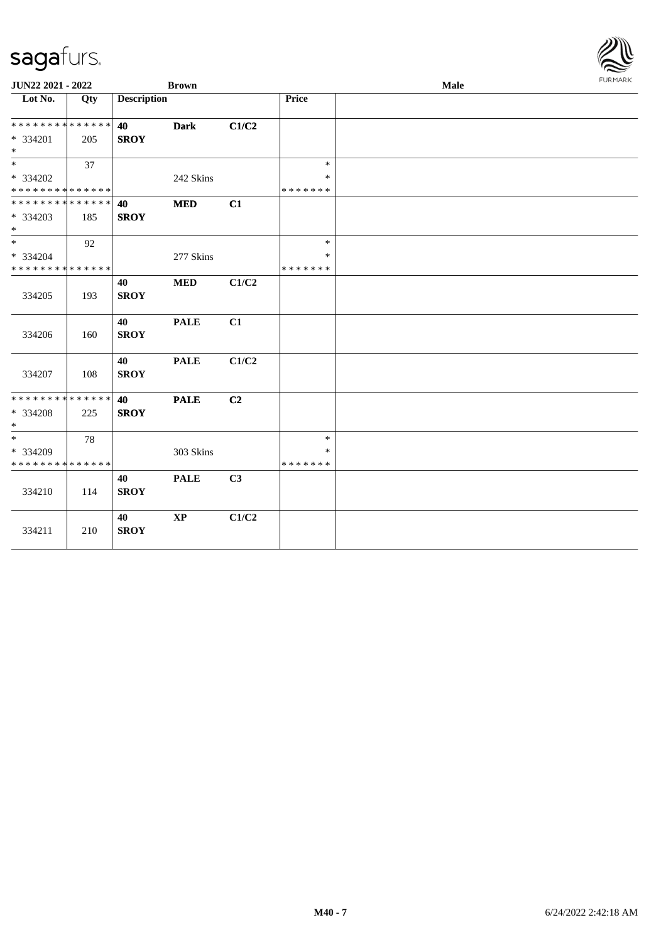| JUN22 2021 - 2022                          |     |                    | <b>Brown</b>  |                |               | Male | <b>FURMARK</b> |
|--------------------------------------------|-----|--------------------|---------------|----------------|---------------|------|----------------|
| Lot No.                                    | Qty | <b>Description</b> |               |                | <b>Price</b>  |      |                |
| * * * * * * * * * * * * * * *              |     | 40                 | <b>Dark</b>   | C1/C2          |               |      |                |
| * 334201                                   | 205 | <b>SROY</b>        |               |                |               |      |                |
| $*$                                        |     |                    |               |                |               |      |                |
| $\ast$                                     | 37  |                    |               |                | $\ast$        |      |                |
| * 334202                                   |     |                    | 242 Skins     |                | $\ast$        |      |                |
| * * * * * * * * * * * * * *                |     |                    |               |                | * * * * * * * |      |                |
| * * * * * * * * * * * * * * *              |     | 40                 | <b>MED</b>    | C1             |               |      |                |
| $* 334203$                                 | 185 | <b>SROY</b>        |               |                |               |      |                |
| $*$                                        |     |                    |               |                |               |      |                |
| $*$                                        | 92  |                    |               |                | $\ast$        |      |                |
| * 334204                                   |     |                    | 277 Skins     |                | $\ast$        |      |                |
| * * * * * * * * <mark>* * * * * * *</mark> |     |                    |               |                | * * * * * * * |      |                |
|                                            |     | 40                 | <b>MED</b>    | C1/C2          |               |      |                |
| 334205                                     | 193 | <b>SROY</b>        |               |                |               |      |                |
|                                            |     |                    |               |                |               |      |                |
|                                            |     | 40                 | <b>PALE</b>   | C1             |               |      |                |
| 334206                                     | 160 | <b>SROY</b>        |               |                |               |      |                |
|                                            |     |                    |               |                |               |      |                |
| 334207                                     | 108 | 40<br><b>SROY</b>  | <b>PALE</b>   | C1/C2          |               |      |                |
|                                            |     |                    |               |                |               |      |                |
| * * * * * * * * * * * * * * *              |     | 40                 | <b>PALE</b>   | C <sub>2</sub> |               |      |                |
| * 334208                                   | 225 | <b>SROY</b>        |               |                |               |      |                |
| $*$                                        |     |                    |               |                |               |      |                |
| $*$                                        | 78  |                    |               |                | $\ast$        |      |                |
| * 334209                                   |     |                    | 303 Skins     |                | $\ast$        |      |                |
| * * * * * * * * * * * * * *                |     |                    |               |                | * * * * * * * |      |                |
|                                            |     | 40                 | <b>PALE</b>   | C <sub>3</sub> |               |      |                |
| 334210                                     | 114 | <b>SROY</b>        |               |                |               |      |                |
|                                            |     |                    |               |                |               |      |                |
|                                            |     | 40                 | $\mathbf{XP}$ | C1/C2          |               |      |                |
| 334211                                     | 210 | <b>SROY</b>        |               |                |               |      |                |
|                                            |     |                    |               |                |               |      |                |

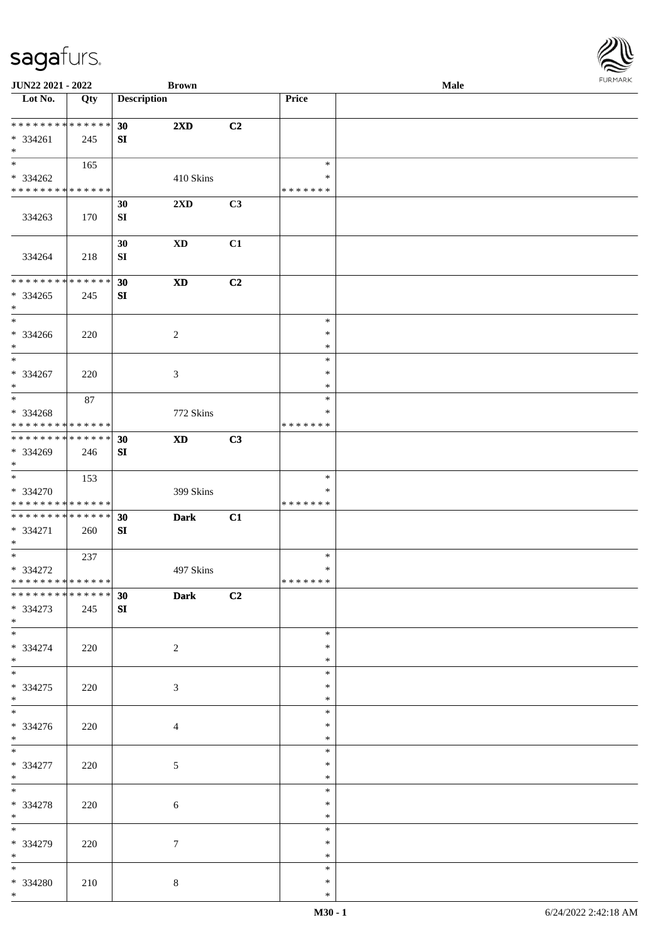| <b>JUN22 2021 - 2022</b>                                                               |             |                    | <b>Brown</b>                  |    |                  | Male | <b>FUNITANN</b> |
|----------------------------------------------------------------------------------------|-------------|--------------------|-------------------------------|----|------------------|------|-----------------|
| Lot No.                                                                                | Qty         | <b>Description</b> |                               |    | Price            |      |                 |
|                                                                                        |             |                    |                               |    |                  |      |                 |
| ******** <mark>******</mark>                                                           |             | 30 <sup>°</sup>    | $2\mathbf{X}\mathbf{D}$       | C2 |                  |      |                 |
| $* 334261$                                                                             | 245         | SI                 |                               |    |                  |      |                 |
| $*$<br>$\overline{\mathbf{r}}$                                                         |             |                    |                               |    |                  |      |                 |
|                                                                                        | 165         |                    |                               |    | $\ast$           |      |                 |
| * 334262                                                                               |             |                    | 410 Skins                     |    | $\ast$           |      |                 |
| * * * * * * * * <mark>* * * * * *</mark>                                               |             |                    |                               |    | * * * * * * *    |      |                 |
|                                                                                        |             | 30                 | 2XD                           | C3 |                  |      |                 |
| 334263                                                                                 | 170         | SI                 |                               |    |                  |      |                 |
|                                                                                        |             |                    |                               |    |                  |      |                 |
|                                                                                        |             | 30                 | XD                            | C1 |                  |      |                 |
| 334264                                                                                 | 218         | SI                 |                               |    |                  |      |                 |
| * * * * * * * *                                                                        |             |                    |                               |    |                  |      |                 |
|                                                                                        | * * * * * * | 30                 | <b>XD</b>                     | C2 |                  |      |                 |
| * 334265                                                                               | 245         | SI                 |                               |    |                  |      |                 |
| $\ast$<br>$\ddot{x}$                                                                   |             |                    |                               |    |                  |      |                 |
|                                                                                        |             |                    |                               |    | $\ast$           |      |                 |
| * 334266                                                                               | 220         |                    | $\overline{2}$                |    | $\ast$           |      |                 |
| $*$<br>$\overline{\phantom{0}}$                                                        |             |                    |                               |    | $\ast$<br>$\ast$ |      |                 |
|                                                                                        |             |                    |                               |    |                  |      |                 |
| * 334267                                                                               | 220         |                    | 3                             |    | $\ast$           |      |                 |
| $*$                                                                                    |             |                    |                               |    | $\ast$           |      |                 |
|                                                                                        | 87          |                    |                               |    | $\ast$           |      |                 |
| * 334268                                                                               |             |                    | 772 Skins                     |    | $\ast$           |      |                 |
| * * * * * * * * <mark>* * * * * *</mark><br>* * * * * * * * <mark>* * * * * * *</mark> |             |                    |                               |    | * * * * * * *    |      |                 |
|                                                                                        |             | 30                 | <b>XD</b>                     | C3 |                  |      |                 |
| * 334269                                                                               | 246         | SI                 |                               |    |                  |      |                 |
| $*$<br>$\overline{\ast}$                                                               |             |                    |                               |    | $\ast$           |      |                 |
|                                                                                        | 153         |                    |                               |    | $\ast$           |      |                 |
| * 334270<br>* * * * * * * * <mark>* * * * * * *</mark>                                 |             |                    | 399 Skins                     |    | * * * * * * *    |      |                 |
| * * * * * * * * <mark>* * * * * * *</mark>                                             |             |                    |                               |    |                  |      |                 |
| * 334271                                                                               |             | 30                 | <b>Dark</b>                   | C1 |                  |      |                 |
| $*$                                                                                    | 260         | SI                 |                               |    |                  |      |                 |
|                                                                                        | 237         |                    |                               |    | $\ast$           |      |                 |
| * 334272                                                                               |             |                    | 497 Skins                     |    | $\ast$           |      |                 |
| * * * * * * * * <mark>* * * * * *</mark>                                               |             |                    |                               |    | *******          |      |                 |
| * * * * * * * * * * * * * * *                                                          |             | 30                 | $\overline{\phantom{a}}$ Dark | C2 |                  |      |                 |
| * 334273                                                                               | 245         | SI                 |                               |    |                  |      |                 |
| $*$                                                                                    |             |                    |                               |    |                  |      |                 |
| $\overline{\ast}$                                                                      |             |                    |                               |    | $\ast$           |      |                 |
| * 334274                                                                               | 220         |                    | $\overline{2}$                |    | $\ast$           |      |                 |
| $*$ $-$                                                                                |             |                    |                               |    | $\ast$           |      |                 |
| $\overline{\phantom{0}}$                                                               |             |                    |                               |    | $\ast$           |      |                 |
| * 334275                                                                               | 220         |                    | 3                             |    | ∗                |      |                 |
| $\ast$                                                                                 |             |                    |                               |    | $\ast$           |      |                 |
| $\overline{\ast}$                                                                      |             |                    |                               |    | $\ast$           |      |                 |
| * 334276                                                                               | 220         |                    | $\overline{4}$                |    | $\ast$           |      |                 |
| $*$                                                                                    |             |                    |                               |    | $\ast$           |      |                 |
| $\overline{\mathbf{r}}$                                                                |             |                    |                               |    | $\ast$           |      |                 |
| * 334277                                                                               | 220         |                    | 5                             |    | $\ast$           |      |                 |
| $*$                                                                                    |             |                    |                               |    | $\ast$           |      |                 |
| $*$                                                                                    |             |                    |                               |    | $\ast$           |      |                 |
| * 334278                                                                               | 220         |                    | $6\phantom{.}6$               |    | $\ast$           |      |                 |
| $*$ $-$                                                                                |             |                    |                               |    | $\ast$           |      |                 |
|                                                                                        |             |                    |                               |    | $\ast$           |      |                 |
| * 334279                                                                               | 220         |                    | $7\phantom{.0}$               |    | $\ast$           |      |                 |
| $*$                                                                                    |             |                    |                               |    | $\ast$           |      |                 |
| $*$                                                                                    |             |                    |                               |    | $\ast$           |      |                 |
| * 334280                                                                               | 210         |                    | $\,8\,$                       |    | $\ast$           |      |                 |
| $*$                                                                                    |             |                    |                               |    | $\ast$           |      |                 |

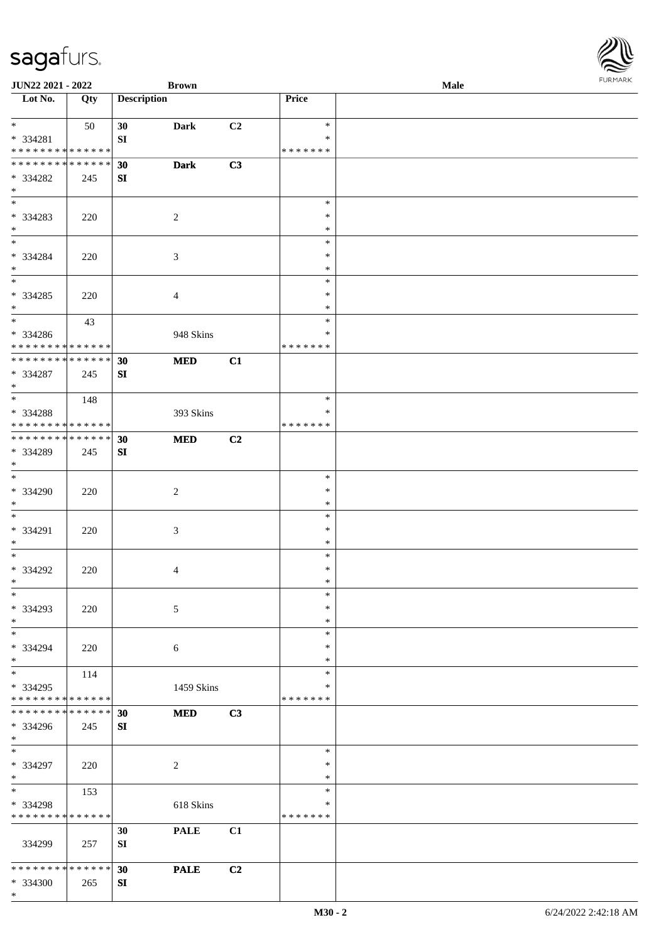| <b>JUN22 2021 - 2022</b>                   |     |                    | <b>Brown</b> |    |                  | Male |  |
|--------------------------------------------|-----|--------------------|--------------|----|------------------|------|--|
| Lot No.                                    | Qty | <b>Description</b> |              |    | Price            |      |  |
|                                            |     |                    |              |    |                  |      |  |
| $*$                                        | 50  | 30                 | <b>Dark</b>  | C2 | $\ast$           |      |  |
| * 334281                                   |     | SI                 |              |    | $\ast$           |      |  |
| * * * * * * * * * * * * * *                |     |                    |              |    | * * * * * * *    |      |  |
| * * * * * * * * * * * * * *                |     | 30                 | <b>Dark</b>  | C3 |                  |      |  |
| * 334282                                   | 245 | SI                 |              |    |                  |      |  |
| $\ast$                                     |     |                    |              |    |                  |      |  |
| $\overline{\phantom{0}}$                   |     |                    |              |    | $\ast$           |      |  |
| * 334283                                   | 220 |                    | 2            |    | $\ast$           |      |  |
| $*$                                        |     |                    |              |    | $\ast$           |      |  |
| $\ddot{x}$                                 |     |                    |              |    | $\ast$           |      |  |
| * 334284                                   | 220 |                    | 3            |    | $\ast$           |      |  |
| $*$                                        |     |                    |              |    | $\ast$           |      |  |
|                                            |     |                    |              |    | $\ast$           |      |  |
| * 334285                                   | 220 |                    | 4            |    | $\ast$           |      |  |
| $*$                                        |     |                    |              |    | $\ast$           |      |  |
| $\overline{\phantom{0}}$                   | 43  |                    |              |    | $\ast$           |      |  |
| * 334286                                   |     |                    | 948 Skins    |    | $\ast$           |      |  |
| * * * * * * * * <mark>* * * * * * *</mark> |     |                    |              |    | * * * * * * *    |      |  |
| * * * * * * * * * * * * * *                |     | 30                 | <b>MED</b>   | C1 |                  |      |  |
| * 334287                                   | 245 | SI                 |              |    |                  |      |  |
| $*$                                        |     |                    |              |    |                  |      |  |
|                                            | 148 |                    |              |    | $\ast$           |      |  |
| * 334288                                   |     |                    | 393 Skins    |    | *                |      |  |
| * * * * * * * * * * * * * *                |     |                    |              |    | * * * * * * *    |      |  |
| * * * * * * * * * * * * * * *              |     | 30                 | <b>MED</b>   | C2 |                  |      |  |
| * 334289                                   | 245 | SI                 |              |    |                  |      |  |
| $*$                                        |     |                    |              |    |                  |      |  |
|                                            |     |                    |              |    | $\ast$           |      |  |
| * 334290                                   | 220 |                    | $\sqrt{2}$   |    | $\ast$           |      |  |
| $*$                                        |     |                    |              |    | $\ast$           |      |  |
| $*$                                        |     |                    |              |    | $\ast$           |      |  |
| * 334291                                   | 220 |                    |              |    | $\ast$           |      |  |
| $*$                                        |     |                    | 3            |    | $\ast$           |      |  |
| $*$                                        |     |                    |              |    | $\ast$           |      |  |
| * 334292                                   | 220 |                    | 4            |    | $\ast$           |      |  |
| $*$ $-$                                    |     |                    |              |    | $\ast$           |      |  |
| $\ast$                                     |     |                    |              |    | $\ast$           |      |  |
| * 334293                                   | 220 |                    | 5            |    | $\ast$           |      |  |
| $*$                                        |     |                    |              |    | $\ast$           |      |  |
| $*$                                        |     |                    |              |    | $\ast$           |      |  |
| * 334294                                   |     |                    |              |    | $\ast$           |      |  |
| $\ast$                                     | 220 |                    | 6            |    | $\ast$           |      |  |
| $*$                                        |     |                    |              |    | $\ast$           |      |  |
|                                            | 114 |                    |              |    | *                |      |  |
| * 334295<br>* * * * * * * * * * * * * *    |     |                    | 1459 Skins   |    | * * * * * * *    |      |  |
| * * * * * * * * <mark>* * * * * *</mark>   |     |                    |              |    |                  |      |  |
|                                            |     | 30                 | <b>MED</b>   | C3 |                  |      |  |
| * 334296                                   | 245 | ${\bf S}{\bf I}$   |              |    |                  |      |  |
| $*$<br>$*$ $-$                             |     |                    |              |    | $\ast$           |      |  |
|                                            |     |                    |              |    |                  |      |  |
| * 334297                                   | 220 |                    | 2            |    | $\ast$<br>$\ast$ |      |  |
| $*$<br>$*$ $-$                             |     |                    |              |    | $\ast$           |      |  |
|                                            | 153 |                    |              |    |                  |      |  |
| * 334298                                   |     |                    | 618 Skins    |    | $\ast$           |      |  |
| * * * * * * * * <mark>* * * * * * *</mark> |     |                    |              |    | * * * * * * *    |      |  |
|                                            |     | 30                 | <b>PALE</b>  | C1 |                  |      |  |
| 334299                                     | 257 | SI                 |              |    |                  |      |  |
|                                            |     |                    |              |    |                  |      |  |
| * * * * * * * * * * * * * *                |     | 30                 | <b>PALE</b>  | C2 |                  |      |  |
| * 334300                                   | 265 | SI                 |              |    |                  |      |  |

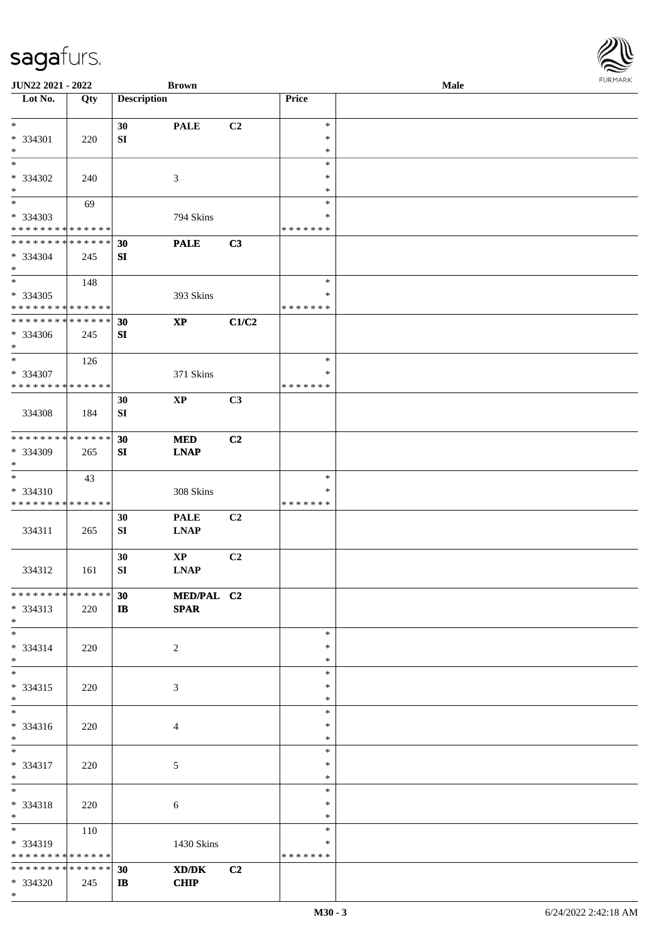| <b>JUN22 2021 - 2022</b>                               |     |                         | <b>Brown</b>               |                |                         | Male | <b>FURPIARR</b> |
|--------------------------------------------------------|-----|-------------------------|----------------------------|----------------|-------------------------|------|-----------------|
| Lot No.                                                | Qty | <b>Description</b>      |                            |                | Price                   |      |                 |
| $*$                                                    |     | 30                      | <b>PALE</b>                | C2             | $\ast$                  |      |                 |
| * 334301                                               | 220 | SI                      |                            |                | $\ast$                  |      |                 |
| $\ast$                                                 |     |                         |                            |                | $\ast$                  |      |                 |
| $\ast$                                                 |     |                         |                            |                | $\ast$                  |      |                 |
| * 334302                                               | 240 |                         | 3                          |                | $\ast$                  |      |                 |
| $*$<br>$\overline{\ast}$                               |     |                         |                            |                | $\ast$<br>$\ast$        |      |                 |
| * 334303                                               | 69  |                         | 794 Skins                  |                | ∗                       |      |                 |
| * * * * * * * * <mark>* * * * * * *</mark>             |     |                         |                            |                | * * * * * * *           |      |                 |
| * * * * * * * * <mark>* * * * * * *</mark>             |     | 30                      | <b>PALE</b>                | C3             |                         |      |                 |
| * 334304                                               | 245 | SI                      |                            |                |                         |      |                 |
| $\ast$                                                 |     |                         |                            |                |                         |      |                 |
| $\overline{\ast}$                                      | 148 |                         |                            |                | $\ast$                  |      |                 |
| * 334305<br>* * * * * * * * <mark>* * * * * * *</mark> |     |                         | 393 Skins                  |                | $\ast$<br>* * * * * * * |      |                 |
| * * * * * * * * <mark>* * * * * * *</mark>             |     | 30                      | $\boldsymbol{\mathrm{XP}}$ | C1/C2          |                         |      |                 |
| * 334306                                               | 245 | SI                      |                            |                |                         |      |                 |
| $\ast$                                                 |     |                         |                            |                |                         |      |                 |
| $*$                                                    | 126 |                         |                            |                | $\ast$                  |      |                 |
| * 334307                                               |     |                         | 371 Skins                  |                | $\ast$                  |      |                 |
| * * * * * * * * <mark>* * * * * * *</mark>             |     |                         |                            |                | * * * * * * *           |      |                 |
|                                                        |     | 30                      | $\mathbf{X}\mathbf{P}$     | C3             |                         |      |                 |
| 334308                                                 | 184 | SI                      |                            |                |                         |      |                 |
| * * * * * * * * * * * * * *                            |     | 30                      | <b>MED</b>                 | C2             |                         |      |                 |
| * 334309                                               | 265 | SI                      | <b>LNAP</b>                |                |                         |      |                 |
| $\ast$                                                 |     |                         |                            |                |                         |      |                 |
| $\ast$                                                 | 43  |                         |                            |                | $\ast$                  |      |                 |
| * 334310                                               |     |                         | 308 Skins                  |                | ∗                       |      |                 |
| * * * * * * * * * * * * * * *                          |     |                         |                            |                | * * * * * * *           |      |                 |
|                                                        |     | 30                      | <b>PALE</b>                | C <sub>2</sub> |                         |      |                 |
| 334311                                                 | 265 | SI                      | <b>LNAP</b>                |                |                         |      |                 |
|                                                        |     | 30                      | $\mathbf{X}\mathbf{P}$     | C2             |                         |      |                 |
| 334312                                                 | 161 | SI                      | <b>LNAP</b>                |                |                         |      |                 |
|                                                        |     |                         |                            |                |                         |      |                 |
| * * * * * * * * * * * * * * <mark>*</mark>             |     | 30 <sup>°</sup>         | MED/PAL C2                 |                |                         |      |                 |
| * 334313                                               | 220 | $\mathbf{I} \mathbf{B}$ | <b>SPAR</b>                |                |                         |      |                 |
| $*$<br>$\ddot{x}$                                      |     |                         |                            |                | $\ast$                  |      |                 |
| * 334314                                               | 220 |                         | 2                          |                | $\ast$                  |      |                 |
| $*$                                                    |     |                         |                            |                | $\ast$                  |      |                 |
| $\ddot{x}$                                             |     |                         |                            |                | $\ast$                  |      |                 |
| $* 334315$                                             | 220 |                         | 3                          |                | $\ast$                  |      |                 |
| $*$                                                    |     |                         |                            |                | $\ast$                  |      |                 |
| $*$                                                    |     |                         |                            |                | $\ast$                  |      |                 |
| * 334316<br>$\ast$                                     | 220 |                         | 4                          |                | $\ast$<br>$\ast$        |      |                 |
| $\overline{\ast}$                                      |     |                         |                            |                | $\ast$                  |      |                 |
| * 334317                                               | 220 |                         | 5                          |                | $\ast$                  |      |                 |
| $\ast$                                                 |     |                         |                            |                | $\ast$                  |      |                 |
| $*$ $*$                                                |     |                         |                            |                | $\ast$                  |      |                 |
| * 334318                                               | 220 |                         | 6                          |                | $\ast$                  |      |                 |
| $*$<br>$\overline{\mathbf{r}}$                         |     |                         |                            |                | $\ast$                  |      |                 |
|                                                        | 110 |                         |                            |                | $\ast$                  |      |                 |
| * 334319<br>* * * * * * * * * * * * * * *              |     |                         | 1430 Skins                 |                | ∗<br>* * * * * * *      |      |                 |
| * * * * * * * * * * * * * * <mark>*</mark>             |     | 30                      | XD/DK                      | C <sub>2</sub> |                         |      |                 |
| * 334320                                               | 245 | $\mathbf{I}$            | <b>CHIP</b>                |                |                         |      |                 |

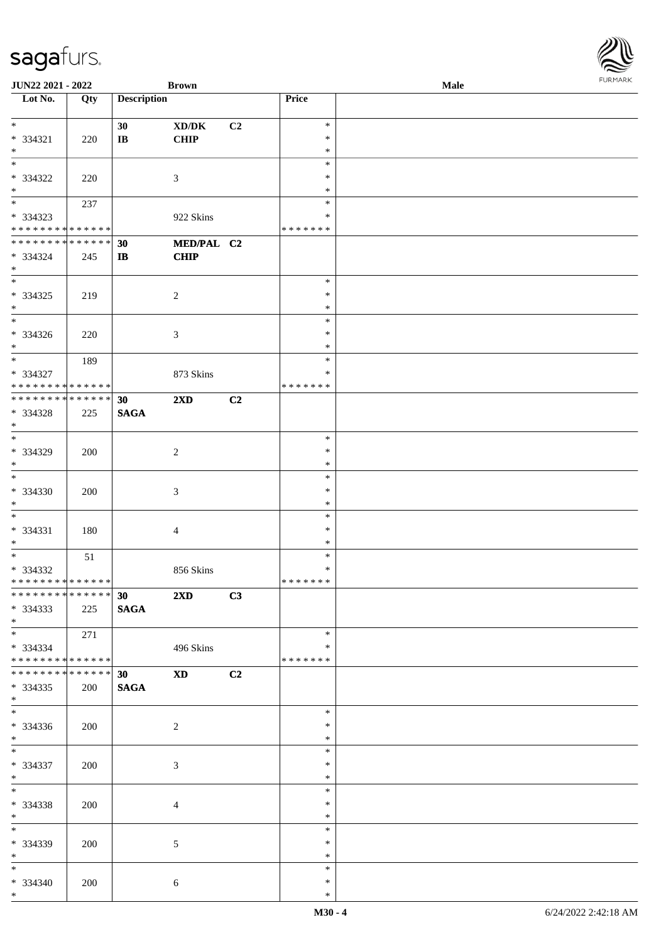| <b>JUN22 2021 - 2022</b>                   |     |                        | <b>Brown</b>            |    |               | Male | <b>FUNITANN</b> |
|--------------------------------------------|-----|------------------------|-------------------------|----|---------------|------|-----------------|
| Lot No.                                    | Qty | <b>Description</b>     |                         |    | Price         |      |                 |
|                                            |     |                        |                         |    |               |      |                 |
| $\ast$                                     |     | 30                     | XD/DK                   | C2 | $\ast$        |      |                 |
| $* 334321$                                 | 220 | $\mathbf{I}\mathbf{B}$ | <b>CHIP</b>             |    | $\ast$        |      |                 |
| $*$                                        |     |                        |                         |    | $\ast$        |      |                 |
|                                            |     |                        |                         |    | $\ast$        |      |                 |
| * 334322                                   | 220 |                        | 3                       |    | ∗             |      |                 |
| $*$                                        |     |                        |                         |    | ∗             |      |                 |
|                                            | 237 |                        |                         |    | $\ast$        |      |                 |
| * 334323                                   |     |                        | 922 Skins               |    | *             |      |                 |
| * * * * * * * * <mark>* * * * * *</mark>   |     |                        |                         |    | * * * * * * * |      |                 |
| * * * * * * * * <mark>* * * * * * *</mark> |     | 30                     | MED/PAL C2              |    |               |      |                 |
| * 334324                                   | 245 | IB                     | <b>CHIP</b>             |    |               |      |                 |
| $\ast$                                     |     |                        |                         |    |               |      |                 |
|                                            |     |                        |                         |    | $\ast$        |      |                 |
| * 334325                                   | 219 |                        | 2                       |    | $\ast$        |      |                 |
| $*$                                        |     |                        |                         |    | $\ast$        |      |                 |
| $\overline{\phantom{0}}$                   |     |                        |                         |    | $\ast$        |      |                 |
| * 334326                                   | 220 |                        | 3                       |    | $\ast$        |      |                 |
| $*$                                        |     |                        |                         |    | $\ast$        |      |                 |
| $*$                                        | 189 |                        |                         |    | $\ast$        |      |                 |
| * 334327                                   |     |                        | 873 Skins               |    | $\ast$        |      |                 |
| * * * * * * * * <mark>* * * * * * *</mark> |     |                        |                         |    | * * * * * * * |      |                 |
| * * * * * * * * <mark>* * * * * * *</mark> |     | 30                     | $2\mathbf{X}\mathbf{D}$ | C2 |               |      |                 |
| * 334328                                   | 225 | <b>SAGA</b>            |                         |    |               |      |                 |
| $*$                                        |     |                        |                         |    |               |      |                 |
|                                            |     |                        |                         |    | $\ast$        |      |                 |
| * 334329                                   |     |                        |                         |    | $\ast$        |      |                 |
| $\ast$                                     | 200 |                        | 2                       |    | $\ast$        |      |                 |
| $\overline{\ast}$                          |     |                        |                         |    | $\ast$        |      |                 |
|                                            |     |                        |                         |    | $\ast$        |      |                 |
| * 334330                                   | 200 |                        | 3                       |    |               |      |                 |
| $\ast$<br>$\ddot{x}$                       |     |                        |                         |    | $\ast$        |      |                 |
|                                            |     |                        |                         |    | $\ast$        |      |                 |
| * 334331                                   | 180 |                        | $\overline{4}$          |    | $\ast$        |      |                 |
| $*$<br>$\overline{\cdot}$                  |     |                        |                         |    | $\ast$        |      |                 |
|                                            | 51  |                        |                         |    | $\ast$        |      |                 |
| * 334332                                   |     |                        | 856 Skins               |    | $\ast$        |      |                 |
| * * * * * * * * <mark>* * * * * * *</mark> |     |                        |                         |    | *******       |      |                 |
| ************** 30 2XD                      |     |                        |                         | C3 |               |      |                 |
| $*334333$                                  | 225 | <b>SAGA</b>            |                         |    |               |      |                 |
| $*$ $-$                                    |     |                        |                         |    |               |      |                 |
| $*$ and $*$                                | 271 |                        |                         |    | $\ast$        |      |                 |
| * 334334                                   |     |                        | 496 Skins               |    | $\ast$        |      |                 |
| * * * * * * * * * * * * * * <mark>*</mark> |     |                        |                         |    | * * * * * * * |      |                 |
| * * * * * * * * <mark>* * * * * * *</mark> |     | 30                     | $XD$ $C2$               |    |               |      |                 |
| $* 334335$                                 | 200 | <b>SAGA</b>            |                         |    |               |      |                 |
| $\ast$                                     |     |                        |                         |    |               |      |                 |
|                                            |     |                        |                         |    | $\ast$        |      |                 |
| $*334336$                                  | 200 |                        | 2                       |    | $\ast$        |      |                 |
| $\ddot{x}$                                 |     |                        |                         |    | $\ast$        |      |                 |
| $\ast$                                     |     |                        |                         |    | $\ast$        |      |                 |
| * 334337                                   | 200 |                        | 3                       |    | $\ast$        |      |                 |
| $*$                                        |     |                        |                         |    | $\ast$        |      |                 |
| $*$                                        |     |                        |                         |    | $\ast$        |      |                 |
| * 334338                                   | 200 |                        | $\overline{4}$          |    | $\ast$        |      |                 |
| $*$ $-$                                    |     |                        |                         |    | $\ast$        |      |                 |
| $\ddot{x}$                                 |     |                        |                         |    | $\ast$        |      |                 |
| * 334339                                   | 200 |                        | 5                       |    | $\ast$        |      |                 |
| $*$                                        |     |                        |                         |    | $\ast$        |      |                 |
| $\ast$                                     |     |                        |                         |    | $\ast$        |      |                 |
| $* 334340$                                 | 200 |                        | 6                       |    | $\ast$        |      |                 |
| $*$                                        |     |                        |                         |    | $\ast$        |      |                 |
|                                            |     |                        |                         |    |               |      |                 |

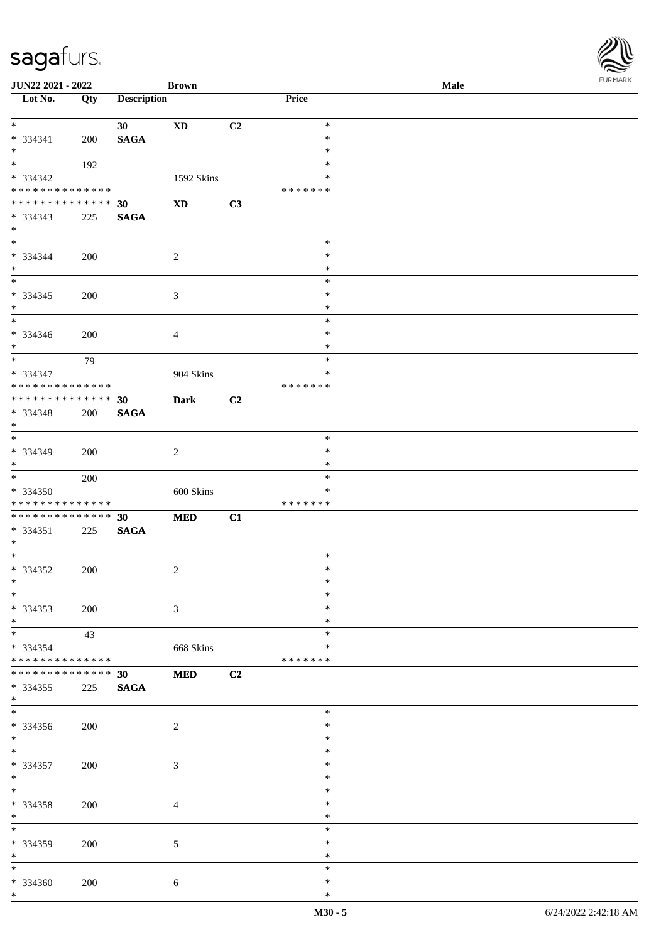| <b>JUN22 2021 - 2022</b>                   |             |                    | <b>Brown</b>               |                |                  | Male |  |
|--------------------------------------------|-------------|--------------------|----------------------------|----------------|------------------|------|--|
| Lot No.                                    | Qty         | <b>Description</b> |                            |                | Price            |      |  |
| $*$                                        |             |                    |                            |                | $\ast$           |      |  |
| $* 334341$                                 |             | 30                 | <b>XD</b>                  | C <sub>2</sub> | $\ast$           |      |  |
| $\ast$                                     | 200         | <b>SAGA</b>        |                            |                | $\ast$           |      |  |
| $\overline{\mathbf{r}}$                    | 192         |                    |                            |                | $\ast$           |      |  |
| * 334342                                   |             |                    | 1592 Skins                 |                | ∗                |      |  |
| * * * * * * * * <mark>* * * * * *</mark>   |             |                    |                            |                | * * * * * * *    |      |  |
| * * * * * * * * <mark>* * * * * * *</mark> |             | 30                 | $\boldsymbol{\mathrm{XD}}$ | C3             |                  |      |  |
| * 334343                                   | 225         | <b>SAGA</b>        |                            |                |                  |      |  |
| $\ast$                                     |             |                    |                            |                |                  |      |  |
| $*$                                        |             |                    |                            |                | $\ast$           |      |  |
| * 334344                                   | 200         |                    | $\overline{2}$             |                | $\ast$           |      |  |
| $*$                                        |             |                    |                            |                | $\ast$           |      |  |
|                                            |             |                    |                            |                | $\ast$           |      |  |
| * 334345                                   | 200         |                    | $\mathfrak{Z}$             |                | $\ast$           |      |  |
| $\ddot{x}$                                 |             |                    |                            |                | $\ast$           |      |  |
|                                            |             |                    |                            |                | $\ast$<br>$\ast$ |      |  |
| * 334346<br>$*$                            | 200         |                    | $\overline{4}$             |                | $\ast$           |      |  |
|                                            | 79          |                    |                            |                | $\ast$           |      |  |
| * 334347                                   |             |                    | 904 Skins                  |                | $\ast$           |      |  |
| * * * * * * * * <mark>* * * * * *</mark>   |             |                    |                            |                | * * * * * * *    |      |  |
| * * * * * * * * * * * * * * *              |             | 30                 | <b>Dark</b>                | C <sub>2</sub> |                  |      |  |
| * 334348                                   | 200         | <b>SAGA</b>        |                            |                |                  |      |  |
| $\ast$                                     |             |                    |                            |                |                  |      |  |
|                                            |             |                    |                            |                | $\ast$           |      |  |
| * 334349                                   | 200         |                    | $\overline{2}$             |                | $\ast$           |      |  |
| $*$                                        |             |                    |                            |                | $\ast$           |      |  |
| $\ast$                                     | 200         |                    |                            |                | $\ast$           |      |  |
| * 334350                                   |             |                    | 600 Skins                  |                | ∗                |      |  |
| * * * * * * * * <mark>* * * * * *</mark>   |             |                    |                            |                | * * * * * * *    |      |  |
| * * * * * * * * <mark>* * * * * * *</mark> |             | 30                 | <b>MED</b>                 | C1             |                  |      |  |
| $* 334351$                                 | 225         | <b>SAGA</b>        |                            |                |                  |      |  |
| $*$<br>$*$                                 |             |                    |                            |                | $\ast$           |      |  |
| * 334352                                   | 200         |                    | $\sqrt{2}$                 |                | $\ast$           |      |  |
| $\ddot{x}$                                 |             |                    |                            |                | $\ast$           |      |  |
| $\ddot{x}$                                 |             |                    |                            |                | $\ast$           |      |  |
| * 334353                                   | 200         |                    | 3                          |                | $\ast$           |      |  |
| $*$                                        |             |                    |                            |                | $\ast$           |      |  |
| $*$ $*$                                    | 43          |                    |                            |                | $\ast$           |      |  |
| * 334354                                   |             |                    | 668 Skins                  |                | ∗                |      |  |
| * * * * * * * * <mark>* * * * * *</mark>   |             |                    |                            |                | * * * * * * *    |      |  |
| * * * * * * * *                            | * * * * * * | 30 <sub>o</sub>    | <b>MED</b>                 | C2             |                  |      |  |
| * 334355                                   | 225         | <b>SAGA</b>        |                            |                |                  |      |  |
| $\ast$                                     |             |                    |                            |                |                  |      |  |
| $*$                                        |             |                    |                            |                | $\ast$           |      |  |
| $* 334356$                                 | 200         |                    | 2                          |                | $\ast$           |      |  |
| $*$<br>$\overline{\mathbf{r}^*}$           |             |                    |                            |                | $\ast$<br>$\ast$ |      |  |
| * 334357                                   |             |                    |                            |                | $\ast$           |      |  |
| $*$ $-$                                    | 200         |                    | 3                          |                | $\ast$           |      |  |
| $\ddot{x}$                                 |             |                    |                            |                | $\ast$           |      |  |
| * 334358                                   | 200         |                    | $\overline{4}$             |                | $\ast$           |      |  |
| $*$                                        |             |                    |                            |                | $\ast$           |      |  |
|                                            |             |                    |                            |                | $\ast$           |      |  |
| * 334359                                   | 200         |                    | 5                          |                | $\ast$           |      |  |
| $*$                                        |             |                    |                            |                | $\ast$           |      |  |
| $*$ $*$                                    |             |                    |                            |                | $\ast$           |      |  |
| * 334360                                   | 200         |                    | 6                          |                | $\ast$           |      |  |
| $*$                                        |             |                    |                            |                | $\ast$           |      |  |

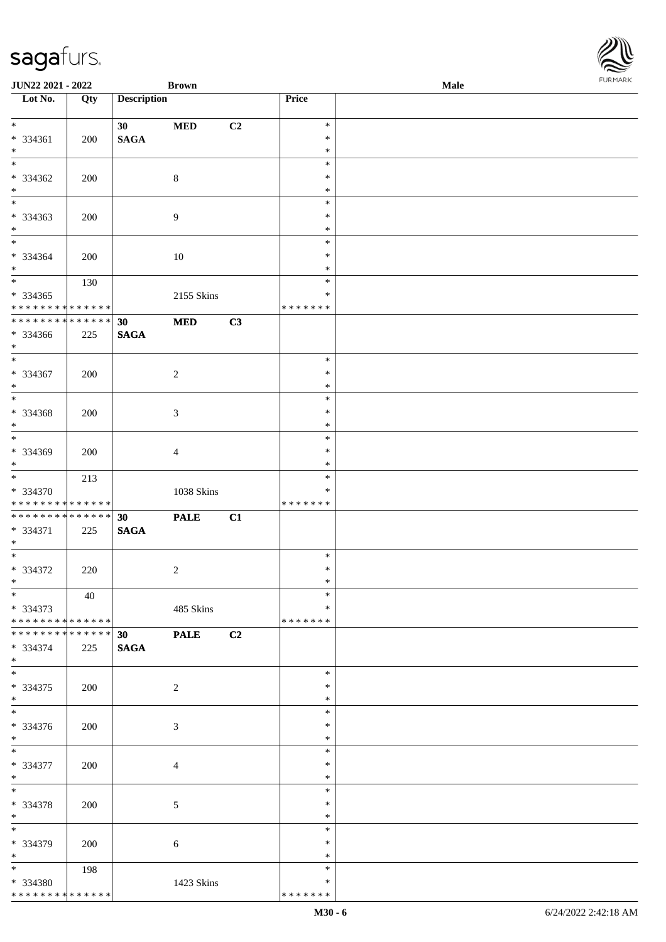| JUN22 2021 - 2022             |     |                    | <b>Brown</b>   |    |                  | Male |  |
|-------------------------------|-----|--------------------|----------------|----|------------------|------|--|
| Lot No.                       | Qty | <b>Description</b> |                |    | <b>Price</b>     |      |  |
| $*$                           |     | 30                 | <b>MED</b>     | C2 | $\ast$           |      |  |
| * 334361                      | 200 | <b>SAGA</b>        |                |    | $\ast$           |      |  |
| $*$                           |     |                    |                |    | $\ast$           |      |  |
| $\overline{\ast}$             |     |                    |                |    | $\ast$           |      |  |
| $* 334362$                    | 200 |                    | $\,8\,$        |    | $\ast$           |      |  |
| $\ast$                        |     |                    |                |    | $\ast$           |      |  |
| $\overline{\phantom{0}}$      |     |                    |                |    | $\ast$           |      |  |
| * 334363                      | 200 |                    | $\overline{9}$ |    | $\ast$           |      |  |
| $*$                           |     |                    |                |    | $\ast$           |      |  |
| $*$                           |     |                    |                |    | $\ast$           |      |  |
| * 334364                      | 200 |                    | 10             |    | $\ast$           |      |  |
| $*$                           |     |                    |                |    | $\ast$           |      |  |
|                               | 130 |                    |                |    | $\ast$           |      |  |
| $* 334365$                    |     |                    | 2155 Skins     |    | $\ast$           |      |  |
| * * * * * * * * * * * * * *   |     |                    |                |    | * * * * * * *    |      |  |
| * * * * * * * * * * * * * *   |     | 30                 | $\bf MED$      | C3 |                  |      |  |
| * 334366                      | 225 | <b>SAGA</b>        |                |    |                  |      |  |
| $*$                           |     |                    |                |    |                  |      |  |
| $\ast$                        |     |                    |                |    | $\ast$           |      |  |
| $* 334367$                    | 200 |                    | $\sqrt{2}$     |    | $\ast$           |      |  |
| $*$                           |     |                    |                |    | $\ast$           |      |  |
| $\overline{\ast}$             |     |                    |                |    | $\ast$           |      |  |
| $* 334368$                    | 200 |                    | 3              |    | $\ast$           |      |  |
| $*$<br>$*$                    |     |                    |                |    | $\ast$<br>$\ast$ |      |  |
| * 334369                      |     |                    |                |    | $\ast$           |      |  |
| $*$                           | 200 |                    | 4              |    | $\ast$           |      |  |
|                               | 213 |                    |                |    | $\ast$           |      |  |
| * 334370                      |     |                    | 1038 Skins     |    | $\ast$           |      |  |
| * * * * * * * * * * * * * *   |     |                    |                |    | * * * * * * *    |      |  |
| * * * * * * * * * * * * * * * |     | 30                 | <b>PALE</b>    | C1 |                  |      |  |
| * 334371                      | 225 | <b>SAGA</b>        |                |    |                  |      |  |
| $*$                           |     |                    |                |    |                  |      |  |
| $*$                           |     |                    |                |    | $\ast$           |      |  |
| $* 334372$                    | 220 |                    | $\overline{c}$ |    | $\ast$           |      |  |
| $*$                           |     |                    |                |    | $\ast$           |      |  |
| $*$                           | 40  |                    |                |    | $\ast$           |      |  |
| * 334373                      |     |                    | 485 Skins      |    | ∗                |      |  |
| * * * * * * * * * * * * * *   |     |                    |                |    | * * * * * * *    |      |  |
| * * * * * * * * * * * * * * * |     | 30 <sup>°</sup>    | <b>PALE</b>    | C2 |                  |      |  |
| * 334374<br>$*$               | 225 | <b>SAGA</b>        |                |    |                  |      |  |
| $*$                           |     |                    |                |    | $\ast$           |      |  |
| * 334375                      | 200 |                    | 2              |    | $\ast$           |      |  |
| $*$                           |     |                    |                |    | $\ast$           |      |  |
| $\overline{\phantom{0}}$      |     |                    |                |    | $\ast$           |      |  |
| $* 334376$                    | 200 |                    | 3              |    | $\ast$           |      |  |
| $*$                           |     |                    |                |    | $\ast$           |      |  |
| $*$                           |     |                    |                |    | $\ast$           |      |  |
| * 334377                      | 200 |                    | $\overline{4}$ |    | $\ast$           |      |  |
| $*$                           |     |                    |                |    | $\ast$           |      |  |
| $*$                           |     |                    |                |    | $\ast$           |      |  |
| * 334378                      | 200 |                    | $\mathfrak{S}$ |    | $\ast$           |      |  |
| $*$                           |     |                    |                |    | $\ast$           |      |  |
| $*$                           |     |                    |                |    | $\ast$           |      |  |
| * 334379                      | 200 |                    | 6              |    | $\ast$           |      |  |
| $*$<br>$*$                    |     |                    |                |    | $\ast$<br>$\ast$ |      |  |
| * 334380                      | 198 |                    | 1423 Skins     |    | $\ast$           |      |  |
| ******** <mark>******</mark>  |     |                    |                |    | * * * * * * *    |      |  |
|                               |     |                    |                |    |                  |      |  |

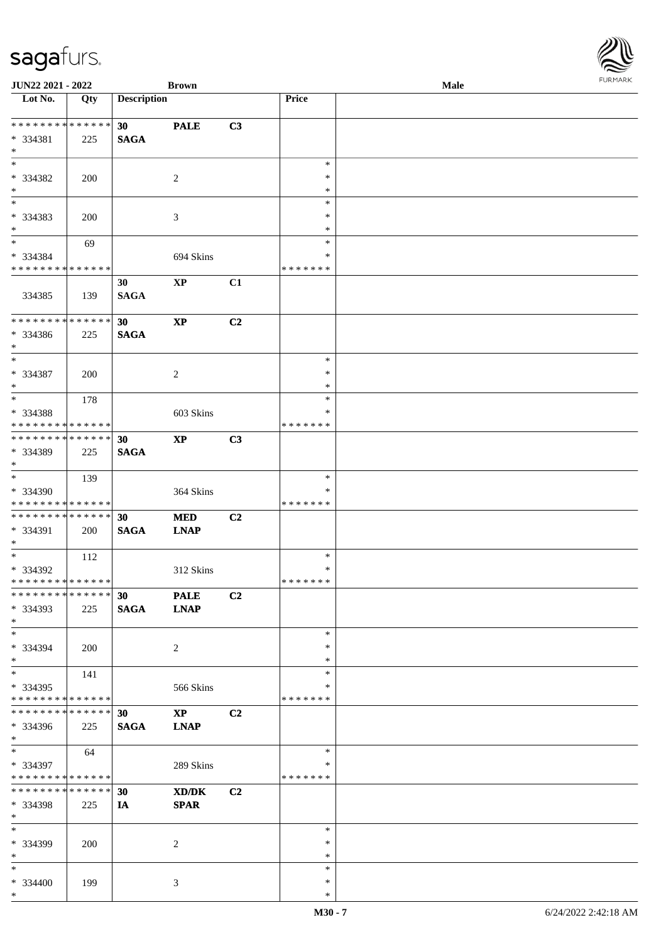| <b>JUN22 2021 - 2022</b>                             |     |                    | <b>Brown</b>               |                |                  | Male | <b>FURPIARA</b> |
|------------------------------------------------------|-----|--------------------|----------------------------|----------------|------------------|------|-----------------|
| Lot No.                                              | Qty | <b>Description</b> |                            |                | Price            |      |                 |
|                                                      |     |                    |                            |                |                  |      |                 |
| ******** <mark>******</mark>                         |     | 30                 | <b>PALE</b>                | C3             |                  |      |                 |
| * 334381                                             | 225 | <b>SAGA</b>        |                            |                |                  |      |                 |
| $\ast$                                               |     |                    |                            |                |                  |      |                 |
| $*$                                                  |     |                    |                            |                | $\ast$<br>$\ast$ |      |                 |
| * 334382                                             | 200 |                    | 2                          |                |                  |      |                 |
| $\ast$<br>$*$                                        |     |                    |                            |                | $\ast$           |      |                 |
|                                                      |     |                    |                            |                | $\ast$           |      |                 |
| * 334383<br>$*$                                      | 200 |                    | 3                          |                | $\ast$<br>$\ast$ |      |                 |
| $*$                                                  |     |                    |                            |                | $\ast$           |      |                 |
| * 334384                                             | 69  |                    |                            |                | ∗                |      |                 |
| * * * * * * * * <mark>* * * * * * *</mark>           |     |                    | 694 Skins                  |                | * * * * * * *    |      |                 |
|                                                      |     | 30                 | $\mathbf{XP}$              | C1             |                  |      |                 |
| 334385                                               | 139 | <b>SAGA</b>        |                            |                |                  |      |                 |
|                                                      |     |                    |                            |                |                  |      |                 |
| ******** <mark>******</mark>                         |     | 30                 | $\mathbf{X}\mathbf{P}$     | C2             |                  |      |                 |
| * 334386                                             | 225 | <b>SAGA</b>        |                            |                |                  |      |                 |
| $*$                                                  |     |                    |                            |                |                  |      |                 |
| $\ast$                                               |     |                    |                            |                | $\ast$           |      |                 |
| * 334387                                             | 200 |                    | $\overline{2}$             |                | $\ast$           |      |                 |
| $\ast$                                               |     |                    |                            |                | $\ast$           |      |                 |
|                                                      | 178 |                    |                            |                | $\ast$           |      |                 |
| * 334388                                             |     |                    | 603 Skins                  |                | ∗                |      |                 |
| * * * * * * * * <mark>* * * * * *</mark>             |     |                    |                            |                | * * * * * * *    |      |                 |
| * * * * * * * * <mark>* * * * * * *</mark>           |     | 30                 | $\boldsymbol{\mathrm{XP}}$ | C3             |                  |      |                 |
| * 334389                                             | 225 | <b>SAGA</b>        |                            |                |                  |      |                 |
| $\ast$                                               |     |                    |                            |                |                  |      |                 |
| $\overline{\mathbf{r}}$                              | 139 |                    |                            |                | $\ast$           |      |                 |
| * 334390                                             |     |                    | 364 Skins                  |                | ∗                |      |                 |
| * * * * * * * * <mark>* * * * * *</mark>             |     |                    |                            |                | * * * * * * *    |      |                 |
| * * * * * * * * <mark>* * * * * * *</mark>           |     | 30                 | <b>MED</b>                 | C2             |                  |      |                 |
| * 334391                                             | 200 | <b>SAGA</b>        | <b>LNAP</b>                |                |                  |      |                 |
| $*$                                                  |     |                    |                            |                |                  |      |                 |
| $\overline{\mathbf{r}}$                              | 112 |                    |                            |                | $\ast$           |      |                 |
| * 334392                                             |     |                    | 312 Skins                  |                | $\ast$           |      |                 |
| * * * * * * * * <mark>* * * * * *</mark>             |     |                    |                            |                | *******          |      |                 |
| * * * * * * * * * * * * * * <mark>*</mark>           |     | 30                 | <b>PALE</b>                | C2             |                  |      |                 |
| $* 334393$                                           | 225 | <b>SAGA</b>        | <b>LNAP</b>                |                |                  |      |                 |
| $\ast$                                               |     |                    |                            |                |                  |      |                 |
| $\ddot{x}$                                           |     |                    |                            |                | $\ast$           |      |                 |
| * 334394                                             | 200 |                    | 2                          |                | $\ast$           |      |                 |
| $\ast$                                               |     |                    |                            |                | $\ast$           |      |                 |
| $*$ $-$                                              | 141 |                    |                            |                | $\ast$           |      |                 |
| $*334395$                                            |     |                    | 566 Skins                  |                | ∗                |      |                 |
| * * * * * * * * <mark>* * * * * *</mark> *           |     |                    |                            |                | * * * * * * *    |      |                 |
| * * * * * * * * * * * * * * <mark>*</mark>           |     | 30                 | $\mathbf{X}\mathbf{P}$     | C <sub>2</sub> |                  |      |                 |
| * 334396                                             | 225 | <b>SAGA</b>        | <b>LNAP</b>                |                |                  |      |                 |
| $\ast$<br>$\overline{\mathbf{r}}$                    |     |                    |                            |                | $\ast$           |      |                 |
|                                                      | 64  |                    |                            |                | ∗                |      |                 |
| * 334397<br>* * * * * * * * <mark>* * * * * *</mark> |     |                    | 289 Skins                  |                | * * * * * * *    |      |                 |
| * * * * * * * * <mark>* * * * * * *</mark>           |     | 30                 | XD/DK                      | C <sub>2</sub> |                  |      |                 |
| * 334398                                             | 225 | IA                 | <b>SPAR</b>                |                |                  |      |                 |
| $*$                                                  |     |                    |                            |                |                  |      |                 |
| $*$ $-$                                              |     |                    |                            |                | $\ast$           |      |                 |
| * 334399                                             | 200 |                    | 2                          |                | $\ast$           |      |                 |
| $*$                                                  |     |                    |                            |                | $\ast$           |      |                 |
| $*$ $-$                                              |     |                    |                            |                | $\ast$           |      |                 |
| $* 334400$                                           | 199 |                    | 3                          |                | $\ast$           |      |                 |
| $\ast$                                               |     |                    |                            |                | $\ast$           |      |                 |

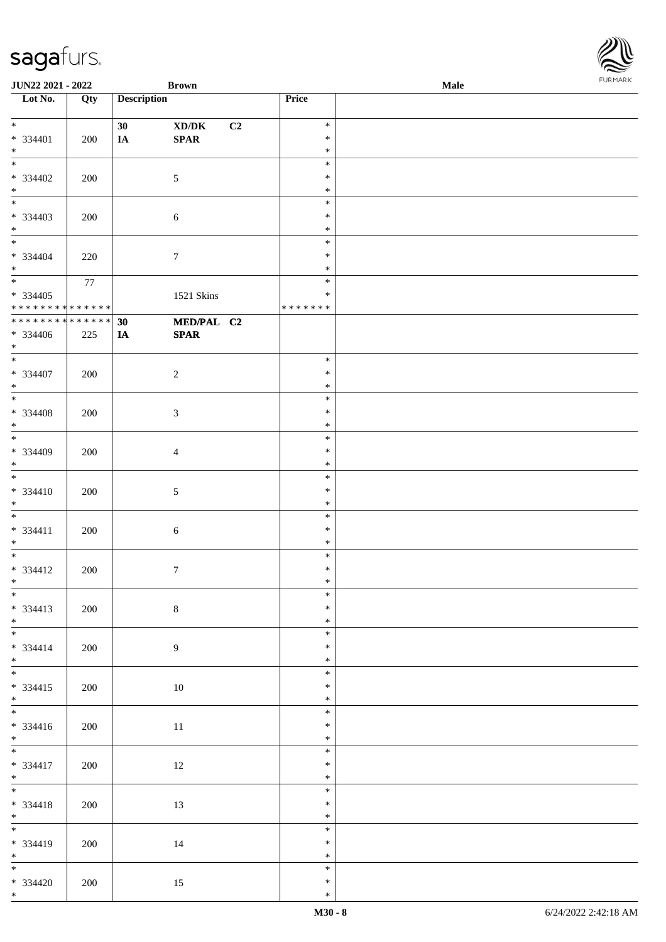| <b>JUN22 2021 - 2022</b>                                                                 |     |                    | <b>Brown</b>                                                 |    |                  | Male | <b>FUNITANN</b> |
|------------------------------------------------------------------------------------------|-----|--------------------|--------------------------------------------------------------|----|------------------|------|-----------------|
| Lot No.                                                                                  | Qty | <b>Description</b> |                                                              |    | Price            |      |                 |
| $*$                                                                                      |     | 30                 | $\boldsymbol{\text{XD}}\boldsymbol{/}\boldsymbol{\text{DK}}$ | C2 | $\ast$           |      |                 |
| $* 334401$                                                                               | 200 | IA                 | SPAR                                                         |    | $\ast$           |      |                 |
| $*$                                                                                      |     |                    |                                                              |    | $\ast$           |      |                 |
|                                                                                          |     |                    |                                                              |    | $\ast$           |      |                 |
| * 334402<br>$*$                                                                          | 200 |                    | $\mathfrak{S}$                                               |    | $\ast$<br>$\ast$ |      |                 |
|                                                                                          |     |                    |                                                              |    | $\ast$           |      |                 |
| $* 334403$                                                                               | 200 |                    | $\sqrt{6}$                                                   |    | $\ast$           |      |                 |
| $*$                                                                                      |     |                    |                                                              |    | $\ast$           |      |                 |
| $*$<br>* 334404                                                                          |     |                    |                                                              |    | $\ast$<br>$\ast$ |      |                 |
| $*$                                                                                      | 220 |                    | $\tau$                                                       |    | $\ast$           |      |                 |
| $\overline{\mathbf{r}}$                                                                  | 77  |                    |                                                              |    | $\ast$           |      |                 |
| * 334405                                                                                 |     |                    | 1521 Skins                                                   |    | $\ast$           |      |                 |
| * * * * * * * * <mark>* * * * * * *</mark><br>* * * * * * * * * * * * * * <mark>*</mark> |     | 30                 | MED/PAL C2                                                   |    | * * * * * * *    |      |                 |
| * 334406                                                                                 | 225 | IA                 | <b>SPAR</b>                                                  |    |                  |      |                 |
| $*$                                                                                      |     |                    |                                                              |    |                  |      |                 |
| $\ddot{x}$                                                                               |     |                    |                                                              |    | $\ast$           |      |                 |
| * 334407<br>$*$                                                                          | 200 |                    | $\overline{c}$                                               |    | $\ast$<br>$\ast$ |      |                 |
|                                                                                          |     |                    |                                                              |    | $\ast$           |      |                 |
| $* 334408$                                                                               | 200 |                    | $\mathfrak{Z}$                                               |    | $\ast$           |      |                 |
| $*$                                                                                      |     |                    |                                                              |    | $\ast$           |      |                 |
|                                                                                          |     |                    |                                                              |    | $\ast$<br>$\ast$ |      |                 |
| * 334409<br>$\ast$                                                                       | 200 |                    | $\overline{4}$                                               |    | $\ast$           |      |                 |
|                                                                                          |     |                    |                                                              |    | $\ast$           |      |                 |
| $* 334410$                                                                               | 200 |                    | 5                                                            |    | $\ast$           |      |                 |
| $\ast$<br>$\overline{\phantom{0}}$                                                       |     |                    |                                                              |    | $\ast$<br>$\ast$ |      |                 |
| $* 334411$                                                                               | 200 |                    | 6                                                            |    | $\ast$           |      |                 |
| $*$                                                                                      |     |                    |                                                              |    | $\ast$           |      |                 |
| $\overline{\ast}$                                                                        |     |                    |                                                              |    | $\ast$           |      |                 |
| $* 334412$<br>$*$                                                                        | 200 |                    | $\boldsymbol{7}$                                             |    | $\ast$<br>$*$    |      |                 |
| $\overline{\ast}$                                                                        |     |                    |                                                              |    | $\ast$           |      |                 |
| $* 334413$                                                                               | 200 |                    | $\,8\,$                                                      |    | $\ast$           |      |                 |
| $*$<br>*                                                                                 |     |                    |                                                              |    | $\ast$           |      |                 |
| $* 334414$                                                                               | 200 |                    | 9                                                            |    | $\ast$<br>$\ast$ |      |                 |
| $*$                                                                                      |     |                    |                                                              |    | $\ast$           |      |                 |
|                                                                                          |     |                    |                                                              |    | $\ast$           |      |                 |
| $* 334415$                                                                               | 200 |                    | 10                                                           |    | $\ast$           |      |                 |
| $*$                                                                                      |     |                    |                                                              |    | $\ast$<br>$\ast$ |      |                 |
| $* 334416$                                                                               | 200 |                    | 11                                                           |    | $\ast$           |      |                 |
| $*$                                                                                      |     |                    |                                                              |    | $\ast$           |      |                 |
| $\overline{\mathbf{r}}$                                                                  |     |                    |                                                              |    | $\ast$           |      |                 |
| $* 334417$<br>$*$                                                                        | 200 |                    | 12                                                           |    | $\ast$<br>$\ast$ |      |                 |
| $*$                                                                                      |     |                    |                                                              |    | $\ast$           |      |                 |
| * 334418                                                                                 | 200 |                    | 13                                                           |    | $\ast$           |      |                 |
| $*$<br>$\overline{\mathbf{r}}$                                                           |     |                    |                                                              |    | $\ast$           |      |                 |
| * 334419                                                                                 | 200 |                    | 14                                                           |    | $\ast$<br>$*$    |      |                 |
|                                                                                          |     |                    |                                                              |    | $\ast$           |      |                 |
| * $\overline{\hspace{1cm}}$ *                                                            |     |                    |                                                              |    | $\ast$           |      |                 |
| $* 334420$                                                                               | 200 |                    | 15                                                           |    | $\ast$           |      |                 |
| $*$ $-$                                                                                  |     |                    |                                                              |    | $\ast$           |      |                 |

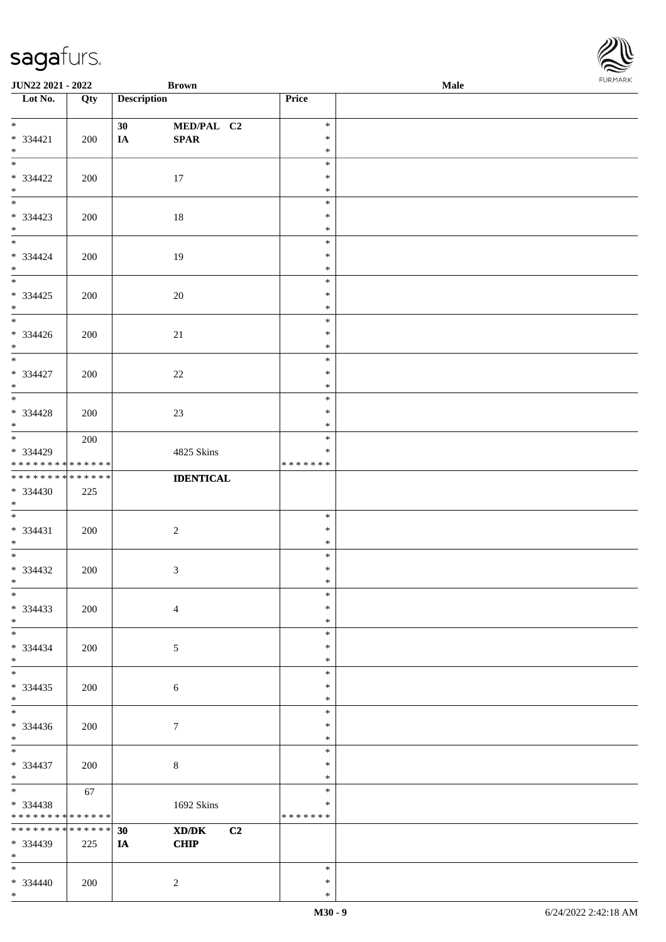| <b>JUN22 2021 - 2022</b>        |             | <b>Brown</b>       |                  | Male | <b>FUNITANN</b> |
|---------------------------------|-------------|--------------------|------------------|------|-----------------|
| Lot No.                         | Qty         | <b>Description</b> | Price            |      |                 |
|                                 |             |                    |                  |      |                 |
| $*$                             |             | 30<br>MED/PAL C2   | $\ast$<br>$\ast$ |      |                 |
| $* 334421$                      | 200         | SPAR<br>IA         | $\ast$           |      |                 |
| $*$<br>$*$                      |             |                    | $\ast$           |      |                 |
| * 334422                        | 200         | 17                 | $\ast$           |      |                 |
| $*$                             |             |                    | $\ast$           |      |                 |
|                                 |             |                    | $\ast$           |      |                 |
| * 334423                        | 200         | 18                 | $\ast$           |      |                 |
| $*$                             |             |                    | $\ast$           |      |                 |
| $*$                             |             |                    | $\ast$           |      |                 |
| * 334424                        | 200         | 19                 | $\ast$           |      |                 |
| $*$<br>$\overline{\mathbf{r}}$  |             |                    | $\ast$           |      |                 |
|                                 |             |                    | $\ast$<br>$\ast$ |      |                 |
| $* 334425$<br>$*$               | 200         | 20                 | $\ast$           |      |                 |
|                                 |             |                    | $\ast$           |      |                 |
| * 334426                        | 200         | 21                 | $\ast$           |      |                 |
| $*$                             |             |                    | $\ast$           |      |                 |
| $\overline{\ast}$               |             |                    | $\ast$           |      |                 |
| * 334427                        | 200         | 22                 | $\ast$           |      |                 |
| $*$                             |             |                    | $\ast$           |      |                 |
|                                 |             |                    | $\ast$           |      |                 |
| $* 334428$                      | 200         | 23                 | $\ast$           |      |                 |
| $*$                             | 200         |                    | $\ast$<br>$\ast$ |      |                 |
| * 334429                        |             | 4825 Skins         | $\ast$           |      |                 |
| * * * * * * * *                 | * * * * * * |                    | * * * * * * *    |      |                 |
| * * * * * * * * * * * * * *     |             | <b>IDENTICAL</b>   |                  |      |                 |
| * 334430                        | 225         |                    |                  |      |                 |
| $\ast$                          |             |                    |                  |      |                 |
|                                 |             |                    | $\ast$           |      |                 |
| $* 334431$                      | 200         | $\overline{c}$     | $\ast$           |      |                 |
| $*$<br>$\overline{\cdot}$       |             |                    | $\ast$<br>$\ast$ |      |                 |
| * 334432                        | 200         | $\sqrt{3}$         | $\ast$           |      |                 |
| $\ddot{x}$                      |             |                    | $*$              |      |                 |
| $\ast$                          |             |                    | $\ast$           |      |                 |
| $* 334433$                      | 200         | $\overline{4}$     | $\ast$           |      |                 |
| $*$                             |             |                    | $\ast$           |      |                 |
|                                 |             |                    | $\ast$           |      |                 |
| * 334434                        | 200         | 5                  | $\ast$           |      |                 |
| $*$<br>$\overline{\phantom{0}}$ |             |                    | $\ast$           |      |                 |
| * 334435                        | 200         |                    | $\ast$<br>$\ast$ |      |                 |
| $\ast$                          |             | 6                  | $\ast$           |      |                 |
|                                 |             |                    | $\ast$           |      |                 |
| * 334436                        | 200         | $\tau$             | $\ast$           |      |                 |
| $\ddot{x}$                      |             |                    | $\ast$           |      |                 |
| $*$                             |             |                    | $\ast$           |      |                 |
| * 334437                        | 200         | 8                  | $\ast$           |      |                 |
| $*$<br>$\ddot{x}$               |             |                    | $\ast$           |      |                 |
|                                 | 67          |                    | $\ast$<br>$\ast$ |      |                 |
| * 334438<br>* * * * * * * *     | * * * * * * | 1692 Skins         | * * * * * * *    |      |                 |
| * * * * * * * *                 | * * * * * * | XD/DK<br>C2<br>30  |                  |      |                 |
| * 334439                        | 225         | <b>CHIP</b><br>IA  |                  |      |                 |
| $*$ $-$                         |             |                    |                  |      |                 |
| $*$                             |             |                    | $\ast$           |      |                 |
| $* 334440$                      | 200         | 2                  | $\ast$           |      |                 |
| $\ast$                          |             |                    | $\ast$           |      |                 |

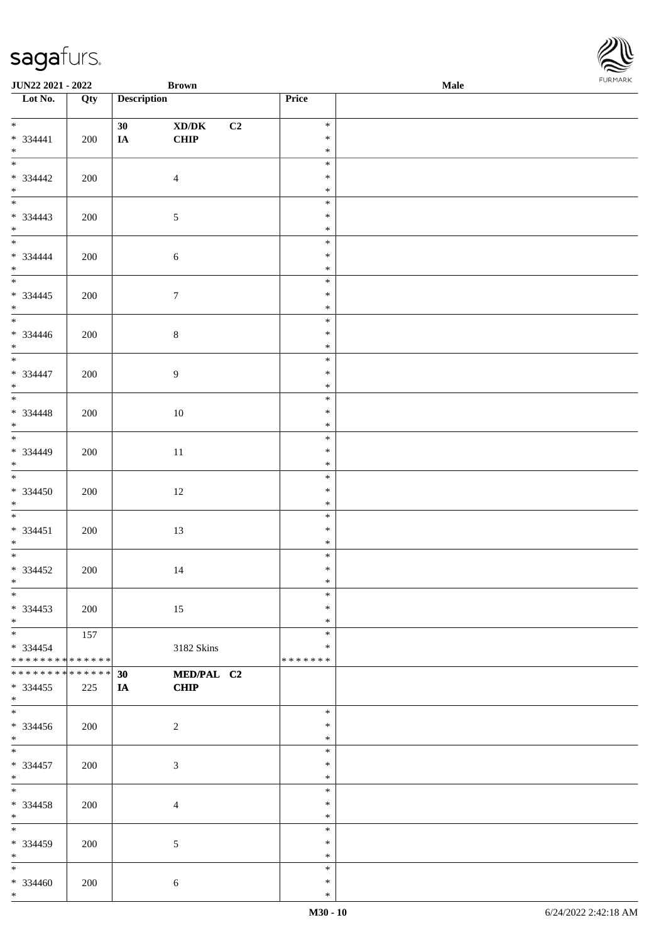| <b>JUN22 2021 - 2022</b>                                      |                      |                       | <b>Brown</b>              |    |                                   | <b>Male</b> |  |
|---------------------------------------------------------------|----------------------|-----------------------|---------------------------|----|-----------------------------------|-------------|--|
| Lot No.                                                       | Qty                  | <b>Description</b>    |                           |    | Price                             |             |  |
| $* 334441$<br>$*$                                             | 200                  | 30 <sup>1</sup><br>IA | XD/DK<br>CHIP             | C2 | $\ast$<br>$\ast$<br>$\ast$        |             |  |
| $* 334442$<br>$*$                                             | 200                  |                       | $\overline{4}$            |    | $\ast$<br>$\ast$<br>$\ast$        |             |  |
| $* 334443$<br>$*$<br>$*$                                      | 200                  |                       | $\mathfrak{S}$            |    | $\ast$<br>$\ast$<br>$\ast$        |             |  |
| $* 334444$<br>$*$                                             | 200                  |                       | $\sqrt{6}$                |    | $\ast$<br>$\ast$<br>$\ast$        |             |  |
| $* 334445$<br>$*$                                             | 200                  |                       | $\boldsymbol{7}$          |    | $\ast$<br>$\ast$<br>$\ast$        |             |  |
| $* 334446$<br>$*$<br>*                                        | 200                  |                       | $\,8\,$                   |    | $\ast$<br>$\ast$<br>$\ast$        |             |  |
| $* 334447$<br>$*$                                             | 200                  |                       | 9                         |    | $\ast$<br>$\ast$<br>$\ast$        |             |  |
| $* 334448$<br>$*$                                             | 200                  |                       | 10                        |    | $\ast$<br>$\ast$<br>$\ast$        |             |  |
| $\ast$<br>$* 334449$<br>$*$                                   | 200                  |                       | 11                        |    | $\ast$<br>$\ast$<br>$\ast$        |             |  |
| $\overline{\ast}$<br>$* 334450$<br>$*$                        | 200                  |                       | 12                        |    | $\ast$<br>$\ast$<br>$\ast$        |             |  |
| $* 334451$<br>$*$                                             | 200                  |                       | 13                        |    | $\ast$<br>$\ast$<br>$\ast$        |             |  |
| $* 334452$<br>$*$ $-$                                         | 200                  |                       | 14                        |    | $\ast$<br>$\ast$<br>$\ast$        |             |  |
| $\ast$<br>$* 334453$<br>$*$                                   | 200                  |                       | 15                        |    | $\ast$<br>$\ast$<br>$\ast$        |             |  |
| $*$<br>$* 334454$<br>* * * * * * * * <mark>* * * * * *</mark> | 157                  |                       | 3182 Skins                |    | $\ast$<br>$\ast$<br>* * * * * * * |             |  |
| * * * * * * * *<br>$* 334455$<br>$\ast$                       | * * * * * *  <br>225 | 30<br>$I$ <b>A</b>    | MED/PAL C2<br><b>CHIP</b> |    |                                   |             |  |
| $\ddot{x}$<br>$*334456$<br>$*$                                | 200                  |                       | 2                         |    | $*$<br>$\ast$<br>$\ast$           |             |  |
| $* 334457$<br>$*$                                             | 200                  |                       | $\mathfrak{Z}$            |    | $\ast$<br>$\ast$<br>$\ast$        |             |  |
| $*$<br>* 334458<br>$\ast$                                     | 200                  |                       | $\overline{4}$            |    | $\ast$<br>$\ast$<br>$\ast$        |             |  |
| $\overline{\mathbf{r}}$<br>$* 334459$<br>$*$ $-$              | 200                  |                       | 5                         |    | $\ast$<br>$\ast$<br>$\ast$        |             |  |
| $\ast$<br>* 334460<br>$*$ $-$                                 | 200                  |                       | 6                         |    | $\ast$<br>$\ast$<br>$\ast$        |             |  |

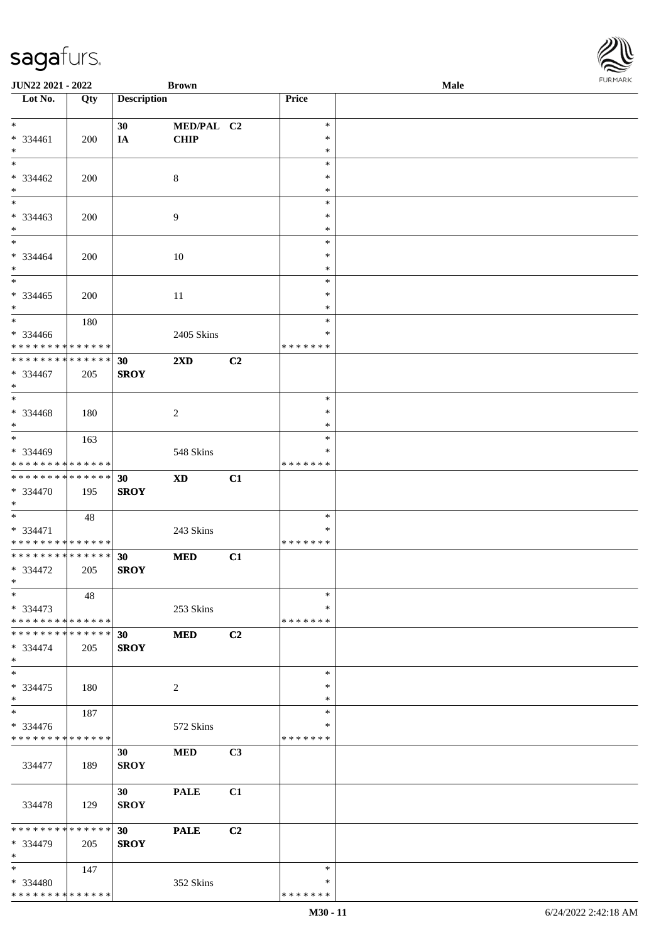| JUN22 2021 - 2022                       |     |                    | <b>Brown</b>            |    |               | Male | <b>FUNITANN</b> |
|-----------------------------------------|-----|--------------------|-------------------------|----|---------------|------|-----------------|
| $\overline{\phantom{1}}$ Lot No.        | Qty | <b>Description</b> |                         |    | Price         |      |                 |
|                                         |     |                    |                         |    |               |      |                 |
| $*$                                     |     | 30                 | MED/PAL C2              |    | $\ast$        |      |                 |
| * 334461                                | 200 | IA                 | <b>CHIP</b>             |    | $\ast$        |      |                 |
| $*$                                     |     |                    |                         |    | $\ast$        |      |                 |
| $*$                                     |     |                    |                         |    | $\ast$        |      |                 |
| * 334462                                | 200 |                    | 8                       |    | $\ast$        |      |                 |
| $*$                                     |     |                    |                         |    | $\ast$        |      |                 |
| $\ast$                                  |     |                    |                         |    | $\ast$        |      |                 |
| $* 334463$                              | 200 |                    | 9                       |    | $\ast$        |      |                 |
| $\ast$                                  |     |                    |                         |    | $\ast$        |      |                 |
| $*$                                     |     |                    |                         |    | $\ast$        |      |                 |
| * 334464                                | 200 |                    | 10                      |    | $\ast$        |      |                 |
| $*$                                     |     |                    |                         |    | $\ast$        |      |                 |
| $\overline{\phantom{0}}$                |     |                    |                         |    | $\ast$        |      |                 |
| $* 334465$                              | 200 |                    | 11                      |    | $\ast$        |      |                 |
| $*$                                     |     |                    |                         |    | $\ast$        |      |                 |
|                                         | 180 |                    |                         |    | $\ast$        |      |                 |
| * 334466                                |     |                    | 2405 Skins              |    | $\ast$        |      |                 |
| * * * * * * * * * * * * * *             |     |                    |                         |    | * * * * * * * |      |                 |
| * * * * * * * * * * * * * *             |     | 30                 | $2\mathbf{X}\mathbf{D}$ | C2 |               |      |                 |
| $* 334467$                              | 205 | <b>SROY</b>        |                         |    |               |      |                 |
| $*$                                     |     |                    |                         |    |               |      |                 |
| $\ast$                                  |     |                    |                         |    | $\ast$        |      |                 |
| * 334468                                | 180 |                    | $\overline{c}$          |    | $\ast$        |      |                 |
| $*$                                     |     |                    |                         |    | $\ast$        |      |                 |
| $*$                                     | 163 |                    |                         |    | $\ast$        |      |                 |
| * 334469                                |     |                    | 548 Skins               |    | $\ast$        |      |                 |
| * * * * * * * * * * * * * *             |     |                    |                         |    | * * * * * * * |      |                 |
| * * * * * * * * * * * * * *             |     | 30                 | <b>XD</b>               | C1 |               |      |                 |
| * 334470                                | 195 | <b>SROY</b>        |                         |    |               |      |                 |
| $*$                                     |     |                    |                         |    |               |      |                 |
| $*$                                     | 48  |                    |                         |    | $\ast$        |      |                 |
| $* 334471$                              |     |                    | 243 Skins               |    | ∗             |      |                 |
| * * * * * * * * * * * * * *             |     |                    |                         |    | * * * * * * * |      |                 |
| * * * * * * * * * * * * * *             |     | 30                 | $\bf MED$               | C1 |               |      |                 |
| * 334472                                | 205 | <b>SROY</b>        |                         |    |               |      |                 |
| $*$ $-$                                 |     |                    |                         |    |               |      |                 |
| $\ast$                                  | 48  |                    |                         |    | $\ast$        |      |                 |
| * 334473<br>* * * * * * * * * * * * * * |     |                    | 253 Skins               |    | $\ast$        |      |                 |
| * * * * * * * * * * * * * *             |     |                    |                         |    | * * * * * * * |      |                 |
|                                         |     | 30                 | <b>MED</b>              | C2 |               |      |                 |
| * 334474<br>$*$                         | 205 | <b>SROY</b>        |                         |    |               |      |                 |
| $\ast$                                  |     |                    |                         |    | $\ast$        |      |                 |
| $* 334475$                              |     |                    |                         |    | $\ast$        |      |                 |
| $*$                                     | 180 |                    | 2                       |    | $\ast$        |      |                 |
| $*$                                     | 187 |                    |                         |    | $\ast$        |      |                 |
| * 334476                                |     |                    | 572 Skins               |    | ∗             |      |                 |
| * * * * * * * * * * * * * *             |     |                    |                         |    | * * * * * * * |      |                 |
|                                         |     | 30                 | <b>MED</b>              | C3 |               |      |                 |
| 334477                                  | 189 | <b>SROY</b>        |                         |    |               |      |                 |
|                                         |     |                    |                         |    |               |      |                 |
|                                         |     | 30                 | <b>PALE</b>             | C1 |               |      |                 |
| 334478                                  | 129 | <b>SROY</b>        |                         |    |               |      |                 |
|                                         |     |                    |                         |    |               |      |                 |
| * * * * * * * * * * * * * *             |     | 30                 | <b>PALE</b>             | C2 |               |      |                 |
| * 334479                                | 205 | <b>SROY</b>        |                         |    |               |      |                 |
| $*$                                     |     |                    |                         |    |               |      |                 |
| $*$                                     | 147 |                    |                         |    | $\ast$        |      |                 |
| * 334480                                |     |                    | 352 Skins               |    | ∗             |      |                 |
| * * * * * * * * * * * * * *             |     |                    |                         |    | * * * * * * * |      |                 |
|                                         |     |                    |                         |    |               |      |                 |

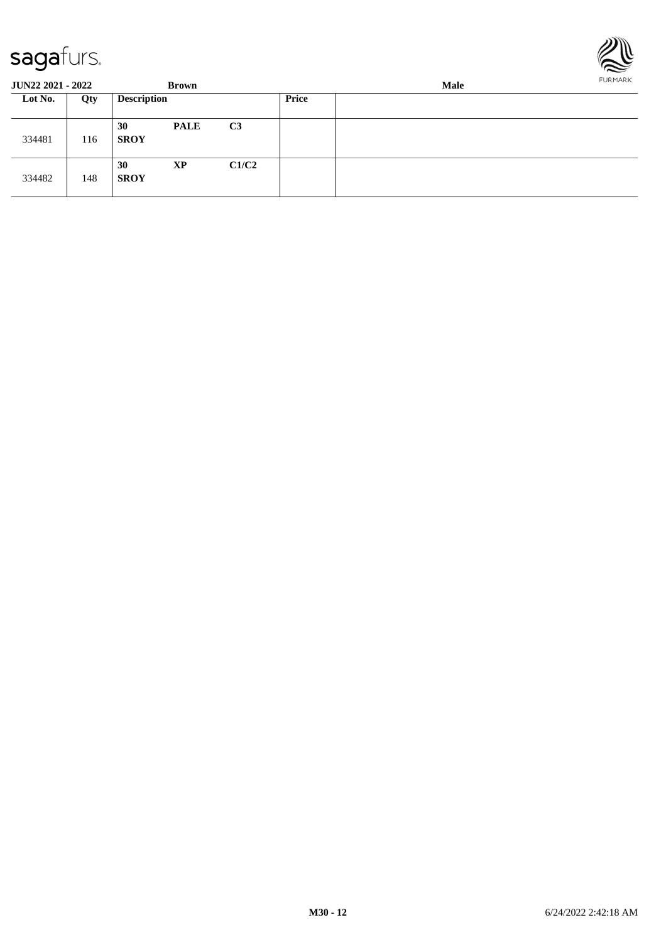

| <b>JUN22 2021 - 2022</b> |     |                    | <b>Brown</b> |                |              | Male | FURMARK |
|--------------------------|-----|--------------------|--------------|----------------|--------------|------|---------|
| Lot No.                  | Qty | <b>Description</b> |              |                | <b>Price</b> |      |         |
| 334481                   | 116 | 30<br><b>SROY</b>  | <b>PALE</b>  | C <sub>3</sub> |              |      |         |
| 334482                   | 148 | 30<br><b>SROY</b>  | XP           | C1/C2          |              |      |         |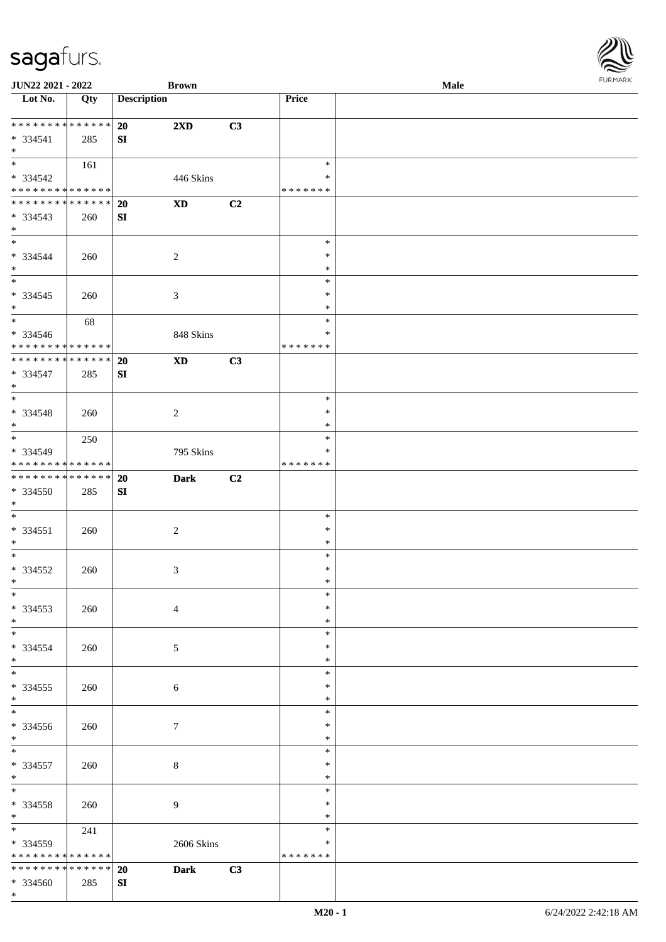| URMARK<br>F |
|-------------|

| JUN22 2021 - 2022                  |     |                    | <b>Brown</b>               |    |               | Male | 1.91111111 |
|------------------------------------|-----|--------------------|----------------------------|----|---------------|------|------------|
| $\overline{\phantom{1}}$ Lot No.   | Qty | <b>Description</b> |                            |    | Price         |      |            |
|                                    |     |                    |                            |    |               |      |            |
| ******** <mark>******</mark>       |     | 20                 | $2\mathbf{X}\mathbf{D}$    | C3 |               |      |            |
| * 334541                           | 285 | SI                 |                            |    |               |      |            |
| $\ast$                             |     |                    |                            |    |               |      |            |
| $\overline{\phantom{0}}$           | 161 |                    |                            |    | $\ast$        |      |            |
| * 334542                           |     |                    | 446 Skins                  |    | $\ast$        |      |            |
| **************                     |     |                    |                            |    | * * * * * * * |      |            |
| **************                     |     | 20                 | $\mathbf{X}\mathbf{D}$     | C2 |               |      |            |
| * 334543                           | 260 | SI                 |                            |    |               |      |            |
| $\ast$                             |     |                    |                            |    |               |      |            |
| $\overline{\phantom{a}^*}$         |     |                    |                            |    | $\ast$        |      |            |
|                                    |     |                    |                            |    | $\ast$        |      |            |
| $* 334544$<br>$\ast$               | 260 |                    | $\overline{c}$             |    | $\ast$        |      |            |
| $\frac{1}{*}$                      |     |                    |                            |    |               |      |            |
|                                    |     |                    |                            |    | $\ast$        |      |            |
| $* 334545$                         | 260 |                    | $\mathfrak{Z}$             |    | ∗             |      |            |
| $\ast$<br>$\overline{\phantom{0}}$ |     |                    |                            |    | $\ast$        |      |            |
|                                    | 68  |                    |                            |    | $\ast$        |      |            |
| $* 334546$                         |     |                    | 848 Skins                  |    | $\ast$        |      |            |
| * * * * * * * * * * * * * * *      |     |                    |                            |    | * * * * * * * |      |            |
| ******** <mark>******</mark>       |     | 20                 | $\boldsymbol{\mathrm{XD}}$ | C3 |               |      |            |
| * 334547                           | 285 | SI                 |                            |    |               |      |            |
| $\ast$                             |     |                    |                            |    |               |      |            |
| $_{\ast}^{-}$                      |     |                    |                            |    | $\ast$        |      |            |
| * 334548                           | 260 |                    | $\overline{2}$             |    | $\ast$        |      |            |
| $*$                                |     |                    |                            |    | $\ast$        |      |            |
| $\ast$                             | 250 |                    |                            |    | $\ast$        |      |            |
| * 334549                           |     |                    | 795 Skins                  |    | ∗             |      |            |
| ******** <mark>******</mark>       |     |                    |                            |    | * * * * * * * |      |            |
| ******** <mark>******</mark>       |     | 20                 | <b>Dark</b>                | C2 |               |      |            |
| * 334550                           | 285 | SI                 |                            |    |               |      |            |
| $\ast$                             |     |                    |                            |    |               |      |            |
| $\overline{\phantom{0}}$           |     |                    |                            |    | $\ast$        |      |            |
|                                    |     |                    |                            |    | $\ast$        |      |            |
| $* 334551$                         | 260 |                    | $\sqrt{2}$                 |    |               |      |            |
| $*$<br>$\ast$                      |     |                    |                            |    | $\ast$        |      |            |
|                                    |     |                    |                            |    | $\ast$        |      |            |
| $* 334552$                         | 260 |                    | $\mathfrak{Z}$             |    | $\ast$        |      |            |
| $*$ $-$                            |     |                    |                            |    | $\ast$        |      |            |
| $*$                                |     |                    |                            |    | $\ast$        |      |            |
| $*334553$                          | 260 |                    | $\overline{4}$             |    | $\ast$        |      |            |
| $\ast$<br>$\frac{1}{*}$            |     |                    |                            |    | $\ast$        |      |            |
|                                    |     |                    |                            |    | $\ast$        |      |            |
| * 334554                           | 260 |                    | 5                          |    | ∗             |      |            |
| $*$                                |     |                    |                            |    | $\ast$        |      |            |
| $\ast$                             |     |                    |                            |    | $\ast$        |      |            |
| $*334555$                          | 260 |                    | 6                          |    | ∗             |      |            |
| $*$                                |     |                    |                            |    | *             |      |            |
| $\overline{\phantom{0}}$           |     |                    |                            |    | $\ast$        |      |            |
| * 334556                           | 260 |                    | $\tau$                     |    | $\ast$        |      |            |
| $*$                                |     |                    |                            |    | $\ast$        |      |            |
| $\overline{\phantom{0}}$           |     |                    |                            |    | $\ast$        |      |            |
| * 334557                           | 260 |                    | $\,8\,$                    |    | ∗             |      |            |
| $*$                                |     |                    |                            |    | $\ast$        |      |            |
| $\ast$                             |     |                    |                            |    | $\ast$        |      |            |
| * 334558                           | 260 |                    | 9                          |    | $\ast$        |      |            |
| $*$                                |     |                    |                            |    | $\ast$        |      |            |
| $*$                                |     |                    |                            |    | $\ast$        |      |            |
|                                    | 241 |                    |                            |    |               |      |            |
| * 334559                           |     |                    | 2606 Skins                 |    | $\ast$        |      |            |
| * * * * * * * * * * * * * * *      |     |                    |                            |    | * * * * * * * |      |            |
| ******** <mark>******</mark>       |     | 20                 | <b>Dark</b>                | C3 |               |      |            |
| * 334560                           | 285 | SI                 |                            |    |               |      |            |
| $*$                                |     |                    |                            |    |               |      |            |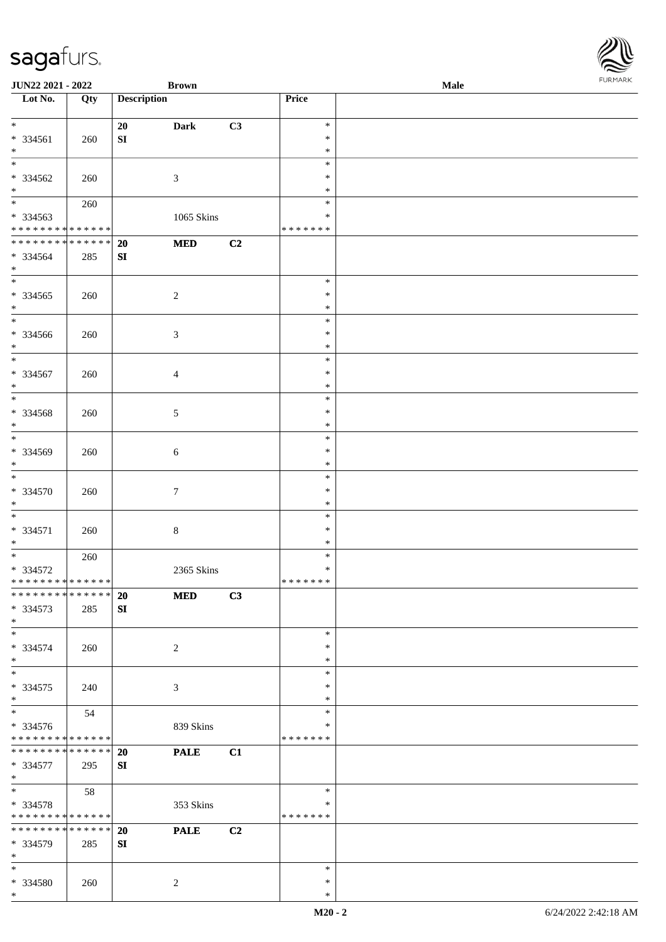| <b>JUN22 2021 - 2022</b>                   |     |                    | <b>Brown</b>   |    |               | <b>Male</b> | $1 \times 1 \times 1 \times 1 \times 1$ |
|--------------------------------------------|-----|--------------------|----------------|----|---------------|-------------|-----------------------------------------|
| Lot No.                                    | Qty | <b>Description</b> |                |    | Price         |             |                                         |
|                                            |     |                    |                |    |               |             |                                         |
| $\ddot{x}$                                 |     | 20                 | <b>Dark</b>    | C3 | $\ast$        |             |                                         |
| * 334561                                   | 260 | SI                 |                |    | $\ast$        |             |                                         |
| $*$                                        |     |                    |                |    | $\ast$        |             |                                         |
| $\overline{\ast}$                          |     |                    |                |    | $\ast$        |             |                                         |
| * 334562                                   | 260 |                    | 3              |    | $\ast$        |             |                                         |
| $*$                                        |     |                    |                |    | $\ast$        |             |                                         |
|                                            | 260 |                    |                |    | $\ast$        |             |                                         |
| * 334563                                   |     |                    | 1065 Skins     |    | $\ast$        |             |                                         |
| * * * * * * * * <mark>* * * * * * *</mark> |     |                    |                |    | * * * * * * * |             |                                         |
| * * * * * * * * * * * * * * <mark>*</mark> |     | <b>20</b>          | <b>MED</b>     | C2 |               |             |                                         |
| * 334564                                   | 285 | SI                 |                |    |               |             |                                         |
| $\ast$                                     |     |                    |                |    |               |             |                                         |
| $\overline{\mathbf{r}}$                    |     |                    |                |    | $\ast$        |             |                                         |
| * 334565                                   |     |                    | $\overline{2}$ |    | $\ast$        |             |                                         |
| $*$                                        | 260 |                    |                |    | $\ast$        |             |                                         |
| $*$                                        |     |                    |                |    | $\ast$        |             |                                         |
| * 334566                                   |     |                    |                |    | $\ast$        |             |                                         |
|                                            | 260 |                    | $\mathfrak{Z}$ |    | $\ast$        |             |                                         |
| $*$<br>$\overline{\ast}$                   |     |                    |                |    | $\ast$        |             |                                         |
|                                            |     |                    |                |    | $\ast$        |             |                                         |
| * 334567                                   | 260 |                    | $\overline{4}$ |    |               |             |                                         |
| $\ast$                                     |     |                    |                |    | $\ast$        |             |                                         |
|                                            |     |                    |                |    | $\ast$        |             |                                         |
| $* 334568$                                 | 260 |                    | 5              |    | $\ast$        |             |                                         |
| $*$<br>$\overline{\phantom{0}}$            |     |                    |                |    | $\ast$        |             |                                         |
|                                            |     |                    |                |    | $\ast$        |             |                                         |
| $* 334569$                                 | 260 |                    | $\sqrt{6}$     |    | $\ast$        |             |                                         |
| $\ast$                                     |     |                    |                |    | $\ast$        |             |                                         |
| $\overline{\ast}$                          |     |                    |                |    | $\ast$        |             |                                         |
| * 334570                                   | 260 |                    | $\tau$         |    | $\ast$        |             |                                         |
| $\ast$                                     |     |                    |                |    | $\ast$        |             |                                         |
|                                            |     |                    |                |    | $\ast$        |             |                                         |
| * 334571                                   | 260 |                    | $8\,$          |    | ∗             |             |                                         |
| $*$                                        |     |                    |                |    | $\ast$        |             |                                         |
| $*$                                        | 260 |                    |                |    | $\ast$        |             |                                         |
| $* 334572$                                 |     |                    | 2365 Skins     |    | $\ast$        |             |                                         |
| * * * * * * * * * * * * * * *              |     |                    |                |    | *******       |             |                                         |
| * * * * * * * * <mark>* * * * * * *</mark> |     | <b>20</b>          | <b>MED</b>     | C3 |               |             |                                         |
| * 334573                                   | 285 | SI                 |                |    |               |             |                                         |
| $*$                                        |     |                    |                |    |               |             |                                         |
| $\ast$                                     |     |                    |                |    | $\ast$        |             |                                         |
| * 334574                                   | 260 |                    | 2              |    | $\ast$        |             |                                         |
| $*$                                        |     |                    |                |    | $\ast$        |             |                                         |
| $*$                                        |     |                    |                |    | $\ast$        |             |                                         |
| * 334575                                   | 240 |                    | 3              |    | $\ast$        |             |                                         |
| $\ast$                                     |     |                    |                |    | $\ast$        |             |                                         |
| $\overline{\ast}$                          | 54  |                    |                |    | $\ast$        |             |                                         |
| * 334576                                   |     |                    | 839 Skins      |    | ∗             |             |                                         |
| * * * * * * * * <mark>* * * * * * *</mark> |     |                    |                |    | * * * * * * * |             |                                         |
| * * * * * * * * <mark>* * * * * * *</mark> |     | <b>20</b>          | <b>PALE</b>    | C1 |               |             |                                         |
| * 334577                                   | 295 | SI                 |                |    |               |             |                                         |
| $*$                                        |     |                    |                |    |               |             |                                         |
| $\ast$                                     | 58  |                    |                |    | $\ast$        |             |                                         |
| * 334578                                   |     |                    | 353 Skins      |    | ∗             |             |                                         |
| * * * * * * * * <mark>* * * * * *</mark> * |     |                    |                |    | *******       |             |                                         |
| * * * * * * * * <mark>* * * * * * *</mark> |     | <b>20</b>          | <b>PALE</b>    | C2 |               |             |                                         |
| * 334579                                   | 285 | SI                 |                |    |               |             |                                         |
| $\ast$                                     |     |                    |                |    |               |             |                                         |
| $\ast$                                     |     |                    |                |    | $\ast$        |             |                                         |
| * 334580                                   | 260 |                    | 2              |    | $\ast$        |             |                                         |
| $\ast$                                     |     |                    |                |    | $\ast$        |             |                                         |
|                                            |     |                    |                |    |               |             |                                         |

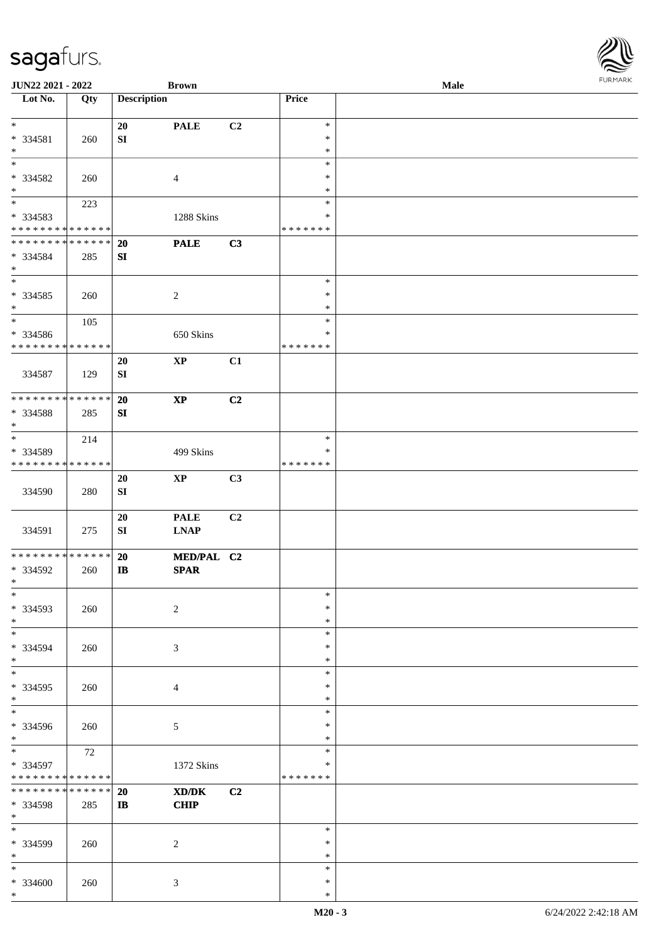| <b>JUN22 2021 - 2022</b>                               |     |                    | <b>Brown</b>                                |                |                  | Male | $\sim$ |
|--------------------------------------------------------|-----|--------------------|---------------------------------------------|----------------|------------------|------|--------|
| Lot No.                                                | Qty | <b>Description</b> |                                             |                | Price            |      |        |
|                                                        |     |                    |                                             |                |                  |      |        |
| $*$                                                    |     | 20                 | <b>PALE</b>                                 | C2             | $\ast$           |      |        |
| * 334581                                               | 260 | SI                 |                                             |                | $\ast$           |      |        |
| $\ast$                                                 |     |                    |                                             |                | $\ast$           |      |        |
|                                                        |     |                    |                                             |                | $\ast$           |      |        |
| * 334582                                               | 260 |                    | $\overline{4}$                              |                | $\ast$           |      |        |
| $*$                                                    |     |                    |                                             |                | $\ast$           |      |        |
|                                                        | 223 |                    |                                             |                | $\ast$           |      |        |
| * 334583                                               |     |                    | 1288 Skins                                  |                | $\ast$           |      |        |
| * * * * * * * * <mark>* * * * * * *</mark>             |     |                    |                                             |                | * * * * * * *    |      |        |
| * * * * * * * * <mark>* * * * * * *</mark>             |     | <b>20</b>          | <b>PALE</b>                                 | C3             |                  |      |        |
| * 334584                                               | 285 | SI                 |                                             |                |                  |      |        |
| $\ast$<br>$\overline{\ }$                              |     |                    |                                             |                |                  |      |        |
|                                                        |     |                    |                                             |                | $\ast$           |      |        |
| * 334585                                               | 260 |                    | 2                                           |                | $\ast$           |      |        |
| $*$<br>$*$                                             |     |                    |                                             |                | $\ast$<br>$\ast$ |      |        |
|                                                        | 105 |                    |                                             |                | $\ast$           |      |        |
| * 334586<br>* * * * * * * * <mark>* * * * * * *</mark> |     |                    | 650 Skins                                   |                | * * * * * * *    |      |        |
|                                                        |     |                    |                                             |                |                  |      |        |
| 334587                                                 |     | 20                 | $\mathbf{XP}$                               | C1             |                  |      |        |
|                                                        | 129 | SI                 |                                             |                |                  |      |        |
| * * * * * * * * <mark>* * * * * * *</mark>             |     | 20                 | $\bold{XP}$                                 | C2             |                  |      |        |
|                                                        |     |                    |                                             |                |                  |      |        |
| * 334588<br>$*$                                        | 285 | ${\bf SI}$         |                                             |                |                  |      |        |
| $*$                                                    | 214 |                    |                                             |                | $\ast$           |      |        |
| * 334589                                               |     |                    | 499 Skins                                   |                | ∗                |      |        |
| * * * * * * * * <mark>* * * * * *</mark>               |     |                    |                                             |                | * * * * * * *    |      |        |
|                                                        |     | 20                 | $\mathbf{X}\mathbf{P}$                      | C3             |                  |      |        |
| 334590                                                 | 280 | SI                 |                                             |                |                  |      |        |
|                                                        |     |                    |                                             |                |                  |      |        |
|                                                        |     | 20                 | <b>PALE</b>                                 | C <sub>2</sub> |                  |      |        |
| 334591                                                 | 275 | SI                 | <b>LNAP</b>                                 |                |                  |      |        |
|                                                        |     |                    |                                             |                |                  |      |        |
| * * * * * * * * <mark>* * * * * *</mark>               |     | 20                 | MED/PAL C2                                  |                |                  |      |        |
| * 334592                                               | 260 | $\mathbf{I}$       | <b>SPAR</b>                                 |                |                  |      |        |
| $\ddot{x}$                                             |     |                    |                                             |                |                  |      |        |
| $*$                                                    |     |                    |                                             |                | $\ast$           |      |        |
| * 334593                                               | 260 |                    | $\sqrt{2}$                                  |                | $\ast$           |      |        |
| $*$                                                    |     |                    |                                             |                | $\ast$           |      |        |
| $\ast$                                                 |     |                    |                                             |                | $\ast$           |      |        |
| * 334594                                               | 260 |                    | 3                                           |                | $\ast$           |      |        |
| $*$                                                    |     |                    |                                             |                | $\ast$           |      |        |
| $*$                                                    |     |                    |                                             |                | $\ast$           |      |        |
| * 334595                                               | 260 |                    | 4                                           |                | $\ast$           |      |        |
| $\ast$                                                 |     |                    |                                             |                | $\ast$           |      |        |
| $*$                                                    |     |                    |                                             |                | $\ast$           |      |        |
| * 334596                                               | 260 |                    | 5                                           |                | $\ast$           |      |        |
| $*$                                                    |     |                    |                                             |                | $\ast$           |      |        |
| $\ddot{x}$                                             | 72  |                    |                                             |                | $\ast$           |      |        |
| * 334597                                               |     |                    | 1372 Skins                                  |                | ∗                |      |        |
| * * * * * * * * <mark>* * * * * * *</mark>             |     |                    |                                             |                | * * * * * * *    |      |        |
| * * * * * * * * <mark>* * * * * *</mark>               |     | 20                 | $\mathbf{X}\mathbf{D}/\mathbf{D}\mathbf{K}$ | C2             |                  |      |        |
| * 334598                                               | 285 | $\mathbf{I}$       | <b>CHIP</b>                                 |                |                  |      |        |
| $*$<br>$*$                                             |     |                    |                                             |                |                  |      |        |
|                                                        |     |                    |                                             |                | $\ast$           |      |        |
| * 334599<br>$*$                                        | 260 |                    | 2                                           |                | $\ast$<br>$\ast$ |      |        |
| $\ast$                                                 |     |                    |                                             |                | $\ast$           |      |        |
| $* 334600$                                             | 260 |                    | 3                                           |                | $\ast$           |      |        |
| $\ast$                                                 |     |                    |                                             |                | $\ast$           |      |        |
|                                                        |     |                    |                                             |                |                  |      |        |

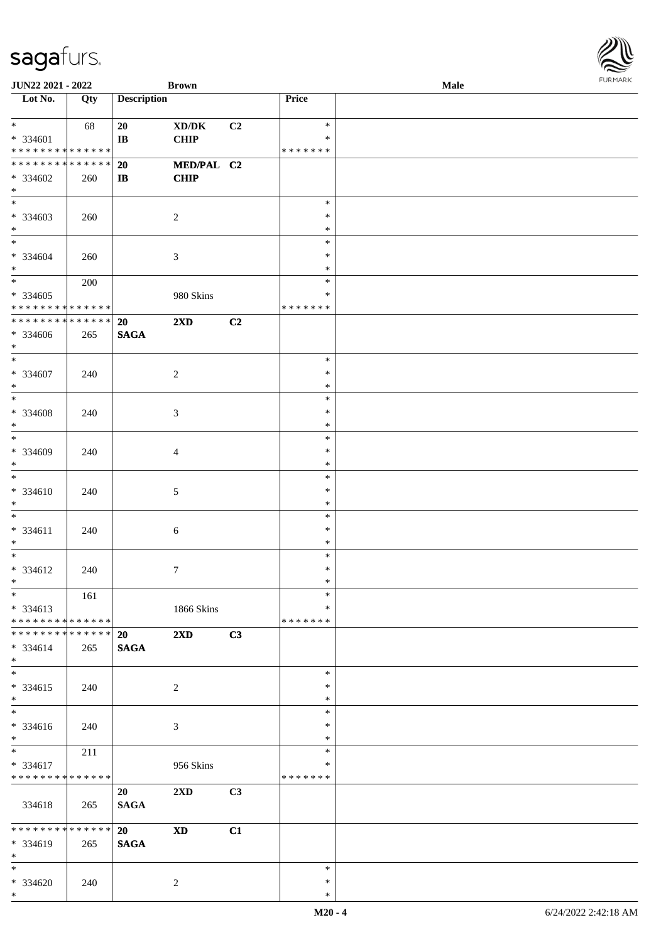| <b>JUN22 2021 - 2022</b>                                                            |                        |                              | <b>Brown</b>                          |    |                                      | <b>Male</b> | $1 \times 1 \times 1 \times 1 \times 1$ |
|-------------------------------------------------------------------------------------|------------------------|------------------------------|---------------------------------------|----|--------------------------------------|-------------|-----------------------------------------|
| Lot $No.$                                                                           | Qty                    | <b>Description</b>           |                                       |    | Price                                |             |                                         |
| $\ddot{x}$<br>$* 334601$                                                            | 68                     | 20<br>$\mathbf{I}\mathbf{B}$ | XD/DK<br><b>CHIP</b>                  | C2 | $\ast$<br>$\ast$                     |             |                                         |
| * * * * * * * * * * * * * *<br>**************<br>$* 334602$                         | 260                    | 20<br>$\mathbf{I}$           | MED/PAL C2<br><b>CHIP</b>             |    | * * * * * * *                        |             |                                         |
| $*$<br>* 334603<br>$\ast$                                                           | 260                    |                              | 2                                     |    | $\ast$<br>$\ast$<br>$\ast$           |             |                                         |
| $\overline{\phantom{0}}$<br>* 334604<br>$\ast$                                      | 260                    |                              | $\mathfrak{Z}$                        |    | $\ast$<br>$\ast$<br>$\ast$           |             |                                         |
| $\overline{\mathbf{r}}$<br>$* 334605$<br>* * * * * * * * <mark>* * * * * * *</mark> | 200                    |                              | 980 Skins                             |    | $\ast$<br>∗<br>* * * * * * *         |             |                                         |
| * * * * * * * * <mark>* * * * * * *</mark><br>* 334606<br>$\ast$                    | 265                    | 20<br><b>SAGA</b>            | $2\mathbf{X}\mathbf{D}$               | C2 |                                      |             |                                         |
| $\overline{\ast}$<br>* 334607<br>$\ast$                                             | 240                    |                              | 2                                     |    | $\ast$<br>$\ast$<br>$\ast$           |             |                                         |
| * 334608<br>$*$                                                                     | 240                    |                              | 3                                     |    | $\ast$<br>$\ast$<br>$\ast$<br>$\ast$ |             |                                         |
| $* 334609$<br>$\ast$<br>$\overline{\ast}$                                           | 240                    |                              | $\overline{4}$                        |    | $\ast$<br>$\ast$<br>$\ast$           |             |                                         |
| $* 334610$<br>$\ast$<br>$\ast$                                                      | 240                    |                              | 5                                     |    | $\ast$<br>$\ast$<br>$\ast$           |             |                                         |
| $* 334611$<br>$*$<br>$\ddot{x}$                                                     | 240                    |                              | 6                                     |    | $\ast$<br>$\ast$<br>$\ast$           |             |                                         |
| * 334612<br>$\ddot{x}$<br>$*$                                                       | 240<br>161             |                              | $\tau$                                |    | $\ast$<br>$\ast$<br>$\ast$           |             |                                         |
| * 334613<br>* * * * * * * * <mark>* * * * * *</mark><br>* * * * * * * *             | * * * * * *            | 20                           | 1866 Skins<br>$2\mathbf{X}\mathbf{D}$ | C3 | $\ast$<br>* * * * * * *              |             |                                         |
| $* 334614$<br>$*$<br>$*$                                                            | 265                    | <b>SAGA</b>                  |                                       |    | $\ast$                               |             |                                         |
| * 334615<br>$\ast$<br>$\overline{\mathbf{r}}$                                       | 240                    |                              | 2                                     |    | $\ast$<br>$\ast$<br>$\ast$           |             |                                         |
| * 334616<br>$*$<br>$*$                                                              | 240<br>211             |                              | 3                                     |    | $\ast$<br>$\ast$<br>$\ast$           |             |                                         |
| * 334617<br>* * * * * * * * <mark>* * * * * * *</mark>                              |                        | 20                           | 956 Skins<br>2XD                      | C3 | ∗<br>* * * * * * *                   |             |                                         |
| 334618<br>* * * * * * * *                                                           | 265<br>$* * * * * * *$ | <b>SAGA</b><br>20            | <b>XD</b>                             | C1 |                                      |             |                                         |
| $* 334619$<br>$*$<br>$\ast$                                                         | 265                    | <b>SAGA</b>                  |                                       |    | $\ast$                               |             |                                         |
| * 334620<br>$*$                                                                     | 240                    |                              | 2                                     |    | $\ast$<br>$\ast$                     |             |                                         |

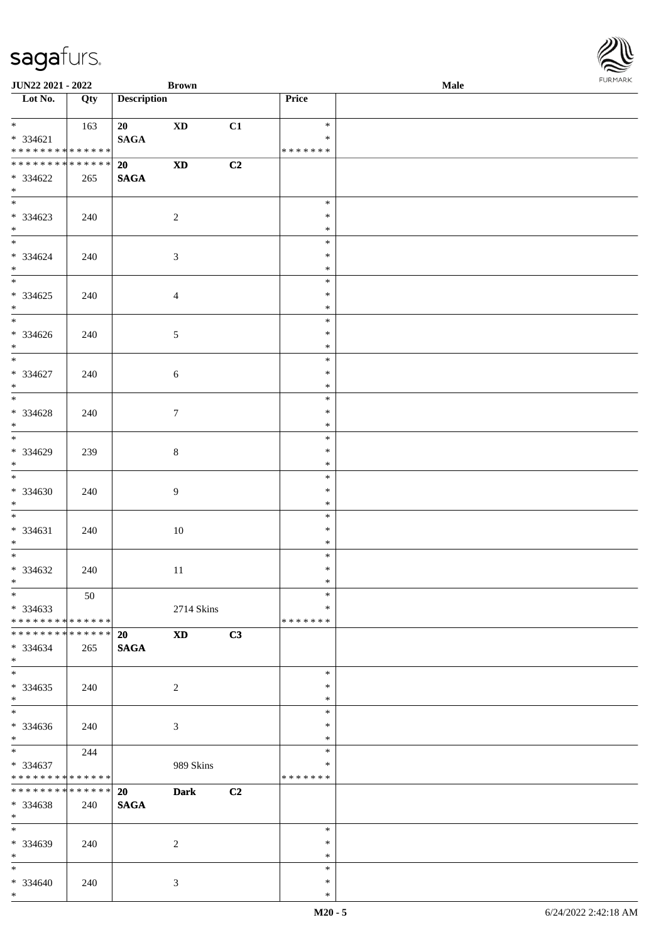| <b>JUN22 2021 - 2022</b>                                                  |                        |                    | <b>Brown</b>               |    |                                   | <b>Male</b> |  |
|---------------------------------------------------------------------------|------------------------|--------------------|----------------------------|----|-----------------------------------|-------------|--|
| Lot No.                                                                   | Qty                    | <b>Description</b> |                            |    | Price                             |             |  |
| $\ast$<br>$* 334621$<br>* * * * * * * * <mark>* * * * * *</mark>          | 163                    | 20<br><b>SAGA</b>  | <b>XD</b>                  | C1 | $\ast$<br>$\ast$<br>* * * * * * * |             |  |
| * * * * * * * * <mark>* * * * * *</mark><br>* 334622<br>$\ast$            | 265                    | 20<br><b>SAGA</b>  | $\boldsymbol{\mathrm{XD}}$ | C2 |                                   |             |  |
| * 334623<br>$*$<br>$*$                                                    | 240                    |                    | $\overline{2}$             |    | $\ast$<br>$\ast$<br>$\ast$        |             |  |
| * 334624<br>$*$<br>$\overline{\mathbf{r}}$                                | 240                    |                    | $\mathfrak{Z}$             |    | $\ast$<br>$\ast$<br>$\ast$        |             |  |
| * 334625<br>$*$                                                           | 240                    |                    | $\overline{4}$             |    | $\ast$<br>$\ast$<br>$\ast$        |             |  |
| * 334626<br>$\ddot{x}$<br>$\overline{\ast}$                               | 240                    |                    | $\sqrt{5}$                 |    | $\ast$<br>$\ast$<br>$\ast$        |             |  |
| $* 334627$<br>$*$                                                         | 240                    |                    | 6                          |    | $\ast$<br>$\ast$<br>$\ast$        |             |  |
| $* 334628$<br>$*$<br>$\overline{\ast}$                                    | 240                    |                    | $\tau$                     |    | $\ast$<br>$\ast$<br>$\ast$        |             |  |
| * 334629<br>$\ast$<br>$*$                                                 | 239                    |                    | $8\,$                      |    | $\ast$<br>$\ast$<br>$\ast$        |             |  |
| $* 334630$<br>$*$<br>$*$                                                  | 240                    |                    | 9                          |    | $\ast$<br>$\ast$<br>$\ast$        |             |  |
| $* 334631$<br>$*$                                                         | 240                    |                    | 10                         |    | $\ast$<br>$\ast$<br>$\ast$        |             |  |
| * 334632<br>$*$ $-$                                                       | 240                    |                    | 11                         |    | $\ast$<br>$\ast$<br>$\ast$        |             |  |
| $*$<br>$*334633$<br>* * * * * * * * <mark>* * * * * * *</mark>            | 50                     |                    | 2714 Skins                 |    | $\ast$<br>$\ast$<br>* * * * * * * |             |  |
| * * * * * * * * <mark>* * * * * * *</mark><br>$* 334634$<br>$\ast$<br>$*$ | 265                    | 20<br><b>SAGA</b>  | XD <sub>2</sub>            | C3 |                                   |             |  |
| $*334635$<br>$\ast$                                                       | 240                    |                    | 2                          |    | $\ast$<br>$\ast$<br>$\ast$        |             |  |
| $*$<br>$* 334636$<br>$*$                                                  | 240                    |                    | 3                          |    | $\ast$<br>$\ast$<br>$\ast$        |             |  |
| $*$ $-$<br>* 334637<br>* * * * * * * * <mark>* * * * * *</mark>           | 244                    |                    | 989 Skins                  |    | $\ast$<br>$\ast$<br>* * * * * * * |             |  |
| * * * * * * * *<br>* 334638<br>$*$                                        | $* * * * * * *$<br>240 | 20<br><b>SAGA</b>  | <b>Dark</b>                | C2 |                                   |             |  |
| $\ast$<br>* 334639<br>$\ddot{x}$                                          | 240                    |                    | 2                          |    | $\ast$<br>$\ast$<br>$\ast$        |             |  |
| $*$ $*$<br>* 334640<br>$\ast$                                             | 240                    |                    | 3                          |    | $\ast$<br>$\ast$<br>$\ast$        |             |  |

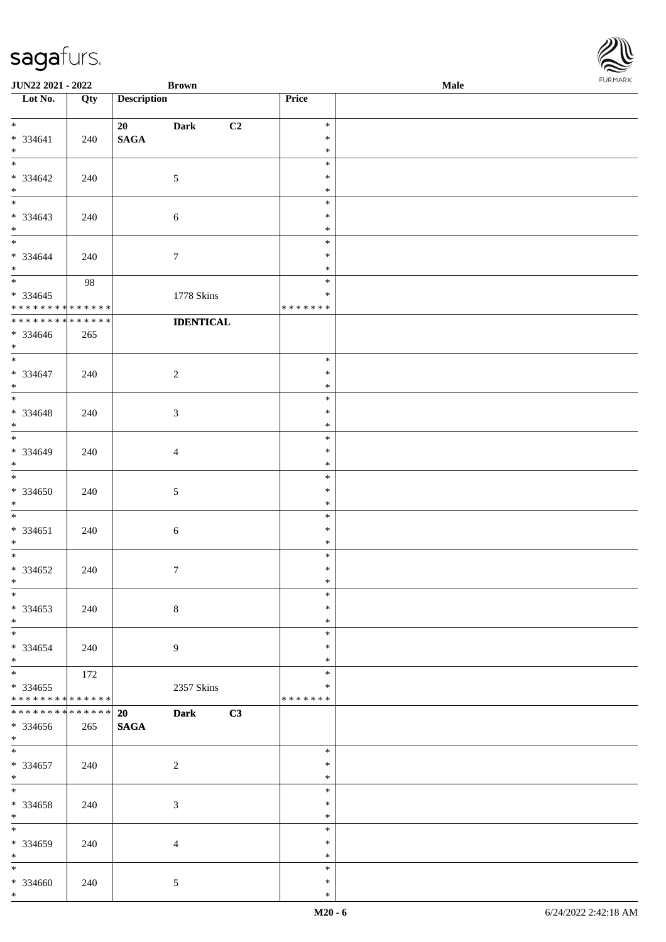| <b>JUN22 2021 - 2022</b>                                                     |             |                          | <b>Brown</b>      |                  | Male | $1.9151$ <i>W</i> $11.915$ |
|------------------------------------------------------------------------------|-------------|--------------------------|-------------------|------------------|------|----------------------------|
| Lot No.                                                                      | Qty         | <b>Description</b>       |                   | Price            |      |                            |
| $*$                                                                          |             |                          |                   | $\ast$           |      |                            |
| $* 334641$                                                                   | 240         | 20<br><b>SAGA</b>        | C2<br><b>Dark</b> | $\ast$           |      |                            |
| $*$                                                                          |             |                          |                   | $\ast$           |      |                            |
| $\overline{\ }$                                                              |             |                          |                   | $\ast$           |      |                            |
| * 334642                                                                     | 240         |                          | $\mathfrak{S}$    | $\ast$           |      |                            |
| $*$                                                                          |             |                          |                   | $\ast$           |      |                            |
|                                                                              |             |                          |                   | $\ast$           |      |                            |
| $* 334643$                                                                   | 240         |                          | 6                 | $\ast$           |      |                            |
| $*$<br>$\ast$                                                                |             |                          |                   | $\ast$<br>$\ast$ |      |                            |
| * 334644                                                                     | 240         |                          | $\tau$            | $\ast$           |      |                            |
| $*$                                                                          |             |                          |                   | $\ast$           |      |                            |
|                                                                              | 98          |                          |                   | $\ast$           |      |                            |
| $* 334645$                                                                   |             |                          | 1778 Skins        | $\ast$           |      |                            |
| * * * * * * * * <mark>* * * * * * *</mark>                                   |             |                          |                   | * * * * * * *    |      |                            |
| * * * * * * * *                                                              | * * * * * * |                          | <b>IDENTICAL</b>  |                  |      |                            |
| * 334646                                                                     | 265         |                          |                   |                  |      |                            |
| $*$<br>$\overline{\mathbf{r}}$                                               |             |                          |                   |                  |      |                            |
| $* 334647$                                                                   |             |                          |                   | $\ast$<br>$\ast$ |      |                            |
| $*$                                                                          | 240         |                          | $\overline{2}$    | $\ast$           |      |                            |
| $\overline{\phantom{0}}$                                                     |             |                          |                   | $\ast$           |      |                            |
| $* 334648$                                                                   | 240         |                          | 3                 | $\ast$           |      |                            |
| $*$                                                                          |             |                          |                   | $\ast$           |      |                            |
| $\overline{\phantom{0}}$                                                     |             |                          |                   | $\ast$           |      |                            |
| $* 334649$                                                                   | 240         |                          | $\overline{4}$    | $\ast$           |      |                            |
| $\ast$<br>$*$                                                                |             |                          |                   | $\ast$           |      |                            |
| $* 334650$                                                                   |             |                          |                   | $\ast$<br>$\ast$ |      |                            |
| $*$                                                                          | 240         |                          | 5                 | $\ast$           |      |                            |
| $\ast$                                                                       |             |                          |                   | $\ast$           |      |                            |
| $* 334651$                                                                   | 240         |                          | $\sqrt{6}$        | $\ast$           |      |                            |
| $*$                                                                          |             |                          |                   | $\ast$           |      |                            |
| $*$                                                                          |             |                          |                   | $\ast$           |      |                            |
| $* 334652$                                                                   | 240         |                          | $\tau$            | $\ast$           |      |                            |
| $\ddot{x}$<br>$\ast$                                                         |             |                          |                   | $\ast$<br>$\ast$ |      |                            |
| * 334653                                                                     | 240         |                          | $\,8\,$           | $\ast$           |      |                            |
| $\ddot{x}$                                                                   |             |                          |                   | $\ast$           |      |                            |
| $*$                                                                          |             |                          |                   | $\ast$           |      |                            |
| * 334654                                                                     | 240         |                          | 9                 | $\ast$           |      |                            |
| $*$                                                                          |             |                          |                   | $\ast$           |      |                            |
| $\ddot{x}$                                                                   | 172         |                          |                   | $\ast$           |      |                            |
| * 334655                                                                     |             |                          | 2357 Skins        | *                |      |                            |
| * * * * * * * * <mark>* * * * * * *</mark><br>* * * * * * * * <mark>*</mark> | * * * * * * |                          |                   | * * * * * * *    |      |                            |
| * 334656                                                                     | 265         | <b>20</b><br><b>SAGA</b> | C3<br><b>Dark</b> |                  |      |                            |
| $\ddot{x}$                                                                   |             |                          |                   |                  |      |                            |
| $*$                                                                          |             |                          |                   | $\ast$           |      |                            |
| * 334657                                                                     | 240         |                          | $\overline{2}$    | $\ast$           |      |                            |
| $*$                                                                          |             |                          |                   | $\ast$           |      |                            |
| $*$                                                                          |             |                          |                   | $\ast$           |      |                            |
| * 334658                                                                     | 240         |                          | $\mathbf{3}$      | $\ast$           |      |                            |
| $*$<br>$\overline{\ }$                                                       |             |                          |                   | $\ast$<br>$\ast$ |      |                            |
| * 334659                                                                     | 240         |                          | $\overline{4}$    | $\ast$           |      |                            |
| $\ast$                                                                       |             |                          |                   | $\ast$           |      |                            |
| $*$                                                                          |             |                          |                   | $\ast$           |      |                            |
| * 334660                                                                     | 240         |                          | 5                 | $\ast$           |      |                            |
| $\ast$                                                                       |             |                          |                   | $\ast$           |      |                            |

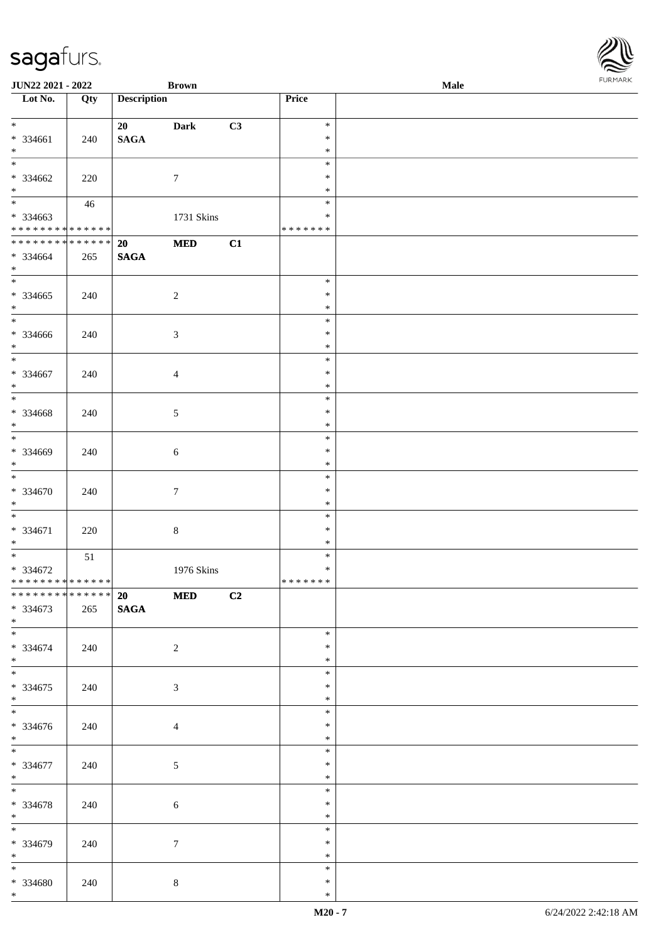| <b>JUN22 2021 - 2022</b>                                   |     |                       | <b>Brown</b>   |    |                              | Male | $1.9151$ <i>W</i> $11.915$ |
|------------------------------------------------------------|-----|-----------------------|----------------|----|------------------------------|------|----------------------------|
| Lot No.                                                    | Qty | <b>Description</b>    |                |    | Price                        |      |                            |
| $\ddot{x}$<br>* 334661<br>$*$                              | 240 | 20<br><b>SAGA</b>     | <b>Dark</b>    | C3 | $\ast$<br>$\ast$<br>$\ast$   |      |                            |
| $\overline{\ast}$<br>* 334662<br>$*$                       | 220 |                       | $\tau$         |    | $\ast$<br>$\ast$<br>$\ast$   |      |                            |
| * 334663<br>* * * * * * * * <mark>* * * * * * *</mark>     | 46  |                       | 1731 Skins     |    | $\ast$<br>∗<br>* * * * * * * |      |                            |
| **************<br>* 334664<br>$*$                          | 265 | 20<br><b>SAGA</b>     | $\bf MED$      | C1 |                              |      |                            |
| * 334665<br>$*$                                            | 240 |                       | $\overline{2}$ |    | $\ast$<br>$\ast$<br>$\ast$   |      |                            |
| * 334666<br>$*$<br>$\overline{\ast}$                       | 240 |                       | $\mathfrak{Z}$ |    | $\ast$<br>$\ast$<br>$\ast$   |      |                            |
| * 334667<br>$*$<br>$\overline{\ast}$                       | 240 |                       | $\overline{4}$ |    | $\ast$<br>$\ast$<br>$\ast$   |      |                            |
| $* 334668$<br>$*$<br>$\overline{\phantom{0}}$              | 240 |                       | 5              |    | $\ast$<br>$\ast$<br>$\ast$   |      |                            |
| $* 334669$<br>$\ast$<br>$*$                                | 240 |                       | $\sqrt{6}$     |    | $\ast$<br>$\ast$<br>$\ast$   |      |                            |
| $* 334670$<br>$\ast$                                       | 240 |                       | $\tau$         |    | $\ast$<br>$\ast$<br>$\ast$   |      |                            |
| $\ddot{x}$<br>$* 334671$<br>$*$<br>$\overline{\mathbf{r}}$ | 220 |                       | $\,8\,$        |    | $\ast$<br>$\ast$<br>$\ast$   |      |                            |
| $* 334672$<br>* * * * * * * * * * * * * * *                | 51  |                       | 1976 Skins     |    | $\ast$<br>$\ast$<br>*******  |      |                            |
| ******** <mark>******</mark><br>* 334673<br>$*$            | 265 | 20 MED<br><b>SAGA</b> |                | C2 |                              |      |                            |
| $*$<br>* 334674<br>$*$ $-$                                 | 240 |                       | 2              |    | $\ast$<br>$\ast$<br>$\ast$   |      |                            |
| $*$<br>* 334675<br>$*$                                     | 240 |                       | 3              |    | $\ast$<br>$\ast$<br>$\ast$   |      |                            |
| $*$<br>* 334676<br>$*$                                     | 240 |                       | $\overline{4}$ |    | $\ast$<br>$\ast$<br>$\ast$   |      |                            |
| $*$<br>* 334677<br>$*$                                     | 240 |                       | $\mathfrak{S}$ |    | $\ast$<br>$\ast$<br>$\ast$   |      |                            |
| $*$<br>* 334678<br>$*$                                     | 240 |                       | $\sqrt{6}$     |    | $\ast$<br>$\ast$<br>$\ast$   |      |                            |
| $\overline{\mathbf{r}}$<br>* 334679<br>$*$ $*$             | 240 |                       | $\tau$         |    | $\ast$<br>$\ast$<br>$\ast$   |      |                            |
| $*$<br>* 334680<br>$*$ $-$                                 | 240 |                       | $\,8\,$        |    | $*$<br>$\ast$<br>$\ast$      |      |                            |

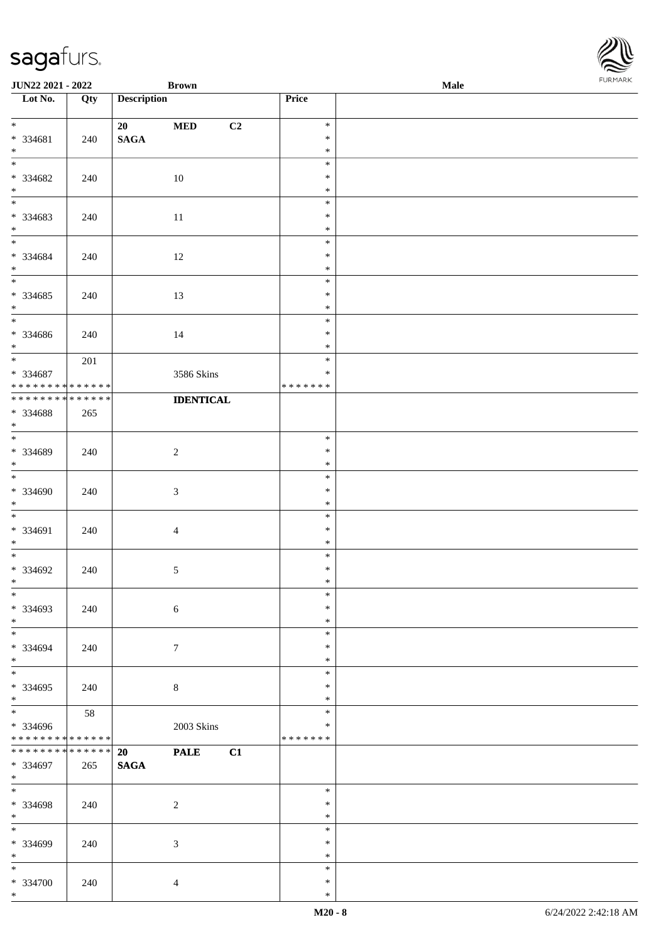| <b>JUN22 2021 - 2022</b>                                      |                    | <b>Brown</b>                       |                  |                                   | Male | $1 \times 1 \times 1 \times 1 \times 1$ |
|---------------------------------------------------------------|--------------------|------------------------------------|------------------|-----------------------------------|------|-----------------------------------------|
| Lot No.                                                       | Qty                | <b>Description</b>                 |                  | Price                             |      |                                         |
| $\ddot{x}$<br>* 334681<br>$*$                                 | 240                | 20<br>$\bf MED$<br>$\mathbf{SAGA}$ | C2               | $\ast$<br>$\ast$<br>$\ast$        |      |                                         |
| $\frac{1}{\ast}$<br>* 334682<br>$*$                           | 240                | 10                                 |                  | $\ast$<br>$\ast$<br>$\ast$        |      |                                         |
| * 334683<br>$*$                                               | 240                | 11                                 |                  | $\ast$<br>$\ast$<br>$\ast$        |      |                                         |
| $\overline{\phantom{0}}$<br>* 334684<br>$*$                   | 240                | 12                                 |                  | $\ast$<br>$\ast$<br>$\ast$        |      |                                         |
| $* 334685$<br>$*$<br>$*$                                      | 240                | 13                                 |                  | $\ast$<br>$\ast$<br>$\ast$        |      |                                         |
| * 334686<br>$*$                                               | 240                | 14                                 |                  | $\ast$<br>$\ast$<br>$\ast$        |      |                                         |
| $*$<br>* 334687<br>* * * * * * * * <mark>* * * * * * *</mark> | 201                |                                    | 3586 Skins       | $\ast$<br>$\ast$<br>* * * * * * * |      |                                         |
| * * * * * * * * <mark>* * * * * * *</mark><br>* 334688<br>$*$ | 265                |                                    | <b>IDENTICAL</b> |                                   |      |                                         |
| * 334689<br>$*$<br>$\overline{\phantom{0}}$                   | 240                | $\sqrt{2}$                         |                  | $\ast$<br>$\ast$<br>$\ast$        |      |                                         |
| * 334690<br>$\ast$                                            | 240                | $\mathfrak{Z}$                     |                  | $\ast$<br>$\ast$<br>$\ast$        |      |                                         |
| * 334691<br>$*$                                               | 240                | $\overline{4}$                     |                  | $\ast$<br>$\ast$<br>$\ast$        |      |                                         |
| $* 334692$<br>$\ddot{x}$                                      | 240                | $\sqrt{5}$                         |                  | $\ast$<br>$\ast$<br>$\ast$        |      |                                         |
| $\ast$<br>* 334693<br>$\ddot{x}$<br>$\overline{\phantom{0}}$  | 240                | $\sqrt{6}$                         |                  | $\ast$<br>$\ast$<br>$\ast$        |      |                                         |
| * 334694<br>$*$<br>$\overline{\phantom{0}}$                   | 240                | $7\phantom{.0}$                    |                  | $\ast$<br>$\ast$<br>$\ast$        |      |                                         |
| $* 334695$<br>$*$<br>$\overline{\mathbf{r}}$                  | 240                | $\,8\,$                            |                  | $\ast$<br>$\ast$<br>$\ast$        |      |                                         |
| * 334696<br>* * * * * * * * * * * * * *                       | 58                 |                                    | $2003$ Skins     | $\ast$<br>$\ast$<br>* * * * * * * |      |                                         |
| * * * * * * * *<br>* 334697<br>$\ast$                         | * * * * * *<br>265 | <b>PALE</b><br>20<br><b>SAGA</b>   | C1               |                                   |      |                                         |
| $*$<br>* 334698<br>$*$                                        | 240                | $\sqrt{2}$                         |                  | $\ast$<br>$\ast$<br>$\ast$        |      |                                         |
| * 334699<br>$*$                                               | 240                | $\mathfrak{Z}$                     |                  | $\ast$<br>$\ast$<br>$\ast$        |      |                                         |
| * 334700<br>$\ast$                                            | 240                | $\overline{4}$                     |                  | $\ast$<br>$\ast$<br>$\ast$        |      |                                         |

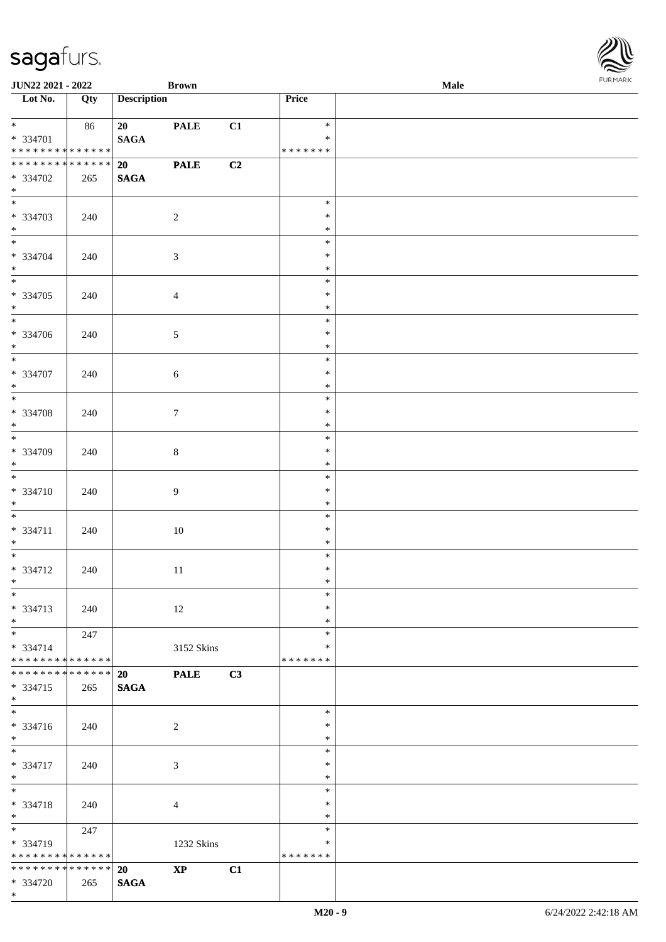| <b>JUN22 2021 - 2022</b>                                            |     |                    | <b>Brown</b>           |    |                                   | Male |  |
|---------------------------------------------------------------------|-----|--------------------|------------------------|----|-----------------------------------|------|--|
| Lot No.                                                             | Qty | <b>Description</b> |                        |    | Price                             |      |  |
| $*$<br>* 334701<br>* * * * * * * * <mark>* * * * * * *</mark>       | 86  | 20<br><b>SAGA</b>  | <b>PALE</b>            | C1 | $\ast$<br>$\ast$<br>* * * * * * * |      |  |
| * * * * * * * * <mark>* * * * * * *</mark><br>* 334702<br>$*$       | 265 | 20<br><b>SAGA</b>  | <b>PALE</b>            | C2 |                                   |      |  |
| * 334703<br>$*$                                                     | 240 |                    | $\overline{2}$         |    | $\ast$<br>$\ast$<br>$\ast$        |      |  |
| $*$<br>* 334704<br>$*$                                              | 240 |                    | $\mathfrak{Z}$         |    | $\ast$<br>$\ast$<br>$\ast$        |      |  |
| * 334705<br>$*$                                                     | 240 |                    | $\overline{4}$         |    | $\ast$<br>$\ast$<br>$\ast$        |      |  |
| * 334706<br>$\ddot{x}$                                              | 240 |                    | $\sqrt{5}$             |    | $\ast$<br>$\ast$<br>$\ast$        |      |  |
| * 334707<br>$*$                                                     | 240 |                    | 6                      |    | $\ast$<br>$\ast$<br>$\ast$        |      |  |
| $\overline{\ast}$<br>$* 334708$<br>$*$                              | 240 |                    | $\tau$                 |    | $\ast$<br>$\ast$<br>$\ast$        |      |  |
| $\overline{\phantom{0}}$<br>* 334709<br>$\ast$                      | 240 |                    | $8\,$                  |    | $\ast$<br>$\ast$<br>$\ast$        |      |  |
| $\overline{\ast}$<br>$* 334710$<br>$*$                              | 240 |                    | $\overline{9}$         |    | $\ast$<br>$\ast$<br>$\ast$        |      |  |
| $*$<br>$* 334711$<br>$*$                                            | 240 |                    | 10                     |    | $\ast$<br>$\ast$<br>$\ast$        |      |  |
| * 334712<br>$*$ $-$                                                 | 240 |                    | 11                     |    | $\ast$<br>$\ast$<br>$\ast$        |      |  |
| $\ddot{x}$<br>* 334713<br>$*$                                       | 240 |                    | 12                     |    | $\ast$<br>$\ast$<br>$\ast$        |      |  |
| $*$ $-$<br>$* 334714$<br>* * * * * * * * <mark>* * * * * * *</mark> | 247 |                    | 3152 Skins             |    | $\ast$<br>∗<br>* * * * * * *      |      |  |
| * * * * * * * * * * * * * * <mark>*</mark><br>* 334715<br>$\ast$    | 265 | 20<br><b>SAGA</b>  | <b>PALE</b>            | C3 |                                   |      |  |
| $*$<br>* 334716<br>$*$                                              | 240 |                    | 2                      |    | $*$<br>$\ast$<br>$\ast$           |      |  |
| $\overline{\ast}$<br>* 334717<br>$*$                                | 240 |                    | 3                      |    | $\ast$<br>$\ast$<br>$\ast$        |      |  |
| $\overline{\ast}$<br>* 334718<br>$\ast$                             | 240 |                    | 4                      |    | $\ast$<br>$\ast$<br>$\ast$        |      |  |
| * 334719<br>* * * * * * * * <mark>* * * * * *</mark>                | 247 |                    | 1232 Skins             |    | $\ast$<br>$\ast$<br>* * * * * * * |      |  |
| * * * * * * * * * * * * * * <mark>*</mark>                          |     | <b>20</b>          | $\mathbf{X}\mathbf{P}$ | C1 |                                   |      |  |
| * 334720                                                            | 265 | <b>SAGA</b>        |                        |    |                                   |      |  |

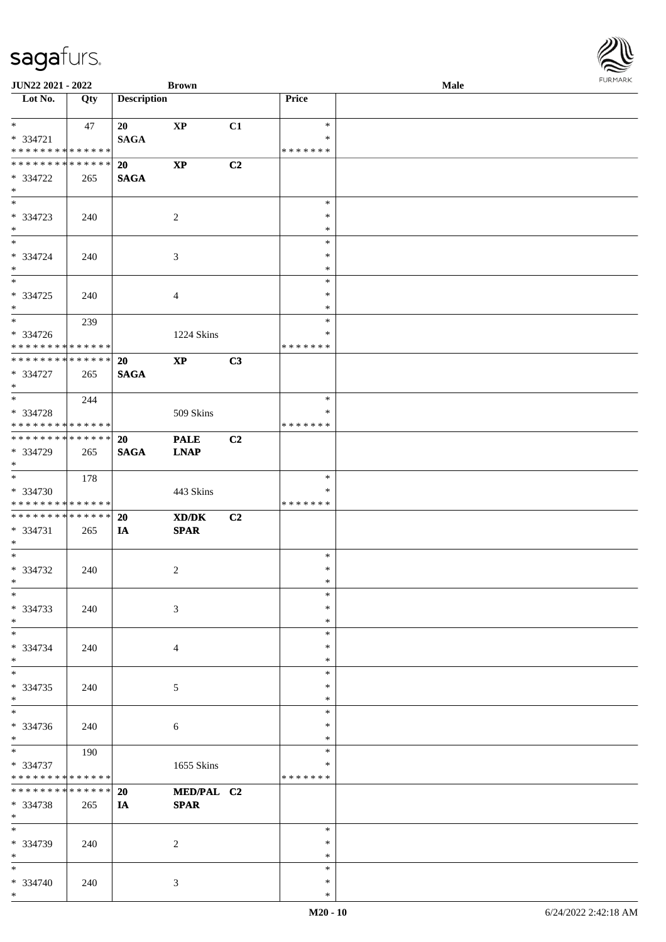| <b>JUN22 2021 - 2022</b>                                                          |                    |                          | <b>Brown</b>               |    |                                   | Male |  |
|-----------------------------------------------------------------------------------|--------------------|--------------------------|----------------------------|----|-----------------------------------|------|--|
| Lot No.                                                                           | Qty                | <b>Description</b>       |                            |    | Price                             |      |  |
| $*$<br>* 334721<br>* * * * * * * * <mark>* * * * * * *</mark>                     | 47                 | 20<br><b>SAGA</b>        | XP                         | C1 | $\ast$<br>$\ast$<br>* * * * * * * |      |  |
| * * * * * * * * <mark>* * * * * *</mark><br>* 334722<br>$\ast$                    | 265                | <b>20</b><br><b>SAGA</b> | $\mathbf{X}\mathbf{P}$     | C2 |                                   |      |  |
| * 334723<br>$\ast$                                                                | 240                |                          | 2                          |    | $\ast$<br>$\ast$<br>$\ast$        |      |  |
| $*$<br>* 334724<br>$*$                                                            | 240                |                          | 3                          |    | $\ast$<br>$\ast$<br>$\ast$        |      |  |
| $\overline{\ast}$<br>* 334725<br>$\ast$                                           | 240                |                          | $\overline{4}$             |    | $\ast$<br>$\ast$<br>$\ast$        |      |  |
| $*$<br>* 334726<br>* * * * * * * * <mark>* * * * * * *</mark>                     | 239                |                          | 1224 Skins                 |    | $\ast$<br>$\ast$<br>* * * * * * * |      |  |
| ******** <mark>******</mark><br>* 334727<br>$*$                                   | 265                | 20<br><b>SAGA</b>        | $\mathbf{XP}$              | C3 |                                   |      |  |
| $\overline{\ast}$<br>* 334728<br>* * * * * * * * <mark>* * * * * *</mark>         | 244                |                          | 509 Skins                  |    | $\ast$<br>$\ast$<br>* * * * * * * |      |  |
| * * * * * * * * <mark>* * * * * * *</mark><br>* 334729<br>$\ast$                  | 265                | <b>20</b><br><b>SAGA</b> | <b>PALE</b><br><b>LNAP</b> | C2 |                                   |      |  |
| $*$<br>* 334730<br>* * * * * * * * <mark>* * * * * *</mark>                       | 178                |                          | 443 Skins                  |    | $\ast$<br>*<br>* * * * * * *      |      |  |
| * * * * * * * * <mark>* * * * * * *</mark><br>* 334731<br>$*$                     | 265                | 20<br>IA                 | XD/DK<br><b>SPAR</b>       | C2 |                                   |      |  |
| $*$<br>* 334732<br>$*$ $-$                                                        | 240                |                          | 2                          |    | $\ast$<br>$\ast$<br>$*$           |      |  |
| $\ast$<br>* 334733<br>$\ast$                                                      | 240                |                          | 3                          |    | $\ast$<br>$\ast$<br>$\ast$        |      |  |
| $\ast$<br>* 334734<br>$\ast$                                                      | 240                |                          | 4                          |    | $\ast$<br>$\ast$<br>$\ast$        |      |  |
| $*$<br>* 334735<br>$\ast$                                                         | 240                |                          | 5                          |    | $\ast$<br>$\ast$<br>$\ast$        |      |  |
| $\overline{\phantom{0}}$<br>* 334736<br>$*$                                       | 240                |                          | 6                          |    | $\ast$<br>$\ast$<br>$\ast$        |      |  |
| $\overline{\mathbf{r}}$<br>* 334737<br>* * * * * * * * <mark>* * * * * * *</mark> | 190                |                          | 1655 Skins                 |    | $\ast$<br>∗<br>* * * * * * *      |      |  |
| * * * * * * * *<br>* 334738<br>$\ast$                                             | * * * * * *<br>265 | 20<br>IA                 | MED/PAL C2<br><b>SPAR</b>  |    |                                   |      |  |
| $\ast$<br>* 334739<br>$*$                                                         | 240                |                          | 2                          |    | $\ast$<br>$\ast$<br>$\ast$        |      |  |
| $\ddot{x}$<br>* 334740<br>$*$                                                     | 240                |                          | $\mathfrak{Z}$             |    | $\ast$<br>$\ast$<br>$\ast$        |      |  |

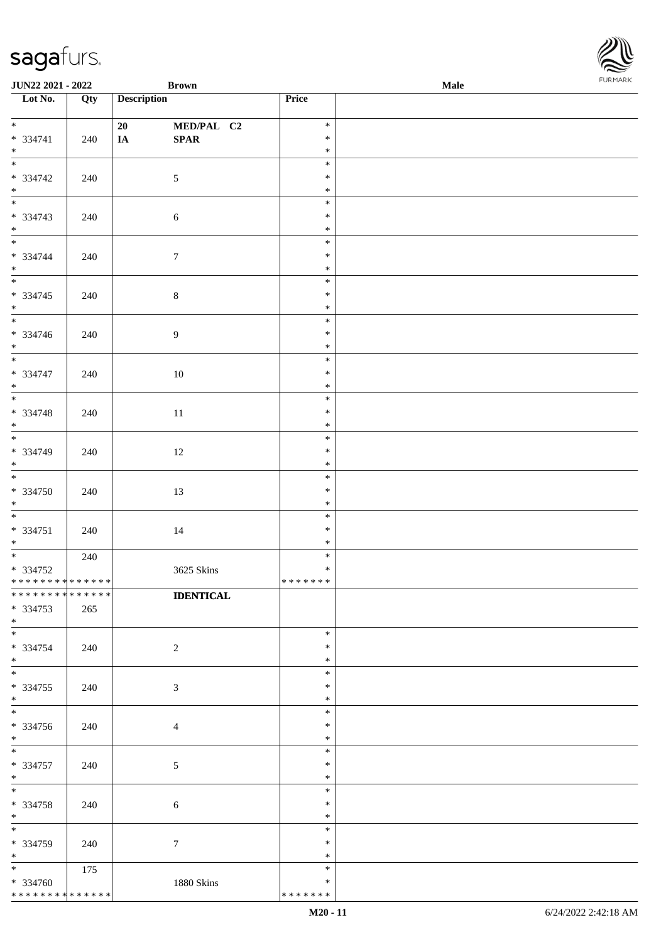| <b>JUN22 2021 - 2022</b>    |     |                    | <b>Brown</b>                    |                  | <b>Male</b> |  |
|-----------------------------|-----|--------------------|---------------------------------|------------------|-------------|--|
| Lot No.                     | Qty | <b>Description</b> |                                 | Price            |             |  |
|                             |     |                    |                                 |                  |             |  |
| $*$                         |     | 20                 | MED/PAL C2                      | $\ast$<br>$\ast$ |             |  |
| * 334741<br>$*$             | 240 | $I\!\!A$           | $\pmb{\quad \text{SPAR} \quad}$ | $\ast$           |             |  |
|                             |     |                    |                                 | $\ast$           |             |  |
| $* 334742$                  | 240 |                    | $\mathfrak{S}$                  | $\ast$           |             |  |
| $*$                         |     |                    |                                 | $\ast$           |             |  |
|                             |     |                    |                                 | $\ast$           |             |  |
| $* 334743$                  | 240 |                    | $6\,$                           | $\ast$           |             |  |
| $*$                         |     |                    |                                 | $\ast$           |             |  |
|                             |     |                    |                                 | $\ast$           |             |  |
| * 334744                    | 240 |                    | $\boldsymbol{7}$                | $\ast$           |             |  |
| $*$                         |     |                    |                                 | $\ast$           |             |  |
|                             |     |                    |                                 | $\ast$           |             |  |
| * 334745<br>$*$             | 240 |                    | $\,8\,$                         | $\ast$<br>$\ast$ |             |  |
| $\overline{\phantom{0}}$    |     |                    |                                 | $\ast$           |             |  |
| * 334746                    | 240 |                    | $\overline{9}$                  | $\ast$           |             |  |
| $*$                         |     |                    |                                 | $\ast$           |             |  |
| $\overline{\phantom{0}}$    |     |                    |                                 | $\ast$           |             |  |
| $* 334747$                  | 240 |                    | 10                              | $\ast$           |             |  |
| $*$                         |     |                    |                                 | $\ast$           |             |  |
|                             |     |                    |                                 | $\ast$           |             |  |
| $* 334748$                  | 240 |                    | 11                              | $\ast$           |             |  |
| $*$                         |     |                    |                                 | $\ast$<br>$\ast$ |             |  |
| $* 334749$                  | 240 |                    | 12                              | $\ast$           |             |  |
| $*$                         |     |                    |                                 | $\ast$           |             |  |
| $*$                         |     |                    |                                 | $\ast$           |             |  |
| * 334750                    | 240 |                    | 13                              | $\ast$           |             |  |
| $*$                         |     |                    |                                 | $\ast$           |             |  |
| $*$                         |     |                    |                                 | $\ast$           |             |  |
| $* 334751$                  | 240 |                    | 14                              | $\ast$           |             |  |
| $*$                         |     |                    |                                 | $\ast$           |             |  |
| $* 334752$                  | 240 |                    | 3625 Skins                      | $\ast$<br>$\ast$ |             |  |
| * * * * * * * * * * * * * * |     |                    |                                 | *******          |             |  |
| **************              |     |                    | <b>IDENTICAL</b>                |                  |             |  |
| * 334753                    | 265 |                    |                                 |                  |             |  |
| $*$                         |     |                    |                                 |                  |             |  |
| $*$                         |     |                    |                                 | $\ast$           |             |  |
| * 334754                    | 240 |                    | $\overline{2}$                  | $\ast$           |             |  |
| $*$                         |     |                    |                                 | $\ast$<br>$\ast$ |             |  |
| * 334755                    | 240 |                    | $\mathfrak{Z}$                  | $\ast$           |             |  |
| $*$                         |     |                    |                                 | $\ast$           |             |  |
| $\overline{\phantom{0}}$    |     |                    |                                 | $\ast$           |             |  |
| * 334756                    | 240 |                    | $\overline{4}$                  | $\ast$           |             |  |
| $*$                         |     |                    |                                 | $\ast$           |             |  |
| $*$                         |     |                    |                                 | $\ast$           |             |  |
| $* 334757$                  | 240 |                    | $\mathfrak{S}$                  | $\ast$           |             |  |
| $*$                         |     |                    |                                 | $\ast$           |             |  |
| $*$                         |     |                    |                                 | $\ast$<br>$\ast$ |             |  |
| $* 334758$<br>$*$           | 240 |                    | $\sqrt{6}$                      | $\ast$           |             |  |
| $*$                         |     |                    |                                 | $\ast$           |             |  |
| * 334759                    | 240 |                    | $\tau$                          | $\ast$           |             |  |
| $*$                         |     |                    |                                 | $\ast$           |             |  |
| $*$                         | 175 |                    |                                 | $\ast$           |             |  |
| * 334760                    |     |                    | 1880 Skins                      | $\ast$           |             |  |
| * * * * * * * * * * * * * * |     |                    |                                 | * * * * * * *    |             |  |

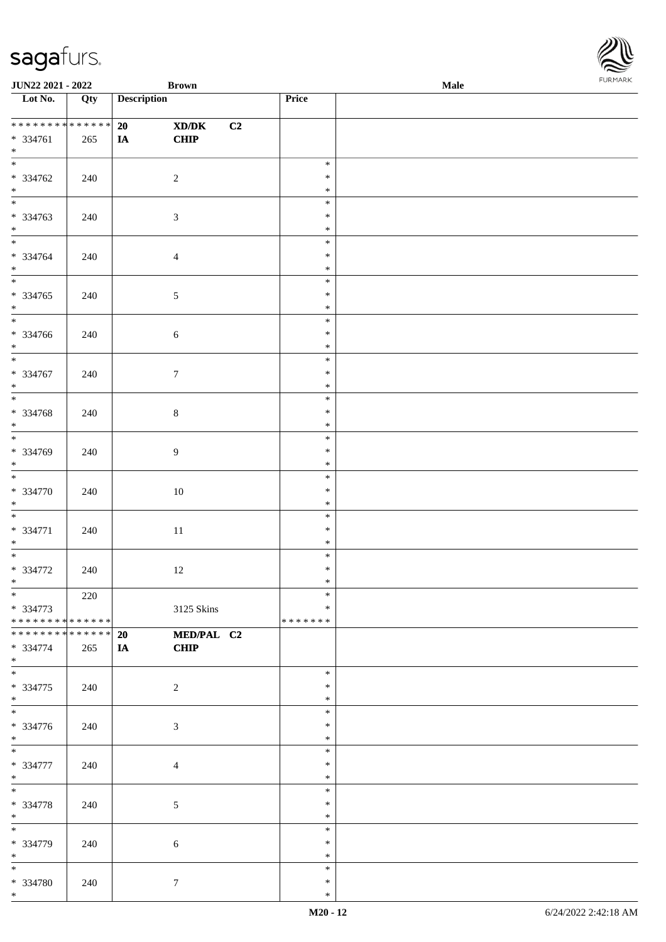| <b>JUN22 2021 - 2022</b>                                         |     |                    | <b>Brown</b>              |    |                                   | <b>Male</b> | . |
|------------------------------------------------------------------|-----|--------------------|---------------------------|----|-----------------------------------|-------------|---|
| Lot No.                                                          | Qty | <b>Description</b> |                           |    | Price                             |             |   |
| ******** <mark>******</mark><br>* 334761<br>$*$                  | 265 | 20<br><b>IA</b>    | XD/DK<br>CHIP             | C2 |                                   |             |   |
| $\overline{\mathbf{r}}$<br>* 334762<br>$*$                       | 240 |                    | $\overline{2}$            |    | $\ast$<br>$\ast$<br>$\ast$        |             |   |
| * 334763<br>$*$                                                  | 240 |                    | $\mathfrak{Z}$            |    | $\ast$<br>$\ast$<br>$\ast$        |             |   |
| $\ddot{x}$<br>* 334764<br>$*$                                    | 240 |                    | $\overline{4}$            |    | $\ast$<br>$\ast$<br>$\ast$        |             |   |
| * 334765<br>$*$                                                  | 240 |                    | $\mathfrak{S}$            |    | $\ast$<br>$\ast$<br>$\ast$        |             |   |
| * 334766<br>$*$                                                  | 240 |                    | $\sqrt{6}$                |    | $\ast$<br>$\ast$<br>$\ast$        |             |   |
| * 334767<br>$*$                                                  | 240 |                    | $\boldsymbol{7}$          |    | $\ast$<br>$\ast$<br>$\ast$        |             |   |
| $\overline{\ast}$<br>* 334768<br>$*$                             | 240 |                    | $8\,$                     |    | $\ast$<br>$\ast$<br>$\ast$        |             |   |
| * 334769<br>$\ast$                                               | 240 |                    | $\overline{9}$            |    | $\ast$<br>$\ast$<br>$\ast$        |             |   |
| $\overline{\ast}$<br>* 334770<br>$*$                             | 240 |                    | 10                        |    | $\ast$<br>$\ast$<br>$\ast$        |             |   |
| * 334771<br>$*$                                                  | 240 |                    | 11                        |    | $\ast$<br>$\ast$<br>$\ast$        |             |   |
| * 334772<br>$*$ $-$                                              | 240 |                    | 12                        |    | $\ast$<br>$\ast$<br>$\ast$        |             |   |
| $*$<br>* 334773<br>* * * * * * * * * * * * * * <mark>*</mark>    | 220 |                    | 3125 Skins                |    | $\ast$<br>$\ast$<br>* * * * * * * |             |   |
| * * * * * * * * <mark>* * * * * * *</mark><br>* 334774<br>$\ast$ | 265 | 20<br><b>IA</b>    | MED/PAL C2<br><b>CHIP</b> |    |                                   |             |   |
| $\ddot{x}$<br>* 334775<br>$*$                                    | 240 |                    | $\overline{2}$            |    | $\ast$<br>$\ast$<br>$\ast$        |             |   |
| $\overline{\mathbf{r}}$<br>* 334776<br>$*$                       | 240 |                    | 3                         |    | $\ast$<br>$\ast$<br>$\ast$        |             |   |
| $*$<br>* 334777<br>$*$                                           | 240 |                    | $\overline{4}$            |    | $\ast$<br>$\ast$<br>$\ast$        |             |   |
| $\overline{\ast}$<br>* 334778<br>$*$                             | 240 |                    | 5                         |    | $\ast$<br>$\ast$<br>$\ast$        |             |   |
| * 334779<br>$*$                                                  | 240 |                    | 6                         |    | $\ast$<br>$\ast$<br>$\ast$        |             |   |
| $*$<br>* 334780<br>$*$                                           | 240 |                    | $7\phantom{.0}$           |    | $\ast$<br>$\ast$<br>$\ast$        |             |   |

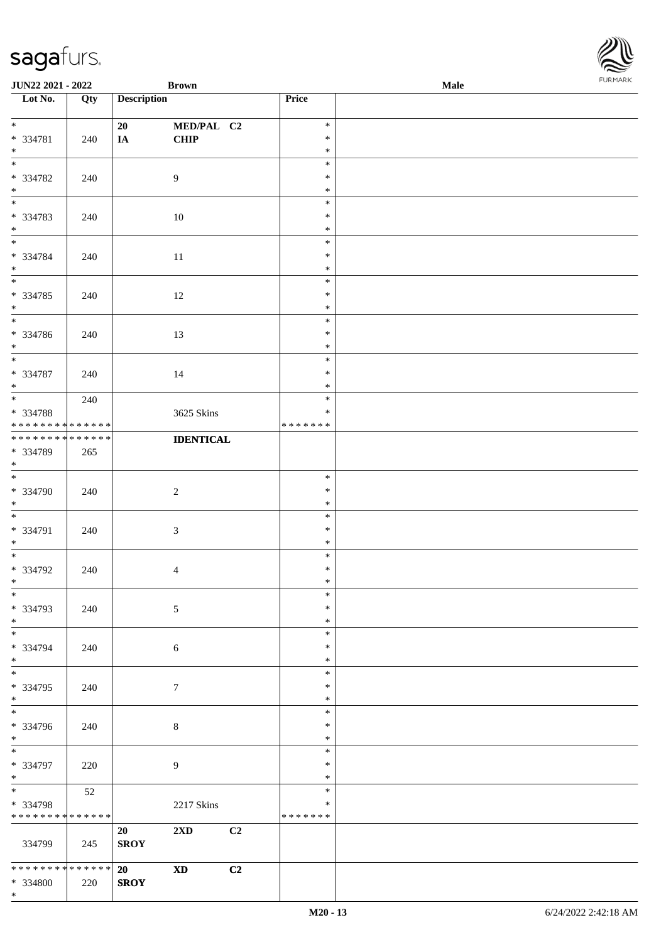| <b>JUN22 2021 - 2022</b>                               |     |                    | <b>Brown</b>            |    |                         | Male | <b>FUNITANN</b> |
|--------------------------------------------------------|-----|--------------------|-------------------------|----|-------------------------|------|-----------------|
| Lot No.                                                | Qty | <b>Description</b> |                         |    | Price                   |      |                 |
|                                                        |     |                    |                         |    |                         |      |                 |
| $*$                                                    |     | 20                 | MED/PAL C2              |    | $\ast$<br>$\ast$        |      |                 |
| * 334781                                               | 240 | IA                 | <b>CHIP</b>             |    | $\ast$                  |      |                 |
| $*$                                                    |     |                    |                         |    | $\ast$                  |      |                 |
| * 334782                                               | 240 |                    | 9                       |    | $\ast$                  |      |                 |
| $*$                                                    |     |                    |                         |    | $\ast$                  |      |                 |
|                                                        |     |                    |                         |    | $\ast$                  |      |                 |
| * 334783                                               | 240 |                    | 10                      |    | $\ast$                  |      |                 |
| $*$                                                    |     |                    |                         |    | $\ast$                  |      |                 |
| $\ddot{x}$                                             |     |                    |                         |    | $\ast$                  |      |                 |
| * 334784                                               | 240 |                    | 11                      |    | $\ast$                  |      |                 |
| $\ast$<br>$\overline{\mathbf{r}}$                      |     |                    |                         |    | $\ast$<br>$\ast$        |      |                 |
| * 334785                                               | 240 |                    | 12                      |    | $\ast$                  |      |                 |
| $*$                                                    |     |                    |                         |    | $\ast$                  |      |                 |
|                                                        |     |                    |                         |    | $\ast$                  |      |                 |
| * 334786                                               | 240 |                    | 13                      |    | $\ast$                  |      |                 |
| $*$                                                    |     |                    |                         |    | $\ast$                  |      |                 |
| $\overline{\phantom{0}}$                               |     |                    |                         |    | $\ast$                  |      |                 |
| * 334787                                               | 240 |                    | 14                      |    | $\ast$                  |      |                 |
| $*$<br>$\overline{\ast}$                               |     |                    |                         |    | $\ast$                  |      |                 |
|                                                        | 240 |                    |                         |    | $\ast$                  |      |                 |
| * 334788<br>* * * * * * * * <mark>* * * * * * *</mark> |     |                    | 3625 Skins              |    | $\ast$<br>* * * * * * * |      |                 |
| * * * * * * * * <mark>* * * * * * *</mark>             |     |                    | <b>IDENTICAL</b>        |    |                         |      |                 |
| * 334789                                               | 265 |                    |                         |    |                         |      |                 |
| $\ast$                                                 |     |                    |                         |    |                         |      |                 |
| $\overline{\phantom{0}}$                               |     |                    |                         |    | $\ast$                  |      |                 |
| * 334790                                               | 240 |                    | $\overline{2}$          |    | $\ast$                  |      |                 |
| $\ast$                                                 |     |                    |                         |    | $\ast$                  |      |                 |
| $\overline{\ast}$                                      |     |                    |                         |    | $\ast$                  |      |                 |
| * 334791                                               | 240 |                    | $\mathfrak{Z}$          |    | $\ast$                  |      |                 |
| $*$<br>$\overline{\phantom{0}}$                        |     |                    |                         |    | $\ast$<br>$\ast$        |      |                 |
| * 334792                                               | 240 |                    | $\overline{4}$          |    | $\ast$                  |      |                 |
| $\ddot{x}$                                             |     |                    |                         |    | $\ast$                  |      |                 |
| $\ast$                                                 |     |                    |                         |    | $\ast$                  |      |                 |
| * 334793                                               | 240 |                    | $\mathfrak{S}$          |    | $\ast$                  |      |                 |
| $*$                                                    |     |                    |                         |    | $\ast$                  |      |                 |
|                                                        |     |                    |                         |    | $\ast$                  |      |                 |
| * 334794                                               | 240 |                    | 6                       |    | $\ast$                  |      |                 |
| $*$<br>$\overline{\ast}$                               |     |                    |                         |    | $\ast$                  |      |                 |
| * 334795                                               | 240 |                    | $\tau$                  |    | $\ast$<br>$\ast$        |      |                 |
| $\ast$                                                 |     |                    |                         |    | $\ast$                  |      |                 |
|                                                        |     |                    |                         |    | $\ast$                  |      |                 |
| * 334796                                               | 240 |                    | 8                       |    | $\ast$                  |      |                 |
| $\ast$                                                 |     |                    |                         |    | $\ast$                  |      |                 |
| $*$                                                    |     |                    |                         |    | $\ast$                  |      |                 |
| * 334797                                               | 220 |                    | $\overline{9}$          |    | $\ast$                  |      |                 |
| $*$<br>$\ddot{x}$                                      |     |                    |                         |    | $\ast$                  |      |                 |
|                                                        | 52  |                    |                         |    | $\ast$<br>*             |      |                 |
| * 334798<br>* * * * * * * * <mark>* * * * * * *</mark> |     |                    | 2217 Skins              |    | * * * * * * *           |      |                 |
|                                                        |     | 20                 | $2\mathbf{X}\mathbf{D}$ | C2 |                         |      |                 |
| 334799                                                 | 245 | <b>SROY</b>        |                         |    |                         |      |                 |
|                                                        |     |                    |                         |    |                         |      |                 |
| * * * * * * * * * * * * * * <mark>*</mark>             |     | 20                 | <b>XD</b>               | C2 |                         |      |                 |
| * 334800                                               | 220 | <b>SROY</b>        |                         |    |                         |      |                 |

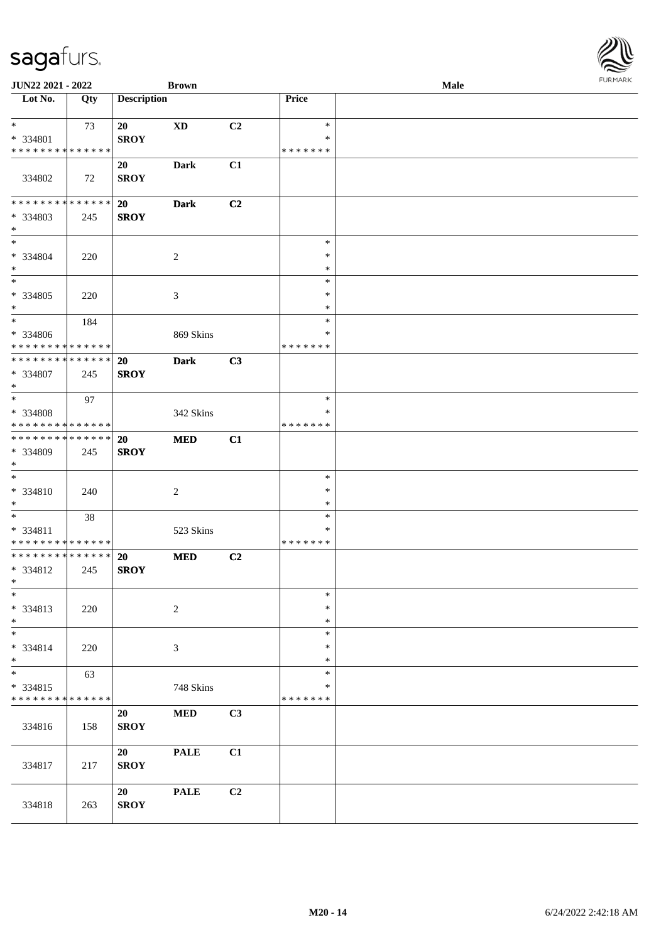| <b>JUN22 2021 - 2022</b>                             |     |                          | <b>Brown</b>   |                |                    | Male |  |
|------------------------------------------------------|-----|--------------------------|----------------|----------------|--------------------|------|--|
| Lot No.                                              | Qty | <b>Description</b>       |                |                | Price              |      |  |
| $*$ $-$                                              | 73  | 20                       | <b>XD</b>      | C2             | $\ast$             |      |  |
| * 334801                                             |     | <b>SROY</b>              |                |                | $\ast$             |      |  |
| * * * * * * * * * * * * * *                          |     |                          |                |                | * * * * * * *      |      |  |
| 334802                                               | 72  | 20<br><b>SROY</b>        | Dark           | C1             |                    |      |  |
| ******** <mark>******</mark>                         |     |                          |                |                |                    |      |  |
| * 334803<br>$*$                                      | 245 | 20<br><b>SROY</b>        | <b>Dark</b>    | C2             |                    |      |  |
| $\overline{\ast}$                                    |     |                          |                |                | $\ast$             |      |  |
| * 334804<br>$*$                                      | 220 |                          | 2              |                | $\ast$<br>$\ast$   |      |  |
| $\ast$                                               |     |                          |                |                | $\ast$             |      |  |
| * 334805<br>$*$                                      | 220 |                          | 3              |                | $\ast$<br>$\ast$   |      |  |
| $*$                                                  | 184 |                          |                |                | $\ast$             |      |  |
| * 334806<br>* * * * * * * * * * * * * *              |     |                          | 869 Skins      |                | *<br>* * * * * * * |      |  |
| * * * * * * * * * * * * * *                          |     | 20                       | <b>Dark</b>    | C3             |                    |      |  |
| * 334807<br>$*$                                      | 245 | <b>SROY</b>              |                |                |                    |      |  |
| $*$                                                  | 97  |                          |                |                | $\ast$             |      |  |
| * 334808                                             |     |                          | 342 Skins      |                | $\ast$             |      |  |
| * * * * * * * * * * * * * *                          |     |                          |                |                | * * * * * * *      |      |  |
| * * * * * * * * * * * * * * *<br>* 334809<br>$*$     | 245 | <b>20</b><br><b>SROY</b> | <b>MED</b>     | C1             |                    |      |  |
| $*$                                                  |     |                          |                |                | $\ast$             |      |  |
| * 334810<br>$*$                                      | 240 |                          | 2              |                | $\ast$<br>$\ast$   |      |  |
| $*$                                                  | 38  |                          |                |                | $\ast$             |      |  |
| * 334811<br>* * * * * * * * <mark>* * * * * *</mark> |     |                          | 523 Skins      |                | *<br>* * * * * * * |      |  |
| * * * * * * * * * * * * * * *                        |     | <b>20</b>                | <b>MED</b>     | C <sub>2</sub> |                    |      |  |
| * 334812<br>$*$ $-$                                  | 245 | <b>SROY</b>              |                |                |                    |      |  |
| $\ast$                                               |     |                          |                |                | $\ast$             |      |  |
| * 334813<br>$*$                                      | 220 |                          | $\overline{c}$ |                | $\ast$<br>$\ast$   |      |  |
| $\ast$                                               |     |                          |                |                | $\ast$             |      |  |
| * 334814<br>$*$                                      | 220 |                          | 3              |                | $\ast$<br>$\ast$   |      |  |
| $*$                                                  | 63  |                          |                |                | $\ast$             |      |  |
| * 334815<br>* * * * * * * * * * * * * *              |     |                          | 748 Skins      |                | *<br>* * * * * * * |      |  |
| 334816                                               | 158 | 20<br><b>SROY</b>        | $\bf MED$      | C3             |                    |      |  |
| 334817                                               | 217 | 20<br><b>SROY</b>        | <b>PALE</b>    | C1             |                    |      |  |
| 334818                                               | 263 | 20<br><b>SROY</b>        | <b>PALE</b>    | C <sub>2</sub> |                    |      |  |

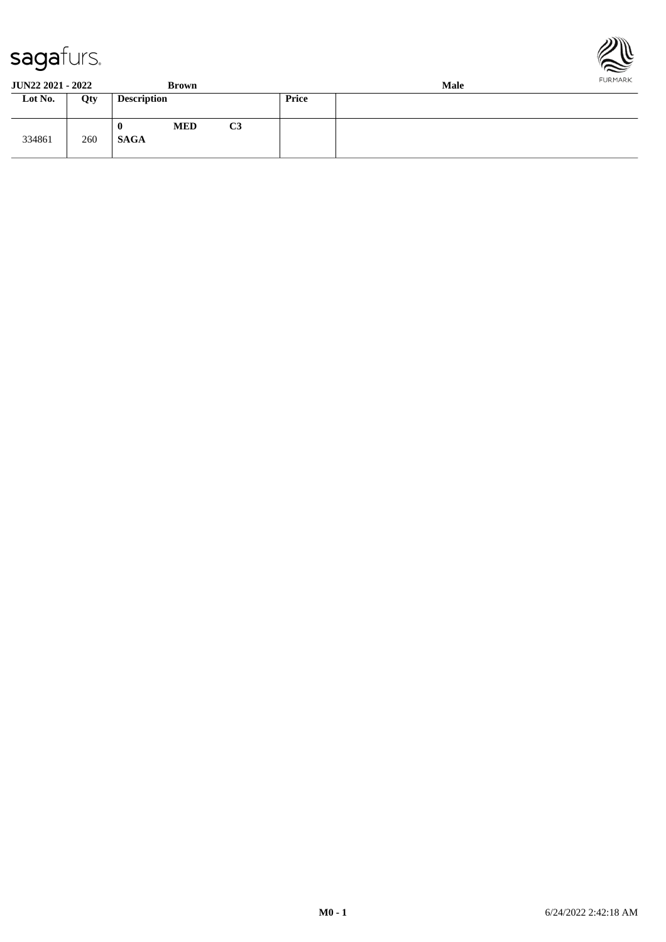



**JUN22 2021 - 2022 Brown Male**

|         |     | $-1 - 1$                                 |                | ------- |
|---------|-----|------------------------------------------|----------------|---------|
| Lot No. | Qty | <b>Description</b>                       | Price          |         |
| 334861  | 260 | <b>MED</b><br>$\mathbf 0$<br><b>SAGA</b> | C <sub>3</sub> |         |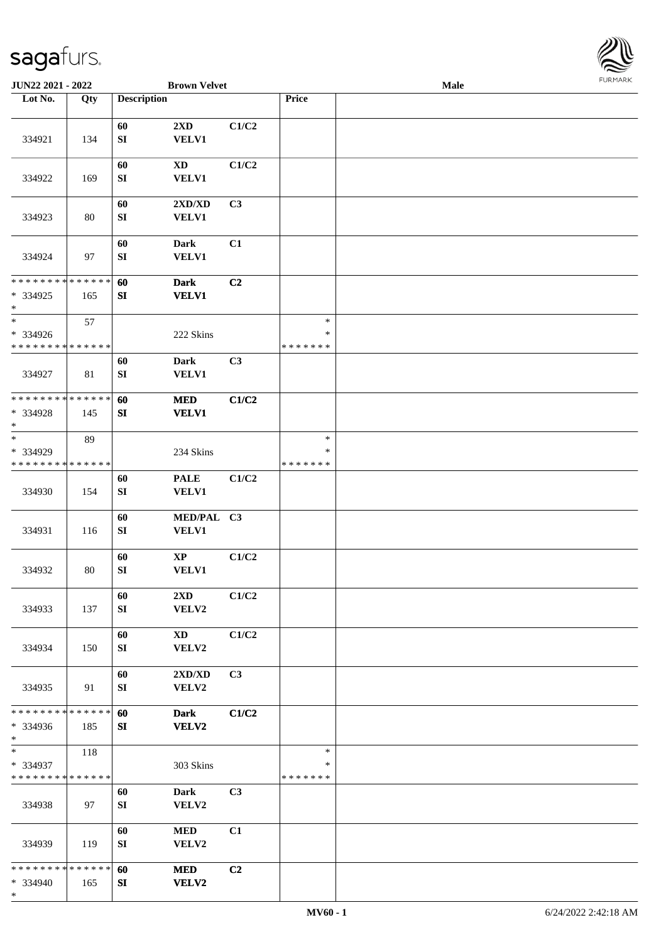

| <b>JUN22 2021 - 2022</b>                          |        |                        | <b>Brown Velvet</b>             |       |                                   | Male |  |
|---------------------------------------------------|--------|------------------------|---------------------------------|-------|-----------------------------------|------|--|
| Lot No.                                           | Qty    | <b>Description</b>     |                                 |       | Price                             |      |  |
| 334921                                            | 134    | 60<br>${\bf SI}$       | 2XD<br><b>VELV1</b>             | C1/C2 |                                   |      |  |
| 334922                                            | 169    | 60<br>${\bf S}{\bf I}$ | <b>XD</b><br>VELV1              | C1/C2 |                                   |      |  |
| 334923                                            | 80     | 60<br>${\bf S}{\bf I}$ | 2XD/XD<br>VELV1                 | C3    |                                   |      |  |
| 334924                                            | 97     | 60<br>${\bf S}{\bf I}$ | <b>Dark</b><br><b>VELV1</b>     | C1    |                                   |      |  |
| **************<br>* 334925<br>$\ast$              | 165    | 60<br>SI               | <b>Dark</b><br><b>VELV1</b>     | C2    |                                   |      |  |
| $\ast$<br>* 334926<br>* * * * * * * * * * * * * * | 57     |                        | 222 Skins                       |       | $\ast$<br>$\ast$<br>* * * * * * * |      |  |
| 334927                                            | 81     | 60<br>${\bf SI}$       | <b>Dark</b><br>VELV1            | C3    |                                   |      |  |
| * * * * * * * * * * * * * *<br>* 334928<br>$\ast$ | 145    | 60<br>SI               | <b>MED</b><br><b>VELV1</b>      | C1/C2 |                                   |      |  |
| $\ast$<br>* 334929<br>* * * * * * * * * * * * * * | 89     |                        | 234 Skins                       |       | $\ast$<br>$\ast$<br>* * * * * * * |      |  |
| 334930                                            | 154    | 60<br>${\bf S}{\bf I}$ | <b>PALE</b><br>VELV1            | C1/C2 |                                   |      |  |
| 334931                                            | 116    | 60<br>SI               | MED/PAL C3<br>VELV1             |       |                                   |      |  |
| 334932                                            | $80\,$ | 60<br>${\bf SI}$       | $\bold{XP}$<br><b>VELV1</b>     | C1/C2 |                                   |      |  |
| 334933                                            | 137    | 60<br>SI               | 2XD<br>VELV2                    | C1/C2 |                                   |      |  |
| 334934                                            | 150    | 60<br>SI               | $\mathbf{X}\mathbf{D}$<br>VELV2 | C1/C2 |                                   |      |  |
| 334935                                            | 91     | 60<br>SI               | 2XD/XD<br>VELV2                 | C3    |                                   |      |  |
| * * * * * * * * * * * * * *<br>* 334936<br>$*$    | 185    | 60<br>SI               | <b>Dark</b><br><b>VELV2</b>     | C1/C2 |                                   |      |  |
| $\ast$<br>* 334937<br>* * * * * * * * * * * * * * | 118    |                        | 303 Skins                       |       | $\ast$<br>$\ast$<br>* * * * * * * |      |  |
| 334938                                            | 97     | 60<br>SI               | <b>Dark</b><br>VELV2            | C3    |                                   |      |  |
| 334939                                            | 119    | 60<br>SI               | <b>MED</b><br>VELV2             | C1    |                                   |      |  |
| * * * * * * * * * * * * * *<br>* 334940<br>$*$    | 165    | 60<br>SI               | <b>MED</b><br><b>VELV2</b>      | C2    |                                   |      |  |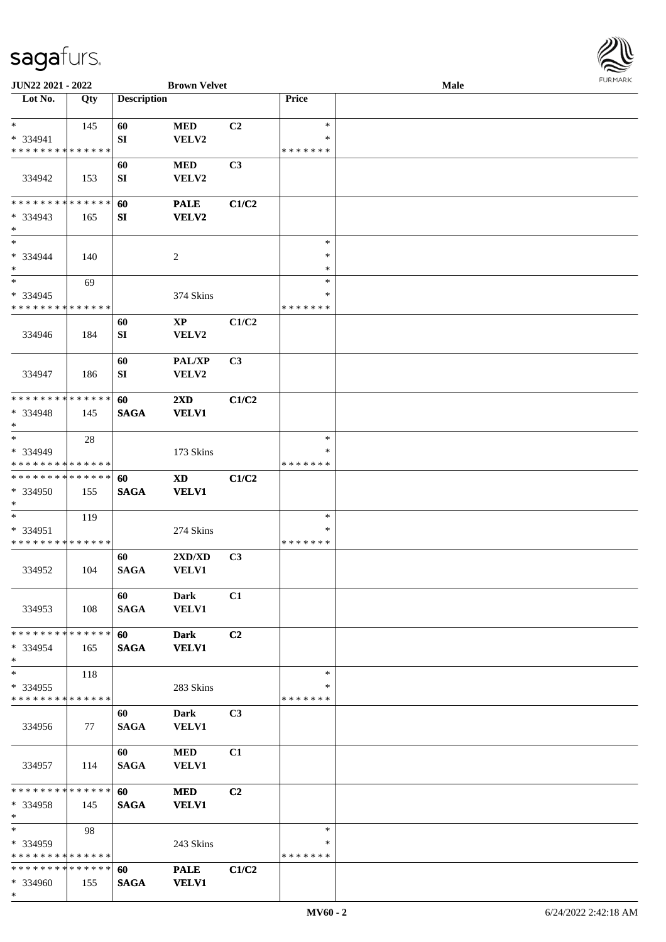

| JUN22 2021 - 2022             |     |                    | <b>Brown Velvet</b>     |       |               | <b>Male</b> |  |
|-------------------------------|-----|--------------------|-------------------------|-------|---------------|-------------|--|
| Lot No.                       | Qty | <b>Description</b> |                         |       | Price         |             |  |
|                               |     |                    |                         |       |               |             |  |
| $\ast$                        | 145 | 60                 | <b>MED</b>              | C2    | $\ast$        |             |  |
| * 334941                      |     | SI                 | VELV2                   |       | ∗             |             |  |
| * * * * * * * * * * * * * *   |     |                    |                         |       | * * * * * * * |             |  |
|                               |     | 60                 | $\bf MED$               | C3    |               |             |  |
| 334942                        | 153 | SI                 | VELV2                   |       |               |             |  |
|                               |     |                    |                         |       |               |             |  |
| * * * * * * * * * * * * * *   |     | 60                 | <b>PALE</b>             | C1/C2 |               |             |  |
| $* 334943$                    | 165 | ${\bf S}{\bf I}$   | VELV2                   |       |               |             |  |
| $\ast$                        |     |                    |                         |       |               |             |  |
| $\ast$                        |     |                    |                         |       | $\ast$        |             |  |
| * 334944                      | 140 |                    | $\overline{c}$          |       | $\ast$        |             |  |
| $\ast$                        |     |                    |                         |       | $\ast$        |             |  |
| $\ast$                        | 69  |                    |                         |       | $\ast$        |             |  |
| * 334945                      |     |                    | 374 Skins               |       | $\ast$        |             |  |
| * * * * * * * * * * * * * *   |     |                    |                         |       | * * * * * * * |             |  |
|                               |     | 60                 | $\mathbf{X}\mathbf{P}$  | C1/C2 |               |             |  |
| 334946                        | 184 | SI                 | VELV2                   |       |               |             |  |
|                               |     |                    |                         |       |               |             |  |
|                               |     | 60                 | PAL/XP                  | C3    |               |             |  |
| 334947                        | 186 | SI                 | VELV2                   |       |               |             |  |
|                               |     |                    |                         |       |               |             |  |
| * * * * * * * * * * * * * *   |     | 60                 | $2\mathbf{X}\mathbf{D}$ | C1/C2 |               |             |  |
| * 334948                      | 145 | <b>SAGA</b>        | <b>VELV1</b>            |       |               |             |  |
| $\ast$                        |     |                    |                         |       |               |             |  |
| $\ast$                        | 28  |                    |                         |       | $\ast$        |             |  |
| * 334949                      |     |                    | 173 Skins               |       | ∗             |             |  |
| * * * * * * * * * * * * * *   |     |                    |                         |       | * * * * * * * |             |  |
| **************                |     | 60                 | <b>XD</b>               | C1/C2 |               |             |  |
| * 334950                      | 155 | <b>SAGA</b>        | <b>VELV1</b>            |       |               |             |  |
| $\ast$                        |     |                    |                         |       |               |             |  |
| $\ast$                        | 119 |                    |                         |       | $\ast$        |             |  |
| * 334951                      |     |                    | 274 Skins               |       | ∗             |             |  |
| * * * * * * * * * * * * * *   |     |                    |                         |       | * * * * * * * |             |  |
|                               |     | 60                 | 2XD/XD                  | C3    |               |             |  |
| 334952                        | 104 | <b>SAGA</b>        | VELV1                   |       |               |             |  |
|                               |     |                    |                         |       |               |             |  |
|                               |     | 60                 | <b>Dark</b>             | C1    |               |             |  |
| 334953                        | 108 | <b>SAGA</b>        | <b>VELV1</b>            |       |               |             |  |
|                               |     |                    |                         |       |               |             |  |
| * * * * * * * * * * * * * * * |     | 60                 | <b>Dark</b>             | C2    |               |             |  |
| * 334954                      | 165 | <b>SAGA</b>        | <b>VELV1</b>            |       |               |             |  |
| $*$                           |     |                    |                         |       |               |             |  |
| $\ast$                        | 118 |                    |                         |       | $\ast$        |             |  |
| * 334955                      |     |                    | 283 Skins               |       | ∗             |             |  |
| * * * * * * * * * * * * * *   |     |                    |                         |       | * * * * * * * |             |  |
|                               |     | 60                 | <b>Dark</b>             | C3    |               |             |  |
| 334956                        | 77  | <b>SAGA</b>        | VELV1                   |       |               |             |  |
|                               |     |                    |                         |       |               |             |  |
|                               |     | 60                 | <b>MED</b>              | C1    |               |             |  |
| 334957                        | 114 | <b>SAGA</b>        | <b>VELV1</b>            |       |               |             |  |
|                               |     |                    |                         |       |               |             |  |
| * * * * * * * * * * * * * * * |     | 60                 | <b>MED</b>              | C2    |               |             |  |
| * 334958                      | 145 | <b>SAGA</b>        | <b>VELV1</b>            |       |               |             |  |
| $*$                           |     |                    |                         |       |               |             |  |
| $*$                           | 98  |                    |                         |       | $\ast$        |             |  |
| * 334959                      |     |                    | 243 Skins               |       | ∗             |             |  |
| * * * * * * * * * * * * * *   |     |                    |                         |       | * * * * * * * |             |  |
| * * * * * * * * * * * * * * * |     | 60                 | <b>PALE</b>             | C1/C2 |               |             |  |
| * 334960                      | 155 | <b>SAGA</b>        | <b>VELV1</b>            |       |               |             |  |
| $\ast$                        |     |                    |                         |       |               |             |  |
|                               |     |                    |                         |       |               |             |  |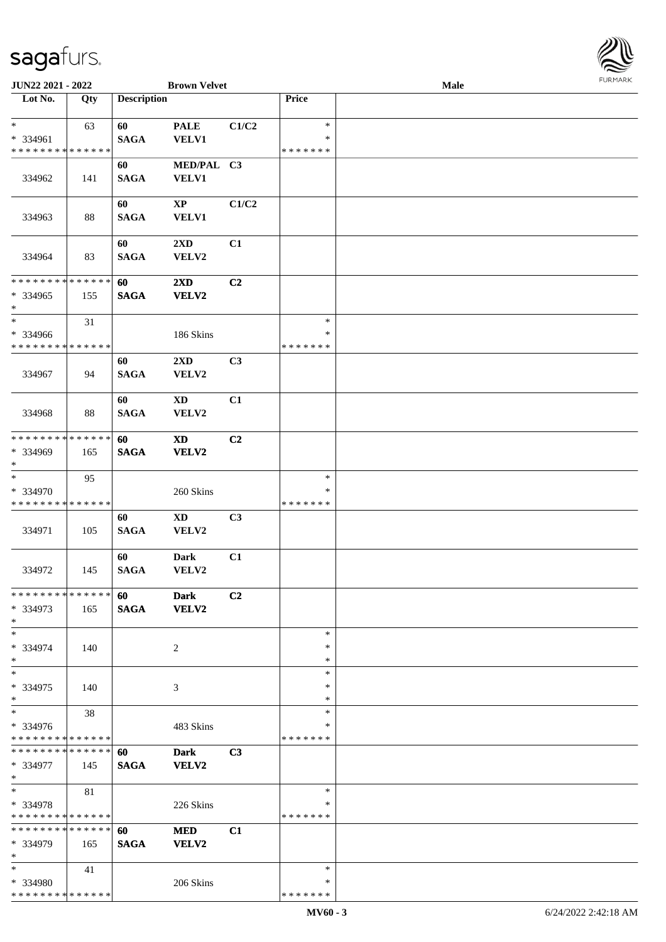

| JUN22 2021 - 2022                       |     |                    | <b>Brown Velvet</b>     |                |               | Male |  |
|-----------------------------------------|-----|--------------------|-------------------------|----------------|---------------|------|--|
| Lot No.                                 | Qty | <b>Description</b> |                         |                | Price         |      |  |
|                                         |     |                    |                         |                |               |      |  |
| $\ast$                                  | 63  | 60                 | <b>PALE</b>             | C1/C2          | $\ast$        |      |  |
| * 334961                                |     | <b>SAGA</b>        | <b>VELV1</b>            |                | $\ast$        |      |  |
| * * * * * * * * * * * * * *             |     |                    |                         |                | * * * * * * * |      |  |
|                                         |     | 60                 | MED/PAL C3              |                |               |      |  |
| 334962                                  | 141 | <b>SAGA</b>        | <b>VELV1</b>            |                |               |      |  |
|                                         |     |                    |                         |                |               |      |  |
|                                         |     | 60                 | XP                      | C1/C2          |               |      |  |
|                                         |     | <b>SAGA</b>        | <b>VELV1</b>            |                |               |      |  |
| 334963                                  | 88  |                    |                         |                |               |      |  |
|                                         |     |                    |                         |                |               |      |  |
|                                         |     | 60                 | 2XD                     | C1             |               |      |  |
| 334964                                  | 83  | <b>SAGA</b>        | VELV2                   |                |               |      |  |
|                                         |     |                    |                         |                |               |      |  |
| * * * * * * * * * * * * * *             |     | 60                 | $2\mathbf{X}\mathbf{D}$ | C2             |               |      |  |
| * 334965                                | 155 | <b>SAGA</b>        | <b>VELV2</b>            |                |               |      |  |
| $\ast$                                  |     |                    |                         |                |               |      |  |
| $\ast$                                  | 31  |                    |                         |                | $\ast$        |      |  |
| * 334966                                |     |                    | 186 Skins               |                | $\ast$        |      |  |
| * * * * * * * * * * * * * *             |     |                    |                         |                | * * * * * * * |      |  |
|                                         |     | 60                 | 2XD                     | C3             |               |      |  |
| 334967                                  | 94  | <b>SAGA</b>        | VELV2                   |                |               |      |  |
|                                         |     |                    |                         |                |               |      |  |
|                                         |     | 60                 | <b>XD</b>               | C1             |               |      |  |
| 334968                                  | 88  | <b>SAGA</b>        | VELV2                   |                |               |      |  |
|                                         |     |                    |                         |                |               |      |  |
| * * * * * * * * * * * * * *             |     | 60                 | <b>XD</b>               | C <sub>2</sub> |               |      |  |
| * 334969                                | 165 | <b>SAGA</b>        | <b>VELV2</b>            |                |               |      |  |
| $\ast$                                  |     |                    |                         |                |               |      |  |
| $\ast$                                  | 95  |                    |                         |                | $\ast$        |      |  |
| * 334970                                |     |                    | 260 Skins               |                | ∗             |      |  |
| * * * * * * * * * * * * * *             |     |                    |                         |                | * * * * * * * |      |  |
|                                         |     |                    |                         |                |               |      |  |
|                                         |     | 60                 | <b>XD</b>               | C3             |               |      |  |
| 334971                                  | 105 | <b>SAGA</b>        | VELV2                   |                |               |      |  |
|                                         |     |                    |                         |                |               |      |  |
|                                         |     | 60                 | <b>Dark</b>             | C1             |               |      |  |
| 334972                                  | 145 | <b>SAGA</b>        | VELV2                   |                |               |      |  |
|                                         |     |                    |                         |                |               |      |  |
| * * * * * * * * * * * * * *             |     | 60                 | <b>Dark</b>             | C <sub>2</sub> |               |      |  |
| * 334973                                | 165 | <b>SAGA</b>        | <b>VELV2</b>            |                |               |      |  |
| $*$                                     |     |                    |                         |                |               |      |  |
| $\ast$                                  |     |                    |                         |                | $\ast$        |      |  |
| * 334974                                | 140 |                    | 2                       |                | ∗             |      |  |
| $*$                                     |     |                    |                         |                | ∗             |      |  |
| $\ast$                                  |     |                    |                         |                | $\ast$        |      |  |
| * 334975                                | 140 |                    | 3                       |                | $\ast$        |      |  |
| $\ast$                                  |     |                    |                         |                | $\ast$        |      |  |
| $\ast$                                  | 38  |                    |                         |                | $\ast$        |      |  |
| * 334976                                |     |                    | 483 Skins               |                | ∗             |      |  |
| * * * * * * * * * * * * * *             |     |                    |                         |                | * * * * * * * |      |  |
| * * * * * * * * * * * * * *             |     | 60                 | <b>Dark</b>             | C3             |               |      |  |
| * 334977                                | 145 | <b>SAGA</b>        | <b>VELV2</b>            |                |               |      |  |
| $*$                                     |     |                    |                         |                |               |      |  |
| $\ast$                                  | 81  |                    |                         |                | $\ast$        |      |  |
| * 334978                                |     |                    | 226 Skins               |                | ∗             |      |  |
| * * * * * * * * * * * * * *             |     |                    |                         |                | * * * * * * * |      |  |
| * * * * * * * * * * * * * *             |     | 60                 | <b>MED</b>              | C1             |               |      |  |
| * 334979                                | 165 | <b>SAGA</b>        | <b>VELV2</b>            |                |               |      |  |
| $\ast$                                  |     |                    |                         |                |               |      |  |
| $*$                                     |     |                    |                         |                | $\ast$        |      |  |
|                                         | 41  |                    |                         |                | ∗             |      |  |
| * 334980<br>* * * * * * * * * * * * * * |     |                    | 206 Skins               |                | * * * * * * * |      |  |
|                                         |     |                    |                         |                |               |      |  |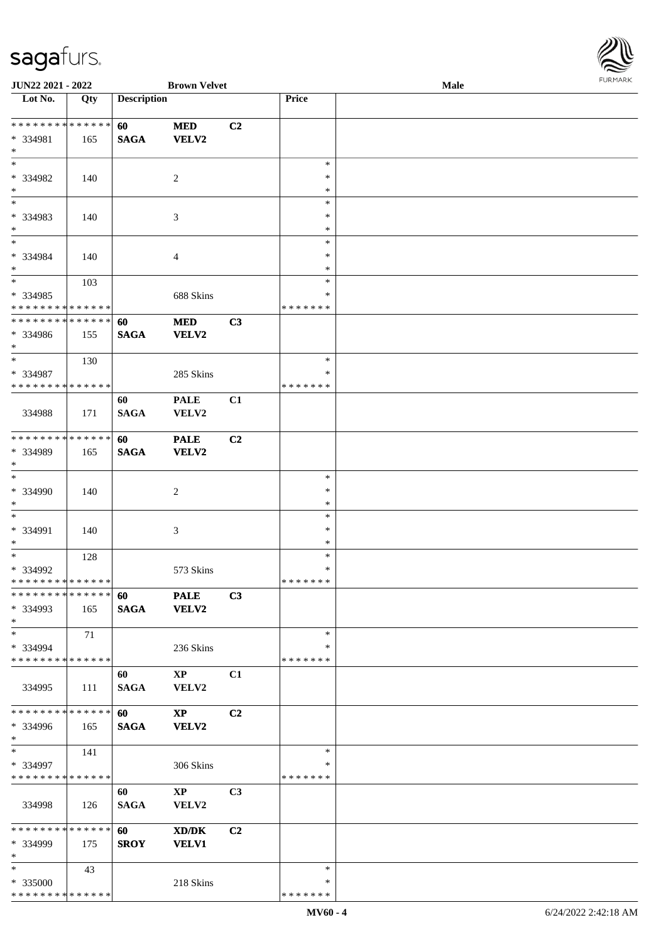

| JUN22 2021 - 2022             |     |                    | <b>Brown Velvet</b>    |                |               | Male | 1.91111111 |
|-------------------------------|-----|--------------------|------------------------|----------------|---------------|------|------------|
| Lot No.                       | Qty | <b>Description</b> |                        |                | Price         |      |            |
|                               |     |                    |                        |                |               |      |            |
| * * * * * * * * * * * * * *   |     | 60                 | $\bf MED$              | C2             |               |      |            |
| * 334981                      | 165 | <b>SAGA</b>        | <b>VELV2</b>           |                |               |      |            |
| $\ast$                        |     |                    |                        |                |               |      |            |
| $\ast$                        |     |                    |                        |                | $\ast$        |      |            |
| * 334982                      | 140 |                    | $\overline{c}$         |                | $\ast$        |      |            |
| $\ast$                        |     |                    |                        |                | $\ast$        |      |            |
| $\ast$                        |     |                    |                        |                | $\ast$        |      |            |
| * 334983                      | 140 |                    | 3                      |                | *             |      |            |
| $\ast$                        |     |                    |                        |                | ∗             |      |            |
| $\overline{\ast}$             |     |                    |                        |                | $\ast$        |      |            |
| * 334984                      | 140 |                    | 4                      |                | $\ast$        |      |            |
| $\ast$                        |     |                    |                        |                | $\ast$        |      |            |
| $\overline{\phantom{1}}$      | 103 |                    |                        |                | $\ast$        |      |            |
| * 334985                      |     |                    | 688 Skins              |                | ∗             |      |            |
| * * * * * * * * * * * * * *   |     |                    |                        |                | * * * * * * * |      |            |
| **************                |     | 60                 | <b>MED</b>             | C3             |               |      |            |
| * 334986                      | 155 | <b>SAGA</b>        | <b>VELV2</b>           |                |               |      |            |
| $\ast$                        |     |                    |                        |                |               |      |            |
| $\overline{\phantom{a}^*}$    | 130 |                    |                        |                | $\ast$        |      |            |
| * 334987                      |     |                    | 285 Skins              |                | $\ast$        |      |            |
| * * * * * * * * * * * * * *   |     |                    |                        |                | * * * * * * * |      |            |
|                               |     | 60                 | <b>PALE</b>            | C1             |               |      |            |
| 334988                        | 171 | <b>SAGA</b>        | VELV2                  |                |               |      |            |
|                               |     |                    |                        |                |               |      |            |
| **************                |     | 60                 | <b>PALE</b>            | C2             |               |      |            |
| * 334989                      | 165 | <b>SAGA</b>        | <b>VELV2</b>           |                |               |      |            |
| $\ast$                        |     |                    |                        |                |               |      |            |
| $\ast$                        |     |                    |                        |                | $\ast$        |      |            |
| * 334990                      | 140 |                    | $\overline{c}$         |                | $\ast$        |      |            |
| $\ast$                        |     |                    |                        |                | $\ast$        |      |            |
| $\overline{\phantom{a}^*}$    |     |                    |                        |                | $\ast$        |      |            |
| * 334991                      | 140 |                    | 3                      |                | *             |      |            |
| $\ast$                        |     |                    |                        |                | $\ast$        |      |            |
| $\ast$                        | 128 |                    |                        |                | $\ast$        |      |            |
| $* 334992$                    |     |                    | 573 Skins              |                | $\ast$        |      |            |
| **************                |     |                    |                        |                | *******       |      |            |
| * * * * * * * * * * * * * * * |     | 60                 | <b>PALE</b>            | C3             |               |      |            |
| * 334993                      | 165 | <b>SAGA</b>        | <b>VELV2</b>           |                |               |      |            |
| $\ast$                        |     |                    |                        |                |               |      |            |
| $\ast$                        | 71  |                    |                        |                | $\ast$        |      |            |
| $* 334994$                    |     |                    | 236 Skins              |                | ∗             |      |            |
| * * * * * * * * * * * * * *   |     |                    |                        |                | * * * * * * * |      |            |
|                               |     | 60                 | $\mathbf{X}\mathbf{P}$ | C1             |               |      |            |
| 334995                        | 111 | <b>SAGA</b>        | <b>VELV2</b>           |                |               |      |            |
|                               |     |                    |                        |                |               |      |            |
| * * * * * * * * * * * * * * * |     | 60                 | $\bold{X}\bold{P}$     | C <sub>2</sub> |               |      |            |
| * 334996                      | 165 | <b>SAGA</b>        | VELV2                  |                |               |      |            |
| $*$                           |     |                    |                        |                |               |      |            |
| $\ast$                        | 141 |                    |                        |                | $\ast$        |      |            |
| * 334997                      |     |                    | 306 Skins              |                | ∗             |      |            |
| * * * * * * * * * * * * * *   |     |                    |                        |                | * * * * * * * |      |            |
|                               |     | 60                 | $\mathbf{X}\mathbf{P}$ | C <sub>3</sub> |               |      |            |
| 334998                        | 126 | <b>SAGA</b>        | VELV2                  |                |               |      |            |
|                               |     |                    |                        |                |               |      |            |
| * * * * * * * * * * * * * * * |     | 60                 | XD/DK                  | C2             |               |      |            |
| * 334999                      | 175 | <b>SROY</b>        | <b>VELV1</b>           |                |               |      |            |
| $*$                           |     |                    |                        |                |               |      |            |
| $\ast$                        | 43  |                    |                        |                | $\ast$        |      |            |
| * 335000                      |     |                    | 218 Skins              |                | ∗             |      |            |
| * * * * * * * * * * * * * *   |     |                    |                        |                | * * * * * * * |      |            |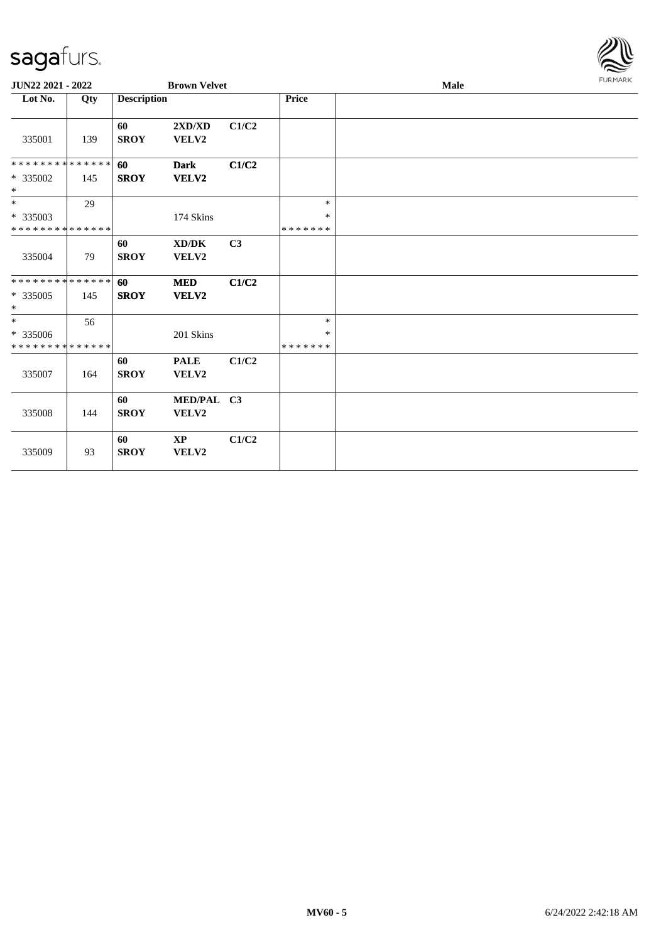

| JUN22 2021 - 2022                                  |     |                    | <b>Brown Velvet</b>                          |       |                                   | Male |  |  |  |
|----------------------------------------------------|-----|--------------------|----------------------------------------------|-------|-----------------------------------|------|--|--|--|
| Lot No.                                            | Qty | <b>Description</b> |                                              |       | Price                             |      |  |  |  |
| 335001                                             | 139 | 60<br><b>SROY</b>  | 2XD/XD<br>VELV2                              | C1/C2 |                                   |      |  |  |  |
| **************<br>* 335002<br>$\ast$               | 145 | 60<br><b>SROY</b>  | <b>Dark</b><br><b>VELV2</b>                  | C1/C2 |                                   |      |  |  |  |
| $*$<br>$* 335003$<br>* * * * * * * * * * * * * *   | 29  |                    | 174 Skins                                    |       | $\ast$<br>$\ast$<br>* * * * * * * |      |  |  |  |
| 335004                                             | 79  | 60<br><b>SROY</b>  | $\bold{X}\bold{D}/\bold{D}\bold{K}$<br>VELV2 | C3    |                                   |      |  |  |  |
| * * * * * * * * * * * * * *<br>$*335005$<br>$\ast$ | 145 | 60<br><b>SROY</b>  | <b>MED</b><br>VELV2                          | C1/C2 |                                   |      |  |  |  |
| $*$<br>* 335006<br>* * * * * * * * * * * * * *     | 56  |                    | 201 Skins                                    |       | $\ast$<br>$\ast$<br>* * * * * * * |      |  |  |  |
| 335007                                             | 164 | 60<br><b>SROY</b>  | <b>PALE</b><br>VELV2                         | C1/C2 |                                   |      |  |  |  |
| 335008                                             | 144 | 60<br><b>SROY</b>  | MED/PAL C3<br>VELV2                          |       |                                   |      |  |  |  |
| 335009                                             | 93  | 60<br><b>SROY</b>  | $\mathbf{XP}$<br>VELV2                       | C1/C2 |                                   |      |  |  |  |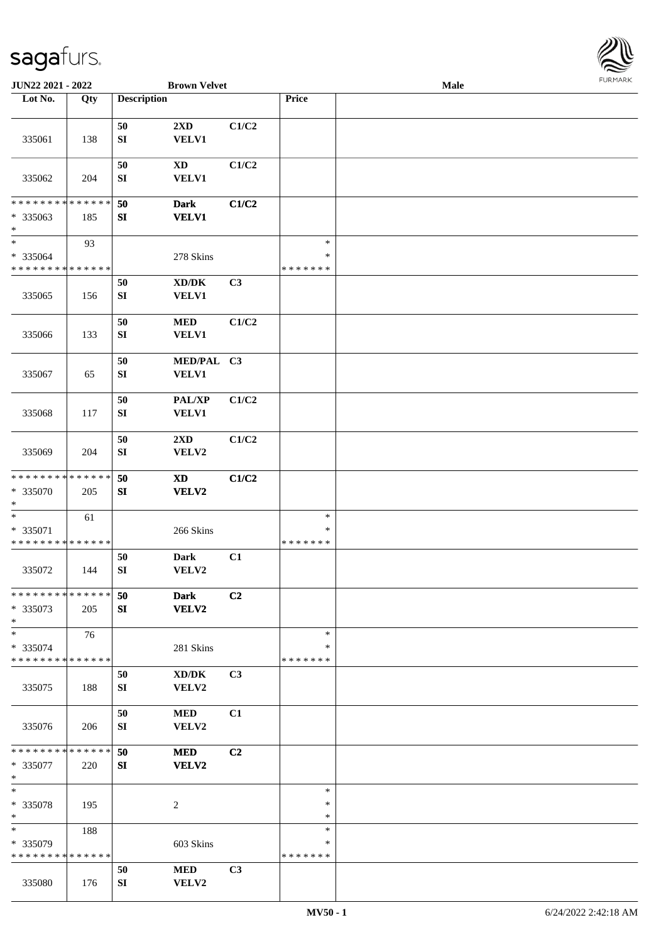

| JUN22 2021 - 2022                       |     |                    | <b>Brown Velvet</b>                 |                |               | Male |  |
|-----------------------------------------|-----|--------------------|-------------------------------------|----------------|---------------|------|--|
| Lot No.                                 | Qty | <b>Description</b> |                                     |                | Price         |      |  |
|                                         |     |                    |                                     |                |               |      |  |
|                                         |     | 50                 | 2XD                                 | C1/C2          |               |      |  |
| 335061                                  | 138 | ${\bf SI}$         | <b>VELV1</b>                        |                |               |      |  |
|                                         |     |                    |                                     |                |               |      |  |
|                                         |     | 50                 | <b>XD</b>                           | C1/C2          |               |      |  |
| 335062                                  | 204 | SI                 | <b>VELV1</b>                        |                |               |      |  |
|                                         |     |                    |                                     |                |               |      |  |
|                                         |     |                    |                                     |                |               |      |  |
| * * * * * * * * * * * * * *             |     | 50                 | <b>Dark</b>                         | C1/C2          |               |      |  |
| * 335063                                | 185 | SI                 | <b>VELV1</b>                        |                |               |      |  |
| $\ast$                                  |     |                    |                                     |                |               |      |  |
| $\ast$                                  | 93  |                    |                                     |                | $\ast$        |      |  |
| * 335064                                |     |                    | 278 Skins                           |                | $\ast$        |      |  |
| * * * * * * * * * * * * * *             |     |                    |                                     |                | * * * * * * * |      |  |
|                                         |     | $50\,$             | $\bold{X}\bold{D}/\bold{D}\bold{K}$ | C3             |               |      |  |
| 335065                                  | 156 | ${\bf SI}$         | VELV1                               |                |               |      |  |
|                                         |     |                    |                                     |                |               |      |  |
|                                         |     | $50\,$             | <b>MED</b>                          | C1/C2          |               |      |  |
| 335066                                  | 133 | ${\bf SI}$         | VELV1                               |                |               |      |  |
|                                         |     |                    |                                     |                |               |      |  |
|                                         |     | 50                 | MED/PAL C3                          |                |               |      |  |
| 335067                                  | 65  | ${\bf SI}$         | VELV1                               |                |               |      |  |
|                                         |     |                    |                                     |                |               |      |  |
|                                         |     |                    | <b>PAL/XP</b>                       |                |               |      |  |
|                                         |     | 50                 |                                     | C1/C2          |               |      |  |
| 335068                                  | 117 | SI                 | <b>VELV1</b>                        |                |               |      |  |
|                                         |     |                    |                                     |                |               |      |  |
|                                         |     | 50                 | $2\mathbf{X}\mathbf{D}$             | C1/C2          |               |      |  |
| 335069                                  | 204 | ${\bf SI}$         | VELV2                               |                |               |      |  |
|                                         |     |                    |                                     |                |               |      |  |
| * * * * * * * * * * * * * *             |     | 50                 | <b>XD</b>                           | C1/C2          |               |      |  |
| * 335070                                | 205 | SI                 | VELV2                               |                |               |      |  |
| $\ast$                                  |     |                    |                                     |                |               |      |  |
| $*$                                     | 61  |                    |                                     |                | $\ast$        |      |  |
| * 335071                                |     |                    | 266 Skins                           |                | $\ast$        |      |  |
| * * * * * * * * * * * * * *             |     |                    |                                     |                | * * * * * * * |      |  |
|                                         |     | 50                 | Dark                                | C1             |               |      |  |
| 335072                                  | 144 | ${\bf SI}$         | VELV2                               |                |               |      |  |
|                                         |     |                    |                                     |                |               |      |  |
| * * * * * * * * * * * * * * *           |     | 50                 | <b>Dark</b>                         | C2             |               |      |  |
| * 335073                                | 205 | SI                 | VELV2                               |                |               |      |  |
| $*$                                     |     |                    |                                     |                |               |      |  |
| $\ast$                                  |     |                    |                                     |                | $\ast$        |      |  |
|                                         | 76  |                    |                                     |                | ∗             |      |  |
| * 335074<br>* * * * * * * * * * * * * * |     |                    | 281 Skins                           |                | * * * * * * * |      |  |
|                                         |     |                    |                                     |                |               |      |  |
|                                         |     | 50                 | XD/DK                               | C <sub>3</sub> |               |      |  |
| 335075                                  | 188 | SI                 | VELV2                               |                |               |      |  |
|                                         |     |                    |                                     |                |               |      |  |
|                                         |     | 50                 | <b>MED</b>                          | C1             |               |      |  |
| 335076                                  | 206 | SI                 | VELV2                               |                |               |      |  |
|                                         |     |                    |                                     |                |               |      |  |
| * * * * * * * * * * * * * * *           |     | 50                 | <b>MED</b>                          | C <sub>2</sub> |               |      |  |
| * 335077                                | 220 | SI                 | VELV2                               |                |               |      |  |
| $*$                                     |     |                    |                                     |                |               |      |  |
| $*$                                     |     |                    |                                     |                | $\ast$        |      |  |
| * 335078                                | 195 |                    | $\overline{2}$                      |                | $\ast$        |      |  |
| $*$                                     |     |                    |                                     |                | $\ast$        |      |  |
| $*$                                     | 188 |                    |                                     |                | $\ast$        |      |  |
| * 335079                                |     |                    | 603 Skins                           |                | ∗             |      |  |
| * * * * * * * * * * * * * *             |     |                    |                                     |                | * * * * * * * |      |  |
|                                         |     | 50                 | <b>MED</b>                          | C3             |               |      |  |
| 335080                                  | 176 | SI                 | VELV2                               |                |               |      |  |
|                                         |     |                    |                                     |                |               |      |  |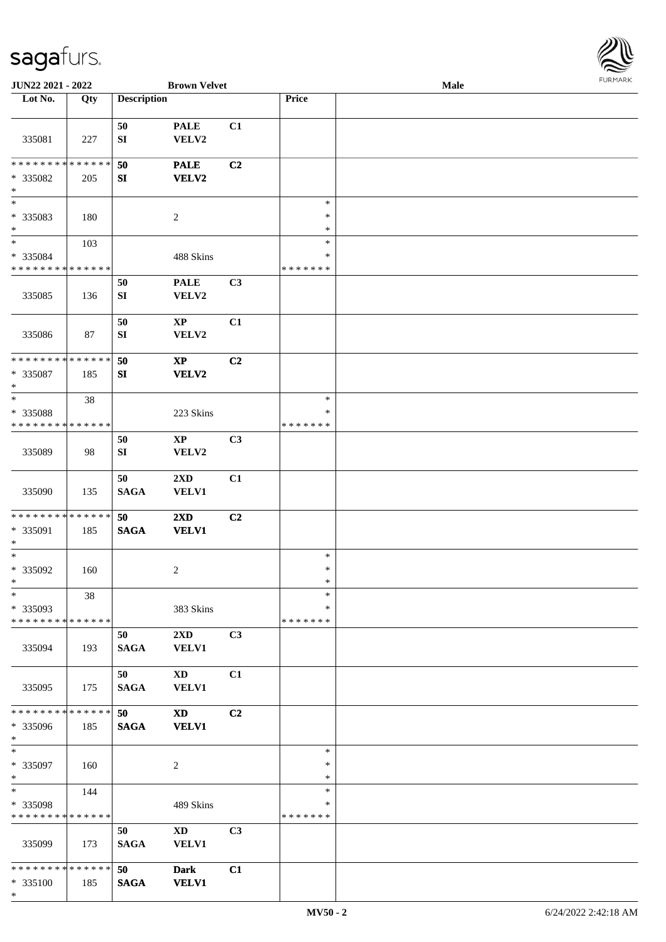

| JUN22 2021 - 2022             |     |                    | <b>Brown Velvet</b>     |                |               | Male |  |
|-------------------------------|-----|--------------------|-------------------------|----------------|---------------|------|--|
| Lot No.                       | Qty | <b>Description</b> |                         |                | Price         |      |  |
|                               |     |                    |                         |                |               |      |  |
|                               |     | 50                 | <b>PALE</b>             | C1             |               |      |  |
| 335081                        | 227 | ${\bf SI}$         | VELV2                   |                |               |      |  |
|                               |     |                    |                         |                |               |      |  |
| * * * * * * * * * * * * * *   |     | 50                 | <b>PALE</b>             | C2             |               |      |  |
| * 335082                      | 205 | SI                 | <b>VELV2</b>            |                |               |      |  |
| $\ast$                        |     |                    |                         |                |               |      |  |
| $*$                           |     |                    |                         |                | $\ast$        |      |  |
| * 335083                      | 180 |                    | $\sqrt{2}$              |                | $\ast$        |      |  |
| $*$                           |     |                    |                         |                | $\ast$        |      |  |
| $*$                           | 103 |                    |                         |                | $\ast$        |      |  |
| $* 335084$                    |     |                    | 488 Skins               |                | $\ast$        |      |  |
| * * * * * * * * * * * * * *   |     |                    |                         |                | * * * * * * * |      |  |
|                               |     | 50                 | <b>PALE</b>             | C3             |               |      |  |
| 335085                        | 136 | ${\bf SI}$         | VELV2                   |                |               |      |  |
|                               |     |                    |                         |                |               |      |  |
|                               |     | 50                 | $\mathbf{XP}$           | C1             |               |      |  |
| 335086                        | 87  | ${\bf SI}$         | VELV2                   |                |               |      |  |
|                               |     |                    |                         |                |               |      |  |
| * * * * * * * * * * * * * *   |     | 50                 | $\mathbf{XP}$           | C2             |               |      |  |
| * 335087                      | 185 | SI                 | <b>VELV2</b>            |                |               |      |  |
| $*$                           |     |                    |                         |                |               |      |  |
| $*$                           | 38  |                    |                         |                | $\ast$        |      |  |
| * 335088                      |     |                    | 223 Skins               |                | ∗             |      |  |
| * * * * * * * * * * * * * *   |     |                    |                         |                | * * * * * * * |      |  |
|                               |     | 50                 | $\mathbf{XP}$           | C <sub>3</sub> |               |      |  |
| 335089                        | 98  | ${\bf SI}$         | VELV2                   |                |               |      |  |
|                               |     |                    |                         |                |               |      |  |
|                               |     | 50                 | $2\mathbf{X}\mathbf{D}$ | C1             |               |      |  |
| 335090                        | 135 | <b>SAGA</b>        | <b>VELV1</b>            |                |               |      |  |
|                               |     |                    |                         |                |               |      |  |
| * * * * * * * * * * * * * *   |     | 50                 | 2XD                     | C2             |               |      |  |
| * 335091                      | 185 | <b>SAGA</b>        | <b>VELV1</b>            |                |               |      |  |
| $*$<br>$*$                    |     |                    |                         |                | $\ast$        |      |  |
|                               |     |                    |                         |                | $\ast$        |      |  |
| $* 335092$<br>$*$             | 160 |                    | $\overline{c}$          |                | $\ast$        |      |  |
| $\ast$                        |     |                    |                         |                | $\ast$        |      |  |
| * 335093                      | 38  |                    |                         |                | ∗             |      |  |
| * * * * * * * * * * * * * *   |     |                    | 383 Skins               |                | * * * * * * * |      |  |
|                               |     |                    |                         |                |               |      |  |
| 335094                        |     | 50                 | $2\mathbf{X}\mathbf{D}$ | C3             |               |      |  |
|                               | 193 | <b>SAGA</b>        | <b>VELV1</b>            |                |               |      |  |
|                               |     | 50                 | XD                      | C1             |               |      |  |
| 335095                        | 175 | <b>SAGA</b>        | <b>VELV1</b>            |                |               |      |  |
|                               |     |                    |                         |                |               |      |  |
| * * * * * * * * * * * * * * * |     | 50                 | <b>XD</b>               | C <sub>2</sub> |               |      |  |
| * 335096                      | 185 | $\mathbf{SAGA}$    | <b>VELV1</b>            |                |               |      |  |
| $*$                           |     |                    |                         |                |               |      |  |
| $*$                           |     |                    |                         |                | $\ast$        |      |  |
| * 335097                      | 160 |                    | $\overline{2}$          |                | $\ast$        |      |  |
| $*$                           |     |                    |                         |                | $\ast$        |      |  |
| $*$                           | 144 |                    |                         |                | $\ast$        |      |  |
| * 335098                      |     |                    | 489 Skins               |                | $\ast$        |      |  |
| * * * * * * * * * * * * * *   |     |                    |                         |                | * * * * * * * |      |  |
|                               |     | 50                 | $\mathbf{X}\mathbf{D}$  | C3             |               |      |  |
| 335099                        | 173 | <b>SAGA</b>        | <b>VELV1</b>            |                |               |      |  |
|                               |     |                    |                         |                |               |      |  |
| ******** <mark>******</mark>  |     | 50                 | <b>Dark</b>             | C1             |               |      |  |
| * 335100                      | 185 | <b>SAGA</b>        | <b>VELV1</b>            |                |               |      |  |
| $*$                           |     |                    |                         |                |               |      |  |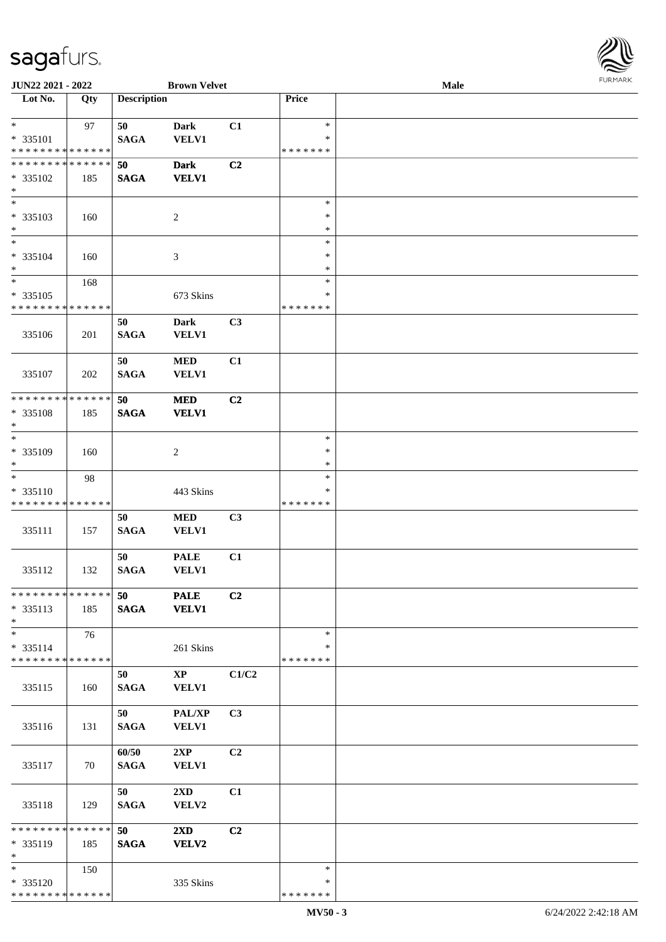

| JUN22 2021 - 2022                          |     |                    | <b>Brown Velvet</b>     |                |               | <b>Male</b> |  |
|--------------------------------------------|-----|--------------------|-------------------------|----------------|---------------|-------------|--|
| Lot No.                                    | Qty | <b>Description</b> |                         |                | Price         |             |  |
|                                            |     |                    |                         |                |               |             |  |
| $\ast$                                     | 97  | 50                 | Dark                    | C1             | $\ast$        |             |  |
| * 335101                                   |     | <b>SAGA</b>        | <b>VELV1</b>            |                | ∗             |             |  |
| * * * * * * * * * * * * * *                |     |                    |                         |                | * * * * * * * |             |  |
| * * * * * * * * * * * * * *                |     | 50                 | <b>Dark</b>             | C <sub>2</sub> |               |             |  |
| * 335102                                   | 185 | <b>SAGA</b>        | <b>VELV1</b>            |                |               |             |  |
| $\ast$                                     |     |                    |                         |                |               |             |  |
| $\overline{\phantom{0}}$                   |     |                    |                         |                | $\ast$        |             |  |
| * 335103                                   | 160 |                    | $\sqrt{2}$              |                | $\ast$        |             |  |
| $\ast$                                     |     |                    |                         |                | $\ast$        |             |  |
| $\overline{\phantom{a}^*}$                 |     |                    |                         |                | $\ast$        |             |  |
| * 335104                                   | 160 |                    | $\mathfrak{Z}$          |                | $\ast$        |             |  |
| $\ast$                                     |     |                    |                         |                | $\ast$        |             |  |
| $\ast$                                     | 168 |                    |                         |                | $\ast$        |             |  |
| $* 335105$                                 |     |                    | 673 Skins               |                | $\ast$        |             |  |
| * * * * * * * * * * * * * *                |     |                    |                         |                | * * * * * * * |             |  |
|                                            |     | 50                 | Dark                    | C3             |               |             |  |
| 335106                                     | 201 | <b>SAGA</b>        | <b>VELV1</b>            |                |               |             |  |
|                                            |     |                    |                         |                |               |             |  |
|                                            |     | 50                 | $\bf MED$               | C1             |               |             |  |
| 335107                                     | 202 | <b>SAGA</b>        | <b>VELV1</b>            |                |               |             |  |
|                                            |     |                    |                         |                |               |             |  |
| * * * * * * * * * * * * * *                |     | 50                 | <b>MED</b>              | C2             |               |             |  |
| * 335108                                   | 185 | <b>SAGA</b>        | <b>VELV1</b>            |                |               |             |  |
| $\ast$                                     |     |                    |                         |                |               |             |  |
| $\overline{\phantom{a}^*}$                 |     |                    |                         |                | $\ast$        |             |  |
| * 335109                                   | 160 |                    | $\overline{c}$          |                | $\ast$        |             |  |
| $\ast$                                     |     |                    |                         |                | $\ast$        |             |  |
| $\ast$                                     | 98  |                    |                         |                | $\ast$        |             |  |
| * 335110                                   |     |                    | 443 Skins               |                | ∗             |             |  |
| * * * * * * * * * * * * * *                |     |                    |                         |                | * * * * * * * |             |  |
|                                            |     | 50                 | $\bf MED$               | C3             |               |             |  |
| 335111                                     | 157 | <b>SAGA</b>        | <b>VELV1</b>            |                |               |             |  |
|                                            |     |                    |                         |                |               |             |  |
|                                            |     | 50                 | <b>PALE</b>             | C1             |               |             |  |
| 335112                                     | 132 | <b>SAGA</b>        | <b>VELV1</b>            |                |               |             |  |
|                                            |     |                    |                         |                |               |             |  |
| * * * * * * * * * * * * * * *              |     | 50                 | <b>PALE</b>             | C2             |               |             |  |
| $* 335113$                                 | 185 | <b>SAGA</b>        | <b>VELV1</b>            |                |               |             |  |
| $*$                                        |     |                    |                         |                |               |             |  |
| $*$                                        | 76  |                    |                         |                | $\ast$        |             |  |
| * 335114<br>* * * * * * * * * * * * * *    |     |                    | 261 Skins               |                | ∗             |             |  |
|                                            |     |                    |                         |                | * * * * * * * |             |  |
|                                            |     | 50                 | $\mathbf{X}\mathbf{P}$  | C1/C2          |               |             |  |
| 335115                                     | 160 | <b>SAGA</b>        | VELV1                   |                |               |             |  |
|                                            |     | 50                 |                         | C3             |               |             |  |
|                                            |     |                    | PAL/XP                  |                |               |             |  |
| 335116                                     | 131 | <b>SAGA</b>        | VELV1                   |                |               |             |  |
|                                            |     |                    |                         | C2             |               |             |  |
| 335117                                     |     | 60/50              | 2XP                     |                |               |             |  |
|                                            | 70  | <b>SAGA</b>        | <b>VELV1</b>            |                |               |             |  |
|                                            |     | 50                 | $2\mathbf{X}\mathbf{D}$ | C1             |               |             |  |
| 335118                                     | 129 | <b>SAGA</b>        | VELV2                   |                |               |             |  |
|                                            |     |                    |                         |                |               |             |  |
| ******** <mark>******</mark>               |     | 50                 | $2\mathbf{X}\mathbf{D}$ | C2             |               |             |  |
| * 335119                                   | 185 | <b>SAGA</b>        | <b>VELV2</b>            |                |               |             |  |
| $*$                                        |     |                    |                         |                |               |             |  |
| $*$                                        | 150 |                    |                         |                | $\ast$        |             |  |
| * 335120                                   |     |                    | 335 Skins               |                | ∗             |             |  |
| * * * * * * * * <mark>* * * * * * *</mark> |     |                    |                         |                | * * * * * * * |             |  |
|                                            |     |                    |                         |                |               |             |  |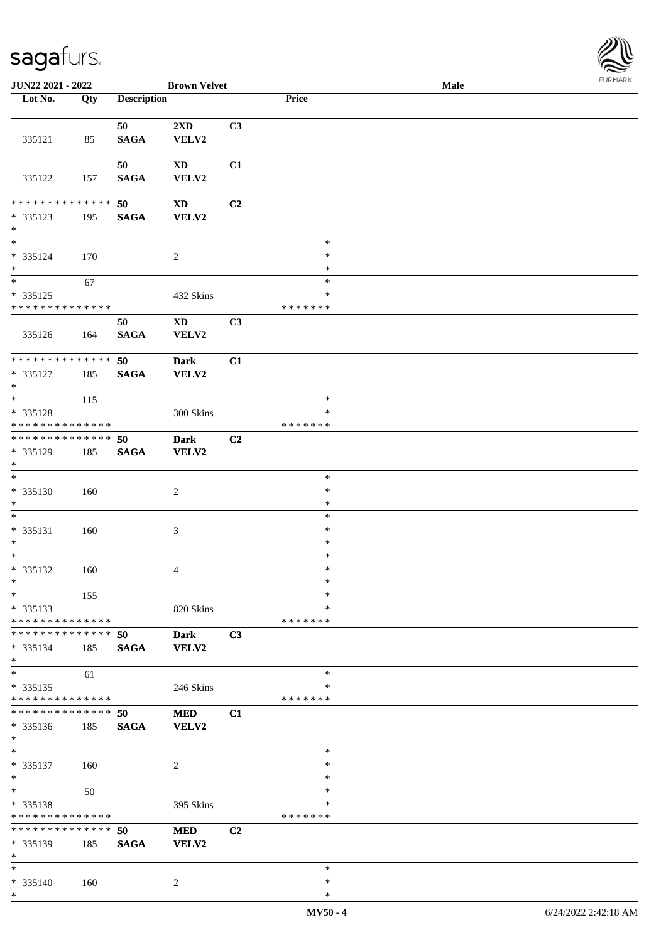

| JUN22 2021 - 2022                                          |     |                    | <b>Brown Velvet</b>        |                |                  | Male |  |
|------------------------------------------------------------|-----|--------------------|----------------------------|----------------|------------------|------|--|
| Lot No.                                                    | Qty | <b>Description</b> |                            |                | Price            |      |  |
|                                                            |     |                    |                            |                |                  |      |  |
|                                                            |     | 50                 | 2XD                        | C3             |                  |      |  |
| 335121                                                     | 85  | <b>SAGA</b>        | VELV2                      |                |                  |      |  |
|                                                            |     |                    |                            |                |                  |      |  |
|                                                            |     | 50                 | $\mathbf{X}\mathbf{D}$     | C1             |                  |      |  |
| 335122                                                     | 157 | <b>SAGA</b>        | VELV2                      |                |                  |      |  |
|                                                            |     |                    |                            |                |                  |      |  |
| * * * * * * * * * * * * * *                                |     | 50                 | $\boldsymbol{\mathrm{XD}}$ | C2             |                  |      |  |
| * 335123                                                   | 195 | <b>SAGA</b>        | <b>VELV2</b>               |                |                  |      |  |
| $\ast$<br>$\overline{\phantom{1}}$                         |     |                    |                            |                |                  |      |  |
|                                                            |     |                    |                            |                | $\ast$           |      |  |
| * 335124<br>$*$                                            | 170 |                    | 2                          |                | $\ast$<br>$\ast$ |      |  |
| $\ast$                                                     |     |                    |                            |                | $\ast$           |      |  |
|                                                            | 67  |                    |                            |                | $\ast$           |      |  |
| $* 335125$<br>* * * * * * * * * * * * * *                  |     |                    | 432 Skins                  |                | * * * * * * *    |      |  |
|                                                            |     | 50                 | $\mathbf{X}\mathbf{D}$     | C3             |                  |      |  |
| 335126                                                     | 164 | <b>SAGA</b>        | VELV2                      |                |                  |      |  |
|                                                            |     |                    |                            |                |                  |      |  |
| ******** <mark>******</mark>                               |     | 50                 | <b>Dark</b>                | C1             |                  |      |  |
| * 335127                                                   | 185 | <b>SAGA</b>        | <b>VELV2</b>               |                |                  |      |  |
| $\ast$                                                     |     |                    |                            |                |                  |      |  |
| $*$                                                        | 115 |                    |                            |                | $\ast$           |      |  |
| * 335128                                                   |     |                    | 300 Skins                  |                | *                |      |  |
| * * * * * * * * * * * * * *                                |     |                    |                            |                | * * * * * * *    |      |  |
| * * * * * * * * * * * * * *                                |     | 50                 | <b>Dark</b>                | C <sub>2</sub> |                  |      |  |
| * 335129                                                   | 185 | <b>SAGA</b>        | <b>VELV2</b>               |                |                  |      |  |
| $*$                                                        |     |                    |                            |                |                  |      |  |
| $*$                                                        |     |                    |                            |                | $\ast$           |      |  |
| $* 335130$                                                 | 160 |                    | $\sqrt{2}$                 |                | $\ast$           |      |  |
| $*$                                                        |     |                    |                            |                | $\ast$           |      |  |
| $\ast$                                                     |     |                    |                            |                | $\ast$           |      |  |
| $* 335131$                                                 | 160 |                    | $\mathfrak{Z}$             |                | $\ast$           |      |  |
| $*$                                                        |     |                    |                            |                | $\ast$           |      |  |
| $*$                                                        |     |                    |                            |                | $\ast$           |      |  |
| $* 335132$                                                 | 160 |                    | 4                          |                | $\ast$           |      |  |
| $*$                                                        |     |                    |                            |                | $\ast$           |      |  |
| $\ast$                                                     | 155 |                    |                            |                | $\ast$           |      |  |
| * 335133                                                   |     |                    | 820 Skins                  |                | ∗                |      |  |
| * * * * * * * * * * * * * *                                |     |                    |                            |                | * * * * * * *    |      |  |
| * * * * * * * * * * * * * *                                |     | 50                 | <b>Dark</b>                | C3             |                  |      |  |
| * 335134                                                   | 185 | <b>SAGA</b>        | VELV2                      |                |                  |      |  |
| $*$                                                        |     |                    |                            |                |                  |      |  |
| $\ast$                                                     | 61  |                    |                            |                | $\ast$           |      |  |
| * 335135                                                   |     |                    | 246 Skins                  |                | $\ast$           |      |  |
| * * * * * * * * * * * * * *<br>* * * * * * * * * * * * * * |     |                    |                            |                | * * * * * * *    |      |  |
|                                                            |     | 50                 | <b>MED</b>                 | C1             |                  |      |  |
| $* 335136$                                                 | 185 | <b>SAGA</b>        | VELV2                      |                |                  |      |  |
| $*$<br>$*$                                                 |     |                    |                            |                | $\ast$           |      |  |
|                                                            |     |                    |                            |                | $\ast$           |      |  |
| $* 335137$<br>$*$                                          | 160 |                    | $\overline{2}$             |                | $\ast$           |      |  |
| $*$                                                        | 50  |                    |                            |                | $\ast$           |      |  |
| * 335138                                                   |     |                    | 395 Skins                  |                | $\ast$           |      |  |
| * * * * * * * * * * * * * *                                |     |                    |                            |                | * * * * * * *    |      |  |
| * * * * * * * * * * * * * *                                |     | 50                 | <b>MED</b>                 | C <sub>2</sub> |                  |      |  |
| $* 335139$                                                 | 185 | <b>SAGA</b>        | <b>VELV2</b>               |                |                  |      |  |
| $\ast$                                                     |     |                    |                            |                |                  |      |  |
| $*$                                                        |     |                    |                            |                | $\ast$           |      |  |
| * 335140                                                   | 160 |                    | 2                          |                | $\ast$           |      |  |
| $\ast$                                                     |     |                    |                            |                | $\ast$           |      |  |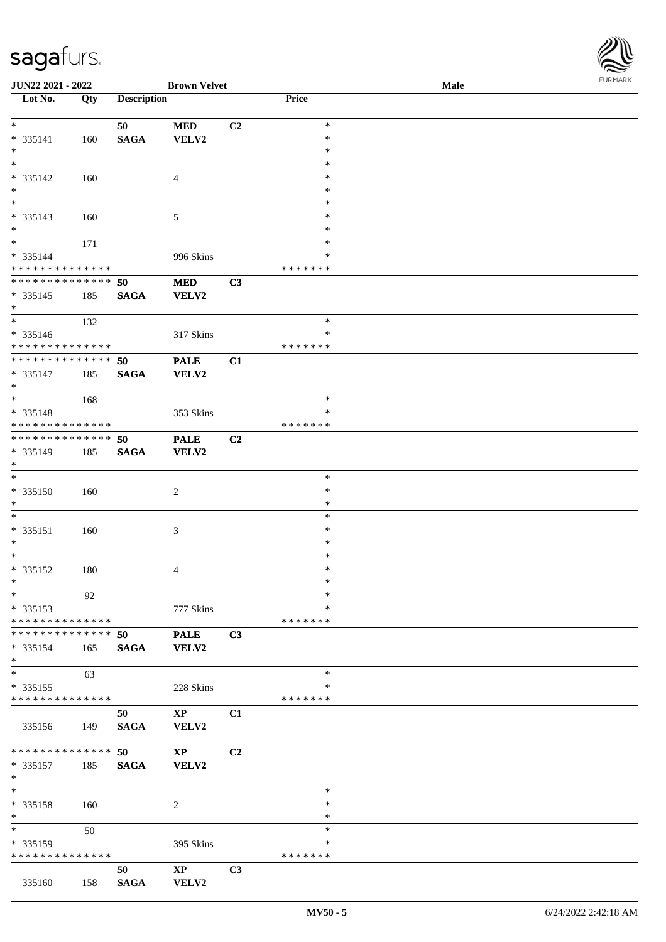

| JUN22 2021 - 2022             |     |                    | <b>Brown Velvet</b>    |                |               | <b>Male</b> |  |
|-------------------------------|-----|--------------------|------------------------|----------------|---------------|-------------|--|
| Lot No.                       | Qty | <b>Description</b> |                        |                | Price         |             |  |
|                               |     |                    |                        |                |               |             |  |
| $*$                           |     | 50                 | <b>MED</b>             | C2             | $\ast$        |             |  |
| * 335141                      | 160 | <b>SAGA</b>        | VELV2                  |                | $\ast$        |             |  |
| $\ast$                        |     |                    |                        |                | $\ast$        |             |  |
| $\overline{\ast}$             |     |                    |                        |                | $\ast$        |             |  |
| * 335142                      | 160 |                    | $\overline{4}$         |                | $\ast$        |             |  |
| $\ast$                        |     |                    |                        |                | $\ast$        |             |  |
| $\overline{\ }$               |     |                    |                        |                | $\ast$        |             |  |
| * 335143                      | 160 |                    | 5                      |                | $\ast$        |             |  |
| $*$                           |     |                    |                        |                | $\ast$        |             |  |
| $\overline{\ast}$             | 171 |                    |                        |                | $\ast$        |             |  |
| * 335144                      |     |                    | 996 Skins              |                | ∗             |             |  |
| * * * * * * * * * * * * * *   |     |                    |                        |                | *******       |             |  |
| * * * * * * * * * * * * * *   |     | 50                 | $\bf MED$              | C3             |               |             |  |
|                               |     |                    |                        |                |               |             |  |
| $* 335145$                    | 185 | <b>SAGA</b>        | <b>VELV2</b>           |                |               |             |  |
| $*$<br>$*$                    |     |                    |                        |                |               |             |  |
|                               | 132 |                    |                        |                | $\ast$        |             |  |
| $* 335146$                    |     |                    | 317 Skins              |                | $\ast$        |             |  |
| * * * * * * * * * * * * * *   |     |                    |                        |                | *******       |             |  |
| * * * * * * * * * * * * * *   |     | 50                 | <b>PALE</b>            | C1             |               |             |  |
| * 335147                      | 185 | <b>SAGA</b>        | <b>VELV2</b>           |                |               |             |  |
| $*$                           |     |                    |                        |                |               |             |  |
| $\overline{\ast}$             | 168 |                    |                        |                | $\ast$        |             |  |
| * 335148                      |     |                    | 353 Skins              |                | $\ast$        |             |  |
| * * * * * * * * * * * * * *   |     |                    |                        |                | * * * * * * * |             |  |
| * * * * * * * * * * * * * * * |     | 50                 | <b>PALE</b>            | C <sub>2</sub> |               |             |  |
| * 335149                      | 185 | <b>SAGA</b>        | VELV2                  |                |               |             |  |
| $*$                           |     |                    |                        |                |               |             |  |
| $*$                           |     |                    |                        |                | $\ast$        |             |  |
| * 335150                      | 160 |                    | $\overline{c}$         |                | $\ast$        |             |  |
| $*$                           |     |                    |                        |                | $\ast$        |             |  |
| $\ast$                        |     |                    |                        |                | $\ast$        |             |  |
| * 335151                      | 160 |                    | $\mathfrak{Z}$         |                | $\ast$        |             |  |
| $*$                           |     |                    |                        |                | $\ast$        |             |  |
| $*$                           |     |                    |                        |                | $\ast$        |             |  |
| $* 335152$                    | 180 |                    |                        |                | $\ast$        |             |  |
| $*$                           |     |                    | 4                      |                | $\ast$        |             |  |
| $*$                           |     |                    |                        |                | $\ast$        |             |  |
|                               | 92  |                    |                        |                |               |             |  |
| $* 335153$                    |     |                    | 777 Skins              |                | ∗             |             |  |
| * * * * * * * * * * * * * * * |     |                    |                        |                | *******       |             |  |
| * * * * * * * * * * * * * * * |     | 50                 | <b>PALE</b>            | C3             |               |             |  |
| $* 335154$                    | 165 | <b>SAGA</b>        | VELV2                  |                |               |             |  |
| $*$                           |     |                    |                        |                |               |             |  |
| $*$                           | 63  |                    |                        |                | $\ast$        |             |  |
| * 335155                      |     |                    | 228 Skins              |                | ∗             |             |  |
| * * * * * * * * * * * * * *   |     |                    |                        |                | *******       |             |  |
|                               |     | 50                 | $\mathbf{X}\mathbf{P}$ | C1             |               |             |  |
| 335156                        | 149 | <b>SAGA</b>        | VELV2                  |                |               |             |  |
|                               |     |                    |                        |                |               |             |  |
| * * * * * * * * * * * * * * * |     | 50                 | $\mathbf{X}\mathbf{P}$ | C <sub>2</sub> |               |             |  |
| * 335157                      | 185 | <b>SAGA</b>        | VELV2                  |                |               |             |  |
| $*$                           |     |                    |                        |                |               |             |  |
| $*$                           |     |                    |                        |                | $\ast$        |             |  |
| * 335158                      | 160 |                    | 2                      |                | $\ast$        |             |  |
| $*$                           |     |                    |                        |                | $\ast$        |             |  |
| $*$ and $*$                   | 50  |                    |                        |                | $\ast$        |             |  |
| $*335159$                     |     |                    | 395 Skins              |                | ∗             |             |  |
| * * * * * * * * * * * * * *   |     |                    |                        |                | *******       |             |  |
|                               |     |                    |                        |                |               |             |  |
|                               |     | 50                 | $\mathbf{X}\mathbf{P}$ | C <sub>3</sub> |               |             |  |
| 335160                        | 158 | <b>SAGA</b>        | VELV2                  |                |               |             |  |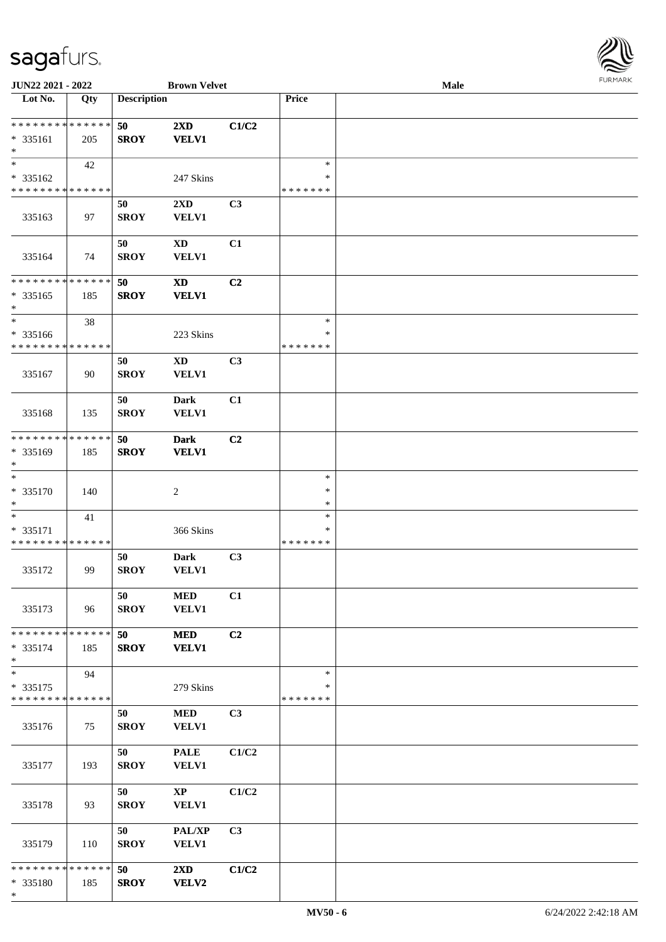

| JUN22 2021 - 2022                                                   |                   |                    | <b>Brown Velvet</b>                        |                |                                   | Male |  |
|---------------------------------------------------------------------|-------------------|--------------------|--------------------------------------------|----------------|-----------------------------------|------|--|
| Lot No.                                                             | $\overline{Q}$ ty | <b>Description</b> |                                            |                | Price                             |      |  |
| **************<br>$* 335161$<br>$\ast$                              | 205               | 50<br><b>SROY</b>  | $2\mathbf{X}\mathbf{D}$<br><b>VELV1</b>    | C1/C2          |                                   |      |  |
| $\overline{\phantom{0}}$<br>* 335162<br>* * * * * * * * * * * * * * | 42                |                    | 247 Skins                                  |                | $\ast$<br>∗<br>* * * * * * *      |      |  |
| 335163                                                              | 97                | 50<br><b>SROY</b>  | 2XD<br><b>VELV1</b>                        | C3             |                                   |      |  |
| 335164                                                              | 74                | 50<br><b>SROY</b>  | $\mathbf{X}\mathbf{D}$<br><b>VELV1</b>     | C1             |                                   |      |  |
| * * * * * * * * * * * * * *<br>$* 335165$<br>$\ast$                 | 185               | 50<br><b>SROY</b>  | $\boldsymbol{\mathrm{XD}}$<br><b>VELV1</b> | C2             |                                   |      |  |
| $\ast$<br>* 335166<br>* * * * * * * * * * * * * *                   | 38                |                    | 223 Skins                                  |                | $\ast$<br>$\ast$<br>* * * * * * * |      |  |
| 335167                                                              | 90                | 50<br><b>SROY</b>  | $\mathbf{X}\mathbf{D}$<br><b>VELV1</b>     | C3             |                                   |      |  |
| 335168                                                              | 135               | 50<br><b>SROY</b>  | <b>Dark</b><br><b>VELV1</b>                | C1             |                                   |      |  |
| * * * * * * * * * * * * * *<br>* 335169<br>$\ast$                   | 185               | 50<br><b>SROY</b>  | <b>Dark</b><br><b>VELV1</b>                | C2             |                                   |      |  |
| $\ast$<br>$* 335170$<br>$\ast$                                      | 140               |                    | $\boldsymbol{2}$                           |                | $\ast$<br>$\ast$<br>$\ast$        |      |  |
| $\ast$<br>* 335171<br>* * * * * * * * * * * * * *                   | 41                |                    | 366 Skins                                  |                | $\ast$<br>*<br>* * * * * * *      |      |  |
| 335172                                                              | 99                | 50<br><b>SROY</b>  | <b>Dark</b><br><b>VELV1</b>                | C3             |                                   |      |  |
| 335173                                                              | 96                | 50<br><b>SROY</b>  | <b>MED</b><br><b>VELV1</b>                 | C1             |                                   |      |  |
| * * * * * * * * * * * * * * *<br>$* 335174$<br>$*$                  | 185               | 50<br><b>SROY</b>  | <b>MED</b><br><b>VELV1</b>                 | C2             |                                   |      |  |
| $\ast$<br>* 335175<br>* * * * * * * * * * * * * *                   | 94                |                    | 279 Skins                                  |                | $\ast$<br>∗<br>* * * * * * *      |      |  |
| 335176                                                              | 75                | 50<br><b>SROY</b>  | <b>MED</b><br><b>VELV1</b>                 | C <sub>3</sub> |                                   |      |  |
| 335177                                                              | 193               | 50<br><b>SROY</b>  | <b>PALE</b><br><b>VELV1</b>                | C1/C2          |                                   |      |  |
| 335178                                                              | 93                | 50<br><b>SROY</b>  | $\mathbf{X}\mathbf{P}$<br><b>VELV1</b>     | C1/C2          |                                   |      |  |
| 335179                                                              | 110               | 50<br><b>SROY</b>  | PAL/XP<br><b>VELV1</b>                     | C3             |                                   |      |  |
| * * * * * * * * * * * * * * *<br>* 335180<br>$\ast$                 | 185               | 50<br><b>SROY</b>  | $2\mathbf{X}\mathbf{D}$<br><b>VELV2</b>    | C1/C2          |                                   |      |  |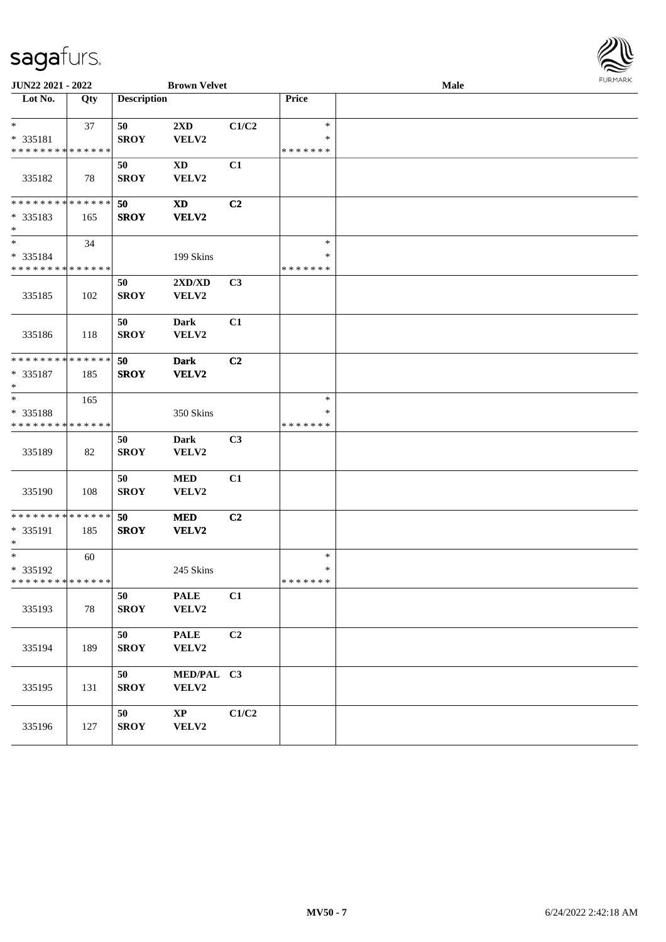

| <b>JUN22 2021 - 2022</b>                          |     |                    | <b>Brown Velvet</b>             |                |                                   | <b>Male</b> |  |
|---------------------------------------------------|-----|--------------------|---------------------------------|----------------|-----------------------------------|-------------|--|
| Lot No.                                           | Qty | <b>Description</b> |                                 |                | Price                             |             |  |
| $*$<br>* 335181<br>* * * * * * * * * * * * * *    | 37  | 50<br><b>SROY</b>  | 2XD<br>VELV2                    | C1/C2          | $\ast$<br>∗<br>* * * * * * *      |             |  |
| 335182                                            | 78  | 50<br><b>SROY</b>  | $\mathbf{X}\mathbf{D}$<br>VELV2 | C1             |                                   |             |  |
| * * * * * * * * * * * * * * *<br>* 335183<br>$*$  | 165 | 50<br><b>SROY</b>  | XD<br>VELV2                     | C2             |                                   |             |  |
| $*$<br>* 335184<br>* * * * * * * * * * * * * *    | 34  |                    | 199 Skins                       |                | $\ast$<br>$\ast$<br>* * * * * * * |             |  |
| 335185                                            | 102 | 50<br><b>SROY</b>  | 2XD/XD<br>VELV2                 | C3             |                                   |             |  |
| 335186                                            | 118 | 50<br><b>SROY</b>  | Dark<br>VELV2                   | C1             |                                   |             |  |
| * * * * * * * * * * * * * *<br>* 335187<br>$*$    | 185 | 50<br><b>SROY</b>  | <b>Dark</b><br>VELV2            | C2             |                                   |             |  |
| $\ast$<br>* 335188<br>* * * * * * * * * * * * * * | 165 |                    | 350 Skins                       |                | $\ast$<br>∗<br>* * * * * * *      |             |  |
| 335189                                            | 82  | 50<br><b>SROY</b>  | Dark<br>VELV2                   | C3             |                                   |             |  |
| 335190                                            | 108 | 50<br><b>SROY</b>  | $\bf MED$<br>VELV2              | C1             |                                   |             |  |
| * * * * * * * * * * * * * * *<br>* 335191<br>$*$  | 185 | 50<br><b>SROY</b>  | <b>MED</b><br>VELV2             | C2             |                                   |             |  |
| $*$<br>* 335192<br>* * * * * * * * * * * * * * *  | 60  |                    | 245 Skins                       |                | $\ast$<br>$\ast$<br>*******       |             |  |
| 335193                                            | 78  | 50<br><b>SROY</b>  | <b>PALE</b><br>VELV2            | C1             |                                   |             |  |
| 335194                                            | 189 | 50<br><b>SROY</b>  | <b>PALE</b><br>VELV2            | C <sub>2</sub> |                                   |             |  |
| 335195                                            | 131 | 50<br><b>SROY</b>  | MED/PAL C3<br>VELV2             |                |                                   |             |  |
| 335196                                            | 127 | 50<br>${\bf SROY}$ | $\mathbf{X}\mathbf{P}$<br>VELV2 | C1/C2          |                                   |             |  |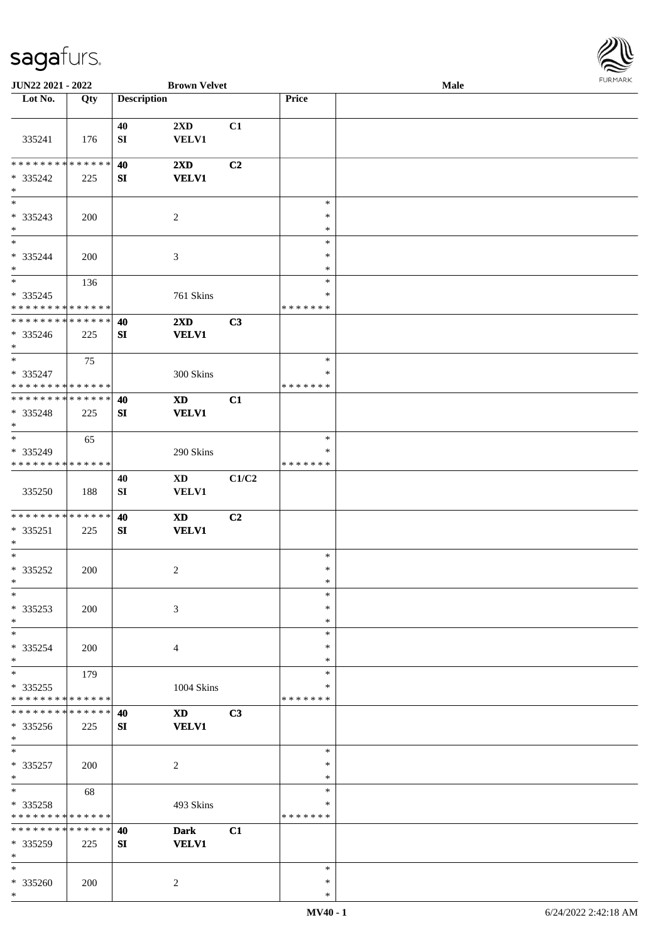

| JUN22 2021 - 2022                              |     |                        | <b>Brown Velvet</b>                    |                |                         | Male |  |
|------------------------------------------------|-----|------------------------|----------------------------------------|----------------|-------------------------|------|--|
| Lot No.                                        | Qty | <b>Description</b>     |                                        |                | Price                   |      |  |
|                                                |     |                        |                                        |                |                         |      |  |
| 335241                                         | 176 | 40<br>${\bf S}{\bf I}$ | 2XD<br><b>VELV1</b>                    | C1             |                         |      |  |
|                                                |     |                        |                                        |                |                         |      |  |
| * * * * * * * * * * * * * *<br>* 335242<br>$*$ | 225 | 40<br>SI               | 2XD<br><b>VELV1</b>                    | C <sub>2</sub> |                         |      |  |
| $\overline{\ast}$                              |     |                        |                                        |                | $\ast$                  |      |  |
| $* 335243$<br>$*$                              | 200 |                        | 2                                      |                | $\ast$<br>$\ast$        |      |  |
| $\overline{\phantom{a}^*}$                     |     |                        |                                        |                | $\ast$                  |      |  |
| $* 335244$<br>$\ast$                           | 200 |                        | $\mathfrak{Z}$                         |                | $\ast$<br>$\ast$        |      |  |
| $\ast$                                         | 136 |                        |                                        |                | $\ast$                  |      |  |
| $* 335245$<br>* * * * * * * * * * * * * *      |     |                        | 761 Skins                              |                | *<br>* * * * * * *      |      |  |
| * * * * * * * * * * * * * *                    |     | 40                     | $2\mathbf{X}\mathbf{D}$                | C3             |                         |      |  |
| * 335246<br>$*$                                | 225 | SI                     | <b>VELV1</b>                           |                |                         |      |  |
| $\ast$                                         | 75  |                        |                                        |                | $\ast$                  |      |  |
| * 335247<br>* * * * * * * * * * * * * *        |     |                        | 300 Skins                              |                | ∗<br>* * * * * * *      |      |  |
| * * * * * * * * * * * * * *                    |     | 40                     | <b>XD</b>                              | C1             |                         |      |  |
| * 335248<br>$*$                                | 225 | SI                     | <b>VELV1</b>                           |                |                         |      |  |
| $\ast$                                         | 65  |                        |                                        |                | $\ast$                  |      |  |
| * 335249<br>* * * * * * * * * * * * * *        |     |                        | 290 Skins                              |                | $\ast$<br>* * * * * * * |      |  |
| 335250                                         | 188 | 40<br>${\bf S}{\bf I}$ | $\mathbf{X}\mathbf{D}$<br><b>VELV1</b> | C1/C2          |                         |      |  |
| * * * * * * * * * * * * * *                    |     | 40                     | <b>XD</b>                              | C <sub>2</sub> |                         |      |  |
| * 335251<br>$*$                                | 225 | SI                     | <b>VELV1</b>                           |                |                         |      |  |
| $*$                                            |     |                        |                                        |                | $\ast$                  |      |  |
| $* 335252$<br>$*$                              | 200 |                        | $\overline{2}$                         |                | $\ast$<br>$\ast$        |      |  |
| $\ast$                                         |     |                        |                                        |                | $\ast$                  |      |  |
| * 335253<br>$*$                                | 200 |                        | 3                                      |                | ∗<br>$\ast$             |      |  |
| $*$                                            |     |                        |                                        |                | $\ast$                  |      |  |
| * 335254<br>$*$                                | 200 |                        | $\overline{4}$                         |                | *<br>*                  |      |  |
| $\ast$                                         | 179 |                        |                                        |                | $\ast$                  |      |  |
| * 335255<br>* * * * * * * * * * * * * *        |     |                        | 1004 Skins                             |                | *<br>* * * * * * *      |      |  |
| * * * * * * * * * * * * * *                    |     |                        |                                        |                |                         |      |  |
| * 335256<br>$*$                                | 225 | 40<br>SI               | <b>XD</b><br><b>VELV1</b>              | C3             |                         |      |  |
| $*$                                            |     |                        |                                        |                | $\ast$                  |      |  |
| * 335257<br>$*$                                | 200 |                        | $\overline{c}$                         |                | $\ast$<br>$\ast$        |      |  |
| $*$                                            | 68  |                        |                                        |                | $*$                     |      |  |
| $* 335258$<br>* * * * * * * * * * * * * *      |     |                        | 493 Skins                              |                | $\ast$<br>* * * * * * * |      |  |
| * * * * * * * * * * * * * *                    |     | 40                     | <b>Dark</b>                            | C1             |                         |      |  |
| * 335259<br>$\ast$                             | 225 | SI                     | <b>VELV1</b>                           |                |                         |      |  |
| $\ast$                                         |     |                        |                                        |                | $\ast$                  |      |  |
| * 335260<br>$\ast$                             | 200 |                        | 2                                      |                | $\ast$<br>$\ast$        |      |  |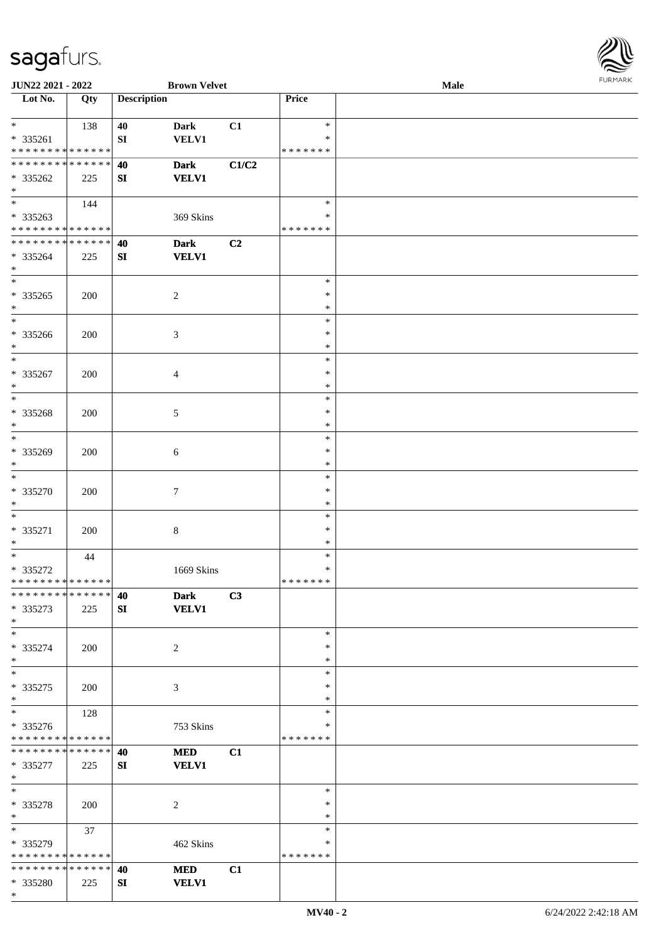\*

\* \* \* \* \* \* \* \* \* \* \* \* \* \*

**\* \* \* \* \* \* \* \* \* \* \* \* \* \*** \* 335280 225

**40 MED C1 SI VELV1**

| JUN22 2021 - 2022                        |     |                    | <b>Brown Velvet</b>         |                |                    | Male | <b>FURPIARR</b> |
|------------------------------------------|-----|--------------------|-----------------------------|----------------|--------------------|------|-----------------|
| Lot No.                                  | Qty | <b>Description</b> |                             |                | Price              |      |                 |
| $\ast$                                   | 138 | 40                 | <b>Dark</b>                 | C1             | $\ast$             |      |                 |
| * 335261                                 |     | SI                 | <b>VELV1</b>                |                | $\ast$             |      |                 |
| * * * * * * * * * * * * * *              |     |                    |                             |                | * * * * * * *      |      |                 |
| **************                           |     | 40                 | <b>Dark</b>                 | C1/C2          |                    |      |                 |
| $* 335262$                               | 225 | SI                 | <b>VELV1</b>                |                |                    |      |                 |
| $\ast$<br>$\overline{\phantom{0}}$       |     |                    |                             |                |                    |      |                 |
|                                          | 144 |                    |                             |                | $\ast$             |      |                 |
| * 335263<br>******** <mark>******</mark> |     |                    | 369 Skins                   |                | ∗<br>* * * * * * * |      |                 |
| **************                           |     |                    |                             | C <sub>2</sub> |                    |      |                 |
| * 335264                                 | 225 | 40<br>SI           | <b>Dark</b><br><b>VELV1</b> |                |                    |      |                 |
| $\ast$                                   |     |                    |                             |                |                    |      |                 |
| $\overline{\phantom{0}}$                 |     |                    |                             |                | $\ast$             |      |                 |
| $*335265$                                | 200 |                    | $\overline{c}$              |                | $\ast$             |      |                 |
| $\ast$                                   |     |                    |                             |                | $\ast$             |      |                 |
| $\overline{\phantom{0}}$                 |     |                    |                             |                | $\ast$             |      |                 |
| * 335266                                 | 200 |                    | $\mathfrak{Z}$              |                | $\ast$             |      |                 |
| $\ast$                                   |     |                    |                             |                | $\ast$             |      |                 |
| $\ast$                                   |     |                    |                             |                | $\ast$             |      |                 |
| $* 335267$                               | 200 |                    | 4                           |                | $\ast$             |      |                 |
| $\ast$                                   |     |                    |                             |                | $\ast$             |      |                 |
| $\overline{\phantom{1}}$                 |     |                    |                             |                | $\ast$             |      |                 |
| $* 335268$                               | 200 |                    | $\mathfrak{S}$              |                | $\ast$             |      |                 |
| $\ast$<br>$_{\rm *}$                     |     |                    |                             |                | $\ast$             |      |                 |
|                                          |     |                    |                             |                | $\ast$             |      |                 |
| $* 335269$<br>$\ast$                     | 200 |                    | 6                           |                | $\ast$             |      |                 |
| $\ast$                                   |     |                    |                             |                | $\ast$<br>$\ast$   |      |                 |
| * 335270                                 | 200 |                    | $\tau$                      |                | $\ast$             |      |                 |
| $\ast$                                   |     |                    |                             |                | $\ast$             |      |                 |
| $*$                                      |     |                    |                             |                | $\ast$             |      |                 |
| * 335271                                 | 200 |                    | $\,8\,$                     |                | $\ast$             |      |                 |
| $\ast$                                   |     |                    |                             |                | $\ast$             |      |                 |
| $\overline{\ast}$                        | 44  |                    |                             |                | $\ast$             |      |                 |
| $* 335272$                               |     |                    | 1669 Skins                  |                | $\ast$             |      |                 |
| ******** <mark>******</mark>             |     |                    |                             |                | *******            |      |                 |
| **************                           |     | 40                 | <b>Dark</b>                 | C3             |                    |      |                 |
| * 335273                                 | 225 | SI                 | <b>VELV1</b>                |                |                    |      |                 |
| $*$                                      |     |                    |                             |                |                    |      |                 |
| $\ast$                                   |     |                    |                             |                | $\ast$             |      |                 |
| $* 335274$                               | 200 |                    | $\overline{c}$              |                | $\ast$<br>$\ast$   |      |                 |
| $\ast$<br>$\frac{1}{*}$                  |     |                    |                             |                | $\ast$             |      |                 |
| $*335275$                                | 200 |                    | 3                           |                | ∗                  |      |                 |
| $*$                                      |     |                    |                             |                | $\ast$             |      |                 |
| $\overline{\phantom{a}^*}$               | 128 |                    |                             |                | $\ast$             |      |                 |
| * 335276                                 |     |                    | 753 Skins                   |                | ∗                  |      |                 |
| * * * * * * * * * * * * * *              |     |                    |                             |                | * * * * * * *      |      |                 |
| * * * * * * * * * * * * * * *            |     | 40                 | <b>MED</b>                  | C1             |                    |      |                 |
| * 335277                                 | 225 | SI                 | <b>VELV1</b>                |                |                    |      |                 |
| $\ast$                                   |     |                    |                             |                |                    |      |                 |
| $\ast$                                   |     |                    |                             |                | $\ast$             |      |                 |
| * 335278                                 | 200 |                    | 2                           |                | ∗                  |      |                 |
| $*$                                      |     |                    |                             |                | $\ast$             |      |                 |
| $\ast$                                   | 37  |                    |                             |                | $\ast$             |      |                 |
| * 335279                                 |     |                    | 462 Skins                   |                | $\ast$             |      |                 |

\* \* \* \* \* \* \*

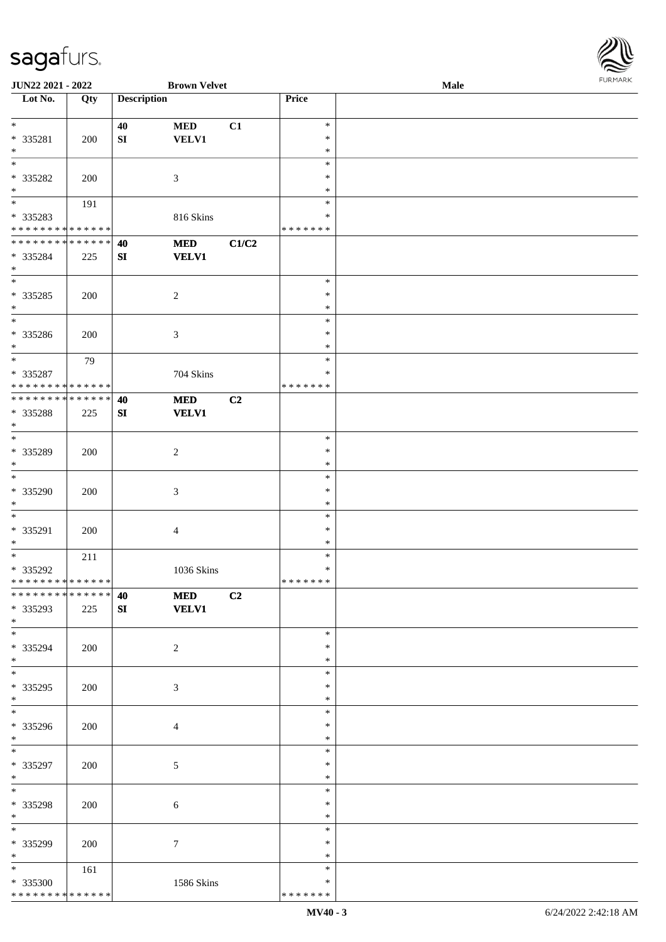

| JUN22 2021 - 2022             |     |                    | <b>Brown Velvet</b> |                |               | Male |  |
|-------------------------------|-----|--------------------|---------------------|----------------|---------------|------|--|
| Lot No.                       | Qty | <b>Description</b> |                     |                | Price         |      |  |
|                               |     |                    |                     |                |               |      |  |
| $*$                           |     | 40                 | <b>MED</b>          | C1             | $\ast$        |      |  |
| * 335281                      | 200 | SI                 | <b>VELV1</b>        |                | $\ast$        |      |  |
| $\ast$                        |     |                    |                     |                | $\ast$        |      |  |
| $\overline{\phantom{0}}$      |     |                    |                     |                | $\ast$        |      |  |
| * 335282                      | 200 |                    | 3                   |                | ∗             |      |  |
| $\ast$                        |     |                    |                     |                | $\ast$        |      |  |
|                               | 191 |                    |                     |                | $\ast$        |      |  |
| * 335283                      |     |                    |                     |                | $\ast$        |      |  |
| * * * * * * * * * * * * * *   |     |                    | 816 Skins           |                | * * * * * * * |      |  |
|                               |     |                    |                     |                |               |      |  |
| ******** <mark>******</mark>  |     | 40                 | <b>MED</b>          | C1/C2          |               |      |  |
| * 335284                      | 225 | ${\bf SI}$         | <b>VELV1</b>        |                |               |      |  |
| $*$                           |     |                    |                     |                |               |      |  |
| $\overline{\ast}$             |     |                    |                     |                | $\ast$        |      |  |
| * 335285                      | 200 |                    | $\boldsymbol{2}$    |                | $\ast$        |      |  |
| $*$                           |     |                    |                     |                | $\ast$        |      |  |
| $\overline{\ast}$             |     |                    |                     |                | $\ast$        |      |  |
| $* 335286$                    | 200 |                    | 3                   |                | $\ast$        |      |  |
| $*$                           |     |                    |                     |                | $\ast$        |      |  |
| $\ast$                        | 79  |                    |                     |                | $\ast$        |      |  |
| * 335287                      |     |                    | 704 Skins           |                | ∗             |      |  |
| * * * * * * * * * * * * * *   |     |                    |                     |                | * * * * * * * |      |  |
| * * * * * * * * * * * * * * * |     | 40                 | <b>MED</b>          | C <sub>2</sub> |               |      |  |
|                               |     |                    |                     |                |               |      |  |
| * 335288                      | 225 | SI                 | <b>VELV1</b>        |                |               |      |  |
| $*$<br>$*$                    |     |                    |                     |                |               |      |  |
|                               |     |                    |                     |                | $\ast$        |      |  |
| * 335289                      | 200 |                    | $\overline{c}$      |                | $\ast$        |      |  |
| $*$                           |     |                    |                     |                | $\ast$        |      |  |
| $\overline{\phantom{0}}$      |     |                    |                     |                | $\ast$        |      |  |
| * 335290                      | 200 |                    | $\mathfrak{Z}$      |                | $\ast$        |      |  |
| $*$                           |     |                    |                     |                | $\ast$        |      |  |
| $*$                           |     |                    |                     |                | $\ast$        |      |  |
| * 335291                      | 200 |                    | 4                   |                | $\ast$        |      |  |
| $*$                           |     |                    |                     |                | $\ast$        |      |  |
| $*$                           | 211 |                    |                     |                | $\ast$        |      |  |
| * 335292                      |     |                    | 1036 Skins          |                | $\ast$        |      |  |
| ******** <mark>******</mark>  |     |                    |                     |                | * * * * * * * |      |  |
| * * * * * * * * * * * * * * * |     |                    | <b>MED</b>          |                |               |      |  |
|                               |     | 40                 |                     | C2             |               |      |  |
| * 335293                      | 225 | SI                 | <b>VELV1</b>        |                |               |      |  |
| $*$<br>$*$                    |     |                    |                     |                |               |      |  |
|                               |     |                    |                     |                | $\ast$        |      |  |
| * 335294                      | 200 |                    | $\overline{2}$      |                | ∗             |      |  |
| $*$                           |     |                    |                     |                | $\ast$        |      |  |
|                               |     |                    |                     |                | $\ast$        |      |  |
| * 335295                      | 200 |                    | 3                   |                | $\ast$        |      |  |
| $*$                           |     |                    |                     |                | $\ast$        |      |  |
|                               |     |                    |                     |                | $\ast$        |      |  |
| * 335296                      | 200 |                    | $\overline{4}$      |                | $\ast$        |      |  |
| $*$                           |     |                    |                     |                | $\ast$        |      |  |
| $*$                           |     |                    |                     |                | $\ast$        |      |  |
| $* 335297$                    | 200 |                    | $\sqrt{5}$          |                | $\ast$        |      |  |
| $*$                           |     |                    |                     |                | $\ast$        |      |  |
| $*$                           |     |                    |                     |                | $\ast$        |      |  |
|                               |     |                    |                     |                |               |      |  |
| * 335298                      | 200 |                    | 6                   |                | $\ast$        |      |  |
| $*$                           |     |                    |                     |                | $\ast$        |      |  |
| $\ast$                        |     |                    |                     |                | $\ast$        |      |  |
| * 335299                      | 200 |                    | 7                   |                | $\ast$        |      |  |
| $*$                           |     |                    |                     |                | $\ast$        |      |  |
| $*$                           | 161 |                    |                     |                | $\ast$        |      |  |
| * 335300                      |     |                    | 1586 Skins          |                | ∗             |      |  |
| * * * * * * * * * * * * * *   |     |                    |                     |                | * * * * * * * |      |  |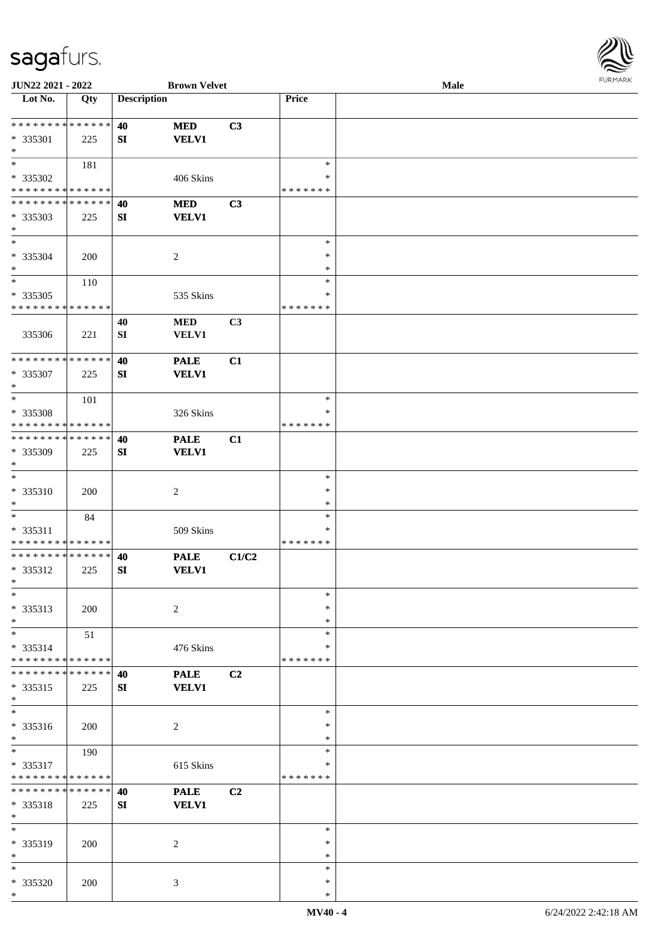

| JUN22 2021 - 2022           |     |                    | <b>Brown Velvet</b> |       |               | <b>Male</b> |
|-----------------------------|-----|--------------------|---------------------|-------|---------------|-------------|
| Lot No.                     | Qty | <b>Description</b> |                     |       | Price         |             |
|                             |     |                    |                     |       |               |             |
| * * * * * * * * * * * * * * |     | 40                 | <b>MED</b>          | C3    |               |             |
|                             |     |                    |                     |       |               |             |
| * 335301                    | 225 | SI                 | <b>VELV1</b>        |       |               |             |
| $\ast$                      |     |                    |                     |       |               |             |
| $*$                         | 181 |                    |                     |       | $\ast$        |             |
| * 335302                    |     |                    | 406 Skins           |       | ∗             |             |
| * * * * * * * * * * * * * * |     |                    |                     |       | * * * * * * * |             |
| * * * * * * * * * * * * * * |     | 40                 | <b>MED</b>          | C3    |               |             |
|                             |     |                    |                     |       |               |             |
| * 335303                    | 225 | SI                 | <b>VELV1</b>        |       |               |             |
| $*$                         |     |                    |                     |       |               |             |
| $*$                         |     |                    |                     |       | $\ast$        |             |
| * 335304                    | 200 |                    | $\overline{c}$      |       | $\ast$        |             |
| $\ast$                      |     |                    |                     |       | $\ast$        |             |
| $\ast$                      | 110 |                    |                     |       | $\ast$        |             |
|                             |     |                    |                     |       | $\ast$        |             |
| $* 335305$                  |     |                    | 535 Skins           |       |               |             |
| * * * * * * * * * * * * * * |     |                    |                     |       | *******       |             |
|                             |     | 40                 | <b>MED</b>          | C3    |               |             |
| 335306                      | 221 | SI                 | VELV1               |       |               |             |
|                             |     |                    |                     |       |               |             |
| * * * * * * * * * * * * * * |     | 40                 | <b>PALE</b>         | C1    |               |             |
|                             |     |                    |                     |       |               |             |
| * 335307                    | 225 | SI                 | <b>VELV1</b>        |       |               |             |
| $\ast$                      |     |                    |                     |       |               |             |
| $*$                         | 101 |                    |                     |       | $\ast$        |             |
| * 335308                    |     |                    | 326 Skins           |       | ∗             |             |
| * * * * * * * * * * * * * * |     |                    |                     |       | * * * * * * * |             |
| * * * * * * * * * * * * * * |     | 40                 | <b>PALE</b>         | C1    |               |             |
|                             |     |                    |                     |       |               |             |
| * 335309                    | 225 | SI                 | <b>VELV1</b>        |       |               |             |
| $\ast$                      |     |                    |                     |       |               |             |
| $\ast$                      |     |                    |                     |       | $\ast$        |             |
| $* 335310$                  | 200 |                    | $\boldsymbol{2}$    |       | $\ast$        |             |
| $*$                         |     |                    |                     |       | $\ast$        |             |
|                             |     |                    |                     |       |               |             |
| $*$                         | 84  |                    |                     |       | $\ast$        |             |
| * 335311                    |     |                    | 509 Skins           |       | $\ast$        |             |
| * * * * * * * * * * * * * * |     |                    |                     |       | *******       |             |
| * * * * * * * * * * * * * * |     | 40                 | <b>PALE</b>         | C1/C2 |               |             |
| * 335312                    | 225 | SI                 | <b>VELV1</b>        |       |               |             |
| $*$                         |     |                    |                     |       |               |             |
|                             |     |                    |                     |       |               |             |
| $\ast$                      |     |                    |                     |       | $\ast$        |             |
| * 335313                    | 200 |                    | $\overline{c}$      |       | $\ast$        |             |
| $*$                         |     |                    |                     |       | $\ast$        |             |
| $*$                         | 51  |                    |                     |       | $\ast$        |             |
| * 335314                    |     |                    | 476 Skins           |       | ∗             |             |
|                             |     |                    |                     |       |               |             |
| * * * * * * * * * * * * * * |     |                    |                     |       | * * * * * * * |             |
| * * * * * * * * * * * * * * |     | 40                 | <b>PALE</b>         | C2    |               |             |
| * 335315                    | 225 | SI                 | <b>VELV1</b>        |       |               |             |
| $*$                         |     |                    |                     |       |               |             |
| $\ast$                      |     |                    |                     |       | $\ast$        |             |
|                             |     |                    |                     |       | $\ast$        |             |
| * 335316                    | 200 |                    | 2                   |       |               |             |
| $*$                         |     |                    |                     |       | $\ast$        |             |
| $*$                         | 190 |                    |                     |       | $\ast$        |             |
| * 335317                    |     |                    | 615 Skins           |       | $\ast$        |             |
| * * * * * * * * * * * * * * |     |                    |                     |       | *******       |             |
| **************              |     | 40                 | <b>PALE</b>         | C2    |               |             |
|                             |     |                    |                     |       |               |             |
| * 335318                    | 225 | SI                 | <b>VELV1</b>        |       |               |             |
| $*$                         |     |                    |                     |       |               |             |
| $\ast$                      |     |                    |                     |       | $\ast$        |             |
| * 335319                    | 200 |                    | 2                   |       | $\ast$        |             |
| $\ast$                      |     |                    |                     |       | $\ast$        |             |
|                             |     |                    |                     |       |               |             |
| $\ast$                      |     |                    |                     |       | $\ast$        |             |
| * 335320                    | 200 |                    | 3                   |       | $\ast$        |             |
| $*$                         |     |                    |                     |       | $\ast$        |             |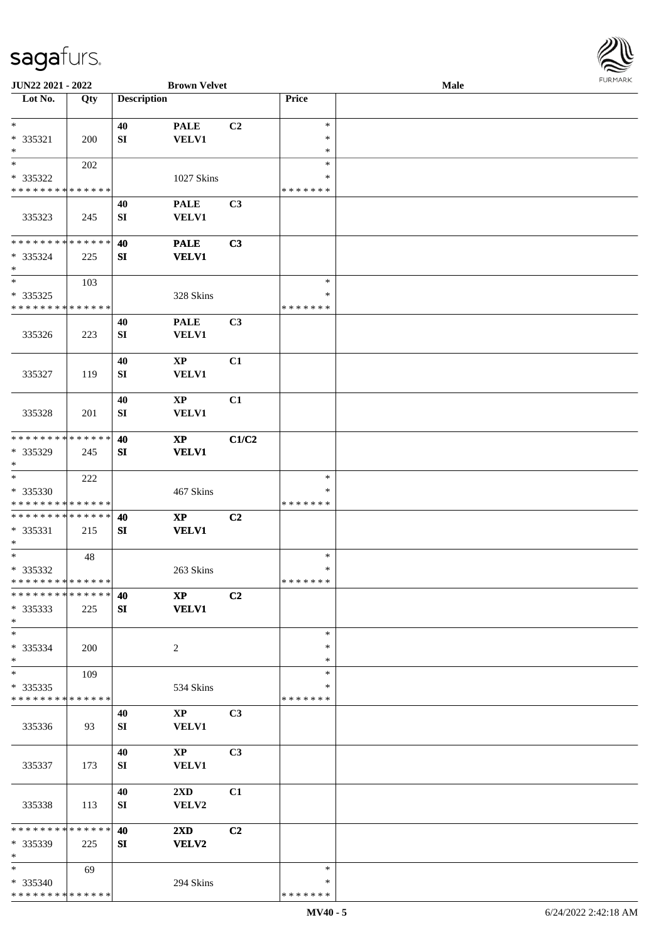

| JUN22 2021 - 2022           |     |                    | <b>Brown Velvet</b>    |                |               | Male |  |
|-----------------------------|-----|--------------------|------------------------|----------------|---------------|------|--|
| Lot No.                     | Qty | <b>Description</b> |                        |                | Price         |      |  |
|                             |     |                    |                        |                |               |      |  |
| $\ast$                      |     | 40                 | <b>PALE</b>            | C <sub>2</sub> | $\ast$        |      |  |
| * 335321                    | 200 | SI                 | <b>VELV1</b>           |                | $\ast$        |      |  |
| $\ast$                      |     |                    |                        |                | $\ast$        |      |  |
| $\ast$                      | 202 |                    |                        |                | $\ast$        |      |  |
| * 335322                    |     |                    | 1027 Skins             |                | ∗             |      |  |
| * * * * * * * * * * * * * * |     |                    |                        |                | * * * * * * * |      |  |
|                             |     | 40                 | <b>PALE</b>            | C3             |               |      |  |
| 335323                      | 245 | SI                 | VELV1                  |                |               |      |  |
|                             |     |                    |                        |                |               |      |  |
| * * * * * * * * * * * * * * |     | 40                 | <b>PALE</b>            | C3             |               |      |  |
| $* 335324$                  | 225 | SI                 | <b>VELV1</b>           |                |               |      |  |
| $\ast$                      |     |                    |                        |                |               |      |  |
| $\ast$                      | 103 |                    |                        |                | $\ast$        |      |  |
| $*335325$                   |     |                    | 328 Skins              |                | *             |      |  |
| * * * * * * * * * * * * * * |     |                    |                        |                | * * * * * * * |      |  |
|                             |     | 40                 | <b>PALE</b>            | C3             |               |      |  |
| 335326                      | 223 | SI                 | VELV1                  |                |               |      |  |
|                             |     |                    |                        |                |               |      |  |
|                             |     | 40                 | $\mathbf{X}\mathbf{P}$ | C1             |               |      |  |
| 335327                      | 119 | SI                 | <b>VELV1</b>           |                |               |      |  |
|                             |     |                    |                        |                |               |      |  |
|                             |     | 40                 | $\mathbf{X}\mathbf{P}$ | C1             |               |      |  |
| 335328                      | 201 | SI                 | <b>VELV1</b>           |                |               |      |  |
|                             |     |                    |                        |                |               |      |  |
| * * * * * * * * * * * * * * |     | 40                 | $\mathbf{X}\mathbf{P}$ | C1/C2          |               |      |  |
| * 335329                    | 245 | SI                 | <b>VELV1</b>           |                |               |      |  |
| $\ast$                      |     |                    |                        |                |               |      |  |
| $\ast$                      | 222 |                    |                        |                | $\ast$        |      |  |
| * 335330                    |     |                    | 467 Skins              |                | *             |      |  |
| * * * * * * * * * * * * * * |     |                    |                        |                | * * * * * * * |      |  |
| **************              |     | 40                 | $\mathbf{X}\mathbf{P}$ | C <sub>2</sub> |               |      |  |
| * 335331                    | 215 | SI                 | <b>VELV1</b>           |                |               |      |  |
| $*$                         |     |                    |                        |                |               |      |  |
| $*$                         | 48  |                    |                        |                | $\ast$        |      |  |
| * 335332                    |     |                    | 263 Skins              |                | $\ast$        |      |  |
| **************              |     |                    |                        |                | *******       |      |  |
| * * * * * * * * * * * * * * |     | 40                 | $\mathbf{X}\mathbf{P}$ | C <sub>2</sub> |               |      |  |
| $* 335333$                  | 225 | SI                 | <b>VELV1</b>           |                |               |      |  |
| $*$                         |     |                    |                        |                |               |      |  |
| $*$                         |     |                    |                        |                | $\ast$        |      |  |
| * 335334                    | 200 |                    | $\overline{2}$         |                | *             |      |  |
| $*$<br>$\ast$               |     |                    |                        |                | *<br>$\ast$   |      |  |
| $*335335$                   | 109 |                    |                        |                | *             |      |  |
| * * * * * * * * * * * * * * |     |                    | 534 Skins              |                | * * * * * * * |      |  |
|                             |     | 40                 | $\mathbf{XP}$          | C <sub>3</sub> |               |      |  |
| 335336                      | 93  | SI                 | <b>VELV1</b>           |                |               |      |  |
|                             |     |                    |                        |                |               |      |  |
|                             |     | 40                 | $\mathbf{X}\mathbf{P}$ | C <sub>3</sub> |               |      |  |
| 335337                      | 173 | SI                 | <b>VELV1</b>           |                |               |      |  |
|                             |     |                    |                        |                |               |      |  |
|                             |     | 40                 | 2XD                    | C1             |               |      |  |
| 335338                      | 113 | SI                 | VELV2                  |                |               |      |  |
|                             |     |                    |                        |                |               |      |  |
| * * * * * * * * * * * * * * |     | 40                 | 2XD                    | C2             |               |      |  |
| * 335339                    | 225 | SI                 | VELV2                  |                |               |      |  |
| $\ast$                      |     |                    |                        |                |               |      |  |
| $*$                         | 69  |                    |                        |                | $\ast$        |      |  |
| * 335340                    |     |                    | 294 Skins              |                | *             |      |  |
| * * * * * * * * * * * * * * |     |                    |                        |                | * * * * * * * |      |  |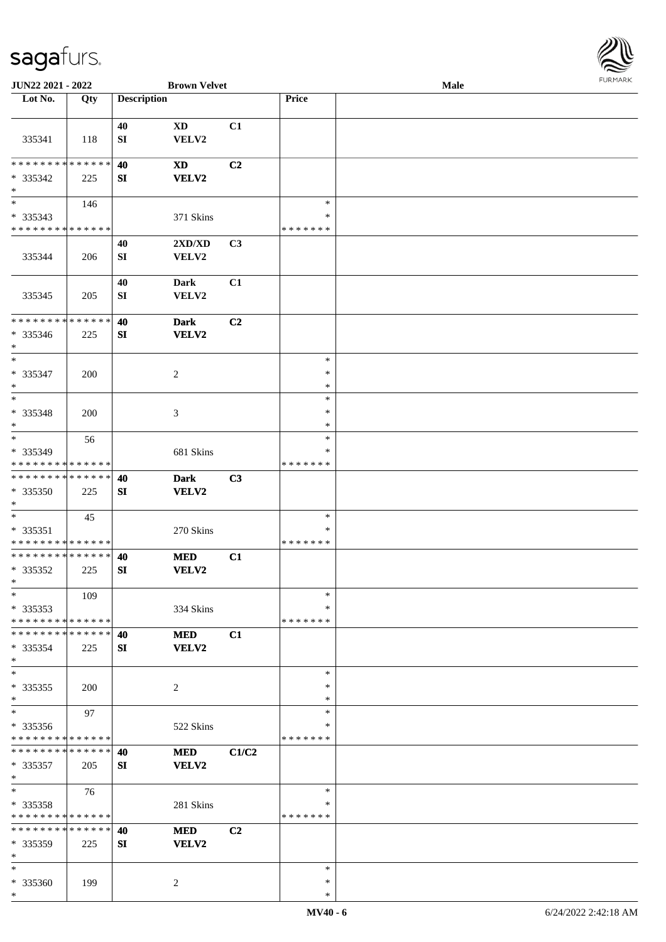

| JUN22 2021 - 2022                    |     |                    | <b>Brown Velvet</b> |                |               | <b>Male</b> |  |
|--------------------------------------|-----|--------------------|---------------------|----------------|---------------|-------------|--|
| Lot No.                              | Qty | <b>Description</b> |                     |                | Price         |             |  |
|                                      |     |                    |                     |                |               |             |  |
|                                      |     | 40                 | <b>XD</b>           | C1             |               |             |  |
| 335341                               | 118 | SI                 | VELV2               |                |               |             |  |
|                                      |     |                    |                     |                |               |             |  |
| * * * * * * * * * * * * * *          |     | 40                 | <b>XD</b>           | C <sub>2</sub> |               |             |  |
|                                      |     |                    |                     |                |               |             |  |
| * 335342                             | 225 | SI                 | <b>VELV2</b>        |                |               |             |  |
| $\ast$<br>$\overline{\phantom{a}^*}$ |     |                    |                     |                |               |             |  |
|                                      | 146 |                    |                     |                | $\ast$        |             |  |
| * 335343                             |     |                    | 371 Skins           |                | $\ast$        |             |  |
| * * * * * * * * * * * * * *          |     |                    |                     |                | * * * * * * * |             |  |
|                                      |     | 40                 | 2XD/XD              | C3             |               |             |  |
| 335344                               | 206 | ${\bf SI}$         | VELV2               |                |               |             |  |
|                                      |     |                    |                     |                |               |             |  |
|                                      |     | 40                 | <b>Dark</b>         | C1             |               |             |  |
| 335345                               | 205 | SI                 | VELV2               |                |               |             |  |
|                                      |     |                    |                     |                |               |             |  |
| * * * * * * * * * * * * * *          |     | 40                 | <b>Dark</b>         | C <sub>2</sub> |               |             |  |
| * 335346                             | 225 | SI                 | VELV2               |                |               |             |  |
| $\ast$                               |     |                    |                     |                |               |             |  |
| $\ast$                               |     |                    |                     |                | $\ast$        |             |  |
|                                      |     |                    |                     |                |               |             |  |
| * 335347                             | 200 |                    | $\overline{c}$      |                | $\ast$        |             |  |
| $\ast$                               |     |                    |                     |                | $\ast$        |             |  |
| $\ast$                               |     |                    |                     |                | $\ast$        |             |  |
| * 335348                             | 200 |                    | 3                   |                | $\ast$        |             |  |
| $\ast$                               |     |                    |                     |                | $\ast$        |             |  |
| $\ast$                               | 56  |                    |                     |                | $\ast$        |             |  |
| * 335349                             |     |                    | 681 Skins           |                | $\ast$        |             |  |
| * * * * * * * * * * * * * *          |     |                    |                     |                | * * * * * * * |             |  |
| ******** <mark>*****</mark> *        |     | 40                 | <b>Dark</b>         | C3             |               |             |  |
| * 335350                             | 225 | SI                 | VELV2               |                |               |             |  |
| $\ast$                               |     |                    |                     |                |               |             |  |
| $\ast$                               | 45  |                    |                     |                | $\ast$        |             |  |
| $* 335351$                           |     |                    | 270 Skins           |                | $\ast$        |             |  |
| * * * * * * * * * * * * * *          |     |                    |                     |                | * * * * * * * |             |  |
| **************                       |     |                    |                     |                |               |             |  |
|                                      |     | 40                 | <b>MED</b>          | C1             |               |             |  |
| * 335352<br>$\ast$                   | 225 | SI                 | <b>VELV2</b>        |                |               |             |  |
|                                      |     |                    |                     |                |               |             |  |
| $*$                                  | 109 |                    |                     |                | $\ast$        |             |  |
| $*335353$                            |     |                    | 334 Skins           |                | ∗             |             |  |
| * * * * * * * * * * * * * *          |     |                    |                     |                | * * * * * * * |             |  |
| * * * * * * * * * * * * * *          |     | 40                 | <b>MED</b>          | C1             |               |             |  |
| $* 335354$                           | 225 | SI                 | <b>VELV2</b>        |                |               |             |  |
| $\ast$                               |     |                    |                     |                |               |             |  |
| $\ast$                               |     |                    |                     |                | $\ast$        |             |  |
| $*335355$                            | 200 |                    | $\overline{c}$      |                | $\ast$        |             |  |
| $\ast$                               |     |                    |                     |                | $\ast$        |             |  |
| $\ast$                               | 97  |                    |                     |                | $\ast$        |             |  |
| * 335356                             |     |                    | 522 Skins           |                | ∗             |             |  |
| * * * * * * * * * * * * * *          |     |                    |                     |                | * * * * * * * |             |  |
| * * * * * * * * * * * * * * *        |     | 40                 | <b>MED</b>          | C1/C2          |               |             |  |
| $* 335357$                           | 205 | SI                 | <b>VELV2</b>        |                |               |             |  |
| $*$                                  |     |                    |                     |                |               |             |  |
| $\ast$                               |     |                    |                     |                | $\ast$        |             |  |
|                                      | 76  |                    |                     |                | $\ast$        |             |  |
| * 335358                             |     |                    | 281 Skins           |                | * * * * * * * |             |  |
| * * * * * * * * * * * * * *          |     |                    |                     |                |               |             |  |
| * * * * * * * * * * * * * *          |     | 40                 | <b>MED</b>          | C <sub>2</sub> |               |             |  |
| * 335359                             | 225 | SI                 | <b>VELV2</b>        |                |               |             |  |
| $\ast$                               |     |                    |                     |                |               |             |  |
| $\ast$                               |     |                    |                     |                | $\ast$        |             |  |
| * 335360                             | 199 |                    | 2                   |                | ∗             |             |  |
| $\ast$                               |     |                    |                     |                | $\ast$        |             |  |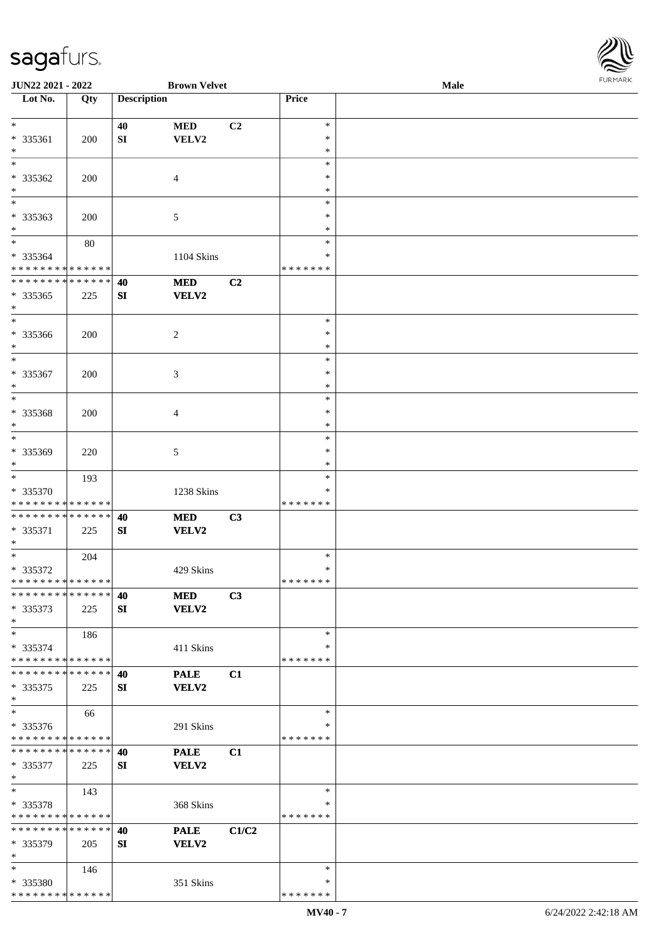

| JUN22 2021 - 2022                          |     |                    | <b>Brown Velvet</b> |       |               | <b>Male</b> |  |
|--------------------------------------------|-----|--------------------|---------------------|-------|---------------|-------------|--|
| Lot No.                                    | Qty | <b>Description</b> |                     |       | Price         |             |  |
|                                            |     |                    |                     |       |               |             |  |
| $\ast$                                     |     | 40                 | <b>MED</b>          | C2    | $\ast$        |             |  |
| * 335361                                   | 200 | SI                 | VELV2               |       | $\ast$        |             |  |
| $\ast$                                     |     |                    |                     |       | $\ast$        |             |  |
| $\ast$                                     |     |                    |                     |       | $\ast$        |             |  |
| * 335362                                   |     |                    |                     |       | ∗             |             |  |
|                                            | 200 |                    | 4                   |       |               |             |  |
| $\ast$<br>$_{\ast}^{-}$                    |     |                    |                     |       | *             |             |  |
|                                            |     |                    |                     |       | $\ast$        |             |  |
| * 335363                                   | 200 |                    | $\mathfrak{S}$      |       | $\ast$        |             |  |
| $\ast$                                     |     |                    |                     |       | $\ast$        |             |  |
| $\overline{\phantom{a}^*}$                 | 80  |                    |                     |       | $\ast$        |             |  |
| * 335364                                   |     |                    | 1104 Skins          |       | ∗             |             |  |
| * * * * * * * * * * * * * *                |     |                    |                     |       | * * * * * * * |             |  |
| **************                             |     | 40                 | <b>MED</b>          | C2    |               |             |  |
| $*335365$                                  | 225 | ${\bf SI}$         | <b>VELV2</b>        |       |               |             |  |
| $\ast$                                     |     |                    |                     |       |               |             |  |
| $\ast$                                     |     |                    |                     |       | $\ast$        |             |  |
|                                            |     |                    |                     |       | $\ast$        |             |  |
| * 335366                                   | 200 |                    | $\overline{c}$      |       |               |             |  |
| $\ast$                                     |     |                    |                     |       | $\ast$        |             |  |
| $\ast$                                     |     |                    |                     |       | $\ast$        |             |  |
| $* 335367$                                 | 200 |                    | 3                   |       | $\ast$        |             |  |
| $\ast$                                     |     |                    |                     |       | $\ast$        |             |  |
| $\ast$                                     |     |                    |                     |       | $\ast$        |             |  |
| * 335368                                   | 200 |                    | 4                   |       | $\ast$        |             |  |
| $\ast$                                     |     |                    |                     |       | ∗             |             |  |
| $\ast$                                     |     |                    |                     |       | $\ast$        |             |  |
| * 335369                                   | 220 |                    | 5                   |       | $\ast$        |             |  |
| $\ast$                                     |     |                    |                     |       | *             |             |  |
| $\ast$                                     | 193 |                    |                     |       | $\ast$        |             |  |
|                                            |     |                    |                     |       | ∗             |             |  |
| * 335370                                   |     |                    | 1238 Skins          |       |               |             |  |
| * * * * * * * * * * * * * *                |     |                    |                     |       | * * * * * * * |             |  |
| ******** <mark>******</mark>               |     | 40                 | <b>MED</b>          | C3    |               |             |  |
| * 335371                                   | 225 | SI                 | VELV2               |       |               |             |  |
| $*$                                        |     |                    |                     |       |               |             |  |
| $\ast$                                     | 204 |                    |                     |       | $\ast$        |             |  |
| * 335372                                   |     |                    | 429 Skins           |       | $\ast$        |             |  |
| **************                             |     |                    |                     |       | *******       |             |  |
| * * * * * * * * * * * * * * *              |     | 40                 | <b>MED</b>          | C3    |               |             |  |
| $* 335373$                                 | 225 | SI                 | VELV2               |       |               |             |  |
| $\ast$                                     |     |                    |                     |       |               |             |  |
| $\ast$                                     |     |                    |                     |       | $\ast$        |             |  |
|                                            | 186 |                    |                     |       | ∗             |             |  |
| $* 335374$<br>* * * * * * * * * * * * * *  |     |                    | 411 Skins           |       |               |             |  |
|                                            |     |                    |                     |       | * * * * * * * |             |  |
| * * * * * * * * * * * * * * *              |     | 40                 | <b>PALE</b>         | C1    |               |             |  |
| $*335375$                                  | 225 | SI                 | <b>VELV2</b>        |       |               |             |  |
| $\ast$                                     |     |                    |                     |       |               |             |  |
| $\ast$                                     | 66  |                    |                     |       | $\ast$        |             |  |
| * 335376                                   |     |                    | 291 Skins           |       | ∗             |             |  |
| * * * * * * * * <mark>* * * * * * *</mark> |     |                    |                     |       | * * * * * * * |             |  |
| * * * * * * * * * * * * * * *              |     | 40                 | <b>PALE</b>         | C1    |               |             |  |
| * 335377                                   | 225 | SI                 | <b>VELV2</b>        |       |               |             |  |
| $\ast$                                     |     |                    |                     |       |               |             |  |
| $\ast$                                     |     |                    |                     |       | $\ast$        |             |  |
|                                            | 143 |                    |                     |       |               |             |  |
| * 335378                                   |     |                    | 368 Skins           |       | ∗             |             |  |
| * * * * * * * * * * * * * *                |     |                    |                     |       | * * * * * * * |             |  |
| **************                             |     | 40                 | <b>PALE</b>         | C1/C2 |               |             |  |
| * 335379                                   | 205 | SI                 | <b>VELV2</b>        |       |               |             |  |
| $\ast$                                     |     |                    |                     |       |               |             |  |
| $*$                                        | 146 |                    |                     |       | $\ast$        |             |  |
| * 335380                                   |     |                    | 351 Skins           |       | ∗             |             |  |
| * * * * * * * * * * * * * *                |     |                    |                     |       | * * * * * * * |             |  |
|                                            |     |                    |                     |       |               |             |  |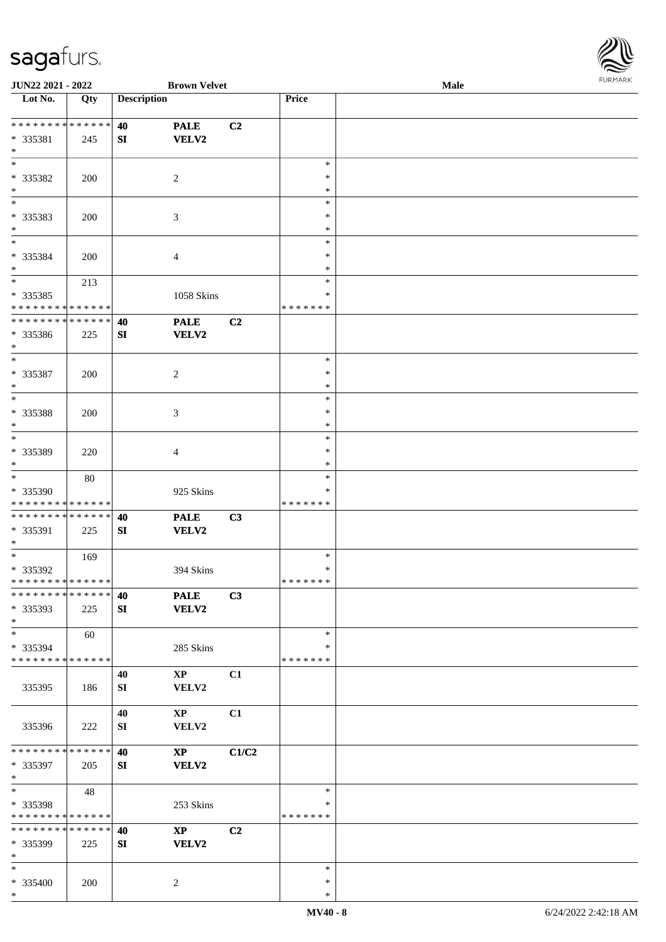

| JUN22 2021 - 2022                             |     |                    | <b>Brown Velvet</b>         |       |                  | Male |  |
|-----------------------------------------------|-----|--------------------|-----------------------------|-------|------------------|------|--|
| $\overline{\phantom{1}}$ Lot No.              | Qty | <b>Description</b> |                             |       | Price            |      |  |
| ******** <mark>******</mark>                  |     |                    |                             |       |                  |      |  |
|                                               |     | 40                 | <b>PALE</b>                 | C2    |                  |      |  |
| * 335381<br>$\ast$                            | 245 | SI                 | VELV2                       |       |                  |      |  |
| $\ast$                                        |     |                    |                             |       | $\ast$           |      |  |
|                                               |     |                    |                             |       | $\ast$           |      |  |
| * 335382                                      | 200 |                    | $\overline{2}$              |       |                  |      |  |
| $\ast$<br>$\overline{\phantom{0}}$            |     |                    |                             |       | $\ast$<br>$\ast$ |      |  |
|                                               |     |                    |                             |       |                  |      |  |
| * 335383                                      | 200 |                    | 3                           |       | *                |      |  |
| $\ast$<br>$\ast$                              |     |                    |                             |       | $\ast$<br>$\ast$ |      |  |
|                                               |     |                    |                             |       | $\ast$           |      |  |
| * 335384                                      | 200 |                    | $\overline{4}$              |       |                  |      |  |
| $\ast$<br>$\overline{\phantom{1}}$            |     |                    |                             |       | *                |      |  |
|                                               | 213 |                    |                             |       | $\ast$           |      |  |
| $* 335385$                                    |     |                    | 1058 Skins                  |       | *                |      |  |
| * * * * * * * * * * * * * *<br>************** |     |                    |                             |       | * * * * * * *    |      |  |
|                                               |     | 40                 | <b>PALE</b>                 | C2    |                  |      |  |
| $* 335386$                                    | 225 | ${\bf S}{\bf I}$   | <b>VELV2</b>                |       |                  |      |  |
| $\ast$<br>$\ast$                              |     |                    |                             |       | $\ast$           |      |  |
|                                               |     |                    |                             |       | $\ast$           |      |  |
| * 335387                                      | 200 |                    | $\overline{c}$              |       | *                |      |  |
| $\ast$<br>$\ast$                              |     |                    |                             |       | $\ast$           |      |  |
|                                               |     |                    |                             |       |                  |      |  |
| $* 335388$                                    | 200 |                    | 3                           |       | $\ast$           |      |  |
| $\ast$<br>$\ast$                              |     |                    |                             |       | $\ast$<br>$\ast$ |      |  |
|                                               |     |                    |                             |       |                  |      |  |
| * 335389<br>$\ast$                            | 220 |                    | $\overline{4}$              |       | ∗<br>$\ast$      |      |  |
| $\ast$                                        |     |                    |                             |       | $\ast$           |      |  |
| * 335390                                      | 80  |                    |                             |       | ∗                |      |  |
| * * * * * * * * * * * * * *                   |     |                    | 925 Skins                   |       | * * * * * * *    |      |  |
| **************                                |     |                    |                             |       |                  |      |  |
|                                               |     | 40                 | <b>PALE</b><br><b>VELV2</b> | C3    |                  |      |  |
| * 335391<br>$*$                               | 225 | SI                 |                             |       |                  |      |  |
| $*$                                           | 169 |                    |                             |       | $\ast$           |      |  |
| * 335392                                      |     |                    | 394 Skins                   |       | $\ast$           |      |  |
| **************                                |     |                    |                             |       | * * * * * * *    |      |  |
| * * * * * * * * * * * * * *                   |     | 40                 | <b>PALE</b>                 | C3    |                  |      |  |
| * 335393                                      | 225 | SI                 | <b>VELV2</b>                |       |                  |      |  |
| $*$                                           |     |                    |                             |       |                  |      |  |
| $\ast$                                        | 60  |                    |                             |       | ∗                |      |  |
| * 335394                                      |     |                    | 285 Skins                   |       | ∗                |      |  |
| * * * * * * * * * * * * * *                   |     |                    |                             |       | * * * * * * *    |      |  |
|                                               |     | 40                 | $\mathbf{X}\mathbf{P}$      | C1    |                  |      |  |
| 335395                                        | 186 | SI                 | VELV2                       |       |                  |      |  |
|                                               |     |                    |                             |       |                  |      |  |
|                                               |     | 40                 | $\mathbf{X}\mathbf{P}$      | C1    |                  |      |  |
| 335396                                        | 222 | SI                 | VELV2                       |       |                  |      |  |
|                                               |     |                    |                             |       |                  |      |  |
| * * * * * * * * * * * * * *                   |     | 40                 | $\mathbf{X}\mathbf{P}$      | C1/C2 |                  |      |  |
| * 335397                                      | 205 | SI                 | <b>VELV2</b>                |       |                  |      |  |
| $*$                                           |     |                    |                             |       |                  |      |  |
| $\ast$                                        | 48  |                    |                             |       | $\ast$           |      |  |
| * 335398                                      |     |                    | 253 Skins                   |       | ∗                |      |  |
| * * * * * * * * * * * * * *                   |     |                    |                             |       | * * * * * * *    |      |  |
| * * * * * * * * * * * * * * *                 |     | 40                 | $\mathbf{X}\mathbf{P}$      | C2    |                  |      |  |
| * 335399                                      | 225 | SI                 | <b>VELV2</b>                |       |                  |      |  |
| $\ast$                                        |     |                    |                             |       |                  |      |  |
| $\ast$                                        |     |                    |                             |       | $\ast$           |      |  |
| * 335400                                      | 200 |                    | $\overline{c}$              |       | $\ast$           |      |  |
| $*$                                           |     |                    |                             |       | $\ast$           |      |  |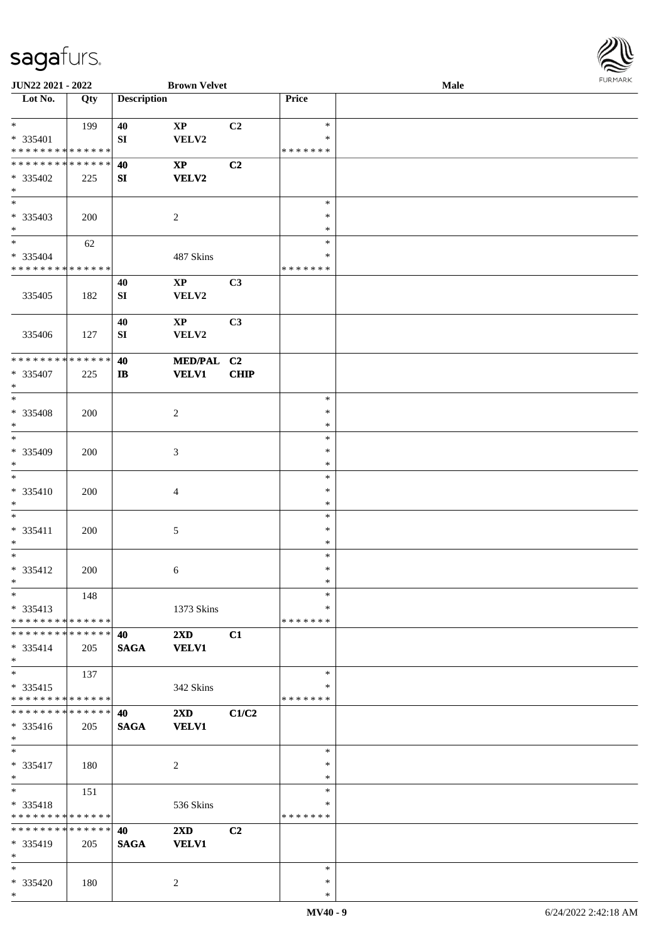

| JUN22 2021 - 2022                          |     |                    | <b>Brown Velvet</b>     |             |               | Male |  |
|--------------------------------------------|-----|--------------------|-------------------------|-------------|---------------|------|--|
| Lot No.                                    | Qty | <b>Description</b> |                         |             | Price         |      |  |
|                                            |     |                    |                         |             |               |      |  |
| $*$                                        | 199 | 40                 | $\bold{XP}$             | C2          | $\ast$        |      |  |
| * 335401                                   |     | SI                 | VELV2                   |             | ∗             |      |  |
| * * * * * * * * * * * * * *                |     |                    |                         |             | * * * * * * * |      |  |
| * * * * * * * * * * * * * *                |     | 40                 | $\mathbf{X}\mathbf{P}$  | C2          |               |      |  |
| * 335402                                   | 225 | SI                 | <b>VELV2</b>            |             |               |      |  |
| $*$                                        |     |                    |                         |             |               |      |  |
| $\overline{\ast}$                          |     |                    |                         |             | $\ast$        |      |  |
| * 335403                                   | 200 |                    | $\overline{2}$          |             | $\ast$        |      |  |
| $*$                                        |     |                    |                         |             | $\ast$        |      |  |
| $\ast$                                     |     |                    |                         |             | $\ast$        |      |  |
|                                            | 62  |                    |                         |             | ∗             |      |  |
| * 335404                                   |     |                    | 487 Skins               |             |               |      |  |
| * * * * * * * * <mark>* * * * * * *</mark> |     |                    |                         |             | * * * * * * * |      |  |
|                                            |     | 40                 | $\mathbf{X}\mathbf{P}$  | C3          |               |      |  |
| 335405                                     | 182 | SI                 | VELV2                   |             |               |      |  |
|                                            |     |                    |                         |             |               |      |  |
|                                            |     | 40                 | $\mathbf{X}\mathbf{P}$  | C3          |               |      |  |
| 335406                                     | 127 | SI                 | VELV2                   |             |               |      |  |
|                                            |     |                    |                         |             |               |      |  |
| * * * * * * * * * * * * * *                |     | 40                 | MED/PAL C2              |             |               |      |  |
| $* 335407$                                 | 225 | $\mathbf{I}$       | <b>VELV1</b>            | <b>CHIP</b> |               |      |  |
| $\ast$                                     |     |                    |                         |             |               |      |  |
| $*$                                        |     |                    |                         |             | $\ast$        |      |  |
| * 335408                                   | 200 |                    | $\sqrt{2}$              |             | $\ast$        |      |  |
| $*$                                        |     |                    |                         |             | ∗             |      |  |
| $*$                                        |     |                    |                         |             | $\ast$        |      |  |
| * 335409                                   | 200 |                    | 3                       |             | $\ast$        |      |  |
| $*$                                        |     |                    |                         |             | $\ast$        |      |  |
| $\ast$                                     |     |                    |                         |             | $\ast$        |      |  |
|                                            |     |                    |                         |             | $\ast$        |      |  |
| $* 335410$                                 | 200 |                    | $\overline{4}$          |             |               |      |  |
| $*$                                        |     |                    |                         |             | $\ast$        |      |  |
| $*$                                        |     |                    |                         |             | $\ast$        |      |  |
| * 335411                                   | 200 |                    | $\mathfrak{S}$          |             | $\ast$        |      |  |
| $*$                                        |     |                    |                         |             | $\ast$        |      |  |
| $*$                                        |     |                    |                         |             | $\ast$        |      |  |
| * 335412                                   | 200 |                    | 6                       |             | $\ast$        |      |  |
| $*$                                        |     |                    |                         |             | $\ast$        |      |  |
| $\ast$                                     | 148 |                    |                         |             | $\ast$        |      |  |
| $* 335413$                                 |     |                    | 1373 Skins              |             | ∗             |      |  |
| * * * * * * * * * * * * * *                |     |                    |                         |             | * * * * * * * |      |  |
| * * * * * * * * * * * * * *                |     | 40                 | 2XD                     | C1          |               |      |  |
| * 335414                                   | 205 | <b>SAGA</b>        | <b>VELV1</b>            |             |               |      |  |
| $*$                                        |     |                    |                         |             |               |      |  |
| $\ast$                                     | 137 |                    |                         |             | $\ast$        |      |  |
| $* 335415$                                 |     |                    | 342 Skins               |             | ∗             |      |  |
| * * * * * * * * * * * * * *                |     |                    |                         |             | * * * * * * * |      |  |
| * * * * * * * * * * * * * *                |     | 40                 | 2XD                     | C1/C2       |               |      |  |
| * 335416                                   |     |                    | <b>VELV1</b>            |             |               |      |  |
| $*$                                        | 205 | <b>SAGA</b>        |                         |             |               |      |  |
| $*$                                        |     |                    |                         |             | $\ast$        |      |  |
|                                            |     |                    |                         |             |               |      |  |
| * 335417                                   | 180 |                    | $\overline{c}$          |             | $\ast$        |      |  |
| $*$                                        |     |                    |                         |             | $\ast$        |      |  |
| $*$                                        | 151 |                    |                         |             | $\ast$        |      |  |
| * 335418                                   |     |                    | 536 Skins               |             | $\ast$        |      |  |
| * * * * * * * * * * * * * *                |     |                    |                         |             | * * * * * * * |      |  |
| * * * * * * * * * * * * * *                |     | 40                 | $2\mathbf{X}\mathbf{D}$ | C2          |               |      |  |
| * 335419                                   | 205 | <b>SAGA</b>        | <b>VELV1</b>            |             |               |      |  |
| $\ast$                                     |     |                    |                         |             |               |      |  |
| $*$                                        |     |                    |                         |             | $\ast$        |      |  |
| * 335420                                   | 180 |                    | 2                       |             | $\ast$        |      |  |
| $*$                                        |     |                    |                         |             | $\ast$        |      |  |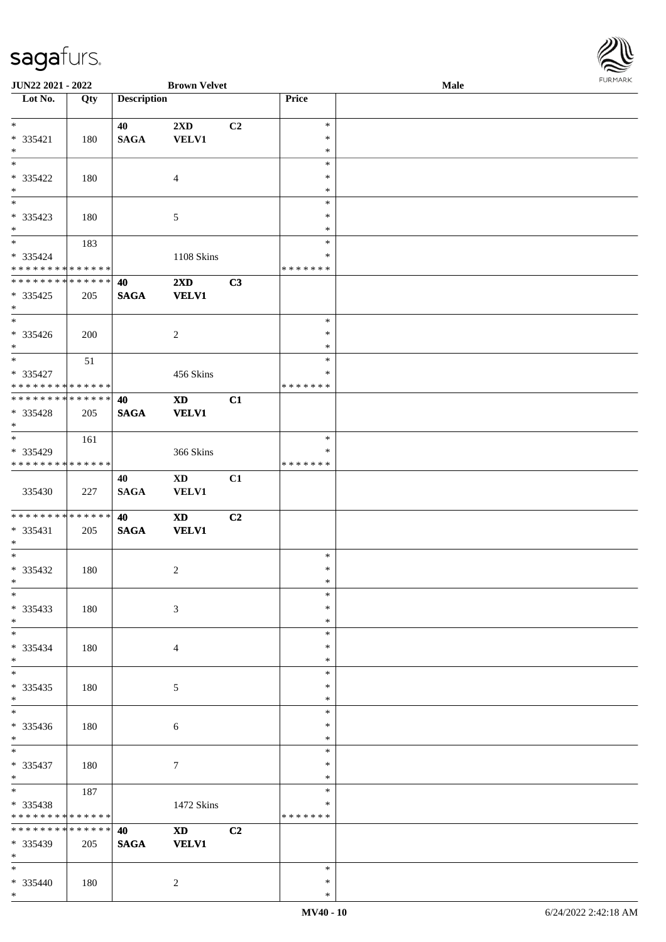

| JUN22 2021 - 2022             |             |                    | <b>Brown Velvet</b>    |    |               | Male | 101111111111 |
|-------------------------------|-------------|--------------------|------------------------|----|---------------|------|--------------|
| Lot No.                       | Qty         | <b>Description</b> |                        |    | Price         |      |              |
|                               |             |                    |                        |    |               |      |              |
| $*$                           |             | 40                 | 2XD                    | C2 | $\ast$        |      |              |
| * 335421                      | 180         | <b>SAGA</b>        | <b>VELV1</b>           |    | $\ast$        |      |              |
| $*$                           |             |                    |                        |    | $\ast$        |      |              |
| $*$                           |             |                    |                        |    | $\ast$        |      |              |
| * 335422                      | 180         |                    | $\overline{4}$         |    | $\ast$        |      |              |
| $\ast$                        |             |                    |                        |    | $\ast$        |      |              |
|                               |             |                    |                        |    | $\ast$        |      |              |
| * 335423                      | 180         |                    | 5                      |    | ∗             |      |              |
| $*$                           |             |                    |                        |    | $\ast$        |      |              |
| $*$                           | 183         |                    |                        |    | $\ast$        |      |              |
| * 335424                      |             |                    | 1108 Skins             |    | *             |      |              |
| * * * * * * * * * * * * * *   |             |                    |                        |    | * * * * * * * |      |              |
| ******** <mark>******</mark>  |             | 40                 | 2XD                    | C3 |               |      |              |
|                               |             |                    |                        |    |               |      |              |
| $* 335425$<br>$*$             | 205         | $\mathbf{SAGA}$    | <b>VELV1</b>           |    |               |      |              |
| $\overline{\phantom{0}}$      |             |                    |                        |    | $\ast$        |      |              |
|                               |             |                    |                        |    | $\ast$        |      |              |
| $* 335426$<br>$*$             | 200         |                    | $\overline{c}$         |    | $\ast$        |      |              |
| $\overline{\ast}$             |             |                    |                        |    | $\ast$        |      |              |
|                               | 51          |                    |                        |    |               |      |              |
| * 335427                      |             |                    | 456 Skins              |    | $\ast$        |      |              |
| * * * * * * * * * * * * * * * |             |                    |                        |    | * * * * * * * |      |              |
| * * * * * * * * * * * * * * * |             | 40                 | $\mathbf{X}\mathbf{D}$ | C1 |               |      |              |
| * 335428                      | 205         | <b>SAGA</b>        | <b>VELV1</b>           |    |               |      |              |
| $*$                           |             |                    |                        |    |               |      |              |
|                               | 161         |                    |                        |    | $\ast$        |      |              |
| * 335429                      |             |                    | 366 Skins              |    | ∗             |      |              |
| * * * * * * * * * * * * * *   |             |                    |                        |    | * * * * * * * |      |              |
|                               |             | 40                 | <b>XD</b>              | C1 |               |      |              |
| 335430                        | 227         | <b>SAGA</b>        | <b>VELV1</b>           |    |               |      |              |
|                               |             |                    |                        |    |               |      |              |
| ******** <mark>******</mark>  |             | 40                 | <b>XD</b>              | C2 |               |      |              |
| $* 335431$                    | 205         | $\mathbf{SAGA}$    | <b>VELV1</b>           |    |               |      |              |
| $*$                           |             |                    |                        |    |               |      |              |
| $*$                           |             |                    |                        |    | $\ast$        |      |              |
| $* 335432$                    | 180         |                    | 2                      |    | $\ast$        |      |              |
| $*$ $-$                       |             |                    |                        |    | $\ast$        |      |              |
| $*$                           |             |                    |                        |    | $\ast$        |      |              |
| $* 335433$                    | 180         |                    | 3                      |    | $\ast$        |      |              |
| $*$                           |             |                    |                        |    | $\ast$        |      |              |
| $\ast$                        |             |                    |                        |    | $\ast$        |      |              |
| * 335434                      | 180         |                    | $\overline{4}$         |    | $\ast$        |      |              |
| $*$                           |             |                    |                        |    | $\ast$        |      |              |
|                               |             |                    |                        |    | $\ast$        |      |              |
| $* 335435$                    | 180         |                    | 5                      |    | *             |      |              |
| $*$                           |             |                    |                        |    | $\ast$        |      |              |
| $\overline{\phantom{0}}$      |             |                    |                        |    | $\ast$        |      |              |
| * 335436                      | 180         |                    | 6                      |    | $\ast$        |      |              |
| $*$                           |             |                    |                        |    | $\ast$        |      |              |
| $*$                           |             |                    |                        |    | $\ast$        |      |              |
| $* 335437$                    | 180         |                    | 7                      |    | $\ast$        |      |              |
| $*$                           |             |                    |                        |    | $\ast$        |      |              |
| $*$ $*$                       | 187         |                    |                        |    | $\ast$        |      |              |
| $* 335438$                    |             |                    | 1472 Skins             |    | ∗             |      |              |
| * * * * * * * * * * * * * *   |             |                    |                        |    | * * * * * * * |      |              |
| * * * * * * * *               | * * * * * * | 40                 | $\mathbf{X}\mathbf{D}$ | C2 |               |      |              |
| * 335439                      | 205         | <b>SAGA</b>        | <b>VELV1</b>           |    |               |      |              |
| $*$                           |             |                    |                        |    |               |      |              |
| $*$                           |             |                    |                        |    | $\ast$        |      |              |
| * 335440                      | 180         |                    | 2                      |    | $\ast$        |      |              |
| $*$                           |             |                    |                        |    | $\ast$        |      |              |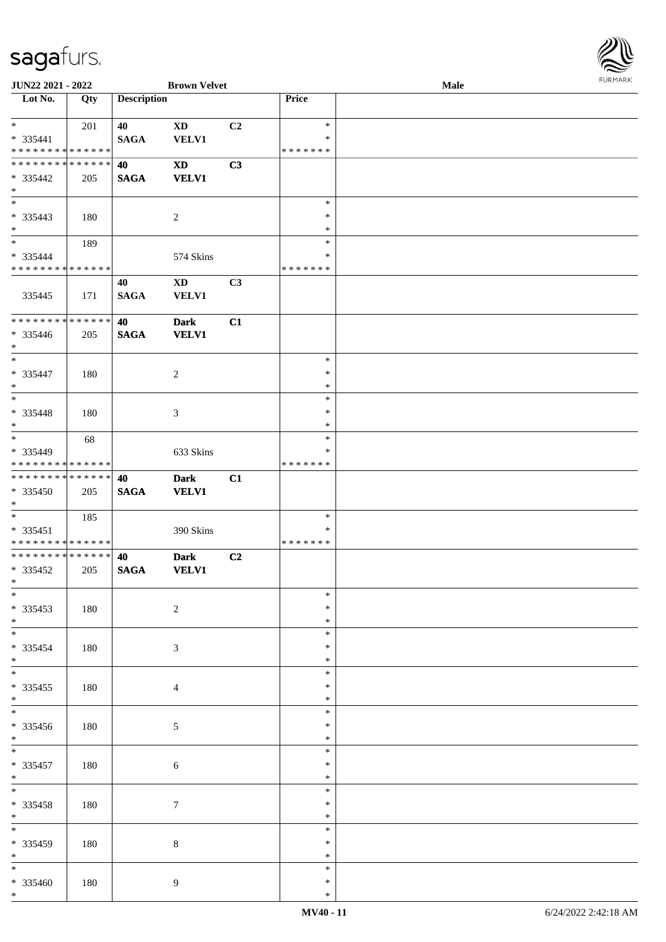

| JUN22 2021 - 2022                                          |     |                    | <b>Brown Velvet</b>        |    |               | Male |  |
|------------------------------------------------------------|-----|--------------------|----------------------------|----|---------------|------|--|
| Lot No.                                                    | Qty | <b>Description</b> |                            |    | Price         |      |  |
|                                                            |     |                    |                            |    |               |      |  |
| $*$                                                        | 201 | 40                 | <b>XD</b>                  | C2 | $\ast$        |      |  |
| * 335441                                                   |     | <b>SAGA</b>        | <b>VELV1</b>               |    | ∗             |      |  |
| * * * * * * * * * * * * * *                                |     |                    |                            |    | * * * * * * * |      |  |
| * * * * * * * * * * * * * *                                |     | 40                 | $\boldsymbol{\mathrm{XD}}$ | C3 |               |      |  |
| * 335442                                                   | 205 | <b>SAGA</b>        | <b>VELV1</b>               |    |               |      |  |
| $*$                                                        |     |                    |                            |    |               |      |  |
| $\overline{\phantom{0}}$                                   |     |                    |                            |    | $\ast$        |      |  |
| * 335443                                                   | 180 |                    | $\overline{2}$             |    | $\ast$        |      |  |
| $*$                                                        |     |                    |                            |    | $\ast$        |      |  |
| $*$                                                        | 189 |                    |                            |    | $\ast$        |      |  |
| * 335444                                                   |     |                    | 574 Skins                  |    | ∗             |      |  |
| * * * * * * * * * * * * * *                                |     |                    |                            |    | * * * * * * * |      |  |
|                                                            |     | 40                 | <b>XD</b>                  | C3 |               |      |  |
| 335445                                                     | 171 | <b>SAGA</b>        | <b>VELV1</b>               |    |               |      |  |
|                                                            |     |                    |                            |    |               |      |  |
| * * * * * * * * * * * * * *                                |     | 40                 | <b>Dark</b>                | C1 |               |      |  |
| * 335446                                                   | 205 | <b>SAGA</b>        | <b>VELV1</b>               |    |               |      |  |
| $*$                                                        |     |                    |                            |    |               |      |  |
| $\ast$                                                     |     |                    |                            |    | $\ast$        |      |  |
| $* 335447$                                                 | 180 |                    | $\overline{c}$             |    | $\ast$        |      |  |
| $*$                                                        |     |                    |                            |    | $\ast$        |      |  |
| $*$                                                        |     |                    |                            |    | $\ast$        |      |  |
| * 335448                                                   | 180 |                    | $\mathfrak{Z}$             |    | $\ast$        |      |  |
| $*$                                                        |     |                    |                            |    | ∗             |      |  |
| $*$                                                        | 68  |                    |                            |    | $\ast$        |      |  |
| * 335449                                                   |     |                    | 633 Skins                  |    | $\ast$        |      |  |
| * * * * * * * * * * * * * *                                |     |                    |                            |    | * * * * * * * |      |  |
| * * * * * * * * * * * * * *                                |     | 40                 | <b>Dark</b>                | C1 |               |      |  |
| * 335450                                                   | 205 | <b>SAGA</b>        | <b>VELV1</b>               |    |               |      |  |
| $*$                                                        |     |                    |                            |    |               |      |  |
| $*$                                                        | 185 |                    |                            |    | $\ast$        |      |  |
| $* 335451$                                                 |     |                    | 390 Skins                  |    | $\ast$        |      |  |
| * * * * * * * * * * * * * *<br>* * * * * * * * * * * * * * |     |                    |                            |    | * * * * * * * |      |  |
|                                                            |     | 40                 | <b>Dark</b>                | C2 |               |      |  |
| * 335452<br>$*$                                            | 205 | <b>SAGA</b>        | <b>VELV1</b>               |    |               |      |  |
| $*$                                                        |     |                    |                            |    | $\ast$        |      |  |
|                                                            |     |                    |                            |    | $\ast$        |      |  |
| $*335453$<br>$*$                                           | 180 |                    | $\sqrt{2}$                 |    | $\ast$        |      |  |
| $\overline{\ast}$                                          |     |                    |                            |    | $\ast$        |      |  |
|                                                            |     |                    |                            |    | ∗             |      |  |
| * 335454<br>$*$                                            | 180 |                    | 3                          |    | *             |      |  |
|                                                            |     |                    |                            |    | $\ast$        |      |  |
| $*335455$                                                  | 180 |                    |                            |    | $\ast$        |      |  |
| $*$                                                        |     |                    | $\overline{4}$             |    | $\ast$        |      |  |
|                                                            |     |                    |                            |    | $\ast$        |      |  |
| $* 335456$                                                 | 180 |                    | $5\phantom{.0}$            |    | ∗             |      |  |
| $*$                                                        |     |                    |                            |    | $\ast$        |      |  |
| $*$                                                        |     |                    |                            |    | $\ast$        |      |  |
| $* 335457$                                                 | 180 |                    | $\sqrt{6}$                 |    | $\ast$        |      |  |
| $*$                                                        |     |                    |                            |    | $\ast$        |      |  |
| $*$                                                        |     |                    |                            |    | $\ast$        |      |  |
| $* 335458$                                                 | 180 |                    | $\tau$                     |    | $\ast$        |      |  |
| $*$                                                        |     |                    |                            |    | $\ast$        |      |  |
| $\overline{\phantom{0}}$                                   |     |                    |                            |    | $\ast$        |      |  |
| $* 335459$                                                 | 180 |                    | $\,8\,$                    |    | ∗             |      |  |
| $*$                                                        |     |                    |                            |    | $\ast$        |      |  |
|                                                            |     |                    |                            |    | $\ast$        |      |  |
| $* 335460$                                                 | 180 |                    | 9                          |    | $\ast$        |      |  |
| $*$                                                        |     |                    |                            |    | $\ast$        |      |  |
|                                                            |     |                    |                            |    |               |      |  |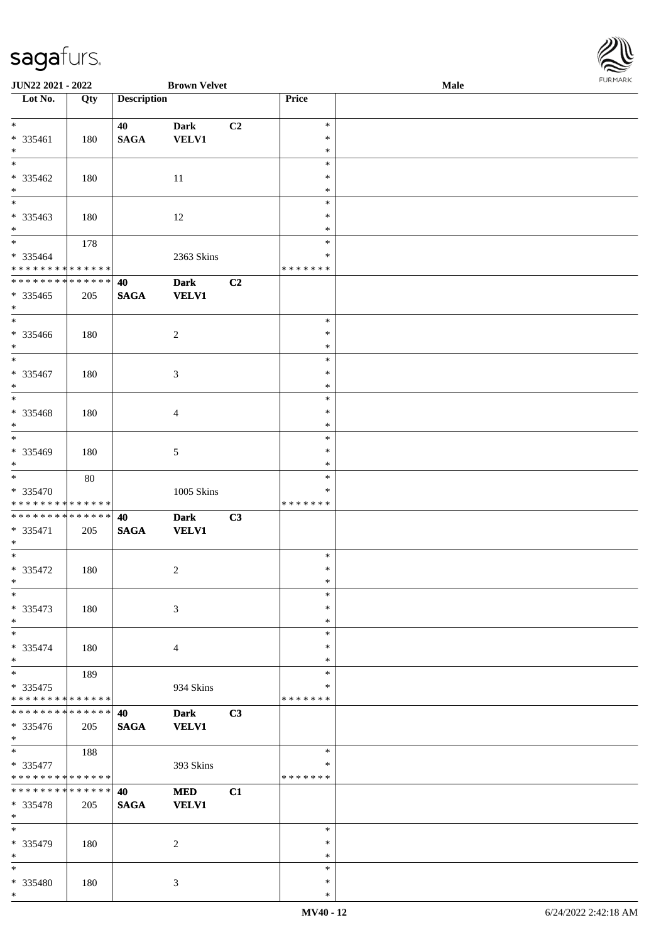\*

| JUN22 2021 - 2022             |     |                    | <b>Brown Velvet</b> |    |               | Male | FURMARK |
|-------------------------------|-----|--------------------|---------------------|----|---------------|------|---------|
| Lot No.                       | Qty | <b>Description</b> |                     |    | Price         |      |         |
| $*$                           |     | 40                 | <b>Dark</b>         | C2 | $\ast$        |      |         |
| * 335461                      | 180 | $\mathbf{SAGA}$    | VELV1               |    | ∗             |      |         |
| $*$                           |     |                    |                     |    | $\ast$        |      |         |
| $\overline{\ast}$             |     |                    |                     |    | $\ast$        |      |         |
| $* 335462$                    | 180 |                    | $11\,$              |    | $\ast$        |      |         |
| $*$                           |     |                    |                     |    | $\ast$        |      |         |
| $\ast$                        |     |                    |                     |    | $\ast$        |      |         |
| $* 335463$                    | 180 |                    | 12                  |    | $\ast$        |      |         |
| $*$                           |     |                    |                     |    | $\ast$        |      |         |
| $*$                           | 178 |                    |                     |    | $\ast$        |      |         |
| * 335464                      |     |                    | 2363 Skins          |    | $\ast$        |      |         |
| * * * * * * * * * * * * * *   |     |                    |                     |    | * * * * * * * |      |         |
| * * * * * * * * * * * * * *   |     | 40                 | <b>Dark</b>         | C2 |               |      |         |
| $* 335465$                    |     | <b>SAGA</b>        | <b>VELV1</b>        |    |               |      |         |
| $\ast$                        | 205 |                    |                     |    |               |      |         |
| $\overline{\phantom{0}}$      |     |                    |                     |    | $\ast$        |      |         |
|                               |     |                    |                     |    | $\ast$        |      |         |
| * 335466<br>$*$               | 180 |                    | $\sqrt{2}$          |    | $\ast$        |      |         |
| $\overline{\phantom{0}}$      |     |                    |                     |    |               |      |         |
|                               |     |                    |                     |    | $\ast$        |      |         |
| * 335467                      | 180 |                    | $\mathfrak{Z}$      |    | $\ast$        |      |         |
| $\ast$<br>$\overline{\ast}$   |     |                    |                     |    | $\ast$        |      |         |
|                               |     |                    |                     |    | $\ast$        |      |         |
| * 335468                      | 180 |                    | $\overline{4}$      |    | $\ast$        |      |         |
| $\ast$<br>$\overline{\ast}$   |     |                    |                     |    | $\ast$        |      |         |
|                               |     |                    |                     |    | $\ast$        |      |         |
| * 335469                      | 180 |                    | $\sqrt{5}$          |    | $\ast$        |      |         |
| $*$                           |     |                    |                     |    | $\ast$        |      |         |
| $\ast$                        | 80  |                    |                     |    | $\ast$        |      |         |
| * 335470                      |     |                    | 1005 Skins          |    | $\ast$        |      |         |
| * * * * * * * * * * * * * *   |     |                    |                     |    | * * * * * * * |      |         |
| * * * * * * * * * * * * * *   |     | 40                 | <b>Dark</b>         | C3 |               |      |         |
| $* 335471$                    | 205 | <b>SAGA</b>        | <b>VELV1</b>        |    |               |      |         |
| $\ast$                        |     |                    |                     |    |               |      |         |
| $*$                           |     |                    |                     |    | $\ast$        |      |         |
| $* 335472$                    | 180 |                    | $\sqrt{2}$          |    | $\ast$        |      |         |
| $*$                           |     |                    |                     |    | ∗             |      |         |
| $\ast$                        |     |                    |                     |    | $\ast$        |      |         |
| * 335473                      | 180 |                    | $\mathfrak{Z}$      |    | $\ast$        |      |         |
| $*$                           |     |                    |                     |    | $\ast$        |      |         |
| $\ast$                        |     |                    |                     |    | $\ast$        |      |         |
| * 335474                      | 180 |                    | $\overline{4}$      |    | $\ast$        |      |         |
| $*$                           |     |                    |                     |    | $\ast$        |      |         |
| $*$                           | 189 |                    |                     |    | $\ast$        |      |         |
| $* 335475$                    |     |                    | 934 Skins           |    | ∗             |      |         |
| * * * * * * * * * * * * * *   |     |                    |                     |    | * * * * * * * |      |         |
| * * * * * * * * * * * * * *   |     | 40                 | <b>Dark</b>         | C3 |               |      |         |
| * 335476                      | 205 | <b>SAGA</b>        | <b>VELV1</b>        |    |               |      |         |
| $*$                           |     |                    |                     |    |               |      |         |
| $\ast$                        | 188 |                    |                     |    | ∗             |      |         |
| * 335477                      |     |                    | 393 Skins           |    | ∗             |      |         |
| * * * * * * * * * * * * * *   |     |                    |                     |    | * * * * * * * |      |         |
| * * * * * * * * * * * * * * * |     | 40                 | <b>MED</b>          | C1 |               |      |         |
| * 335478                      | 205 | <b>SAGA</b>        | <b>VELV1</b>        |    |               |      |         |
| $*$                           |     |                    |                     |    |               |      |         |
| $\ast$                        |     |                    |                     |    | $\ast$        |      |         |
|                               |     |                    |                     |    | $\ast$        |      |         |
| * 335479<br>$*$               | 180 |                    | $\sqrt{2}$          |    | $\ast$        |      |         |
| $\ast$                        |     |                    |                     |    |               |      |         |
|                               |     |                    |                     |    | $\ast$        |      |         |
| * 335480                      | 180 |                    | $\mathfrak{Z}$      |    | $\ast$        |      |         |

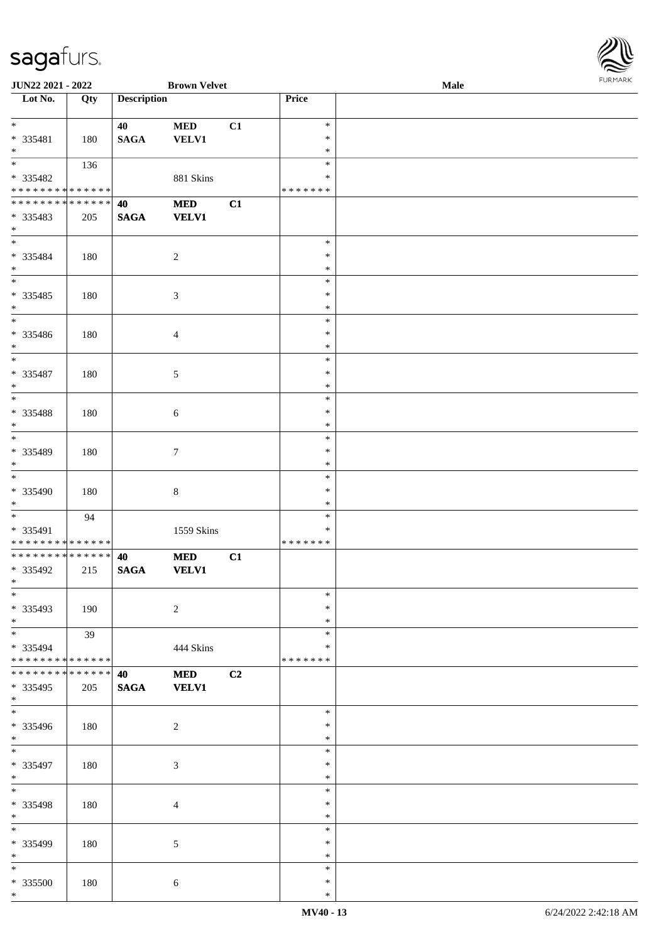| URMARK<br>P |
|-------------|

| JUN22 2021 - 2022                |             |                       | <b>Brown Velvet</b> |    |                  | Male | <b>FURMARK</b> |
|----------------------------------|-------------|-----------------------|---------------------|----|------------------|------|----------------|
| $\overline{\phantom{1}}$ Lot No. | Qty         | <b>Description</b>    |                     |    | Price            |      |                |
| $*$                              |             |                       |                     |    | $\ast$           |      |                |
| * 335481                         |             | 40<br>$\mathbf{SAGA}$ | $\bf MED$<br>VELV1  | C1 | $\ast$           |      |                |
| $*$                              | 180         |                       |                     |    | $\ast$           |      |                |
|                                  | 136         |                       |                     |    | $\ast$           |      |                |
| $* 335482$                       |             |                       | 881 Skins           |    | $\ast$           |      |                |
| * * * * * * * * * * * * * *      |             |                       |                     |    | * * * * * * *    |      |                |
| * * * * * * * * * * * * * * *    |             | 40                    | <b>MED</b>          | C1 |                  |      |                |
| * 335483                         | 205         | <b>SAGA</b>           | <b>VELV1</b>        |    |                  |      |                |
| $*$                              |             |                       |                     |    |                  |      |                |
| $*$                              |             |                       |                     |    | $\ast$<br>$\ast$ |      |                |
| * 335484<br>$\ast$               | 180         |                       | $\boldsymbol{2}$    |    | $\ast$           |      |                |
|                                  |             |                       |                     |    | $\ast$           |      |                |
| $* 335485$                       | 180         |                       | 3                   |    | $\ast$           |      |                |
| $*$                              |             |                       |                     |    | $\ast$           |      |                |
|                                  |             |                       |                     |    | $\ast$           |      |                |
| * 335486                         | 180         |                       | $\overline{4}$      |    | $\ast$           |      |                |
| $*$                              |             |                       |                     |    | $\ast$           |      |                |
| $*$                              |             |                       |                     |    | $\ast$           |      |                |
| * 335487                         | 180         |                       | 5                   |    | $\ast$           |      |                |
| $*$<br>$\overline{\phantom{0}}$  |             |                       |                     |    | $\ast$           |      |                |
|                                  |             |                       |                     |    | $\ast$           |      |                |
| $* 335488$<br>$*$                | 180         |                       | $\sqrt{6}$          |    | $\ast$<br>$\ast$ |      |                |
| $\overline{\phantom{0}}$         |             |                       |                     |    | $\ast$           |      |                |
| * 335489                         | 180         |                       | 7                   |    | $\ast$           |      |                |
| $*$                              |             |                       |                     |    | $\ast$           |      |                |
| $\overline{\phantom{0}}$         |             |                       |                     |    | $\ast$           |      |                |
| * 335490                         | 180         |                       | 8                   |    | $\ast$           |      |                |
| $*$                              |             |                       |                     |    | $\ast$           |      |                |
|                                  | 94          |                       |                     |    | $\ast$           |      |                |
| * 335491                         |             |                       | 1559 Skins          |    | *                |      |                |
| * * * * * * * * * * * * * *      |             |                       |                     |    | * * * * * * *    |      |                |
| ******** <mark>******</mark>     |             | 40                    | <b>MED</b>          | C1 |                  |      |                |
| * 335492<br>$*$                  | 215         | <b>SAGA</b>           | <b>VELV1</b>        |    |                  |      |                |
| $\overline{\phantom{1}}$         |             |                       |                     |    | $\ast$           |      |                |
| * 335493                         | 190         |                       | $\sqrt{2}$          |    | $\ast$           |      |                |
| $*$                              |             |                       |                     |    | $\ast$           |      |                |
| $*$                              | 39          |                       |                     |    | $\ast$           |      |                |
| $* 335494$                       |             |                       | 444 Skins           |    | $\ast$           |      |                |
| * * * * * * * * * * * * * *      |             |                       |                     |    | * * * * * * *    |      |                |
| * * * * * * * *                  | * * * * * * | 40                    | <b>MED</b>          | C2 |                  |      |                |
| * 335495                         | 205         | <b>SAGA</b>           | <b>VELV1</b>        |    |                  |      |                |
| $*$                              |             |                       |                     |    |                  |      |                |
| $*$                              |             |                       |                     |    | $\ast$           |      |                |
| * 335496<br>$*$                  | 180         |                       | 2                   |    | $\ast$<br>$\ast$ |      |                |
|                                  |             |                       |                     |    | $\ast$           |      |                |
| * 335497                         | 180         |                       | 3                   |    | ∗                |      |                |
| $*$                              |             |                       |                     |    | $\ast$           |      |                |
|                                  |             |                       |                     |    | $\ast$           |      |                |
| * 335498                         | 180         |                       | 4                   |    | $\ast$           |      |                |
| $*$                              |             |                       |                     |    | $\ast$           |      |                |
| $*$                              |             |                       |                     |    | $\ast$           |      |                |
| * 335499                         | 180         |                       | 5                   |    | $\ast$           |      |                |
| $*$                              |             |                       |                     |    | $\ast$           |      |                |
| $\ast$                           |             |                       |                     |    | $\ast$           |      |                |
| $* 335500$                       | 180         |                       | 6                   |    | $\ast$           |      |                |
| $*$                              |             |                       |                     |    | $\ast$           |      |                |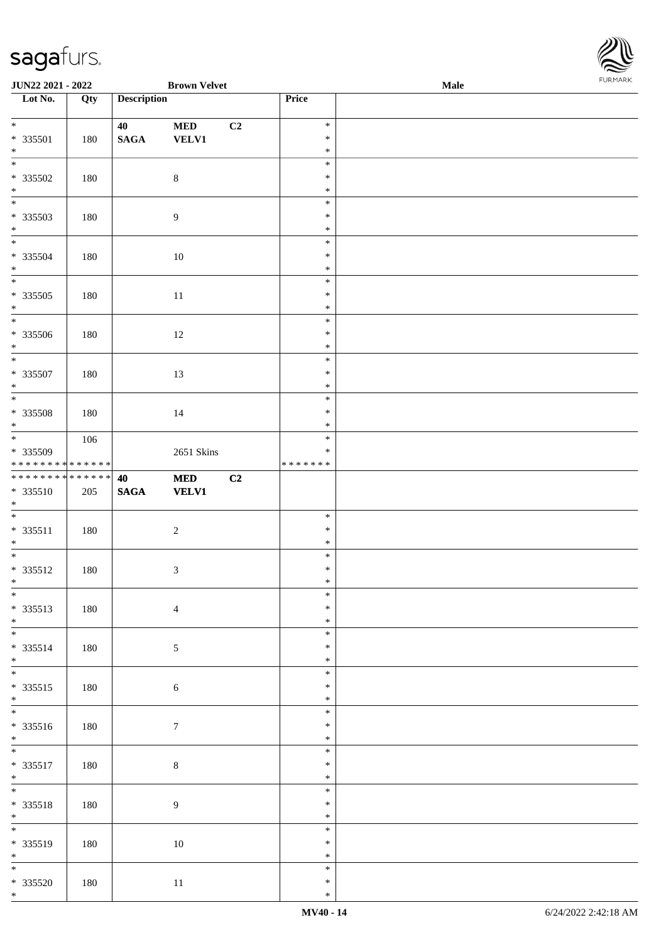

| JUN22 2021 - 2022                                               |     |                       | <b>Brown Velvet</b>        |    |                                   | Male | 1.9151 B.0515 |
|-----------------------------------------------------------------|-----|-----------------------|----------------------------|----|-----------------------------------|------|---------------|
| Lot No.                                                         | Qty | <b>Description</b>    |                            |    | Price                             |      |               |
| $*$<br>* 335501<br>$\ast$                                       | 180 | 40<br>$\mathbf{SAGA}$ | <b>MED</b><br><b>VELV1</b> | C2 | $\ast$<br>$\ast$<br>$\ast$        |      |               |
| * 335502<br>$\begin{array}{c}\n * \\ \hline\n * \\ \end{array}$ | 180 |                       | $\,8\,$                    |    | $\ast$<br>$\ast$<br>$\ast$        |      |               |
| * 335503<br>$*$                                                 | 180 |                       | $\overline{9}$             |    | $\ast$<br>$\ast$<br>$\ast$        |      |               |
| * 335504<br>$*$                                                 | 180 |                       | 10                         |    | $\ast$<br>$\ast$<br>$\ast$        |      |               |
| $\overline{\phantom{0}}$<br>$* 335505$<br>$*$                   | 180 |                       | 11                         |    | $\ast$<br>$\ast$<br>$\ast$        |      |               |
| $\overline{\phantom{0}}$<br>* 335506<br>$*$                     | 180 |                       | 12                         |    | $\ast$<br>$\ast$<br>$\ast$        |      |               |
| $* 335507$<br>$\ast$                                            | 180 |                       | 13                         |    | $\ast$<br>$\ast$<br>$\ast$        |      |               |
| $\overline{\phantom{0}}$<br>$* 335508$<br>$*$                   | 180 |                       | 14                         |    | $\ast$<br>$\ast$<br>$\ast$        |      |               |
| * 335509<br>* * * * * * * * <mark>* * * * * * *</mark>          | 106 |                       | 2651 Skins                 |    | $\ast$<br>$\ast$<br>* * * * * * * |      |               |
| ******** <mark>******</mark><br>* 335510<br>$*$                 | 205 | 40<br>$\mathbf{SAGA}$ | <b>MED</b><br><b>VELV1</b> | C2 |                                   |      |               |
| $* 335511$<br>$*$                                               | 180 |                       | $\sqrt{2}$                 |    | $\ast$<br>$\ast$<br>$\ast$        |      |               |
| $*$<br>* 335512<br>$*$ $-$                                      | 180 |                       | $\mathfrak{Z}$             |    | $\ast$<br>$\ast$<br>$\ast$        |      |               |
| $*$<br>* 335513<br>$*$                                          | 180 |                       | $\overline{4}$             |    | $\ast$<br>$\ast$<br>$\ast$        |      |               |
| * 335514<br>$*$                                                 | 180 |                       | 5                          |    | $\ast$<br>$\ast$<br>$\ast$        |      |               |
| * 335515<br>$*$                                                 | 180 |                       | $\sqrt{6}$                 |    | $\ast$<br>$\ast$<br>$\ast$        |      |               |
| * 335516<br>$*$                                                 | 180 |                       | $\tau$                     |    | $\ast$<br>$\ast$<br>$\ast$        |      |               |
| $\overline{\ }$<br>* 335517<br>$*$                              | 180 |                       | $\,8\,$                    |    | $\ast$<br>$\ast$<br>$\ast$        |      |               |
| $*$<br>* 335518<br>$*$                                          | 180 |                       | $\boldsymbol{9}$           |    | $\ast$<br>$\ast$<br>$\ast$        |      |               |
| * 335519<br>$*$                                                 | 180 |                       | 10                         |    | $\ast$<br>$\ast$<br>$\ast$        |      |               |
| $*$<br>$* 335520$<br>$*$                                        | 180 |                       | $11\,$                     |    | $\ast$<br>$\ast$<br>$\ast$        |      |               |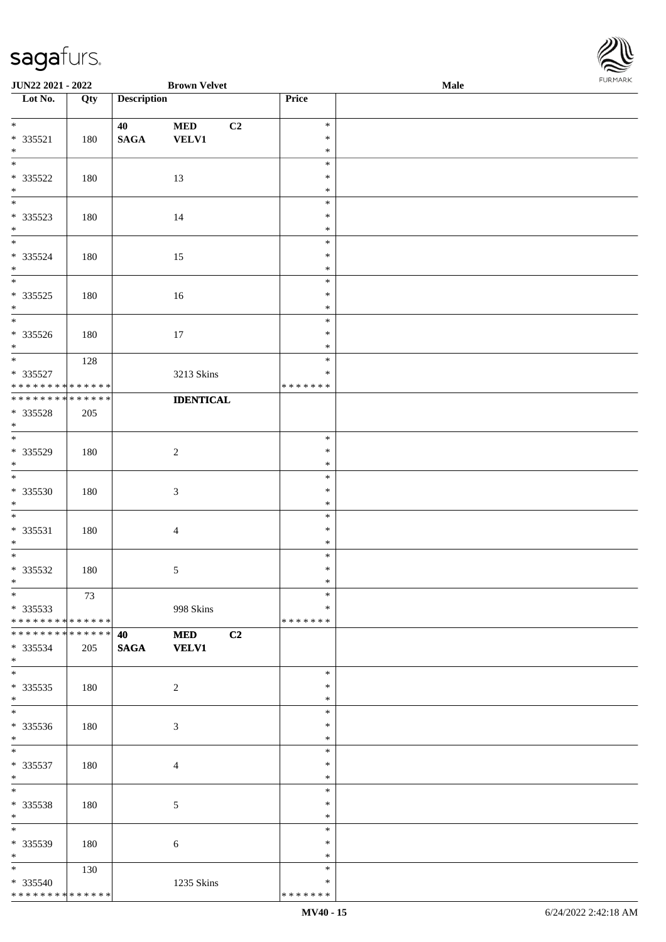| JUN22 2021 - 2022                    |     |                    | <b>Brown Velvet</b> |                    | Male | <b>I</b> OIN INVIN |
|--------------------------------------|-----|--------------------|---------------------|--------------------|------|--------------------|
| $\overline{\phantom{1}}$ Lot No.     | Qty | <b>Description</b> |                     | Price              |      |                    |
|                                      |     |                    |                     |                    |      |                    |
|                                      |     | 40                 | $\bf MED$<br>C2     | $\ast$             |      |                    |
| $* 335521$                           | 180 | $\mathbf{SAGA}$    | <b>VELV1</b>        | $\ast$             |      |                    |
| $\ast$<br>$\overline{\phantom{0}}$   |     |                    |                     | $\ast$             |      |                    |
|                                      |     |                    |                     | $\ast$<br>$\ast$   |      |                    |
| $* 335522$                           | 180 |                    | 13                  | $\ast$             |      |                    |
| $\ast$<br>$\overline{\phantom{0}}$   |     |                    |                     | $\ast$             |      |                    |
| $* 335523$                           | 180 |                    | 14                  | $\ast$             |      |                    |
| $\ast$                               |     |                    |                     | $\ast$             |      |                    |
| $\overline{\phantom{a}^*}$           |     |                    |                     | $\ast$             |      |                    |
| $* 335524$                           | 180 |                    | 15                  | $\ast$             |      |                    |
| $\ast$                               |     |                    |                     | $\ast$             |      |                    |
| $\overline{\phantom{0}}$             |     |                    |                     | $\ast$             |      |                    |
| $* 335525$                           | 180 |                    | $16\,$              | $\ast$             |      |                    |
| $\ast$                               |     |                    |                     | $\ast$             |      |                    |
| $\overline{\phantom{0}}$             |     |                    |                     | $\ast$             |      |                    |
| * 335526                             | 180 |                    | 17                  | $\ast$             |      |                    |
| $*$                                  |     |                    |                     | $\ast$             |      |                    |
| $\overline{\phantom{a}^*}$           | 128 |                    |                     | $\ast$             |      |                    |
| $* 335527$                           |     |                    | 3213 Skins          | $\ast$             |      |                    |
| * * * * * * * * * * * * * * *        |     |                    |                     | * * * * * * *      |      |                    |
| * * * * * * * * * * * * * *          |     |                    | <b>IDENTICAL</b>    |                    |      |                    |
| * 335528                             | 205 |                    |                     |                    |      |                    |
| $\ast$                               |     |                    |                     |                    |      |                    |
| $\overline{\phantom{0}}$             |     |                    |                     | $\ast$             |      |                    |
| * 335529                             | 180 |                    | $\overline{c}$      | $\ast$             |      |                    |
| $\ast$<br>$\overline{\phantom{a}^*}$ |     |                    |                     | $\ast$             |      |                    |
|                                      |     |                    |                     | $\ast$             |      |                    |
| * 335530                             | 180 |                    | $\mathfrak{Z}$      | $\ast$             |      |                    |
| $\ast$<br>$\frac{1}{1}$              |     |                    |                     | $\ast$             |      |                    |
|                                      |     |                    |                     | $\ast$             |      |                    |
| * 335531<br>$*$                      | 180 |                    | $\overline{4}$      | $\ast$<br>$\ast$   |      |                    |
|                                      |     |                    |                     | $\ast$             |      |                    |
| $* 335532$                           | 180 |                    |                     | $\ast$             |      |                    |
| $*$                                  |     |                    | $\mathfrak{S}$      | $\ast$             |      |                    |
| $*$                                  | 73  |                    |                     | $\ast$             |      |                    |
| $*335533$                            |     |                    | 998 Skins           | $\ast$             |      |                    |
| * * * * * * * * * * * * * * *        |     |                    |                     | * * * * * * *      |      |                    |
| **************                       |     | 40                 | <b>MED</b><br>C2    |                    |      |                    |
| * 335534                             | 205 | <b>SAGA</b>        | <b>VELV1</b>        |                    |      |                    |
| $*$                                  |     |                    |                     |                    |      |                    |
| $\overline{\phantom{0}}$             |     |                    |                     | $\ast$             |      |                    |
| $*335535$                            | 180 |                    | $\overline{2}$      | $\ast$             |      |                    |
| $*$                                  |     |                    |                     | $\ast$             |      |                    |
| $\overline{\phantom{0}}$             |     |                    |                     | $\ast$             |      |                    |
| * 335536                             | 180 |                    | $\mathfrak{Z}$      | $\ast$             |      |                    |
| $*$                                  |     |                    |                     | $\ast$             |      |                    |
| $\overline{\phantom{0}}$             |     |                    |                     | $\ast$             |      |                    |
| * 335537                             | 180 |                    | 4                   | $\ast$             |      |                    |
| $*$                                  |     |                    |                     | $\ast$             |      |                    |
| $*$                                  |     |                    |                     | $\ast$             |      |                    |
| * 335538                             | 180 |                    | 5                   | $\ast$             |      |                    |
| $*$                                  |     |                    |                     | $\ast$             |      |                    |
| $*$                                  |     |                    |                     | $\ast$             |      |                    |
| * 335539                             | 180 |                    | 6                   | $\ast$             |      |                    |
| $*$ $*$<br>$*$                       |     |                    |                     | $\ast$             |      |                    |
|                                      | 130 |                    |                     | $\ast$             |      |                    |
| * 335540                             |     |                    | 1235 Skins          | ∗<br>* * * * * * * |      |                    |
| * * * * * * * * * * * * * *          |     |                    |                     |                    |      |                    |

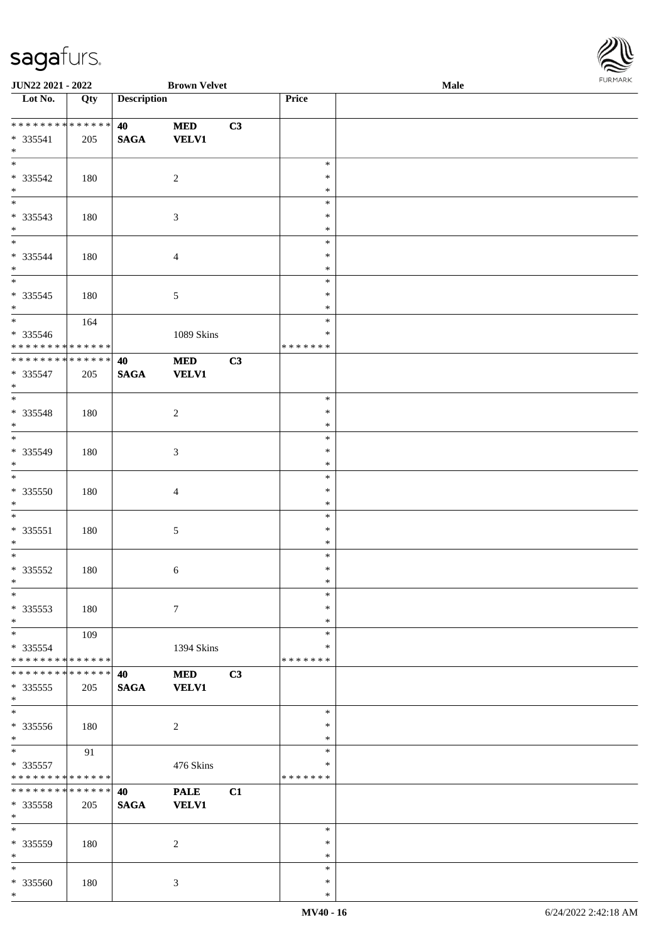

| JUN22 2021 - 2022                     |     |                    | <b>Brown Velvet</b> |    |               | Male |  |
|---------------------------------------|-----|--------------------|---------------------|----|---------------|------|--|
| Lot No.                               | Qty | <b>Description</b> |                     |    | Price         |      |  |
|                                       |     |                    |                     |    |               |      |  |
| ___<br>******** <mark>******</mark> * |     | 40                 | $\bf MED$           | C3 |               |      |  |
| $* 335541$                            | 205 | <b>SAGA</b>        | <b>VELV1</b>        |    |               |      |  |
| $*$                                   |     |                    |                     |    |               |      |  |
|                                       |     |                    |                     |    | $\ast$        |      |  |
| * 335542                              |     |                    | $\sqrt{2}$          |    | $\ast$        |      |  |
| $\ast$                                | 180 |                    |                     |    |               |      |  |
| $\overline{\phantom{0}}$              |     |                    |                     |    | $\ast$        |      |  |
|                                       |     |                    |                     |    | $\ast$        |      |  |
| * 335543                              | 180 |                    | $\mathfrak{Z}$      |    | $\ast$        |      |  |
| $*$                                   |     |                    |                     |    | $\ast$        |      |  |
| $\overline{\phantom{0}}$              |     |                    |                     |    | $\ast$        |      |  |
| * 335544                              | 180 |                    | $\overline{4}$      |    | $\ast$        |      |  |
| $*$                                   |     |                    |                     |    | $\ast$        |      |  |
| $\overline{\phantom{0}}$              |     |                    |                     |    | $\ast$        |      |  |
| $* 335545$                            | 180 |                    | 5                   |    | $\ast$        |      |  |
| $*$                                   |     |                    |                     |    | $\ast$        |      |  |
| $\overline{\phantom{0}}$              | 164 |                    |                     |    | $\ast$        |      |  |
| * 335546                              |     |                    | 1089 Skins          |    | $\ast$        |      |  |
| ******** <mark>******</mark>          |     |                    |                     |    | * * * * * * * |      |  |
| ******** <mark>******</mark>          |     |                    |                     |    |               |      |  |
|                                       |     | 40                 | $\bf MED$           | C3 |               |      |  |
| $* 335547$                            | 205 | <b>SAGA</b>        | <b>VELV1</b>        |    |               |      |  |
| $*$                                   |     |                    |                     |    |               |      |  |
| $*$                                   |     |                    |                     |    | $\ast$        |      |  |
| * 335548                              | 180 |                    | 2                   |    | $\ast$        |      |  |
| $*$                                   |     |                    |                     |    | $\ast$        |      |  |
| $\overline{\phantom{0}}$              |     |                    |                     |    | $\ast$        |      |  |
| * 335549                              | 180 |                    | $\mathfrak{Z}$      |    | $\ast$        |      |  |
| $*$                                   |     |                    |                     |    | $\ast$        |      |  |
| $\overline{\phantom{0}}$              |     |                    |                     |    | $\ast$        |      |  |
| $* 335550$                            |     |                    |                     |    | $\ast$        |      |  |
|                                       | 180 |                    | $\overline{4}$      |    |               |      |  |
| $*$                                   |     |                    |                     |    | $\ast$        |      |  |
| $*$                                   |     |                    |                     |    | $\ast$        |      |  |
| $* 335551$                            | 180 |                    | $\mathfrak{S}$      |    | $\ast$        |      |  |
| $*$                                   |     |                    |                     |    | $\ast$        |      |  |
| $*$                                   |     |                    |                     |    | $\ast$        |      |  |
| $* 335552$                            | 180 |                    | 6                   |    | $\ast$        |      |  |
| $*$                                   |     |                    |                     |    | $\ast$        |      |  |
| $\ast$                                |     |                    |                     |    | $\ast$        |      |  |
| * 335553                              | 180 |                    | $\tau$              |    | ∗             |      |  |
| $*$                                   |     |                    |                     |    | $\ast$        |      |  |
| $*$                                   | 109 |                    |                     |    | $\ast$        |      |  |
| * 335554                              |     |                    | 1394 Skins          |    | *             |      |  |
| * * * * * * * * * * * * * *           |     |                    |                     |    | * * * * * * * |      |  |
|                                       |     |                    |                     |    |               |      |  |
| * * * * * * * * * * * * * * *         |     | 40                 | <b>MED</b>          | C3 |               |      |  |
| $*335555$                             | 205 | <b>SAGA</b>        | <b>VELV1</b>        |    |               |      |  |
| $*$<br>$\overline{\phantom{a}^*}$     |     |                    |                     |    |               |      |  |
|                                       |     |                    |                     |    | $\ast$        |      |  |
| $* 335556$                            | 180 |                    | 2                   |    | ∗             |      |  |
| $*$                                   |     |                    |                     |    | $\ast$        |      |  |
| $\overline{\ast}$                     | 91  |                    |                     |    | $\ast$        |      |  |
| $* 335557$                            |     |                    | 476 Skins           |    | *             |      |  |
| * * * * * * * * * * * * * *           |     |                    |                     |    | *******       |      |  |
| * * * * * * * * * * * * * * *         |     | 40                 | <b>PALE</b>         | C1 |               |      |  |
| * 335558                              | 205 | <b>SAGA</b>        | <b>VELV1</b>        |    |               |      |  |
| $*$                                   |     |                    |                     |    |               |      |  |
| $*$                                   |     |                    |                     |    |               |      |  |
|                                       |     |                    |                     |    | $\ast$        |      |  |
| * 335559                              | 180 |                    | 2                   |    | ∗             |      |  |
| $*$                                   |     |                    |                     |    | $\ast$        |      |  |
| $*$                                   |     |                    |                     |    | $\ast$        |      |  |
| * 335560                              | 180 |                    | 3                   |    | $\ast$        |      |  |
| $*$                                   |     |                    |                     |    | $\ast$        |      |  |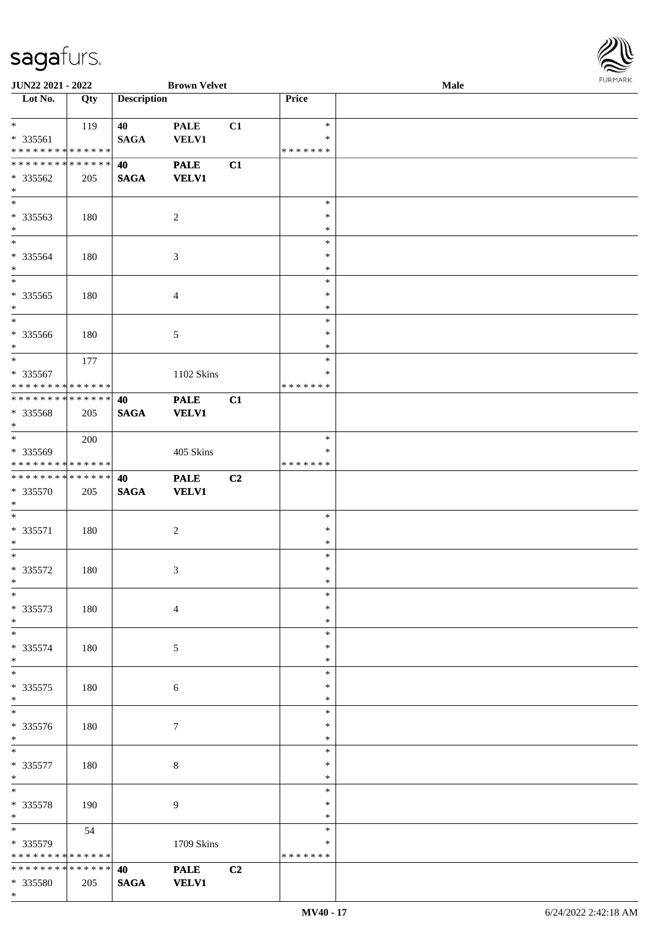

| JUN22 2021 - 2022             |     |                    | <b>Brown Velvet</b> |                |               | Male |  |
|-------------------------------|-----|--------------------|---------------------|----------------|---------------|------|--|
| Lot No.                       | Qty | <b>Description</b> |                     |                | Price         |      |  |
|                               |     |                    |                     |                |               |      |  |
| $*$                           | 119 | 40                 | <b>PALE</b>         | C1             | $\ast$        |      |  |
| * 335561                      |     | <b>SAGA</b>        | <b>VELV1</b>        |                | ∗             |      |  |
| * * * * * * * * * * * * * *   |     |                    |                     |                | * * * * * * * |      |  |
| * * * * * * * * * * * * * *   |     | 40                 | <b>PALE</b>         | C1             |               |      |  |
| $* 335562$                    | 205 | <b>SAGA</b>        | <b>VELV1</b>        |                |               |      |  |
| $\ast$                        |     |                    |                     |                |               |      |  |
| $\overline{\ast}$             |     |                    |                     |                | $\ast$        |      |  |
| * 335563                      | 180 |                    | $\overline{c}$      |                | $\ast$        |      |  |
| $*$                           |     |                    |                     |                | $\ast$        |      |  |
| $\overline{\phantom{a}^*}$    |     |                    |                     |                | $\ast$        |      |  |
|                               |     |                    |                     |                |               |      |  |
| * 335564                      | 180 |                    | $\mathfrak{Z}$      |                | $\ast$        |      |  |
| $\ast$                        |     |                    |                     |                | $\ast$        |      |  |
| $*$                           |     |                    |                     |                | $\ast$        |      |  |
| $*335565$                     | 180 |                    | $\overline{4}$      |                | $\ast$        |      |  |
| $\ast$                        |     |                    |                     |                | $\ast$        |      |  |
| $*$                           |     |                    |                     |                | $\ast$        |      |  |
| * 335566                      | 180 |                    | 5                   |                | $\ast$        |      |  |
| $*$                           |     |                    |                     |                | $\ast$        |      |  |
| $*$                           | 177 |                    |                     |                | $\ast$        |      |  |
| * 335567                      |     |                    | 1102 Skins          |                | ∗             |      |  |
| * * * * * * * * * * * * * *   |     |                    |                     |                | * * * * * * * |      |  |
| * * * * * * * * * * * * * *   |     | 40                 | <b>PALE</b>         | C1             |               |      |  |
| * 335568                      | 205 | <b>SAGA</b>        | <b>VELV1</b>        |                |               |      |  |
| $*$                           |     |                    |                     |                |               |      |  |
| $*$                           | 200 |                    |                     |                | $\ast$        |      |  |
| * 335569                      |     |                    | 405 Skins           |                | $\ast$        |      |  |
| * * * * * * * * * * * * * *   |     |                    |                     |                | * * * * * * * |      |  |
| * * * * * * * * * * * * * *   |     | 40                 | <b>PALE</b>         | C <sub>2</sub> |               |      |  |
| * 335570                      | 205 | $\mathbf{SAGA}$    | <b>VELV1</b>        |                |               |      |  |
| $*$                           |     |                    |                     |                |               |      |  |
| $\ast$                        |     |                    |                     |                | $\ast$        |      |  |
|                               |     |                    |                     |                |               |      |  |
| $* 335571$                    | 180 |                    | $\overline{c}$      |                | $\ast$        |      |  |
| $*$                           |     |                    |                     |                | $\ast$        |      |  |
| $*$                           |     |                    |                     |                | $\ast$        |      |  |
| * 335572                      | 180 |                    | 3                   |                | $\ast$        |      |  |
| $*$                           |     |                    |                     |                | $\ast$        |      |  |
| $\ast$                        |     |                    |                     |                | $\ast$        |      |  |
| $* 335573$                    | 180 |                    | $\overline{4}$      |                | ∗             |      |  |
| $*$                           |     |                    |                     |                | $\ast$        |      |  |
| $\ast$                        |     |                    |                     |                | $\ast$        |      |  |
| * 335574                      | 180 |                    | 5                   |                | *             |      |  |
| $*$                           |     |                    |                     |                | *             |      |  |
| $*$                           |     |                    |                     |                | $\ast$        |      |  |
| $* 335575$                    | 180 |                    | 6                   |                | $\ast$        |      |  |
| $*$                           |     |                    |                     |                | $\ast$        |      |  |
| $\overline{\phantom{0}}$      |     |                    |                     |                | $\ast$        |      |  |
| * 335576                      | 180 |                    | 7                   |                | ∗             |      |  |
| $*$                           |     |                    |                     |                | $\ast$        |      |  |
| $*$                           |     |                    |                     |                | $\ast$        |      |  |
| $* 335577$                    | 180 |                    | 8                   |                | $\ast$        |      |  |
| $*$                           |     |                    |                     |                | $\ast$        |      |  |
| $*$                           |     |                    |                     |                | $\ast$        |      |  |
|                               |     |                    |                     |                | $\ast$        |      |  |
| * 335578                      | 190 |                    | 9                   |                |               |      |  |
| $*$                           |     |                    |                     |                | $\ast$        |      |  |
|                               | 54  |                    |                     |                | $\ast$        |      |  |
| * 335579                      |     |                    | 1709 Skins          |                | ∗             |      |  |
| * * * * * * * * * * * * * *   |     |                    |                     |                | * * * * * * * |      |  |
| * * * * * * * * * * * * * * * |     | 40                 | <b>PALE</b>         | C2             |               |      |  |
| * 335580                      | 205 | <b>SAGA</b>        | <b>VELV1</b>        |                |               |      |  |
| $*$                           |     |                    |                     |                |               |      |  |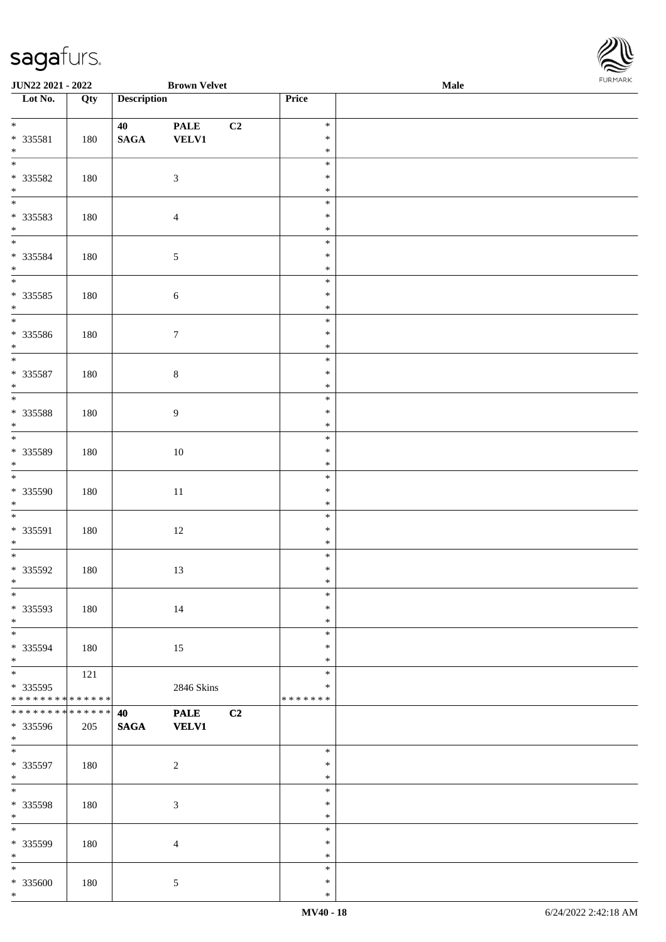

| <b>JUN22 2021 - 2022</b>                               |     |                       | <b>Brown Velvet</b>         |    |                                   | <b>Male</b> |  |
|--------------------------------------------------------|-----|-----------------------|-----------------------------|----|-----------------------------------|-------------|--|
| Lot No.                                                | Qty | <b>Description</b>    |                             |    | Price                             |             |  |
| $*$<br>* 335581<br>$*$                                 | 180 | 40<br>$\mathbf{SAGA}$ | <b>PALE</b><br><b>VELV1</b> | C2 | $\ast$<br>$\ast$<br>$\ast$        |             |  |
| * 335582<br>$*$                                        | 180 |                       | $\mathfrak{Z}$              |    | $\ast$<br>$\ast$<br>$\ast$        |             |  |
| * 335583<br>$*$                                        | 180 |                       | $\overline{4}$              |    | $\ast$<br>$\ast$<br>$\ast$        |             |  |
| * 335584<br>$*$                                        | 180 |                       | $\sqrt{5}$                  |    | $\ast$<br>$\ast$<br>$\ast$        |             |  |
| $\overline{\ }$<br>$* 335585$<br>$*$                   | 180 |                       | $\sqrt{6}$                  |    | $\ast$<br>$\ast$<br>$\ast$        |             |  |
| * 335586<br>$*$                                        | 180 |                       | $\boldsymbol{7}$            |    | $\ast$<br>$\ast$<br>$\ast$        |             |  |
| * 335587<br>$*$                                        | 180 |                       | $\,8\,$                     |    | $\ast$<br>$\ast$<br>$\ast$        |             |  |
| * 335588<br>$*$                                        | 180 |                       | $\overline{9}$              |    | $\ast$<br>$\ast$<br>$\ast$        |             |  |
| * 335589<br>$*$                                        | 180 |                       | 10                          |    | $\ast$<br>$\ast$<br>$\ast$        |             |  |
| $*$<br>* 335590<br>$*$                                 | 180 |                       | $11\,$                      |    | $\ast$<br>$\ast$<br>$\ast$        |             |  |
| $\overline{\phantom{0}}$<br>* 335591<br>$*$            | 180 |                       | 12                          |    | $\ast$<br>$\ast$<br>$\ast$        |             |  |
| * 335592<br>$*$ $-$                                    | 180 |                       | 13                          |    | $\ast$<br>$\ast$<br>$\ast$        |             |  |
| $*$<br>* 335593<br>$*$                                 | 180 |                       | 14                          |    | $\ast$<br>$\ast$<br>$\ast$        |             |  |
| $*$<br>* 335594<br>$*$                                 | 180 |                       | 15                          |    | $\ast$<br>$\ast$<br>$\ast$        |             |  |
| * 335595<br>* * * * * * * * <mark>* * * * * * *</mark> | 121 |                       | 2846 Skins                  |    | $\ast$<br>$\ast$<br>* * * * * * * |             |  |
| * * * * * * * * * * * * * *<br>* 335596<br>$*$         | 205 | 40<br><b>SAGA</b>     | <b>PALE</b><br><b>VELV1</b> | C2 |                                   |             |  |
| $\overline{\phantom{0}}$<br>* 335597<br>$*$            | 180 |                       | $\overline{2}$              |    | $\ast$<br>$\ast$<br>$\ast$        |             |  |
| $*$<br>* 335598<br>$*$                                 | 180 |                       | $\mathfrak{Z}$              |    | $\ast$<br>$\ast$<br>$\ast$        |             |  |
| * 335599<br>$*$                                        | 180 |                       | $\overline{4}$              |    | $\ast$<br>$\ast$<br>$\ast$        |             |  |
| $*$<br>* 335600<br>$*$                                 | 180 |                       | $\mathfrak{S}$              |    | $\ast$<br>$\ast$<br>$\ast$        |             |  |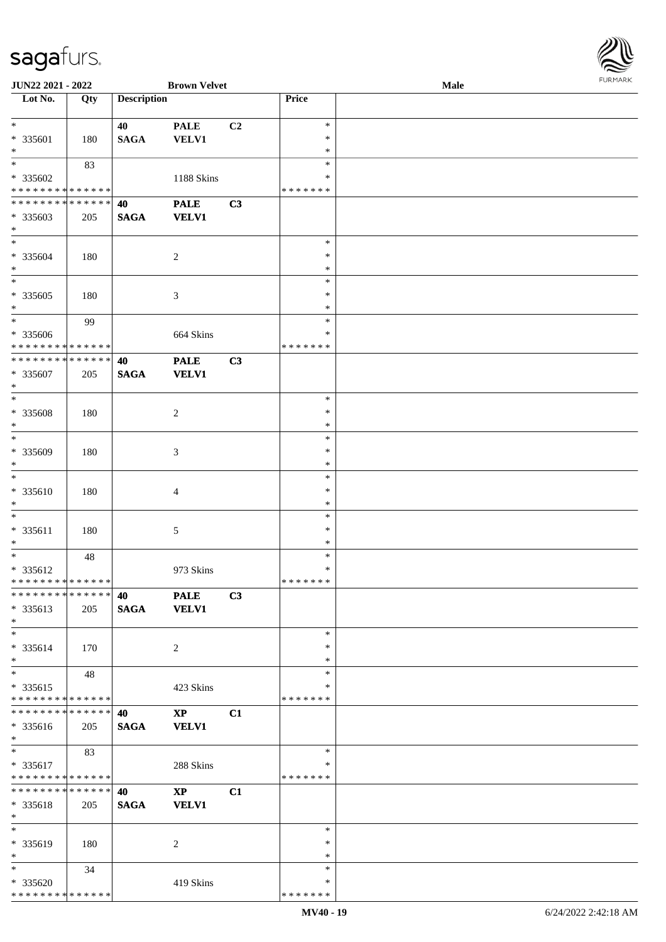| URMARK<br>F |
|-------------|

| JUN22 2021 - 2022                                                   |     |                       | <b>Brown Velvet</b>                    |    |                                   | Male | FURMARK |
|---------------------------------------------------------------------|-----|-----------------------|----------------------------------------|----|-----------------------------------|------|---------|
| Lot No.                                                             | Qty | <b>Description</b>    |                                        |    | Price                             |      |         |
| $\ast$<br>* 335601<br>$\ast$                                        | 180 | 40<br><b>SAGA</b>     | <b>PALE</b><br><b>VELV1</b>            | C2 | $\ast$<br>$\ast$<br>$\ast$        |      |         |
| $\overline{\phantom{1}}$<br>* 335602<br>* * * * * * * * * * * * * * | 83  |                       | 1188 Skins                             |    | $\ast$<br>$\ast$<br>*******       |      |         |
| ******** <mark>******</mark><br>* 335603<br>$*$                     | 205 | 40<br>$\mathbf{SAGA}$ | <b>PALE</b><br><b>VELV1</b>            | C3 |                                   |      |         |
| $\ast$<br>* 335604<br>$*$                                           | 180 |                       | $\overline{c}$                         |    | $\ast$<br>$\ast$<br>$\ast$        |      |         |
| $\ast$<br>* 335605<br>$\ast$<br>$\overline{\phantom{0}}$            | 180 |                       | 3                                      |    | $\ast$<br>$\ast$<br>$\ast$        |      |         |
| * 335606<br>* * * * * * * * * * * * * *                             | 99  |                       | 664 Skins                              |    | $\ast$<br>∗<br>* * * * * * *      |      |         |
| **************<br>* 335607<br>$\ast$                                | 205 | 40<br><b>SAGA</b>     | <b>PALE</b><br><b>VELV1</b>            | C3 |                                   |      |         |
| $\overline{\phantom{0}}$<br>* 335608<br>$\ast$                      | 180 |                       | $\boldsymbol{2}$                       |    | $\ast$<br>$\ast$<br>$\ast$        |      |         |
| $\overline{\phantom{a}^*}$<br>* 335609<br>$\ast$                    | 180 |                       | $\mathfrak{Z}$                         |    | $\ast$<br>$\ast$<br>$\ast$        |      |         |
| $\ast$<br>* 335610<br>$\ast$                                        | 180 |                       | $\overline{4}$                         |    | $\ast$<br>$\ast$<br>$\ast$        |      |         |
| $\ast$<br>* 335611<br>$\ast$                                        | 180 |                       | $\sqrt{5}$                             |    | $\ast$<br>$\ast$<br>$\ast$        |      |         |
| $\ast$<br>* 335612<br>* * * * * * * * * * * * * *                   | 48  |                       | 973 Skins                              |    | $\ast$<br>$\ast$<br>* * * * * * * |      |         |
| * * * * * * * * * * * * * * *<br>* 335613<br>$\ast$                 | 205 | 40<br><b>SAGA</b>     | <b>PALE</b><br><b>VELV1</b>            | C3 |                                   |      |         |
| $\ast$<br>* 335614<br>$\ast$                                        | 170 |                       | $\overline{2}$                         |    | $\ast$<br>$\ast$<br>$\ast$        |      |         |
| $\ast$<br>$* 335615$<br>* * * * * * * * * * * * * *                 | 48  |                       | 423 Skins                              |    | *<br>*<br>* * * * * * *           |      |         |
| **************<br>* 335616<br>$*$                                   | 205 | 40<br><b>SAGA</b>     | $\mathbf{XP}$<br><b>VELV1</b>          | C1 |                                   |      |         |
| $*$<br>* 335617<br>* * * * * * * * * * * * * * *                    | 83  |                       | 288 Skins                              |    | $\ast$<br>∗<br>* * * * * * *      |      |         |
| * * * * * * * * * * * * * * *<br>* 335618<br>$\ast$                 | 205 | 40<br><b>SAGA</b>     | $\mathbf{X}\mathbf{P}$<br><b>VELV1</b> | C1 |                                   |      |         |
| $\ast$<br>* 335619<br>$\ast$                                        | 180 |                       | $\overline{2}$                         |    | $\ast$<br>$\ast$<br>*             |      |         |
| $\ast$<br>* 335620<br>* * * * * * * * * * * * * *                   | 34  |                       | 419 Skins                              |    | $\ast$<br>*<br>* * * * * * *      |      |         |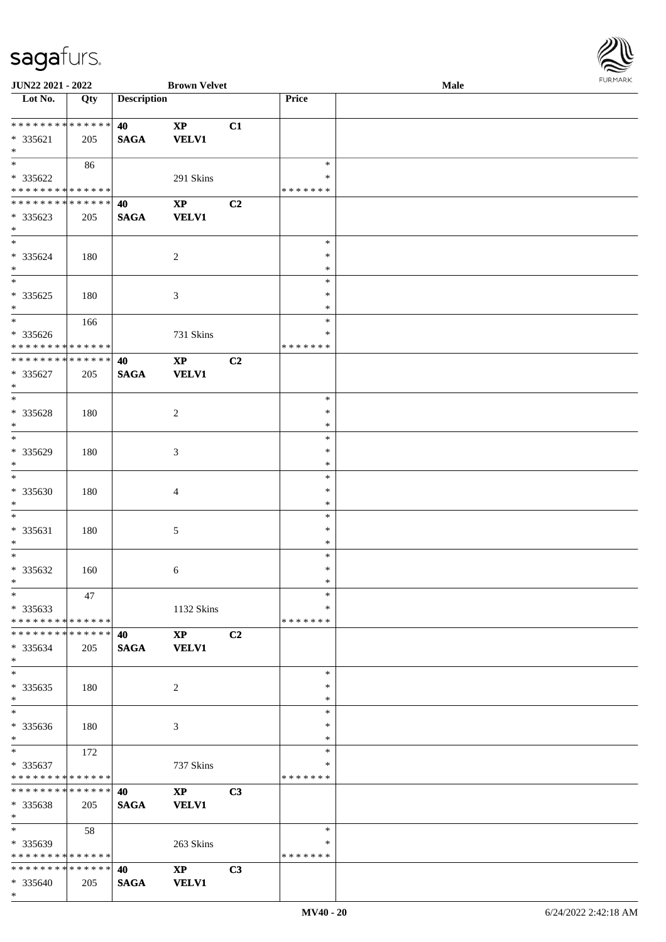

| JUN22 2021 - 2022                          |                   |                    | <b>Brown Velvet</b>    |                |               | <b>Male</b> |
|--------------------------------------------|-------------------|--------------------|------------------------|----------------|---------------|-------------|
| Lot No.                                    | $\overline{Q}$ ty | <b>Description</b> |                        |                | Price         |             |
|                                            |                   |                    |                        |                |               |             |
| * * * * * * * * * * * * * *                |                   | 40                 | $\mathbf{X}\mathbf{P}$ | C1             |               |             |
|                                            |                   |                    |                        |                |               |             |
| * 335621                                   | 205               | <b>SAGA</b>        | <b>VELV1</b>           |                |               |             |
| $\ast$                                     |                   |                    |                        |                |               |             |
| $\overline{\ast}$                          | 86                |                    |                        |                | $\ast$        |             |
| * 335622                                   |                   |                    | 291 Skins              |                | ∗             |             |
| * * * * * * * * * * * * * *                |                   |                    |                        |                | * * * * * * * |             |
| * * * * * * * * * * * * * *                |                   |                    |                        |                |               |             |
|                                            |                   | 40                 | $\bold{XP}$            | C2             |               |             |
| * 335623                                   | 205               | <b>SAGA</b>        | <b>VELV1</b>           |                |               |             |
| $\ast$                                     |                   |                    |                        |                |               |             |
| $\overline{\phantom{0}}$                   |                   |                    |                        |                | $\ast$        |             |
| * 335624                                   | 180               |                    | $\overline{c}$         |                | $\ast$        |             |
|                                            |                   |                    |                        |                |               |             |
| $\ast$                                     |                   |                    |                        |                | $\ast$        |             |
| $\overline{\phantom{a}^*}$                 |                   |                    |                        |                | $\ast$        |             |
| $*335625$                                  | 180               |                    | $\mathfrak{Z}$         |                | $\ast$        |             |
| $\ast$                                     |                   |                    |                        |                | $\ast$        |             |
| $\overline{\ast}$                          |                   |                    |                        |                | $\ast$        |             |
|                                            | 166               |                    |                        |                |               |             |
| $* 335626$                                 |                   |                    | 731 Skins              |                | $\ast$        |             |
| * * * * * * * * * * * * * *                |                   |                    |                        |                | * * * * * * * |             |
| ******** <mark>******</mark>               |                   | 40                 | $\bold{XP}$            | C <sub>2</sub> |               |             |
| $* 335627$                                 | 205               | <b>SAGA</b>        | VELV1                  |                |               |             |
|                                            |                   |                    |                        |                |               |             |
| $\ast$                                     |                   |                    |                        |                |               |             |
| $*$                                        |                   |                    |                        |                | $\ast$        |             |
| * 335628                                   | 180               |                    | $\sqrt{2}$             |                | $\ast$        |             |
| $\ast$                                     |                   |                    |                        |                | $\ast$        |             |
| $*$                                        |                   |                    |                        |                | $\ast$        |             |
|                                            |                   |                    |                        |                |               |             |
| * 335629                                   | 180               |                    | 3                      |                | $\ast$        |             |
| $\ast$                                     |                   |                    |                        |                | $\ast$        |             |
| $\overline{\ast}$                          |                   |                    |                        |                | $\ast$        |             |
| * 335630                                   | 180               |                    | $\overline{4}$         |                | $\ast$        |             |
| $\ast$                                     |                   |                    |                        |                |               |             |
|                                            |                   |                    |                        |                | $\ast$        |             |
| $\ast$                                     |                   |                    |                        |                | $\ast$        |             |
| * 335631                                   | 180               |                    | 5                      |                | $\ast$        |             |
| $\ast$                                     |                   |                    |                        |                | $\ast$        |             |
| $\ast$                                     |                   |                    |                        |                | $\ast$        |             |
|                                            |                   |                    |                        |                |               |             |
| * 335632                                   | 160               |                    | 6                      |                | $\ast$        |             |
| $*$                                        |                   |                    |                        |                | $\ast$        |             |
| $*$                                        | 47                |                    |                        |                | $\ast$        |             |
| $*335633$                                  |                   |                    | 1132 Skins             |                | $\ast$        |             |
| * * * * * * * * * * * * * *                |                   |                    |                        |                | * * * * * * * |             |
| * * * * * * * * * * * * * * *              |                   |                    |                        |                |               |             |
|                                            |                   | 40                 | $\mathbf{X}\mathbf{P}$ | C2             |               |             |
| * 335634                                   | 205               | <b>SAGA</b>        | <b>VELV1</b>           |                |               |             |
| $*$                                        |                   |                    |                        |                |               |             |
| $\overline{\ast}$                          |                   |                    |                        |                | $\ast$        |             |
| $*335635$                                  | 180               |                    | $\overline{2}$         |                | $\ast$        |             |
|                                            |                   |                    |                        |                |               |             |
| $*$                                        |                   |                    |                        |                | $\ast$        |             |
| $\overline{\phantom{0}}$                   |                   |                    |                        |                | $\ast$        |             |
| * 335636                                   | 180               |                    | 3                      |                | ∗             |             |
| $*$                                        |                   |                    |                        |                | $\ast$        |             |
| $*$ $*$                                    |                   |                    |                        |                | $\ast$        |             |
|                                            | 172               |                    |                        |                |               |             |
| $* 335637$                                 |                   |                    | 737 Skins              |                | $\ast$        |             |
| * * * * * * * * * * * * * *                |                   |                    |                        |                | * * * * * * * |             |
| ******** <mark>******</mark>               |                   | 40                 | $\mathbf{XP}$          | C3             |               |             |
| * 335638                                   | 205               | <b>SAGA</b>        | <b>VELV1</b>           |                |               |             |
| $*$                                        |                   |                    |                        |                |               |             |
|                                            |                   |                    |                        |                |               |             |
| $*$                                        | 58                |                    |                        |                | $\ast$        |             |
| * 335639                                   |                   |                    | 263 Skins              |                | ∗             |             |
| * * * * * * * * <mark>* * * * * * *</mark> |                   |                    |                        |                | * * * * * * * |             |
| * * * * * * * * * * * * * * *              |                   | 40                 | $\mathbf{X}\mathbf{P}$ | C3             |               |             |
|                                            |                   |                    |                        |                |               |             |
| * 335640                                   | 205               | <b>SAGA</b>        | <b>VELV1</b>           |                |               |             |
| $*$                                        |                   |                    |                        |                |               |             |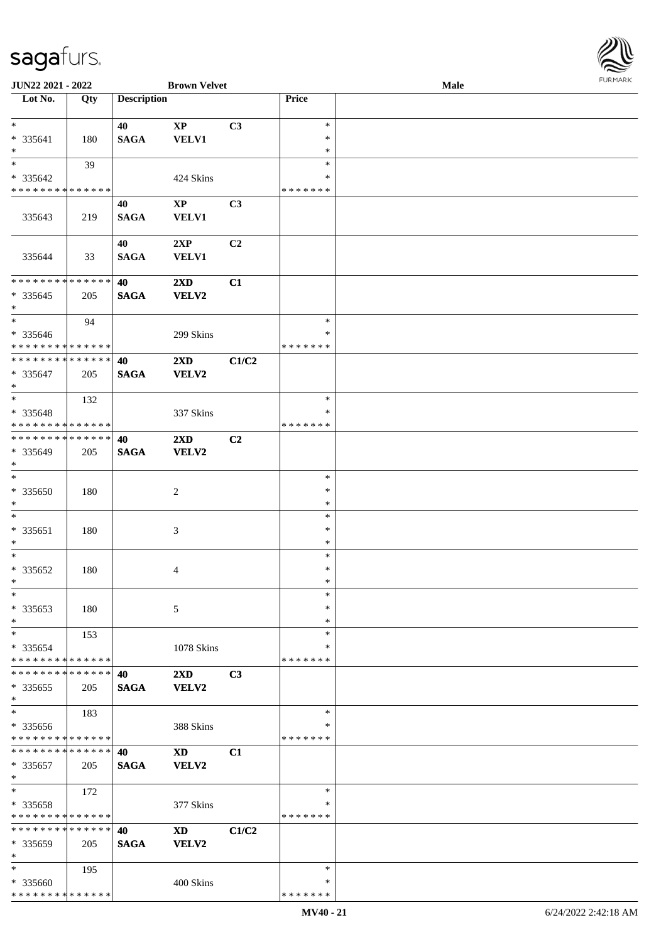

| JUN22 2021 - 2022                  |     |                    | <b>Brown Velvet</b>         |       |               | Male |
|------------------------------------|-----|--------------------|-----------------------------|-------|---------------|------|
| Lot No.                            | Qty | <b>Description</b> |                             |       | Price         |      |
|                                    |     |                    |                             |       |               |      |
| $*$                                |     | 40                 | $\bold{XP}$                 | C3    | $\ast$        |      |
| * 335641                           | 180 |                    | VELV1                       |       | $\ast$        |      |
|                                    |     | <b>SAGA</b>        |                             |       |               |      |
| $\ast$<br>$\overline{\phantom{0}}$ |     |                    |                             |       | $\ast$        |      |
|                                    | 39  |                    |                             |       | $\ast$        |      |
| $* 335642$                         |     |                    | 424 Skins                   |       | ∗             |      |
| * * * * * * * * * * * * * *        |     |                    |                             |       | * * * * * * * |      |
|                                    |     | 40                 | $\mathbf{XP}$               | C3    |               |      |
| 335643                             |     |                    |                             |       |               |      |
|                                    | 219 | <b>SAGA</b>        | <b>VELV1</b>                |       |               |      |
|                                    |     |                    |                             |       |               |      |
|                                    |     | 40                 | 2XP                         | C2    |               |      |
| 335644                             | 33  | <b>SAGA</b>        | <b>VELV1</b>                |       |               |      |
|                                    |     |                    |                             |       |               |      |
| * * * * * * * * * * * * * *        |     | 40                 | $2\mathbf{X}\mathbf{D}$     | C1    |               |      |
| $*335645$                          |     | <b>SAGA</b>        | <b>VELV2</b>                |       |               |      |
|                                    | 205 |                    |                             |       |               |      |
| $*$                                |     |                    |                             |       |               |      |
| $\ast$                             | 94  |                    |                             |       | $\ast$        |      |
| $* 335646$                         |     |                    | 299 Skins                   |       | $\ast$        |      |
| * * * * * * * * * * * * * *        |     |                    |                             |       | * * * * * * * |      |
| * * * * * * * * * * * * * *        |     | 40                 | 2XD                         | C1/C2 |               |      |
| * 335647                           | 205 | <b>SAGA</b>        | <b>VELV2</b>                |       |               |      |
|                                    |     |                    |                             |       |               |      |
| $*$                                |     |                    |                             |       |               |      |
| $*$                                | 132 |                    |                             |       | $\ast$        |      |
| * 335648                           |     |                    | 337 Skins                   |       | ∗             |      |
| * * * * * * * * * * * * * *        |     |                    |                             |       | * * * * * * * |      |
| * * * * * * * * * * * * * *        |     | 40                 | $2\mathbf{X}\mathbf{D}$     | C2    |               |      |
| * 335649                           | 205 | <b>SAGA</b>        | <b>VELV2</b>                |       |               |      |
| $*$                                |     |                    |                             |       |               |      |
|                                    |     |                    |                             |       |               |      |
| $\ast$                             |     |                    |                             |       | $\ast$        |      |
| $* 335650$                         | 180 |                    | $\overline{c}$              |       | $\ast$        |      |
| $*$                                |     |                    |                             |       | $\ast$        |      |
| $*$                                |     |                    |                             |       | $\ast$        |      |
| * 335651                           |     |                    |                             |       | $\ast$        |      |
|                                    | 180 |                    | $\ensuremath{\mathfrak{Z}}$ |       |               |      |
| $*$                                |     |                    |                             |       | $\ast$        |      |
| $*$                                |     |                    |                             |       | $\ast$        |      |
| $* 335652$                         | 180 |                    | 4                           |       | $\ast$        |      |
| $*$                                |     |                    |                             |       | $\ast$        |      |
| $\ast$                             |     |                    |                             |       | $\ast$        |      |
|                                    |     |                    |                             |       | ∗             |      |
| * 335653                           | 180 |                    | 5                           |       |               |      |
| $\ast$                             |     |                    |                             |       | ∗             |      |
| $\ast$                             | 153 |                    |                             |       | $\ast$        |      |
| * 335654                           |     |                    | 1078 Skins                  |       | ∗             |      |
| * * * * * * * * * * * * * *        |     |                    |                             |       | * * * * * * * |      |
| * * * * * * * * * * * * * * *      |     | 40                 | 2XD                         | C3    |               |      |
|                                    |     |                    | VELV2                       |       |               |      |
| $*335655$                          | 205 | <b>SAGA</b>        |                             |       |               |      |
| $*$                                |     |                    |                             |       |               |      |
| $\ast$                             | 183 |                    |                             |       | $\ast$        |      |
| * 335656                           |     |                    | 388 Skins                   |       | ∗             |      |
| * * * * * * * * * * * * * *        |     |                    |                             |       | * * * * * * * |      |
| * * * * * * * * * * * * * * *      |     | 40                 | <b>XD</b>                   | C1    |               |      |
|                                    |     |                    |                             |       |               |      |
| * 335657                           | 205 | <b>SAGA</b>        | VELV2                       |       |               |      |
| $*$                                |     |                    |                             |       |               |      |
| $*$                                | 172 |                    |                             |       | $\ast$        |      |
| * 335658                           |     |                    | 377 Skins                   |       | $\ast$        |      |
| * * * * * * * * * * * * * *        |     |                    |                             |       | * * * * * * * |      |
| * * * * * * * * * * * * * *        |     | 40                 | <b>XD</b>                   | C1/C2 |               |      |
|                                    |     |                    |                             |       |               |      |
| * 335659                           | 205 | <b>SAGA</b>        | VELV2                       |       |               |      |
| $\ast$                             |     |                    |                             |       |               |      |
| $*$                                | 195 |                    |                             |       | $\ast$        |      |
| * 335660                           |     |                    | 400 Skins                   |       | ∗             |      |
| * * * * * * * * * * * * * *        |     |                    |                             |       | * * * * * * * |      |
|                                    |     |                    |                             |       |               |      |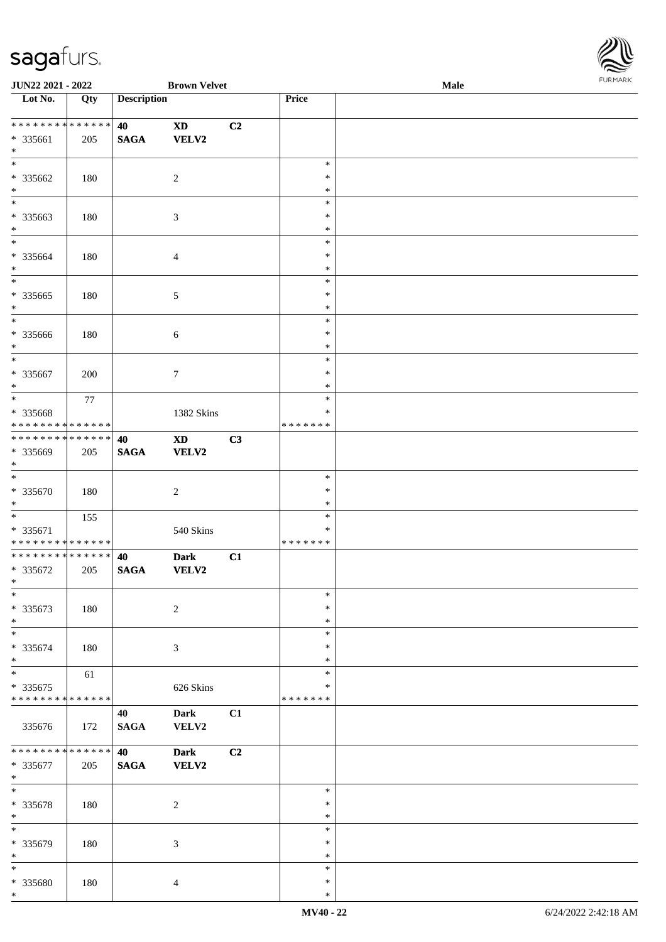

| JUN22 2021 - 2022                  |     |                    | <b>Brown Velvet</b>        |                |                  | Male | 10111111111 |
|------------------------------------|-----|--------------------|----------------------------|----------------|------------------|------|-------------|
| $\overline{\phantom{1}}$ Lot No.   | Qty | <b>Description</b> |                            |                | Price            |      |             |
|                                    |     |                    |                            |                |                  |      |             |
| * * * * * * * * * * * * * *        |     | 40                 | $\boldsymbol{\mathrm{XD}}$ | C2             |                  |      |             |
| * 335661                           | 205 | <b>SAGA</b>        | <b>VELV2</b>               |                |                  |      |             |
| $\ast$                             |     |                    |                            |                |                  |      |             |
| $\ast$                             |     |                    |                            |                | $\ast$           |      |             |
| * 335662                           | 180 |                    | $\sqrt{2}$                 |                | $\ast$           |      |             |
| $\ast$<br>$\overline{\phantom{0}}$ |     |                    |                            |                | $\ast$           |      |             |
|                                    |     |                    |                            |                | $\ast$           |      |             |
| * 335663                           | 180 |                    | $\mathfrak{Z}$             |                | $\ast$           |      |             |
| $\ast$<br>$*$                      |     |                    |                            |                | $\ast$           |      |             |
|                                    |     |                    |                            |                | $\ast$           |      |             |
| * 335664                           | 180 |                    | $\overline{4}$             |                | $\ast$           |      |             |
| $\ast$<br>$\overline{\phantom{0}}$ |     |                    |                            |                | $\ast$           |      |             |
|                                    |     |                    |                            |                | $\ast$           |      |             |
| $*335665$<br>$\ast$                | 180 |                    | 5                          |                | $\ast$<br>$\ast$ |      |             |
| $\overline{\ast}$                  |     |                    |                            |                | $\ast$           |      |             |
|                                    |     |                    |                            |                | $\ast$           |      |             |
| * 335666<br>$\ast$                 | 180 |                    | $\sqrt{6}$                 |                | $\ast$           |      |             |
| $\ast$                             |     |                    |                            |                | $\ast$           |      |             |
| * 335667                           | 200 |                    | $\tau$                     |                | $\ast$           |      |             |
| $\ast$                             |     |                    |                            |                | *                |      |             |
| $\ast$                             | 77  |                    |                            |                | $\ast$           |      |             |
| * 335668                           |     |                    | 1382 Skins                 |                | ∗                |      |             |
| * * * * * * * * * * * * * *        |     |                    |                            |                | * * * * * * *    |      |             |
| * * * * * * * * * * * * * *        |     | 40                 | $\mathbf{X}\mathbf{D}$     | C3             |                  |      |             |
| * 335669                           | 205 | $\mathbf{SAGA}$    | VELV2                      |                |                  |      |             |
| $*$                                |     |                    |                            |                |                  |      |             |
| $*$                                |     |                    |                            |                | $\ast$           |      |             |
| $* 335670$                         | 180 |                    | $\overline{c}$             |                | $\ast$           |      |             |
| $\ast$                             |     |                    |                            |                | $\ast$           |      |             |
| $\ast$                             | 155 |                    |                            |                | $\ast$           |      |             |
| $* 335671$                         |     |                    | 540 Skins                  |                | $\ast$           |      |             |
| * * * * * * * * * * * * * *        |     |                    |                            |                | * * * * * * *    |      |             |
| ******** <mark>******</mark>       |     | 40                 | <b>Dark</b>                | C1             |                  |      |             |
| * 335672                           | 205 | <b>SAGA</b>        | <b>VELV2</b>               |                |                  |      |             |
| $*$                                |     |                    |                            |                |                  |      |             |
| $\ast$                             |     |                    |                            |                | $\ast$           |      |             |
| * 335673                           | 180 |                    | $\overline{c}$             |                | $\ast$           |      |             |
| $\ast$                             |     |                    |                            |                | $\ast$           |      |             |
| $\ast$                             |     |                    |                            |                | $\ast$           |      |             |
| * 335674                           | 180 |                    | 3                          |                | $\ast$           |      |             |
| $\ast$                             |     |                    |                            |                | $\ast$           |      |             |
| $\ast$                             | 61  |                    |                            |                | $\ast$           |      |             |
| $*335675$                          |     |                    | 626 Skins                  |                | ∗                |      |             |
| ******** <mark>******</mark>       |     |                    |                            |                | * * * * * * *    |      |             |
|                                    |     | 40                 | <b>Dark</b>                | C1             |                  |      |             |
| 335676                             | 172 | $\mathbf{SAGA}$    | VELV2                      |                |                  |      |             |
|                                    |     |                    |                            |                |                  |      |             |
| * * * * * * * * * * * * * *        |     | 40                 | <b>Dark</b>                | C <sub>2</sub> |                  |      |             |
| * 335677                           | 205 | $\mathbf{SAGA}$    | <b>VELV2</b>               |                |                  |      |             |
| $*$                                |     |                    |                            |                |                  |      |             |
| $*$                                |     |                    |                            |                | $\ast$           |      |             |
| $* 335678$                         | 180 |                    | $\sqrt{2}$                 |                | $\ast$           |      |             |
| $*$<br>$\ast$                      |     |                    |                            |                | $\ast$<br>$\ast$ |      |             |
|                                    |     |                    |                            |                | $\ast$           |      |             |
| * 335679<br>$\ast$                 | 180 |                    | 3                          |                | $\ast$           |      |             |
| $\ast$                             |     |                    |                            |                | $\ast$           |      |             |
| * 335680                           | 180 |                    | $\overline{4}$             |                | $\ast$           |      |             |
| $*$                                |     |                    |                            |                | $\ast$           |      |             |
|                                    |     |                    |                            |                |                  |      |             |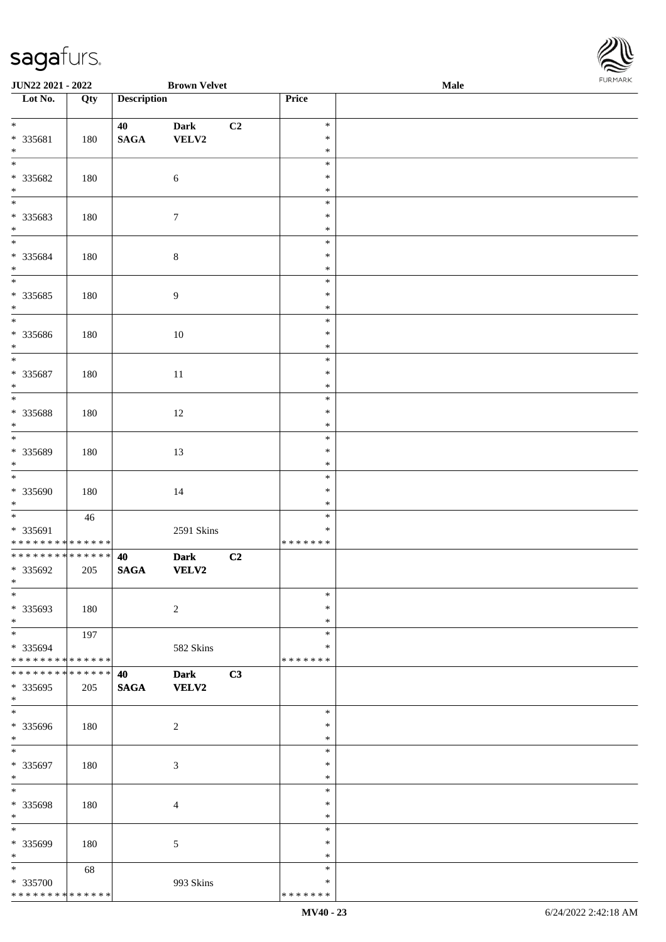

| JUN22 2021 - 2022                          |     |                    | <b>Brown Velvet</b> |    |               | <b>Male</b> |  |
|--------------------------------------------|-----|--------------------|---------------------|----|---------------|-------------|--|
| Lot No.                                    | Qty | <b>Description</b> |                     |    | Price         |             |  |
|                                            |     |                    |                     |    |               |             |  |
| $*$                                        |     | 40                 | <b>Dark</b>         | C2 | $\ast$        |             |  |
| * 335681                                   | 180 | $\mathbf{SAGA}$    | VELV2               |    | $\ast$        |             |  |
| $\ast$                                     |     |                    |                     |    | $\ast$        |             |  |
| $\overline{\phantom{0}}$                   |     |                    |                     |    | $\ast$        |             |  |
|                                            |     |                    |                     |    |               |             |  |
| * 335682                                   | 180 |                    | $\sqrt{6}$          |    | $\ast$        |             |  |
| $\ast$                                     |     |                    |                     |    | $\ast$        |             |  |
| $\overline{\phantom{0}}$                   |     |                    |                     |    | $\ast$        |             |  |
| * 335683                                   | 180 |                    | $\boldsymbol{7}$    |    | $\ast$        |             |  |
| $\ast$                                     |     |                    |                     |    | $\ast$        |             |  |
| $\overline{\phantom{0}}$                   |     |                    |                     |    | $\ast$        |             |  |
| * 335684                                   | 180 |                    | $\,8\,$             |    | $\ast$        |             |  |
| $\ast$                                     |     |                    |                     |    | $\ast$        |             |  |
| $\overline{\phantom{a}^*}$                 |     |                    |                     |    | $\ast$        |             |  |
| $*335685$                                  |     |                    |                     |    | $\ast$        |             |  |
|                                            | 180 |                    | $\boldsymbol{9}$    |    |               |             |  |
| $\ast$<br>$\overline{\phantom{a}^*}$       |     |                    |                     |    | $\ast$        |             |  |
|                                            |     |                    |                     |    | $\ast$        |             |  |
| * 335686                                   | 180 |                    | 10                  |    | $\ast$        |             |  |
| $\ast$                                     |     |                    |                     |    | $\ast$        |             |  |
| $_{*}$                                     |     |                    |                     |    | $\ast$        |             |  |
| * 335687                                   | 180 |                    | 11                  |    | $\ast$        |             |  |
| $\ast$                                     |     |                    |                     |    | $\ast$        |             |  |
| $\ast$                                     |     |                    |                     |    | $\ast$        |             |  |
| * 335688                                   | 180 |                    | 12                  |    | $\ast$        |             |  |
| $\ast$                                     |     |                    |                     |    | $\ast$        |             |  |
| $\overline{\ast}$                          |     |                    |                     |    | $\ast$        |             |  |
|                                            |     |                    |                     |    | $\ast$        |             |  |
| * 335689                                   | 180 |                    | 13                  |    |               |             |  |
| $\ast$<br>$\overline{\phantom{a}^*}$       |     |                    |                     |    | $\ast$        |             |  |
|                                            |     |                    |                     |    | $\ast$        |             |  |
| * 335690                                   | 180 |                    | 14                  |    | $\ast$        |             |  |
| $*$                                        |     |                    |                     |    | $\ast$        |             |  |
| $\overline{\ast}$                          | 46  |                    |                     |    | $\ast$        |             |  |
| * 335691                                   |     |                    | 2591 Skins          |    | $\ast$        |             |  |
| * * * * * * * * * * * * * *                |     |                    |                     |    | * * * * * * * |             |  |
| **************                             |     | 40                 | <b>Dark</b>         | C2 |               |             |  |
| * 335692                                   | 205 | $\mathbf{SAGA}$    | <b>VELV2</b>        |    |               |             |  |
| $*$                                        |     |                    |                     |    |               |             |  |
| $*$                                        |     |                    |                     |    | $\ast$        |             |  |
| * 335693                                   | 180 |                    | $\overline{c}$      |    | $\ast$        |             |  |
| $\ast$                                     |     |                    |                     |    | $\ast$        |             |  |
| $\ast$                                     |     |                    |                     |    |               |             |  |
|                                            | 197 |                    |                     |    | $\ast$        |             |  |
| * 335694                                   |     |                    | 582 Skins           |    | ∗             |             |  |
| ******** <mark>******</mark>               |     |                    |                     |    | * * * * * * * |             |  |
| * * * * * * * * * * * * * * *              |     | 40                 | <b>Dark</b>         | C3 |               |             |  |
| * 335695                                   | 205 | <b>SAGA</b>        | <b>VELV2</b>        |    |               |             |  |
| $*$                                        |     |                    |                     |    |               |             |  |
| $\overline{\phantom{0}}$                   |     |                    |                     |    | $\ast$        |             |  |
| * 335696                                   | 180 |                    | $\sqrt{2}$          |    | ∗             |             |  |
| $*$                                        |     |                    |                     |    | $\ast$        |             |  |
| $\ast$                                     |     |                    |                     |    | $\ast$        |             |  |
| * 335697                                   | 180 |                    | $\mathfrak{Z}$      |    | $\ast$        |             |  |
| $\ast$                                     |     |                    |                     |    | $\ast$        |             |  |
| $\overline{\phantom{a}^*}$                 |     |                    |                     |    | $\ast$        |             |  |
|                                            |     |                    |                     |    |               |             |  |
| * 335698                                   | 180 |                    | $\overline{4}$      |    | $\ast$        |             |  |
| $\ast$                                     |     |                    |                     |    | $\ast$        |             |  |
| $\overline{\phantom{a}^*}$                 |     |                    |                     |    | $\ast$        |             |  |
| * 335699                                   | 180 |                    | 5                   |    | $\ast$        |             |  |
| $\ast$                                     |     |                    |                     |    | $\ast$        |             |  |
| $\ast$                                     | 68  |                    |                     |    | $\ast$        |             |  |
| * 335700                                   |     |                    | 993 Skins           |    | ∗             |             |  |
| * * * * * * * * <mark>* * * * * * *</mark> |     |                    |                     |    | * * * * * * * |             |  |
|                                            |     |                    |                     |    |               |             |  |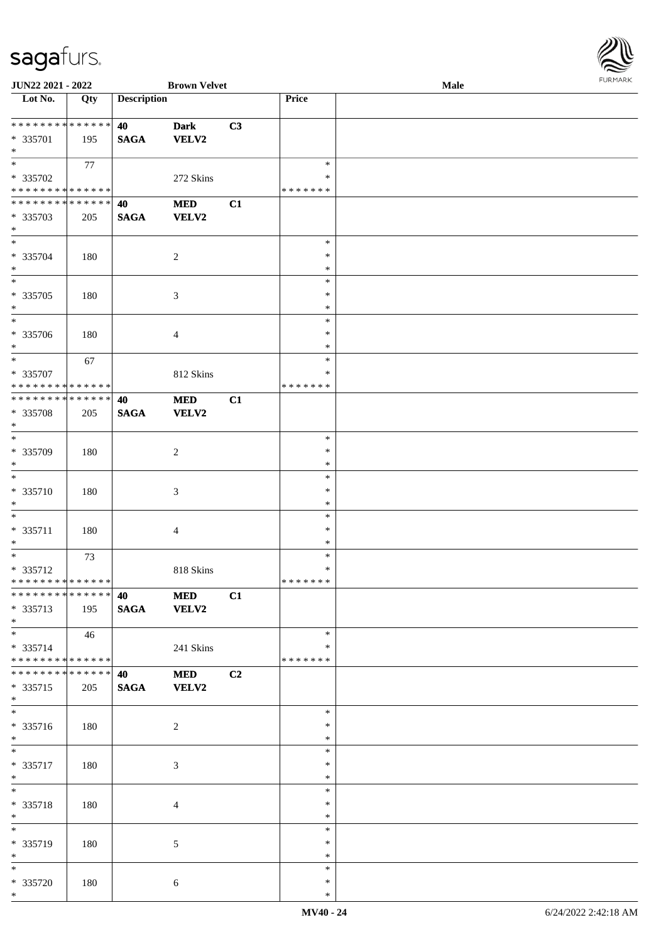

| JUN22 2021 - 2022                 |                   |                    | <b>Brown Velvet</b> |    |               | Male |
|-----------------------------------|-------------------|--------------------|---------------------|----|---------------|------|
| Lot No.                           | $\overline{Q}$ ty | <b>Description</b> |                     |    | Price         |      |
|                                   |                   |                    |                     |    |               |      |
| * * * * * * * * * * * * * *       |                   | 40                 | <b>Dark</b>         | C3 |               |      |
| * 335701                          | 195               | <b>SAGA</b>        | VELV2               |    |               |      |
| $*$                               |                   |                    |                     |    |               |      |
| $\overline{\phantom{0}}$          |                   |                    |                     |    | $\ast$        |      |
|                                   | 77                |                    |                     |    |               |      |
| $* 335702$                        |                   |                    | 272 Skins           |    | ∗             |      |
| * * * * * * * * * * * * * *       |                   |                    |                     |    | * * * * * * * |      |
| * * * * * * * * * * * * * *       |                   | 40                 | $\bf MED$           | C1 |               |      |
| * 335703                          | 205               | <b>SAGA</b>        | VELV2               |    |               |      |
| $\ast$                            |                   |                    |                     |    |               |      |
| $\overline{\ast}$                 |                   |                    |                     |    | $\ast$        |      |
| * 335704                          | 180               |                    | $\overline{c}$      |    | $\ast$        |      |
| $*$                               |                   |                    |                     |    | $\ast$        |      |
| $\overline{\ast}$                 |                   |                    |                     |    | $\ast$        |      |
|                                   |                   |                    |                     |    |               |      |
| $* 335705$                        | 180               |                    | 3                   |    | $\ast$        |      |
| $\ast$                            |                   |                    |                     |    | $\ast$        |      |
| $*$                               |                   |                    |                     |    | $\ast$        |      |
| * 335706                          | 180               |                    | 4                   |    | $\ast$        |      |
| $\ast$                            |                   |                    |                     |    | $\ast$        |      |
| $\ast$                            | 67                |                    |                     |    | $\ast$        |      |
| * 335707                          |                   |                    | 812 Skins           |    | $\ast$        |      |
| * * * * * * * * * * * * * *       |                   |                    |                     |    | *******       |      |
| **************                    |                   | 40                 | <b>MED</b>          | C1 |               |      |
|                                   |                   |                    |                     |    |               |      |
| * 335708                          | 205               | <b>SAGA</b>        | <b>VELV2</b>        |    |               |      |
| $*$                               |                   |                    |                     |    |               |      |
| $*$                               |                   |                    |                     |    | $\ast$        |      |
| * 335709                          | 180               |                    | $\boldsymbol{2}$    |    | $\ast$        |      |
| $*$                               |                   |                    |                     |    | $\ast$        |      |
| $\ast$                            |                   |                    |                     |    | $\ast$        |      |
| $* 335710$                        | 180               |                    | $\mathfrak{Z}$      |    | $\ast$        |      |
| $*$                               |                   |                    |                     |    | $\ast$        |      |
| $\ast$                            |                   |                    |                     |    | $\ast$        |      |
|                                   |                   |                    |                     |    | $\ast$        |      |
| * 335711                          | 180               |                    | 4                   |    |               |      |
| $*$                               |                   |                    |                     |    | $\ast$        |      |
| $*$                               | 73                |                    |                     |    | $\ast$        |      |
| * 335712                          |                   |                    | 818 Skins           |    | $\ast$        |      |
| ******** <mark>******</mark>      |                   |                    |                     |    | *******       |      |
| ******** <mark>******</mark>      |                   | 40                 | <b>MED</b>          | C1 |               |      |
| * 335713                          | 195               | <b>SAGA</b>        | VELV2               |    |               |      |
| $*$                               |                   |                    |                     |    |               |      |
| $\overline{\ast}$                 | 46                |                    |                     |    | $\ast$        |      |
| * 335714                          |                   |                    |                     |    | ∗             |      |
| * * * * * * * * * * * * * * *     |                   |                    | 241 Skins           |    | * * * * * * * |      |
|                                   |                   |                    |                     |    |               |      |
| * * * * * * * * * * * * * * *     |                   | 40                 | $\bf MED$           | C2 |               |      |
| * 335715                          | 205               | <b>SAGA</b>        | VELV2               |    |               |      |
| $*$                               |                   |                    |                     |    |               |      |
| $\overline{\phantom{0}}$          |                   |                    |                     |    | $\ast$        |      |
| * 335716                          | 180               |                    | $\overline{c}$      |    | $\ast$        |      |
| $*$                               |                   |                    |                     |    | $\ast$        |      |
|                                   |                   |                    |                     |    | $\ast$        |      |
| * 335717                          | 180               |                    | $\mathfrak{Z}$      |    | $\ast$        |      |
| $*$                               |                   |                    |                     |    | $\ast$        |      |
| $*$                               |                   |                    |                     |    | $\ast$        |      |
|                                   |                   |                    |                     |    |               |      |
| * 335718                          | 180               |                    | $\overline{4}$      |    | $\ast$        |      |
| $*$<br>$\overline{\phantom{a}^*}$ |                   |                    |                     |    | $\ast$        |      |
|                                   |                   |                    |                     |    | $\ast$        |      |
| * 335719                          | 180               |                    | 5                   |    | $\ast$        |      |
| $*$                               |                   |                    |                     |    | $\ast$        |      |
| $*$                               |                   |                    |                     |    | $\ast$        |      |
| * 335720                          | 180               |                    | $\sqrt{6}$          |    | $\ast$        |      |
| $*$                               |                   |                    |                     |    | $\ast$        |      |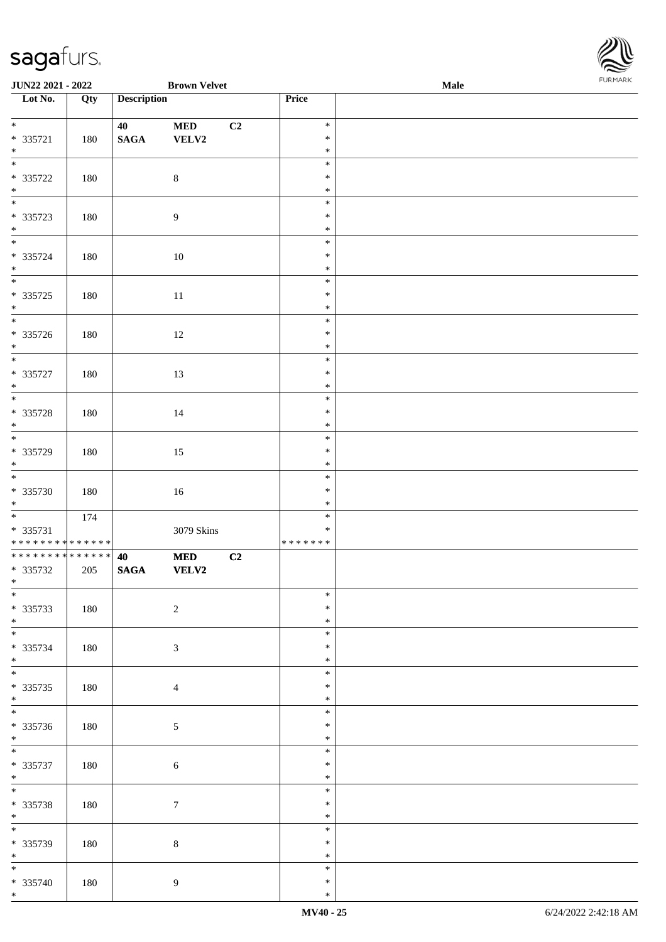\*

| JUN22 2021 - 2022                          |         |                    | <b>Brown Velvet</b> |    |                  | Male |  |
|--------------------------------------------|---------|--------------------|---------------------|----|------------------|------|--|
| Lot No.                                    | Qty     | <b>Description</b> |                     |    | Price            |      |  |
|                                            |         |                    |                     |    |                  |      |  |
| $*$                                        |         | 40                 | $\bf MED$           | C2 | $\ast$           |      |  |
| $* 335721$<br>$\ast$                       | 180     | $\mathbf{SAGA}$    | ${\bf VELV2}$       |    | $\ast$           |      |  |
| $\overline{\ast}$                          |         |                    |                     |    | $\ast$<br>$\ast$ |      |  |
| $* 335722$                                 | 180     |                    | $\,8\,$             |    | $\ast$           |      |  |
| $\ast$                                     |         |                    |                     |    | $\ast$           |      |  |
|                                            |         |                    |                     |    | $\ast$           |      |  |
| $* 335723$                                 | 180     |                    | $\boldsymbol{9}$    |    | $\ast$           |      |  |
| $*$                                        |         |                    |                     |    | $\ast$           |      |  |
| $\overline{\phantom{0}}$                   |         |                    |                     |    | $\ast$           |      |  |
| $* 335724$                                 | 180     |                    | $10\,$              |    | $\ast$           |      |  |
| $*$                                        |         |                    |                     |    | $\ast$           |      |  |
| $\overline{\phantom{0}}$                   |         |                    |                     |    | $\ast$           |      |  |
| $* 335725$                                 | 180     |                    | $11\,$              |    | $\ast$           |      |  |
| $*$                                        |         |                    |                     |    | $\ast$           |      |  |
| $\overline{\phantom{0}}$                   |         |                    |                     |    | $\ast$           |      |  |
| $* 335726$                                 | 180     |                    | 12                  |    | $\ast$           |      |  |
| $*$<br>$\overline{\mathbf{r}}$             |         |                    |                     |    | $\ast$           |      |  |
|                                            |         |                    |                     |    | $\ast$           |      |  |
| $* 335727$<br>$*$                          | 180     |                    | 13                  |    | $\ast$           |      |  |
|                                            |         |                    |                     |    | $\ast$<br>$\ast$ |      |  |
| $* 335728$                                 | 180     |                    | 14                  |    | $\ast$           |      |  |
| $*$                                        |         |                    |                     |    | $\ast$           |      |  |
| $\overline{\phantom{0}}$                   |         |                    |                     |    | $\ast$           |      |  |
| * 335729                                   | 180     |                    | 15                  |    | $\ast$           |      |  |
| $*$                                        |         |                    |                     |    | $\ast$           |      |  |
| $\overline{\phantom{0}}$                   |         |                    |                     |    | $\ast$           |      |  |
| * 335730                                   | $180\,$ |                    | $16\,$              |    | $\ast$           |      |  |
| $*$                                        |         |                    |                     |    | $\ast$           |      |  |
|                                            | 174     |                    |                     |    | $\ast$           |      |  |
| $* 335731$                                 |         |                    | 3079 Skins          |    | $\ast$           |      |  |
| * * * * * * * * <mark>* * * * * * *</mark> |         |                    |                     |    | * * * * * * *    |      |  |
| ******** <mark>******</mark>               |         | 40                 | <b>MED</b>          | C2 |                  |      |  |
| * 335732                                   | 205     | $\mathbf{SAGA}$    | <b>VELV2</b>        |    |                  |      |  |
| $*$<br>$\ast$                              |         |                    |                     |    | $\ast$           |      |  |
| $* 335733$                                 | 180     |                    | $\sqrt{2}$          |    | $\ast$           |      |  |
| $*$                                        |         |                    |                     |    | $\ast$           |      |  |
| $\overline{\phantom{0}}$                   |         |                    |                     |    | $\ast$           |      |  |
| * 335734                                   | 180     |                    | $\mathfrak{Z}$      |    | $\ast$           |      |  |
| $*$                                        |         |                    |                     |    | $\ast$           |      |  |
| $\overline{\phantom{0}}$                   |         |                    |                     |    | $\ast$           |      |  |
| $* 335735$                                 | 180     |                    | $\overline{4}$      |    | $\ast$           |      |  |
| $*$                                        |         |                    |                     |    | $\ast$           |      |  |
| $\overline{\phantom{0}}$                   |         |                    |                     |    | $\ast$           |      |  |
| $* 335736$                                 | 180     |                    | $\sqrt{5}$          |    | $\ast$           |      |  |
| $*$                                        |         |                    |                     |    | $\ast$           |      |  |
|                                            |         |                    |                     |    | $\ast$           |      |  |
| $* 335737$                                 | 180     |                    | $\sqrt{6}$          |    | $\ast$           |      |  |
| $*$<br>$*$                                 |         |                    |                     |    | $\ast$           |      |  |
|                                            |         |                    |                     |    | $\ast$<br>$\ast$ |      |  |
| $* 335738$<br>$*$                          | 180     |                    | $\boldsymbol{7}$    |    | $\ast$           |      |  |
| $\overline{\ast}$                          |         |                    |                     |    | $\ast$           |      |  |
| $* 335739$                                 | 180     |                    | $8\,$               |    | $\ast$           |      |  |
| $*$                                        |         |                    |                     |    | $\ast$           |      |  |
| $\overline{\ast}$                          |         |                    |                     |    | $\ast$           |      |  |
| * 335740                                   | 180     |                    | $\overline{9}$      |    | $\ast$           |      |  |
| $*$                                        |         |                    |                     |    | $\ast$           |      |  |

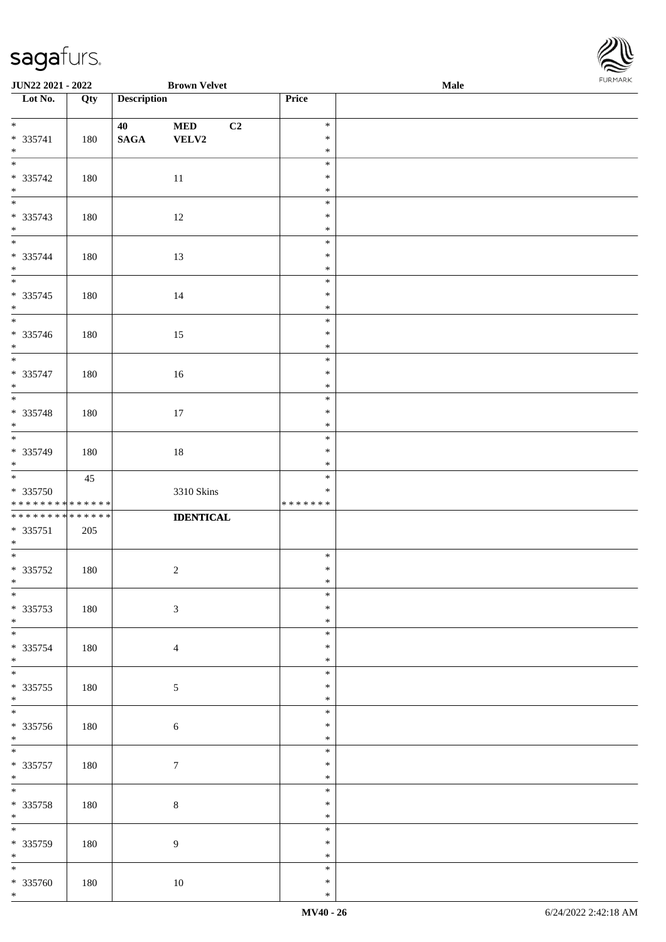| JUN22 2021 - 2022                |         |                    | <b>Brown Velvet</b> |                  | $\bf Male$ | <b>FURITARN</b> |
|----------------------------------|---------|--------------------|---------------------|------------------|------------|-----------------|
| $\overline{\phantom{1}}$ Lot No. | Qty     | <b>Description</b> |                     | Price            |            |                 |
|                                  |         |                    |                     |                  |            |                 |
|                                  |         | 40                 | C2<br><b>MED</b>    | $\ast$           |            |                 |
| $* 335741$                       | 180     | $\mathbf{SAGA}$    | VELV2               | $\ast$           |            |                 |
| $*$                              |         |                    |                     | $\ast$           |            |                 |
|                                  |         |                    |                     | $\ast$           |            |                 |
| $* 335742$                       | 180     |                    | $11\,$              | $\ast$           |            |                 |
| $*$                              |         |                    |                     | $\ast$           |            |                 |
|                                  |         |                    |                     | $\ast$           |            |                 |
| $* 335743$                       | 180     |                    | $12\,$              | $\ast$           |            |                 |
| $*$ $*$                          |         |                    |                     | $\ast$           |            |                 |
|                                  |         |                    |                     | $\ast$           |            |                 |
| $* 335744$                       | 180     |                    | 13                  | $\ast$           |            |                 |
| $*$                              |         |                    |                     | $\ast$           |            |                 |
|                                  |         |                    |                     | $\ast$           |            |                 |
| $* 335745$                       | 180     |                    | 14                  | $\ast$           |            |                 |
| $*$<br>$\overline{\phantom{0}}$  |         |                    |                     | $\ast$           |            |                 |
|                                  |         |                    |                     | $\ast$<br>$\ast$ |            |                 |
| * 335746<br>$*$                  | $180\,$ |                    | 15                  | $\ast$           |            |                 |
| $\overline{\phantom{0}}$         |         |                    |                     | $\ast$           |            |                 |
|                                  |         |                    |                     | $\ast$           |            |                 |
| $* 335747$<br>$*$                | 180     |                    | $16\,$              | $\ast$           |            |                 |
| $\overline{\phantom{0}}$         |         |                    |                     | $\ast$           |            |                 |
|                                  |         |                    |                     | $\ast$           |            |                 |
| * 335748<br>$*$                  | 180     |                    | 17                  | $\ast$           |            |                 |
| $\overline{\phantom{0}}$         |         |                    |                     | $\ast$           |            |                 |
| * 335749                         | 180     |                    | $18\,$              | $\ast$           |            |                 |
| $*$                              |         |                    |                     | $\ast$           |            |                 |
|                                  | 45      |                    |                     | $\ast$           |            |                 |
| * 335750                         |         |                    | 3310 Skins          | $\ast$           |            |                 |
| * * * * * * * * * * * * * *      |         |                    |                     | * * * * * * *    |            |                 |
| ******** <mark>******</mark>     |         |                    | <b>IDENTICAL</b>    |                  |            |                 |
| $* 335751$                       | 205     |                    |                     |                  |            |                 |
| $*$                              |         |                    |                     |                  |            |                 |
|                                  |         |                    |                     | $\ast$           |            |                 |
| $* 335752$                       | 180     |                    | $\sqrt{2}$          | $\ast$           |            |                 |
| $\ast$                           |         |                    |                     | $\star$          |            |                 |
| $*$                              |         |                    |                     | $\ast$           |            |                 |
| $* 335753$                       | 180     |                    | $\sqrt{3}$          | $\ast$           |            |                 |
| $*$                              |         |                    |                     | $\ast$           |            |                 |
| $\overline{\phantom{0}}$         |         |                    |                     | $\ast$           |            |                 |
| * 335754                         | 180     |                    | $\overline{4}$      | $\ast$           |            |                 |
| $*$                              |         |                    |                     | $\ast$           |            |                 |
| $\overline{\phantom{0}}$         |         |                    |                     | $\ast$           |            |                 |
| $* 335755$                       | 180     |                    | $\mathfrak{S}$      | $\ast$           |            |                 |
| $*$                              |         |                    |                     | $\ast$           |            |                 |
|                                  |         |                    |                     | $\ast$           |            |                 |
| * 335756                         | 180     |                    | $\sqrt{6}$          | $\ast$           |            |                 |
| $*$                              |         |                    |                     | $\ast$           |            |                 |
|                                  |         |                    |                     | $\ast$           |            |                 |
| $* 335757$                       | 180     |                    | $7\phantom{.0}$     | $\ast$           |            |                 |
| $*$                              |         |                    |                     | $\ast$           |            |                 |
|                                  |         |                    |                     | $\ast$           |            |                 |
| * 335758                         | 180     |                    | $8\,$               | $\ast$           |            |                 |
| $*$<br>$\overline{\phantom{0}}$  |         |                    |                     | $\ast$           |            |                 |
|                                  |         |                    |                     | $\ast$           |            |                 |
| * 335759                         | 180     |                    | 9                   | $\ast$           |            |                 |
| $*$<br>$\overline{\phantom{0}}$  |         |                    |                     | $\ast$           |            |                 |
|                                  |         |                    |                     | $\ast$           |            |                 |
| $* 335760$                       | 180     |                    | $10\,$              | $\ast$           |            |                 |
| $*$                              |         |                    |                     | $\ast$           |            |                 |

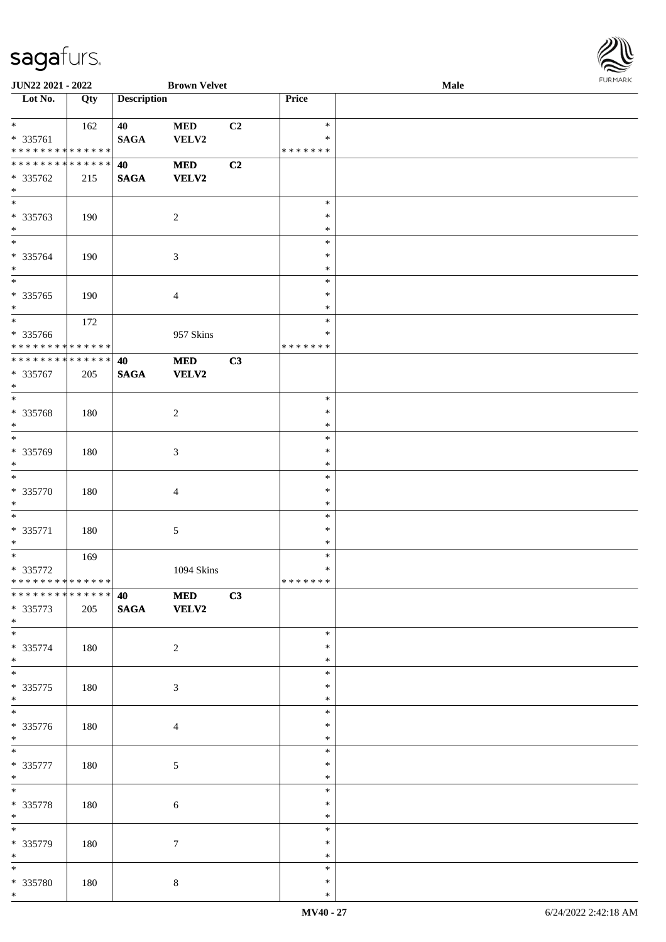

| JUN22 2021 - 2022                        |     |                    | <b>Brown Velvet</b>       |                |                         | Male |  |
|------------------------------------------|-----|--------------------|---------------------------|----------------|-------------------------|------|--|
| Lot No.                                  | Qty | <b>Description</b> |                           |                | Price                   |      |  |
|                                          |     |                    |                           |                |                         |      |  |
| $*$                                      | 162 | 40                 | $\bf MED$                 | C <sub>2</sub> | $\ast$                  |      |  |
| * 335761<br>******** <mark>******</mark> |     | <b>SAGA</b>        | VELV2                     |                | $\ast$<br>* * * * * * * |      |  |
| ******** <mark>******</mark>             |     | 40                 |                           | C2             |                         |      |  |
| * 335762                                 | 215 | <b>SAGA</b>        | $\bf MED$<br><b>VELV2</b> |                |                         |      |  |
| $\ast$                                   |     |                    |                           |                |                         |      |  |
| $\overline{\phantom{0}}$                 |     |                    |                           |                | $\ast$                  |      |  |
| * 335763                                 | 190 |                    | $\sqrt{2}$                |                | $\ast$                  |      |  |
| $\ast$                                   |     |                    |                           |                | $\ast$                  |      |  |
| $\overline{\phantom{0}}$                 |     |                    |                           |                | $\ast$                  |      |  |
| * 335764                                 | 190 |                    | $\mathfrak{Z}$            |                | $\ast$                  |      |  |
| $\ast$                                   |     |                    |                           |                | $\ast$                  |      |  |
| $\overline{\phantom{0}}$                 |     |                    |                           |                | $\ast$                  |      |  |
| $* 335765$                               | 190 |                    | $\overline{4}$            |                | $\ast$                  |      |  |
| $\ast$<br>$\overline{\phantom{0}}$       |     |                    |                           |                | $\ast$                  |      |  |
|                                          | 172 |                    |                           |                | $\ast$                  |      |  |
| * 335766<br>* * * * * * * * * * * * * *  |     |                    | 957 Skins                 |                | $\ast$<br>* * * * * * * |      |  |
| * * * * * * * * * * * * * *              |     | 40                 | $\bf MED$                 | C3             |                         |      |  |
| * 335767                                 | 205 | <b>SAGA</b>        | <b>VELV2</b>              |                |                         |      |  |
| $\ast$                                   |     |                    |                           |                |                         |      |  |
| $\ast$                                   |     |                    |                           |                | $\ast$                  |      |  |
| $* 335768$                               | 180 |                    | $\sqrt{2}$                |                | $\ast$                  |      |  |
| $\ast$                                   |     |                    |                           |                | $\ast$                  |      |  |
| $\overline{\phantom{0}}$                 |     |                    |                           |                | $\ast$                  |      |  |
| * 335769                                 | 180 |                    | $\mathfrak{Z}$            |                | $\ast$                  |      |  |
| $\ast$                                   |     |                    |                           |                | $\ast$                  |      |  |
| $\ast$                                   |     |                    |                           |                | $\ast$                  |      |  |
| $* 335770$                               | 180 |                    | $\overline{4}$            |                | $\ast$                  |      |  |
| $\ast$<br>$\ast$                         |     |                    |                           |                | $\ast$                  |      |  |
| $* 335771$                               |     |                    |                           |                | $\ast$<br>$\ast$        |      |  |
| $\ast$                                   | 180 |                    | $\sqrt{5}$                |                | $\ast$                  |      |  |
| $\overline{\phantom{0}}$                 | 169 |                    |                           |                | $\ast$                  |      |  |
| $* 335772$                               |     |                    | 1094 Skins                |                | $\ast$                  |      |  |
| * * * * * * * * * * * * * *              |     |                    |                           |                | *******                 |      |  |
| ******** <mark>******</mark>             |     | 40                 | $\bf MED$                 | C3             |                         |      |  |
| $* 335773$                               | 205 | $\mathbf{SAGA}$    | VELV2                     |                |                         |      |  |
| $*$                                      |     |                    |                           |                |                         |      |  |
| $\overline{\phantom{0}}$                 |     |                    |                           |                | $\ast$                  |      |  |
| $* 335774$                               | 180 |                    | $\overline{2}$            |                | $\ast$                  |      |  |
| $*$<br>$\overline{\phantom{0}}$          |     |                    |                           |                | $\ast$                  |      |  |
|                                          |     |                    |                           |                | $\ast$<br>∗             |      |  |
| $* 335775$<br>$*$                        | 180 |                    | 3                         |                | $\ast$                  |      |  |
| $\overline{\phantom{0}}$                 |     |                    |                           |                | $\ast$                  |      |  |
| * 335776                                 | 180 |                    | $\overline{4}$            |                | $\ast$                  |      |  |
| $*$                                      |     |                    |                           |                | $\ast$                  |      |  |
| $\overline{\ast}$                        |     |                    |                           |                | $\ast$                  |      |  |
| $* 335777$                               | 180 |                    | $\mathfrak{S}$            |                | $\ast$                  |      |  |
| $*$                                      |     |                    |                           |                | $\ast$                  |      |  |
| $\overline{\phantom{0}}$                 |     |                    |                           |                | $\ast$                  |      |  |
| * 335778                                 | 180 |                    | $\sqrt{6}$                |                | $\ast$                  |      |  |
| $*$<br>$\overline{\ast}$                 |     |                    |                           |                | $\ast$                  |      |  |
|                                          |     |                    |                           |                | $\ast$                  |      |  |
| * 335779<br>$*$                          | 180 |                    | $\boldsymbol{7}$          |                | $\ast$<br>$\ast$        |      |  |
| $\overline{\ast}$                        |     |                    |                           |                | ∗                       |      |  |
| * 335780                                 | 180 |                    | $8\,$                     |                | $\ast$                  |      |  |
| $*$                                      |     |                    |                           |                | $\ast$                  |      |  |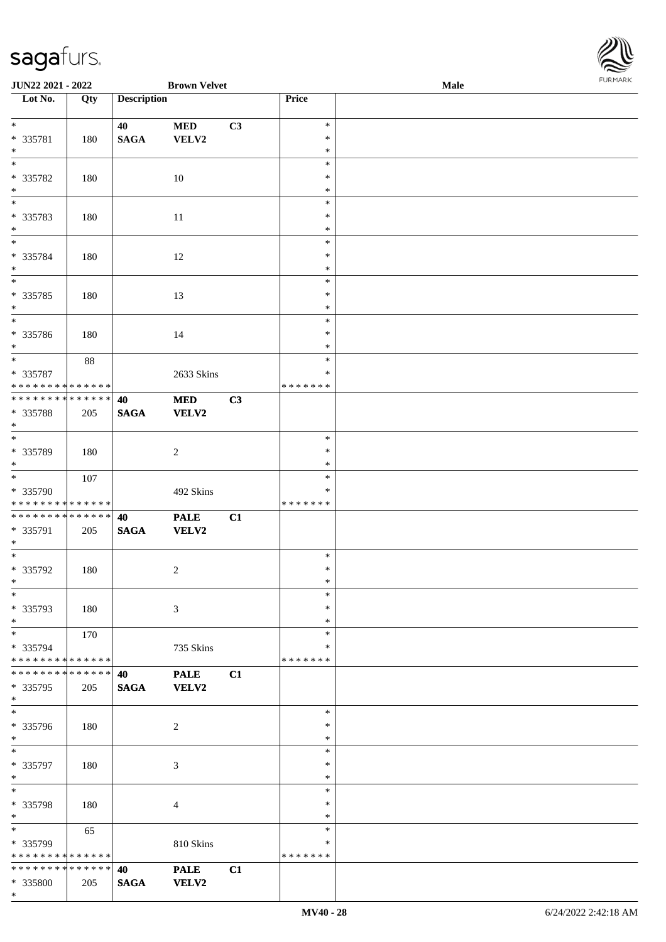\*



| JUN22 2021 - 2022                          |     |                    | <b>Brown Velvet</b> |    |                  | Male | <b>FUNITANN</b> |
|--------------------------------------------|-----|--------------------|---------------------|----|------------------|------|-----------------|
| Lot No.                                    | Qty | <b>Description</b> |                     |    | Price            |      |                 |
|                                            |     |                    |                     |    |                  |      |                 |
| $*$                                        |     | 40                 | <b>MED</b>          | C3 | $\ast$<br>$\ast$ |      |                 |
| * 335781<br>$*$                            | 180 | <b>SAGA</b>        | VELV2               |    | $\ast$           |      |                 |
| $\overline{\phantom{0}}$                   |     |                    |                     |    | $\ast$           |      |                 |
| * 335782                                   | 180 |                    | 10                  |    | $\ast$           |      |                 |
| $*$                                        |     |                    |                     |    | $\ast$           |      |                 |
| $\overline{\phantom{0}}$                   |     |                    |                     |    | $\ast$           |      |                 |
| * 335783                                   | 180 |                    | 11                  |    | $\ast$           |      |                 |
| $*$                                        |     |                    |                     |    | $\ast$           |      |                 |
|                                            |     |                    |                     |    | $\ast$           |      |                 |
| * 335784                                   | 180 |                    | 12                  |    | $\ast$           |      |                 |
| $*$<br>$\overline{\ }$                     |     |                    |                     |    | $\ast$<br>$\ast$ |      |                 |
| * 335785                                   | 180 |                    | 13                  |    | $\ast$           |      |                 |
| $*$                                        |     |                    |                     |    | $\ast$           |      |                 |
|                                            |     |                    |                     |    | $\ast$           |      |                 |
| * 335786                                   | 180 |                    | 14                  |    | $\ast$           |      |                 |
| $*$                                        |     |                    |                     |    | $\ast$           |      |                 |
|                                            | 88  |                    |                     |    | $\ast$           |      |                 |
| * 335787                                   |     |                    | 2633 Skins          |    | $\ast$           |      |                 |
| * * * * * * * * * * * * * *                |     |                    |                     |    | * * * * * * *    |      |                 |
| ____<br>******** <mark>******</mark>       |     | 40                 | <b>MED</b>          | C3 |                  |      |                 |
| * 335788                                   | 205 | <b>SAGA</b>        | <b>VELV2</b>        |    |                  |      |                 |
| $*$                                        |     |                    |                     |    | $\ast$           |      |                 |
| * 335789                                   | 180 |                    | $\overline{2}$      |    | $\ast$           |      |                 |
| $*$                                        |     |                    |                     |    | $\ast$           |      |                 |
|                                            | 107 |                    |                     |    | $\ast$           |      |                 |
| * 335790                                   |     |                    | 492 Skins           |    | ∗                |      |                 |
| * * * * * * * * * * * * * *                |     |                    |                     |    | * * * * * * *    |      |                 |
| * * * * * * * * * * * * * *                |     | 40                 | <b>PALE</b>         | C1 |                  |      |                 |
| * 335791                                   | 205 | <b>SAGA</b>        | <b>VELV2</b>        |    |                  |      |                 |
| $*$<br>$\overline{\ast}$                   |     |                    |                     |    |                  |      |                 |
|                                            |     |                    |                     |    | $\ast$           |      |                 |
| * 335792<br>$*$ $-$                        | 180 |                    | $\overline{2}$      |    | $\ast$<br>$\ast$ |      |                 |
| $\ast$                                     |     |                    |                     |    | $\ast$           |      |                 |
| * 335793                                   | 180 |                    | $\mathfrak{Z}$      |    | $\ast$           |      |                 |
| $*$                                        |     |                    |                     |    | $\ast$           |      |                 |
| $*$                                        | 170 |                    |                     |    | $\ast$           |      |                 |
| * 335794                                   |     |                    | 735 Skins           |    | ∗                |      |                 |
| * * * * * * * * <mark>* * * * * *</mark> * |     |                    |                     |    | * * * * * * *    |      |                 |
| * * * * * * * * * * * * * * *              |     | 40                 | <b>PALE</b>         | C1 |                  |      |                 |
| * 335795                                   | 205 | <b>SAGA</b>        | <b>VELV2</b>        |    |                  |      |                 |
| $\ast$<br>$*$                              |     |                    |                     |    | $\ast$           |      |                 |
| * 335796                                   |     |                    |                     |    | $\ast$           |      |                 |
| $*$                                        | 180 |                    | 2                   |    | $\ast$           |      |                 |
| $*$                                        |     |                    |                     |    | $\ast$           |      |                 |
| * 335797                                   | 180 |                    | $\mathfrak{Z}$      |    | $\ast$           |      |                 |
| $*$                                        |     |                    |                     |    | ∗                |      |                 |
| $*$                                        |     |                    |                     |    | $\ast$           |      |                 |
| * 335798                                   | 180 |                    | $\overline{4}$      |    | $\ast$           |      |                 |
| $*$                                        |     |                    |                     |    | $\ast$           |      |                 |
| $*$                                        | 65  |                    |                     |    | $\ast$           |      |                 |
| * 335799<br>* * * * * * * * * * * * * *    |     |                    | 810 Skins           |    | ∗<br>*******     |      |                 |
| * * * * * * * * * * * * * *                |     | 40                 | <b>PALE</b>         | C1 |                  |      |                 |
| * 335800                                   | 205 | <b>SAGA</b>        | <b>VELV2</b>        |    |                  |      |                 |
|                                            |     |                    |                     |    |                  |      |                 |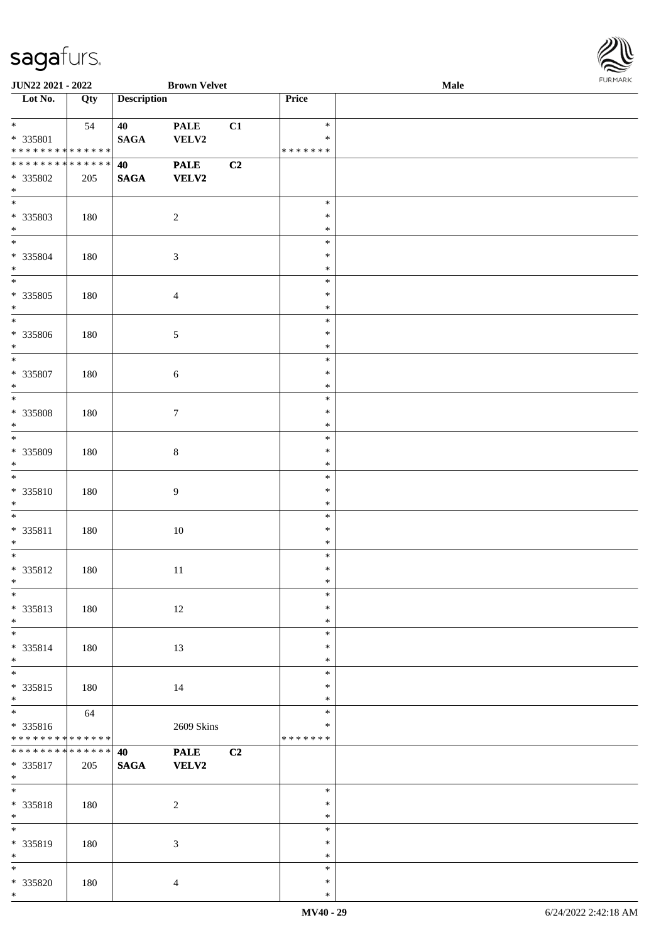

| JUN22 2021 - 2022                                             |     |                       | <b>Brown Velvet</b>         |    |                                   | Male | $1 \times 1 \times 1 \times 1 \times 1$ |
|---------------------------------------------------------------|-----|-----------------------|-----------------------------|----|-----------------------------------|------|-----------------------------------------|
| $\overline{\phantom{1}}$ Lot No.                              | Qty | <b>Description</b>    |                             |    | Price                             |      |                                         |
| $*$<br>* 335801<br>* * * * * * * * <mark>* * * * * * *</mark> | 54  | 40<br><b>SAGA</b>     | <b>PALE</b><br>VELV2        | C1 | $\ast$<br>$\ast$<br>* * * * * * * |      |                                         |
| ******** <mark>******</mark><br>* 335802<br>$*$               | 205 | 40<br><b>SAGA</b>     | <b>PALE</b><br><b>VELV2</b> | C2 |                                   |      |                                         |
| $\overline{\phantom{0}}$<br>* 335803<br>$*$                   | 180 |                       | $\overline{2}$              |    | $\ast$<br>$\ast$<br>$\ast$        |      |                                         |
| $*$<br>* 335804<br>$*$                                        | 180 |                       | $\mathfrak{Z}$              |    | $\ast$<br>$\ast$<br>$\ast$        |      |                                         |
| * 335805<br>$*$                                               | 180 |                       | $\overline{4}$              |    | $\ast$<br>$\ast$<br>$\ast$        |      |                                         |
| $*$<br>* 335806<br>$\ast$                                     | 180 |                       | $\sqrt{5}$                  |    | $\ast$<br>$\ast$<br>$\ast$        |      |                                         |
| $*$<br>* 335807<br>$\ast$                                     | 180 |                       | $\sqrt{6}$                  |    | $\ast$<br>$\ast$<br>$\ast$        |      |                                         |
| $\overline{\phantom{0}}$<br>$* 335808$<br>$*$                 | 180 |                       | $\boldsymbol{7}$            |    | $\ast$<br>$\ast$<br>$\ast$        |      |                                         |
| $\overline{\phantom{0}}$<br>* 335809<br>$*$                   | 180 |                       | $\,8\,$                     |    | $\ast$<br>$\ast$<br>$\ast$        |      |                                         |
| $*$<br>* 335810<br>$*$                                        | 180 |                       | 9                           |    | $\ast$<br>$\ast$<br>$\ast$        |      |                                         |
| $*$<br>* 335811<br>$\ast$                                     | 180 |                       | $10\,$                      |    | $\ast$<br>$\ast$<br>$\ast$        |      |                                         |
| $*$<br>* 335812<br>$*$ $-$                                    | 180 |                       | $11\,$                      |    | $\ast$<br>$\ast$<br>$\ast$        |      |                                         |
| $*$<br>* 335813<br>$*$                                        | 180 |                       | 12                          |    | $\ast$<br>$\ast$<br>$\ast$        |      |                                         |
| $*$<br>* 335814<br>$*$                                        | 180 |                       | 13                          |    | $\ast$<br>$\ast$<br>$\ast$        |      |                                         |
| * 335815<br>$*$                                               | 180 |                       | 14                          |    | $\ast$<br>$\ast$<br>$\ast$        |      |                                         |
| * 335816<br>******** <mark>******</mark>                      | 64  |                       | 2609 Skins                  |    | $\ast$<br>$\ast$<br>* * * * * * * |      |                                         |
| * * * * * * * * * * * * * * *<br>* 335817<br>$*$              | 205 | 40<br>$\mathbf{SAGA}$ | <b>PALE</b><br><b>VELV2</b> | C2 |                                   |      |                                         |
| $*$<br>* 335818<br>$*$                                        | 180 |                       | $\overline{2}$              |    | $\ast$<br>$\ast$<br>$\ast$        |      |                                         |
| $*$<br>* 335819<br>$*$                                        | 180 |                       | $\mathfrak{Z}$              |    | $\ast$<br>$\ast$<br>$\ast$        |      |                                         |
| $*$<br>* 335820<br>$*$                                        | 180 |                       | $\overline{4}$              |    | $\ast$<br>$\ast$<br>$\ast$        |      |                                         |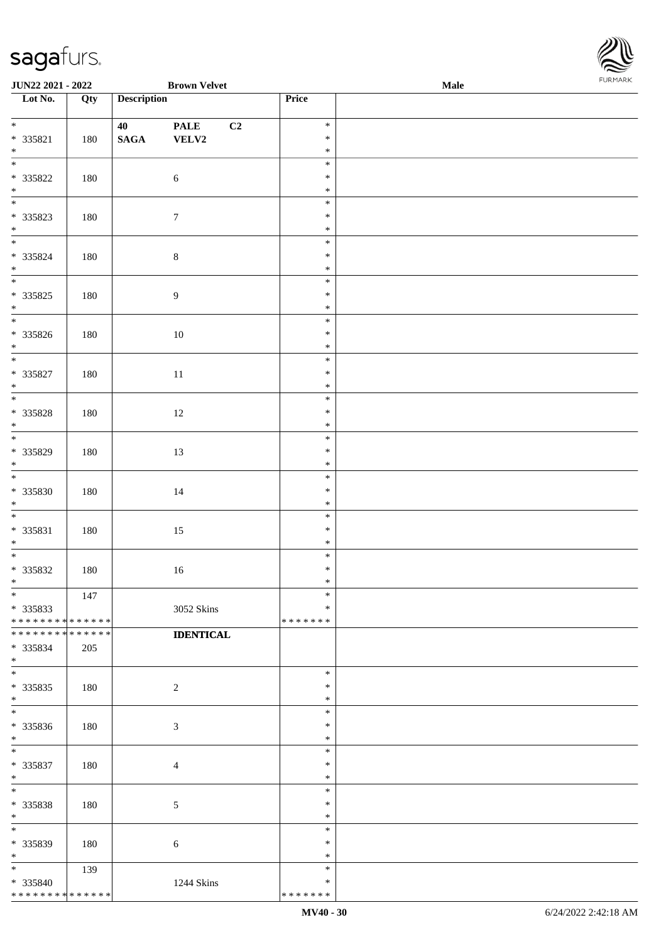| Lot No.                                             | Qty | <b>Description</b>    |                            | <b>Price</b>                      |  |
|-----------------------------------------------------|-----|-----------------------|----------------------------|-----------------------------------|--|
| $*$<br>* 335821<br>$\ast$                           | 180 | 40<br>$\mathbf{SAGA}$ | <b>PALE</b><br>C2<br>VELV2 | $\ast$<br>$\ast$<br>$\ast$        |  |
| $\overline{\phantom{a}^*}$<br>$* 335822$<br>$*$ $*$ | 180 |                       | $\sqrt{6}$                 | $\ast$<br>$\ast$<br>$\ast$        |  |
| * 335823<br>$*$ $*$                                 | 180 |                       | $\boldsymbol{7}$           | $\ast$<br>$\ast$<br>$\ast$        |  |
| $* 335824$<br>$\ast$                                | 180 |                       | $\,8\,$                    | $\ast$<br>$\ast$<br>$\ast$        |  |
| $\overline{\phantom{1}}$<br>$* 335825$<br>$*$ $*$   | 180 |                       | $\overline{9}$             | $\ast$<br>$\ast$<br>$\ast$        |  |
| $* 335826$<br>$\ast$                                | 180 |                       | $10\,$                     | $\ast$<br>$\ast$<br>$\ast$        |  |
| $\overline{\phantom{a}^*}$<br>$* 335827$<br>$\ast$  | 180 |                       | $11\,$                     | $\ast$<br>$\ast$<br>$\ast$        |  |
| $\overline{\ast}$<br>* 335828<br>$*$ $*$            | 180 |                       | 12                         | $\ast$<br>$\ast$<br>$\ast$        |  |
| * 335829<br>$\ast$                                  | 180 |                       | 13                         | $\ast$<br>$\ast$<br>$\ast$        |  |
| $\overline{\phantom{a}^*}$<br>* 335830<br>$\ast$    | 180 |                       | $14\,$                     | $\ast$<br>$\ast$<br>$\ast$        |  |
| $\overline{\phantom{a}^*}$<br>* 335831<br>$\ast$    | 180 |                       | $15\,$                     | $\ast$<br>$\ast$<br>$\ast$        |  |
| $_{*}^{-}$<br>* 335832<br>$*$                       | 180 |                       | $16\,$                     | $\ast$<br>$\ast$<br>$\ast$        |  |
| $\overline{\ast}$<br>* 335833<br>**************     | 147 |                       | 3052 Skins                 | $\ast$<br>$\ast$<br>*******       |  |
| * * * * * * * * * * * * * *<br>* 335834<br>$\ast$   | 205 |                       | <b>IDENTICAL</b>           |                                   |  |
| $\ast$<br>$*335835$<br>$\ast$                       | 180 |                       | $\overline{c}$             | $\ast$<br>∗<br>$\ast$             |  |
| $\ast$<br>* 335836<br>$\ast$                        | 180 |                       | 3                          | $\ast$<br>$\ast$<br>$\ast$        |  |
| $\overline{\phantom{a}}$<br>* 335837<br>$\ast$      | 180 |                       | $\overline{4}$             | $\ast$<br>$\ast$<br>$\ast$        |  |
| $\ast$<br>* 335838<br>$\ast$                        | 180 |                       | 5                          | $\ast$<br>$\ast$<br>$\ast$        |  |
| $\ast$<br>* 335839<br>$\ast$                        | 180 |                       | 6                          | $\ast$<br>$\ast$<br>$\ast$        |  |
| $\ast$<br>* 335840<br>* * * * * * * * * * * * * *   | 139 |                       | 1244 Skins                 | $\ast$<br>$\ast$<br>* * * * * * * |  |

**JUN22 2021 - 2022 Brown Velvet Male**

\* \* \* \* \* \* \*

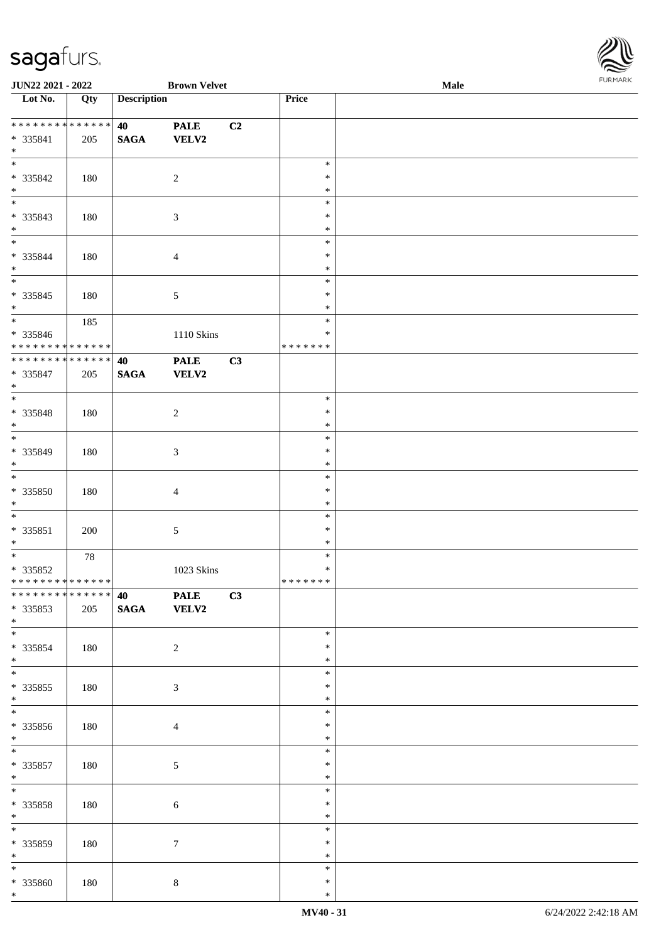

| JUN22 2021 - 2022                          |     |                    | <b>Brown Velvet</b> |    |               | Male |  |
|--------------------------------------------|-----|--------------------|---------------------|----|---------------|------|--|
| Lot No.                                    | Qty | <b>Description</b> |                     |    | Price         |      |  |
|                                            |     |                    |                     |    |               |      |  |
| **************                             |     | 40                 | <b>PALE</b>         | C2 |               |      |  |
| * 335841                                   | 205 | <b>SAGA</b>        | <b>VELV2</b>        |    |               |      |  |
| $*$                                        |     |                    |                     |    |               |      |  |
| $\overline{\ }$                            |     |                    |                     |    | $\ast$        |      |  |
| $* 335842$                                 | 180 |                    | $\sqrt{2}$          |    | ∗             |      |  |
| $\ast$                                     |     |                    |                     |    | $\ast$        |      |  |
| $\overline{\phantom{0}}$                   |     |                    |                     |    | $\ast$        |      |  |
| * 335843                                   | 180 |                    | $\mathfrak{Z}$      |    | $\ast$        |      |  |
| $*$                                        |     |                    |                     |    | $\ast$        |      |  |
| $\overline{\phantom{0}}$                   |     |                    |                     |    | $\ast$        |      |  |
| * 335844                                   | 180 |                    | $\overline{4}$      |    | $\ast$        |      |  |
| $*$                                        |     |                    |                     |    | $\ast$        |      |  |
| $\overline{\phantom{0}}$                   |     |                    |                     |    | $\ast$        |      |  |
| $* 335845$                                 | 180 |                    | $5\,$               |    | $\ast$        |      |  |
| $*$                                        |     |                    |                     |    | $\ast$        |      |  |
| $\overline{\ast}$                          | 185 |                    |                     |    | $\ast$        |      |  |
| * 335846                                   |     |                    | 1110 Skins          |    | $\ast$        |      |  |
| * * * * * * * * * * * * * *                |     |                    |                     |    | * * * * * * * |      |  |
| ******** <mark>******</mark>               |     | 40                 | <b>PALE</b>         | C3 |               |      |  |
| $* 335847$                                 | 205 | <b>SAGA</b>        | <b>VELV2</b>        |    |               |      |  |
| $*$                                        |     |                    |                     |    |               |      |  |
| $\overline{\phantom{0}}$                   |     |                    |                     |    | $\ast$        |      |  |
| * 335848                                   | 180 |                    | $\sqrt{2}$          |    | $\ast$        |      |  |
| $*$                                        |     |                    |                     |    | $\ast$        |      |  |
| $\overline{\ast}$                          |     |                    |                     |    | $\ast$        |      |  |
| * 335849                                   | 180 |                    | 3                   |    | $\ast$        |      |  |
| $*$                                        |     |                    |                     |    | $\ast$        |      |  |
| $\overline{\phantom{0}}$                   |     |                    |                     |    | $\ast$        |      |  |
| $* 335850$                                 | 180 |                    | $\overline{4}$      |    | $\ast$        |      |  |
| $*$                                        |     |                    |                     |    | $\ast$        |      |  |
| $*$                                        |     |                    |                     |    | $\ast$        |      |  |
| $* 335851$                                 | 200 |                    | $5\,$               |    | $\ast$        |      |  |
| $*$                                        |     |                    |                     |    | $\ast$        |      |  |
| $*$                                        | 78  |                    |                     |    | $\ast$        |      |  |
| $* 335852$                                 |     |                    | 1023 Skins          |    | $\ast$        |      |  |
| * * * * * * * * * * * * * *                |     |                    |                     |    | *******       |      |  |
| * * * * * * * * <mark>* * * * * * *</mark> |     | 40 PALE            |                     | C3 |               |      |  |
| * 335853                                   | 205 | SAGA VELV2         |                     |    |               |      |  |
| $*$                                        |     |                    |                     |    |               |      |  |
| $\overline{\ast}$                          |     |                    |                     |    | $\ast$        |      |  |
| * 335854                                   | 180 |                    | $\overline{2}$      |    | ∗             |      |  |
| $*$                                        |     |                    |                     |    | $\ast$        |      |  |
| $\overline{\ast}$                          |     |                    |                     |    | $\ast$        |      |  |
| $*335855$                                  | 180 |                    | $\mathfrak{Z}$      |    | $\ast$        |      |  |
| $*$                                        |     |                    |                     |    | $\ast$        |      |  |
|                                            |     |                    |                     |    | $\ast$        |      |  |
| * 335856                                   | 180 |                    | $\overline{4}$      |    | $\ast$        |      |  |
| $*$                                        |     |                    |                     |    | $\ast$        |      |  |
| $*$                                        |     |                    |                     |    | $\ast$        |      |  |
| $* 335857$                                 | 180 |                    | $5\phantom{.0}$     |    | $\ast$        |      |  |
| $*$                                        |     |                    |                     |    | $\ast$        |      |  |
| $*$                                        |     |                    |                     |    | $\ast$        |      |  |
| $* 335858$                                 | 180 |                    | $\sqrt{6}$          |    | $\ast$        |      |  |
| $*$                                        |     |                    |                     |    | $\ast$        |      |  |
| $\overline{\phantom{0}}$                   |     |                    |                     |    | $\ast$        |      |  |
| $* 335859$                                 | 180 |                    | $\overline{7}$      |    | $\ast$        |      |  |
| $*$                                        |     |                    |                     |    | $\ast$        |      |  |
|                                            |     |                    |                     |    | $\ast$        |      |  |
| $* 335860$                                 | 180 |                    | $8\,$               |    | $\ast$        |      |  |
| $*$                                        |     |                    |                     |    | $\ast$        |      |  |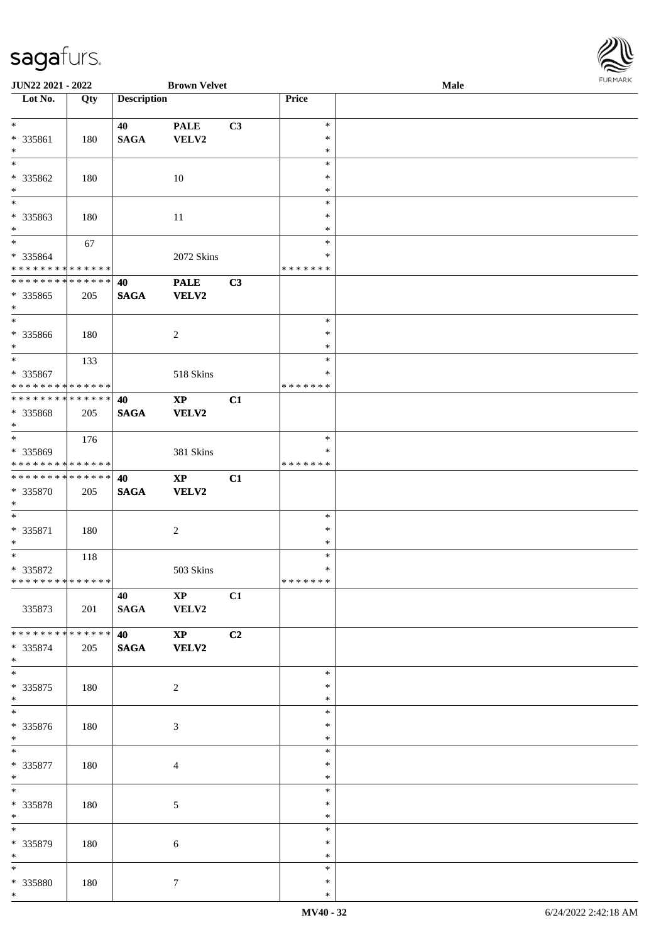| JUN22 2021 - 2022                                                  |     |                       | <b>Brown Velvet</b>                    |                |                                   | Male | <b>FURMAR</b> |
|--------------------------------------------------------------------|-----|-----------------------|----------------------------------------|----------------|-----------------------------------|------|---------------|
| Lot No.                                                            | Qty | <b>Description</b>    |                                        |                | Price                             |      |               |
| $\ast$<br>* 335861<br>$\ast$                                       | 180 | 40<br>$\mathbf{SAGA}$ | <b>PALE</b><br>VELV2                   | C <sub>3</sub> | $\ast$<br>*<br>$\ast$             |      |               |
| $\overline{\phantom{1}}$<br>* 335862<br>$\ast$                     | 180 |                       | $10\,$                                 |                | $\ast$<br>∗<br>$\ast$             |      |               |
| $\overline{\phantom{a}}$<br>* 335863<br>$\ast$                     | 180 |                       | $11\,$                                 |                | $\ast$<br>$\ast$<br>$\ast$        |      |               |
| $\ast$<br>* 335864<br>**************                               | 67  |                       | 2072 Skins                             |                | $\ast$<br>$\ast$<br>* * * * * * * |      |               |
| **************<br>* 335865<br>$\ast$                               | 205 | 40<br><b>SAGA</b>     | <b>PALE</b><br><b>VELV2</b>            | C3             |                                   |      |               |
| $\ast$<br>* 335866<br>$\ast$<br>$\overline{\ast}$                  | 180 |                       | $\overline{c}$                         |                | $\ast$<br>$\ast$<br>$\ast$        |      |               |
| * 335867<br>* * * * * * * * * * * * * *                            | 133 |                       | 518 Skins                              |                | $\ast$<br>∗<br>* * * * * * *      |      |               |
| **************<br>* 335868<br>$\ast$<br>$\overline{\phantom{a}^*}$ | 205 | 40<br><b>SAGA</b>     | $\mathbf{XP}$<br><b>VELV2</b>          | C1             |                                   |      |               |
| * 335869<br>**************                                         | 176 |                       | 381 Skins                              |                | $\ast$<br>$\ast$<br>* * * * * * * |      |               |
| ******** <mark>******</mark><br>* 335870<br>$\ast$                 | 205 | 40<br><b>SAGA</b>     | $\bold{XP}$<br><b>VELV2</b>            | C1             |                                   |      |               |
| $\overline{\phantom{a}}$<br>* 335871<br>$\ast$                     | 180 |                       | $\boldsymbol{2}$                       |                | $\ast$<br>$\ast$<br>$\ast$        |      |               |
| $\ast$<br>* 335872<br>**************                               | 118 |                       | 503 Skins                              |                | $\ast$<br>$\ast$<br>* * * * * * * |      |               |
| 335873                                                             | 201 | 40<br><b>SAGA</b>     | $\mathbf{X}\mathbf{P}$<br>VELV2        | C1             |                                   |      |               |
| **************<br>* 335874<br>$*$                                  | 205 | 40<br><b>SAGA</b>     | $\mathbf{X}\mathbf{P}$<br><b>VELV2</b> | C2             |                                   |      |               |
| $_{*}^{-}$<br>$*335875$<br>$\ast$                                  | 180 |                       | $\overline{c}$                         |                | $\ast$<br>$\ast$<br>$\ast$        |      |               |
| $_{\ast}^{-}$<br>* 335876<br>$\ast$                                | 180 |                       | 3                                      |                | $\ast$<br>$\ast$<br>$\ast$        |      |               |
| $\overline{\phantom{a}^*}$<br>* 335877<br>$*$                      | 180 |                       | 4                                      |                | $\ast$<br>$\ast$<br>$\ast$        |      |               |
| $\ast$<br>* 335878<br>$\ast$                                       | 180 |                       | 5                                      |                | $\ast$<br>$\ast$<br>$\ast$        |      |               |
| $\overline{\phantom{0}}$<br>* 335879<br>$*$                        | 180 |                       | 6                                      |                | $\ast$<br>∗<br>$\ast$             |      |               |
| $\ast$<br>* 335880<br>$*$                                          | 180 |                       | 7                                      |                | $\ast$<br>$\ast$<br>$\ast$        |      |               |

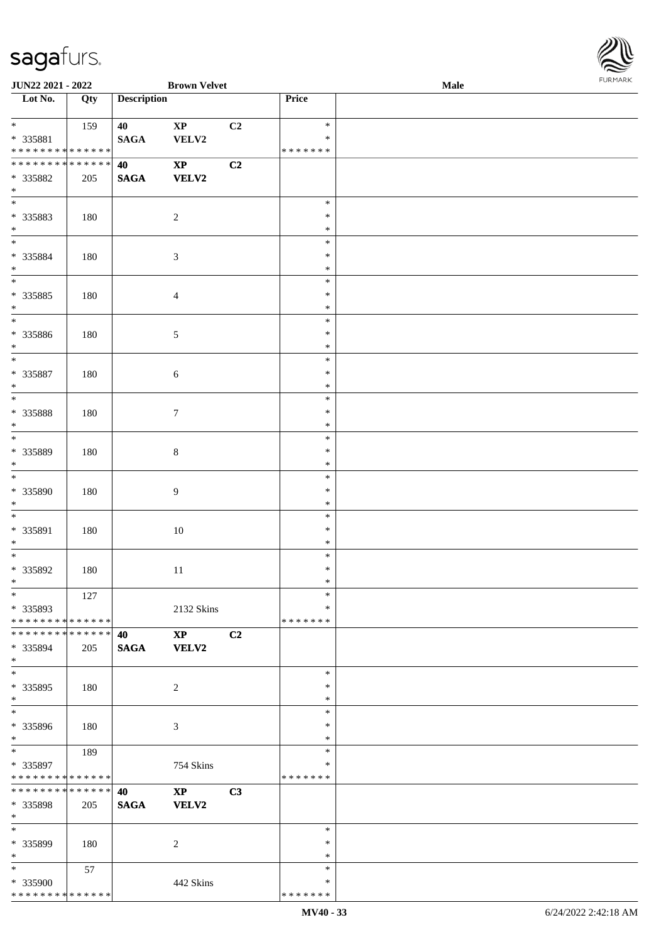

| JUN22 2021 - 2022                                              |     |                    | <b>Brown Velvet</b>    |    |               | Male | . |
|----------------------------------------------------------------|-----|--------------------|------------------------|----|---------------|------|---|
| Lot No.                                                        | Qty | <b>Description</b> |                        |    | Price         |      |   |
|                                                                |     |                    |                        |    |               |      |   |
| $\ast$                                                         | 159 | 40                 | $\bold{XP}$            | C2 | $\ast$        |      |   |
| * 335881                                                       |     | <b>SAGA</b>        | VELV2                  |    | *             |      |   |
| * * * * * * * * * * * * * *                                    |     |                    |                        |    | * * * * * * * |      |   |
| * * * * * * * * * * * * * *                                    |     | 40                 | $\mathbf{XP}$          | C2 |               |      |   |
| * 335882                                                       | 205 | <b>SAGA</b>        | <b>VELV2</b>           |    |               |      |   |
| $\ast$                                                         |     |                    |                        |    |               |      |   |
| $\overline{\phantom{a}^*}$                                     |     |                    |                        |    | $\ast$        |      |   |
| * 335883                                                       | 180 |                    | $\overline{c}$         |    | $\ast$        |      |   |
| $\ast$                                                         |     |                    |                        |    | $\ast$        |      |   |
| $\overline{\ast}$                                              |     |                    |                        |    | $\ast$        |      |   |
| * 335884                                                       | 180 |                    | $\sqrt{3}$             |    | $\ast$        |      |   |
| $\ast$                                                         |     |                    |                        |    | $\ast$        |      |   |
| $\overline{\phantom{a}^*}$                                     |     |                    |                        |    | $\ast$        |      |   |
| * 335885                                                       | 180 |                    | $\overline{4}$         |    | $\ast$        |      |   |
| $\ast$                                                         |     |                    |                        |    | $\ast$        |      |   |
| $\overline{\phantom{1}}$                                       |     |                    |                        |    | $\ast$        |      |   |
| * 335886                                                       | 180 |                    | $\sqrt{5}$             |    | $\ast$        |      |   |
| $\ast$                                                         |     |                    |                        |    | $\ast$        |      |   |
| $\ast$                                                         |     |                    |                        |    | $\ast$        |      |   |
| $* 335887$                                                     | 180 |                    | $\sqrt{6}$             |    | $\ast$        |      |   |
| $\ast$                                                         |     |                    |                        |    | $\ast$        |      |   |
| $\ast$                                                         |     |                    |                        |    | $\ast$        |      |   |
| * 335888                                                       | 180 |                    | $\boldsymbol{7}$       |    | $\ast$        |      |   |
| $\ast$                                                         |     |                    |                        |    | $\ast$        |      |   |
| $\overline{\phantom{a}^*}$                                     |     |                    |                        |    | $\ast$        |      |   |
| * 335889                                                       | 180 |                    | $\,8\,$                |    | $\ast$        |      |   |
| $\ast$                                                         |     |                    |                        |    | $\ast$        |      |   |
| $\ast$                                                         |     |                    |                        |    | $\ast$        |      |   |
| * 335890                                                       | 180 |                    | $\overline{9}$         |    | $\ast$        |      |   |
| $\ast$                                                         |     |                    |                        |    | $\ast$        |      |   |
| $\ast$                                                         |     |                    |                        |    | $\ast$        |      |   |
| * 335891                                                       | 180 |                    | 10                     |    | $\ast$        |      |   |
| $\ast$                                                         |     |                    |                        |    | $\ast$        |      |   |
| $\ast$                                                         |     |                    |                        |    | $\ast$        |      |   |
| * 335892                                                       | 180 |                    | $11\,$                 |    | $\ast$        |      |   |
| $*$                                                            |     |                    |                        |    | $\ast$        |      |   |
| $*$                                                            | 127 |                    |                        |    | $\ast$        |      |   |
| * 335893                                                       |     |                    | 2132 Skins             |    | *             |      |   |
| * * * * * * * * * * * * * * *<br>* * * * * * * * * * * * * * * |     |                    |                        |    | * * * * * * * |      |   |
|                                                                |     | 40                 | $\mathbf{XP}$          | C2 |               |      |   |
| * 335894<br>$*$                                                | 205 | <b>SAGA</b>        | <b>VELV2</b>           |    |               |      |   |
| $\overline{\ast}$                                              |     |                    |                        |    | $\ast$        |      |   |
| * 335895                                                       | 180 |                    | $\overline{c}$         |    | $\ast$        |      |   |
| $*$                                                            |     |                    |                        |    | $\ast$        |      |   |
| $\overline{\phantom{a}^*}$                                     |     |                    |                        |    | $\ast$        |      |   |
| * 335896                                                       | 180 |                    | 3                      |    | ∗             |      |   |
| $*$                                                            |     |                    |                        |    | $\ast$        |      |   |
| $*$                                                            | 189 |                    |                        |    | $\ast$        |      |   |
| * 335897                                                       |     |                    | 754 Skins              |    | *             |      |   |
| * * * * * * * * * * * * * *                                    |     |                    |                        |    | * * * * * * * |      |   |
| ******** <mark>******</mark>                                   |     | 40                 | $\mathbf{X}\mathbf{P}$ | C3 |               |      |   |
| * 335898                                                       | 205 | <b>SAGA</b>        | <b>VELV2</b>           |    |               |      |   |
| $*$                                                            |     |                    |                        |    |               |      |   |
| $*$                                                            |     |                    |                        |    | $\ast$        |      |   |
| * 335899                                                       | 180 |                    | 2                      |    | ∗             |      |   |
| $*$                                                            |     |                    |                        |    | $\ast$        |      |   |
| $*$                                                            | 57  |                    |                        |    | $\ast$        |      |   |
| * 335900                                                       |     |                    | 442 Skins              |    | ∗             |      |   |
| * * * * * * * * * * * * * *                                    |     |                    |                        |    | * * * * * * * |      |   |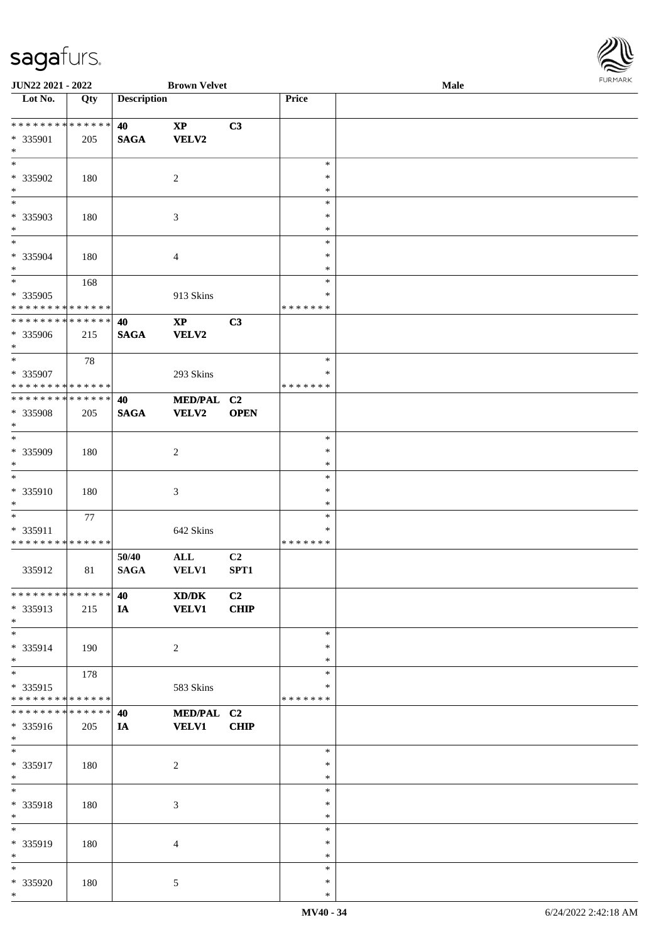

| JUN22 2021 - 2022                |     |                    | <b>Brown Velvet</b>    |             |               | Male | 101111111111 |
|----------------------------------|-----|--------------------|------------------------|-------------|---------------|------|--------------|
| $\overline{\phantom{a}}$ Lot No. | Qty | <b>Description</b> |                        |             | Price         |      |              |
|                                  |     |                    |                        |             |               |      |              |
| **************                   |     | 40                 | $\mathbf{X}\mathbf{P}$ | C3          |               |      |              |
| * 335901                         | 205 | <b>SAGA</b>        | <b>VELV2</b>           |             |               |      |              |
| $\ast$                           |     |                    |                        |             |               |      |              |
| $\ast$                           |     |                    |                        |             | $\ast$        |      |              |
|                                  |     |                    |                        |             |               |      |              |
| * 335902                         | 180 |                    | $\overline{2}$         |             | $\ast$        |      |              |
| $\ast$                           |     |                    |                        |             | $\ast$        |      |              |
| $\overline{\phantom{a}^*}$       |     |                    |                        |             | $\ast$        |      |              |
| * 335903                         | 180 |                    | $\mathfrak{Z}$         |             | $\ast$        |      |              |
| $\ast$                           |     |                    |                        |             | $\ast$        |      |              |
| $_{*}$                           |     |                    |                        |             | $\ast$        |      |              |
| * 335904                         | 180 |                    | $\overline{4}$         |             | $\ast$        |      |              |
| $\ast$                           |     |                    |                        |             | $\ast$        |      |              |
| $\overline{\ast}$                |     |                    |                        |             | $\ast$        |      |              |
|                                  | 168 |                    |                        |             |               |      |              |
| * 335905                         |     |                    | 913 Skins              |             | $\ast$        |      |              |
| * * * * * * * * * * * * * *      |     |                    |                        |             | * * * * * * * |      |              |
| ******** <mark>******</mark>     |     | 40                 | $\bold{XP}$            | C3          |               |      |              |
| * 335906                         | 215 | <b>SAGA</b>        | <b>VELV2</b>           |             |               |      |              |
| $\ast$                           |     |                    |                        |             |               |      |              |
| $\overline{\ast}$                | 78  |                    |                        |             | $\ast$        |      |              |
| * 335907                         |     |                    | 293 Skins              |             | $\ast$        |      |              |
| * * * * * * * * * * * * * * *    |     |                    |                        |             | * * * * * * * |      |              |
|                                  |     |                    |                        |             |               |      |              |
| **************                   |     | 40                 | MED/PAL C2             |             |               |      |              |
| * 335908                         | 205 | <b>SAGA</b>        | <b>VELV2</b>           | <b>OPEN</b> |               |      |              |
| $\ast$                           |     |                    |                        |             |               |      |              |
| $\overline{\ast}$                |     |                    |                        |             | $\ast$        |      |              |
| * 335909                         | 180 |                    | $\overline{c}$         |             | $\ast$        |      |              |
| $\ast$                           |     |                    |                        |             | $\ast$        |      |              |
| $\ast$                           |     |                    |                        |             | $\ast$        |      |              |
| * 335910                         |     |                    |                        |             | $\ast$        |      |              |
|                                  | 180 |                    | $\mathfrak{Z}$         |             |               |      |              |
| $\ast$                           |     |                    |                        |             | $\ast$        |      |              |
| $\ast$                           | 77  |                    |                        |             | $\ast$        |      |              |
| * 335911                         |     |                    | 642 Skins              |             | ∗             |      |              |
| * * * * * * * * * * * * * *      |     |                    |                        |             | * * * * * * * |      |              |
|                                  |     | 50/40              | $\mathbf{ALL}$         | C2          |               |      |              |
| 335912                           | 81  | <b>SAGA</b>        | <b>VELV1</b>           | SPT1        |               |      |              |
|                                  |     |                    |                        |             |               |      |              |
| **************                   |     | 40                 | XD/DK                  | C2          |               |      |              |
|                                  |     |                    |                        |             |               |      |              |
| * 335913                         | 215 | IA                 | <b>VELV1</b>           | <b>CHIP</b> |               |      |              |
| $*$                              |     |                    |                        |             |               |      |              |
| $\ast$                           |     |                    |                        |             | $\ast$        |      |              |
| * 335914                         | 190 |                    | $\overline{2}$         |             | $\ast$        |      |              |
| $\ast$                           |     |                    |                        |             | $\ast$        |      |              |
| $\ast$                           | 178 |                    |                        |             | $\ast$        |      |              |
| * 335915                         |     |                    | 583 Skins              |             | ∗             |      |              |
| * * * * * * * * * * * * * *      |     |                    |                        |             | * * * * * * * |      |              |
| * * * * * * * * * * * * * *      |     | 40                 | MED/PAL C2             |             |               |      |              |
| * 335916                         | 205 | IA                 | <b>VELV1</b>           | <b>CHIP</b> |               |      |              |
|                                  |     |                    |                        |             |               |      |              |
| $*$                              |     |                    |                        |             |               |      |              |
| $\ast$                           |     |                    |                        |             | $\ast$        |      |              |
| * 335917                         | 180 |                    | $\sqrt{2}$             |             | $\ast$        |      |              |
| $*$                              |     |                    |                        |             | $\ast$        |      |              |
| $\ast$                           |     |                    |                        |             | $\ast$        |      |              |
| * 335918                         | 180 |                    | $\mathfrak{Z}$         |             | $\ast$        |      |              |
| $\ast$                           |     |                    |                        |             | $\ast$        |      |              |
| $\overline{\phantom{1}}$         |     |                    |                        |             | $\ast$        |      |              |
|                                  |     |                    |                        |             | $\ast$        |      |              |
| * 335919                         | 180 |                    | 4                      |             |               |      |              |
| $\ast$                           |     |                    |                        |             | $\ast$        |      |              |
| $\ast$                           |     |                    |                        |             | ∗             |      |              |
| * 335920                         | 180 |                    | 5                      |             | $\ast$        |      |              |
| $*$                              |     |                    |                        |             | $\ast$        |      |              |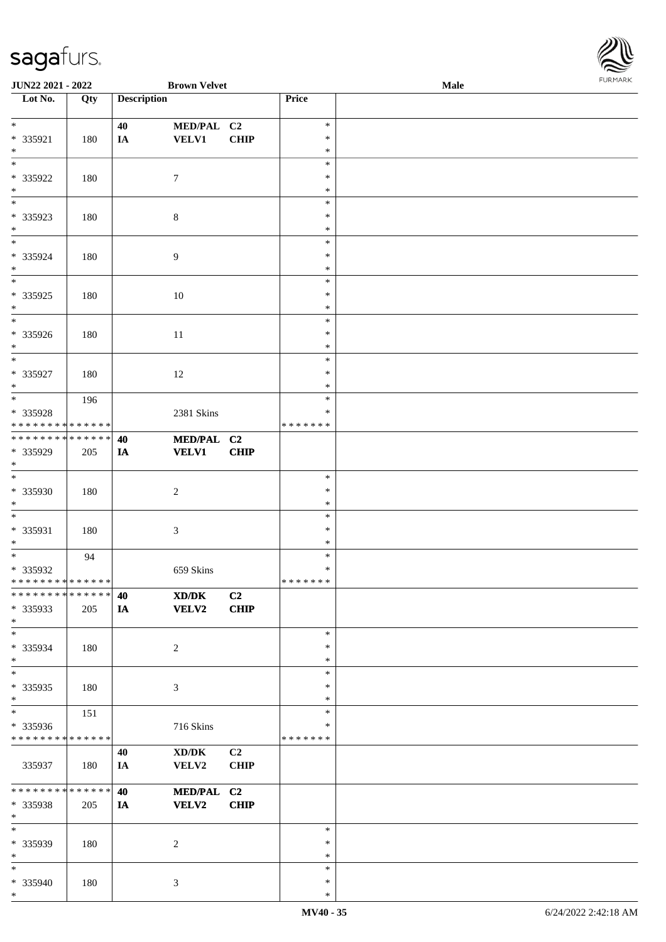

| JUN22 2021 - 2022                |               |                    | <b>Brown Velvet</b>                         |                |               | Male | 10111111111 |
|----------------------------------|---------------|--------------------|---------------------------------------------|----------------|---------------|------|-------------|
| $\overline{\phantom{a}}$ Lot No. | Qty           | <b>Description</b> |                                             |                | Price         |      |             |
|                                  |               |                    |                                             |                |               |      |             |
| $*$                              |               | 40                 | MED/PAL C2                                  |                | $\ast$        |      |             |
| * 335921                         | 180           | $I\!\!A$           | <b>VELV1</b>                                | CHIP           | $\ast$        |      |             |
| $*$                              |               |                    |                                             |                | $\ast$        |      |             |
| $\overline{\phantom{0}}$         |               |                    |                                             |                | $\ast$        |      |             |
| * 335922                         | 180           |                    | $\tau$                                      |                | $\ast$        |      |             |
| $*$                              |               |                    |                                             |                | $\ast$        |      |             |
|                                  |               |                    |                                             |                | $\ast$        |      |             |
| * 335923                         | 180           |                    | $\,8\,$                                     |                | $\ast$        |      |             |
| $*$                              |               |                    |                                             |                | $\ast$        |      |             |
| $*$                              |               |                    |                                             |                | $\ast$        |      |             |
| * 335924                         | 180           |                    | $\boldsymbol{9}$                            |                | $\ast$        |      |             |
| $*$                              |               |                    |                                             |                | $\ast$        |      |             |
| $\overline{\phantom{0}}$         |               |                    |                                             |                | $\ast$        |      |             |
| * 335925                         | 180           |                    | 10                                          |                | $\ast$        |      |             |
| $*$                              |               |                    |                                             |                | $\ast$        |      |             |
| $\overline{\phantom{0}}$         |               |                    |                                             |                | $\ast$        |      |             |
| * 335926                         | 180           |                    | 11                                          |                | $\ast$        |      |             |
| $*$                              |               |                    |                                             |                | $\ast$        |      |             |
| $\overline{\phantom{0}}$         |               |                    |                                             |                | $\ast$        |      |             |
| * 335927                         | 180           |                    | 12                                          |                | $\ast$        |      |             |
| $*$                              |               |                    |                                             |                | ∗             |      |             |
|                                  | 196           |                    |                                             |                | $\ast$        |      |             |
| * 335928                         |               |                    | 2381 Skins                                  |                | $\ast$        |      |             |
| * * * * * * * * * * * * * *      |               |                    |                                             |                | * * * * * * * |      |             |
| * * * * * * * * * * * * * * *    |               | 40                 | MED/PAL C2                                  |                |               |      |             |
| * 335929                         | 205           | IA                 | <b>VELV1</b>                                | <b>CHIP</b>    |               |      |             |
| $*$                              |               |                    |                                             |                |               |      |             |
|                                  |               |                    |                                             |                | $\ast$        |      |             |
| * 335930                         | 180           |                    | $\overline{2}$                              |                | $\ast$        |      |             |
| $*$                              |               |                    |                                             |                | $\ast$        |      |             |
| $*$                              |               |                    |                                             |                | $\ast$        |      |             |
| * 335931                         | 180           |                    | $\mathfrak{Z}$                              |                | $\ast$        |      |             |
| $*$                              |               |                    |                                             |                | $\ast$        |      |             |
| $*$                              | 94            |                    |                                             |                | $\ast$        |      |             |
| * 335932                         |               |                    | 659 Skins                                   |                | $\ast$        |      |             |
| * * * * * * * * * * * * * * *    |               |                    |                                             |                | *******       |      |             |
| * * * * * * * * * * * * * * *    |               | 40                 | $\mathbf{X}\mathbf{D}/\mathbf{D}\mathbf{K}$ | C2             |               |      |             |
| * 335933                         | 205           | IA                 | <b>VELV2</b>                                | CHIP           |               |      |             |
| $*$                              |               |                    |                                             |                |               |      |             |
| $\ast$                           |               |                    |                                             |                | $\ast$        |      |             |
| * 335934                         | 180           |                    | 2                                           |                | $\ast$        |      |             |
| $*$                              |               |                    |                                             |                | $\ast$        |      |             |
| $\ast$                           |               |                    |                                             |                | $\ast$        |      |             |
| * 335935                         | 180           |                    | 3                                           |                | $\ast$        |      |             |
| $*$                              |               |                    |                                             |                | $\ast$        |      |             |
| $*$                              | 151           |                    |                                             |                | $\ast$        |      |             |
| * 335936                         |               |                    | 716 Skins                                   |                | ∗             |      |             |
| * * * * * * * * * * * * * *      |               |                    |                                             |                | *******       |      |             |
|                                  |               | 40                 | XD/DK                                       | C <sub>2</sub> |               |      |             |
| 335937                           | 180           | IA                 | VELV2                                       | <b>CHIP</b>    |               |      |             |
|                                  |               |                    |                                             |                |               |      |             |
| * * * * * * * *                  | * * * * * * * | 40                 | MED/PAL C2                                  |                |               |      |             |
| * 335938                         | 205           | IA                 | <b>VELV2</b>                                | CHIP           |               |      |             |
| $*$                              |               |                    |                                             |                |               |      |             |
| $\ast$                           |               |                    |                                             |                | $\ast$        |      |             |
| * 335939                         | 180           |                    | $\overline{c}$                              |                | $\ast$        |      |             |
| $*$                              |               |                    |                                             |                | $\ast$        |      |             |
| $\ast$                           |               |                    |                                             |                | ∗             |      |             |
| * 335940                         | 180           |                    | 3                                           |                | $\ast$        |      |             |
| $\ast$                           |               |                    |                                             |                | $\ast$        |      |             |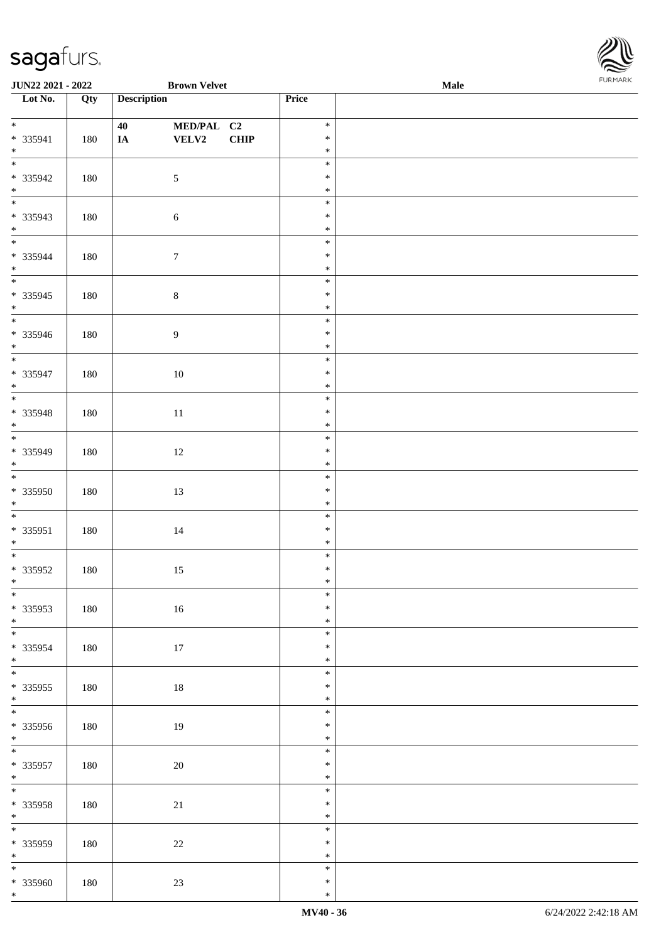

| JUN22 2021 - 2022                             |     | <b>Brown Velvet</b>                   |             |                            | Male |  |
|-----------------------------------------------|-----|---------------------------------------|-------------|----------------------------|------|--|
| $\overline{\phantom{1}}$ Lot No.              | Qty | <b>Description</b>                    |             | Price                      |      |  |
| $*$<br>$* 335941$<br>$*$                      | 180 | MED/PAL C2<br>40<br>VELV2<br>$I\!\!A$ | <b>CHIP</b> | $\ast$<br>$\ast$<br>$\ast$ |      |  |
| $\overline{\ }$<br>* 335942<br>$*$ $*$        | 180 | $\sqrt{5}$                            |             | $\ast$<br>$\ast$<br>$\ast$ |      |  |
| * 335943<br>$*$                               | 180 | $\sqrt{6}$                            |             | $\ast$<br>$\ast$<br>$\ast$ |      |  |
| $* 335944$<br>$*$                             | 180 | $\tau$                                |             | $\ast$<br>$\ast$<br>$\ast$ |      |  |
| $\overline{\phantom{0}}$<br>* 335945<br>$*$   | 180 | $8\,$                                 |             | $\ast$<br>$\ast$<br>$\ast$ |      |  |
| * 335946<br>$*$                               | 180 | $\overline{9}$                        |             | $\ast$<br>$\ast$<br>$\ast$ |      |  |
| $\overline{\ast}$<br>* 335947<br>$*$          | 180 | 10                                    |             | $\ast$<br>$\ast$<br>$\ast$ |      |  |
| $\overline{\phantom{0}}$<br>* 335948<br>$*$   | 180 | 11                                    |             | $\ast$<br>$\ast$<br>$\ast$ |      |  |
| * 335949<br>$*$                               | 180 | 12                                    |             | $\ast$<br>$\ast$<br>$\ast$ |      |  |
| $\overline{\phantom{0}}$<br>* 335950<br>$*$   | 180 | 13                                    |             | $\ast$<br>$\ast$<br>$\ast$ |      |  |
| $\overline{\ }$<br>* 335951<br>$*$            | 180 | $14\,$                                |             | $\ast$<br>$\ast$<br>$\ast$ |      |  |
| $*335952$<br>$*$                              | 180 | 15                                    |             | $\ast$<br>$\ast$<br>$*$    |      |  |
| $*$<br>$* 335953$<br>$*$                      | 180 | 16                                    |             | $\ast$<br>$\ast$<br>$\ast$ |      |  |
| * 335954<br>$*$                               | 180 | 17                                    |             | $\ast$<br>$\ast$<br>$\ast$ |      |  |
| $*$<br>$* 335955$<br>$*$                      | 180 | $18\,$                                |             | $\ast$<br>$\ast$<br>$\ast$ |      |  |
| $* 335956$<br>$*$                             | 180 | 19                                    |             | $\ast$<br>$\ast$<br>$\ast$ |      |  |
| $* 335957$<br>$*$                             | 180 | 20                                    |             | $\ast$<br>$\ast$<br>$\ast$ |      |  |
| $*$<br>* 335958<br>$*$                        | 180 | 21                                    |             | $\ast$<br>$\ast$<br>$\ast$ |      |  |
| $\overline{\phantom{0}}$<br>$* 335959$<br>$*$ | 180 | $22\,$                                |             | $\ast$<br>$\ast$<br>$\ast$ |      |  |
| $*$<br>* 335960<br>$*$                        | 180 | $23\,$                                |             | $\ast$<br>$\ast$<br>$\ast$ |      |  |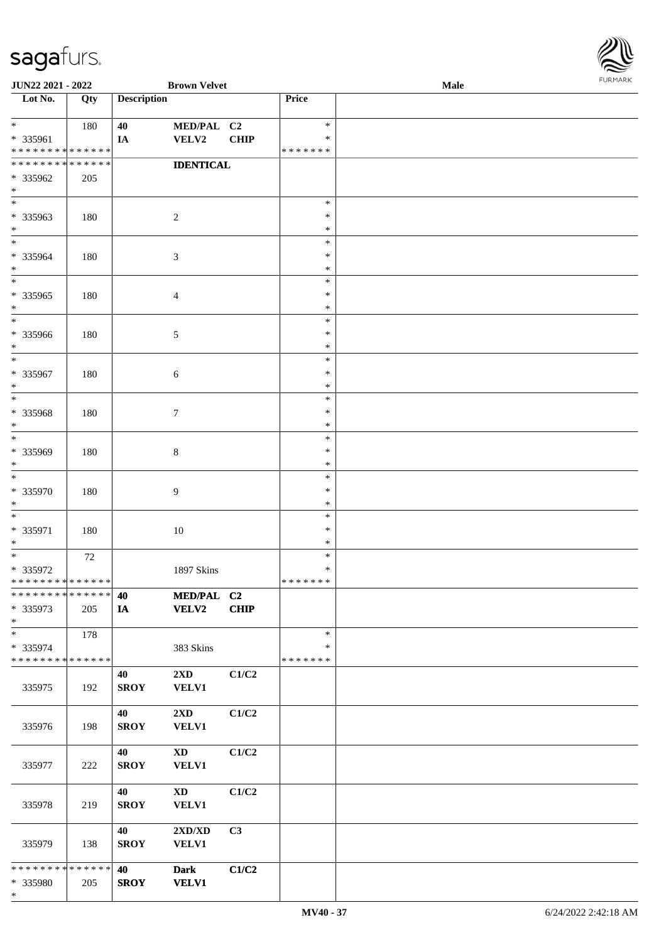

| <b>JUN22 2021 - 2022</b>                   |        |                    | <b>Brown Velvet</b>              |             |               | Male |  |
|--------------------------------------------|--------|--------------------|----------------------------------|-------------|---------------|------|--|
| Lot No.                                    | Qty    | <b>Description</b> |                                  |             | Price         |      |  |
|                                            |        |                    |                                  |             |               |      |  |
| $*$                                        | 180    | 40                 | MED/PAL C2                       |             | $\ast$        |      |  |
| * 335961                                   |        | IA                 | VELV2                            | <b>CHIP</b> | $\ast$        |      |  |
| * * * * * * * * <mark>* * * * * * *</mark> |        |                    |                                  |             | * * * * * * * |      |  |
| * * * * * * * * * * * * * *                |        |                    | <b>IDENTICAL</b>                 |             |               |      |  |
| * 335962                                   | 205    |                    |                                  |             |               |      |  |
| $\ast$                                     |        |                    |                                  |             |               |      |  |
|                                            |        |                    |                                  |             | $\ast$        |      |  |
|                                            |        |                    |                                  |             |               |      |  |
| * 335963                                   | 180    |                    | $\sqrt{2}$                       |             | $\ast$        |      |  |
| $*$                                        |        |                    |                                  |             | $\ast$        |      |  |
| $*$                                        |        |                    |                                  |             | $\ast$        |      |  |
| * 335964                                   | 180    |                    | $\mathfrak{Z}$                   |             | $\ast$        |      |  |
| $*$                                        |        |                    |                                  |             | $\ast$        |      |  |
| $\overline{\ast}$                          |        |                    |                                  |             | $\ast$        |      |  |
| * 335965                                   | 180    |                    | $\overline{4}$                   |             | $\ast$        |      |  |
| $\ast$                                     |        |                    |                                  |             | $\ast$        |      |  |
| $\overline{\phantom{0}}$                   |        |                    |                                  |             | $\ast$        |      |  |
| * 335966                                   | 180    |                    | $\mathfrak{S}$                   |             | $\ast$        |      |  |
| $*$                                        |        |                    |                                  |             | $\ast$        |      |  |
| $*$                                        |        |                    |                                  |             | $\ast$        |      |  |
| * 335967                                   |        |                    |                                  |             | $\ast$        |      |  |
| $*$                                        | 180    |                    | 6                                |             | $\ast$        |      |  |
| $*$                                        |        |                    |                                  |             |               |      |  |
|                                            |        |                    |                                  |             | $\ast$        |      |  |
| * 335968                                   | 180    |                    | $\tau$                           |             | $\ast$        |      |  |
| $*$                                        |        |                    |                                  |             | $\ast$        |      |  |
| $\overline{\ast}$                          |        |                    |                                  |             | $\ast$        |      |  |
| * 335969                                   | 180    |                    | 8                                |             | $\ast$        |      |  |
| $*$                                        |        |                    |                                  |             | $\ast$        |      |  |
| $\overline{\ast}$                          |        |                    |                                  |             | $\ast$        |      |  |
| * 335970                                   | 180    |                    | $\overline{9}$                   |             | $\ast$        |      |  |
| $*$                                        |        |                    |                                  |             | $\ast$        |      |  |
| $\ast$                                     |        |                    |                                  |             | $\ast$        |      |  |
| * 335971                                   | 180    |                    | $10\,$                           |             | $\ast$        |      |  |
| $*$                                        |        |                    |                                  |             | $\ast$        |      |  |
| $*$                                        | $72\,$ |                    |                                  |             | $\ast$        |      |  |
| * 335972                                   |        |                    |                                  |             | $\ast$        |      |  |
| * * * * * * * * <mark>* * * * * * *</mark> |        |                    | 1897 Skins                       |             | *******       |      |  |
| ******** <mark>******</mark>               |        |                    |                                  |             |               |      |  |
|                                            |        | 40                 | MED/PAL C2                       |             |               |      |  |
| * 335973                                   | 205    | IA                 | <b>VELV2</b>                     | CHIP        |               |      |  |
| $*$                                        |        |                    |                                  |             |               |      |  |
| $*$                                        | 178    |                    |                                  |             | $\ast$        |      |  |
| * 335974                                   |        |                    | 383 Skins                        |             | ∗             |      |  |
| * * * * * * * * * * * * * *                |        |                    |                                  |             | * * * * * * * |      |  |
|                                            |        | 40                 | $2\mathbf{X}\mathbf{D}$          | C1/C2       |               |      |  |
| 335975                                     | 192    | <b>SROY</b>        | <b>VELV1</b>                     |             |               |      |  |
|                                            |        |                    |                                  |             |               |      |  |
|                                            |        | 40                 | $2\mathbf{X}\mathbf{D}$          | C1/C2       |               |      |  |
| 335976                                     | 198    | <b>SROY</b>        | VELV1                            |             |               |      |  |
|                                            |        |                    |                                  |             |               |      |  |
|                                            |        |                    |                                  |             |               |      |  |
|                                            |        | 40                 | $\mathbf{X}\mathbf{D}$           | C1/C2       |               |      |  |
| 335977                                     | 222    | <b>SROY</b>        | <b>VELV1</b>                     |             |               |      |  |
|                                            |        |                    |                                  |             |               |      |  |
|                                            |        | 40                 | $\mathbf{X}\mathbf{D}$           | C1/C2       |               |      |  |
| 335978                                     | 219    | <b>SROY</b>        | VELV1                            |             |               |      |  |
|                                            |        |                    |                                  |             |               |      |  |
|                                            |        | 40                 | $2{\bf X}{\bf D}/{\bf X}{\bf D}$ | C3          |               |      |  |
| 335979                                     | 138    | <b>SROY</b>        | <b>VELV1</b>                     |             |               |      |  |
|                                            |        |                    |                                  |             |               |      |  |
| * * * * * * * * <mark>* * * * * *</mark> * |        | 40                 | <b>Dark</b>                      | C1/C2       |               |      |  |
| * 335980                                   | 205    | <b>SROY</b>        | <b>VELV1</b>                     |             |               |      |  |
| $\ast$                                     |        |                    |                                  |             |               |      |  |
|                                            |        |                    |                                  |             |               |      |  |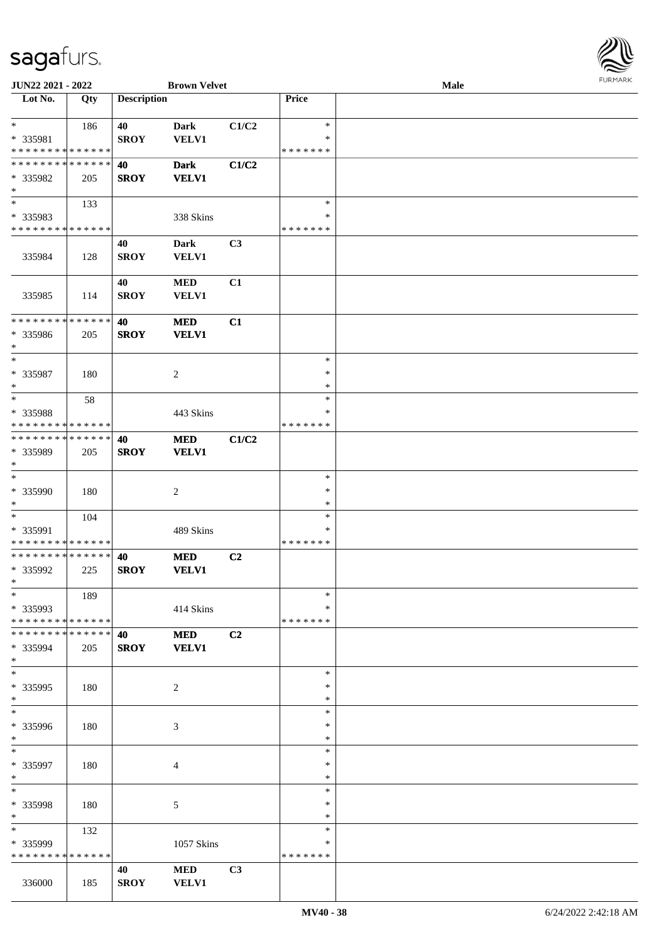

| JUN22 2021 - 2022            |     |                    | <b>Brown Velvet</b> |       |               | Male |  |
|------------------------------|-----|--------------------|---------------------|-------|---------------|------|--|
| Lot No.                      | Qty | <b>Description</b> |                     |       | Price         |      |  |
|                              |     |                    |                     |       |               |      |  |
| $\ast$                       | 186 | 40                 | <b>Dark</b>         | C1/C2 | $\ast$        |      |  |
| * 335981                     |     | <b>SROY</b>        | <b>VELV1</b>        |       | *             |      |  |
| * * * * * * * * * * * * * *  |     |                    |                     |       | * * * * * * * |      |  |
| * * * * * * * * * * * * * *  |     | 40                 | <b>Dark</b>         | C1/C2 |               |      |  |
| * 335982                     | 205 | <b>SROY</b>        | <b>VELV1</b>        |       |               |      |  |
| $\ast$                       |     |                    |                     |       |               |      |  |
| $\overline{\phantom{0}}$     |     |                    |                     |       | $\ast$        |      |  |
|                              | 133 |                    |                     |       |               |      |  |
| * 335983                     |     |                    | 338 Skins           |       | $\ast$        |      |  |
| * * * * * * * * * * * * * *  |     |                    |                     |       | * * * * * * * |      |  |
|                              |     | 40                 | <b>Dark</b>         | C3    |               |      |  |
| 335984                       | 128 | <b>SROY</b>        | <b>VELV1</b>        |       |               |      |  |
|                              |     |                    |                     |       |               |      |  |
|                              |     | 40                 | $\bf MED$           | C1    |               |      |  |
| 335985                       | 114 | <b>SROY</b>        | VELV1               |       |               |      |  |
|                              |     |                    |                     |       |               |      |  |
| ******** <mark>******</mark> |     | 40                 | <b>MED</b>          | C1    |               |      |  |
| * 335986                     | 205 | <b>SROY</b>        | <b>VELV1</b>        |       |               |      |  |
| $\ast$                       |     |                    |                     |       |               |      |  |
| $\ast$                       |     |                    |                     |       | $\ast$        |      |  |
|                              |     |                    |                     |       | $\ast$        |      |  |
| * 335987                     | 180 |                    | $\sqrt{2}$          |       |               |      |  |
| $\ast$                       |     |                    |                     |       | $\ast$        |      |  |
| $\ast$                       | 58  |                    |                     |       | $\ast$        |      |  |
| * 335988                     |     |                    | 443 Skins           |       | *             |      |  |
| * * * * * * * * * * * * * *  |     |                    |                     |       | * * * * * * * |      |  |
| **************               |     | 40                 | <b>MED</b>          | C1/C2 |               |      |  |
| * 335989                     | 205 | <b>SROY</b>        | <b>VELV1</b>        |       |               |      |  |
| $\ast$                       |     |                    |                     |       |               |      |  |
| $\ast$                       |     |                    |                     |       | $\ast$        |      |  |
| * 335990                     | 180 |                    | $\sqrt{2}$          |       | $\ast$        |      |  |
| $\ast$                       |     |                    |                     |       | $\ast$        |      |  |
| $\ast$                       | 104 |                    |                     |       | $\ast$        |      |  |
| * 335991                     |     |                    | 489 Skins           |       | $\ast$        |      |  |
| * * * * * * * * * * * * * *  |     |                    |                     |       | * * * * * * * |      |  |
| **************               |     | 40                 |                     | C2    |               |      |  |
|                              |     |                    | <b>MED</b>          |       |               |      |  |
| * 335992                     | 225 | <b>SROY</b>        | <b>VELV1</b>        |       |               |      |  |
| $*$                          |     |                    |                     |       |               |      |  |
| $*$                          | 189 |                    |                     |       | $\ast$        |      |  |
| * 335993                     |     |                    | 414 Skins           |       | *             |      |  |
| * * * * * * * * * * * * * *  |     |                    |                     |       | * * * * * * * |      |  |
| * * * * * * * * * * * * * *  |     | 40                 | <b>MED</b>          | C2    |               |      |  |
| * 335994                     | 205 | <b>SROY</b>        | <b>VELV1</b>        |       |               |      |  |
| $\ast$                       |     |                    |                     |       |               |      |  |
| $\frac{1}{1}$                |     |                    |                     |       | $\ast$        |      |  |
| * 335995                     | 180 |                    | $\overline{c}$      |       | ∗             |      |  |
| $\ast$                       |     |                    |                     |       | $\ast$        |      |  |
| $\overline{\phantom{a}^*}$   |     |                    |                     |       | $\ast$        |      |  |
| * 335996                     | 180 |                    | $\mathfrak{Z}$      |       | ∗             |      |  |
| $*$                          |     |                    |                     |       | $\ast$        |      |  |
| $\ast$                       |     |                    |                     |       | $\ast$        |      |  |
| * 335997                     | 180 |                    | $\overline{4}$      |       | $\ast$        |      |  |
| $\ast$                       |     |                    |                     |       | $\ast$        |      |  |
| $\ast$                       |     |                    |                     |       | $\ast$        |      |  |
|                              |     |                    |                     |       |               |      |  |
| * 335998                     | 180 |                    | $\sqrt{5}$          |       | $\ast$        |      |  |
| $\ast$                       |     |                    |                     |       | $\ast$        |      |  |
| $\overline{\phantom{a}}$     | 132 |                    |                     |       | $\ast$        |      |  |
| * 335999                     |     |                    | 1057 Skins          |       | *             |      |  |
| * * * * * * * * * * * * * *  |     |                    |                     |       | * * * * * * * |      |  |
|                              |     | 40                 | <b>MED</b>          | C3    |               |      |  |
| 336000                       | 185 | <b>SROY</b>        | <b>VELV1</b>        |       |               |      |  |
|                              |     |                    |                     |       |               |      |  |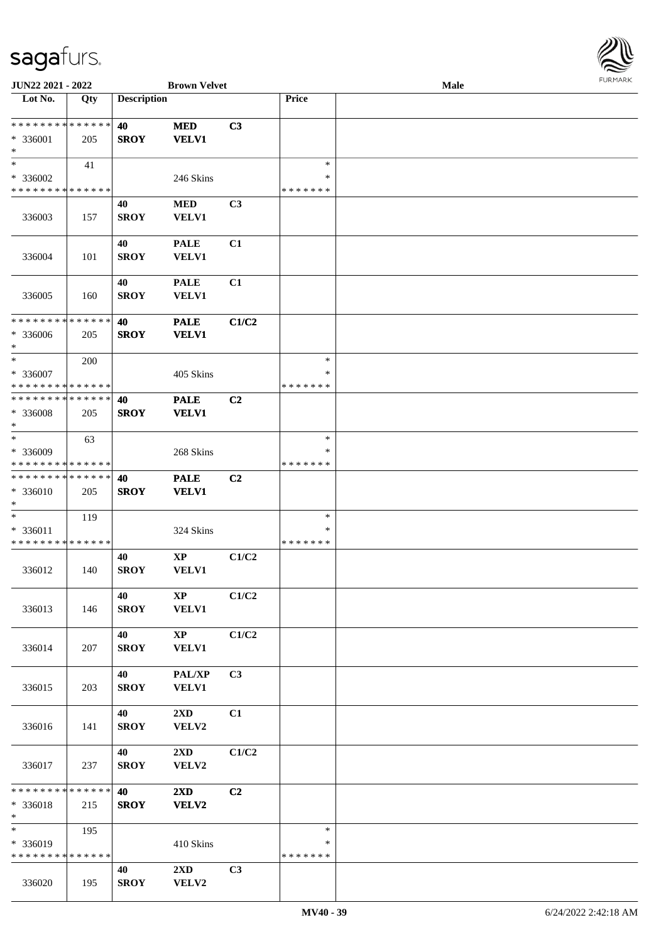

| JUN22 2021 - 2022            |             |                    | <b>Brown Velvet</b>     |                |               | Male |  |
|------------------------------|-------------|--------------------|-------------------------|----------------|---------------|------|--|
| Lot No.                      | Qty         | <b>Description</b> |                         |                | Price         |      |  |
|                              |             |                    |                         |                |               |      |  |
| **************               |             | 40                 | <b>MED</b>              | C3             |               |      |  |
| * 336001                     | 205         | <b>SROY</b>        | <b>VELV1</b>            |                |               |      |  |
| $\ast$                       |             |                    |                         |                |               |      |  |
| $\ast$                       | 41          |                    |                         |                | $\ast$        |      |  |
| * 336002                     |             |                    | 246 Skins               |                | ∗             |      |  |
| * * * * * * * * * * * * * *  |             |                    |                         |                | * * * * * * * |      |  |
|                              |             |                    |                         |                |               |      |  |
|                              |             | 40                 | $\bf MED$               | C3             |               |      |  |
| 336003                       | 157         | <b>SROY</b>        | VELV1                   |                |               |      |  |
|                              |             |                    |                         |                |               |      |  |
|                              |             | 40                 | <b>PALE</b>             | C1             |               |      |  |
| 336004                       | 101         | <b>SROY</b>        | <b>VELV1</b>            |                |               |      |  |
|                              |             |                    |                         |                |               |      |  |
|                              |             | 40                 | <b>PALE</b>             | C1             |               |      |  |
| 336005                       | 160         | <b>SROY</b>        | VELV1                   |                |               |      |  |
|                              |             |                    |                         |                |               |      |  |
| ********                     | * * * * * * | 40                 | <b>PALE</b>             | C1/C2          |               |      |  |
| * 336006                     | 205         | <b>SROY</b>        | <b>VELV1</b>            |                |               |      |  |
| $\ast$                       |             |                    |                         |                |               |      |  |
| $\ast$                       | 200         |                    |                         |                | $\ast$        |      |  |
| $* 336007$                   |             |                    | 405 Skins               |                | ∗             |      |  |
| * * * * * * * * * * * * * *  |             |                    |                         |                | * * * * * * * |      |  |
| * * * * * * * * * * * * * *  |             | 40                 | <b>PALE</b>             | C <sub>2</sub> |               |      |  |
| $*336008$                    | 205         | <b>SROY</b>        | <b>VELV1</b>            |                |               |      |  |
| $\ast$                       |             |                    |                         |                |               |      |  |
| $\ast$                       |             |                    |                         |                | $\ast$        |      |  |
|                              | 63          |                    |                         |                |               |      |  |
| * 336009                     |             |                    | 268 Skins               |                | *             |      |  |
| * * * * * * * * * * * * * *  |             |                    |                         |                | * * * * * * * |      |  |
| * * * * * * * * * * * * * *  |             | 40                 | <b>PALE</b>             | C <sub>2</sub> |               |      |  |
| * 336010                     | 205         | <b>SROY</b>        | <b>VELV1</b>            |                |               |      |  |
| $\ast$                       |             |                    |                         |                |               |      |  |
| $\ast$                       | 119         |                    |                         |                | $\ast$        |      |  |
| * 336011                     |             |                    | 324 Skins               |                | $\ast$        |      |  |
| * * * * * * * * * * * * * *  |             |                    |                         |                | * * * * * * * |      |  |
|                              |             | 40                 | $\bold{XP}$             | C1/C2          |               |      |  |
| 336012                       | 140         | <b>SROY</b>        | <b>VELV1</b>            |                |               |      |  |
|                              |             |                    |                         |                |               |      |  |
|                              |             | 40                 | $\mathbf{X}\mathbf{P}$  | C1/C2          |               |      |  |
| 336013                       | 146         | <b>SROY</b>        | <b>VELV1</b>            |                |               |      |  |
|                              |             |                    |                         |                |               |      |  |
|                              |             | 40                 | $\mathbf{X}\mathbf{P}$  | C1/C2          |               |      |  |
|                              |             |                    |                         |                |               |      |  |
| 336014                       | 207         | <b>SROY</b>        | <b>VELV1</b>            |                |               |      |  |
|                              |             |                    |                         |                |               |      |  |
|                              |             | 40                 | PAL/XP                  | C <sub>3</sub> |               |      |  |
| 336015                       | 203         | <b>SROY</b>        | <b>VELV1</b>            |                |               |      |  |
|                              |             |                    |                         |                |               |      |  |
|                              |             | 40                 | $2\mathbf{X}\mathbf{D}$ | C1             |               |      |  |
| 336016                       | 141         | <b>SROY</b>        | VELV2                   |                |               |      |  |
|                              |             |                    |                         |                |               |      |  |
|                              |             | 40                 | $2\mathbf{X}\mathbf{D}$ | C1/C2          |               |      |  |
| 336017                       | 237         | <b>SROY</b>        | VELV2                   |                |               |      |  |
|                              |             |                    |                         |                |               |      |  |
| ******** <mark>******</mark> |             | 40                 | 2XD                     | C2             |               |      |  |
| * 336018                     | 215         | <b>SROY</b>        | VELV2                   |                |               |      |  |
| $\ast$                       |             |                    |                         |                |               |      |  |
| $\overline{\ast}$            | 195         |                    |                         |                | $\ast$        |      |  |
| * 336019                     |             |                    | 410 Skins               |                | ∗             |      |  |
| * * * * * * * * * * * * * *  |             |                    |                         |                | * * * * * * * |      |  |
|                              |             |                    |                         |                |               |      |  |
|                              |             | 40                 | $2\mathbf{X}\mathbf{D}$ | C3             |               |      |  |
| 336020                       | 195         | <b>SROY</b>        | VELV2                   |                |               |      |  |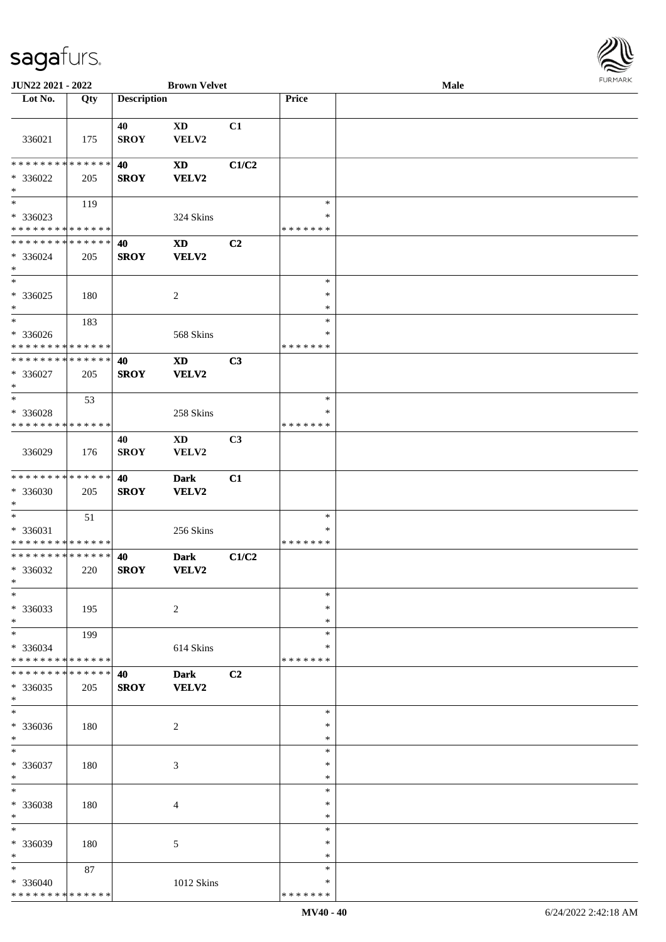

| JUN22 2021 - 2022             |     |                    | <b>Brown Velvet</b> |                |               | Male |
|-------------------------------|-----|--------------------|---------------------|----------------|---------------|------|
| Lot No.                       | Qty | <b>Description</b> |                     |                | Price         |      |
|                               |     |                    |                     |                |               |      |
|                               |     | 40                 | <b>XD</b>           | C1             |               |      |
|                               | 175 | <b>SROY</b>        | VELV2               |                |               |      |
| 336021                        |     |                    |                     |                |               |      |
|                               |     |                    |                     |                |               |      |
| * * * * * * * * * * * * * * * |     | 40                 | <b>XD</b>           | C1/C2          |               |      |
| * 336022                      | 205 | <b>SROY</b>        | VELV2               |                |               |      |
| $\ast$                        |     |                    |                     |                |               |      |
| $\overline{\phantom{0}}$      | 119 |                    |                     |                | $\ast$        |      |
| $* 336023$                    |     |                    | 324 Skins           |                | $\ast$        |      |
| * * * * * * * * * * * * * *   |     |                    |                     |                | * * * * * * * |      |
|                               |     |                    |                     |                |               |      |
| * * * * * * * * * * * * * * * |     | 40                 | <b>XD</b>           | C2             |               |      |
| * 336024                      | 205 | <b>SROY</b>        | VELV2               |                |               |      |
| $\ast$                        |     |                    |                     |                |               |      |
| $*$                           |     |                    |                     |                | $\ast$        |      |
| $* 336025$                    | 180 |                    | $\overline{c}$      |                | $\ast$        |      |
| $*$                           |     |                    |                     |                | $\ast$        |      |
| $\ast$                        |     |                    |                     |                | $\ast$        |      |
|                               | 183 |                    |                     |                |               |      |
| $* 336026$                    |     |                    | 568 Skins           |                | $\ast$        |      |
| * * * * * * * * * * * * * *   |     |                    |                     |                | * * * * * * * |      |
| * * * * * * * * * * * * * *   |     | 40                 | <b>XD</b>           | C3             |               |      |
| $* 336027$                    | 205 | <b>SROY</b>        | VELV2               |                |               |      |
| $\ast$                        |     |                    |                     |                |               |      |
| $*$                           | 53  |                    |                     |                | $\ast$        |      |
|                               |     |                    |                     |                | ∗             |      |
| * 336028                      |     |                    | 258 Skins           |                |               |      |
| * * * * * * * * * * * * * *   |     |                    |                     |                | * * * * * * * |      |
|                               |     | 40                 | <b>XD</b>           | C <sub>3</sub> |               |      |
| 336029                        | 176 | <b>SROY</b>        | VELV2               |                |               |      |
|                               |     |                    |                     |                |               |      |
| * * * * * * * * * * * * * * * |     | 40                 | <b>Dark</b>         | C1             |               |      |
| * 336030                      |     |                    |                     |                |               |      |
|                               | 205 | <b>SROY</b>        | VELV2               |                |               |      |
| $*$                           |     |                    |                     |                |               |      |
| $*$                           | 51  |                    |                     |                | $\ast$        |      |
| * 336031                      |     |                    | 256 Skins           |                | $\ast$        |      |
| * * * * * * * * * * * * * *   |     |                    |                     |                | *******       |      |
| * * * * * * * * * * * * * *   |     | 40                 | <b>Dark</b>         | C1/C2          |               |      |
| * 336032                      | 220 | <b>SROY</b>        | VELV2               |                |               |      |
| $*$                           |     |                    |                     |                |               |      |
| $\ast$                        |     |                    |                     |                |               |      |
|                               |     |                    |                     |                | $\ast$        |      |
| * 336033                      | 195 |                    | $\sqrt{2}$          |                | $\ast$        |      |
| $*$                           |     |                    |                     |                | $\ast$        |      |
| $*$                           | 199 |                    |                     |                | $\ast$        |      |
| * 336034                      |     |                    | 614 Skins           |                | ∗             |      |
| * * * * * * * * * * * * * *   |     |                    |                     |                | * * * * * * * |      |
| * * * * * * * * * * * * * * * |     | 40                 | <b>Dark</b>         | C2             |               |      |
|                               |     |                    |                     |                |               |      |
| * 336035                      | 205 | <b>SROY</b>        | VELV2               |                |               |      |
| $*$                           |     |                    |                     |                |               |      |
| $\ast$                        |     |                    |                     |                | $\ast$        |      |
| * 336036                      | 180 |                    | $\overline{2}$      |                | $\ast$        |      |
| $*$                           |     |                    |                     |                | $\ast$        |      |
| $*$                           |     |                    |                     |                | $\ast$        |      |
| * 336037                      |     |                    |                     |                | $\ast$        |      |
| $*$                           | 180 |                    | $\mathfrak{Z}$      |                | $\ast$        |      |
|                               |     |                    |                     |                |               |      |
| $\ast$                        |     |                    |                     |                | $\ast$        |      |
| * 336038                      | 180 |                    | $\overline{4}$      |                | $\ast$        |      |
| $*$                           |     |                    |                     |                | $\ast$        |      |
| $\ast$                        |     |                    |                     |                | $\ast$        |      |
| * 336039                      | 180 |                    | 5                   |                | $\ast$        |      |
| $*$                           |     |                    |                     |                | $\ast$        |      |
|                               |     |                    |                     |                |               |      |
| $*$                           | 87  |                    |                     |                | $\ast$        |      |
| * 336040                      |     |                    | 1012 Skins          |                | ∗             |      |
| * * * * * * * * * * * * * *   |     |                    |                     |                | * * * * * * * |      |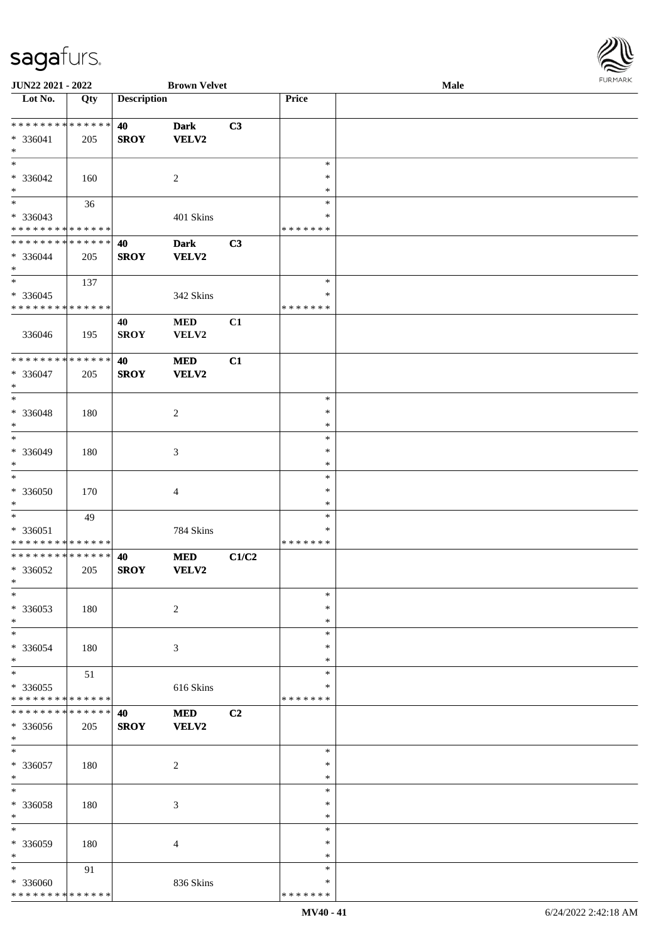| JUN22 2021 - 2022                |                   |                    | <b>Brown Velvet</b>        |       |                  | Male | <b>FURMAR</b> |
|----------------------------------|-------------------|--------------------|----------------------------|-------|------------------|------|---------------|
| Lot No.                          | $\overline{Q}$ ty | <b>Description</b> |                            |       | Price            |      |               |
| **************                   |                   | 40                 | <b>Dark</b>                | C3    |                  |      |               |
| $* 336041$                       | 205               | <b>SROY</b>        | <b>VELV2</b>               |       |                  |      |               |
| $\ast$<br>$\ast$                 |                   |                    |                            |       | $\ast$           |      |               |
| $* 336042$                       | 160               |                    | $\sqrt{2}$                 |       | $\ast$           |      |               |
| $\ast$                           |                   |                    |                            |       | $\ast$           |      |               |
| $\ast$                           | 36                |                    |                            |       | $\ast$           |      |               |
| * 336043                         |                   |                    | 401 Skins                  |       | ∗                |      |               |
| ******** <mark>******</mark>     |                   |                    |                            |       | * * * * * * *    |      |               |
| **************                   |                   | 40                 | <b>Dark</b>                | C3    |                  |      |               |
| $* 336044$<br>$\ast$             | 205               | <b>SROY</b>        | <b>VELV2</b>               |       |                  |      |               |
| $\overline{\phantom{1}}$         | 137               |                    |                            |       | $\ast$           |      |               |
| $*336045$                        |                   |                    | 342 Skins                  |       | *                |      |               |
| **************                   |                   |                    |                            |       | * * * * * * *    |      |               |
| 336046                           | 195               | 40<br><b>SROY</b>  | <b>MED</b><br>VELV2        | C1    |                  |      |               |
| ******** <mark>******</mark>     |                   | 40                 | <b>MED</b>                 | C1    |                  |      |               |
| * 336047                         | 205               | <b>SROY</b>        | VELV2                      |       |                  |      |               |
| $\ast$                           |                   |                    |                            |       |                  |      |               |
| $\ast$                           |                   |                    |                            |       | $\ast$           |      |               |
| * 336048                         | 180               |                    | $\sqrt{2}$                 |       | $\ast$           |      |               |
| $\ast$                           |                   |                    |                            |       | $\ast$           |      |               |
| $\ast$                           |                   |                    |                            |       | $\ast$           |      |               |
| * 336049<br>$\ast$               | 180               |                    | $\mathfrak{Z}$             |       | ∗<br>$\ast$      |      |               |
| $\overline{\ast}$                |                   |                    |                            |       | $\ast$           |      |               |
| * 336050                         | 170               |                    | $\overline{4}$             |       | $\ast$           |      |               |
| $\ast$                           |                   |                    |                            |       | $\ast$           |      |               |
| $\ast$                           | 49                |                    |                            |       | $\ast$           |      |               |
| * 336051                         |                   |                    | 784 Skins                  |       | $\ast$           |      |               |
| **************<br>************** |                   |                    |                            |       | * * * * * * *    |      |               |
| * 336052                         | 205               | 40<br><b>SROY</b>  | <b>MED</b><br><b>VELV2</b> | C1/C2 |                  |      |               |
| $\ast$                           |                   |                    |                            |       |                  |      |               |
| $\ast$                           |                   |                    |                            |       | $\ast$           |      |               |
| * 336053                         | 180               |                    | $\boldsymbol{2}$           |       | $\ast$           |      |               |
| $\ast$                           |                   |                    |                            |       | $\ast$           |      |               |
| $\ast$                           |                   |                    |                            |       | ∗                |      |               |
| * 336054<br>$\ast$               | 180               |                    | $\mathfrak{Z}$             |       | ∗<br>$\ast$      |      |               |
| $\ast$                           | 51                |                    |                            |       | $\ast$           |      |               |
| * 336055                         |                   |                    | 616 Skins                  |       | ∗                |      |               |
| * * * * * * * * * * * * * *      |                   |                    |                            |       | * * * * * * *    |      |               |
| * * * * * * * * * * * * * *      |                   | 40                 | <b>MED</b>                 | C2    |                  |      |               |
| * 336056                         | 205               | <b>SROY</b>        | VELV2                      |       |                  |      |               |
| $\ast$                           |                   |                    |                            |       |                  |      |               |
| $\ast$                           |                   |                    |                            |       | $\ast$           |      |               |
| * 336057<br>$\ast$               | 180               |                    | $\boldsymbol{2}$           |       | $\ast$<br>$\ast$ |      |               |
| $\ast$                           |                   |                    |                            |       | $\ast$           |      |               |
| * 336058                         | 180               |                    | $\mathfrak{Z}$             |       | $\ast$           |      |               |
| $\ast$                           |                   |                    |                            |       | $\ast$           |      |               |
| $\ast$                           |                   |                    |                            |       | $\ast$           |      |               |
| * 336059                         | 180               |                    | $\overline{4}$             |       | $\ast$           |      |               |
| $\ast$                           |                   |                    |                            |       | $\ast$           |      |               |
| $\ast$<br>* 336060               | 91                |                    | 836 Skins                  |       | ∗<br>∗           |      |               |
| * * * * * * * * * * * * * *      |                   |                    |                            |       | * * * * * * *    |      |               |
|                                  |                   |                    |                            |       |                  |      |               |

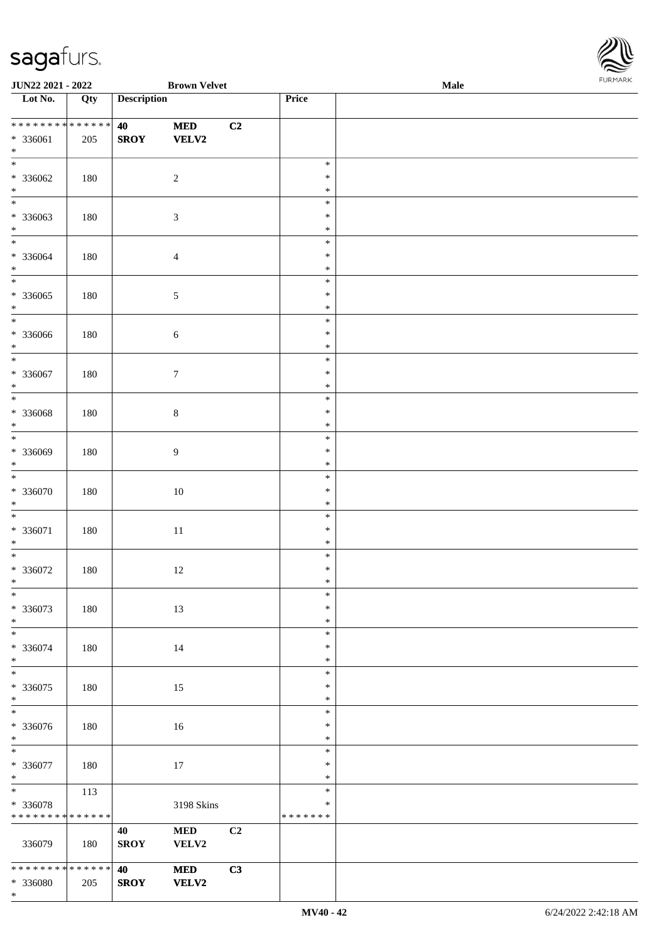\*



| JUN22 2021 - 2022                       |     |                    | <b>Brown Velvet</b>         |    |                            | Male | <b>I ORI IMPORT</b> |
|-----------------------------------------|-----|--------------------|-----------------------------|----|----------------------------|------|---------------------|
| $\overline{\phantom{1}}$ Lot No.        | Qty | <b>Description</b> |                             |    | Price                      |      |                     |
| * * * * * * * * * * * * * *<br>* 336061 | 205 | 40<br><b>SROY</b>  | $\bf MED$<br>VELV2          | C2 |                            |      |                     |
| $\ast$                                  |     |                    |                             |    |                            |      |                     |
| $\overline{\ast}$<br>$* 336062$         | 180 |                    | $\sqrt{2}$                  |    | $\ast$<br>$\ast$           |      |                     |
| $\ast$                                  |     |                    |                             |    | $\ast$                     |      |                     |
| $\overline{\ast}$<br>* 336063<br>$\ast$ | 180 |                    | $\ensuremath{\mathfrak{Z}}$ |    | $\ast$<br>$\ast$<br>$\ast$ |      |                     |
| $\overline{\phantom{0}}$                |     |                    |                             |    | $\ast$                     |      |                     |
| $* 336064$<br>$*$                       | 180 |                    | $\overline{4}$              |    | $\ast$<br>$\ast$           |      |                     |
| $\overline{\phantom{a}^*}$              |     |                    |                             |    | $\ast$                     |      |                     |
| $* 336065$<br>$\ast$                    | 180 |                    | $\sqrt{5}$                  |    | $\ast$<br>$\ast$           |      |                     |
| $*$                                     |     |                    |                             |    | $\ast$<br>$\ast$           |      |                     |
| $* 336066$<br>$\ast$                    | 180 |                    | $\sqrt{6}$                  |    | $\ast$                     |      |                     |
| $\ast$                                  |     |                    |                             |    | $\ast$                     |      |                     |
| $* 336067$<br>$\ast$                    | 180 |                    | $\tau$                      |    | $\ast$<br>$\ast$           |      |                     |
| $\overline{\ast}$                       |     |                    |                             |    | $\ast$                     |      |                     |
| $* 336068$<br>$\ast$                    | 180 |                    | $\,8\,$                     |    | $\ast$<br>$\ast$           |      |                     |
| $\ast$                                  |     |                    |                             |    | $\ast$                     |      |                     |
| * 336069<br>$\ast$                      | 180 |                    | 9                           |    | $\ast$<br>$\ast$           |      |                     |
| $*$                                     |     |                    |                             |    | $\ast$                     |      |                     |
| $* 336070$                              | 180 |                    | $10\,$                      |    | $\ast$                     |      |                     |
| $\ast$<br>$\overline{\phantom{0}}$      |     |                    |                             |    | $\ast$<br>$\ast$           |      |                     |
| $* 336071$                              | 180 |                    | $11\,$                      |    | $\ast$                     |      |                     |
| $*$                                     |     |                    |                             |    | $\ast$                     |      |                     |
| $*$<br>$* 336072$                       | 180 |                    | 12                          |    | $\ast$<br>$\ast$           |      |                     |
| $*$                                     |     |                    |                             |    | $\ast$                     |      |                     |
| $\ast$                                  |     |                    |                             |    | $\ast$                     |      |                     |
| $* 336073$<br>$\ast$                    | 180 |                    | 13                          |    | $\ast$<br>$\ast$           |      |                     |
| $\ast$                                  |     |                    |                             |    | $\ast$                     |      |                     |
| * 336074<br>$*$                         | 180 |                    | 14                          |    | ∗<br>$\ast$                |      |                     |
| $\overline{\ast}$                       |     |                    |                             |    | $\ast$                     |      |                     |
| $* 336075$                              | 180 |                    | 15                          |    | $\ast$                     |      |                     |
| $\ast$<br>$\ast$                        |     |                    |                             |    | $\ast$<br>$\ast$           |      |                     |
| * 336076                                | 180 |                    | 16                          |    | $\ast$                     |      |                     |
| $*$                                     |     |                    |                             |    | $\ast$                     |      |                     |
| $\overline{\phantom{0}}$<br>$* 336077$  |     |                    |                             |    | $\ast$<br>$\ast$           |      |                     |
| $*$                                     | 180 |                    | $17\,$                      |    | $\ast$                     |      |                     |
| $\overline{\phantom{0}}$                | 113 |                    |                             |    | $\ast$                     |      |                     |
| * 336078<br>* * * * * * * * * * * * * * |     |                    | 3198 Skins                  |    | $\ast$<br>* * * * * * *    |      |                     |
|                                         |     | 40                 | $\bf MED$                   | C2 |                            |      |                     |
| 336079                                  | 180 | <b>SROY</b>        | VELV2                       |    |                            |      |                     |
| * * * * * * * * * * * * * *             |     | 40                 | <b>MED</b>                  | C3 |                            |      |                     |
| * 336080                                | 205 | <b>SROY</b>        | <b>VELV2</b>                |    |                            |      |                     |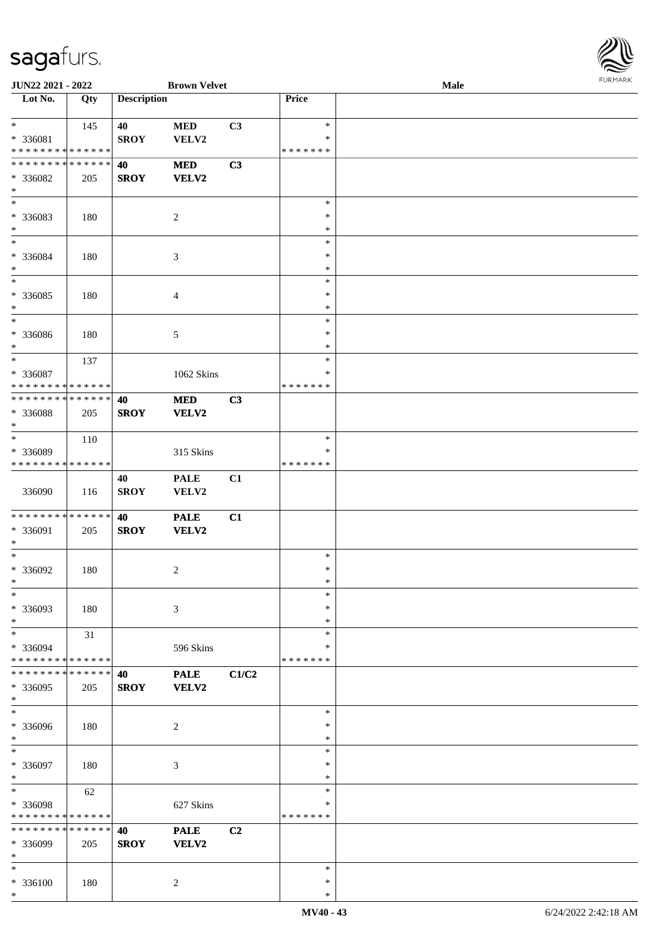

| JUN22 2021 - 2022                                          |     |                    | <b>Brown Velvet</b>        |       |                    | <b>Male</b> |  |
|------------------------------------------------------------|-----|--------------------|----------------------------|-------|--------------------|-------------|--|
| Lot No.                                                    | Qty | <b>Description</b> |                            |       | Price              |             |  |
| $*$                                                        | 145 | 40                 | $\bf MED$                  | C3    | $\ast$             |             |  |
| * 336081<br>* * * * * * * * * * * * * *                    |     | <b>SROY</b>        | VELV2                      |       | ∗<br>* * * * * * * |             |  |
| * * * * * * * * * * * * * *                                |     | 40                 | <b>MED</b>                 | C3    |                    |             |  |
| * 336082<br>$\ast$                                         | 205 | <b>SROY</b>        | <b>VELV2</b>               |       |                    |             |  |
| $\overline{\ast}$                                          |     |                    |                            |       | $\ast$             |             |  |
| * 336083<br>$\ast$                                         | 180 |                    | $\overline{2}$             |       | $\ast$<br>$\ast$   |             |  |
| $*$                                                        |     |                    |                            |       | ∗                  |             |  |
| * 336084                                                   | 180 |                    | $\mathfrak{Z}$             |       | $\ast$             |             |  |
| $\ast$<br>$\ast$                                           |     |                    |                            |       | $\ast$<br>$\ast$   |             |  |
| * 336085                                                   | 180 |                    | $\overline{4}$             |       | $\ast$             |             |  |
| $\ast$                                                     |     |                    |                            |       | $\ast$             |             |  |
| $\ast$                                                     |     |                    |                            |       | $\ast$             |             |  |
| $* 336086$<br>$\ast$                                       | 180 |                    | 5                          |       | $\ast$<br>$\ast$   |             |  |
| $\ast$                                                     | 137 |                    |                            |       | $\ast$             |             |  |
| * 336087                                                   |     |                    | 1062 Skins                 |       | ∗                  |             |  |
| * * * * * * * * * * * * * *<br>* * * * * * * * * * * * * * |     |                    |                            |       | * * * * * * *      |             |  |
| * 336088<br>$\ast$                                         | 205 | 40<br><b>SROY</b>  | <b>MED</b><br><b>VELV2</b> | C3    |                    |             |  |
| $\ast$                                                     | 110 |                    |                            |       | $\ast$             |             |  |
| * 336089                                                   |     |                    | 315 Skins                  |       | ∗                  |             |  |
| * * * * * * * * * * * * * *                                |     |                    |                            |       | * * * * * * *      |             |  |
| 336090                                                     | 116 | 40<br><b>SROY</b>  | <b>PALE</b><br>VELV2       | C1    |                    |             |  |
| * * * * * * * * * * * * * *                                |     | 40                 | <b>PALE</b>                | C1    |                    |             |  |
| * 336091<br>$*$                                            | 205 | <b>SROY</b>        | VELV2                      |       |                    |             |  |
| $\ast$                                                     |     |                    |                            |       | $\ast$             |             |  |
| $* 336092$<br>$*$                                          | 180 |                    | $\overline{c}$             |       | $\ast$<br>$\ast$   |             |  |
| $\ast$                                                     |     |                    |                            |       | $\ast$             |             |  |
| * 336093<br>$\ast$                                         | 180 |                    | 3                          |       | ∗<br>$\ast$        |             |  |
| $\ast$                                                     | 31  |                    |                            |       | $\ast$             |             |  |
| * 336094                                                   |     |                    | 596 Skins                  |       | ∗                  |             |  |
| * * * * * * * * * * * * * *<br>* * * * * * * * * * * * * * |     | 40                 | <b>PALE</b>                | C1/C2 | * * * * * * *      |             |  |
| * 336095<br>$*$                                            | 205 | <b>SROY</b>        | VELV2                      |       |                    |             |  |
| $\overline{\phantom{a}^*}$                                 |     |                    |                            |       | $\ast$             |             |  |
| * 336096<br>$*$                                            | 180 |                    | $\overline{c}$             |       | ∗<br>$\ast$        |             |  |
| $\ast$                                                     |     |                    |                            |       | $\ast$             |             |  |
| * 336097<br>$*$                                            | 180 |                    | $\mathfrak{Z}$             |       | $\ast$<br>$\ast$   |             |  |
| $\ast$                                                     | 62  |                    |                            |       | $\ast$             |             |  |
| * 336098                                                   |     |                    | 627 Skins                  |       | $\ast$             |             |  |
| * * * * * * * * * * * * * *                                |     |                    |                            |       | * * * * * * *      |             |  |
| * * * * * * * * * * * * * *<br>* 336099<br>$\ast$          | 205 | 40<br><b>SROY</b>  | <b>PALE</b><br>VELV2       | C2    |                    |             |  |
| $\ast$                                                     |     |                    |                            |       | $\ast$             |             |  |
| * 336100<br>$\ast$                                         | 180 |                    | $\overline{2}$             |       | $\ast$<br>$\ast$   |             |  |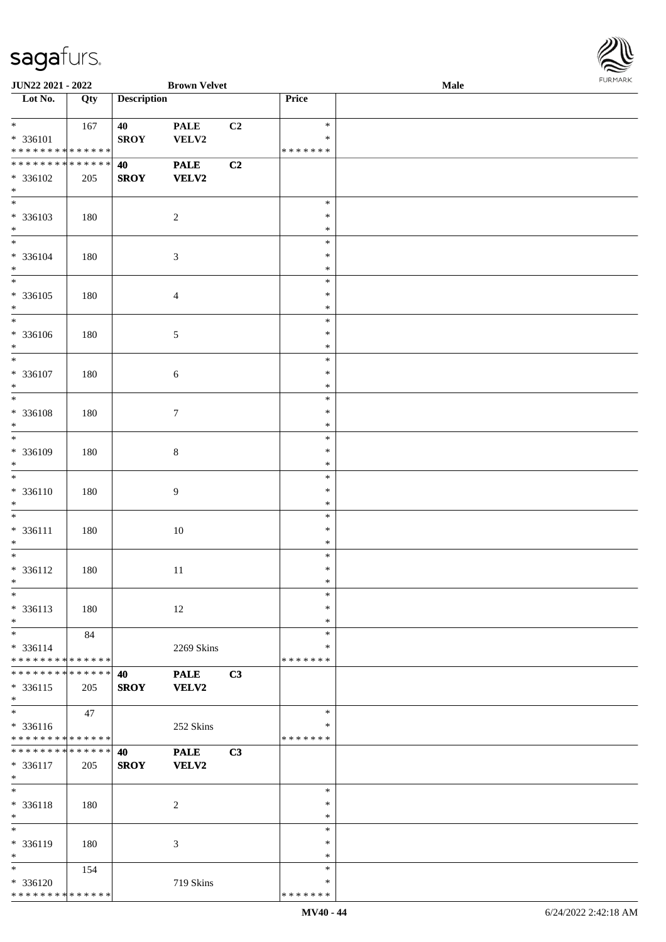

| JUN22 2021 - 2022                                                                |     |                    | <b>Brown Velvet</b>         |    |                              | <b>Male</b> |  |
|----------------------------------------------------------------------------------|-----|--------------------|-----------------------------|----|------------------------------|-------------|--|
| Lot No.                                                                          | Qty | <b>Description</b> |                             |    | Price                        |             |  |
| $*$<br>$* 336101$                                                                | 167 | 40<br><b>SROY</b>  | <b>PALE</b><br>VELV2        | C2 | $\ast$<br>∗                  |             |  |
| * * * * * * * * * * * * * *<br>* * * * * * * * * * * * * *<br>* 336102<br>$\ast$ | 205 | 40<br><b>SROY</b>  | <b>PALE</b><br><b>VELV2</b> | C2 | * * * * * * *                |             |  |
| $\ast$<br>* 336103<br>$\ast$                                                     | 180 |                    | $\sqrt{2}$                  |    | $\ast$<br>$\ast$<br>$\ast$   |             |  |
| $\overline{\phantom{0}}$<br>* 336104<br>$\ast$                                   | 180 |                    | $\sqrt{3}$                  |    | $\ast$<br>*<br>$\ast$        |             |  |
| $\overline{\phantom{a}^*}$<br>$* 336105$<br>$\ast$                               | 180 |                    | $\overline{4}$              |    | $\ast$<br>$\ast$<br>$\ast$   |             |  |
| $\ast$<br>$* 336106$<br>$\ast$                                                   | 180 |                    | $\sqrt{5}$                  |    | $\ast$<br>$\ast$<br>$\ast$   |             |  |
| $\frac{1}{\ast}$<br>$* 336107$<br>$\ast$                                         | 180 |                    | $\sqrt{6}$                  |    | $\ast$<br>*<br>$\ast$        |             |  |
| $\overline{\ast}$<br>$* 336108$<br>$\ast$                                        | 180 |                    | $\boldsymbol{7}$            |    | $\ast$<br>$\ast$<br>$\ast$   |             |  |
| $*$<br>* 336109<br>$\ast$                                                        | 180 |                    | $\,8\,$                     |    | $\ast$<br>$\ast$<br>$\ast$   |             |  |
| $\ast$<br>$* 336110$<br>$\ast$                                                   | 180 |                    | $\overline{9}$              |    | $\ast$<br>$\ast$<br>$\ast$   |             |  |
| $\overline{\ast}$<br>$* 336111$<br>$\ast$                                        | 180 |                    | $10\,$                      |    | $\ast$<br>$\ast$<br>$\ast$   |             |  |
| $*$<br>* 336112<br>$*$                                                           | 180 |                    | $11\,$                      |    | $\ast$<br>$\ast$<br>$\ast$   |             |  |
| $*$<br>* 336113<br>$\ast$                                                        | 180 |                    | 12                          |    | $\ast$<br>∗<br>*             |             |  |
| $\ast$<br>* 336114<br>* * * * * * * * * * * * * *                                | 84  |                    | 2269 Skins                  |    | $\ast$<br>∗<br>* * * * * * * |             |  |
| * * * * * * * * * * * * * * *<br>$* 336115$<br>$\ast$                            | 205 | 40<br><b>SROY</b>  | <b>PALE</b><br><b>VELV2</b> | C3 |                              |             |  |
| $_{\ast}^{-}$<br>* 336116<br>* * * * * * * * * * * * * *                         | 47  |                    | 252 Skins                   |    | $\ast$<br>∗<br>* * * * * * * |             |  |
| **************<br>$* 336117$<br>$*$                                              | 205 | 40<br><b>SROY</b>  | <b>PALE</b><br><b>VELV2</b> | C3 |                              |             |  |
| $\ast$<br>* 336118<br>$\ast$                                                     | 180 |                    | $\overline{c}$              |    | $\ast$<br>$\ast$<br>$\ast$   |             |  |
| $\overline{\phantom{a}^*}$<br>* 336119<br>$\ast$                                 | 180 |                    | 3                           |    | $\ast$<br>$\ast$<br>*        |             |  |
| $\overline{\phantom{0}}$<br>* 336120<br>* * * * * * * * * * * * * *              | 154 |                    | 719 Skins                   |    | $\ast$<br>∗<br>* * * * * * * |             |  |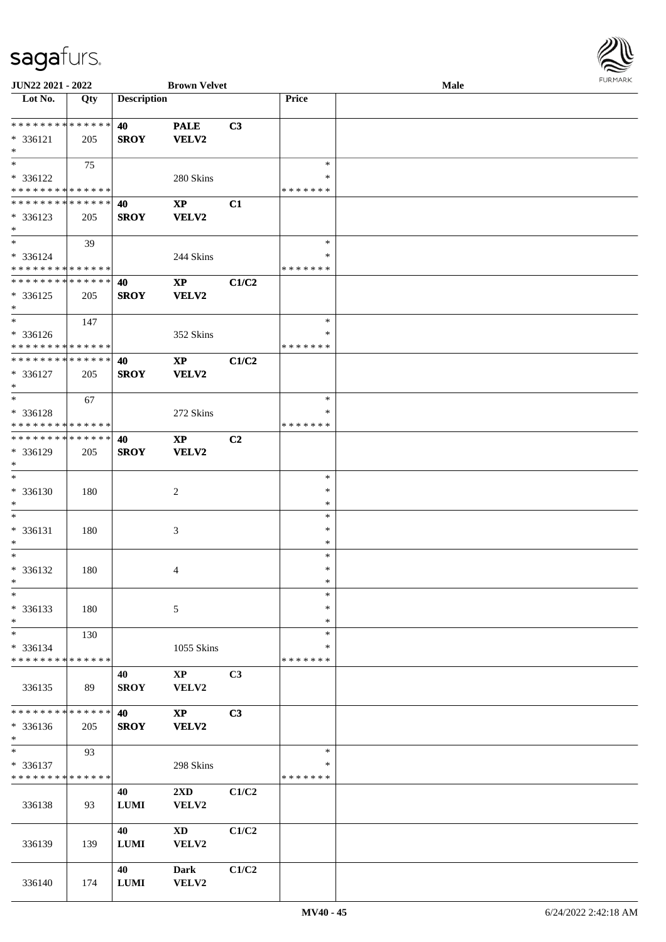

| JUN22 2021 - 2022           |     |                    | <b>Brown Velvet</b>     |       |               | Male |  |
|-----------------------------|-----|--------------------|-------------------------|-------|---------------|------|--|
| Lot No.                     | Qty | <b>Description</b> |                         |       | Price         |      |  |
|                             |     |                    |                         |       |               |      |  |
| **************              |     | 40                 | <b>PALE</b>             | C3    |               |      |  |
| * 336121                    | 205 | <b>SROY</b>        | <b>VELV2</b>            |       |               |      |  |
| $\ast$                      |     |                    |                         |       |               |      |  |
| $*$                         | 75  |                    |                         |       | $\ast$        |      |  |
| * 336122                    |     |                    | 280 Skins               |       | *             |      |  |
| * * * * * * * * * * * * * * |     |                    |                         |       | * * * * * * * |      |  |
| * * * * * * * * * * * * * * |     | 40                 | $\mathbf{X}\mathbf{P}$  | C1    |               |      |  |
| * 336123                    | 205 | <b>SROY</b>        | VELV2                   |       |               |      |  |
| $*$                         |     |                    |                         |       |               |      |  |
| $*$                         | 39  |                    |                         |       | $\ast$        |      |  |
| * 336124                    |     |                    | 244 Skins               |       | ∗             |      |  |
| * * * * * * * * * * * * * * |     |                    |                         |       | * * * * * * * |      |  |
| * * * * * * * * * * * * * * |     | 40                 | $\mathbf{X}\mathbf{P}$  | C1/C2 |               |      |  |
|                             |     |                    |                         |       |               |      |  |
| $* 336125$<br>$\ast$        | 205 | <b>SROY</b>        | <b>VELV2</b>            |       |               |      |  |
| $\ast$                      |     |                    |                         |       | $\ast$        |      |  |
|                             | 147 |                    |                         |       |               |      |  |
| * 336126                    |     |                    | 352 Skins               |       | $\ast$        |      |  |
| * * * * * * * * * * * * * * |     |                    |                         |       | * * * * * * * |      |  |
| * * * * * * * * * * * * * * |     | 40                 | $\mathbf{X}\mathbf{P}$  | C1/C2 |               |      |  |
| $* 336127$                  | 205 | <b>SROY</b>        | <b>VELV2</b>            |       |               |      |  |
| $\ast$                      |     |                    |                         |       |               |      |  |
| $*$                         | 67  |                    |                         |       | $\ast$        |      |  |
| * 336128                    |     |                    | 272 Skins               |       | *             |      |  |
| * * * * * * * * * * * * * * |     |                    |                         |       | * * * * * * * |      |  |
| * * * * * * * * * * * * * * |     | 40                 | $\mathbf{X}\mathbf{P}$  | C2    |               |      |  |
| * 336129                    | 205 | <b>SROY</b>        | <b>VELV2</b>            |       |               |      |  |
| $\ast$                      |     |                    |                         |       |               |      |  |
| $\ast$                      |     |                    |                         |       | $\ast$        |      |  |
| $* 336130$                  | 180 |                    | $\sqrt{2}$              |       | $\ast$        |      |  |
| $\ast$                      |     |                    |                         |       | $\ast$        |      |  |
| $\ast$                      |     |                    |                         |       | $\ast$        |      |  |
| * 336131                    | 180 |                    | 3                       |       | $\ast$        |      |  |
| $\ast$                      |     |                    |                         |       | $\ast$        |      |  |
| $\ast$                      |     |                    |                         |       | $\ast$        |      |  |
| * 336132                    | 180 |                    | 4                       |       | $\ast$        |      |  |
| $*$                         |     |                    |                         |       | $\ast$        |      |  |
| $\ast$                      |     |                    |                         |       | $\ast$        |      |  |
| * 336133                    | 180 |                    | 5                       |       | $\ast$        |      |  |
| $\ast$                      |     |                    |                         |       | $\ast$        |      |  |
| $\ast$                      | 130 |                    |                         |       | $\ast$        |      |  |
| * 336134                    |     |                    | 1055 Skins              |       | *             |      |  |
| * * * * * * * * * * * * * * |     |                    |                         |       | * * * * * * * |      |  |
|                             |     | 40                 | $\bold{XP}$             | C3    |               |      |  |
| 336135                      | 89  | <b>SROY</b>        | VELV2                   |       |               |      |  |
|                             |     |                    |                         |       |               |      |  |
| * * * * * * * * * * * * * * |     | 40                 | $\mathbf{X}\mathbf{P}$  | C3    |               |      |  |
| * 336136                    | 205 | <b>SROY</b>        | <b>VELV2</b>            |       |               |      |  |
| $*$                         |     |                    |                         |       |               |      |  |
| $\ast$                      | 93  |                    |                         |       | $\ast$        |      |  |
| * 336137                    |     |                    | 298 Skins               |       | *             |      |  |
| * * * * * * * * * * * * * * |     |                    |                         |       | * * * * * * * |      |  |
|                             |     | 40                 | $2\mathbf{X}\mathbf{D}$ | C1/C2 |               |      |  |
| 336138                      | 93  | <b>LUMI</b>        | VELV2                   |       |               |      |  |
|                             |     |                    |                         |       |               |      |  |
|                             |     | 40                 | $\mathbf{X}\mathbf{D}$  | C1/C2 |               |      |  |
|                             |     |                    |                         |       |               |      |  |
| 336139                      | 139 | <b>LUMI</b>        | VELV2                   |       |               |      |  |
|                             |     |                    |                         |       |               |      |  |
|                             |     | 40                 | <b>Dark</b>             | C1/C2 |               |      |  |
| 336140                      | 174 | <b>LUMI</b>        | VELV2                   |       |               |      |  |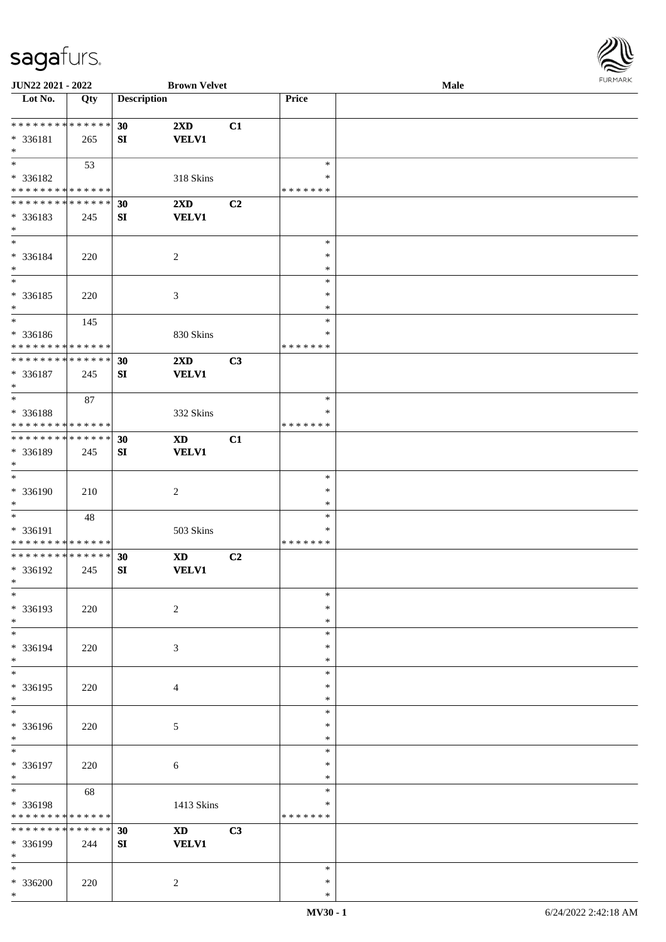

| JUN22 2021 - 2022            |             |                    | <b>Brown Velvet</b>     |                |               | Male |  |
|------------------------------|-------------|--------------------|-------------------------|----------------|---------------|------|--|
| Lot No.                      | Qty         | <b>Description</b> |                         |                | Price         |      |  |
|                              |             |                    |                         |                |               |      |  |
| **************               |             | 30                 | $2\mathbf{X}\mathbf{D}$ | C1             |               |      |  |
| * 336181                     | 265         | SI                 | <b>VELV1</b>            |                |               |      |  |
| $\ast$                       |             |                    |                         |                |               |      |  |
| $\overline{\phantom{0}}$     |             |                    |                         |                | $\ast$        |      |  |
|                              | 53          |                    |                         |                |               |      |  |
| * 336182                     |             |                    | 318 Skins               |                | ∗             |      |  |
| * * * * * * * * * * * * * *  |             |                    |                         |                | * * * * * * * |      |  |
| * * * * * * * * * * * * * *  |             | 30                 | 2XD                     | C2             |               |      |  |
| * 336183                     | 245         | SI                 | <b>VELV1</b>            |                |               |      |  |
| $\ast$                       |             |                    |                         |                |               |      |  |
| $\overline{\ast}$            |             |                    |                         |                | $\ast$        |      |  |
| * 336184                     | 220         |                    | $\boldsymbol{2}$        |                | $\ast$        |      |  |
| $\ast$                       |             |                    |                         |                | $\ast$        |      |  |
| $\overline{\phantom{1}}$     |             |                    |                         |                | $\ast$        |      |  |
| $* 336185$                   | 220         |                    | $\mathfrak{Z}$          |                | $\ast$        |      |  |
| $\ast$                       |             |                    |                         |                | $\ast$        |      |  |
| $\overline{\phantom{a}^*}$   |             |                    |                         |                | $\ast$        |      |  |
|                              | 145         |                    |                         |                |               |      |  |
| * 336186                     |             |                    | 830 Skins               |                | $\ast$        |      |  |
| * * * * * * * * * * * * * *  |             |                    |                         |                | * * * * * * * |      |  |
| ******** <mark>******</mark> |             | 30                 | $2\mathbf{X}\mathbf{D}$ | C3             |               |      |  |
| $* 336187$                   | 245         | ${\bf SI}$         | <b>VELV1</b>            |                |               |      |  |
| $\ast$                       |             |                    |                         |                |               |      |  |
| $\ast$                       | 87          |                    |                         |                | $\ast$        |      |  |
| * 336188                     |             |                    | 332 Skins               |                | *             |      |  |
| * * * * * * * * * * * * * *  |             |                    |                         |                | * * * * * * * |      |  |
| **************               |             |                    |                         |                |               |      |  |
|                              |             | 30                 | <b>XD</b>               | C1             |               |      |  |
| * 336189                     | 245         | ${\bf SI}$         | <b>VELV1</b>            |                |               |      |  |
| $\ast$                       |             |                    |                         |                |               |      |  |
| $\ast$                       |             |                    |                         |                | $\ast$        |      |  |
| * 336190                     | 210         |                    | $\boldsymbol{2}$        |                | $\ast$        |      |  |
| $\ast$                       |             |                    |                         |                | $\ast$        |      |  |
| $*$                          | 48          |                    |                         |                | $\ast$        |      |  |
| * 336191                     |             |                    | 503 Skins               |                | $\ast$        |      |  |
| **************               |             |                    |                         |                | *******       |      |  |
| ******** <mark>******</mark> |             | 30                 | <b>XD</b>               | C <sub>2</sub> |               |      |  |
| * 336192                     | 245         | SI                 | <b>VELV1</b>            |                |               |      |  |
| $*$                          |             |                    |                         |                |               |      |  |
| $*$                          |             |                    |                         |                | $\ast$        |      |  |
|                              |             |                    |                         |                | ∗             |      |  |
| * 336193                     | 220         |                    | $\overline{2}$          |                |               |      |  |
| $\ast$                       |             |                    |                         |                | $\ast$        |      |  |
| $\ast$                       |             |                    |                         |                | $\ast$        |      |  |
| * 336194                     | 220         |                    | 3                       |                | *             |      |  |
| $\ast$                       |             |                    |                         |                | *             |      |  |
| $\overline{\phantom{a}^*}$   |             |                    |                         |                | $\ast$        |      |  |
| * 336195                     | 220         |                    | 4                       |                | $\ast$        |      |  |
| $*$                          |             |                    |                         |                | $\ast$        |      |  |
| $\overline{\phantom{a}^*}$   |             |                    |                         |                | $\ast$        |      |  |
| * 336196                     | 220         |                    | $\mathfrak{S}$          |                | *             |      |  |
| $*$                          |             |                    |                         |                | $\ast$        |      |  |
| $\ast$                       |             |                    |                         |                |               |      |  |
|                              |             |                    |                         |                | $\ast$        |      |  |
| * 336197                     | 220         |                    | $\sqrt{6}$              |                | $\ast$        |      |  |
| $*$                          |             |                    |                         |                | $\ast$        |      |  |
| $\ast$                       | 68          |                    |                         |                | $\ast$        |      |  |
| * 336198                     |             |                    | 1413 Skins              |                | $\ast$        |      |  |
| * * * * * * * *              | * * * * * * |                    |                         |                | * * * * * * * |      |  |
| * * * * * * * * * * * * * *  |             | 30                 | $\mathbf{X}\mathbf{D}$  | C3             |               |      |  |
| * 336199                     | 244         | SI                 | <b>VELV1</b>            |                |               |      |  |
| $\ast$                       |             |                    |                         |                |               |      |  |
| $*$                          |             |                    |                         |                | $\ast$        |      |  |
|                              |             |                    |                         |                |               |      |  |
| * 336200                     | 220         |                    | $\overline{2}$          |                | $\ast$        |      |  |
| $\ast$                       |             |                    |                         |                | $\ast$        |      |  |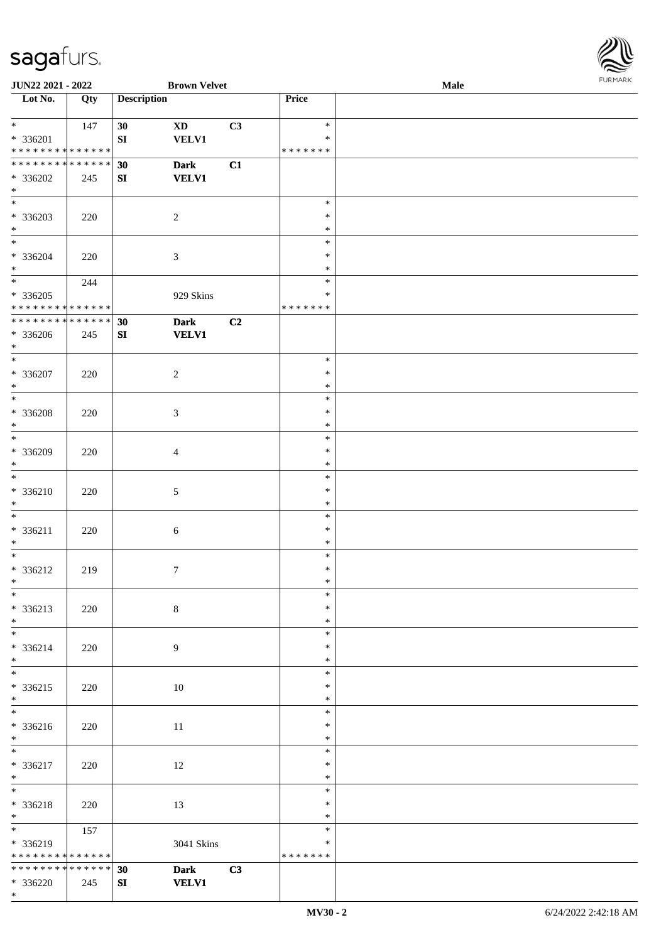\*

 $\mathbf{I}$ 



| <b>JUN22 2021 - 2022</b>                   |     |                    | <b>Brown Velvet</b> |    |                    | Male |  |
|--------------------------------------------|-----|--------------------|---------------------|----|--------------------|------|--|
| Lot No.                                    | Qty | <b>Description</b> |                     |    | Price              |      |  |
|                                            |     |                    |                     |    |                    |      |  |
| $*$                                        | 147 | 30                 | <b>XD</b>           | C3 | $\ast$             |      |  |
| * 336201                                   |     | ${\bf SI}$         | <b>VELV1</b>        |    | $\ast$             |      |  |
| * * * * * * * * * * * * * *                |     |                    |                     |    | * * * * * * *      |      |  |
| * * * * * * * * * * * * * * *              |     | 30                 | <b>Dark</b>         | C1 |                    |      |  |
| $* 336202$                                 | 245 | SI                 | <b>VELV1</b>        |    |                    |      |  |
| $*$                                        |     |                    |                     |    |                    |      |  |
| $\overline{\phantom{0}}$                   |     |                    |                     |    | $\ast$             |      |  |
| * 336203                                   | 220 |                    | $\sqrt{2}$          |    | $\ast$             |      |  |
| $*$                                        |     |                    |                     |    | $\ast$             |      |  |
| $*$                                        |     |                    |                     |    | $\ast$             |      |  |
| $* 336204$                                 | 220 |                    | $\mathfrak{Z}$      |    | $\ast$             |      |  |
| $*$                                        |     |                    |                     |    | $\ast$             |      |  |
| $*$                                        | 244 |                    |                     |    | $\ast$             |      |  |
| $* 336205$                                 |     |                    | 929 Skins           |    | $\ast$             |      |  |
| * * * * * * * * * * * * * *                |     |                    |                     |    | * * * * * * *      |      |  |
| * * * * * * * * * * * * * *                |     | 30                 | <b>Dark</b>         | C2 |                    |      |  |
| * 336206                                   | 245 | SI                 | <b>VELV1</b>        |    |                    |      |  |
| $*$                                        |     |                    |                     |    |                    |      |  |
| $\ast$                                     |     |                    |                     |    | $\ast$             |      |  |
| $* 336207$                                 | 220 |                    | $\overline{2}$      |    | $\ast$             |      |  |
| $*$                                        |     |                    |                     |    | $\ast$             |      |  |
| $\overline{\phantom{0}}$                   |     |                    |                     |    | $\ast$             |      |  |
| $* 336208$                                 | 220 |                    | 3                   |    | $\ast$             |      |  |
| $\ast$                                     |     |                    |                     |    | $\ast$             |      |  |
| $*$                                        |     |                    |                     |    | $\ast$             |      |  |
| * 336209                                   | 220 |                    | 4                   |    | $\ast$             |      |  |
| $*$                                        |     |                    |                     |    | $\ast$             |      |  |
| $*$                                        |     |                    |                     |    | $\ast$             |      |  |
| $* 336210$                                 | 220 |                    | 5                   |    | $\ast$             |      |  |
| $*$                                        |     |                    |                     |    | $\ast$             |      |  |
| $*$                                        |     |                    |                     |    | $\ast$             |      |  |
| $* 336211$                                 | 220 |                    | $\sqrt{6}$          |    | $\ast$             |      |  |
| $*$                                        |     |                    |                     |    | $\ast$             |      |  |
| $*$                                        |     |                    |                     |    | $\ast$             |      |  |
| * 336212                                   | 219 |                    | $7\phantom{.0}$     |    | $\ast$             |      |  |
| $*$                                        |     |                    |                     |    | $\ast$             |      |  |
| $*$                                        |     |                    |                     |    | $\ast$             |      |  |
| * 336213                                   | 220 |                    | $8\,$               |    | $\ast$             |      |  |
| $*$                                        |     |                    |                     |    | $\ast$             |      |  |
|                                            |     |                    |                     |    | $\ast$             |      |  |
| * 336214                                   | 220 |                    | 9                   |    | $\ast$             |      |  |
| $*$                                        |     |                    |                     |    | $\ast$             |      |  |
|                                            |     |                    |                     |    | $\ast$             |      |  |
| $* 336215$                                 | 220 |                    | 10                  |    | $\ast$             |      |  |
| $*$                                        |     |                    |                     |    | $\ast$             |      |  |
|                                            |     |                    |                     |    | $\ast$             |      |  |
| * 336216                                   | 220 |                    | 11                  |    | $\ast$             |      |  |
| $*$ $-$                                    |     |                    |                     |    | $\ast$             |      |  |
| $*$ and $*$                                |     |                    |                     |    | $\ast$             |      |  |
| $* 336217$                                 | 220 |                    | 12                  |    | $\ast$             |      |  |
| $*$<br>$*$                                 |     |                    |                     |    | $\ast$<br>$\ast$   |      |  |
|                                            |     |                    |                     |    | $\ast$             |      |  |
| $* 336218$<br>$*$                          | 220 |                    | 13                  |    | $\ast$             |      |  |
|                                            |     |                    |                     |    | $\ast$             |      |  |
|                                            | 157 |                    |                     |    |                    |      |  |
| * 336219                                   |     |                    | 3041 Skins          |    | ∗<br>* * * * * * * |      |  |
| * * * * * * * * * * * * * *                |     |                    |                     |    |                    |      |  |
| * * * * * * * * <mark>* * * * * * *</mark> |     | 30                 | <b>Dark</b>         | C3 |                    |      |  |
| * 336220                                   | 245 | SI                 | <b>VELV1</b>        |    |                    |      |  |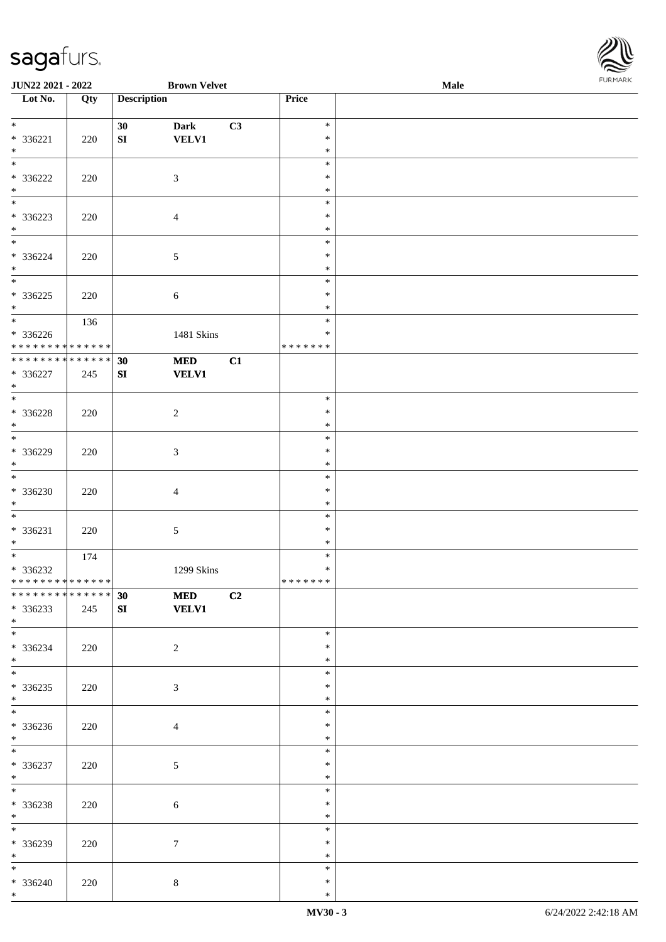

| <b>JUN22 2021 - 2022</b>           |     |                    | <b>Brown Velvet</b> |    |                  | <b>Male</b> |  |
|------------------------------------|-----|--------------------|---------------------|----|------------------|-------------|--|
| Lot No.                            | Qty | <b>Description</b> |                     |    | Price            |             |  |
|                                    |     |                    |                     |    |                  |             |  |
| $*$                                |     | 30                 | <b>Dark</b>         | C3 | $\ast$           |             |  |
| * 336221                           | 220 | SI                 | <b>VELV1</b>        |    | $\ast$           |             |  |
| $\ast$                             |     |                    |                     |    | $\ast$           |             |  |
|                                    |     |                    |                     |    | $\ast$           |             |  |
| * 336222                           | 220 |                    | $\mathfrak{Z}$      |    | $\ast$           |             |  |
| $\ast$<br>$\overline{\phantom{0}}$ |     |                    |                     |    | $\ast$<br>$\ast$ |             |  |
|                                    |     |                    |                     |    | $\ast$           |             |  |
| * 336223<br>$*$                    | 220 |                    | $\overline{4}$      |    | $\ast$           |             |  |
| $*$                                |     |                    |                     |    | $\ast$           |             |  |
| $* 336224$                         | 220 |                    | 5                   |    | $\ast$           |             |  |
| $*$                                |     |                    |                     |    | $\ast$           |             |  |
|                                    |     |                    |                     |    | $\ast$           |             |  |
| $* 336225$                         | 220 |                    | $\sqrt{6}$          |    | $\ast$           |             |  |
| $*$                                |     |                    |                     |    | $\ast$           |             |  |
|                                    | 136 |                    |                     |    | $\ast$           |             |  |
| $* 336226$                         |     |                    | 1481 Skins          |    | $\ast$           |             |  |
| * * * * * * * * * * * * * *        |     |                    |                     |    | * * * * * * *    |             |  |
| * * * * * * * * * * * * * *        |     | 30                 | <b>MED</b>          | C1 |                  |             |  |
| * 336227                           | 245 | SI                 | <b>VELV1</b>        |    |                  |             |  |
| $*$                                |     |                    |                     |    |                  |             |  |
|                                    |     |                    |                     |    | $\ast$           |             |  |
| $* 336228$                         | 220 |                    | $\sqrt{2}$          |    | $\ast$           |             |  |
| $\ast$                             |     |                    |                     |    | $\ast$           |             |  |
|                                    |     |                    |                     |    | $\ast$           |             |  |
| * 336229                           | 220 |                    | 3                   |    | $\ast$           |             |  |
| $*$<br>$\overline{\phantom{0}}$    |     |                    |                     |    | $\ast$           |             |  |
|                                    |     |                    |                     |    | $\ast$           |             |  |
| $* 336230$                         | 220 |                    | 4                   |    | $\ast$           |             |  |
| $*$<br>$*$                         |     |                    |                     |    | $\ast$           |             |  |
|                                    |     |                    |                     |    | $\ast$<br>$\ast$ |             |  |
| $* 336231$<br>$*$                  | 220 |                    | $\sqrt{5}$          |    | $\ast$           |             |  |
| $*$                                | 174 |                    |                     |    | $\ast$           |             |  |
| $* 336232$                         |     |                    | 1299 Skins          |    | $\ast$           |             |  |
| ******** <mark>******</mark>       |     |                    |                     |    | *******          |             |  |
| **************                     |     | 30                 | <b>MED</b>          | C2 |                  |             |  |
| * 336233                           | 245 | SI                 | <b>VELV1</b>        |    |                  |             |  |
| $*$                                |     |                    |                     |    |                  |             |  |
|                                    |     |                    |                     |    | $\ast$           |             |  |
| $* 336234$                         | 220 |                    | $\overline{c}$      |    | $\ast$           |             |  |
| $*$                                |     |                    |                     |    | $\ast$           |             |  |
| $*$                                |     |                    |                     |    | $\ast$           |             |  |
| $* 336235$                         | 220 |                    | 3                   |    | $\ast$           |             |  |
| $*$                                |     |                    |                     |    | $\ast$           |             |  |
| $\overline{\ast}$                  |     |                    |                     |    | $\ast$           |             |  |
| $* 336236$                         | 220 |                    | 4                   |    | $\ast$           |             |  |
| $*$                                |     |                    |                     |    | $\ast$           |             |  |
| $*$                                |     |                    |                     |    | $\ast$           |             |  |
| $* 336237$                         | 220 |                    | $\sqrt{5}$          |    | $\ast$           |             |  |
| $*$                                |     |                    |                     |    | $\ast$           |             |  |
| $*$                                |     |                    |                     |    | $\ast$           |             |  |
| $* 336238$                         | 220 |                    | 6                   |    | $\ast$           |             |  |
| $*$                                |     |                    |                     |    | $\ast$           |             |  |
|                                    |     |                    |                     |    | $\ast$           |             |  |
| $* 336239$                         | 220 |                    | $\tau$              |    | ∗                |             |  |
| $*$<br>$*$                         |     |                    |                     |    | $\ast$<br>$\ast$ |             |  |
|                                    |     |                    |                     |    | $\ast$           |             |  |
| * 336240<br>$*$                    | 220 |                    | $\bf 8$             |    | $\ast$           |             |  |
|                                    |     |                    |                     |    |                  |             |  |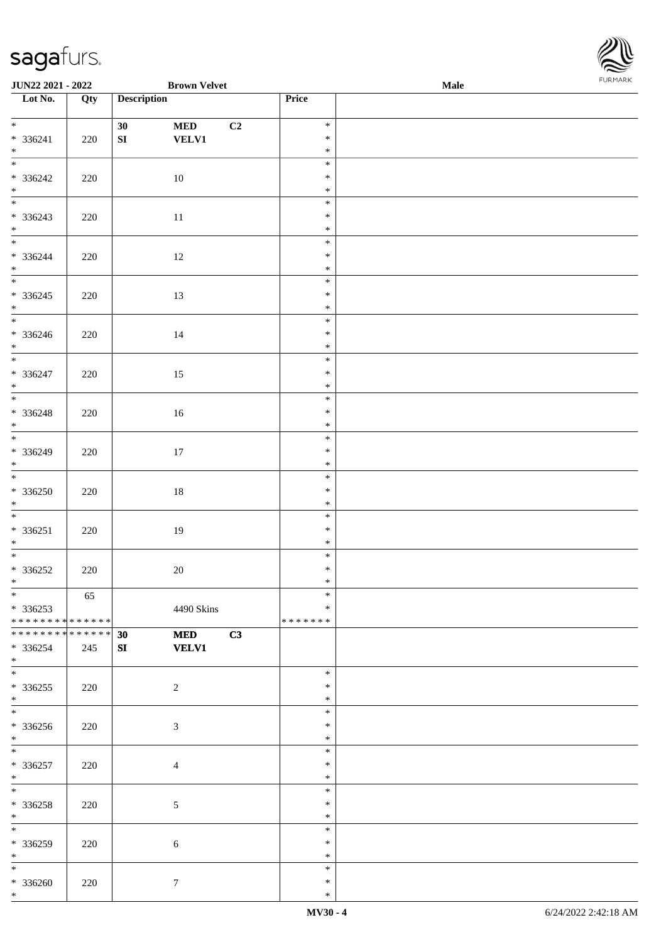| Lot No.                                   | Qty | <b>Description</b>               | Price            |  |
|-------------------------------------------|-----|----------------------------------|------------------|--|
| $\overline{\phantom{a}^*}$                |     |                                  | $\ast$           |  |
|                                           |     | 30<br><b>MED</b><br>C2           | $\ast$           |  |
| $* 336241$<br>$*$                         | 220 | ${\bf S}{\bf I}$<br><b>VELV1</b> | $\ast$           |  |
| $\frac{1}{1}$                             |     |                                  | $\ast$           |  |
| * 336242                                  | 220 | $10\,$                           | $\ast$           |  |
| $*$                                       |     |                                  | $\ast$           |  |
| $\overline{\phantom{0}}$                  |     |                                  | $\ast$           |  |
| $* 336243$                                | 220 | $11\,$                           | $\ast$           |  |
| $*$                                       |     |                                  | $\ast$           |  |
| $\overline{\ast}$                         |     |                                  | $\ast$           |  |
| $*336244$                                 | 220 | 12                               | $\ast$           |  |
| $\ast$<br>$\overline{\phantom{0}}$        |     |                                  | $\ast$           |  |
|                                           |     |                                  | $\ast$           |  |
| $* 336245$                                | 220 | 13                               | $\ast$           |  |
| $*$                                       |     |                                  | $\ast$<br>$\ast$ |  |
| $*336246$                                 | 220 | 14                               | $\ast$           |  |
| $\ast$                                    |     |                                  | $\ast$           |  |
| $\overline{\phantom{0}}$                  |     |                                  | $\ast$           |  |
| * 336247                                  | 220 | 15                               | $\ast$           |  |
| $\ast$                                    |     |                                  | $\ast$           |  |
| $\overline{\phantom{0}}$                  |     |                                  | $\ast$           |  |
| * 336248                                  | 220 | $16\,$                           | $\ast$           |  |
| $*$<br>$\overline{\phantom{0}}$           |     |                                  | $\ast$           |  |
|                                           |     |                                  | $\ast$           |  |
| $* 336249$<br>$\ast$                      | 220 | $17\,$                           | $\ast$<br>$\ast$ |  |
| $\overline{\phantom{a}^*}$                |     |                                  | $\ast$           |  |
| $* 336250$                                | 220 | $18\,$                           | $\ast$           |  |
| $\ast$                                    |     |                                  | $\ast$           |  |
| $\overline{\phantom{a}^*}$                |     |                                  | $\ast$           |  |
| $* 336251$                                | 220 | 19                               | $\ast$           |  |
| $\ast$                                    |     |                                  | $\ast$           |  |
| $\overline{\phantom{0}}$                  |     |                                  | $\ast$           |  |
| $* 336252$<br>$*$                         | 220 | $20\,$                           | $\ast$<br>$\ast$ |  |
| $\begin{array}{c c}\n\hline\n\end{array}$ | 65  |                                  | $\ast$           |  |
| $*336253$                                 |     | 4490 Skins                       | $\ast$           |  |
| **************                            |     |                                  | * * * * * * *    |  |
| * * * * * * * * * * * * * *               |     | C3<br><b>MED</b><br>30           |                  |  |
| $*336254$                                 | 245 | <b>VELV1</b><br>SI               |                  |  |
| $*$                                       |     |                                  |                  |  |
| $\ast$                                    |     |                                  | $\ast$           |  |
| $*336255$                                 | 220 | $\sqrt{2}$                       | $\ast$           |  |
| $*$<br>$\ast$                             |     |                                  | $\ast$<br>$\ast$ |  |
| $*336256$                                 |     |                                  | $\ast$           |  |
| $\ast$                                    | 220 | 3                                | $\ast$           |  |
| $\ast$                                    |     |                                  | $\ast$           |  |
| $* 336257$                                | 220 | 4                                | ∗                |  |
| $\ast$                                    |     |                                  | $\ast$           |  |
| $\ast$                                    |     |                                  | $\ast$           |  |
| * 336258                                  | 220 | 5                                | $\ast$           |  |
| $\ast$                                    |     |                                  | $\ast$           |  |
| $\ast$                                    |     |                                  | $\ast$           |  |
| * 336259<br>$\ast$                        | 220 | 6                                | $\ast$<br>$\ast$ |  |
| $\ast$                                    |     |                                  | $\ast$           |  |
| $* 336260$                                | 220 | $\boldsymbol{7}$                 | $\ast$           |  |
| $*$                                       |     |                                  | $\ast$           |  |

**JUN22 2021 - 2022 Brown Velvet Male**

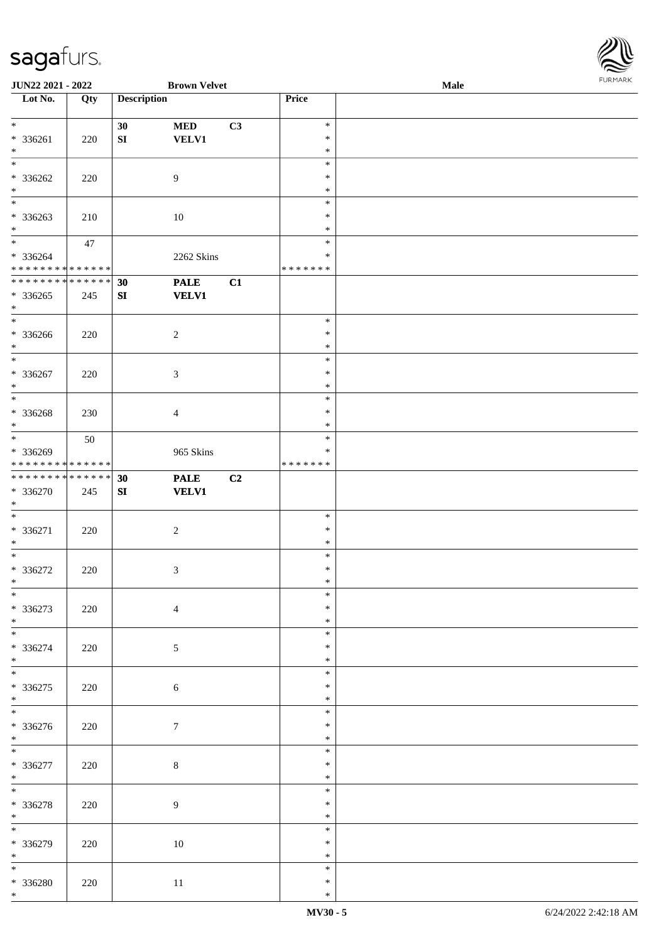\*

\*

\*

\*

\*

\*

\*

\*

\*

\* 336276 220 7

\* 336277 220 8

\* 336278 220 9

\* 336279 | 220 | 10

\* 336280 220 11

| sagarurs.                               |     |                    |                     |    |                  |             | RE             |
|-----------------------------------------|-----|--------------------|---------------------|----|------------------|-------------|----------------|
| JUN22 2021 - 2022                       |     |                    | <b>Brown Velvet</b> |    |                  | <b>Male</b> | <b>FURMARK</b> |
| Lot No.                                 | Qty | <b>Description</b> |                     |    | Price            |             |                |
| $*$                                     |     | 30                 | <b>MED</b>          | C3 | $\ast$           |             |                |
| * 336261                                | 220 | SI                 | <b>VELV1</b>        |    | $\ast$           |             |                |
|                                         |     |                    |                     |    | $\ast$           |             |                |
|                                         |     |                    |                     |    | $\ast$           |             |                |
| * 336262                                | 220 |                    | 9                   |    | $\ast$           |             |                |
|                                         |     |                    |                     |    | $\ast$<br>$\ast$ |             |                |
| $* 336263$                              | 210 |                    | $10\,$              |    | $\ast$           |             |                |
|                                         |     |                    |                     |    | $\ast$           |             |                |
|                                         | 47  |                    |                     |    | $\ast$           |             |                |
| $* 336264$                              |     |                    | 2262 Skins          |    | $\ast$           |             |                |
| * * * * * * * * * * * * * * *           |     |                    |                     |    | *******          |             |                |
| **************                          |     | 30                 | <b>PALE</b>         | C1 |                  |             |                |
| $*336265$                               | 245 | ${\bf S}{\bf I}$   | <b>VELV1</b>        |    |                  |             |                |
|                                         |     |                    |                     |    |                  |             |                |
| * 336266                                |     |                    |                     |    | $\ast$<br>$\ast$ |             |                |
|                                         | 220 |                    | $\boldsymbol{2}$    |    | $\ast$           |             |                |
|                                         |     |                    |                     |    | $\ast$           |             |                |
| $* 336267$                              | 220 |                    | 3                   |    | $\ast$           |             |                |
|                                         |     |                    |                     |    | $\ast$           |             |                |
|                                         |     |                    |                     |    | $\ast$           |             |                |
| * 336268                                | 230 |                    | $\overline{4}$      |    | $\ast$           |             |                |
|                                         |     |                    |                     |    | $\ast$           |             |                |
|                                         | 50  |                    |                     |    | $\ast$           |             |                |
| * 336269<br>* * * * * * * * * * * * * * |     |                    | 965 Skins           |    | ∗<br>*******     |             |                |
| **************                          |     | 30                 | <b>PALE</b>         | C2 |                  |             |                |
| * 336270                                | 245 | SI                 | <b>VELV1</b>        |    |                  |             |                |
|                                         |     |                    |                     |    |                  |             |                |
|                                         |     |                    |                     |    | $\ast$           |             |                |
| * 336271                                | 220 |                    | $\boldsymbol{2}$    |    | $\ast$           |             |                |
|                                         |     |                    |                     |    | $\ast$           |             |                |
|                                         |     |                    |                     |    | $\ast$           |             |                |
| $* 336272$                              | 220 |                    | 3                   |    | $\ast$<br>$\ast$ |             |                |
|                                         |     |                    |                     |    | $\ast$           |             |                |
| $\overline{\ast}$<br>$* 336273$         | 220 |                    | $\overline{4}$      |    | $\ast$           |             |                |
|                                         |     |                    |                     |    | $\ast$           |             |                |
|                                         |     |                    |                     |    | $\ast$           |             |                |
| * 336274                                | 220 |                    | 5                   |    | $\ast$           |             |                |
|                                         |     |                    |                     |    | $\ast$           |             |                |
|                                         |     |                    |                     |    | $\ast$           |             |                |
| $* 336275$                              | 220 |                    | 6                   |    | $\ast$           |             |                |
| $*$                                     |     |                    |                     |    | $\ast$           |             |                |
| $\overline{\phantom{0}}$                |     |                    |                     |    | $\ast$           |             |                |
| $* 336276$                              | 220 |                    |                     |    | $\ast$           |             |                |



\*

\* \* \*

\* \* \*

\* \* \*

\* \*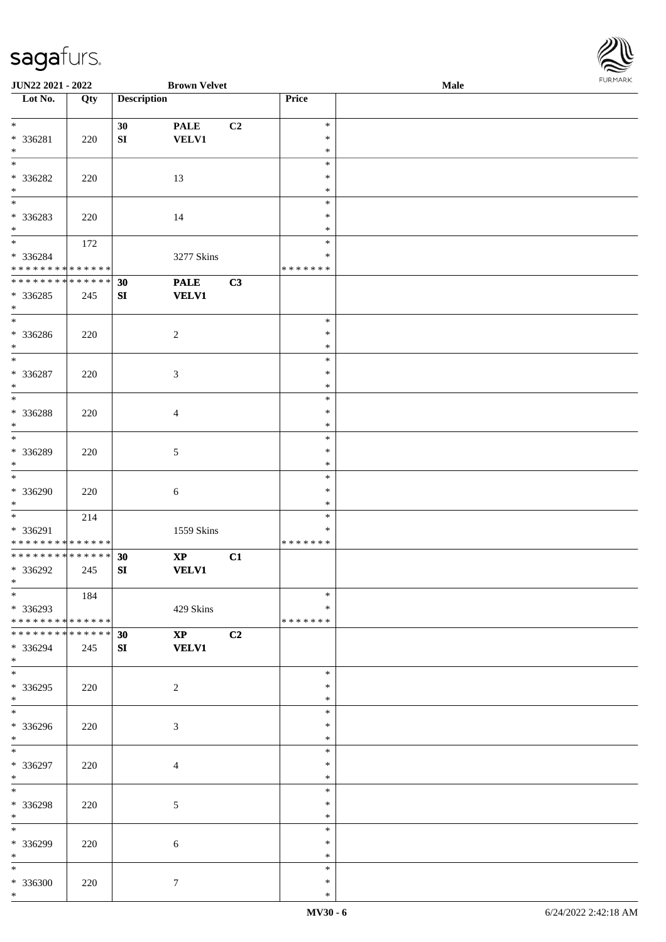\*

| JUN22 2021 - 2022                    |     |                    | <b>Brown Velvet</b>    |    |                  | Male | <b>FURITARI</b> |
|--------------------------------------|-----|--------------------|------------------------|----|------------------|------|-----------------|
| Lot No.                              | Qty | <b>Description</b> |                        |    | Price            |      |                 |
|                                      |     |                    |                        |    |                  |      |                 |
| $\ast$                               |     | 30                 | <b>PALE</b>            | C2 | $\ast$<br>$\ast$ |      |                 |
| $* 336281$<br>$*$                    | 220 | SI                 | <b>VELV1</b>           |    | $\ast$           |      |                 |
| $\ast$                               |     |                    |                        |    | $\ast$           |      |                 |
| $* 336282$                           | 220 |                    | 13                     |    | $\ast$           |      |                 |
| $\ast$                               |     |                    |                        |    | $\ast$           |      |                 |
| $\frac{1}{*}$                        |     |                    |                        |    | $\ast$           |      |                 |
| $* 336283$                           | 220 |                    | 14                     |    | $\ast$           |      |                 |
| $*$                                  |     |                    |                        |    | $\ast$           |      |                 |
| $*$                                  | 172 |                    |                        |    | $\ast$           |      |                 |
| * 336284                             |     |                    | 3277 Skins             |    | $\ast$           |      |                 |
| * * * * * * * * * * * * * *          |     |                    |                        |    | * * * * * * *    |      |                 |
| **************                       |     | 30                 | <b>PALE</b>            | C3 |                  |      |                 |
| $*336285$                            | 245 | SI                 | <b>VELV1</b>           |    |                  |      |                 |
| $\ast$                               |     |                    |                        |    |                  |      |                 |
| $\overline{\phantom{0}}$             |     |                    |                        |    | $\ast$           |      |                 |
| * 336286                             | 220 |                    | $\sqrt{2}$             |    | $\ast$           |      |                 |
| $\ast$                               |     |                    |                        |    | $\ast$           |      |                 |
| $\overline{\ }$                      |     |                    |                        |    | $\ast$           |      |                 |
| $* 336287$                           | 220 |                    | $\sqrt{3}$             |    | $\ast$           |      |                 |
| $\ast$                               |     |                    |                        |    | $\ast$           |      |                 |
| $\overline{\phantom{0}}$             |     |                    |                        |    | $\ast$           |      |                 |
| $* 336288$                           | 220 |                    | $\overline{4}$         |    | $\ast$           |      |                 |
| $\ast$<br>$\overline{\phantom{0}}$   |     |                    |                        |    | $\ast$           |      |                 |
|                                      |     |                    |                        |    | $\ast$           |      |                 |
| * 336289                             | 220 |                    | $\sqrt{5}$             |    | $\ast$           |      |                 |
| $\ast$<br>$\overline{\phantom{a}^*}$ |     |                    |                        |    | $\ast$           |      |                 |
|                                      |     |                    |                        |    | $\ast$           |      |                 |
| * 336290<br>$\ast$                   | 220 |                    | $\sqrt{6}$             |    | $\ast$<br>$\ast$ |      |                 |
| $*$                                  |     |                    |                        |    | $\ast$           |      |                 |
| * 336291                             | 214 |                    |                        |    | $\ast$           |      |                 |
| * * * * * * * * * * * * * *          |     |                    | 1559 Skins             |    | *******          |      |                 |
| ******** <mark>******</mark>         |     | 30                 | $\mathbf{X}\mathbf{P}$ | C1 |                  |      |                 |
| * 336292                             | 245 | ${\bf SI}$         | <b>VELV1</b>           |    |                  |      |                 |
| $*$                                  |     |                    |                        |    |                  |      |                 |
| $\overline{\phantom{0}}$             | 184 |                    |                        |    | $\ast$           |      |                 |
| * 336293                             |     |                    | 429 Skins              |    | *                |      |                 |
| * * * * * * * * * * * * * * *        |     |                    |                        |    | * * * * * * *    |      |                 |
| ******** <mark>******</mark>         |     | 30                 | $\mathbf{XP}$          | C2 |                  |      |                 |
| * 336294                             | 245 | SI                 | <b>VELV1</b>           |    |                  |      |                 |
| $*$                                  |     |                    |                        |    |                  |      |                 |
| $\overline{\phantom{0}}$             |     |                    |                        |    | $\ast$           |      |                 |
| $*336295$                            | 220 |                    | $\overline{2}$         |    | $\ast$           |      |                 |
| $*$                                  |     |                    |                        |    | $\ast$           |      |                 |
| $\overline{\phantom{0}}$             |     |                    |                        |    | $\ast$           |      |                 |
| * 336296                             | 220 |                    | $\mathfrak{Z}$         |    | $\ast$           |      |                 |
| $*$                                  |     |                    |                        |    | $\ast$           |      |                 |
| $*$                                  |     |                    |                        |    | $\ast$           |      |                 |
| * 336297                             | 220 |                    | 4                      |    | $\ast$           |      |                 |
| $*$<br>$\overline{\phantom{0}}$      |     |                    |                        |    | $\ast$           |      |                 |
|                                      |     |                    |                        |    | $\ast$           |      |                 |
| * 336298                             | 220 |                    | $5\,$                  |    | ∗                |      |                 |
| $*$<br>$\overline{\phantom{1}}$      |     |                    |                        |    | $\ast$           |      |                 |
|                                      |     |                    |                        |    | $\ast$           |      |                 |
| * 336299                             | 220 |                    | $\sqrt{6}$             |    | $\ast$           |      |                 |
| $*$                                  |     |                    |                        |    | $\ast$           |      |                 |
| $*$                                  |     |                    |                        |    | $\ast$           |      |                 |
| * 336300                             | 220 |                    | $7\overline{ }$        |    | $\ast$           |      |                 |

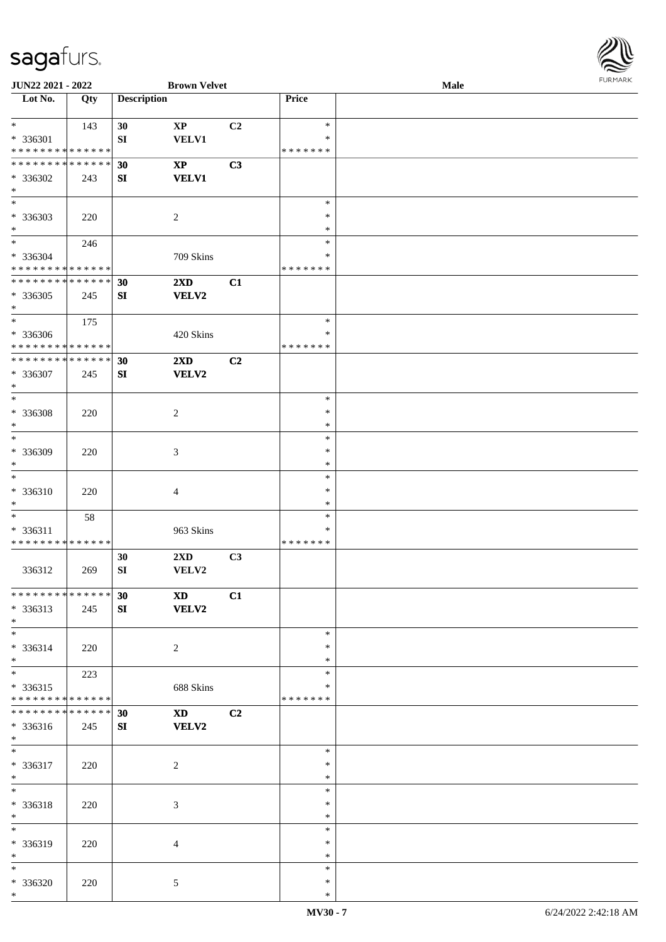

| JUN22 2021 - 2022                  |     |                    | <b>Brown Velvet</b>                                                                                                                                                                                                            |    |               | Male |  |
|------------------------------------|-----|--------------------|--------------------------------------------------------------------------------------------------------------------------------------------------------------------------------------------------------------------------------|----|---------------|------|--|
| Lot No.                            | Qty | <b>Description</b> |                                                                                                                                                                                                                                |    | Price         |      |  |
|                                    |     |                    |                                                                                                                                                                                                                                |    |               |      |  |
| $\ast$                             | 143 | 30                 | $\bold{XP}$                                                                                                                                                                                                                    | C2 | $\ast$        |      |  |
| * 336301                           |     | ${\bf S}{\bf I}$   | <b>VELV1</b>                                                                                                                                                                                                                   |    | *             |      |  |
| * * * * * * * * * * * * * *        |     |                    |                                                                                                                                                                                                                                |    | * * * * * * * |      |  |
| * * * * * * * * * * * * * *        |     | 30                 | $\mathbf{XP}$                                                                                                                                                                                                                  | C3 |               |      |  |
| * 336302                           | 243 | SI                 | <b>VELV1</b>                                                                                                                                                                                                                   |    |               |      |  |
| $\ast$                             |     |                    |                                                                                                                                                                                                                                |    |               |      |  |
| $\overline{\phantom{a}^*}$         |     |                    |                                                                                                                                                                                                                                |    | $\ast$        |      |  |
| * 336303                           | 220 |                    | $\sqrt{2}$                                                                                                                                                                                                                     |    | $\ast$        |      |  |
| $\ast$                             |     |                    |                                                                                                                                                                                                                                |    | $\ast$        |      |  |
| $\overline{\ast}$                  | 246 |                    |                                                                                                                                                                                                                                |    | $\ast$        |      |  |
| * 336304                           |     |                    | 709 Skins                                                                                                                                                                                                                      |    | *             |      |  |
| * * * * * * * * * * * * * * *      |     |                    |                                                                                                                                                                                                                                |    | * * * * * * * |      |  |
| * * * * * * * * * * * * * *        |     | 30                 | $2\mathbf{X}\mathbf{D}$                                                                                                                                                                                                        | C1 |               |      |  |
| $*336305$                          | 245 | ${\bf S}{\bf I}$   | <b>VELV2</b>                                                                                                                                                                                                                   |    |               |      |  |
| $\ast$                             |     |                    |                                                                                                                                                                                                                                |    |               |      |  |
| $\ast$                             | 175 |                    |                                                                                                                                                                                                                                |    | $\ast$        |      |  |
| * 336306                           |     |                    |                                                                                                                                                                                                                                |    | $\ast$        |      |  |
| * * * * * * * * * * * * * *        |     |                    | 420 Skins                                                                                                                                                                                                                      |    | * * * * * * * |      |  |
| * * * * * * * * * * * * * *        |     |                    | $2\mathbf{X}\mathbf{D}$                                                                                                                                                                                                        |    |               |      |  |
|                                    |     | 30                 |                                                                                                                                                                                                                                | C2 |               |      |  |
| * 336307<br>$\ast$                 | 245 | SI                 | <b>VELV2</b>                                                                                                                                                                                                                   |    |               |      |  |
| $\ast$                             |     |                    |                                                                                                                                                                                                                                |    | $\ast$        |      |  |
|                                    |     |                    |                                                                                                                                                                                                                                |    |               |      |  |
| * 336308                           | 220 |                    | $\sqrt{2}$                                                                                                                                                                                                                     |    | $\ast$        |      |  |
| $\ast$<br>$\overline{\phantom{1}}$ |     |                    |                                                                                                                                                                                                                                |    | ∗             |      |  |
|                                    |     |                    |                                                                                                                                                                                                                                |    | $\ast$        |      |  |
| * 336309                           | 220 |                    | 3                                                                                                                                                                                                                              |    | $\ast$        |      |  |
| $\ast$                             |     |                    |                                                                                                                                                                                                                                |    | $\ast$        |      |  |
| $\ast$                             |     |                    |                                                                                                                                                                                                                                |    | $\ast$        |      |  |
| * 336310                           | 220 |                    | 4                                                                                                                                                                                                                              |    | $\ast$        |      |  |
| $\ast$                             |     |                    |                                                                                                                                                                                                                                |    | $\ast$        |      |  |
| $\ast$                             | 58  |                    |                                                                                                                                                                                                                                |    | $\ast$        |      |  |
| * 336311                           |     |                    | 963 Skins                                                                                                                                                                                                                      |    | $\ast$        |      |  |
| * * * * * * * * * * * * * *        |     |                    |                                                                                                                                                                                                                                |    | * * * * * * * |      |  |
|                                    |     | 30                 | $2{\bf X}{\bf D}$                                                                                                                                                                                                              | C3 |               |      |  |
| 336312                             | 269 | ${\bf SI}$         | VELV2                                                                                                                                                                                                                          |    |               |      |  |
|                                    |     |                    |                                                                                                                                                                                                                                |    |               |      |  |
| * * * * * * * * * * * * * * *      |     | 30                 | <b>XD</b>                                                                                                                                                                                                                      | C1 |               |      |  |
| * 336313                           | 245 | SI                 | <b>VELV2</b>                                                                                                                                                                                                                   |    |               |      |  |
| $*$                                |     |                    |                                                                                                                                                                                                                                |    |               |      |  |
| $\overline{\phantom{0}}$           |     |                    |                                                                                                                                                                                                                                |    | $\ast$        |      |  |
| * 336314                           | 220 |                    | $\overline{2}$                                                                                                                                                                                                                 |    | *             |      |  |
| $\ast$                             |     |                    |                                                                                                                                                                                                                                |    | *             |      |  |
| $\overline{\phantom{0}}$           | 223 |                    |                                                                                                                                                                                                                                |    | $\ast$        |      |  |
| $* 336315$                         |     |                    | 688 Skins                                                                                                                                                                                                                      |    | ∗             |      |  |
| * * * * * * * * * * * * * *        |     |                    |                                                                                                                                                                                                                                |    | * * * * * * * |      |  |
| **************                     |     | 30                 | XD and the set of the set of the set of the set of the set of the set of the set of the set of the set of the set of the set of the set of the set of the set of the set of the set of the set of the set of the set of the se | C2 |               |      |  |
| * 336316                           | 245 | SI                 | <b>VELV2</b>                                                                                                                                                                                                                   |    |               |      |  |
| $*$                                |     |                    |                                                                                                                                                                                                                                |    |               |      |  |
| $*$                                |     |                    |                                                                                                                                                                                                                                |    | $\ast$        |      |  |
| * 336317                           | 220 |                    | $\sqrt{2}$                                                                                                                                                                                                                     |    | $\ast$        |      |  |
| $*$                                |     |                    |                                                                                                                                                                                                                                |    | $\ast$        |      |  |
| $\ast$                             |     |                    |                                                                                                                                                                                                                                |    | $\ast$        |      |  |
| * 336318                           | 220 |                    | 3                                                                                                                                                                                                                              |    | $\ast$        |      |  |
| $\ast$                             |     |                    |                                                                                                                                                                                                                                |    | $\ast$        |      |  |
| $_{\ast}$                          |     |                    |                                                                                                                                                                                                                                |    | $\ast$        |      |  |
| * 336319                           | 220 |                    | $\overline{4}$                                                                                                                                                                                                                 |    | ∗             |      |  |
| $\ast$                             |     |                    |                                                                                                                                                                                                                                |    | $\ast$        |      |  |
| $*$                                |     |                    |                                                                                                                                                                                                                                |    | $\ast$        |      |  |
| * 336320                           | 220 |                    | 5                                                                                                                                                                                                                              |    | $\ast$        |      |  |
| $*$                                |     |                    |                                                                                                                                                                                                                                |    | $\ast$        |      |  |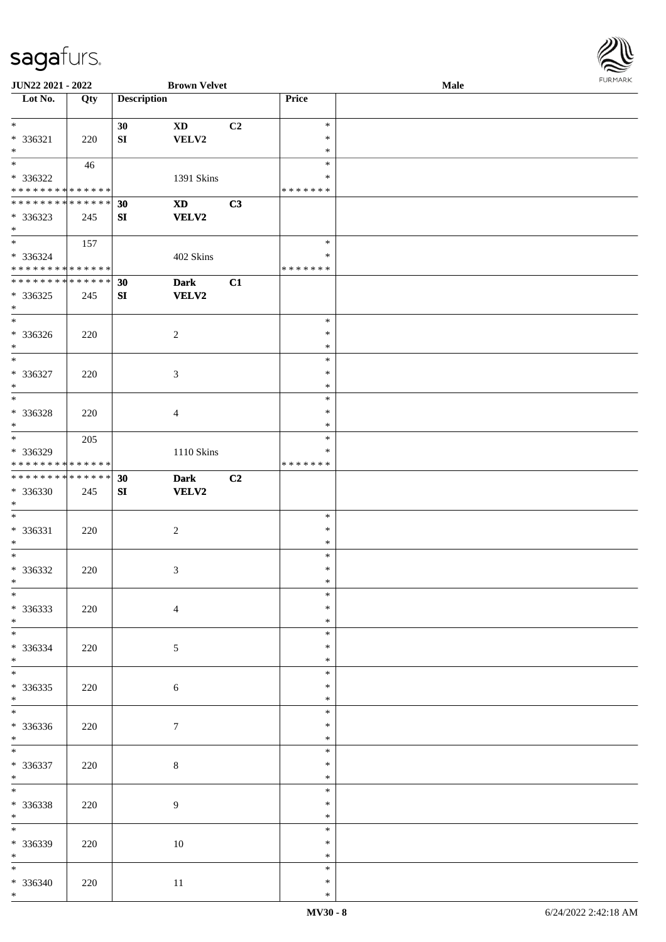

| JUN22 2021 - 2022                 |     |                    | <b>Brown Velvet</b>        |                |               | Male |  |
|-----------------------------------|-----|--------------------|----------------------------|----------------|---------------|------|--|
| Lot No.                           | Qty | <b>Description</b> |                            |                | Price         |      |  |
|                                   |     |                    |                            |                |               |      |  |
| $\ast$                            |     | 30                 | $\mathbf{X}\mathbf{D}$     | C <sub>2</sub> | $\ast$        |      |  |
|                                   |     |                    |                            |                | $\ast$        |      |  |
| * 336321                          | 220 | ${\bf S}{\bf I}$   | VELV2                      |                |               |      |  |
| $\ast$                            |     |                    |                            |                | $\ast$        |      |  |
| $\overline{\phantom{a}^*}$        | 46  |                    |                            |                | $\ast$        |      |  |
| * 336322                          |     |                    | 1391 Skins                 |                | ∗             |      |  |
| * * * * * * * * * * * * * *       |     |                    |                            |                | * * * * * * * |      |  |
| * * * * * * * * * * * * * *       |     | 30                 | $\boldsymbol{\mathrm{XD}}$ | C3             |               |      |  |
| * 336323                          |     | SI                 | VELV2                      |                |               |      |  |
| $*$                               | 245 |                    |                            |                |               |      |  |
| $\overline{\phantom{0}}$          |     |                    |                            |                |               |      |  |
|                                   | 157 |                    |                            |                | $\ast$        |      |  |
| * 336324                          |     |                    | 402 Skins                  |                | $\ast$        |      |  |
| * * * * * * * * * * * * * * *     |     |                    |                            |                | * * * * * * * |      |  |
| ******** <mark>******</mark>      |     | 30                 | <b>Dark</b>                | C1             |               |      |  |
| $* 336325$                        | 245 | SI                 | <b>VELV2</b>               |                |               |      |  |
| $\ast$                            |     |                    |                            |                |               |      |  |
| $\overline{\phantom{1}}$          |     |                    |                            |                | $\ast$        |      |  |
|                                   |     |                    |                            |                |               |      |  |
| * 336326                          | 220 |                    | $\sqrt{2}$                 |                | $\ast$        |      |  |
| $\ast$                            |     |                    |                            |                | $\ast$        |      |  |
| $\ast$                            |     |                    |                            |                | $\ast$        |      |  |
| $* 336327$                        | 220 |                    | $\mathfrak{Z}$             |                | $\ast$        |      |  |
| $\ast$                            |     |                    |                            |                | $\ast$        |      |  |
| $\ast$                            |     |                    |                            |                | $\ast$        |      |  |
|                                   |     |                    |                            |                |               |      |  |
| $* 336328$                        | 220 |                    | $\overline{4}$             |                | $\ast$        |      |  |
| $\ast$                            |     |                    |                            |                | $\ast$        |      |  |
| $\overline{\phantom{1}}$          | 205 |                    |                            |                | $\ast$        |      |  |
| * 336329                          |     |                    | $1110$ Skins               |                | $\ast$        |      |  |
| * * * * * * * * * * * * * *       |     |                    |                            |                | * * * * * * * |      |  |
| **************                    |     | 30                 | <b>Dark</b>                | C <sub>2</sub> |               |      |  |
| * 336330                          | 245 | ${\bf S}{\bf I}$   | <b>VELV2</b>               |                |               |      |  |
|                                   |     |                    |                            |                |               |      |  |
| $\ast$                            |     |                    |                            |                |               |      |  |
| $\ast$                            |     |                    |                            |                | $\ast$        |      |  |
| * 336331                          | 220 |                    | $\sqrt{2}$                 |                | $\ast$        |      |  |
| $\ast$                            |     |                    |                            |                | $\ast$        |      |  |
| $\ast$                            |     |                    |                            |                | $\ast$        |      |  |
| * 336332                          | 220 |                    | 3                          |                | $\ast$        |      |  |
| $*$                               |     |                    |                            |                | $\ast$        |      |  |
| $*$                               |     |                    |                            |                | $\ast$        |      |  |
|                                   |     |                    |                            |                |               |      |  |
| * 336333                          | 220 |                    | $\overline{4}$             |                | *             |      |  |
| $*$                               |     |                    |                            |                | $\ast$        |      |  |
| $\overline{\phantom{0}}$          |     |                    |                            |                | $\ast$        |      |  |
| * 336334                          | 220 |                    | $5\overline{)}$            |                | *             |      |  |
| $*$                               |     |                    |                            |                | $\ast$        |      |  |
| $\overline{\ast}$                 |     |                    |                            |                | $\ast$        |      |  |
|                                   |     |                    |                            |                | $\ast$        |      |  |
| $*336335$                         | 220 |                    | $\sqrt{6}$                 |                |               |      |  |
| $*$<br>$\overline{\phantom{a}^*}$ |     |                    |                            |                | $\ast$        |      |  |
|                                   |     |                    |                            |                | $\ast$        |      |  |
| * 336336                          | 220 |                    | 7                          |                | $\ast$        |      |  |
| $*$                               |     |                    |                            |                | $\ast$        |      |  |
| $*$                               |     |                    |                            |                | $\ast$        |      |  |
| $* 336337$                        | 220 |                    | $\,8\,$                    |                | $\ast$        |      |  |
| $*$                               |     |                    |                            |                | $\ast$        |      |  |
|                                   |     |                    |                            |                |               |      |  |
| $\ast$                            |     |                    |                            |                | $\ast$        |      |  |
| * 336338                          | 220 |                    | 9                          |                | $\ast$        |      |  |
| $*$                               |     |                    |                            |                | $\ast$        |      |  |
| $\overline{\phantom{0}}$          |     |                    |                            |                | $\ast$        |      |  |
| * 336339                          | 220 |                    | $10\,$                     |                | $\ast$        |      |  |
| $*$                               |     |                    |                            |                | $\ast$        |      |  |
|                                   |     |                    |                            |                |               |      |  |
| $*$                               |     |                    |                            |                | $\ast$        |      |  |
| * 336340                          | 220 |                    | $11\,$                     |                | $\ast$        |      |  |
| $*$                               |     |                    |                            |                | $\ast$        |      |  |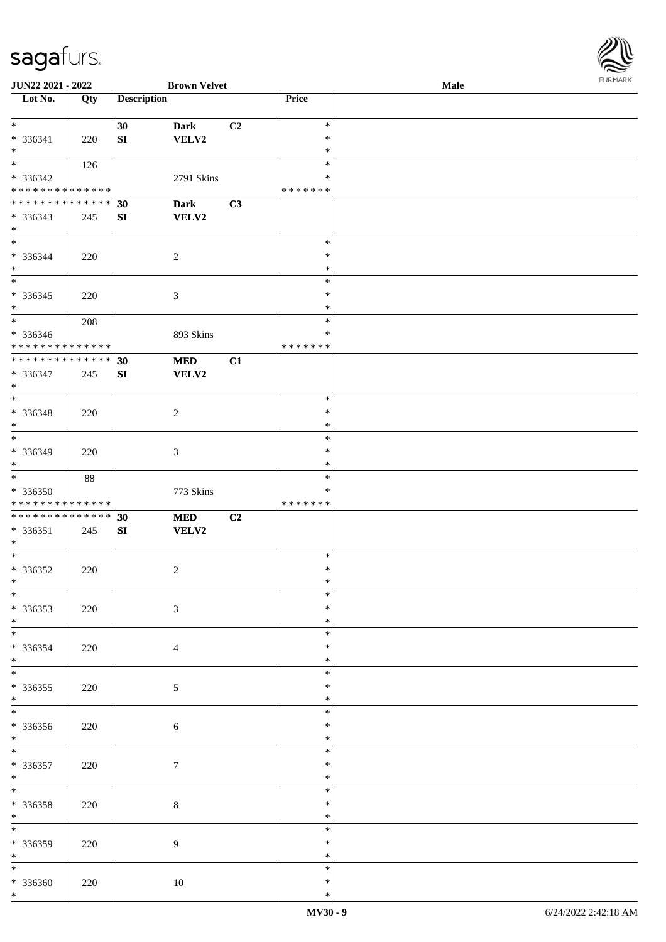

| JUN22 2021 - 2022                |     |                    | <b>Brown Velvet</b> |                |               | Male |  |
|----------------------------------|-----|--------------------|---------------------|----------------|---------------|------|--|
| $\overline{\phantom{1}}$ Lot No. | Qty | <b>Description</b> |                     |                | Price         |      |  |
|                                  |     |                    |                     |                |               |      |  |
| $*$                              |     | 30                 | <b>Dark</b>         | C <sub>2</sub> | $\ast$        |      |  |
| * 336341                         | 220 | ${\bf S}{\bf I}$   | VELV2               |                | $\ast$        |      |  |
| $*$                              |     |                    |                     |                | $\ast$        |      |  |
|                                  | 126 |                    |                     |                | $\ast$        |      |  |
|                                  |     |                    |                     |                |               |      |  |
| * 336342                         |     |                    | 2791 Skins          |                | ∗             |      |  |
| * * * * * * * * * * * * * *      |     |                    |                     |                | * * * * * * * |      |  |
| * * * * * * * * * * * * * *      |     | 30                 | <b>Dark</b>         | C3             |               |      |  |
| * 336343                         | 245 | SI                 | <b>VELV2</b>        |                |               |      |  |
| $*$                              |     |                    |                     |                |               |      |  |
| $\overline{\phantom{0}}$         |     |                    |                     |                | $\ast$        |      |  |
| * 336344                         | 220 |                    | $\sqrt{2}$          |                | $\ast$        |      |  |
| $\ast$                           |     |                    |                     |                | $\ast$        |      |  |
| $\overline{\phantom{0}}$         |     |                    |                     |                | $\ast$        |      |  |
|                                  |     |                    |                     |                | $\ast$        |      |  |
| $* 336345$                       | 220 |                    | $\mathfrak{Z}$      |                |               |      |  |
| $\ast$                           |     |                    |                     |                | $\ast$        |      |  |
| $\ast$                           | 208 |                    |                     |                | $\ast$        |      |  |
| $* 336346$                       |     |                    | 893 Skins           |                | $\ast$        |      |  |
| * * * * * * * * * * * * * *      |     |                    |                     |                | * * * * * * * |      |  |
| * * * * * * * * * * * * * *      |     | 30                 | $\bf MED$           | C1             |               |      |  |
| * 336347                         | 245 | SI                 | <b>VELV2</b>        |                |               |      |  |
| $\ast$                           |     |                    |                     |                |               |      |  |
| $*$                              |     |                    |                     |                | $\ast$        |      |  |
| * 336348                         | 220 |                    |                     |                | $\ast$        |      |  |
| $\ast$                           |     |                    | 2                   |                | $\ast$        |      |  |
| $\ast$                           |     |                    |                     |                |               |      |  |
|                                  |     |                    |                     |                | $\ast$        |      |  |
| * 336349                         | 220 |                    | 3                   |                | $\ast$        |      |  |
| $*$                              |     |                    |                     |                | $\ast$        |      |  |
| $*$                              | 88  |                    |                     |                | $\ast$        |      |  |
| $* 336350$                       |     |                    | 773 Skins           |                | $\ast$        |      |  |
| * * * * * * * * * * * * * *      |     |                    |                     |                | * * * * * * * |      |  |
| * * * * * * * * * * * * * *      |     | 30                 | $\bf MED$           | C <sub>2</sub> |               |      |  |
| * 336351                         | 245 | SI                 | <b>VELV2</b>        |                |               |      |  |
| $*$                              |     |                    |                     |                |               |      |  |
| $*$                              |     |                    |                     |                | $\ast$        |      |  |
| $* 336352$                       | 220 |                    | $\overline{c}$      |                | $\ast$        |      |  |
| $*$                              |     |                    |                     |                | $\ast$        |      |  |
|                                  |     |                    |                     |                |               |      |  |
| $\ast$                           |     |                    |                     |                | $\ast$        |      |  |
| $* 336353$                       | 220 |                    | $\mathfrak{Z}$      |                | ∗             |      |  |
| $*$                              |     |                    |                     |                | $\ast$        |      |  |
| $\overline{\ast}$                |     |                    |                     |                | $\ast$        |      |  |
| * 336354                         | 220 |                    | $\overline{4}$      |                | *             |      |  |
| $*$                              |     |                    |                     |                | $\ast$        |      |  |
| $*$                              |     |                    |                     |                | $\ast$        |      |  |
| $* 336355$                       | 220 |                    | 5                   |                | $\ast$        |      |  |
| $*$                              |     |                    |                     |                | $\ast$        |      |  |
| $\overline{\phantom{0}}$         |     |                    |                     |                | $\ast$        |      |  |
|                                  |     |                    |                     |                | $\ast$        |      |  |
| $* 336356$                       | 220 |                    | $\sqrt{6}$          |                |               |      |  |
| $*$<br>$\overline{\phantom{0}}$  |     |                    |                     |                | $\ast$        |      |  |
|                                  |     |                    |                     |                | $\ast$        |      |  |
| $* 336357$                       | 220 |                    | $\tau$              |                | $\ast$        |      |  |
| $*$                              |     |                    |                     |                | $\ast$        |      |  |
| $\ast$                           |     |                    |                     |                | $\ast$        |      |  |
| * 336358                         | 220 |                    | $\,8\,$             |                | $\ast$        |      |  |
| $*$                              |     |                    |                     |                | $\ast$        |      |  |
| $\overline{\ast}$                |     |                    |                     |                | $\ast$        |      |  |
| $* 336359$                       | 220 |                    | $\boldsymbol{9}$    |                | ∗             |      |  |
| $*$                              |     |                    |                     |                | $\ast$        |      |  |
| $*$                              |     |                    |                     |                | $\ast$        |      |  |
|                                  |     |                    |                     |                |               |      |  |
| $* 336360$                       | 220 |                    | 10                  |                | $\ast$        |      |  |
| $*$                              |     |                    |                     |                | $\ast$        |      |  |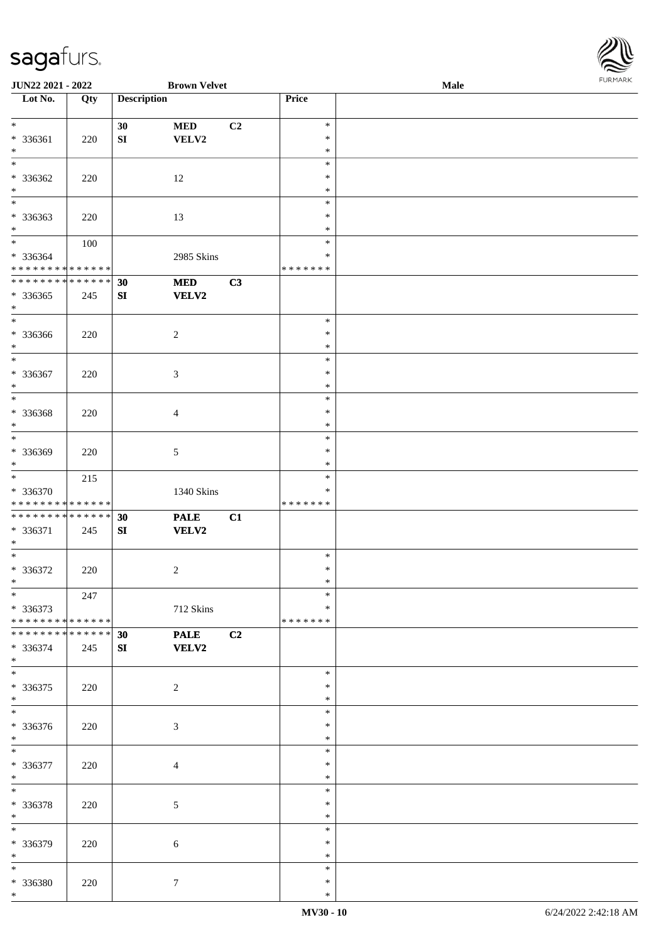**JUN22 2021 - 2022 Brown Velvet**<br> **Lot No. Qty Description** 

**Loty Description Price** 

| Male | <b>FURMARK</b> |
|------|----------------|
|      |                |
|      |                |
|      |                |
|      |                |
|      |                |
|      |                |
|      |                |
|      |                |
|      |                |
|      |                |
|      |                |
|      |                |

| $\ast$<br>$\ast$<br>$\ast$<br>$\ast$<br>* 336362<br>12<br>$\ast$<br>220<br>$\ast$<br>$\ast$<br>$_{\ast}^{-}$<br>$\ast$<br>* 336363<br>13<br>$\ast$<br>220<br>$*$<br>$\ast$<br>$*$<br>$\ast$<br>100<br>* 336364<br>2985 Skins<br>$\ast$<br>* * * * * * * * * * * * * *<br>*******<br>**************<br>C3<br>30<br><b>MED</b><br>$*336365$<br><b>VELV2</b><br>SI<br>245<br>$*$<br>$\overline{\phantom{0}}$<br>$\ast$<br>* 336366<br>$\overline{c}$<br>$\ast$<br>220 |  |
|--------------------------------------------------------------------------------------------------------------------------------------------------------------------------------------------------------------------------------------------------------------------------------------------------------------------------------------------------------------------------------------------------------------------------------------------------------------------|--|
|                                                                                                                                                                                                                                                                                                                                                                                                                                                                    |  |
|                                                                                                                                                                                                                                                                                                                                                                                                                                                                    |  |
|                                                                                                                                                                                                                                                                                                                                                                                                                                                                    |  |
|                                                                                                                                                                                                                                                                                                                                                                                                                                                                    |  |
| $\ast$<br>$\ast$                                                                                                                                                                                                                                                                                                                                                                                                                                                   |  |
| $\overline{\ast}$<br>$\ast$<br>* 336367<br>220<br>$\mathfrak{Z}$<br>$\ast$<br>$\ast$<br>$\ast$                                                                                                                                                                                                                                                                                                                                                                     |  |
| $\overline{\phantom{a}^*}$<br>$\ast$<br>* 336368<br>$\ast$<br>220<br>$\overline{4}$<br>$\ast$<br>$\ast$                                                                                                                                                                                                                                                                                                                                                            |  |
| $\overline{\phantom{0}}$<br>$\ast$<br>* 336369<br>$\mathfrak{S}$<br>$\ast$<br>220<br>$\ast$<br>$\ast$                                                                                                                                                                                                                                                                                                                                                              |  |
| $\overline{\phantom{0}}$<br>$\ast$<br>215<br>$* 336370$<br>1340 Skins<br>$\ast$<br>* * * * * * * * * * * * * *<br>*******                                                                                                                                                                                                                                                                                                                                          |  |
| **************<br>C1<br>30<br><b>PALE</b><br>* 336371<br><b>VELV2</b><br>SI<br>245<br>$\ast$                                                                                                                                                                                                                                                                                                                                                                       |  |
| $\overline{\phantom{0}}$<br>$\ast$<br>* 336372<br>$\overline{2}$<br>$\ast$<br>220<br>$\ast$<br>$\ast$                                                                                                                                                                                                                                                                                                                                                              |  |
| $\ast$<br>$\ast$<br>247<br>* 336373<br>712 Skins<br>$\ast$<br>* * * * * * * * * * * * * * *<br>* * * * * * *                                                                                                                                                                                                                                                                                                                                                       |  |
| * * * * * * * * * * * * * *<br>C2<br>30<br><b>PALE</b><br>* 336374<br>SI<br><b>VELV2</b><br>245<br>$\ast$                                                                                                                                                                                                                                                                                                                                                          |  |
| $\overline{\phantom{0}}$<br>$\ast$<br>$* 336375$<br>$\overline{c}$<br>$\ast$<br>220<br>$\ast$<br>$\ast$                                                                                                                                                                                                                                                                                                                                                            |  |
| $\overline{\phantom{a}^*}$<br>$\ast$<br>* 336376<br>$\mathfrak{Z}$<br>$\ast$<br>220<br>$\ast$<br>$\ast$                                                                                                                                                                                                                                                                                                                                                            |  |
| $\ast$<br>$\ast$<br>* 336377<br>$\ast$<br>220<br>$\overline{4}$<br>$\ast$<br>$\ast$                                                                                                                                                                                                                                                                                                                                                                                |  |
| $\overline{\phantom{a}^*}$<br>$\ast$<br>* 336378<br>$\mathfrak{S}$<br>$\ast$<br>220<br>$\ast$<br>$\ast$                                                                                                                                                                                                                                                                                                                                                            |  |
| $\ast$<br>$\ast$<br>* 336379<br>$\ast$<br>220<br>6<br>$\ast$<br>$\ast$                                                                                                                                                                                                                                                                                                                                                                                             |  |
| $\ast$<br>$*$<br>* 336380<br>$7\phantom{.0}$<br>$\ast$<br>220<br>$\ast$<br>$*$                                                                                                                                                                                                                                                                                                                                                                                     |  |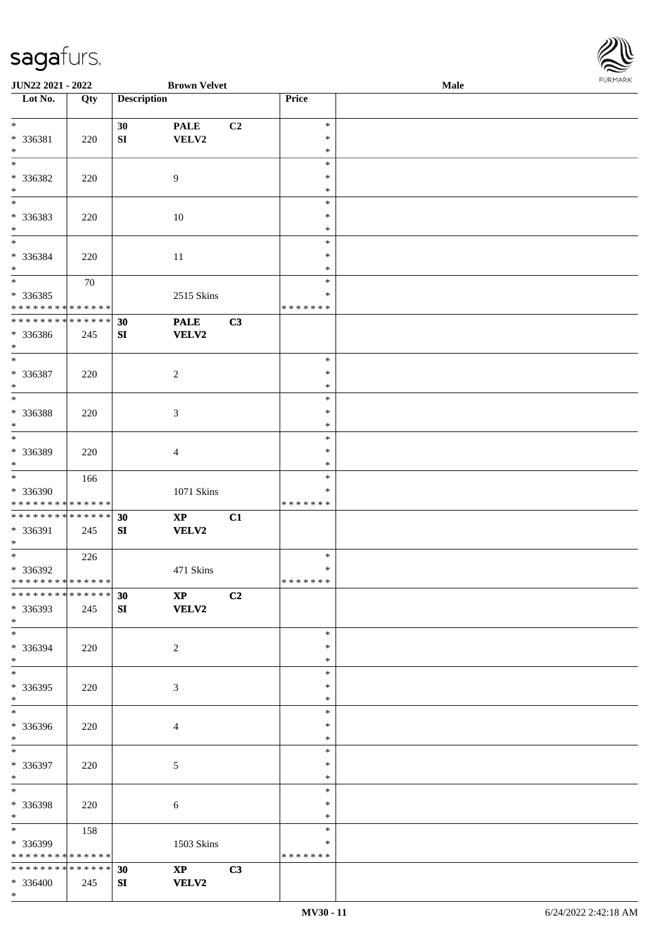\*

| $\overline{\phantom{1}}$ Lot No. | Qty | <b>Description</b> |                                           |    | Price         |  |
|----------------------------------|-----|--------------------|-------------------------------------------|----|---------------|--|
|                                  |     |                    |                                           |    |               |  |
| $\overline{\ast}$                |     | 30                 | $\ensuremath{\mathop{\bf PALE}\nolimits}$ | C2 | $\ast$        |  |
| * 336381                         | 220 | SI                 | VELV2                                     |    | $\ast$        |  |
| $\ast$                           |     |                    |                                           |    | $\ast$        |  |
| $\ast$                           |     |                    |                                           |    | $\ast$        |  |
| * 336382                         | 220 |                    | $\overline{9}$                            |    | $\ast$        |  |
| $*$                              |     |                    |                                           |    | $\ast$        |  |
| $\overline{\phantom{a}^*}$       |     |                    |                                           |    | $\ast$        |  |
| * 336383                         | 220 |                    | 10                                        |    | $\ast$        |  |
| $*$                              |     |                    |                                           |    | $\ast$        |  |
| $*$                              |     |                    |                                           |    | $\ast$        |  |
| * 336384                         |     |                    |                                           |    | $\ast$        |  |
|                                  | 220 |                    | 11                                        |    |               |  |
| $\ast$                           |     |                    |                                           |    | $\ast$        |  |
|                                  | 70  |                    |                                           |    | $\ast$        |  |
| * 336385                         |     |                    | 2515 Skins                                |    | $\ast$        |  |
| * * * * * * * * * * * * * *      |     |                    |                                           |    | * * * * * * * |  |
| ******** <mark>******</mark>     |     | 30                 | <b>PALE</b>                               | C3 |               |  |
| * 336386                         | 245 | SI                 | <b>VELV2</b>                              |    |               |  |
| $*$                              |     |                    |                                           |    |               |  |
| $\overline{\phantom{0}}$         |     |                    |                                           |    | $\ast$        |  |
| * 336387                         | 220 |                    | $\overline{c}$                            |    | $\ast$        |  |
| $\ast$                           |     |                    |                                           |    | $\ast$        |  |
| $\overline{\phantom{0}}$         |     |                    |                                           |    | $\ast$        |  |
| * 336388                         | 220 |                    | $\mathfrak{Z}$                            |    | $\ast$        |  |
| $\ast$                           |     |                    |                                           |    | $\ast$        |  |
| $\overline{\phantom{a}^*}$       |     |                    |                                           |    | $\ast$        |  |
|                                  |     |                    |                                           |    |               |  |
| * 336389                         | 220 |                    | $\overline{4}$                            |    | $\ast$        |  |
| $*$                              |     |                    |                                           |    | $\ast$        |  |
| $\overline{\phantom{a}^*}$       | 166 |                    |                                           |    | $\ast$        |  |
| * 336390                         |     |                    | 1071 Skins                                |    | ∗             |  |
| * * * * * * * * * * * * * *      |     |                    |                                           |    | * * * * * * * |  |
| **************                   |     | 30                 | $\mathbf{X}\mathbf{P}$                    | C1 |               |  |
| * 336391                         | 245 | SI                 | <b>VELV2</b>                              |    |               |  |
| $\ast$                           |     |                    |                                           |    |               |  |
| $\overline{\phantom{0}}$         | 226 |                    |                                           |    | $\ast$        |  |
| * 336392                         |     |                    | 471 Skins                                 |    | $\ast$        |  |
| * * * * * * * * * * * * * * *    |     |                    |                                           |    | * * * * * * * |  |
| ************** 30                |     |                    | $XP$ $C2$                                 |    |               |  |
| * 336393                         | 245 | SI                 | <b>VELV2</b>                              |    |               |  |
| $*$                              |     |                    |                                           |    |               |  |
| $\overline{\ast}$                |     |                    |                                           |    | $\ast$        |  |
|                                  |     |                    |                                           |    |               |  |
| * 336394                         | 220 |                    | $\overline{c}$                            |    | $\ast$        |  |
| $*$<br>$\overline{\phantom{1}}$  |     |                    |                                           |    | $\ast$        |  |
|                                  |     |                    |                                           |    | $\ast$        |  |
| $*336395$                        | 220 |                    | $\mathfrak{Z}$                            |    | $\ast$        |  |
| $*$                              |     |                    |                                           |    | $\ast$        |  |
| $\overline{\phantom{0}}$         |     |                    |                                           |    | $\ast$        |  |
| * 336396                         | 220 |                    | $\overline{4}$                            |    | $\ast$        |  |
| $*$                              |     |                    |                                           |    | $\ast$        |  |
| $*$                              |     |                    |                                           |    | $\ast$        |  |
| * 336397                         | 220 |                    | 5                                         |    | $\ast$        |  |
| $*$                              |     |                    |                                           |    | $\ast$        |  |
| $\overline{\ }$                  |     |                    |                                           |    | $\ast$        |  |
| * 336398                         |     |                    |                                           |    | *             |  |
| $*$                              | 220 |                    | $\sqrt{6}$                                |    | $\ast$        |  |
| $\overline{\phantom{0}}$         |     |                    |                                           |    | $\ast$        |  |
|                                  | 158 |                    |                                           |    |               |  |
| * 336399                         |     |                    | 1503 Skins                                |    | ∗             |  |
| * * * * * * * * * * * * * *      |     |                    |                                           |    | * * * * * * * |  |
| **************                   |     | 30                 | $\mathbf{X}\mathbf{P}$                    | C3 |               |  |
| $* 336400$                       | 245 | SI                 | <b>VELV2</b>                              |    |               |  |

**JUN22 2021 - 2022 Brown Velvet Male**

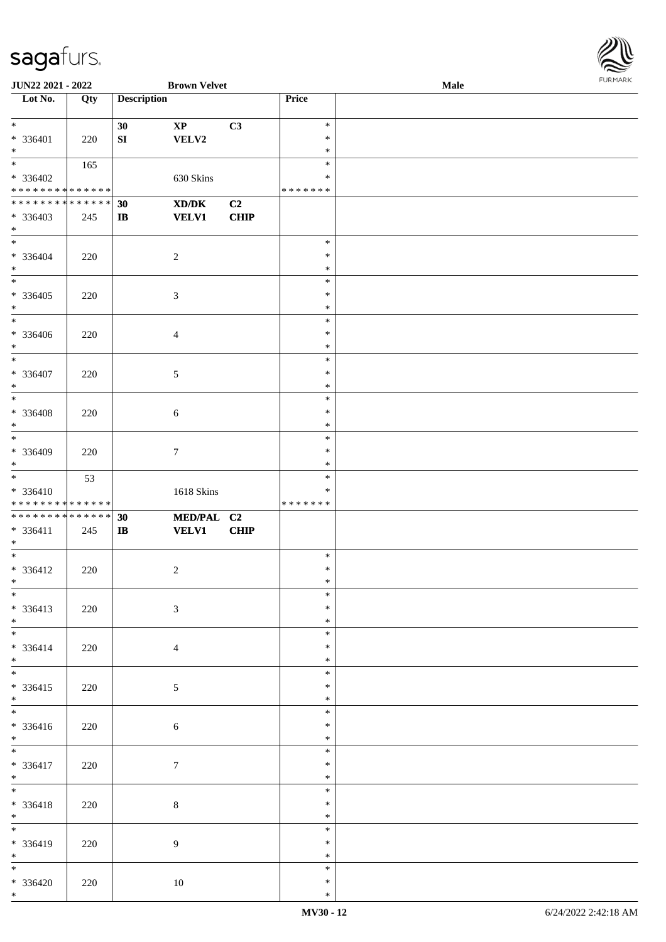

| <b>JUN22 2021 - 2022</b>                   |     |                    | <b>Brown Velvet</b>                         |      |         | Male |
|--------------------------------------------|-----|--------------------|---------------------------------------------|------|---------|------|
| Lot No.                                    | Qty | <b>Description</b> |                                             |      | Price   |      |
|                                            |     |                    |                                             |      |         |      |
| $\ast$                                     |     | 30                 | $\mathbf{X}\mathbf{P}$                      | C3   | $\ast$  |      |
| * 336401                                   | 220 | SI                 | VELV2                                       |      | $\ast$  |      |
| $*$                                        |     |                    |                                             |      | $\ast$  |      |
| $\overline{\ast}$                          |     |                    |                                             |      | $\ast$  |      |
|                                            | 165 |                    |                                             |      |         |      |
| * 336402                                   |     |                    | 630 Skins                                   |      | ∗       |      |
| * * * * * * * * * * * * * *                |     |                    |                                             |      | ******* |      |
| * * * * * * * * * * * * * * *              |     | 30                 | $\mathbf{X}\mathbf{D}/\mathbf{D}\mathbf{K}$ | C2   |         |      |
| * 336403                                   | 245 | $\mathbf{I}$       | <b>VELV1</b>                                | CHIP |         |      |
| $*$                                        |     |                    |                                             |      |         |      |
|                                            |     |                    |                                             |      | $\ast$  |      |
| * 336404                                   | 220 |                    | $\overline{2}$                              |      | $\ast$  |      |
| $*$                                        |     |                    |                                             |      | $\ast$  |      |
| $*$                                        |     |                    |                                             |      | $\ast$  |      |
| $* 336405$                                 |     |                    |                                             |      | $\ast$  |      |
|                                            | 220 |                    | $\mathfrak{Z}$                              |      | $\ast$  |      |
| $*$<br>$\overline{\phantom{0}}$            |     |                    |                                             |      |         |      |
|                                            |     |                    |                                             |      | $\ast$  |      |
| * 336406                                   | 220 |                    | $\overline{4}$                              |      | $\ast$  |      |
| $\ast$                                     |     |                    |                                             |      | $\ast$  |      |
| $*$                                        |     |                    |                                             |      | $\ast$  |      |
| * 336407                                   | 220 |                    | 5                                           |      | $\ast$  |      |
| $*$                                        |     |                    |                                             |      | $\ast$  |      |
|                                            |     |                    |                                             |      | $\ast$  |      |
| $* 336408$                                 | 220 |                    | $\sqrt{6}$                                  |      | $\ast$  |      |
| $*$                                        |     |                    |                                             |      | $\ast$  |      |
|                                            |     |                    |                                             |      | $\ast$  |      |
|                                            |     |                    |                                             |      | $\ast$  |      |
| * 336409                                   | 220 |                    | $\tau$                                      |      |         |      |
| $*$                                        |     |                    |                                             |      | $\ast$  |      |
|                                            | 53  |                    |                                             |      | $\ast$  |      |
| $* 336410$                                 |     |                    | 1618 Skins                                  |      | $\ast$  |      |
| * * * * * * * * <mark>* * * * * * *</mark> |     |                    |                                             |      | ******* |      |
| * * * * * * * * * * * * * * *              |     | 30                 | MED/PAL C2                                  |      |         |      |
| $* 336411$                                 | 245 | $\bf IB$           | <b>VELV1</b>                                | CHIP |         |      |
| $*$                                        |     |                    |                                             |      |         |      |
| $*$                                        |     |                    |                                             |      | $\ast$  |      |
| * 336412                                   | 220 |                    | $\overline{c}$                              |      | $\ast$  |      |
| $*$                                        |     |                    |                                             |      | $\ast$  |      |
| $*$                                        |     |                    |                                             |      | $\ast$  |      |
| $* 336413$                                 | 220 |                    | $\mathfrak{Z}$                              |      | $\ast$  |      |
| $*$                                        |     |                    |                                             |      | $\ast$  |      |
|                                            |     |                    |                                             |      | $\ast$  |      |
|                                            |     |                    |                                             |      |         |      |
| * 336414                                   | 220 |                    | $\overline{4}$                              |      | $\ast$  |      |
| $*$                                        |     |                    |                                             |      | $\ast$  |      |
| $*$                                        |     |                    |                                             |      | $\ast$  |      |
| $* 336415$                                 | 220 |                    | $\sqrt{5}$                                  |      | $\ast$  |      |
| $*$                                        |     |                    |                                             |      | $\ast$  |      |
| $\overline{\ast}$                          |     |                    |                                             |      | $\ast$  |      |
| * 336416                                   | 220 |                    | $\sqrt{6}$                                  |      | $\ast$  |      |
| $*$                                        |     |                    |                                             |      | $\ast$  |      |
| $*$                                        |     |                    |                                             |      | $\ast$  |      |
| * 336417                                   | 220 |                    | $\boldsymbol{7}$                            |      | $\ast$  |      |
| $*$                                        |     |                    |                                             |      | $\ast$  |      |
| $*$                                        |     |                    |                                             |      | $\ast$  |      |
| * 336418                                   | 220 |                    | $\,8\,$                                     |      | $\ast$  |      |
| $*$                                        |     |                    |                                             |      | $\ast$  |      |
| $*$                                        |     |                    |                                             |      |         |      |
|                                            |     |                    |                                             |      | $\ast$  |      |
| * 336419                                   | 220 |                    | 9                                           |      | $\ast$  |      |
| $*$                                        |     |                    |                                             |      | $\ast$  |      |
| $*$                                        |     |                    |                                             |      | $\ast$  |      |
| * 336420                                   | 220 |                    | 10                                          |      | $\ast$  |      |
| $*$                                        |     |                    |                                             |      | $\ast$  |      |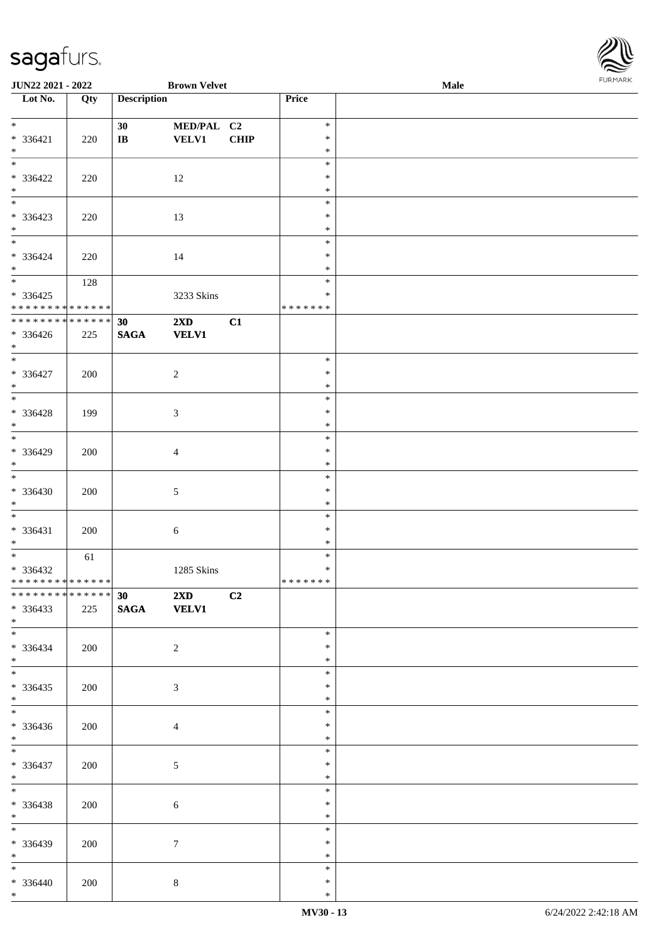| JUN22 2021 - 2022                                           |     |                    | <b>Brown Velvet</b>        |             |                  | Male | <b>FURMARK</b> |
|-------------------------------------------------------------|-----|--------------------|----------------------------|-------------|------------------|------|----------------|
| Lot No.                                                     | Qty | <b>Description</b> |                            |             | Price            |      |                |
| $\overline{\ast}$                                           |     |                    |                            |             | $\ast$           |      |                |
| $* 336421$                                                  |     | 30<br>$\bf I\bf B$ | MED/PAL C2<br><b>VELV1</b> | <b>CHIP</b> | $\ast$           |      |                |
| $*$                                                         | 220 |                    |                            |             | $\ast$           |      |                |
| $*$                                                         |     |                    |                            |             | $\ast$           |      |                |
| $* 336422$                                                  | 220 |                    | 12                         |             | $\ast$           |      |                |
| $*$                                                         |     |                    |                            |             | $\ast$           |      |                |
| $*$                                                         |     |                    |                            |             | $\ast$           |      |                |
| $* 336423$                                                  | 220 |                    | 13                         |             | $\ast$           |      |                |
| $*$<br>$\overline{\phantom{0}}$                             |     |                    |                            |             | $\ast$           |      |                |
|                                                             |     |                    |                            |             | $\ast$           |      |                |
| $* 336424$<br>$*$                                           | 220 |                    | 14                         |             | $\ast$<br>$\ast$ |      |                |
|                                                             | 128 |                    |                            |             | $\ast$           |      |                |
| $* 336425$                                                  |     |                    | 3233 Skins                 |             | $\ast$           |      |                |
| * * * * * * * * * * * * * *                                 |     |                    |                            |             | * * * * * * *    |      |                |
| ******** <mark>******</mark>                                |     | 30                 | $2\mathbf{X}\mathbf{D}$    | C1          |                  |      |                |
| $* 336426$                                                  | 225 | <b>SAGA</b>        | <b>VELV1</b>               |             |                  |      |                |
| $*$                                                         |     |                    |                            |             |                  |      |                |
|                                                             |     |                    |                            |             | $\ast$           |      |                |
| $* 336427$                                                  | 200 |                    | $\overline{c}$             |             | $\ast$           |      |                |
| $*$                                                         |     |                    |                            |             | $\ast$           |      |                |
|                                                             |     |                    |                            |             | $\ast$           |      |                |
| $* 336428$                                                  | 199 |                    | $\mathfrak{Z}$             |             | $\ast$<br>$\ast$ |      |                |
| $*$                                                         |     |                    |                            |             | $\ast$           |      |                |
| * 336429                                                    | 200 |                    | 4                          |             | $\ast$           |      |                |
| $*$                                                         |     |                    |                            |             | $\ast$           |      |                |
|                                                             |     |                    |                            |             | $\ast$           |      |                |
| $* 336430$                                                  | 200 |                    | $\sqrt{5}$                 |             | $\ast$           |      |                |
| $*$                                                         |     |                    |                            |             | $\ast$           |      |                |
|                                                             |     |                    |                            |             | $\ast$           |      |                |
| $* 336431$                                                  | 200 |                    | 6                          |             | $\ast$           |      |                |
| $*$                                                         |     |                    |                            |             | $\ast$           |      |                |
|                                                             | 61  |                    |                            |             | $\ast$           |      |                |
| * 336432                                                    |     |                    | 1285 Skins                 |             | $\ast$           |      |                |
| * * * * * * * * * * * * * *<br>******** <mark>******</mark> |     | 30                 |                            |             | *******          |      |                |
| $* 336433$                                                  | 225 | <b>SAGA</b>        | $2XD$ $C2$<br><b>VELV1</b> |             |                  |      |                |
| $*$                                                         |     |                    |                            |             |                  |      |                |
| $*$                                                         |     |                    |                            |             | $\ast$           |      |                |
| * 336434                                                    | 200 |                    | $\overline{2}$             |             | $\ast$           |      |                |
| $*$ $-$                                                     |     |                    |                            |             | $\ast$           |      |                |
|                                                             |     |                    |                            |             | $\ast$           |      |                |
| $* 336435$                                                  | 200 |                    | 3                          |             | $\ast$           |      |                |
| $*$ $-$                                                     |     |                    |                            |             | $\ast$           |      |                |
|                                                             |     |                    |                            |             | $\ast$           |      |                |
| $* 336436$                                                  | 200 |                    | $\overline{4}$             |             | $\ast$           |      |                |
| $*$                                                         |     |                    |                            |             | $\ast$<br>$\ast$ |      |                |
| $* 336437$                                                  | 200 |                    | 5                          |             | $\ast$           |      |                |
| $*$                                                         |     |                    |                            |             | $\ast$           |      |                |
| $*$                                                         |     |                    |                            |             | $\ast$           |      |                |
| * 336438                                                    | 200 |                    | 6                          |             | $\ast$           |      |                |
| $*$                                                         |     |                    |                            |             | $\ast$           |      |                |
| $*$                                                         |     |                    |                            |             | $\ast$           |      |                |
| $* 336439$                                                  | 200 |                    | $\tau$                     |             | $\ast$           |      |                |
| $*$ $*$                                                     |     |                    |                            |             | $\ast$           |      |                |
| $*$                                                         |     |                    |                            |             | $\ast$           |      |                |
| $* 336440$                                                  | 200 |                    | $\,8\,$                    |             | $\ast$           |      |                |
| $*$                                                         |     |                    |                            |             | $\ast$           |      |                |

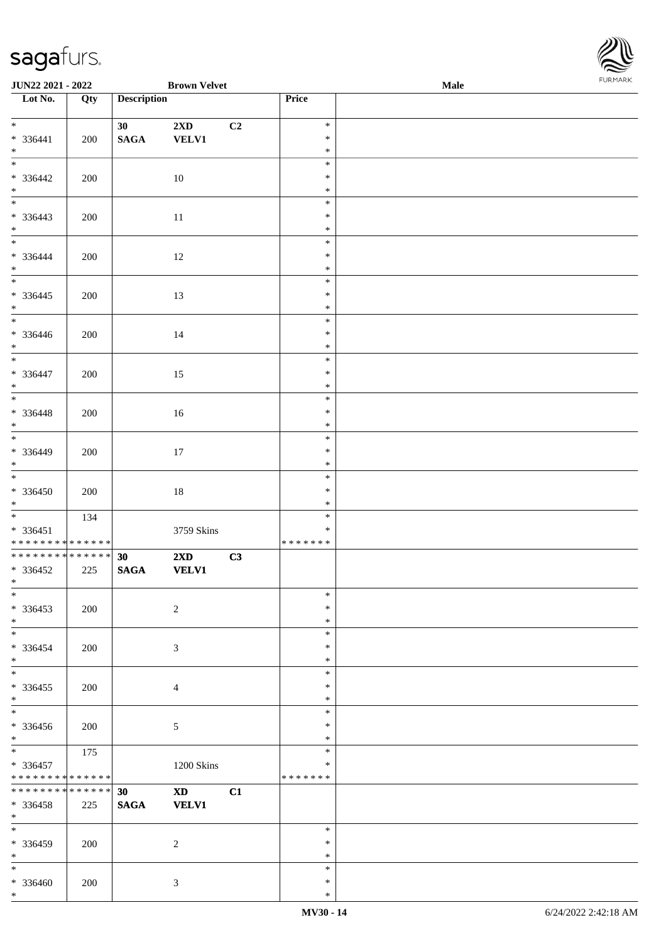| JUN22 2021 - 2022                                                   |     |                                | <b>Brown Velvet</b>                     |    |                                   | Male | <b>FURMAR</b> |
|---------------------------------------------------------------------|-----|--------------------------------|-----------------------------------------|----|-----------------------------------|------|---------------|
| $\overline{\phantom{1}}$ Lot No.                                    | Qty | <b>Description</b>             |                                         |    | <b>Price</b>                      |      |               |
| $*$ and $*$<br>$* 336441$<br>$\ast$                                 | 200 | 30 <sub>1</sub><br><b>SAGA</b> | $2\mathbf{X}\mathbf{D}$<br><b>VELV1</b> | C2 | $\ast$<br>$\ast$<br>$\ast$        |      |               |
| $\overline{\phantom{a}^*}$<br>$* 336442$<br>$\ast$                  | 200 |                                | 10                                      |    | $\ast$<br>$\ast$<br>$\ast$        |      |               |
| $\overline{\phantom{0}}$<br>$* 336443$<br>$\ast$                    | 200 |                                | $11\,$                                  |    | $\ast$<br>$\ast$<br>$\ast$        |      |               |
| $\overline{\phantom{a}^*}$<br>$* 336444$<br>$\ast$                  | 200 |                                | 12                                      |    | $\ast$<br>$\ast$<br>$\ast$        |      |               |
| $\frac{1}{1}$<br>$*336445$<br>$\ast$                                | 200 |                                | 13                                      |    | $\ast$<br>$\ast$<br>$\ast$        |      |               |
| $\overline{\phantom{a}^*}$<br>$* 336446$<br>$*$                     | 200 |                                | $14\,$                                  |    | $\ast$<br>$\ast$<br>$\ast$        |      |               |
| $\overline{\phantom{a}^*}$<br>$* 336447$<br>$\ast$                  | 200 |                                | 15                                      |    | $\ast$<br>$\ast$<br>$\ast$        |      |               |
| $\overline{\phantom{a}^*}$<br>$* 336448$<br>$*$                     | 200 |                                | 16                                      |    | $\ast$<br>$\ast$<br>$\ast$        |      |               |
| $\overline{\phantom{0}}$<br>* 336449<br>$\ast$                      | 200 |                                | 17                                      |    | $\ast$<br>$\ast$<br>$\ast$        |      |               |
| $\overline{\phantom{a}^*}$<br>* 336450<br>$\ast$                    | 200 |                                | $18\,$                                  |    | $\ast$<br>$\ast$<br>$\ast$        |      |               |
| $\overline{\phantom{0}}$<br>$* 336451$<br>**************            | 134 |                                | 3759 Skins                              |    | $\ast$<br>$\ast$<br>* * * * * * * |      |               |
| ******** <mark>******</mark><br>$*336452$<br>$\ast$                 | 225 | 30<br>$\mathbf{SAGA}$          | 2XD<br><b>VELV1</b>                     | C3 |                                   |      |               |
| $\ast$<br>$*336453$<br>$\ast$                                       | 200 |                                | $\sqrt{2}$                              |    | $\ast$<br>$\ast$<br>$\ast$        |      |               |
| $\ast$<br>$* 336454$<br>$\ast$                                      | 200 |                                | $\mathfrak{Z}$                          |    | $\ast$<br>$\ast$<br>$\ast$        |      |               |
| $\ast$<br>$*336455$<br>$\ast$                                       | 200 |                                | $\overline{4}$                          |    | $\ast$<br>$\ast$<br>$\ast$        |      |               |
| $\overline{\phantom{a}^*}$<br>* 336456<br>$\ast$                    | 200 |                                | 5                                       |    | $\ast$<br>∗<br>$\ast$             |      |               |
| $\overline{\phantom{0}}$<br>* 336457<br>* * * * * * * * * * * * * * | 175 |                                | 1200 Skins                              |    | $\ast$<br>$\ast$<br>* * * * * * * |      |               |
| **************<br>$*336458$<br>$\ast$                               | 225 | 30<br><b>SAGA</b>              | XD <sub>2</sub><br><b>VELV1</b>         | C1 |                                   |      |               |
| $\overline{\phantom{a}^*}$<br>$* 336459$<br>$\ast$                  | 200 |                                | $\overline{2}$                          |    | $\ast$<br>$\ast$<br>$\ast$        |      |               |
| $\overline{\phantom{a}^*}$<br>$* 336460$<br>$\ast$                  | 200 |                                | $\mathfrak{Z}$                          |    | $\ast$<br>$\ast$<br>$\ast$        |      |               |

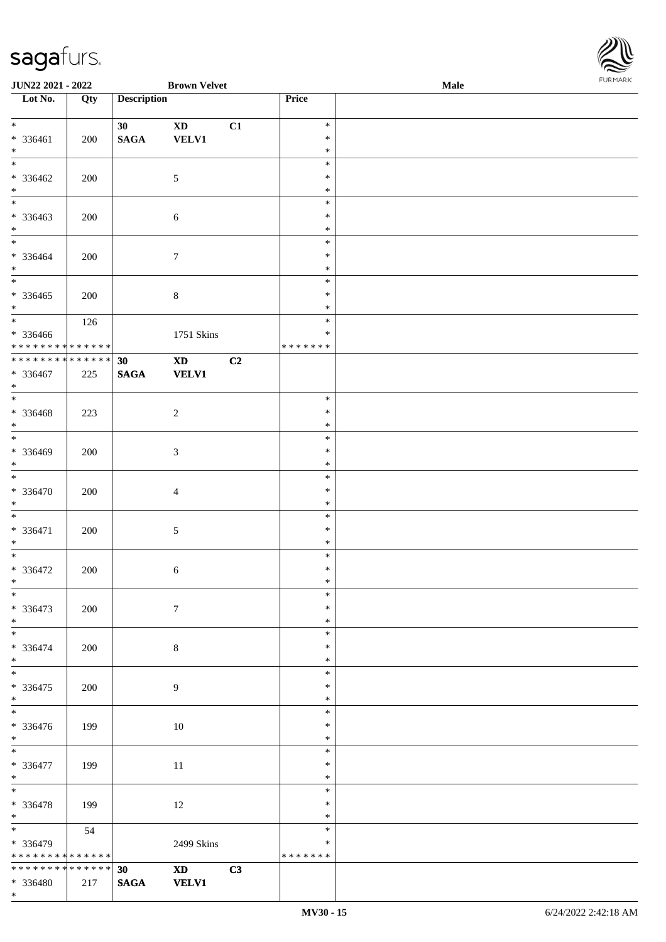\*



| JUN22 2021 - 2022                          |        |                    | <b>Brown Velvet</b>        |    |                  | Male | <b>FUNITANN</b> |
|--------------------------------------------|--------|--------------------|----------------------------|----|------------------|------|-----------------|
| Lot No.                                    | Qty    | <b>Description</b> |                            |    | Price            |      |                 |
|                                            |        |                    |                            |    |                  |      |                 |
| $*$                                        |        | 30                 | $\boldsymbol{\mathrm{XD}}$ | C1 | $\ast$           |      |                 |
| * 336461                                   | 200    | $\mathbf{SAGA}$    | <b>VELV1</b>               |    | $\ast$           |      |                 |
| $*$<br>$*$                                 |        |                    |                            |    | $\ast$<br>$\ast$ |      |                 |
| * 336462                                   |        |                    | $\mathfrak{S}$             |    | $\ast$           |      |                 |
| $*$                                        | 200    |                    |                            |    | $\ast$           |      |                 |
| $\overline{\phantom{0}}$                   |        |                    |                            |    | $\ast$           |      |                 |
| * 336463                                   | 200    |                    | $\sqrt{6}$                 |    | $\ast$           |      |                 |
| $*$                                        |        |                    |                            |    | $\ast$           |      |                 |
|                                            |        |                    |                            |    | $\ast$           |      |                 |
| * 336464                                   | 200    |                    | $\tau$                     |    | $\ast$           |      |                 |
| $*$                                        |        |                    |                            |    | $\ast$           |      |                 |
| $\overline{\phantom{0}}$                   |        |                    |                            |    | $\ast$           |      |                 |
| $* 336465$                                 | 200    |                    | $\,8\,$                    |    | $\ast$           |      |                 |
| $*$<br>$\overline{\ast}$                   |        |                    |                            |    | $\ast$           |      |                 |
|                                            | 126    |                    |                            |    | $\ast$<br>$\ast$ |      |                 |
| * 336466<br>* * * * * * * * * * * * * *    |        |                    | 1751 Skins                 |    | *******          |      |                 |
| * * * * * * * * <mark>* * * * * * *</mark> |        | 30                 | $\boldsymbol{\mathrm{XD}}$ | C2 |                  |      |                 |
| $* 336467$                                 | 225    | $\mathbf{SAGA}$    | <b>VELV1</b>               |    |                  |      |                 |
| $*$                                        |        |                    |                            |    |                  |      |                 |
|                                            |        |                    |                            |    | $\ast$           |      |                 |
| $* 336468$                                 | 223    |                    | $\overline{2}$             |    | $\ast$           |      |                 |
| $*$                                        |        |                    |                            |    | $\ast$           |      |                 |
| $\overline{\phantom{0}}$                   |        |                    |                            |    | $\ast$           |      |                 |
| * 336469                                   | 200    |                    | 3                          |    | $\ast$           |      |                 |
| $*$                                        |        |                    |                            |    | $\ast$<br>$\ast$ |      |                 |
| * 336470                                   | 200    |                    |                            |    | $\ast$           |      |                 |
| $*$                                        |        |                    | $\overline{4}$             |    | $\ast$           |      |                 |
| $\overline{\ast}$                          |        |                    |                            |    | $\ast$           |      |                 |
| * 336471                                   | 200    |                    | $\sqrt{5}$                 |    | $\ast$           |      |                 |
| $*$                                        |        |                    |                            |    | $\ast$           |      |                 |
| $*$                                        |        |                    |                            |    | $\ast$           |      |                 |
| $* 336472$                                 | 200    |                    | 6                          |    | $\ast$           |      |                 |
| $\ast$                                     |        |                    |                            |    | $\ast$           |      |                 |
| $*$                                        |        |                    |                            |    | $\ast$           |      |                 |
| $* 336473$                                 | 200    |                    | $7\phantom{.0}$            |    | $\ast$<br>$\ast$ |      |                 |
| $*$                                        |        |                    |                            |    | $\ast$           |      |                 |
| * 336474                                   | 200    |                    | $8\,$                      |    | $\ast$           |      |                 |
| $*$                                        |        |                    |                            |    | $\ast$           |      |                 |
| $\overline{\phantom{0}}$                   |        |                    |                            |    | $\ast$           |      |                 |
| $* 336475$                                 | 200    |                    | 9                          |    | $\ast$           |      |                 |
| $*$                                        |        |                    |                            |    | $\ast$           |      |                 |
|                                            |        |                    |                            |    | $\ast$           |      |                 |
| * 336476                                   | 199    |                    | 10                         |    | $\ast$           |      |                 |
| $*$<br>$\overline{\ast}$                   |        |                    |                            |    | $\ast$           |      |                 |
|                                            |        |                    |                            |    | $\ast$<br>$\ast$ |      |                 |
| * 336477<br>$*$                            | 199    |                    | 11                         |    | $\ast$           |      |                 |
| $*$                                        |        |                    |                            |    | $\ast$           |      |                 |
| * 336478                                   | 199    |                    | 12                         |    | $\ast$           |      |                 |
| $*$                                        |        |                    |                            |    | $\ast$           |      |                 |
| $*$ and $*$                                | 54     |                    |                            |    | $\ast$           |      |                 |
| * 336479                                   |        |                    | 2499 Skins                 |    | ∗                |      |                 |
| * * * * * * * * * * * * * *                |        |                    |                            |    | * * * * * * *    |      |                 |
| * * * * * * * *                            | ****** | 30 <sup>°</sup>    | $\mathbf{X}\mathbf{D}$     | C3 |                  |      |                 |
| * 336480                                   | 217    | <b>SAGA</b>        | <b>VELV1</b>               |    |                  |      |                 |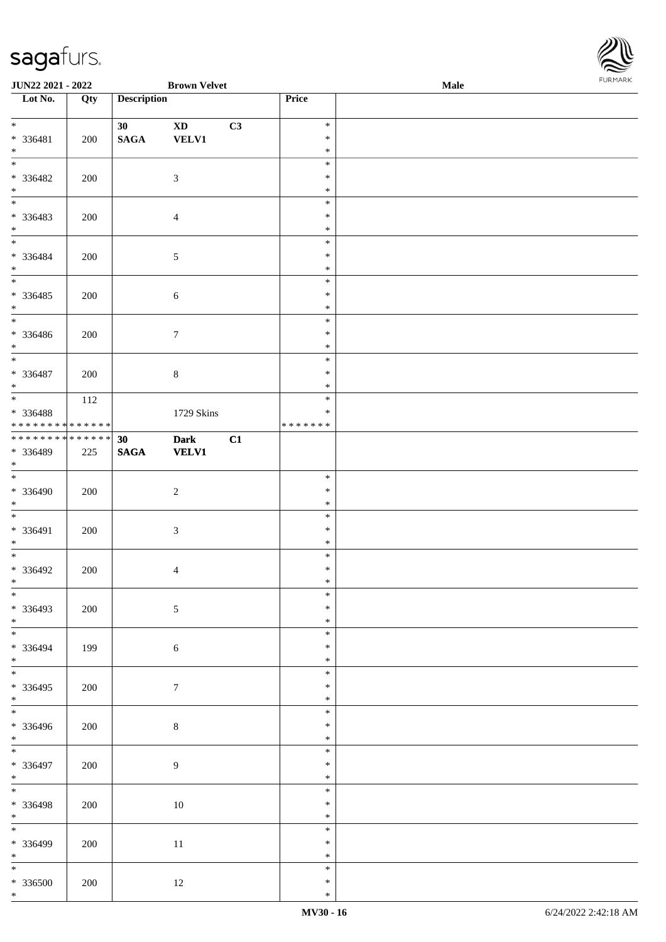

| <b>JUN22 2021 - 2022</b>                        |     |                    | <b>Brown Velvet</b>                    |    |                                      | <b>Male</b> |  |
|-------------------------------------------------|-----|--------------------|----------------------------------------|----|--------------------------------------|-------------|--|
| $\overline{\phantom{1}}$ Lot No.                | Qty | <b>Description</b> |                                        |    | Price                                |             |  |
| $*$<br>* 336481<br>$*$                          | 200 | 30<br><b>SAGA</b>  | $\mathbf{X}\mathbf{D}$<br><b>VELV1</b> | C3 | $\ast$<br>$\ast$<br>$\ast$           |             |  |
| * 336482<br>$*$                                 | 200 |                    | $\mathfrak{Z}$                         |    | $\ast$<br>$\ast$<br>$\ast$           |             |  |
| * 336483<br>$*$                                 | 200 |                    | $\overline{4}$                         |    | $\ast$<br>$\ast$<br>$\ast$           |             |  |
| $*$<br>* 336484<br>$*$                          | 200 |                    | $\mathfrak{S}$                         |    | $\ast$<br>$\ast$<br>$\ast$           |             |  |
| * 336485<br>$*$                                 | 200 |                    | $\sqrt{6}$                             |    | $\ast$<br>$\ast$<br>$\ast$           |             |  |
| * 336486<br>$*$                                 | 200 |                    | $\boldsymbol{7}$                       |    | $\ast$<br>$\ast$<br>$\ast$           |             |  |
| $* 336487$<br>$*$                               | 200 |                    | $\,8\,$                                |    | $\ast$<br>$\ast$<br>$\ast$           |             |  |
| * 336488<br>* * * * * * * * * * * * * *         | 112 |                    | 1729 Skins                             |    | $\ast$<br>$\ast$<br>* * * * * * *    |             |  |
| ******** <mark>******</mark><br>* 336489<br>$*$ | 225 | 30<br><b>SAGA</b>  | <b>Dark</b><br><b>VELV1</b>            | C1 |                                      |             |  |
| * 336490<br>$*$<br>$*$                          | 200 |                    | $\overline{2}$                         |    | $\ast$<br>$\ast$<br>$\ast$           |             |  |
| * 336491<br>$*$<br>$*$                          | 200 |                    | $\mathfrak{Z}$                         |    | $\ast$<br>$\ast$<br>$\ast$           |             |  |
| * 336492<br>$*$ $-$<br>$*$                      | 200 |                    | $\overline{4}$                         |    | $\ast$<br>$\ast$<br>$\ast$<br>$\ast$ |             |  |
| * 336493<br>$*$<br>$\overline{\mathbf{r}}$      | 200 |                    | $\mathfrak{S}$                         |    | $\ast$<br>$\ast$                     |             |  |
| * 336494<br>$*$<br>$*$                          | 199 |                    | $\sqrt{6}$                             |    | $\ast$<br>$\ast$<br>$\ast$<br>$\ast$ |             |  |
| * 336495<br>$*$                                 | 200 |                    | $\tau$                                 |    | $\ast$<br>$\ast$<br>$\ast$           |             |  |
| * 336496<br>$*$<br>$*$                          | 200 |                    | $\,8\,$                                |    | $\ast$<br>$\ast$<br>$\ast$           |             |  |
| * 336497<br>$*$<br>$*$                          | 200 |                    | $\overline{9}$                         |    | $\ast$<br>$\ast$                     |             |  |
| * 336498<br>$*$<br>$\overline{\ }$              | 200 |                    | $10\,$                                 |    | $\ast$<br>$\ast$<br>$\ast$           |             |  |
| * 336499<br>$*$                                 | 200 |                    | 11                                     |    | $\ast$<br>$\ast$<br>$\ast$           |             |  |
| $*$<br>* 336500<br>$*$                          | 200 |                    | 12                                     |    | $\ast$<br>$\ast$<br>$\ast$           |             |  |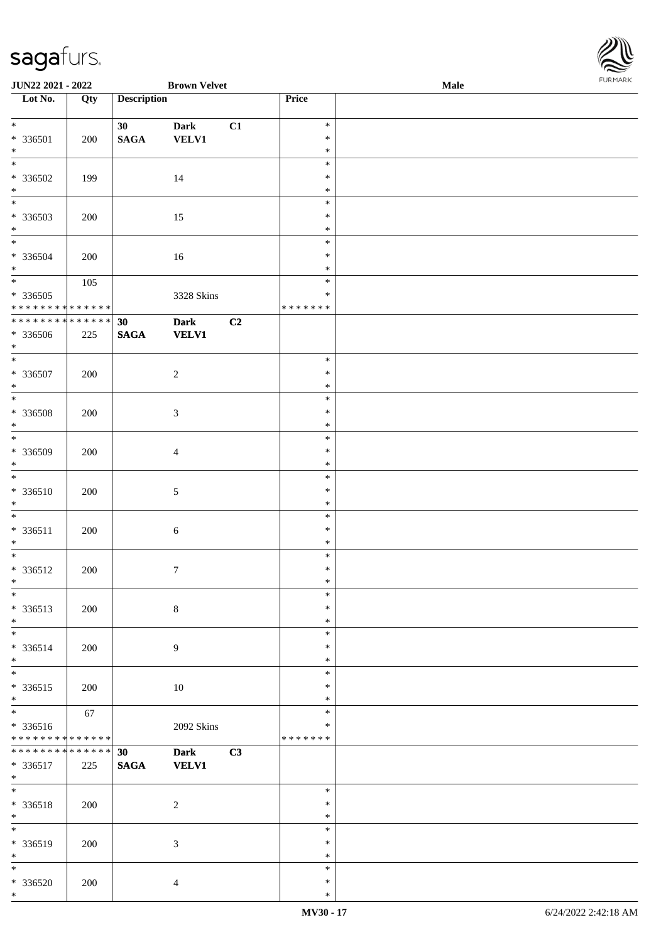\*

| JUN22 2021 - 2022                                                                     |     |                                    | <b>Brown Velvet</b>         |    |                                      | Male | FURMARK |
|---------------------------------------------------------------------------------------|-----|------------------------------------|-----------------------------|----|--------------------------------------|------|---------|
| Lot No.                                                                               | Qty | <b>Description</b>                 |                             |    | Price                                |      |         |
| $*$<br>* 336501<br>$*$                                                                | 200 | 30 <sup>1</sup><br>$\mathbf{SAGA}$ | <b>Dark</b><br>VELV1        | C1 | $\ast$<br>$\ast$<br>$\ast$           |      |         |
| $*$<br>* 336502<br>$*$                                                                | 199 |                                    | 14                          |    | $\ast$<br>$\ast$<br>$\ast$           |      |         |
| $*$<br>* 336503<br>$*$                                                                | 200 |                                    | 15                          |    | $\ast$<br>$\ast$<br>$\ast$           |      |         |
| * 336504<br>$*$                                                                       | 200 |                                    | 16                          |    | $\ast$<br>$\ast$<br>$\ast$<br>$\ast$ |      |         |
| * 336505<br>* * * * * * * * * * * * * *<br>* * * * * * * * <mark>* * * * * * *</mark> | 105 |                                    | 3328 Skins                  |    | $\ast$<br>* * * * * * *              |      |         |
| * 336506<br>$*$                                                                       | 225 | 30<br><b>SAGA</b>                  | <b>Dark</b><br><b>VELV1</b> | C2 |                                      |      |         |
| * 336507<br>$\ast$<br>$\overline{\ }$                                                 | 200 |                                    | $\overline{c}$              |    | $\ast$<br>$\ast$<br>$\ast$           |      |         |
| * 336508<br>$*$                                                                       | 200 |                                    | $\mathfrak{Z}$              |    | $\ast$<br>$\ast$<br>$\ast$           |      |         |
| * 336509<br>$*$                                                                       | 200 |                                    | $\overline{\mathcal{A}}$    |    | $\ast$<br>$\ast$<br>$\ast$           |      |         |
| $* 336510$<br>$*$<br>$\overline{\phantom{0}}$                                         | 200 |                                    | 5                           |    | $\ast$<br>$\ast$<br>$\ast$           |      |         |
| * 336511<br>$*$                                                                       | 200 |                                    | 6                           |    | $\ast$<br>$\ast$<br>$\ast$           |      |         |
| * 336512<br>$\ast$                                                                    | 200 |                                    | $\boldsymbol{7}$            |    | $\ast$<br>$\ast$<br>∗                |      |         |
| * 336513<br>$*$<br>$\overline{\ }$                                                    | 200 |                                    | $\,8\,$                     |    | $\ast$<br>$\ast$<br>$\ast$           |      |         |
| * 336514<br>$*$<br>$\ast$                                                             | 200 |                                    | 9                           |    | $\ast$<br>$\ast$<br>$\ast$           |      |         |
| * 336515<br>$*$                                                                       | 200 |                                    | 10                          |    | $\ast$<br>$\ast$<br>$\ast$           |      |         |
| * 336516<br>* * * * * * * * <mark>* * * * * * *</mark>                                | 67  |                                    | 2092 Skins                  |    | $\ast$<br>*<br>* * * * * * *         |      |         |
| * * * * * * * * <mark>* * * * * * *</mark><br>$* 336517$<br>$\ast$                    | 225 | 30<br><b>SAGA</b>                  | <b>Dark</b><br><b>VELV1</b> | C3 |                                      |      |         |
| $*$<br>* 336518<br>$*$                                                                | 200 |                                    | $\overline{c}$              |    | $\ast$<br>$\ast$<br>$\ast$           |      |         |
| $*$<br>* 336519<br>$*$                                                                | 200 |                                    | 3                           |    | $\ast$<br>$\ast$<br>$\ast$           |      |         |
| $\ast$<br>$* 336520$<br>$\ast$                                                        | 200 |                                    | $\overline{4}$              |    | $\ast$<br>$\ast$<br>$\ast$           |      |         |

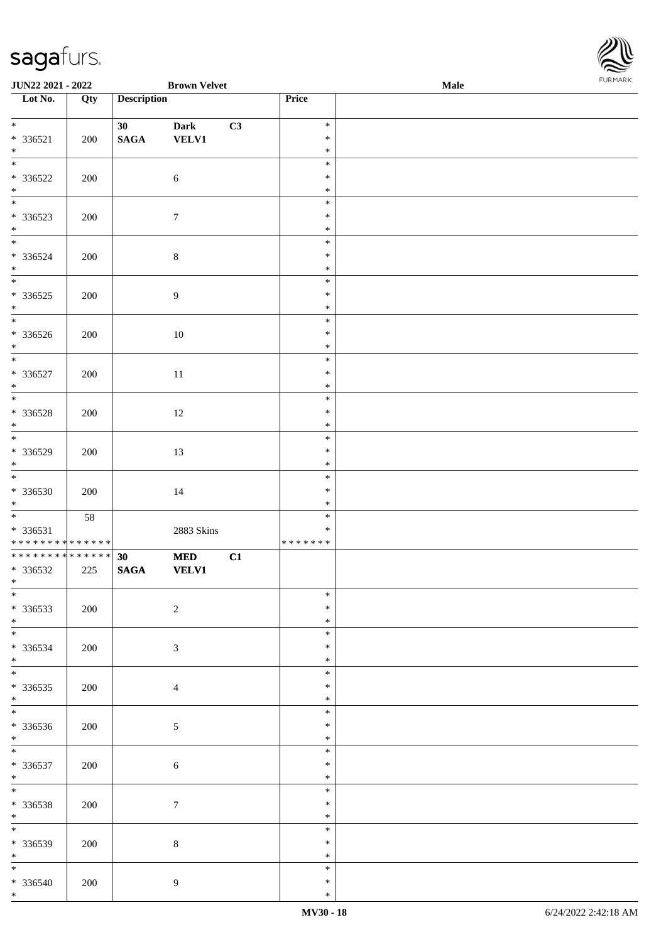| Lot No.                                                               | Qty | <b>Description</b>                 |                             |    | Price                       |  |
|-----------------------------------------------------------------------|-----|------------------------------------|-----------------------------|----|-----------------------------|--|
| $\overline{\ast}$<br>* 336521<br>$\ast$                               | 200 | 30 <sup>1</sup><br>$\mathbf{SAGA}$ | <b>Dark</b><br><b>VELV1</b> | C3 | $\ast$<br>$\ast$<br>$\ast$  |  |
| $\overline{\phantom{1}}$<br>* 336522<br>$\ast$                        | 200 |                                    | $\sqrt{6}$                  |    | $\ast$<br>$\ast$<br>$\ast$  |  |
| $\overline{\phantom{0}}$<br>* 336523<br>$\ast$                        | 200 |                                    | $\boldsymbol{7}$            |    | $\ast$<br>$\ast$<br>$\ast$  |  |
| $\overline{\phantom{0}}$<br>$* 336524$<br>$\ast$                      | 200 |                                    | $8\,$                       |    | $\ast$<br>$\ast$<br>$\ast$  |  |
| $\overline{\phantom{0}}$<br>$*336525$<br>$\ast$                       | 200 |                                    | $\boldsymbol{9}$            |    | $\ast$<br>$\ast$<br>$\ast$  |  |
| $\overline{\phantom{0}}$<br>* 336526<br>$\ast$                        | 200 |                                    | $10\,$                      |    | $\ast$<br>$\ast$<br>$\ast$  |  |
| $\overline{\ast}$<br>$* 336527$<br>$\ast$                             | 200 |                                    | $11\,$                      |    | $\ast$<br>$\ast$<br>$\ast$  |  |
| $\overline{\phantom{a}^*}$<br>* 336528<br>$\ast$                      | 200 |                                    | $12\,$                      |    | $\ast$<br>$\ast$<br>$\ast$  |  |
| $\ast$<br>* 336529<br>$\ast$                                          | 200 |                                    | 13                          |    | $\ast$<br>*<br>$\ast$       |  |
| $\overline{\ast}$<br>* 336530<br>$\ast$                               | 200 |                                    | $14\,$                      |    | $\ast$<br>$\ast$<br>$\ast$  |  |
| $\overline{\phantom{a}}$<br>* 336531<br>******** <mark>*****</mark> * | 58  |                                    | 2883 Skins                  |    | $\ast$<br>$\ast$<br>******* |  |
| **************<br>* 336532<br>$*$                                     | 225 | 30<br><b>SAGA</b>                  | <b>MED</b><br><b>VELV1</b>  | C1 |                             |  |
| $\ast$<br>* 336533<br>$\ast$                                          | 200 |                                    | $\sqrt{2}$                  |    | $\ast$<br>$\ast$<br>$\ast$  |  |
| $\frac{1}{1}$<br>* 336534<br>$\ast$                                   | 200 |                                    | $\sqrt{3}$                  |    | $\ast$<br>∗<br>$\ast$       |  |
| $\ast$<br>$*336535$<br>$\ast$                                         | 200 |                                    | $\overline{4}$              |    | $\ast$<br>∗<br>$\ast$       |  |
| $\ast$<br>$*336536$<br>$\ast$                                         | 200 |                                    | $\sqrt{5}$                  |    | $\ast$<br>∗<br>$\ast$       |  |
| $_*^-$<br>$* 336537$<br>$\ast$                                        | 200 |                                    | $\sqrt{6}$                  |    | $\ast$<br>$\ast$<br>$\ast$  |  |
| $\ast$<br>* 336538<br>$\ast$                                          | 200 |                                    | $\boldsymbol{7}$            |    | $\ast$<br>$\ast$<br>$\ast$  |  |
| $\ast$<br>* 336539<br>$\ast$                                          | 200 |                                    | $8\,$                       |    | $\ast$<br>$\ast$<br>$\ast$  |  |
| $\ast$<br>$* 336540$<br>$*$                                           | 200 |                                    | $\overline{9}$              |    | $\ast$<br>$\ast$<br>*       |  |

**JUN22 2021 - 2022 Brown Velvet Male**

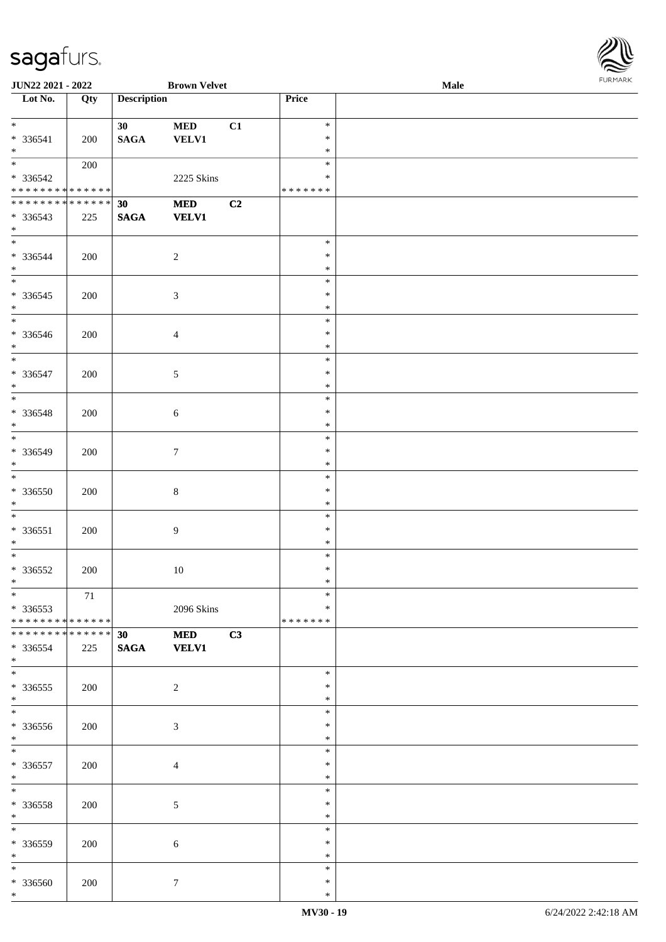| ۱           |
|-------------|
| URMARK<br>F |

| JUN22 2021 - 2022                          |     |                    | <b>Brown Velvet</b> |    |               | Male | <b>FURPIARR</b> |
|--------------------------------------------|-----|--------------------|---------------------|----|---------------|------|-----------------|
| Lot No.                                    | Qty | <b>Description</b> |                     |    | Price         |      |                 |
|                                            |     |                    |                     |    |               |      |                 |
|                                            |     | 30 <sup>1</sup>    | <b>MED</b>          | C1 | $\ast$        |      |                 |
| * 336541                                   | 200 | $\mathbf{SAGA}$    | <b>VELV1</b>        |    | $\ast$        |      |                 |
| $*$                                        |     |                    |                     |    | $\ast$        |      |                 |
|                                            | 200 |                    |                     |    | $\ast$        |      |                 |
| * 336542                                   |     |                    | 2225 Skins          |    | $\ast$        |      |                 |
| * * * * * * * * <mark>* * * * * *</mark>   |     |                    |                     |    | *******       |      |                 |
| * * * * * * * * <mark>* * * * * * *</mark> |     | 30                 | <b>MED</b>          | C2 |               |      |                 |
| * 336543                                   | 225 | <b>SAGA</b>        | <b>VELV1</b>        |    |               |      |                 |
| $*$                                        |     |                    |                     |    |               |      |                 |
| $\overline{\ast}$                          |     |                    |                     |    | $\ast$        |      |                 |
| $* 336544$                                 | 200 |                    | $\overline{c}$      |    | $\ast$        |      |                 |
| $*$                                        |     |                    |                     |    | $\ast$        |      |                 |
|                                            |     |                    |                     |    | $\ast$        |      |                 |
| * 336545                                   | 200 |                    | $\mathfrak{Z}$      |    | $\ast$        |      |                 |
| $*$                                        |     |                    |                     |    | $\ast$        |      |                 |
|                                            |     |                    |                     |    | $\ast$        |      |                 |
|                                            |     |                    |                     |    | $\ast$        |      |                 |
| * 336546<br>$*$                            | 200 |                    | $\overline{4}$      |    | $\ast$        |      |                 |
| $*$                                        |     |                    |                     |    | $\ast$        |      |                 |
| * 336547                                   |     |                    |                     |    | $\ast$        |      |                 |
|                                            | 200 |                    | $\mathfrak{S}$      |    |               |      |                 |
| $*$                                        |     |                    |                     |    | $\ast$        |      |                 |
|                                            |     |                    |                     |    | $\ast$        |      |                 |
| * 336548                                   | 200 |                    | $\sqrt{6}$          |    | $\ast$        |      |                 |
| $*$                                        |     |                    |                     |    | $\ast$        |      |                 |
|                                            |     |                    |                     |    | $\ast$        |      |                 |
| * 336549                                   | 200 |                    | $\tau$              |    | $\ast$        |      |                 |
| $*$                                        |     |                    |                     |    | $\ast$        |      |                 |
|                                            |     |                    |                     |    | $\ast$        |      |                 |
| $* 336550$                                 | 200 |                    | $\,8\,$             |    | $\ast$        |      |                 |
| $*$                                        |     |                    |                     |    | $\ast$        |      |                 |
|                                            |     |                    |                     |    | $\ast$        |      |                 |
| * 336551                                   | 200 |                    | 9                   |    | $\ast$        |      |                 |
| $*$                                        |     |                    |                     |    | $\ast$        |      |                 |
|                                            |     |                    |                     |    | $\ast$        |      |                 |
| $* 336552$                                 | 200 |                    | 10                  |    | $\ast$        |      |                 |
| $*$                                        |     |                    |                     |    | *             |      |                 |
| $*$                                        | 71  |                    |                     |    | $\ast$        |      |                 |
| $*336553$                                  |     |                    | 2096 Skins          |    | $\ast$        |      |                 |
| * * * * * * * * <mark>* * * * * * *</mark> |     |                    |                     |    | * * * * * * * |      |                 |
| * * * * * * * * <mark>* * * * * *</mark>   |     | 30 <sup>°</sup>    | <b>MED</b>          | C3 |               |      |                 |
| * 336554                                   | 225 | <b>SAGA</b>        | <b>VELV1</b>        |    |               |      |                 |
| $*$                                        |     |                    |                     |    |               |      |                 |
|                                            |     |                    |                     |    | $\ast$        |      |                 |
| * 336555                                   | 200 |                    | $\overline{2}$      |    | ∗             |      |                 |
| $*$                                        |     |                    |                     |    | $\ast$        |      |                 |
| $\frac{1}{1}$                              |     |                    |                     |    | $\ast$        |      |                 |
| * 336556                                   | 200 |                    | $\mathfrak{Z}$      |    | ∗             |      |                 |
| $*$                                        |     |                    |                     |    | $\ast$        |      |                 |
| $*$                                        |     |                    |                     |    | $\ast$        |      |                 |
| * 336557                                   | 200 |                    | $\overline{4}$      |    | $\ast$        |      |                 |
| $*$                                        |     |                    |                     |    | $\ast$        |      |                 |
| $*$                                        |     |                    |                     |    | $\ast$        |      |                 |
| * 336558                                   | 200 |                    | $\sqrt{5}$          |    | ∗             |      |                 |
| $*$                                        |     |                    |                     |    | $\ast$        |      |                 |
| $*$                                        |     |                    |                     |    | $\ast$        |      |                 |
|                                            |     |                    |                     |    | $\ast$        |      |                 |
| * 336559                                   | 200 |                    | $\sqrt{6}$          |    | $\ast$        |      |                 |
| $*$<br>$*$                                 |     |                    |                     |    | $\ast$        |      |                 |
|                                            |     |                    |                     |    |               |      |                 |
| * 336560                                   | 200 |                    | $7\phantom{.0}$     |    | $\ast$        |      |                 |
| $*$                                        |     |                    |                     |    | $\ast$        |      |                 |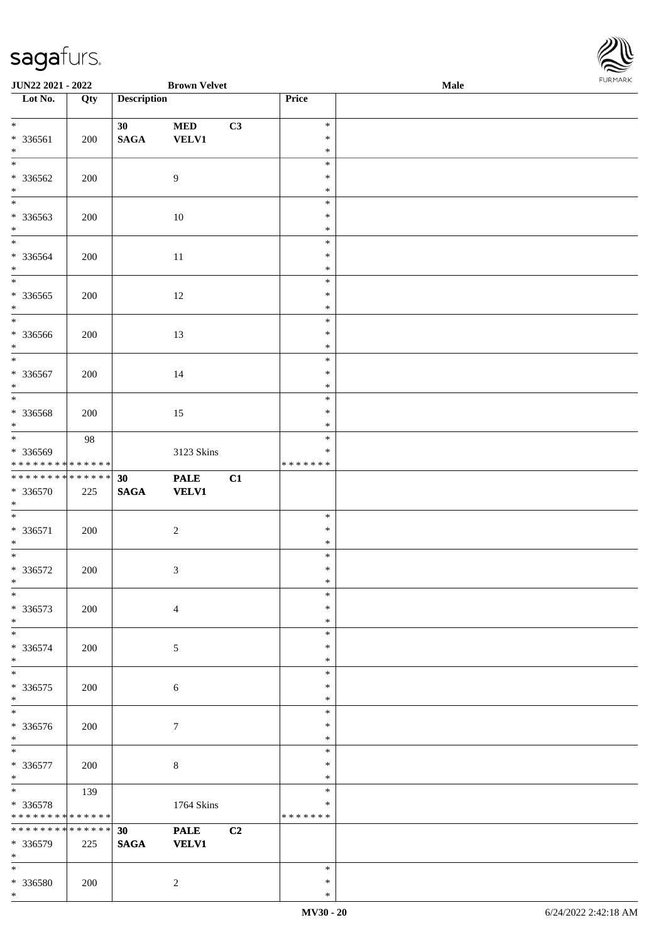\*

| JUN22 2021 - 2022                |     |                    | <b>Brown Velvet</b> |    |                  | <b>Male</b> | 10111111111 |
|----------------------------------|-----|--------------------|---------------------|----|------------------|-------------|-------------|
| $\overline{\phantom{1}}$ Lot No. | Qty | <b>Description</b> |                     |    | Price            |             |             |
|                                  |     |                    |                     |    |                  |             |             |
| $*$                              |     | 30                 | $\bf MED$           | C3 | $\ast$           |             |             |
| * 336561                         | 200 | $\mathbf{SAGA}$    | <b>VELV1</b>        |    | $\ast$           |             |             |
| $*$                              |     |                    |                     |    | $\ast$           |             |             |
| $*$                              |     |                    |                     |    | $\ast$           |             |             |
| * 336562                         | 200 |                    | 9                   |    | $\ast$           |             |             |
| $\ast$                           |     |                    |                     |    | $\ast$           |             |             |
|                                  |     |                    |                     |    | $\ast$           |             |             |
| * 336563<br>$\ast$               | 200 |                    | $10\,$              |    | $\ast$<br>$\ast$ |             |             |
| $\overline{\phantom{0}}$         |     |                    |                     |    | $\ast$           |             |             |
|                                  |     |                    |                     |    | $\ast$           |             |             |
| $* 336564$<br>$*$                | 200 |                    | $11\,$              |    | $\ast$           |             |             |
| $\overline{\phantom{0}}$         |     |                    |                     |    | $\ast$           |             |             |
| $* 336565$                       | 200 |                    | $12\,$              |    | $\ast$           |             |             |
| $\ast$                           |     |                    |                     |    | $\ast$           |             |             |
| $\overline{\phantom{0}}$         |     |                    |                     |    | $\ast$           |             |             |
| * 336566                         | 200 |                    | 13                  |    | $\ast$           |             |             |
| $\ast$                           |     |                    |                     |    | $\ast$           |             |             |
| $\overline{\ast}$                |     |                    |                     |    | $\ast$           |             |             |
| * 336567                         | 200 |                    | 14                  |    | $\ast$           |             |             |
| $\ast$                           |     |                    |                     |    | $\ast$           |             |             |
| $\overline{\phantom{0}}$         |     |                    |                     |    | $\ast$           |             |             |
| * 336568                         | 200 |                    | 15                  |    | $\ast$           |             |             |
| $\ast$                           |     |                    |                     |    | $\ast$           |             |             |
|                                  | 98  |                    |                     |    | $\ast$           |             |             |
| * 336569                         |     |                    | 3123 Skins          |    | *                |             |             |
| ******** <mark>******</mark>     |     |                    |                     |    | * * * * * * *    |             |             |
| ******** <mark>******</mark>     |     | 30                 | <b>PALE</b>         | C1 |                  |             |             |
| * 336570                         | 225 | $\mathbf{SAGA}$    | <b>VELV1</b>        |    |                  |             |             |
| $*$                              |     |                    |                     |    |                  |             |             |
| $\ast$                           |     |                    |                     |    | $\ast$           |             |             |
| $* 336571$                       | 200 |                    | $\sqrt{2}$          |    | $\ast$           |             |             |
| $*$                              |     |                    |                     |    | $\ast$           |             |             |
| $\overline{\phantom{0}}$         |     |                    |                     |    | $\ast$           |             |             |
| $* 336572$                       | 200 |                    | $\sqrt{3}$          |    | $\ast$           |             |             |
| $*$<br>$\ast$                    |     |                    |                     |    | $\ast$<br>$\ast$ |             |             |
|                                  |     |                    |                     |    | $\ast$           |             |             |
| * 336573<br>$\ast$               | 200 |                    | $\overline{4}$      |    | $\ast$           |             |             |
| $\ast$                           |     |                    |                     |    | $\ast$           |             |             |
| * 336574                         |     |                    |                     |    | $\ast$           |             |             |
| $\ast$                           | 200 |                    | 5                   |    | $\ast$           |             |             |
| $\ast$                           |     |                    |                     |    | $\ast$           |             |             |
| $*336575$                        | 200 |                    | 6                   |    | ∗                |             |             |
| $\ast$                           |     |                    |                     |    | $\ast$           |             |             |
| $\ast$                           |     |                    |                     |    | $\ast$           |             |             |
| * 336576                         | 200 |                    | $\tau$              |    | $\ast$           |             |             |
| $*$                              |     |                    |                     |    | $\ast$           |             |             |
| $\ast$                           |     |                    |                     |    | $\ast$           |             |             |
| * 336577                         | 200 |                    | $8\,$               |    | $\ast$           |             |             |
| $*$                              |     |                    |                     |    | $\ast$           |             |             |
| $*$                              | 139 |                    |                     |    | $\ast$           |             |             |
| * 336578                         |     |                    | 1764 Skins          |    | *                |             |             |
| * * * * * * * * * * * * * *      |     |                    |                     |    | * * * * * * *    |             |             |
| * * * * * * * * * * * * * * *    |     | 30                 | <b>PALE</b>         | C2 |                  |             |             |
| * 336579                         | 225 | $\mathbf{SAGA}$    | <b>VELV1</b>        |    |                  |             |             |
| $*$                              |     |                    |                     |    |                  |             |             |
| $\ast$                           |     |                    |                     |    | $\ast$           |             |             |
| * 336580                         | 200 |                    | $\overline{2}$      |    | $\ast$           |             |             |

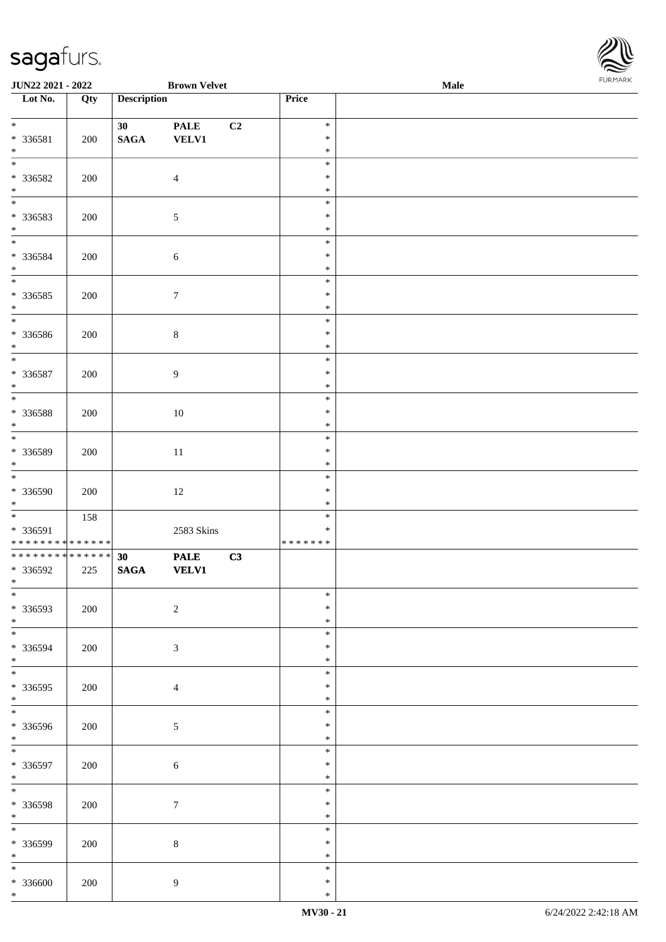

| JUN22 2021 - 2022                                                                      |     |                                    | <b>Brown Velvet</b>         |                |                                      | Male | FURMARK |
|----------------------------------------------------------------------------------------|-----|------------------------------------|-----------------------------|----------------|--------------------------------------|------|---------|
| $\overline{\phantom{1}}$ Lot No.                                                       | Qty | <b>Description</b>                 |                             |                | Price                                |      |         |
| $*$<br>* 336581<br>$*$                                                                 | 200 | 30 <sub>1</sub><br>$\mathbf{SAGA}$ | <b>PALE</b><br><b>VELV1</b> | C <sub>2</sub> | $\ast$<br>$\ast$<br>$\ast$           |      |         |
| $*$<br>* 336582<br>$*$<br>$*$                                                          | 200 |                                    | $\overline{4}$              |                | $\ast$<br>$\ast$<br>$\ast$           |      |         |
| * 336583<br>$*$<br>$*$                                                                 | 200 |                                    | $\sqrt{5}$                  |                | $\ast$<br>$\ast$<br>$\ast$           |      |         |
| * 336584<br>$*$                                                                        | 200 |                                    | $\sqrt{6}$                  |                | $\ast$<br>$\ast$<br>$\ast$<br>$\ast$ |      |         |
| $* 336585$<br>$*$                                                                      | 200 |                                    | $\tau$                      |                | $\ast$<br>$\ast$<br>$\ast$           |      |         |
| * 336586<br>$\ast$                                                                     | 200 |                                    | $\,8\,$                     |                | $\ast$<br>$\ast$<br>$\ast$           |      |         |
| * 336587<br>$*$                                                                        | 200 |                                    | $\boldsymbol{9}$            |                | $\ast$<br>$\ast$<br>$\ast$           |      |         |
| * 336588<br>$*$<br>$\overline{\phantom{0}}$                                            | 200 |                                    | $10\,$                      |                | $\ast$<br>$\ast$<br>$\ast$           |      |         |
| * 336589<br>$*$                                                                        | 200 |                                    | $11\,$                      |                | $\ast$<br>$\ast$<br>$\ast$           |      |         |
| * 336590<br>$*$                                                                        | 200 |                                    | 12                          |                | $\ast$<br>$\ast$<br>$\ast$           |      |         |
| * 336591<br>* * * * * * * * <mark>* * * * * * *</mark><br>******** <mark>******</mark> | 158 |                                    | 2583 Skins                  |                | $\ast$<br>* * * * * * *              |      |         |
| * 336592<br>$*$<br>$\overline{\ast}$                                                   | 225 | 30<br>$\operatorname{\bf SAGA}$    | <b>PALE</b><br><b>VELV1</b> | C3             | $\ast$                               |      |         |
| * 336593<br>$*$                                                                        | 200 |                                    | $\sqrt{2}$                  |                | $\ast$<br>$\ast$<br>$\ast$           |      |         |
| * 336594<br>$*$<br>$\overline{\phantom{0}}$                                            | 200 |                                    | $\mathfrak{Z}$              |                | $\ast$<br>$\ast$<br>$\ast$           |      |         |
| * 336595<br>$*$                                                                        | 200 |                                    | $\overline{4}$              |                | $\ast$<br>$\ast$<br>$\ast$           |      |         |
| * 336596<br>$*$<br>$\overline{\ast}$                                                   | 200 |                                    | 5                           |                | $\ast$<br>$\ast$<br>$\ast$           |      |         |
| * 336597<br>$\ast$<br>$*$                                                              | 200 |                                    | $\sqrt{6}$                  |                | $\ast$<br>$\ast$<br>$\ast$           |      |         |
| * 336598<br>$*$<br>$\overline{\phantom{0}}$                                            | 200 |                                    | $\boldsymbol{7}$            |                | $\ast$<br>$\ast$<br>$\ast$           |      |         |
| * 336599<br>$*$<br>$*$                                                                 | 200 |                                    | $\,8\,$                     |                | $\ast$<br>$\ast$                     |      |         |
| $* 336600$<br>$*$                                                                      | 200 |                                    | $\boldsymbol{9}$            |                | $\ast$<br>$\ast$<br>$\ast$           |      |         |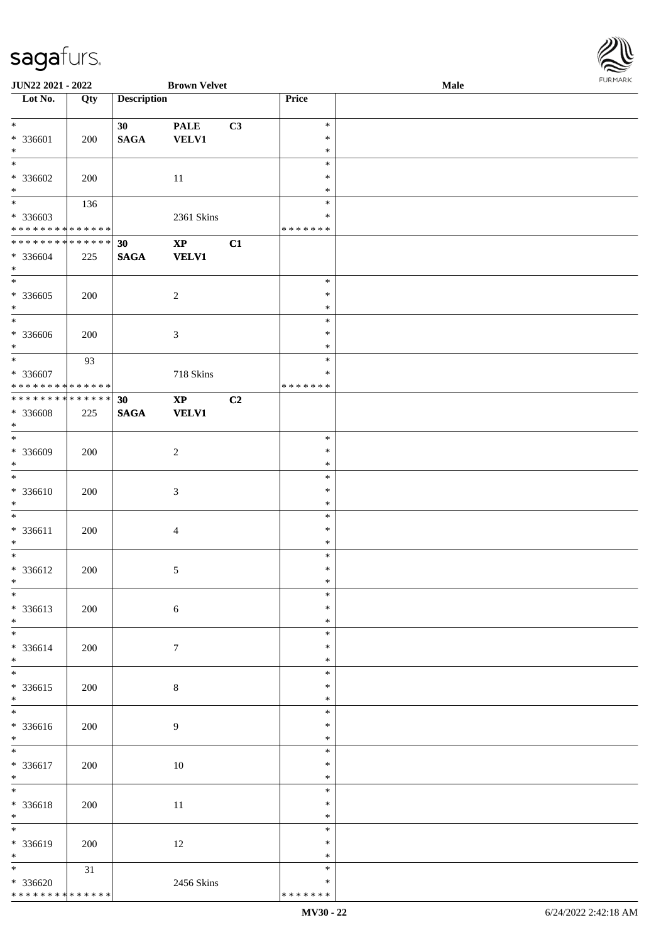\* \* \* \* \* \* \* \* \* \* \* \* \* \*

| $\overline{\phantom{1}}$ Lot No. | Qty    | <b>Description</b> |                                           |    | Price         |  |
|----------------------------------|--------|--------------------|-------------------------------------------|----|---------------|--|
| $\overline{\ast}$                |        | 30                 | $\ensuremath{\mathop{\bf PALE}\nolimits}$ | C3 | $\ast$        |  |
| $* 336601$                       | 200    | $\mathbf{SAGA}$    | <b>VELV1</b>                              |    | $\ast$        |  |
| $\ast$                           |        |                    |                                           |    | $\ast$        |  |
| $\ast$                           |        |                    |                                           |    | $\ast$        |  |
| $* 336602$                       | 200    |                    | 11                                        |    | $\ast$        |  |
| $\ast$                           |        |                    |                                           |    | $\ast$        |  |
| $\overline{\phantom{0}}$         | 136    |                    |                                           |    | $\ast$        |  |
| * 336603                         |        |                    | 2361 Skins                                |    | $\ast$        |  |
| ******** <mark>******</mark>     |        |                    |                                           |    | * * * * * * * |  |
| **************                   |        | 30                 | $\bold{XP}$                               | C1 |               |  |
| $* 336604$                       | 225    | <b>SAGA</b>        | <b>VELV1</b>                              |    |               |  |
| $\ast$                           |        |                    |                                           |    |               |  |
| $\overline{\phantom{0}}$         |        |                    |                                           |    | $\ast$        |  |
| $* 336605$                       | 200    |                    | $\sqrt{2}$                                |    | $\ast$        |  |
| $\ast$                           |        |                    |                                           |    | $\ast$        |  |
| $\overline{\phantom{a}^*}$       |        |                    |                                           |    | $\ast$        |  |
| $* 336606$                       | 200    |                    | $\mathfrak{Z}$                            |    | $\ast$        |  |
| $\ast$                           |        |                    |                                           |    | $\ast$        |  |
| $\overline{\phantom{0}}$         | 93     |                    |                                           |    | $\ast$        |  |
| * 336607                         |        |                    | 718 Skins                                 |    | $\ast$        |  |
| * * * * * * * * * * * * * *      |        |                    |                                           |    | * * * * * * * |  |
| **************                   |        | 30                 | $\bold{XP}$                               | C2 |               |  |
| * 336608                         | 225    | $\mathbf{SAGA}$    | <b>VELV1</b>                              |    |               |  |
| $\ast$                           |        |                    |                                           |    |               |  |
| $\overline{\ast}$                |        |                    |                                           |    | $\ast$        |  |
| * 336609                         | 200    |                    | $\sqrt{2}$                                |    | $\ast$        |  |
| $\ast$                           |        |                    |                                           |    | $\ast$        |  |
| $\ast$                           |        |                    |                                           |    | $\ast$        |  |
| $* 336610$                       | 200    |                    | $\mathfrak{Z}$                            |    | $\ast$        |  |
| $\ast$                           |        |                    |                                           |    | $\ast$        |  |
| $\ast$                           |        |                    |                                           |    | $\ast$        |  |
| * 336611                         | 200    |                    | $\overline{4}$                            |    | $\ast$        |  |
| $\ast$                           |        |                    |                                           |    | $\ast$        |  |
| $\overline{\phantom{0}}$         |        |                    |                                           |    | $\ast$        |  |
| * 336612                         | 200    |                    | $\sqrt{5}$                                |    | $\ast$        |  |
| $*$                              |        |                    |                                           |    | $\ast$        |  |
| $*$                              |        |                    |                                           |    | *             |  |
| $* 336613$                       | 200    |                    | $\sqrt{6}$                                |    | $\ast$        |  |
| $\ast$                           |        |                    |                                           |    | $\ast$        |  |
| $\overline{\phantom{0}}$         |        |                    |                                           |    | $\ast$        |  |
| * 336614                         | 200    |                    | $\boldsymbol{7}$                          |    | $\ast$        |  |
| $\ast$                           |        |                    |                                           |    | $\ast$        |  |
| $_{\ast}$                        |        |                    |                                           |    | $\ast$        |  |
| $* 336615$                       | 200    |                    | $\,8\,$                                   |    | $\ast$        |  |
| $\ast$                           |        |                    |                                           |    | $\ast$        |  |
| $\overline{\phantom{a}^*}$       |        |                    |                                           |    | $\ast$        |  |
| $* 336616$                       | 200    |                    | $\overline{9}$                            |    | $\ast$        |  |
| $\ast$                           |        |                    |                                           |    | $\ast$        |  |
| $\ast$                           |        |                    |                                           |    | $\ast$        |  |
| * 336617                         | 200    |                    | 10                                        |    | $\ast$        |  |
| $\ast$                           |        |                    |                                           |    | $\ast$        |  |
| $\overline{\ast}$                |        |                    |                                           |    | $\ast$        |  |
| * 336618                         | 200    |                    | $11\,$                                    |    | $\ast$        |  |
| $\ast$                           |        |                    |                                           |    | $\ast$        |  |
| $_{\ast}^{-}$                    |        |                    |                                           |    | $\ast$        |  |
| * 336619                         | 200    |                    | $12\,$                                    |    | ∗             |  |
| $*$                              |        |                    |                                           |    | $\ast$        |  |
| $\ast$                           | $31\,$ |                    |                                           |    | $\ast$        |  |
| $* 336620$                       |        |                    | 2456 Skins                                |    | $\ast$        |  |

**JUN22 2021 - 2022 Brown Velvet Male**

\* \* \* \* \* \* \*

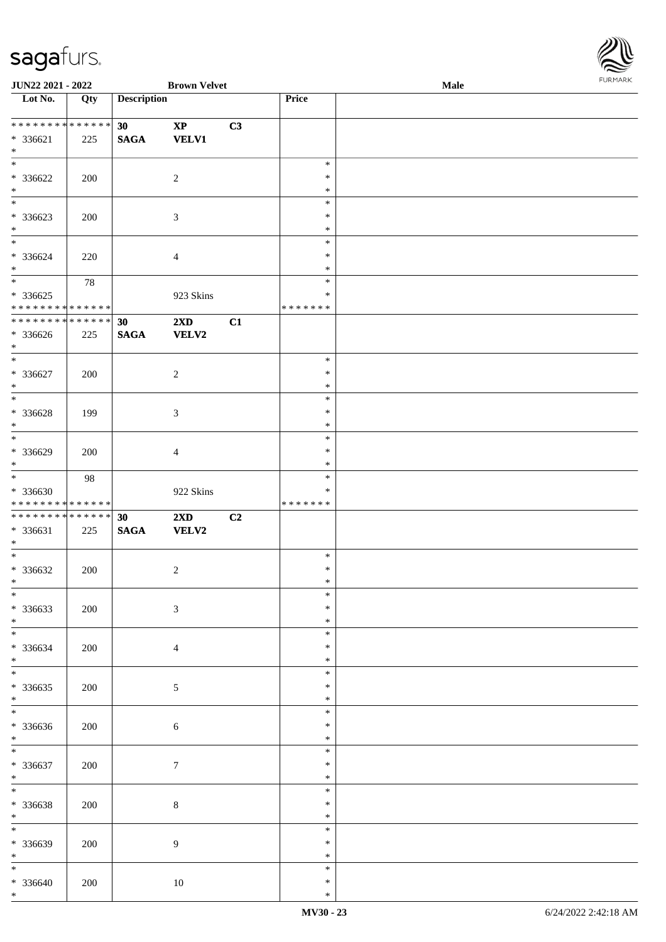\*

| JUN22 2021 - 2022                                                                    |     |                       | <b>Brown Velvet</b>                     |                |                                   | <b>FURPIAR</b> |  |
|--------------------------------------------------------------------------------------|-----|-----------------------|-----------------------------------------|----------------|-----------------------------------|----------------|--|
| Lot No.                                                                              | Qty | <b>Description</b>    |                                         |                | Price                             |                |  |
| * * * * * * * * * * * * * *<br>* 336621<br>$*$                                       | 225 | 30<br>$\mathbf{SAGA}$ | $\bold{XP}$<br><b>VELV1</b>             | C3             |                                   |                |  |
| $\ast$<br>$* 336622$<br>$\ast$<br>$\overline{\phantom{0}}$                           | 200 |                       | $\sqrt{2}$                              |                | $\ast$<br>$\ast$<br>$\ast$        |                |  |
| $*336623$<br>$\ast$                                                                  | 200 |                       | $\mathfrak{Z}$                          |                | $\ast$<br>$\ast$<br>$\ast$        |                |  |
| $\ast$<br>$* 336624$<br>$\ast$                                                       | 220 |                       | $\overline{4}$                          |                | $\ast$<br>$\ast$<br>$\ast$        |                |  |
| $\overline{\phantom{0}}$<br>$*336625$<br>* * * * * * * * * * * * * *                 | 78  |                       | 923 Skins                               |                | $\ast$<br>$\ast$<br>* * * * * * * |                |  |
| * * * * * * * * * * * * * *<br>$* 336626$<br>$\ast$                                  | 225 | 30<br>$\mathbf{SAGA}$ | 2XD<br>VELV2                            | C1             |                                   |                |  |
| $\overline{\ast}$<br>$* 336627$<br>$\ast$                                            | 200 |                       | $\overline{c}$                          |                | $\ast$<br>$\ast$<br>$\ast$        |                |  |
| $\overline{\ast}$<br>$* 336628$<br>$\ast$                                            | 199 |                       | $\mathfrak{Z}$                          |                | $\ast$<br>$\ast$<br>$\ast$        |                |  |
| $\overline{\phantom{a}^*}$<br>* 336629<br>$\ast$                                     | 200 |                       | $\overline{4}$                          |                | $\ast$<br>$\ast$<br>$\ast$        |                |  |
| $\overline{\phantom{a}^*}$<br>* 336630<br>* * * * * * * * <mark>* * * * * * *</mark> | 98  |                       | 922 Skins                               |                | $\ast$<br>$\ast$<br>* * * * * * * |                |  |
| **************<br>* 336631<br>$\ast$<br>$\overline{\phantom{0}}$                     | 225 | 30<br>$\mathbf{SAGA}$ | $2\mathbf{X}\mathbf{D}$<br><b>VELV2</b> | C <sub>2</sub> |                                   |                |  |
| $* 336632$<br>$*$ $*$                                                                | 200 |                       | $\overline{2}$                          |                | $\ast$<br>$\ast$<br>sk.           |                |  |
| $\ast$<br>$* 336633$<br>$\ast$                                                       | 200 |                       | $\mathfrak{Z}$                          |                | $\ast$<br>$\ast$<br>$\ast$        |                |  |
| $\ast$<br>* 336634<br>$\ast$                                                         | 200 |                       | $\overline{4}$                          |                | $\ast$<br>$\ast$<br>$\ast$        |                |  |
| $\frac{1}{*}$<br>$*336635$<br>$\ast$                                                 | 200 |                       | $5\,$                                   |                | $\ast$<br>$\ast$<br>$\ast$        |                |  |
| $\overline{\phantom{a}^*}$<br>* 336636<br>$\ast$                                     | 200 |                       | $\sqrt{6}$                              |                | $\ast$<br>$\ast$<br>$\ast$        |                |  |
| $\ast$<br>* 336637<br>$\ast$                                                         | 200 |                       | $\tau$                                  |                | $\ast$<br>*<br>$\ast$             |                |  |
| $\overline{\phantom{0}}$<br>* 336638<br>$*$                                          | 200 |                       | $\,8\,$                                 |                | $\ast$<br>$\ast$<br>$\ast$        |                |  |
| $_{\ast}^{-}$<br>* 336639<br>$*$                                                     | 200 |                       | $\overline{9}$                          |                | $\ast$<br>$\ast$<br>$\ast$        |                |  |
| $\ast$<br>$* 336640$                                                                 | 200 |                       | $10\,$                                  |                | $\ast$<br>$\ast$                  |                |  |

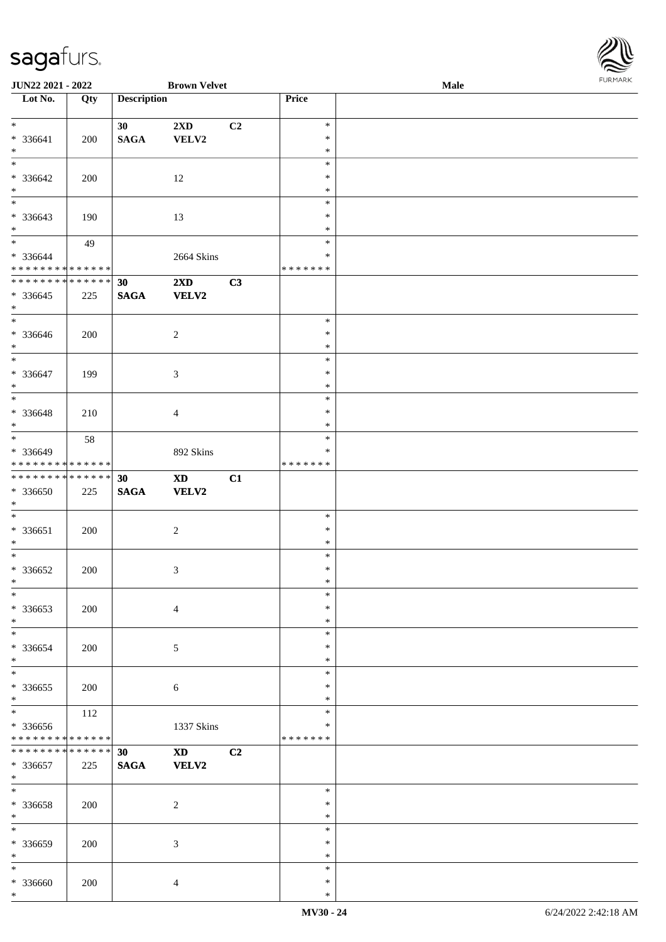| JUN22 2021 - 2022                    |     |                    | <b>Brown Velvet</b>         |    |                         | <b>Male</b> | <b>FURMAR</b> |
|--------------------------------------|-----|--------------------|-----------------------------|----|-------------------------|-------------|---------------|
| $\overline{\phantom{1}}$ Lot No.     | Qty | <b>Description</b> |                             |    | Price                   |             |               |
| $\ast$                               |     | 30 <sup>1</sup>    | $2\mathbf{X}\mathbf{D}$     | C2 | $\ast$                  |             |               |
| $* 336641$                           | 200 | <b>SAGA</b>        | VELV2                       |    | $\ast$                  |             |               |
| $\ast$                               |     |                    |                             |    | $\ast$                  |             |               |
| $\ast$                               |     |                    |                             |    | $\ast$                  |             |               |
| * 336642<br>$\ast$                   | 200 |                    | 12                          |    | ∗<br>$\ast$             |             |               |
| $\ast$                               |     |                    |                             |    | $\ast$                  |             |               |
| * 336643                             | 190 |                    | 13                          |    | $\ast$                  |             |               |
| $\ast$                               |     |                    |                             |    | $\ast$                  |             |               |
| $\overline{\phantom{a}^*}$           | 49  |                    |                             |    | $\ast$                  |             |               |
| * 336644<br>**************           |     |                    | <b>2664 Skins</b>           |    | $\ast$<br>* * * * * * * |             |               |
| ******** <mark>******</mark>         |     | 30                 | $2\mathbf{X}\mathbf{D}$     | C3 |                         |             |               |
| $*336645$                            | 225 | <b>SAGA</b>        | <b>VELV2</b>                |    |                         |             |               |
| $\ast$                               |     |                    |                             |    |                         |             |               |
| $\ast$                               |     |                    |                             |    | $\ast$                  |             |               |
| * 336646<br>$\ast$                   | 200 |                    | $\boldsymbol{2}$            |    | $\ast$                  |             |               |
| $\ast$                               |     |                    |                             |    | $\ast$<br>$\ast$        |             |               |
| * 336647                             | 199 |                    | $\ensuremath{\mathfrak{Z}}$ |    | $\ast$                  |             |               |
| $\ast$                               |     |                    |                             |    | $\ast$                  |             |               |
| $\ast$                               |     |                    |                             |    | $\ast$                  |             |               |
| * 336648                             | 210 |                    | $\overline{4}$              |    | $\ast$                  |             |               |
| $\ast$<br>$\overline{\phantom{a}^*}$ |     |                    |                             |    | $\ast$<br>$\ast$        |             |               |
| * 336649                             | 58  |                    | 892 Skins                   |    | $\ast$                  |             |               |
| **************                       |     |                    |                             |    | * * * * * * *           |             |               |
| ******** <mark>******</mark>         |     | 30                 | $\mathbf{X}\mathbf{D}$      | C1 |                         |             |               |
| $* 336650$                           | 225 | <b>SAGA</b>        | <b>VELV2</b>                |    |                         |             |               |
| $\ast$<br>$\overline{\phantom{0}}$   |     |                    |                             |    |                         |             |               |
| $*336651$                            | 200 |                    | $\boldsymbol{2}$            |    | $\ast$<br>$\ast$        |             |               |
| $\ast$                               |     |                    |                             |    | $\ast$                  |             |               |
| $\overline{\phantom{1}}$             |     |                    |                             |    | $\ast$                  |             |               |
| $*336652$                            | 200 |                    | $\mathfrak{Z}$              |    | $\ast$                  |             |               |
| $\ast$                               |     |                    |                             |    | $\ast$                  |             |               |
| $\ast$                               |     |                    |                             |    | $\ast$                  |             |               |
| * 336653<br>$\ast$                   | 200 |                    | $\overline{4}$              |    | ∗<br>$\ast$             |             |               |
| $\ast$                               |     |                    |                             |    | $\ast$                  |             |               |
| * 336654                             | 200 |                    | 5                           |    | $\ast$                  |             |               |
| $\ast$                               |     |                    |                             |    | ∗                       |             |               |
| $\overline{\ast}$                    |     |                    |                             |    | $\ast$                  |             |               |
| $*336655$                            | 200 |                    | 6                           |    | $\ast$                  |             |               |
| $\ast$<br>$\overline{\phantom{a}^*}$ | 112 |                    |                             |    | $\ast$<br>$\ast$        |             |               |
| * 336656                             |     |                    | 1337 Skins                  |    | $\ast$                  |             |               |
| * * * * * * * * * * * * * *          |     |                    |                             |    | * * * * * * *           |             |               |
| **************                       |     | 30                 | $\mathbf{X}\mathbf{D}$      | C2 |                         |             |               |
| $*336657$                            | 225 | <b>SAGA</b>        | <b>VELV2</b>                |    |                         |             |               |
| $\ast$<br>$\ast$                     |     |                    |                             |    | $\ast$                  |             |               |
| * 336658                             | 200 |                    | $\sqrt{2}$                  |    | $\ast$                  |             |               |
| $\ast$                               |     |                    |                             |    | $\ast$                  |             |               |
| $\ast$                               |     |                    |                             |    | $\ast$                  |             |               |
| * 336659                             | 200 |                    | $\mathfrak{Z}$              |    | $\ast$                  |             |               |
| $\ast$                               |     |                    |                             |    | $\ast$                  |             |               |
| $\ast$                               |     |                    |                             |    | $\ast$<br>$\ast$        |             |               |
| * 336660<br>$\ast$                   | 200 |                    | $\overline{4}$              |    | $\ast$                  |             |               |
|                                      |     |                    |                             |    |                         |             |               |

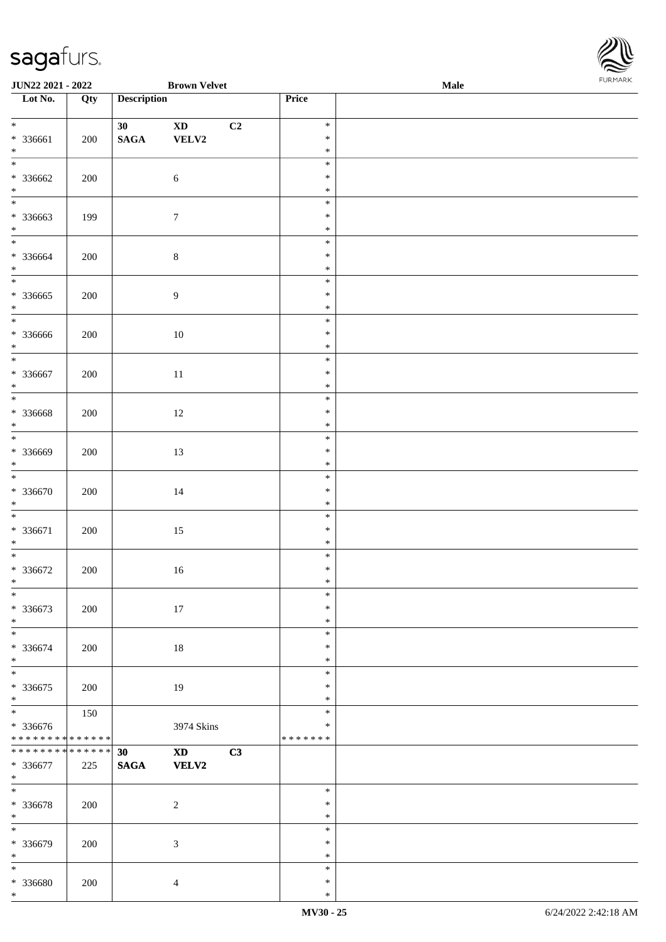

| JUN22 2021 - 2022                          |     |                    | <b>Brown Velvet</b>    |    |                  | Male | <b>FURMARK</b> |
|--------------------------------------------|-----|--------------------|------------------------|----|------------------|------|----------------|
| Lot No.                                    | Qty | <b>Description</b> |                        |    | Price            |      |                |
|                                            |     |                    |                        |    |                  |      |                |
| $*$                                        |     | 30 <sub>o</sub>    | $\mathbf{X}\mathbf{D}$ | C2 | $\ast$           |      |                |
| * 336661                                   | 200 | $\mathbf{SAGA}$    | ${\bf VELV2}$          |    | $\ast$           |      |                |
| $*$<br>$\overline{\ }$                     |     |                    |                        |    | $\ast$           |      |                |
|                                            |     |                    |                        |    | $\ast$           |      |                |
| * 336662                                   | 200 |                    | $\sqrt{6}$             |    | $\ast$           |      |                |
| $*$<br>$\overline{\phantom{0}}$            |     |                    |                        |    | $\ast$           |      |                |
|                                            |     |                    |                        |    | $\ast$           |      |                |
| * 336663<br>$*$                            | 199 |                    | $\overline{7}$         |    | $\ast$<br>$\ast$ |      |                |
|                                            |     |                    |                        |    | $\ast$           |      |                |
| * 336664                                   |     |                    | $\,8\,$                |    | $\ast$           |      |                |
| $*$                                        | 200 |                    |                        |    | $\ast$           |      |                |
|                                            |     |                    |                        |    | $\ast$           |      |                |
| * 336665                                   | 200 |                    | $\overline{9}$         |    | $\ast$           |      |                |
| $*$                                        |     |                    |                        |    | $\ast$           |      |                |
|                                            |     |                    |                        |    | $\ast$           |      |                |
| * 336666                                   | 200 |                    | $10\,$                 |    | $\ast$           |      |                |
| $*$                                        |     |                    |                        |    | $\ast$           |      |                |
| $*$                                        |     |                    |                        |    | $\ast$           |      |                |
| * 336667                                   | 200 |                    | 11                     |    | $\ast$           |      |                |
| $*$                                        |     |                    |                        |    | $\ast$           |      |                |
|                                            |     |                    |                        |    | $\ast$           |      |                |
| * 336668                                   | 200 |                    | 12                     |    | $\ast$           |      |                |
| $*$                                        |     |                    |                        |    | $\ast$           |      |                |
|                                            |     |                    |                        |    | $\ast$           |      |                |
| * 336669                                   | 200 |                    | 13                     |    | $\ast$           |      |                |
| $*$                                        |     |                    |                        |    | $\ast$           |      |                |
|                                            |     |                    |                        |    | $\ast$           |      |                |
| * 336670                                   | 200 |                    | 14                     |    | $\ast$           |      |                |
| $*$                                        |     |                    |                        |    | $\ast$           |      |                |
|                                            |     |                    |                        |    | $\ast$           |      |                |
| * 336671                                   | 200 |                    | 15                     |    | $\ast$           |      |                |
| $*$                                        |     |                    |                        |    | $\ast$           |      |                |
|                                            |     |                    |                        |    | $\ast$           |      |                |
| * 336672                                   | 200 |                    | 16                     |    | $\ast$           |      |                |
| $\ast$<br>$_{*}$                           |     |                    |                        |    | ∗                |      |                |
|                                            |     |                    |                        |    | $\ast$           |      |                |
| * 336673                                   | 200 |                    | $17\,$                 |    | $\ast$           |      |                |
| $*$<br>$\overline{\phantom{0}}$            |     |                    |                        |    | $\ast$           |      |                |
|                                            |     |                    |                        |    | $\ast$           |      |                |
| * 336674<br>$*$                            | 200 |                    | 18                     |    | $\ast$<br>$\ast$ |      |                |
|                                            |     |                    |                        |    | $\ast$           |      |                |
| * 336675                                   | 200 |                    | 19                     |    | $\ast$           |      |                |
| $*$                                        |     |                    |                        |    | $\ast$           |      |                |
|                                            | 150 |                    |                        |    | $\ast$           |      |                |
| * 336676                                   |     |                    | 3974 Skins             |    | $\ast$           |      |                |
| * * * * * * * * <mark>* * * * * *</mark>   |     |                    |                        |    | * * * * * * *    |      |                |
| * * * * * * * * <mark>* * * * * * *</mark> |     | 30                 | XD 1                   | C3 |                  |      |                |
| * 336677                                   | 225 | <b>SAGA</b>        | <b>VELV2</b>           |    |                  |      |                |
| $*$                                        |     |                    |                        |    |                  |      |                |
|                                            |     |                    |                        |    | $\ast$           |      |                |
| * 336678                                   | 200 |                    | $\overline{c}$         |    | $\ast$           |      |                |
| $*$                                        |     |                    |                        |    | $\ast$           |      |                |
| $\overline{\ast}$                          |     |                    |                        |    | $\ast$           |      |                |
| * 336679                                   | 200 |                    | $\mathfrak{Z}$         |    | $\ast$           |      |                |
| $*$                                        |     |                    |                        |    | $\ast$           |      |                |
| $*$                                        |     |                    |                        |    | $\ast$           |      |                |
| * 336680                                   | 200 |                    | $\overline{4}$         |    | $\ast$           |      |                |
| $*$                                        |     |                    |                        |    | $\ast$           |      |                |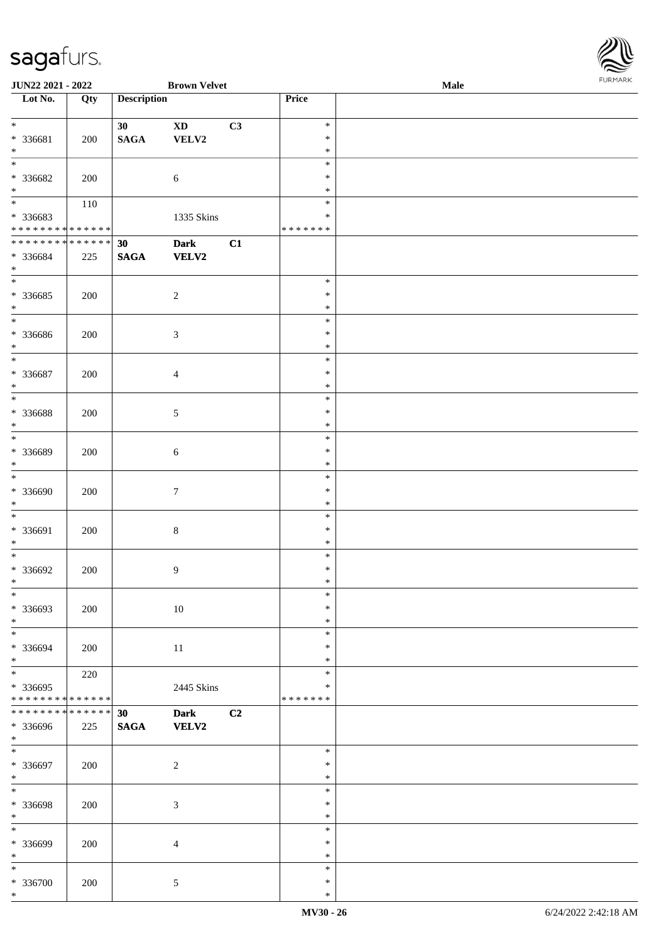\*

| JUN22 2021 - 2022             |     |                    | <b>Brown Velvet</b>        |    |               | <b>Male</b> | . |
|-------------------------------|-----|--------------------|----------------------------|----|---------------|-------------|---|
| Lot No.                       | Qty | <b>Description</b> |                            |    | Price         |             |   |
|                               |     |                    |                            |    |               |             |   |
| $\ast$                        |     | 30                 | $\boldsymbol{\mathrm{XD}}$ | C3 | $\ast$        |             |   |
| * 336681                      | 200 | $\mathbf{SAGA}$    | ${\bf VELV2}$              |    | $\ast$        |             |   |
| $\ast$                        |     |                    |                            |    | $\ast$        |             |   |
| $\ast$                        |     |                    |                            |    | $\ast$        |             |   |
|                               |     |                    |                            |    |               |             |   |
| * 336682                      | 200 |                    | 6                          |    | $\ast$        |             |   |
| $\ast$                        |     |                    |                            |    | $\ast$        |             |   |
| $\overline{\phantom{1}}$      | 110 |                    |                            |    | $\ast$        |             |   |
| * 336683                      |     |                    | 1335 Skins                 |    | $\ast$        |             |   |
| * * * * * * * * * * * * * *   |     |                    |                            |    | * * * * * * * |             |   |
| * * * * * * * * * * * * * * * |     | 30                 | Dark                       | C1 |               |             |   |
| * 336684                      | 225 | <b>SAGA</b>        | <b>VELV2</b>               |    |               |             |   |
| $\ast$                        |     |                    |                            |    |               |             |   |
| $\overline{\phantom{a}^*}$    |     |                    |                            |    | $\ast$        |             |   |
|                               |     |                    |                            |    | $\ast$        |             |   |
| $*336685$                     | 200 |                    | $\sqrt{2}$                 |    |               |             |   |
| $\ast$                        |     |                    |                            |    | $\ast$        |             |   |
| $_{\ast}$                     |     |                    |                            |    | $\ast$        |             |   |
| $* 336686$                    | 200 |                    | $\mathfrak{Z}$             |    | $\ast$        |             |   |
| $\ast$                        |     |                    |                            |    | $\ast$        |             |   |
| $\ast$                        |     |                    |                            |    | $\ast$        |             |   |
| * 336687                      | 200 |                    | $\overline{4}$             |    | $\ast$        |             |   |
| $\ast$                        |     |                    |                            |    | $\ast$        |             |   |
| $\ast$                        |     |                    |                            |    | $\ast$        |             |   |
|                               |     |                    |                            |    |               |             |   |
| * 336688                      | 200 |                    | 5                          |    | $\ast$        |             |   |
| $\ast$                        |     |                    |                            |    | $\ast$        |             |   |
| $\ast$                        |     |                    |                            |    | $\ast$        |             |   |
| * 336689                      | 200 |                    | 6                          |    | $\ast$        |             |   |
| $\ast$                        |     |                    |                            |    | $\ast$        |             |   |
| $\ast$                        |     |                    |                            |    | $\ast$        |             |   |
|                               |     |                    |                            |    |               |             |   |
| * 336690                      | 200 |                    | $\tau$                     |    | $\ast$        |             |   |
| $\ast$                        |     |                    |                            |    | $\ast$        |             |   |
| $\ast$                        |     |                    |                            |    | $\ast$        |             |   |
| * 336691                      | 200 |                    | $\bf 8$                    |    | $\ast$        |             |   |
| $\ast$                        |     |                    |                            |    | $\ast$        |             |   |
| $\ast$                        |     |                    |                            |    | $\ast$        |             |   |
| $* 336692$                    | 200 |                    | 9                          |    | $\ast$        |             |   |
| $*$                           |     |                    |                            |    | $\ast$        |             |   |
| $\ast$                        |     |                    |                            |    |               |             |   |
|                               |     |                    |                            |    | $\ast$        |             |   |
| * 336693                      | 200 |                    | $10\,$                     |    | $\ast$        |             |   |
| $\ast$                        |     |                    |                            |    | $\ast$        |             |   |
| $\ast$                        |     |                    |                            |    | $\ast$        |             |   |
| * 336694                      | 200 |                    | $11\,$                     |    | $\ast$        |             |   |
| $\ast$                        |     |                    |                            |    | $\ast$        |             |   |
| $_{\ast}^{-}$                 | 220 |                    |                            |    | $\ast$        |             |   |
| * 336695                      |     |                    |                            |    | $\ast$        |             |   |
| **************                |     |                    | 2445 Skins                 |    | * * * * * * * |             |   |
|                               |     |                    |                            |    |               |             |   |
| ******** <mark>******</mark>  |     | 30                 | <b>Dark</b>                | C2 |               |             |   |
| * 336696                      | 225 | <b>SAGA</b>        | <b>VELV2</b>               |    |               |             |   |
| $*$                           |     |                    |                            |    |               |             |   |
| $\ast$                        |     |                    |                            |    | $\ast$        |             |   |
| * 336697                      | 200 |                    | $\boldsymbol{2}$           |    | $\ast$        |             |   |
| $\ast$                        |     |                    |                            |    | $\ast$        |             |   |
| $\overline{\ast}$             |     |                    |                            |    | $\ast$        |             |   |
|                               |     |                    |                            |    | $\ast$        |             |   |
| * 336698                      | 200 |                    | $\mathfrak{Z}$             |    |               |             |   |
| $\ast$                        |     |                    |                            |    | $\ast$        |             |   |
| $\overline{\phantom{0}}$      |     |                    |                            |    | $\ast$        |             |   |
| * 336699                      | 200 |                    | $\overline{4}$             |    | $\ast$        |             |   |
| $\ast$                        |     |                    |                            |    | $\ast$        |             |   |
| $\ast$                        |     |                    |                            |    | $\ast$        |             |   |
| * 336700                      | 200 |                    | $\mathfrak{S}$             |    | $\ast$        |             |   |
|                               |     |                    |                            |    |               |             |   |

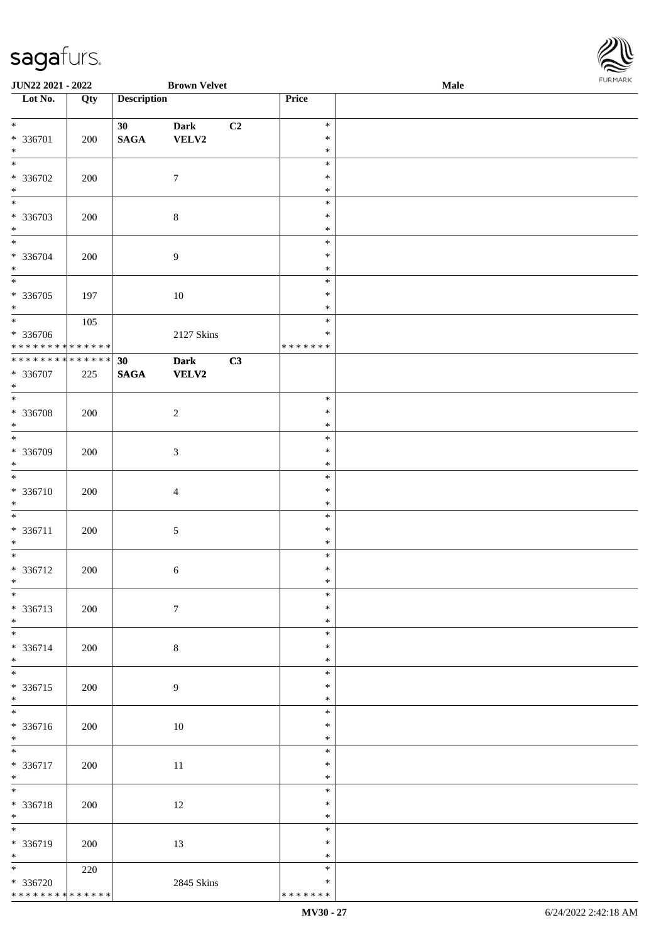

| JUN22 2021 - 2022                          |     |                    | <b>Brown Velvet</b>         |    |                  | Male | 1.9151 B1515 |
|--------------------------------------------|-----|--------------------|-----------------------------|----|------------------|------|--------------|
| $\overline{\phantom{1}}$ Lot No.           | Qty | <b>Description</b> |                             |    | Price            |      |              |
| $\ast$                                     |     | 30 <sup>°</sup>    | <b>Dark</b>                 | C2 | $\ast$           |      |              |
| * 336701                                   | 200 | $\mathbf{SAGA}$    | ${\bf VELV2}$               |    | $\ast$           |      |              |
| $\ast$<br>$\overline{\ast}$                |     |                    |                             |    | $\ast$<br>$\ast$ |      |              |
| $* 336702$                                 | 200 |                    | $\boldsymbol{7}$            |    | $\ast$           |      |              |
| $\ast$<br>$\overline{\phantom{0}}$         |     |                    |                             |    | $\ast$<br>$\ast$ |      |              |
| * 336703                                   | 200 |                    | $\,8\,$                     |    | $\ast$           |      |              |
| $\ast$<br>$\overline{\ast}$                |     |                    |                             |    | $\ast$           |      |              |
| * 336704                                   | 200 |                    | $\boldsymbol{9}$            |    | $\ast$<br>$\ast$ |      |              |
| $\ast$<br>$_{\ast}^{-}$                    |     |                    |                             |    | $\ast$           |      |              |
| $* 336705$                                 | 197 |                    | $10\,$                      |    | $\ast$<br>$\ast$ |      |              |
| $\ast$                                     |     |                    |                             |    | $\ast$           |      |              |
| $\overline{\ast}$<br>$* 336706$            | 105 |                    | 2127 Skins                  |    | $\ast$<br>$\ast$ |      |              |
| ******** <mark>******</mark>               |     |                    |                             |    | * * * * * * *    |      |              |
| ******** <mark>******</mark>               |     | 30                 | <b>Dark</b><br><b>VELV2</b> | C3 |                  |      |              |
| * 336707<br>$\ast$                         | 225 | $\mathbf{SAGA}$    |                             |    |                  |      |              |
| $\ast$                                     |     |                    |                             |    | $\ast$           |      |              |
| * 336708<br>$\ast$                         | 200 |                    | $\sqrt{2}$                  |    | $\ast$<br>$\ast$ |      |              |
| $\overline{\phantom{a}^*}$                 |     |                    |                             |    | $\ast$           |      |              |
| * 336709<br>$\ast$                         | 200 |                    | $\mathfrak{Z}$              |    | ∗<br>$\ast$      |      |              |
| $\ast$                                     |     |                    |                             |    | $\ast$           |      |              |
| * 336710<br>$\ast$                         | 200 |                    | $\overline{4}$              |    | $\ast$<br>$\ast$ |      |              |
| $\ast$                                     |     |                    |                             |    | $\ast$           |      |              |
| $* 336711$<br>$\ast$                       | 200 |                    | $\sqrt{5}$                  |    | $\ast$<br>$\ast$ |      |              |
| $\ast$                                     |     |                    |                             |    | $\ast$           |      |              |
| $* 336712$<br>$*$                          | 200 |                    | $\sqrt{6}$                  |    | $\ast$<br>$\ast$ |      |              |
| $\ast$                                     |     |                    |                             |    | $\ast$           |      |              |
| * 336713                                   | 200 |                    | $\boldsymbol{7}$            |    | $\ast$           |      |              |
| $\ast$<br>$\ast$                           |     |                    |                             |    | $\ast$<br>$\ast$ |      |              |
| * 336714                                   | 200 |                    | $\,8\,$                     |    | $\ast$           |      |              |
| $\ast$<br>$\ast$                           |     |                    |                             |    | $\ast$<br>$\ast$ |      |              |
| * 336715                                   | 200 |                    | $\overline{9}$              |    | ∗                |      |              |
| $\ast$<br>$\overline{\phantom{0}}$         |     |                    |                             |    | $\ast$<br>$\ast$ |      |              |
| * 336716                                   | 200 |                    | $10\,$                      |    | $\ast$           |      |              |
| $*$<br>$\overline{\phantom{1}}$            |     |                    |                             |    | $\ast$<br>$\ast$ |      |              |
| * 336717                                   | 200 |                    | 11                          |    | $\ast$           |      |              |
| $*$<br>$*$                                 |     |                    |                             |    | $\ast$<br>$\ast$ |      |              |
| * 336718                                   | 200 |                    | 12                          |    | $\ast$           |      |              |
| $*$<br>$_{\ast}^{-}$                       |     |                    |                             |    | $\ast$           |      |              |
| * 336719                                   | 200 |                    | 13                          |    | $\ast$<br>$\ast$ |      |              |
| $*$                                        |     |                    |                             |    | $\ast$           |      |              |
| $\ast$<br>$* 336720$                       | 220 |                    | 2845 Skins                  |    | $\ast$<br>∗      |      |              |
| * * * * * * * * <mark>* * * * * * *</mark> |     |                    |                             |    | * * * * * * *    |      |              |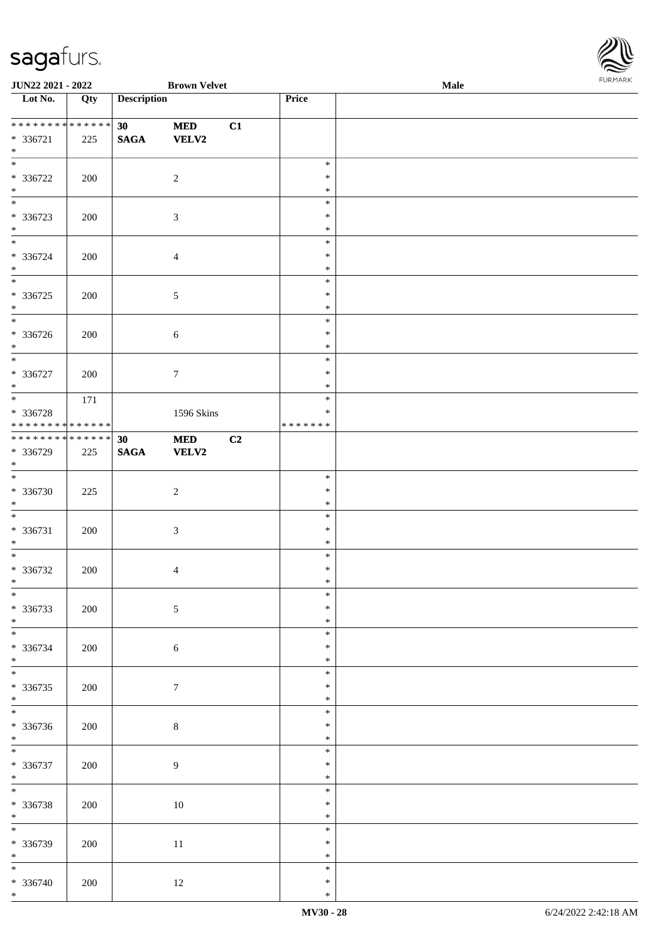

| <b>JUN22 2021 - 2022</b>                                |     |                       | <b>Brown Velvet</b>        |    |                                      | <b>Male</b> | . |
|---------------------------------------------------------|-----|-----------------------|----------------------------|----|--------------------------------------|-------------|---|
| Lot No.                                                 | Qty | <b>Description</b>    |                            |    | Price                                |             |   |
| * * * * * * * * * * * * * *<br>* 336721                 | 225 | 30<br>$\mathbf{SAGA}$ | <b>MED</b><br><b>VELV2</b> | C1 |                                      |             |   |
| $*$<br>$\overline{\phantom{0}}$                         |     |                       |                            |    |                                      |             |   |
| $* 336722$<br>$\ast$                                    | 200 |                       | $\overline{2}$             |    | $\ast$<br>$\ast$<br>$\ast$           |             |   |
| $\overline{\phantom{0}}$<br>* 336723<br>$*$             | 200 |                       | $\mathfrak{Z}$             |    | $\ast$<br>$\ast$<br>$\ast$           |             |   |
| $\overline{\phantom{0}}$<br>$* 336724$                  | 200 |                       | $\overline{4}$             |    | $\ast$<br>$\ast$                     |             |   |
| $*$<br>$\overline{\phantom{0}}$<br>$* 336725$<br>$\ast$ | 200 |                       | $5\,$                      |    | $\ast$<br>$\ast$<br>$\ast$<br>$\ast$ |             |   |
| $\overline{\phantom{0}}$<br>$* 336726$<br>$*$           | 200 |                       | $\sqrt{6}$                 |    | $\ast$<br>$\ast$<br>$\ast$           |             |   |
| $\ast$<br>$* 336727$<br>$*$                             | 200 |                       | $\boldsymbol{7}$           |    | $\ast$<br>$\ast$<br>$\ast$           |             |   |
| $*$<br>* 336728<br>* * * * * * * * * * * * * *          | 171 |                       | 1596 Skins                 |    | $\ast$<br>$\ast$<br>* * * * * * *    |             |   |
| * * * * * * * * * * * * * *<br>* 336729<br>$*$          | 225 | 30<br><b>SAGA</b>     | $\bf MED$<br>VELV2         | C2 |                                      |             |   |
| $\overline{\phantom{0}}$<br>$* 336730$<br>$*$           | 225 |                       | $\sqrt{2}$                 |    | $\ast$<br>$\ast$<br>$\ast$           |             |   |
| $*$<br>$* 336731$<br>$\ast$                             | 200 |                       | $\mathfrak{Z}$             |    | $\ast$<br>$\ast$<br>$\ast$           |             |   |
| $*$<br>$* 336732$<br>$*$                                | 200 |                       | $\overline{4}$             |    | $\ast$<br>$\ast$<br>$\ast$           |             |   |
| $\ast$<br>$* 336733$<br>$*$                             | 200 |                       | $\sqrt{5}$                 |    | $\ast$<br>$\ast$<br>$\ast$           |             |   |
| $\overline{\phantom{0}}$<br>* 336734<br>$\ast$          | 200 |                       | $\sqrt{6}$                 |    | $\ast$<br>$\ast$<br>$\ast$           |             |   |
| $\overline{\ast}$<br>$* 336735$<br>$*$                  | 200 |                       | $\boldsymbol{7}$           |    | $\ast$<br>$\ast$<br>$\ast$           |             |   |
| $\overline{\phantom{0}}$<br>* 336736<br>$*$             | 200 |                       | $\,8\,$                    |    | $\ast$<br>$\ast$<br>$\ast$           |             |   |
| $\overline{\phantom{0}}$<br>$* 336737$<br>$*$           | 200 |                       | 9                          |    | $\ast$<br>$\ast$<br>$\ast$           |             |   |
| $\ast$<br>$* 336738$<br>$*$                             | 200 |                       | $10\,$                     |    | $\ast$<br>$\ast$<br>$\ast$           |             |   |
| $\frac{1}{1}$<br>$* 336739$<br>$*$                      | 200 |                       | $11\,$                     |    | $\ast$<br>$\ast$<br>$\ast$           |             |   |
| $\overline{\ast}$<br>* 336740<br>$*$                    | 200 |                       | 12                         |    | $\ast$<br>$\ast$<br>$\ast$           |             |   |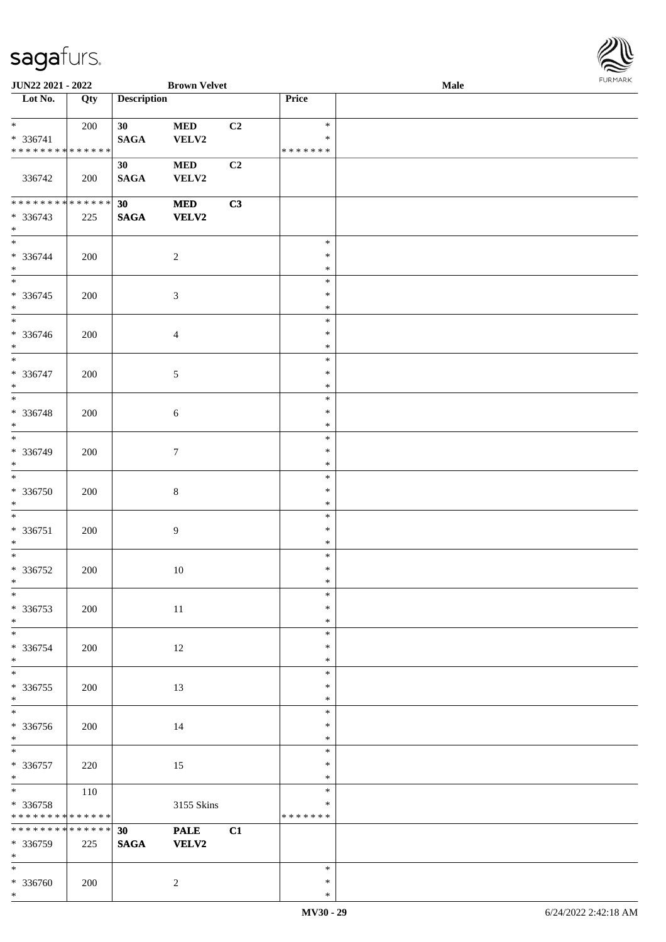

| JUN22 2021 - 2022               |     |                    | <b>Brown Velvet</b> |    |                  | Male |  |
|---------------------------------|-----|--------------------|---------------------|----|------------------|------|--|
| Lot No.                         | Qty | <b>Description</b> |                     |    | Price            |      |  |
|                                 |     |                    |                     |    |                  |      |  |
| $*$                             | 200 | 30                 | $\bf MED$           | C2 | $\ast$           |      |  |
| * 336741                        |     | <b>SAGA</b>        | VELV2               |    | $\ast$           |      |  |
| * * * * * * * * * * * * * *     |     |                    |                     |    | * * * * * * *    |      |  |
|                                 |     | 30                 | <b>MED</b>          | C2 |                  |      |  |
| 336742                          | 200 | <b>SAGA</b>        | VELV2               |    |                  |      |  |
|                                 |     |                    |                     |    |                  |      |  |
| * * * * * * * * * * * * * *     |     | 30                 | $\bf MED$           | C3 |                  |      |  |
| * 336743                        | 225 | $\mathbf{SAGA}$    | VELV2               |    |                  |      |  |
| $*$                             |     |                    |                     |    |                  |      |  |
| $*$                             |     |                    |                     |    | $\ast$           |      |  |
| * 336744                        | 200 |                    | $\overline{2}$      |    | $\ast$           |      |  |
| $*$                             |     |                    |                     |    | $\ast$           |      |  |
| $\overline{\phantom{0}}$        |     |                    |                     |    | $\ast$           |      |  |
| $* 336745$                      | 200 |                    | $\mathfrak{Z}$      |    | $\ast$           |      |  |
| $*$                             |     |                    |                     |    | $\ast$           |      |  |
| $*$                             |     |                    |                     |    | $\ast$           |      |  |
| * 336746                        | 200 |                    | $\overline{4}$      |    | $\ast$           |      |  |
| $*$                             |     |                    |                     |    | $\ast$           |      |  |
| $\ast$                          |     |                    |                     |    | $\ast$           |      |  |
| $* 336747$                      | 200 |                    | 5                   |    | $\ast$           |      |  |
| $*$                             |     |                    |                     |    | $\ast$           |      |  |
| $*$                             |     |                    |                     |    | $\ast$           |      |  |
| $* 336748$                      | 200 |                    | $\sqrt{6}$          |    | $\ast$           |      |  |
| $*$                             |     |                    |                     |    | $\ast$           |      |  |
| $*$                             |     |                    |                     |    | $\ast$           |      |  |
| * 336749                        | 200 |                    | $\tau$              |    | $\ast$           |      |  |
| $*$                             |     |                    |                     |    | $\ast$           |      |  |
| $*$                             |     |                    |                     |    | $\ast$           |      |  |
| $* 336750$                      | 200 |                    | $\,8\,$             |    | $\ast$           |      |  |
| $*$                             |     |                    |                     |    | $\ast$           |      |  |
| $*$                             |     |                    |                     |    | $\ast$           |      |  |
| $* 336751$                      | 200 |                    | 9                   |    | $\ast$           |      |  |
| $*$                             |     |                    |                     |    | $\ast$           |      |  |
| $*$                             |     |                    |                     |    | $\ast$           |      |  |
| $* 336752$                      | 200 |                    | $10\,$              |    | $\ast$           |      |  |
| $*$                             |     |                    |                     |    | $\ast$           |      |  |
| $\ast$                          |     |                    |                     |    | $\ast$           |      |  |
| * 336753                        | 200 |                    | $11\,$              |    | $\ast$           |      |  |
| $*$<br>$\overline{\phantom{0}}$ |     |                    |                     |    | $\ast$<br>$\ast$ |      |  |
|                                 |     |                    |                     |    |                  |      |  |
| * 336754<br>$*$                 | 200 |                    | 12                  |    | $\ast$<br>$\ast$ |      |  |
| $*$                             |     |                    |                     |    | $\ast$           |      |  |
| $* 336755$                      | 200 |                    | 13                  |    | $\ast$           |      |  |
| $*$                             |     |                    |                     |    | $\ast$           |      |  |
|                                 |     |                    |                     |    | $\ast$           |      |  |
| * 336756                        | 200 |                    | 14                  |    | $\ast$           |      |  |
| $*$                             |     |                    |                     |    | $\ast$           |      |  |
| $*$                             |     |                    |                     |    | $\ast$           |      |  |
| $* 336757$                      | 220 |                    | 15                  |    | $\ast$           |      |  |
| $*$                             |     |                    |                     |    | $\ast$           |      |  |
| $*$                             | 110 |                    |                     |    | $\ast$           |      |  |
| * 336758                        |     |                    | 3155 Skins          |    | $\ast$           |      |  |
| * * * * * * * * * * * * * *     |     |                    |                     |    | * * * * * * *    |      |  |
| ******** <mark>******</mark>    |     | 30                 | <b>PALE</b>         | C1 |                  |      |  |
| * 336759                        | 225 | <b>SAGA</b>        | <b>VELV2</b>        |    |                  |      |  |
| $*$                             |     |                    |                     |    |                  |      |  |
| $*$                             |     |                    |                     |    | $\ast$           |      |  |
| * 336760                        | 200 |                    | $\overline{c}$      |    | $\ast$           |      |  |
| $\ast$                          |     |                    |                     |    | $\ast$           |      |  |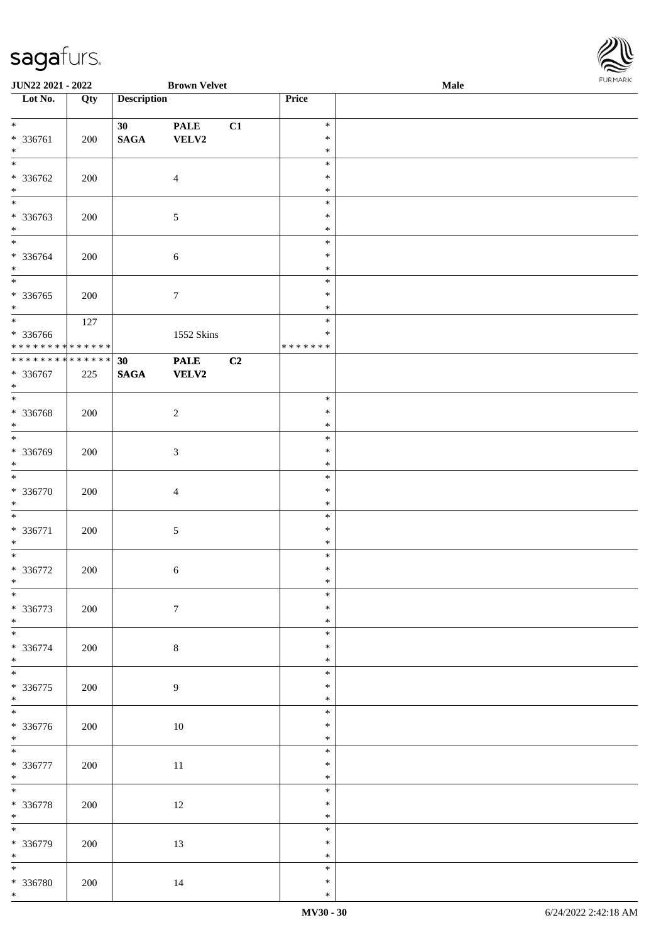

| JUN22 2021 - 2022                         |     |                    | <b>Brown Velvet</b> |    |                  | Male | <b>FURPIARA</b> |
|-------------------------------------------|-----|--------------------|---------------------|----|------------------|------|-----------------|
| $\overline{\phantom{1}}$ Lot No.          | Qty | <b>Description</b> |                     |    | Price            |      |                 |
|                                           |     |                    |                     |    |                  |      |                 |
| $*$                                       |     | 30                 | <b>PALE</b>         | C1 | $\ast$           |      |                 |
| * 336761<br>$*$                           | 200 | $\mathbf{SAGA}$    | VELV2               |    | $\ast$<br>$\ast$ |      |                 |
| $\overline{\ast}$                         |     |                    |                     |    | $\ast$           |      |                 |
| * 336762                                  | 200 |                    | $\overline{4}$      |    | $\ast$           |      |                 |
| $*$                                       |     |                    |                     |    | $\ast$           |      |                 |
| $*$                                       |     |                    |                     |    | $\ast$           |      |                 |
| * 336763                                  | 200 |                    | $\sqrt{5}$          |    | $\ast$           |      |                 |
| $*$                                       |     |                    |                     |    | $\ast$           |      |                 |
| $\overline{\ast}$                         |     |                    |                     |    | $\ast$           |      |                 |
| * 336764                                  | 200 |                    | 6                   |    | $\ast$           |      |                 |
| $*$                                       |     |                    |                     |    | $\ast$           |      |                 |
|                                           |     |                    |                     |    | $\ast$           |      |                 |
| * 336765                                  | 200 |                    | $\boldsymbol{7}$    |    | $\ast$           |      |                 |
| $\ast$                                    |     |                    |                     |    | $\ast$           |      |                 |
|                                           | 127 |                    |                     |    | $\ast$<br>$\ast$ |      |                 |
| * 336766<br>* * * * * * * * * * * * * * * |     |                    | 1552 Skins          |    | *******          |      |                 |
|                                           |     | 30                 | <b>PALE</b>         | C2 |                  |      |                 |
| * 336767                                  | 225 | $\mathbf{SAGA}$    | <b>VELV2</b>        |    |                  |      |                 |
| $\ast$                                    |     |                    |                     |    |                  |      |                 |
| $*$                                       |     |                    |                     |    | $\ast$           |      |                 |
| * 336768                                  | 200 |                    | $\sqrt{2}$          |    | $\ast$           |      |                 |
| $*$                                       |     |                    |                     |    | $\ast$           |      |                 |
|                                           |     |                    |                     |    | $\ast$           |      |                 |
| * 336769                                  | 200 |                    | 3                   |    | $\ast$           |      |                 |
| $*$<br>$\overline{\ast}$                  |     |                    |                     |    | $\ast$           |      |                 |
|                                           |     |                    |                     |    | $\ast$<br>$\ast$ |      |                 |
| * 336770<br>$\ast$                        | 200 |                    | $\overline{4}$      |    | $\ast$           |      |                 |
|                                           |     |                    |                     |    | $\ast$           |      |                 |
| * 336771                                  | 200 |                    | $\sqrt{5}$          |    | $\ast$           |      |                 |
| $*$                                       |     |                    |                     |    | $\ast$           |      |                 |
| $*$                                       |     |                    |                     |    | $\ast$           |      |                 |
| * 336772                                  | 200 |                    | 6                   |    | $\ast$           |      |                 |
| $\ast$                                    |     |                    |                     |    | $\ast$           |      |                 |
| $\overline{\ast}$                         |     |                    |                     |    | $\ast$           |      |                 |
| * 336773                                  | 200 |                    | $\boldsymbol{7}$    |    | $\ast$           |      |                 |
| $*$<br>$\overline{\phantom{0}}$           |     |                    |                     |    | $\ast$<br>$\ast$ |      |                 |
| * 336774                                  | 200 |                    | $8\,$               |    | $\ast$           |      |                 |
| $*$                                       |     |                    |                     |    | $\ast$           |      |                 |
| $\overline{\phantom{0}}$                  |     |                    |                     |    | $\ast$           |      |                 |
| * 336775                                  | 200 |                    | 9                   |    | $\ast$           |      |                 |
| $*$                                       |     |                    |                     |    | $\ast$           |      |                 |
|                                           |     |                    |                     |    | $\ast$           |      |                 |
| * 336776                                  | 200 |                    | $10\,$              |    | $\ast$           |      |                 |
| $*$                                       |     |                    |                     |    | $\ast$           |      |                 |
|                                           |     |                    |                     |    | $\ast$           |      |                 |
| * 336777<br>$*$                           | 200 |                    | $11\,$              |    | $\ast$<br>$\ast$ |      |                 |
| $*$                                       |     |                    |                     |    | $\ast$           |      |                 |
| * 336778                                  | 200 |                    | 12                  |    | $\ast$           |      |                 |
| $*$                                       |     |                    |                     |    | $\ast$           |      |                 |
| $\overline{\phantom{0}}$                  |     |                    |                     |    | $\ast$           |      |                 |
| * 336779                                  | 200 |                    | 13                  |    | $\ast$           |      |                 |
| $*$                                       |     |                    |                     |    | $\ast$           |      |                 |
| $*$                                       |     |                    |                     |    | $\ast$           |      |                 |
| * 336780                                  | 200 |                    | 14                  |    | $\ast$           |      |                 |
| $\ast$                                    |     |                    |                     |    | $\ast$           |      |                 |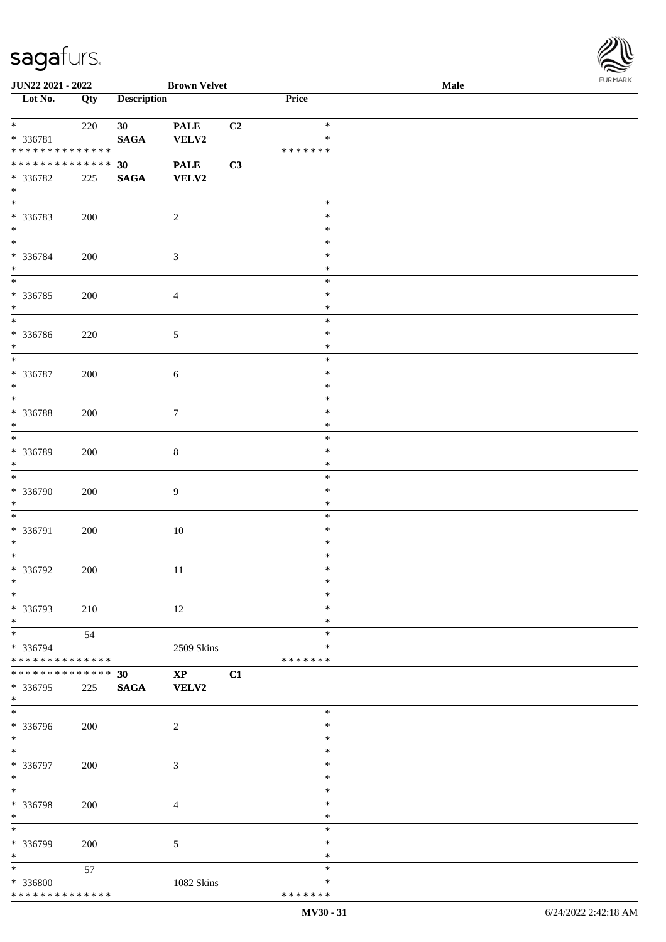

| JUN22 2021 - 2022             |     |                    | <b>Brown Velvet</b> |    |               | <b>Male</b> |  |
|-------------------------------|-----|--------------------|---------------------|----|---------------|-------------|--|
| Lot No.                       | Qty | <b>Description</b> |                     |    | Price         |             |  |
|                               |     |                    |                     |    |               |             |  |
| $*$                           | 220 | 30 <sup>°</sup>    | <b>PALE</b>         | C2 | $\ast$        |             |  |
| * 336781                      |     | <b>SAGA</b>        | VELV2               |    | $\ast$        |             |  |
| * * * * * * * * * * * * * * * |     |                    |                     |    | * * * * * * * |             |  |
| * * * * * * * * * * * * * * * |     | 30 <sup>°</sup>    | <b>PALE</b>         | C3 |               |             |  |
|                               |     |                    |                     |    |               |             |  |
| * 336782                      | 225 | <b>SAGA</b>        | <b>VELV2</b>        |    |               |             |  |
| $\ast$                        |     |                    |                     |    |               |             |  |
| $\overline{\phantom{0}}$      |     |                    |                     |    | $\ast$        |             |  |
| * 336783                      | 200 |                    | $\overline{c}$      |    | $\ast$        |             |  |
| $\ast$                        |     |                    |                     |    | $\ast$        |             |  |
| $\overline{\phantom{a}^*}$    |     |                    |                     |    | $\ast$        |             |  |
| * 336784                      | 200 |                    | $\mathfrak{Z}$      |    | $\ast$        |             |  |
| $\ast$                        |     |                    |                     |    | $\ast$        |             |  |
| $\overline{\phantom{a}^*}$    |     |                    |                     |    | $\ast$        |             |  |
| $* 336785$                    | 200 |                    | $\overline{4}$      |    | $\ast$        |             |  |
| $\ast$                        |     |                    |                     |    | $\ast$        |             |  |
| $\overline{\phantom{1}}$      |     |                    |                     |    |               |             |  |
|                               |     |                    |                     |    | $\ast$        |             |  |
| * 336786                      | 220 |                    | $\sqrt{5}$          |    | $\ast$        |             |  |
| $\ast$                        |     |                    |                     |    | $\ast$        |             |  |
| $_{*}$                        |     |                    |                     |    | $\ast$        |             |  |
| * 336787                      | 200 |                    | $\sqrt{6}$          |    | $\ast$        |             |  |
| $\ast$                        |     |                    |                     |    | $\ast$        |             |  |
| $\ast$                        |     |                    |                     |    | $\ast$        |             |  |
| * 336788                      | 200 |                    | $\boldsymbol{7}$    |    | $\ast$        |             |  |
| $\ast$                        |     |                    |                     |    | $\ast$        |             |  |
| $\overline{\ast}$             |     |                    |                     |    | $\ast$        |             |  |
| * 336789                      | 200 |                    | $\,8\,$             |    | $\ast$        |             |  |
| $\ast$                        |     |                    |                     |    | $\ast$        |             |  |
| $\ast$                        |     |                    |                     |    | $\ast$        |             |  |
|                               |     |                    |                     |    |               |             |  |
| * 336790                      | 200 |                    | $\overline{9}$      |    | $\ast$        |             |  |
| $\ast$                        |     |                    |                     |    | $\ast$        |             |  |
| $\ast$                        |     |                    |                     |    | $\ast$        |             |  |
| * 336791                      | 200 |                    | 10                  |    | $\ast$        |             |  |
| $\ast$                        |     |                    |                     |    | $\ast$        |             |  |
| $\ast$                        |     |                    |                     |    | $\ast$        |             |  |
| * 336792                      | 200 |                    | 11                  |    | $\ast$        |             |  |
| $*$                           |     |                    |                     |    | $\ast$        |             |  |
| $\ast$                        |     |                    |                     |    | $\ast$        |             |  |
| * 336793                      | 210 |                    | 12                  |    | $\ast$        |             |  |
| $\ast$                        |     |                    |                     |    | $\ast$        |             |  |
| $\ast$                        | 54  |                    |                     |    | $\ast$        |             |  |
| * 336794                      |     |                    | 2509 Skins          |    | ∗             |             |  |
| * * * * * * * * * * * * * * * |     |                    |                     |    | * * * * * * * |             |  |
| * * * * * * * * * * * * * * * |     | 30 <sup>°</sup>    | $\mathbf{XP}$       | C1 |               |             |  |
|                               |     |                    |                     |    |               |             |  |
| * 336795<br>$*$               | 225 | <b>SAGA</b>        | <b>VELV2</b>        |    |               |             |  |
| $\overline{\phantom{0}}$      |     |                    |                     |    | $\ast$        |             |  |
|                               |     |                    |                     |    |               |             |  |
| * 336796                      | 200 |                    | $\overline{2}$      |    | ∗             |             |  |
| $*$                           |     |                    |                     |    | $\ast$        |             |  |
| $\ast$                        |     |                    |                     |    | $\ast$        |             |  |
| * 336797                      | 200 |                    | 3                   |    | $\ast$        |             |  |
| $\ast$                        |     |                    |                     |    | $\ast$        |             |  |
| $\overline{\phantom{a}^*}$    |     |                    |                     |    | $\ast$        |             |  |
| * 336798                      | 200 |                    | $\overline{4}$      |    | $\ast$        |             |  |
| $\ast$                        |     |                    |                     |    | $\ast$        |             |  |
| $\overline{\phantom{a}^*}$    |     |                    |                     |    | $\ast$        |             |  |
| * 336799                      | 200 |                    | 5                   |    | $\ast$        |             |  |
| $\ast$                        |     |                    |                     |    | $\ast$        |             |  |
| $\ast$                        | 57  |                    |                     |    | $\ast$        |             |  |
| * 336800                      |     |                    | 1082 Skins          |    | ∗             |             |  |
| * * * * * * * * * * * * * * * |     |                    |                     |    | * * * * * * * |             |  |
|                               |     |                    |                     |    |               |             |  |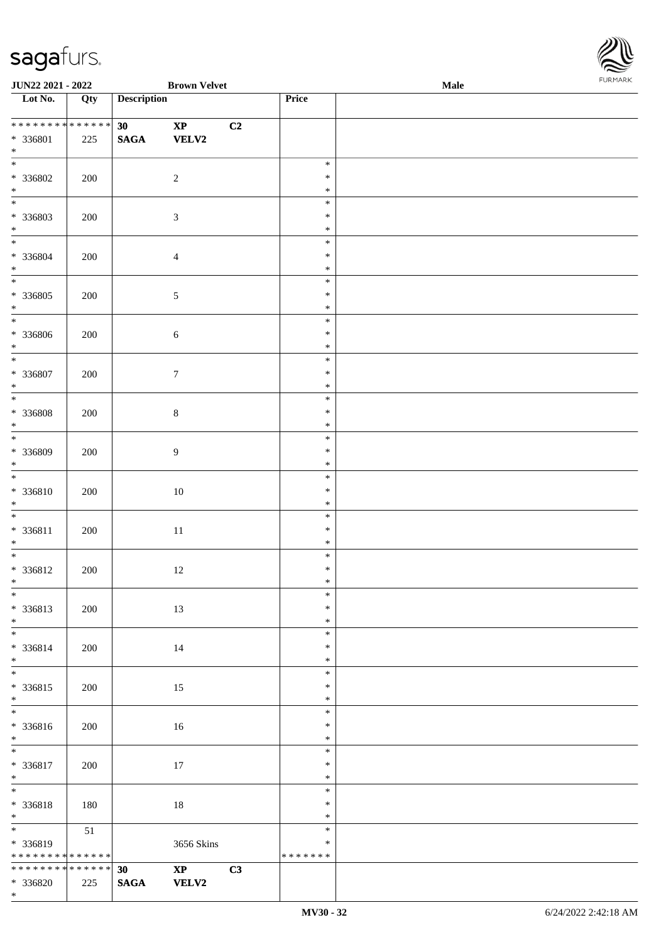

| JUN22 2021 - 2022                                                     |     |                       | <b>Brown Velvet</b>                          |                                   | <b>I ORI IMPORT</b><br>Male |  |  |  |  |
|-----------------------------------------------------------------------|-----|-----------------------|----------------------------------------------|-----------------------------------|-----------------------------|--|--|--|--|
| $\overline{\phantom{1}}$ Lot No.                                      | Qty | <b>Description</b>    |                                              | Price                             |                             |  |  |  |  |
| * * * * * * * * * * * * * *<br>* 336801<br>$\ast$                     | 225 | 30<br>$\mathbf{SAGA}$ | C2<br>$\bold{XP}$<br><b>VELV2</b>            |                                   |                             |  |  |  |  |
| $\overline{\ast}$<br>$* 336802$<br>$\ast$                             | 200 |                       | $\sqrt{2}$                                   | $\ast$<br>$\ast$<br>$\ast$        |                             |  |  |  |  |
| $\overline{\phantom{0}}$<br>* 336803<br>$\ast$                        | 200 |                       | $\mathfrak{Z}$                               | $\ast$<br>$\ast$<br>$\ast$        |                             |  |  |  |  |
| $\overline{\ast}$<br>* 336804<br>$*$                                  | 200 |                       | $\overline{4}$                               | $\ast$<br>$\ast$<br>$\ast$        |                             |  |  |  |  |
| $\overline{\phantom{0}}$<br>$* 336805$<br>$\ast$                      | 200 |                       | 5                                            | $\ast$<br>$\ast$<br>$\ast$        |                             |  |  |  |  |
| $\overline{\ast}$<br>* 336806<br>$\ast$                               | 200 |                       | $\sqrt{6}$                                   | $\ast$<br>$\ast$<br>$\ast$        |                             |  |  |  |  |
| $\overline{\phantom{a}}$<br>$* 336807$<br>$\ast$                      | 200 |                       | $\tau$                                       | $\ast$<br>$\ast$<br>$\ast$        |                             |  |  |  |  |
| $\overline{\ast}$<br>$* 336808$<br>$\ast$                             | 200 |                       | $\,8\,$                                      | $\ast$<br>$\ast$<br>$\ast$        |                             |  |  |  |  |
| $*$<br>* 336809<br>$\ast$                                             | 200 |                       | 9                                            | $\ast$<br>$\ast$<br>$\ast$        |                             |  |  |  |  |
| $\ast$<br>$* 336810$<br>$\ast$                                        | 200 |                       | 10                                           | $\ast$<br>$\ast$<br>$\ast$        |                             |  |  |  |  |
| $\overline{\phantom{0}}$<br>* 336811<br>$*$                           | 200 |                       | $11\,$                                       | $\ast$<br>$\ast$<br>$\ast$        |                             |  |  |  |  |
| $*$<br>$* 336812$<br>$*$                                              | 200 |                       | 12                                           | $\ast$<br>$\ast$<br>$\ast$        |                             |  |  |  |  |
| $*$<br>* 336813<br>$\ast$                                             | 200 |                       | 13                                           | $\ast$<br>$\ast$<br>$\ast$        |                             |  |  |  |  |
| $\ast$<br>* 336814<br>$*$                                             | 200 |                       | 14                                           | $\ast$<br>∗<br>$\ast$             |                             |  |  |  |  |
| $\overline{\phantom{0}}$<br>* 336815<br>$*$                           | 200 |                       | 15                                           | $\ast$<br>$\ast$<br>$\ast$        |                             |  |  |  |  |
| $*$<br>* 336816<br>$*$                                                | 200 |                       | 16                                           | $\ast$<br>$\ast$<br>$\ast$        |                             |  |  |  |  |
| $\overline{\phantom{0}}$<br>* 336817<br>$*$                           | 200 |                       | $17\,$                                       | $\ast$<br>$\ast$<br>$\ast$        |                             |  |  |  |  |
| $\overline{\phantom{0}}$<br>* 336818<br>$*$                           | 180 |                       | 18                                           | $\ast$<br>$\ast$<br>$\ast$        |                             |  |  |  |  |
| $*$ and $*$<br>* 336819<br>* * * * * * * * <mark>* * * * * * *</mark> | 51  |                       | 3656 Skins                                   | $\ast$<br>$\ast$<br>* * * * * * * |                             |  |  |  |  |
| ******** <mark>******</mark><br>* 336820<br>$*$                       | 225 | 30<br><b>SAGA</b>     | $\mathbf{X}\mathbf{P}$<br>C3<br><b>VELV2</b> |                                   |                             |  |  |  |  |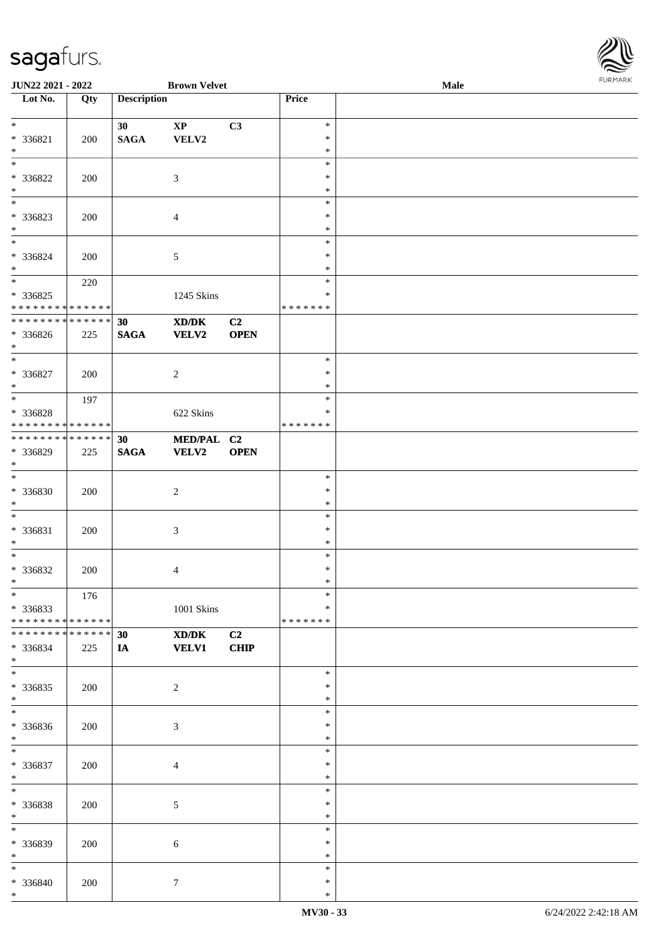

| JUN22 2021 - 2022             |     |                    | <b>Brown Velvet</b>                         |             |                  | Male | 101111111111 |
|-------------------------------|-----|--------------------|---------------------------------------------|-------------|------------------|------|--------------|
| Lot No.                       | Qty | <b>Description</b> |                                             |             | Price            |      |              |
|                               |     |                    |                                             |             |                  |      |              |
| $*$                           |     | 30                 | $\bold{XP}$                                 | C3          | $\ast$           |      |              |
| * 336821                      | 200 | <b>SAGA</b>        | VELV2                                       |             | $\ast$           |      |              |
| $\ast$<br>$\ast$              |     |                    |                                             |             | $\ast$<br>$\ast$ |      |              |
| * 336822                      |     |                    |                                             |             | $\ast$           |      |              |
| $\ast$                        | 200 |                    | 3                                           |             | $\ast$           |      |              |
| $\overline{\phantom{0}}$      |     |                    |                                             |             | $\ast$           |      |              |
| * 336823                      | 200 |                    | $\overline{4}$                              |             | ∗                |      |              |
| $\ast$                        |     |                    |                                             |             | $\ast$           |      |              |
| $*$                           |     |                    |                                             |             | $\ast$           |      |              |
| * 336824                      | 200 |                    | $\sqrt{5}$                                  |             | $\ast$           |      |              |
| $*$                           |     |                    |                                             |             | $\ast$           |      |              |
| $\overline{\ }$               | 220 |                    |                                             |             | $\ast$           |      |              |
| * 336825                      |     |                    | 1245 Skins                                  |             | $\ast$           |      |              |
| * * * * * * * * * * * * * *   |     |                    |                                             |             | * * * * * * *    |      |              |
| * * * * * * * * * * * * * *   |     | 30                 | $\mathbf{X}\mathbf{D}/\mathbf{D}\mathbf{K}$ | C2          |                  |      |              |
| $* 336826$                    | 225 | <b>SAGA</b>        | <b>VELV2</b>                                | <b>OPEN</b> |                  |      |              |
| $*$                           |     |                    |                                             |             |                  |      |              |
| $\overline{\ast}$             |     |                    |                                             |             | $\ast$           |      |              |
| * 336827<br>$*$               | 200 |                    | $\sqrt{2}$                                  |             | $\ast$<br>∗      |      |              |
| $*$                           | 197 |                    |                                             |             | $\ast$           |      |              |
| * 336828                      |     |                    | 622 Skins                                   |             | ∗                |      |              |
| * * * * * * * * * * * * * *   |     |                    |                                             |             | * * * * * * *    |      |              |
| * * * * * * * * * * * * * * * |     | 30                 | MED/PAL C2                                  |             |                  |      |              |
| * 336829                      | 225 | <b>SAGA</b>        | VELV2                                       | <b>OPEN</b> |                  |      |              |
| $\ast$                        |     |                    |                                             |             |                  |      |              |
| $*$                           |     |                    |                                             |             | $\ast$           |      |              |
| * 336830                      | 200 |                    | $\boldsymbol{2}$                            |             | $\ast$           |      |              |
| $*$                           |     |                    |                                             |             | $\ast$           |      |              |
| $*$                           |     |                    |                                             |             | $\ast$           |      |              |
| * 336831                      | 200 |                    | 3                                           |             | $\ast$           |      |              |
| $*$                           |     |                    |                                             |             | $\ast$           |      |              |
| $*$                           |     |                    |                                             |             | $\ast$           |      |              |
| $* 336832$                    | 200 |                    | $\overline{\mathcal{A}}$                    |             | $\ast$<br>$\ast$ |      |              |
| $*$<br>$*$                    |     |                    |                                             |             | $\ast$           |      |              |
| * 336833                      | 176 |                    | 1001 Skins                                  |             | *                |      |              |
| * * * * * * * * * * * * * * * |     |                    |                                             |             | * * * * * * *    |      |              |
| * * * * * * * * * * * * * * * |     | 30                 | $\mathbf{X}\mathbf{D}/\mathbf{D}\mathbf{K}$ | C2          |                  |      |              |
| * 336834                      | 225 | IA                 | <b>VELV1</b>                                | <b>CHIP</b> |                  |      |              |
| $*$                           |     |                    |                                             |             |                  |      |              |
|                               |     |                    |                                             |             | $\ast$           |      |              |
| $*336835$                     | 200 |                    | $\overline{c}$                              |             | $\ast$           |      |              |
| $*$                           |     |                    |                                             |             | $\ast$           |      |              |
| $*$                           |     |                    |                                             |             | $\ast$           |      |              |
| * 336836                      | 200 |                    | 3                                           |             | $\ast$           |      |              |
| $*$                           |     |                    |                                             |             | $\ast$           |      |              |
| $\ast$                        |     |                    |                                             |             | $\ast$           |      |              |
| * 336837                      | 200 |                    | 4                                           |             | $\ast$           |      |              |
| $*$<br>$*$                    |     |                    |                                             |             | $\ast$<br>$\ast$ |      |              |
| * 336838                      |     |                    |                                             |             | $\ast$           |      |              |
| $*$                           | 200 |                    | 5                                           |             | $\ast$           |      |              |
| $\ast$                        |     |                    |                                             |             | $\ast$           |      |              |
| * 336839                      | 200 |                    | 6                                           |             | $\ast$           |      |              |
| $*$                           |     |                    |                                             |             | $\ast$           |      |              |
| $\ast$                        |     |                    |                                             |             | $\ast$           |      |              |
| * 336840                      | 200 |                    | $\tau$                                      |             | $\ast$           |      |              |
| $*$                           |     |                    |                                             |             | $\ast$           |      |              |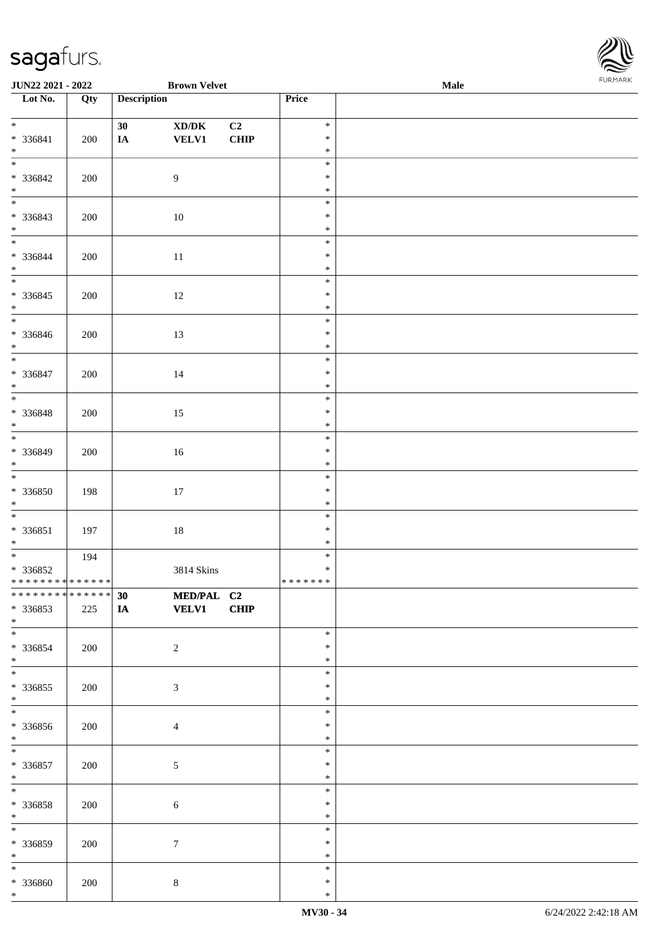

| <b>JUN22 2021 - 2022</b>                   |     |                    | <b>Brown Velvet</b>                 |      |         | Male |
|--------------------------------------------|-----|--------------------|-------------------------------------|------|---------|------|
| Lot No.                                    | Qty | <b>Description</b> |                                     |      | Price   |      |
|                                            |     |                    |                                     |      |         |      |
| $*$                                        |     | 30                 | $\bold{X}\bold{D}/\bold{D}\bold{K}$ | C2   | $\ast$  |      |
| * 336841                                   | 200 | IA                 | <b>VELV1</b>                        | CHIP | $\ast$  |      |
| $*$                                        |     |                    |                                     |      | $\ast$  |      |
|                                            |     |                    |                                     |      | $\ast$  |      |
|                                            |     |                    |                                     |      |         |      |
| * 336842                                   | 200 |                    | $\overline{9}$                      |      | $\ast$  |      |
| $*$                                        |     |                    |                                     |      | $\ast$  |      |
|                                            |     |                    |                                     |      | $\ast$  |      |
| * 336843                                   | 200 |                    | 10                                  |      | $\ast$  |      |
| $*$                                        |     |                    |                                     |      | $\ast$  |      |
|                                            |     |                    |                                     |      | $\ast$  |      |
| * 336844                                   | 200 |                    | $11\,$                              |      | $\ast$  |      |
| $*$                                        |     |                    |                                     |      | $\ast$  |      |
|                                            |     |                    |                                     |      | $\ast$  |      |
| $* 336845$                                 | 200 |                    |                                     |      | $\ast$  |      |
|                                            |     |                    | 12                                  |      | $\ast$  |      |
| $*$<br>$\overline{\phantom{0}}$            |     |                    |                                     |      |         |      |
|                                            |     |                    |                                     |      | $\ast$  |      |
| * 336846                                   | 200 |                    | 13                                  |      | $\ast$  |      |
| $*$                                        |     |                    |                                     |      | $\ast$  |      |
| $*$                                        |     |                    |                                     |      | $\ast$  |      |
| * 336847                                   | 200 |                    | 14                                  |      | $\ast$  |      |
| $*$                                        |     |                    |                                     |      | $\ast$  |      |
|                                            |     |                    |                                     |      | $\ast$  |      |
| * 336848                                   | 200 |                    | 15                                  |      | $\ast$  |      |
| $*$                                        |     |                    |                                     |      | $\ast$  |      |
|                                            |     |                    |                                     |      | $\ast$  |      |
| * 336849                                   | 200 |                    | 16                                  |      | $\ast$  |      |
| $*$                                        |     |                    |                                     |      | $\ast$  |      |
|                                            |     |                    |                                     |      | $\ast$  |      |
|                                            |     |                    |                                     |      |         |      |
| * 336850                                   | 198 |                    | 17                                  |      | $\ast$  |      |
| $*$                                        |     |                    |                                     |      | $\ast$  |      |
| $*$                                        |     |                    |                                     |      | $\ast$  |      |
| $* 336851$                                 | 197 |                    | $18\,$                              |      | $\ast$  |      |
| $*$                                        |     |                    |                                     |      | $\ast$  |      |
|                                            | 194 |                    |                                     |      | $\ast$  |      |
| * 336852                                   |     |                    | 3814 Skins                          |      | $\ast$  |      |
| * * * * * * * * <mark>* * * * * * *</mark> |     |                    |                                     |      | ******* |      |
| * * * * * * * * * * * * * * *              |     | 30                 | MED/PAL C2                          |      |         |      |
| * 336853                                   | 225 | <b>IA</b>          | <b>VELV1</b>                        | CHIP |         |      |
| $*$                                        |     |                    |                                     |      |         |      |
|                                            |     |                    |                                     |      | $\ast$  |      |
| * 336854                                   | 200 |                    | $\overline{2}$                      |      | ∗       |      |
| $*$                                        |     |                    |                                     |      | $\ast$  |      |
| $\overline{\ast}$                          |     |                    |                                     |      | $\ast$  |      |
|                                            |     |                    |                                     |      |         |      |
| * 336855                                   | 200 |                    | $\mathfrak{Z}$                      |      | $\ast$  |      |
| $*$                                        |     |                    |                                     |      | $\ast$  |      |
| $\overline{\ }$                            |     |                    |                                     |      | $\ast$  |      |
| * 336856                                   | 200 |                    | $\overline{4}$                      |      | $\ast$  |      |
| $*$                                        |     |                    |                                     |      | $\ast$  |      |
| $*$                                        |     |                    |                                     |      | $\ast$  |      |
| * 336857                                   | 200 |                    | $\sqrt{5}$                          |      | $\ast$  |      |
| $*$                                        |     |                    |                                     |      | $\ast$  |      |
| $*$                                        |     |                    |                                     |      | $\ast$  |      |
| * 336858                                   | 200 |                    | $\sqrt{6}$                          |      | $\ast$  |      |
| $*$                                        |     |                    |                                     |      | $\ast$  |      |
| $*$                                        |     |                    |                                     |      | $\ast$  |      |
|                                            |     |                    |                                     |      | $\ast$  |      |
| $* 336859$<br>$*$                          | 200 |                    | $\tau$                              |      | $\ast$  |      |
|                                            |     |                    |                                     |      | $\ast$  |      |
| $*$                                        |     |                    |                                     |      |         |      |
| * 336860                                   | 200 |                    | $\,8\,$                             |      | ∗       |      |
| $*$                                        |     |                    |                                     |      | $\ast$  |      |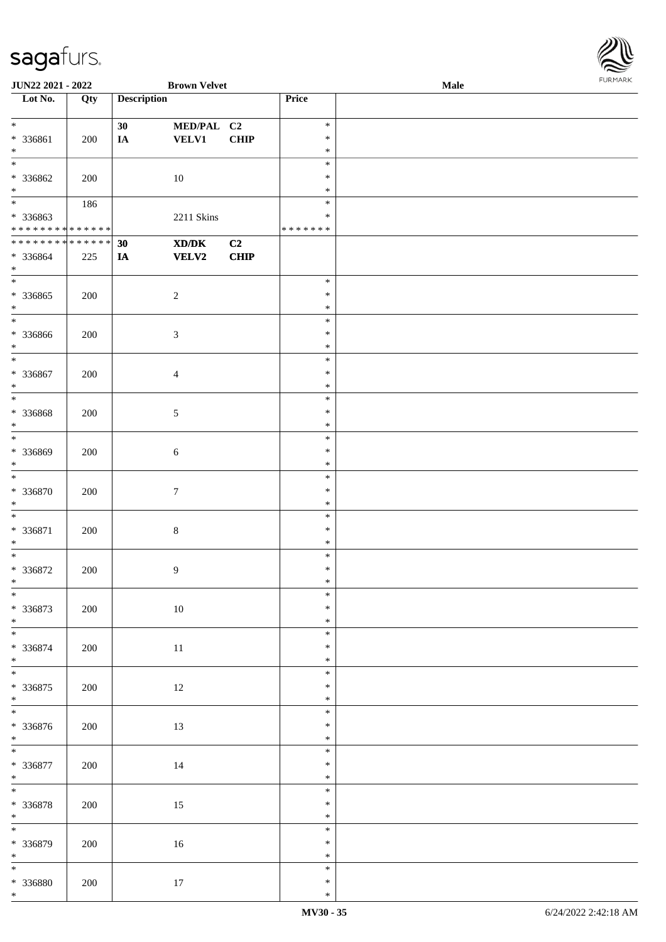\*

**JUN22 2021 - 2022 Brown Velvet Male**

**Lot No. Qty Description Price**

| $\ast$                                                |     | 30 | MED/PAL C2       |             | $\ast$           |  |
|-------------------------------------------------------|-----|----|------------------|-------------|------------------|--|
| * 336861                                              | 200 | IA | <b>VELV1</b>     | <b>CHIP</b> | $\ast$           |  |
| $\ast$                                                |     |    |                  |             | $\ast$           |  |
| $\overline{\phantom{a}^*}$                            |     |    |                  |             | $\ast$           |  |
| * 336862                                              | 200 |    | $10\,$           |             | $\ast$           |  |
| $*$                                                   |     |    |                  |             | $\ast$           |  |
| $\overline{\phantom{a}^*}$                            | 186 |    |                  |             | $\ast$           |  |
| * 336863                                              |     |    | 2211 Skins       |             | $\ast$           |  |
| * * * * * * * * * * * * * *                           |     |    |                  |             | * * * * * * *    |  |
| * * * * * * * * * * * * * * *                         |     | 30 | XD/DK            | C2          |                  |  |
| * 336864                                              | 225 | IA | <b>VELV2</b>     | CHIP        |                  |  |
| $\ast$                                                |     |    |                  |             |                  |  |
| $\overline{\phantom{0}}$                              |     |    |                  |             | $\ast$           |  |
| $*336865$                                             | 200 |    | $\sqrt{2}$       |             | $\ast$           |  |
| $*$                                                   |     |    |                  |             | *                |  |
| $\overline{\ast}$                                     |     |    |                  |             | $\ast$           |  |
| * 336866                                              | 200 |    | $\sqrt{3}$       |             | $\ast$           |  |
| $\ast$                                                |     |    |                  |             | $\ast$           |  |
| $\ast$                                                |     |    |                  |             | $\ast$           |  |
| $* 336867$                                            | 200 |    | $\overline{4}$   |             | $\ast$           |  |
| $\ast$                                                |     |    |                  |             | $\ast$           |  |
| $\overline{\phantom{1}}$                              |     |    |                  |             | $\ast$           |  |
| * 336868                                              | 200 |    | $5\,$            |             | $\ast$           |  |
| $\ast$                                                |     |    |                  |             | $\ast$           |  |
| $\overline{\phantom{a}^*}$                            |     |    |                  |             | $\ast$           |  |
| * 336869                                              | 200 |    | $\sqrt{6}$       |             | $\ast$           |  |
| $\ast$                                                |     |    |                  |             | $\ast$           |  |
| $\ast$                                                |     |    |                  |             | $\ast$           |  |
| * 336870                                              | 200 |    | $\tau$           |             | $\ast$           |  |
| $\ast$                                                |     |    |                  |             | $\ast$           |  |
| $\ast$                                                |     |    |                  |             | $\ast$           |  |
| $* 336871$                                            | 200 |    | $\,8\,$          |             | $\ast$           |  |
| $\ast$                                                |     |    |                  |             | $\ast$           |  |
| $\ast$                                                |     |    |                  |             | $\ast$           |  |
| $* 336872$                                            | 200 |    | $\boldsymbol{9}$ |             | $\ast$           |  |
| $*$                                                   |     |    |                  |             | $\ast$           |  |
| $\ast$                                                |     |    |                  |             | $\ast$           |  |
| $* 336873$                                            | 200 |    | 10               |             | $\ast$           |  |
|                                                       |     |    |                  |             | $\ast$           |  |
|                                                       |     |    |                  |             | $\ast$           |  |
| $* 336874$                                            | 200 |    | $11\,$           |             | $\ast$           |  |
| $*$<br>$\overline{\phantom{a}^*}$                     |     |    |                  |             | $\ast$           |  |
|                                                       |     |    |                  |             | $\ast$           |  |
| $* 336875$<br>$\ast$                                  | 200 |    | $12\,$           |             | $\ast$<br>$\ast$ |  |
| $\overline{\phantom{a}^*}$                            |     |    |                  |             | $\ast$           |  |
| $* 336876$                                            |     |    |                  |             | $\ast$           |  |
|                                                       | 200 |    | 13               |             | $\ast$           |  |
| $*$ $*$                                               |     |    |                  |             | $\ast$           |  |
|                                                       |     |    |                  |             | $\ast$           |  |
| $* 336877$<br>$*$                                     | 200 |    | $14\,$           |             | $\ast$           |  |
| $\frac{1}{*}$                                         |     |    |                  |             | $\ast$           |  |
| $* 336878$                                            | 200 |    | $15\,$           |             | $\ast$           |  |
| $*$                                                   |     |    |                  |             | $\ast$           |  |
| $\overline{\ast}$                                     |     |    |                  |             | $\ast$           |  |
| * 336879                                              | 200 |    | $16\,$           |             | $\ast$           |  |
|                                                       |     |    |                  |             | $\ast$           |  |
| $\begin{array}{c}\n * \\  \hline\n * \\  \end{array}$ |     |    |                  |             | $\ast$           |  |
| $* 336880$                                            | 200 |    | $17\,$           |             | $\ast$           |  |
|                                                       |     |    |                  |             |                  |  |

 $\overline{\phantom{a}}$ 

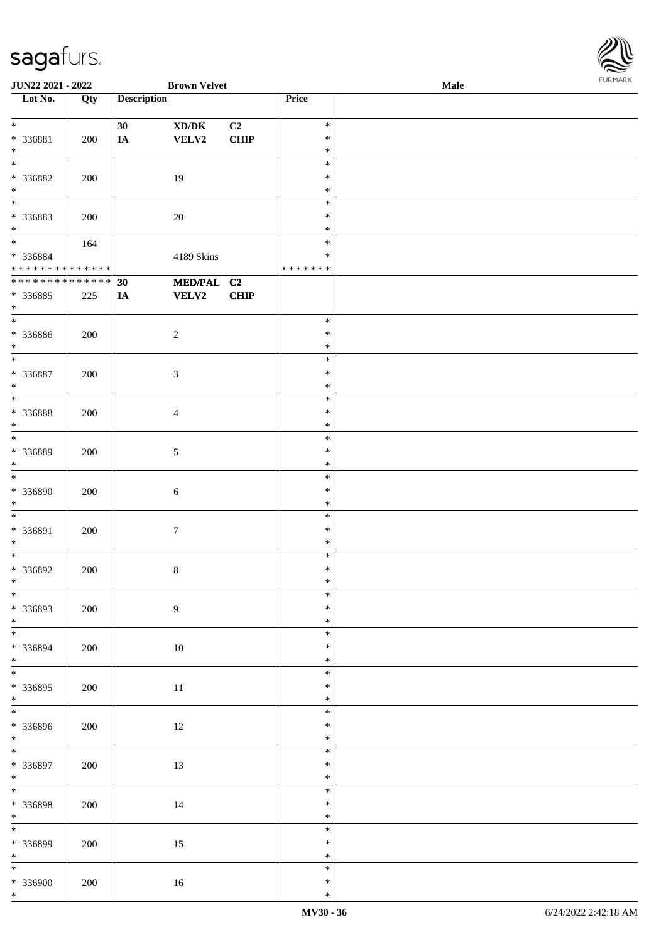

| <b>JUN22 2021 - 2022</b>     |     |                    | <b>Brown Velvet</b>                 |             |               | Male |  |
|------------------------------|-----|--------------------|-------------------------------------|-------------|---------------|------|--|
| Lot No.                      | Qty | <b>Description</b> |                                     |             | Price         |      |  |
|                              |     |                    |                                     |             |               |      |  |
| $*$                          |     | 30                 | $\bold{X}\bold{D}/\bold{D}\bold{K}$ | C2          | $\ast$        |      |  |
|                              |     |                    |                                     |             | $\ast$        |      |  |
| * 336881                     | 200 | $I\!\!A$           | VELV2                               | CHIP        |               |      |  |
| $\ast$                       |     |                    |                                     |             | $\ast$        |      |  |
|                              |     |                    |                                     |             | $\ast$        |      |  |
| * 336882                     | 200 |                    | 19                                  |             | $\ast$        |      |  |
| $\ast$                       |     |                    |                                     |             | $\ast$        |      |  |
|                              |     |                    |                                     |             |               |      |  |
|                              |     |                    |                                     |             | $\ast$        |      |  |
| * 336883                     | 200 |                    | $20\,$                              |             | $\ast$        |      |  |
| $*$                          |     |                    |                                     |             | $\ast$        |      |  |
| $*$                          |     |                    |                                     |             | $\ast$        |      |  |
|                              | 164 |                    |                                     |             |               |      |  |
| * 336884                     |     |                    | 4189 Skins                          |             | $\ast$        |      |  |
| * * * * * * * * * * * * * *  |     |                    |                                     |             | * * * * * * * |      |  |
| ******** <mark>******</mark> |     | 30                 | MED/PAL C2                          |             |               |      |  |
| * 336885                     | 225 | IA                 | <b>VELV2</b>                        | <b>CHIP</b> |               |      |  |
|                              |     |                    |                                     |             |               |      |  |
| $\ast$                       |     |                    |                                     |             |               |      |  |
| $\overline{\ast}$            |     |                    |                                     |             | $\ast$        |      |  |
| * 336886                     | 200 |                    | $\boldsymbol{2}$                    |             | $\ast$        |      |  |
| $\ast$                       |     |                    |                                     |             | $\ast$        |      |  |
|                              |     |                    |                                     |             |               |      |  |
| $\ast$                       |     |                    |                                     |             | $\ast$        |      |  |
| * 336887                     | 200 |                    | 3                                   |             | $\ast$        |      |  |
| $\ast$                       |     |                    |                                     |             | $\ast$        |      |  |
|                              |     |                    |                                     |             | $\ast$        |      |  |
|                              |     |                    |                                     |             |               |      |  |
| * 336888                     | 200 |                    | $\overline{4}$                      |             | $\ast$        |      |  |
| $\ast$                       |     |                    |                                     |             | $\ast$        |      |  |
| $\ast$                       |     |                    |                                     |             | $\ast$        |      |  |
| * 336889                     | 200 |                    | $\sqrt{5}$                          |             | $\ast$        |      |  |
| $*$                          |     |                    |                                     |             | $\ast$        |      |  |
|                              |     |                    |                                     |             |               |      |  |
| $*$                          |     |                    |                                     |             | $\ast$        |      |  |
| * 336890                     | 200 |                    | 6                                   |             | $\ast$        |      |  |
| $*$                          |     |                    |                                     |             | $\ast$        |      |  |
| $*$                          |     |                    |                                     |             | $\ast$        |      |  |
|                              |     |                    |                                     |             |               |      |  |
| * 336891                     | 200 |                    | $\boldsymbol{7}$                    |             | $\ast$        |      |  |
| $\ast$                       |     |                    |                                     |             | $\ast$        |      |  |
| $*$                          |     |                    |                                     |             | $\ast$        |      |  |
|                              |     |                    |                                     |             | $\ast$        |      |  |
| * 336892                     | 200 |                    | $8\,$                               |             |               |      |  |
| $*$                          |     |                    |                                     |             | $\ast$        |      |  |
| $*$                          |     |                    |                                     |             | $\ast$        |      |  |
| * 336893                     | 200 |                    | $\boldsymbol{9}$                    |             | $\ast$        |      |  |
| $*$                          |     |                    |                                     |             | $\ast$        |      |  |
| $\overline{\ast}$            |     |                    |                                     |             |               |      |  |
|                              |     |                    |                                     |             | $\ast$        |      |  |
| * 336894                     | 200 |                    | 10                                  |             | $\ast$        |      |  |
| $*$                          |     |                    |                                     |             | $\ast$        |      |  |
| $\overline{\ast}$            |     |                    |                                     |             | $\ast$        |      |  |
|                              |     |                    |                                     |             |               |      |  |
| * 336895                     | 200 |                    | $11\,$                              |             | $\ast$        |      |  |
| $*$                          |     |                    |                                     |             | $\ast$        |      |  |
|                              |     |                    |                                     |             | $\ast$        |      |  |
| * 336896                     | 200 |                    | 12                                  |             | $\ast$        |      |  |
|                              |     |                    |                                     |             | $\ast$        |      |  |
| $*$                          |     |                    |                                     |             |               |      |  |
| $\overline{\ast}$            |     |                    |                                     |             | $\ast$        |      |  |
| * 336897                     | 200 |                    | 13                                  |             | $\ast$        |      |  |
| $*$                          |     |                    |                                     |             | $\ast$        |      |  |
|                              |     |                    |                                     |             | $\ast$        |      |  |
|                              |     |                    |                                     |             |               |      |  |
| * 336898                     | 200 |                    | 14                                  |             | $\ast$        |      |  |
| $*$                          |     |                    |                                     |             | $\ast$        |      |  |
|                              |     |                    |                                     |             | $\ast$        |      |  |
|                              |     |                    |                                     |             |               |      |  |
| * 336899                     | 200 |                    | 15                                  |             | $\ast$        |      |  |
| $*$                          |     |                    |                                     |             | $\ast$        |      |  |
| $\overline{\ast}$            |     |                    |                                     |             | $\ast$        |      |  |
| * 336900                     | 200 |                    | 16                                  |             | $\ast$        |      |  |
| $*$                          |     |                    |                                     |             | $\ast$        |      |  |
|                              |     |                    |                                     |             |               |      |  |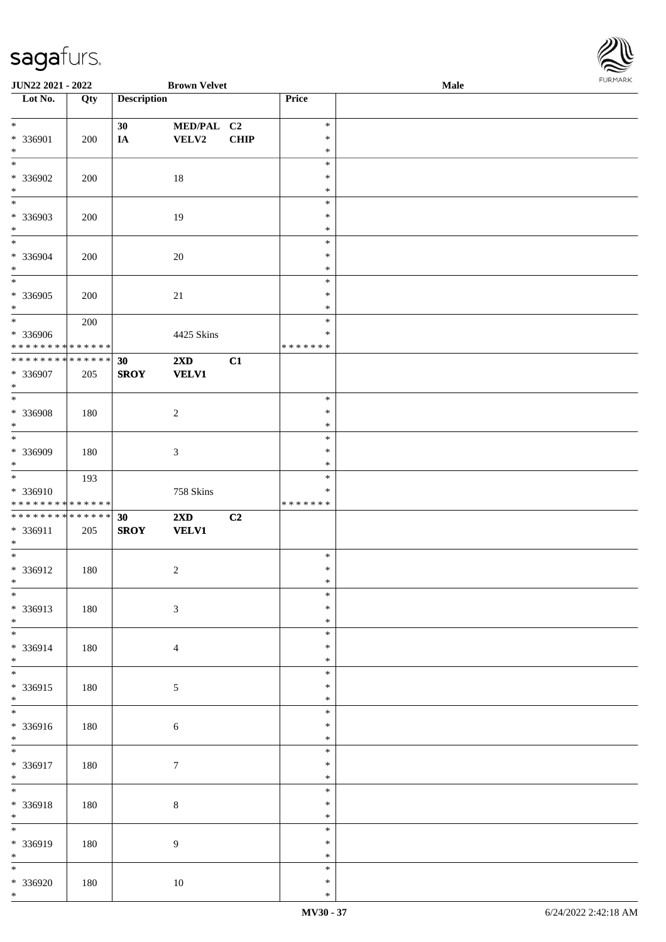

| <b>JUN22 2021 - 2022</b>                   |     |                    | <b>Brown Velvet</b>     |      |               | Male |  |
|--------------------------------------------|-----|--------------------|-------------------------|------|---------------|------|--|
| Lot No.                                    | Qty | <b>Description</b> |                         |      | Price         |      |  |
|                                            |     |                    |                         |      |               |      |  |
| $*$                                        |     | 30                 | MED/PAL C2              |      | $\ast$        |      |  |
| * 336901                                   | 200 | IA                 | VELV2                   | CHIP | $\ast$        |      |  |
| $*$                                        |     |                    |                         |      | $\ast$        |      |  |
| $\overline{\ast}$                          |     |                    |                         |      | $\ast$        |      |  |
|                                            |     |                    |                         |      |               |      |  |
| * 336902                                   | 200 |                    | 18                      |      | $\ast$        |      |  |
| $*$                                        |     |                    |                         |      | $\ast$        |      |  |
| $\overline{\phantom{0}}$                   |     |                    |                         |      | $\ast$        |      |  |
| * 336903                                   | 200 |                    | 19                      |      | $\ast$        |      |  |
| $*$                                        |     |                    |                         |      | $\ast$        |      |  |
| $*$                                        |     |                    |                         |      | $\ast$        |      |  |
| * 336904                                   | 200 |                    | 20                      |      | $\ast$        |      |  |
| $*$                                        |     |                    |                         |      | $\ast$        |      |  |
| $\overline{\ast}$                          |     |                    |                         |      | $\ast$        |      |  |
| * 336905                                   |     |                    |                         |      | $\ast$        |      |  |
| $*$                                        | 200 |                    | 21                      |      | $\ast$        |      |  |
| $*$                                        |     |                    |                         |      |               |      |  |
|                                            | 200 |                    |                         |      | $\ast$        |      |  |
| * 336906                                   |     |                    | 4425 Skins              |      | $\ast$        |      |  |
| * * * * * * * * * * * * * *                |     |                    |                         |      | * * * * * * * |      |  |
| * * * * * * * * <mark>* * * * * * *</mark> |     | 30                 | $2\mathbf{X}\mathbf{D}$ | C1   |               |      |  |
| * 336907                                   | 205 | <b>SROY</b>        | <b>VELV1</b>            |      |               |      |  |
| $*$                                        |     |                    |                         |      |               |      |  |
|                                            |     |                    |                         |      | $\ast$        |      |  |
| * 336908                                   | 180 |                    | $\overline{2}$          |      | $\ast$        |      |  |
| $*$                                        |     |                    |                         |      | $\ast$        |      |  |
| $*$                                        |     |                    |                         |      | $\ast$        |      |  |
| * 336909                                   | 180 |                    | 3                       |      | $\ast$        |      |  |
| $*$                                        |     |                    |                         |      | $\ast$        |      |  |
|                                            |     |                    |                         |      | $\ast$        |      |  |
|                                            | 193 |                    |                         |      |               |      |  |
| * 336910                                   |     |                    | 758 Skins               |      | $\ast$        |      |  |
| * * * * * * * * * * * * * *                |     |                    |                         |      | *******       |      |  |
| * * * * * * * * * * * * * * *              |     | 30                 | $2\mathbf{X}\mathbf{D}$ | C2   |               |      |  |
| * 336911                                   | 205 | <b>SROY</b>        | <b>VELV1</b>            |      |               |      |  |
| $*$                                        |     |                    |                         |      |               |      |  |
| $*$                                        |     |                    |                         |      | $\ast$        |      |  |
| * 336912                                   | 180 |                    | $\overline{c}$          |      | $\ast$        |      |  |
| $*$                                        |     |                    |                         |      | $\ast$        |      |  |
| $\ast$                                     |     |                    |                         |      | $\ast$        |      |  |
| * 336913                                   | 180 |                    | $\mathfrak{Z}$          |      | $\ast$        |      |  |
| $*$                                        |     |                    |                         |      | $\ast$        |      |  |
|                                            |     |                    |                         |      | $\ast$        |      |  |
| * 336914                                   | 180 |                    | $\overline{4}$          |      | $\ast$        |      |  |
| $*$                                        |     |                    |                         |      | $\ast$        |      |  |
|                                            |     |                    |                         |      | $\ast$        |      |  |
|                                            |     |                    |                         |      |               |      |  |
| * 336915                                   | 180 |                    | $\sqrt{5}$              |      | $\ast$        |      |  |
| $*$                                        |     |                    |                         |      | $\ast$        |      |  |
| $\overline{\phantom{0}}$                   |     |                    |                         |      | $\ast$        |      |  |
| * 336916                                   | 180 |                    | $\sqrt{6}$              |      | $\ast$        |      |  |
| $*$                                        |     |                    |                         |      | $\ast$        |      |  |
| $\overline{\ast}$                          |     |                    |                         |      | $\ast$        |      |  |
| * 336917                                   | 180 |                    | $\boldsymbol{7}$        |      | $\ast$        |      |  |
| $*$                                        |     |                    |                         |      | $\ast$        |      |  |
| $*$                                        |     |                    |                         |      | $\ast$        |      |  |
| * 336918                                   | 180 |                    | $8\,$                   |      | $\ast$        |      |  |
| $*$                                        |     |                    |                         |      | $\ast$        |      |  |
|                                            |     |                    |                         |      | $\ast$        |      |  |
|                                            |     |                    |                         |      | $\ast$        |      |  |
| * 336919                                   | 180 |                    | $\overline{9}$          |      |               |      |  |
| $*$                                        |     |                    |                         |      | $\ast$        |      |  |
| $*$                                        |     |                    |                         |      | $\ast$        |      |  |
| * 336920                                   | 180 |                    | $10\,$                  |      | $\ast$        |      |  |
| $*$                                        |     |                    |                         |      | $\ast$        |      |  |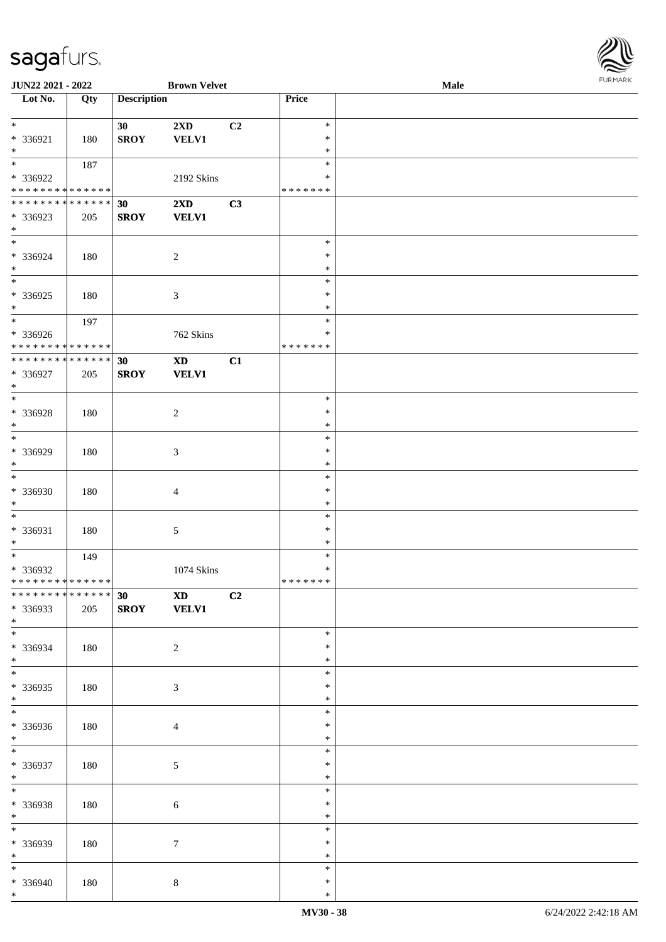

| <b>JUN22 2021 - 2022</b>                   |     |                    | <b>Brown Velvet</b>     |    |               | Male |
|--------------------------------------------|-----|--------------------|-------------------------|----|---------------|------|
| Lot No.                                    | Qty | <b>Description</b> |                         |    | <b>Price</b>  |      |
|                                            |     |                    |                         |    |               |      |
| $*$                                        |     | 30                 | 2XD                     | C2 | $\ast$        |      |
|                                            |     |                    |                         |    | $\ast$        |      |
| * 336921                                   | 180 | <b>SROY</b>        | <b>VELV1</b>            |    |               |      |
| $*$                                        |     |                    |                         |    | $\ast$        |      |
|                                            | 187 |                    |                         |    | $\ast$        |      |
| * 336922                                   |     |                    | 2192 Skins              |    | ∗             |      |
| * * * * * * * * * * * * * *                |     |                    |                         |    | * * * * * * * |      |
| * * * * * * * * * * * * * *                |     |                    |                         |    |               |      |
|                                            |     | 30                 | $2\mathbf{X}\mathbf{D}$ | C3 |               |      |
| * 336923                                   | 205 | <b>SROY</b>        | <b>VELV1</b>            |    |               |      |
| $*$                                        |     |                    |                         |    |               |      |
| $\overline{\phantom{0}}$                   |     |                    |                         |    | $\ast$        |      |
| * 336924                                   | 180 |                    | $\overline{2}$          |    | $\ast$        |      |
| $*$                                        |     |                    |                         |    | $\ast$        |      |
|                                            |     |                    |                         |    |               |      |
|                                            |     |                    |                         |    | $\ast$        |      |
| * 336925                                   | 180 |                    | $\mathfrak{Z}$          |    | $\ast$        |      |
| $*$                                        |     |                    |                         |    | $\ast$        |      |
| $*$                                        | 197 |                    |                         |    | $\ast$        |      |
|                                            |     |                    |                         |    | $\ast$        |      |
| * 336926                                   |     |                    | 762 Skins               |    |               |      |
| * * * * * * * * * * * * * *                |     |                    |                         |    | *******       |      |
| * * * * * * * * <mark>* * * * * * *</mark> |     | 30                 | $\mathbf{X}\mathbf{D}$  | C1 |               |      |
| $* 336927$                                 | 205 | <b>SROY</b>        | <b>VELV1</b>            |    |               |      |
| $\ast$                                     |     |                    |                         |    |               |      |
| $*$                                        |     |                    |                         |    | $\ast$        |      |
|                                            |     |                    |                         |    |               |      |
| * 336928                                   | 180 |                    | $\overline{c}$          |    | $\ast$        |      |
| $*$                                        |     |                    |                         |    | $\ast$        |      |
| $\overline{\phantom{0}}$                   |     |                    |                         |    | $\ast$        |      |
| * 336929                                   | 180 |                    | 3                       |    | $\ast$        |      |
| $*$                                        |     |                    |                         |    | $\ast$        |      |
|                                            |     |                    |                         |    |               |      |
| $\ast$                                     |     |                    |                         |    | $\ast$        |      |
| * 336930                                   | 180 |                    | $\overline{4}$          |    | $\ast$        |      |
| $\ast$                                     |     |                    |                         |    | $\ast$        |      |
| $*$                                        |     |                    |                         |    | $\ast$        |      |
|                                            |     |                    |                         |    |               |      |
| * 336931                                   | 180 |                    | 5                       |    | $\ast$        |      |
| $*$                                        |     |                    |                         |    | $\ast$        |      |
| $*$                                        | 149 |                    |                         |    | $\ast$        |      |
| * 336932                                   |     |                    | 1074 Skins              |    | $\ast$        |      |
| * * * * * * * * * * * * * * *              |     |                    |                         |    | *******       |      |
| * * * * * * * * <mark>* * * * * * *</mark> |     |                    |                         |    |               |      |
|                                            |     | 30                 | <b>XD</b>               | C2 |               |      |
| * 336933                                   | 205 | <b>SROY</b>        | <b>VELV1</b>            |    |               |      |
| $*$                                        |     |                    |                         |    |               |      |
|                                            |     |                    |                         |    | $\ast$        |      |
| * 336934                                   | 180 |                    | 2                       |    | ∗             |      |
| $*$                                        |     |                    |                         |    | $\ast$        |      |
|                                            |     |                    |                         |    |               |      |
| $*$                                        |     |                    |                         |    | $\ast$        |      |
| * 336935                                   | 180 |                    | $\mathfrak{Z}$          |    | $\ast$        |      |
| $*$                                        |     |                    |                         |    | $\ast$        |      |
|                                            |     |                    |                         |    | $\ast$        |      |
|                                            |     |                    |                         |    | $\ast$        |      |
| * 336936                                   | 180 |                    | $\overline{4}$          |    |               |      |
| $*$                                        |     |                    |                         |    | $\ast$        |      |
| $*$                                        |     |                    |                         |    | $\ast$        |      |
| * 336937                                   | 180 |                    | $\sqrt{5}$              |    | $\ast$        |      |
| $*$                                        |     |                    |                         |    | $\ast$        |      |
|                                            |     |                    |                         |    | $\ast$        |      |
|                                            |     |                    |                         |    |               |      |
| * 336938                                   | 180 |                    | $\sqrt{6}$              |    | $\ast$        |      |
| $*$                                        |     |                    |                         |    | $\ast$        |      |
|                                            |     |                    |                         |    | $\ast$        |      |
|                                            |     |                    | $7\phantom{.0}$         |    | $\ast$        |      |
| * 336939                                   | 180 |                    |                         |    |               |      |
| $*$                                        |     |                    |                         |    | $\ast$        |      |
| $*$                                        |     |                    |                         |    | $\ast$        |      |
| * 336940                                   | 180 |                    | $\,8\,$                 |    | ∗             |      |
| $*$                                        |     |                    |                         |    | $\ast$        |      |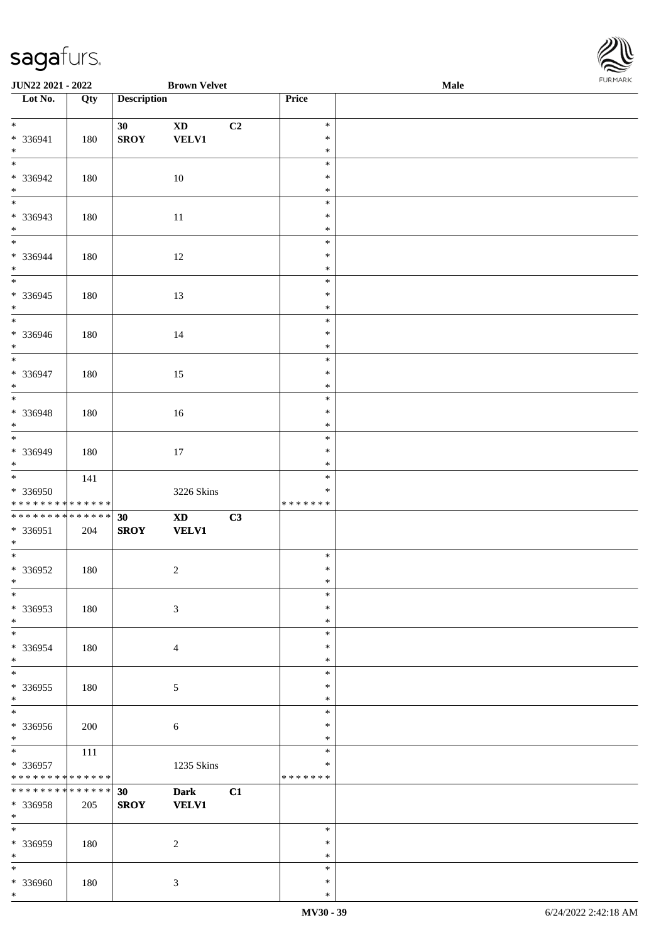\*

| JUN22 2021 - 2022                                          |         |                    | <b>Brown Velvet</b>        |    |                  | Male | <b>FUNITAN</b> |
|------------------------------------------------------------|---------|--------------------|----------------------------|----|------------------|------|----------------|
| $\overline{\phantom{1}}$ Lot No.                           | Qty     | <b>Description</b> |                            |    | Price            |      |                |
|                                                            |         |                    |                            |    |                  |      |                |
| $*$                                                        |         | 30 <sub>1</sub>    | $\boldsymbol{\mathrm{XD}}$ | C2 | $\ast$<br>$\ast$ |      |                |
| * 336941<br>$*$                                            | 180     | <b>SROY</b>        | <b>VELV1</b>               |    | $\ast$           |      |                |
| $\overline{\phantom{0}}$                                   |         |                    |                            |    | $\ast$           |      |                |
| * 336942                                                   | 180     |                    | $10\,$                     |    | $\ast$           |      |                |
| $\ast$                                                     |         |                    |                            |    | $\ast$           |      |                |
| $\overline{\phantom{0}}$                                   |         |                    |                            |    | $\ast$           |      |                |
| * 336943                                                   | 180     |                    | $11\,$                     |    | $\ast$           |      |                |
| $\ast$                                                     |         |                    |                            |    | $\ast$           |      |                |
|                                                            |         |                    |                            |    | $\ast$           |      |                |
| * 336944                                                   | 180     |                    | 12                         |    | $\ast$           |      |                |
| $\ast$                                                     |         |                    |                            |    | $\ast$           |      |                |
|                                                            |         |                    |                            |    | $\ast$           |      |                |
| * 336945                                                   | 180     |                    | 13                         |    | $\ast$           |      |                |
| $\ast$<br>$\overline{\phantom{0}}$                         |         |                    |                            |    | $\ast$<br>$\ast$ |      |                |
| * 336946                                                   | $180\,$ |                    |                            |    | $\ast$           |      |                |
| $*$                                                        |         |                    | $14\,$                     |    | $\ast$           |      |                |
| $*$                                                        |         |                    |                            |    | $\ast$           |      |                |
| * 336947                                                   | 180     |                    | 15                         |    | $\ast$           |      |                |
| $\ast$                                                     |         |                    |                            |    | $\ast$           |      |                |
| $\overline{\phantom{0}}$                                   |         |                    |                            |    | $\ast$           |      |                |
| * 336948                                                   | 180     |                    | $16\,$                     |    | $\ast$           |      |                |
| $\ast$                                                     |         |                    |                            |    | $\ast$           |      |                |
| $\overline{\phantom{0}}$                                   |         |                    |                            |    | $\ast$           |      |                |
| * 336949                                                   | 180     |                    | $17\,$                     |    | $\ast$           |      |                |
| $\ast$                                                     |         |                    |                            |    | $\ast$<br>$\ast$ |      |                |
| * 336950                                                   | 141     |                    |                            |    | $\ast$           |      |                |
| ******** <mark>******</mark>                               |         |                    | 3226 Skins                 |    | * * * * * * *    |      |                |
| * * * * * * * * * * * * * *                                |         | 30                 | $\mathbf{X}\mathbf{D}$     | C3 |                  |      |                |
| * 336951                                                   | 204     | <b>SROY</b>        | <b>VELV1</b>               |    |                  |      |                |
| $*$                                                        |         |                    |                            |    |                  |      |                |
| $\overline{\phantom{0}}$                                   |         |                    |                            |    | $\ast$           |      |                |
| $*336952$                                                  | 180     |                    | $\sqrt{2}$                 |    | $\ast$           |      |                |
| $*$ $-$                                                    |         |                    |                            |    | $*$              |      |                |
| $\ast$                                                     |         |                    |                            |    | $\ast$           |      |                |
| * 336953                                                   | 180     |                    | $\mathfrak{Z}$             |    | $\ast$           |      |                |
| $*$<br>$\ast$                                              |         |                    |                            |    | $\ast$<br>$\ast$ |      |                |
| * 336954                                                   | 180     |                    | 4                          |    | $\ast$           |      |                |
| $*$                                                        |         |                    |                            |    | $\ast$           |      |                |
| $\overline{\phantom{a}^*}$                                 |         |                    |                            |    | $\ast$           |      |                |
| * 336955                                                   | 180     |                    | 5                          |    | $\ast$           |      |                |
| $\ast$                                                     |         |                    |                            |    | $\ast$           |      |                |
| $\overline{\phantom{0}}$                                   |         |                    |                            |    | $\ast$           |      |                |
| * 336956                                                   | 200     |                    | $\sqrt{6}$                 |    | $\ast$           |      |                |
| $*$                                                        |         |                    |                            |    | $\ast$           |      |                |
| $*$                                                        | 111     |                    |                            |    | $\ast$           |      |                |
| * 336957                                                   |         |                    | 1235 Skins                 |    | ∗                |      |                |
| * * * * * * * * * * * * * *<br>* * * * * * * * * * * * * * |         | 30                 | <b>Dark</b>                | C1 | * * * * * * *    |      |                |
| * 336958                                                   | 205     | <b>SROY</b>        | <b>VELV1</b>               |    |                  |      |                |
| $*$                                                        |         |                    |                            |    |                  |      |                |
| $*$                                                        |         |                    |                            |    | $\ast$           |      |                |
| * 336959                                                   | 180     |                    | $\sqrt{2}$                 |    | $\ast$           |      |                |
| $*$                                                        |         |                    |                            |    | $\ast$           |      |                |
| $*$                                                        |         |                    |                            |    | $\ast$           |      |                |
| * 336960                                                   | 180     |                    | $\mathfrak{Z}$             |    | $\ast$           |      |                |

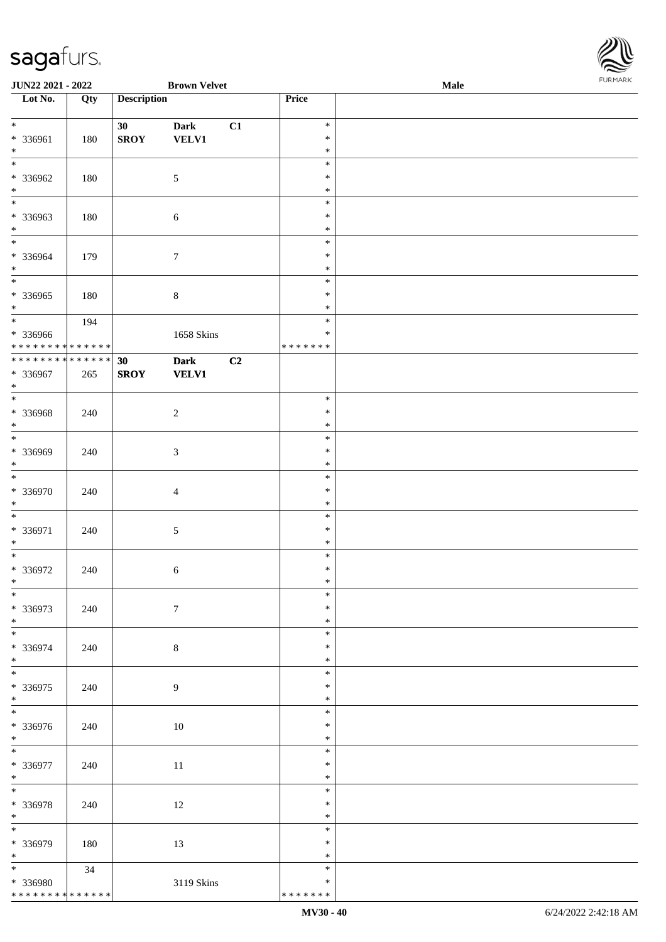

| JUN22 2021 - 2022                |     |                    | <b>Brown Velvet</b> |    |                  | Male | 1.9151 B1515 |
|----------------------------------|-----|--------------------|---------------------|----|------------------|------|--------------|
| $\overline{\phantom{1}}$ Lot No. | Qty | <b>Description</b> |                     |    | Price            |      |              |
|                                  |     |                    |                     |    |                  |      |              |
| $\ast$                           |     | 30 <sup>°</sup>    | <b>Dark</b>         | C1 | $\ast$           |      |              |
| * 336961                         | 180 | <b>SROY</b>        | <b>VELV1</b>        |    | $\ast$           |      |              |
| $\ast$                           |     |                    |                     |    | ∗                |      |              |
| $\overline{\ast}$                |     |                    |                     |    | $\ast$           |      |              |
| * 336962<br>$\ast$               | 180 |                    | $\sqrt{5}$          |    | $\ast$           |      |              |
| $\overline{\phantom{0}}$         |     |                    |                     |    | $\ast$<br>$\ast$ |      |              |
| * 336963                         | 180 |                    |                     |    | ∗                |      |              |
| $\ast$                           |     |                    | $\sqrt{6}$          |    | $\ast$           |      |              |
| $\overline{\ast}$                |     |                    |                     |    | $\ast$           |      |              |
| * 336964                         | 179 |                    | $\tau$              |    | $\ast$           |      |              |
| $\ast$                           |     |                    |                     |    | $\ast$           |      |              |
| $_{\ast}^{-}$                    |     |                    |                     |    | $\ast$           |      |              |
| * 336965                         | 180 |                    | $\,8\,$             |    | $\ast$           |      |              |
| $\ast$                           |     |                    |                     |    | $\ast$           |      |              |
| $\overline{\phantom{a}^*}$       | 194 |                    |                     |    | $\ast$           |      |              |
| * 336966                         |     |                    | 1658 Skins          |    | $\ast$           |      |              |
| ******** <mark>******</mark>     |     |                    |                     |    | * * * * * * *    |      |              |
| ******** <mark>******</mark>     |     | 30                 | <b>Dark</b>         | C2 |                  |      |              |
| * 336967                         | 265 | <b>SROY</b>        | <b>VELV1</b>        |    |                  |      |              |
| $\ast$                           |     |                    |                     |    |                  |      |              |
| $\overline{\phantom{1}}$         |     |                    |                     |    | $\ast$           |      |              |
| $* 336968$                       | 240 |                    | $\sqrt{2}$          |    | $\ast$           |      |              |
| $\ast$                           |     |                    |                     |    | $\ast$           |      |              |
| $\overline{\phantom{a}^*}$       |     |                    |                     |    | $\ast$           |      |              |
| * 336969                         | 240 |                    | $\mathfrak{Z}$      |    | ∗                |      |              |
| $\ast$<br>$\ast$                 |     |                    |                     |    | $\ast$           |      |              |
|                                  |     |                    |                     |    | $\ast$<br>$\ast$ |      |              |
| * 336970<br>$\ast$               | 240 |                    | $\overline{4}$      |    | $\ast$           |      |              |
| $\ast$                           |     |                    |                     |    | $\ast$           |      |              |
| * 336971                         | 240 |                    | $\sqrt{5}$          |    | $\ast$           |      |              |
| $\ast$                           |     |                    |                     |    | $\ast$           |      |              |
| $\ast$                           |     |                    |                     |    | $\ast$           |      |              |
| $* 336972$                       | 240 |                    | $\sqrt{6}$          |    | $\ast$           |      |              |
| $*$                              |     |                    |                     |    | $\ast$           |      |              |
| $*$                              |     |                    |                     |    | $\ast$           |      |              |
| * 336973                         | 240 |                    | $\boldsymbol{7}$    |    | $\ast$           |      |              |
| $*$                              |     |                    |                     |    | $\ast$           |      |              |
| $\overline{\phantom{0}}$         |     |                    |                     |    | $\ast$           |      |              |
| * 336974                         | 240 |                    | $\,8\,$             |    | $\ast$           |      |              |
| $\ast$                           |     |                    |                     |    | $\ast$           |      |              |
| $\ast$                           |     |                    |                     |    | $\ast$           |      |              |
| * 336975                         | 240 |                    | 9                   |    | ∗                |      |              |
| $*$                              |     |                    |                     |    | $\ast$           |      |              |
| $\overline{\phantom{0}}$         |     |                    |                     |    | $\ast$           |      |              |
| * 336976                         | 240 |                    | $10\,$              |    | $\ast$           |      |              |
| $*$<br>$\overline{\phantom{1}}$  |     |                    |                     |    | $\ast$           |      |              |
|                                  |     |                    |                     |    | $\ast$           |      |              |
| * 336977                         | 240 |                    | 11                  |    | $\ast$           |      |              |
| $*$<br>$\ast$                    |     |                    |                     |    | $\ast$<br>$\ast$ |      |              |
| * 336978                         |     |                    |                     |    | $\ast$           |      |              |
| $*$                              | 240 |                    | 12                  |    | $\ast$           |      |              |
| $_{\ast}^{-}$                    |     |                    |                     |    | $\ast$           |      |              |
| * 336979                         | 180 |                    | 13                  |    | $\ast$           |      |              |
| $*$                              |     |                    |                     |    | $\ast$           |      |              |
| $\ast$                           | 34  |                    |                     |    | $\ast$           |      |              |
| * 336980                         |     |                    | 3119 Skins          |    | $\ast$           |      |              |
| * * * * * * * * * * * * * *      |     |                    |                     |    | * * * * * * *    |      |              |
|                                  |     |                    |                     |    |                  |      |              |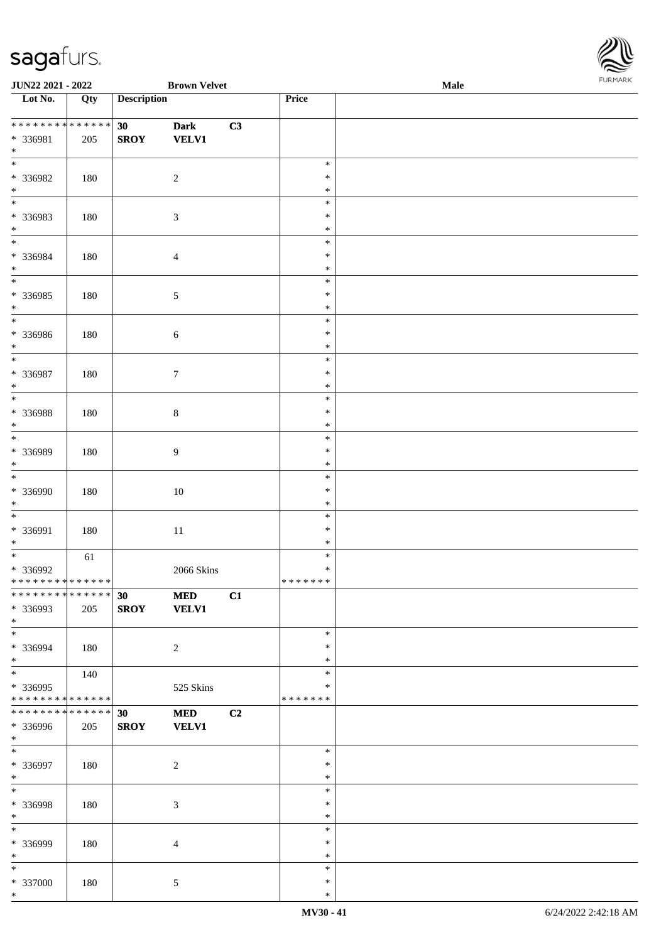

| JUN22 2021 - 2022                |     |                    | <b>Brown Velvet</b> |    |               | Male | $1.9151$ <i>W</i> $11.915$ |
|----------------------------------|-----|--------------------|---------------------|----|---------------|------|----------------------------|
| $\overline{\phantom{1}}$ Lot No. | Qty | <b>Description</b> |                     |    | Price         |      |                            |
|                                  |     |                    |                     |    |               |      |                            |
| * * * * * * * * * * * * * *      |     | 30                 | <b>Dark</b>         | C3 |               |      |                            |
| * 336981                         | 205 | <b>SROY</b>        | <b>VELV1</b>        |    |               |      |                            |
| $\ast$                           |     |                    |                     |    |               |      |                            |
| $\overline{\phantom{0}}$         |     |                    |                     |    | $\ast$        |      |                            |
| * 336982                         | 180 |                    | $\boldsymbol{2}$    |    | $\ast$        |      |                            |
| $\ast$                           |     |                    |                     |    | $\ast$        |      |                            |
| $\overline{\phantom{0}}$         |     |                    |                     |    | $\ast$        |      |                            |
| * 336983                         | 180 |                    | 3                   |    | $\ast$        |      |                            |
| $\ast$                           |     |                    |                     |    | $\ast$        |      |                            |
| $*$                              |     |                    |                     |    |               |      |                            |
|                                  |     |                    |                     |    | $\ast$        |      |                            |
| * 336984                         | 180 |                    | $\overline{4}$      |    | $\ast$        |      |                            |
| $\ast$                           |     |                    |                     |    | $\ast$        |      |                            |
| $\overline{\phantom{0}}$         |     |                    |                     |    | $\ast$        |      |                            |
| $* 336985$                       | 180 |                    | 5                   |    | $\ast$        |      |                            |
| $\ast$                           |     |                    |                     |    | $\ast$        |      |                            |
| $\overline{\phantom{0}}$         |     |                    |                     |    | $\ast$        |      |                            |
| * 336986                         | 180 |                    | $\sqrt{6}$          |    | $\ast$        |      |                            |
| $\ast$                           |     |                    |                     |    | $\ast$        |      |                            |
| $\ast$                           |     |                    |                     |    | $\ast$        |      |                            |
| * 336987                         | 180 |                    |                     |    | $\ast$        |      |                            |
| $\ast$                           |     |                    | $\tau$              |    | $\ast$        |      |                            |
| $\ast$                           |     |                    |                     |    |               |      |                            |
|                                  |     |                    |                     |    | $\ast$        |      |                            |
| $* 336988$                       | 180 |                    | $\,8\,$             |    | $\ast$        |      |                            |
| $\ast$                           |     |                    |                     |    | $\ast$        |      |                            |
| $\overline{\phantom{0}}$         |     |                    |                     |    | $\ast$        |      |                            |
| * 336989                         | 180 |                    | 9                   |    | $\ast$        |      |                            |
| $\ast$                           |     |                    |                     |    | $\ast$        |      |                            |
| $*$                              |     |                    |                     |    | $\ast$        |      |                            |
| $* 336990$                       | 180 |                    | $10\,$              |    | $\ast$        |      |                            |
| $*$                              |     |                    |                     |    | $\ast$        |      |                            |
| $\ast$                           |     |                    |                     |    | $\ast$        |      |                            |
| * 336991                         | 180 |                    |                     |    | $\ast$        |      |                            |
| $\ast$                           |     |                    | $11\,$              |    | $\ast$        |      |                            |
|                                  |     |                    |                     |    | $\ast$        |      |                            |
|                                  | 61  |                    |                     |    |               |      |                            |
| $* 336992$                       |     |                    | $2066$ Skins        |    | $\ast$        |      |                            |
| * * * * * * * * * * * * * * *    |     |                    |                     |    | *******       |      |                            |
| * * * * * * * * * * * * * * *    |     | 30                 | <b>MED</b>          | C1 |               |      |                            |
| * 336993                         | 205 | <b>SROY</b>        | <b>VELV1</b>        |    |               |      |                            |
| $*$                              |     |                    |                     |    |               |      |                            |
| $\ast$                           |     |                    |                     |    | $\ast$        |      |                            |
| * 336994                         | 180 |                    | $\sqrt{2}$          |    | $\ast$        |      |                            |
| $\ast$                           |     |                    |                     |    | $\ast$        |      |                            |
|                                  | 140 |                    |                     |    | $\ast$        |      |                            |
| * 336995                         |     |                    | 525 Skins           |    | ∗             |      |                            |
| * * * * * * * * * * * * * *      |     |                    |                     |    | * * * * * * * |      |                            |
| * * * * * * * * * * * * * * *    |     |                    |                     |    |               |      |                            |
|                                  |     | 30                 | <b>MED</b>          | C2 |               |      |                            |
| * 336996                         | 205 | <b>SROY</b>        | <b>VELV1</b>        |    |               |      |                            |
| $*$                              |     |                    |                     |    |               |      |                            |
| $\ast$                           |     |                    |                     |    | $\ast$        |      |                            |
| * 336997                         | 180 |                    | $\boldsymbol{2}$    |    | $\ast$        |      |                            |
| $*$                              |     |                    |                     |    | $\ast$        |      |                            |
| $*$                              |     |                    |                     |    | $\ast$        |      |                            |
| * 336998                         | 180 |                    | 3                   |    | $\ast$        |      |                            |
| $*$                              |     |                    |                     |    | $\ast$        |      |                            |
| $\ast$                           |     |                    |                     |    | $\ast$        |      |                            |
| * 336999                         | 180 |                    | $\overline{4}$      |    | $\ast$        |      |                            |
| $*$                              |     |                    |                     |    | $\ast$        |      |                            |
| $\ast$                           |     |                    |                     |    | $\ast$        |      |                            |
|                                  |     |                    |                     |    |               |      |                            |
| $* 337000$                       | 180 |                    | 5                   |    | $\ast$        |      |                            |
| $*$                              |     |                    |                     |    | $\ast$        |      |                            |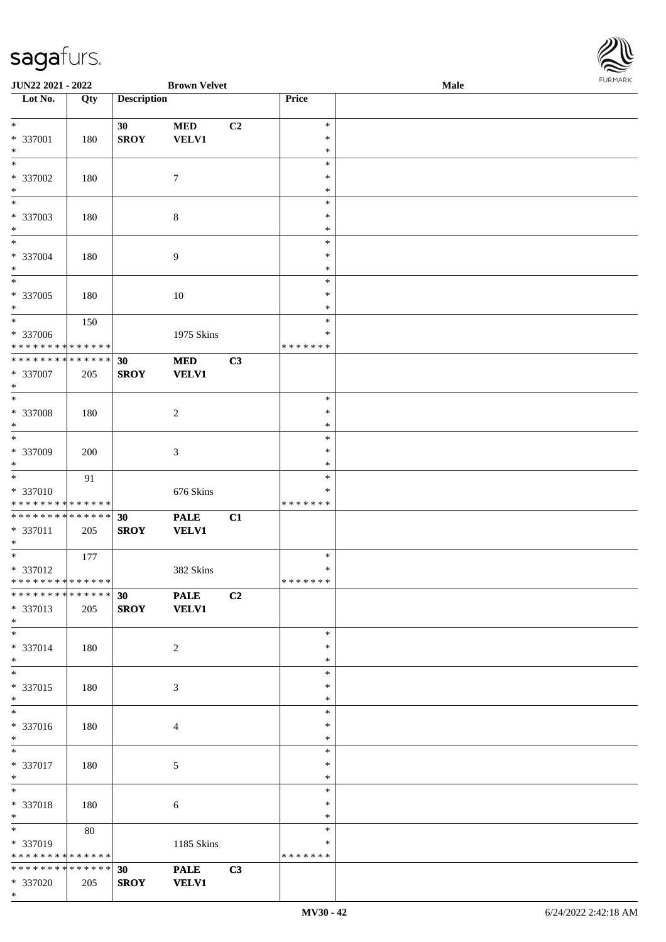

| JUN22 2021 - 2022             |     |                    | <b>Brown Velvet</b> |    |                   | Male | 101111111111 |
|-------------------------------|-----|--------------------|---------------------|----|-------------------|------|--------------|
| Lot No.                       | Qty | <b>Description</b> |                     |    | Price             |      |              |
|                               |     |                    |                     |    |                   |      |              |
| $*$                           |     | 30                 | $\bf MED$           | C2 | $\ast$            |      |              |
| * 337001                      | 180 | <b>SROY</b>        | VELV1               |    | $\ast$            |      |              |
| $\ast$                        |     |                    |                     |    | $\ast$            |      |              |
| $\ast$                        |     |                    |                     |    | $\ast$            |      |              |
| $* 337002$                    | 180 |                    | $\tau$              |    | $\ast$            |      |              |
| $\ast$                        |     |                    |                     |    | $\ast$            |      |              |
| $\overline{\phantom{0}}$      |     |                    |                     |    | $\ast$            |      |              |
| $* 337003$                    | 180 |                    | $8\,$               |    | $\ast$            |      |              |
| $\ast$                        |     |                    |                     |    | $\ast$            |      |              |
| $*$                           |     |                    |                     |    | $\ast$            |      |              |
| * 337004                      | 180 |                    | 9                   |    | $\ast$            |      |              |
| $\ast$                        |     |                    |                     |    | $\ast$            |      |              |
| $\overline{\ast}$             |     |                    |                     |    | $\ast$            |      |              |
| $* 337005$                    | 180 |                    | $10\,$              |    | $\ast$            |      |              |
| $\ast$                        |     |                    |                     |    | $\ast$            |      |              |
| $*$                           | 150 |                    |                     |    | $\ast$            |      |              |
| $* 337006$                    |     |                    | 1975 Skins          |    | $\ast$            |      |              |
| * * * * * * * * * * * * * *   |     |                    |                     |    | * * * * * * *     |      |              |
| ******** <mark>******</mark>  |     | 30                 | $\bf MED$           | C3 |                   |      |              |
| * 337007                      | 205 | <b>SROY</b>        | <b>VELV1</b>        |    |                   |      |              |
| $\ast$                        |     |                    |                     |    |                   |      |              |
| $\ast$                        |     |                    |                     |    | $\ast$            |      |              |
| $* 337008$                    | 180 |                    | $\overline{c}$      |    | $\ast$            |      |              |
| $\ast$                        |     |                    |                     |    | $\ast$            |      |              |
| $\overline{\ast}$             |     |                    |                     |    | $\ast$            |      |              |
| * 337009                      | 200 |                    | 3                   |    | $\ast$            |      |              |
| $*$                           |     |                    |                     |    | $\ast$            |      |              |
| $\overline{\ast}$             | 91  |                    |                     |    | $\ast$            |      |              |
| * 337010                      |     |                    | 676 Skins           |    | *                 |      |              |
| * * * * * * * * * * * * * *   |     |                    |                     |    | * * * * * * *     |      |              |
| * * * * * * * * * * * * * *   |     | 30                 | <b>PALE</b>         | C1 |                   |      |              |
| * 337011                      | 205 | <b>SROY</b>        | <b>VELV1</b>        |    |                   |      |              |
| $*$                           |     |                    |                     |    |                   |      |              |
| $*$                           | 177 |                    |                     |    | $\ast$            |      |              |
| $* 337012$                    |     |                    | 382 Skins           |    | $\ast$<br>******* |      |              |
| * * * * * * * * * * * * * * * |     |                    |                     |    |                   |      |              |
| * * * * * * * * * * * * * * * |     | 30                 | <b>PALE</b>         | C2 |                   |      |              |
| * 337013                      | 205 | <b>SROY</b>        | <b>VELV1</b>        |    |                   |      |              |
| $*$<br>$*$                    |     |                    |                     |    | $\ast$            |      |              |
|                               |     |                    |                     |    |                   |      |              |
| * 337014<br>$*$               | 180 |                    | 2                   |    | $\ast$<br>$\ast$  |      |              |
| $\overline{\ast}$             |     |                    |                     |    | $\ast$            |      |              |
| $* 337015$                    |     |                    |                     |    | *                 |      |              |
| $*$                           | 180 |                    | 3                   |    | $\ast$            |      |              |
| $\overline{\ }$               |     |                    |                     |    | $\ast$            |      |              |
| * 337016                      | 180 |                    |                     |    | $\ast$            |      |              |
| $*$                           |     |                    | 4                   |    | $\ast$            |      |              |
| $\ast$                        |     |                    |                     |    | $\ast$            |      |              |
| * 337017                      | 180 |                    | 5                   |    | $\ast$            |      |              |
| $*$                           |     |                    |                     |    | $\ast$            |      |              |
| $*$                           |     |                    |                     |    | $\ast$            |      |              |
| * 337018                      | 180 |                    | 6                   |    | ∗                 |      |              |
| $*$                           |     |                    |                     |    | $\ast$            |      |              |
| $*$ and $*$                   | 80  |                    |                     |    | $\ast$            |      |              |
| * 337019                      |     |                    | 1185 Skins          |    | $\ast$            |      |              |
| * * * * * * * * * * * * * *   |     |                    |                     |    | * * * * * * *     |      |              |
| * * * * * * * * * * * * * * * |     | 30                 | <b>PALE</b>         | C3 |                   |      |              |
| $* 337020$                    | 205 | <b>SROY</b>        | <b>VELV1</b>        |    |                   |      |              |
| $*$                           |     |                    |                     |    |                   |      |              |
|                               |     |                    |                     |    |                   |      |              |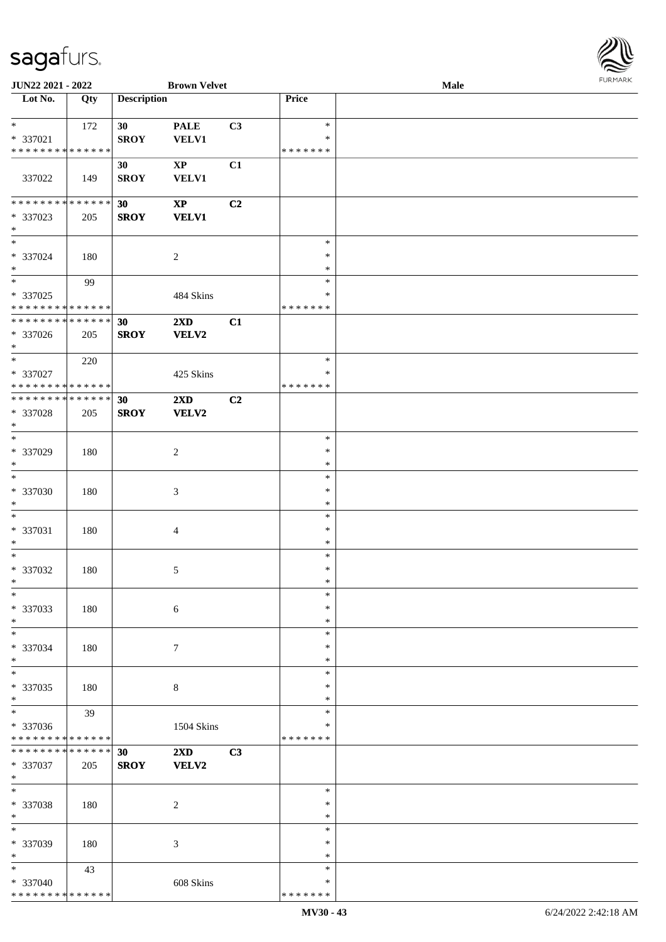

| JUN22 2021 - 2022                                           |     |                    | <b>Brown Velvet</b>     |    |                         | <b>Male</b> |  |
|-------------------------------------------------------------|-----|--------------------|-------------------------|----|-------------------------|-------------|--|
| Lot No.                                                     | Qty | <b>Description</b> |                         |    | Price                   |             |  |
|                                                             |     |                    |                         |    |                         |             |  |
| $*$                                                         | 172 | 30                 | <b>PALE</b>             | C3 | $\ast$                  |             |  |
| * 337021                                                    |     | <b>SROY</b>        | <b>VELV1</b>            |    | ∗                       |             |  |
| * * * * * * * * * * * * * *                                 |     |                    |                         |    | * * * * * * *           |             |  |
|                                                             |     | 30                 | $\mathbf{XP}$           | C1 |                         |             |  |
| 337022                                                      | 149 | <b>SROY</b>        | <b>VELV1</b>            |    |                         |             |  |
|                                                             |     |                    |                         |    |                         |             |  |
| ******** <mark>******</mark>                                |     | 30                 | $\mathbf{XP}$           | C2 |                         |             |  |
| * 337023                                                    | 205 | <b>SROY</b>        | <b>VELV1</b>            |    |                         |             |  |
| $*$<br>$\overline{\phantom{a}^*}$                           |     |                    |                         |    |                         |             |  |
|                                                             |     |                    |                         |    | $\ast$                  |             |  |
| * 337024                                                    | 180 |                    | $\overline{2}$          |    | $\ast$                  |             |  |
| $\ast$<br>$\overline{\phantom{a}^*}$                        |     |                    |                         |    | $\ast$                  |             |  |
|                                                             | 99  |                    |                         |    | $\ast$                  |             |  |
| * 337025                                                    |     |                    | 484 Skins               |    | $\ast$<br>* * * * * * * |             |  |
| * * * * * * * * * * * * * *<br>******** <mark>******</mark> |     |                    |                         |    |                         |             |  |
|                                                             |     | 30                 | $2\mathbf{X}\mathbf{D}$ | C1 |                         |             |  |
| * 337026                                                    | 205 | <b>SROY</b>        | <b>VELV2</b>            |    |                         |             |  |
| $*$<br>$\ast$                                               |     |                    |                         |    | $\ast$                  |             |  |
|                                                             | 220 |                    |                         |    |                         |             |  |
| * 337027<br>* * * * * * * * * * * * * *                     |     |                    | 425 Skins               |    | $\ast$<br>* * * * * * * |             |  |
| * * * * * * * * * * * * * *                                 |     |                    |                         |    |                         |             |  |
|                                                             |     | 30                 | 2XD                     | C2 |                         |             |  |
| * 337028<br>$\ast$                                          | 205 | <b>SROY</b>        | <b>VELV2</b>            |    |                         |             |  |
| $\overline{\ast}$                                           |     |                    |                         |    | $\ast$                  |             |  |
| * 337029                                                    | 180 |                    | $\overline{2}$          |    | $\ast$                  |             |  |
| $\ast$                                                      |     |                    |                         |    | $\ast$                  |             |  |
| $\ast$                                                      |     |                    |                         |    | $\ast$                  |             |  |
| $* 337030$                                                  | 180 |                    | $\mathfrak{Z}$          |    | $\ast$                  |             |  |
| $\ast$                                                      |     |                    |                         |    | $\ast$                  |             |  |
| $\ast$                                                      |     |                    |                         |    | $\ast$                  |             |  |
| * 337031                                                    | 180 |                    | $\overline{4}$          |    | $\ast$                  |             |  |
| $\ast$                                                      |     |                    |                         |    | $\ast$                  |             |  |
| $\ast$                                                      |     |                    |                         |    | $\ast$                  |             |  |
| $* 337032$                                                  | 180 |                    | 5                       |    | $\ast$                  |             |  |
| $*$                                                         |     |                    |                         |    | $\ast$                  |             |  |
| $\ast$                                                      |     |                    |                         |    | $\ast$                  |             |  |
| * 337033                                                    | 180 |                    | 6                       |    | $\ast$                  |             |  |
| $\ast$                                                      |     |                    |                         |    | $\ast$                  |             |  |
| $\ast$                                                      |     |                    |                         |    | $\ast$                  |             |  |
| * 337034                                                    | 180 |                    | $\tau$                  |    | $\ast$                  |             |  |
| $\ast$                                                      |     |                    |                         |    | $\ast$                  |             |  |
| $\ast$                                                      |     |                    |                         |    | $\ast$                  |             |  |
| * 337035                                                    | 180 |                    | 8                       |    | $\ast$                  |             |  |
| $\ast$                                                      |     |                    |                         |    | $\ast$                  |             |  |
| $\overline{\phantom{a}^*}$                                  | 39  |                    |                         |    | $\ast$                  |             |  |
| * 337036                                                    |     |                    | 1504 Skins              |    | ∗                       |             |  |
| * * * * * * * * * * * * * *                                 |     |                    |                         |    | * * * * * * *           |             |  |
| * * * * * * * * * * * * * * *                               |     | 30                 | $2\mathbf{X}\mathbf{D}$ | C3 |                         |             |  |
| * 337037                                                    | 205 | <b>SROY</b>        | VELV2                   |    |                         |             |  |
| $*$                                                         |     |                    |                         |    |                         |             |  |
| $\ast$                                                      |     |                    |                         |    | $\ast$                  |             |  |
| * 337038                                                    | 180 |                    | $\sqrt{2}$              |    | $\ast$                  |             |  |
| $\ast$                                                      |     |                    |                         |    | $\ast$                  |             |  |
| $\overline{\phantom{a}^*}$                                  |     |                    |                         |    | $\ast$                  |             |  |
| * 337039                                                    | 180 |                    | 3                       |    | ∗                       |             |  |
| $*$                                                         |     |                    |                         |    | $\ast$                  |             |  |
| $\ast$                                                      | 43  |                    |                         |    | $\ast$                  |             |  |
| * 337040                                                    |     |                    | 608 Skins               |    | ∗                       |             |  |
| * * * * * * * * * * * * * *                                 |     |                    |                         |    | * * * * * * *           |             |  |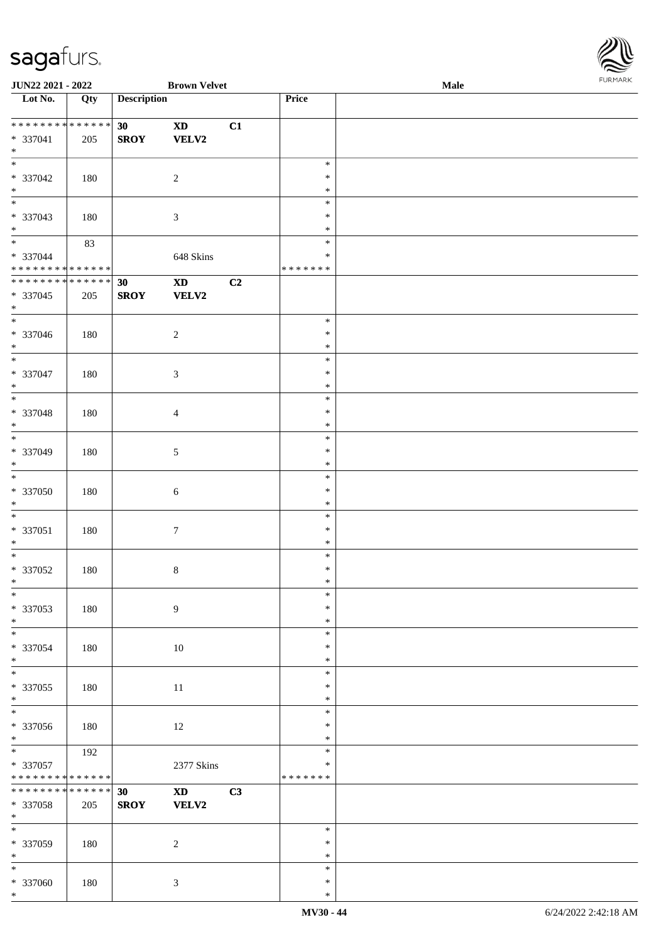

| JUN22 2021 - 2022                                 |                        |                    | <b>Brown Velvet</b>                    |    |                                   | Male | 1.9151 B1515 |
|---------------------------------------------------|------------------------|--------------------|----------------------------------------|----|-----------------------------------|------|--------------|
| Lot No.                                           | Qty                    | <b>Description</b> |                                        |    | Price                             |      |              |
| ******** <mark>******</mark><br>$* 337041$<br>$*$ | 205                    | 30<br><b>SROY</b>  | $\mathbf{X}\mathbf{D}$<br><b>VELV2</b> | C1 |                                   |      |              |
| * 337042<br>$*$                                   | 180                    |                    | $\sqrt{2}$                             |    | $\ast$<br>$\ast$<br>$\ast$        |      |              |
| $\overline{\phantom{0}}$<br>* 337043<br>$*$       | 180                    |                    | 3                                      |    | $\ast$<br>$\ast$<br>$\ast$        |      |              |
| $*$<br>* 337044<br>* * * * * * * * * * * * * *    | 83                     |                    | 648 Skins                              |    | $\ast$<br>$\ast$<br>* * * * * * * |      |              |
| ******** <mark>******</mark><br>* 337045<br>$*$   | 205                    | 30<br><b>SROY</b>  | $\mathbf{X}\mathbf{D}$<br><b>VELV2</b> | C2 |                                   |      |              |
| $\overline{\phantom{0}}$<br>$* 337046$<br>$*$     | 180                    |                    | $\boldsymbol{2}$                       |    | $\ast$<br>$\ast$<br>$\ast$        |      |              |
| $\overline{\ }$<br>$* 337047$<br>$*$              | 180                    |                    | 3                                      |    | $\ast$<br>$\ast$<br>$\ast$        |      |              |
| $\overline{\phantom{0}}$<br>* 337048<br>$*$       | 180                    |                    | 4                                      |    | $\ast$<br>$\ast$<br>$\ast$        |      |              |
| $\overline{\ast}$<br>* 337049<br>$*$              | 180                    |                    | 5                                      |    | $\ast$<br>$\ast$<br>$\ast$        |      |              |
| $\overline{\ast}$<br>* 337050<br>$*$              | 180                    |                    | $\sqrt{6}$                             |    | $\ast$<br>$\ast$<br>$\ast$        |      |              |
| $*$<br>$* 337051$<br>$*$                          | 180                    |                    | $\boldsymbol{7}$                       |    | $\ast$<br>$\ast$<br>$\ast$        |      |              |
| $*$<br>$* 337052$<br>$*$                          | 180                    |                    | $8\,$                                  |    | $\ast$<br>$\ast$<br>$*$           |      |              |
| $\ast$<br>* 337053<br>$*$                         | 180                    |                    | 9                                      |    | $\ast$<br>$\ast$<br>$\ast$        |      |              |
| $\ast$<br>* 337054<br>$*$                         | 180                    |                    | 10                                     |    | $\ast$<br>$\ast$<br>$\ast$        |      |              |
| $\overline{\phantom{0}}$<br>$* 337055$<br>$*$     | 180                    |                    | 11                                     |    | $\ast$<br>$\ast$<br>$\ast$        |      |              |
| * 337056<br>$*$                                   | 180                    |                    | 12                                     |    | $\ast$<br>$\ast$<br>$\ast$        |      |              |
| $*$<br>* 337057<br>* * * * * * * * * * * * * *    | 192                    |                    | 2377 Skins                             |    | $\ast$<br>$\ast$<br>* * * * * * * |      |              |
| * * * * * * * *<br>* 337058<br>$*$                | $* * * * * * *$<br>205 | 30<br><b>SROY</b>  | $\mathbf{X}\mathbf{D}$<br>VELV2        | C3 |                                   |      |              |
| $*$<br>$* 337059$<br>$*$                          | 180                    |                    | $\boldsymbol{2}$                       |    | $\ast$<br>$\ast$<br>$\ast$        |      |              |
| $*$<br>* 337060<br>$*$                            | 180                    |                    | 3                                      |    | $\ast$<br>$\ast$<br>$\ast$        |      |              |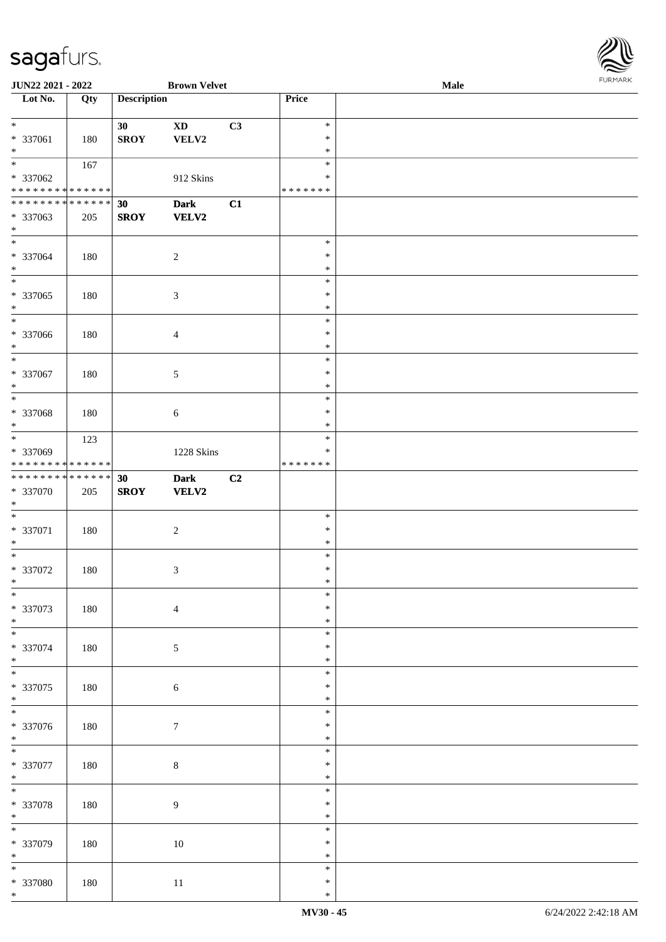

| JUN22 2021 - 2022                    |     |                    | <b>Brown Velvet</b> |                |               | <b>Male</b> |  |
|--------------------------------------|-----|--------------------|---------------------|----------------|---------------|-------------|--|
| Lot No.                              | Qty | <b>Description</b> |                     |                | Price         |             |  |
|                                      |     |                    |                     |                |               |             |  |
| $\ast$                               |     | 30                 | <b>XD</b>           | C3             | $\ast$        |             |  |
| * 337061                             | 180 | <b>SROY</b>        | VELV2               |                | $\ast$        |             |  |
| $\ast$                               |     |                    |                     |                | $\ast$        |             |  |
| $\overline{\phantom{0}}$             |     |                    |                     |                | $\ast$        |             |  |
|                                      | 167 |                    |                     |                |               |             |  |
| * 337062                             |     |                    | 912 Skins           |                | $\ast$        |             |  |
| * * * * * * * * * * * * * *          |     |                    |                     |                | * * * * * * * |             |  |
| * * * * * * * * * * * * * *          |     | 30                 | <b>Dark</b>         | C1             |               |             |  |
| * 337063                             | 205 | <b>SROY</b>        | <b>VELV2</b>        |                |               |             |  |
| $\ast$                               |     |                    |                     |                |               |             |  |
| $\ast$                               |     |                    |                     |                | $\ast$        |             |  |
| * 337064                             | 180 |                    | $\overline{c}$      |                | $\ast$        |             |  |
| $\ast$                               |     |                    |                     |                | $\ast$        |             |  |
| $\overline{\phantom{1}}$             |     |                    |                     |                | $\ast$        |             |  |
|                                      |     |                    |                     |                |               |             |  |
| * 337065                             | 180 |                    | $\mathfrak{Z}$      |                | $\ast$        |             |  |
| $\ast$                               |     |                    |                     |                | $\ast$        |             |  |
| $\overline{\phantom{1}}$             |     |                    |                     |                | $\ast$        |             |  |
| $* 337066$                           | 180 |                    | $\overline{4}$      |                | $\ast$        |             |  |
| $\ast$                               |     |                    |                     |                | $\ast$        |             |  |
| $_{\ast}$                            |     |                    |                     |                | $\ast$        |             |  |
| $* 337067$                           | 180 |                    | 5                   |                | $\ast$        |             |  |
| $\ast$                               |     |                    |                     |                | $\ast$        |             |  |
| $\ast$                               |     |                    |                     |                | $\ast$        |             |  |
|                                      |     |                    |                     |                |               |             |  |
| * 337068                             | 180 |                    | $\sqrt{6}$          |                | $\ast$        |             |  |
| $\ast$                               |     |                    |                     |                | $\ast$        |             |  |
| $\ast$                               | 123 |                    |                     |                | $\ast$        |             |  |
| * 337069                             |     |                    | 1228 Skins          |                | $\ast$        |             |  |
| * * * * * * * * * * * * * *          |     |                    |                     |                | * * * * * * * |             |  |
| **************                       |     | 30                 | Dark                | C <sub>2</sub> |               |             |  |
| * 337070                             | 205 | <b>SROY</b>        | VELV2               |                |               |             |  |
| $\ast$                               |     |                    |                     |                |               |             |  |
| $\ast$                               |     |                    |                     |                | $\ast$        |             |  |
| * 337071                             | 180 |                    |                     |                | $\ast$        |             |  |
|                                      |     |                    | $\overline{c}$      |                |               |             |  |
| $\ast$                               |     |                    |                     |                | $\ast$        |             |  |
| $\ast$                               |     |                    |                     |                | $\ast$        |             |  |
| * 337072                             | 180 |                    | $\mathfrak{Z}$      |                | $\ast$        |             |  |
| $*$                                  |     |                    |                     |                | $\ast$        |             |  |
| $\ast$                               |     |                    |                     |                | $\ast$        |             |  |
| * 337073                             | 180 |                    | $\overline{4}$      |                | $\ast$        |             |  |
| $\ast$                               |     |                    |                     |                | $\ast$        |             |  |
| $\overline{\phantom{0}}$             |     |                    |                     |                | $\ast$        |             |  |
| * 337074                             | 180 |                    | $5\,$               |                | $\ast$        |             |  |
| $\ast$                               |     |                    |                     |                | $\ast$        |             |  |
| $\overline{\ast}$                    |     |                    |                     |                | $\ast$        |             |  |
|                                      |     |                    |                     |                |               |             |  |
| $* 337075$                           | 180 |                    | $\sqrt{6}$          |                | $\ast$        |             |  |
| $*$<br>$\overline{\phantom{0}}$      |     |                    |                     |                | $\ast$        |             |  |
|                                      |     |                    |                     |                | $\ast$        |             |  |
| * 337076                             | 180 |                    | $\tau$              |                | $\ast$        |             |  |
| $*$                                  |     |                    |                     |                | $\ast$        |             |  |
| $\overline{\ast}$                    |     |                    |                     |                | $\ast$        |             |  |
| * 337077                             | 180 |                    | $\,8\,$             |                | $\ast$        |             |  |
| $\ast$                               |     |                    |                     |                | $\ast$        |             |  |
| $\overline{\phantom{1}}$             |     |                    |                     |                | $\ast$        |             |  |
|                                      |     |                    |                     |                | $\ast$        |             |  |
| * 337078                             | 180 |                    | $\boldsymbol{9}$    |                |               |             |  |
| $\ast$<br>$\overline{\phantom{a}^*}$ |     |                    |                     |                | $\ast$        |             |  |
|                                      |     |                    |                     |                | $\ast$        |             |  |
| * 337079                             | 180 |                    | $10\,$              |                | $\ast$        |             |  |
| $\ast$                               |     |                    |                     |                | $\ast$        |             |  |
| $\overline{\ast}$                    |     |                    |                     |                | $\ast$        |             |  |
| * 337080                             | 180 |                    | $11\,$              |                | $\ast$        |             |  |
| $\ast$                               |     |                    |                     |                | $\ast$        |             |  |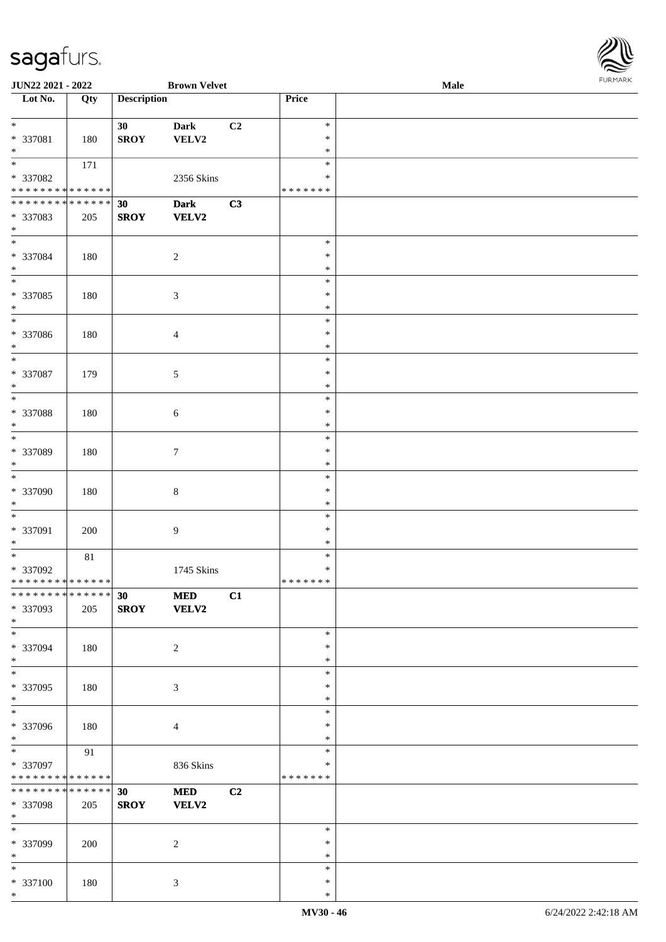| JUN22 2021 - 2022                  |        |                    | <b>Brown Velvet</b>      |    |                  | Male | <b>FURMAR</b> |
|------------------------------------|--------|--------------------|--------------------------|----|------------------|------|---------------|
| $\overline{\phantom{1}}$ Lot No.   | Qty    | <b>Description</b> |                          |    | Price            |      |               |
| $\ast$                             |        | 30 <sup>°</sup>    | <b>Dark</b>              | C2 | $\ast$           |      |               |
| * 337081                           | 180    | <b>SROY</b>        | VELV2                    |    | $\ast$           |      |               |
| $\ast$                             |        |                    |                          |    | $\ast$           |      |               |
| $_{\ast}$                          | 171    |                    |                          |    | $\ast$           |      |               |
| * 337082                           |        |                    | 2356 Skins               |    | $\ast$           |      |               |
| **************                     |        |                    |                          |    | *******          |      |               |
| **************                     |        | 30                 | <b>Dark</b>              | C3 |                  |      |               |
| * 337083                           | 205    | <b>SROY</b>        | VELV2                    |    |                  |      |               |
| $*$                                |        |                    |                          |    |                  |      |               |
| $\ast$                             |        |                    |                          |    | $\ast$           |      |               |
| * 337084                           | 180    |                    | $\sqrt{2}$               |    | ∗                |      |               |
| $\ast$                             |        |                    |                          |    | $\ast$           |      |               |
| $\overline{\phantom{a}^*}$         |        |                    |                          |    | $\ast$           |      |               |
| * 337085                           | 180    |                    | 3                        |    | ∗                |      |               |
| $\ast$                             |        |                    |                          |    | ∗                |      |               |
| $\overline{\phantom{0}}$           |        |                    |                          |    | $\ast$           |      |               |
| * 337086                           | 180    |                    | $\overline{\mathcal{A}}$ |    | $\ast$           |      |               |
| $\ast$                             |        |                    |                          |    | $\ast$           |      |               |
| $\overline{\phantom{a}^*}$         |        |                    |                          |    | $\ast$           |      |               |
| * 337087                           | 179    |                    | $\sqrt{5}$               |    | $\ast$           |      |               |
| $\ast$                             |        |                    |                          |    | $\ast$           |      |               |
| $_{\ast}^{-}$                      |        |                    |                          |    | $\ast$           |      |               |
| * 337088                           | 180    |                    | 6                        |    | $\ast$           |      |               |
| $\ast$                             |        |                    |                          |    | $\ast$           |      |               |
| $\overline{\ast}$                  |        |                    |                          |    | $\ast$           |      |               |
| * 337089                           | 180    |                    | $\tau$                   |    | $\ast$           |      |               |
| $\ast$                             |        |                    |                          |    | $\ast$           |      |               |
| $\overline{\phantom{a}^*}$         |        |                    |                          |    | $\ast$           |      |               |
| * 337090                           | 180    |                    | 8                        |    | $\ast$           |      |               |
| $\ast$                             |        |                    |                          |    | $\ast$           |      |               |
| $\ast$                             |        |                    |                          |    | $\ast$           |      |               |
| * 337091                           | 200    |                    | 9                        |    | ∗                |      |               |
| $\ast$                             |        |                    |                          |    | ∗                |      |               |
| $\overline{\phantom{a}^*}$         | $81\,$ |                    |                          |    | $\ast$           |      |               |
| * 337092                           |        |                    | 1745 Skins               |    | $\ast$           |      |               |
| **************                     |        |                    |                          |    | * * * * * * *    |      |               |
| ******** <mark>******</mark>       |        | 30                 | <b>MED</b>               | C1 |                  |      |               |
| * 337093                           | 205    | <b>SROY</b>        | <b>VELV2</b>             |    |                  |      |               |
| $\ast$<br>$\overline{\phantom{1}}$ |        |                    |                          |    |                  |      |               |
|                                    |        |                    |                          |    | $\ast$           |      |               |
| * 337094                           | 180    |                    | $\overline{c}$           |    | $\ast$           |      |               |
| $*$<br>$\overline{\ast}$           |        |                    |                          |    | $\ast$<br>$\ast$ |      |               |
|                                    |        |                    |                          |    |                  |      |               |
| * 337095<br>$*$                    | 180    |                    | 3                        |    | $\ast$<br>$\ast$ |      |               |
| $\overline{\phantom{a}^*}$         |        |                    |                          |    | $\ast$           |      |               |
| * 337096                           | 180    |                    |                          |    | ∗                |      |               |
| $*$                                |        |                    | $\overline{4}$           |    | $\ast$           |      |               |
| $\ast$                             | 91     |                    |                          |    | $\ast$           |      |               |
| * 337097                           |        |                    | 836 Skins                |    | ∗                |      |               |
| ******** <mark>******</mark>       |        |                    |                          |    | *******          |      |               |
| **************                     |        | 30                 | <b>MED</b>               | C2 |                  |      |               |
| * 337098                           | 205    | <b>SROY</b>        | <b>VELV2</b>             |    |                  |      |               |
| $*$                                |        |                    |                          |    |                  |      |               |
| $\frac{1}{1}$                      |        |                    |                          |    | $\ast$           |      |               |
| * 337099                           | 200    |                    | $\overline{c}$           |    | ∗                |      |               |
| $*$                                |        |                    |                          |    | $\ast$           |      |               |
| $\ast$                             |        |                    |                          |    | $\ast$           |      |               |
| * 337100                           | 180    |                    | 3                        |    | $\ast$           |      |               |
| $*$                                |        |                    |                          |    | $\ast$           |      |               |

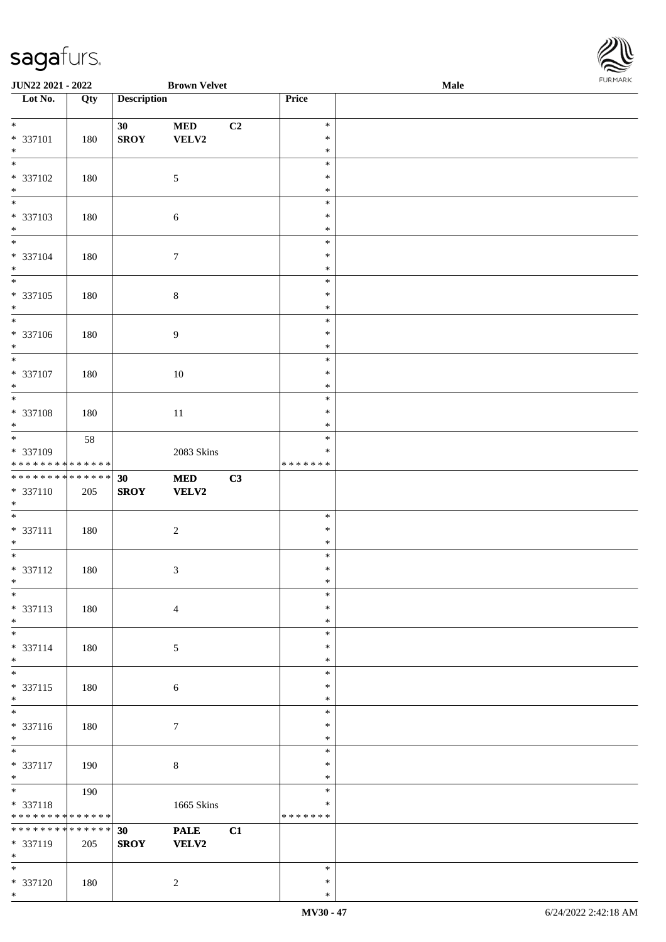

| JUN22 2021 - 2022                                                                        |     |                    | <b>Brown Velvet</b> |    |                  | Male | 1.9151 B1515 |
|------------------------------------------------------------------------------------------|-----|--------------------|---------------------|----|------------------|------|--------------|
| Lot No.                                                                                  | Qty | <b>Description</b> |                     |    | Price            |      |              |
|                                                                                          |     |                    |                     |    |                  |      |              |
| $\ddot{x}$                                                                               |     | 30                 | <b>MED</b>          | C2 | $\ast$           |      |              |
| * 337101<br>$*$                                                                          | 180 | <b>SROY</b>        | VELV2               |    | $\ast$<br>$\ast$ |      |              |
| $\overline{\phantom{0}}$                                                                 |     |                    |                     |    | $\ast$           |      |              |
| * 337102                                                                                 | 180 |                    | $\mathfrak{S}$      |    | $\ast$           |      |              |
| $*$                                                                                      |     |                    |                     |    | $\ast$           |      |              |
|                                                                                          |     |                    |                     |    | $\ast$           |      |              |
| * 337103                                                                                 | 180 |                    | 6                   |    | $\ast$           |      |              |
| $*$                                                                                      |     |                    |                     |    | $\ast$           |      |              |
|                                                                                          |     |                    |                     |    | $\ast$           |      |              |
| * 337104                                                                                 | 180 |                    | $7\phantom{.0}$     |    | $\ast$           |      |              |
| $*$                                                                                      |     |                    |                     |    | $\ast$           |      |              |
| $\overline{\ast}$                                                                        |     |                    |                     |    | $\ast$           |      |              |
| * 337105                                                                                 | 180 |                    | $\,8\,$             |    | $\ast$           |      |              |
| $*$<br>$\overline{\ }$                                                                   |     |                    |                     |    | $\ast$           |      |              |
|                                                                                          |     |                    |                     |    | $\ast$<br>$\ast$ |      |              |
| * 337106<br>$*$                                                                          | 180 |                    | $\boldsymbol{9}$    |    | $\ast$           |      |              |
|                                                                                          |     |                    |                     |    | $\ast$           |      |              |
| * 337107                                                                                 | 180 |                    | $10\,$              |    | $\ast$           |      |              |
| $*$                                                                                      |     |                    |                     |    | $\ast$           |      |              |
|                                                                                          |     |                    |                     |    | $\ast$           |      |              |
| * 337108                                                                                 | 180 |                    | 11                  |    | $\ast$           |      |              |
| $*$                                                                                      |     |                    |                     |    | $\ast$           |      |              |
|                                                                                          | 58  |                    |                     |    | $\ast$           |      |              |
| * 337109                                                                                 |     |                    | 2083 Skins          |    | $\ast$           |      |              |
| * * * * * * * * <mark>* * * * * * *</mark><br>* * * * * * * * <mark>* * * * * * *</mark> |     |                    |                     |    | * * * * * * *    |      |              |
|                                                                                          |     | 30                 | <b>MED</b>          | C3 |                  |      |              |
| * 337110<br>$*$                                                                          | 205 | <b>SROY</b>        | VELV2               |    |                  |      |              |
|                                                                                          |     |                    |                     |    | $\ast$           |      |              |
| * 337111                                                                                 | 180 |                    | $\overline{2}$      |    | $\ast$           |      |              |
| $*$                                                                                      |     |                    |                     |    | $\ast$           |      |              |
| $*$                                                                                      |     |                    |                     |    | $\ast$           |      |              |
| * 337112                                                                                 | 180 |                    | $\mathfrak{Z}$      |    | $\ast$           |      |              |
| $*$ $-$                                                                                  |     |                    |                     |    | $\ast$           |      |              |
| $*$                                                                                      |     |                    |                     |    | $\ast$           |      |              |
| * 337113                                                                                 | 180 |                    | $\overline{4}$      |    | $\ast$           |      |              |
| $*$<br>$*$                                                                               |     |                    |                     |    | $\ast$<br>$\ast$ |      |              |
| * 337114                                                                                 | 180 |                    | 5                   |    | $\ast$           |      |              |
| $*$                                                                                      |     |                    |                     |    | $\ast$           |      |              |
| $\overline{\phantom{0}}$                                                                 |     |                    |                     |    | $\ast$           |      |              |
| * 337115                                                                                 | 180 |                    | 6                   |    | $\ast$           |      |              |
| $*$                                                                                      |     |                    |                     |    | $\ast$           |      |              |
| $\overline{\phantom{0}}$                                                                 |     |                    |                     |    | $\ast$           |      |              |
| * 337116                                                                                 | 180 |                    | $\tau$              |    | $\ast$           |      |              |
| $*$                                                                                      |     |                    |                     |    | $\ast$           |      |              |
| $*$                                                                                      |     |                    |                     |    | $\ast$<br>$\ast$ |      |              |
| * 337117<br>$*$                                                                          | 190 |                    | $\,8\,$             |    | $\ast$           |      |              |
|                                                                                          | 190 |                    |                     |    | $\ast$           |      |              |
| * 337118                                                                                 |     |                    | 1665 Skins          |    | $\ast$           |      |              |
| * * * * * * * * * * * * * *                                                              |     |                    |                     |    | *******          |      |              |
| * * * * * * * * <mark>* * * * * * *</mark>                                               |     | 30                 | <b>PALE</b>         | C1 |                  |      |              |
| * 337119                                                                                 | 205 | <b>SROY</b>        | VELV2               |    |                  |      |              |
| $*$                                                                                      |     |                    |                     |    |                  |      |              |
| $*$                                                                                      |     |                    |                     |    | $\ast$           |      |              |
| * 337120                                                                                 | 180 |                    | 2                   |    | $\ast$           |      |              |
| $*$                                                                                      |     |                    |                     |    | $\ast$           |      |              |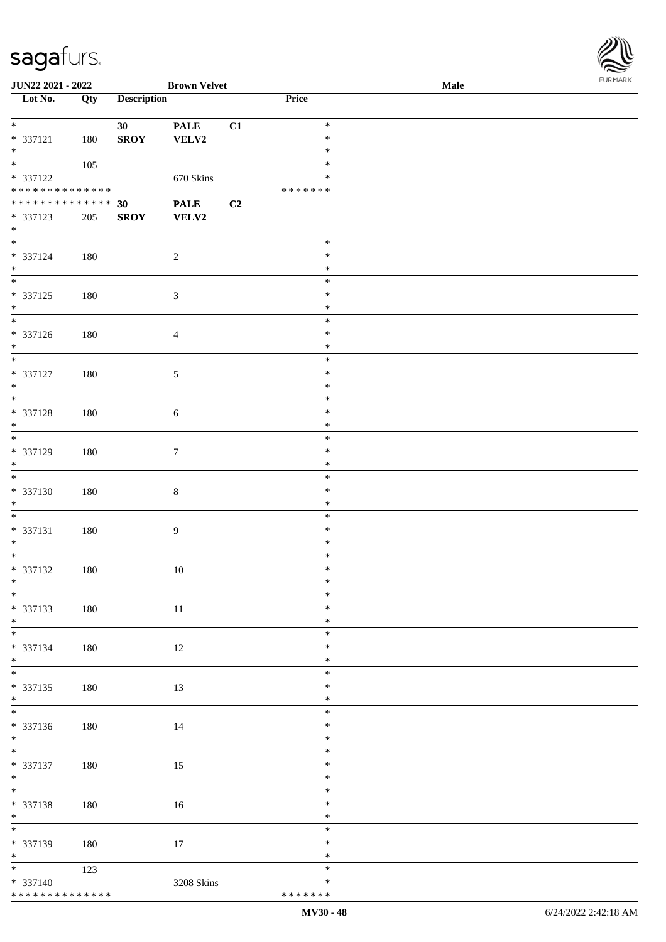| JUN22 2021 - 2022                |     |                    | <b>Brown Velvet</b> |    |               | Male | <b>FURMARK</b> |
|----------------------------------|-----|--------------------|---------------------|----|---------------|------|----------------|
| $\overline{\phantom{1}}$ Lot No. | Qty | <b>Description</b> |                     |    | Price         |      |                |
|                                  |     |                    |                     |    |               |      |                |
| $\overline{\ast}$                |     | 30 <sup>°</sup>    | <b>PALE</b>         | C1 | $\ast$        |      |                |
| * 337121                         | 180 | ${\bf SROY}$       | ${\bf VELV2}$       |    | $\ast$        |      |                |
| $\ast$                           |     |                    |                     |    | $\ast$        |      |                |
| $\overline{\ast}$                | 105 |                    |                     |    | $\ast$        |      |                |
| * 337122                         |     |                    | 670 Skins           |    | $\ast$        |      |                |
| * * * * * * * * * * * * * * *    |     |                    |                     |    | * * * * * * * |      |                |
| ******** <mark>******</mark>     |     | 30 <sup>°</sup>    | <b>PALE</b>         | C2 |               |      |                |
| * 337123                         | 205 | <b>SROY</b>        | <b>VELV2</b>        |    |               |      |                |
| $\ast$                           |     |                    |                     |    |               |      |                |
| $\overline{\ast}$                |     |                    |                     |    | $\ast$        |      |                |
| * 337124                         | 180 |                    | $\overline{c}$      |    | ∗             |      |                |
| $\ast$                           |     |                    |                     |    | $\ast$        |      |                |
| $_{\ast}$                        |     |                    |                     |    | $\ast$        |      |                |
| $* 337125$                       | 180 |                    | $\mathfrak{Z}$      |    | $\ast$        |      |                |
| $\ast$                           |     |                    |                     |    | $\ast$        |      |                |
| $\overline{\phantom{a}^*}$       |     |                    |                     |    | $\ast$        |      |                |
| * 337126                         | 180 |                    | $\overline{4}$      |    | $\ast$        |      |                |
| $\ast$                           |     |                    |                     |    | $\ast$        |      |                |
| $\overline{\ast}$                |     |                    |                     |    | $\ast$        |      |                |
| * 337127                         | 180 |                    | $\sqrt{5}$          |    | $\ast$        |      |                |
| $\ast$                           |     |                    |                     |    | $\ast$        |      |                |
| $_{\ast}^{-}$                    |     |                    |                     |    | $\ast$        |      |                |
| * 337128                         | 180 |                    | $\sqrt{6}$          |    | $\ast$        |      |                |
| $*$                              |     |                    |                     |    | $\ast$        |      |                |
| $\ast$                           |     |                    |                     |    | $\ast$        |      |                |
| * 337129                         | 180 |                    | $\boldsymbol{7}$    |    | $\ast$        |      |                |
| $\ast$                           |     |                    |                     |    | $\ast$        |      |                |
| $\ast$                           |     |                    |                     |    | $\ast$        |      |                |
| * 337130                         | 180 |                    | $8\,$               |    | ∗             |      |                |
| $\ast$                           |     |                    |                     |    | $\ast$        |      |                |
| $\overline{\phantom{0}}$         |     |                    |                     |    | $\ast$        |      |                |
| * 337131                         | 180 |                    | $\overline{9}$      |    | $\ast$        |      |                |
| $\ast$                           |     |                    |                     |    | $\ast$        |      |                |
| $\overline{\phantom{0}}$         |     |                    |                     |    | $\ast$        |      |                |
| * 337132                         | 180 |                    | 10                  |    | $\ast$        |      |                |
| $\ast$                           |     |                    |                     |    | $\ast$        |      |                |
| $\overline{\phantom{a}^*}$       |     |                    |                     |    | $\ast$        |      |                |
| * 337133                         | 180 |                    | $11\,$              |    | ∗             |      |                |
| $*$                              |     |                    |                     |    | $\ast$        |      |                |
| $\overline{\phantom{0}}$         |     |                    |                     |    | $\ast$        |      |                |
| * 337134                         | 180 |                    | 12                  |    | $\ast$        |      |                |
| $*$                              |     |                    |                     |    | $\ast$        |      |                |
| $\overline{\phantom{1}}$         |     |                    |                     |    | $\ast$        |      |                |
| $* 337135$                       | 180 |                    | 13                  |    | $\ast$        |      |                |
|                                  |     |                    |                     |    | $\ast$        |      |                |
| $*$   $*$                        |     |                    |                     |    | $\ast$        |      |                |
| $* 337136$                       | 180 |                    | 14                  |    | $\ast$        |      |                |
| $\ast$                           |     |                    |                     |    | $\ast$        |      |                |
| $\overline{\phantom{a}^*}$       |     |                    |                     |    | $\ast$        |      |                |

| $*337122$                          |     |                 | 670 Skins       |    | $\ast$        |                      |
|------------------------------------|-----|-----------------|-----------------|----|---------------|----------------------|
| ******** <mark>******</mark>       |     |                 |                 |    | * * * * * * * |                      |
| ******** <mark>******</mark>       |     | 30 <sup>°</sup> | <b>PALE</b>     | C2 |               |                      |
| * 337123                           | 205 | <b>SROY</b>     | <b>VELV2</b>    |    |               |                      |
| $*$                                |     |                 |                 |    |               |                      |
|                                    |     |                 |                 |    | $\ast$        |                      |
| * 337124                           | 180 |                 | $\sqrt{2}$      |    | $\ast$        |                      |
| $*$                                |     |                 |                 |    | $\ast$        |                      |
| $\overline{\phantom{0}}$           |     |                 |                 |    | $\ast$        |                      |
| * 337125                           | 180 |                 | $\mathfrak{Z}$  |    | $\ast$        |                      |
| $*$                                |     |                 |                 |    | $\ast$        |                      |
|                                    |     |                 |                 |    | $\ast$        |                      |
| * 337126                           | 180 |                 | $\overline{4}$  |    | $\ast$        |                      |
| $*$                                |     |                 |                 |    | $\ast$        |                      |
| $\overline{\phantom{a}^*}$         |     |                 |                 |    | $\ast$        |                      |
| * 337127                           | 180 |                 | $5\phantom{.0}$ |    | $\ast$        |                      |
| $*$                                |     |                 |                 |    | $\ast$        |                      |
| $\overline{\phantom{0}}$           |     |                 |                 |    | $\ast$        |                      |
| * 337128                           | 180 |                 | $6\,$           |    | $\ast$        |                      |
| $*$                                |     |                 |                 |    | $\ast$        |                      |
| $\overline{\phantom{0}}$           |     |                 |                 |    | $\ast$        |                      |
| * 337129                           | 180 |                 | $7\phantom{.0}$ |    | $\ast$        |                      |
| $\ast$                             |     |                 |                 |    | $\ast$        |                      |
| $\overline{\phantom{0}}$           |     |                 |                 |    | $\ast$        |                      |
|                                    |     |                 |                 |    | $\ast$        |                      |
| * 337130                           | 180 |                 | $\,8\,$         |    |               |                      |
| $\ast$<br>$\overline{\phantom{0}}$ |     |                 |                 |    | $\ast$        |                      |
|                                    |     |                 |                 |    | $\ast$        |                      |
| * 337131                           | 180 |                 | $\overline{9}$  |    | $\ast$        |                      |
| $*$                                |     |                 |                 |    | $\ast$        |                      |
|                                    |     |                 |                 |    | $\ast$        |                      |
| * 337132                           | 180 |                 | 10              |    | $\ast$        |                      |
| $*$                                |     |                 |                 |    | $\ast$        |                      |
| $*$                                |     |                 |                 |    | $\ast$        |                      |
| * 337133                           | 180 |                 | $11\,$          |    | $\ast$        |                      |
| $*$<br>$\overline{\ast}$           |     |                 |                 |    | $\ast$        |                      |
|                                    |     |                 |                 |    | $\ast$        |                      |
| * 337134                           | 180 |                 | 12              |    | $\ast$        |                      |
| $*$                                |     |                 |                 |    | $\ast$        |                      |
| $*$                                |     |                 |                 |    | $\ast$        |                      |
| $* 337135$                         | 180 |                 | 13              |    | $\ast$        |                      |
| $\ast$                             |     |                 |                 |    | $\ast$        |                      |
| $\overline{\phantom{a}}$           |     |                 |                 |    | $\ast$        |                      |
| $* 337136$                         | 180 |                 | 14              |    | $\ast$        |                      |
| $\ast$                             |     |                 |                 |    | $\ast$        |                      |
| $\frac{1}{1}$                      |     |                 |                 |    | $\ast$        |                      |
| * 337137                           | 180 |                 | $15\,$          |    | $\ast$        |                      |
| $*$                                |     |                 |                 |    | $\ast$        |                      |
| $\overline{\phantom{a}^*}$         |     |                 |                 |    | $\ast$        |                      |
| * 337138                           | 180 |                 | 16              |    | $\ast$        |                      |
| $\ast$                             |     |                 |                 |    | $\ast$        |                      |
| $\overline{\phantom{a}^*}$         |     |                 |                 |    | $\ast$        |                      |
| * 337139                           | 180 |                 | $17\,$          |    | $\ast$        |                      |
| $\ast$                             |     |                 |                 |    | $\ast$        |                      |
| $\overline{\phantom{a}^*}$         | 123 |                 |                 |    | $\ast$        |                      |
| * 337140                           |     |                 | 3208 Skins      |    | $\ast$        |                      |
| **************                     |     |                 |                 |    | * * * * * * * |                      |
|                                    |     |                 |                 |    | MV30 - 48     | 6/24/2022 2:42:18 AM |
|                                    |     |                 |                 |    |               |                      |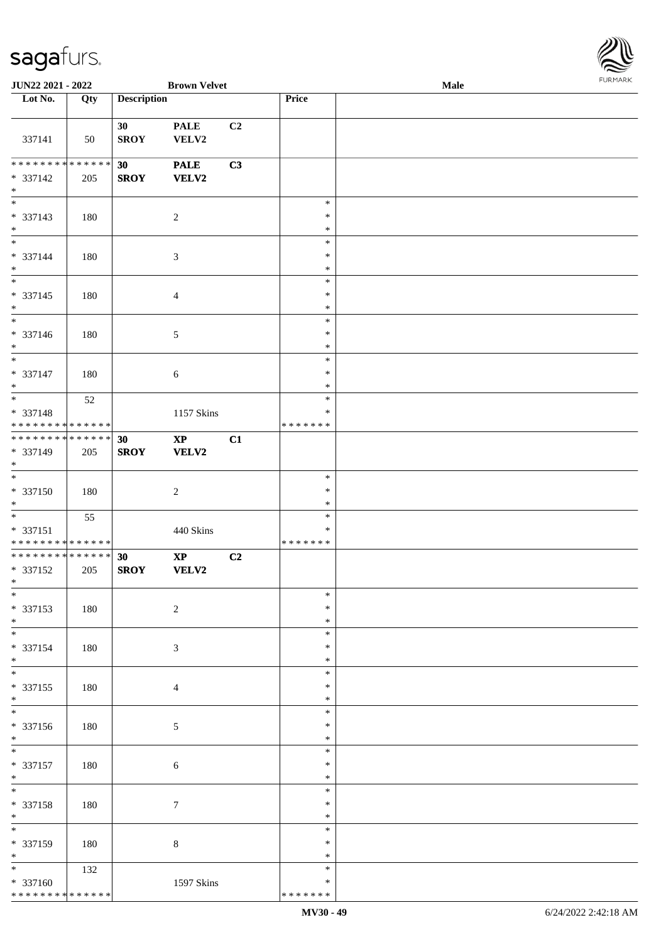

| JUN22 2021 - 2022                                                              |     |                    | <b>Brown Velvet</b>    |                |                                   | Male |  |
|--------------------------------------------------------------------------------|-----|--------------------|------------------------|----------------|-----------------------------------|------|--|
| Lot No.                                                                        | Qty | <b>Description</b> |                        |                | Price                             |      |  |
|                                                                                |     |                    |                        |                |                                   |      |  |
| 337141                                                                         | 50  | 30<br><b>SROY</b>  | <b>PALE</b><br>VELV2   | C <sub>2</sub> |                                   |      |  |
| * * * * * * * * * * * * * *<br>* 337142<br>$\ast$                              | 205 | 30<br><b>SROY</b>  | <b>PALE</b><br>VELV2   | C3             |                                   |      |  |
| $\overline{\phantom{0}}$<br>* 337143<br>$*$                                    | 180 |                    | $\sqrt{2}$             |                | $\ast$<br>$\ast$<br>$\ast$        |      |  |
| $\overline{\phantom{0}}$<br>* 337144<br>$*$                                    | 180 |                    | 3                      |                | $\ast$<br>$\ast$<br>$\ast$        |      |  |
| $\overline{\phantom{0}}$<br>$* 337145$<br>$\ast$                               | 180 |                    | $\overline{4}$         |                | $\ast$<br>$\ast$<br>$\ast$        |      |  |
| $\overline{\phantom{0}}$<br>* 337146<br>$*$                                    | 180 |                    | 5                      |                | $\ast$<br>$\ast$<br>$\ast$        |      |  |
| $\ast$<br>$* 337147$<br>$*$                                                    | 180 |                    | 6                      |                | $\ast$<br>$\ast$<br>$\ast$        |      |  |
| $*$<br>* 337148<br>* * * * * * * * * * * * * *                                 | 52  |                    | 1157 Skins             |                | $\ast$<br>$\ast$<br>*******       |      |  |
| * * * * * * * * * * * * * * *<br>* 337149<br>$*$<br>$\overline{\phantom{a}^*}$ | 205 | 30<br><b>SROY</b>  | $\mathbf{XP}$<br>VELV2 | C1             |                                   |      |  |
| $* 337150$<br>$*$                                                              | 180 |                    | $\boldsymbol{2}$       |                | $\ast$<br>$\ast$<br>$\ast$        |      |  |
| $\overline{\ast}$<br>$* 337151$<br>* * * * * * * * * * * * * *                 | 55  |                    | 440 Skins              |                | $\ast$<br>$\ast$<br>*******       |      |  |
| ******** <mark>******</mark><br>$* 337152$<br>$*$                              | 205 | 30<br><b>SROY</b>  | $\bold{XP}$<br>VELV2   | C2             |                                   |      |  |
| $*$<br>* 337153<br>$*$                                                         | 180 |                    | $\sqrt{2}$             |                | $\ast$<br>$\ast$<br>$\ast$        |      |  |
| $\overline{\phantom{0}}$<br>* 337154<br>$*$                                    | 180 |                    | 3                      |                | $\ast$<br>$\ast$<br>$\ast$        |      |  |
| $\overline{\phantom{0}}$<br>* 337155<br>$*$<br>$\overline{\phantom{0}}$        | 180 |                    | $\overline{4}$         |                | $\ast$<br>$\ast$<br>$\ast$        |      |  |
| $* 337156$<br>$*$                                                              | 180 |                    | $5\,$                  |                | $\ast$<br>$\ast$<br>$\ast$        |      |  |
| * 337157<br>$*$                                                                | 180 |                    | $\sqrt{6}$             |                | $\ast$<br>$\ast$<br>$\ast$        |      |  |
| $\ast$<br>* 337158<br>$\ast$                                                   | 180 |                    | $\tau$                 |                | $\ast$<br>$\ast$<br>$\ast$        |      |  |
| $\overline{\phantom{a}^*}$<br>* 337159<br>$*$                                  | 180 |                    | $8\,$                  |                | $\ast$<br>$\ast$<br>$\ast$        |      |  |
| * 337160<br>* * * * * * * * * * * * * *                                        | 132 |                    | 1597 Skins             |                | $\ast$<br>$\ast$<br>* * * * * * * |      |  |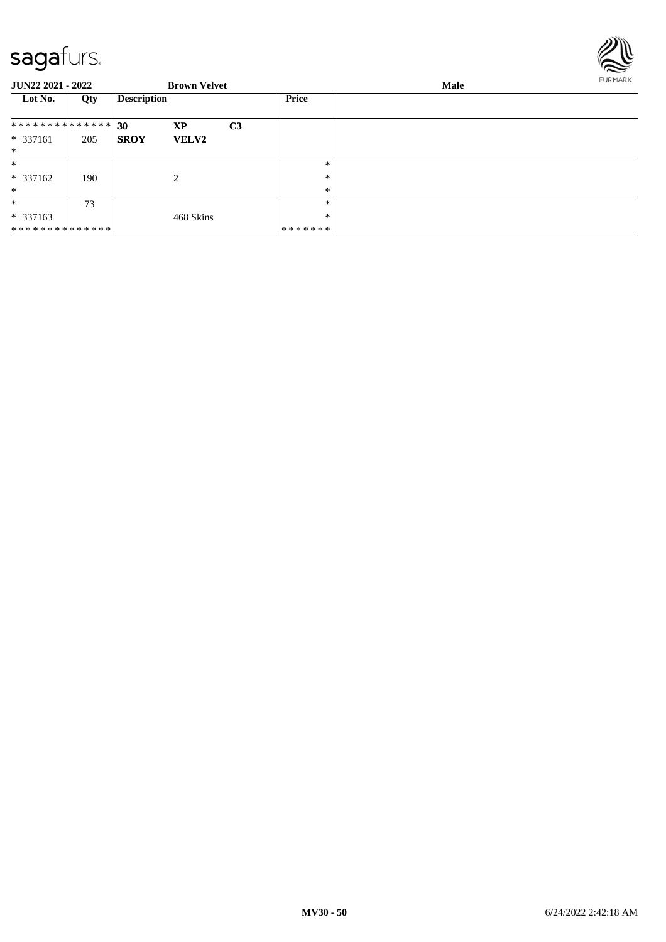

| <b>JUN22 2021 - 2022</b>      |     |                    | <b>Brown Velvet</b> |                | <b>FURMARK</b><br>Male |  |  |
|-------------------------------|-----|--------------------|---------------------|----------------|------------------------|--|--|
| Lot No.                       | Qty | <b>Description</b> |                     |                | Price                  |  |  |
| * * * * * * * * * * * * * * * |     | 30                 | <b>XP</b>           | C <sub>3</sub> |                        |  |  |
| * 337161                      | 205 | <b>SROY</b>        | <b>VELV2</b>        |                |                        |  |  |
| $\ast$                        |     |                    |                     |                |                        |  |  |
| $\ast$                        |     |                    |                     |                | $*$                    |  |  |
| * 337162                      | 190 |                    | 2                   |                | $\ast$                 |  |  |
| $\ast$                        |     |                    |                     |                | $\ast$                 |  |  |
| $\ast$                        | 73  |                    |                     |                | $\ast$                 |  |  |
| $*337163$                     |     |                    | 468 Skins           |                | $\ast$                 |  |  |
| **************                |     |                    |                     |                | *******                |  |  |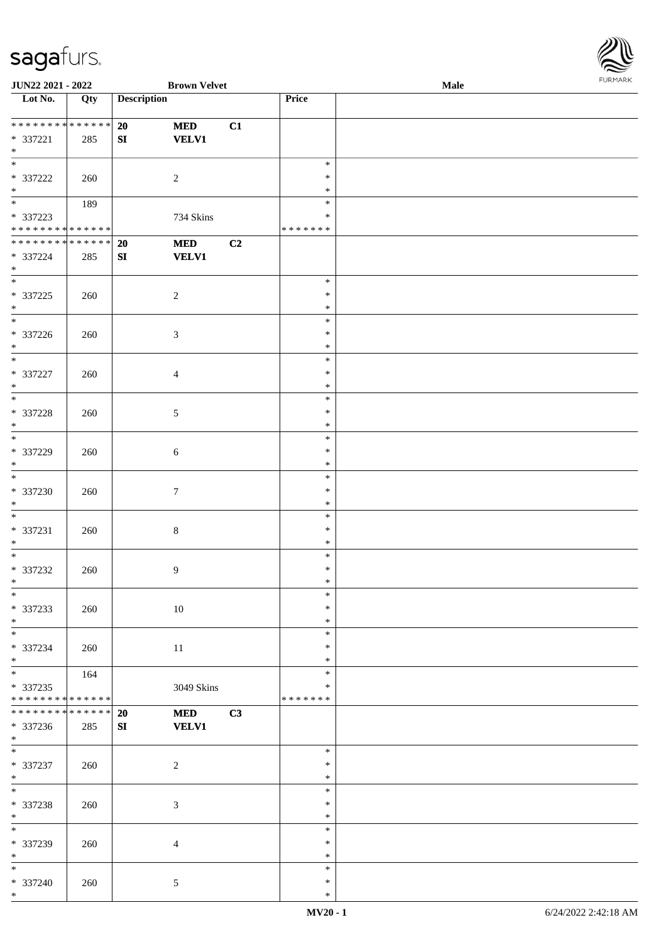

| JUN22 2021 - 2022                    |     |                    | <b>Brown Velvet</b> |    |               | Male |  |
|--------------------------------------|-----|--------------------|---------------------|----|---------------|------|--|
| Lot No.                              | Qty | <b>Description</b> |                     |    | Price         |      |  |
|                                      |     |                    |                     |    |               |      |  |
| **************                       |     | 20                 | <b>MED</b>          | C1 |               |      |  |
| * 337221                             | 285 | ${\bf SI}$         | <b>VELV1</b>        |    |               |      |  |
| $\ast$                               |     |                    |                     |    |               |      |  |
| $\overline{\phantom{0}}$             |     |                    |                     |    | $\ast$        |      |  |
| $* 337222$                           | 260 |                    | $\overline{2}$      |    | $\ast$        |      |  |
| $\ast$                               |     |                    |                     |    | $\ast$        |      |  |
| $\overline{\phantom{0}}$             | 189 |                    |                     |    | $\ast$        |      |  |
|                                      |     |                    |                     |    | $\ast$        |      |  |
| * 337223                             |     |                    | 734 Skins           |    |               |      |  |
| * * * * * * * * * * * * * *          |     |                    |                     |    | * * * * * * * |      |  |
| **************                       |     | 20                 | $\bf MED$           | C2 |               |      |  |
| * 337224                             | 285 | ${\bf SI}$         | <b>VELV1</b>        |    |               |      |  |
| $*$                                  |     |                    |                     |    |               |      |  |
| $\overline{\ast}$                    |     |                    |                     |    | $\ast$        |      |  |
| $* 337225$                           | 260 |                    | $\sqrt{2}$          |    | $\ast$        |      |  |
| $\ast$                               |     |                    |                     |    | $\ast$        |      |  |
| $\overline{\phantom{0}}$             |     |                    |                     |    | $\ast$        |      |  |
| $* 337226$                           | 260 |                    | $\mathfrak{Z}$      |    | $\ast$        |      |  |
| $\ast$                               |     |                    |                     |    | $\ast$        |      |  |
| $\overline{\ast}$                    |     |                    |                     |    | $\ast$        |      |  |
| * 337227                             | 260 |                    | $\overline{4}$      |    | $\ast$        |      |  |
| $\ast$                               |     |                    |                     |    | $\ast$        |      |  |
| $\overline{\ast}$                    |     |                    |                     |    | $\ast$        |      |  |
|                                      |     |                    |                     |    |               |      |  |
| $* 337228$                           | 260 |                    | $5\phantom{.0}$     |    | $\ast$        |      |  |
| $\ast$<br>$\overline{\phantom{a}^*}$ |     |                    |                     |    | $\ast$        |      |  |
|                                      |     |                    |                     |    | $\ast$        |      |  |
| * 337229                             | 260 |                    | $\sqrt{6}$          |    | $\ast$        |      |  |
| $\ast$                               |     |                    |                     |    | $\ast$        |      |  |
| $\overline{\ast}$                    |     |                    |                     |    | $\ast$        |      |  |
| $* 337230$                           | 260 |                    | $\tau$              |    | $\ast$        |      |  |
| $*$                                  |     |                    |                     |    | $\ast$        |      |  |
| $*$                                  |     |                    |                     |    | $\ast$        |      |  |
| * 337231                             | 260 |                    | $\,8\,$             |    | $\ast$        |      |  |
| $\ast$                               |     |                    |                     |    | $\ast$        |      |  |
| $\ast$                               |     |                    |                     |    | $\ast$        |      |  |
| $* 337232$                           | 260 |                    | 9                   |    | $\ast$        |      |  |
| $*$                                  |     |                    |                     |    | $\ast$        |      |  |
| $*$                                  |     |                    |                     |    | $\ast$        |      |  |
|                                      |     |                    |                     |    |               |      |  |
| * 337233                             | 260 |                    | 10                  |    | $\ast$        |      |  |
| $\ast$                               |     |                    |                     |    | $\ast$        |      |  |
| $\ast$                               |     |                    |                     |    | $\ast$        |      |  |
| * 337234                             | 260 |                    | $11\,$              |    | $\ast$        |      |  |
| $\ast$                               |     |                    |                     |    | $\ast$        |      |  |
| $\overline{\phantom{a}^*}$           | 164 |                    |                     |    | $\ast$        |      |  |
| * 337235                             |     |                    | 3049 Skins          |    | $\ast$        |      |  |
| * * * * * * * * * * * * * *          |     |                    |                     |    | * * * * * * * |      |  |
| **************                       |     | 20                 | <b>MED</b>          | C3 |               |      |  |
| * 337236                             | 285 | SI                 | <b>VELV1</b>        |    |               |      |  |
| $*$                                  |     |                    |                     |    |               |      |  |
| $*$                                  |     |                    |                     |    | $\ast$        |      |  |
| * 337237                             | 260 |                    | $\sqrt{2}$          |    | $\ast$        |      |  |
| $*$                                  |     |                    |                     |    | $\ast$        |      |  |
| $\ast$                               |     |                    |                     |    | $\ast$        |      |  |
|                                      |     |                    |                     |    | $\ast$        |      |  |
| * 337238                             | 260 |                    | $\mathfrak{Z}$      |    |               |      |  |
| $\ast$<br>$\overline{\phantom{a}^*}$ |     |                    |                     |    | $\ast$        |      |  |
|                                      |     |                    |                     |    | $\ast$        |      |  |
| * 337239                             | 260 |                    | $\overline{4}$      |    | $\ast$        |      |  |
| $\ast$                               |     |                    |                     |    | $\ast$        |      |  |
| $\ast$                               |     |                    |                     |    | $\ast$        |      |  |
| * 337240                             | 260 |                    | $\mathfrak{S}$      |    | $\ast$        |      |  |
| $\ast$                               |     |                    |                     |    | $\ast$        |      |  |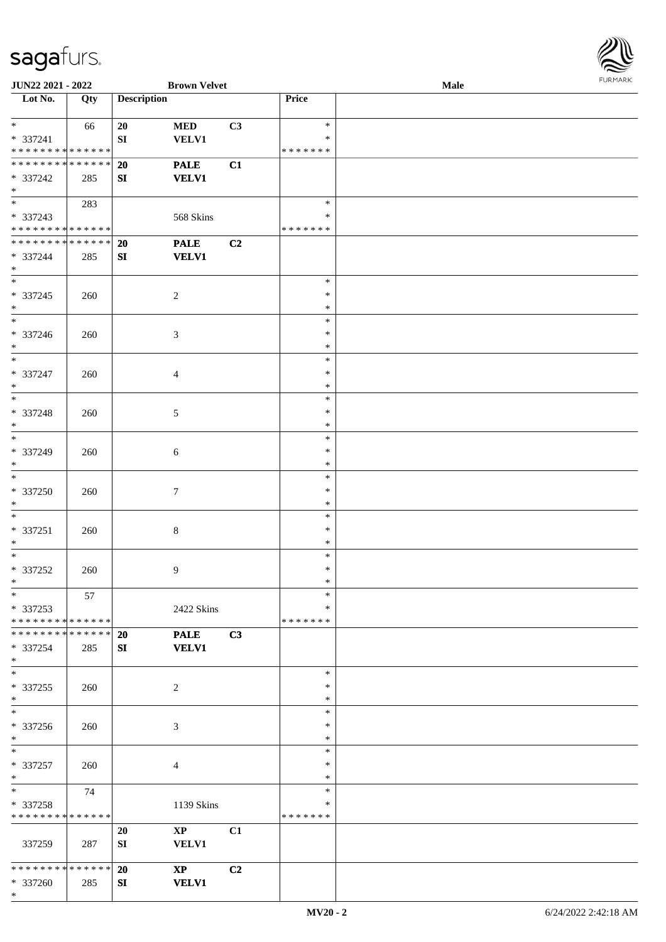

| JUN22 2021 - 2022             |     |                    | <b>Brown Velvet</b>    |    |               | <b>Male</b> |
|-------------------------------|-----|--------------------|------------------------|----|---------------|-------------|
| Lot No.                       | Qty | <b>Description</b> |                        |    | Price         |             |
|                               |     |                    |                        |    |               |             |
| $*$                           | 66  | 20                 | $\bf MED$              | C3 | $\ast$        |             |
| * 337241                      |     | ${\bf SI}$         | <b>VELV1</b>           |    | $\ast$        |             |
| * * * * * * * * * * * * * *   |     |                    |                        |    | *******       |             |
| * * * * * * * * * * * * * *   |     | 20                 | <b>PALE</b>            | C1 |               |             |
| * 337242                      | 285 | SI                 | <b>VELV1</b>           |    |               |             |
| $*$                           |     |                    |                        |    |               |             |
|                               | 283 |                    |                        |    | $\ast$        |             |
| * 337243                      |     |                    | 568 Skins              |    | $\ast$        |             |
| * * * * * * * * * * * * * *   |     |                    |                        |    | * * * * * * * |             |
| ******** <mark>******</mark>  |     | <b>20</b>          | <b>PALE</b>            | C2 |               |             |
| * 337244                      | 285 | SI                 | <b>VELV1</b>           |    |               |             |
| $*$                           |     |                    |                        |    |               |             |
| $*$                           |     |                    |                        |    | $\ast$        |             |
| $* 337245$                    | 260 |                    | $\sqrt{2}$             |    | $\ast$        |             |
| $*$                           |     |                    |                        |    | $\ast$        |             |
| $\overline{\ast}$             |     |                    |                        |    | $\ast$        |             |
| * 337246                      | 260 |                    | 3                      |    | $\ast$        |             |
| $*$                           |     |                    |                        |    | $\ast$        |             |
| $\ast$                        |     |                    |                        |    | $\ast$        |             |
| * 337247                      | 260 |                    | $\overline{4}$         |    | $\ast$        |             |
| $*$                           |     |                    |                        |    | $\ast$        |             |
| $*$                           |     |                    |                        |    | $\ast$        |             |
| * 337248                      |     |                    |                        |    | $\ast$        |             |
| $*$                           | 260 |                    | 5                      |    | $\ast$        |             |
| $*$                           |     |                    |                        |    | $\ast$        |             |
|                               |     |                    |                        |    | $\ast$        |             |
| * 337249<br>$*$               | 260 |                    | 6                      |    |               |             |
| $*$                           |     |                    |                        |    | $\ast$        |             |
|                               |     |                    |                        |    | $\ast$        |             |
| $* 337250$                    | 260 |                    | $\tau$                 |    | $\ast$        |             |
| $*$                           |     |                    |                        |    | $\ast$        |             |
| $*$                           |     |                    |                        |    | $\ast$        |             |
| $* 337251$                    | 260 |                    | $\,8\,$                |    | $\ast$        |             |
| $*$                           |     |                    |                        |    | $\ast$        |             |
| $*$                           |     |                    |                        |    | $\ast$        |             |
| $* 337252$                    | 260 |                    | 9                      |    | $\ast$        |             |
| $*$                           |     |                    |                        |    | $\ast$        |             |
| $*$                           | 57  |                    |                        |    | $\ast$        |             |
| * 337253                      |     |                    | 2422 Skins             |    | $\ast$        |             |
| * * * * * * * * * * * * * * * |     |                    |                        |    | *******       |             |
| * * * * * * * * * * * * * * * |     | <b>20</b>          | <b>PALE</b>            | C3 |               |             |
| * 337254                      | 285 | SI                 | <b>VELV1</b>           |    |               |             |
| $*$                           |     |                    |                        |    |               |             |
| $*$                           |     |                    |                        |    | $\ast$        |             |
| * 337255                      | 260 |                    | $\overline{c}$         |    | $\ast$        |             |
| $*$                           |     |                    |                        |    | $\ast$        |             |
| $\overline{\phantom{0}}$      |     |                    |                        |    | $\ast$        |             |
| * 337256                      | 260 |                    | 3                      |    | $\ast$        |             |
| $*$                           |     |                    |                        |    | $\ast$        |             |
| $*$                           |     |                    |                        |    | $\ast$        |             |
| * 337257                      | 260 |                    | $\overline{4}$         |    | $\ast$        |             |
| $*$                           |     |                    |                        |    | $\ast$        |             |
| $*$ and $*$                   | 74  |                    |                        |    | $\ast$        |             |
| * 337258                      |     |                    | 1139 Skins             |    | $\ast$        |             |
| * * * * * * * * * * * * * *   |     |                    |                        |    | *******       |             |
|                               |     | 20                 | $\mathbf{XP}$          | C1 |               |             |
| 337259                        | 287 | SI                 | VELV1                  |    |               |             |
|                               |     |                    |                        |    |               |             |
| * * * * * * * * * * * * * * * |     | 20                 | $\mathbf{X}\mathbf{P}$ | C2 |               |             |
| * 337260                      | 285 | SI                 | <b>VELV1</b>           |    |               |             |
| $*$                           |     |                    |                        |    |               |             |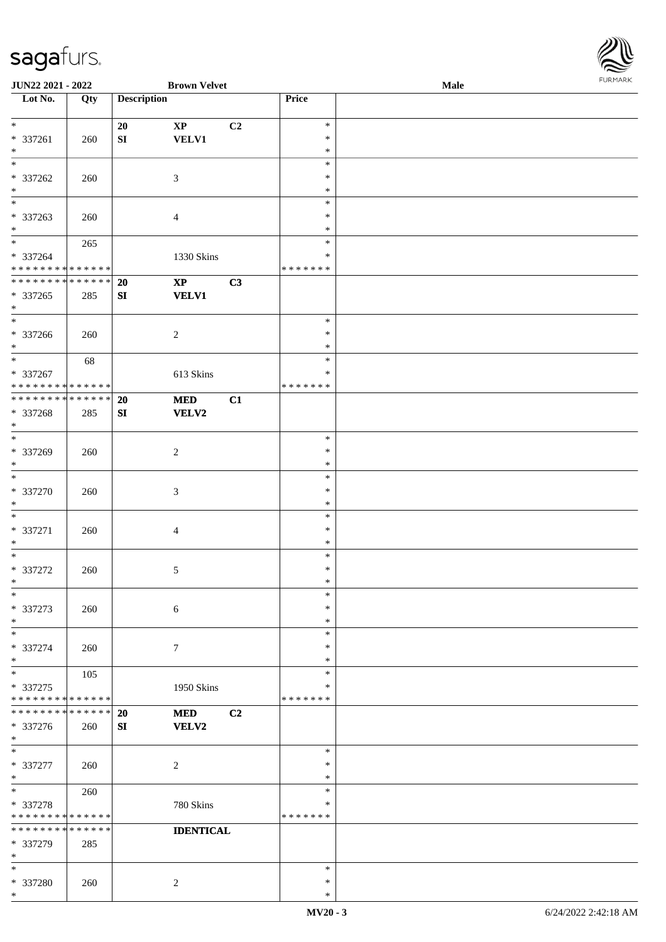

| JUN22 2021 - 2022             |     |                    | <b>Brown Velvet</b> |                |                  | Male | 10111111111 |
|-------------------------------|-----|--------------------|---------------------|----------------|------------------|------|-------------|
| Lot No.                       | Qty | <b>Description</b> |                     |                | Price            |      |             |
|                               |     |                    |                     |                |                  |      |             |
| $*$                           |     | 20                 | $\mathbf{XP}$       | C <sub>2</sub> | $\ast$           |      |             |
| $* 337261$                    | 260 | ${\bf SI}$         | VELV1               |                | $\ast$           |      |             |
| $\ast$                        |     |                    |                     |                | $\ast$           |      |             |
| $\ast$                        |     |                    |                     |                | $\ast$           |      |             |
| * 337262                      | 260 |                    | $\mathfrak{Z}$      |                | $\ast$           |      |             |
| $*$                           |     |                    |                     |                | $\ast$           |      |             |
| $\overline{\phantom{0}}$      |     |                    |                     |                | $\ast$           |      |             |
| * 337263                      | 260 |                    | $\overline{4}$      |                | $\ast$           |      |             |
| $*$                           |     |                    |                     |                | $\ast$           |      |             |
| $*$                           | 265 |                    |                     |                | $\ast$           |      |             |
| * 337264                      |     |                    | 1330 Skins          |                | $\ast$           |      |             |
| * * * * * * * * * * * * * *   |     |                    |                     |                | *******          |      |             |
| * * * * * * * * * * * * * * * |     | <b>20</b>          | $\bold{XP}$         | C3             |                  |      |             |
| * 337265                      | 285 | SI                 | <b>VELV1</b>        |                |                  |      |             |
| $\ast$                        |     |                    |                     |                |                  |      |             |
| $*$                           |     |                    |                     |                | $\ast$           |      |             |
| $* 337266$                    | 260 |                    | $\sqrt{2}$          |                | $\ast$           |      |             |
| $*$                           |     |                    |                     |                | $\ast$           |      |             |
| $\overline{\ast}$             | 68  |                    |                     |                | $\ast$           |      |             |
| * 337267                      |     |                    | 613 Skins           |                | $\ast$           |      |             |
| * * * * * * * * * * * * * *   |     |                    |                     |                | *******          |      |             |
| * * * * * * * * * * * * * * * |     | 20                 | <b>MED</b>          | C1             |                  |      |             |
|                               |     |                    |                     |                |                  |      |             |
| $* 337268$<br>$*$             | 285 | SI                 | VELV2               |                |                  |      |             |
| $\overline{\ast}$             |     |                    |                     |                | $\ast$           |      |             |
|                               |     |                    |                     |                |                  |      |             |
| * 337269<br>$*$               | 260 |                    | $\overline{2}$      |                | $\ast$<br>$\ast$ |      |             |
| $\overline{\ast}$             |     |                    |                     |                |                  |      |             |
|                               |     |                    |                     |                | $\ast$           |      |             |
| * 337270                      | 260 |                    | $\mathfrak{Z}$      |                | $\ast$           |      |             |
| $*$                           |     |                    |                     |                | $\ast$           |      |             |
| $*$                           |     |                    |                     |                | $\ast$           |      |             |
| * 337271                      | 260 |                    | $\overline{4}$      |                | $\ast$           |      |             |
| $*$                           |     |                    |                     |                | $\ast$           |      |             |
| $*$                           |     |                    |                     |                | $\ast$           |      |             |
| $* 337272$                    | 260 |                    | 5                   |                | $\ast$           |      |             |
| $*$                           |     |                    |                     |                | $\ast$           |      |             |
| $\ast$                        |     |                    |                     |                | $\ast$           |      |             |
| $* 337273$                    | 260 |                    | 6                   |                | $\ast$           |      |             |
| $*$                           |     |                    |                     |                | $\ast$           |      |             |
| $\ast$                        |     |                    |                     |                | $\ast$           |      |             |
| * 337274                      | 260 |                    | $\tau$              |                | $\ast$           |      |             |
| $*$                           |     |                    |                     |                | $\ast$           |      |             |
| $*$                           | 105 |                    |                     |                | $\ast$           |      |             |
| * 337275                      |     |                    | 1950 Skins          |                | ∗                |      |             |
| * * * * * * * * * * * * * *   |     |                    |                     |                | *******          |      |             |
| * * * * * * * * * * * * * * * |     | 20                 | <b>MED</b>          | C2             |                  |      |             |
| * 337276                      | 260 | SI                 | VELV2               |                |                  |      |             |
| $*$                           |     |                    |                     |                |                  |      |             |
| $\ast$                        |     |                    |                     |                | ∗                |      |             |
| * 337277                      | 260 |                    | $\sqrt{2}$          |                | $\ast$           |      |             |
| $*$                           |     |                    |                     |                | $\ast$           |      |             |
| $*$                           | 260 |                    |                     |                | $\ast$           |      |             |
| $* 337278$                    |     |                    | 780 Skins           |                | ∗                |      |             |
| * * * * * * * * * * * * * *   |     |                    |                     |                | *******          |      |             |
| * * * * * * * * * * * * * *   |     |                    | <b>IDENTICAL</b>    |                |                  |      |             |
| * 337279                      | 285 |                    |                     |                |                  |      |             |
| $*$                           |     |                    |                     |                |                  |      |             |
| $\ast$                        |     |                    |                     |                | ∗                |      |             |
| * 337280                      | 260 |                    | $\sqrt{2}$          |                | $\ast$           |      |             |
| $*$                           |     |                    |                     |                | $\ast$           |      |             |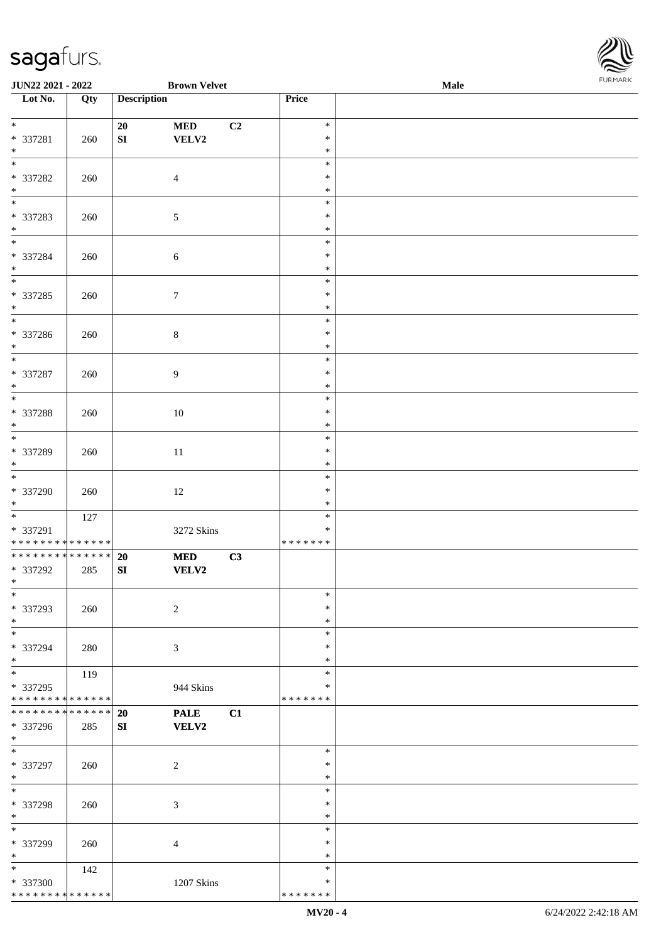

| JUN22 2021 - 2022                    |     |                    | <b>Brown Velvet</b> |    |               | <b>Male</b> |
|--------------------------------------|-----|--------------------|---------------------|----|---------------|-------------|
| Lot No.                              | Qty | <b>Description</b> |                     |    | Price         |             |
|                                      |     |                    |                     |    |               |             |
| $*$                                  |     | 20                 | $\bf MED$           | C2 | $\ast$        |             |
| * 337281                             | 260 | ${\bf SI}$         | VELV2               |    | $\ast$        |             |
| $\ast$                               |     |                    |                     |    | $\ast$        |             |
| $\overline{\phantom{0}}$             |     |                    |                     |    | $\ast$        |             |
| * 337282                             | 260 |                    | $\overline{4}$      |    | $\ast$        |             |
| $\ast$                               |     |                    |                     |    | $\ast$        |             |
| $\overline{\phantom{0}}$             |     |                    |                     |    |               |             |
|                                      |     |                    |                     |    | $\ast$        |             |
| * 337283                             | 260 |                    | $\sqrt{5}$          |    | $\ast$        |             |
| $\ast$                               |     |                    |                     |    | $\ast$        |             |
| $\overline{\phantom{0}}$             |     |                    |                     |    | $\ast$        |             |
| * 337284                             | 260 |                    | $\sqrt{6}$          |    | $\ast$        |             |
| $\ast$                               |     |                    |                     |    | $\ast$        |             |
| $\overline{\phantom{a}^*}$           |     |                    |                     |    | $\ast$        |             |
| $* 337285$                           | 260 |                    | $\tau$              |    | $\ast$        |             |
| $\ast$                               |     |                    |                     |    | $\ast$        |             |
| $_{\ast}^{-}$                        |     |                    |                     |    | $\ast$        |             |
| * 337286                             | 260 |                    | $8\,$               |    | $\ast$        |             |
| $\ast$                               |     |                    |                     |    | $\ast$        |             |
| $\overline{\ast}$                    |     |                    |                     |    | $\ast$        |             |
|                                      |     |                    |                     |    |               |             |
| * 337287                             | 260 |                    | 9                   |    | $\ast$        |             |
| $\ast$                               |     |                    |                     |    | $\ast$        |             |
| $\ast$                               |     |                    |                     |    | $\ast$        |             |
| * 337288                             | 260 |                    | 10                  |    | $\ast$        |             |
| $\ast$                               |     |                    |                     |    | $\ast$        |             |
| $\overline{\phantom{a}^*}$           |     |                    |                     |    | $\ast$        |             |
| * 337289                             | 260 |                    | 11                  |    | $\ast$        |             |
| $\ast$                               |     |                    |                     |    | $\ast$        |             |
| $\overline{\phantom{a}^*}$           |     |                    |                     |    | $\ast$        |             |
| * 337290                             | 260 |                    | 12                  |    | $\ast$        |             |
| $*$                                  |     |                    |                     |    | $\ast$        |             |
| $\ast$                               | 127 |                    |                     |    | $\ast$        |             |
| * 337291                             |     |                    | 3272 Skins          |    | $\ast$        |             |
| * * * * * * * * * * * * * * *        |     |                    |                     |    | * * * * * * * |             |
| * * * * * * * * * * * * * * *        |     | 20                 | $\bf MED$           | C3 |               |             |
| * 337292                             |     |                    |                     |    |               |             |
| $*$                                  | 285 | ${\bf SI}$         | <b>VELV2</b>        |    |               |             |
|                                      |     |                    |                     |    |               |             |
| $*$                                  |     |                    |                     |    | $\ast$        |             |
| * 337293                             | 260 |                    | $\overline{c}$      |    | $\ast$        |             |
| $\ast$                               |     |                    |                     |    | $\ast$        |             |
| $\ast$                               |     |                    |                     |    | $\ast$        |             |
| * 337294                             | 280 |                    | 3                   |    | ∗             |             |
| $*$                                  |     |                    |                     |    | ∗             |             |
| $\overline{\phantom{a}^*}$           | 119 |                    |                     |    | $\ast$        |             |
| * 337295                             |     |                    | 944 Skins           |    | $\ast$        |             |
| * * * * * * * * * * * * * *          |     |                    |                     |    | * * * * * * * |             |
| **************                       |     | 20                 | <b>PALE</b>         | C1 |               |             |
| * 337296                             | 285 | SI                 | <b>VELV2</b>        |    |               |             |
| $*$                                  |     |                    |                     |    |               |             |
| $\ast$                               |     |                    |                     |    | $\ast$        |             |
| * 337297                             | 260 |                    | $\sqrt{2}$          |    | $\ast$        |             |
| $*$                                  |     |                    |                     |    | $\ast$        |             |
| $\overline{\phantom{1}}$             |     |                    |                     |    | $\ast$        |             |
|                                      |     |                    |                     |    | $\ast$        |             |
| * 337298                             | 260 |                    | 3                   |    |               |             |
| $\ast$<br>$\overline{\phantom{a}^*}$ |     |                    |                     |    | $\ast$        |             |
|                                      |     |                    |                     |    | $\ast$        |             |
| * 337299                             | 260 |                    | $\overline{4}$      |    | $\ast$        |             |
| $\ast$                               |     |                    |                     |    | $\ast$        |             |
| $\ast$                               | 142 |                    |                     |    | $\ast$        |             |
| * 337300                             |     |                    | 1207 Skins          |    | $\ast$        |             |
| * * * * * * * * * * * * * *          |     |                    |                     |    | * * * * * * * |             |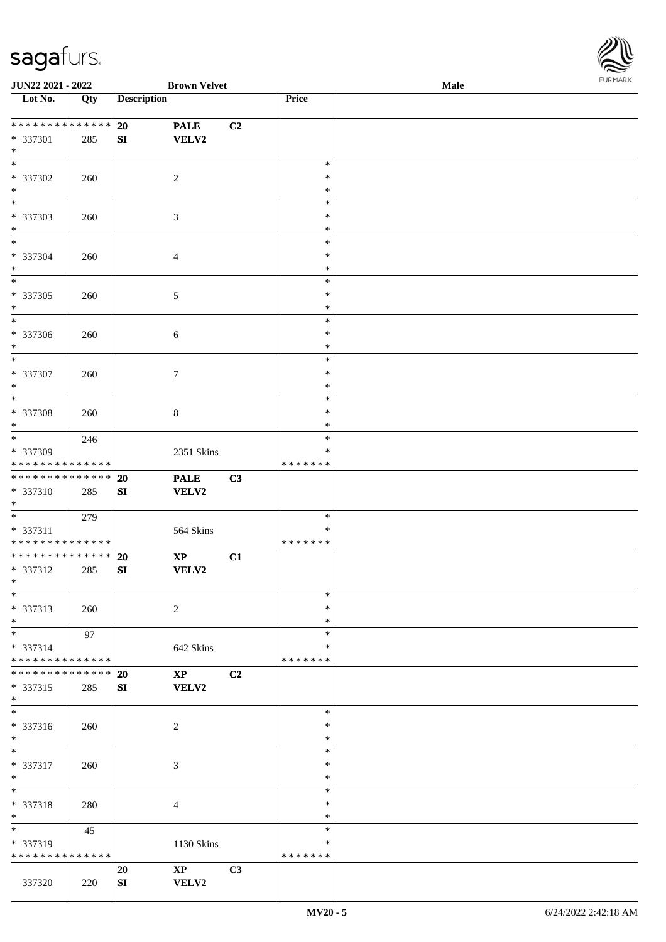

| JUN22 2021 - 2022                  |     |                    | <b>Brown Velvet</b>    |    |               | <b>Male</b> |  |
|------------------------------------|-----|--------------------|------------------------|----|---------------|-------------|--|
| Lot No.                            | Qty | <b>Description</b> |                        |    | Price         |             |  |
|                                    |     |                    |                        |    |               |             |  |
| **************                     |     | 20                 | <b>PALE</b>            | C2 |               |             |  |
| * 337301                           | 285 | ${\bf SI}$         | VELV2                  |    |               |             |  |
| $\ast$                             |     |                    |                        |    |               |             |  |
| $\overline{\phantom{0}}$           |     |                    |                        |    | $\ast$        |             |  |
| * 337302                           | 260 |                    | $\overline{c}$         |    | ∗             |             |  |
| $\ast$                             |     |                    |                        |    | $\ast$        |             |  |
| $\overline{\phantom{a}^*}$         |     |                    |                        |    | $\ast$        |             |  |
| * 337303                           | 260 |                    | $\mathfrak{Z}$         |    | $\ast$        |             |  |
| $\ast$                             |     |                    |                        |    | $\ast$        |             |  |
| $\overline{\ast}$                  |     |                    |                        |    | $\ast$        |             |  |
| * 337304                           | 260 |                    | $\overline{4}$         |    | $\ast$        |             |  |
| $\ast$                             |     |                    |                        |    | $\ast$        |             |  |
| $\overline{\phantom{a}^*}$         |     |                    |                        |    | $\ast$        |             |  |
|                                    |     |                    |                        |    |               |             |  |
| * 337305                           | 260 |                    | $\sqrt{5}$             |    | $\ast$        |             |  |
| $\ast$<br>$\overline{\phantom{1}}$ |     |                    |                        |    | $\ast$        |             |  |
|                                    |     |                    |                        |    | $\ast$        |             |  |
| $* 337306$                         | 260 |                    | $\sqrt{6}$             |    | $\ast$        |             |  |
| $\ast$                             |     |                    |                        |    | $\ast$        |             |  |
| $\ast$                             |     |                    |                        |    | $\ast$        |             |  |
| $* 337307$                         | 260 |                    | $\tau$                 |    | $\ast$        |             |  |
| $\ast$                             |     |                    |                        |    | $\ast$        |             |  |
| $\ast$                             |     |                    |                        |    | $\ast$        |             |  |
| $* 337308$                         | 260 |                    | $8\,$                  |    | $\ast$        |             |  |
| $\ast$                             |     |                    |                        |    | ∗             |             |  |
| $\overline{\ast}$                  | 246 |                    |                        |    | $\ast$        |             |  |
| * 337309                           |     |                    | 2351 Skins             |    | $\ast$        |             |  |
| * * * * * * * * * * * * * *        |     |                    |                        |    | * * * * * * * |             |  |
| **************                     |     | 20                 | <b>PALE</b>            | C3 |               |             |  |
| $* 337310$                         | 285 | SI                 | <b>VELV2</b>           |    |               |             |  |
| $*$                                |     |                    |                        |    |               |             |  |
| $\ast$                             | 279 |                    |                        |    | $\ast$        |             |  |
| * 337311                           |     |                    | 564 Skins              |    | $\ast$        |             |  |
| * * * * * * * * * * * * * * *      |     |                    |                        |    | * * * * * * * |             |  |
| **************                     |     | 20                 | $\bold{XP}$            | C1 |               |             |  |
| * 337312                           | 285 | SI                 | <b>VELV2</b>           |    |               |             |  |
| $*$                                |     |                    |                        |    |               |             |  |
| $*$                                |     |                    |                        |    | $\ast$        |             |  |
| * 337313                           | 260 |                    | $\overline{c}$         |    | $\ast$        |             |  |
| $\ast$                             |     |                    |                        |    | $\ast$        |             |  |
| $\ast$                             | 97  |                    |                        |    | $\ast$        |             |  |
| * 337314                           |     |                    | 642 Skins              |    | ∗             |             |  |
| ******** <mark>******</mark>       |     |                    |                        |    | * * * * * * * |             |  |
| * * * * * * * * * * * * * * *      |     | 20                 | $\mathbf{X}\mathbf{P}$ | C2 |               |             |  |
| * 337315                           | 285 | SI                 | <b>VELV2</b>           |    |               |             |  |
| $*$                                |     |                    |                        |    |               |             |  |
| $\overline{\phantom{a}^*}$         |     |                    |                        |    | $\ast$        |             |  |
|                                    |     |                    |                        |    | ∗             |             |  |
| * 337316                           | 260 |                    | $\overline{c}$         |    |               |             |  |
| $*$<br>$\ast$                      |     |                    |                        |    | $\ast$        |             |  |
|                                    |     |                    |                        |    | $\ast$        |             |  |
| * 337317                           | 260 |                    | $\mathfrak{Z}$         |    | $\ast$        |             |  |
| $\ast$                             |     |                    |                        |    | $\ast$        |             |  |
| $*$                                |     |                    |                        |    | $\ast$        |             |  |
| * 337318                           | 280 |                    | $\overline{4}$         |    | $\ast$        |             |  |
| $\ast$                             |     |                    |                        |    | $\ast$        |             |  |
| $\overline{\phantom{a}^*}$         | 45  |                    |                        |    | $\ast$        |             |  |
| * 337319                           |     |                    | 1130 Skins             |    | ∗             |             |  |
| * * * * * * * * * * * * * *        |     |                    |                        |    | * * * * * * * |             |  |
|                                    |     | 20                 | $\mathbf{XP}$          | C3 |               |             |  |
| 337320                             | 220 | SI                 | VELV2                  |    |               |             |  |
|                                    |     |                    |                        |    |               |             |  |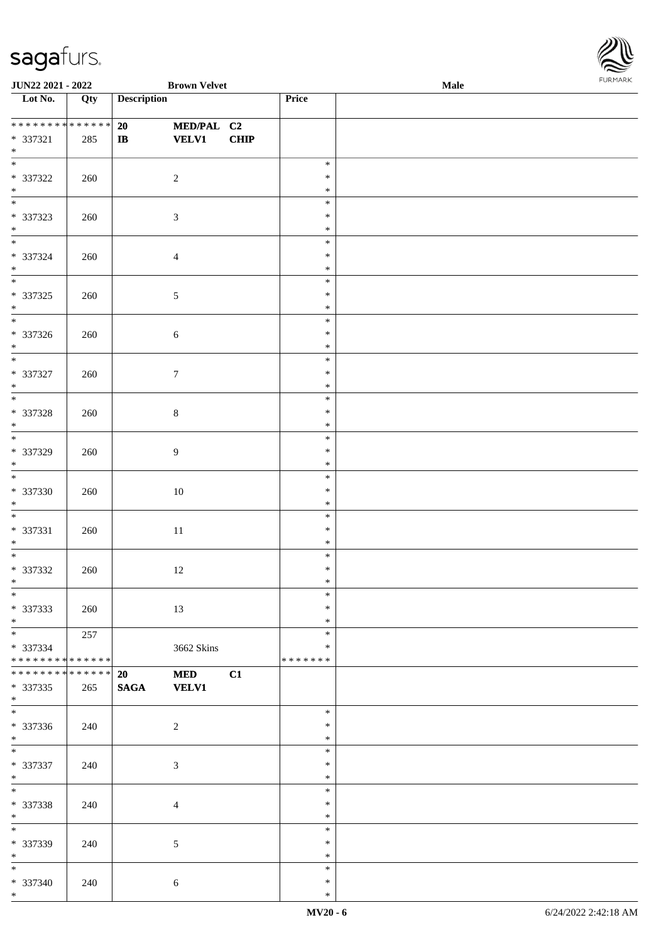

| <b>JUN22 2021 - 2022</b>                |     |                    | <b>Brown Velvet</b> |             |                  | Male |
|-----------------------------------------|-----|--------------------|---------------------|-------------|------------------|------|
| Lot No.                                 | Qty | <b>Description</b> |                     |             | Price            |      |
|                                         |     |                    |                     |             |                  |      |
| **************                          |     | 20                 | MED/PAL C2          |             |                  |      |
| * 337321                                | 285 | $\mathbf{IB}$      | <b>VELV1</b>        | <b>CHIP</b> |                  |      |
| $*$                                     |     |                    |                     |             |                  |      |
|                                         |     |                    |                     |             | $\ast$           |      |
| $* 337322$                              | 260 |                    | $\overline{2}$      |             | $\ast$           |      |
| $\ast$<br>$\overline{\phantom{0}}$      |     |                    |                     |             | $\ast$           |      |
|                                         |     |                    |                     |             | $\ast$           |      |
| * 337323<br>$*$                         | 260 |                    | $\mathfrak{Z}$      |             | $\ast$           |      |
| $\overline{\phantom{0}}$                |     |                    |                     |             | $\ast$<br>$\ast$ |      |
| * 337324                                |     |                    |                     |             | $\ast$           |      |
| $*$                                     | 260 |                    | $\overline{4}$      |             | $\ast$           |      |
| $\overline{\phantom{0}}$                |     |                    |                     |             | $\ast$           |      |
| $* 337325$                              | 260 |                    | $\sqrt{5}$          |             | $\ast$           |      |
| $*$                                     |     |                    |                     |             | $\ast$           |      |
| $\overline{\phantom{0}}$                |     |                    |                     |             | $\ast$           |      |
| $* 337326$                              | 260 |                    | $\sqrt{6}$          |             | $\ast$           |      |
| $\ast$                                  |     |                    |                     |             | $\ast$           |      |
| $\overline{\phantom{a}^*}$              |     |                    |                     |             | $\ast$           |      |
| $* 337327$                              | 260 |                    | $\tau$              |             | $\ast$           |      |
| $*$                                     |     |                    |                     |             | $\ast$           |      |
|                                         |     |                    |                     |             | $\ast$           |      |
| $* 337328$                              | 260 |                    | $\,8\,$             |             | $\ast$           |      |
| $\ast$<br>$\overline{\phantom{0}}$      |     |                    |                     |             | $\ast$           |      |
|                                         |     |                    |                     |             | $\ast$           |      |
| * 337329                                | 260 |                    | $\overline{9}$      |             | $\ast$           |      |
| $*$                                     |     |                    |                     |             | $\ast$<br>$\ast$ |      |
| * 337330                                | 260 |                    | $10\,$              |             | $\ast$           |      |
| $*$                                     |     |                    |                     |             | $\ast$           |      |
| $*$                                     |     |                    |                     |             | $\ast$           |      |
| * 337331                                | 260 |                    | $11\,$              |             | $\ast$           |      |
| $*$                                     |     |                    |                     |             | $\ast$           |      |
| $*$                                     |     |                    |                     |             | $\ast$           |      |
| $* 337332$                              | 260 |                    | $12\,$              |             | $\ast$           |      |
| $*$                                     |     |                    |                     |             | $\ast$           |      |
| $\ast$                                  |     |                    |                     |             | $\ast$           |      |
| * 337333                                | 260 |                    | 13                  |             | $\ast$           |      |
| $*$                                     |     |                    |                     |             | $\ast$           |      |
|                                         | 257 |                    |                     |             | $\ast$<br>$\ast$ |      |
| * 337334<br>* * * * * * * * * * * * * * |     |                    | 3662 Skins          |             | *******          |      |
| * * * * * * * * * * * * * * *           |     | 20                 | <b>MED</b>          | C1          |                  |      |
| * 337335                                | 265 | <b>SAGA</b>        | <b>VELV1</b>        |             |                  |      |
| $*$                                     |     |                    |                     |             |                  |      |
| $\overline{\phantom{0}}$                |     |                    |                     |             | $\ast$           |      |
| $* 337336$                              | 240 |                    | $\sqrt{2}$          |             | $\ast$           |      |
| $*$                                     |     |                    |                     |             | $\ast$           |      |
|                                         |     |                    |                     |             | $\ast$           |      |
| * 337337                                | 240 |                    | $\mathfrak{Z}$      |             | $\ast$           |      |
| $*$                                     |     |                    |                     |             | $\ast$           |      |
| $*$                                     |     |                    |                     |             | $\ast$           |      |
| $* 337338$                              | 240 |                    | $\overline{4}$      |             | $\ast$           |      |
| $*$<br>$\overline{\phantom{0}}$         |     |                    |                     |             | $\ast$<br>$\ast$ |      |
| * 337339                                | 240 |                    | 5                   |             | $\ast$           |      |
| $*$                                     |     |                    |                     |             | $\ast$           |      |
|                                         |     |                    |                     |             | $\ast$           |      |
| * 337340                                | 240 |                    | $\sqrt{6}$          |             | $\ast$           |      |
| $*$                                     |     |                    |                     |             | $\ast$           |      |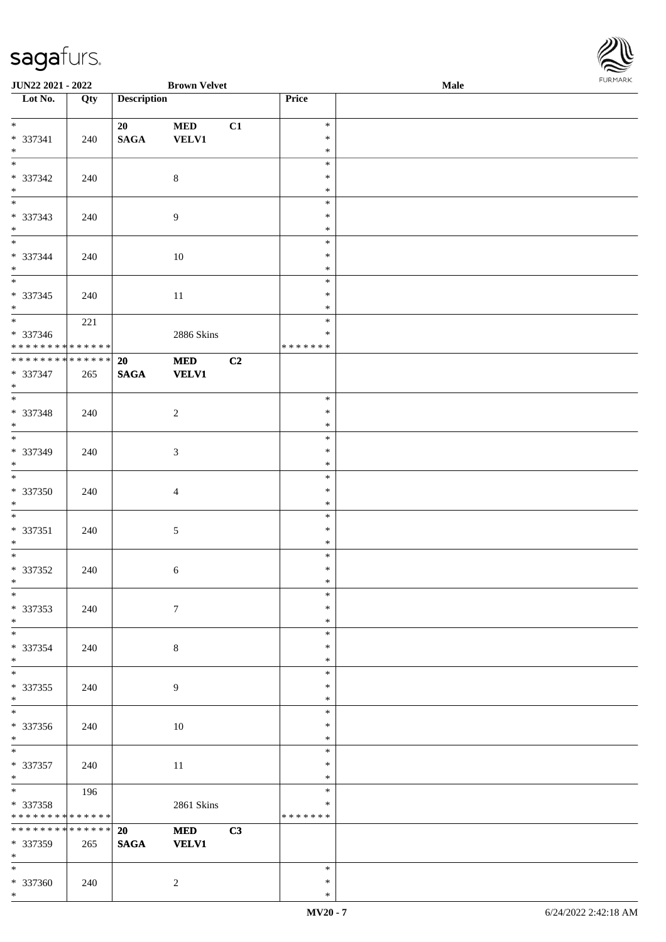

| JUN22 2021 - 2022                       |     |                    | <b>Brown Velvet</b> |    |                  | Male | 1.911111111 |
|-----------------------------------------|-----|--------------------|---------------------|----|------------------|------|-------------|
| $\overline{\phantom{1}}$ Lot No.        | Qty | <b>Description</b> |                     |    | Price            |      |             |
|                                         |     |                    |                     |    |                  |      |             |
| $*$                                     |     | 20                 | <b>MED</b>          | C1 | $\ast$           |      |             |
| * 337341<br>$*$                         | 240 | $\mathbf{SAGA}$    | VELV1               |    | $\ast$<br>$\ast$ |      |             |
| $*$                                     |     |                    |                     |    | $\ast$           |      |             |
| $* 337342$                              | 240 |                    | $\,8\,$             |    | $\ast$           |      |             |
| $\ast$                                  |     |                    |                     |    | $\ast$           |      |             |
|                                         |     |                    |                     |    | $\ast$           |      |             |
| * 337343                                | 240 |                    | $\overline{9}$      |    | $\ast$           |      |             |
| $\ast$                                  |     |                    |                     |    | $\ast$           |      |             |
|                                         |     |                    |                     |    | $\ast$           |      |             |
| $* 337344$                              | 240 |                    | $10\,$              |    | $\ast$           |      |             |
| $*$                                     |     |                    |                     |    | $\ast$<br>$\ast$ |      |             |
| $* 337345$                              |     |                    |                     |    | $\ast$           |      |             |
| $*$                                     | 240 |                    | $11\,$              |    | $\ast$           |      |             |
|                                         | 221 |                    |                     |    | $\ast$           |      |             |
| $* 337346$                              |     |                    | 2886 Skins          |    | $\ast$           |      |             |
| ******** <mark>******</mark>            |     |                    |                     |    | *******          |      |             |
| ******** <mark>******</mark>            |     | 20                 | $\bf MED$           | C2 |                  |      |             |
| $* 337347$                              | 265 | <b>SAGA</b>        | <b>VELV1</b>        |    |                  |      |             |
| $*$<br>$\overline{\phantom{0}}$         |     |                    |                     |    |                  |      |             |
|                                         |     |                    |                     |    | $\ast$           |      |             |
| * 337348<br>$*$                         | 240 |                    | $\overline{c}$      |    | $\ast$<br>$\ast$ |      |             |
|                                         |     |                    |                     |    | $\ast$           |      |             |
| * 337349                                | 240 |                    | $\mathfrak{Z}$      |    | $\ast$           |      |             |
| $*$                                     |     |                    |                     |    | $\ast$           |      |             |
| $\overline{\phantom{0}}$                |     |                    |                     |    | $\ast$           |      |             |
| * 337350                                | 240 |                    | $\overline{4}$      |    | $\ast$           |      |             |
| $*$                                     |     |                    |                     |    | $\ast$           |      |             |
| $\overline{\phantom{0}}$                |     |                    |                     |    | $\ast$           |      |             |
| $* 337351$                              | 240 |                    | 5                   |    | $\ast$           |      |             |
| $*$                                     |     |                    |                     |    | $\ast$<br>$\ast$ |      |             |
| $* 337352$                              | 240 |                    | 6                   |    | $\ast$           |      |             |
| $*$                                     |     |                    |                     |    | $\ast$           |      |             |
| $*$                                     |     |                    |                     |    | $\ast$           |      |             |
| * 337353                                | 240 |                    | $\boldsymbol{7}$    |    | $\ast$           |      |             |
| $*$                                     |     |                    |                     |    | $\ast$           |      |             |
| $\overline{\phantom{0}}$                |     |                    |                     |    | $\ast$           |      |             |
| * 337354                                | 240 |                    | $8\,$               |    | $\ast$           |      |             |
| $*$                                     |     |                    |                     |    | $\ast$<br>$\ast$ |      |             |
| * 337355                                |     |                    |                     |    | $\ast$           |      |             |
| $*$                                     | 240 |                    | 9                   |    | $\ast$           |      |             |
| $\overline{\phantom{0}}$                |     |                    |                     |    | $\ast$           |      |             |
| * 337356                                | 240 |                    | $10\,$              |    | $\ast$           |      |             |
| $*$                                     |     |                    |                     |    | $\ast$           |      |             |
| $*$                                     |     |                    |                     |    | $\ast$           |      |             |
| $* 337357$                              | 240 |                    | 11                  |    | $\ast$           |      |             |
| $*$                                     |     |                    |                     |    | $\ast$           |      |             |
|                                         | 196 |                    |                     |    | $\ast$<br>$\ast$ |      |             |
| * 337358<br>* * * * * * * * * * * * * * |     |                    | <b>2861 Skins</b>   |    | *******          |      |             |
| * * * * * * * * * * * * * * *           |     | 20                 | <b>MED</b>          | C3 |                  |      |             |
| * 337359                                | 265 | <b>SAGA</b>        | <b>VELV1</b>        |    |                  |      |             |
| $*$                                     |     |                    |                     |    |                  |      |             |
| $*$                                     |     |                    |                     |    | $\ast$           |      |             |
| * 337360                                | 240 |                    | $\overline{2}$      |    | $\ast$           |      |             |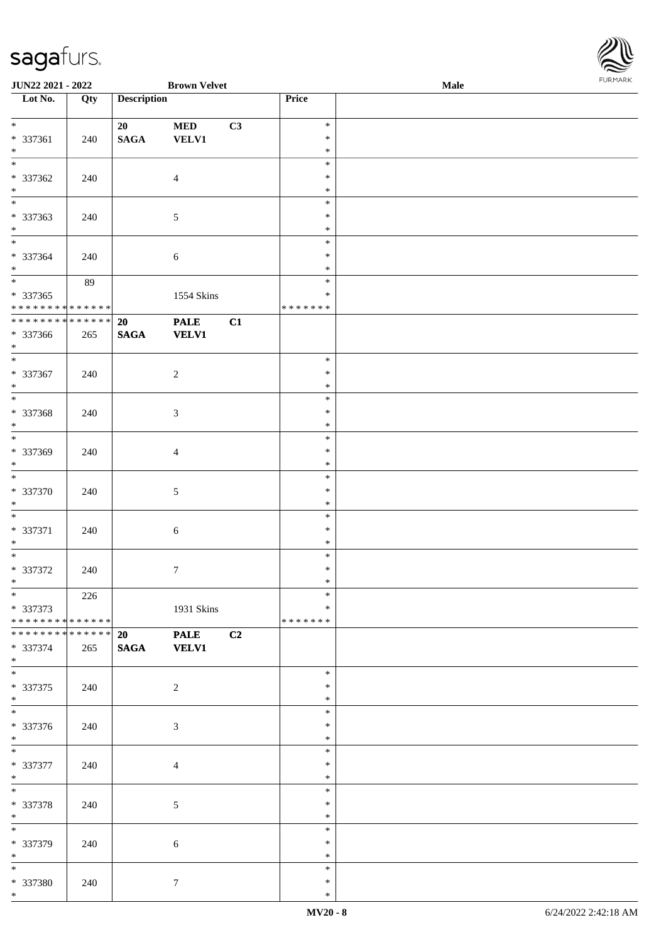| JUN22 2021 - 2022                                            |     |                    | <b>Brown Velvet</b>         |    |                  | Male | <b>FUNITAN</b> |
|--------------------------------------------------------------|-----|--------------------|-----------------------------|----|------------------|------|----------------|
| $\overline{\phantom{1}}$ Lot No.                             | Qty | <b>Description</b> |                             |    | Price            |      |                |
| $\overline{\phantom{0}}$                                     |     |                    |                             |    |                  |      |                |
|                                                              |     | 20                 | $\bf MED$                   | C3 | $\ast$           |      |                |
| * 337361<br>$*$                                              | 240 | $\mathbf{SAGA}$    | <b>VELV1</b>                |    | $\ast$<br>$\ast$ |      |                |
| $\overline{\phantom{0}}$                                     |     |                    |                             |    | $\ast$           |      |                |
| $* 337362$                                                   | 240 |                    | $\overline{4}$              |    | $\ast$           |      |                |
| $*$                                                          |     |                    |                             |    | $\ast$           |      |                |
| $\overline{\phantom{0}}$                                     |     |                    |                             |    | $\ast$           |      |                |
| * 337363                                                     | 240 |                    | $\sqrt{5}$                  |    | $\ast$           |      |                |
| $*$                                                          |     |                    |                             |    | $\ast$           |      |                |
|                                                              |     |                    |                             |    | $\ast$           |      |                |
| * 337364                                                     | 240 |                    | $\sqrt{6}$                  |    | $\ast$           |      |                |
| $*$                                                          |     |                    |                             |    | $\ast$           |      |                |
|                                                              | 89  |                    |                             |    | $\ast$           |      |                |
| * 337365                                                     |     |                    | 1554 Skins                  |    | $\ast$           |      |                |
| * * * * * * * * * * * * * *                                  |     |                    |                             |    | * * * * * * *    |      |                |
| ******** <mark>******</mark>                                 |     | 20                 | <b>PALE</b>                 | C1 |                  |      |                |
| $* 337366$                                                   | 265 | $\mathbf{SAGA}$    | <b>VELV1</b>                |    |                  |      |                |
| $*$                                                          |     |                    |                             |    |                  |      |                |
|                                                              |     |                    |                             |    | $\ast$           |      |                |
| * 337367<br>$*$                                              | 240 |                    | $\sqrt{2}$                  |    | $\ast$<br>$\ast$ |      |                |
| $\overline{\phantom{0}}$                                     |     |                    |                             |    | $\ast$           |      |                |
| * 337368                                                     | 240 |                    | $\sqrt{3}$                  |    | $\ast$           |      |                |
| $*$                                                          |     |                    |                             |    | $\ast$           |      |                |
| $\overline{\ast}$                                            |     |                    |                             |    | $\ast$           |      |                |
| * 337369                                                     | 240 |                    | $\overline{4}$              |    | $\ast$           |      |                |
| $*$                                                          |     |                    |                             |    | $\ast$           |      |                |
| $*$                                                          |     |                    |                             |    | $\ast$           |      |                |
| * 337370                                                     | 240 |                    | $5\,$                       |    | $\ast$           |      |                |
| $*$                                                          |     |                    |                             |    | $\ast$           |      |                |
| $*$                                                          |     |                    |                             |    | $\ast$           |      |                |
| * 337371                                                     | 240 |                    | $\sqrt{6}$                  |    | $\ast$           |      |                |
| $*$                                                          |     |                    |                             |    | $\ast$           |      |                |
| $*$                                                          |     |                    |                             |    | $\ast$           |      |                |
| $* 337372$                                                   | 240 |                    | $\tau$                      |    | $\ast$           |      |                |
| $*$                                                          |     |                    |                             |    | $*$              |      |                |
| $*$                                                          | 226 |                    |                             |    | $\ast$           |      |                |
| * 337373                                                     |     |                    | 1931 Skins                  |    | $\ast$           |      |                |
| * * * * * * * * * * * * * * *<br>* * * * * * * * * * * * * * |     |                    |                             |    | * * * * * * *    |      |                |
| * 337374                                                     |     | 20<br><b>SAGA</b>  | <b>PALE</b><br><b>VELV1</b> | C2 |                  |      |                |
| $*$                                                          | 265 |                    |                             |    |                  |      |                |
| $\overline{\phantom{0}}$                                     |     |                    |                             |    | $\ast$           |      |                |
| * 337375                                                     | 240 |                    | $\sqrt{2}$                  |    | $\ast$           |      |                |
| $*$                                                          |     |                    |                             |    | $\ast$           |      |                |
|                                                              |     |                    |                             |    | $\ast$           |      |                |
| * 337376                                                     | 240 |                    | $\mathfrak{Z}$              |    | ∗                |      |                |
| $*$                                                          |     |                    |                             |    | $\ast$           |      |                |
|                                                              |     |                    |                             |    | $\ast$           |      |                |
| * 337377                                                     | 240 |                    | $\overline{4}$              |    | $\ast$           |      |                |
| $*$                                                          |     |                    |                             |    | $\ast$           |      |                |
| $*$                                                          |     |                    |                             |    | $\ast$           |      |                |
| * 337378                                                     | 240 |                    | 5                           |    | $\ast$           |      |                |
| $*$                                                          |     |                    |                             |    | $\ast$           |      |                |
| $*$                                                          |     |                    |                             |    | $\ast$           |      |                |
| * 337379<br>$*$                                              | 240 |                    | $\sqrt{6}$                  |    | $\ast$<br>$\ast$ |      |                |
| $*$                                                          |     |                    |                             |    | $\ast$           |      |                |
| * 337380                                                     | 240 |                    | $\boldsymbol{7}$            |    | $\ast$           |      |                |
| $*$                                                          |     |                    |                             |    | $\ast$           |      |                |

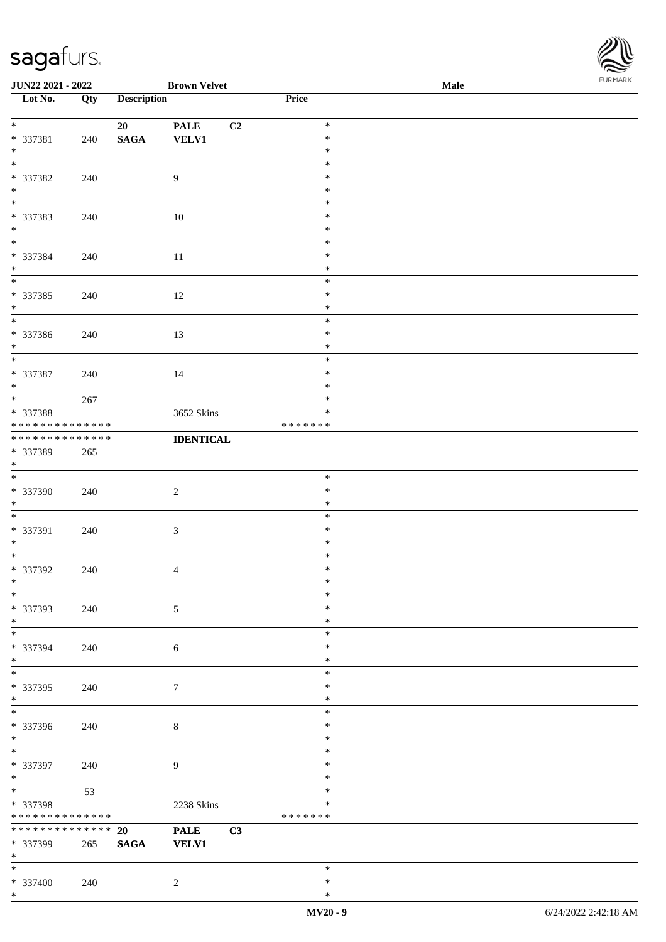| JUN22 2021 - 2022                  |     |                    | <b>Brown Velvet</b> |    |               | Male |  |
|------------------------------------|-----|--------------------|---------------------|----|---------------|------|--|
| Lot No.                            | Qty | <b>Description</b> |                     |    | Price         |      |  |
|                                    |     |                    |                     |    |               |      |  |
| $\overline{\ast}$                  |     | 20                 | <b>PALE</b>         | C2 | $\ast$        |      |  |
| * 337381                           | 240 | $\mathbf{SAGA}$    | <b>VELV1</b>        |    | $\ast$        |      |  |
| $*$   $*$                          |     |                    |                     |    | $\ast$        |      |  |
|                                    |     |                    |                     |    | $\ast$        |      |  |
| * 337382                           | 240 |                    | $\overline{9}$      |    | $\ast$        |      |  |
| $\ast$                             |     |                    |                     |    | $\ast$        |      |  |
| $\overline{\phantom{0}}$           |     |                    |                     |    | $\ast$        |      |  |
| * 337383                           | 240 |                    | $10\,$              |    | $\ast$        |      |  |
| $*$                                |     |                    |                     |    | $\ast$        |      |  |
| $\overline{\phantom{0}}$           |     |                    |                     |    | $\ast$        |      |  |
| * 337384                           | 240 |                    | $11\,$              |    | $\ast$        |      |  |
| $*$                                |     |                    |                     |    | $\ast$        |      |  |
| $\overline{\phantom{a}^*}$         |     |                    |                     |    | $\ast$        |      |  |
| * 337385                           | 240 |                    | 12                  |    | $\ast$        |      |  |
| $*$                                |     |                    |                     |    | $\ast$        |      |  |
| $\overline{\phantom{a}^*}$         |     |                    |                     |    | $\ast$        |      |  |
| * 337386                           |     |                    |                     |    | $\ast$        |      |  |
| $*$                                | 240 |                    | 13                  |    | $\ast$        |      |  |
| $\overline{\phantom{a}^*}$         |     |                    |                     |    | $\ast$        |      |  |
|                                    |     |                    |                     |    |               |      |  |
| * 337387                           | 240 |                    | 14                  |    | $\ast$        |      |  |
| $\ast$<br>$\overline{\phantom{0}}$ |     |                    |                     |    | $\ast$        |      |  |
|                                    | 267 |                    |                     |    | $\ast$        |      |  |
| * 337388                           |     |                    | 3652 Skins          |    | $\ast$        |      |  |
| * * * * * * * * * * * * * *        |     |                    |                     |    | * * * * * * * |      |  |
| **************                     |     |                    | <b>IDENTICAL</b>    |    |               |      |  |
| * 337389                           | 265 |                    |                     |    |               |      |  |
| $*$                                |     |                    |                     |    |               |      |  |
| $\overline{\phantom{a}^*}$         |     |                    |                     |    | $\ast$        |      |  |
| * 337390                           | 240 |                    | $\sqrt{2}$          |    | $\ast$        |      |  |
| $*$                                |     |                    |                     |    | $\ast$        |      |  |
| $*$                                |     |                    |                     |    | $\ast$        |      |  |
| * 337391                           | 240 |                    | $\sqrt{3}$          |    | $\ast$        |      |  |
| $*$                                |     |                    |                     |    | $\ast$        |      |  |
| $*$                                |     |                    |                     |    | $\ast$        |      |  |
| $* 337392$                         | 240 |                    | $\overline{4}$      |    | $\ast$        |      |  |
| $*$                                |     |                    |                     |    | $\ast$        |      |  |
| $\ast$                             |     |                    |                     |    | $\ast$        |      |  |
| * 337393                           | 240 |                    | $\sqrt{5}$          |    | $\ast$        |      |  |
| $*$                                |     |                    |                     |    | $\ast$        |      |  |
| $\overline{\phantom{a}^*}$         |     |                    |                     |    | $\ast$        |      |  |
| * 337394                           | 240 |                    | 6                   |    | $\ast$        |      |  |
| $*$                                |     |                    |                     |    | $\ast$        |      |  |
| $\overline{\phantom{a}^*}$         |     |                    |                     |    | $\ast$        |      |  |
| * 337395                           | 240 |                    | $\overline{7}$      |    | $\ast$        |      |  |
| $*$                                |     |                    |                     |    | $\ast$        |      |  |
| $\overline{\phantom{0}}$           |     |                    |                     |    | $\ast$        |      |  |
|                                    |     |                    |                     |    |               |      |  |
| * 337396                           | 240 |                    | $8\,$               |    | $\ast$        |      |  |
| $*$<br>$\ast$                      |     |                    |                     |    | $\ast$        |      |  |
|                                    |     |                    |                     |    | $\ast$        |      |  |
| * 337397                           | 240 |                    | 9                   |    | $\ast$        |      |  |
| $*$<br>$\ast$                      |     |                    |                     |    | $\ast$        |      |  |
|                                    | 53  |                    |                     |    | $\ast$        |      |  |
| * 337398                           |     |                    | 2238 Skins          |    | $\ast$        |      |  |
| * * * * * * * * * * * * * *        |     |                    |                     |    | * * * * * * * |      |  |
| **************                     |     | 20                 | <b>PALE</b>         | C3 |               |      |  |
| * 337399                           | 265 | <b>SAGA</b>        | <b>VELV1</b>        |    |               |      |  |
| $*$                                |     |                    |                     |    |               |      |  |
| $*$                                |     |                    |                     |    | $\ast$        |      |  |
| * 337400                           | 240 |                    | $\sqrt{2}$          |    | $\ast$        |      |  |

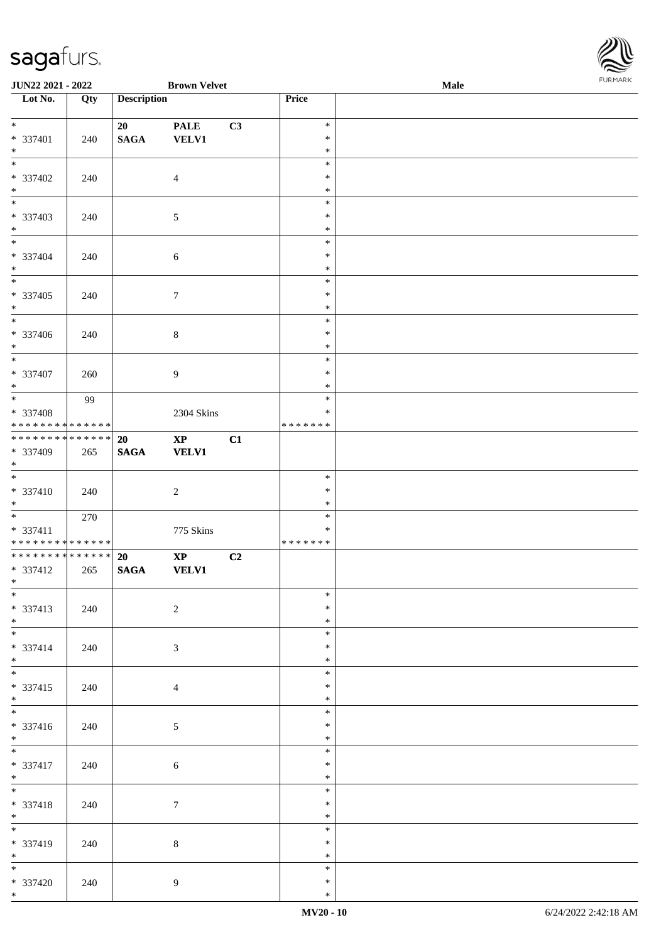

| <b>JUN22 2021 - 2022</b>                                       |     |                          | <b>Brown Velvet</b>           |    |                                   | <b>Male</b> | $. 0.0147$ $. 0.0147$ |
|----------------------------------------------------------------|-----|--------------------------|-------------------------------|----|-----------------------------------|-------------|-----------------------|
| Lot No.                                                        | Qty | <b>Description</b>       |                               |    | Price                             |             |                       |
| $*$<br>* 337401<br>$*$                                         | 240 | 20<br><b>SAGA</b>        | <b>PALE</b><br><b>VELV1</b>   | C3 | $\ast$<br>$\ast$<br>$\ast$        |             |                       |
| * 337402<br>$*$                                                | 240 |                          | $\overline{4}$                |    | $\ast$<br>$\ast$<br>$\ast$        |             |                       |
| * 337403<br>$*$                                                | 240 |                          | $\mathfrak{S}$                |    | $\ast$<br>$\ast$<br>$\ast$        |             |                       |
| $\overline{\mathbf{r}}$<br>* 337404<br>$*$                     | 240 |                          | 6                             |    | $\ast$<br>$\ast$<br>$\ast$        |             |                       |
| $\overline{\ }$<br>* 337405<br>$*$<br>$\overline{\phantom{0}}$ | 240 |                          | $\overline{7}$                |    | $\ast$<br>$\ast$<br>$\ast$        |             |                       |
| * 337406<br>$*$                                                | 240 |                          | $\,8\,$                       |    | $\ast$<br>$\ast$<br>$\ast$        |             |                       |
| * 337407<br>$*$                                                | 260 |                          | $\overline{9}$                |    | $\ast$<br>$\ast$<br>$\ast$        |             |                       |
| * 337408<br>* * * * * * * * * * * * * * *                      | 99  |                          | 2304 Skins                    |    | $\ast$<br>$\ast$<br>* * * * * * * |             |                       |
| * * * * * * * * <mark>* * * * * * *</mark><br>* 337409<br>$*$  | 265 | <b>20</b><br><b>SAGA</b> | $\mathbf{XP}$<br><b>VELV1</b> | C1 |                                   |             |                       |
| $*$<br>* 337410<br>$*$                                         | 240 |                          | 2                             |    | $\ast$<br>$\ast$<br>$\ast$        |             |                       |
| * 337411<br>* * * * * * * * * * * * * *                        | 270 |                          | 775 Skins                     |    | $\ast$<br>$\ast$<br>*******       |             |                       |
| **************<br>* 337412<br>$*$ $-$                          | 265 | 20<br><b>SAGA</b>        | $\bold{XP}$<br><b>VELV1</b>   | C2 |                                   |             |                       |
| $*$<br>* 337413<br>$*$                                         | 240 |                          | 2                             |    | $\ast$<br>$\ast$<br>$\ast$        |             |                       |
| * 337414<br>$*$                                                | 240 |                          | $\mathfrak{Z}$                |    | $\ast$<br>$\ast$<br>$\ast$        |             |                       |
| $\overline{\ast}$<br>* 337415<br>$*$                           | 240 |                          | $\overline{4}$                |    | $\ast$<br>$\ast$<br>$\ast$        |             |                       |
| $*$<br>* 337416<br>$*$                                         | 240 |                          | $\mathfrak{S}$                |    | $\ast$<br>$\ast$<br>$\ast$        |             |                       |
| $\overline{\phantom{0}}$<br>* 337417<br>$*$                    | 240 |                          | $\sqrt{6}$                    |    | $\ast$<br>$\ast$<br>$\ast$        |             |                       |
| $*$<br>* 337418<br>$*$                                         | 240 |                          | $\tau$                        |    | $\ast$<br>$\ast$<br>$\ast$        |             |                       |
| * 337419<br>$*$                                                | 240 |                          | $\,8\,$                       |    | $\ast$<br>$\ast$<br>$\ast$        |             |                       |
| * 337420<br>$*$ $*$                                            | 240 |                          | $\overline{9}$                |    | $\ast$<br>$\ast$<br>$\ast$        |             |                       |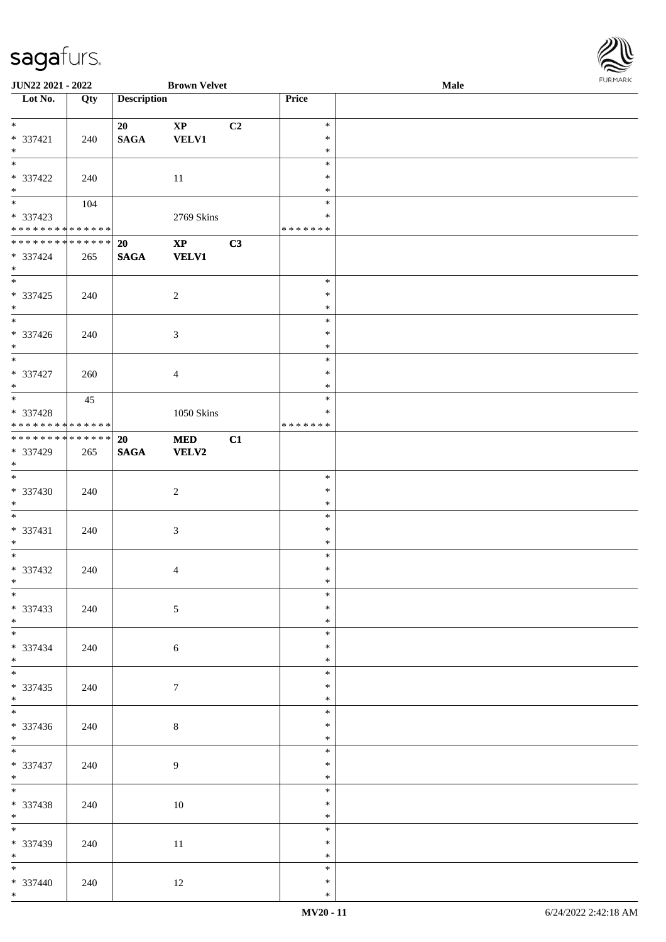| JUN22 2021 - 2022                       |     |                    | <b>Brown Velvet</b>    |    |                         | Male | <b>FUNITAN</b> |
|-----------------------------------------|-----|--------------------|------------------------|----|-------------------------|------|----------------|
| Lot No.                                 | Qty | <b>Description</b> |                        |    | Price                   |      |                |
|                                         |     |                    |                        |    |                         |      |                |
| $*$                                     |     | 20                 | $\bold{XP}$            | C2 | $\ast$                  |      |                |
| $* 337421$                              | 240 | $\mathbf{SAGA}$    | <b>VELV1</b>           |    | $\ast$                  |      |                |
| $*$<br>$\overline{\phantom{0}}$         |     |                    |                        |    | $\ast$                  |      |                |
|                                         |     |                    |                        |    | $\ast$                  |      |                |
| * 337422                                | 240 |                    | 11                     |    | $\ast$                  |      |                |
| $*$<br>$\overline{\phantom{0}}$         |     |                    |                        |    | $\ast$                  |      |                |
|                                         | 104 |                    |                        |    | $\ast$                  |      |                |
| * 337423<br>* * * * * * * * * * * * * * |     |                    | 2769 Skins             |    | $\ast$<br>* * * * * * * |      |                |
| * * * * * * * * * * * * * *             |     |                    |                        |    |                         |      |                |
|                                         |     | <b>20</b>          | $\mathbf{X}\mathbf{P}$ | C3 |                         |      |                |
| * 337424<br>$*$                         | 265 | <b>SAGA</b>        | <b>VELV1</b>           |    |                         |      |                |
| $\overline{\phantom{0}}$                |     |                    |                        |    | $\ast$                  |      |                |
| * 337425                                | 240 |                    | $\sqrt{2}$             |    | $\ast$                  |      |                |
| $*$                                     |     |                    |                        |    | $\ast$                  |      |                |
| $\overline{\phantom{0}}$                |     |                    |                        |    | $\ast$                  |      |                |
| $* 337426$                              | 240 |                    | $\sqrt{3}$             |    | $\ast$                  |      |                |
| $*$                                     |     |                    |                        |    | $\ast$                  |      |                |
| $\ast$                                  |     |                    |                        |    | $\ast$                  |      |                |
| $* 337427$                              | 260 |                    | $\overline{4}$         |    | $\ast$                  |      |                |
| $\ast$                                  |     |                    |                        |    | $\ast$                  |      |                |
| $\ast$                                  | 45  |                    |                        |    | $\ast$                  |      |                |
| * 337428                                |     |                    | 1050 Skins             |    | $\ast$                  |      |                |
| ******** <mark>******</mark>            |     |                    |                        |    | * * * * * * *           |      |                |
| * * * * * * * * * * * * * *             |     | 20                 | $\bf MED$              | C1 |                         |      |                |
| * 337429                                | 265 | <b>SAGA</b>        | <b>VELV2</b>           |    |                         |      |                |
| $\ast$                                  |     |                    |                        |    |                         |      |                |
| $*$                                     |     |                    |                        |    | $\ast$                  |      |                |
| $* 337430$                              | 240 |                    | $\overline{c}$         |    | $\ast$                  |      |                |
| $*$                                     |     |                    |                        |    | $\ast$                  |      |                |
| $*$                                     |     |                    |                        |    | $\ast$                  |      |                |
| $* 337431$                              | 240 |                    | $\sqrt{3}$             |    | $\ast$                  |      |                |
| $*$<br>$\overline{\phantom{0}}$         |     |                    |                        |    | $\ast$                  |      |                |
|                                         |     |                    |                        |    | $\ast$                  |      |                |
| $* 337432$                              | 240 |                    | $\overline{4}$         |    | $\ast$                  |      |                |
| $*$ $-$<br>$*$                          |     |                    |                        |    | $*$                     |      |                |
|                                         |     |                    |                        |    | $\ast$<br>$\ast$        |      |                |
| $* 337433$                              | 240 |                    | $\mathfrak{S}$         |    |                         |      |                |
| $*$                                     |     |                    |                        |    | $\ast$<br>$\ast$        |      |                |
| * 337434                                | 240 |                    |                        |    | $\ast$                  |      |                |
| $*$                                     |     |                    | $6\,$                  |    | $\ast$                  |      |                |
|                                         |     |                    |                        |    | $\ast$                  |      |                |
| * 337435                                | 240 |                    | $\mathcal{I}$          |    | $\ast$                  |      |                |
| $*$                                     |     |                    |                        |    | $\ast$                  |      |                |
|                                         |     |                    |                        |    | $\ast$                  |      |                |
| * 337436                                | 240 |                    | $8\,$                  |    | $\ast$                  |      |                |
| $*$                                     |     |                    |                        |    | $\ast$                  |      |                |
| $*$                                     |     |                    |                        |    | $\ast$                  |      |                |
| * 337437                                | 240 |                    | $\overline{9}$         |    | $\ast$                  |      |                |
| $*$                                     |     |                    |                        |    | $\ast$                  |      |                |
| $\overline{\phantom{0}}$                |     |                    |                        |    | $\ast$                  |      |                |
| * 337438                                | 240 |                    | $10\,$                 |    | $\ast$                  |      |                |
| $*$                                     |     |                    |                        |    | $\ast$                  |      |                |
| $*$                                     |     |                    |                        |    | $\ast$                  |      |                |
| * 337439                                | 240 |                    | $11\,$                 |    | $\ast$                  |      |                |
| $*$                                     |     |                    |                        |    | $\ast$                  |      |                |
| $*$                                     |     |                    |                        |    | $\ast$                  |      |                |
| * 337440                                | 240 |                    | 12                     |    | $\ast$                  |      |                |
| $*$                                     |     |                    |                        |    | $\ast$                  |      |                |

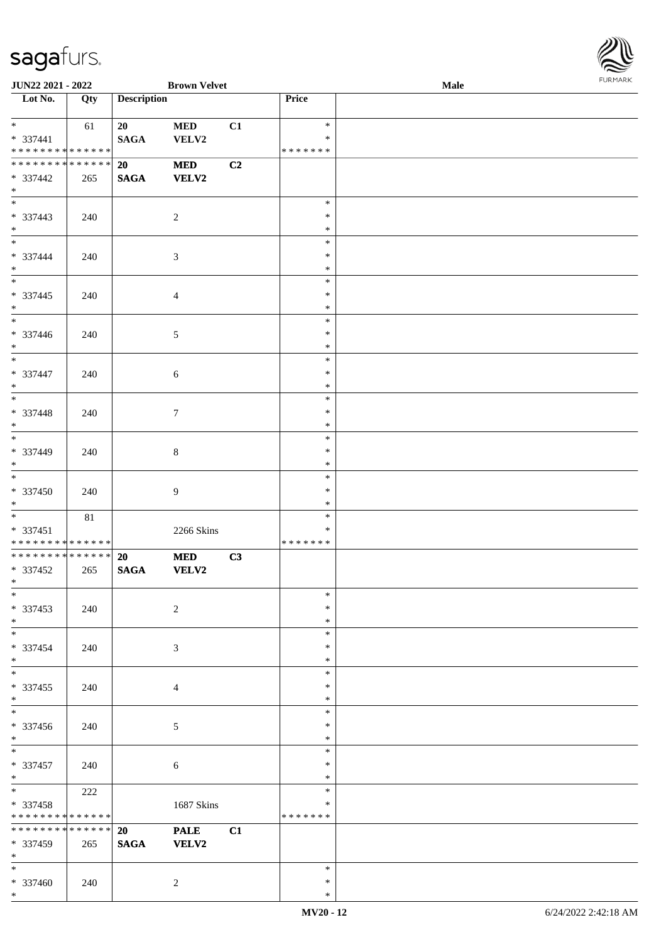

| <b>JUN22 2021 - 2022</b>                            |                    |                    | <b>Brown Velvet</b>        |    |                                   | <b>Male</b> |  |
|-----------------------------------------------------|--------------------|--------------------|----------------------------|----|-----------------------------------|-------------|--|
| Lot No.                                             | Qty                | <b>Description</b> |                            |    | Price                             |             |  |
| $*$<br>* 337441<br>* * * * * * * * * * * * * *      | 61                 | 20<br><b>SAGA</b>  | <b>MED</b><br>VELV2        | C1 | $\ast$<br>$\ast$<br>* * * * * * * |             |  |
| * * * * * * * * * * * * * * *<br>* 337442<br>$*$    | 265                | 20<br><b>SAGA</b>  | <b>MED</b><br><b>VELV2</b> | C2 |                                   |             |  |
| * 337443<br>$*$                                     | 240                |                    | $\overline{c}$             |    | $\ast$<br>$\ast$<br>$\ast$        |             |  |
| * 337444<br>$*$                                     | 240                |                    | $\mathfrak{Z}$             |    | $\ast$<br>$\ast$<br>$\ast$        |             |  |
| $* 337445$<br>$*$                                   | 240                |                    | 4                          |    | $\ast$<br>$\ast$<br>$\ast$        |             |  |
| $\overline{\phantom{0}}$<br>* 337446<br>$*$         | 240                |                    | 5                          |    | $\ast$<br>$\ast$<br>$\ast$        |             |  |
| $\overline{\phantom{0}}$<br>* 337447<br>$*$         | 240                |                    | 6                          |    | $\ast$<br>$\ast$<br>$\ast$        |             |  |
| * 337448<br>$*$                                     | 240                |                    | $\tau$                     |    | $\ast$<br>$\ast$<br>$\ast$        |             |  |
| * 337449<br>$*$                                     | 240                |                    | $8\,$                      |    | $\ast$<br>$\ast$<br>$\ast$        |             |  |
| $* 337450$<br>$*$                                   | 240                |                    | 9                          |    | $\ast$<br>$\ast$<br>$\ast$        |             |  |
| $*$<br>$* 337451$<br>* * * * * * * * * * * * * *    | $81\,$             |                    | 2266 Skins                 |    | $\ast$<br>$\ast$<br>* * * * * * * |             |  |
| ******** <mark>******</mark><br>* 337452<br>$*$ $*$ | 265                | 20<br><b>SAGA</b>  | <b>MED</b><br>VELV2        | C3 |                                   |             |  |
| $\ast$<br>* 337453<br>$*$                           | 240                |                    | $\sqrt{2}$                 |    | $\ast$<br>$\ast$<br>$\ast$        |             |  |
| $*$<br>* 337454<br>$*$                              | 240                |                    | 3                          |    | $\ast$<br>$\ast$<br>$\ast$        |             |  |
| $\overline{\phantom{0}}$<br>$* 337455$<br>$*$       | 240                |                    | $\overline{4}$             |    | $\ast$<br>$\ast$<br>$\ast$        |             |  |
| $\overline{\phantom{0}}$<br>$* 337456$<br>$*$       | 240                |                    | $\sqrt{5}$                 |    | $\ast$<br>$\ast$<br>$\ast$        |             |  |
| $*$<br>$* 337457$<br>$*$                            | 240                |                    | $\sqrt{6}$                 |    | $\ast$<br>$\ast$<br>$\ast$        |             |  |
| $*$<br>* 337458<br>* * * * * * * *                  | 222<br>* * * * * * |                    | 1687 Skins                 |    | $\ast$<br>$\ast$<br>* * * * * * * |             |  |
| * * * * * * * *<br>* 337459<br>$*$                  | * * * * * *<br>265 | 20<br><b>SAGA</b>  | <b>PALE</b><br>VELV2       | C1 |                                   |             |  |
| $*$<br>* 337460<br>$*$                              | 240                |                    | $\overline{c}$             |    | $\ast$<br>$\ast$<br>$\ast$        |             |  |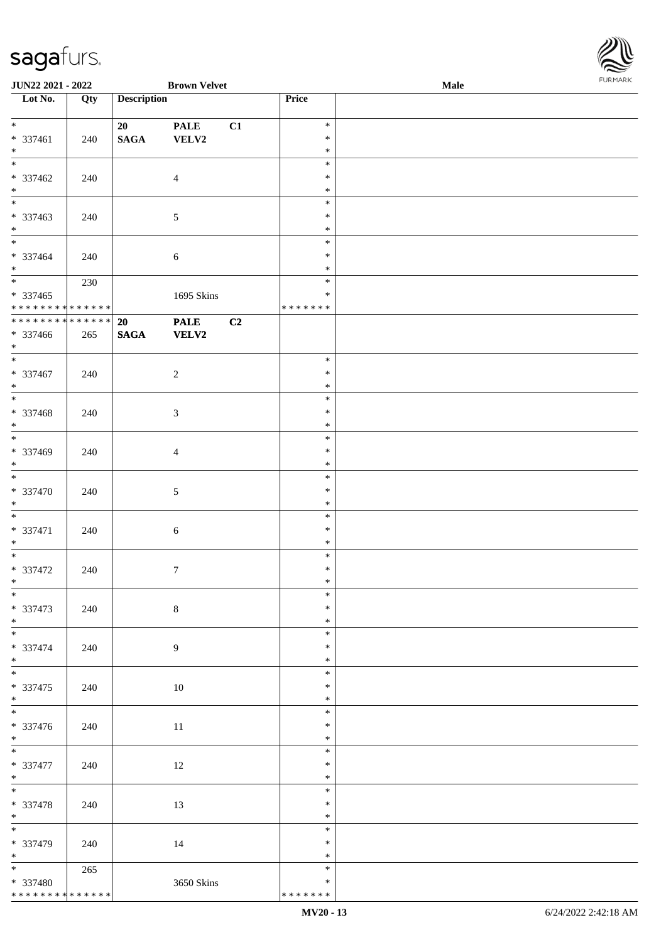| JUN22 2021 - 2022                        |     |                       | <b>Brown Velvet</b>                                       |    |                  | Male | <b>FURMARI</b> |
|------------------------------------------|-----|-----------------------|-----------------------------------------------------------|----|------------------|------|----------------|
| $\overline{\phantom{1}}$ Lot No.         | Qty | <b>Description</b>    |                                                           |    | Price            |      |                |
| $*$                                      |     | 20                    | <b>PALE</b>                                               | C1 | $\ast$           |      |                |
| $* 337461$                               | 240 | <b>SAGA</b>           | VELV2                                                     |    | $\ast$           |      |                |
| $\ast$<br>$\overline{\phantom{0}}$       |     |                       |                                                           |    | $\ast$           |      |                |
| * 337462                                 |     |                       |                                                           |    | $\ast$<br>$\ast$ |      |                |
| $*$                                      | 240 |                       | $\overline{4}$                                            |    | $\ast$           |      |                |
| $\overline{\phantom{0}}$                 |     |                       |                                                           |    | $\ast$           |      |                |
| * 337463                                 | 240 |                       | $5\,$                                                     |    | $\ast$           |      |                |
| $*$                                      |     |                       |                                                           |    | $\ast$           |      |                |
| $*$<br>$* 337464$                        | 240 |                       |                                                           |    | $\ast$<br>$\ast$ |      |                |
| $*$                                      |     |                       | $\sqrt{6}$                                                |    | $\ast$           |      |                |
| $\overline{\phantom{0}}$                 | 230 |                       |                                                           |    | $\ast$           |      |                |
| $* 337465$                               |     |                       | 1695 Skins                                                |    | $\ast$           |      |                |
| * * * * * * * * * * * * * *              |     |                       |                                                           |    | * * * * * * *    |      |                |
| ******** <mark>******</mark><br>* 337466 | 265 | 20<br>$\mathbf{SAGA}$ | $\ensuremath{\mathop{\bf PALE}\nolimits}$<br><b>VELV2</b> | C2 |                  |      |                |
| $*$                                      |     |                       |                                                           |    |                  |      |                |
| $*$                                      |     |                       |                                                           |    | $\ast$           |      |                |
| * 337467                                 | 240 |                       | $\sqrt{2}$                                                |    | $\ast$           |      |                |
| $\ast$<br>$\overline{\phantom{0}}$       |     |                       |                                                           |    | $\ast$           |      |                |
| * 337468                                 | 240 |                       | $\mathfrak{Z}$                                            |    | $\ast$<br>$\ast$ |      |                |
| $\ast$                                   |     |                       |                                                           |    | $\ast$           |      |                |
| $\overline{\phantom{0}}$                 |     |                       |                                                           |    | $\ast$           |      |                |
| * 337469                                 | 240 |                       | $\overline{4}$                                            |    | $\ast$           |      |                |
| $\ast$<br>$\overline{\phantom{a}^*}$     |     |                       |                                                           |    | $\ast$           |      |                |
| * 337470                                 | 240 |                       | $5\,$                                                     |    | $\ast$<br>$\ast$ |      |                |
| $\ast$                                   |     |                       |                                                           |    | $\ast$           |      |                |
| $*$                                      |     |                       |                                                           |    | $\ast$           |      |                |
| * 337471                                 | 240 |                       | $6\,$                                                     |    | $\ast$           |      |                |
| $\ast$<br>$\overline{\phantom{0}}$       |     |                       |                                                           |    | $\ast$           |      |                |
| $* 337472$                               | 240 |                       | $\tau$                                                    |    | $\ast$<br>$\ast$ |      |                |
| $\ast$                                   |     |                       |                                                           |    | $\ast$           |      |                |
| $\overline{\phantom{0}}$                 |     |                       |                                                           |    | $\ast$           |      |                |
| * 337473                                 | 240 |                       | $\,8\,$                                                   |    | $\ast$           |      |                |
| $\ast$<br>$*$                            |     |                       |                                                           |    | $\ast$<br>$\ast$ |      |                |
| * 337474                                 | 240 |                       | $\overline{9}$                                            |    | $\ast$           |      |                |
| $\ast$                                   |     |                       |                                                           |    | $\ast$           |      |                |
| $\overline{\phantom{0}}$                 |     |                       |                                                           |    | $\ast$           |      |                |
| $* 337475$                               | 240 |                       | 10                                                        |    | $\ast$           |      |                |
| $\ast$<br>$\overline{\phantom{a}^*}$     |     |                       |                                                           |    | $\ast$<br>$\ast$ |      |                |
| $* 337476$                               | 240 |                       | 11                                                        |    | $\ast$           |      |                |
| $\ast$                                   |     |                       |                                                           |    | $\ast$           |      |                |
| $\overline{\ast}$                        |     |                       |                                                           |    | $\ast$           |      |                |
| * 337477                                 | 240 |                       | 12                                                        |    | $\ast$           |      |                |
| $*$<br>$\overline{\phantom{0}}$          |     |                       |                                                           |    | $\ast$<br>$\ast$ |      |                |
| * 337478                                 | 240 |                       | 13                                                        |    | $\ast$           |      |                |
| $*$                                      |     |                       |                                                           |    | $\ast$           |      |                |
| $\overline{\phantom{a}^*}$               |     |                       |                                                           |    | $\ast$           |      |                |
| * 337479                                 | 240 |                       | 14                                                        |    | $\ast$           |      |                |
| $\ast$<br>$*$                            | 265 |                       |                                                           |    | $\ast$<br>$\ast$ |      |                |
| * 337480                                 |     |                       | 3650 Skins                                                |    | $\ast$           |      |                |
| ******** <mark>******</mark>             |     |                       |                                                           |    | * * * * * * *    |      |                |

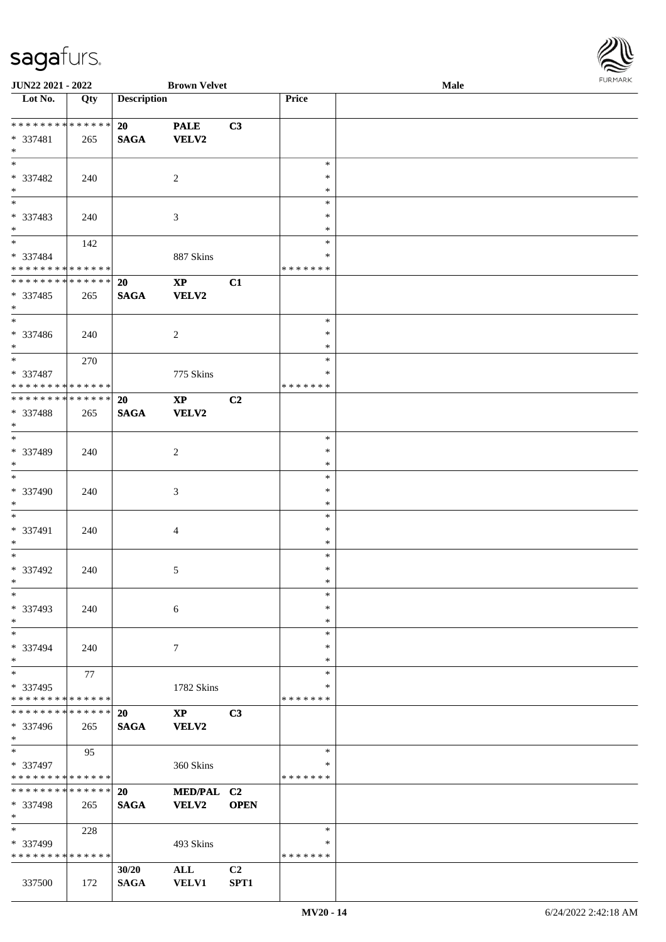

| JUN22 2021 - 2022                |     |                    | <b>Brown Velvet</b> |                |               | Male |  |
|----------------------------------|-----|--------------------|---------------------|----------------|---------------|------|--|
| $\overline{\phantom{1}}$ Lot No. | Qty | <b>Description</b> |                     |                | Price         |      |  |
|                                  |     |                    |                     |                |               |      |  |
| * * * * * * * * * * * * * *      |     | 20                 | <b>PALE</b>         | C3             |               |      |  |
| * 337481                         | 265 | <b>SAGA</b>        | <b>VELV2</b>        |                |               |      |  |
| $*$                              |     |                    |                     |                |               |      |  |
| $*$                              |     |                    |                     |                | $\ast$        |      |  |
| * 337482                         | 240 |                    | $\overline{2}$      |                | $\ast$        |      |  |
| $*$                              |     |                    |                     |                | $\ast$        |      |  |
| $\overline{\phantom{0}}$         |     |                    |                     |                | $\ast$        |      |  |
| * 337483                         | 240 |                    | 3                   |                | ∗             |      |  |
| $*$                              |     |                    |                     |                | $\ast$        |      |  |
| $*$                              | 142 |                    |                     |                | $\ast$        |      |  |
| * 337484                         |     |                    | 887 Skins           |                | *             |      |  |
| * * * * * * * * * * * * * *      |     |                    |                     |                | * * * * * * * |      |  |
| * * * * * * * * * * * * * *      |     | <b>20</b>          | $\bold{XP}$         | C1             |               |      |  |
| * 337485                         | 265 | <b>SAGA</b>        | <b>VELV2</b>        |                |               |      |  |
| $*$                              |     |                    |                     |                |               |      |  |
| $\ast$                           |     |                    |                     |                | $\ast$        |      |  |
|                                  |     |                    |                     |                | $\ast$        |      |  |
| $* 337486$                       | 240 |                    | 2                   |                | $\ast$        |      |  |
| $*$<br>$*$                       |     |                    |                     |                |               |      |  |
|                                  | 270 |                    |                     |                | $\ast$        |      |  |
| * 337487                         |     |                    | 775 Skins           |                | *             |      |  |
| * * * * * * * * * * * * * *      |     |                    |                     |                | * * * * * * * |      |  |
| * * * * * * * * * * * * * *      |     | 20                 | $\bold{XP}$         | C2             |               |      |  |
| * 337488                         | 265 | <b>SAGA</b>        | <b>VELV2</b>        |                |               |      |  |
| $\ast$                           |     |                    |                     |                |               |      |  |
| $\overline{\ast}$                |     |                    |                     |                | $\ast$        |      |  |
| * 337489                         | 240 |                    | 2                   |                | $\ast$        |      |  |
| $*$                              |     |                    |                     |                | $\ast$        |      |  |
| $\ast$                           |     |                    |                     |                | $\ast$        |      |  |
| * 337490                         | 240 |                    | $\mathfrak{Z}$      |                | $\ast$        |      |  |
| $*$                              |     |                    |                     |                | $\ast$        |      |  |
| $\ast$                           |     |                    |                     |                | $\ast$        |      |  |
| * 337491                         | 240 |                    | $\overline{4}$      |                | $\ast$        |      |  |
| $*$                              |     |                    |                     |                | $\ast$        |      |  |
| $*$                              |     |                    |                     |                | $\ast$        |      |  |
| $* 337492$                       | 240 |                    | 5                   |                | $\ast$        |      |  |
| $*$                              |     |                    |                     |                | $\ast$        |      |  |
| $\ast$                           |     |                    |                     |                | $\ast$        |      |  |
|                                  |     |                    |                     |                | $\ast$        |      |  |
| * 337493<br>$*$                  | 240 |                    | 6                   |                | $\ast$        |      |  |
| $\ast$                           |     |                    |                     |                |               |      |  |
|                                  |     |                    |                     |                | ∗             |      |  |
| * 337494                         | 240 |                    | 7                   |                | ∗             |      |  |
| $*$                              |     |                    |                     |                | $\ast$        |      |  |
| $\ast$                           | 77  |                    |                     |                | $\ast$        |      |  |
| * 337495                         |     |                    | 1782 Skins          |                | ∗             |      |  |
| * * * * * * * * * * * * * *      |     |                    |                     |                | * * * * * * * |      |  |
| * * * * * * * * * * * * * *      |     | 20                 | $\bold{XP}$         | C3             |               |      |  |
| * 337496                         | 265 | <b>SAGA</b>        | VELV2               |                |               |      |  |
| $*$                              |     |                    |                     |                |               |      |  |
| $\ast$                           | 95  |                    |                     |                | $\ast$        |      |  |
| * 337497                         |     |                    | 360 Skins           |                | ∗             |      |  |
| * * * * * * * * * * * * * *      |     |                    |                     |                | * * * * * * * |      |  |
| * * * * * * * * * * * * * * *    |     | 20                 | MED/PAL C2          |                |               |      |  |
| * 337498                         | 265 | <b>SAGA</b>        | VELV2               | <b>OPEN</b>    |               |      |  |
| $*$                              |     |                    |                     |                |               |      |  |
| $\ast$                           | 228 |                    |                     |                | $\ast$        |      |  |
| * 337499                         |     |                    | 493 Skins           |                | $\ast$        |      |  |
| * * * * * * * * * * * * * *      |     |                    |                     |                | * * * * * * * |      |  |
|                                  |     | 30/20              |                     | C <sub>2</sub> |               |      |  |
|                                  |     |                    | $\mathbf{ALL}$      |                |               |      |  |
| 337500                           | 172 | <b>SAGA</b>        | <b>VELV1</b>        | SPT1           |               |      |  |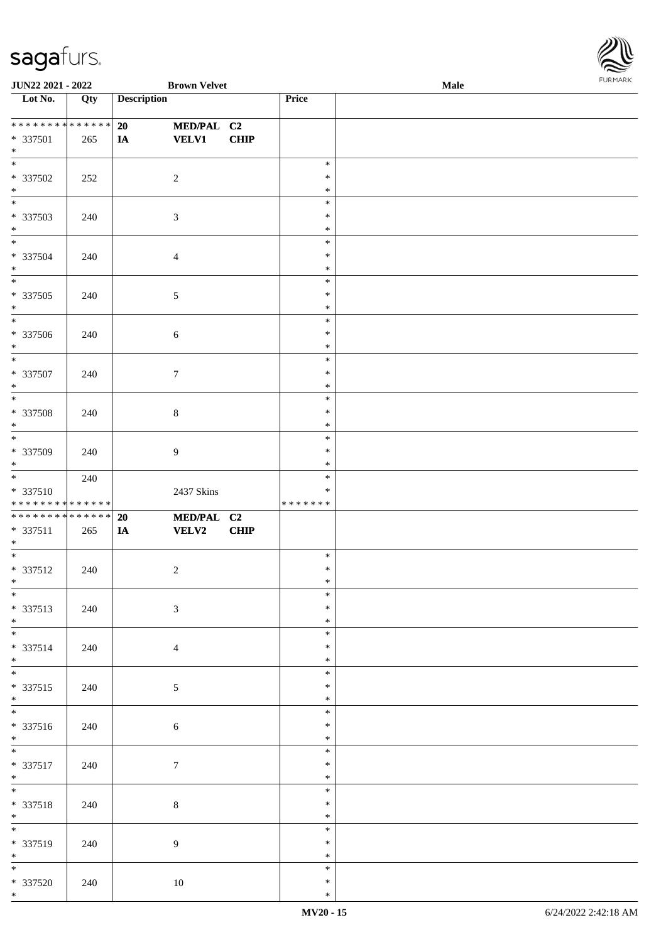

| <b>JUN22 2021 - 2022</b>     |     |                    | <b>Brown Velvet</b> |             |         | <b>Male</b> |
|------------------------------|-----|--------------------|---------------------|-------------|---------|-------------|
| Lot No.                      | Qty | <b>Description</b> |                     |             | Price   |             |
|                              |     |                    |                     |             |         |             |
| ******** <mark>******</mark> |     | 20                 | MED/PAL C2          |             |         |             |
| $* 337501$                   | 265 | IA                 | <b>VELV1</b>        | <b>CHIP</b> |         |             |
| $*$                          |     |                    |                     |             |         |             |
|                              |     |                    |                     |             | $\ast$  |             |
| * 337502                     | 252 | $\overline{2}$     |                     |             | $\ast$  |             |
| $\ast$                       |     |                    |                     |             | $\ast$  |             |
| $\overline{\phantom{0}}$     |     |                    |                     |             | $\ast$  |             |
| * 337503                     | 240 | $\sqrt{3}$         |                     |             | $\ast$  |             |
| $*$                          |     |                    |                     |             | $\ast$  |             |
| $*$                          |     |                    |                     |             | $\ast$  |             |
| $* 337504$                   | 240 | $\overline{4}$     |                     |             | $\ast$  |             |
| $*$                          |     |                    |                     |             | $\ast$  |             |
| $\overline{\phantom{0}}$     |     |                    |                     |             | $\ast$  |             |
| $* 337505$                   | 240 | $\sqrt{5}$         |                     |             | $\ast$  |             |
| $*$                          |     |                    |                     |             | $\ast$  |             |
| $\overline{\phantom{0}}$     |     |                    |                     |             | $\ast$  |             |
| $* 337506$                   | 240 | $\sqrt{6}$         |                     |             | $\ast$  |             |
| $*$                          |     |                    |                     |             | $\ast$  |             |
| $\ast$                       |     |                    |                     |             | $\ast$  |             |
| $* 337507$                   | 240 | $\boldsymbol{7}$   |                     |             | $\ast$  |             |
| $*$                          |     |                    |                     |             | $\ast$  |             |
| $*$                          |     |                    |                     |             | $\ast$  |             |
| $* 337508$                   | 240 | $8\,$              |                     |             | $\ast$  |             |
| $\ast$                       |     |                    |                     |             | $\ast$  |             |
|                              |     |                    |                     |             | $\ast$  |             |
| * 337509                     | 240 | $\overline{9}$     |                     |             | $\ast$  |             |
| $*$                          |     |                    |                     |             | $\ast$  |             |
| $*$                          | 240 |                    |                     |             | $\ast$  |             |
| $* 337510$                   |     |                    | 2437 Skins          |             | $\ast$  |             |
| * * * * * * * * * * * * * *  |     |                    |                     |             | ******* |             |
| ******** <mark>******</mark> |     | 20                 | MED/PAL C2          |             |         |             |
| * 337511                     | 265 | IA                 | <b>VELV2</b>        | <b>CHIP</b> |         |             |
| $*$                          |     |                    |                     |             |         |             |
| $*$                          |     |                    |                     |             | $\ast$  |             |
| $* 337512$                   | 240 | $\boldsymbol{2}$   |                     |             | $\ast$  |             |
| $*$                          |     |                    |                     |             | $\ast$  |             |
| $*$                          |     |                    |                     |             | $\ast$  |             |
| $* 337513$                   | 240 | $\mathfrak{Z}$     |                     |             | $\ast$  |             |
| $*$                          |     |                    |                     |             | $\ast$  |             |
|                              |     |                    |                     |             | $\ast$  |             |
| * 337514                     | 240 | $\overline{4}$     |                     |             | $\ast$  |             |
| $*$                          |     |                    |                     |             | $\ast$  |             |
| $*$                          |     |                    |                     |             | $\ast$  |             |
| $* 337515$                   | 240 | $\mathfrak{S}$     |                     |             | $\ast$  |             |
| $*$                          |     |                    |                     |             | $\ast$  |             |
|                              |     |                    |                     |             | $\ast$  |             |
| * 337516                     | 240 | 6                  |                     |             | $\ast$  |             |
| $*$                          |     |                    |                     |             | $\ast$  |             |
|                              |     |                    |                     |             | $\ast$  |             |
| * 337517                     | 240 | $\boldsymbol{7}$   |                     |             | $\ast$  |             |
| $*$                          |     |                    |                     |             | $\ast$  |             |
| $\overline{\phantom{0}}$     |     |                    |                     |             | $\ast$  |             |
| $* 337518$                   | 240 | $8\,$              |                     |             | $\ast$  |             |
| $*$                          |     |                    |                     |             | $\ast$  |             |
|                              |     |                    |                     |             | $\ast$  |             |
| $* 337519$                   | 240 | 9                  |                     |             | $\ast$  |             |
| $*$                          |     |                    |                     |             | $\ast$  |             |
|                              |     |                    |                     |             | $\ast$  |             |
| $* 337520$                   | 240 | $10\,$             |                     |             | $\ast$  |             |
| $*$                          |     |                    |                     |             | $\ast$  |             |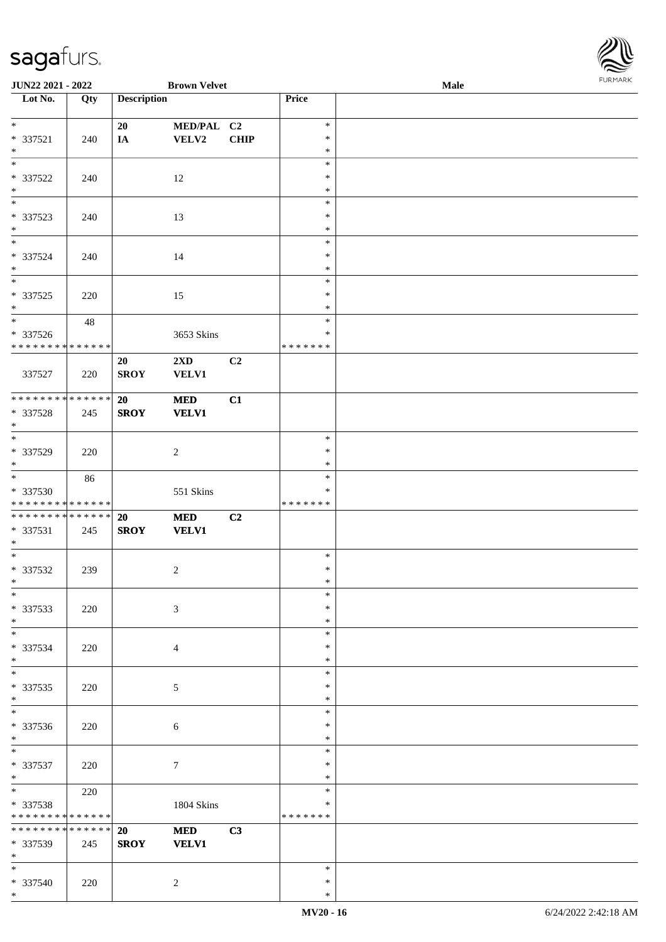\*



| JUN22 2021 - 2022                         |     |                    | <b>Brown Velvet</b>                     |             |                  | Male | <b>FURPIARA</b> |
|-------------------------------------------|-----|--------------------|-----------------------------------------|-------------|------------------|------|-----------------|
| $\overline{\phantom{1}}$ Lot No.          | Qty | <b>Description</b> |                                         |             | Price            |      |                 |
|                                           |     |                    |                                         |             |                  |      |                 |
| $*$                                       |     | 20                 | MED/PAL C2                              |             | $\ast$           |      |                 |
| $* 337521$                                | 240 | IA                 | VELV2                                   | <b>CHIP</b> | $\ast$           |      |                 |
| $*$<br>$\overline{\phantom{0}}$           |     |                    |                                         |             | $\ast$<br>$\ast$ |      |                 |
| $* 337522$                                |     |                    |                                         |             | $\ast$           |      |                 |
| $*$                                       | 240 |                    | 12                                      |             | $\ast$           |      |                 |
| $\overline{\phantom{0}}$                  |     |                    |                                         |             | $\ast$           |      |                 |
| * 337523                                  | 240 |                    | 13                                      |             | $\ast$           |      |                 |
| $\ast$                                    |     |                    |                                         |             | $\ast$           |      |                 |
| $\overline{\mathbf{r}}$                   |     |                    |                                         |             | $\ast$           |      |                 |
| $* 337524$                                | 240 |                    | 14                                      |             | $\ast$           |      |                 |
| $*$                                       |     |                    |                                         |             | $\ast$           |      |                 |
| $\overline{\phantom{0}}$                  |     |                    |                                         |             | $\ast$           |      |                 |
| $* 337525$                                | 220 |                    | 15                                      |             | $\ast$           |      |                 |
| $*$                                       |     |                    |                                         |             | $\ast$           |      |                 |
| $\overline{\phantom{0}}$                  | 48  |                    |                                         |             | $\ast$           |      |                 |
| $* 337526$<br>* * * * * * * * * * * * * * |     |                    | 3653 Skins                              |             | $\ast$           |      |                 |
|                                           |     |                    |                                         |             | *******          |      |                 |
| 337527                                    | 220 | 20<br><b>SROY</b>  | $2\mathbf{X}\mathbf{D}$<br><b>VELV1</b> | C2          |                  |      |                 |
|                                           |     |                    |                                         |             |                  |      |                 |
| ******** <mark>******</mark>              |     | 20                 | <b>MED</b>                              | C1          |                  |      |                 |
| $* 337528$                                | 245 | <b>SROY</b>        | <b>VELV1</b>                            |             |                  |      |                 |
| $*$                                       |     |                    |                                         |             |                  |      |                 |
| $*$                                       |     |                    |                                         |             | $\ast$           |      |                 |
| $* 337529$                                | 220 |                    | $\sqrt{2}$                              |             | $\ast$           |      |                 |
| $*$                                       |     |                    |                                         |             | $\ast$           |      |                 |
|                                           | 86  |                    |                                         |             | $\ast$           |      |                 |
| * 337530                                  |     |                    | 551 Skins                               |             | ∗                |      |                 |
| * * * * * * * * * * * * * *               |     |                    |                                         |             | *******          |      |                 |
| ******** <mark>******</mark>              |     | <b>20</b>          | $\bf MED$                               | C2          |                  |      |                 |
| * 337531<br>$*$                           | 245 | <b>SROY</b>        | <b>VELV1</b>                            |             |                  |      |                 |
| $*$                                       |     |                    |                                         |             | $\ast$           |      |                 |
| $* 337532$                                | 239 |                    | $\sqrt{2}$                              |             | $\ast$           |      |                 |
| $\ast$                                    |     |                    |                                         |             | $\ast$           |      |                 |
| $*$                                       |     |                    |                                         |             | $\ast$           |      |                 |
| * 337533                                  | 220 |                    | $\mathfrak{Z}$                          |             | $\ast$           |      |                 |
| $*$                                       |     |                    |                                         |             | $\ast$           |      |                 |
| $\overline{\phantom{0}}$                  |     |                    |                                         |             | $\ast$           |      |                 |
| * 337534                                  | 220 |                    | $\overline{4}$                          |             | $\ast$           |      |                 |
| $*$                                       |     |                    |                                         |             | $\ast$           |      |                 |
| $*$                                       |     |                    |                                         |             | $\ast$           |      |                 |
| * 337535                                  | 220 |                    | 5                                       |             | $\ast$           |      |                 |
| $*$<br>$*$                                |     |                    |                                         |             | $\ast$<br>$\ast$ |      |                 |
| * 337536                                  |     |                    |                                         |             | $\ast$           |      |                 |
| $*$                                       | 220 |                    | 6                                       |             | $\ast$           |      |                 |
| $*$                                       |     |                    |                                         |             | $\ast$           |      |                 |
| * 337537                                  | 220 |                    | $\tau$                                  |             | $\ast$           |      |                 |
| $*$                                       |     |                    |                                         |             | $\ast$           |      |                 |
| $*$                                       | 220 |                    |                                         |             | $\ast$           |      |                 |
| * 337538                                  |     |                    | 1804 Skins                              |             | $\ast$           |      |                 |
| * * * * * * * * * * * * * *               |     |                    |                                         |             | *******          |      |                 |
| * * * * * * * * * * * * * *               |     | 20                 | <b>MED</b>                              | C3          |                  |      |                 |
| * 337539                                  | 245 | <b>SROY</b>        | <b>VELV1</b>                            |             |                  |      |                 |
| $*$                                       |     |                    |                                         |             |                  |      |                 |
| $*$                                       |     |                    |                                         |             | $\ast$<br>$\ast$ |      |                 |
| * 337540<br>$*$                           | 220 |                    | $\overline{c}$                          |             | *                |      |                 |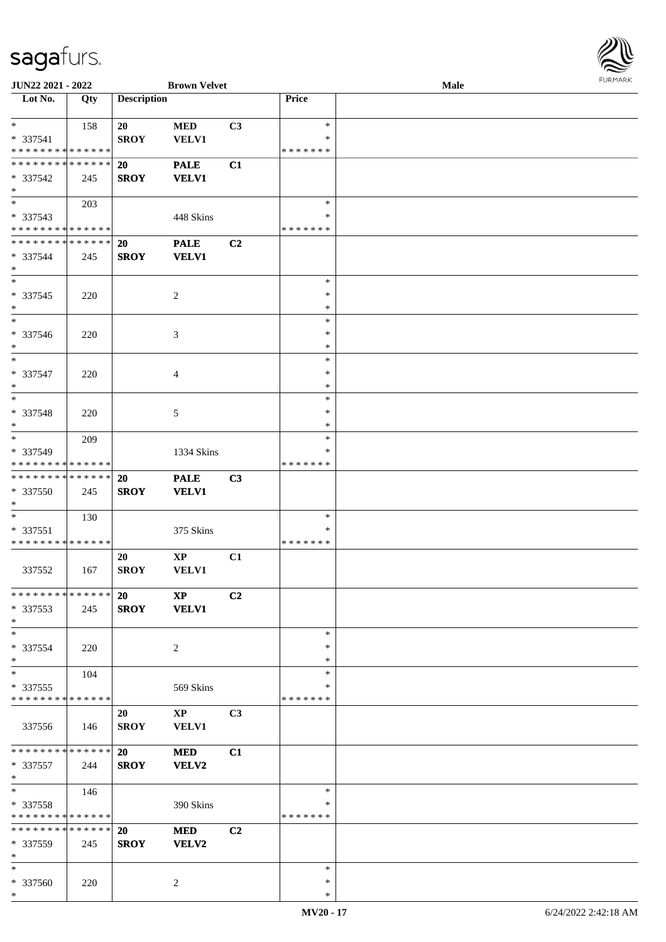

| JUN22 2021 - 2022             |     |                    | <b>Brown Velvet</b>    |                |               | <b>Male</b> |  |
|-------------------------------|-----|--------------------|------------------------|----------------|---------------|-------------|--|
| Lot No.                       | Qty | <b>Description</b> |                        |                | Price         |             |  |
|                               |     |                    |                        |                |               |             |  |
| $\ast$                        | 158 | 20                 | $\bf MED$              | C <sub>3</sub> | $\ast$        |             |  |
| $* 337541$                    |     | <b>SROY</b>        | <b>VELV1</b>           |                | ∗             |             |  |
|                               |     |                    |                        |                | * * * * * * * |             |  |
| * * * * * * * * * * * * * *   |     |                    |                        |                |               |             |  |
| * * * * * * * * * * * * * *   |     | <b>20</b>          | <b>PALE</b>            | C1             |               |             |  |
| * 337542                      | 245 | <b>SROY</b>        | <b>VELV1</b>           |                |               |             |  |
| $\ast$                        |     |                    |                        |                |               |             |  |
| $\overline{\phantom{0}}$      | 203 |                    |                        |                | $\ast$        |             |  |
| * 337543                      |     |                    | 448 Skins              |                | $\ast$        |             |  |
| * * * * * * * * * * * * * *   |     |                    |                        |                | * * * * * * * |             |  |
| ******** <mark>*****</mark> * |     | <b>20</b>          | <b>PALE</b>            | C <sub>2</sub> |               |             |  |
|                               |     |                    |                        |                |               |             |  |
| * 337544                      | 245 | <b>SROY</b>        | <b>VELV1</b>           |                |               |             |  |
| $\ast$                        |     |                    |                        |                |               |             |  |
| $\ast$                        |     |                    |                        |                | $\ast$        |             |  |
| $* 337545$                    | 220 |                    | 2                      |                | $\ast$        |             |  |
| $\ast$                        |     |                    |                        |                | $\ast$        |             |  |
| $\overline{\phantom{1}}$      |     |                    |                        |                | $\ast$        |             |  |
| * 337546                      | 220 |                    | 3                      |                | $\ast$        |             |  |
| $\ast$                        |     |                    |                        |                | $\ast$        |             |  |
| $\ast$                        |     |                    |                        |                | $\ast$        |             |  |
|                               |     |                    |                        |                |               |             |  |
| * 337547                      | 220 |                    | $\overline{4}$         |                | $\ast$        |             |  |
| $\ast$                        |     |                    |                        |                | $\ast$        |             |  |
| $\ast$                        |     |                    |                        |                | $\ast$        |             |  |
| * 337548                      | 220 |                    | 5                      |                | $\ast$        |             |  |
| $\ast$                        |     |                    |                        |                | $\ast$        |             |  |
| $\ast$                        | 209 |                    |                        |                | $\ast$        |             |  |
| * 337549                      |     |                    | 1334 Skins             |                | $\ast$        |             |  |
| * * * * * * * * * * * * * *   |     |                    |                        |                | * * * * * * * |             |  |
|                               |     |                    |                        |                |               |             |  |
| **************                |     | 20                 | <b>PALE</b>            | C3             |               |             |  |
| * 337550                      | 245 | <b>SROY</b>        | <b>VELV1</b>           |                |               |             |  |
| $\ast$                        |     |                    |                        |                |               |             |  |
| $*$                           | 130 |                    |                        |                | $\ast$        |             |  |
| * 337551                      |     |                    | 375 Skins              |                | $\ast$        |             |  |
| * * * * * * * * * * * * * *   |     |                    |                        |                | * * * * * * * |             |  |
|                               |     | 20                 | $\bold{XP}$            | C1             |               |             |  |
| 337552                        | 167 | <b>SROY</b>        | <b>VELV1</b>           |                |               |             |  |
|                               |     |                    |                        |                |               |             |  |
| * * * * * * * * * * * * * *   |     |                    |                        |                |               |             |  |
|                               |     | 20                 | $\mathbf{X}\mathbf{P}$ | C <sub>2</sub> |               |             |  |
| * 337553                      | 245 | <b>SROY</b>        | <b>VELV1</b>           |                |               |             |  |
| $\ast$                        |     |                    |                        |                |               |             |  |
| $*$                           |     |                    |                        |                | $\ast$        |             |  |
| * 337554                      | 220 |                    | 2                      |                | ∗             |             |  |
| $*$                           |     |                    |                        |                | ∗             |             |  |
| $\ast$                        | 104 |                    |                        |                | $\ast$        |             |  |
| $*337555$                     |     |                    | 569 Skins              |                | ∗             |             |  |
| * * * * * * * * * * * * * *   |     |                    |                        |                | * * * * * * * |             |  |
|                               |     |                    |                        |                |               |             |  |
|                               |     | 20                 | $\mathbf{X}\mathbf{P}$ | C3             |               |             |  |
| 337556                        | 146 | <b>SROY</b>        | <b>VELV1</b>           |                |               |             |  |
|                               |     |                    |                        |                |               |             |  |
| * * * * * * * * * * * * * * * |     | 20                 | <b>MED</b>             | C1             |               |             |  |
| * 337557                      | 244 | <b>SROY</b>        | <b>VELV2</b>           |                |               |             |  |
| $*$                           |     |                    |                        |                |               |             |  |
| $\ast$                        | 146 |                    |                        |                | $\ast$        |             |  |
| * 337558                      |     |                    | 390 Skins              |                | $\ast$        |             |  |
| * * * * * * * * * * * * * *   |     |                    |                        |                | * * * * * * * |             |  |
| * * * * * * * * * * * * * *   |     |                    |                        |                |               |             |  |
|                               |     | <b>20</b>          | <b>MED</b>             | C <sub>2</sub> |               |             |  |
| * 337559                      | 245 | <b>SROY</b>        | VELV2                  |                |               |             |  |
| $\ast$                        |     |                    |                        |                |               |             |  |
| $*$                           |     |                    |                        |                | $\ast$        |             |  |
| * 337560                      | 220 |                    | 2                      |                | ∗             |             |  |
| $*$                           |     |                    |                        |                | $\ast$        |             |  |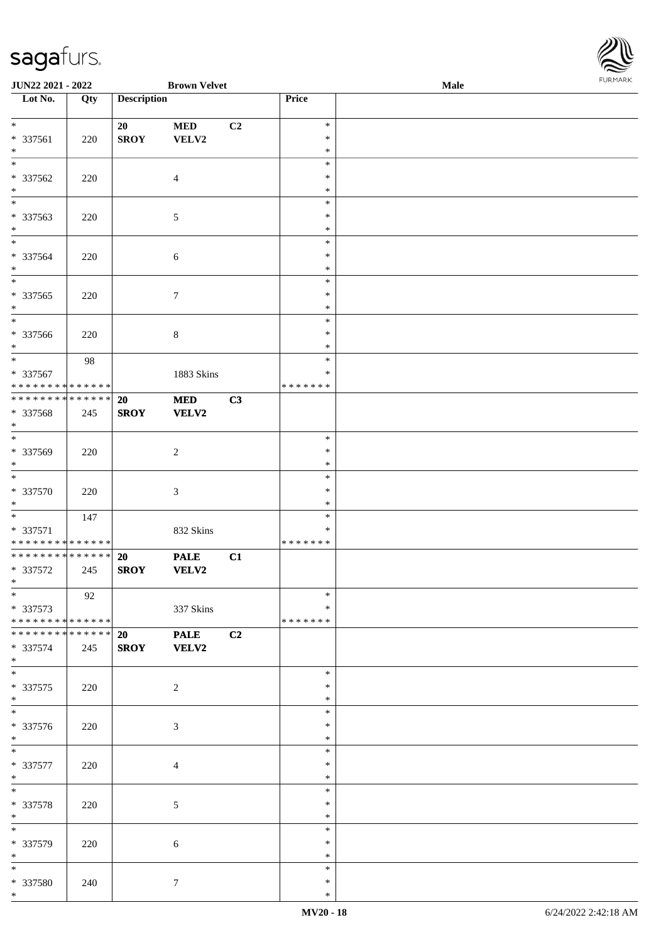

| JUN22 2021 - 2022                                      |     |                    | <b>Brown Velvet</b> |                |                         | Male | 1.9151111515 |
|--------------------------------------------------------|-----|--------------------|---------------------|----------------|-------------------------|------|--------------|
| $\overline{\phantom{1}}$ Lot No.                       | Qty | <b>Description</b> |                     |                | Price                   |      |              |
|                                                        |     |                    |                     |                |                         |      |              |
| $*$<br>* 337561                                        | 220 | 20<br><b>SROY</b>  | <b>MED</b><br>VELV2 | C2             | $\ast$<br>$\ast$        |      |              |
| $*$                                                    |     |                    |                     |                | $\ast$                  |      |              |
| $*$                                                    |     |                    |                     |                | $\ast$                  |      |              |
| * 337562                                               | 220 |                    | $\overline{4}$      |                | $\ast$                  |      |              |
| $*$                                                    |     |                    |                     |                | $\ast$                  |      |              |
| $\overline{\phantom{0}}$                               |     |                    |                     |                | $\ast$                  |      |              |
| * 337563                                               | 220 |                    | 5                   |                | $\ast$                  |      |              |
| $*$<br>$*$                                             |     |                    |                     |                | $\ast$                  |      |              |
|                                                        |     |                    |                     |                | $\ast$<br>$\ast$        |      |              |
| * 337564<br>$*$                                        | 220 |                    | $\sqrt{6}$          |                | $\ast$                  |      |              |
| $*$                                                    |     |                    |                     |                | $\ast$                  |      |              |
| * 337565                                               | 220 |                    | $\tau$              |                | $\ast$                  |      |              |
| $*$                                                    |     |                    |                     |                | $\ast$                  |      |              |
| $*$                                                    |     |                    |                     |                | $\ast$                  |      |              |
| * 337566                                               | 220 |                    | $\,8\,$             |                | $\ast$                  |      |              |
| $*$                                                    |     |                    |                     |                | $\ast$                  |      |              |
| $\overline{\ast}$                                      | 98  |                    |                     |                | $\ast$                  |      |              |
| * 337567<br>* * * * * * * * <mark>* * * * * * *</mark> |     |                    | 1883 Skins          |                | $\ast$<br>* * * * * * * |      |              |
| * * * * * * * * <mark>* * * * * * *</mark>             |     | 20                 | <b>MED</b>          | C3             |                         |      |              |
| * 337568                                               | 245 | <b>SROY</b>        | VELV2               |                |                         |      |              |
| $\ast$                                                 |     |                    |                     |                |                         |      |              |
| $\overline{\phantom{0}}$                               |     |                    |                     |                | $\ast$                  |      |              |
| * 337569                                               | 220 |                    | $\overline{c}$      |                | $\ast$                  |      |              |
| $*$                                                    |     |                    |                     |                | $\ast$                  |      |              |
| $\overline{\ast}$                                      |     |                    |                     |                | $\ast$                  |      |              |
| * 337570                                               | 220 |                    | $\mathfrak{Z}$      |                | $\ast$                  |      |              |
| $*$                                                    |     |                    |                     |                | $\ast$                  |      |              |
|                                                        | 147 |                    |                     |                | $\ast$<br>$\ast$        |      |              |
| * 337571<br>* * * * * * * * * * * * * *                |     |                    | 832 Skins           |                | * * * * * * *           |      |              |
| ******** <mark>******</mark>                           |     | <b>20</b>          | <b>PALE</b>         | C1             |                         |      |              |
| * 337572                                               | 245 | <b>SROY</b>        | VELV2               |                |                         |      |              |
| $*$ $-$                                                |     |                    |                     |                |                         |      |              |
| $\ast$                                                 | 92  |                    |                     |                | $\ast$                  |      |              |
| * 337573                                               |     |                    | 337 Skins           |                | $\ast$                  |      |              |
| * * * * * * * * * * * * * * *                          |     |                    |                     |                | * * * * * * *           |      |              |
| * * * * * * * * * * * * * * *                          |     | 20                 | <b>PALE</b>         | C <sub>2</sub> |                         |      |              |
| * 337574<br>$*$                                        | 245 | <b>SROY</b>        | <b>VELV2</b>        |                |                         |      |              |
|                                                        |     |                    |                     |                | $\ast$                  |      |              |
| * 337575                                               | 220 |                    | $\overline{c}$      |                | ∗                       |      |              |
| $*$                                                    |     |                    |                     |                | $\ast$                  |      |              |
| $*$                                                    |     |                    |                     |                | $\ast$                  |      |              |
| * 337576                                               | 220 |                    | 3                   |                | $\ast$                  |      |              |
| $*$                                                    |     |                    |                     |                | $\ast$                  |      |              |
| $*$                                                    |     |                    |                     |                | $\ast$                  |      |              |
| * 337577                                               | 220 |                    | $\overline{4}$      |                | $\ast$                  |      |              |
| $*$<br>$*$                                             |     |                    |                     |                | $\ast$<br>$\ast$        |      |              |
|                                                        |     |                    |                     |                | $\ast$                  |      |              |
| * 337578<br>$*$                                        | 220 |                    | $\sqrt{5}$          |                | $\ast$                  |      |              |
| $*$                                                    |     |                    |                     |                | $\ast$                  |      |              |
| * 337579                                               | 220 |                    | 6                   |                | $\ast$                  |      |              |
| $*$                                                    |     |                    |                     |                | $\ast$                  |      |              |
| $*$                                                    |     |                    |                     |                | $\ast$                  |      |              |
| * 337580                                               | 240 |                    | $\tau$              |                | $\ast$                  |      |              |
| $\ast$                                                 |     |                    |                     |                | $\ast$                  |      |              |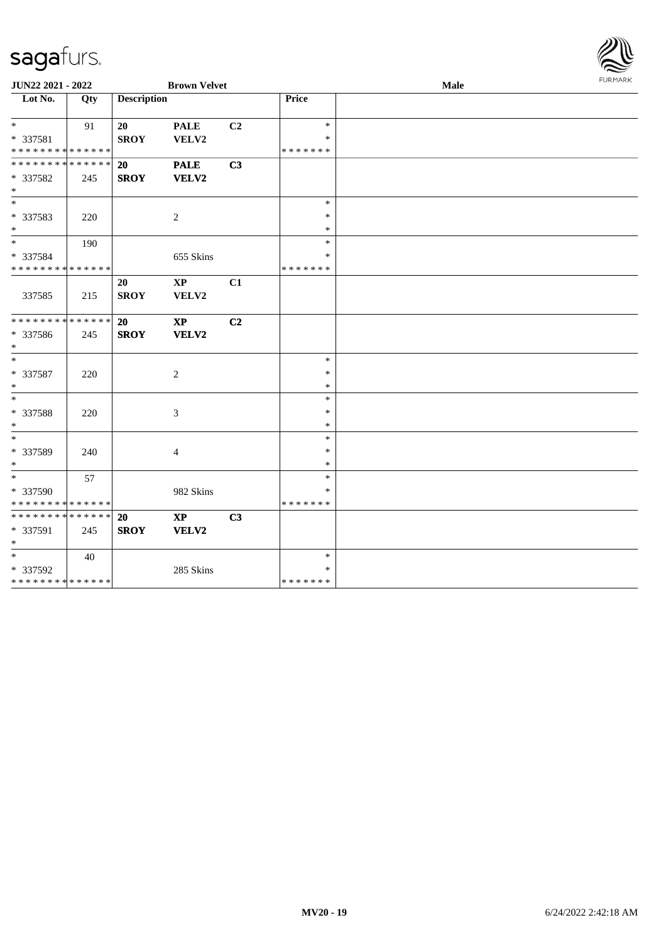| <b>FURMARK</b> |
|----------------|
|                |

| JUN22 2021 - 2022                                   |     |                    | <b>Brown Velvet</b>             |                |                                   | Male | FURMARK |
|-----------------------------------------------------|-----|--------------------|---------------------------------|----------------|-----------------------------------|------|---------|
| $\overline{\phantom{1}}$ Lot No.                    | Qty | <b>Description</b> |                                 |                | Price                             |      |         |
| $*$<br>* 337581<br>* * * * * * * * * * * * * *      | 91  | 20<br><b>SROY</b>  | <b>PALE</b><br>VELV2            | C <sub>2</sub> | $\ast$<br>$\ast$<br>* * * * * * * |      |         |
| * * * * * * * * * * * * * * *<br>* 337582<br>$*$    | 245 | 20<br><b>SROY</b>  | <b>PALE</b><br>VELV2            | C <sub>3</sub> |                                   |      |         |
| $*$<br>* 337583<br>$*$                              | 220 |                    | 2                               |                | $\ast$<br>$\ast$<br>$\ast$        |      |         |
| $*$<br>* 337584<br>* * * * * * * * * * * * * *      | 190 |                    | 655 Skins                       |                | $\ast$<br>$\ast$<br>* * * * * * * |      |         |
| 337585                                              | 215 | 20<br><b>SROY</b>  | $\mathbf{XP}$<br>VELV2          | C1             |                                   |      |         |
| * * * * * * * * * * * * * * *<br>* 337586<br>$*$    | 245 | 20<br><b>SROY</b>  | $\mathbf{X}\mathbf{P}$<br>VELV2 | C <sub>2</sub> |                                   |      |         |
| * 337587<br>$*$                                     | 220 |                    | 2                               |                | $\ast$<br>$\ast$<br>$\ast$        |      |         |
| $*$<br>* 337588<br>$*$                              | 220 |                    | 3                               |                | $\ast$<br>$\ast$<br>$\ast$        |      |         |
| $*$<br>* 337589<br>$\ast$                           | 240 |                    | $\overline{4}$                  |                | $\ast$<br>$\ast$<br>$\ast$        |      |         |
| $*$<br>* 337590<br>* * * * * * * * * * * * * *      | 57  |                    | 982 Skins                       |                | $\ast$<br>$\ast$<br>* * * * * * * |      |         |
| * * * * * * * * * * * * * * *<br>* 337591<br>$\ast$ | 245 | 20<br><b>SROY</b>  | $\bold{XP}$<br>VELV2            | C3             |                                   |      |         |
| $*$<br>* 337592<br>* * * * * * * * * * * * * *      | 40  |                    | 285 Skins                       |                | $\ast$<br>$\ast$<br>* * * * * * * |      |         |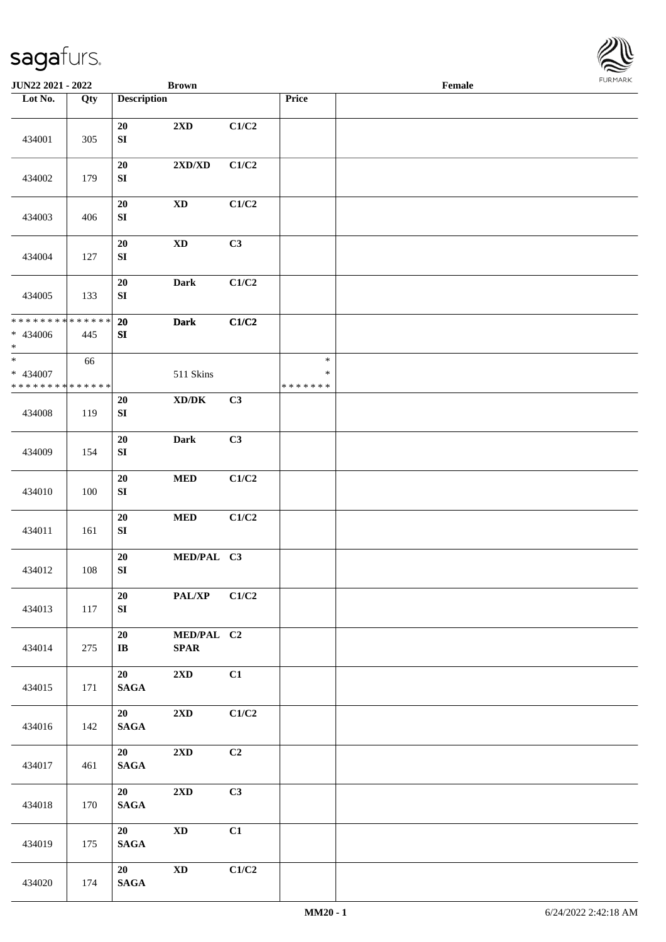

| <b>JUN22 2021 - 2022</b>                                       |     |                          | <b>Brown</b>                        |       |                                   | Female |  |
|----------------------------------------------------------------|-----|--------------------------|-------------------------------------|-------|-----------------------------------|--------|--|
| Lot No.                                                        | Qty | <b>Description</b>       |                                     |       | Price                             |        |  |
| 434001                                                         | 305 | ${\bf 20}$<br>${\bf SI}$ | 2XD                                 | C1/C2 |                                   |        |  |
| 434002                                                         | 179 | 20<br>${\bf SI}$         | $2{\bf X}{\bf D}/{\bf X}{\bf D}$    | C1/C2 |                                   |        |  |
| 434003                                                         | 406 | ${\bf 20}$<br>${\bf SI}$ | $\mathbf{X}\mathbf{D}$              | C1/C2 |                                   |        |  |
| 434004                                                         | 127 | 20<br>${\bf SI}$         | $\mathbf{X}\mathbf{D}$              | C3    |                                   |        |  |
| 434005                                                         | 133 | 20<br>${\bf SI}$         | <b>Dark</b>                         | C1/C2 |                                   |        |  |
| * * * * * * * * <mark>* * * * * *</mark><br>* 434006<br>$\ast$ | 445 | 20<br>SI                 | <b>Dark</b>                         | C1/C2 |                                   |        |  |
| $\ast$<br>* 434007<br>* * * * * * * * <mark>* * * * * *</mark> | 66  |                          | 511 Skins                           |       | $\ast$<br>$\ast$<br>* * * * * * * |        |  |
| 434008                                                         | 119 | 20<br>SI                 | $\bold{X}\bold{D}/\bold{D}\bold{K}$ | C3    |                                   |        |  |
| 434009                                                         | 154 | ${\bf 20}$<br>${\bf SI}$ | <b>Dark</b>                         | C3    |                                   |        |  |
| 434010                                                         | 100 | ${\bf 20}$<br>${\bf SI}$ | $\bf MED$                           | C1/C2 |                                   |        |  |
| 434011                                                         | 161 | ${\bf 20}$<br>${\bf SI}$ | $\bf MED$                           | C1/C2 |                                   |        |  |
| 434012                                                         | 108 | ${\bf 20}$<br>${\bf SI}$ | MED/PAL C3                          |       |                                   |        |  |
| 434013                                                         | 117 | 20<br>SI                 | PAL/XP                              | C1/C2 |                                   |        |  |
| 434014                                                         | 275 | 20<br>$\bf I\bf B$       | MED/PAL C2<br><b>SPAR</b>           |       |                                   |        |  |
| 434015                                                         | 171 | 20<br>$\mathbf{SAGA}$    | $2\mathbf{X}\mathbf{D}$             | C1    |                                   |        |  |
| 434016                                                         | 142 | 20<br>$\mathbf{SAGA}$    | $2{\bf X}{\bf D}$                   | C1/C2 |                                   |        |  |
| 434017                                                         | 461 | 20<br>$\mathbf{SAGA}$    | $2\mathbf{X}\mathbf{D}$             | C2    |                                   |        |  |
| 434018                                                         | 170 | 20<br>$\mathbf{SAGA}$    | $2\mathbf{X}\mathbf{D}$             | C3    |                                   |        |  |
| 434019                                                         | 175 | 20<br>$\mathbf{SAGA}$    | $\mathbf{X}\mathbf{D}$              | C1    |                                   |        |  |
| 434020                                                         | 174 | 20<br>$\mathbf{SAGA}$    | $\mathbf{X}\mathbf{D}$              | C1/C2 |                                   |        |  |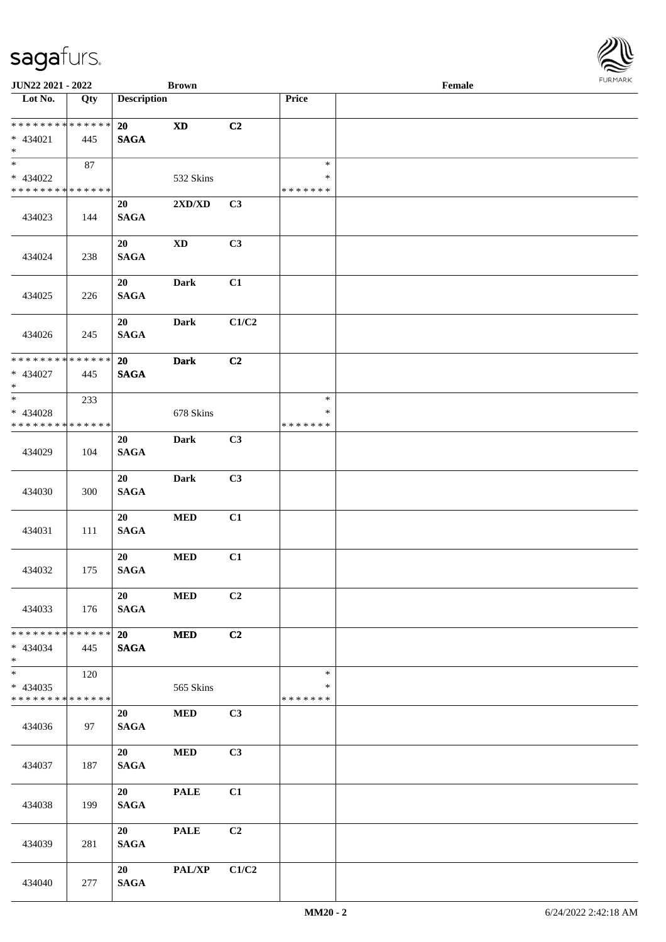| <b>JUN22 2021 - 2022</b>                   |               |                    | <b>Brown</b>           |                |               | Female | $1 \cup 1$ , $1 \cup 1$ |
|--------------------------------------------|---------------|--------------------|------------------------|----------------|---------------|--------|-------------------------|
| Lot No.                                    | Qty           | <b>Description</b> |                        |                | Price         |        |                         |
| * * * * * * * * <mark>* * * * * *</mark> * |               | 20                 | <b>XD</b>              | C2             |               |        |                         |
| $* 434021$                                 | 445           | <b>SAGA</b>        |                        |                |               |        |                         |
| $\ast$                                     |               |                    |                        |                |               |        |                         |
| $\overline{\ast}$                          | 87            |                    |                        |                | $\ast$        |        |                         |
| * 434022                                   |               |                    | 532 Skins              |                | $\ast$        |        |                         |
| * * * * * * * * <mark>* * * * * * *</mark> |               |                    |                        |                | * * * * * * * |        |                         |
|                                            |               | 20                 | 2XD/XD                 | C3             |               |        |                         |
| 434023                                     | 144           | <b>SAGA</b>        |                        |                |               |        |                         |
|                                            |               |                    |                        |                |               |        |                         |
| 434024                                     | 238           | 20<br><b>SAGA</b>  | $\mathbf{X}\mathbf{D}$ | C3             |               |        |                         |
|                                            |               |                    |                        |                |               |        |                         |
|                                            |               | 20                 | Dark                   | C1             |               |        |                         |
| 434025                                     | 226           | <b>SAGA</b>        |                        |                |               |        |                         |
|                                            |               |                    |                        |                |               |        |                         |
|                                            |               | 20                 | <b>Dark</b>            | C1/C2          |               |        |                         |
| 434026                                     | 245           | <b>SAGA</b>        |                        |                |               |        |                         |
| * * * * * * * * <mark>* * * * * * *</mark> |               |                    |                        |                |               |        |                         |
| * 434027                                   | 445           | 20<br><b>SAGA</b>  | <b>Dark</b>            | C <sub>2</sub> |               |        |                         |
| $\ast$                                     |               |                    |                        |                |               |        |                         |
|                                            | 233           |                    |                        |                | $\ast$        |        |                         |
| * 434028                                   |               |                    | 678 Skins              |                | $\ast$        |        |                         |
| * * * * * * * * <mark>* * * * * * *</mark> |               |                    |                        |                | * * * * * * * |        |                         |
|                                            |               | 20                 | <b>Dark</b>            | C3             |               |        |                         |
| 434029                                     | 104           | <b>SAGA</b>        |                        |                |               |        |                         |
|                                            |               | 20                 |                        | C3             |               |        |                         |
| 434030                                     | 300           | <b>SAGA</b>        | <b>Dark</b>            |                |               |        |                         |
|                                            |               |                    |                        |                |               |        |                         |
|                                            |               | 20                 | $\bf MED$              | C1             |               |        |                         |
| 434031                                     | 111           | <b>SAGA</b>        |                        |                |               |        |                         |
|                                            |               |                    |                        |                |               |        |                         |
|                                            |               | 20                 | $\bf MED$              | C1             |               |        |                         |
| 434032                                     | 175           | <b>SAGA</b>        |                        |                |               |        |                         |
|                                            |               | 20                 | <b>MED</b>             | C2             |               |        |                         |
| 434033                                     | 176           | <b>SAGA</b>        |                        |                |               |        |                         |
|                                            |               |                    |                        |                |               |        |                         |
| * * * * * * * *                            | * * * * * * * | 20                 | <b>MED</b>             | C2             |               |        |                         |
| * 434034                                   | 445           | <b>SAGA</b>        |                        |                |               |        |                         |
| $*$<br>$\overline{\ast}$                   |               |                    |                        |                |               |        |                         |
| * 434035                                   | 120           |                    |                        |                | $\ast$<br>*   |        |                         |
| * * * * * * * * <mark>* * * * * *</mark>   |               |                    | 565 Skins              |                | * * * * * * * |        |                         |
|                                            |               | 20                 | <b>MED</b>             | C3             |               |        |                         |
| 434036                                     | 97            | <b>SAGA</b>        |                        |                |               |        |                         |
|                                            |               |                    |                        |                |               |        |                         |
|                                            |               | 20                 | <b>MED</b>             | C3             |               |        |                         |
| 434037                                     | 187           | <b>SAGA</b>        |                        |                |               |        |                         |
|                                            |               |                    |                        |                |               |        |                         |
|                                            | 199           | 20<br><b>SAGA</b>  | <b>PALE</b>            | C1             |               |        |                         |
| 434038                                     |               |                    |                        |                |               |        |                         |
|                                            |               | 20                 | <b>PALE</b>            | C <sub>2</sub> |               |        |                         |
| 434039                                     | 281           | <b>SAGA</b>        |                        |                |               |        |                         |
|                                            |               |                    |                        |                |               |        |                         |
|                                            |               | 20                 | <b>PAL/XP</b>          | C1/C2          |               |        |                         |
| 434040                                     | 277           | <b>SAGA</b>        |                        |                |               |        |                         |

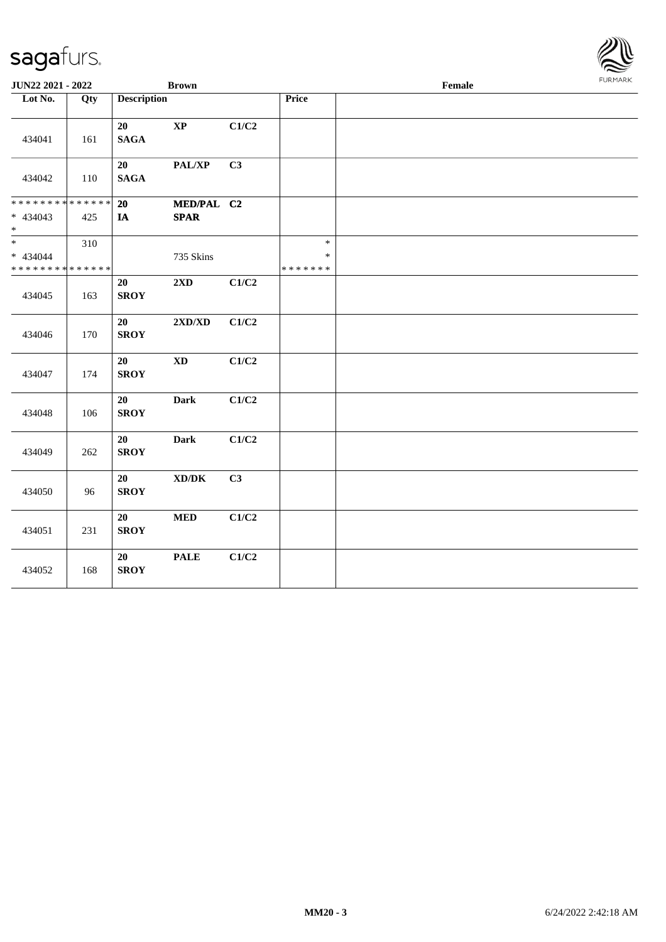

| JUN22 2021 - 2022                                                   |     |                       | <b>Brown</b>                                |       |                                   | Female | <b>FURMARK</b> |
|---------------------------------------------------------------------|-----|-----------------------|---------------------------------------------|-------|-----------------------------------|--------|----------------|
| Lot No.                                                             | Qty | <b>Description</b>    |                                             |       | Price                             |        |                |
| 434041                                                              | 161 | 20<br><b>SAGA</b>     | $\mathbf{X}\mathbf{P}$                      | C1/C2 |                                   |        |                |
| 434042                                                              | 110 | 20<br>$\mathbf{SAGA}$ | PAL/XP                                      | C3    |                                   |        |                |
| * * * * * * * * <mark>* * * * * * *</mark><br>$* 434043$<br>$\ast$  | 425 | 20<br>IA              | MED/PAL C2<br><b>SPAR</b>                   |       |                                   |        |                |
| $\overline{\phantom{0}}$<br>* 434044<br>* * * * * * * * * * * * * * | 310 |                       | 735 Skins                                   |       | $\ast$<br>$\ast$<br>* * * * * * * |        |                |
| 434045                                                              | 163 | 20<br><b>SROY</b>     | 2XD                                         | C1/C2 |                                   |        |                |
| 434046                                                              | 170 | 20<br><b>SROY</b>     | 2XD/XD                                      | C1/C2 |                                   |        |                |
| 434047                                                              | 174 | 20<br><b>SROY</b>     | $\mathbf{X}\mathbf{D}$                      | C1/C2 |                                   |        |                |
| 434048                                                              | 106 | 20<br><b>SROY</b>     | <b>Dark</b>                                 | C1/C2 |                                   |        |                |
| 434049                                                              | 262 | 20<br><b>SROY</b>     | Dark                                        | C1/C2 |                                   |        |                |
| 434050                                                              | 96  | 20<br><b>SROY</b>     | $\mathbf{X}\mathbf{D}/\mathbf{D}\mathbf{K}$ | C3    |                                   |        |                |
| 434051                                                              | 231 | 20<br><b>SROY</b>     | $\bf MED$                                   | C1/C2 |                                   |        |                |
| 434052                                                              | 168 | 20<br><b>SROY</b>     | <b>PALE</b>                                 | C1/C2 |                                   |        |                |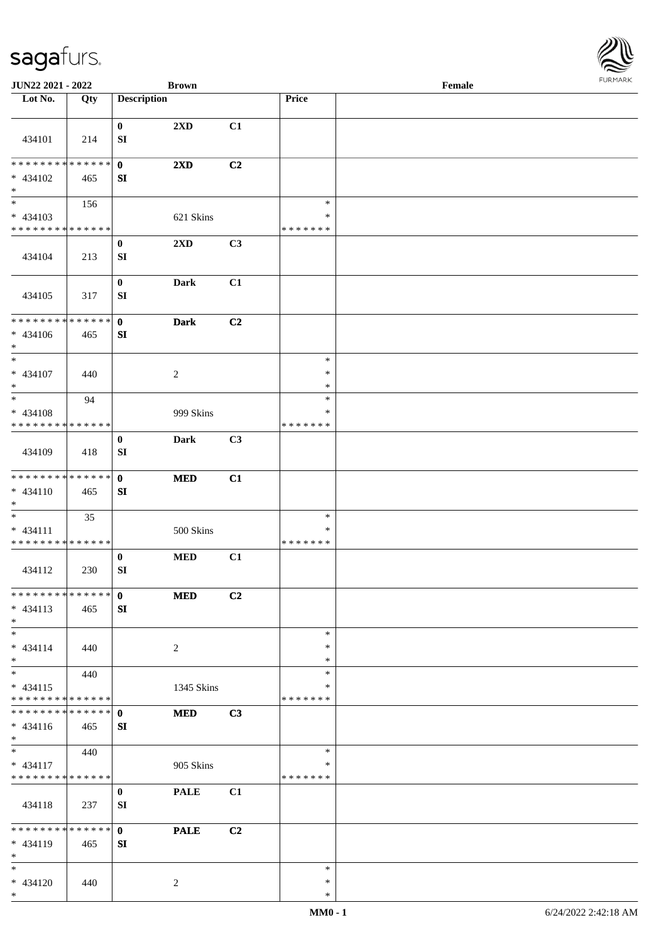

| JUN22 2021 - 2022                                   |                    |                                  | <b>Brown</b>            |    |                                   | Female |  |
|-----------------------------------------------------|--------------------|----------------------------------|-------------------------|----|-----------------------------------|--------|--|
| Lot No.                                             | Qty                | <b>Description</b>               |                         |    | Price                             |        |  |
| 434101                                              | 214                | $\bf{0}$<br>SI                   | $2\mathbf{X}\mathbf{D}$ | C1 |                                   |        |  |
| ********                                            | * * * * * *        |                                  |                         |    |                                   |        |  |
| * 434102<br>$\ast$                                  | 465                | $\mathbf 0$<br>SI                | 2XD                     | C2 |                                   |        |  |
| $\overline{\phantom{1}}$                            | 156                |                                  |                         |    | $\ast$                            |        |  |
| $* 434103$                                          |                    |                                  | 621 Skins               |    | $\ast$                            |        |  |
| * * * * * * * *                                     | * * * * * *        |                                  |                         |    | * * * * * * *                     |        |  |
| 434104                                              | 213                | $\boldsymbol{0}$<br>${\bf SI}$   | $2{\bf X}{\bf D}$       | C3 |                                   |        |  |
| 434105                                              | 317                | $\boldsymbol{0}$<br>SI           | Dark                    | C1 |                                   |        |  |
| ********<br>$* 434106$<br>$*$                       | * * * * * *<br>465 | $\mathbf 0$<br>${\bf SI}$        | <b>Dark</b>             | C2 |                                   |        |  |
| $_{\ast}$                                           |                    |                                  |                         |    | $\ast$                            |        |  |
| $* 434107$<br>$\ast$                                | 440                |                                  | $\overline{2}$          |    | $\ast$<br>$\ast$                  |        |  |
| $\ast$                                              | 94                 |                                  |                         |    | $\ast$                            |        |  |
| $* 434108$                                          |                    |                                  | 999 Skins               |    | ∗                                 |        |  |
| * * * * * * * * * * * * * *                         |                    | $\bf{0}$                         | Dark                    | C3 | * * * * * * *                     |        |  |
| 434109                                              | 418                | SI                               |                         |    |                                   |        |  |
| * * * * * * * * * * * * * *<br>$* 434110$<br>$*$    | 465                | $\mathbf{0}$<br>SI               | $\bf MED$               | C1 |                                   |        |  |
| $\ast$<br>$* 434111$<br>* * * * * * * * * * * * * * | 35                 |                                  | 500 Skins               |    | $\ast$<br>$\ast$<br>* * * * * * * |        |  |
| 434112                                              | 230                | $\bf{0}$<br>${\bf SI}$           | <b>MED</b>              | C1 |                                   |        |  |
| * * * * * * * * * * * * * *<br>$* 434113$<br>$*$    | 465                | $\mathbf{0}$<br>${\bf S}{\bf I}$ | <b>MED</b>              | C2 |                                   |        |  |
| $\ast$<br>$* 434114$<br>$*$                         | 440                |                                  | 2                       |    | $\ast$<br>$\ast$<br>$\ast$        |        |  |
| $*$<br>$* 434115$<br>********                       | 440<br>* * * * * * |                                  | 1345 Skins              |    | $\ast$<br>$\ast$<br>* * * * * * * |        |  |
| * * * * * * * * * * * * * *                         |                    | $\mathbf{0}$                     | <b>MED</b>              | C3 |                                   |        |  |
| $* 434116$<br>$*$                                   | 465                | ${\bf SI}$                       |                         |    |                                   |        |  |
| $\ast$                                              | 440                |                                  |                         |    | $\ast$                            |        |  |
| $* 434117$<br>* * * * * * * * * * * * * *           |                    |                                  | 905 Skins               |    | $\ast$<br>* * * * * * *           |        |  |
| 434118                                              | 237                | $\bf{0}$<br>SI                   | <b>PALE</b>             | C1 |                                   |        |  |
|                                                     |                    |                                  |                         |    |                                   |        |  |
| * * * * * * * * * * * * * *<br>$* 434119$<br>$*$    | 465                | $\mathbf{0}$<br>SI               | <b>PALE</b>             | C2 |                                   |        |  |
| $\ast$<br>$* 434120$<br>$*$                         | 440                |                                  | 2                       |    | $\ast$<br>$\ast$<br>$\ast$        |        |  |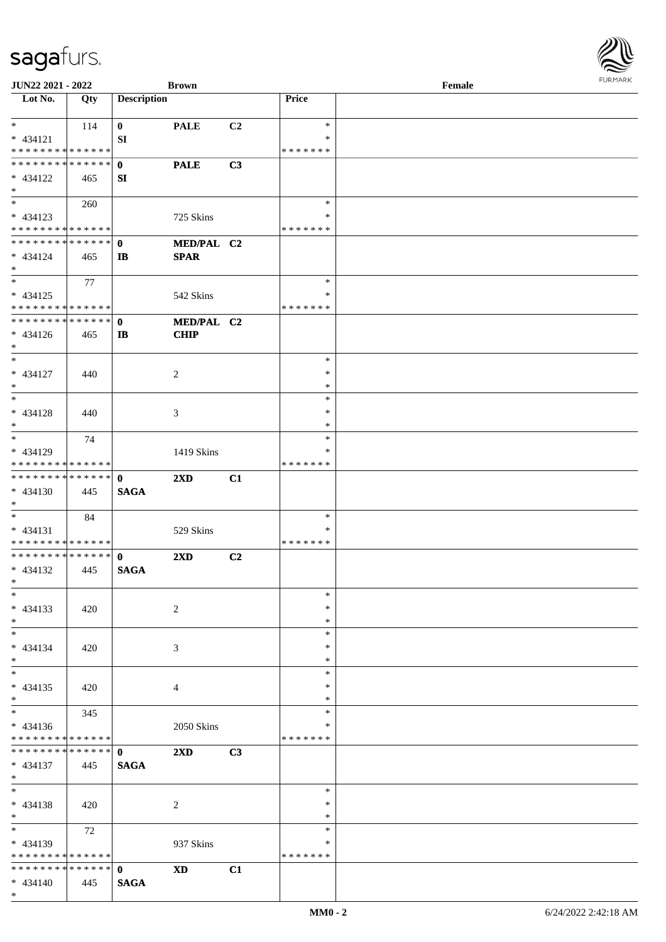| JUN22 2021 - 2022                         |     |                    | <b>Brown</b>            |                |               | Female |  |
|-------------------------------------------|-----|--------------------|-------------------------|----------------|---------------|--------|--|
| Lot No.                                   | Qty | <b>Description</b> |                         |                | Price         |        |  |
| $*$                                       |     |                    |                         |                | $\ast$        |        |  |
|                                           | 114 | $\bf{0}$           | <b>PALE</b>             | C <sub>2</sub> | ∗             |        |  |
| $* 434121$<br>* * * * * * * * * * * * * * |     | ${\bf SI}$         |                         |                | * * * * * * * |        |  |
| * * * * * * * * * * * * * * *             |     | $\mathbf{0}$       | <b>PALE</b>             | C3             |               |        |  |
|                                           |     |                    |                         |                |               |        |  |
| * 434122<br>$*$                           | 465 | SI                 |                         |                |               |        |  |
|                                           | 260 |                    |                         |                | $\ast$        |        |  |
| * 434123                                  |     |                    | 725 Skins               |                | $\ast$        |        |  |
| * * * * * * * * * * * * * *               |     |                    |                         |                | * * * * * * * |        |  |
| * * * * * * * * * * * * * *               |     | $\mathbf{0}$       | MED/PAL C2              |                |               |        |  |
| $* 434124$                                | 465 | $\mathbf{I}$       | <b>SPAR</b>             |                |               |        |  |
| $*$                                       |     |                    |                         |                |               |        |  |
| $*$                                       | 77  |                    |                         |                | $\ast$        |        |  |
| $* 434125$                                |     |                    | 542 Skins               |                | $\ast$        |        |  |
| * * * * * * * * * * * * * *               |     |                    |                         |                | * * * * * * * |        |  |
| * * * * * * * * * * * * * *               |     | $\mathbf{0}$       | MED/PAL C2              |                |               |        |  |
| $* 434126$                                | 465 | $\mathbf{I}$       | <b>CHIP</b>             |                |               |        |  |
| $*$                                       |     |                    |                         |                |               |        |  |
| $*$                                       |     |                    |                         |                | $\ast$        |        |  |
| $* 434127$                                | 440 |                    | $\overline{c}$          |                | $\ast$        |        |  |
| $*$                                       |     |                    |                         |                | $\ast$        |        |  |
| $*$                                       |     |                    |                         |                | $\ast$        |        |  |
| $* 434128$                                | 440 |                    | 3                       |                | $\ast$        |        |  |
| $*$                                       |     |                    |                         |                | $\ast$        |        |  |
| $*$                                       | 74  |                    |                         |                | $\ast$        |        |  |
| * 434129                                  |     |                    | 1419 Skins              |                | $\ast$        |        |  |
| * * * * * * * * * * * * * *               |     |                    |                         |                | * * * * * * * |        |  |
| * * * * * * * * * * * * * *               |     | $\mathbf{0}$       | $2\mathbf{X}\mathbf{D}$ | C1             |               |        |  |
| $* 434130$                                | 445 | <b>SAGA</b>        |                         |                |               |        |  |
| $*$<br>$*$                                |     |                    |                         |                | $\ast$        |        |  |
| $* 434131$                                | 84  |                    | 529 Skins               |                | ∗             |        |  |
| * * * * * * * * * * * * * *               |     |                    |                         |                | * * * * * * * |        |  |
| * * * * * * * * * * * * * * *             |     | $\mathbf{0}$       | $2\mathbf{X}\mathbf{D}$ | C2             |               |        |  |
| $* 434132$                                | 445 | <b>SAGA</b>        |                         |                |               |        |  |
| $*$                                       |     |                    |                         |                |               |        |  |
| $\ast$                                    |     |                    |                         |                | $\ast$        |        |  |
| $* 434133$                                | 420 |                    | $\overline{c}$          |                | $\ast$        |        |  |
| $*$                                       |     |                    |                         |                | $\ast$        |        |  |
| $*$                                       |     |                    |                         |                | $\ast$        |        |  |
| $* 434134$                                | 420 |                    | 3                       |                | ∗             |        |  |
| $*$                                       |     |                    |                         |                | $\ast$        |        |  |
| $*$                                       |     |                    |                         |                | $\ast$        |        |  |
| $* 434135$                                | 420 |                    | 4                       |                | $\ast$        |        |  |
| $*$                                       |     |                    |                         |                | $\ast$        |        |  |
| $\overline{\ast}$                         | 345 |                    |                         |                | $\ast$        |        |  |
| $* 434136$                                |     |                    | 2050 Skins              |                | ∗             |        |  |
| * * * * * * * * * * * * * *               |     |                    |                         |                | * * * * * * * |        |  |
| * * * * * * * * * * * * * * *             |     | $\mathbf{0}$       | 2XD                     | C3             |               |        |  |
| $* 434137$                                | 445 | <b>SAGA</b>        |                         |                |               |        |  |
| $*$ $*$<br>$*$                            |     |                    |                         |                | $\ast$        |        |  |
|                                           |     |                    |                         |                | $\ast$        |        |  |
| $* 434138$<br>$*$                         | 420 |                    | $\overline{c}$          |                | $\ast$        |        |  |
| $*$                                       |     |                    |                         |                | $\ast$        |        |  |
|                                           | 72  |                    |                         |                | ∗             |        |  |
| * 434139<br>* * * * * * * * * * * * * *   |     |                    | 937 Skins               |                | * * * * * * * |        |  |
| * * * * * * * * * * * * * * *             |     | $\mathbf 0$        | <b>XD</b>               | C1             |               |        |  |
| $* 434140$                                | 445 | <b>SAGA</b>        |                         |                |               |        |  |
| $*$                                       |     |                    |                         |                |               |        |  |
|                                           |     |                    |                         |                |               |        |  |

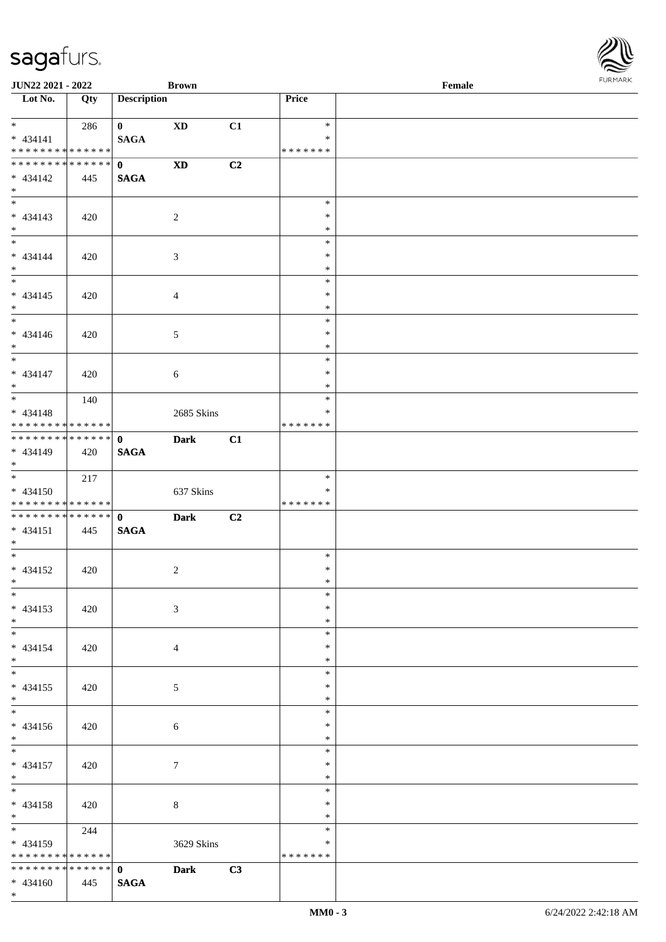

| <b>JUN22 2021 - 2022</b>                                                      |                    |                             | <b>Brown</b>   |                |                             | Female |  |
|-------------------------------------------------------------------------------|--------------------|-----------------------------|----------------|----------------|-----------------------------|--------|--|
| Lot No.                                                                       | Qty                | <b>Description</b>          |                |                | Price                       |        |  |
| $*$<br>$* 434141$<br>* * * * * * * * <mark>* * * * * *</mark>                 | 286                | $\mathbf{0}$<br><b>SAGA</b> | <b>XD</b>      | C1             | $\ast$<br>$\ast$<br>******* |        |  |
| * * * * * * * * <mark>* * * * * * *</mark><br>$* 434142$<br>$*$               | 445                | $\mathbf{0}$<br><b>SAGA</b> | <b>XD</b>      | C2             |                             |        |  |
| $* 434143$<br>$*$                                                             | 420                |                             | 2              |                | $\ast$<br>$\ast$<br>$\ast$  |        |  |
| $*$<br>$* 434144$<br>$*$                                                      | 420                |                             | 3              |                | $\ast$<br>$\ast$<br>$\ast$  |        |  |
| $\overline{\ast}$<br>$* 434145$<br>$*$                                        | 420                |                             | $\overline{4}$ |                | $\ast$<br>$\ast$<br>$\ast$  |        |  |
| $* 434146$<br>$\ast$                                                          | 420                |                             | 5              |                | $\ast$<br>$\ast$<br>$\ast$  |        |  |
| $\frac{1}{\ast}$<br>$* 434147$<br>$*$                                         | 420                |                             | 6              |                | $\ast$<br>$\ast$<br>$\ast$  |        |  |
| $\overline{\ast}$<br>$* 434148$<br>* * * * * * * * <mark>* * * * * * *</mark> | 140                |                             | 2685 Skins     |                | $\ast$<br>∗<br>*******      |        |  |
| $* 434149$<br>$\ast$                                                          | 420                | <b>SAGA</b>                 | <b>Dark</b>    | C1             |                             |        |  |
| $\ddot{x}$<br>$* 434150$<br>* * * * * * * * <mark>* * * * * *</mark>          | 217                |                             | 637 Skins      |                | $\ast$<br>∗<br>*******      |        |  |
| $* 434151$<br>$*$                                                             | 445                | <b>SAGA</b>                 | <b>Dark</b>    | C <sub>2</sub> |                             |        |  |
| * 434152<br>$*$ $-$                                                           | 420                |                             | 2              |                | $\ast$<br>$\ast$<br>$\ast$  |        |  |
| $*$<br>$* 434153$<br>$*$                                                      | 420                |                             | $\mathfrak{Z}$ |                | $\ast$<br>$\ast$<br>$\ast$  |        |  |
| $\ast$<br>$* 434154$<br>$\ddot{x}$                                            | 420                |                             | $\overline{4}$ |                | $\ast$<br>$\ast$<br>$\ast$  |        |  |
| $*$<br>* 434155<br>$\ddot{x}$                                                 | 420                |                             | 5              |                | $\ast$<br>$\ast$<br>$\ast$  |        |  |
| $\ddot{x}$<br>$* 434156$<br>$*$                                               | 420                |                             | 6              |                | $\ast$<br>$\ast$<br>$\ast$  |        |  |
| $*$<br>$* 434157$<br>$*$                                                      | 420                |                             | $\tau$         |                | $\ast$<br>$\ast$<br>$\ast$  |        |  |
| $*$<br>$* 434158$<br>$*$ $-$                                                  | 420                |                             | 8              |                | $\ast$<br>$\ast$<br>$\ast$  |        |  |
| * 434159<br>* * * * * * * *                                                   | 244<br>* * * * * * |                             | 3629 Skins     |                | $\ast$<br>$\ast$<br>******* |        |  |
| $* 434160$                                                                    | 445                | <b>SAGA</b>                 | <b>Dark</b>    | C3             |                             |        |  |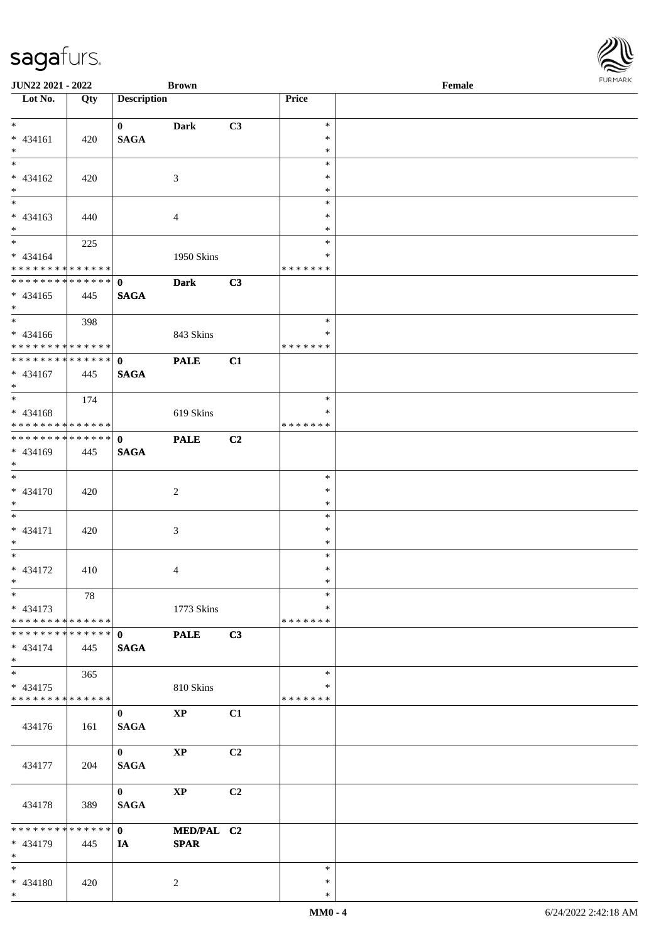| JUN22 2021 - 2022                         |     |                             | <b>Brown</b>           |    |                  | Female | . 0.13137378 |
|-------------------------------------------|-----|-----------------------------|------------------------|----|------------------|--------|--------------|
| $\overline{\phantom{a}}$ Lot No.          | Qty | <b>Description</b>          |                        |    | Price            |        |              |
| $*$                                       |     |                             |                        |    |                  |        |              |
| $* 434161$                                |     | $\mathbf{0}$<br><b>SAGA</b> | <b>Dark</b>            | C3 | $\ast$<br>$\ast$ |        |              |
| $*$                                       | 420 |                             |                        |    | $\ast$           |        |              |
|                                           |     |                             |                        |    | $\ast$           |        |              |
| $* 434162$                                | 420 |                             | $\mathfrak{Z}$         |    | $\ast$           |        |              |
| $\ast$                                    |     |                             |                        |    | $\ast$           |        |              |
| $\overline{\phantom{0}}$                  |     |                             |                        |    | $\ast$           |        |              |
| $* 434163$                                | 440 |                             | $\overline{4}$         |    | $\ast$           |        |              |
| $*$                                       |     |                             |                        |    | $\ast$           |        |              |
|                                           | 225 |                             |                        |    | $\ast$<br>*      |        |              |
| $* 434164$<br>* * * * * * * * * * * * * * |     |                             | 1950 Skins             |    | * * * * * * *    |        |              |
| * * * * * * * * * * * * * * *             |     | $\mathbf{0}$                | <b>Dark</b>            | C3 |                  |        |              |
| $* 434165$                                | 445 | <b>SAGA</b>                 |                        |    |                  |        |              |
| $*$                                       |     |                             |                        |    |                  |        |              |
| $*$                                       | 398 |                             |                        |    | $\ast$           |        |              |
| $* 434166$                                |     |                             | 843 Skins              |    | $\ast$           |        |              |
| * * * * * * * * * * * * * * *             |     |                             |                        |    | * * * * * * *    |        |              |
| ******** <mark>******</mark>              |     | $\mathbf{0}$                | <b>PALE</b>            | C1 |                  |        |              |
| $* 434167$<br>$*$                         | 445 | <b>SAGA</b>                 |                        |    |                  |        |              |
| $\overline{\phantom{0}}$                  | 174 |                             |                        |    | $\ast$           |        |              |
| $* 434168$                                |     |                             | 619 Skins              |    | $\ast$           |        |              |
| * * * * * * * * * * * * * *               |     |                             |                        |    | * * * * * * *    |        |              |
| * * * * * * * * * * * * * * *             |     | $\mathbf{0}$                | <b>PALE</b>            | C2 |                  |        |              |
| * 434169                                  | 445 | <b>SAGA</b>                 |                        |    |                  |        |              |
| $*$                                       |     |                             |                        |    |                  |        |              |
| $*$                                       |     |                             |                        |    | $\ast$           |        |              |
| $* 434170$                                | 420 |                             | $\overline{c}$         |    | $\ast$           |        |              |
| $*$<br>$*$                                |     |                             |                        |    | $\ast$           |        |              |
| $* 434171$                                |     |                             |                        |    | $\ast$<br>$\ast$ |        |              |
| $*$                                       | 420 |                             | $\mathfrak{Z}$         |    | $\ast$           |        |              |
| $*$                                       |     |                             |                        |    | $\ast$           |        |              |
| * 434172                                  | 410 |                             | $\overline{4}$         |    | $\ast$           |        |              |
| $*$                                       |     |                             |                        |    | $*$              |        |              |
| $*$                                       | 78  |                             |                        |    | $\ast$           |        |              |
| $* 434173$                                |     |                             | 1773 Skins             |    | *                |        |              |
| * * * * * * * * * * * * * * *             |     |                             |                        |    | *******          |        |              |
| * * * * * * * * * * * * * * *             |     | $\mathbf{0}$                | <b>PALE</b>            | C3 |                  |        |              |
| $* 434174$<br>$*$                         | 445 | <b>SAGA</b>                 |                        |    |                  |        |              |
| $*$                                       |     |                             |                        |    | $\ast$           |        |              |
| $* 434175$                                | 365 |                             | 810 Skins              |    | *                |        |              |
| * * * * * * * * * * * * * *               |     |                             |                        |    | * * * * * * *    |        |              |
|                                           |     | $\bf{0}$                    | $\mathbf{XP}$          | C1 |                  |        |              |
| 434176                                    | 161 | <b>SAGA</b>                 |                        |    |                  |        |              |
|                                           |     |                             |                        |    |                  |        |              |
|                                           |     | $\mathbf{0}$                | $\bold{XP}$            | C2 |                  |        |              |
| 434177                                    | 204 | <b>SAGA</b>                 |                        |    |                  |        |              |
|                                           |     |                             |                        |    |                  |        |              |
|                                           |     | $\mathbf{0}$                | $\mathbf{X}\mathbf{P}$ | C2 |                  |        |              |
| 434178                                    | 389 | <b>SAGA</b>                 |                        |    |                  |        |              |
| * * * * * * * * * * * * * * *             |     | $\mathbf{0}$                | MED/PAL C2             |    |                  |        |              |
| * 434179                                  | 445 | IA                          | <b>SPAR</b>            |    |                  |        |              |
| $*$                                       |     |                             |                        |    |                  |        |              |
| $*$                                       |     |                             |                        |    | $\ast$           |        |              |
| * 434180                                  | 420 |                             | $\overline{2}$         |    | $\ast$           |        |              |
| $*$                                       |     |                             |                        |    | $\ast$           |        |              |

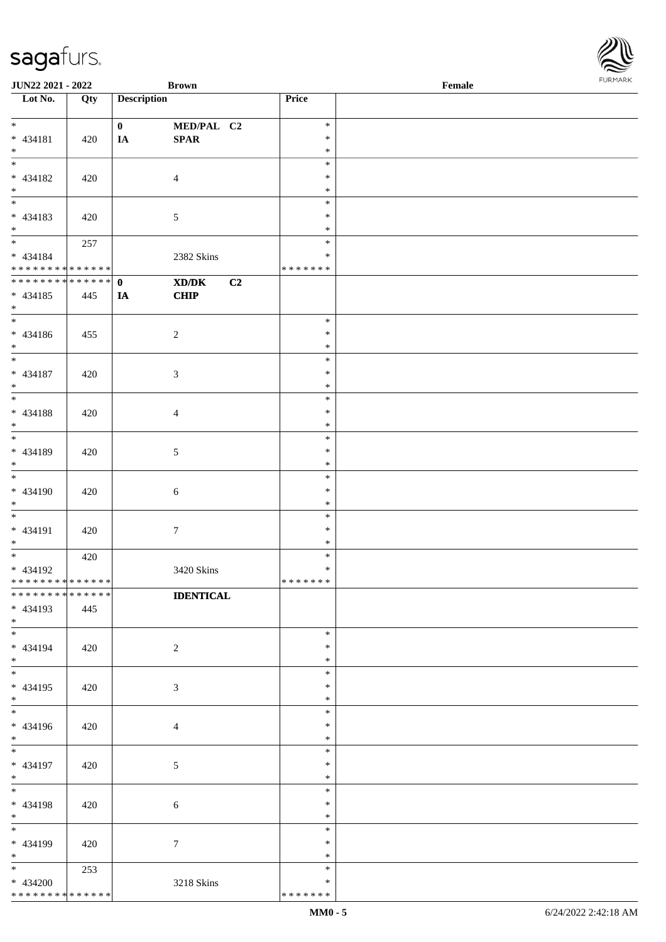| <b>JUN22 2021 - 2022</b>     |     |                    | <b>Brown</b>     |               | Female |  |
|------------------------------|-----|--------------------|------------------|---------------|--------|--|
| Lot No.                      | Qty | <b>Description</b> |                  | Price         |        |  |
|                              |     |                    |                  |               |        |  |
| $*$                          |     | $\mathbf{0}$       | MED/PAL C2       | $\ast$        |        |  |
| * 434181                     | 420 | IA                 | SPAR             | $\ast$        |        |  |
| $*$                          |     |                    |                  | $\ast$        |        |  |
|                              |     |                    |                  | $\ast$        |        |  |
| * 434182                     | 420 |                    | $\overline{4}$   | $\ast$        |        |  |
| $*$                          |     |                    |                  | $\ast$        |        |  |
|                              |     |                    |                  | $\ast$        |        |  |
| * 434183                     | 420 |                    | $\mathfrak{S}$   | $\ast$        |        |  |
| $*$                          |     |                    |                  | $\ast$        |        |  |
| $*$                          | 257 |                    |                  | $\ast$        |        |  |
| $* 434184$                   |     |                    | 2382 Skins       | $\ast$        |        |  |
| * * * * * * * * * * * * * *  |     |                    |                  | * * * * * * * |        |  |
| ******** <mark>******</mark> |     | $\mathbf{0}$       | C2<br>XD/DK      |               |        |  |
| $* 434185$                   | 445 | IA                 | CHIP             |               |        |  |
| $*$                          |     |                    |                  |               |        |  |
| $\overline{\ast}$            |     |                    |                  | $\ast$        |        |  |
| $* 434186$                   | 455 |                    | $\overline{c}$   | $\ast$        |        |  |
| $*$                          |     |                    |                  | $\ast$        |        |  |
| $\overline{\phantom{0}}$     |     |                    |                  | $\ast$        |        |  |
| $* 434187$                   | 420 |                    | $\mathfrak{Z}$   | $\ast$        |        |  |
| $*$                          |     |                    |                  | $\ast$        |        |  |
|                              |     |                    |                  | $\ast$        |        |  |
| $* 434188$                   | 420 |                    | $\overline{4}$   | $\ast$        |        |  |
| $*$                          |     |                    |                  | $\ast$        |        |  |
|                              |     |                    |                  | $\ast$        |        |  |
| * 434189                     | 420 |                    | 5                | $\ast$        |        |  |
| $*$                          |     |                    |                  | $\ast$        |        |  |
|                              |     |                    |                  | $\ast$        |        |  |
| * 434190                     | 420 |                    | 6                | $\ast$        |        |  |
| $*$                          |     |                    |                  | $\ast$        |        |  |
| $*$                          |     |                    |                  | $\ast$        |        |  |
| $* 434191$                   | 420 |                    | $\boldsymbol{7}$ | $\ast$        |        |  |
| $*$                          |     |                    |                  | $\ast$        |        |  |
| $\overline{\ast}$            | 420 |                    |                  | $\ast$        |        |  |
| * 434192                     |     |                    | 3420 Skins       | $\ast$        |        |  |
| ******** <mark>******</mark> |     |                    |                  | *******       |        |  |
| * * * * * * * * * * * * * *  |     |                    | <b>IDENTICAL</b> |               |        |  |
| * 434193                     | 445 |                    |                  |               |        |  |
| $*$ $-$                      |     |                    |                  |               |        |  |
| $*$                          |     |                    |                  | $\ast$        |        |  |
| * 434194                     | 420 |                    | $\overline{2}$   | $\ast$        |        |  |
| $*$                          |     |                    |                  | $\ast$        |        |  |
|                              |     |                    |                  | $\ast$        |        |  |
| * 434195                     | 420 |                    | $\mathfrak{Z}$   | $\ast$        |        |  |
| $*$                          |     |                    |                  | $\ast$        |        |  |
| $*$                          |     |                    |                  | $\ast$        |        |  |
| * 434196                     | 420 |                    | $\overline{4}$   | $\ast$        |        |  |
| $*$                          |     |                    |                  | $\ast$        |        |  |
| $*$                          |     |                    |                  | $\ast$        |        |  |
| * 434197                     | 420 |                    | $\mathfrak{S}$   | $\ast$        |        |  |
| $*$                          |     |                    |                  | $\ast$        |        |  |
| $*$                          |     |                    |                  | $\ast$        |        |  |
| * 434198                     | 420 |                    | $\sqrt{6}$       | $\ast$        |        |  |
| $*$                          |     |                    |                  | $\ast$        |        |  |
|                              |     |                    |                  | $\ast$        |        |  |
| * 434199                     | 420 |                    | $\boldsymbol{7}$ | $\ast$        |        |  |
| $*$                          |     |                    |                  | $\ast$        |        |  |
| $*$                          | 253 |                    |                  | $\ast$        |        |  |
| * 434200                     |     |                    | 3218 Skins       | $\ast$        |        |  |
| * * * * * * * * * * * * * *  |     |                    |                  | * * * * * * * |        |  |
|                              |     |                    |                  |               |        |  |

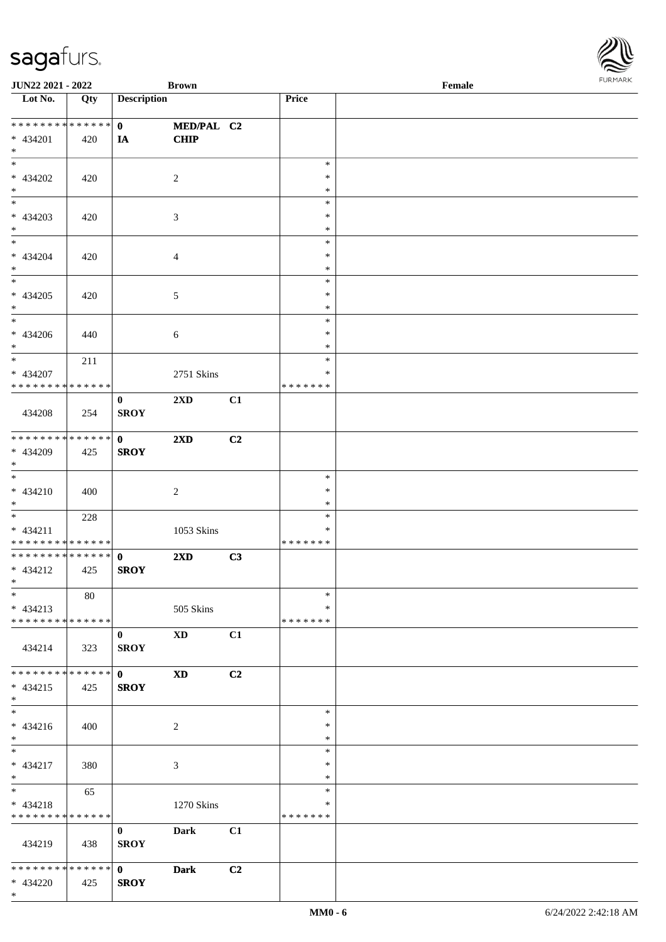| JUN22 2021 - 2022                    |     |                    | <b>Brown</b>            |    |               | Female |
|--------------------------------------|-----|--------------------|-------------------------|----|---------------|--------|
| $\overline{\text{Lot No.}}$          | Qty | <b>Description</b> |                         |    | Price         |        |
|                                      |     |                    |                         |    |               |        |
| **************                       |     | $\mathbf{0}$       | MED/PAL C2              |    |               |        |
| $* 434201$                           | 420 | IA                 | <b>CHIP</b>             |    |               |        |
| $\ast$                               |     |                    |                         |    |               |        |
| $\ast$                               |     |                    |                         |    | $\ast$        |        |
| * 434202                             | 420 |                    | $\overline{c}$          |    | $\ast$        |        |
| $\ast$                               |     |                    |                         |    | $\ast$        |        |
| $\overline{\phantom{0}}$             |     |                    |                         |    | $\ast$        |        |
| $* 434203$                           |     |                    |                         |    | $\ast$        |        |
|                                      | 420 |                    | 3                       |    |               |        |
| $\ast$<br>$\overline{\phantom{a}^*}$ |     |                    |                         |    | $\ast$        |        |
|                                      |     |                    |                         |    | $\ast$        |        |
| * 434204                             | 420 |                    | $\overline{4}$          |    | $\ast$        |        |
| $\ast$                               |     |                    |                         |    | $\ast$        |        |
| $\overline{\phantom{a}^*}$           |     |                    |                         |    | $\ast$        |        |
| $* 434205$                           | 420 |                    | 5                       |    | $\ast$        |        |
| $\ast$                               |     |                    |                         |    | $\ast$        |        |
| $\overline{\phantom{a}^*}$           |     |                    |                         |    | $\ast$        |        |
| * 434206                             | 440 |                    | 6                       |    | $\ast$        |        |
| $\ast$                               |     |                    |                         |    | $\ast$        |        |
| $\ast$                               | 211 |                    |                         |    | $\ast$        |        |
|                                      |     |                    |                         |    | $\ast$        |        |
| * 434207                             |     |                    | 2751 Skins              |    |               |        |
| **************                       |     |                    |                         |    | * * * * * * * |        |
|                                      |     | $\mathbf{0}$       | $2\mathbf{X}\mathbf{D}$ | C1 |               |        |
| 434208                               | 254 | <b>SROY</b>        |                         |    |               |        |
|                                      |     |                    |                         |    |               |        |
| ******** <mark>******</mark>         |     | $\mathbf{0}$       | $2\mathbf{X}\mathbf{D}$ | C2 |               |        |
| * 434209                             | 425 | <b>SROY</b>        |                         |    |               |        |
| $\ast$                               |     |                    |                         |    |               |        |
| $\ast$                               |     |                    |                         |    | $\ast$        |        |
| $* 434210$                           | 400 |                    | $\overline{c}$          |    | $\ast$        |        |
| $\ast$                               |     |                    |                         |    | $\ast$        |        |
| $\ast$                               |     |                    |                         |    | $\ast$        |        |
|                                      | 228 |                    |                         |    |               |        |
| $* 434211$                           |     |                    | 1053 Skins              |    | $\ast$        |        |
| * * * * * * * * * * * * * *          |     |                    |                         |    | * * * * * * * |        |
| **************                       |     | $\mathbf{0}$       | 2XD                     | C3 |               |        |
| $* 434212$                           | 425 | <b>SROY</b>        |                         |    |               |        |
| $*$ $*$                              |     |                    |                         |    |               |        |
| $\ast$                               | 80  |                    |                         |    | $\ast$        |        |
| $* 434213$                           |     |                    | 505 Skins               |    | ∗             |        |
| **************                       |     |                    |                         |    | * * * * * * * |        |
|                                      |     | $\mathbf{0}$       | XD                      | C1 |               |        |
| 434214                               | 323 | <b>SROY</b>        |                         |    |               |        |
|                                      |     |                    |                         |    |               |        |
| ******** <mark>******</mark>         |     | $\mathbf{0}$       | <b>XD</b>               | C2 |               |        |
|                                      |     |                    |                         |    |               |        |
| $* 434215$                           | 425 | <b>SROY</b>        |                         |    |               |        |
| $*$<br>$\overline{\phantom{1}}$      |     |                    |                         |    |               |        |
|                                      |     |                    |                         |    | $\ast$        |        |
| $* 434216$                           | 400 |                    | $\overline{c}$          |    | ∗             |        |
| $*$                                  |     |                    |                         |    | $\ast$        |        |
| $\ast$                               |     |                    |                         |    | $\ast$        |        |
| $* 434217$                           | 380 |                    | 3                       |    | $\ast$        |        |
| $*$                                  |     |                    |                         |    | $\ast$        |        |
| $\ast$                               | 65  |                    |                         |    | $\ast$        |        |
| $* 434218$                           |     |                    | 1270 Skins              |    | $\ast$        |        |
| ******** <mark>******</mark>         |     |                    |                         |    | * * * * * * * |        |
|                                      |     |                    |                         |    |               |        |
|                                      |     | $\mathbf{0}$       | <b>Dark</b>             | C1 |               |        |
| 434219                               | 438 | <b>SROY</b>        |                         |    |               |        |
|                                      |     |                    |                         |    |               |        |
| ******** <mark>******</mark>         |     | $\mathbf{0}$       | <b>Dark</b>             | C2 |               |        |
| $* 434220$                           | 425 | <b>SROY</b>        |                         |    |               |        |
| $*$                                  |     |                    |                         |    |               |        |

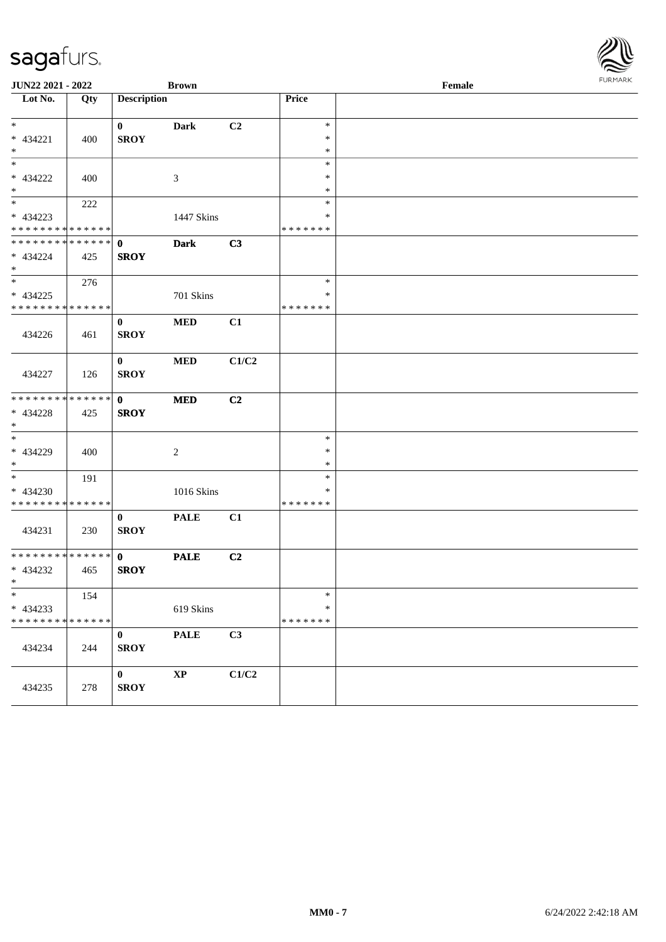| JUN22 2021 - 2022             |     | <b>Brown</b>            |                |       |                  | <b>FUNITANY</b>                             |  |
|-------------------------------|-----|-------------------------|----------------|-------|------------------|---------------------------------------------|--|
| Lot No.                       | Qty | <b>Description</b>      |                |       | Price            | $\ensuremath{\textnormal{\textbf{Female}}}$ |  |
| $*$                           |     | $\mathbf{0}$            | <b>Dark</b>    | C2    | $\ast$           |                                             |  |
| * 434221                      | 400 | <b>SROY</b>             |                |       | $\ast$           |                                             |  |
| $*$<br>$\overline{\ast}$      |     |                         |                |       | $\ast$<br>$\ast$ |                                             |  |
| * 434222                      | 400 |                         | 3              |       | $\ast$           |                                             |  |
| $*$                           |     |                         |                |       | $\ast$           |                                             |  |
| $*$                           | 222 |                         |                |       | $\ast$           |                                             |  |
| * 434223                      |     |                         | 1447 Skins     |       | $\ast$           |                                             |  |
| * * * * * * * * * * * * * *   |     |                         |                |       | * * * * * * *    |                                             |  |
| * * * * * * * * * * * * * * * |     | $\mathbf 0$             | <b>Dark</b>    | C3    |                  |                                             |  |
| * 434224<br>$*$               | 425 | <b>SROY</b>             |                |       |                  |                                             |  |
|                               | 276 |                         |                |       | $\ast$           |                                             |  |
| $* 434225$                    |     |                         | 701 Skins      |       | $\ast$           |                                             |  |
| * * * * * * * * * * * * * *   |     |                         |                |       | * * * * * * *    |                                             |  |
|                               |     | $\mathbf{0}$            | $\bf MED$      | C1    |                  |                                             |  |
| 434226                        | 461 | <b>SROY</b>             |                |       |                  |                                             |  |
|                               |     | $\bf{0}$                | $\bf MED$      | C1/C2 |                  |                                             |  |
| 434227                        | 126 | <b>SROY</b>             |                |       |                  |                                             |  |
| * * * * * * * * * * * * * *   |     | $\mathbf{0}$            | <b>MED</b>     | C2    |                  |                                             |  |
| * 434228                      | 425 | <b>SROY</b>             |                |       |                  |                                             |  |
| $*$                           |     |                         |                |       |                  |                                             |  |
| $*$                           |     |                         |                |       | $\ast$           |                                             |  |
| * 434229<br>$*$               | 400 |                         | $\overline{2}$ |       | $\ast$<br>$\ast$ |                                             |  |
| $*$                           | 191 |                         |                |       | $\ast$           |                                             |  |
| $* 434230$                    |     |                         | 1016 Skins     |       | $\ast$           |                                             |  |
| * * * * * * * * * * * * * *   |     |                         |                |       | * * * * * * *    |                                             |  |
|                               |     | $\bf{0}$                | <b>PALE</b>    | C1    |                  |                                             |  |
| 434231                        | 230 | <b>SROY</b>             |                |       |                  |                                             |  |
| * * * * * * * * * * * * * * * |     | $\mathbf{0}$            | <b>PALE</b>    | C2    |                  |                                             |  |
| * 434232                      | 465 | <b>SROY</b>             |                |       |                  |                                             |  |
| $*$ $-$                       |     |                         |                |       |                  |                                             |  |
| $\ast$                        | 154 |                         |                |       | $\ast$           |                                             |  |
| $* 434233$                    |     |                         | 619 Skins      |       | $\ast$           |                                             |  |
| * * * * * * * * * * * * * *   |     |                         |                |       | * * * * * * *    |                                             |  |
| 434234                        | 244 | $\bf{0}$<br><b>SROY</b> | <b>PALE</b>    | C3    |                  |                                             |  |
|                               |     |                         |                |       |                  |                                             |  |
|                               |     | $\bf{0}$                | $\bold{XP}$    | C1/C2 |                  |                                             |  |
| 434235                        | 278 | <b>SROY</b>             |                |       |                  |                                             |  |
|                               |     |                         |                |       |                  |                                             |  |

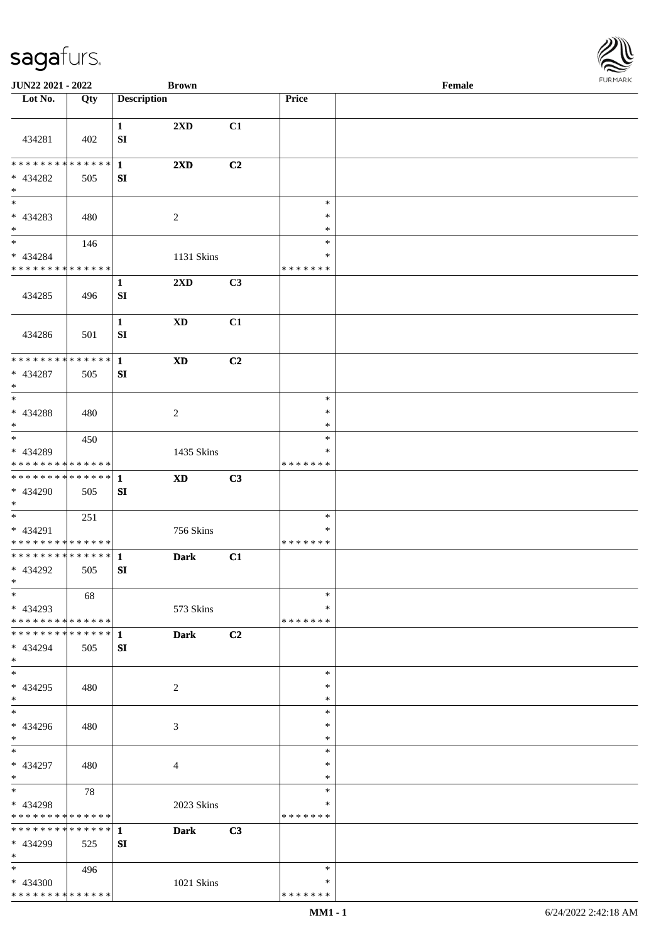

| JUN22 2021 - 2022                                                   |     |                                  | <b>Brown</b>           |                |                                   | Female | <b>FURMARK</b> |
|---------------------------------------------------------------------|-----|----------------------------------|------------------------|----------------|-----------------------------------|--------|----------------|
| $\overline{\phantom{1}}$ Lot No.                                    | Qty | <b>Description</b>               |                        |                | Price                             |        |                |
| 434281                                                              | 402 | $\mathbf{1}$<br>SI               | 2XD                    | C1             |                                   |        |                |
| * * * * * * * * * * * * * * *<br>* 434282<br>$\ast$                 | 505 | $\mathbf{1}$<br>SI               | 2XD                    | C <sub>2</sub> |                                   |        |                |
| $\overline{\phantom{0}}$<br>* 434283<br>$*$                         | 480 |                                  | $\sqrt{2}$             |                | $\ast$<br>$\ast$<br>$\ast$        |        |                |
| $*$<br>* 434284<br>* * * * * * * * * * * * * *                      | 146 |                                  | 1131 Skins             |                | $\ast$<br>$\ast$<br>* * * * * * * |        |                |
| 434285                                                              | 496 | $\mathbf{1}$<br>${\bf S}{\bf I}$ | 2XD                    | C <sub>3</sub> |                                   |        |                |
| 434286                                                              | 501 | $\mathbf{1}$<br>SI               | $\mathbf{X}\mathbf{D}$ | C1             |                                   |        |                |
| * * * * * * * * * * * * * * *<br>* 434287<br>$\ast$                 | 505 | $\mathbf{1}$<br>SI               | $\mathbf{X}\mathbf{D}$ | C2             |                                   |        |                |
| $\overline{\phantom{a}^*}$<br>* 434288<br>$\ast$                    | 480 |                                  | $\overline{c}$         |                | $\ast$<br>$\ast$<br>$\ast$        |        |                |
| $\overline{\phantom{0}}$<br>* 434289<br>* * * * * * * * * * * * * * | 450 |                                  | 1435 Skins             |                | $\ast$<br>∗<br>* * * * * * *      |        |                |
| **************<br>* 434290<br>$\ast$                                | 505 | $\mathbf{1}$<br>SI               | $\mathbf{X}\mathbf{D}$ | C3             |                                   |        |                |
| $*$<br>* 434291<br>* * * * * * * * * * * * * *                      | 251 |                                  | 756 Skins              |                | $\ast$<br>$\ast$<br>* * * * * * * |        |                |
| **************<br>* 434292<br>$\ast$                                | 505 | $\mathbf{1}$<br>SI               | <b>Dark</b>            | C1             |                                   |        |                |
| $\ast$<br>* 434293<br>* * * * * * * * * * * * * *                   | 68  |                                  | 573 Skins              |                | $\ast$<br>*<br>* * * * * * *      |        |                |
| * * * * * * * * * * * * * * *<br>* 434294<br>$\ast$                 | 505 | 1<br>SI                          | <b>Dark</b>            | C2             |                                   |        |                |
| $_{\ast}^{-}$<br>* 434295<br>$\ast$                                 | 480 |                                  | $\overline{c}$         |                | $\ast$<br>∗<br>$\ast$             |        |                |
| $\overline{\phantom{a}^*}$<br>* 434296<br>$\ast$                    | 480 |                                  | 3                      |                | $\ast$<br>$\ast$<br>$\ast$        |        |                |
| $\ast$<br>* 434297<br>$\ast$                                        | 480 |                                  | 4                      |                | $\ast$<br>$\ast$<br>$\ast$        |        |                |
| $\ast$<br>* 434298<br>* * * * * * * * * * * * * *                   | 78  |                                  | 2023 Skins             |                | $\ast$<br>∗<br>* * * * * * *      |        |                |
| ************** 1<br>* 434299<br>$\ast$                              | 525 | SI                               | <b>Dark</b>            | C3             |                                   |        |                |
| $*$<br>$* 434300$<br>* * * * * * * * * * * * * *                    | 496 |                                  | 1021 Skins             |                | $\ast$<br>∗<br>* * * * * * *      |        |                |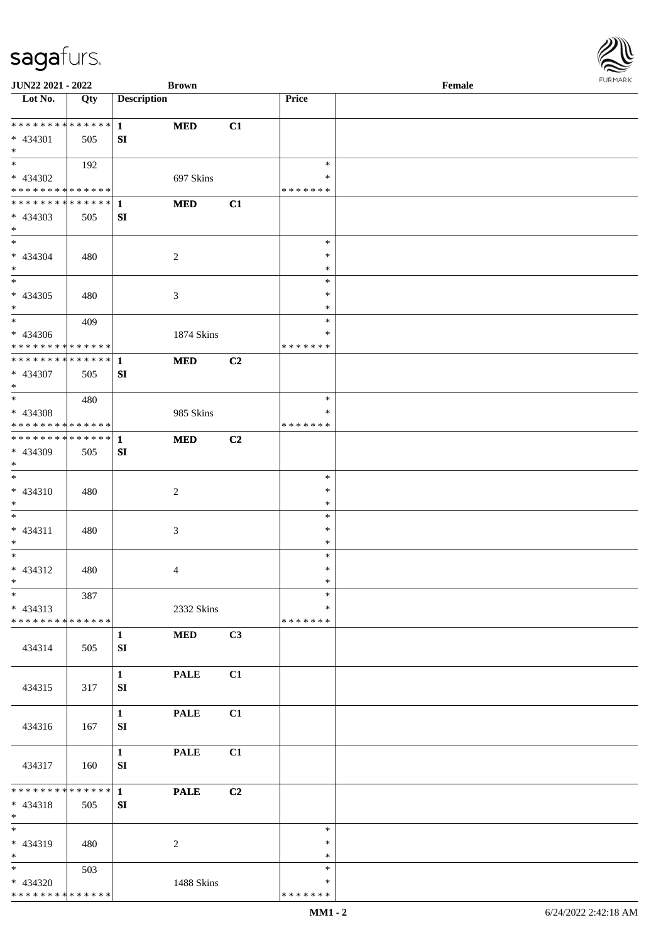| JUN22 2021 - 2022                       |     | <b>Brown</b>                |                |                         | Female |  |
|-----------------------------------------|-----|-----------------------------|----------------|-------------------------|--------|--|
| Lot No.                                 | Qty | <b>Description</b>          |                | Price                   |        |  |
|                                         |     |                             |                |                         |        |  |
| ******** <mark>******</mark>            |     | <b>MED</b><br>$\mathbf{1}$  | C1             |                         |        |  |
| $* 434301$                              | 505 | SI                          |                |                         |        |  |
| $*$<br>$\overline{\ast}$                |     |                             |                |                         |        |  |
|                                         | 192 |                             |                | $\ast$                  |        |  |
| * 434302<br>**************              |     | 697 Skins                   |                | $\ast$<br>* * * * * * * |        |  |
| **************                          |     |                             |                |                         |        |  |
|                                         |     | <b>MED</b><br>1             | C1             |                         |        |  |
| * 434303<br>$*$                         | 505 | SI                          |                |                         |        |  |
| $\overline{\ast}$                       |     |                             |                | $\ast$                  |        |  |
| $* 434304$                              | 480 | $\overline{2}$              |                | $\ast$                  |        |  |
| $\ast$                                  |     |                             |                | $\ast$                  |        |  |
| $\overline{\phantom{a}^*}$              |     |                             |                | $\ast$                  |        |  |
| $* 434305$                              | 480 | $\mathfrak{Z}$              |                | $\ast$                  |        |  |
| $\ast$                                  |     |                             |                | $\ast$                  |        |  |
| $\overline{\phantom{0}}$                | 409 |                             |                | $\ast$                  |        |  |
| $* 434306$                              |     | 1874 Skins                  |                | $\ast$                  |        |  |
| * * * * * * * * * * * * * * *           |     |                             |                | * * * * * * *           |        |  |
| **************                          |     | <b>MED</b><br>$\mathbf 1$   | C2             |                         |        |  |
| * 434307                                | 505 | SI                          |                |                         |        |  |
| $\ast$                                  |     |                             |                |                         |        |  |
| $*$                                     | 480 |                             |                | $\ast$                  |        |  |
| $* 434308$                              |     | 985 Skins                   |                | $\ast$                  |        |  |
| **************                          |     |                             |                | * * * * * * *           |        |  |
| **************                          |     | <b>MED</b><br>1             | C <sub>2</sub> |                         |        |  |
| * 434309<br>$*$                         | 505 | SI                          |                |                         |        |  |
| $\overline{\phantom{a}^*}$              |     |                             |                | $\ast$                  |        |  |
| $* 434310$                              | 480 | $\sqrt{2}$                  |                | $\ast$                  |        |  |
| $*$                                     |     |                             |                | $\ast$                  |        |  |
| $*$                                     |     |                             |                | $\ast$                  |        |  |
| $* 434311$                              | 480 | $\mathfrak{Z}$              |                | $\ast$                  |        |  |
| $*$                                     |     |                             |                | $\ast$                  |        |  |
| $*$                                     |     |                             |                | $\ast$                  |        |  |
| $* 434312$                              | 480 | $\overline{4}$              |                | $\ast$                  |        |  |
| $*$                                     |     |                             |                | $\ast$                  |        |  |
| $\ast$                                  | 387 |                             |                | $\ast$                  |        |  |
| $* 434313$                              |     | 2332 Skins                  |                | ∗                       |        |  |
| * * * * * * * * * * * * * *             |     |                             |                | * * * * * * *           |        |  |
|                                         |     | $\bf MED$<br>$\mathbf{1}$   | C3             |                         |        |  |
| 434314                                  | 505 | SI                          |                |                         |        |  |
|                                         |     |                             |                |                         |        |  |
|                                         |     | $\mathbf{1}$<br><b>PALE</b> | C1             |                         |        |  |
| 434315                                  | 317 | SI                          |                |                         |        |  |
|                                         |     | $\mathbf{1}$<br><b>PALE</b> | C1             |                         |        |  |
| 434316                                  | 167 | SI                          |                |                         |        |  |
|                                         |     |                             |                |                         |        |  |
|                                         |     | $\mathbf{1}$<br><b>PALE</b> | C1             |                         |        |  |
| 434317                                  | 160 | SI                          |                |                         |        |  |
|                                         |     |                             |                |                         |        |  |
| * * * * * * * * * * * * * *             |     | $\mathbf{1}$<br><b>PALE</b> | C2             |                         |        |  |
| $* 434318$                              | 505 | SI                          |                |                         |        |  |
| $*$                                     |     |                             |                |                         |        |  |
| $\ast$                                  |     |                             |                | $\ast$                  |        |  |
| * 434319                                | 480 | 2                           |                | $\ast$                  |        |  |
| $*$                                     |     |                             |                | $\ast$                  |        |  |
| $*$                                     | 503 |                             |                | $\ast$                  |        |  |
| * 434320<br>* * * * * * * * * * * * * * |     | 1488 Skins                  |                | $\ast$<br>* * * * * * * |        |  |
|                                         |     |                             |                |                         |        |  |

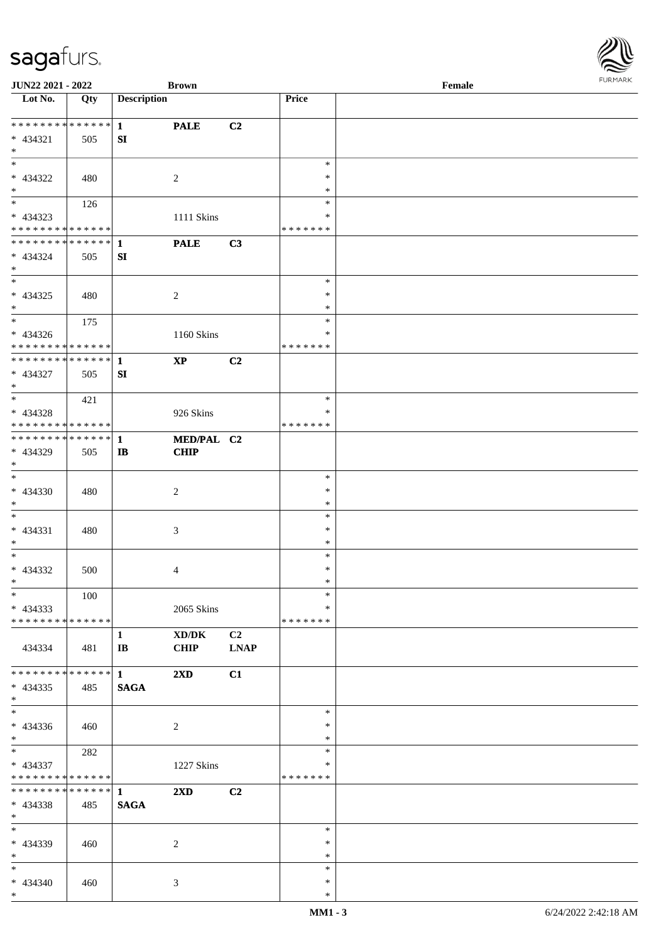| <b>JUN22 2021 - 2022</b>                                                           |     |                                        | <b>Brown</b>              |                               |                                   | Female |  |
|------------------------------------------------------------------------------------|-----|----------------------------------------|---------------------------|-------------------------------|-----------------------------------|--------|--|
| Lot No.                                                                            | Qty | <b>Description</b>                     |                           |                               | Price                             |        |  |
| **************<br>* 434321<br>$*$                                                  | 505 | $\mathbf{1}$<br>SI                     | <b>PALE</b>               | C2                            |                                   |        |  |
| * 434322<br>$*$                                                                    | 480 |                                        | 2                         |                               | $\ast$<br>$\ast$<br>$\ast$        |        |  |
| * 434323<br>* * * * * * * * * * * * * *                                            | 126 |                                        | 1111 Skins                |                               | $\ast$<br>$\ast$<br>* * * * * * * |        |  |
| * * * * * * * * <mark>* * * * * * *</mark><br>* 434324<br>$*$                      | 505 | 1<br>SI                                | <b>PALE</b>               | C3                            |                                   |        |  |
| $* 434325$<br>$*$                                                                  | 480 |                                        | $\overline{c}$            |                               | $\ast$<br>$\ast$<br>$\ast$        |        |  |
| * 434326<br>* * * * * * * * * * * * * *                                            | 175 |                                        | 1160 Skins                |                               | $\ast$<br>$\ast$<br>* * * * * * * |        |  |
| * * * * * * * * <mark>* * * * * * *</mark><br>* 434327<br>$*$                      | 505 | $\mathbf{1}$<br>SI                     | $\mathbf{X}\mathbf{P}$    | C2                            |                                   |        |  |
| * 434328<br>* * * * * * * * <mark>* * * * * *</mark>                               | 421 |                                        | 926 Skins                 |                               | $\ast$<br>*<br>* * * * * * *      |        |  |
| * * * * * * * * <mark>* * * * * * *</mark><br>* 434329<br>$*$<br>$\overline{\ast}$ | 505 | 1<br>$\mathbf{I}$                      | MED/PAL C2<br><b>CHIP</b> |                               |                                   |        |  |
| * 434330<br>$*$                                                                    | 480 |                                        | 2                         |                               | $\ast$<br>$\ast$<br>$\ast$        |        |  |
| $*$<br>$* 434331$<br>$\ast$                                                        | 480 |                                        | 3                         |                               | $\ast$<br>$\ast$<br>$\ast$        |        |  |
| $*$<br>* 434332<br>$*$ $*$                                                         | 500 |                                        | 4                         |                               | $\ast$<br>$\ast$<br>$\ast$        |        |  |
| $*$<br>$* 434333$<br>* * * * * * * * * * * * * * *                                 | 100 |                                        | 2065 Skins                |                               | $\ast$<br>$\ast$<br>* * * * * * * |        |  |
| 434334                                                                             | 481 | $\mathbf{1}$<br>$\mathbf{I}\mathbf{B}$ | XD/DK<br><b>CHIP</b>      | C <sub>2</sub><br><b>LNAP</b> |                                   |        |  |
| * * * * * * * * <mark>* * * * * * *</mark><br>$* 434335$<br>$*$                    | 485 | $\mathbf{1}$<br><b>SAGA</b>            | $2\mathbf{X}\mathbf{D}$   | C1                            |                                   |        |  |
| $*$<br>$* 434336$<br>$*$ $*$                                                       | 460 |                                        | 2                         |                               | $\ast$<br>$\ast$<br>$\ast$        |        |  |
| $\ddot{x}$<br>$* 434337$<br>* * * * * * * * <mark>* * * * * *</mark>               | 282 |                                        | 1227 Skins                |                               | $\ast$<br>∗<br>*******            |        |  |
| * * * * * * * * * * * * * * <mark>*</mark><br>$* 434338$<br>$*$                    | 485 | $\mathbf{1}$<br><b>SAGA</b>            | $2\mathbf{X}\mathbf{D}$   | C2                            |                                   |        |  |
| $*$<br>* 434339<br>$*$                                                             | 460 |                                        | 2                         |                               | $\ast$<br>$\ast$<br>$\ast$        |        |  |
| $*$<br>* 434340<br>$\ast$                                                          | 460 |                                        | 3                         |                               | $\ast$<br>$\ast$<br>$\ast$        |        |  |

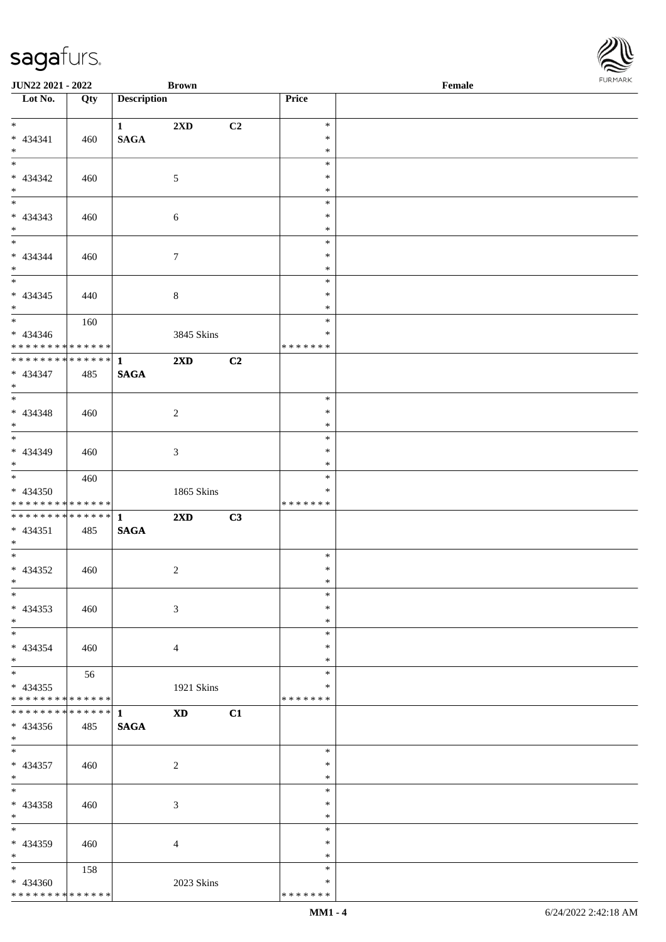| JUN22 2021 - 2022                          |                  |                        | <b>Brown</b>            |    |                  | $\ensuremath{\textnormal{\textbf{Female}}}$ | <b>FURMARI</b> |
|--------------------------------------------|------------------|------------------------|-------------------------|----|------------------|---------------------------------------------|----------------|
| $\overline{\phantom{1}}$ Lot No.           | $\overline{Qty}$ | <b>Description</b>     |                         |    | Price            |                                             |                |
| $*$                                        |                  | $1 \quad \blacksquare$ | 2XD                     | C2 | $\ast$           |                                             |                |
| $* 434341$                                 | 460              | <b>SAGA</b>            |                         |    | $\ast$           |                                             |                |
| $*$                                        |                  |                        |                         |    | $\ast$           |                                             |                |
| $\overline{\phantom{a}^*}$                 |                  |                        |                         |    | $\ast$           |                                             |                |
| * 434342<br>$\ast$                         | 460              |                        | $5\,$                   |    | $\ast$<br>$\ast$ |                                             |                |
| $\overline{\phantom{a}}$                   |                  |                        |                         |    | $\ast$           |                                             |                |
| $* 434343$                                 | 460              |                        | 6                       |    | $\ast$           |                                             |                |
| $*$                                        |                  |                        |                         |    | $\ast$           |                                             |                |
| $\ast$                                     |                  |                        |                         |    | $\ast$           |                                             |                |
| * 434344                                   | 460              |                        | $\tau$                  |    | $\ast$           |                                             |                |
| $*$<br>$\ast$                              |                  |                        |                         |    | $\ast$<br>$\ast$ |                                             |                |
| $* 434345$                                 | 440              |                        | $8\,$                   |    | $\ast$           |                                             |                |
| $\ast$                                     |                  |                        |                         |    | $\ast$           |                                             |                |
| $\overline{\phantom{a}^*}$                 | 160              |                        |                         |    | $\ast$           |                                             |                |
| $* 434346$                                 |                  |                        | 3845 Skins              |    | $\ast$           |                                             |                |
| **************                             |                  |                        |                         |    | * * * * * * *    |                                             |                |
| ******** <mark>******</mark><br>$* 434347$ |                  | $\mathbf{1}$           | $2\mathbf{X}\mathbf{D}$ | C2 |                  |                                             |                |
| $\ast$                                     | 485              | <b>SAGA</b>            |                         |    |                  |                                             |                |
| $\ast$                                     |                  |                        |                         |    | $\ast$           |                                             |                |
| * 434348                                   | 460              |                        | $\overline{c}$          |    | $\ast$           |                                             |                |
| $\ast$                                     |                  |                        |                         |    | $\ast$           |                                             |                |
| $_{\ast}^{-}$                              |                  |                        |                         |    | $\ast$           |                                             |                |
| * 434349                                   | 460              |                        | 3                       |    | $\ast$           |                                             |                |
| $\ast$<br>$\overline{\ast}$                | 460              |                        |                         |    | $\ast$<br>$\ast$ |                                             |                |
| * 434350                                   |                  |                        | 1865 Skins              |    | $\ast$           |                                             |                |
| **************                             |                  |                        |                         |    | * * * * * * *    |                                             |                |
| **************                             |                  | $\mathbf{1}$           | 2XD                     | C3 |                  |                                             |                |
| $* 434351$                                 | 485              | <b>SAGA</b>            |                         |    |                  |                                             |                |
| $*$<br>$\overline{\phantom{a}^*}$          |                  |                        |                         |    |                  |                                             |                |
| $* 434352$                                 |                  |                        |                         |    | $\ast$<br>$\ast$ |                                             |                |
| $\ast$                                     | 460              |                        | $\overline{c}$          |    | $\ast$           |                                             |                |
| $\overline{\phantom{a}^*}$                 |                  |                        |                         |    | $\ast$           |                                             |                |
| $* 434353$                                 | 460              |                        | 3                       |    | $\ast$           |                                             |                |
| $\ast$                                     |                  |                        |                         |    | $\ast$           |                                             |                |
| $\ast$                                     |                  |                        |                         |    | $\ast$           |                                             |                |
| * 434354                                   | 460              |                        | 4                       |    | $\ast$           |                                             |                |
| $\ast$<br>$_{\ast}^{-}$                    | 56               |                        |                         |    | $\ast$<br>$\ast$ |                                             |                |
| $* 434355$                                 |                  |                        | 1921 Skins              |    | ∗                |                                             |                |
| * * * * * * * * * * * * * *                |                  |                        |                         |    | * * * * * * *    |                                             |                |
| **************                             |                  | $\mathbf{1}$           | $\mathbf{X}\mathbf{D}$  | C1 |                  |                                             |                |
| $* 434356$                                 | 485              | <b>SAGA</b>            |                         |    |                  |                                             |                |
| $\ast$                                     |                  |                        |                         |    |                  |                                             |                |
| $\ast$                                     |                  |                        |                         |    | $\ast$           |                                             |                |
| * 434357<br>$\ast$                         | 460              |                        | $\sqrt{2}$              |    | $\ast$<br>$\ast$ |                                             |                |
| $\ast$                                     |                  |                        |                         |    | $\ast$           |                                             |                |
| $* 434358$                                 | 460              |                        | 3                       |    | $\ast$           |                                             |                |
| $\ast$                                     |                  |                        |                         |    | $\ast$           |                                             |                |
| $\ast$                                     |                  |                        |                         |    | $\ast$           |                                             |                |
| * 434359                                   | 460              |                        | 4                       |    | $\ast$           |                                             |                |
| $\ast$                                     |                  |                        |                         |    | $\ast$           |                                             |                |
| $\ast$<br>* 434360                         | 158              |                        |                         |    | $\ast$<br>$\ast$ |                                             |                |
| ******** <mark>******</mark>               |                  |                        | 2023 Skins              |    | * * * * * * *    |                                             |                |
|                                            |                  |                        |                         |    |                  |                                             |                |

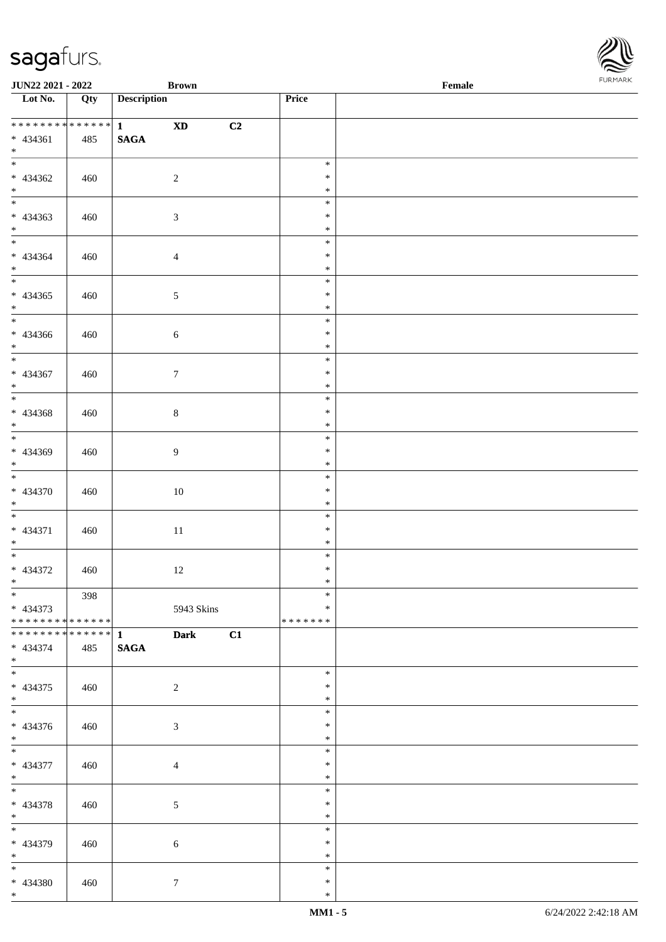\*

\* 434380 460 7

| ************** 1                                      |     | $\mathbf{X}\mathbf{D}$<br>C2 |         |  |
|-------------------------------------------------------|-----|------------------------------|---------|--|
| $* 434361$                                            | 485 | $\mathbf{SAGA}$              |         |  |
| $*$                                                   |     |                              |         |  |
| $*$                                                   |     |                              | $\ast$  |  |
| $* 434362$                                            |     |                              | $\ast$  |  |
|                                                       | 460 | $\sqrt{2}$                   |         |  |
| $*$                                                   |     |                              | $\ast$  |  |
|                                                       |     |                              | $\ast$  |  |
| $* 434363$                                            | 460 | $\mathfrak{Z}$               | $\ast$  |  |
| $*$                                                   |     |                              | $\ast$  |  |
| $*$                                                   |     |                              | $\ast$  |  |
| $* 434364$                                            | 460 | $\overline{4}$               | $\ast$  |  |
|                                                       |     |                              | $\ast$  |  |
| $\begin{array}{c}\n * \\  \hline\n * \\  \end{array}$ |     |                              | $\ast$  |  |
| $* 434365$                                            | 460 | $\mathfrak{S}$               | $\ast$  |  |
| $*$                                                   |     |                              | $\ast$  |  |
|                                                       |     |                              | $\ast$  |  |
|                                                       |     |                              | $\ast$  |  |
| $* 434366$                                            | 460 | 6                            |         |  |
| $*$                                                   |     |                              | $\ast$  |  |
|                                                       |     |                              | $\ast$  |  |
| $* 434367$                                            | 460 | $\mathcal{I}$                | $\ast$  |  |
| $*$                                                   |     |                              | $\ast$  |  |
|                                                       |     |                              | $\ast$  |  |
| $* 434368$                                            | 460 | $8\,$                        | $\ast$  |  |
| $*$                                                   |     |                              | $\ast$  |  |
|                                                       |     |                              | $\ast$  |  |
| * 434369                                              | 460 | $\overline{9}$               | $\ast$  |  |
| $*$                                                   |     |                              | $\ast$  |  |
| $\overline{\phantom{0}}$                              |     |                              | $\ast$  |  |
|                                                       |     |                              | $\ast$  |  |
| * 434370                                              | 460 | 10                           |         |  |
| $*$                                                   |     |                              | $\ast$  |  |
|                                                       |     |                              | $\ast$  |  |
| $* 434371$                                            | 460 | 11                           | $\ast$  |  |
| $*$                                                   |     |                              | $\ast$  |  |
|                                                       |     |                              | $\ast$  |  |
| * 434372                                              | 460 | 12                           | $\ast$  |  |
| $*$                                                   |     |                              | $\ast$  |  |
|                                                       | 398 |                              | $\ast$  |  |
| $* 434373$                                            |     | 5943 Skins                   | *       |  |
| * * * * * * * * * * * * * * *                         |     |                              | ******* |  |
|                                                       |     | <b>Dark</b><br>C1            |         |  |
| * 434374                                              |     | <b>SAGA</b>                  |         |  |
|                                                       | 485 |                              |         |  |
| $*$<br>$\overline{\phantom{0}}$                       |     |                              |         |  |
|                                                       |     |                              | $\ast$  |  |
| $* 434375$                                            | 460 | $\overline{2}$               | $\ast$  |  |
| $*$                                                   |     |                              | $\ast$  |  |
| $\overline{\phantom{0}}$                              |     |                              | $\ast$  |  |
| * 434376                                              | 460 | $\mathfrak{Z}$               | $\ast$  |  |
| $*$                                                   |     |                              | $\ast$  |  |
|                                                       |     |                              | $\ast$  |  |
| * 434377                                              | 460 | $\overline{4}$               | $\ast$  |  |
| $*$                                                   |     |                              | $\ast$  |  |
| $\overline{\ast}$                                     |     |                              | $\ast$  |  |
|                                                       |     |                              | $\ast$  |  |
| * 434378                                              | 460 | $5\phantom{.0}$              | $\ast$  |  |
| $*$<br>$\overline{\phantom{a}^*}$                     |     |                              |         |  |
|                                                       |     |                              | $\ast$  |  |
| * 434379                                              | 460 | $\sqrt{6}$                   | $\ast$  |  |
| $*$                                                   |     |                              | $\ast$  |  |
| $\ast$                                                |     |                              | $\ast$  |  |

 $\overline{\phantom{a}}$ 

**JUN22 2021 - 2022 Brown Female**

**Lot No. Qty Description Price**

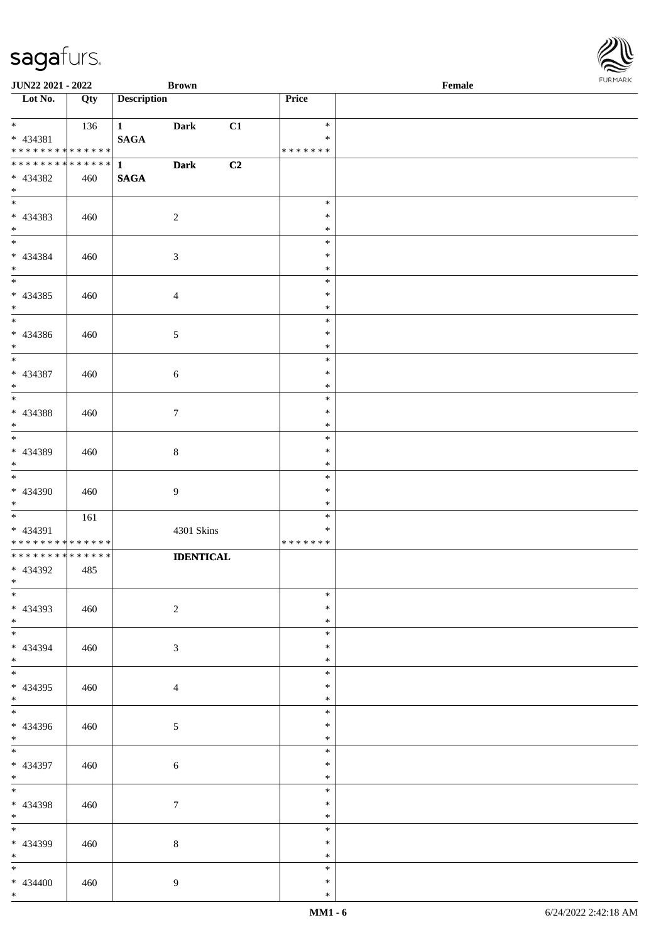| <b>JUN22 2021 - 2022</b>                                               |     |                                  | <b>Brown</b>     |    |                                   | Female |  |
|------------------------------------------------------------------------|-----|----------------------------------|------------------|----|-----------------------------------|--------|--|
| Lot No.                                                                | Qty | <b>Description</b>               |                  |    | Price                             |        |  |
| $\ddot{x}$<br>* 434381<br>* * * * * * * * <mark>* * * * * * *</mark>   | 136 | $1 \qquad \qquad$<br><b>SAGA</b> | <b>Dark</b>      | C1 | $\ast$<br>$\ast$<br>* * * * * * * |        |  |
| * * * * * * * * <mark>* * * * * * *</mark><br>* 434382<br>$\ast$       | 460 | $1 \qquad \qquad$<br><b>SAGA</b> | <b>Dark</b>      | C2 |                                   |        |  |
| * 434383<br>$*$                                                        | 460 |                                  | $\overline{2}$   |    | $\ast$<br>$\ast$<br>$\ast$        |        |  |
| $*$<br>* 434384<br>$*$                                                 | 460 |                                  | $\sqrt{3}$       |    | $\ast$<br>$\ast$<br>$\ast$        |        |  |
| $\overline{\ast}$<br>* 434385<br>$*$                                   | 460 |                                  | $\overline{4}$   |    | $\ast$<br>$\ast$<br>$\ast$        |        |  |
| * 434386<br>$*$                                                        | 460 |                                  | $\mathfrak{S}$   |    | $\ast$<br>$\ast$<br>$\ast$        |        |  |
| $\overline{\phantom{0}}$<br>* 434387<br>$*$                            | 460 |                                  | $\sqrt{6}$       |    | $\ast$<br>$\ast$<br>$\ast$        |        |  |
| * 434388<br>$*$                                                        | 460 |                                  | $\tau$           |    | $\ast$<br>$\ast$<br>$\ast$        |        |  |
| $\overline{\phantom{0}}$<br>* 434389<br>$\ast$                         | 460 |                                  | 8                |    | $\ast$<br>$\ast$<br>$\ast$        |        |  |
| $*$<br>* 434390<br>$*$                                                 | 460 |                                  | 9                |    | $\ast$<br>$\ast$<br>$\ast$        |        |  |
| * 434391<br>* * * * * * * * <mark>* * * * * * *</mark>                 | 161 |                                  | 4301 Skins       |    | $\ast$<br>$\ast$<br>* * * * * * * |        |  |
| * * * * * * * * <mark>* * * * * * *</mark><br>* 434392<br>$*$ $\qquad$ | 485 |                                  | <b>IDENTICAL</b> |    |                                   |        |  |
| $\overline{\ast}$<br>* 434393<br>$*$                                   | 460 |                                  | $\overline{c}$   |    | $\ast$<br>$\ast$<br>$\ast$        |        |  |
| * 434394<br>$*$                                                        | 460 |                                  | 3                |    | $\ast$<br>$\ast$<br>$\ast$        |        |  |
| $*$<br>* 434395<br>$*$                                                 | 460 |                                  | 4                |    | $\ast$<br>$\ast$<br>$\ast$        |        |  |
| * 434396<br>$*$                                                        | 460 |                                  | $\mathfrak{S}$   |    | $\ast$<br>$\ast$<br>$\ast$        |        |  |
| $\overline{\mathbf{r}}$<br>* 434397<br>$*$                             | 460 |                                  | $\sqrt{6}$       |    | $\ast$<br>$\ast$<br>$\ast$        |        |  |
| $*$<br>* 434398<br>$*$ $-$                                             | 460 |                                  | $\tau$           |    | $\ast$<br>$\ast$<br>$\ast$        |        |  |
| $\overline{\ }$<br>* 434399<br>$*$                                     | 460 |                                  | $8\,$            |    | $\ast$<br>$\ast$<br>$\ast$        |        |  |
| $*$<br>$* 434400$<br>$\ddot{x}$                                        | 460 |                                  | $\overline{9}$   |    | $\ast$<br>$\ast$<br>$\ast$        |        |  |

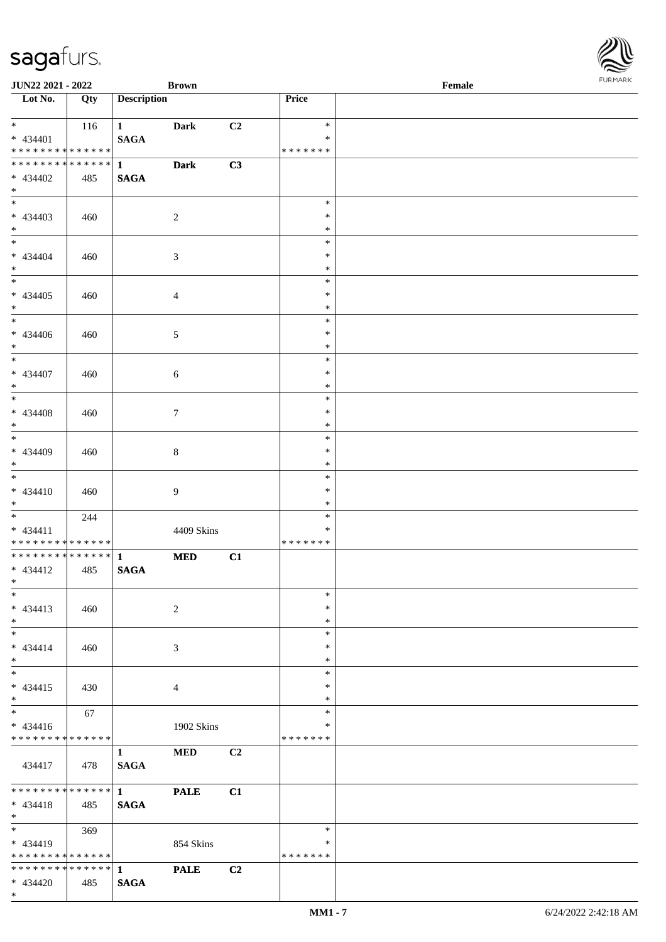| <b>JUN22 2021 - 2022</b>                   |     |                                       | <b>Brown</b>   |                |                  | Female |  |
|--------------------------------------------|-----|---------------------------------------|----------------|----------------|------------------|--------|--|
| Lot No.                                    | Qty | <b>Description</b>                    |                |                | Price            |        |  |
|                                            |     |                                       |                |                |                  |        |  |
| $*$ $*$<br>$* 434401$                      | 116 | $1 \quad \blacksquare$<br><b>SAGA</b> | <b>Dark</b>    | C2             | $\ast$<br>$\ast$ |        |  |
| * * * * * * * * * * * * * *                |     |                                       |                |                | * * * * * * *    |        |  |
| ******** <mark>******</mark>               |     | $\mathbf{1}$                          | <b>Dark</b>    | C3             |                  |        |  |
| * 434402                                   | 485 | <b>SAGA</b>                           |                |                |                  |        |  |
| $*$                                        |     |                                       |                |                |                  |        |  |
|                                            |     |                                       |                |                | $\ast$           |        |  |
| * 434403                                   | 460 |                                       | 2              |                | $\ast$           |        |  |
| $*$                                        |     |                                       |                |                | $\ast$           |        |  |
| $*$                                        |     |                                       |                |                | $\ast$<br>$\ast$ |        |  |
| * 434404<br>$*$                            | 460 |                                       | 3              |                | $\ast$           |        |  |
| $*$                                        |     |                                       |                |                | $\ast$           |        |  |
| $* 434405$                                 | 460 |                                       | $\overline{4}$ |                | $\ast$           |        |  |
| $*$                                        |     |                                       |                |                | $\ast$           |        |  |
| $\overline{\ast}$                          |     |                                       |                |                | $\ast$           |        |  |
| $* 434406$                                 | 460 |                                       | 5              |                | $\ast$           |        |  |
| $*$                                        |     |                                       |                |                | $\ast$           |        |  |
| $*$                                        |     |                                       |                |                | $\ast$<br>$\ast$ |        |  |
| * 434407<br>$*$                            | 460 |                                       | 6              |                | $\ast$           |        |  |
|                                            |     |                                       |                |                | $\ast$           |        |  |
| $* 434408$                                 | 460 |                                       | $\tau$         |                | $\ast$           |        |  |
| $*$                                        |     |                                       |                |                | $\ast$           |        |  |
| $\overline{\phantom{0}}$                   |     |                                       |                |                | $\ast$           |        |  |
| * 434409                                   | 460 |                                       | 8              |                | $\ast$           |        |  |
| $*$                                        |     |                                       |                |                | $\ast$           |        |  |
|                                            |     |                                       |                |                | $\ast$<br>$\ast$ |        |  |
| $* 434410$<br>$*$                          | 460 |                                       | 9              |                | $\ast$           |        |  |
| $*$ $*$                                    | 244 |                                       |                |                | $\ast$           |        |  |
| $* 434411$                                 |     |                                       | 4409 Skins     |                | $\ast$           |        |  |
| * * * * * * * * <mark>* * * * * * *</mark> |     |                                       |                |                | * * * * * * *    |        |  |
| * * * * * * * * <mark>* * * * * * *</mark> |     | $\mathbf{1}$                          | <b>MED</b>     | C1             |                  |        |  |
| $* 434412$                                 | 485 | <b>SAGA</b>                           |                |                |                  |        |  |
| $*$ $*$<br>$*$                             |     |                                       |                |                | $\ast$           |        |  |
| $* 434413$                                 | 460 |                                       | 2              |                | $\ast$           |        |  |
| $*$                                        |     |                                       |                |                | $\ast$           |        |  |
| $*$ $-$                                    |     |                                       |                |                | $\ast$           |        |  |
| $* 434414$                                 | 460 |                                       | 3              |                | $\ast$           |        |  |
| $*$                                        |     |                                       |                |                | $\ast$           |        |  |
| $*$                                        |     |                                       |                |                | $\ast$           |        |  |
| $* 434415$                                 | 430 |                                       | 4              |                | $\ast$           |        |  |
| $*$<br>$\overline{\ast}$                   | 67  |                                       |                |                | $\ast$<br>$\ast$ |        |  |
| $* 434416$                                 |     |                                       | 1902 Skins     |                | ∗                |        |  |
| * * * * * * * * * * * * * *                |     |                                       |                |                | * * * * * * *    |        |  |
|                                            |     | $\mathbf{1}$                          | <b>MED</b>     | C2             |                  |        |  |
| 434417                                     | 478 | <b>SAGA</b>                           |                |                |                  |        |  |
|                                            |     |                                       |                |                |                  |        |  |
| * * * * * * * * <mark>* * * * * * *</mark> |     |                                       | <b>PALE</b>    | C1             |                  |        |  |
| $* 434418$                                 | 485 | <b>SAGA</b>                           |                |                |                  |        |  |
| $*$<br>$*$ $*$                             | 369 |                                       |                |                | $\ast$           |        |  |
| $* 434419$                                 |     |                                       | 854 Skins      |                | ∗                |        |  |
| * * * * * * * * <mark>* * * * * * *</mark> |     |                                       |                |                | * * * * * * *    |        |  |
|                                            |     |                                       | <b>PALE</b>    | C <sub>2</sub> |                  |        |  |
| * 434420                                   | 485 | <b>SAGA</b>                           |                |                |                  |        |  |

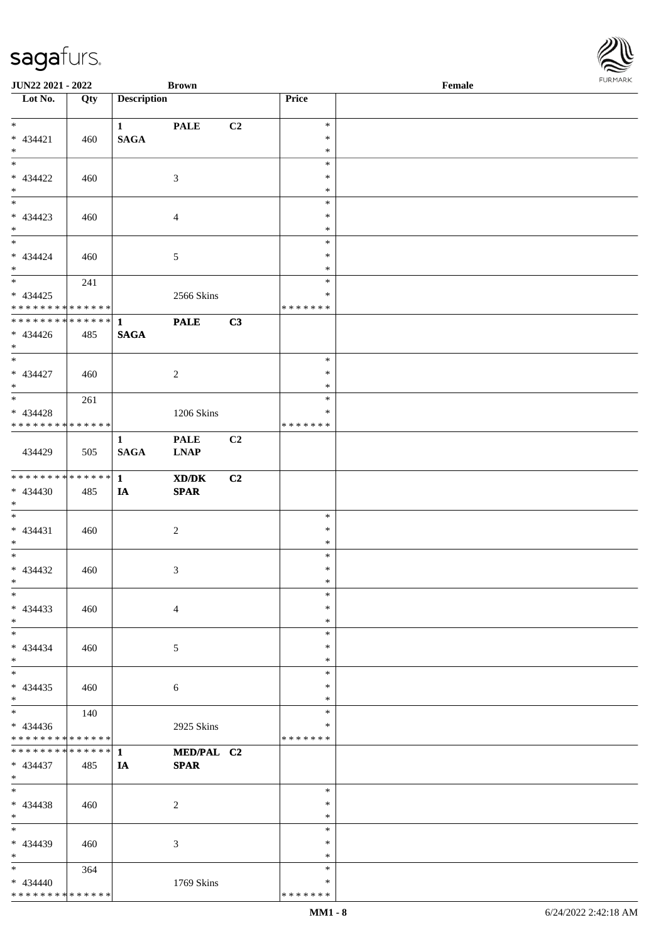| JUN22 2021 - 2022                  |     |                    | <b>Brown</b>                                                |    |                  | Female |  |
|------------------------------------|-----|--------------------|-------------------------------------------------------------|----|------------------|--------|--|
| Lot No.                            | Qty | <b>Description</b> |                                                             |    | Price            |        |  |
|                                    |     |                    |                                                             |    |                  |        |  |
| $\ast$                             |     | $\mathbf{1}$       | <b>PALE</b>                                                 | C2 | $\ast$           |        |  |
| * 434421                           | 460 | $\mathbf{SAGA}$    |                                                             |    | $\ast$           |        |  |
| $\ast$<br>$\overline{\phantom{0}}$ |     |                    |                                                             |    | $\ast$<br>$\ast$ |        |  |
| * 434422                           | 460 |                    | $\mathfrak{Z}$                                              |    | $\ast$           |        |  |
|                                    |     |                    |                                                             |    | $\ast$           |        |  |
| $*$ $*$                            |     |                    |                                                             |    | $\ast$           |        |  |
| * 434423                           | 460 |                    | $\overline{4}$                                              |    | $\ast$           |        |  |
| $*$                                |     |                    |                                                             |    | $\ast$           |        |  |
| $\overline{\phantom{0}}$           |     |                    |                                                             |    | $\ast$           |        |  |
| $* 434424$                         | 460 |                    | $\sqrt{5}$                                                  |    | $\ast$           |        |  |
| $*$                                |     |                    |                                                             |    | $\ast$           |        |  |
| $\overline{\phantom{a}^*}$         | 241 |                    |                                                             |    | $\ast$           |        |  |
| $* 434425$                         |     |                    | 2566 Skins                                                  |    | $\ast$           |        |  |
| * * * * * * * * * * * * * *        |     |                    |                                                             |    | * * * * * * *    |        |  |
| ******** <mark>******</mark>       |     | $\mathbf{1}$       | <b>PALE</b>                                                 | C3 |                  |        |  |
| $* 434426$                         | 485 | <b>SAGA</b>        |                                                             |    |                  |        |  |
| $*$<br>$\overline{\phantom{0}}$    |     |                    |                                                             |    |                  |        |  |
|                                    |     |                    |                                                             |    | $\ast$           |        |  |
| $* 434427$<br>$*$                  | 460 |                    | $\overline{c}$                                              |    | $\ast$<br>$\ast$ |        |  |
| $\overline{\ast}$                  | 261 |                    |                                                             |    | $\ast$           |        |  |
| * 434428                           |     |                    | 1206 Skins                                                  |    | $\ast$           |        |  |
| * * * * * * * * * * * * * *        |     |                    |                                                             |    | * * * * * * *    |        |  |
|                                    |     | $\mathbf{1}$       | <b>PALE</b>                                                 | C2 |                  |        |  |
| 434429                             | 505 | <b>SAGA</b>        | <b>LNAP</b>                                                 |    |                  |        |  |
|                                    |     |                    |                                                             |    |                  |        |  |
| * * * * * * * * * * * * * *        |     | $\mathbf{1}$       | $\boldsymbol{\text{X} \text{D} \text{/} \text{D} \text{K}}$ | C2 |                  |        |  |
| * 434430                           | 485 | IA                 | $\pmb{\quad \text{SPAR} \quad}$                             |    |                  |        |  |
| $*$                                |     |                    |                                                             |    |                  |        |  |
| $*$                                |     |                    |                                                             |    | $\ast$           |        |  |
| $* 434431$                         | 460 |                    | $\overline{c}$                                              |    | $\ast$           |        |  |
| $*$                                |     |                    |                                                             |    | $\ast$           |        |  |
| $*$                                |     |                    |                                                             |    | $\ast$           |        |  |
| $* 434432$                         | 460 |                    | $\mathfrak{Z}$                                              |    | $\ast$           |        |  |
| $*$<br>$\ast$                      |     |                    |                                                             |    | $*$<br>$\ast$    |        |  |
| $* 434433$                         | 460 |                    |                                                             |    | $\ast$           |        |  |
| $*$                                |     |                    | $\overline{4}$                                              |    | $\ast$           |        |  |
| $*$                                |     |                    |                                                             |    | $\ast$           |        |  |
| $* 434434$                         | 460 |                    | 5                                                           |    | $\ast$           |        |  |
| $*$                                |     |                    |                                                             |    | $\ast$           |        |  |
| $\frac{1}{\ast}$                   |     |                    |                                                             |    | $\ast$           |        |  |
| $* 434435$                         | 460 |                    | 6                                                           |    | $\ast$           |        |  |
| $*$                                |     |                    |                                                             |    | $\ast$           |        |  |
| $_{\ast}^{-}$                      | 140 |                    |                                                             |    | $\ast$           |        |  |
| $* 434436$                         |     |                    | 2925 Skins                                                  |    | *                |        |  |
| * * * * * * * * * * * * * *        |     |                    |                                                             |    | * * * * * * *    |        |  |
| * * * * * * * * * * * * * * *      |     | $\mathbf{1}$       | MED/PAL C2                                                  |    |                  |        |  |
| $* 434437$                         | 485 | IA                 | <b>SPAR</b>                                                 |    |                  |        |  |
| $*$                                |     |                    |                                                             |    |                  |        |  |
| $\ast$                             |     |                    |                                                             |    | $\ast$<br>$\ast$ |        |  |
| $* 434438$<br>$*$                  | 460 |                    | $\overline{2}$                                              |    | $\ast$           |        |  |
| $\ast$                             |     |                    |                                                             |    | $\ast$           |        |  |
| * 434439                           | 460 |                    | $\mathfrak{Z}$                                              |    | $\ast$           |        |  |
| $*$                                |     |                    |                                                             |    | $\ast$           |        |  |
| $*$                                | 364 |                    |                                                             |    | $\ast$           |        |  |
| $* 434440$                         |     |                    | 1769 Skins                                                  |    | $\ast$           |        |  |
| * * * * * * * * * * * * * *        |     |                    |                                                             |    | *******          |        |  |
|                                    |     |                    |                                                             |    |                  |        |  |

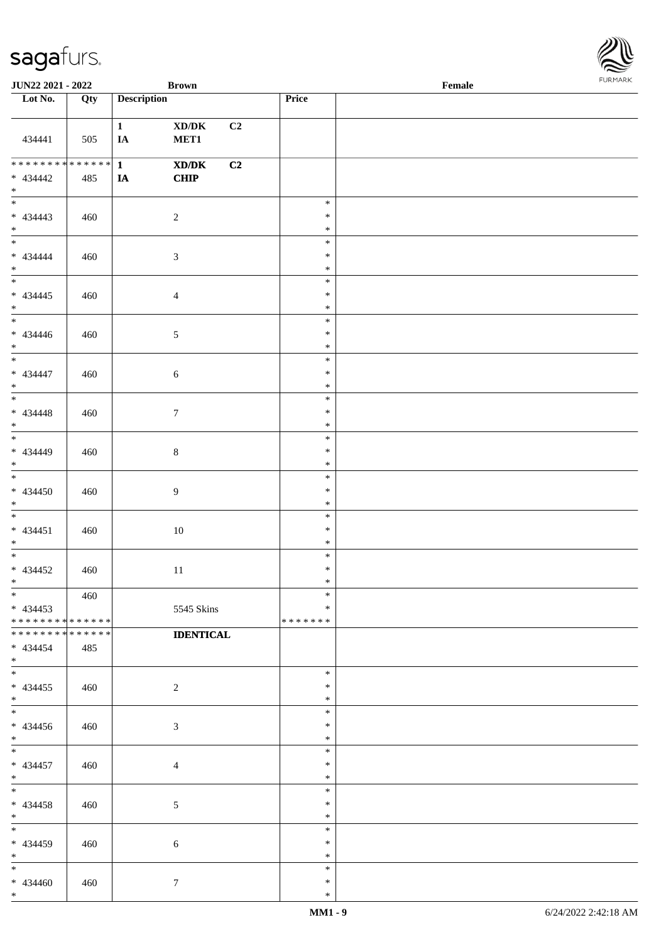\*

| JUN22 2021 - 2022                                   |                    |                    | <b>Brown</b>                                                              |                                   | $\ensuremath{\textnormal{\textbf{Female}}}$ | <b>FURMARK</b> |
|-----------------------------------------------------|--------------------|--------------------|---------------------------------------------------------------------------|-----------------------------------|---------------------------------------------|----------------|
| $\overline{\phantom{1}}$ Lot No.                    | Qty                | <b>Description</b> |                                                                           | Price                             |                                             |                |
| 434441                                              | 505                | $\mathbf{1}$<br>IA | $\bold{X}\bold{D}/\bold{D}\bold{K}$<br>C2<br>MET1                         |                                   |                                             |                |
| ********<br>$* 434442$<br>$*$ $*$                   | * * * * * *<br>485 | $\mathbf{1}$<br>IA | $\boldsymbol{\text{X} \text{D} \text{/} \text{D} \text{K}}$<br>C2<br>CHIP |                                   |                                             |                |
| $* 434443$<br>$*$                                   | 460                | $\sqrt{2}$         |                                                                           | $\ast$<br>$\ast$<br>$\ast$        |                                             |                |
| $*$<br>$* 434444$<br>$*$                            | 460                | $\mathfrak{Z}$     |                                                                           | $\ast$<br>$\ast$<br>$\ast$        |                                             |                |
| $* 434445$<br>$*$                                   | 460                | $\overline{4}$     |                                                                           | $\ast$<br>$\ast$<br>$\ast$        |                                             |                |
| $*$<br>$* 434446$<br>$*$                            | 460                | $\sqrt{5}$         |                                                                           | $\ast$<br>$\ast$<br>$\ast$        |                                             |                |
| $* 434447$<br>$*$                                   | 460                | $\sqrt{6}$         |                                                                           | $\ast$<br>$\ast$<br>$\ast$        |                                             |                |
| $* 434448$<br>$*$                                   | 460                | $\tau$             |                                                                           | $\ast$<br>$\ast$<br>$\ast$        |                                             |                |
| * 434449<br>$*$                                     | 460                | $\,8\,$            |                                                                           | $\ast$<br>$\ast$<br>$\ast$        |                                             |                |
| $\overline{\phantom{0}}$<br>$* 434450$<br>$*$       | 460                | $\boldsymbol{9}$   |                                                                           | $\ast$<br>$\ast$<br>$\ast$        |                                             |                |
| $\overline{\phantom{0}}$<br>$* 434451$<br>$*$       | 460                |                    | $10\,$                                                                    | $\ast$<br>$\ast$<br>$\ast$        |                                             |                |
| $* 434452$<br>$\ast$                                | 460                |                    | $11\,$                                                                    | $\ast$<br>$\ast$<br>$\ast$        |                                             |                |
| $\ast$<br>$* 434453$<br>* * * * * * * * * * * * * * | 460                |                    | 5545 Skins                                                                | $\ast$<br>$\ast$<br>* * * * * * * |                                             |                |
| * * * * * * * * * * * * * *<br>$* 434454$<br>$*$    | 485                |                    | <b>IDENTICAL</b>                                                          |                                   |                                             |                |
| $*$<br>$* 434455$<br>$*$                            | 460                | $\overline{c}$     |                                                                           | $\ast$<br>$\ast$<br>$\ast$        |                                             |                |
| $\overline{\phantom{0}}$<br>$* 434456$<br>$*$       | 460                | 3                  |                                                                           | $\ast$<br>$\ast$<br>$\ast$        |                                             |                |
| $*$<br>$* 434457$<br>$*$                            | 460                | $\overline{4}$     |                                                                           | $\ast$<br>$\ast$<br>$\ast$        |                                             |                |
| $*$<br>$* 434458$<br>$*$                            | 460                | 5                  |                                                                           | $\ast$<br>$\ast$<br>$\ast$        |                                             |                |
| $*$<br>$* 434459$<br>$*$                            | 460                | 6                  |                                                                           | $\ast$<br>$\ast$<br>$\ast$        |                                             |                |
| $*$<br>$* 434460$<br>$*$                            | 460                | $\boldsymbol{7}$   |                                                                           | $\ast$<br>$\ast$<br>$\ast$        |                                             |                |

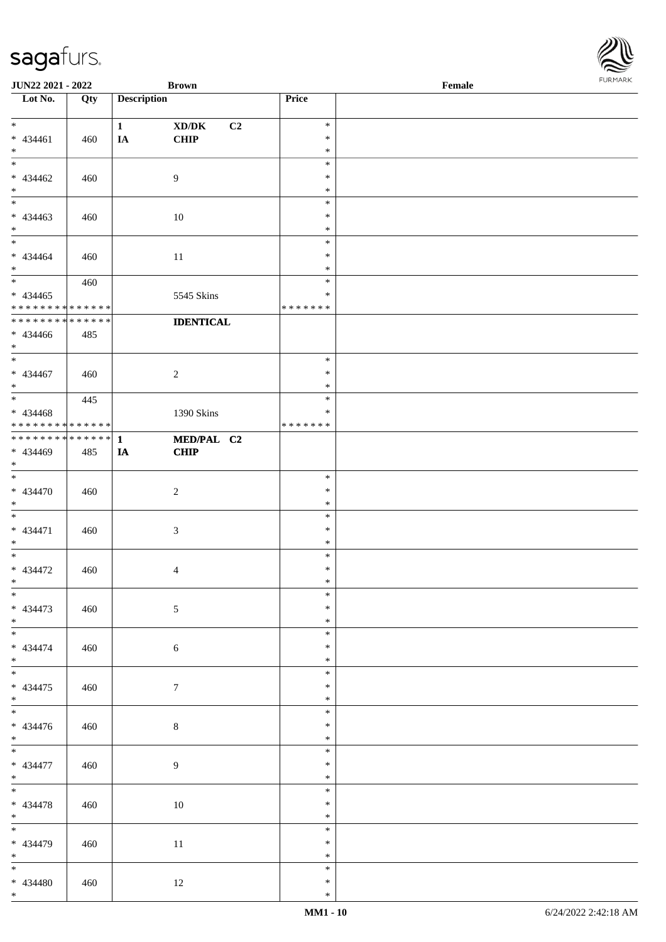| <b>JUN22 2021 - 2022</b>                   |             |                    | <b>Brown</b>            |               | Female |  |
|--------------------------------------------|-------------|--------------------|-------------------------|---------------|--------|--|
| Lot No.                                    | Qty         | <b>Description</b> |                         | Price         |        |  |
|                                            |             |                    |                         |               |        |  |
| $*$                                        |             | $\mathbf{1}$       | C <sub>2</sub><br>XD/DK | $\ast$        |        |  |
| $* 434461$                                 | 460         | IA                 | <b>CHIP</b>             | $\ast$        |        |  |
| $*$                                        |             |                    |                         | $\ast$        |        |  |
|                                            |             |                    |                         | $\ast$        |        |  |
| $* 434462$                                 | 460         |                    | $\overline{9}$          | $\ast$        |        |  |
| $*$                                        |             |                    |                         | $\ast$        |        |  |
| $\overline{\phantom{0}}$                   |             |                    |                         | $\ast$        |        |  |
| * 434463                                   | 460         |                    | 10                      | $\ast$        |        |  |
| $*$                                        |             |                    |                         | $\ast$        |        |  |
| $\overline{\ast}$                          |             |                    |                         | $\ast$        |        |  |
| * 434464                                   | 460         |                    | 11                      | $\ast$        |        |  |
| $*$                                        |             |                    |                         | $\ast$        |        |  |
|                                            | 460         |                    |                         | $\ast$        |        |  |
| $* 434465$                                 |             |                    | 5545 Skins              | $\ast$        |        |  |
| * * * * * * * * <mark>* * * * * * *</mark> |             |                    |                         | * * * * * * * |        |  |
| * * * * * * * * <mark>*</mark>             | * * * * * * |                    | <b>IDENTICAL</b>        |               |        |  |
| * 434466                                   | 485         |                    |                         |               |        |  |
| $*$                                        |             |                    |                         |               |        |  |
|                                            |             |                    |                         | $\ast$        |        |  |
| $* 434467$                                 | 460         |                    | 2                       | $\ast$        |        |  |
| $*$                                        |             |                    |                         | $\ast$        |        |  |
|                                            | 445         |                    |                         | $\ast$        |        |  |
| * 434468                                   |             |                    | 1390 Skins              | $\ast$        |        |  |
| * * * * * * * * <mark>* * * * * *</mark> * |             |                    |                         | * * * * * * * |        |  |
|                                            |             |                    | MED/PAL C2              |               |        |  |
| * 434469                                   | 485         | IA                 | <b>CHIP</b>             |               |        |  |
| $\ast$                                     |             |                    |                         |               |        |  |
| $*$                                        |             |                    |                         | $\ast$        |        |  |
| * 434470                                   | 460         |                    | 2                       | $\ast$        |        |  |
| $*$                                        |             |                    |                         | $\ast$        |        |  |
| $\ddot{x}$                                 |             |                    |                         | $\ast$        |        |  |
| * 434471                                   | 460         |                    | $\mathfrak{Z}$          | $\ast$        |        |  |
| $*$                                        |             |                    |                         | $\ast$        |        |  |
| $\ast$                                     |             |                    |                         | $\ast$        |        |  |
| * 434472                                   | 460         |                    | $\overline{4}$          | $\ast$        |        |  |
| $\ast$                                     |             |                    |                         | $\ast$        |        |  |
| $\overline{\ast}$                          |             |                    |                         | $\ast$        |        |  |
| * 434473                                   | 460         |                    | $5\,$                   | $\ast$        |        |  |
| $*$                                        |             |                    |                         | $\ast$        |        |  |
|                                            |             |                    |                         | $\ast$        |        |  |
| * 434474                                   | 460         |                    | 6                       | $\ast$        |        |  |
| $*$ $-$                                    |             |                    |                         | $\ast$        |        |  |
| $*$                                        |             |                    |                         | $\ast$        |        |  |
| * 434475                                   | 460         |                    | $7\phantom{.0}$         | $\ast$        |        |  |
| $*$                                        |             |                    |                         | $\ast$        |        |  |
| $\overline{\mathbf{r}}$                    |             |                    |                         | $\ast$        |        |  |
| * 434476                                   | 460         |                    | $\,8\,$                 | $\ast$        |        |  |
| $*$                                        |             |                    |                         | $\ast$        |        |  |
| $\overline{\mathbf{r}}$                    |             |                    |                         | $\ast$        |        |  |
| $* 434477$                                 | 460         |                    | 9                       | $\ast$        |        |  |
| $*$                                        |             |                    |                         | $\ast$        |        |  |
| $*$                                        |             |                    |                         | $\ast$        |        |  |
| * 434478                                   | 460         |                    | 10                      | $\ast$        |        |  |
| $*$                                        |             |                    |                         | $\ast$        |        |  |
|                                            |             |                    |                         | $\ast$        |        |  |
| * 434479                                   | 460         |                    | 11                      | $\ast$        |        |  |
| $*$                                        |             |                    |                         | $\ast$        |        |  |
| $*$                                        |             |                    |                         | $\ast$        |        |  |
| * 434480                                   | 460         |                    | 12                      | $\ast$        |        |  |
| $\ast$                                     |             |                    |                         | $\ast$        |        |  |

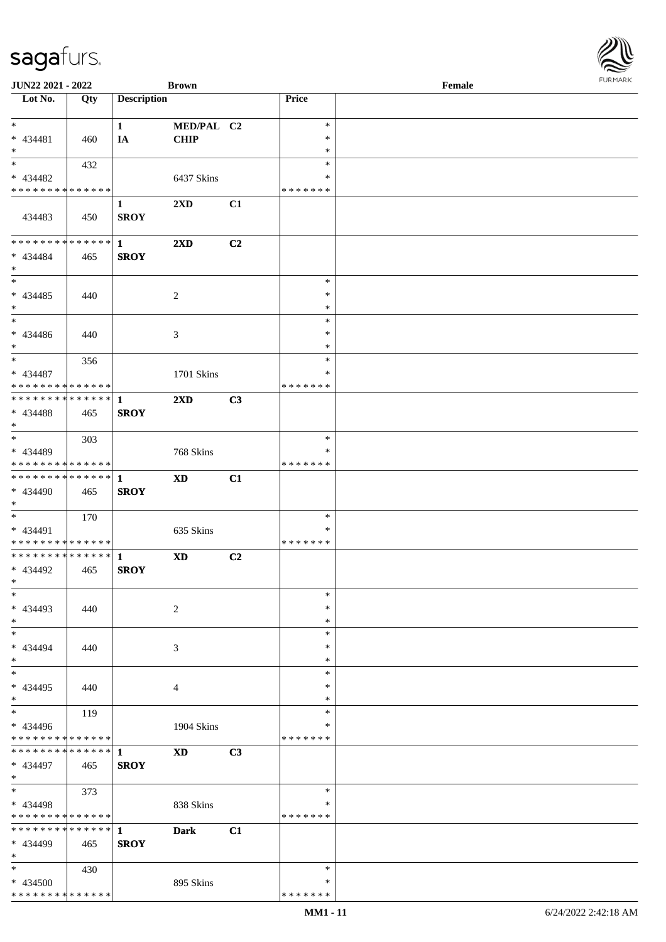| JUN22 2021 - 2022                |     |                    | <b>Brown</b>            |    |                  | Female | <b>FURPIARA</b> |
|----------------------------------|-----|--------------------|-------------------------|----|------------------|--------|-----------------|
| $\overline{\phantom{1}}$ Lot No. | Qty | <b>Description</b> |                         |    | Price            |        |                 |
|                                  |     |                    |                         |    |                  |        |                 |
| $*$                              |     | $\mathbf{1}$       | MED/PAL C2              |    | $\ast$           |        |                 |
| $* 434481$                       | 460 | IA                 | <b>CHIP</b>             |    | $\ast$           |        |                 |
| $*$                              |     |                    |                         |    | $\ast$           |        |                 |
|                                  | 432 |                    |                         |    | $\ast$           |        |                 |
| * 434482                         |     |                    | 6437 Skins              |    | $\ast$           |        |                 |
| * * * * * * * * * * * * * *      |     |                    |                         |    | * * * * * * *    |        |                 |
|                                  |     | $\mathbf{1}$       | $2\mathbf{X}\mathbf{D}$ | C1 |                  |        |                 |
| 434483                           | 450 | <b>SROY</b>        |                         |    |                  |        |                 |
|                                  |     |                    |                         |    |                  |        |                 |
| * * * * * * * * * * * * * * *    |     | $\mathbf{1}$       | $2\mathbf{X}\mathbf{D}$ | C2 |                  |        |                 |
|                                  |     |                    |                         |    |                  |        |                 |
| * 434484<br>$*$                  | 465 | <b>SROY</b>        |                         |    |                  |        |                 |
| $\overline{\phantom{0}}$         |     |                    |                         |    | $\ast$           |        |                 |
|                                  |     |                    |                         |    |                  |        |                 |
| $* 434485$                       | 440 |                    | 2                       |    | $\ast$           |        |                 |
| $*$                              |     |                    |                         |    | $\ast$           |        |                 |
| $*$                              |     |                    |                         |    | $\ast$           |        |                 |
| $* 434486$                       | 440 |                    | $\mathfrak{Z}$          |    | $\ast$           |        |                 |
| $*$                              |     |                    |                         |    | $\ast$           |        |                 |
| $*$                              | 356 |                    |                         |    | $\ast$           |        |                 |
| $* 434487$                       |     |                    | 1701 Skins              |    | ∗                |        |                 |
| * * * * * * * * * * * * * *      |     |                    |                         |    | * * * * * * *    |        |                 |
| * * * * * * * * * * * * * * *    |     | $\mathbf{1}$       | 2XD                     | C3 |                  |        |                 |
| * 434488                         | 465 | <b>SROY</b>        |                         |    |                  |        |                 |
| $*$                              |     |                    |                         |    |                  |        |                 |
| $*$                              | 303 |                    |                         |    | ∗                |        |                 |
| $* 434489$                       |     |                    | 768 Skins               |    | $\ast$           |        |                 |
| * * * * * * * * * * * * * *      |     |                    |                         |    | * * * * * * *    |        |                 |
| * * * * * * * * * * * * * * *    |     | 1                  | <b>XD</b>               | C1 |                  |        |                 |
| * 434490                         | 465 | <b>SROY</b>        |                         |    |                  |        |                 |
| $*$                              |     |                    |                         |    |                  |        |                 |
| $*$                              | 170 |                    |                         |    | $\ast$           |        |                 |
| * 434491                         |     |                    | 635 Skins               |    | $\ast$           |        |                 |
| * * * * * * * * * * * * * *      |     |                    |                         |    | * * * * * * *    |        |                 |
| * * * * * * * * * * * * * * *    |     | -1                 | <b>XD</b>               | C2 |                  |        |                 |
| * 434492                         | 465 | <b>SROY</b>        |                         |    |                  |        |                 |
| $x =$                            |     |                    |                         |    |                  |        |                 |
| $*$                              |     |                    |                         |    | $\ast$           |        |                 |
| * 434493                         | 440 |                    | 2                       |    | $\ast$           |        |                 |
| $*$                              |     |                    |                         |    | $\ast$           |        |                 |
| $*$                              |     |                    |                         |    | $\ast$           |        |                 |
|                                  |     |                    |                         |    |                  |        |                 |
| * 434494<br>$*$                  | 440 |                    | 3                       |    | $\ast$<br>$\ast$ |        |                 |
|                                  |     |                    |                         |    |                  |        |                 |
| $*$                              |     |                    |                         |    | $\ast$           |        |                 |
| * 434495                         | 440 |                    | 4                       |    | $\ast$           |        |                 |
| $*$                              |     |                    |                         |    | $\ast$           |        |                 |
| $*$                              | 119 |                    |                         |    | $\ast$           |        |                 |
| * 434496                         |     |                    | 1904 Skins              |    | $\ast$           |        |                 |
| * * * * * * * * * * * * * *      |     |                    |                         |    | * * * * * * *    |        |                 |
| * * * * * * * * * * * * * * *    |     | 1                  | <b>XD</b>               | C3 |                  |        |                 |
| * 434497                         | 465 | <b>SROY</b>        |                         |    |                  |        |                 |
| $*$                              |     |                    |                         |    |                  |        |                 |
| $*$                              | 373 |                    |                         |    | $\ast$           |        |                 |
| $* 434498$                       |     |                    | 838 Skins               |    | ∗                |        |                 |
| * * * * * * * * * * * * * *      |     |                    |                         |    | * * * * * * *    |        |                 |
| * * * * * * * * * * * * * * *    |     | $\mathbf{1}$       | <b>Dark</b>             | C1 |                  |        |                 |
| * 434499                         | 465 | <b>SROY</b>        |                         |    |                  |        |                 |
| $*$                              |     |                    |                         |    |                  |        |                 |
| $*$                              | 430 |                    |                         |    | $\ast$           |        |                 |
| * 434500                         |     |                    | 895 Skins               |    | $\ast$           |        |                 |
| * * * * * * * * * * * * * *      |     |                    |                         |    | * * * * * * *    |        |                 |

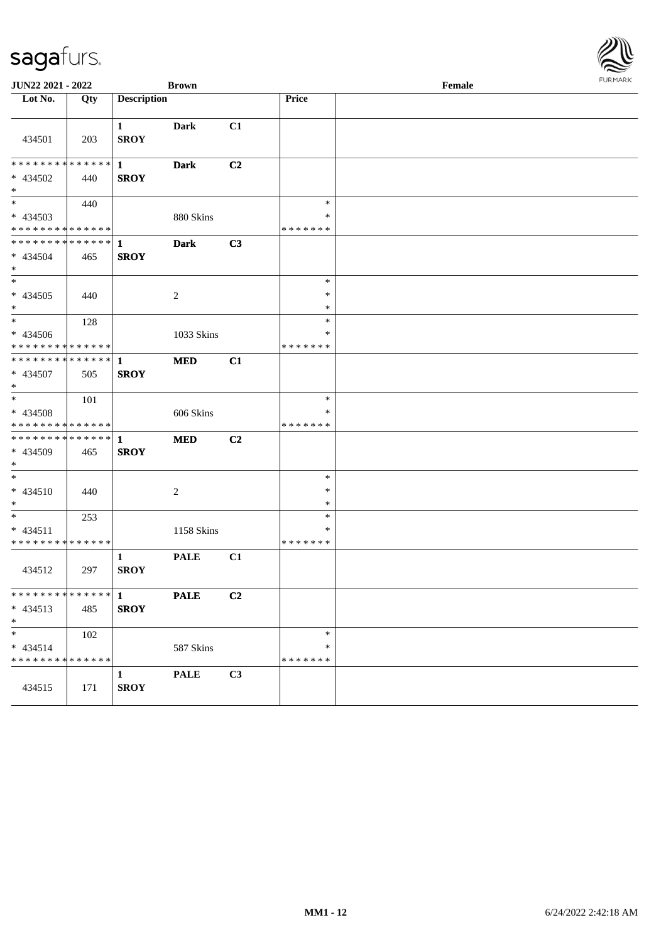| JUN22 2021 - 2022                                   |     |                             | <b>Brown</b>   |    |                                   | $\ensuremath{\textnormal{\textbf{Female}}}$ | $1 \times 1$ |  |
|-----------------------------------------------------|-----|-----------------------------|----------------|----|-----------------------------------|---------------------------------------------|--------------|--|
| Lot No.                                             | Qty | <b>Description</b>          |                |    | Price                             |                                             |              |  |
| 434501                                              | 203 | $\mathbf{1}$<br><b>SROY</b> | <b>Dark</b>    | C1 |                                   |                                             |              |  |
| * * * * * * * * * * * * * *<br>* 434502<br>$*$      | 440 | $\mathbf{1}$<br><b>SROY</b> | <b>Dark</b>    | C2 |                                   |                                             |              |  |
| $*$<br>$* 434503$<br>* * * * * * * * * * * * * *    | 440 |                             | 880 Skins      |    | $\ast$<br>$\ast$<br>* * * * * * * |                                             |              |  |
| **************<br>* 434504<br>$\ast$                | 465 | 1<br><b>SROY</b>            | <b>Dark</b>    | C3 |                                   |                                             |              |  |
| $\overline{\phantom{0}}$<br>$* 434505$<br>$*$       | 440 |                             | $\overline{c}$ |    | $\ast$<br>$\ast$<br>$\ast$        |                                             |              |  |
| $\ast$<br>$* 434506$<br>* * * * * * * * * * * * * * | 128 |                             | 1033 Skins     |    | $\ast$<br>$\ast$<br>* * * * * * * |                                             |              |  |
| * * * * * * * * * * * * * *<br>* 434507<br>$*$      | 505 | $\mathbf{1}$<br><b>SROY</b> | <b>MED</b>     | C1 |                                   |                                             |              |  |
| $\ast$<br>* 434508<br>* * * * * * * * * * * * * *   | 101 |                             | 606 Skins      |    | $\ast$<br>$\ast$<br>* * * * * * * |                                             |              |  |
| **************<br>* 434509<br>$\ast$                | 465 | $\mathbf{1}$<br><b>SROY</b> | <b>MED</b>     | C2 |                                   |                                             |              |  |
| $\ast$<br>* 434510<br>$\ast$                        | 440 |                             | $\overline{c}$ |    | $\ast$<br>$\ast$<br>$\ast$        |                                             |              |  |
| $\ast$<br>$* 434511$<br>* * * * * * * * * * * * * * | 253 |                             | 1158 Skins     |    | $\ast$<br>∗<br>* * * * * * *      |                                             |              |  |
| 434512                                              | 297 | $\mathbf{1}$<br><b>SROY</b> | <b>PALE</b>    | C1 |                                   |                                             |              |  |
| * * * * * * * * * * * * * * *<br>$* 434513$<br>$*$  | 485 | $\mathbf{1}$<br><b>SROY</b> | <b>PALE</b>    | C2 |                                   |                                             |              |  |
| $\ast$<br>$* 434514$<br>* * * * * * * * * * * * * * | 102 |                             | 587 Skins      |    | $\ast$<br>∗<br>* * * * * * *      |                                             |              |  |
| 434515                                              | 171 | 1<br><b>SROY</b>            | <b>PALE</b>    | C3 |                                   |                                             |              |  |

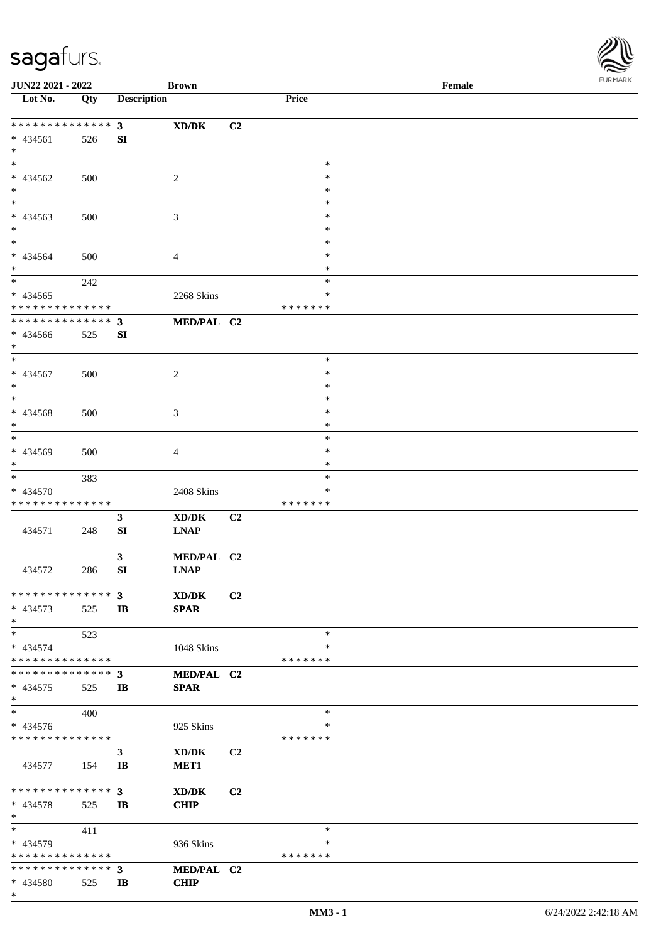\*

| JUN22 2021 - 2022             |     |                    | <b>Brown</b>                                |    |               | Female |  |
|-------------------------------|-----|--------------------|---------------------------------------------|----|---------------|--------|--|
| Lot No.                       | Qty | <b>Description</b> |                                             |    | Price         |        |  |
|                               |     |                    |                                             |    |               |        |  |
| ******** <mark>******</mark>  |     | $\mathbf{3}$       | $\mathbf{X}\mathbf{D}/\mathbf{D}\mathbf{K}$ | C2 |               |        |  |
| * 434561                      | 526 | SI                 |                                             |    |               |        |  |
| $*$                           |     |                    |                                             |    |               |        |  |
| $*$                           |     |                    |                                             |    | $\ast$        |        |  |
| * 434562                      | 500 |                    | $\sqrt{2}$                                  |    | $\ast$        |        |  |
| $\ast$                        |     |                    |                                             |    | $\ast$        |        |  |
| $\overline{\phantom{0}}$      |     |                    |                                             |    | $\ast$        |        |  |
|                               |     |                    |                                             |    |               |        |  |
| $* 434563$                    | 500 |                    | $\mathfrak{Z}$                              |    | $\ast$        |        |  |
| $*$                           |     |                    |                                             |    | $\ast$        |        |  |
| $\ast$                        |     |                    |                                             |    | $\ast$        |        |  |
| * 434564                      | 500 |                    | $\overline{4}$                              |    | $\ast$        |        |  |
| $\ast$                        |     |                    |                                             |    | $\ast$        |        |  |
| $*$                           | 242 |                    |                                             |    | $\ast$        |        |  |
| $* 434565$                    |     |                    | 2268 Skins                                  |    | $\ast$        |        |  |
| * * * * * * * * * * * * * *   |     |                    |                                             |    | *******       |        |  |
| * * * * * * * * * * * * * *   |     | $\mathbf{3}$       | MED/PAL C2                                  |    |               |        |  |
| $* 434566$                    | 525 | SI                 |                                             |    |               |        |  |
| $*$                           |     |                    |                                             |    |               |        |  |
| $*$                           |     |                    |                                             |    | $\ast$        |        |  |
| * 434567                      | 500 |                    | $\sqrt{2}$                                  |    | $\ast$        |        |  |
| $\ast$                        |     |                    |                                             |    | $\ast$        |        |  |
| $*$                           |     |                    |                                             |    | $\ast$        |        |  |
|                               |     |                    |                                             |    |               |        |  |
| * 434568                      | 500 |                    | 3                                           |    | $\ast$        |        |  |
| $\ast$                        |     |                    |                                             |    | $\ast$        |        |  |
| $\ast$                        |     |                    |                                             |    | $\ast$        |        |  |
| * 434569                      | 500 |                    | $\overline{4}$                              |    | $\ast$        |        |  |
| $*$                           |     |                    |                                             |    | $\ast$        |        |  |
| $\ast$                        | 383 |                    |                                             |    | $\ast$        |        |  |
| * 434570                      |     |                    | 2408 Skins                                  |    | *             |        |  |
| * * * * * * * * * * * * * *   |     |                    |                                             |    | *******       |        |  |
|                               |     | $\mathbf{3}$       | $\bold{X}\bold{D}/\bold{D}\bold{K}$         | C2 |               |        |  |
| 434571                        | 248 | SI                 | <b>LNAP</b>                                 |    |               |        |  |
|                               |     |                    |                                             |    |               |        |  |
|                               |     | $\mathbf{3}$       | MED/PAL C2                                  |    |               |        |  |
| 434572                        | 286 | ${\bf SI}$         | <b>LNAP</b>                                 |    |               |        |  |
|                               |     |                    |                                             |    |               |        |  |
| * * * * * * * * * * * * * * * |     | $\mathbf{3}$       | XD/DK                                       | C2 |               |        |  |
| $* 434573$                    | 525 | $\mathbf{B}$       | <b>SPAR</b>                                 |    |               |        |  |
| $*$                           |     |                    |                                             |    |               |        |  |
| $\ast$                        |     |                    |                                             |    | $\ast$        |        |  |
|                               | 523 |                    |                                             |    | *             |        |  |
| * 434574                      |     |                    | 1048 Skins                                  |    |               |        |  |
| * * * * * * * * * * * * * *   |     |                    |                                             |    | *******       |        |  |
| * * * * * * * * * * * * * *   |     | $\mathbf{3}$       | MED/PAL C2                                  |    |               |        |  |
| $* 434575$                    | 525 | IB                 | <b>SPAR</b>                                 |    |               |        |  |
| $*$                           |     |                    |                                             |    |               |        |  |
| $\ast$                        | 400 |                    |                                             |    | $\ast$        |        |  |
| $* 434576$                    |     |                    | 925 Skins                                   |    | *             |        |  |
| * * * * * * * * * * * * * *   |     |                    |                                             |    | *******       |        |  |
|                               |     | $\mathbf{3}$       | XD/DK                                       | C2 |               |        |  |
| 434577                        | 154 | IB                 | MET1                                        |    |               |        |  |
|                               |     |                    |                                             |    |               |        |  |
| * * * * * * * * * * * * * *   |     | $\mathbf{3}$       | XD/DK                                       | C2 |               |        |  |
| $* 434578$                    | 525 | IB                 | <b>CHIP</b>                                 |    |               |        |  |
| $*$                           |     |                    |                                             |    |               |        |  |
| $\ast$                        | 411 |                    |                                             |    | $\ast$        |        |  |
| * 434579                      |     |                    |                                             |    | ∗             |        |  |
| * * * * * * * * * * * * * *   |     |                    | 936 Skins                                   |    | * * * * * * * |        |  |
|                               |     |                    |                                             |    |               |        |  |
| * * * * * * * * * * * * * * * |     | $\mathbf{3}$       | MED/PAL C2                                  |    |               |        |  |
| * 434580                      | 525 | $\mathbf{I}$       | <b>CHIP</b>                                 |    |               |        |  |

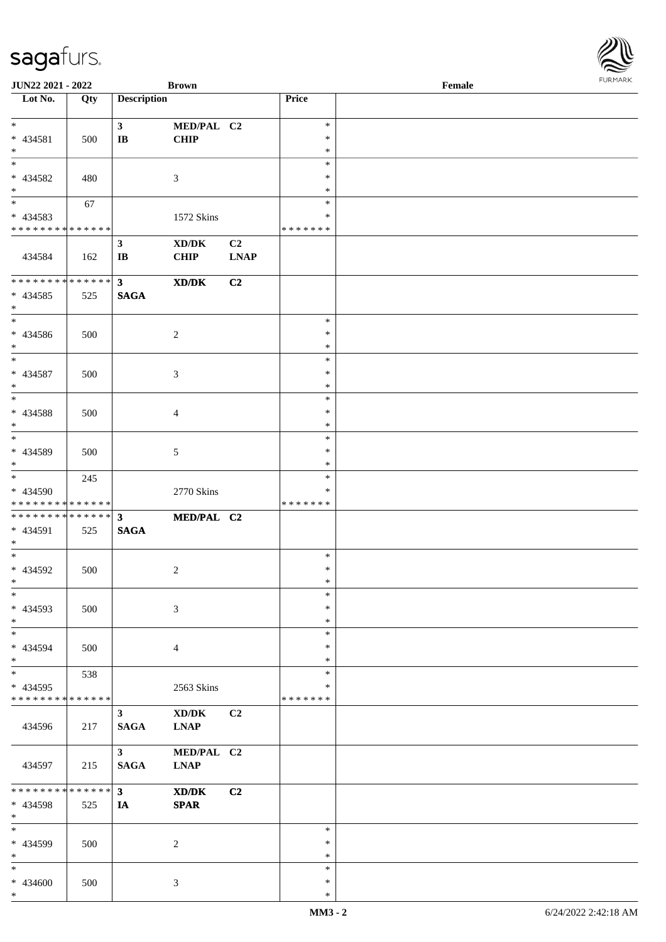\*

| <b>JUN22 2021 - 2022</b>                             |             |                        | <b>Brown</b>   |                |                  | Female | . 0.14. 0.034. |
|------------------------------------------------------|-------------|------------------------|----------------|----------------|------------------|--------|----------------|
| Lot No.                                              | Qty         | <b>Description</b>     |                |                | Price            |        |                |
|                                                      |             |                        |                |                |                  |        |                |
| $*$                                                  |             | 3 <sup>7</sup>         | MED/PAL C2     |                | $\ast$           |        |                |
| * 434581                                             | 500         | $\mathbf{I}\mathbf{B}$ | <b>CHIP</b>    |                | $\ast$           |        |                |
| $*$                                                  |             |                        |                |                | $\ast$           |        |                |
|                                                      |             |                        |                |                | $\ast$           |        |                |
| * 434582                                             | 480         |                        | 3              |                | $\ast$           |        |                |
| $*$                                                  |             |                        |                |                | $\ast$           |        |                |
|                                                      | 67          |                        |                |                | $\ast$           |        |                |
| * 434583                                             |             |                        | 1572 Skins     |                | $\ast$           |        |                |
| * * * * * * * * <mark>* * * * * *</mark> *           |             |                        |                |                | * * * * * * *    |        |                |
|                                                      |             | $\mathbf{3}$           | XD/DK          | C <sub>2</sub> |                  |        |                |
| 434584                                               | 162         | $\mathbf{I}\mathbf{B}$ | <b>CHIP</b>    | <b>LNAP</b>    |                  |        |                |
|                                                      |             |                        |                |                |                  |        |                |
|                                                      |             | 3 <sup>7</sup>         | XD/DK          | C2             |                  |        |                |
| * 434585                                             | 525         | <b>SAGA</b>            |                |                |                  |        |                |
| $*$                                                  |             |                        |                |                |                  |        |                |
| $*$                                                  |             |                        |                |                | $\ast$           |        |                |
| $* 434586$                                           | 500         |                        | 2              |                | $\ast$           |        |                |
| $\ast$                                               |             |                        |                |                | $\ast$           |        |                |
|                                                      |             |                        |                |                | $\ast$           |        |                |
| * 434587                                             | 500         |                        | 3              |                | $\ast$           |        |                |
| $*$                                                  |             |                        |                |                | $\ast$           |        |                |
| $\overline{\ }$                                      |             |                        |                |                | $\ast$           |        |                |
| * 434588                                             |             |                        |                |                | $\ast$           |        |                |
| $\ast$                                               | 500         |                        | $\overline{4}$ |                | $\ast$           |        |                |
|                                                      |             |                        |                |                | $\ast$           |        |                |
|                                                      |             |                        |                |                | $\ast$           |        |                |
| * 434589<br>$*$                                      | 500         |                        | 5              |                | $\ast$           |        |                |
| $\overline{\mathbf{r}}$                              |             |                        |                |                | $\ast$           |        |                |
|                                                      | 245         |                        |                |                | ∗                |        |                |
| * 434590<br>* * * * * * * * <mark>* * * * * *</mark> |             |                        | 2770 Skins     |                | * * * * * * *    |        |                |
|                                                      |             |                        |                |                |                  |        |                |
|                                                      |             |                        | MED/PAL C2     |                |                  |        |                |
| * 434591                                             | 525         | <b>SAGA</b>            |                |                |                  |        |                |
| $*$<br>$*$                                           |             |                        |                |                | $\ast$           |        |                |
|                                                      |             |                        |                |                |                  |        |                |
| * 434592                                             | 500         |                        | 2              |                | $\ast$           |        |                |
| $*$ $-$<br>$\ast$                                    |             |                        |                |                | $\ast$<br>$\ast$ |        |                |
|                                                      |             |                        |                |                |                  |        |                |
| * 434593                                             | 500         |                        | 3              |                | $\ast$           |        |                |
| $\ast$                                               |             |                        |                |                | $\ast$           |        |                |
| $\ast$                                               |             |                        |                |                | $\ast$           |        |                |
| * 434594                                             | 500         |                        | $\overline{4}$ |                | $\ast$           |        |                |
| $\ast$                                               |             |                        |                |                | $\ast$           |        |                |
| $*$                                                  | 538         |                        |                |                | $\ast$           |        |                |
| * 434595                                             |             |                        | 2563 Skins     |                | ∗                |        |                |
| * * * * * * * * * * * * * *                          |             |                        |                |                | * * * * * * *    |        |                |
|                                                      |             | $\mathbf{3}$           | XD/DK          | C <sub>2</sub> |                  |        |                |
| 434596                                               | 217         | <b>SAGA</b>            | <b>LNAP</b>    |                |                  |        |                |
|                                                      |             |                        |                |                |                  |        |                |
|                                                      |             | 3 <sup>7</sup>         | MED/PAL C2     |                |                  |        |                |
| 434597                                               | 215         | <b>SAGA</b>            | <b>LNAP</b>    |                |                  |        |                |
|                                                      |             |                        |                |                |                  |        |                |
| * * * * * * * *                                      | * * * * * * | 3 <sup>7</sup>         | XD/DK          | C2             |                  |        |                |
| * 434598                                             | 525         | IA                     | <b>SPAR</b>    |                |                  |        |                |
| $\ast$                                               |             |                        |                |                |                  |        |                |
| $\ast$                                               |             |                        |                |                | $\ast$           |        |                |
| * 434599                                             | 500         |                        | 2              |                | $\ast$           |        |                |
| $*$                                                  |             |                        |                |                | ∗                |        |                |
| $\ast$                                               |             |                        |                |                | $\ast$           |        |                |
| * 434600                                             | 500         |                        | 3              |                | ∗                |        |                |
| $\ast$                                               |             |                        |                |                | $\ast$           |        |                |

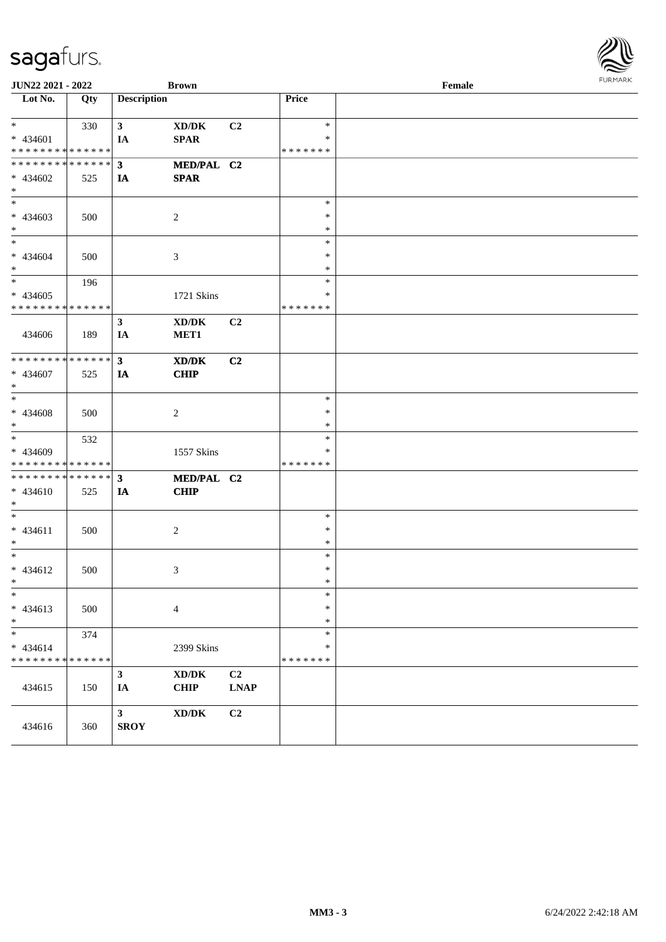| JUN22 2021 - 2022                                        |     |                      | <b>Brown</b>                                       |                |                         | Female |  |  |
|----------------------------------------------------------|-----|----------------------|----------------------------------------------------|----------------|-------------------------|--------|--|--|
| $\overline{\phantom{1}}$ Lot No.                         | Qty | <b>Description</b>   |                                                    |                | Price                   |        |  |  |
| $*$<br>$* 434601$                                        | 330 | 3 <sup>7</sup><br>IA | $\bold{X}\bold{D}/\bold{D}\bold{K}$<br><b>SPAR</b> | C2             | $\ast$<br>$\ast$        |        |  |  |
| * * * * * * * * * * * * * *                              |     |                      |                                                    |                | * * * * * * *           |        |  |  |
| * * * * * * * * * * * * * * *                            |     | 3                    | MED/PAL C2                                         |                |                         |        |  |  |
| * 434602<br>$\ast$                                       | 525 | IA                   | <b>SPAR</b>                                        |                |                         |        |  |  |
| $\overline{\phantom{0}}$                                 |     |                      |                                                    |                | $\ast$                  |        |  |  |
| $* 434603$<br>$*$                                        | 500 |                      | $\overline{2}$                                     |                | $\ast$<br>$\ast$        |        |  |  |
| $*$                                                      |     |                      |                                                    |                | $\ast$                  |        |  |  |
| $* 434604$<br>$*$                                        | 500 |                      | 3                                                  |                | $\ast$<br>$\ast$        |        |  |  |
| $\overline{\phantom{0}}$                                 | 196 |                      |                                                    |                | $\ast$                  |        |  |  |
| $* 434605$<br>* * * * * * * * * * * * * *                |     |                      | 1721 Skins                                         |                | ∗<br>* * * * * * *      |        |  |  |
|                                                          |     | $\mathbf{3}$         | $\bold{X}\bold{D}/\bold{D}\bold{K}$                | C2             |                         |        |  |  |
| 434606                                                   | 189 | IA                   | MET1                                               |                |                         |        |  |  |
| * * * * * * * * * * * * * * *                            |     | $\mathbf{3}$         | XD/DK                                              | C2             |                         |        |  |  |
| * 434607<br>$*$                                          | 525 | IA                   | <b>CHIP</b>                                        |                |                         |        |  |  |
| $*$                                                      |     |                      |                                                    |                | $\ast$                  |        |  |  |
| $* 434608$<br>$*$                                        | 500 |                      | $\overline{2}$                                     |                | $\ast$<br>$\ast$        |        |  |  |
|                                                          | 532 |                      |                                                    |                | $\ast$                  |        |  |  |
| * 434609<br>* * * * * * * * * * * * * * *                |     |                      | 1557 Skins                                         |                | *<br>* * * * * * *      |        |  |  |
| * * * * * * * * * * * * * * *                            |     | $\mathbf{3}$         | MED/PAL C2                                         |                |                         |        |  |  |
| * 434610<br>$*$                                          | 525 | IA                   | <b>CHIP</b>                                        |                |                         |        |  |  |
| $*$                                                      |     |                      |                                                    |                | $\ast$                  |        |  |  |
| $* 434611$<br>$*$                                        | 500 |                      | $\boldsymbol{2}$                                   |                | $\ast$<br>$\ast$        |        |  |  |
| $*$                                                      |     |                      |                                                    |                | $\ast$                  |        |  |  |
| * 434612<br>$*$ $-$                                      | 500 |                      | 3                                                  |                | $\ast$<br>$\ast$        |        |  |  |
| $\ast$                                                   |     |                      |                                                    |                | $\ast$                  |        |  |  |
| $* 434613$<br>$*$                                        | 500 |                      | $\overline{4}$                                     |                | $\ast$<br>$\ast$        |        |  |  |
| $\ast$                                                   | 374 |                      |                                                    |                | $\ast$                  |        |  |  |
| $* 434614$<br>* * * * * * * * <mark>* * * * * * *</mark> |     |                      | 2399 Skins                                         |                | $\ast$<br>* * * * * * * |        |  |  |
|                                                          |     | $\mathbf{3}$         | $\bold{X}\bold{D}/\bold{D}\bold{K}$                | C2             |                         |        |  |  |
| 434615                                                   | 150 | IA                   | <b>CHIP</b>                                        | <b>LNAP</b>    |                         |        |  |  |
|                                                          |     | $\mathbf{3}$         | $\bold{X}\bold{D}/\bold{D}\bold{K}$                | C <sub>2</sub> |                         |        |  |  |
| 434616                                                   | 360 | <b>SROY</b>          |                                                    |                |                         |        |  |  |

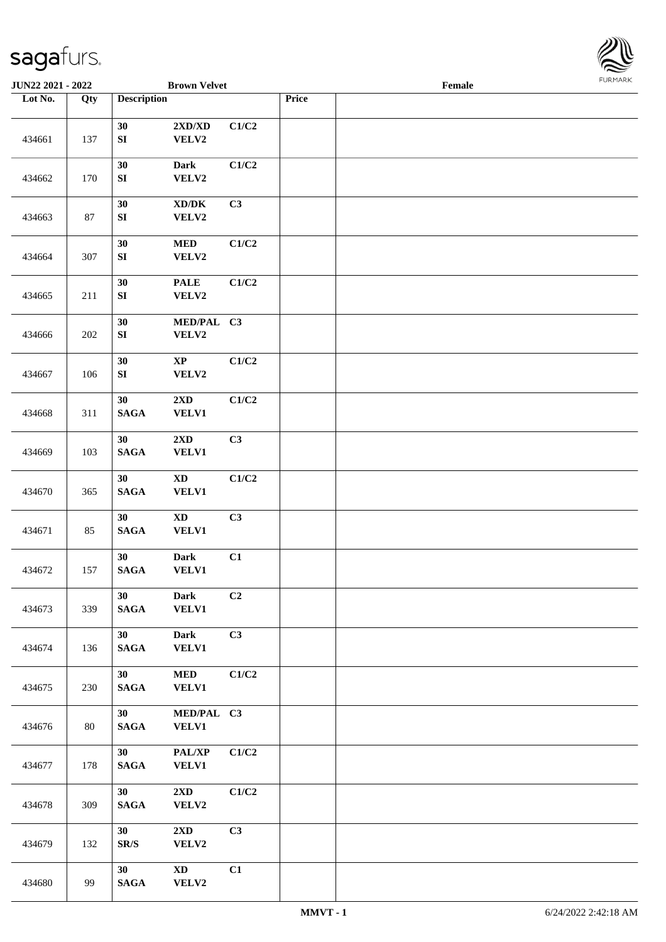

|         | <b>Brown Velvet</b><br>JUN22 2021 - 2022 |                                |                                              |                |       | Female | <b>FURMARK</b> |
|---------|------------------------------------------|--------------------------------|----------------------------------------------|----------------|-------|--------|----------------|
| Lot No. | Qty                                      | <b>Description</b>             |                                              |                | Price |        |                |
| 434661  | 137                                      | 30<br>${\bf S}{\bf I}$         | $2{\bf X}{\bf D}/{\bf X}{\bf D}$<br>VELV2    | C1/C2          |       |        |                |
| 434662  | 170                                      | 30<br>${\bf SI}$               | <b>Dark</b><br>VELV2                         | C1/C2          |       |        |                |
| 434663  | 87                                       | 30<br>${\bf SI}$               | $\bold{X}\bold{D}/\bold{D}\bold{K}$<br>VELV2 | C3             |       |        |                |
| 434664  | 307                                      | 30<br>${\bf S}{\bf I}$         | $\bf MED$<br>VELV2                           | C1/C2          |       |        |                |
| 434665  | 211                                      | 30<br>${\bf SI}$               | <b>PALE</b><br>VELV2                         | C1/C2          |       |        |                |
| 434666  | 202                                      | 30<br>${\bf SI}$               | MED/PAL C3<br>VELV2                          |                |       |        |                |
| 434667  | 106                                      | 30<br>${\bf SI}$               | $\bold{XP}$<br>VELV2                         | C1/C2          |       |        |                |
| 434668  | 311                                      | 30<br>$\mathbf{SAGA}$          | $2{\bf X}{\bf D}$<br>VELV1                   | C1/C2          |       |        |                |
| 434669  | 103                                      | 30<br>$\mathbf{SAGA}$          | 2XD<br>VELV1                                 | C3             |       |        |                |
| 434670  | 365                                      | 30<br><b>SAGA</b>              | $\boldsymbol{\mathrm{XD}}$<br>VELV1          | C1/C2          |       |        |                |
| 434671  | 85                                       | 30<br>$\mathbf{SAGA}$          | $\mathbf{X}\mathbf{D}$<br>VELV1              | C3             |       |        |                |
| 434672  | 157                                      | 30<br><b>SAGA</b>              | <b>Dark</b><br><b>VELV1</b>                  | C1             |       |        |                |
| 434673  | 339                                      | 30<br><b>SAGA</b>              | <b>Dark</b><br><b>VELV1</b>                  | C <sub>2</sub> |       |        |                |
| 434674  | 136                                      | 30<br><b>SAGA</b>              | <b>Dark</b><br><b>VELV1</b>                  | C3             |       |        |                |
| 434675  | 230                                      | 30<br><b>SAGA</b>              | <b>MED</b><br><b>VELV1</b>                   | C1/C2          |       |        |                |
| 434676  | 80                                       | 30<br><b>SAGA</b>              | MED/PAL C3<br><b>VELV1</b>                   |                |       |        |                |
| 434677  | 178                                      | 30<br><b>SAGA</b>              | PAL/XP<br><b>VELV1</b>                       | C1/C2          |       |        |                |
| 434678  | 309                                      | 30<br>$\mathbf{SAGA}$          | $2\mathbf{X}\mathbf{D}$<br>VELV2             | C1/C2          |       |        |                |
| 434679  | 132                                      | 30<br>$\mathbf{SR}/\mathbf{S}$ | 2XD<br>VELV2                                 | C3             |       |        |                |
| 434680  | 99                                       | 30<br><b>SAGA</b>              | $\mathbf{X}\mathbf{D}$<br>VELV2              | C1             |       |        |                |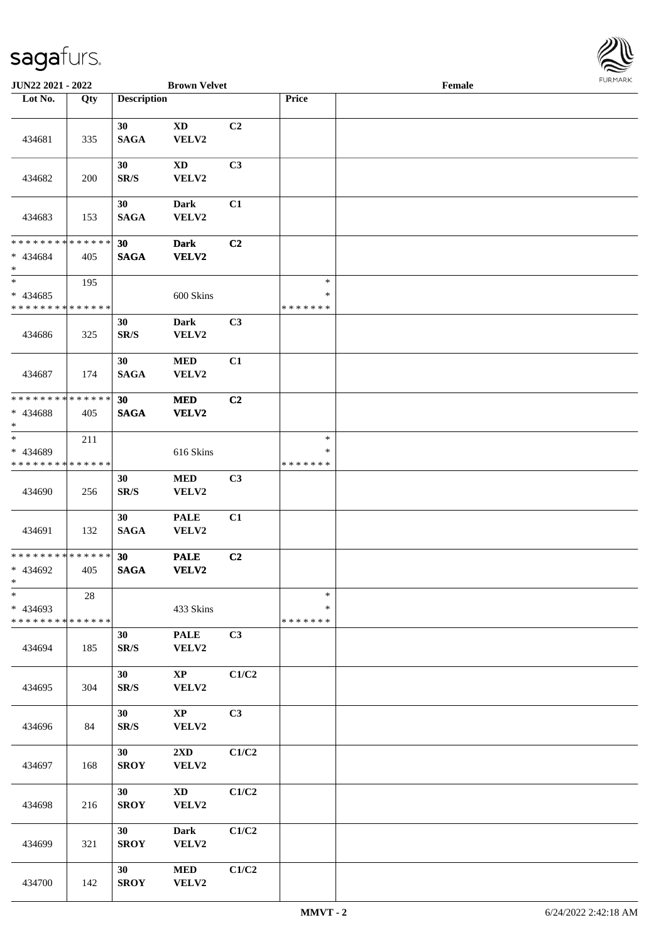

| JUN22 2021 - 2022                                   |        |                    | <b>Brown Velvet</b>              |       |                                   | Female |  |
|-----------------------------------------------------|--------|--------------------|----------------------------------|-------|-----------------------------------|--------|--|
| Lot No.                                             | Qty    | <b>Description</b> |                                  |       | Price                             |        |  |
| 434681                                              | 335    | 30<br><b>SAGA</b>  | $\mathbf{X}\mathbf{D}$<br>VELV2  | C2    |                                   |        |  |
| 434682                                              | 200    | 30<br>SR/S         | <b>XD</b><br>VELV2               | C3    |                                   |        |  |
| 434683                                              | 153    | 30<br><b>SAGA</b>  | Dark<br>VELV2                    | C1    |                                   |        |  |
| * * * * * * * * * * * * * *<br>$* 434684$<br>$\ast$ | 405    | 30<br><b>SAGA</b>  | <b>Dark</b><br><b>VELV2</b>      | C2    |                                   |        |  |
| $\ast$<br>$* 434685$<br>* * * * * * * * * * * * * * | 195    |                    | 600 Skins                        |       | $\ast$<br>$\ast$<br>* * * * * * * |        |  |
| 434686                                              | 325    | 30<br>SR/S         | Dark<br>VELV2                    | C3    |                                   |        |  |
| 434687                                              | 174    | 30<br><b>SAGA</b>  | $\bf MED$<br>VELV2               | C1    |                                   |        |  |
| * * * * * * * * * * * * * *<br>* 434688<br>$\ast$   | 405    | 30<br><b>SAGA</b>  | <b>MED</b><br>VELV2              | C2    |                                   |        |  |
| $\ast$<br>* 434689<br>* * * * * * * * * * * * * *   | 211    |                    | 616 Skins                        |       | $\ast$<br>∗<br>* * * * * * *      |        |  |
| 434690                                              | 256    | 30<br>SR/S         | $\bf MED$<br>VELV2               | C3    |                                   |        |  |
| 434691                                              | 132    | 30<br><b>SAGA</b>  | <b>PALE</b><br>VELV2             | C1    |                                   |        |  |
| * * * * * * * * * * * * * *<br>* 434692<br>$*$      | 405    | 30<br><b>SAGA</b>  | <b>PALE</b><br>VELV2             | C2    |                                   |        |  |
| $\ast$<br>* 434693<br>* * * * * * * * * * * * * *   | $28\,$ |                    | 433 Skins                        |       | $\ast$<br>*<br>* * * * * * *      |        |  |
| 434694                                              | 185    | 30<br>SR/S         | <b>PALE</b><br>VELV2             | C3    |                                   |        |  |
| 434695                                              | 304    | 30<br>SR/S         | $\mathbf{X}\mathbf{P}$<br>VELV2  | C1/C2 |                                   |        |  |
| 434696                                              | 84     | 30<br>SR/S         | $\mathbf{X}\mathbf{P}$<br>VELV2  | C3    |                                   |        |  |
| 434697                                              | 168    | 30<br><b>SROY</b>  | $2\mathbf{X}\mathbf{D}$<br>VELV2 | C1/C2 |                                   |        |  |
| 434698                                              | 216    | 30<br><b>SROY</b>  | <b>XD</b><br>VELV2               | C1/C2 |                                   |        |  |
| 434699                                              | 321    | 30<br><b>SROY</b>  | <b>Dark</b><br>VELV2             | C1/C2 |                                   |        |  |
| 434700                                              | 142    | 30<br><b>SROY</b>  | $\bf MED$<br>VELV2               | C1/C2 |                                   |        |  |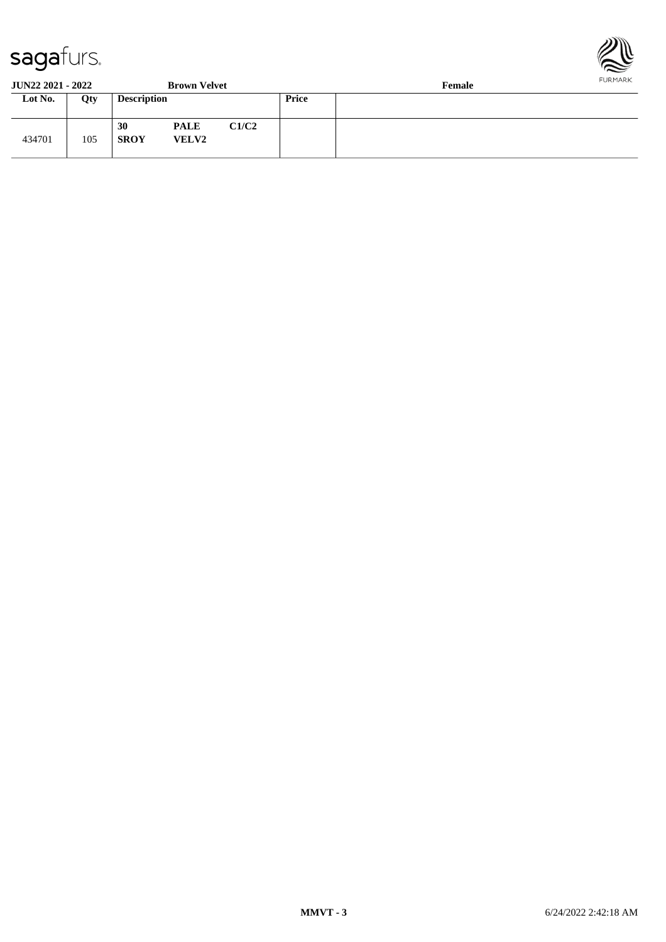

**JUN22 2021 - 2022 Brown Velvet Female**

| $-0.11 - 0.000 - 0.000$ |     |                    |                             |       |       | --------- |
|-------------------------|-----|--------------------|-----------------------------|-------|-------|-----------|
| Lot No.                 | Qty | <b>Description</b> |                             |       | Price |           |
| 434701                  | 105 | 30<br><b>SROY</b>  | <b>PALE</b><br><b>VELV2</b> | C1/C2 |       |           |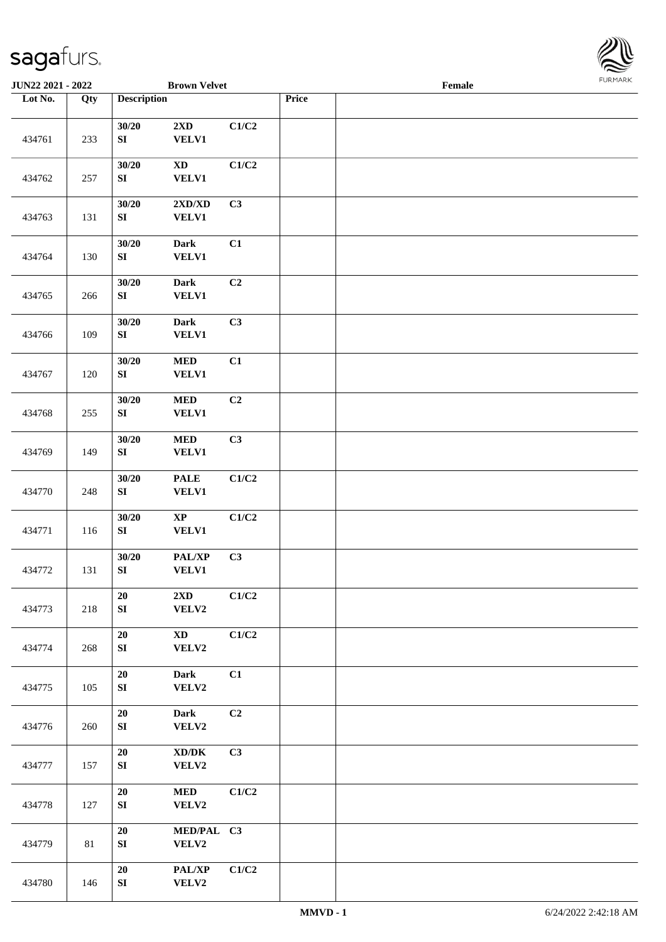

| <b>JUN22 2021 - 2022</b> |     |                           | <b>Brown Velvet</b>                          |       |       | Female |  |
|--------------------------|-----|---------------------------|----------------------------------------------|-------|-------|--------|--|
| Lot No.                  | Qty | <b>Description</b>        |                                              |       | Price |        |  |
| 434761                   | 233 | 30/20<br>${\bf S}{\bf I}$ | $2{\bf X}{\bf D}$<br><b>VELV1</b>            | C1/C2 |       |        |  |
| 434762                   | 257 | 30/20<br>${\bf S}{\bf I}$ | <b>XD</b><br><b>VELV1</b>                    | C1/C2 |       |        |  |
| 434763                   | 131 | 30/20<br>${\bf S}{\bf I}$ | 2XD/XD<br>VELV1                              | C3    |       |        |  |
| 434764                   | 130 | 30/20<br>${\bf S}{\bf I}$ | Dark<br><b>VELV1</b>                         | C1    |       |        |  |
| 434765                   | 266 | 30/20<br>${\bf S}{\bf I}$ | Dark<br><b>VELV1</b>                         | C2    |       |        |  |
| 434766                   | 109 | 30/20<br>${\bf S}{\bf I}$ | <b>Dark</b><br><b>VELV1</b>                  | C3    |       |        |  |
| 434767                   | 120 | 30/20<br>${\bf S}{\bf I}$ | $\bf MED$<br><b>VELV1</b>                    | C1    |       |        |  |
| 434768                   | 255 | 30/20<br>${\bf S}{\bf I}$ | <b>MED</b><br><b>VELV1</b>                   | C2    |       |        |  |
| 434769                   | 149 | 30/20<br>${\bf S}{\bf I}$ | <b>MED</b><br><b>VELV1</b>                   | C3    |       |        |  |
| 434770                   | 248 | 30/20<br>${\bf S}{\bf I}$ | <b>PALE</b><br><b>VELV1</b>                  | C1/C2 |       |        |  |
| 434771                   | 116 | 30/20<br>${\bf S}{\bf I}$ | $\bold{XP}$<br><b>VELV1</b>                  | C1/C2 |       |        |  |
| 434772                   | 131 | 30/20<br>${\bf SI}$       | PAL/XP<br><b>VELV1</b>                       | C3    |       |        |  |
| 434773                   | 218 | ${\bf 20}$<br>${\bf SI}$  | 2XD<br>VELV2                                 | C1/C2 |       |        |  |
| 434774                   | 268 | 20<br>SI                  | $\mathbf{X}\mathbf{D}$<br>VELV2              | C1/C2 |       |        |  |
| 434775                   | 105 | 20<br>${\bf SI}$          | <b>Dark</b><br>VELV2                         | C1    |       |        |  |
| 434776                   | 260 | 20<br>${\bf S}{\bf I}$    | Dark<br>VELV2                                | C2    |       |        |  |
| 434777                   | 157 | 20<br>${\bf SI}$          | $\bold{X}\bold{D}/\bold{D}\bold{K}$<br>VELV2 | C3    |       |        |  |
| 434778                   | 127 | 20<br>${\bf SI}$          | <b>MED</b><br>VELV2                          | C1/C2 |       |        |  |
| 434779                   | 81  | 20<br>${\bf SI}$          | MED/PAL C3<br>VELV2                          |       |       |        |  |
| 434780                   | 146 | ${\bf 20}$<br>SI          | PAL/XP<br>VELV2                              | C1/C2 |       |        |  |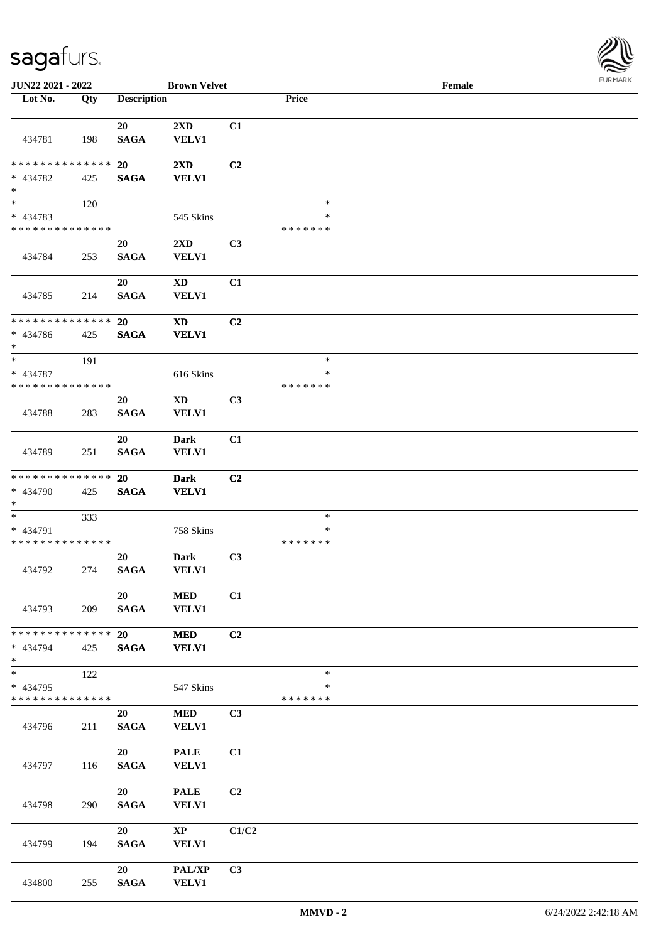

| <b>JUN22 2021 - 2022</b>                |     |                          | <b>Brown Velvet</b>                     |       |                    | Female |  |
|-----------------------------------------|-----|--------------------------|-----------------------------------------|-------|--------------------|--------|--|
| Lot No.                                 | Qty | <b>Description</b>       |                                         |       | Price              |        |  |
|                                         |     |                          |                                         |       |                    |        |  |
|                                         |     | 20                       | 2XD                                     | C1    |                    |        |  |
| 434781                                  | 198 | <b>SAGA</b>              | <b>VELV1</b>                            |       |                    |        |  |
| * * * * * * * * * * * * * *             |     |                          |                                         |       |                    |        |  |
| * 434782                                | 425 | <b>20</b><br><b>SAGA</b> | $2\mathbf{X}\mathbf{D}$<br><b>VELV1</b> | C2    |                    |        |  |
| $\ast$                                  |     |                          |                                         |       |                    |        |  |
| $*$                                     | 120 |                          |                                         |       | $\ast$             |        |  |
| * 434783                                |     |                          | 545 Skins                               |       | $\ast$             |        |  |
| * * * * * * * * * * * * * *             |     |                          |                                         |       | * * * * * * *      |        |  |
|                                         |     | 20                       | $2\mathbf{X}\mathbf{D}$                 | C3    |                    |        |  |
| 434784                                  | 253 | <b>SAGA</b>              | <b>VELV1</b>                            |       |                    |        |  |
|                                         |     | 20                       | $\mathbf{X}\mathbf{D}$                  | C1    |                    |        |  |
| 434785                                  | 214 | <b>SAGA</b>              | VELV1                                   |       |                    |        |  |
|                                         |     |                          |                                         |       |                    |        |  |
| * * * * * * * * * * * * * *             |     | 20                       | <b>XD</b>                               | C2    |                    |        |  |
| * 434786                                | 425 | <b>SAGA</b>              | <b>VELV1</b>                            |       |                    |        |  |
| $*$                                     |     |                          |                                         |       |                    |        |  |
| $\ast$                                  | 191 |                          |                                         |       | $\ast$             |        |  |
| * 434787<br>* * * * * * * * * * * * * * |     |                          | 616 Skins                               |       | ∗<br>* * * * * * * |        |  |
|                                         |     | 20                       | <b>XD</b>                               | C3    |                    |        |  |
| 434788                                  | 283 | <b>SAGA</b>              | <b>VELV1</b>                            |       |                    |        |  |
|                                         |     |                          |                                         |       |                    |        |  |
|                                         |     | 20                       | Dark                                    | C1    |                    |        |  |
| 434789                                  | 251 | <b>SAGA</b>              | VELV1                                   |       |                    |        |  |
| * * * * * * * * * * * * * *             |     |                          |                                         | C2    |                    |        |  |
| * 434790                                | 425 | 20<br><b>SAGA</b>        | <b>Dark</b><br><b>VELV1</b>             |       |                    |        |  |
| $*$                                     |     |                          |                                         |       |                    |        |  |
| $*$                                     | 333 |                          |                                         |       | $\ast$             |        |  |
| * 434791                                |     |                          | 758 Skins                               |       | $\ast$             |        |  |
| * * * * * * * * * * * * * *             |     |                          |                                         |       | * * * * * * *      |        |  |
|                                         |     | 20                       | Dark                                    | C3    |                    |        |  |
| 434792                                  | 274 | <b>SAGA</b>              | VELV1                                   |       |                    |        |  |
|                                         |     | 20                       | <b>MED</b>                              | C1    |                    |        |  |
| 434793                                  | 209 | <b>SAGA</b>              | <b>VELV1</b>                            |       |                    |        |  |
|                                         |     |                          |                                         |       |                    |        |  |
| * * * * * * * * * * * * * * *           |     | 20                       | <b>MED</b>                              | C2    |                    |        |  |
| * 434794                                | 425 | <b>SAGA</b>              | <b>VELV1</b>                            |       |                    |        |  |
| $*$<br>$*$                              |     |                          |                                         |       | $\ast$             |        |  |
| * 434795                                | 122 |                          | 547 Skins                               |       | $\ast$             |        |  |
| * * * * * * * * * * * * * *             |     |                          |                                         |       | *******            |        |  |
|                                         |     | 20                       | <b>MED</b>                              | C3    |                    |        |  |
| 434796                                  | 211 | <b>SAGA</b>              | <b>VELV1</b>                            |       |                    |        |  |
|                                         |     |                          |                                         |       |                    |        |  |
|                                         |     | 20                       | <b>PALE</b>                             | C1    |                    |        |  |
| 434797                                  | 116 | <b>SAGA</b>              | <b>VELV1</b>                            |       |                    |        |  |
|                                         |     | 20                       | <b>PALE</b>                             | C2    |                    |        |  |
| 434798                                  | 290 | <b>SAGA</b>              | <b>VELV1</b>                            |       |                    |        |  |
|                                         |     |                          |                                         |       |                    |        |  |
|                                         |     | 20                       | $\mathbf{X}\mathbf{P}$                  | C1/C2 |                    |        |  |
| 434799                                  | 194 | <b>SAGA</b>              | <b>VELV1</b>                            |       |                    |        |  |
|                                         |     |                          |                                         |       |                    |        |  |
|                                         |     | 20                       | PAL/XP                                  | C3    |                    |        |  |
| 434800                                  | 255 | <b>SAGA</b>              | <b>VELV1</b>                            |       |                    |        |  |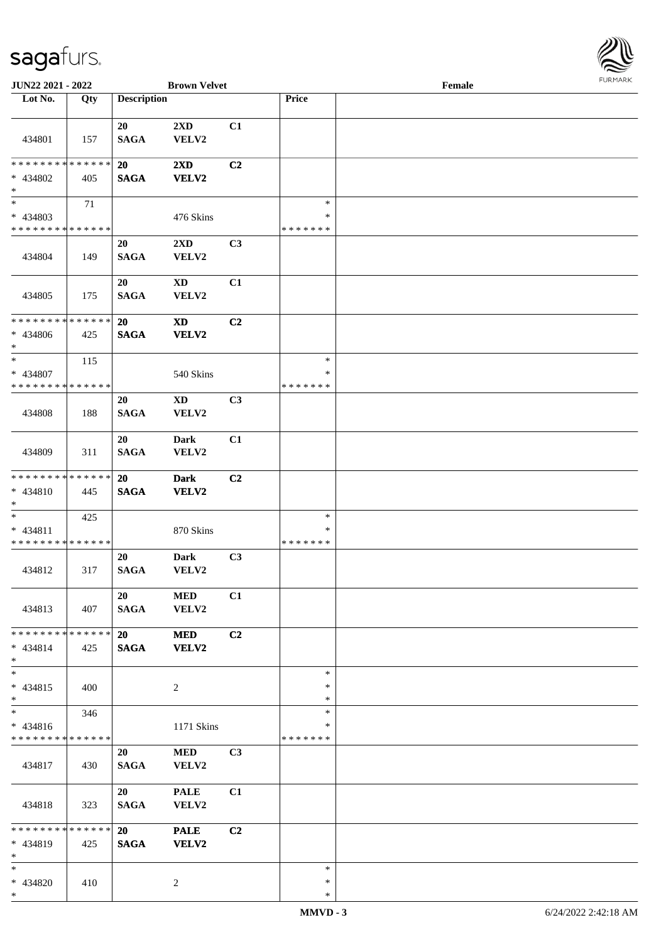

| JUN22 2021 - 2022             |     |                    | <b>Brown Velvet</b>    |    |               | Female |  |
|-------------------------------|-----|--------------------|------------------------|----|---------------|--------|--|
| Lot No.                       | Qty | <b>Description</b> |                        |    | Price         |        |  |
|                               |     |                    |                        |    |               |        |  |
|                               |     | 20                 | 2XD                    | C1 |               |        |  |
| 434801                        | 157 | <b>SAGA</b>        | VELV2                  |    |               |        |  |
|                               |     |                    |                        |    |               |        |  |
| * * * * * * * * * * * * * *   |     | 20                 | 2XD                    | C2 |               |        |  |
| * 434802                      | 405 | <b>SAGA</b>        | VELV2                  |    |               |        |  |
| $\ast$                        |     |                    |                        |    |               |        |  |
| $\overline{\ast}$             | 71  |                    |                        |    | $\ast$        |        |  |
| * 434803                      |     |                    | 476 Skins              |    | $\ast$        |        |  |
| * * * * * * * * * * * * * *   |     |                    |                        |    | * * * * * * * |        |  |
|                               |     | 20                 | 2XD                    | C3 |               |        |  |
| 434804                        | 149 | <b>SAGA</b>        | VELV2                  |    |               |        |  |
|                               |     |                    |                        |    |               |        |  |
|                               |     | 20                 | $\mathbf{X}\mathbf{D}$ | C1 |               |        |  |
| 434805                        | 175 | <b>SAGA</b>        | VELV2                  |    |               |        |  |
|                               |     |                    |                        |    |               |        |  |
| * * * * * * * * * * * * * *   |     | 20                 | <b>XD</b>              | C2 |               |        |  |
| * 434806                      | 425 | <b>SAGA</b>        | VELV2                  |    |               |        |  |
| $*$                           |     |                    |                        |    |               |        |  |
| $*$                           | 115 |                    |                        |    | $\ast$        |        |  |
| * 434807                      |     |                    | 540 Skins              |    | ∗             |        |  |
| * * * * * * * * * * * * * *   |     |                    |                        |    | * * * * * * * |        |  |
|                               |     | 20                 | <b>XD</b>              | C3 |               |        |  |
| 434808                        | 188 | <b>SAGA</b>        | VELV2                  |    |               |        |  |
|                               |     |                    |                        |    |               |        |  |
|                               |     | 20                 | Dark                   | C1 |               |        |  |
| 434809                        | 311 | <b>SAGA</b>        | VELV2                  |    |               |        |  |
|                               |     |                    |                        |    |               |        |  |
| * * * * * * * * * * * * * *   |     | 20                 | <b>Dark</b>            | C2 |               |        |  |
| * 434810                      | 445 | <b>SAGA</b>        | VELV2                  |    |               |        |  |
| $*$                           |     |                    |                        |    |               |        |  |
| $*$                           | 425 |                    |                        |    | $\ast$        |        |  |
| * 434811                      |     |                    | 870 Skins              |    | $\ast$        |        |  |
| * * * * * * * * * * * * * *   |     |                    |                        |    | * * * * * * * |        |  |
|                               |     | 20                 | Dark                   | C3 |               |        |  |
| 434812                        | 317 | <b>SAGA</b>        | VELV2                  |    |               |        |  |
|                               |     |                    |                        |    |               |        |  |
|                               |     | 20                 | <b>MED</b>             | C1 |               |        |  |
| 434813                        | 407 | <b>SAGA</b>        | VELV2                  |    |               |        |  |
|                               |     |                    |                        |    |               |        |  |
| * * * * * * * * * * * * * * * |     | 20                 | <b>MED</b>             | C2 |               |        |  |
| * 434814                      | 425 | <b>SAGA</b>        | <b>VELV2</b>           |    |               |        |  |
| $*$                           |     |                    |                        |    |               |        |  |
| $*$                           |     |                    |                        |    | $\ast$        |        |  |
| $* 434815$                    | 400 |                    | $\overline{c}$         |    | $\ast$        |        |  |
| $*$                           |     |                    |                        |    | $\ast$        |        |  |
| $*$                           | 346 |                    |                        |    | $\ast$        |        |  |
| $* 434816$                    |     |                    | 1171 Skins             |    | ∗             |        |  |
| * * * * * * * * * * * * * *   |     |                    |                        |    | *******       |        |  |
|                               |     | 20                 | <b>MED</b>             | C3 |               |        |  |
| 434817                        | 430 | <b>SAGA</b>        | VELV2                  |    |               |        |  |
|                               |     |                    |                        |    |               |        |  |
|                               |     | 20                 | <b>PALE</b>            | C1 |               |        |  |
| 434818                        | 323 | <b>SAGA</b>        | VELV2                  |    |               |        |  |
|                               |     |                    |                        |    |               |        |  |
| * * * * * * * * * * * * * * * |     | 20                 | <b>PALE</b>            | C2 |               |        |  |
| * 434819                      | 425 | <b>SAGA</b>        | <b>VELV2</b>           |    |               |        |  |
| $*$                           |     |                    |                        |    |               |        |  |
| $*$                           |     |                    |                        |    | $\ast$        |        |  |
| * 434820                      | 410 |                    | 2                      |    | $\ast$        |        |  |
| $*$                           |     |                    |                        |    | $\ast$        |        |  |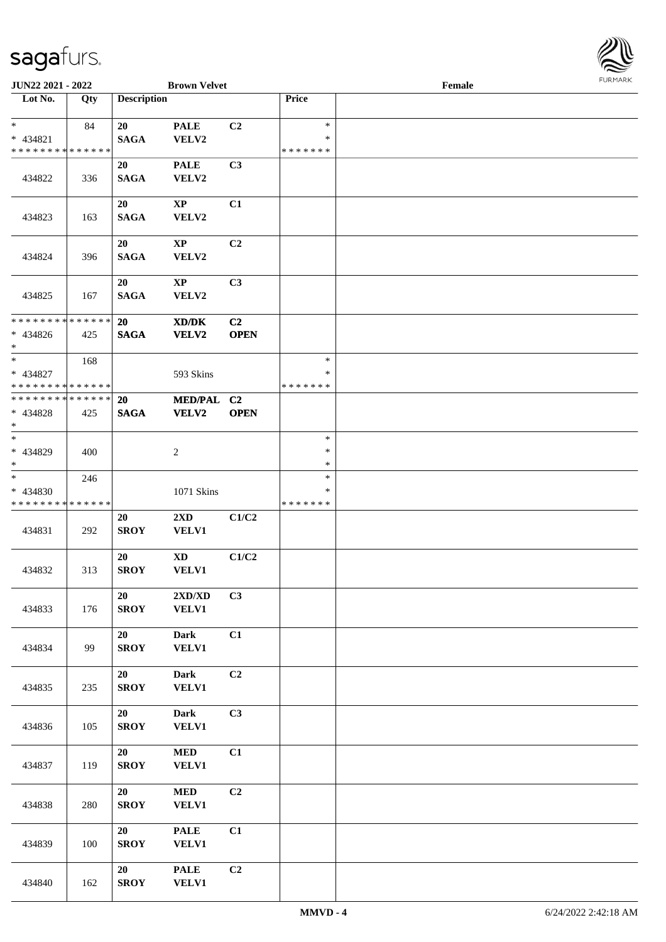

| <b>JUN22 2021 - 2022</b>                                       |     |                          | <b>Brown Velvet</b>                              |                               |                                   | Female |  |
|----------------------------------------------------------------|-----|--------------------------|--------------------------------------------------|-------------------------------|-----------------------------------|--------|--|
| Lot No.                                                        | Qty | <b>Description</b>       |                                                  |                               | Price                             |        |  |
| $\ast$<br>* 434821<br>* * * * * * * * * * * * * *              | 84  | 20<br><b>SAGA</b>        | <b>PALE</b><br>VELV2                             | C2                            | $\ast$<br>$\ast$<br>* * * * * * * |        |  |
| 434822                                                         | 336 | 20<br><b>SAGA</b>        | <b>PALE</b><br>VELV2                             | C3                            |                                   |        |  |
| 434823                                                         | 163 | 20<br><b>SAGA</b>        | <b>XP</b><br>VELV2                               | C1                            |                                   |        |  |
| 434824                                                         | 396 | 20<br><b>SAGA</b>        | $\mathbf{X}\mathbf{P}$<br>VELV2                  | C2                            |                                   |        |  |
| 434825                                                         | 167 | 20<br><b>SAGA</b>        | $\mathbf{X}\mathbf{P}$<br>VELV2                  | C3                            |                                   |        |  |
| * * * * * * * * * * * * * * *<br>* 434826<br>$\ast$            | 425 | <b>20</b><br><b>SAGA</b> | XD/DK<br><b>VELV2</b>                            | C <sub>2</sub><br><b>OPEN</b> |                                   |        |  |
| * 434827<br>* * * * * * * * <mark>* * * * * *</mark>           | 168 |                          | 593 Skins                                        |                               | $\ast$<br>∗<br>* * * * * * *      |        |  |
| * * * * * * * * <mark>* * * * * *</mark><br>* 434828<br>$\ast$ | 425 | 20<br><b>SAGA</b>        | <b>MED/PAL</b><br><b>VELV2</b>                   | C <sub>2</sub><br><b>OPEN</b> |                                   |        |  |
| * 434829<br>$\ast$                                             | 400 |                          | $\overline{c}$                                   |                               | $\ast$<br>$\ast$<br>$\ast$        |        |  |
| $*$<br>* 434830<br>* * * * * * * * * * * * * *                 | 246 |                          | 1071 Skins                                       |                               | $\ast$<br>$\ast$<br>* * * * * * * |        |  |
| 434831                                                         | 292 | 20<br><b>SROY</b>        | $2\mathbf{X}\mathbf{D}$<br>VELV1                 | C1/C2                         |                                   |        |  |
| 434832                                                         | 313 | 20<br><b>SROY</b>        | <b>XD</b><br>VELV1                               | C1/C2                         |                                   |        |  |
| 434833                                                         | 176 | 20<br><b>SROY</b>        | $2{\bf X}{\bf D}/{\bf X}{\bf D}$<br><b>VELV1</b> | C3                            |                                   |        |  |
| 434834                                                         | 99  | 20<br><b>SROY</b>        | <b>Dark</b><br><b>VELV1</b>                      | C1                            |                                   |        |  |
| 434835                                                         | 235 | 20<br><b>SROY</b>        | <b>Dark</b><br><b>VELV1</b>                      | C2                            |                                   |        |  |
| 434836                                                         | 105 | 20<br><b>SROY</b>        | Dark<br><b>VELV1</b>                             | C3                            |                                   |        |  |
| 434837                                                         | 119 | 20<br><b>SROY</b>        | <b>MED</b><br><b>VELV1</b>                       | C1                            |                                   |        |  |
| 434838                                                         | 280 | 20<br><b>SROY</b>        | $\bf MED$<br>VELV1                               | C2                            |                                   |        |  |
| 434839                                                         | 100 | 20<br><b>SROY</b>        | <b>PALE</b><br><b>VELV1</b>                      | C1                            |                                   |        |  |
| 434840                                                         | 162 | 20<br><b>SROY</b>        | <b>PALE</b><br><b>VELV1</b>                      | C2                            |                                   |        |  |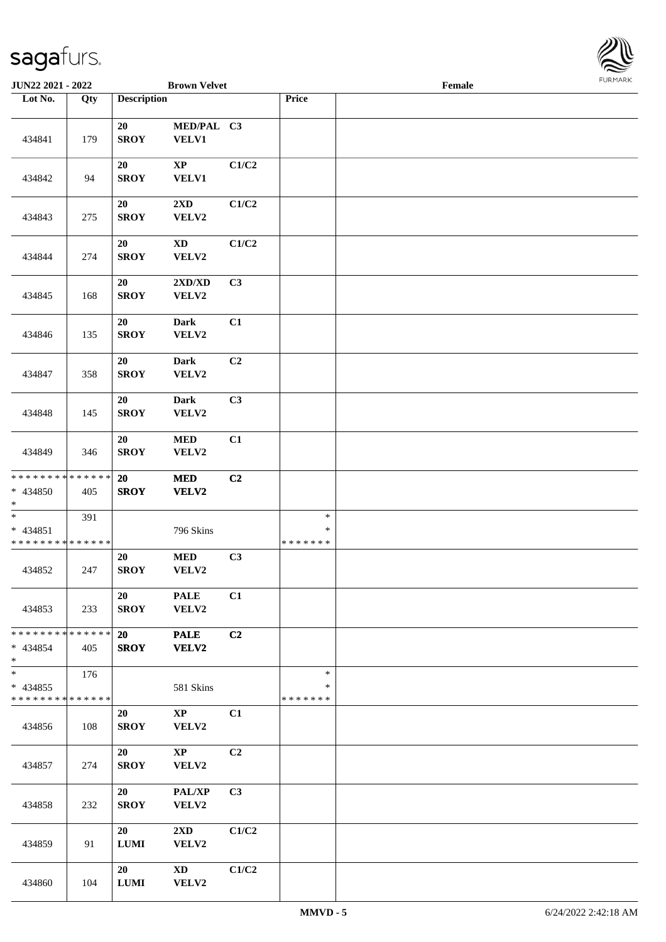

| JUN22 2021 - 2022                                 |     |                       | <b>Brown Velvet</b>              |                |                             | Female |  |
|---------------------------------------------------|-----|-----------------------|----------------------------------|----------------|-----------------------------|--------|--|
| Lot No.                                           | Qty | <b>Description</b>    |                                  |                | Price                       |        |  |
| 434841                                            | 179 | 20<br><b>SROY</b>     | MED/PAL C3<br>VELV1              |                |                             |        |  |
| 434842                                            | 94  | 20<br><b>SROY</b>     | $\bold{XP}$<br><b>VELV1</b>      | C1/C2          |                             |        |  |
| 434843                                            | 275 | 20<br><b>SROY</b>     | 2XD<br>VELV2                     | C1/C2          |                             |        |  |
| 434844                                            | 274 | $20\,$<br><b>SROY</b> | $\mathbf{X}\mathbf{D}$<br>VELV2  | C1/C2          |                             |        |  |
| 434845                                            | 168 | 20<br><b>SROY</b>     | 2XD/XD<br>VELV2                  | C3             |                             |        |  |
| 434846                                            | 135 | 20<br><b>SROY</b>     | <b>Dark</b><br>VELV2             | C1             |                             |        |  |
| 434847                                            | 358 | 20<br><b>SROY</b>     | <b>Dark</b><br>VELV2             | C <sub>2</sub> |                             |        |  |
| 434848                                            | 145 | 20<br><b>SROY</b>     | <b>Dark</b><br>VELV2             | C3             |                             |        |  |
| 434849                                            | 346 | 20<br><b>SROY</b>     | $\bf MED$<br>VELV2               | C1             |                             |        |  |
| * * * * * * * * * * * * * *<br>* 434850<br>$*$    | 405 | 20<br><b>SROY</b>     | $\bf MED$<br>VELV2               | C2             |                             |        |  |
| $\ast$<br>* 434851<br>* * * * * * * * * * * * * * | 391 |                       | 796 Skins                        |                | $\ast$<br>$\ast$<br>******* |        |  |
| 434852                                            | 247 | 20<br><b>SROY</b>     | $\bf MED$<br>VELV2               | C3             |                             |        |  |
| 434853                                            | 233 | 20<br><b>SROY</b>     | <b>PALE</b><br>VELV2             | C1             |                             |        |  |
| * * * * * * * * * * * * * * *<br>* 434854<br>$*$  | 405 | 20<br><b>SROY</b>     | <b>PALE</b><br>VELV2             | C2             |                             |        |  |
| $*$<br>$* 434855$<br>* * * * * * * * * * * * * *  | 176 |                       | 581 Skins                        |                | $\ast$<br>$\ast$<br>******* |        |  |
| 434856                                            | 108 | 20<br><b>SROY</b>     | $\mathbf{XP}$<br>VELV2           | C1             |                             |        |  |
| 434857                                            | 274 | 20<br><b>SROY</b>     | $\mathbf{XP}$<br>VELV2           | C2             |                             |        |  |
| 434858                                            | 232 | 20<br><b>SROY</b>     | PAL/XP<br>VELV2                  | C <sub>3</sub> |                             |        |  |
| 434859                                            | 91  | 20<br><b>LUMI</b>     | $2\mathbf{X}\mathbf{D}$<br>VELV2 | C1/C2          |                             |        |  |
| 434860                                            | 104 | 20<br><b>LUMI</b>     | $\mathbf{X}\mathbf{D}$<br>VELV2  | C1/C2          |                             |        |  |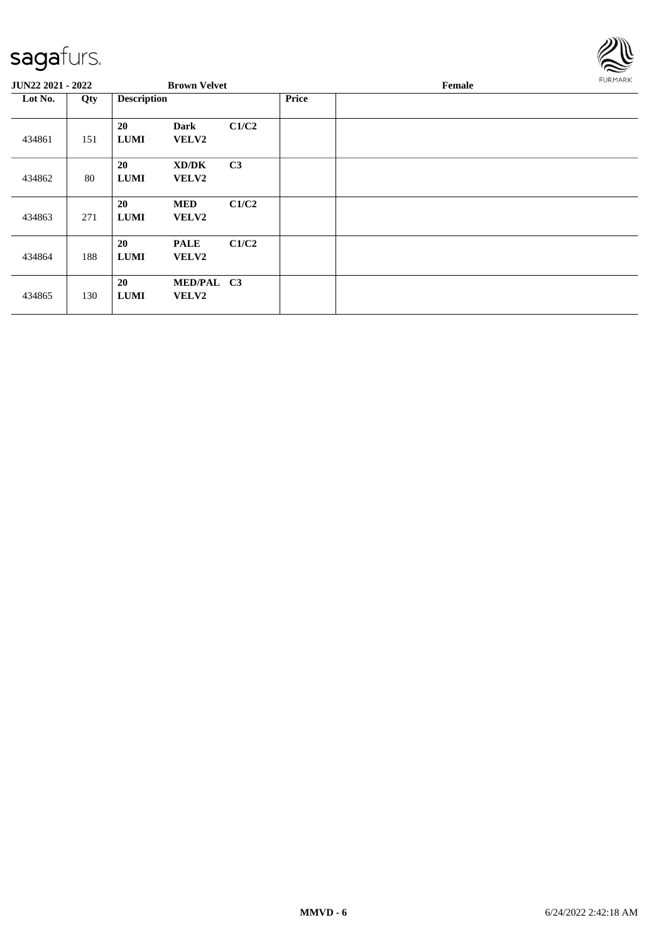

| <b>JUN22 2021 - 2022</b> |     |                          | <b>Brown Velvet</b>         |                |              | Female | <b>FURMARK</b> |
|--------------------------|-----|--------------------------|-----------------------------|----------------|--------------|--------|----------------|
| Lot No.                  | Qty | <b>Description</b>       |                             |                | <b>Price</b> |        |                |
| 434861                   | 151 | 20<br><b>LUMI</b>        | <b>Dark</b><br><b>VELV2</b> | C1/C2          |              |        |                |
| 434862                   | 80  | 20<br><b>LUMI</b>        | XD/DK<br><b>VELV2</b>       | C <sub>3</sub> |              |        |                |
| 434863                   | 271 | 20<br><b>LUMI</b>        | <b>MED</b><br><b>VELV2</b>  | C1/C2          |              |        |                |
| 434864                   | 188 | <b>20</b><br><b>LUMI</b> | <b>PALE</b><br><b>VELV2</b> | C1/C2          |              |        |                |
| 434865                   | 130 | 20<br><b>LUMI</b>        | MED/PAL C3<br>VELV2         |                |              |        |                |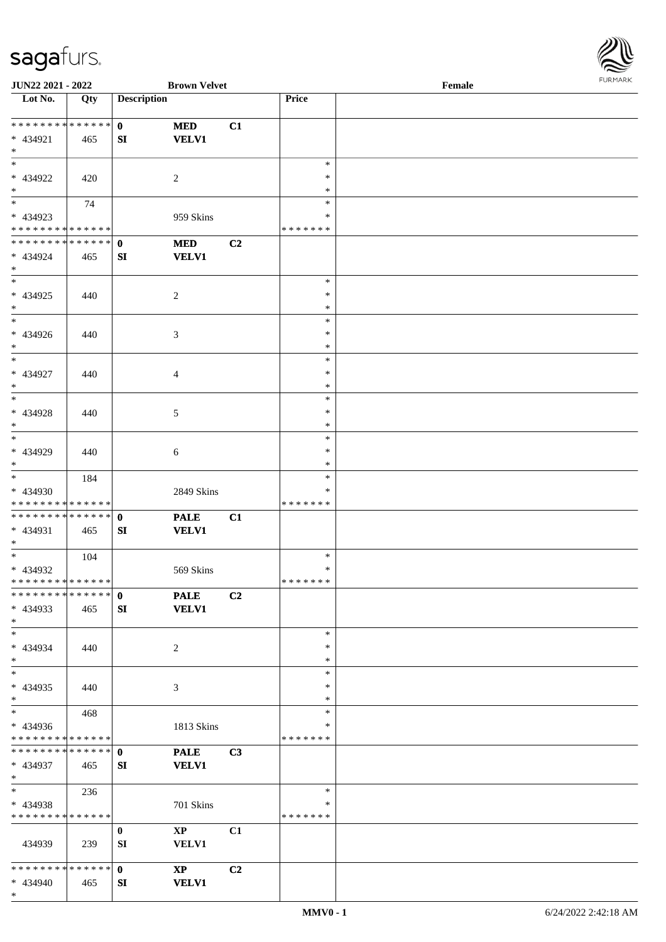\*

 $\mathbf{I}$ 



| JUN22 2021 - 2022                               |     |                    | <b>Brown Velvet</b>         |                |                         | Female |  |
|-------------------------------------------------|-----|--------------------|-----------------------------|----------------|-------------------------|--------|--|
| Lot No.                                         | Qty | <b>Description</b> |                             |                | Price                   |        |  |
| ******** <mark>******</mark>                    |     | $\mathbf{0}$       | <b>MED</b>                  | C1             |                         |        |  |
| * 434921<br>$*$                                 | 465 | SI                 | <b>VELV1</b>                |                |                         |        |  |
| $*$                                             |     |                    |                             |                | $\ast$                  |        |  |
| * 434922                                        | 420 |                    | $\overline{2}$              |                | ∗                       |        |  |
| $\ast$<br>$\overline{\phantom{0}}$              | 74  |                    |                             |                | *<br>$\ast$             |        |  |
| * 434923                                        |     |                    | 959 Skins                   |                | $\ast$                  |        |  |
| * * * * * * * * * * * * * *                     |     |                    |                             |                | * * * * * * *           |        |  |
| * * * * * * * * * * * * * * *<br>* 434924       | 465 | $\mathbf{0}$<br>SI | $\bf MED$<br><b>VELV1</b>   | C <sub>2</sub> |                         |        |  |
| $*$                                             |     |                    |                             |                |                         |        |  |
| $*$<br>$* 434925$                               | 440 |                    | $\overline{c}$              |                | $\ast$<br>$\ast$        |        |  |
| $*$                                             |     |                    |                             |                | $\ast$                  |        |  |
| $\overline{\ast}$                               |     |                    |                             |                | $\ast$                  |        |  |
| $* 434926$<br>$*$                               | 440 |                    | 3                           |                | $\ast$<br>$\ast$        |        |  |
| $\ast$                                          |     |                    |                             |                | $\ast$                  |        |  |
| * 434927<br>$*$                                 | 440 |                    | $\overline{4}$              |                | $\ast$<br>$\ast$        |        |  |
| $*$                                             |     |                    |                             |                | $\ast$                  |        |  |
| * 434928<br>$*$                                 | 440 |                    | $5\phantom{.0}$             |                | $\ast$                  |        |  |
| $\ast$                                          |     |                    |                             |                | ∗<br>$\ast$             |        |  |
| * 434929                                        | 440 |                    | 6                           |                | $\ast$                  |        |  |
| $*$<br>$\overline{\phantom{0}}$                 | 184 |                    |                             |                | $\ast$<br>$\ast$        |        |  |
| * 434930                                        |     |                    | 2849 Skins                  |                | ∗                       |        |  |
| * * * * * * * * * * * * * *                     |     |                    |                             |                | * * * * * * *           |        |  |
| * * * * * * * * * * * * * * *<br>* 434931       | 465 | $\mathbf{0}$<br>SI | <b>PALE</b><br><b>VELV1</b> | C1             |                         |        |  |
| $*$<br>$*$                                      | 104 |                    |                             |                | $\ast$                  |        |  |
| * 434932                                        |     |                    | 569 Skins                   |                | $\ast$                  |        |  |
| * * * * * * * * * * * * * * *<br>************** |     | $\mathbf{0}$       | <b>PALE</b>                 | C2             | *******                 |        |  |
| $* 434933$<br>$*$                               | 465 | SI                 | <b>VELV1</b>                |                |                         |        |  |
| $*$                                             |     |                    |                             |                | $\ast$                  |        |  |
| * 434934<br>$*$                                 | 440 |                    | $\overline{2}$              |                | ∗<br>∗                  |        |  |
| $*$                                             |     |                    |                             |                | $\ast$                  |        |  |
| * 434935                                        | 440 |                    | 3                           |                | $\ast$<br>$\ast$        |        |  |
| $*$<br>$\overline{\phantom{0}}$                 | 468 |                    |                             |                | $\ast$                  |        |  |
| * 434936                                        |     |                    | 1813 Skins                  |                | ∗                       |        |  |
| * * * * * * * * * * * * * *<br>**************   |     | $\mathbf{0}$       | <b>PALE</b>                 | C3             | * * * * * * *           |        |  |
| * 434937<br>$*$ $-$                             | 465 | SI                 | <b>VELV1</b>                |                |                         |        |  |
| $*$ $-$                                         | 236 |                    |                             |                | $\ast$                  |        |  |
| * 434938<br>* * * * * * * * * * * * * *         |     |                    | 701 Skins                   |                | $\ast$<br>* * * * * * * |        |  |
|                                                 |     | $\mathbf{0}$       | $\mathbf{X}\mathbf{P}$      | C1             |                         |        |  |
| 434939                                          | 239 | SI                 | VELV1                       |                |                         |        |  |
| * * * * * * * * * * * * * * *                   |     | $\mathbf{0}$       | $\bold{X}\bold{P}$          | C <sub>2</sub> |                         |        |  |
| * 434940                                        | 465 | SI                 | <b>VELV1</b>                |                |                         |        |  |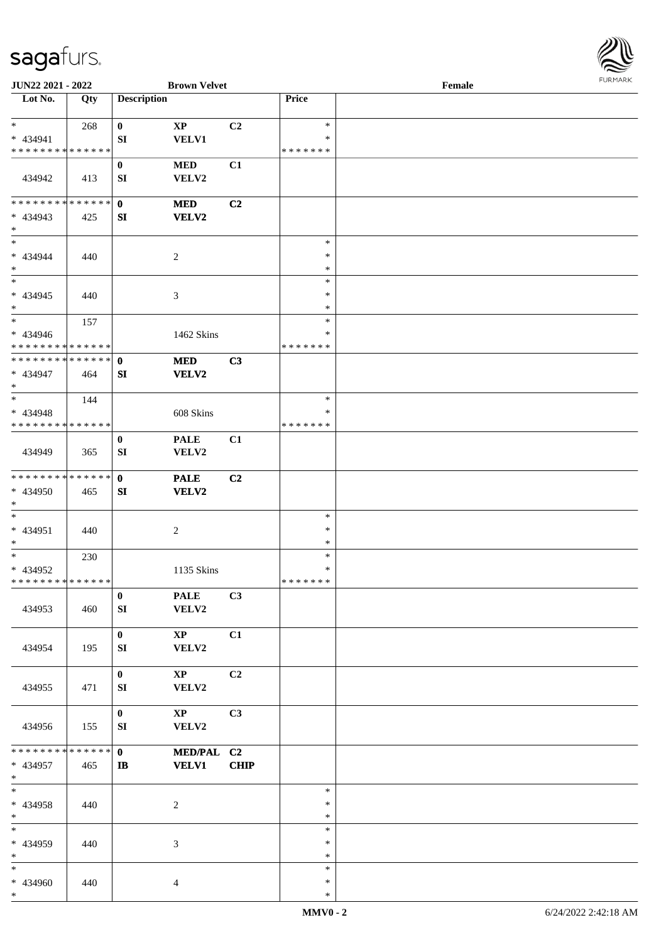

| JUN22 2021 - 2022                                |     |                              | <b>Brown Velvet</b>                    |             |                                   | Female |  |
|--------------------------------------------------|-----|------------------------------|----------------------------------------|-------------|-----------------------------------|--------|--|
| Lot No.                                          | Qty | <b>Description</b>           |                                        |             | Price                             |        |  |
| $*$<br>* 434941                                  | 268 | $\bf{0}$<br>SI               | $\mathbf{X}\mathbf{P}$<br><b>VELV1</b> | C2          | $\ast$<br>$\ast$                  |        |  |
| * * * * * * * * * * * * * *                      |     |                              |                                        |             | * * * * * * *                     |        |  |
| 434942                                           | 413 | $\bf{0}$<br>SI               | <b>MED</b><br>VELV2                    | C1          |                                   |        |  |
| * * * * * * * * * * * * * * *<br>* 434943        | 425 | $\mathbf{0}$<br>SI           | <b>MED</b><br>VELV2                    | C2          |                                   |        |  |
| $*$<br>$*$                                       |     |                              |                                        |             | $\ast$                            |        |  |
| $* 434944$<br>$*$                                | 440 |                              | $\overline{c}$                         |             | $\ast$<br>$\ast$                  |        |  |
| $\overline{\phantom{0}}$                         |     |                              |                                        |             | $\ast$                            |        |  |
| $* 434945$<br>$*$<br>$\ast$                      | 440 |                              | 3                                      |             | $\ast$<br>$\ast$                  |        |  |
| $* 434946$<br>* * * * * * * * * * * * * *        | 157 |                              | 1462 Skins                             |             | $\ast$<br>$\ast$<br>* * * * * * * |        |  |
| * * * * * * * * * * * * * * *<br>* 434947        | 464 | $\mathbf{0}$<br>SI           | <b>MED</b><br><b>VELV2</b>             | C3          |                                   |        |  |
| $*$<br>$*$                                       |     |                              |                                        |             | $\ast$                            |        |  |
| * 434948<br>* * * * * * * * * * * * * *          | 144 |                              | 608 Skins                              |             | ∗<br>* * * * * * *                |        |  |
| 434949                                           | 365 | $\bf{0}$<br>SI               | <b>PALE</b><br>VELV2                   | C1          |                                   |        |  |
| * * * * * * * * * * * * * * *<br>* 434950<br>$*$ | 465 | $\mathbf{0}$<br>SI           | <b>PALE</b><br>VELV2                   | C2          |                                   |        |  |
| $*$<br>$* 434951$<br>$*$                         | 440 |                              | $\boldsymbol{2}$                       |             | $\ast$<br>$\ast$<br>$\ast$        |        |  |
| $*$<br>* 434952<br>******** <mark>******</mark>  | 230 |                              | 1135 Skins                             |             | $\ast$<br>$\ast$<br>*******       |        |  |
| 434953                                           | 460 | $\bf{0}$<br>SI               | <b>PALE</b><br>VELV2                   | C3          |                                   |        |  |
| 434954                                           | 195 | $\mathbf{0}$<br>SI           | $\mathbf{X}\mathbf{P}$<br>VELV2        | C1          |                                   |        |  |
| 434955                                           | 471 | $\bf{0}$<br>SI               | $\mathbf{X}\mathbf{P}$<br>VELV2        | C2          |                                   |        |  |
| 434956                                           | 155 | $\mathbf{0}$<br>SI           | $\mathbf{X}\mathbf{P}$<br>VELV2        | C3          |                                   |        |  |
| * * * * * * * * * * * * * * *<br>* 434957<br>$*$ | 465 | $\mathbf{0}$<br>$\mathbf{I}$ | MED/PAL C2<br><b>VELV1</b>             | <b>CHIP</b> |                                   |        |  |
| $*$<br>* 434958<br>$*$                           | 440 |                              | 2                                      |             | $\ast$<br>$\ast$<br>$\ast$        |        |  |
| $*$<br>* 434959<br>$*$                           | 440 |                              | 3                                      |             | $\ast$<br>$\ast$<br>$\ast$        |        |  |
| $*$<br>* 434960<br>$\ast$                        | 440 |                              | 4                                      |             | $\ast$<br>$\ast$<br>$\ast$        |        |  |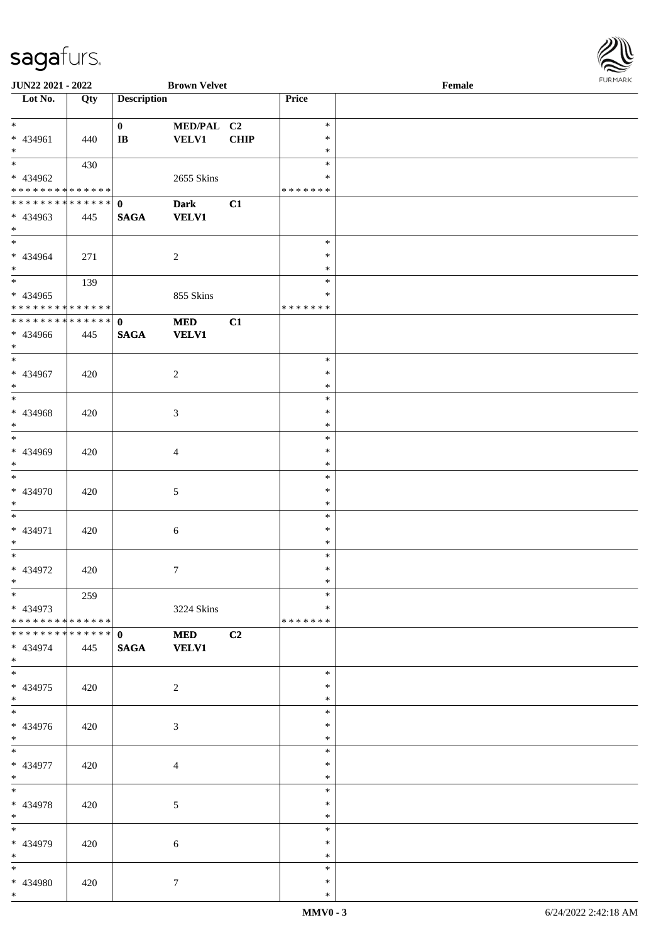

| <b>JUN22 2021 - 2022</b>      |     |                        | <b>Brown Velvet</b> |             |               | Female |
|-------------------------------|-----|------------------------|---------------------|-------------|---------------|--------|
| Lot No.                       | Qty | <b>Description</b>     |                     |             | Price         |        |
|                               |     |                        |                     |             |               |        |
| $*$                           |     | $\mathbf{0}$           | MED/PAL C2          |             | $\ast$        |        |
| * 434961                      | 440 | $\mathbf{I}\mathbf{B}$ | <b>VELV1</b>        | <b>CHIP</b> | $\ast$        |        |
| $\ast$                        |     |                        |                     |             | $\ast$        |        |
|                               | 430 |                        |                     |             | $\ast$        |        |
| * 434962                      |     |                        | 2655 Skins          |             | ∗             |        |
| * * * * * * * * * * * * * *   |     |                        |                     |             | * * * * * * * |        |
|                               |     |                        |                     |             |               |        |
| * * * * * * * * * * * * * * * |     | $\mathbf{0}$           | <b>Dark</b>         | C1          |               |        |
| * 434963                      | 445 | <b>SAGA</b>            | <b>VELV1</b>        |             |               |        |
| $*$                           |     |                        |                     |             |               |        |
|                               |     |                        |                     |             | $\ast$        |        |
| * 434964                      | 271 |                        | $\overline{2}$      |             | $\ast$        |        |
| $*$                           |     |                        |                     |             | $\ast$        |        |
|                               | 139 |                        |                     |             | $\ast$        |        |
| * 434965                      |     |                        | 855 Skins           |             | $\ast$        |        |
| * * * * * * * * * * * * * *   |     |                        |                     |             | *******       |        |
| * * * * * * * * * * * * * * * |     | $\mathbf{0}$           | <b>MED</b>          | C1          |               |        |
|                               |     |                        |                     |             |               |        |
| * 434966                      | 445 | <b>SAGA</b>            | <b>VELV1</b>        |             |               |        |
| $*$                           |     |                        |                     |             |               |        |
| $*$                           |     |                        |                     |             | $\ast$        |        |
| * 434967                      | 420 |                        | 2                   |             | $\ast$        |        |
| $\ast$                        |     |                        |                     |             | $\ast$        |        |
|                               |     |                        |                     |             | $\ast$        |        |
| * 434968                      | 420 |                        | $\mathfrak{Z}$      |             | $\ast$        |        |
| $*$                           |     |                        |                     |             | $\ast$        |        |
|                               |     |                        |                     |             | $\ast$        |        |
| * 434969                      | 420 |                        | $\overline{4}$      |             | $\ast$        |        |
| $*$                           |     |                        |                     |             | $\ast$        |        |
| $*$                           |     |                        |                     |             |               |        |
|                               |     |                        |                     |             | $\ast$        |        |
| * 434970                      | 420 |                        | 5                   |             | $\ast$        |        |
| $*$                           |     |                        |                     |             | $\ast$        |        |
| $*$                           |     |                        |                     |             | $\ast$        |        |
| * 434971                      | 420 |                        | $\sqrt{6}$          |             | $\ast$        |        |
| $*$                           |     |                        |                     |             | $\ast$        |        |
| $*$                           |     |                        |                     |             | $\ast$        |        |
| * 434972                      | 420 |                        | $7\phantom{.0}$     |             | $\ast$        |        |
| $*$                           |     |                        |                     |             | $\ast$        |        |
| $\ast$                        | 259 |                        |                     |             | $\ast$        |        |
|                               |     |                        |                     |             | $\ast$        |        |
| * 434973                      |     |                        | 3224 Skins          |             |               |        |
| * * * * * * * * * * * * * * * |     |                        |                     |             | *******       |        |
| * * * * * * * * * * * * * * * |     | $\mathbf{0}$           | <b>MED</b>          | C2          |               |        |
| * 434974                      | 445 | <b>SAGA</b>            | <b>VELV1</b>        |             |               |        |
| $*$                           |     |                        |                     |             |               |        |
| $*$                           |     |                        |                     |             | $\ast$        |        |
| * 434975                      | 420 |                        | 2                   |             | $\ast$        |        |
| $*$                           |     |                        |                     |             | $\ast$        |        |
|                               |     |                        |                     |             | $\ast$        |        |
| * 434976                      | 420 |                        | 3                   |             | $\ast$        |        |
| $*$                           |     |                        |                     |             | $\ast$        |        |
| $*$                           |     |                        |                     |             | $\ast$        |        |
|                               |     |                        |                     |             |               |        |
| * 434977                      | 420 |                        | $\overline{4}$      |             | $\ast$        |        |
| $*$                           |     |                        |                     |             | $\ast$        |        |
| $*$                           |     |                        |                     |             | $\ast$        |        |
| * 434978                      | 420 |                        | 5                   |             | $\ast$        |        |
| $*$                           |     |                        |                     |             | $\ast$        |        |
| $*$                           |     |                        |                     |             | $\ast$        |        |
| * 434979                      | 420 |                        | $\boldsymbol{6}$    |             | $\ast$        |        |
| $*$                           |     |                        |                     |             | $\ast$        |        |
| $*$                           |     |                        |                     |             | $\ast$        |        |
| * 434980                      | 420 |                        |                     |             | $\ast$        |        |
| $*$                           |     |                        | $\tau$              |             | $\ast$        |        |
|                               |     |                        |                     |             |               |        |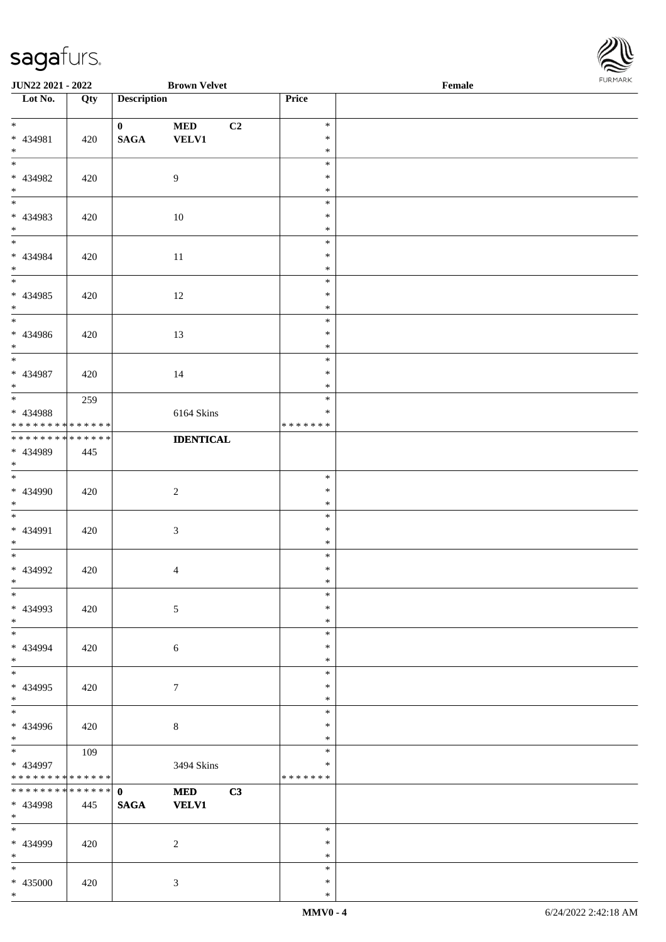\*



| <b>JUN22 2021 - 2022</b>                   |     |                    | <b>Brown Velvet</b> |    |                  | Female | <b>FUNITANN</b> |
|--------------------------------------------|-----|--------------------|---------------------|----|------------------|--------|-----------------|
| Lot No.                                    | Qty | <b>Description</b> |                     |    | Price            |        |                 |
|                                            |     |                    |                     |    |                  |        |                 |
| $*$                                        |     | $\mathbf{0}$       | <b>MED</b>          | C2 | $\ast$           |        |                 |
| * 434981                                   | 420 | $\mathbf{SAGA}$    | <b>VELV1</b>        |    | $\ast$           |        |                 |
| $*$<br>$\overline{\phantom{0}}$            |     |                    |                     |    | $\ast$<br>$\ast$ |        |                 |
| * 434982                                   |     |                    | 9                   |    | $\ast$           |        |                 |
| $*$                                        | 420 |                    |                     |    | $\ast$           |        |                 |
| $\overline{\cdot}$                         |     |                    |                     |    | $\ast$           |        |                 |
| * 434983                                   | 420 |                    | 10                  |    | $\ast$           |        |                 |
| $*$                                        |     |                    |                     |    | $\ast$           |        |                 |
| $*$                                        |     |                    |                     |    | $\ast$           |        |                 |
| * 434984                                   | 420 |                    | 11                  |    | $\ast$           |        |                 |
| $\ast$                                     |     |                    |                     |    | $\ast$           |        |                 |
|                                            |     |                    |                     |    | $\ast$           |        |                 |
| * 434985                                   | 420 |                    | 12                  |    | $\ast$           |        |                 |
| $*$                                        |     |                    |                     |    | $\ast$           |        |                 |
| $\overline{\phantom{0}}$                   |     |                    |                     |    | $\ast$           |        |                 |
| * 434986                                   | 420 |                    | 13                  |    | $\ast$           |        |                 |
| $*$<br>$\overline{\ast}$                   |     |                    |                     |    | $\ast$<br>$\ast$ |        |                 |
| * 434987                                   |     |                    |                     |    | $\ast$           |        |                 |
| $*$                                        | 420 |                    | 14                  |    | $\ast$           |        |                 |
| $\overline{\mathbf{r}}$                    | 259 |                    |                     |    | $\ast$           |        |                 |
| * 434988                                   |     |                    | 6164 Skins          |    | $\ast$           |        |                 |
| * * * * * * * * <mark>* * * * * *</mark>   |     |                    |                     |    | *******          |        |                 |
| * * * * * * * * <mark>* * * * * * *</mark> |     |                    | <b>IDENTICAL</b>    |    |                  |        |                 |
| * 434989                                   | 445 |                    |                     |    |                  |        |                 |
| $\ast$                                     |     |                    |                     |    |                  |        |                 |
| $\overline{\ast}$                          |     |                    |                     |    | $\ast$           |        |                 |
| $* 434990$                                 | 420 |                    | $\overline{c}$      |    | $\ast$           |        |                 |
| $\ast$                                     |     |                    |                     |    | $\ast$           |        |                 |
|                                            |     |                    |                     |    | $\ast$           |        |                 |
| * 434991                                   | 420 |                    | $\mathfrak{Z}$      |    | $\ast$           |        |                 |
| $*$<br>$\overline{\phantom{0}}$            |     |                    |                     |    | $\ast$<br>$\ast$ |        |                 |
| * 434992                                   | 420 |                    |                     |    | $\ast$           |        |                 |
| $\ast$                                     |     |                    | $\overline{4}$      |    | $\ast$           |        |                 |
| $\ast$                                     |     |                    |                     |    | $\ast$           |        |                 |
| * 434993                                   | 420 |                    | $\mathfrak{S}$      |    | $\ast$           |        |                 |
| $*$                                        |     |                    |                     |    | $\ast$           |        |                 |
|                                            |     |                    |                     |    | $\ast$           |        |                 |
| * 434994                                   | 420 |                    | 6                   |    | $\ast$           |        |                 |
| $*$                                        |     |                    |                     |    | $\ast$           |        |                 |
|                                            |     |                    |                     |    | $\ast$           |        |                 |
| * 434995                                   | 420 |                    | $\tau$              |    | $\ast$           |        |                 |
| $*$                                        |     |                    |                     |    | $\ast$<br>$\ast$ |        |                 |
| * 434996                                   |     |                    |                     |    | $\ast$           |        |                 |
| $*$                                        | 420 |                    | $8\phantom{.}$      |    | $\ast$           |        |                 |
| $\overline{\mathbf{r}}$                    | 109 |                    |                     |    | $\ast$           |        |                 |
| * 434997                                   |     |                    | 3494 Skins          |    | $\ast$           |        |                 |
| * * * * * * * * <mark>* * * * * *</mark>   |     |                    |                     |    | *******          |        |                 |
|                                            |     |                    | <b>MED</b>          | C3 |                  |        |                 |
| * 434998                                   | 445 | <b>SAGA</b>        | <b>VELV1</b>        |    |                  |        |                 |
| $*$ $-$                                    |     |                    |                     |    |                  |        |                 |
| $\overline{\mathbf{r}}$                    |     |                    |                     |    | $\ast$           |        |                 |
| * 434999                                   | 420 |                    | $\overline{2}$      |    | $\ast$           |        |                 |
| $\ast$                                     |     |                    |                     |    | $\ast$           |        |                 |
| $\ast$                                     |     |                    |                     |    | $\ast$           |        |                 |
| * 435000                                   | 420 |                    | $\mathfrak{Z}$      |    | $\ast$           |        |                 |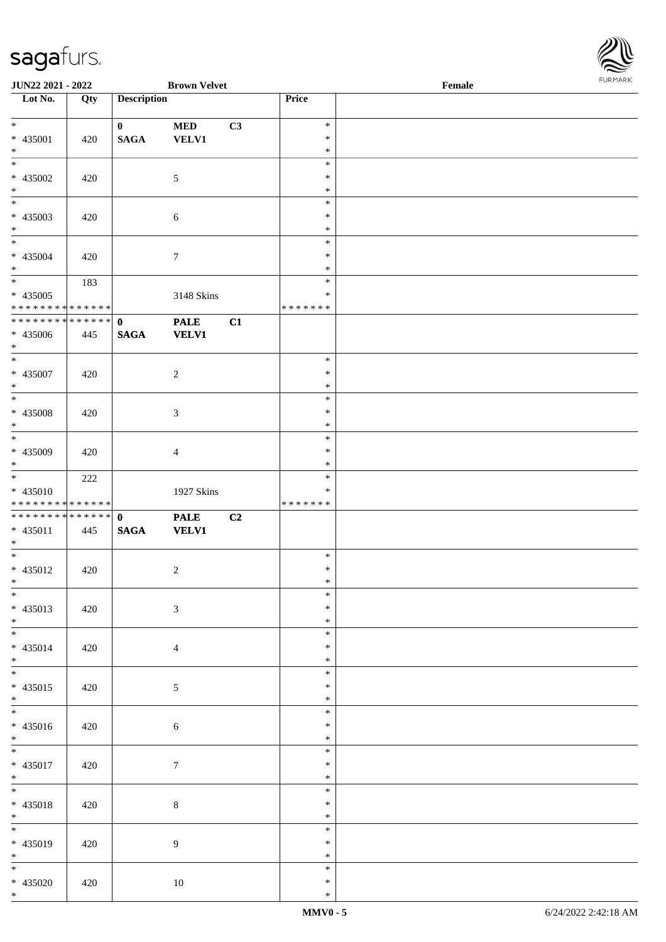

| JUN22 2021 - 2022                             |     |                    | <b>Brown Velvet</b> |    |                            | Female |  |
|-----------------------------------------------|-----|--------------------|---------------------|----|----------------------------|--------|--|
| Lot No.                                       | Qty | <b>Description</b> |                     |    | Price                      |        |  |
| $*$                                           |     | $\mathbf{0}$       | $\bf MED$           | C3 | $\ast$                     |        |  |
| * 435001<br>$\ast$                            | 420 | <b>SAGA</b>        | <b>VELV1</b>        |    | $\ast$<br>$\ast$           |        |  |
| $\overline{\phantom{0}}$<br>$* 435002$        | 420 |                    | 5                   |    | $\ast$<br>$\ast$           |        |  |
| $*$                                           |     |                    |                     |    | $\ast$                     |        |  |
| * 435003<br>$*$                               | 420 |                    | $\sqrt{6}$          |    | $\ast$<br>$\ast$<br>$\ast$ |        |  |
|                                               |     |                    |                     |    | $\ast$                     |        |  |
| * 435004<br>$*$                               | 420 |                    | $\overline{7}$      |    | $\ast$<br>$\ast$           |        |  |
| $\overline{\ }$                               | 183 |                    |                     |    | $\ast$                     |        |  |
| * 435005<br>* * * * * * * * * * * * * * *     |     |                    | 3148 Skins          |    | $\ast$<br>* * * * * * *    |        |  |
| ******** <mark>******</mark>                  |     | $\mathbf 0$        | <b>PALE</b>         | C1 |                            |        |  |
| $* 435006$<br>$*$<br>$\overline{\phantom{0}}$ | 445 | $\mathbf{SAGA}$    | <b>VELV1</b>        |    |                            |        |  |
| $* 435007$                                    |     |                    | $\overline{c}$      |    | $\ast$<br>$\ast$           |        |  |
| $*$                                           | 420 |                    |                     |    | $\ast$                     |        |  |
|                                               |     |                    |                     |    | $\ast$                     |        |  |
| $* 435008$<br>$\ast$                          | 420 |                    | $\mathfrak{Z}$      |    | $\ast$<br>$\ast$           |        |  |
| $*$                                           |     |                    |                     |    | $\ast$                     |        |  |
| * 435009<br>$*$                               | 420 |                    | $\overline{4}$      |    | $\ast$<br>$\ast$           |        |  |
|                                               | 222 |                    |                     |    | $\ast$                     |        |  |
| * 435010<br>* * * * * * * * * * * * * * *     |     |                    | 1927 Skins          |    | ∗<br>* * * * * * *         |        |  |
| ******** <mark>******</mark>                  |     | $\mathbf{0}$       | <b>PALE</b>         | C2 |                            |        |  |
| $* 435011$<br>$*$                             | 445 | <b>SAGA</b>        | <b>VELV1</b>        |    |                            |        |  |
| $*$                                           |     |                    |                     |    | $\ast$                     |        |  |
| * 435012<br>$*$ $-$                           | 420 |                    | $\overline{c}$      |    | $\ast$<br>$\ast$           |        |  |
| $*$<br>* 435013                               |     |                    | $\mathfrak{Z}$      |    | $\ast$<br>$\ast$           |        |  |
| $*$                                           | 420 |                    |                     |    | $\ast$                     |        |  |
| $*$<br>* 435014                               | 420 |                    | $\overline{4}$      |    | $\ast$<br>$\ast$           |        |  |
| $*$                                           |     |                    |                     |    | $\ast$                     |        |  |
| $*$                                           |     |                    |                     |    | $\ast$                     |        |  |
| $* 435015$<br>$*$                             | 420 |                    | 5                   |    | $\ast$<br>$\ast$           |        |  |
|                                               |     |                    |                     |    | $\ast$                     |        |  |
| * 435016<br>$*$                               | 420 |                    | 6                   |    | $\ast$<br>$\ast$           |        |  |
|                                               |     |                    |                     |    | $\ast$                     |        |  |
| $* 435017$<br>$*$                             | 420 |                    | $\tau$              |    | $\ast$<br>$\ast$           |        |  |
| $*$<br>* 435018                               | 420 |                    | $\,8\,$             |    | $\ast$<br>$\ast$           |        |  |
| $*$                                           |     |                    |                     |    | $\ast$                     |        |  |
|                                               |     |                    |                     |    | $\ast$                     |        |  |
| * 435019<br>$*$                               | 420 |                    | 9                   |    | $\ast$<br>$\ast$           |        |  |
| $*$                                           |     |                    |                     |    | $\ast$                     |        |  |
| * 435020<br>$*$                               | 420 |                    | $10\,$              |    | $\ast$<br>$\ast$           |        |  |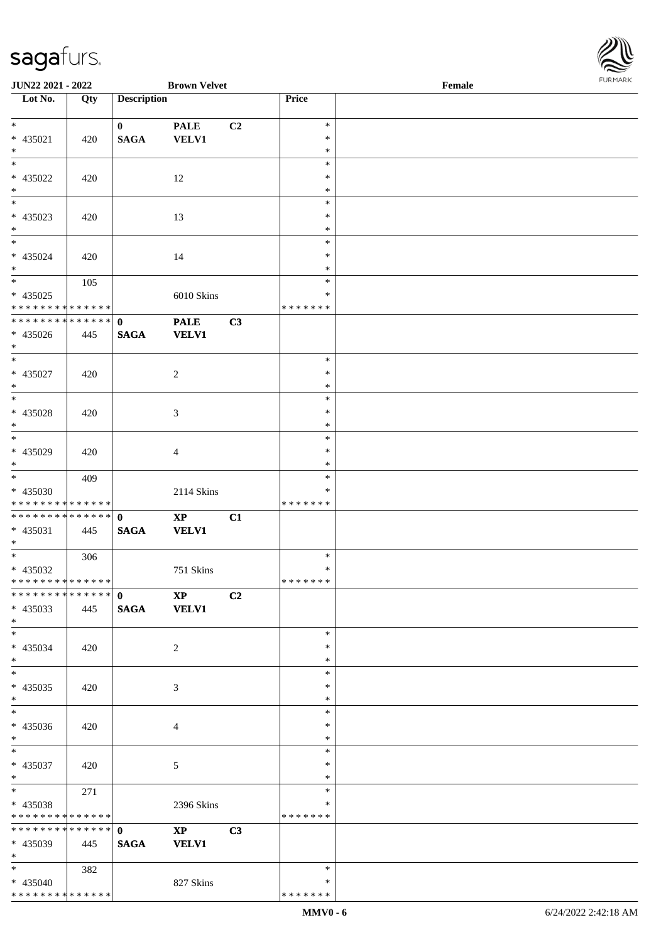| JUN22 2021 - 2022            |     |                    | <b>Brown Velvet</b>    |                |               | Female |  |
|------------------------------|-----|--------------------|------------------------|----------------|---------------|--------|--|
| Lot No.                      | Qty | <b>Description</b> |                        |                | Price         |        |  |
|                              |     |                    |                        |                |               |        |  |
| $\ast$                       |     | $\mathbf{0}$       | <b>PALE</b>            | C <sub>2</sub> | $\ast$        |        |  |
| * 435021                     | 420 | <b>SAGA</b>        | <b>VELV1</b>           |                | $\ast$        |        |  |
| $\ast$                       |     |                    |                        |                | $\ast$        |        |  |
| $\overline{\phantom{a}^*}$   |     |                    |                        |                | $\ast$        |        |  |
|                              |     |                    |                        |                |               |        |  |
| * 435022                     | 420 |                    | 12                     |                | ∗             |        |  |
| $\ast$                       |     |                    |                        |                | $\ast$        |        |  |
| $\overline{\phantom{0}}$     |     |                    |                        |                | $\ast$        |        |  |
| $* 435023$                   | 420 |                    | 13                     |                | $\ast$        |        |  |
| $\ast$                       |     |                    |                        |                | $\ast$        |        |  |
| $\overline{\phantom{a}^*}$   |     |                    |                        |                | $\ast$        |        |  |
| $* 435024$                   | 420 |                    | 14                     |                | $\ast$        |        |  |
| $\ast$                       |     |                    |                        |                | $\ast$        |        |  |
| $\overline{\phantom{a}^*}$   | 105 |                    |                        |                | $\ast$        |        |  |
| $* 435025$                   |     |                    | 6010 Skins             |                | $\ast$        |        |  |
| **************               |     |                    |                        |                | * * * * * * * |        |  |
|                              |     |                    |                        |                |               |        |  |
| **************               |     | $\mathbf{0}$       | <b>PALE</b>            | C3             |               |        |  |
| $* 435026$                   | 445 | <b>SAGA</b>        | <b>VELV1</b>           |                |               |        |  |
| $\ast$                       |     |                    |                        |                |               |        |  |
| $\frac{1}{*}$                |     |                    |                        |                | $\ast$        |        |  |
| * 435027                     | 420 |                    | $\overline{c}$         |                | $\ast$        |        |  |
| $\ast$                       |     |                    |                        |                | $\ast$        |        |  |
| $_{\ast}^{-}$                |     |                    |                        |                | $\ast$        |        |  |
| * 435028                     | 420 |                    | 3                      |                | $\ast$        |        |  |
| $\ast$                       |     |                    |                        |                | $\ast$        |        |  |
| $\overline{\phantom{0}}$     |     |                    |                        |                | $\ast$        |        |  |
|                              |     |                    |                        |                |               |        |  |
| * 435029                     | 420 |                    | $\overline{4}$         |                | $\ast$        |        |  |
| $\ast$                       |     |                    |                        |                | $\ast$        |        |  |
| $\frac{1}{*}$                | 409 |                    |                        |                | $\ast$        |        |  |
| * 435030                     |     |                    | 2114 Skins             |                | $\ast$        |        |  |
| * * * * * * * * * * * * * *  |     |                    |                        |                | * * * * * * * |        |  |
| ******** <mark>******</mark> |     | $\mathbf{0}$       | $\mathbf{X}\mathbf{P}$ | C1             |               |        |  |
| * 435031                     | 445 | <b>SAGA</b>        | <b>VELV1</b>           |                |               |        |  |
| $*$                          |     |                    |                        |                |               |        |  |
| $\overline{\phantom{a}^*}$   | 306 |                    |                        |                | $\ast$        |        |  |
|                              |     |                    |                        |                | $\ast$        |        |  |
| * 435032<br>**************   |     |                    | 751 Skins              |                |               |        |  |
|                              |     |                    |                        |                | * * * * * * * |        |  |
| **************               |     | $\mathbf{0}$       | $\mathbf{X}\mathbf{P}$ | C2             |               |        |  |
| $* 435033$                   | 445 |                    | SAGA VELV1             |                |               |        |  |
| $*$                          |     |                    |                        |                |               |        |  |
| $\overline{\phantom{0}}$     |     |                    |                        |                | $\ast$        |        |  |
| * 435034                     | 420 |                    | 2                      |                | $\ast$        |        |  |
| $*$                          |     |                    |                        |                | $\ast$        |        |  |
| $_{\ast}^{-}$                |     |                    |                        |                | $\ast$        |        |  |
| $* 435035$                   | 420 |                    | 3                      |                | $\ast$        |        |  |
| $*$                          |     |                    |                        |                | $\ast$        |        |  |
| $\overline{\phantom{1}}$     |     |                    |                        |                | $\ast$        |        |  |
|                              |     |                    |                        |                |               |        |  |
| * 435036                     | 420 |                    | 4                      |                | $\ast$        |        |  |
| $*$                          |     |                    |                        |                | $\ast$        |        |  |
| $\ast$                       |     |                    |                        |                | $\ast$        |        |  |
| * 435037                     | 420 |                    | 5                      |                | $\ast$        |        |  |
| $*$                          |     |                    |                        |                | $\ast$        |        |  |
| $\ast$                       | 271 |                    |                        |                | $\ast$        |        |  |
| * 435038                     |     |                    | 2396 Skins             |                | $\ast$        |        |  |
| * * * * * * * * * * * * * *  |     |                    |                        |                | * * * * * * * |        |  |
| **************               |     | $\mathbf{0}$       | $\mathbf{X}\mathbf{P}$ | C3             |               |        |  |
| $* 435039$                   | 445 | <b>SAGA</b>        | <b>VELV1</b>           |                |               |        |  |
| $*$                          |     |                    |                        |                |               |        |  |
|                              |     |                    |                        |                |               |        |  |
| $*$                          | 382 |                    |                        |                | $\ast$        |        |  |
| * 435040                     |     |                    | 827 Skins              |                | $\ast$        |        |  |
| * * * * * * * * * * * * * *  |     |                    |                        |                | * * * * * * * |        |  |

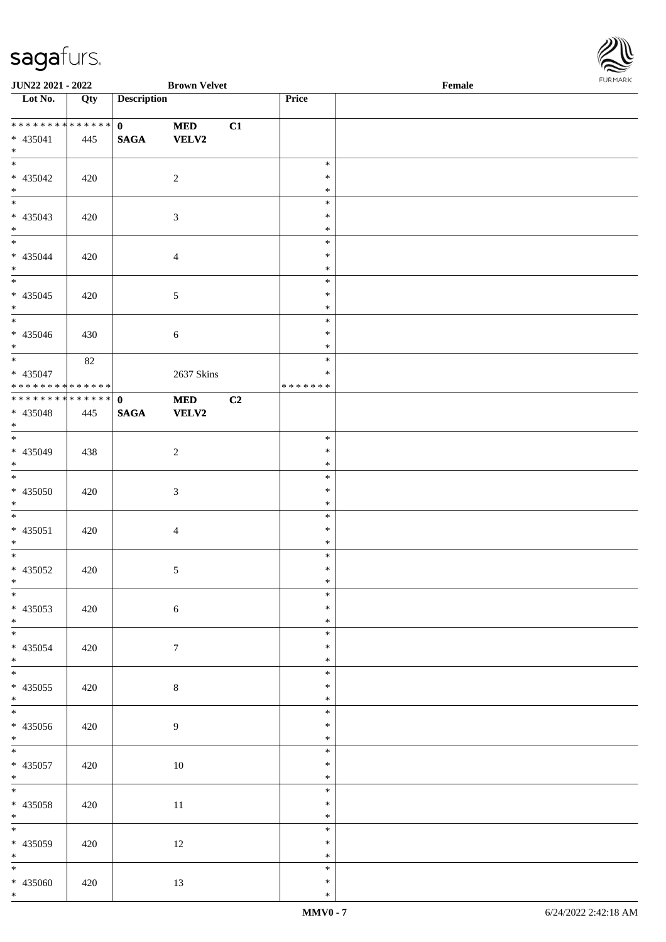

| JUN22 2021 - 2022                          |     |                    | <b>Brown Velvet</b> |    |                  | Female | <b>I</b> OIN IMPOS |
|--------------------------------------------|-----|--------------------|---------------------|----|------------------|--------|--------------------|
| Lot No.                                    | Qty | <b>Description</b> |                     |    | Price            |        |                    |
|                                            |     |                    |                     |    |                  |        |                    |
| ************** <mark>*</mark>              |     | $\mathbf{0}$       | <b>MED</b>          | C1 |                  |        |                    |
| $* 435041$                                 | 445 | <b>SAGA</b>        | <b>VELV2</b>        |    |                  |        |                    |
| $*$                                        |     |                    |                     |    |                  |        |                    |
|                                            |     |                    |                     |    | $\ast$<br>$\ast$ |        |                    |
| $* 435042$<br>$*$                          | 420 |                    | 2                   |    | $\ast$           |        |                    |
|                                            |     |                    |                     |    | $\ast$           |        |                    |
| * 435043                                   | 420 |                    | $\mathfrak{Z}$      |    | $\ast$           |        |                    |
| $*$                                        |     |                    |                     |    | $\ast$           |        |                    |
|                                            |     |                    |                     |    | $\ast$           |        |                    |
| * 435044                                   | 420 |                    | $\overline{4}$      |    | $\ast$           |        |                    |
| $*$                                        |     |                    |                     |    | $\ast$           |        |                    |
|                                            |     |                    |                     |    | $\ast$           |        |                    |
| $* 435045$                                 | 420 |                    | $\mathfrak{S}$      |    | $\ast$           |        |                    |
| $*$                                        |     |                    |                     |    | $\ast$           |        |                    |
|                                            |     |                    |                     |    | $\ast$           |        |                    |
| * 435046                                   | 430 |                    | $\sqrt{6}$          |    | $\ast$           |        |                    |
| $*$                                        |     |                    |                     |    | $\ast$           |        |                    |
|                                            | 82  |                    |                     |    | $\ast$           |        |                    |
| * 435047                                   |     |                    | 2637 Skins          |    | $\ast$           |        |                    |
| * * * * * * * * <mark>* * * * * * *</mark> |     |                    |                     |    | * * * * * * *    |        |                    |
| ******** <mark>******</mark>               |     | $\mathbf{0}$       | $\bf MED$           | C2 |                  |        |                    |
| $* 435048$                                 | 445 | <b>SAGA</b>        | <b>VELV2</b>        |    |                  |        |                    |
| $*$                                        |     |                    |                     |    |                  |        |                    |
|                                            |     |                    |                     |    | $\ast$<br>$\ast$ |        |                    |
| * 435049<br>$*$                            | 438 |                    | $\sqrt{2}$          |    | $\ast$           |        |                    |
|                                            |     |                    |                     |    | $\ast$           |        |                    |
| $* 435050$                                 | 420 |                    | $\mathfrak{Z}$      |    | $\ast$           |        |                    |
| $*$                                        |     |                    |                     |    | $\ast$           |        |                    |
|                                            |     |                    |                     |    | $\ast$           |        |                    |
| $* 435051$                                 | 420 |                    | $\overline{4}$      |    | $\ast$           |        |                    |
| $*$                                        |     |                    |                     |    | $\ast$           |        |                    |
| $*$                                        |     |                    |                     |    | $\ast$           |        |                    |
| $* 435052$                                 | 420 |                    | $\sqrt{5}$          |    | $\ast$           |        |                    |
| $*$ $-$                                    |     |                    |                     |    | $\ast$           |        |                    |
| $*$                                        |     |                    |                     |    | $\ast$           |        |                    |
| $* 435053$                                 | 420 |                    | $\sqrt{6}$          |    | $\ast$           |        |                    |
| $*$                                        |     |                    |                     |    | $\ast$           |        |                    |
|                                            |     |                    |                     |    | $\ast$           |        |                    |
| * 435054                                   | 420 |                    | $\tau$              |    | $\ast$           |        |                    |
| $*$                                        |     |                    |                     |    | $\ast$           |        |                    |
|                                            |     |                    |                     |    | $\ast$<br>$\ast$ |        |                    |
| $* 435055$<br>$*$                          | 420 |                    | $8\,$               |    | $\ast$           |        |                    |
|                                            |     |                    |                     |    | $\ast$           |        |                    |
| * 435056                                   | 420 |                    | 9                   |    | $\ast$           |        |                    |
| $*$                                        |     |                    |                     |    | $\ast$           |        |                    |
|                                            |     |                    |                     |    | $\ast$           |        |                    |
| $* 435057$                                 | 420 |                    | $10\,$              |    | $\ast$           |        |                    |
| $*$                                        |     |                    |                     |    | $\ast$           |        |                    |
| $*$                                        |     |                    |                     |    | $\ast$           |        |                    |
| $* 435058$                                 | 420 |                    | 11                  |    | $\ast$           |        |                    |
| $*$                                        |     |                    |                     |    | $\ast$           |        |                    |
| $*$                                        |     |                    |                     |    | $\ast$           |        |                    |
| $* 435059$                                 | 420 |                    | 12                  |    | $\ast$           |        |                    |
| $*$                                        |     |                    |                     |    | $\ast$           |        |                    |
| $*$                                        |     |                    |                     |    | $\ast$           |        |                    |
| * 435060                                   | 420 |                    | 13                  |    | $\ast$           |        |                    |
| $*$                                        |     |                    |                     |    | $\ast$           |        |                    |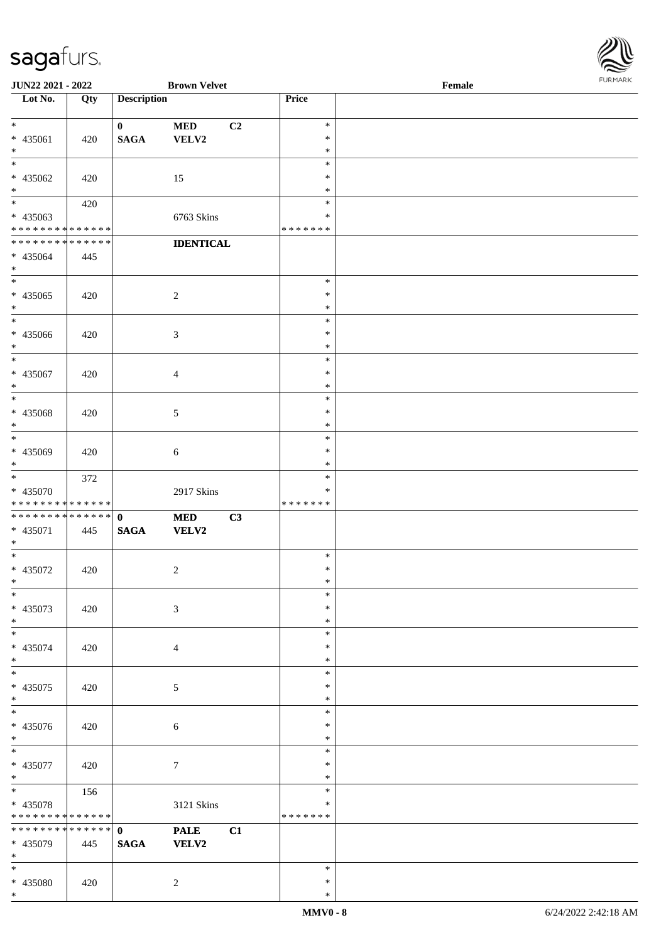| Lot No.                      | Qty | <b>Description</b> |                  |    | Price         |  |
|------------------------------|-----|--------------------|------------------|----|---------------|--|
|                              |     |                    |                  |    |               |  |
| $\ast$                       |     | $\mathbf{0}$       | <b>MED</b>       | C2 | $\ast$        |  |
| * 435061                     | 420 | <b>SAGA</b>        | VELV2            |    | $\ast$        |  |
| $\ast$                       |     |                    |                  |    | $\ast$        |  |
| $\ast$                       |     |                    |                  |    | $\ast$        |  |
| * 435062                     | 420 |                    | 15               |    | $\ast$        |  |
| $*$                          |     |                    |                  |    | $\ast$        |  |
| $\overline{\phantom{0}}$     | 420 |                    |                  |    | $\ast$        |  |
| $* 435063$                   |     |                    | 6763 Skins       |    | $\ast$        |  |
| ******** <mark>******</mark> |     |                    |                  |    | *******       |  |
| **************               |     |                    | <b>IDENTICAL</b> |    |               |  |
| * 435064                     | 445 |                    |                  |    |               |  |
| $\ast$                       |     |                    |                  |    |               |  |
| $\overline{\phantom{0}}$     |     |                    |                  |    | $\ast$        |  |
| $* 435065$                   | 420 |                    | $\overline{2}$   |    | $\ast$        |  |
| $\ast$                       |     |                    |                  |    | $\ast$        |  |
| $\overline{\phantom{0}}$     |     |                    |                  |    | $\ast$        |  |
| * 435066                     | 420 |                    | $\mathfrak{Z}$   |    | $\ast$        |  |
| $\ast$                       |     |                    |                  |    | $\ast$        |  |
| $\overline{\phantom{a}^*}$   |     |                    |                  |    | $\ast$        |  |
| * 435067                     | 420 |                    | $\overline{4}$   |    | $\ast$        |  |
| $\ast$                       |     |                    |                  |    | $\ast$        |  |
| $\overline{\phantom{0}}$     |     |                    |                  |    | $\ast$        |  |
| * 435068                     | 420 |                    | $\mathfrak{S}$   |    | $\ast$        |  |
| $\ast$                       |     |                    |                  |    | $\ast$        |  |
| $\overline{\phantom{1}}$     |     |                    |                  |    | $\ast$        |  |
| $* 435069$                   | 420 |                    | $\sqrt{6}$       |    | $\ast$        |  |
| $*$                          |     |                    |                  |    | $\ast$        |  |
| $\ast$                       | 372 |                    |                  |    | $\ast$        |  |
| * 435070                     |     |                    | 2917 Skins       |    | ∗             |  |
| * * * * * * * * * * * * * *  |     |                    |                  |    | * * * * * * * |  |
| **************               |     | $\mathbf{0}$       | <b>MED</b>       | C3 |               |  |
| $* 435071$                   | 445 | <b>SAGA</b>        | <b>VELV2</b>     |    |               |  |
| $\ast$                       |     |                    |                  |    |               |  |
| $\ast$                       |     |                    |                  |    | $\ast$        |  |
| * 435072                     | 420 |                    | $\sqrt{2}$       |    | ∗             |  |
| $*$                          |     |                    |                  |    | *             |  |
| $*$                          |     |                    |                  |    | $\ast$        |  |
| * 435073                     | 420 |                    | $\mathfrak{Z}$   |    | $\ast$        |  |
| $\ast$                       |     |                    |                  |    | $\ast$        |  |
| $\overline{\phantom{0}}$     |     |                    |                  |    | $\ast$        |  |
| * 435074                     | 420 |                    | $\overline{4}$   |    | $\ast$        |  |
| $\ast$                       |     |                    |                  |    | $\ast$        |  |
| $\ast$                       |     |                    |                  |    | $\ast$        |  |
| $* 435075$                   | 420 |                    | $5\phantom{.0}$  |    | $\ast$        |  |
| $\ast$                       |     |                    |                  |    | $\ast$        |  |
| $\ast$                       |     |                    |                  |    | $\ast$        |  |
| $* 435076$                   | 420 |                    | $\sqrt{6}$       |    | $\ast$        |  |
| $\ast$                       |     |                    |                  |    | $\ast$        |  |
| $\ast$                       |     |                    |                  |    | $\ast$        |  |
| * 435077                     | 420 |                    | $\tau$           |    | ∗             |  |
| $\ast$                       |     |                    |                  |    | $\ast$        |  |
| $\ast$                       | 156 |                    |                  |    | $\ast$        |  |
| * 435078                     |     |                    | 3121 Skins       |    | *             |  |
| **************               |     |                    |                  |    | * * * * * * * |  |
| **************               |     | $\mathbf{0}$       | <b>PALE</b>      | C1 |               |  |
| * 435079                     | 445 | <b>SAGA</b>        | <b>VELV2</b>     |    |               |  |
| $\ast$                       |     |                    |                  |    |               |  |
| $\ast$                       |     |                    |                  |    | $\ast$        |  |
| * 435080                     | 420 |                    | $\overline{2}$   |    | $\ast$        |  |
| $*$                          |     |                    |                  |    | $\ast$        |  |

**JUN22 2021 - 2022 Brown Velvet Female**

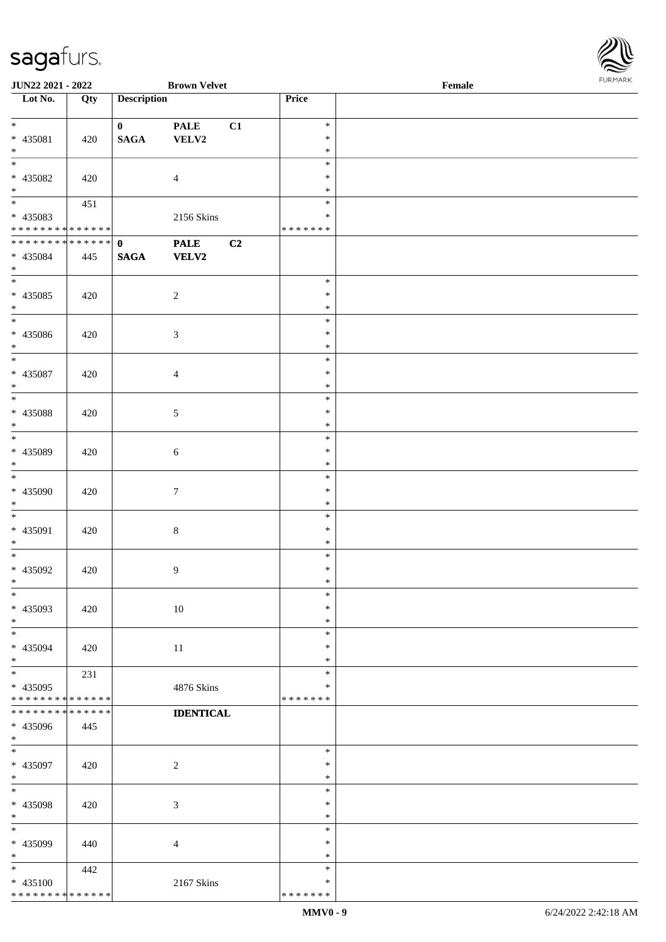**JUN22 2021 - 2022 Brown Velvet Female**

\*

\*

\*

\*

\*

\* \*

\*

\*

\*

\*

\*

\*

\*

\*

\*

\*

\*

\*

\*

\*

\*

\*

\*

\* \*

\*

\*

\*

\*

\*

\* 435100

\* \* \* \* \* \* \* \* \* \* \* \* \* \*

\* 435098 420 3

\* 435099 440 4

2167 Skins

442

| <b>JUN22 2021 - 2022</b>                   |             |                    | <b>Brown Velvet</b> |    |                  | Female | <b>FUNITANN</b> |
|--------------------------------------------|-------------|--------------------|---------------------|----|------------------|--------|-----------------|
| Lot No.                                    | Qty         | <b>Description</b> |                     |    | Price            |        |                 |
|                                            |             |                    |                     |    |                  |        |                 |
| $*$                                        |             | $\mathbf{0}$       | <b>PALE</b>         | C1 | $\ast$           |        |                 |
| * 435081                                   | 420         | <b>SAGA</b>        | VELV2               |    | $\ast$           |        |                 |
| $\ast$<br>$\overline{\ast}$                |             |                    |                     |    | $\ast$           |        |                 |
|                                            |             |                    |                     |    | $\ast$           |        |                 |
| * 435082                                   | 420         |                    | $\overline{4}$      |    | $\ast$<br>$\ast$ |        |                 |
| $*$                                        |             |                    |                     |    | $\ast$           |        |                 |
| * 435083                                   | 451         |                    | 2156 Skins          |    | $\ast$           |        |                 |
| * * * * * * * * <mark>* * * * * * *</mark> |             |                    |                     |    | * * * * * * *    |        |                 |
|                                            |             |                    | <b>PALE</b>         | C2 |                  |        |                 |
| * 435084                                   | 445         | <b>SAGA</b>        | <b>VELV2</b>        |    |                  |        |                 |
| $\ast$                                     |             |                    |                     |    |                  |        |                 |
|                                            |             |                    |                     |    | $\ast$           |        |                 |
| * 435085                                   | 420         |                    | $\sqrt{2}$          |    | $\ast$           |        |                 |
| $*$                                        |             |                    |                     |    | $\ast$           |        |                 |
| $*$                                        |             |                    |                     |    | $\ast$           |        |                 |
| * 435086                                   | 420         |                    | $\mathfrak{Z}$      |    | $\ast$           |        |                 |
| $\ast$                                     |             |                    |                     |    | $\ast$           |        |                 |
| $*$                                        |             |                    |                     |    | $\ast$           |        |                 |
| * 435087                                   | 420         |                    | $\overline{4}$      |    | $\ast$           |        |                 |
| $\ast$                                     |             |                    |                     |    | $\ast$           |        |                 |
|                                            |             |                    |                     |    | $\ast$           |        |                 |
| * 435088                                   | 420         |                    | 5                   |    | $\ast$           |        |                 |
| $*$                                        |             |                    |                     |    | $\ast$           |        |                 |
|                                            |             |                    |                     |    | $\ast$           |        |                 |
| * 435089                                   | 420         |                    | 6                   |    | $\ast$           |        |                 |
| $\ast$                                     |             |                    |                     |    | $\ast$           |        |                 |
| $\overline{\ast}$                          |             |                    |                     |    | $\ast$           |        |                 |
| * 435090                                   | 420         |                    | 7                   |    | $\ast$           |        |                 |
| $\ast$                                     |             |                    |                     |    | $\ast$           |        |                 |
| $\ast$                                     |             |                    |                     |    | $\ast$           |        |                 |
| * 435091                                   | 420         |                    | $8\,$               |    | $\ast$           |        |                 |
| $\ast$                                     |             |                    |                     |    | $\ast$           |        |                 |
| $\ast$                                     |             |                    |                     |    | $\ast$           |        |                 |
| * 435092<br>$\ddot{x}$                     | 420         |                    | $\overline{9}$      |    | $\ast$<br>$\ast$ |        |                 |
| $\ast$                                     |             |                    |                     |    | $\ast$           |        |                 |
|                                            |             |                    |                     |    | $\ast$           |        |                 |
| * 435093<br>$*$                            | 420         |                    | $10\,$              |    | $\ast$           |        |                 |
|                                            |             |                    |                     |    | $\ast$           |        |                 |
| * 435094                                   | 420         |                    | $11\,$              |    | $\ast$           |        |                 |
| $*$                                        |             |                    |                     |    | $\ast$           |        |                 |
| $\ast$                                     | 231         |                    |                     |    | $\ast$           |        |                 |
| * 435095                                   |             |                    | 4876 Skins          |    | ∗                |        |                 |
| * * * * * * * * <mark>* * * * * * *</mark> |             |                    |                     |    | * * * * * * *    |        |                 |
| * * * * * * * *                            | * * * * * * |                    | <b>IDENTICAL</b>    |    |                  |        |                 |
| * 435096                                   | 445         |                    |                     |    |                  |        |                 |
| $\ast$                                     |             |                    |                     |    |                  |        |                 |
| $\ast$                                     |             |                    |                     |    | $\ast$           |        |                 |
| * 435097                                   | 420         |                    | $\overline{c}$      |    | ∗                |        |                 |
| $\ast$                                     |             |                    |                     |    | $\ast$           |        |                 |
| $\ast$                                     |             |                    |                     |    | $\ast$           |        |                 |

\* \* \* \* \* \* \*

\* \*

\* \* \*

\* \*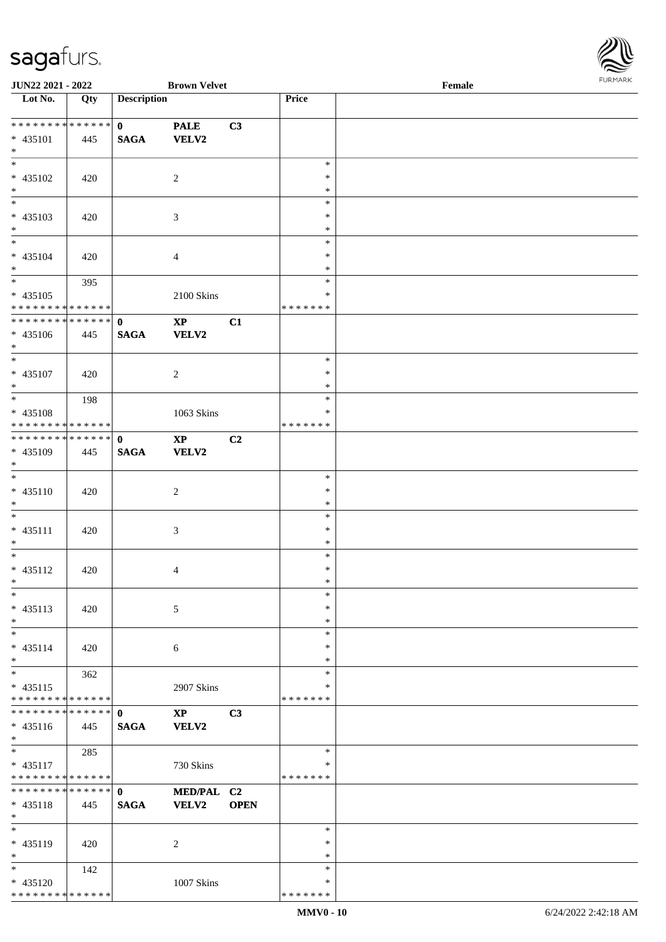

| JUN22 2021 - 2022                         |     |                    | <b>Brown Velvet</b>    |                |               | Female |  |
|-------------------------------------------|-----|--------------------|------------------------|----------------|---------------|--------|--|
| Lot No.                                   | Qty | <b>Description</b> |                        |                | Price         |        |  |
|                                           |     |                    |                        |                |               |        |  |
| **************                            |     | $\mathbf{0}$       | <b>PALE</b>            | C3             |               |        |  |
| $* 435101$                                | 445 | <b>SAGA</b>        | <b>VELV2</b>           |                |               |        |  |
| $*$                                       |     |                    |                        |                |               |        |  |
| $\overline{\phantom{0}}$                  |     |                    |                        |                | $\ast$        |        |  |
| * 435102                                  |     |                    |                        |                | ∗             |        |  |
|                                           | 420 |                    | $\overline{2}$         |                |               |        |  |
| $\ast$<br>$\overline{\phantom{0}}$        |     |                    |                        |                | $\ast$        |        |  |
|                                           |     |                    |                        |                | $\ast$        |        |  |
| $* 435103$                                | 420 |                    | $\mathfrak{Z}$         |                | $\ast$        |        |  |
| $\ast$                                    |     |                    |                        |                | $\ast$        |        |  |
| $\overline{\phantom{0}}$                  |     |                    |                        |                | $\ast$        |        |  |
| * 435104                                  | 420 |                    | $\overline{4}$         |                | $\ast$        |        |  |
| $\ast$                                    |     |                    |                        |                | $\ast$        |        |  |
| $\overline{\phantom{0}}$                  | 395 |                    |                        |                | $\ast$        |        |  |
| $* 435105$                                |     |                    | 2100 Skins             |                | $\ast$        |        |  |
| ******** <mark>******</mark>              |     |                    |                        |                | * * * * * * * |        |  |
|                                           |     |                    |                        |                |               |        |  |
| **************                            |     | $\mathbf{0}$       | $\mathbf{X}\mathbf{P}$ | C1             |               |        |  |
| $* 435106$                                | 445 | <b>SAGA</b>        | <b>VELV2</b>           |                |               |        |  |
| $*$                                       |     |                    |                        |                |               |        |  |
| $\overline{\ast}$                         |     |                    |                        |                | $\ast$        |        |  |
| $* 435107$                                | 420 |                    | $\overline{2}$         |                | $\ast$        |        |  |
| $*$                                       |     |                    |                        |                | $\ast$        |        |  |
| $*$                                       | 198 |                    |                        |                | $\ast$        |        |  |
| * 435108                                  |     |                    | 1063 Skins             |                | *             |        |  |
| * * * * * * * * * * * * * *               |     |                    |                        |                | * * * * * * * |        |  |
|                                           |     |                    |                        |                |               |        |  |
| **************                            |     | $\mathbf{0}$       | $\mathbf{X}\mathbf{P}$ | C <sub>2</sub> |               |        |  |
| * 435109                                  | 445 | <b>SAGA</b>        | <b>VELV2</b>           |                |               |        |  |
| $*$                                       |     |                    |                        |                |               |        |  |
| $\ast$                                    |     |                    |                        |                | $\ast$        |        |  |
| $* 435110$                                | 420 |                    | $\overline{c}$         |                | $\ast$        |        |  |
| $*$                                       |     |                    |                        |                | $\ast$        |        |  |
| $\ast$                                    |     |                    |                        |                | $\ast$        |        |  |
| $* 435111$                                | 420 |                    | 3                      |                | $\ast$        |        |  |
| $*$                                       |     |                    |                        |                | $\ast$        |        |  |
| $\ast$                                    |     |                    |                        |                | $\ast$        |        |  |
|                                           |     |                    |                        |                |               |        |  |
| $* 435112$                                | 420 |                    | 4                      |                | $\ast$        |        |  |
| $*$                                       |     |                    |                        |                | $\ast$        |        |  |
| $\ast$                                    |     |                    |                        |                | $\ast$        |        |  |
| $* 435113$                                | 420 |                    | 5                      |                | ∗             |        |  |
| $\ast$                                    |     |                    |                        |                | $\ast$        |        |  |
| $\ast$                                    |     |                    |                        |                | $\ast$        |        |  |
| $* 435114$                                | 420 |                    | 6                      |                | *             |        |  |
| $*$                                       |     |                    |                        |                | ∗             |        |  |
| $\ast$                                    | 362 |                    |                        |                | $\ast$        |        |  |
|                                           |     |                    |                        |                | ∗             |        |  |
| $* 435115$<br>* * * * * * * * * * * * * * |     |                    | 2907 Skins             |                | * * * * * * * |        |  |
|                                           |     |                    |                        |                |               |        |  |
| **************                            |     | $\mathbf{0}$       | $\mathbf{X}\mathbf{P}$ | C3             |               |        |  |
| $* 435116$                                | 445 | <b>SAGA</b>        | VELV2                  |                |               |        |  |
| $*$                                       |     |                    |                        |                |               |        |  |
| $*$                                       | 285 |                    |                        |                | $\ast$        |        |  |
| $* 435117$                                |     |                    | 730 Skins              |                | *             |        |  |
| * * * * * * * * * * * * * *               |     |                    |                        |                | * * * * * * * |        |  |
| * * * * * * * * * * * * * *               |     | $\mathbf{0}$       | MED/PAL C2             |                |               |        |  |
| * 435118                                  | 445 | <b>SAGA</b>        | <b>VELV2</b>           | <b>OPEN</b>    |               |        |  |
| $*$                                       |     |                    |                        |                |               |        |  |
| $\ast$                                    |     |                    |                        |                | $\ast$        |        |  |
|                                           |     |                    |                        |                |               |        |  |
| * 435119                                  | 420 |                    | 2                      |                | ∗             |        |  |
| $\ast$                                    |     |                    |                        |                | $\ast$        |        |  |
| $*$                                       | 142 |                    |                        |                | $\ast$        |        |  |
| * 435120                                  |     |                    | 1007 Skins             |                | *             |        |  |
| * * * * * * * * * * * * * *               |     |                    |                        |                | * * * * * * * |        |  |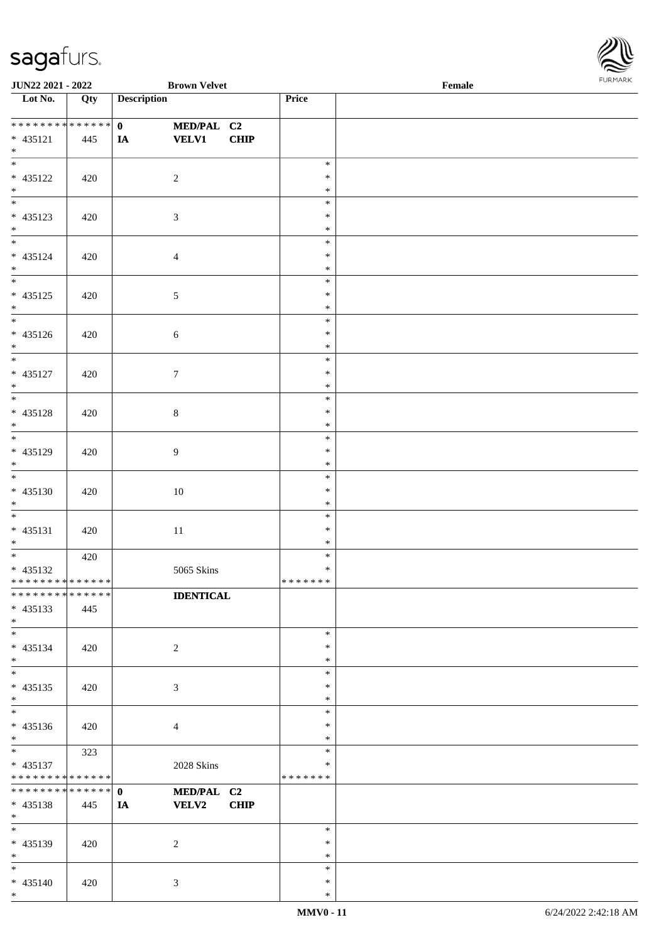

| <b>JUN22 2021 - 2022</b>                   |     | <b>Brown Velvet</b>        |               | Female |
|--------------------------------------------|-----|----------------------------|---------------|--------|
| Lot No.                                    | Qty | <b>Description</b>         | Price         |        |
|                                            |     |                            |               |        |
|                                            |     | $\mathbf{0}$<br>MED/PAL C2 |               |        |
| $* 435121$                                 | 445 | <b>VELV1</b><br>CHIP<br>IA |               |        |
| $*$                                        |     |                            |               |        |
| $*$                                        |     |                            | $\ast$        |        |
| * 435122                                   | 420 | $\overline{2}$             | $\ast$        |        |
| $*$                                        |     |                            | $\ast$        |        |
|                                            |     |                            | $\ast$        |        |
|                                            |     |                            | $\ast$        |        |
| * 435123                                   | 420 | $\mathfrak{Z}$             |               |        |
| $*$                                        |     |                            | $\ast$        |        |
|                                            |     |                            | $\ast$        |        |
| * 435124                                   | 420 | $\overline{4}$             | $\ast$        |        |
| $*$                                        |     |                            | $\ast$        |        |
|                                            |     |                            | $\ast$        |        |
| * 435125                                   | 420 | $\sqrt{5}$                 | $\ast$        |        |
| $*$                                        |     |                            | $\ast$        |        |
|                                            |     |                            | $\ast$        |        |
| $* 435126$                                 | 420 | $\sqrt{6}$                 | $\ast$        |        |
| $*$                                        |     |                            | $\ast$        |        |
|                                            |     |                            |               |        |
|                                            |     |                            | $\ast$        |        |
| * 435127                                   | 420 | $\tau$                     | $\ast$        |        |
| $\ast$                                     |     |                            | $\ast$        |        |
|                                            |     |                            | $\ast$        |        |
| * 435128                                   | 420 | $8\,$                      | $\ast$        |        |
| $*$                                        |     |                            | $\ast$        |        |
|                                            |     |                            | $\ast$        |        |
| * 435129                                   | 420 | $\overline{9}$             | $\ast$        |        |
| $*$                                        |     |                            | $\ast$        |        |
|                                            |     |                            | $\ast$        |        |
| * 435130                                   | 420 | $10\,$                     | $\ast$        |        |
|                                            |     |                            | $\ast$        |        |
| $*$                                        |     |                            |               |        |
| $*$                                        |     |                            | $\ast$        |        |
| $* 435131$                                 | 420 | $11\,$                     | $\ast$        |        |
| $*$                                        |     |                            | $\ast$        |        |
| $*$                                        | 420 |                            | $\ast$        |        |
| $* 435132$                                 |     | 5065 Skins                 | $\ast$        |        |
| * * * * * * * * <mark>* * * * * * *</mark> |     |                            | *******       |        |
| * * * * * * * * * * * * * *                |     | <b>IDENTICAL</b>           |               |        |
| $* 435133$                                 | 445 |                            |               |        |
| $*$                                        |     |                            |               |        |
| $*$                                        |     |                            | $\ast$        |        |
| $* 435134$                                 |     |                            | $\ast$        |        |
| $*$                                        | 420 | 2                          | $\ast$        |        |
|                                            |     |                            |               |        |
| $*$                                        |     |                            | $\ast$        |        |
| $* 435135$                                 | 420 | 3                          | $\ast$        |        |
| $*$                                        |     |                            | $\ast$        |        |
|                                            |     |                            | $\ast$        |        |
| $* 435136$                                 | 420 | $\overline{4}$             | $\ast$        |        |
| $*$                                        |     |                            | $\ast$        |        |
| $*$                                        | 323 |                            | $\ast$        |        |
| $* 435137$                                 |     | 2028 Skins                 | $\ast$        |        |
| * * * * * * * * <mark>* * * * * * *</mark> |     |                            | * * * * * * * |        |
| * * * * * * * * * * * * * * *              |     | $\mathbf{0}$<br>MED/PAL C2 |               |        |
|                                            |     |                            |               |        |
| * 435138                                   | 445 | VELV2<br><b>CHIP</b><br>IA |               |        |
| $*$                                        |     |                            |               |        |
| $*$                                        |     |                            | $\ast$        |        |
| * 435139                                   | 420 | 2                          | $\ast$        |        |
| $*$                                        |     |                            | $\ast$        |        |
| $*$                                        |     |                            | $\ast$        |        |
| * 435140                                   | 420 | $\mathbf{3}$               | ∗             |        |
| $*$                                        |     |                            | $\ast$        |        |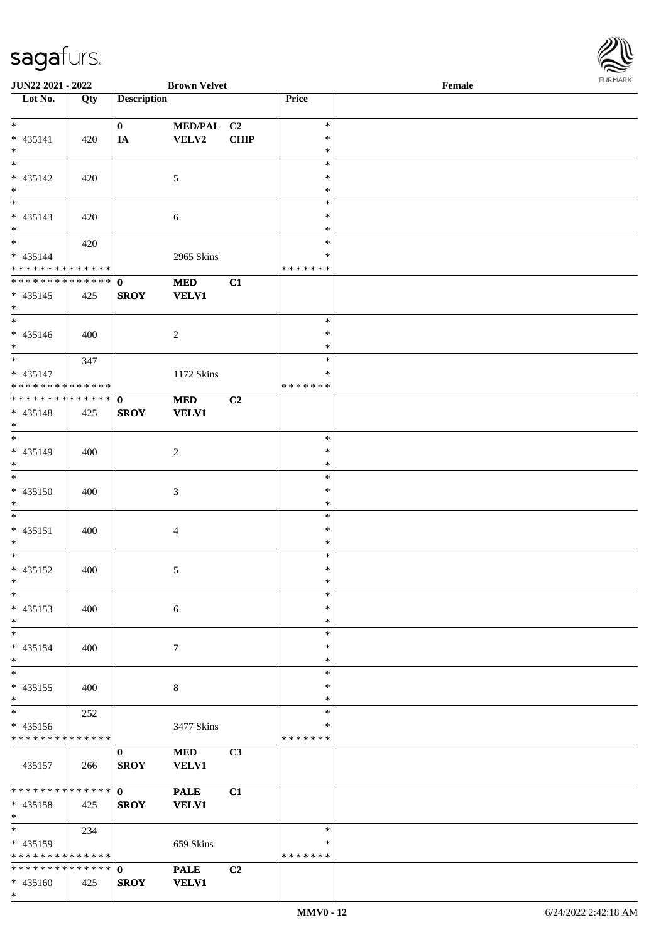

| <b>JUN22 2021 - 2022</b>                   |     |                    | <b>Brown Velvet</b> |                |               | Female |  |
|--------------------------------------------|-----|--------------------|---------------------|----------------|---------------|--------|--|
| Lot No.                                    | Qty | <b>Description</b> |                     |                | Price         |        |  |
|                                            |     |                    |                     |                |               |        |  |
| $*$                                        |     | $\mathbf{0}$       | MED/PAL C2          |                | $\ast$        |        |  |
| $* 435141$                                 | 420 | IA                 | VELV2               | <b>CHIP</b>    | $\ast$        |        |  |
| $*$                                        |     |                    |                     |                | $\ast$        |        |  |
|                                            |     |                    |                     |                | $\ast$        |        |  |
| * 435142                                   | 420 |                    | 5                   |                | $\ast$        |        |  |
| $\ast$                                     |     |                    |                     |                | $\ast$        |        |  |
|                                            |     |                    |                     |                | $\ast$        |        |  |
| * 435143                                   | 420 |                    | 6                   |                | $\ast$        |        |  |
| $*$                                        |     |                    |                     |                | $\ast$        |        |  |
| $*$                                        | 420 |                    |                     |                | $\ast$        |        |  |
| * 435144                                   |     |                    | 2965 Skins          |                | $\ast$        |        |  |
| * * * * * * * * * * * * * *                |     |                    |                     |                | *******       |        |  |
| * * * * * * * * * * * * * * <mark>*</mark> |     | $\mathbf{0}$       | <b>MED</b>          | C1             |               |        |  |
| $* 435145$                                 | 425 | <b>SROY</b>        | <b>VELV1</b>        |                |               |        |  |
| $\ast$                                     |     |                    |                     |                |               |        |  |
| $\overline{\phantom{0}}$                   |     |                    |                     |                | $\ast$        |        |  |
| $* 435146$                                 | 400 |                    | 2                   |                | $\ast$        |        |  |
| $*$                                        |     |                    |                     |                | $\ast$        |        |  |
| $*$                                        | 347 |                    |                     |                | $\ast$        |        |  |
| $* 435147$                                 |     |                    | 1172 Skins          |                | $\ast$        |        |  |
| * * * * * * * * * * * * * * *              |     |                    |                     |                | * * * * * * * |        |  |
| ******** <mark>******</mark>               |     | $\mathbf{0}$       | <b>MED</b>          | C <sub>2</sub> |               |        |  |
| * 435148                                   | 425 | <b>SROY</b>        | <b>VELV1</b>        |                |               |        |  |
| $*$                                        |     |                    |                     |                |               |        |  |
|                                            |     |                    |                     |                | $\ast$        |        |  |
| * 435149                                   | 400 |                    | 2                   |                | $\ast$        |        |  |
| $*$                                        |     |                    |                     |                | $\ast$        |        |  |
| $\overline{\phantom{0}}$                   |     |                    |                     |                | $\ast$        |        |  |
| $* 435150$                                 | 400 |                    | $\mathfrak{Z}$      |                | $\ast$        |        |  |
| $*$                                        |     |                    |                     |                | $\ast$        |        |  |
| $*$                                        |     |                    |                     |                | $\ast$        |        |  |
| $* 435151$                                 | 400 |                    | $\overline{4}$      |                | $\ast$        |        |  |
| $*$                                        |     |                    |                     |                | $\ast$        |        |  |
| $*$                                        |     |                    |                     |                | $\ast$        |        |  |
| * 435152                                   | 400 |                    | 5                   |                | $\ast$        |        |  |
| $*$ $-$                                    |     |                    |                     |                | $\ast$        |        |  |
| $\ast$                                     |     |                    |                     |                | $\ast$        |        |  |
| * 435153                                   | 400 |                    | 6                   |                | $\ast$        |        |  |
| $*$                                        |     |                    |                     |                | $\ast$        |        |  |
| $*$                                        |     |                    |                     |                | $\ast$        |        |  |
| * 435154                                   | 400 |                    | $\tau$              |                | $\ast$        |        |  |
| $*$                                        |     |                    |                     |                | $\ast$        |        |  |
| $*$                                        |     |                    |                     |                | $\ast$        |        |  |
| $* 435155$                                 | 400 |                    | 8                   |                | $\ast$        |        |  |
| $\ast$                                     |     |                    |                     |                | $\ast$        |        |  |
| $*$                                        | 252 |                    |                     |                | $\ast$        |        |  |
| * 435156                                   |     |                    | 3477 Skins          |                | ∗             |        |  |
| * * * * * * * * * * * * * *                |     |                    |                     |                | *******       |        |  |
|                                            |     | $\mathbf{0}$       | <b>MED</b>          | C <sub>3</sub> |               |        |  |
| 435157                                     | 266 | <b>SROY</b>        | <b>VELV1</b>        |                |               |        |  |
|                                            |     |                    |                     |                |               |        |  |
| * * * * * * * * * * * * * * <mark>*</mark> |     | $\mathbf{0}$       | <b>PALE</b>         | C1             |               |        |  |
| * 435158                                   | 425 | <b>SROY</b>        | <b>VELV1</b>        |                |               |        |  |
| $*$                                        |     |                    |                     |                |               |        |  |
| $*$                                        | 234 |                    |                     |                | $\ast$        |        |  |
| $* 435159$                                 |     |                    | 659 Skins           |                | ∗             |        |  |
| * * * * * * * * * * * * * *                |     |                    |                     |                | * * * * * * * |        |  |
| * * * * * * * * * * * * * * *              |     | $\mathbf{0}$       | <b>PALE</b>         | C2             |               |        |  |
| $* 435160$                                 | 425 | <b>SROY</b>        | <b>VELV1</b>        |                |               |        |  |
| $\ast$                                     |     |                    |                     |                |               |        |  |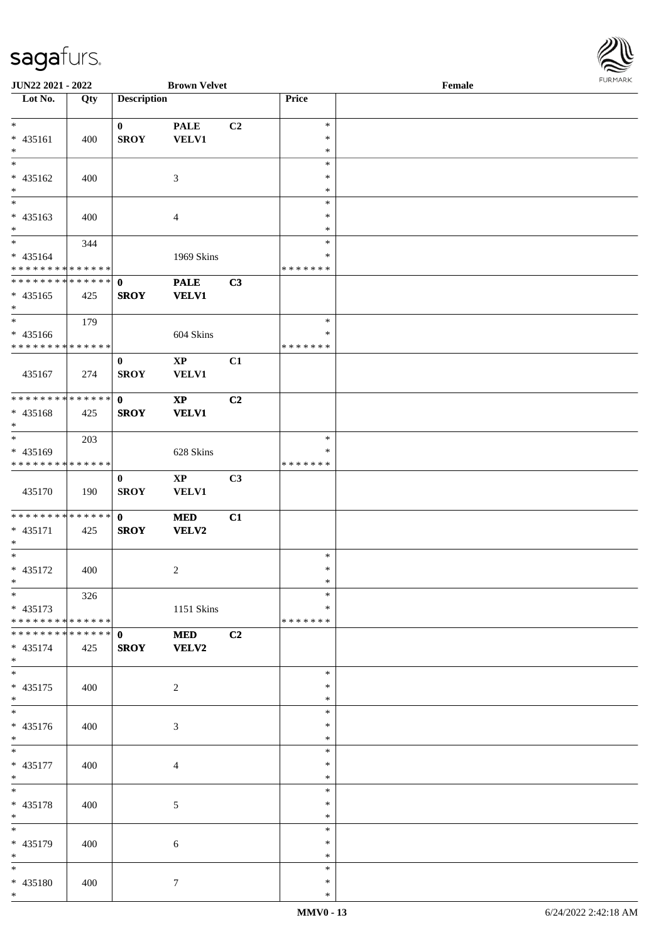

| JUN22 2021 - 2022             |     |                    | <b>Brown Velvet</b>    |                |                  | $\ensuremath{\textnormal{\textbf{Female}}}$ | <b>FUNITANN</b> |
|-------------------------------|-----|--------------------|------------------------|----------------|------------------|---------------------------------------------|-----------------|
| Lot No.                       | Qty | <b>Description</b> |                        |                | Price            |                                             |                 |
|                               |     |                    |                        |                |                  |                                             |                 |
| $*$                           |     | $\mathbf{0}$       | <b>PALE</b>            | C <sub>2</sub> | $\ast$           |                                             |                 |
| * 435161                      | 400 | <b>SROY</b>        | <b>VELV1</b>           |                | $\ast$           |                                             |                 |
| $*$<br>$*$                    |     |                    |                        |                | $\ast$           |                                             |                 |
|                               |     |                    |                        |                | $\ast$           |                                             |                 |
| * 435162<br>$*$               | 400 |                    | 3                      |                | $\ast$<br>$\ast$ |                                             |                 |
| $\ast$                        |     |                    |                        |                | $\ast$           |                                             |                 |
| $* 435163$                    | 400 |                    | $\overline{4}$         |                | $\ast$           |                                             |                 |
| $*$                           |     |                    |                        |                | $\ast$           |                                             |                 |
| $*$                           | 344 |                    |                        |                | $\ast$           |                                             |                 |
| * 435164                      |     |                    | 1969 Skins             |                | $\ast$           |                                             |                 |
| * * * * * * * * * * * * * *   |     |                    |                        |                | * * * * * * *    |                                             |                 |
| ******** <mark>******</mark>  |     | $\mathbf{0}$       | <b>PALE</b>            | C3             |                  |                                             |                 |
| $* 435165$                    | 425 | <b>SROY</b>        | <b>VELV1</b>           |                |                  |                                             |                 |
| $\ast$                        |     |                    |                        |                |                  |                                             |                 |
|                               | 179 |                    |                        |                | $\ast$           |                                             |                 |
| $* 435166$                    |     |                    | 604 Skins              |                | $\ast$           |                                             |                 |
| * * * * * * * * * * * * * * * |     |                    |                        |                | * * * * * * *    |                                             |                 |
|                               |     | $\bf{0}$           | $\bold{XP}$            | C1             |                  |                                             |                 |
| 435167                        | 274 | <b>SROY</b>        | <b>VELV1</b>           |                |                  |                                             |                 |
|                               |     |                    |                        |                |                  |                                             |                 |
| ******** <mark>******</mark>  |     | $\mathbf{0}$       | $\mathbf{X}\mathbf{P}$ | C2             |                  |                                             |                 |
| * 435168                      | 425 | <b>SROY</b>        | <b>VELV1</b>           |                |                  |                                             |                 |
| $*$                           |     |                    |                        |                |                  |                                             |                 |
| $*$                           | 203 |                    |                        |                | $\ast$           |                                             |                 |
| $* 435169$                    |     |                    | 628 Skins              |                | ∗                |                                             |                 |
| * * * * * * * * * * * * * *   |     |                    |                        |                | * * * * * * *    |                                             |                 |
|                               |     | $\bf{0}$           | $\mathbf{X}\mathbf{P}$ | C3             |                  |                                             |                 |
| 435170                        | 190 | <b>SROY</b>        | <b>VELV1</b>           |                |                  |                                             |                 |
| * * * * * * * * * * * * * * * |     | $\mathbf{0}$       |                        |                |                  |                                             |                 |
| * 435171                      |     | <b>SROY</b>        | <b>MED</b>             | C1             |                  |                                             |                 |
| $*$                           | 425 |                    | <b>VELV2</b>           |                |                  |                                             |                 |
| $*$                           |     |                    |                        |                | $\ast$           |                                             |                 |
| * 435172                      | 400 |                    | $\overline{c}$         |                | $\ast$           |                                             |                 |
| $*$ $-$                       |     |                    |                        |                | $\ast$           |                                             |                 |
| $*$                           | 326 |                    |                        |                | $\ast$           |                                             |                 |
| $* 435173$                    |     |                    | 1151 Skins             |                | $\ast$           |                                             |                 |
| * * * * * * * * * * * * * * * |     |                    |                        |                | * * * * * * *    |                                             |                 |
| * * * * * * * * * * * * * * * |     | $\mathbf{0}$       | <b>MED</b>             | C2             |                  |                                             |                 |
| $* 435174$                    | 425 | <b>SROY</b>        | <b>VELV2</b>           |                |                  |                                             |                 |
| $*$                           |     |                    |                        |                |                  |                                             |                 |
| $*$                           |     |                    |                        |                | $\ast$           |                                             |                 |
| $* 435175$                    | 400 |                    | $\overline{2}$         |                | $\ast$           |                                             |                 |
| $*$                           |     |                    |                        |                | $\ast$           |                                             |                 |
| $*$                           |     |                    |                        |                | $\ast$           |                                             |                 |
| * 435176                      | 400 |                    | 3                      |                | ∗                |                                             |                 |
| $*$                           |     |                    |                        |                | $\ast$           |                                             |                 |
| $*$                           |     |                    |                        |                | $\ast$           |                                             |                 |
| * 435177                      | 400 |                    | 4                      |                | $\ast$           |                                             |                 |
| $*$<br>$*$                    |     |                    |                        |                | $\ast$<br>$\ast$ |                                             |                 |
|                               |     |                    |                        |                |                  |                                             |                 |
| * 435178<br>$*$               | 400 |                    | $\sqrt{5}$             |                | $\ast$<br>$\ast$ |                                             |                 |
| $*$                           |     |                    |                        |                | $\ast$           |                                             |                 |
|                               |     |                    |                        |                | $\ast$           |                                             |                 |
| * 435179<br>$*$               | 400 |                    | 6                      |                | $\ast$           |                                             |                 |
| $\ast$                        |     |                    |                        |                | $\ast$           |                                             |                 |
| * 435180                      | 400 |                    | $\tau$                 |                | $\ast$           |                                             |                 |
| $*$                           |     |                    |                        |                | $\ast$           |                                             |                 |
|                               |     |                    |                        |                |                  |                                             |                 |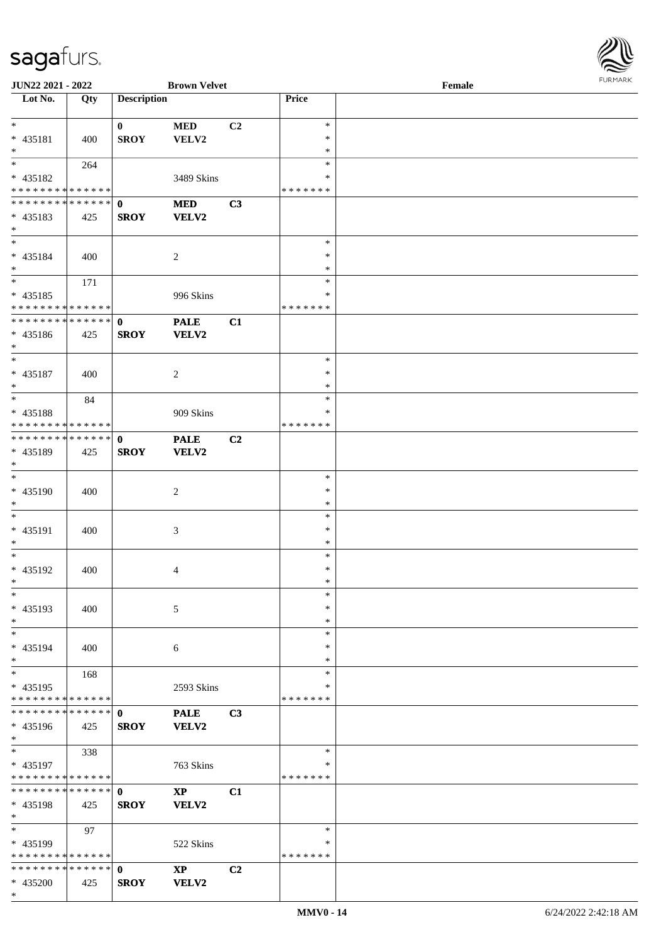

| <b>JUN22 2021 - 2022</b>                   |     |                    | <b>Brown Velvet</b>    |                |               | Female |  |
|--------------------------------------------|-----|--------------------|------------------------|----------------|---------------|--------|--|
| Lot No.                                    | Qty | <b>Description</b> |                        |                | Price         |        |  |
|                                            |     |                    |                        |                |               |        |  |
| $\ast$                                     |     | $\mathbf{0}$       | <b>MED</b>             | C <sub>2</sub> | $\ast$        |        |  |
| * 435181                                   | 400 | <b>SROY</b>        | VELV2                  |                | $\ast$        |        |  |
| $*$                                        |     |                    |                        |                | $\ast$        |        |  |
|                                            | 264 |                    |                        |                | $\ast$        |        |  |
|                                            |     |                    |                        |                | ∗             |        |  |
| * 435182                                   |     |                    | 3489 Skins             |                |               |        |  |
| * * * * * * * * <mark>* * * * * * *</mark> |     |                    |                        |                | * * * * * * * |        |  |
| * * * * * * * * * * * * * * *              |     | $\mathbf 0$        | <b>MED</b>             | C3             |               |        |  |
| * 435183                                   | 425 | <b>SROY</b>        | VELV2                  |                |               |        |  |
| $*$                                        |     |                    |                        |                |               |        |  |
| $*$                                        |     |                    |                        |                | $\ast$        |        |  |
| * 435184                                   | 400 |                    | 2                      |                | $\ast$        |        |  |
| $*$                                        |     |                    |                        |                | $\ast$        |        |  |
| $*$                                        | 171 |                    |                        |                | $\ast$        |        |  |
|                                            |     |                    |                        |                | $\ast$        |        |  |
| $* 435185$                                 |     |                    | 996 Skins              |                |               |        |  |
| * * * * * * * * * * * * * *                |     |                    |                        |                | * * * * * * * |        |  |
| * * * * * * * * <mark>* * * * * * *</mark> |     | $\mathbf{0}$       | <b>PALE</b>            | C1             |               |        |  |
| $* 435186$                                 | 425 | <b>SROY</b>        | VELV2                  |                |               |        |  |
| $*$                                        |     |                    |                        |                |               |        |  |
| $*$                                        |     |                    |                        |                | $\ast$        |        |  |
| $* 435187$                                 | 400 |                    | 2                      |                | $\ast$        |        |  |
| $*$                                        |     |                    |                        |                | $\ast$        |        |  |
|                                            |     |                    |                        |                | $\ast$        |        |  |
|                                            | 84  |                    |                        |                |               |        |  |
| * 435188                                   |     |                    | 909 Skins              |                | ∗             |        |  |
| * * * * * * * * * * * * * *                |     |                    |                        |                | * * * * * * * |        |  |
| * * * * * * * * * * * * * * *              |     | $\mathbf 0$        | <b>PALE</b>            | C2             |               |        |  |
| * 435189                                   | 425 | <b>SROY</b>        | VELV2                  |                |               |        |  |
| $*$                                        |     |                    |                        |                |               |        |  |
| $*$                                        |     |                    |                        |                | $\ast$        |        |  |
| * 435190                                   | 400 |                    | 2                      |                | $\ast$        |        |  |
| $*$                                        |     |                    |                        |                | $\ast$        |        |  |
|                                            |     |                    |                        |                |               |        |  |
| $*$                                        |     |                    |                        |                | $\ast$        |        |  |
| * 435191                                   | 400 |                    | 3                      |                | $\ast$        |        |  |
| $*$                                        |     |                    |                        |                | $\ast$        |        |  |
| $*$                                        |     |                    |                        |                | $\ast$        |        |  |
| * 435192                                   | 400 |                    | 4                      |                | $\ast$        |        |  |
| $*$                                        |     |                    |                        |                | $\ast$        |        |  |
| $\ast$                                     |     |                    |                        |                | $\ast$        |        |  |
| * 435193                                   | 400 |                    | 5                      |                | $\ast$        |        |  |
| $*$                                        |     |                    |                        |                | $\ast$        |        |  |
|                                            |     |                    |                        |                |               |        |  |
| $*$                                        |     |                    |                        |                | $\ast$        |        |  |
| * 435194                                   | 400 |                    | 6                      |                | ∗             |        |  |
| $*$                                        |     |                    |                        |                | $\ast$        |        |  |
| $*$                                        | 168 |                    |                        |                | $\ast$        |        |  |
| * 435195                                   |     |                    | 2593 Skins             |                | $\ast$        |        |  |
| * * * * * * * * * * * * * *                |     |                    |                        |                | * * * * * * * |        |  |
| * * * * * * * * * * * * * * *              |     | $\mathbf{0}$       | <b>PALE</b>            | C3             |               |        |  |
| * 435196                                   | 425 | <b>SROY</b>        | <b>VELV2</b>           |                |               |        |  |
| $*$                                        |     |                    |                        |                |               |        |  |
|                                            |     |                    |                        |                | $\ast$        |        |  |
| $*$                                        | 338 |                    |                        |                |               |        |  |
| * 435197                                   |     |                    | 763 Skins              |                | ∗             |        |  |
| * * * * * * * * * * * * * *                |     |                    |                        |                | *******       |        |  |
| * * * * * * * * * * * * * * *              |     | $\mathbf{0}$       | $\mathbf{X}\mathbf{P}$ | C1             |               |        |  |
| * 435198                                   | 425 | <b>SROY</b>        | VELV2                  |                |               |        |  |
| $*$                                        |     |                    |                        |                |               |        |  |
| $*$                                        | 97  |                    |                        |                | $\ast$        |        |  |
| * 435199                                   |     |                    | 522 Skins              |                | ∗             |        |  |
| * * * * * * * * * * * * * * *              |     |                    |                        |                | * * * * * * * |        |  |
|                                            |     |                    |                        |                |               |        |  |
| * * * * * * * * * * * * * * *              |     | $\mathbf 0$        | $\bold{XP}$            | C2             |               |        |  |
| * 435200                                   | 425 | <b>SROY</b>        | VELV2                  |                |               |        |  |
| $\ast$                                     |     |                    |                        |                |               |        |  |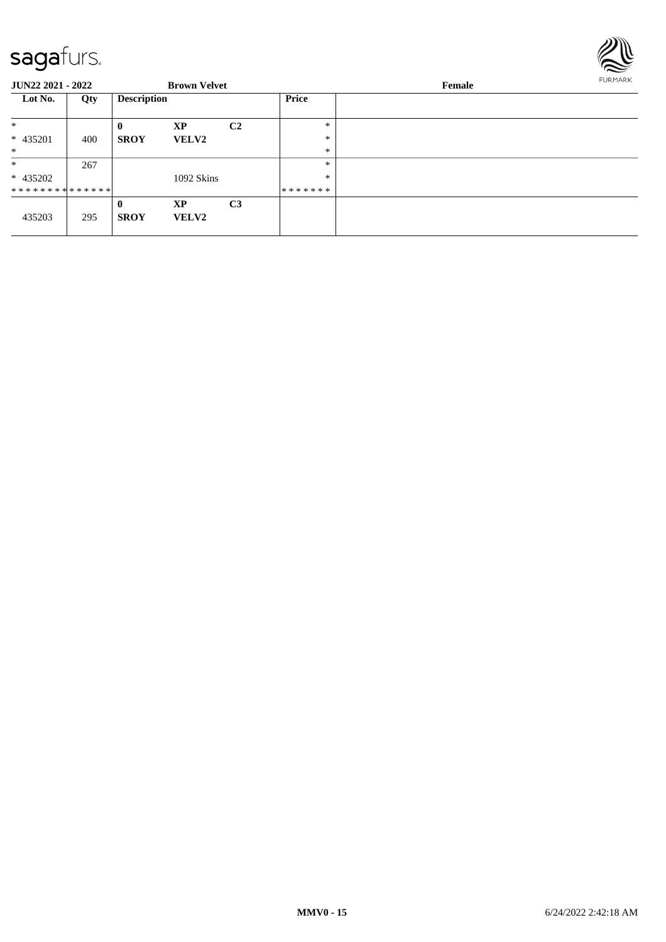

| <b>JUN22 2021 - 2022</b>      |     |                    | <b>Brown Velvet</b> |                |         | <b>FURMARK</b> |  |
|-------------------------------|-----|--------------------|---------------------|----------------|---------|----------------|--|
| Lot No.                       | Qty | <b>Description</b> |                     |                | Price   |                |  |
| $\ast$                        |     | $\mathbf{0}$       | XP                  | C <sub>2</sub> | $\ast$  |                |  |
| * 435201                      | 400 | <b>SROY</b>        | <b>VELV2</b>        |                | $\ast$  |                |  |
| $*$                           |     |                    |                     |                | $\ast$  |                |  |
| $\ast$                        | 267 |                    |                     |                | $\ast$  |                |  |
| * 435202                      |     |                    | 1092 Skins          |                | $\ast$  |                |  |
| * * * * * * * * * * * * * * * |     |                    |                     |                | ******* |                |  |
|                               |     | $\bf{0}$           | <b>XP</b>           | C <sub>3</sub> |         |                |  |
| 435203                        | 295 | <b>SROY</b>        | <b>VELV2</b>        |                |         |                |  |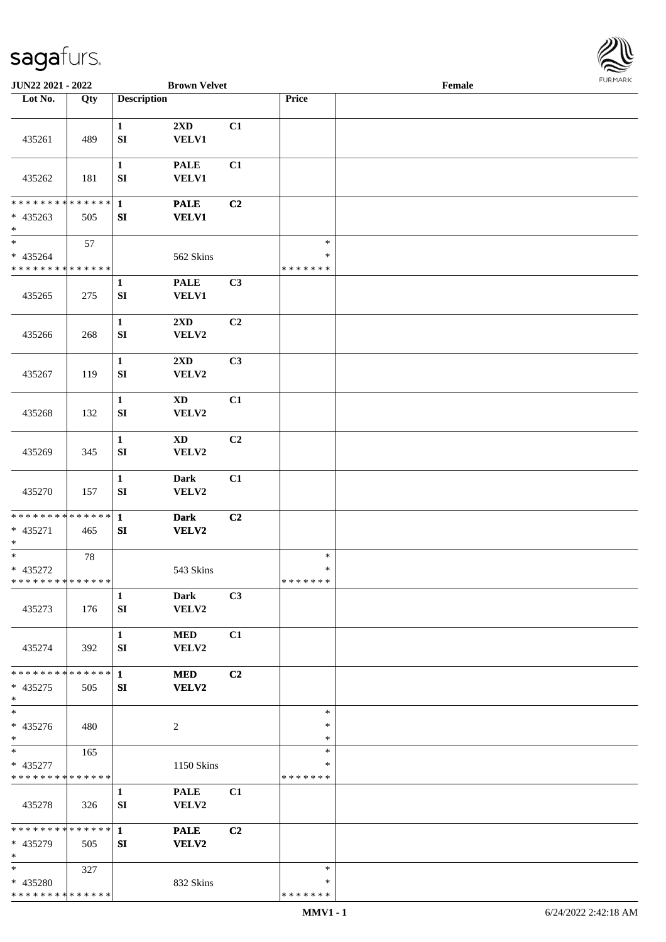

| JUN22 2021 - 2022                                      |     |                            | <b>Brown Velvet</b>             |    |                                   | Female |  |
|--------------------------------------------------------|-----|----------------------------|---------------------------------|----|-----------------------------------|--------|--|
| Lot No.                                                | Qty | <b>Description</b>         |                                 |    | Price                             |        |  |
|                                                        |     |                            |                                 |    |                                   |        |  |
| 435261                                                 | 489 | $\mathbf{1}$<br>${\bf SI}$ | 2XD<br><b>VELV1</b>             | C1 |                                   |        |  |
| 435262                                                 | 181 | $\mathbf{1}$<br>SI         | <b>PALE</b><br><b>VELV1</b>     | C1 |                                   |        |  |
| * * * * * * * * * * * * * * *<br>$* 435263$<br>$\ast$  | 505 | $\mathbf{1}$<br>SI         | <b>PALE</b><br><b>VELV1</b>     | C2 |                                   |        |  |
| $_{\ast}$<br>$* 435264$<br>* * * * * * * * * * * * * * | 57  |                            | 562 Skins                       |    | $\ast$<br>$\ast$<br>* * * * * * * |        |  |
| 435265                                                 | 275 | $\mathbf{1}$<br>SI         | <b>PALE</b><br><b>VELV1</b>     | C3 |                                   |        |  |
| 435266                                                 | 268 | $\mathbf{1}$<br>${\bf SI}$ | $2{\bf X}{\bf D}$<br>VELV2      | C2 |                                   |        |  |
| 435267                                                 | 119 | $\mathbf{1}$<br>${\bf SI}$ | 2XD<br>VELV2                    | C3 |                                   |        |  |
| 435268                                                 | 132 | $\mathbf{1}$<br>SI         | $\mathbf{X}\mathbf{D}$<br>VELV2 | C1 |                                   |        |  |
| 435269                                                 | 345 | $\mathbf{1}$<br>SI         | <b>XD</b><br>VELV2              | C2 |                                   |        |  |
| 435270                                                 | 157 | $\mathbf{1}$<br>${\bf SI}$ | <b>Dark</b><br>VELV2            | C1 |                                   |        |  |
| ******** <mark>******</mark><br>$* 435271$<br>$\ast$   | 465 | $\mathbf{1}$<br>SI         | <b>Dark</b><br><b>VELV2</b>     | C2 |                                   |        |  |
| $\ast$<br>* 435272<br>**************                   | 78  |                            | 543 Skins                       |    | $\ast$<br>$\ast$<br>*******       |        |  |
| 435273                                                 | 176 | $\mathbf{1}$<br>SI         | <b>Dark</b><br>VELV2            | C3 |                                   |        |  |
| 435274                                                 | 392 | $\mathbf{1}$<br>SI         | <b>MED</b><br>VELV2             | C1 |                                   |        |  |
| * * * * * * * * * * * * * * *<br>$* 435275$<br>$*$     | 505 | $\mathbf{1}$<br>SI         | <b>MED</b><br>VELV2             | C2 |                                   |        |  |
| $\overline{\phantom{1}}$<br>* 435276<br>$*$            | 480 |                            | 2                               |    | $\ast$<br>$\ast$<br>$\ast$        |        |  |
| $*$<br>* 435277<br>* * * * * * * * * * * * * *         | 165 |                            | 1150 Skins                      |    | $\ast$<br>*<br>*******            |        |  |
| 435278                                                 | 326 | $\mathbf{1}$<br>SI         | <b>PALE</b><br>VELV2            | C1 |                                   |        |  |
| * * * * * * * * * * * * * * *<br>* 435279<br>$\ast$    | 505 | $\mathbf{1}$<br>SI         | <b>PALE</b><br>VELV2            | C2 |                                   |        |  |
| $*$<br>* 435280<br>* * * * * * * * * * * * * *         | 327 |                            | 832 Skins                       |    | $\ast$<br>*<br>* * * * * * *      |        |  |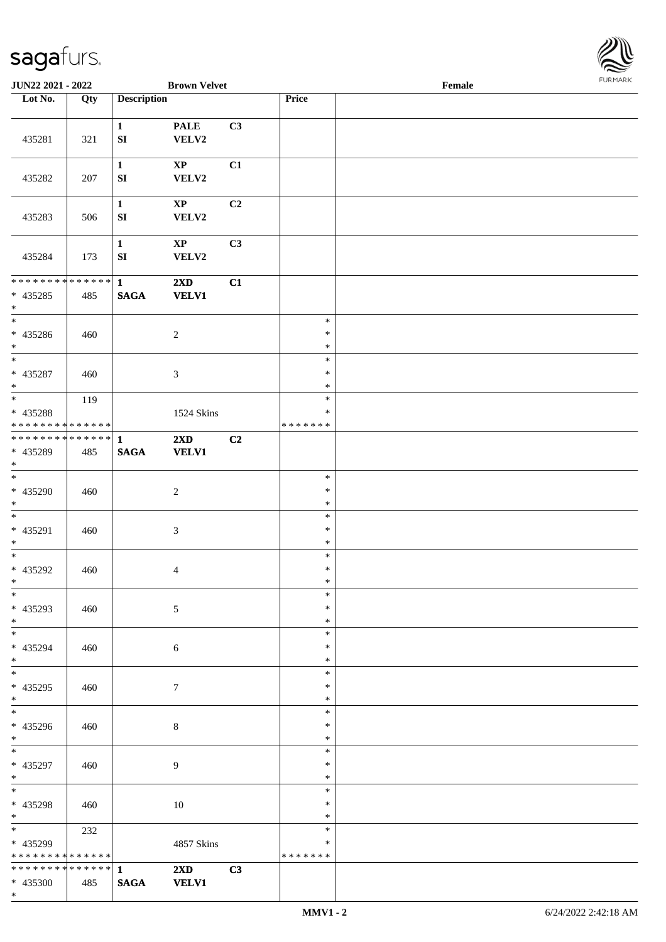

| JUN22 2021 - 2022                                                     |     |                                  | <b>Brown Velvet</b>             |                |                                   | Female | <b>FURMARK</b> |
|-----------------------------------------------------------------------|-----|----------------------------------|---------------------------------|----------------|-----------------------------------|--------|----------------|
| $\overline{\phantom{1}}$ Lot No.                                      | Qty | <b>Description</b>               |                                 |                | Price                             |        |                |
| 435281                                                                | 321 | $\mathbf{1}$<br>${\bf S}{\bf I}$ | <b>PALE</b><br>VELV2            | C3             |                                   |        |                |
| 435282                                                                | 207 | $\mathbf{1}$<br>${\bf S}{\bf I}$ | $\bold{XP}$<br>VELV2            | C1             |                                   |        |                |
| 435283                                                                | 506 | $\mathbf{1}$<br>${\bf S}{\bf I}$ | $\mathbf{X}\mathbf{P}$<br>VELV2 | C2             |                                   |        |                |
| 435284                                                                | 173 | $\mathbf{1}$<br>${\bf S}{\bf I}$ | $\bold{XP}$<br>VELV2            | C3             |                                   |        |                |
| ************** 1<br>$* 435285$<br>$*$                                 | 485 | $\mathbf{SAGA}$                  | 2XD<br><b>VELV1</b>             | C1             |                                   |        |                |
| $\overline{\phantom{0}}$<br>$* 435286$<br>$\ast$                      | 460 |                                  | $\boldsymbol{2}$                |                | $\ast$<br>$\ast$<br>$\ast$        |        |                |
| $\overline{\phantom{0}}$<br>* 435287<br>$\ast$                        | 460 |                                  | $\mathfrak{Z}$                  |                | $\ast$<br>$\ast$<br>$\ast$        |        |                |
| $\overline{\phantom{0}}$<br>* 435288<br>* * * * * * * * * * * * * *   | 119 |                                  | 1524 Skins                      |                | $\ast$<br>$\ast$<br>* * * * * * * |        |                |
| ******** <mark>******</mark><br>* 435289<br>$\ast$                    | 485 | $\mathbf{1}$<br>$\mathbf{SAGA}$  | 2XD<br><b>VELV1</b>             | C <sub>2</sub> |                                   |        |                |
| $\overline{\phantom{1}}$<br>$* 435290$<br>$\ast$                      | 460 |                                  | $\sqrt{2}$                      |                | $\ast$<br>$\ast$<br>$\ast$        |        |                |
| $\ast$<br>$* 435291$<br>$\ast$                                        | 460 |                                  | $\mathfrak{Z}$                  |                | $\ast$<br>$\ast$<br>$\ast$        |        |                |
| $\overline{\phantom{0}}$<br>* 435292<br>$\ast$                        | 460 |                                  | $\overline{4}$                  |                | $\ast$<br>$\ast$<br>$\ast$        |        |                |
| $\overline{\ast}$<br>* 435293<br>$*$                                  | 460 |                                  | $5\phantom{.0}$                 |                | $\ast$<br>$\ast$<br>$\ast$        |        |                |
| $\ast$<br>* 435294<br>$*$<br>$\overline{\phantom{0}}$                 | 460 |                                  | 6                               |                | $\ast$<br>$\ast$<br>$\ast$        |        |                |
| * 435295<br>$\ast$<br>$\overline{\phantom{0}}$                        | 460 |                                  | 7                               |                | $\ast$<br>$\ast$<br>$\ast$        |        |                |
| * 435296<br>$*$                                                       | 460 |                                  | $\,8\,$                         |                | $\ast$<br>$\ast$<br>$\ast$        |        |                |
| $\overline{\phantom{0}}$<br>* 435297<br>$\ast$                        | 460 |                                  | 9                               |                | $\ast$<br>$\ast$<br>$\ast$        |        |                |
| $\overline{\phantom{0}}$<br>* 435298<br>$*$                           | 460 |                                  | 10                              |                | $\ast$<br>∗<br>$\ast$             |        |                |
| $\overline{\phantom{a}^*}$<br>* 435299<br>* * * * * * * * * * * * * * | 232 |                                  | 4857 Skins                      |                | $\ast$<br>$\ast$<br>* * * * * * * |        |                |
| $* 435300$<br>$*$                                                     | 485 | <b>SAGA</b>                      | 2XD<br><b>VELV1</b>             | C3             |                                   |        |                |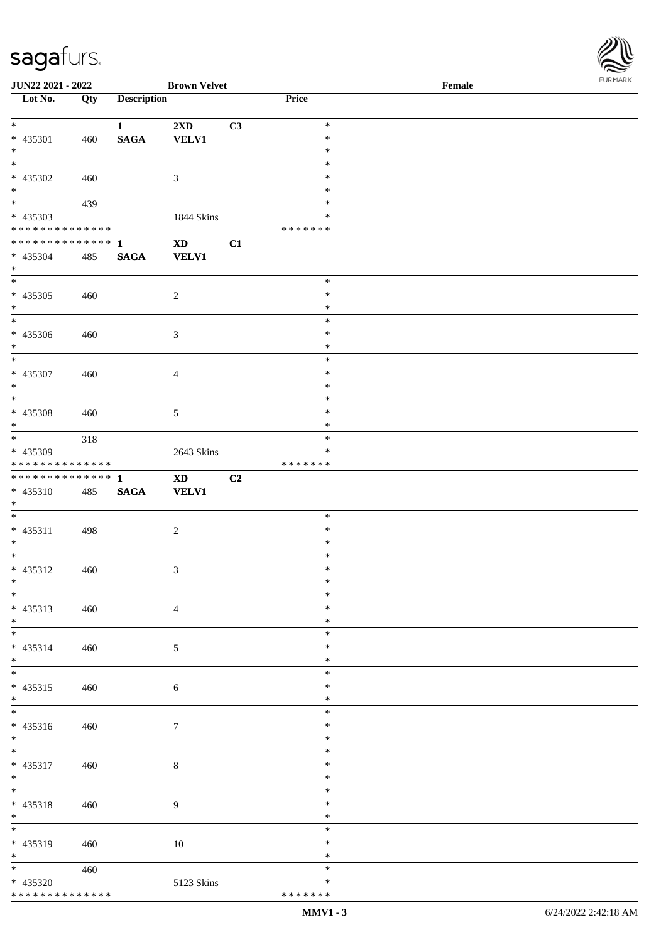

| JUN22 2021 - 2022                          |     |                    | <b>Brown Velvet</b>    |    |               | Female |  |
|--------------------------------------------|-----|--------------------|------------------------|----|---------------|--------|--|
| Lot No.                                    | Qty | <b>Description</b> |                        |    | Price         |        |  |
|                                            |     |                    |                        |    |               |        |  |
| $\ast$                                     |     | $\mathbf{1}$       | 2XD                    | C3 | $\ast$        |        |  |
| * 435301                                   | 460 | $\mathbf{SAGA}$    | <b>VELV1</b>           |    | $\ast$        |        |  |
| $\ast$                                     |     |                    |                        |    | $\ast$        |        |  |
| $\overline{\phantom{a}^*}$                 |     |                    |                        |    | $\ast$        |        |  |
| $* 435302$                                 | 460 |                    | $\mathfrak{Z}$         |    | ∗             |        |  |
| $\ast$                                     |     |                    |                        |    | $\ast$        |        |  |
| $\overline{\phantom{0}}$                   | 439 |                    |                        |    | $\ast$        |        |  |
| * 435303                                   |     |                    | 1844 Skins             |    | $\ast$        |        |  |
| * * * * * * * * * * * * * *                |     |                    |                        |    | * * * * * * * |        |  |
| ************** 1                           |     |                    | $\mathbf{X}\mathbf{D}$ | C1 |               |        |  |
|                                            |     |                    |                        |    |               |        |  |
| $* 435304$                                 | 485 | <b>SAGA</b>        | <b>VELV1</b>           |    |               |        |  |
| $\ast$<br>$\overline{\phantom{a}^*}$       |     |                    |                        |    |               |        |  |
|                                            |     |                    |                        |    | $\ast$        |        |  |
| $* 435305$                                 | 460 |                    | $\sqrt{2}$             |    | $\ast$        |        |  |
| $\ast$                                     |     |                    |                        |    | $\ast$        |        |  |
| $_{\ast}^{-}$                              |     |                    |                        |    | $\ast$        |        |  |
| $* 435306$                                 | 460 |                    | $\sqrt{3}$             |    | $\ast$        |        |  |
| $\ast$                                     |     |                    |                        |    | $\ast$        |        |  |
| $\overline{\ast}$                          |     |                    |                        |    | $\ast$        |        |  |
| $* 435307$                                 | 460 |                    | $\overline{4}$         |    | $\ast$        |        |  |
| $\ast$                                     |     |                    |                        |    | $\ast$        |        |  |
| $\ast$                                     |     |                    |                        |    | $\ast$        |        |  |
| * 435308                                   | 460 |                    | $\sqrt{5}$             |    | $\ast$        |        |  |
| $\ast$                                     |     |                    |                        |    | $\ast$        |        |  |
| $\overline{\phantom{a}^*}$                 | 318 |                    |                        |    | $\ast$        |        |  |
| * 435309                                   |     |                    | 2643 Skins             |    | $\ast$        |        |  |
| * * * * * * * * * * * * * *                |     |                    |                        |    | * * * * * * * |        |  |
| **************                             |     | $\mathbf{1}$       | $\mathbf{X}\mathbf{D}$ | C2 |               |        |  |
| $* 435310$                                 |     | $\mathbf{SAGA}$    | <b>VELV1</b>           |    |               |        |  |
| $*$                                        | 485 |                    |                        |    |               |        |  |
| $\ast$                                     |     |                    |                        |    |               |        |  |
|                                            |     |                    |                        |    | $\ast$        |        |  |
| * 435311                                   | 498 |                    | $\sqrt{2}$             |    | $\ast$        |        |  |
| $*$                                        |     |                    |                        |    | $\ast$        |        |  |
| $\ast$                                     |     |                    |                        |    | $\ast$        |        |  |
| * 435312                                   | 460 |                    | $\mathfrak{Z}$         |    | $\ast$        |        |  |
| $*$                                        |     |                    |                        |    | $\ast$        |        |  |
| $*$                                        |     |                    |                        |    | $\ast$        |        |  |
| $* 435313$                                 | 460 |                    | $\overline{4}$         |    | $\ast$        |        |  |
| $*$                                        |     |                    |                        |    | $\ast$        |        |  |
| $\overline{\phantom{0}}$                   |     |                    |                        |    | $\ast$        |        |  |
| * 435314                                   | 460 |                    | 5                      |    | $\ast$        |        |  |
| $*$                                        |     |                    |                        |    | $\ast$        |        |  |
| $\overline{\phantom{a}^*}$                 |     |                    |                        |    | $\ast$        |        |  |
| $* 435315$                                 | 460 |                    | 6                      |    | $\ast$        |        |  |
| $*$                                        |     |                    |                        |    | $\ast$        |        |  |
| $\overline{\phantom{a}^*}$                 |     |                    |                        |    | $\ast$        |        |  |
| $* 435316$                                 | 460 |                    | 7                      |    | *             |        |  |
| $*$                                        |     |                    |                        |    | $\ast$        |        |  |
| $*$                                        |     |                    |                        |    | $\ast$        |        |  |
|                                            |     |                    |                        |    | $\ast$        |        |  |
| * 435317                                   | 460 |                    | 8                      |    |               |        |  |
| $*$<br>$\overline{\ast}$                   |     |                    |                        |    | $\ast$        |        |  |
|                                            |     |                    |                        |    | $\ast$        |        |  |
| * 435318                                   | 460 |                    | 9                      |    | $\ast$        |        |  |
| $*$                                        |     |                    |                        |    | $\ast$        |        |  |
| $\overline{\phantom{0}}$                   |     |                    |                        |    | $\ast$        |        |  |
| * 435319                                   | 460 |                    | 10                     |    | *             |        |  |
| $*$                                        |     |                    |                        |    | $\ast$        |        |  |
| $*$                                        | 460 |                    |                        |    | $\ast$        |        |  |
| * 435320                                   |     |                    | 5123 Skins             |    | $\ast$        |        |  |
| * * * * * * * * <mark>* * * * * * *</mark> |     |                    |                        |    | * * * * * * * |        |  |
|                                            |     |                    |                        |    |               |        |  |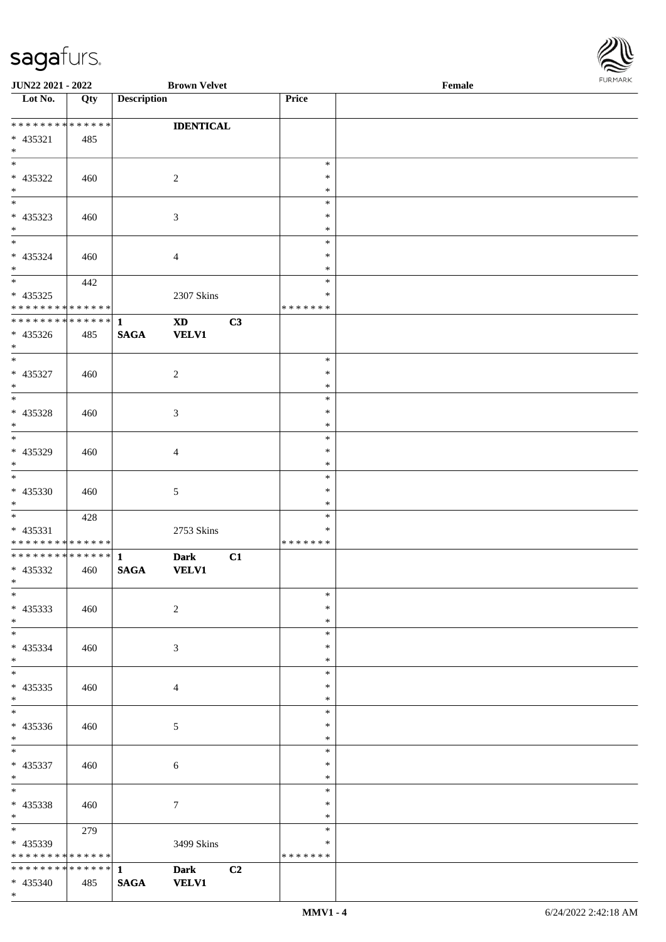

| JUN22 2021 - 2022               |     |                    | <b>Brown Velvet</b>    |                |                  | Female | <b>FUNITANN</b> |
|---------------------------------|-----|--------------------|------------------------|----------------|------------------|--------|-----------------|
| Lot No.                         | Qty | <b>Description</b> |                        |                | Price            |        |                 |
|                                 |     |                    |                        |                |                  |        |                 |
| **************                  |     |                    | <b>IDENTICAL</b>       |                |                  |        |                 |
| $* 435321$                      | 485 |                    |                        |                |                  |        |                 |
| $*$                             |     |                    |                        |                |                  |        |                 |
| $\overline{\phantom{a}^*}$      |     |                    |                        |                | $\ast$           |        |                 |
| * 435322                        | 460 |                    | $\overline{c}$         |                | ∗                |        |                 |
| $\ast$                          |     |                    |                        |                | $\ast$           |        |                 |
| $\overline{\phantom{a}^*}$      |     |                    |                        |                | $\ast$           |        |                 |
| * 435323                        | 460 |                    | 3                      |                | $\ast$           |        |                 |
| $\ast$                          |     |                    |                        |                | $\ast$           |        |                 |
| $\ast$                          |     |                    |                        |                | $\ast$           |        |                 |
| * 435324                        | 460 |                    | $\overline{4}$         |                | $\ast$           |        |                 |
| $\ast$                          |     |                    |                        |                | $\ast$           |        |                 |
| $\overline{\phantom{0}}$        | 442 |                    |                        |                | $\ast$           |        |                 |
| $* 435325$                      |     |                    | 2307 Skins             |                | *                |        |                 |
| * * * * * * * * * * * * * *     |     |                    |                        |                | * * * * * * *    |        |                 |
| ************** 1                |     |                    | $\mathbf{X}\mathbf{D}$ | C3             |                  |        |                 |
| * 435326                        | 485 | <b>SAGA</b>        | <b>VELV1</b>           |                |                  |        |                 |
| $\ast$                          |     |                    |                        |                |                  |        |                 |
| $*$                             |     |                    |                        |                | $\ast$           |        |                 |
| $* 435327$                      | 460 |                    | $\overline{c}$         |                | $\ast$           |        |                 |
| $\ast$                          |     |                    |                        |                | $\ast$           |        |                 |
| $\overline{\phantom{0}}$        |     |                    |                        |                | $\ast$           |        |                 |
| $* 435328$                      | 460 |                    | $\mathfrak{Z}$         |                | $\ast$           |        |                 |
| $\ast$                          |     |                    |                        |                | *                |        |                 |
| $_{\ast}$                       |     |                    |                        |                | $\ast$           |        |                 |
| * 435329                        | 460 |                    | $\overline{4}$         |                | $\ast$           |        |                 |
| $\ast$                          |     |                    |                        |                | $\ast$           |        |                 |
| $\ast$                          |     |                    |                        |                | $\ast$           |        |                 |
| $* 435330$                      | 460 |                    | $\sqrt{5}$             |                | $\ast$           |        |                 |
| $\ast$                          |     |                    |                        |                | $\ast$           |        |                 |
| $\ast$                          | 428 |                    |                        |                | $\ast$           |        |                 |
| * 435331                        |     |                    |                        |                | $\ast$           |        |                 |
| * * * * * * * * * * * * * *     |     |                    | 2753 Skins             |                | * * * * * * *    |        |                 |
| ************** 1                |     |                    | <b>Dark</b>            | C1             |                  |        |                 |
| $* 435332$                      |     | <b>SAGA</b>        | <b>VELV1</b>           |                |                  |        |                 |
| $\star$                         | 460 |                    |                        |                |                  |        |                 |
| $\ast$                          |     |                    |                        |                | $\ast$           |        |                 |
| * 435333                        |     |                    |                        |                | $\ast$           |        |                 |
|                                 | 460 |                    | $\overline{2}$         |                |                  |        |                 |
| $*$<br>$\overline{\phantom{0}}$ |     |                    |                        |                | $\ast$<br>$\ast$ |        |                 |
|                                 |     |                    |                        |                |                  |        |                 |
| * 435334                        | 460 |                    | 3                      |                | $\ast$           |        |                 |
| $*$<br>$\overline{\phantom{0}}$ |     |                    |                        |                | *                |        |                 |
|                                 |     |                    |                        |                | $\ast$           |        |                 |
| $* 435335$                      | 460 |                    | $\overline{4}$         |                | $\ast$           |        |                 |
| $*$<br>$\overline{\phantom{0}}$ |     |                    |                        |                | $\ast$<br>$\ast$ |        |                 |
|                                 |     |                    |                        |                |                  |        |                 |
| * 435336                        | 460 |                    | 5                      |                | ∗                |        |                 |
| $*$<br>$\overline{\phantom{0}}$ |     |                    |                        |                | $\ast$           |        |                 |
|                                 |     |                    |                        |                | $\ast$           |        |                 |
| * 435337                        | 460 |                    | $\sqrt{6}$             |                | *                |        |                 |
| $*$<br>$\overline{\ast}$        |     |                    |                        |                | $\ast$           |        |                 |
|                                 |     |                    |                        |                | $\ast$           |        |                 |
| * 435338                        | 460 |                    | $\tau$                 |                | $\ast$           |        |                 |
| $*$ $-$                         |     |                    |                        |                | $\ast$           |        |                 |
| $*$ $\overline{\phantom{1}}$    | 279 |                    |                        |                | $\ast$           |        |                 |
| * 435339                        |     |                    | 3499 Skins             |                | $\ast$           |        |                 |
| * * * * * * * * * * * * * *     |     |                    |                        |                | * * * * * * *    |        |                 |
| ******** <mark>******</mark>    |     | $\mathbf{1}$       | <b>Dark</b>            | C <sub>2</sub> |                  |        |                 |
| $* 435340$                      | 485 | <b>SAGA</b>        | <b>VELV1</b>           |                |                  |        |                 |
| $*$                             |     |                    |                        |                |                  |        |                 |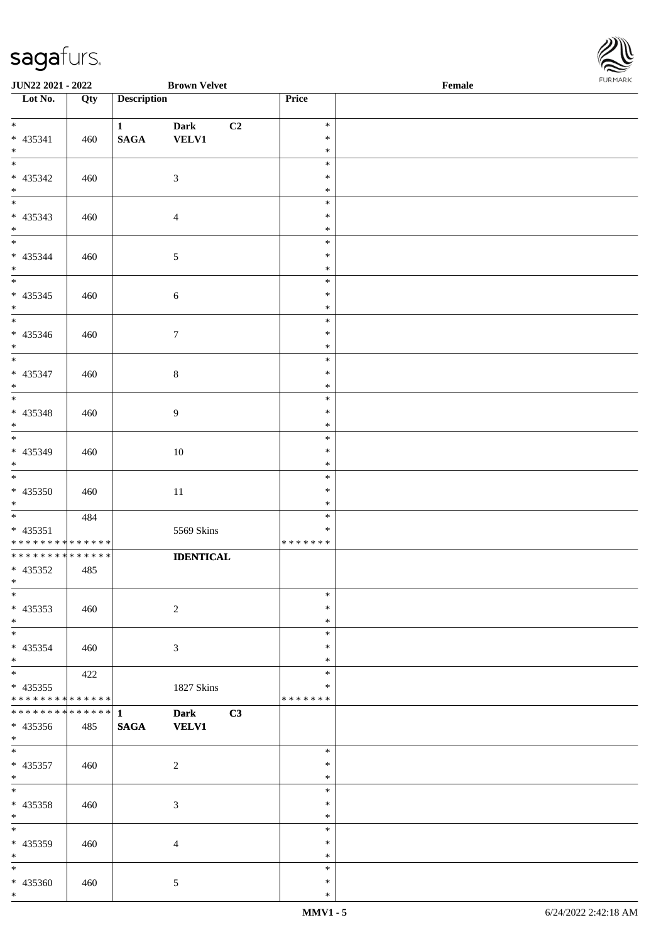

| JUN22 2021 - 2022                                                         |     |                    | <b>Brown Velvet</b>         |    |                  | Female | <b>FUNITANN</b> |
|---------------------------------------------------------------------------|-----|--------------------|-----------------------------|----|------------------|--------|-----------------|
| Lot No.                                                                   | Qty | <b>Description</b> |                             |    | Price            |        |                 |
| $*$                                                                       |     |                    |                             |    | $\ast$           |        |                 |
| * 435341                                                                  | 460 | 1<br><b>SAGA</b>   | <b>Dark</b><br><b>VELV1</b> | C2 | $\ast$           |        |                 |
| $*$                                                                       |     |                    |                             |    | $\ast$           |        |                 |
|                                                                           |     |                    |                             |    | $\ast$           |        |                 |
| * 435342                                                                  | 460 |                    | $\mathfrak{Z}$              |    | $\ast$           |        |                 |
| $*$                                                                       |     |                    |                             |    | $\ast$           |        |                 |
|                                                                           |     |                    |                             |    | $\ast$           |        |                 |
| * 435343                                                                  | 460 |                    | $\overline{4}$              |    | $\ast$           |        |                 |
| $*$                                                                       |     |                    |                             |    | $\ast$<br>$\ast$ |        |                 |
| * 435344                                                                  | 460 |                    | $\mathfrak{S}$              |    | $\ast$           |        |                 |
| $*$                                                                       |     |                    |                             |    | $\ast$           |        |                 |
|                                                                           |     |                    |                             |    | $\ast$           |        |                 |
| * 435345                                                                  | 460 |                    | 6                           |    | $\ast$           |        |                 |
| $*$                                                                       |     |                    |                             |    | $\ast$           |        |                 |
| $\overline{\phantom{0}}$                                                  |     |                    |                             |    | $\ast$           |        |                 |
| * 435346                                                                  | 460 |                    | $\tau$                      |    | $\ast$           |        |                 |
| $*$                                                                       |     |                    |                             |    | $\ast$<br>$\ast$ |        |                 |
| * 435347                                                                  | 460 |                    | $\,8\,$                     |    | $\ast$           |        |                 |
| $*$                                                                       |     |                    |                             |    | $\ast$           |        |                 |
|                                                                           |     |                    |                             |    | $\ast$           |        |                 |
| * 435348                                                                  | 460 |                    | $\overline{9}$              |    | $\ast$           |        |                 |
| $*$                                                                       |     |                    |                             |    | $\ast$           |        |                 |
|                                                                           |     |                    |                             |    | $\ast$           |        |                 |
| * 435349<br>$*$                                                           | 460 |                    | 10                          |    | $\ast$<br>$\ast$ |        |                 |
| $\overline{\phantom{0}}$                                                  |     |                    |                             |    | $\ast$           |        |                 |
| $* 435350$                                                                | 460 |                    | 11                          |    | $\ast$           |        |                 |
| $*$                                                                       |     |                    |                             |    | $\ast$           |        |                 |
|                                                                           | 484 |                    |                             |    | $\ast$           |        |                 |
| * 435351                                                                  |     |                    | 5569 Skins                  |    | $\ast$           |        |                 |
| * * * * * * * * * * * * * *<br>* * * * * * * * <mark>* * * * * * *</mark> |     |                    |                             |    | *******          |        |                 |
| * 435352                                                                  | 485 |                    | <b>IDENTICAL</b>            |    |                  |        |                 |
| $*$ $-$                                                                   |     |                    |                             |    |                  |        |                 |
| $\ast$                                                                    |     |                    |                             |    | $\ast$           |        |                 |
| $* 435353$                                                                | 460 |                    | 2                           |    | $\ast$           |        |                 |
| $*$                                                                       |     |                    |                             |    | $\ast$           |        |                 |
| $*$ $-$                                                                   |     |                    |                             |    | $\ast$           |        |                 |
| $* 435354$<br>$*$                                                         | 460 |                    | 3                           |    | $\ast$<br>$\ast$ |        |                 |
| $*$                                                                       | 422 |                    |                             |    | $\ast$           |        |                 |
| $* 435355$                                                                |     |                    | $1827~\rm Skins$            |    | $\ast$           |        |                 |
| * * * * * * * * <mark>* * * * * * *</mark>                                |     |                    |                             |    | * * * * * * *    |        |                 |
|                                                                           |     |                    | <b>Dark</b>                 | C3 |                  |        |                 |
| $* 435356$                                                                | 485 | <b>SAGA</b>        | <b>VELV1</b>                |    |                  |        |                 |
| $*$ $-$<br>$\overline{\ast}$                                              |     |                    |                             |    |                  |        |                 |
| $* 435357$                                                                |     |                    |                             |    | $\ast$<br>$\ast$ |        |                 |
| $*$                                                                       | 460 |                    | 2                           |    | $\ast$           |        |                 |
| $*$ $-$                                                                   |     |                    |                             |    | $\ast$           |        |                 |
| * 435358                                                                  | 460 |                    | $\mathfrak{Z}$              |    | $\ast$           |        |                 |
| $*$                                                                       |     |                    |                             |    | $\ast$           |        |                 |
| $*$                                                                       |     |                    |                             |    | $\ast$           |        |                 |
| * 435359                                                                  | 460 |                    | $\overline{4}$              |    | $\ast$           |        |                 |
| $*$<br>$*$ $*$                                                            |     |                    |                             |    | $\ast$<br>$\ast$ |        |                 |
| * 435360                                                                  | 460 |                    | $\mathfrak{S}$              |    | $\ast$           |        |                 |
| $*$                                                                       |     |                    |                             |    | $\ast$           |        |                 |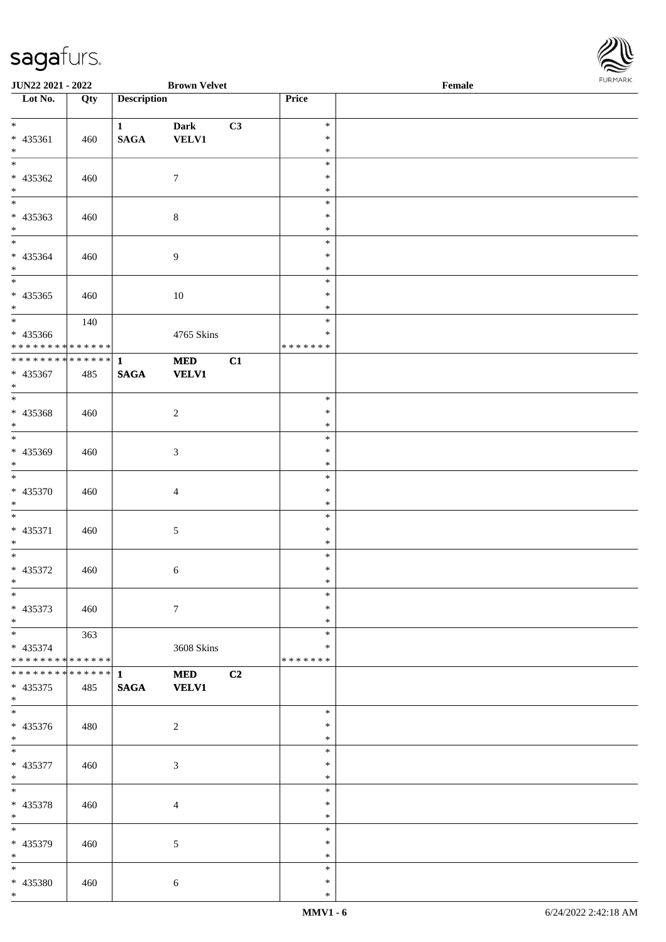

| JUN22 2021 - 2022                        |     |                    | <b>Brown Velvet</b> |                |                  | Female | <b>FURPIARA</b> |
|------------------------------------------|-----|--------------------|---------------------|----------------|------------------|--------|-----------------|
| Lot No.                                  | Qty | <b>Description</b> |                     |                | Price            |        |                 |
| $*$                                      |     |                    |                     |                |                  |        |                 |
|                                          |     | 1                  | <b>Dark</b>         | C3             | $\ast$<br>$\ast$ |        |                 |
| * 435361<br>$*$                          | 460 | $\mathbf{SAGA}$    | <b>VELV1</b>        |                | $\ast$           |        |                 |
|                                          |     |                    |                     |                | $\ast$           |        |                 |
| * 435362                                 | 460 |                    | $7\phantom{.0}$     |                | $\ast$           |        |                 |
| $*$                                      |     |                    |                     |                | $\ast$           |        |                 |
| $*$                                      |     |                    |                     |                | $\ast$           |        |                 |
| * 435363                                 | 460 |                    | $\,8\,$             |                | $\ast$           |        |                 |
| $*$                                      |     |                    |                     |                | $\ast$           |        |                 |
|                                          |     |                    |                     |                | $\ast$           |        |                 |
| * 435364                                 | 460 |                    | $\overline{9}$      |                | $\ast$           |        |                 |
| $*$                                      |     |                    |                     |                | $\ast$           |        |                 |
| $\overline{\phantom{0}}$                 |     |                    |                     |                | $\ast$           |        |                 |
| * 435365                                 | 460 |                    | 10                  |                | $\ast$           |        |                 |
| $*$                                      |     |                    |                     |                | $\ast$           |        |                 |
|                                          | 140 |                    |                     |                | $\ast$<br>$\ast$ |        |                 |
| * 435366<br>* * * * * * * * * * * * * *  |     |                    | 4765 Skins          |                | *******          |        |                 |
| ******** <mark>******</mark>             |     | $\mathbf{1}$       | <b>MED</b>          | C1             |                  |        |                 |
| * 435367                                 | 485 | <b>SAGA</b>        | <b>VELV1</b>        |                |                  |        |                 |
| $*$                                      |     |                    |                     |                |                  |        |                 |
|                                          |     |                    |                     |                | $\ast$           |        |                 |
| * 435368                                 | 460 |                    | $\sqrt{2}$          |                | $\ast$           |        |                 |
| $*$                                      |     |                    |                     |                | $\ast$           |        |                 |
| $*$                                      |     |                    |                     |                | $\ast$           |        |                 |
| * 435369                                 | 460 |                    | 3                   |                | $\ast$           |        |                 |
| $*$                                      |     |                    |                     |                | $\ast$           |        |                 |
|                                          |     |                    |                     |                | $\ast$           |        |                 |
| * 435370                                 | 460 |                    | $\overline{4}$      |                | $\ast$           |        |                 |
| $*$                                      |     |                    |                     |                | $\ast$           |        |                 |
|                                          |     |                    |                     |                | $\ast$           |        |                 |
| * 435371<br>$*$                          | 460 |                    | 5                   |                | $\ast$<br>$\ast$ |        |                 |
| $\ddot{x}$                               |     |                    |                     |                | $\ast$           |        |                 |
| * 435372                                 | 460 |                    | 6                   |                | $\ast$           |        |                 |
| $*$ $-$                                  |     |                    |                     |                | $\ast$           |        |                 |
| $\ast$                                   |     |                    |                     |                | $\ast$           |        |                 |
| * 435373                                 | 460 |                    | $\tau$              |                | $\ast$           |        |                 |
| $*$                                      |     |                    |                     |                | $\ast$           |        |                 |
|                                          | 363 |                    |                     |                | $\ast$           |        |                 |
| * 435374                                 |     |                    | 3608 Skins          |                | $\ast$           |        |                 |
| * * * * * * * * <mark>* * * * * *</mark> |     |                    |                     |                | * * * * * * *    |        |                 |
| ******** <mark>******</mark>             |     | $\mathbf{1}$       | <b>MED</b>          | C <sub>2</sub> |                  |        |                 |
| $* 435375$                               | 485 | <b>SAGA</b>        | <b>VELV1</b>        |                |                  |        |                 |
| $*$                                      |     |                    |                     |                | $\ast$           |        |                 |
| * 435376                                 | 480 |                    | 2                   |                | $\ast$           |        |                 |
| $*$                                      |     |                    |                     |                | $\ast$           |        |                 |
| $\overline{\ast}$                        |     |                    |                     |                | $\ast$           |        |                 |
| * 435377                                 | 460 |                    | $\mathfrak{Z}$      |                | $\ast$           |        |                 |
| $*$                                      |     |                    |                     |                | $\ast$           |        |                 |
| $*$                                      |     |                    |                     |                | $\ast$           |        |                 |
| * 435378                                 | 460 |                    | $\overline{4}$      |                | $\ast$           |        |                 |
| $*$                                      |     |                    |                     |                | $\ast$           |        |                 |
| $*$                                      |     |                    |                     |                | $\ast$           |        |                 |
| * 435379                                 | 460 |                    | $\mathfrak{S}$      |                | $\ast$           |        |                 |
| $*$                                      |     |                    |                     |                | $\ast$           |        |                 |
| $*$                                      |     |                    |                     |                | $\ast$           |        |                 |
| * 435380                                 | 460 |                    | $\sqrt{6}$          |                | $\ast$           |        |                 |
| $*$                                      |     |                    |                     |                | $\ast$           |        |                 |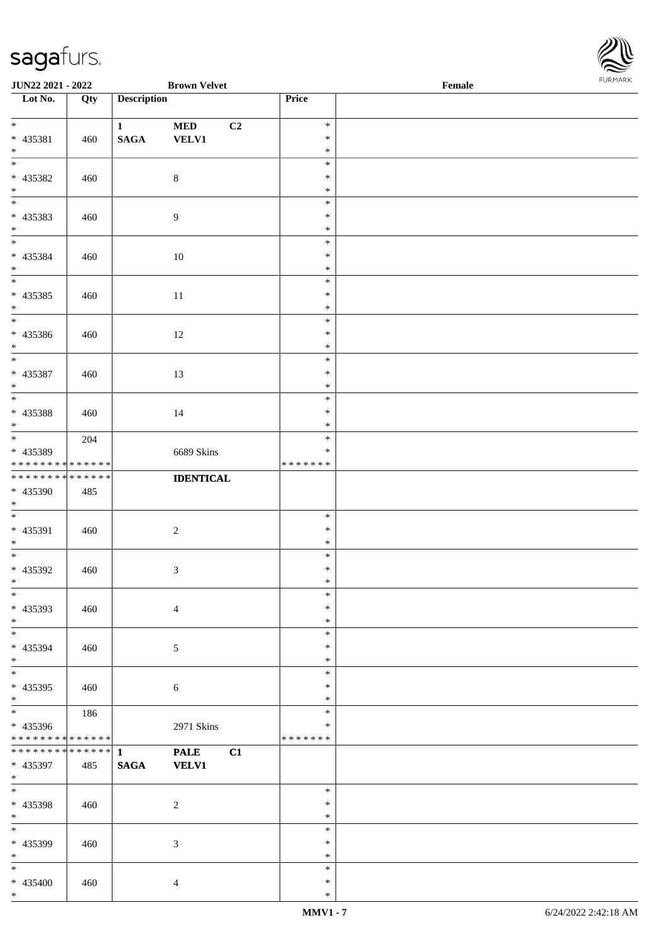

| <b>JUN22 2021 - 2022</b>                                      |     |                             | <b>Brown Velvet</b>         |    |                                   | Female |  |
|---------------------------------------------------------------|-----|-----------------------------|-----------------------------|----|-----------------------------------|--------|--|
| $\overline{\phantom{1}}$ Lot No.                              | Qty | <b>Description</b>          |                             |    | Price                             |        |  |
| $*$<br>* 435381<br>$*$                                        | 460 | $\mathbf{1}$<br><b>SAGA</b> | <b>MED</b><br><b>VELV1</b>  | C2 | $\ast$<br>$\ast$<br>$\ast$        |        |  |
| * 435382<br>$*$                                               | 460 |                             | $\,8\,$                     |    | $\ast$<br>$\ast$<br>$\ast$        |        |  |
| * 435383<br>$*$                                               | 460 |                             | $\overline{9}$              |    | $\ast$<br>$\ast$<br>$\ast$        |        |  |
| $\overline{\ast}$<br>* 435384<br>$*$                          | 460 |                             | 10                          |    | $\ast$<br>$\ast$<br>$\ast$        |        |  |
| * 435385<br>$*$<br>$\overline{\phantom{0}}$                   | 460 |                             | 11                          |    | $\ast$<br>$\ast$<br>$\ast$        |        |  |
| * 435386<br>$*$                                               | 460 |                             | 12                          |    | $\ast$<br>$\ast$<br>$\ast$        |        |  |
| * 435387<br>$*$                                               | 460 |                             | 13                          |    | $\ast$<br>$\ast$<br>$\ast$        |        |  |
| * 435388<br>$*$                                               | 460 |                             | 14                          |    | $\ast$<br>$\ast$<br>$\ast$        |        |  |
| * 435389<br>* * * * * * * * * * * * * *                       | 204 |                             | 6689 Skins                  |    | $\ast$<br>$\ast$<br>* * * * * * * |        |  |
| * * * * * * * * <mark>* * * * * * *</mark><br>* 435390<br>$*$ | 485 |                             | <b>IDENTICAL</b>            |    |                                   |        |  |
| $*$<br>* 435391<br>$*$                                        | 460 |                             | $\overline{2}$              |    | $\ast$<br>$\ast$<br>$\ast$        |        |  |
| $*$<br>* 435392<br>$*$ $-$                                    | 460 |                             | $\mathfrak{Z}$              |    | $\ast$<br>$\ast$<br>$\ast$        |        |  |
| $*$<br>* 435393<br>$*$                                        | 460 |                             | $\overline{4}$              |    | $\ast$<br>$\ast$<br>$\ast$        |        |  |
| $*$<br>* 435394<br>$*$<br>$\overline{\phantom{0}}$            | 460 |                             | 5                           |    | $\ast$<br>$\ast$<br>$\ast$        |        |  |
| * 435395<br>$*$                                               | 460 |                             | 6                           |    | $\ast$<br>$\ast$<br>$\ast$        |        |  |
| * 435396<br>* * * * * * * * * * * * * *                       | 186 |                             | 2971 Skins                  |    | $\ast$<br>$\ast$<br>* * * * * * * |        |  |
| * * * * * * * * <mark>* * * * * * *</mark><br>* 435397<br>$*$ | 485 | $\mathbf{1}$<br><b>SAGA</b> | <b>PALE</b><br><b>VELV1</b> | C1 |                                   |        |  |
| $*$<br>* 435398<br>$*$                                        | 460 |                             | 2                           |    | $\ast$<br>$\ast$<br>$\ast$        |        |  |
| $*$<br>* 435399<br>$*$                                        | 460 |                             | 3                           |    | $\ast$<br>$\ast$<br>$\ast$        |        |  |
| $\ast$<br>* 435400<br>$*$                                     | 460 |                             | $\overline{4}$              |    | $\ast$<br>$\ast$<br>$\ast$        |        |  |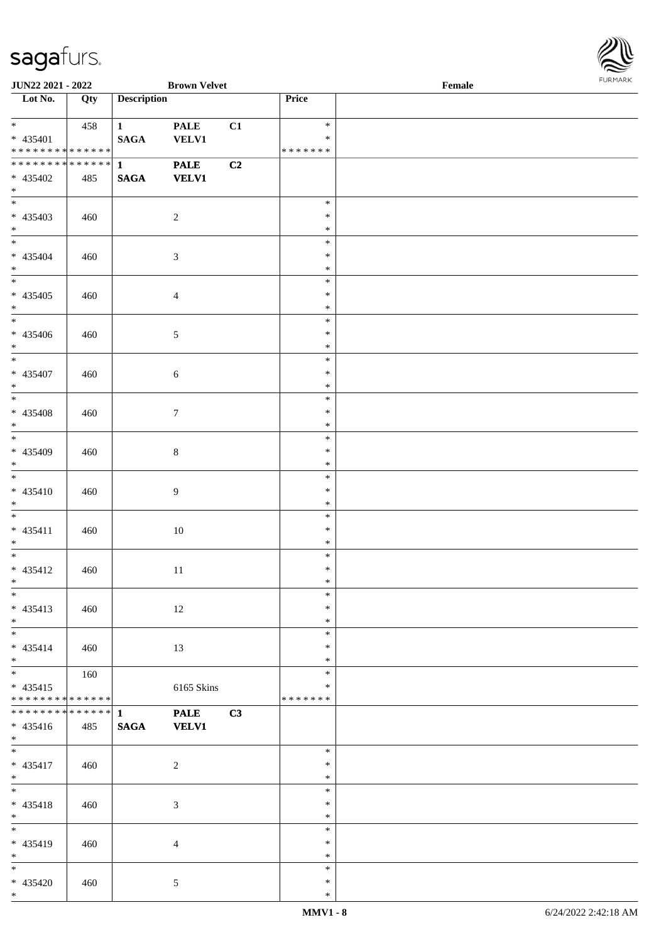\*



| <b>JUN22 2021 - 2022</b>                                |     |                                 | <b>Brown Velvet</b>         |    |                                   | Female |  |
|---------------------------------------------------------|-----|---------------------------------|-----------------------------|----|-----------------------------------|--------|--|
| Lot No.                                                 | Qty | <b>Description</b>              |                             |    | Price                             |        |  |
| $\ddot{x}$<br>$* 435401$<br>* * * * * * * * * * * * * * | 458 | $\mathbf{1}$<br><b>SAGA</b>     | <b>PALE</b><br><b>VELV1</b> | C1 | $\ast$<br>$\ast$<br>* * * * * * * |        |  |
| ******** <mark>******</mark><br>* 435402<br>$*$         | 485 | $\mathbf{1}$<br><b>SAGA</b>     | <b>PALE</b><br><b>VELV1</b> | C2 |                                   |        |  |
| * 435403<br>$*$                                         | 460 |                                 | $\overline{2}$              |    | $\ast$<br>$\ast$<br>$\ast$        |        |  |
| $\overline{\mathbf{r}}$<br>* 435404<br>$*$              | 460 |                                 | $\mathfrak{Z}$              |    | $\ast$<br>$\ast$<br>$\ast$        |        |  |
| $* 435405$<br>$*$                                       | 460 |                                 | $\overline{4}$              |    | $\ast$<br>$\ast$<br>$\ast$        |        |  |
| $\overline{\phantom{0}}$<br>* 435406<br>$*$             | 460 |                                 | $5\,$                       |    | $\ast$<br>$\ast$<br>$\ast$        |        |  |
| $* 435407$<br>$*$                                       | 460 |                                 | $\sqrt{6}$                  |    | $\ast$<br>$\ast$<br>$\ast$        |        |  |
| $* 435408$<br>$*$                                       | 460 |                                 | $\tau$                      |    | $\ast$<br>$\ast$<br>$\ast$        |        |  |
| * 435409<br>$*$                                         | 460 |                                 | $8\,$                       |    | $\ast$<br>$\ast$<br>$\ast$        |        |  |
| $* 435410$<br>$*$                                       | 460 |                                 | $\overline{9}$              |    | $\ast$<br>$\ast$<br>$\ast$        |        |  |
| $*$<br>$* 435411$<br>$*$                                | 460 |                                 | $10\,$                      |    | $\ast$<br>$\ast$<br>$\ast$        |        |  |
| $*$ $-$<br>* 435412<br>$*$ $*$                          | 460 |                                 | 11                          |    | $\ast$<br>$\ast$<br>$\ast$        |        |  |
| $\overline{\ast}$<br>* 435413<br>$*$                    | 460 |                                 | 12                          |    | $\ast$<br>$\ast$<br>$\ast$        |        |  |
| $*$<br>$* 435414$<br>$*$                                | 460 |                                 | 13                          |    | $\ast$<br>$\ast$<br>$\ast$        |        |  |
| $*$<br>$* 435415$<br>* * * * * * * * * * * * * *        | 160 |                                 | 6165 Skins                  |    | $\ast$<br>$\ast$<br>* * * * * * * |        |  |
| ******** <mark>******</mark><br>$* 435416$<br>$*$       | 485 | $\mathbf{1}$<br>$\mathbf{SAGA}$ | <b>PALE</b><br><b>VELV1</b> | C3 |                                   |        |  |
| $*$<br>$* 435417$<br>$*$                                | 460 |                                 | 2                           |    | $\ast$<br>$\ast$<br>$\ast$        |        |  |
| $*$ $-$<br>* 435418<br>$*$                              | 460 |                                 | 3                           |    | $\ast$<br>$\ast$<br>$\ast$        |        |  |
| $*$<br>* 435419<br>$*$                                  | 460 |                                 | $\overline{4}$              |    | $\ast$<br>$\ast$<br>$\ast$        |        |  |
| $*$<br>* 435420<br>$*$                                  | 460 |                                 | $\mathfrak{S}$              |    | $\ast$<br>$\ast$<br>$\ast$        |        |  |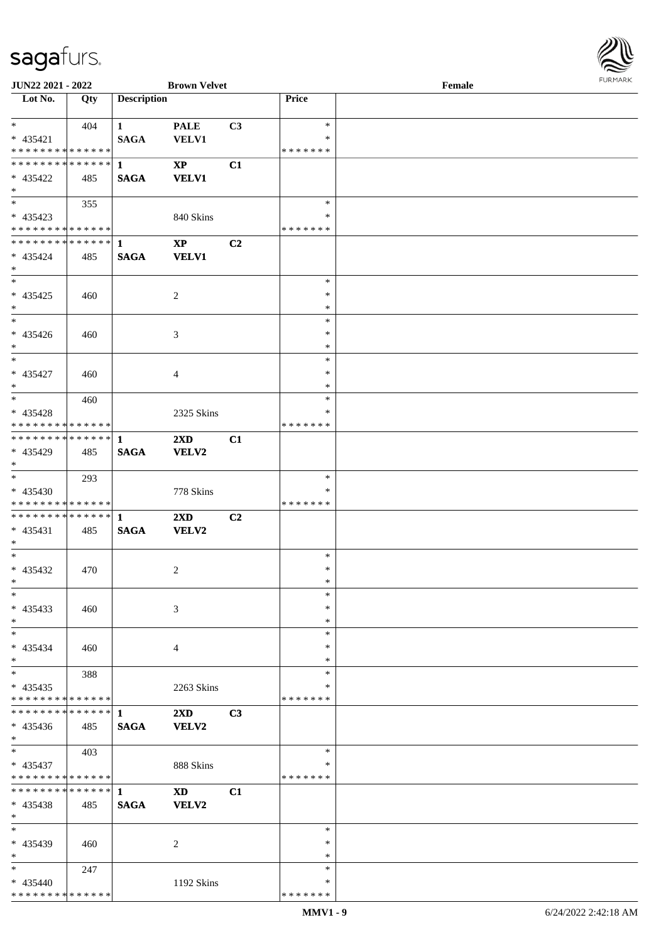

| JUN22 2021 - 2022               |     |                    | <b>Brown Velvet</b>        |    |               | Female |  |
|---------------------------------|-----|--------------------|----------------------------|----|---------------|--------|--|
| Lot No.                         | Qty | <b>Description</b> |                            |    | Price         |        |  |
|                                 |     |                    |                            |    |               |        |  |
| $*$                             | 404 | $\mathbf{1}$       | <b>PALE</b>                | C3 | $\ast$        |        |  |
| $* 435421$                      |     | <b>SAGA</b>        | <b>VELV1</b>               |    | ∗             |        |  |
| **************                  |     |                    |                            |    | * * * * * * * |        |  |
| ******** <mark>******</mark>    |     |                    |                            |    |               |        |  |
|                                 |     | $\mathbf{1}$       | $\boldsymbol{\mathrm{XP}}$ | C1 |               |        |  |
| $* 435422$                      | 485 | <b>SAGA</b>        | <b>VELV1</b>               |    |               |        |  |
| $\ast$                          |     |                    |                            |    |               |        |  |
| $\overline{\phantom{0}}$        | 355 |                    |                            |    | $\ast$        |        |  |
| $* 435423$                      |     |                    | 840 Skins                  |    | $\ast$        |        |  |
| * * * * * * * * * * * * * * *   |     |                    |                            |    | * * * * * * * |        |  |
| ************** 1                |     |                    | $\bold{XP}$                | C2 |               |        |  |
| $* 435424$                      | 485 | <b>SAGA</b>        | <b>VELV1</b>               |    |               |        |  |
|                                 |     |                    |                            |    |               |        |  |
| $*$<br>$\overline{\phantom{0}}$ |     |                    |                            |    |               |        |  |
|                                 |     |                    |                            |    | $\ast$        |        |  |
| $* 435425$                      | 460 |                    | $\sqrt{2}$                 |    | $\ast$        |        |  |
| $\ast$                          |     |                    |                            |    | $\ast$        |        |  |
| $\overline{\phantom{a}^*}$      |     |                    |                            |    | $\ast$        |        |  |
| $* 435426$                      | 460 |                    | 3                          |    | $\ast$        |        |  |
| $*$                             |     |                    |                            |    | $\ast$        |        |  |
| $\ast$                          |     |                    |                            |    | $\ast$        |        |  |
|                                 |     |                    |                            |    | $\ast$        |        |  |
| $* 435427$                      | 460 |                    | $\overline{4}$             |    |               |        |  |
| $*$                             |     |                    |                            |    | $\ast$        |        |  |
| $*$                             | 460 |                    |                            |    | $\ast$        |        |  |
| * 435428                        |     |                    | 2325 Skins                 |    | ∗             |        |  |
| * * * * * * * * * * * * * * *   |     |                    |                            |    | * * * * * * * |        |  |
| ************** 1                |     |                    | $2\mathbf{X}\mathbf{D}$    | C1 |               |        |  |
| * 435429                        | 485 | <b>SAGA</b>        | VELV2                      |    |               |        |  |
| $*$                             |     |                    |                            |    |               |        |  |
| $*$                             |     |                    |                            |    | $\ast$        |        |  |
|                                 | 293 |                    |                            |    |               |        |  |
| * 435430                        |     |                    | 778 Skins                  |    | ∗             |        |  |
| * * * * * * * * * * * * * * *   |     |                    |                            |    | * * * * * * * |        |  |
|                                 |     |                    | $2\mathbf{X}\mathbf{D}$    | C2 |               |        |  |
| $* 435431$                      | 485 | <b>SAGA</b>        | VELV2                      |    |               |        |  |
| $*$                             |     |                    |                            |    |               |        |  |
| $*$                             |     |                    |                            |    | $\ast$        |        |  |
| $* 435432$                      | 470 |                    | $\overline{c}$             |    | $\ast$        |        |  |
| $*$                             |     |                    |                            |    | $\ast$        |        |  |
| $\ast$                          |     |                    |                            |    | $\ast$        |        |  |
|                                 |     |                    |                            |    | ∗             |        |  |
| $* 435433$                      | 460 |                    | 3                          |    |               |        |  |
| $*$                             |     |                    |                            |    | $\ast$        |        |  |
| $*$                             |     |                    |                            |    | $\ast$        |        |  |
| $* 435434$                      | 460 |                    | 4                          |    | ∗             |        |  |
| $*$                             |     |                    |                            |    | ∗             |        |  |
| $\ast$                          | 388 |                    |                            |    | $\ast$        |        |  |
| $* 435435$                      |     |                    | 2263 Skins                 |    | ∗             |        |  |
| * * * * * * * * * * * * * *     |     |                    |                            |    | * * * * * * * |        |  |
|                                 |     |                    | $2\mathbf{X}\mathbf{D}$    | C3 |               |        |  |
|                                 |     | <b>SAGA</b>        | VELV2                      |    |               |        |  |
| $* 435436$                      | 485 |                    |                            |    |               |        |  |
| $*$                             |     |                    |                            |    |               |        |  |
| $*$                             | 403 |                    |                            |    | $\ast$        |        |  |
| * 435437                        |     |                    | 888 Skins                  |    | ∗             |        |  |
| * * * * * * * * * * * * * *     |     |                    |                            |    | * * * * * * * |        |  |
| * * * * * * * * * * * * * * *   |     | $\mathbf{1}$       | <b>XD</b>                  | C1 |               |        |  |
| * 435438                        | 485 | <b>SAGA</b>        | VELV2                      |    |               |        |  |
| $*$                             |     |                    |                            |    |               |        |  |
| $*$                             |     |                    |                            |    | $\ast$        |        |  |
| * 435439                        | 460 |                    | 2                          |    | ∗             |        |  |
| $*$                             |     |                    |                            |    | $\ast$        |        |  |
|                                 |     |                    |                            |    |               |        |  |
| $*$                             | 247 |                    |                            |    | $\ast$        |        |  |
| $* 435440$                      |     |                    | 1192 Skins                 |    | ∗             |        |  |
| * * * * * * * * * * * * * *     |     |                    |                            |    | * * * * * * * |        |  |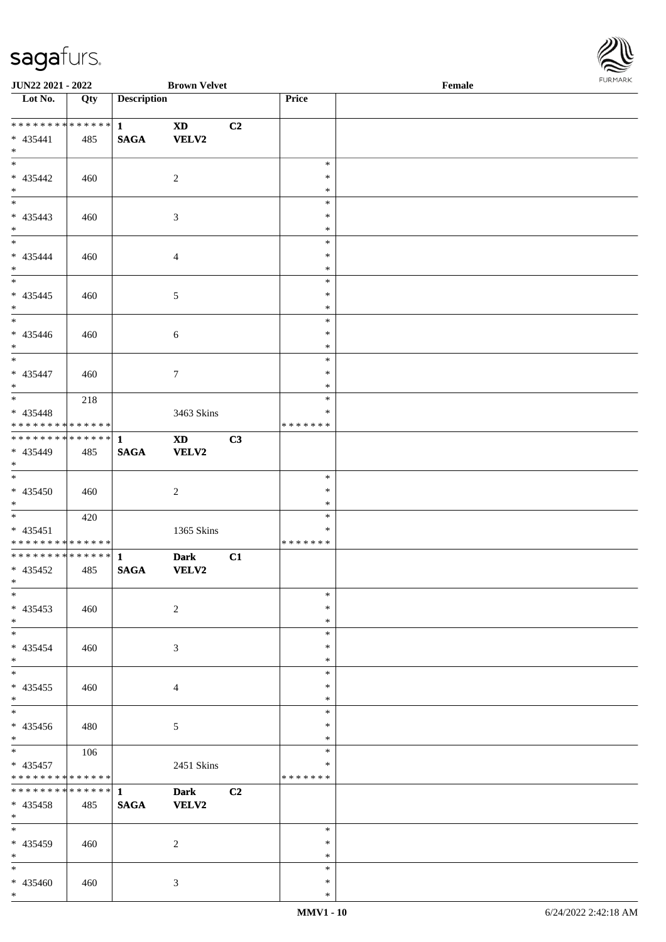\*



| JUN22 2021 - 2022                                |     |                                 | <b>Brown Velvet</b>             |    |                             | Female | <b>FUNITANN</b> |
|--------------------------------------------------|-----|---------------------------------|---------------------------------|----|-----------------------------|--------|-----------------|
| Lot No.                                          | Qty | <b>Description</b>              |                                 |    | Price                       |        |                 |
| ******** <mark>******</mark> 1<br>* 435441       | 485 | <b>SAGA</b>                     | $\mathbf{X}\mathbf{D}$<br>VELV2 | C2 |                             |        |                 |
| $*$ $-$<br>$*$<br>* 435442                       | 460 |                                 | 2                               |    | $\ast$<br>$\ast$            |        |                 |
| $*$<br>$*$                                       |     |                                 |                                 |    | $\ast$<br>$\ast$            |        |                 |
| * 435443<br>$*$<br>$*$                           | 460 |                                 | 3                               |    | $\ast$<br>$\ast$<br>$\ast$  |        |                 |
| * 435444<br>$*$                                  | 460 |                                 | $\overline{4}$                  |    | $\ast$<br>$\ast$<br>$\ast$  |        |                 |
| * 435445<br>$*$                                  | 460 |                                 | $\mathfrak{S}$                  |    | $\ast$<br>$\ast$            |        |                 |
| * 435446<br>$*$                                  | 460 |                                 | $\sqrt{6}$                      |    | $\ast$<br>$\ast$<br>$\ast$  |        |                 |
| * 435447<br>$*$                                  | 460 |                                 | $\tau$                          |    | $\ast$<br>$\ast$<br>$\ast$  |        |                 |
| * 435448<br>* * * * * * * * * * * * * * *        | 218 |                                 | 3463 Skins                      |    | $\ast$<br>$\ast$<br>******* |        |                 |
| * 435449<br>$*$                                  | 485 | <b>SAGA</b>                     | <b>XD</b><br>VELV2              | C3 |                             |        |                 |
| * 435450<br>$*$                                  | 460 |                                 | 2                               |    | $\ast$<br>$\ast$<br>$\ast$  |        |                 |
| * 435451<br>* * * * * * * * * * * * * * *        | 420 |                                 | 1365 Skins                      |    | $\ast$<br>$\ast$<br>******* |        |                 |
| $* 435452$<br>$\ast$ $\cdot$                     | 485 | <b>SAGA</b>                     | <b>Dark</b><br><b>VELV2</b>     | C1 |                             |        |                 |
| $*$<br>$* 435453$<br>$*$                         | 460 |                                 | 2                               |    | $\ast$<br>$\ast$<br>$\ast$  |        |                 |
| $*$<br>$* 435454$<br>$*$                         | 460 |                                 | 3                               |    | $\ast$<br>$\ast$<br>$\ast$  |        |                 |
| $*$<br>* 435455<br>$*$                           | 460 |                                 | 4                               |    | $\ast$<br>$\ast$<br>$\ast$  |        |                 |
| $*$<br>* 435456<br>$*$                           | 480 |                                 | 5                               |    | $\ast$<br>$\ast$<br>$\ast$  |        |                 |
| $*$<br>* 435457<br>* * * * * * * * * * * * * *   | 106 |                                 | 2451 Skins                      |    | $\ast$<br>$\ast$<br>******* |        |                 |
| * * * * * * * * * * * * * * *<br>* 435458<br>$*$ | 485 | $\mathbf{1}$<br>$\mathbf{SAGA}$ | <b>Dark</b><br><b>VELV2</b>     | C2 |                             |        |                 |
| $*$<br>* 435459<br>$*$                           | 460 |                                 | 2                               |    | $\ast$<br>$\ast$<br>$\ast$  |        |                 |
| $*$<br>* 435460<br>$*$                           | 460 |                                 | 3                               |    | $\ast$<br>$\ast$<br>$\ast$  |        |                 |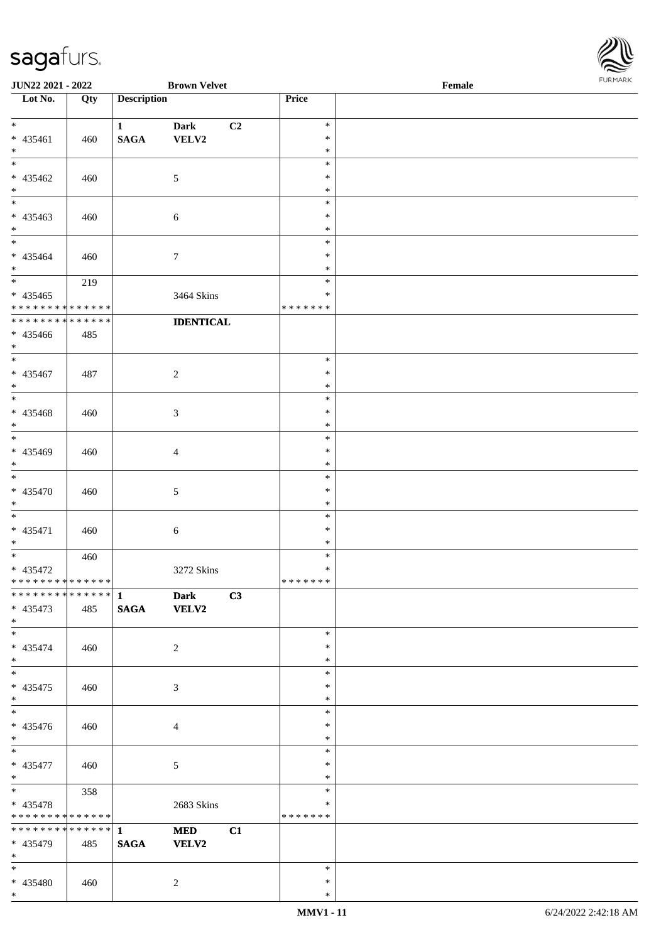

| <b>JUN22 2021 - 2022</b>         |     |                    | <b>Brown Velvet</b> |    |               | Female |  |
|----------------------------------|-----|--------------------|---------------------|----|---------------|--------|--|
| $\overline{\phantom{1}}$ Lot No. | Qty | <b>Description</b> |                     |    | Price         |        |  |
|                                  |     |                    |                     |    |               |        |  |
| $*$                              |     | $\mathbf{1}$       | Dark                | C2 | $\ast$        |        |  |
| * 435461                         | 460 | $\mathbf{SAGA}$    | VELV2               |    | $\ast$        |        |  |
| $*$                              |     |                    |                     |    | $\ast$        |        |  |
|                                  |     |                    |                     |    | $\ast$        |        |  |
| $* 435462$                       | 460 |                    | $\mathfrak{S}$      |    | $\ast$        |        |  |
| $\ast$                           |     |                    |                     |    | $\ast$        |        |  |
| $\overline{\phantom{0}}$         |     |                    |                     |    | $\ast$        |        |  |
| $* 435463$                       | 460 |                    |                     |    | $\ast$        |        |  |
| $*$                              |     |                    | 6                   |    | $\ast$        |        |  |
| $*$                              |     |                    |                     |    | $\ast$        |        |  |
|                                  |     |                    |                     |    |               |        |  |
| $* 435464$                       | 460 |                    | $\tau$              |    | $\ast$        |        |  |
| $*$                              |     |                    |                     |    | $\ast$        |        |  |
|                                  | 219 |                    |                     |    | $\ast$        |        |  |
| $* 435465$                       |     |                    | 3464 Skins          |    | $\ast$        |        |  |
| * * * * * * * * * * * * * *      |     |                    |                     |    | * * * * * * * |        |  |
| * * * * * * * * * * * * * *      |     |                    | <b>IDENTICAL</b>    |    |               |        |  |
| $* 435466$                       | 485 |                    |                     |    |               |        |  |
| $*$                              |     |                    |                     |    |               |        |  |
| $*$                              |     |                    |                     |    | $\ast$        |        |  |
| $* 435467$                       | 487 |                    | $\overline{c}$      |    | $\ast$        |        |  |
| $*$                              |     |                    |                     |    | $\ast$        |        |  |
|                                  |     |                    |                     |    | $\ast$        |        |  |
| * 435468                         | 460 |                    | 3                   |    | $\ast$        |        |  |
| $*$                              |     |                    |                     |    | $\ast$        |        |  |
| $\overline{\ast}$                |     |                    |                     |    | $\ast$        |        |  |
|                                  |     |                    |                     |    | $\ast$        |        |  |
| * 435469                         | 460 |                    | $\overline{4}$      |    |               |        |  |
| $*$<br>$*$                       |     |                    |                     |    | $\ast$        |        |  |
|                                  |     |                    |                     |    | $\ast$        |        |  |
| $* 435470$                       | 460 |                    | 5                   |    | $\ast$        |        |  |
| $*$                              |     |                    |                     |    | $\ast$        |        |  |
| $*$                              |     |                    |                     |    | $\ast$        |        |  |
| $* 435471$                       | 460 |                    | 6                   |    | $\ast$        |        |  |
| $*$                              |     |                    |                     |    | $\ast$        |        |  |
| $*$                              | 460 |                    |                     |    | $\ast$        |        |  |
| * 435472                         |     |                    | 3272 Skins          |    | $\ast$        |        |  |
| ******** <mark>******</mark>     |     |                    |                     |    | * * * * * * * |        |  |
| ************** 1                 |     |                    | <b>Dark</b>         | C3 |               |        |  |
| $* 435473$                       | 485 | <b>SAGA</b>        | <b>VELV2</b>        |    |               |        |  |
| $*$                              |     |                    |                     |    |               |        |  |
| $*$                              |     |                    |                     |    | $\ast$        |        |  |
| * 435474                         |     |                    | $\overline{c}$      |    | $\ast$        |        |  |
| $*$                              | 460 |                    |                     |    | $\ast$        |        |  |
|                                  |     |                    |                     |    | $\ast$        |        |  |
|                                  |     |                    |                     |    | $\ast$        |        |  |
| $* 435475$                       | 460 |                    | 3                   |    |               |        |  |
| $*$<br>$\overline{\ast}$         |     |                    |                     |    | $\ast$        |        |  |
|                                  |     |                    |                     |    | $\ast$        |        |  |
| $* 435476$                       | 460 |                    | 4                   |    | ∗             |        |  |
| $*$                              |     |                    |                     |    | $\ast$        |        |  |
| $*$                              |     |                    |                     |    | $\ast$        |        |  |
| * 435477                         | 460 |                    | 5                   |    | $\ast$        |        |  |
| $*$                              |     |                    |                     |    | $\ast$        |        |  |
| $*$ and $*$                      | 358 |                    |                     |    | $\ast$        |        |  |
| * 435478                         |     |                    | 2683 Skins          |    | $\ast$        |        |  |
| * * * * * * * * * * * * * *      |     |                    |                     |    | * * * * * * * |        |  |
| * * * * * * * * * * * * * * *    |     | $\mathbf{1}$       | <b>MED</b>          | C1 |               |        |  |
| * 435479                         | 485 | <b>SAGA</b>        | <b>VELV2</b>        |    |               |        |  |
| $*$                              |     |                    |                     |    |               |        |  |
| $*$                              |     |                    |                     |    | $\ast$        |        |  |
|                                  |     |                    |                     |    | $\ast$        |        |  |
| * 435480<br>$*$                  | 460 |                    | 2                   |    |               |        |  |
|                                  |     |                    |                     |    | $\ast$        |        |  |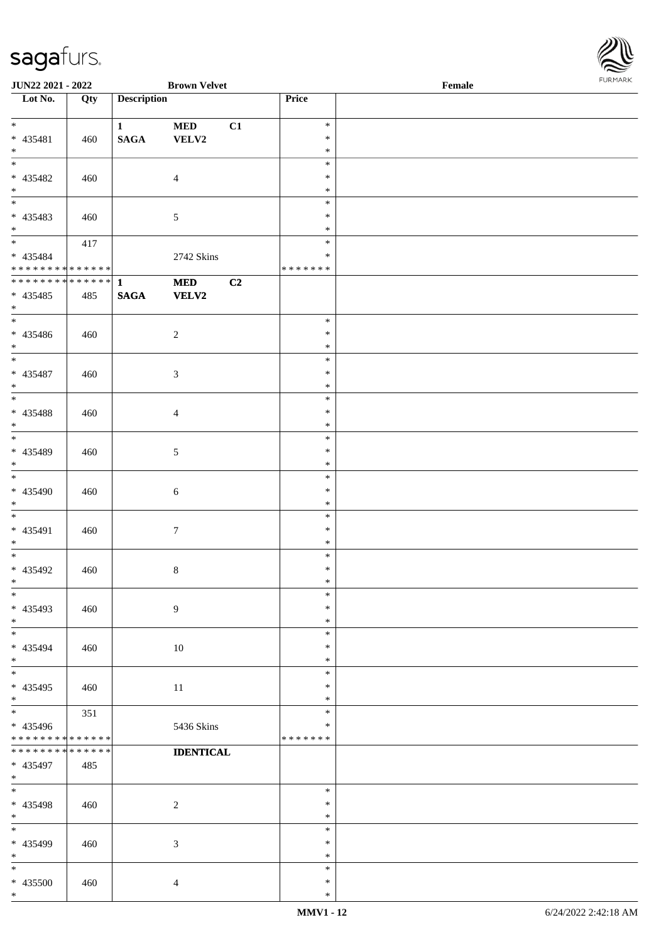

| <b>JUN22 2021 - 2022</b>        |     |                    | <b>Brown Velvet</b> |    |                  | Female |  |
|---------------------------------|-----|--------------------|---------------------|----|------------------|--------|--|
| Lot No.                         | Qty | <b>Description</b> |                     |    | Price            |        |  |
|                                 |     |                    |                     |    |                  |        |  |
| $*$                             |     | $\mathbf{1}$       | <b>MED</b>          | C1 | $\ast$           |        |  |
| * 435481                        | 460 | <b>SAGA</b>        | VELV2               |    | $\ast$           |        |  |
| $*$                             |     |                    |                     |    | $\ast$           |        |  |
|                                 |     |                    |                     |    | $\ast$           |        |  |
| * 435482                        | 460 |                    | $\overline{4}$      |    | $\ast$           |        |  |
| $*$                             |     |                    |                     |    | $\ast$           |        |  |
|                                 |     |                    |                     |    | $\ast$           |        |  |
| * 435483                        | 460 |                    | $\mathfrak{S}$      |    | $\ast$           |        |  |
| $*$                             |     |                    |                     |    | $\ast$           |        |  |
|                                 | 417 |                    |                     |    | $\ast$           |        |  |
| * 435484                        |     |                    |                     |    | $\ast$           |        |  |
| * * * * * * * * * * * * * *     |     |                    | 2742 Skins          |    | * * * * * * *    |        |  |
| * * * * * * * * * * * * * * *   |     | $\mathbf{1}$       |                     |    |                  |        |  |
|                                 |     |                    | <b>MED</b>          | C2 |                  |        |  |
| * 435485                        | 485 | <b>SAGA</b>        | <b>VELV2</b>        |    |                  |        |  |
| $*$<br>$\overline{\phantom{0}}$ |     |                    |                     |    |                  |        |  |
|                                 |     |                    |                     |    | $\ast$           |        |  |
| * 435486                        | 460 |                    | $\overline{2}$      |    | $\ast$           |        |  |
| $*$                             |     |                    |                     |    | $\ast$           |        |  |
|                                 |     |                    |                     |    | $\ast$           |        |  |
| * 435487                        | 460 |                    | $\mathfrak{Z}$      |    | $\ast$           |        |  |
| $*$                             |     |                    |                     |    | $\ast$           |        |  |
|                                 |     |                    |                     |    | $\ast$           |        |  |
| * 435488                        | 460 |                    | $\overline{4}$      |    | $\ast$           |        |  |
| $\ast$                          |     |                    |                     |    | $\ast$           |        |  |
| $\overline{\phantom{0}}$        |     |                    |                     |    | $\ast$           |        |  |
| * 435489                        | 460 |                    | $\mathfrak{S}$      |    | $\ast$           |        |  |
| $*$                             |     |                    |                     |    | $\ast$           |        |  |
|                                 |     |                    |                     |    | $\ast$           |        |  |
| * 435490                        | 460 |                    | $\sqrt{6}$          |    | $\ast$           |        |  |
| $*$                             |     |                    |                     |    | $\ast$           |        |  |
| $*$                             |     |                    |                     |    | $\ast$           |        |  |
| * 435491                        | 460 |                    | $\boldsymbol{7}$    |    | $\ast$           |        |  |
| $*$                             |     |                    |                     |    | $\ast$           |        |  |
| $*$                             |     |                    |                     |    | $\ast$           |        |  |
| * 435492                        | 460 |                    | $\,8\,$             |    | $\ast$           |        |  |
| $*$ $-$                         |     |                    |                     |    | $\ast$           |        |  |
| $*$                             |     |                    |                     |    | $\ast$           |        |  |
| * 435493                        |     |                    |                     |    | $\ast$           |        |  |
|                                 | 460 |                    | $\overline{9}$      |    |                  |        |  |
| $*$<br>$*$                      |     |                    |                     |    | $\ast$<br>$\ast$ |        |  |
|                                 |     |                    |                     |    |                  |        |  |
| * 435494                        | 460 |                    | 10                  |    | $\ast$           |        |  |
| $*$                             |     |                    |                     |    | $\ast$           |        |  |
|                                 |     |                    |                     |    | $\ast$           |        |  |
| * 435495                        | 460 |                    | 11                  |    | $\ast$           |        |  |
| $*$<br>$\overline{\ast}$        |     |                    |                     |    | $\ast$           |        |  |
|                                 | 351 |                    |                     |    | $\ast$           |        |  |
| * 435496                        |     |                    | 5436 Skins          |    | $\ast$           |        |  |
| * * * * * * * * * * * * * *     |     |                    |                     |    | *******          |        |  |
| * * * * * * * * * * * * * *     |     |                    | <b>IDENTICAL</b>    |    |                  |        |  |
| * 435497                        | 485 |                    |                     |    |                  |        |  |
| $*$                             |     |                    |                     |    |                  |        |  |
| $*$                             |     |                    |                     |    | $\ast$           |        |  |
| * 435498                        | 460 |                    | $\overline{2}$      |    | $\ast$           |        |  |
| $*$                             |     |                    |                     |    | $\ast$           |        |  |
| $*$                             |     |                    |                     |    | $\ast$           |        |  |
| * 435499                        | 460 |                    | 3                   |    | $\ast$           |        |  |
| $*$                             |     |                    |                     |    | $\ast$           |        |  |
| $*$                             |     |                    |                     |    | $\ast$           |        |  |
| * 435500                        | 460 |                    | $\overline{4}$      |    | $\ast$           |        |  |
| $*$                             |     |                    |                     |    | $\ast$           |        |  |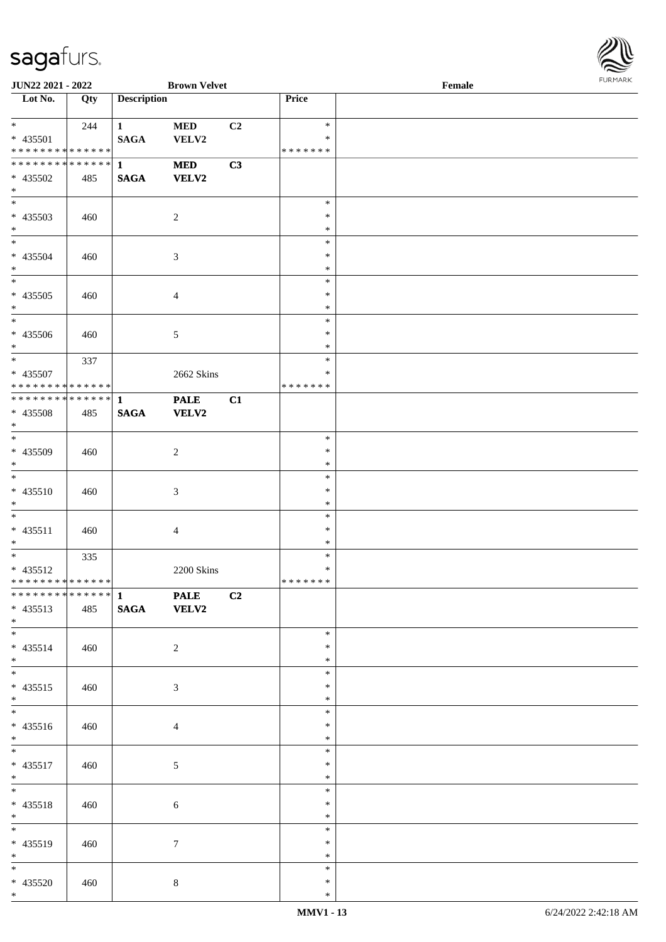

| <b>JUN22 2021 - 2022</b>                   |     |                    | <b>Brown Velvet</b> |                |         | Female |  |
|--------------------------------------------|-----|--------------------|---------------------|----------------|---------|--------|--|
| Lot No.                                    | Qty | <b>Description</b> |                     |                | Price   |        |  |
|                                            |     |                    |                     |                |         |        |  |
| $*$                                        | 244 | $\mathbf{1}$       | <b>MED</b>          | C <sub>2</sub> | $\ast$  |        |  |
| * 435501                                   |     | <b>SAGA</b>        | VELV2               |                | $\ast$  |        |  |
| * * * * * * * * * * * * * *                |     |                    |                     |                | ******* |        |  |
| ******** <mark>******</mark>               |     | $\mathbf{1}$       | <b>MED</b>          | C3             |         |        |  |
| * 435502                                   | 485 | <b>SAGA</b>        | <b>VELV2</b>        |                |         |        |  |
| $*$                                        |     |                    |                     |                |         |        |  |
|                                            |     |                    |                     |                | $\ast$  |        |  |
| * 435503                                   | 460 |                    | 2                   |                | $\ast$  |        |  |
| $*$                                        |     |                    |                     |                | $\ast$  |        |  |
| $*$                                        |     |                    |                     |                | $\ast$  |        |  |
| * 435504                                   | 460 |                    | $\mathfrak{Z}$      |                | $\ast$  |        |  |
| $*$                                        |     |                    |                     |                | $\ast$  |        |  |
| $\overline{\ast}$                          |     |                    |                     |                | $\ast$  |        |  |
| $* 435505$                                 | 460 |                    | $\overline{4}$      |                | $\ast$  |        |  |
| $*$                                        |     |                    |                     |                | $\ast$  |        |  |
|                                            |     |                    |                     |                | $\ast$  |        |  |
| $* 435506$                                 | 460 |                    | 5                   |                | $\ast$  |        |  |
| $*$                                        |     |                    |                     |                | $\ast$  |        |  |
| $*$                                        | 337 |                    |                     |                | $\ast$  |        |  |
| * 435507                                   |     |                    | 2662 Skins          |                | ∗       |        |  |
| * * * * * * * * <mark>* * * * * * *</mark> |     |                    |                     |                | ******* |        |  |
| ************** 1                           |     |                    | <b>PALE</b>         | C1             |         |        |  |
| * 435508                                   | 485 | <b>SAGA</b>        | <b>VELV2</b>        |                |         |        |  |
| $*$                                        |     |                    |                     |                |         |        |  |
| $\overline{\phantom{0}}$                   |     |                    |                     |                | $\ast$  |        |  |
| * 435509                                   | 460 |                    | $\sqrt{2}$          |                | $\ast$  |        |  |
| $*$                                        |     |                    |                     |                | $\ast$  |        |  |
| $*$                                        |     |                    |                     |                | $\ast$  |        |  |
| $* 435510$                                 | 460 |                    | $\mathfrak{Z}$      |                | $\ast$  |        |  |
| $*$                                        |     |                    |                     |                | $\ast$  |        |  |
| $*$                                        |     |                    |                     |                | $\ast$  |        |  |
| $* 435511$                                 | 460 |                    | 4                   |                | $\ast$  |        |  |
| $*$                                        |     |                    |                     |                | $\ast$  |        |  |
| $*$                                        | 335 |                    |                     |                | $\ast$  |        |  |
| * 435512                                   |     |                    | 2200 Skins          |                | $\ast$  |        |  |
| * * * * * * * * * * * * * * *              |     |                    |                     |                | ******* |        |  |
| ********* <sup>******</sup> 1 PALE         |     |                    |                     | C2             |         |        |  |
| $* 435513$                                 | 485 | SAGA VELV2         |                     |                |         |        |  |
| $*$                                        |     |                    |                     |                |         |        |  |
| $*$                                        |     |                    |                     |                | $\ast$  |        |  |
| $* 435514$                                 | 460 |                    | 2                   |                | $\ast$  |        |  |
| $*$                                        |     |                    |                     |                | $\ast$  |        |  |
| $*$                                        |     |                    |                     |                | $\ast$  |        |  |
| $* 435515$                                 | 460 |                    | 3                   |                | $\ast$  |        |  |
| $*$                                        |     |                    |                     |                | $\ast$  |        |  |
| $\overline{\ast}$                          |     |                    |                     |                | $\ast$  |        |  |
| $* 435516$                                 | 460 |                    | 4                   |                | ∗       |        |  |
| $*$                                        |     |                    |                     |                | $\ast$  |        |  |
| $*$                                        |     |                    |                     |                | $\ast$  |        |  |
| * 435517                                   | 460 |                    | 5                   |                | $\ast$  |        |  |
| $*$                                        |     |                    |                     |                | $\ast$  |        |  |
| $*$                                        |     |                    |                     |                | $\ast$  |        |  |
| * 435518                                   | 460 |                    | 6                   |                | $\ast$  |        |  |
| $*$                                        |     |                    |                     |                | $\ast$  |        |  |
| $*$                                        |     |                    |                     |                | $\ast$  |        |  |
| * 435519                                   | 460 |                    | 7                   |                | $\ast$  |        |  |
| $*$                                        |     |                    |                     |                | $\ast$  |        |  |
| $*$                                        |     |                    |                     |                | $\ast$  |        |  |
| * 435520                                   | 460 |                    | 8                   |                | $\ast$  |        |  |
| $*$                                        |     |                    |                     |                | $\ast$  |        |  |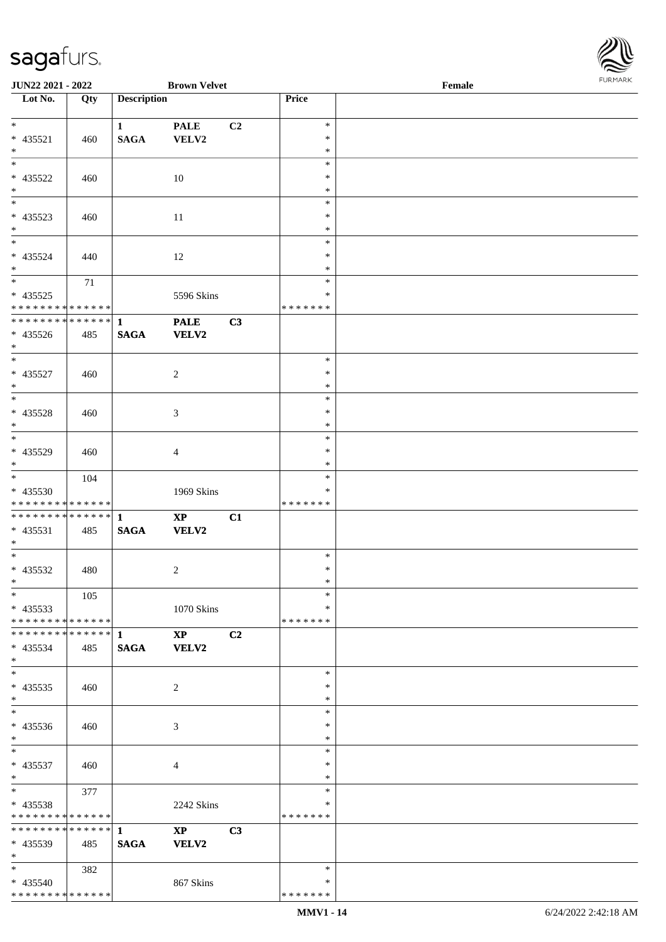$\overline{\text{Lot No.}}$ 

\*

\*

\*

\*

\*

\*

\*

\*

\*

\* \*

\*

\*

\*

\*

\*

\* \*

\*

\*

\* \*

\*

\*

\*

\*

\*

\* \*

\* 435540

\* \* \* \* \* \* \* \* \* \* \* \* \* \*

**JUN22 2021 - 2022 Brown Velvet Female**

| Lot No.                                                                                  | Qty | <b>Description</b>          |                        |                | Price            |  |
|------------------------------------------------------------------------------------------|-----|-----------------------------|------------------------|----------------|------------------|--|
| $*$                                                                                      |     | $\mathbf{1}$                | <b>PALE</b>            | C2             | $\ast$           |  |
| * 435521                                                                                 | 460 | <b>SAGA</b>                 | VELV2                  |                | $\ast$           |  |
| $*$                                                                                      |     |                             |                        |                | $\ast$<br>$\ast$ |  |
| * 435522                                                                                 | 460 |                             | 10                     |                | $\ast$           |  |
| $*$                                                                                      |     |                             |                        |                | $\ast$           |  |
|                                                                                          |     |                             |                        |                | $\ast$           |  |
| * 435523                                                                                 | 460 |                             | 11                     |                | $\ast$           |  |
| $*$<br>$*$                                                                               |     |                             |                        |                | $\ast$<br>$\ast$ |  |
| * 435524                                                                                 | 440 |                             | 12                     |                | $\ast$           |  |
| $*$                                                                                      |     |                             |                        |                | $\ast$           |  |
|                                                                                          | 71  |                             |                        |                | $\ast$           |  |
| * 435525                                                                                 |     |                             | 5596 Skins             |                | $\ast$           |  |
| * * * * * * * * * * * * * * <mark>*</mark><br>* * * * * * * * * * * * * * <mark>*</mark> |     |                             |                        |                | *******          |  |
| * 435526                                                                                 | 485 | $\mathbf{1}$<br><b>SAGA</b> | <b>PALE</b><br>VELV2   | C3             |                  |  |
| $*$                                                                                      |     |                             |                        |                |                  |  |
|                                                                                          |     |                             |                        |                | $\ast$           |  |
| * 435527                                                                                 | 460 |                             | 2                      |                | $\ast$           |  |
| $*$                                                                                      |     |                             |                        |                | $\ast$<br>$\ast$ |  |
| * 435528                                                                                 | 460 |                             | 3                      |                | $\ast$           |  |
| $*$                                                                                      |     |                             |                        |                | $\ast$           |  |
|                                                                                          |     |                             |                        |                | $\ast$           |  |
| * 435529                                                                                 | 460 |                             | $\overline{4}$         |                | ∗                |  |
| $*$                                                                                      |     |                             |                        |                | $\ast$           |  |
| * 435530                                                                                 | 104 |                             | 1969 Skins             |                | $\ast$<br>*      |  |
| * * * * * * * * <mark>* * * * * * *</mark>                                               |     |                             |                        |                | * * * * * * *    |  |
|                                                                                          |     |                             | $\mathbf{XP}$          | C1             |                  |  |
| $* 435531$                                                                               | 485 | <b>SAGA</b>                 | <b>VELV2</b>           |                |                  |  |
| $*$<br>*                                                                                 |     |                             |                        |                |                  |  |
| * 435532                                                                                 | 480 |                             | 2                      |                | $\ast$<br>$\ast$ |  |
| $*$                                                                                      |     |                             |                        |                | $\ast$           |  |
| $\overline{\ast}$                                                                        | 105 |                             |                        |                | $\ast$           |  |
| * 435533                                                                                 |     |                             | $1070$ Skins           |                | $\ast$           |  |
| * * * * * * * * * * * * * * <mark>*</mark>                                               |     |                             |                        |                | * * * * * * *    |  |
| $* 435534$                                                                               | 485 | <b>SAGA</b>                 | $\mathbf{XP}$<br>VELV2 | C <sub>2</sub> |                  |  |
| $*$                                                                                      |     |                             |                        |                |                  |  |
| $\ddot{x}$                                                                               |     |                             |                        |                | $\ast$           |  |
| $* 435535$                                                                               | 460 |                             | 2                      |                | ∗                |  |
| $*$                                                                                      |     |                             |                        |                | $\ast$<br>$\ast$ |  |
| * 435536                                                                                 | 460 |                             | 3                      |                | $\ast$           |  |
| $*$                                                                                      |     |                             |                        |                | $\ast$           |  |
| $\overline{\ast}$                                                                        |     |                             |                        |                | $\ast$           |  |
| * 435537                                                                                 | 460 |                             | 4                      |                | $\ast$           |  |
| $*$<br>$*$                                                                               |     |                             |                        |                | $\ast$<br>$\ast$ |  |
| * 435538                                                                                 | 377 |                             | 2242 Skins             |                | ∗                |  |
| * * * * * * * * <mark>* * * * * *</mark> *                                               |     |                             |                        |                | * * * * * * *    |  |
|                                                                                          |     |                             | $\mathbf{X}\mathbf{P}$ | C3             |                  |  |
| * 435539                                                                                 | 485 | <b>SAGA</b>                 | <b>VELV2</b>           |                |                  |  |
| $\ast$                                                                                   |     |                             |                        |                |                  |  |
|                                                                                          | 382 |                             |                        |                | $\ast$           |  |

\* \* \* \* \* \* \* \* \*

867 Skins

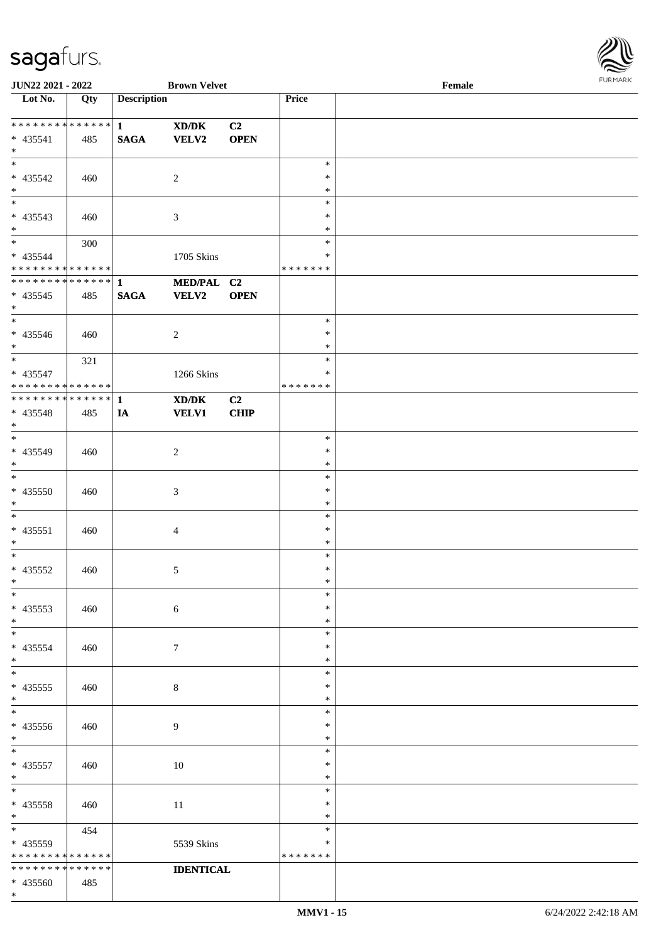

| <b>JUN22 2021 - 2022</b>      |                   |                    | <b>Brown Velvet</b>                         |                |               | Female |  |
|-------------------------------|-------------------|--------------------|---------------------------------------------|----------------|---------------|--------|--|
| Lot No.                       | $\overline{Q}$ ty | <b>Description</b> |                                             |                | Price         |        |  |
|                               |                   |                    |                                             |                |               |        |  |
|                               |                   |                    | $\mathbf{X}\mathbf{D}/\mathbf{D}\mathbf{K}$ | C2             |               |        |  |
| $* 435541$                    | 485               | <b>SAGA</b>        | <b>VELV2</b>                                | <b>OPEN</b>    |               |        |  |
| $*$                           |                   |                    |                                             |                |               |        |  |
|                               |                   |                    |                                             |                | $\ast$        |        |  |
|                               |                   |                    |                                             |                |               |        |  |
| $* 435542$                    | 460               |                    | 2                                           |                | $\ast$        |        |  |
| $*$                           |                   |                    |                                             |                | $\ast$        |        |  |
| $\overline{\phantom{0}}$      |                   |                    |                                             |                | $\ast$        |        |  |
| $* 435543$                    | 460               |                    | 3                                           |                | $\ast$        |        |  |
| $*$                           |                   |                    |                                             |                | $\ast$        |        |  |
| $*$                           | 300               |                    |                                             |                | $\ast$        |        |  |
| $* 435544$                    |                   |                    | 1705 Skins                                  |                | $\ast$        |        |  |
| * * * * * * * * * * * * * *   |                   |                    |                                             |                | * * * * * * * |        |  |
| ******** <mark>******</mark>  |                   |                    |                                             |                |               |        |  |
|                               |                   | $\mathbf{1}$       | MED/PAL C2                                  |                |               |        |  |
| $* 435545$                    | 485               | <b>SAGA</b>        | <b>VELV2</b>                                | <b>OPEN</b>    |               |        |  |
| $*$                           |                   |                    |                                             |                |               |        |  |
| $\overline{\ast}$             |                   |                    |                                             |                | $\ast$        |        |  |
| $* 435546$                    | 460               |                    | $\overline{c}$                              |                | $\ast$        |        |  |
| $*$                           |                   |                    |                                             |                | $\ast$        |        |  |
| $*$                           | 321               |                    |                                             |                | $\ast$        |        |  |
| * 435547                      |                   |                    | 1266 Skins                                  |                | ∗             |        |  |
| * * * * * * * * * * * * * * * |                   |                    |                                             |                | * * * * * * * |        |  |
| ************** 1              |                   |                    |                                             |                |               |        |  |
|                               |                   |                    | XD/DK                                       | C <sub>2</sub> |               |        |  |
| * 435548                      | 485               | IA                 | <b>VELV1</b>                                | CHIP           |               |        |  |
| $*$                           |                   |                    |                                             |                |               |        |  |
| $*$                           |                   |                    |                                             |                | $\ast$        |        |  |
| * 435549                      | 460               |                    | $\overline{c}$                              |                | $\ast$        |        |  |
| $*$                           |                   |                    |                                             |                | $\ast$        |        |  |
| $\overline{\ast}$             |                   |                    |                                             |                | $\ast$        |        |  |
| $* 435550$                    | 460               |                    | 3                                           |                | $\ast$        |        |  |
| $*$                           |                   |                    |                                             |                | $\ast$        |        |  |
| $*$                           |                   |                    |                                             |                | $\ast$        |        |  |
|                               |                   |                    |                                             |                |               |        |  |
| $* 435551$                    | 460               |                    | 4                                           |                | $\ast$        |        |  |
| $*$                           |                   |                    |                                             |                | $\ast$        |        |  |
| $*$                           |                   |                    |                                             |                | $\ast$        |        |  |
| $* 435552$                    | 460               |                    | 5                                           |                | $\ast$        |        |  |
| $*$                           |                   |                    |                                             |                | $\ast$        |        |  |
| $\ast$                        |                   |                    |                                             |                | $\ast$        |        |  |
| $* 435553$                    | 460               |                    | $\sqrt{6}$                                  |                | ∗             |        |  |
| $*$                           |                   |                    |                                             |                | $\ast$        |        |  |
| $*$                           |                   |                    |                                             |                | $\ast$        |        |  |
|                               |                   |                    |                                             |                |               |        |  |
| * 435554                      | 460               |                    | $\tau$                                      |                | ∗             |        |  |
| $*$                           |                   |                    |                                             |                | $\ast$        |        |  |
| $*$                           |                   |                    |                                             |                | $\ast$        |        |  |
| $* 435555$                    | 460               |                    | 8                                           |                | $\ast$        |        |  |
| $*$                           |                   |                    |                                             |                | $\ast$        |        |  |
| $*$                           |                   |                    |                                             |                | $\ast$        |        |  |
| $* 435556$                    | 460               |                    | 9                                           |                | ∗             |        |  |
| $*$                           |                   |                    |                                             |                | $\ast$        |        |  |
| $*$                           |                   |                    |                                             |                | $\ast$        |        |  |
|                               |                   |                    |                                             |                | $\ast$        |        |  |
| $* 435557$                    | 460               |                    | 10                                          |                |               |        |  |
| $*$                           |                   |                    |                                             |                | $\ast$        |        |  |
| $*$                           |                   |                    |                                             |                | $\ast$        |        |  |
| * 435558                      | 460               |                    | 11                                          |                | $\ast$        |        |  |
| $*$                           |                   |                    |                                             |                | $\ast$        |        |  |
| $*$ $*$                       | 454               |                    |                                             |                | $\ast$        |        |  |
| * 435559                      |                   |                    | 5539 Skins                                  |                | ∗             |        |  |
| * * * * * * * *               | * * * * * *       |                    |                                             |                | * * * * * * * |        |  |
| * * * * * * * * * * * * * *   |                   |                    | <b>IDENTICAL</b>                            |                |               |        |  |
| * 435560                      | 485               |                    |                                             |                |               |        |  |
| $*$                           |                   |                    |                                             |                |               |        |  |
|                               |                   |                    |                                             |                |               |        |  |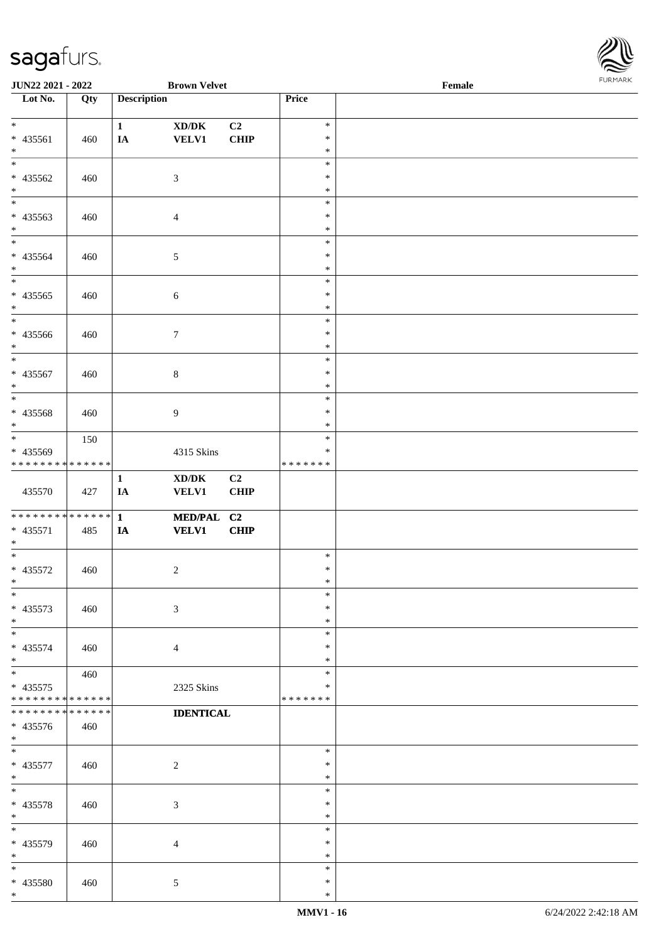

| <b>JUN22 2021 - 2022</b>                  |     |                    | <b>Brown Velvet</b>                 |             |                         | Female | . |
|-------------------------------------------|-----|--------------------|-------------------------------------|-------------|-------------------------|--------|---|
| Lot No.                                   | Qty | <b>Description</b> |                                     |             | Price                   |        |   |
|                                           |     |                    |                                     |             |                         |        |   |
| $*$                                       |     | $\mathbf{1}$       | $\bold{X}\bold{D}/\bold{D}\bold{K}$ | C2          | $\ast$                  |        |   |
| * 435561                                  | 460 | IA                 | <b>VELV1</b>                        | <b>CHIP</b> | $\ast$                  |        |   |
| $*$<br>$\overline{\phantom{0}}$           |     |                    |                                     |             | $\ast$                  |        |   |
|                                           |     |                    |                                     |             | $\ast$                  |        |   |
| * 435562                                  | 460 |                    | $\mathfrak{Z}$                      |             | $\ast$                  |        |   |
| $\ast$<br>$\overline{\phantom{0}}$        |     |                    |                                     |             | $\ast$                  |        |   |
|                                           |     |                    |                                     |             | $\ast$                  |        |   |
| * 435563                                  | 460 |                    | $\overline{4}$                      |             | $\ast$                  |        |   |
| $*$<br>$\overline{\phantom{0}}$           |     |                    |                                     |             | $\ast$<br>$\ast$        |        |   |
|                                           |     |                    |                                     |             | $\ast$                  |        |   |
| $* 435564$<br>$*$                         | 460 |                    | $5\,$                               |             | $\ast$                  |        |   |
| $\ast$                                    |     |                    |                                     |             | $\ast$                  |        |   |
| $* 435565$                                |     |                    |                                     |             | $\ast$                  |        |   |
| $*$                                       | 460 |                    | $\boldsymbol{6}$                    |             | $\ast$                  |        |   |
| $\overline{\ast}$                         |     |                    |                                     |             | $\ast$                  |        |   |
| $* 435566$                                | 460 |                    | $\tau$                              |             | $\ast$                  |        |   |
| $*$                                       |     |                    |                                     |             | $\ast$                  |        |   |
| $\ast$                                    |     |                    |                                     |             | $\ast$                  |        |   |
| $* 435567$                                | 460 |                    | $8\,$                               |             | $\ast$                  |        |   |
| $\ast$                                    |     |                    |                                     |             | $\ast$                  |        |   |
| $*$                                       |     |                    |                                     |             | $\ast$                  |        |   |
| * 435568                                  | 460 |                    | 9                                   |             | $\ast$                  |        |   |
| $*$                                       |     |                    |                                     |             | $\ast$                  |        |   |
| $*$                                       | 150 |                    |                                     |             | $\ast$                  |        |   |
| * 435569                                  |     |                    | 4315 Skins                          |             | $\ast$                  |        |   |
| * * * * * * * * * * * * * *               |     |                    |                                     |             | * * * * * * *           |        |   |
|                                           |     | $\mathbf{1}$       | $\boldsymbol{\text{XD}/\text{DK}}$  | C2          |                         |        |   |
| 435570                                    | 427 | IA                 | <b>VELV1</b>                        | <b>CHIP</b> |                         |        |   |
|                                           |     |                    |                                     |             |                         |        |   |
| * * * * * * * * * * * * * * *             |     | $\mathbf{1}$       | MED/PAL C2                          |             |                         |        |   |
| $* 435571$                                | 485 | IA                 | <b>VELV1</b>                        | <b>CHIP</b> |                         |        |   |
| $*$                                       |     |                    |                                     |             |                         |        |   |
| $*$                                       |     |                    |                                     |             | $\ast$                  |        |   |
| $* 435572$                                | 460 |                    | $\boldsymbol{2}$                    |             | $\ast$                  |        |   |
| $*$                                       |     |                    |                                     |             | $\ast$                  |        |   |
| $\ast$                                    |     |                    |                                     |             | $\ast$                  |        |   |
| $* 435573$                                | 460 |                    | 3                                   |             | $\ast$                  |        |   |
| $*$                                       |     |                    |                                     |             | $\ast$                  |        |   |
| $\ast$                                    |     |                    |                                     |             | $\ast$                  |        |   |
| $* 435574$                                | 460 |                    | $\overline{4}$                      |             | ∗                       |        |   |
| $*$<br>$\overline{\ast}$                  |     |                    |                                     |             | *                       |        |   |
|                                           | 460 |                    |                                     |             | $\ast$                  |        |   |
| $* 435575$<br>* * * * * * * * * * * * * * |     |                    | 2325 Skins                          |             | $\ast$<br>* * * * * * * |        |   |
| * * * * * * * * * * * * * *               |     |                    |                                     |             |                         |        |   |
|                                           |     |                    | <b>IDENTICAL</b>                    |             |                         |        |   |
| * 435576<br>$*$                           | 460 |                    |                                     |             |                         |        |   |
| $*$                                       |     |                    |                                     |             | $\ast$                  |        |   |
| $* 435577$                                | 460 |                    | $\boldsymbol{2}$                    |             | $\ast$                  |        |   |
| $*$                                       |     |                    |                                     |             | $\ast$                  |        |   |
| $*$                                       |     |                    |                                     |             | $\ast$                  |        |   |
| * 435578                                  | 460 |                    | 3                                   |             | $\ast$                  |        |   |
| $*$                                       |     |                    |                                     |             | $\ast$                  |        |   |
| $\ast$                                    |     |                    |                                     |             | $\ast$                  |        |   |
| * 435579                                  | 460 |                    | $\overline{4}$                      |             | $\ast$                  |        |   |
| $*$                                       |     |                    |                                     |             | $\ast$                  |        |   |
| $*$                                       |     |                    |                                     |             | $\ast$                  |        |   |
| * 435580                                  | 460 |                    | $5\phantom{.0}$                     |             | $\ast$                  |        |   |
| $*$                                       |     |                    |                                     |             | $\ast$                  |        |   |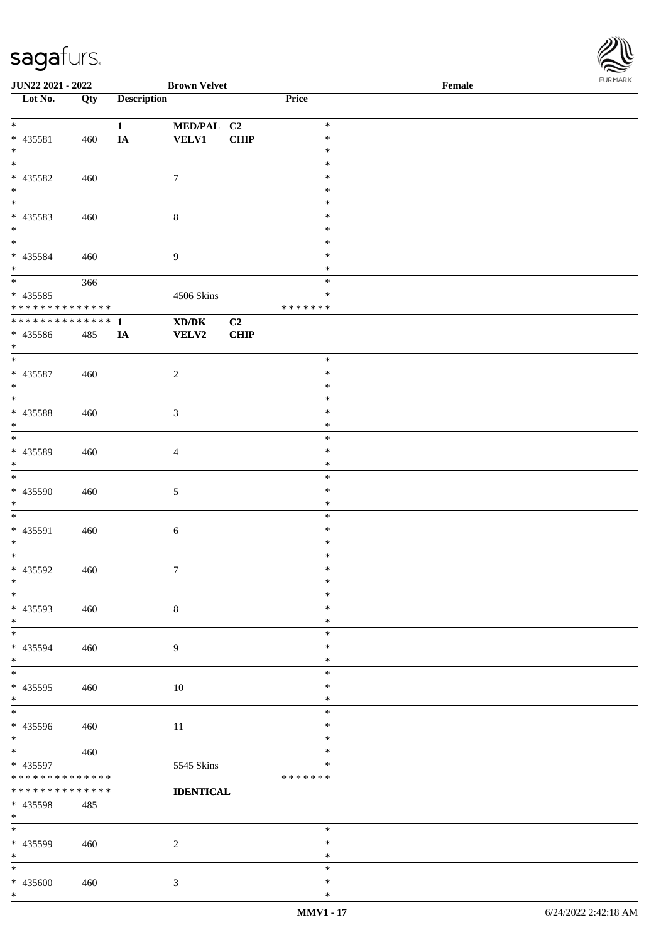

| <b>JUN22 2021 - 2022</b>                   |     |                    | <b>Brown Velvet</b> |             |               | Female |  |
|--------------------------------------------|-----|--------------------|---------------------|-------------|---------------|--------|--|
| Lot No.                                    | Qty | <b>Description</b> |                     |             | Price         |        |  |
|                                            |     |                    |                     |             |               |        |  |
| $\ast$                                     |     | $\mathbf{1}$       | MED/PAL C2          |             | $\ast$        |        |  |
| * 435581                                   | 460 | IA                 | <b>VELV1</b>        | <b>CHIP</b> | $\ast$        |        |  |
| $\ast$                                     |     |                    |                     |             | $\ast$        |        |  |
|                                            |     |                    |                     |             | $\ast$        |        |  |
| * 435582                                   | 460 |                    | $\tau$              |             | $\ast$        |        |  |
| $*$                                        |     |                    |                     |             | $\ast$        |        |  |
| $\overline{\phantom{0}}$                   |     |                    |                     |             | $\ast$        |        |  |
|                                            |     |                    |                     |             | $\ast$        |        |  |
| * 435583<br>$*$                            | 460 |                    | $\,8\,$             |             | $\ast$        |        |  |
|                                            |     |                    |                     |             |               |        |  |
|                                            |     |                    |                     |             | $\ast$        |        |  |
| * 435584                                   | 460 |                    | $\boldsymbol{9}$    |             | $\ast$        |        |  |
| $*$                                        |     |                    |                     |             | $\ast$        |        |  |
|                                            | 366 |                    |                     |             | $\ast$        |        |  |
| * 435585                                   |     |                    | 4506 Skins          |             | $\ast$        |        |  |
| * * * * * * * * <mark>* * * * * * *</mark> |     |                    |                     |             | * * * * * * * |        |  |
| * * * * * * * * * * * * * * *              |     | $\mathbf{1}$       | XD/DK               | C2          |               |        |  |
| * 435586                                   | 485 | IA                 | VELV2               | <b>CHIP</b> |               |        |  |
| $*$                                        |     |                    |                     |             |               |        |  |
| $*$                                        |     |                    |                     |             | $\ast$        |        |  |
| $* 435587$                                 | 460 |                    | $\sqrt{2}$          |             | $\ast$        |        |  |
| $\ast$                                     |     |                    |                     |             | $\ast$        |        |  |
|                                            |     |                    |                     |             | $\ast$        |        |  |
| * 435588                                   |     |                    |                     |             | $\ast$        |        |  |
| $*$                                        | 460 |                    | $\mathfrak{Z}$      |             | $\ast$        |        |  |
| $*$                                        |     |                    |                     |             |               |        |  |
|                                            |     |                    |                     |             | $\ast$        |        |  |
| * 435589                                   | 460 |                    | $\overline{4}$      |             | $\ast$        |        |  |
| $*$                                        |     |                    |                     |             | $\ast$        |        |  |
|                                            |     |                    |                     |             | $\ast$        |        |  |
| * 435590                                   | 460 |                    | 5                   |             | $\ast$        |        |  |
| $\ast$                                     |     |                    |                     |             | $\ast$        |        |  |
| $*$                                        |     |                    |                     |             | $\ast$        |        |  |
| * 435591                                   | 460 |                    | $\sqrt{6}$          |             | $\ast$        |        |  |
| $*$                                        |     |                    |                     |             | $\ast$        |        |  |
| $*$                                        |     |                    |                     |             | $\ast$        |        |  |
| * 435592                                   | 460 |                    | $\boldsymbol{7}$    |             | $\ast$        |        |  |
| $*$                                        |     |                    |                     |             | $\ast$        |        |  |
| $\ast$                                     |     |                    |                     |             | $\ast$        |        |  |
| * 435593                                   | 460 |                    | $\,8\,$             |             | $\ast$        |        |  |
| $*$                                        |     |                    |                     |             | $\ast$        |        |  |
| $*$                                        |     |                    |                     |             | $\ast$        |        |  |
|                                            |     |                    |                     |             |               |        |  |
| * 435594                                   | 460 |                    | $\overline{9}$      |             | $\ast$        |        |  |
| $*$                                        |     |                    |                     |             | $\ast$        |        |  |
| $*$                                        |     |                    |                     |             | $\ast$        |        |  |
| * 435595                                   | 460 |                    | 10                  |             | $\ast$        |        |  |
| $*$                                        |     |                    |                     |             | $\ast$        |        |  |
| $*$                                        |     |                    |                     |             | $\ast$        |        |  |
| * 435596                                   | 460 |                    | 11                  |             | $\ast$        |        |  |
| $*$                                        |     |                    |                     |             | $\ast$        |        |  |
|                                            | 460 |                    |                     |             | $\ast$        |        |  |
| * 435597                                   |     |                    | 5545 Skins          |             | $\ast$        |        |  |
| * * * * * * * * * * * * * *                |     |                    |                     |             | *******       |        |  |
| * * * * * * * * * * * * * *                |     |                    | <b>IDENTICAL</b>    |             |               |        |  |
| * 435598                                   | 485 |                    |                     |             |               |        |  |
| $*$                                        |     |                    |                     |             |               |        |  |
| $*$                                        |     |                    |                     |             | $\ast$        |        |  |
| * 435599                                   | 460 |                    | $\overline{c}$      |             | $\ast$        |        |  |
| $*$                                        |     |                    |                     |             | $\ast$        |        |  |
| $*$                                        |     |                    |                     |             | $\ast$        |        |  |
|                                            |     |                    |                     |             |               |        |  |
| * 435600                                   | 460 |                    | 3                   |             | $\ast$        |        |  |
| $\ast$                                     |     |                    |                     |             | $\ast$        |        |  |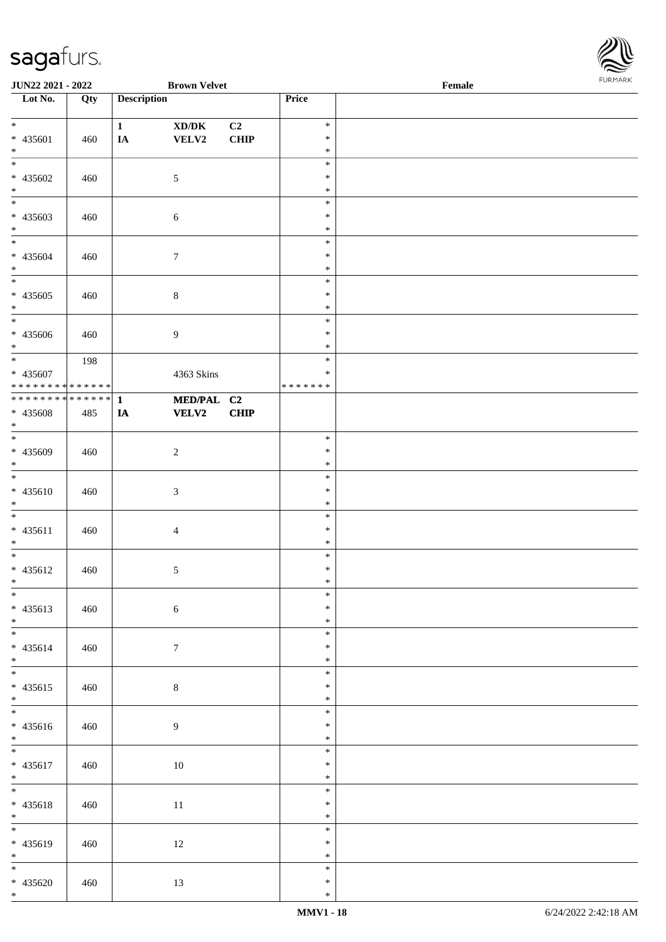

| <b>JUN22 2021 - 2022</b>                  |     |                    | <b>Brown Velvet</b>                 |             |               | Female |  |
|-------------------------------------------|-----|--------------------|-------------------------------------|-------------|---------------|--------|--|
| Lot No.                                   | Qty | <b>Description</b> |                                     |             | Price         |        |  |
|                                           |     |                    |                                     |             |               |        |  |
| $*$                                       |     | $\mathbf{1}$       | $\bold{X}\bold{D}/\bold{D}\bold{K}$ | C2          | $\ast$        |        |  |
| * 435601                                  | 460 | IA                 | VELV2                               | <b>CHIP</b> | $\ast$        |        |  |
| $*$                                       |     |                    |                                     |             | $\ast$        |        |  |
|                                           |     |                    |                                     |             | $\ast$        |        |  |
| * 435602                                  | 460 |                    | $\mathfrak{S}$                      |             | $\ast$        |        |  |
| $*$                                       |     |                    |                                     |             | $\ast$        |        |  |
| $\overline{\phantom{0}}$                  |     |                    |                                     |             | $\ast$        |        |  |
|                                           |     |                    |                                     |             | $\ast$        |        |  |
| * 435603                                  | 460 |                    | 6                                   |             |               |        |  |
| $*$                                       |     |                    |                                     |             | $\ast$        |        |  |
| $*$                                       |     |                    |                                     |             | $\ast$        |        |  |
| * 435604                                  | 460 |                    | $\tau$                              |             | $\ast$        |        |  |
| $*$                                       |     |                    |                                     |             | $\ast$        |        |  |
|                                           |     |                    |                                     |             | $\ast$        |        |  |
| $* 435605$                                | 460 |                    | $\,8\,$                             |             | $\ast$        |        |  |
| $*$                                       |     |                    |                                     |             | $\ast$        |        |  |
|                                           |     |                    |                                     |             | $\ast$        |        |  |
| * 435606                                  | 460 |                    | $\overline{9}$                      |             | $\ast$        |        |  |
| $*$                                       |     |                    |                                     |             | $\ast$        |        |  |
| $*$                                       | 198 |                    |                                     |             | $\ast$        |        |  |
|                                           |     |                    |                                     |             | $\ast$        |        |  |
| * 435607<br>* * * * * * * * * * * * * * * |     |                    | 4363 Skins                          |             |               |        |  |
|                                           |     |                    |                                     |             | * * * * * * * |        |  |
| * * * * * * * * * * * * * * *             |     | $\mathbf{1}$       | MED/PAL C2                          |             |               |        |  |
| * 435608                                  | 485 | IA                 | <b>VELV2</b>                        | <b>CHIP</b> |               |        |  |
| $*$                                       |     |                    |                                     |             |               |        |  |
| $\overline{\phantom{0}}$                  |     |                    |                                     |             | $\ast$        |        |  |
| * 435609                                  | 460 |                    | $\sqrt{2}$                          |             | $\ast$        |        |  |
| $*$                                       |     |                    |                                     |             | $\ast$        |        |  |
| $\overline{\ast}$                         |     |                    |                                     |             | $\ast$        |        |  |
| $* 435610$                                | 460 |                    | $\mathfrak{Z}$                      |             | $\ast$        |        |  |
| $*$                                       |     |                    |                                     |             | $\ast$        |        |  |
| $*$                                       |     |                    |                                     |             | $\ast$        |        |  |
| $* 435611$                                | 460 |                    | $\overline{4}$                      |             | $\ast$        |        |  |
| $*$                                       |     |                    |                                     |             | $\ast$        |        |  |
| $*$                                       |     |                    |                                     |             | $\ast$        |        |  |
|                                           |     |                    |                                     |             |               |        |  |
| * 435612                                  | 460 |                    | $\sqrt{5}$                          |             | $\ast$        |        |  |
| $*$                                       |     |                    |                                     |             | $\ast$        |        |  |
| $\overline{\ast}$                         |     |                    |                                     |             | $\ast$        |        |  |
| * 435613                                  | 460 |                    | $\sqrt{6}$                          |             | $\ast$        |        |  |
| $*$                                       |     |                    |                                     |             | $\ast$        |        |  |
|                                           |     |                    |                                     |             | $\ast$        |        |  |
| * 435614                                  | 460 |                    | $\tau$                              |             | $\ast$        |        |  |
| $*$                                       |     |                    |                                     |             | $\ast$        |        |  |
|                                           |     |                    |                                     |             | $\ast$        |        |  |
| * 435615                                  | 460 |                    | $8\,$                               |             | $\ast$        |        |  |
| $*$                                       |     |                    |                                     |             | $\ast$        |        |  |
|                                           |     |                    |                                     |             | $\ast$        |        |  |
|                                           |     |                    |                                     |             |               |        |  |
| * 435616                                  | 460 |                    | $\overline{9}$                      |             | $\ast$        |        |  |
| $*$                                       |     |                    |                                     |             | $\ast$        |        |  |
|                                           |     |                    |                                     |             | $\ast$        |        |  |
| * 435617                                  | 460 |                    | 10                                  |             | $\ast$        |        |  |
| $*$                                       |     |                    |                                     |             | $\ast$        |        |  |
|                                           |     |                    |                                     |             | $\ast$        |        |  |
| * 435618                                  | 460 |                    | $11\,$                              |             | $\ast$        |        |  |
| $*$                                       |     |                    |                                     |             | $\ast$        |        |  |
|                                           |     |                    |                                     |             | $\ast$        |        |  |
| * 435619                                  | 460 |                    | 12                                  |             | $\ast$        |        |  |
| $*$                                       |     |                    |                                     |             | $\ast$        |        |  |
|                                           |     |                    |                                     |             | $\ast$        |        |  |
|                                           |     |                    |                                     |             | $\ast$        |        |  |
| * 435620                                  | 460 |                    | 13                                  |             |               |        |  |
| $*$                                       |     |                    |                                     |             | $\ast$        |        |  |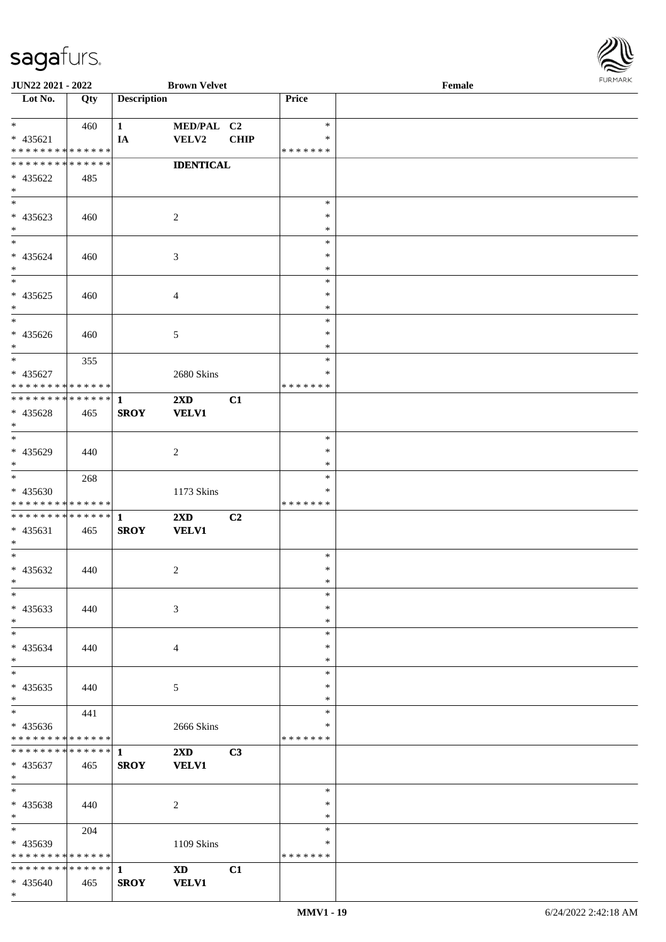

| <b>JUN22 2021 - 2022</b>      |     |                    | <b>Brown Velvet</b>     |             |               | Female |  |
|-------------------------------|-----|--------------------|-------------------------|-------------|---------------|--------|--|
| Lot No.                       | Qty | <b>Description</b> |                         |             | Price         |        |  |
|                               |     |                    |                         |             |               |        |  |
| $*$                           | 460 | $\mathbf{1}$       | MED/PAL C2              |             | $\ast$        |        |  |
| $* 435621$                    |     | IA                 | <b>VELV2</b>            | <b>CHIP</b> | ∗             |        |  |
| * * * * * * * * * * * * * *   |     |                    |                         |             | * * * * * * * |        |  |
| * * * * * * * * * * * * * *   |     |                    | <b>IDENTICAL</b>        |             |               |        |  |
| * 435622                      | 485 |                    |                         |             |               |        |  |
| $*$                           |     |                    |                         |             |               |        |  |
|                               |     |                    |                         |             | $\ast$        |        |  |
| * 435623                      | 460 |                    | $\overline{c}$          |             | $\ast$        |        |  |
| $*$                           |     |                    |                         |             | $\ast$        |        |  |
| $*$                           |     |                    |                         |             | $\ast$        |        |  |
| $* 435624$                    | 460 |                    | 3                       |             | $\ast$        |        |  |
| $*$                           |     |                    |                         |             | $\ast$        |        |  |
|                               |     |                    |                         |             | $\ast$        |        |  |
| $* 435625$                    | 460 |                    | $\overline{4}$          |             | $\ast$        |        |  |
| $*$                           |     |                    |                         |             | $\ast$        |        |  |
| $*$                           |     |                    |                         |             | $\ast$        |        |  |
| * 435626                      | 460 |                    | 5                       |             | $\ast$        |        |  |
| $*$                           |     |                    |                         |             | $\ast$        |        |  |
| $*$                           | 355 |                    |                         |             | $\ast$        |        |  |
| $* 435627$                    |     |                    | 2680 Skins              |             | ∗             |        |  |
| * * * * * * * * * * * * * * * |     |                    |                         |             | * * * * * * * |        |  |
| ************** 1              |     |                    | $2\mathbf{X}\mathbf{D}$ | C1          |               |        |  |
|                               |     |                    |                         |             |               |        |  |
| * 435628<br>$\ast$            | 465 | <b>SROY</b>        | <b>VELV1</b>            |             |               |        |  |
| $*$                           |     |                    |                         |             | $\ast$        |        |  |
|                               |     |                    |                         |             | $\ast$        |        |  |
| * 435629                      | 440 |                    | $\overline{c}$          |             | $\ast$        |        |  |
| $*$                           |     |                    |                         |             |               |        |  |
|                               | 268 |                    |                         |             | $\ast$        |        |  |
| * 435630                      |     |                    | 1173 Skins              |             | ∗             |        |  |
| * * * * * * * * * * * * * *   |     |                    |                         |             | * * * * * * * |        |  |
|                               |     |                    | $2\mathbf{X}\mathbf{D}$ | C2          |               |        |  |
| * 435631                      | 465 | <b>SROY</b>        | <b>VELV1</b>            |             |               |        |  |
| $*$<br>$*$                    |     |                    |                         |             |               |        |  |
|                               |     |                    |                         |             | $\ast$        |        |  |
| * 435632                      | 440 |                    | $\overline{c}$          |             | $\ast$        |        |  |
| $*$                           |     |                    |                         |             | $\ast$        |        |  |
| $*$                           |     |                    |                         |             | $\ast$        |        |  |
| * 435633                      | 440 |                    | 3                       |             | $\ast$        |        |  |
| $*$                           |     |                    |                         |             | $\ast$        |        |  |
| $*$                           |     |                    |                         |             | $\ast$        |        |  |
| * 435634                      | 440 |                    | 4                       |             | ∗             |        |  |
| $*$                           |     |                    |                         |             | $\ast$        |        |  |
| $*$                           |     |                    |                         |             | $\ast$        |        |  |
| $* 435635$                    | 440 |                    | 5                       |             | $\ast$        |        |  |
| $*$                           |     |                    |                         |             | $\ast$        |        |  |
| $*$                           | 441 |                    |                         |             | $\ast$        |        |  |
| * 435636                      |     |                    | 2666 Skins              |             | ∗             |        |  |
| * * * * * * * * * * * * * *   |     |                    |                         |             | *******       |        |  |
|                               |     |                    | $2\mathbf{X}\mathbf{D}$ | C3          |               |        |  |
| * 435637                      | 465 | <b>SROY</b>        | <b>VELV1</b>            |             |               |        |  |
| $*$                           |     |                    |                         |             |               |        |  |
| $*$                           |     |                    |                         |             | $\ast$        |        |  |
| * 435638                      | 440 |                    | 2                       |             | $\ast$        |        |  |
| $*$                           |     |                    |                         |             | $\ast$        |        |  |
| $*$                           | 204 |                    |                         |             | $\ast$        |        |  |
| * 435639                      |     |                    | 1109 Skins              |             | ∗             |        |  |
| * * * * * * * * * * * * * *   |     |                    |                         |             | * * * * * * * |        |  |
|                               |     |                    | <b>XD</b>               | C1          |               |        |  |
| * 435640                      | 465 | <b>SROY</b>        | <b>VELV1</b>            |             |               |        |  |
| $\ast$                        |     |                    |                         |             |               |        |  |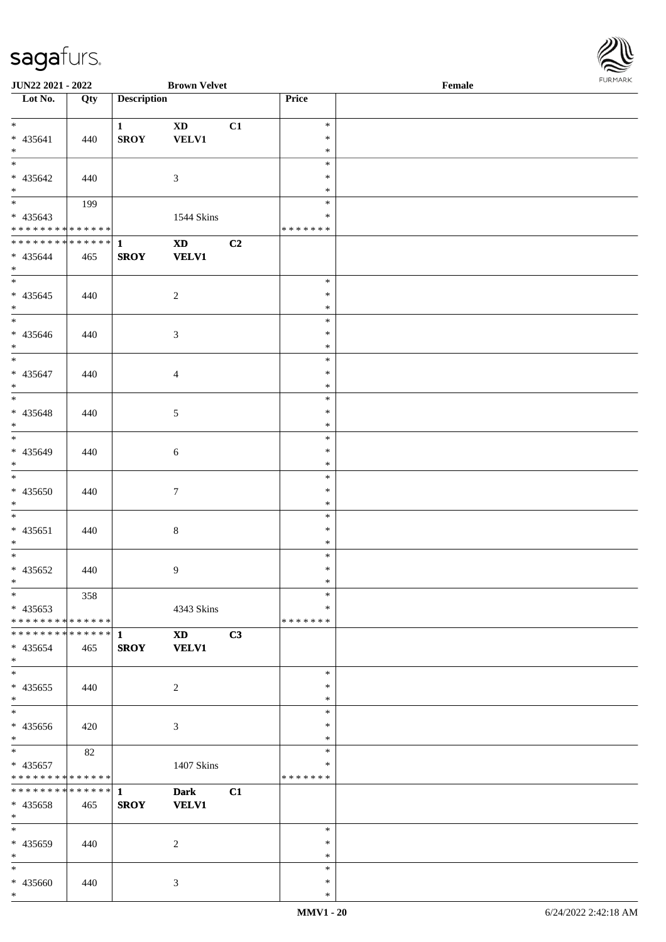| Lot No.                                          | Qty | <b>Description</b>     |                                        |    | Price            |  |
|--------------------------------------------------|-----|------------------------|----------------------------------------|----|------------------|--|
| $*$                                              |     | $1 \quad \blacksquare$ | $\mathbf{X}\mathbf{D}$                 | C1 | $\ast$           |  |
| $* 435641$                                       | 440 | <b>SROY</b>            | VELV1                                  |    | $\ast$           |  |
| $*$                                              |     |                        |                                        |    | $\ast$           |  |
| $\overline{\phantom{0}}$                         |     |                        |                                        |    | $\ast$           |  |
| $* 435642$                                       | 440 |                        | $\mathfrak{Z}$                         |    | $\ast$           |  |
| $*$<br>$\begin{array}{c c}\n\hline\n\end{array}$ |     |                        |                                        |    | $\ast$           |  |
| $* 435643$                                       | 199 |                        | 1544 Skins                             |    | $\ast$<br>$\ast$ |  |
| * * * * * * * * * * * * * * *                    |     |                        |                                        |    | * * * * * * *    |  |
| ************** 1                                 |     |                        | XD <sub>2</sub>                        | C2 |                  |  |
| $* 435644$                                       | 465 | <b>SROY</b>            | <b>VELV1</b>                           |    |                  |  |
| $*$                                              |     |                        |                                        |    |                  |  |
| $\overline{\phantom{0}}$                         |     |                        |                                        |    | $\ast$           |  |
| $* 435645$<br>$*$                                | 440 |                        | $\overline{2}$                         |    | $\ast$<br>$\ast$ |  |
| $\overline{\phantom{0}}$                         |     |                        |                                        |    | $\ast$           |  |
| $* 435646$                                       | 440 |                        | $\mathfrak{Z}$                         |    | $\ast$           |  |
| $*$                                              |     |                        |                                        |    | $\ast$           |  |
| $\overline{\phantom{0}}$                         |     |                        |                                        |    | $\ast$           |  |
| $* 435647$                                       | 440 |                        | $\overline{4}$                         |    | $\ast$           |  |
| $*$<br>$\overline{\phantom{a}^*}$                |     |                        |                                        |    | $\ast$           |  |
|                                                  |     |                        |                                        |    | $\ast$           |  |
| * 435648<br>$*$                                  | 440 |                        | $\mathfrak{S}$                         |    | $\ast$<br>$\ast$ |  |
|                                                  |     |                        |                                        |    | $\ast$           |  |
| * 435649                                         | 440 |                        | 6                                      |    | $\ast$           |  |
| $*$                                              |     |                        |                                        |    | $\ast$           |  |
| $\overline{\phantom{a}^*}$                       |     |                        |                                        |    | $\ast$           |  |
| $* 435650$                                       | 440 |                        | $\boldsymbol{7}$                       |    | $\ast$           |  |
| $*$<br>$\overline{\phantom{0}}$                  |     |                        |                                        |    | $\ast$           |  |
|                                                  |     |                        |                                        |    | $\ast$<br>$\ast$ |  |
| $* 435651$<br>$*$                                | 440 |                        | $8\,$                                  |    | $\ast$           |  |
| $\ast$                                           |     |                        |                                        |    | $\ast$           |  |
| $* 435652$                                       | 440 |                        | $\overline{9}$                         |    | $\ast$           |  |
| $*$                                              |     |                        |                                        |    | $\ast$           |  |
| $*$                                              | 358 |                        |                                        |    | $\ast$           |  |
| $* 435653$                                       |     |                        | 4343 Skins                             |    | $\ast$           |  |
| **************                                   |     |                        |                                        |    | * * * * * * *    |  |
| $* 435654$                                       | 465 | <b>SROY</b>            | $\mathbf{X}\mathbf{D}$<br><b>VELV1</b> | C3 |                  |  |
| $*$                                              |     |                        |                                        |    |                  |  |
| $\ast$                                           |     |                        |                                        |    | $\ast$           |  |
| $* 435655$                                       | 440 |                        | $\overline{c}$                         |    | ∗                |  |
| $\ast$                                           |     |                        |                                        |    | $\ast$           |  |
| $\ast$                                           |     |                        |                                        |    | $\ast$           |  |
| $* 435656$<br>$*$                                | 420 |                        | $\mathfrak{Z}$                         |    | $\ast$<br>$\ast$ |  |
| $_{\ast}^{-}$                                    | 82  |                        |                                        |    | $\ast$           |  |
| * 435657                                         |     |                        | 1407 Skins                             |    | $\ast$           |  |
| * * * * * * * * * * * * * *                      |     |                        |                                        |    | * * * * * * *    |  |
| ******** <mark>******</mark> 1                   |     |                        | <b>Dark</b>                            | C1 |                  |  |
| * 435658                                         | 465 | <b>SROY</b>            | <b>VELV1</b>                           |    |                  |  |
| $*$<br>$\ast$                                    |     |                        |                                        |    | $\ast$           |  |
| * 435659                                         | 440 |                        | $\overline{c}$                         |    | $\ast$           |  |
| $*$                                              |     |                        |                                        |    | $\ast$           |  |
| $\ast$                                           |     |                        |                                        |    | $\ast$           |  |
| * 435660                                         | 440 |                        | $\mathfrak{Z}$                         |    | $\ast$           |  |
| $\ast$                                           |     |                        |                                        |    | $\ast$           |  |

**JUN22 2021 - 2022 Brown Velvet Female**

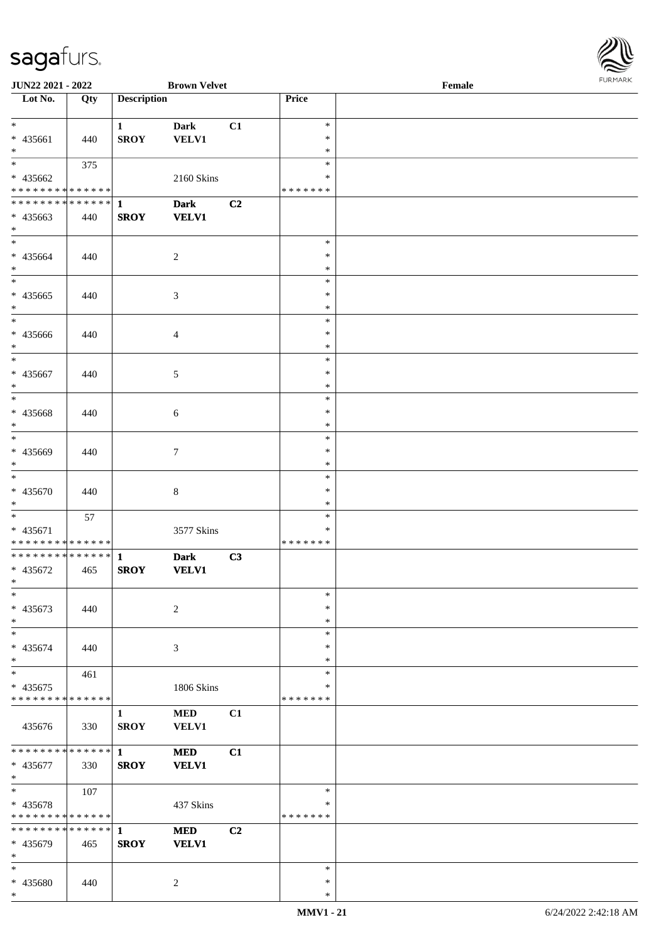

| JUN22 2021 - 2022                          |     |                             | <b>Brown Velvet</b> |                |                  | Female | 1.9151111515 |
|--------------------------------------------|-----|-----------------------------|---------------------|----------------|------------------|--------|--------------|
| Lot No.                                    | Qty | <b>Description</b>          |                     |                | Price            |        |              |
|                                            |     |                             |                     |                |                  |        |              |
| $*$                                        |     | $\mathbf{1}$                | <b>Dark</b>         | C1             | $\ast$           |        |              |
| * 435661                                   | 440 | <b>SROY</b>                 | VELV1               |                | $\ast$           |        |              |
| $*$                                        |     |                             |                     |                | $\ast$           |        |              |
| $*$                                        | 375 |                             |                     |                | $\ast$           |        |              |
| * 435662                                   |     |                             | 2160 Skins          |                | $\ast$           |        |              |
| * * * * * * * * * * * * * *                |     |                             |                     |                | *******          |        |              |
|                                            |     |                             | <b>Dark</b>         | C2             |                  |        |              |
| $* 435663$                                 | 440 | <b>SROY</b>                 | <b>VELV1</b>        |                |                  |        |              |
| $*$                                        |     |                             |                     |                | $\ast$           |        |              |
|                                            |     |                             |                     |                | $\ast$           |        |              |
| * 435664<br>$*$                            | 440 |                             | $\overline{2}$      |                | $\ast$           |        |              |
| $\overline{\ }$                            |     |                             |                     |                | $\ast$           |        |              |
| * 435665                                   | 440 |                             | $\mathfrak{Z}$      |                | $\ast$           |        |              |
| $*$                                        |     |                             |                     |                | $\ast$           |        |              |
| $*$                                        |     |                             |                     |                | $\ast$           |        |              |
| * 435666                                   | 440 |                             | $\overline{4}$      |                | $\ast$           |        |              |
| $*$                                        |     |                             |                     |                | $\ast$           |        |              |
|                                            |     |                             |                     |                | $\ast$           |        |              |
| * 435667                                   | 440 |                             | 5                   |                | $\ast$           |        |              |
| $*$                                        |     |                             |                     |                | $\ast$           |        |              |
| $*$                                        |     |                             |                     |                | $\ast$           |        |              |
| * 435668                                   | 440 |                             | 6                   |                | $\ast$           |        |              |
| $*$                                        |     |                             |                     |                | $\ast$           |        |              |
| $\overline{\phantom{0}}$                   |     |                             |                     |                | $\ast$           |        |              |
| * 435669                                   | 440 |                             | $\tau$              |                | $\ast$           |        |              |
| $*$                                        |     |                             |                     |                | $\ast$           |        |              |
|                                            |     |                             |                     |                | $\ast$<br>$\ast$ |        |              |
| * 435670<br>$*$                            | 440 |                             | $\,8\,$             |                | $\ast$           |        |              |
| $*$                                        | 57  |                             |                     |                | $\ast$           |        |              |
| * 435671                                   |     |                             | 3577 Skins          |                | $\ast$           |        |              |
| * * * * * * * * * * * * * *                |     |                             |                     |                | *******          |        |              |
|                                            |     |                             | <b>Dark</b>         | C3             |                  |        |              |
| * 435672                                   | 465 | <b>SROY</b>                 | <b>VELV1</b>        |                |                  |        |              |
| $*$ $-$                                    |     |                             |                     |                |                  |        |              |
| $\ast$                                     |     |                             |                     |                | $\ast$           |        |              |
| * 435673                                   | 440 |                             | 2                   |                | $\ast$           |        |              |
| $*$                                        |     |                             |                     |                | $\ast$           |        |              |
| $*$                                        |     |                             |                     |                | $\ast$           |        |              |
| * 435674                                   | 440 |                             | 3                   |                | $\ast$           |        |              |
| $*$                                        |     |                             |                     |                | $\ast$           |        |              |
| $*$                                        | 461 |                             |                     |                | $\ast$           |        |              |
| * 435675<br>* * * * * * * * * * * * * *    |     |                             | 1806 Skins          |                | ∗                |        |              |
|                                            |     |                             |                     |                | * * * * * * *    |        |              |
|                                            |     | $\mathbf{1}$<br><b>SROY</b> | <b>MED</b><br>VELV1 | C1             |                  |        |              |
| 435676                                     | 330 |                             |                     |                |                  |        |              |
| * * * * * * * * <mark>* * * * * *</mark> * |     | $\mathbf{1}$                | <b>MED</b>          | C1             |                  |        |              |
| * 435677                                   | 330 | <b>SROY</b>                 | <b>VELV1</b>        |                |                  |        |              |
| $*$                                        |     |                             |                     |                |                  |        |              |
| $*$                                        | 107 |                             |                     |                | $\ast$           |        |              |
| * 435678                                   |     |                             | 437 Skins           |                | ∗                |        |              |
| * * * * * * * * * * * * * *                |     |                             |                     |                | *******          |        |              |
| * * * * * * * * * * * * * * <mark>*</mark> |     | $\mathbf{1}$                | <b>MED</b>          | C <sub>2</sub> |                  |        |              |
| * 435679                                   | 465 | <b>SROY</b>                 | <b>VELV1</b>        |                |                  |        |              |
| $*$                                        |     |                             |                     |                |                  |        |              |
| $\ast$                                     |     |                             |                     |                | $\ast$           |        |              |
| * 435680<br>$*$                            | 440 |                             | 2                   |                | $\ast$<br>$\ast$ |        |              |
|                                            |     |                             |                     |                |                  |        |              |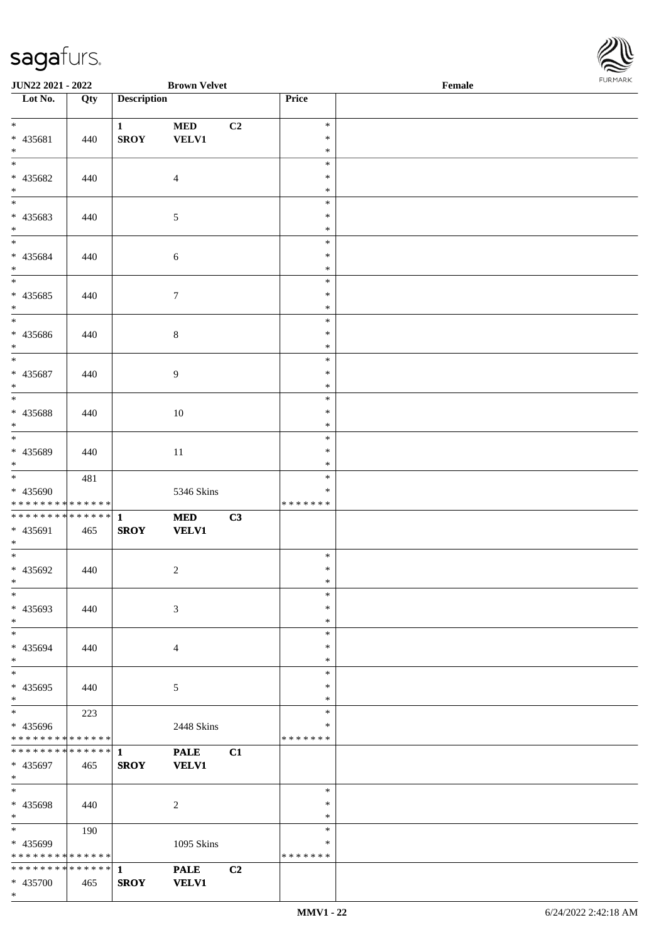

| JUN22 2021 - 2022                          |     |                    | <b>Brown Velvet</b> |    |                  | $\ensuremath{\textnormal{\textbf{Female}}}$ | <b>FUNITANN</b> |
|--------------------------------------------|-----|--------------------|---------------------|----|------------------|---------------------------------------------|-----------------|
| Lot No.                                    | Qty | <b>Description</b> |                     |    | Price            |                                             |                 |
|                                            |     |                    |                     |    |                  |                                             |                 |
| $*$                                        |     | $\mathbf{1}$       | <b>MED</b>          | C2 | $\ast$           |                                             |                 |
| * 435681                                   | 440 | <b>SROY</b>        | <b>VELV1</b>        |    | $\ast$           |                                             |                 |
| $*$                                        |     |                    |                     |    | $\ast$           |                                             |                 |
|                                            |     |                    |                     |    | $\ast$           |                                             |                 |
| * 435682                                   | 440 |                    | $\overline{4}$      |    | $\ast$           |                                             |                 |
| $*$<br>$\frac{1}{1}$                       |     |                    |                     |    | $\ast$           |                                             |                 |
|                                            |     |                    |                     |    | $\ast$           |                                             |                 |
| * 435683                                   | 440 |                    | $\mathfrak{S}$      |    | $\ast$           |                                             |                 |
| $*$                                        |     |                    |                     |    | $\ast$           |                                             |                 |
|                                            |     |                    |                     |    | $\ast$<br>$\ast$ |                                             |                 |
| * 435684<br>$*$                            | 440 |                    | 6                   |    | $\ast$           |                                             |                 |
|                                            |     |                    |                     |    | $\ast$           |                                             |                 |
| * 435685                                   | 440 |                    | $\boldsymbol{7}$    |    | $\ast$           |                                             |                 |
| $*$                                        |     |                    |                     |    | $\ast$           |                                             |                 |
|                                            |     |                    |                     |    | $\ast$           |                                             |                 |
| * 435686                                   | 440 |                    | $8\,$               |    | $\ast$           |                                             |                 |
| $*$                                        |     |                    |                     |    | $\ast$           |                                             |                 |
|                                            |     |                    |                     |    | $\ast$           |                                             |                 |
| * 435687                                   | 440 |                    | $\overline{9}$      |    | $\ast$           |                                             |                 |
| $*$                                        |     |                    |                     |    | $\ast$           |                                             |                 |
|                                            |     |                    |                     |    | $\ast$           |                                             |                 |
| * 435688                                   | 440 |                    | 10                  |    | $\ast$           |                                             |                 |
| $*$                                        |     |                    |                     |    | $\ast$           |                                             |                 |
| $\overline{\phantom{0}}$                   |     |                    |                     |    | $\ast$           |                                             |                 |
| * 435689                                   | 440 |                    | 11                  |    | $\ast$           |                                             |                 |
| $*$                                        |     |                    |                     |    | $\ast$           |                                             |                 |
|                                            | 481 |                    |                     |    | $\ast$           |                                             |                 |
| * 435690                                   |     |                    | 5346 Skins          |    | ∗                |                                             |                 |
| * * * * * * * * * * * * * *                |     |                    |                     |    | * * * * * * *    |                                             |                 |
| * * * * * * * * <mark>* * * * * * *</mark> |     | $\mathbf{1}$       | <b>MED</b>          | C3 |                  |                                             |                 |
| * 435691                                   | 465 | <b>SROY</b>        | <b>VELV1</b>        |    |                  |                                             |                 |
| $*$<br>$*$                                 |     |                    |                     |    | $\ast$           |                                             |                 |
| * 435692                                   |     |                    |                     |    | $\ast$           |                                             |                 |
| $*$ $-$                                    | 440 |                    | $\sqrt{2}$          |    | $\ast$           |                                             |                 |
| $*$                                        |     |                    |                     |    | $\ast$           |                                             |                 |
| * 435693                                   | 440 |                    | 3                   |    | $\ast$           |                                             |                 |
| $*$                                        |     |                    |                     |    | $\ast$           |                                             |                 |
| $*$                                        |     |                    |                     |    | $\ast$           |                                             |                 |
| * 435694                                   | 440 |                    | $\overline{4}$      |    | $\ast$           |                                             |                 |
| $*$                                        |     |                    |                     |    | ∗                |                                             |                 |
| $*$                                        |     |                    |                     |    | $\ast$           |                                             |                 |
| * 435695                                   | 440 |                    | 5                   |    | $\ast$           |                                             |                 |
| $*$                                        |     |                    |                     |    | $\ast$           |                                             |                 |
|                                            | 223 |                    |                     |    | $\ast$           |                                             |                 |
| * 435696                                   |     |                    | 2448 Skins          |    | ∗                |                                             |                 |
| * * * * * * * * * * * * * *                |     |                    |                     |    | *******          |                                             |                 |
| * * * * * * * * * * * * * * <mark>*</mark> |     | $\mathbf{1}$       | <b>PALE</b>         | C1 |                  |                                             |                 |
| * 435697                                   | 465 | <b>SROY</b>        | <b>VELV1</b>        |    |                  |                                             |                 |
| $*$                                        |     |                    |                     |    |                  |                                             |                 |
| $*$                                        |     |                    |                     |    | $\ast$           |                                             |                 |
| * 435698                                   | 440 |                    | $\overline{c}$      |    | $\ast$<br>$\ast$ |                                             |                 |
| $*$<br>$*$                                 |     |                    |                     |    | $\ast$           |                                             |                 |
| * 435699                                   | 190 |                    | 1095 Skins          |    | ∗                |                                             |                 |
| * * * * * * * * * * * * * *                |     |                    |                     |    | *******          |                                             |                 |
| * * * * * * * * * * * * * * <mark>*</mark> |     | $\mathbf{1}$       | <b>PALE</b>         | C2 |                  |                                             |                 |
| * 435700                                   | 465 | <b>SROY</b>        | <b>VELV1</b>        |    |                  |                                             |                 |
| $\ast$                                     |     |                    |                     |    |                  |                                             |                 |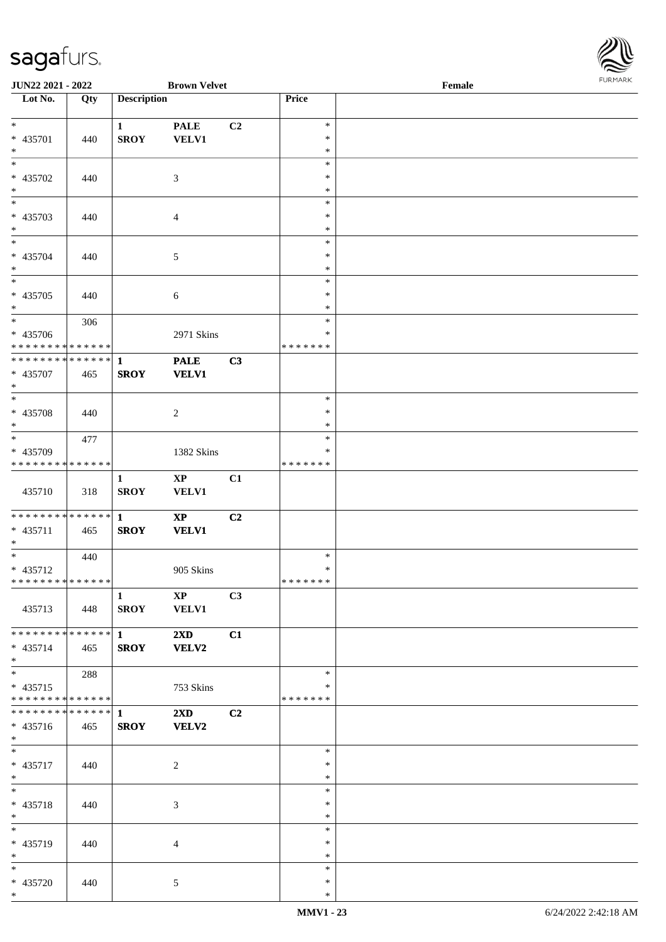

| JUN22 2021 - 2022                          |     |                             | <b>Brown Velvet</b>         |                |                  | $\ensuremath{\textnormal{\textbf{Female}}}$ | <b>FUNITANN</b> |
|--------------------------------------------|-----|-----------------------------|-----------------------------|----------------|------------------|---------------------------------------------|-----------------|
| Lot No.                                    | Qty | <b>Description</b>          |                             |                | Price            |                                             |                 |
| $*$                                        |     |                             |                             |                |                  |                                             |                 |
| * 435701                                   | 440 | $\mathbf{1}$<br><b>SROY</b> | <b>PALE</b><br><b>VELV1</b> | C2             | $\ast$<br>$\ast$ |                                             |                 |
| $*$                                        |     |                             |                             |                | $\ast$           |                                             |                 |
|                                            |     |                             |                             |                | $\ast$           |                                             |                 |
| * 435702                                   | 440 |                             | 3                           |                | $\ast$           |                                             |                 |
| $*$                                        |     |                             |                             |                | $\ast$           |                                             |                 |
| $\frac{1}{1}$                              |     |                             |                             |                | $\ast$           |                                             |                 |
| * 435703                                   | 440 |                             | $\overline{4}$              |                | $\ast$           |                                             |                 |
| $*$                                        |     |                             |                             |                | $\ast$           |                                             |                 |
|                                            |     |                             |                             |                | $\ast$<br>$\ast$ |                                             |                 |
| * 435704<br>$*$                            | 440 |                             | 5                           |                | $\ast$           |                                             |                 |
|                                            |     |                             |                             |                | $\ast$           |                                             |                 |
| * 435705                                   | 440 |                             | $\sqrt{6}$                  |                | $\ast$           |                                             |                 |
| $*$                                        |     |                             |                             |                | $\ast$           |                                             |                 |
| $\overline{\phantom{0}}$                   | 306 |                             |                             |                | $\ast$           |                                             |                 |
| * 435706                                   |     |                             | 2971 Skins                  |                | $\ast$           |                                             |                 |
| * * * * * * * * * * * * * *                |     |                             |                             |                | * * * * * * *    |                                             |                 |
| * * * * * * * * <mark>* * * * * * *</mark> |     | $\mathbf{1}$                | <b>PALE</b>                 | C3             |                  |                                             |                 |
| * 435707<br>$*$                            | 465 | <b>SROY</b>                 | <b>VELV1</b>                |                |                  |                                             |                 |
| $\overline{\phantom{0}}$                   |     |                             |                             |                | $\ast$           |                                             |                 |
| * 435708                                   | 440 |                             | $\overline{c}$              |                | $\ast$           |                                             |                 |
| $*$                                        |     |                             |                             |                | ∗                |                                             |                 |
|                                            | 477 |                             |                             |                | $\ast$           |                                             |                 |
| * 435709                                   |     |                             | 1382 Skins                  |                | ∗                |                                             |                 |
| * * * * * * * * * * * * * *                |     |                             |                             |                | * * * * * * *    |                                             |                 |
|                                            |     | $\mathbf{1}$                | $\mathbf{X}\mathbf{P}$      | C1             |                  |                                             |                 |
| 435710                                     | 318 | <b>SROY</b>                 | <b>VELV1</b>                |                |                  |                                             |                 |
| * * * * * * * * <mark>* * * * * *</mark>   |     | $\mathbf{1}$                | $\mathbf{XP}$               | C2             |                  |                                             |                 |
| * 435711                                   | 465 | <b>SROY</b>                 | <b>VELV1</b>                |                |                  |                                             |                 |
| $*$                                        |     |                             |                             |                |                  |                                             |                 |
|                                            | 440 |                             |                             |                | $\ast$           |                                             |                 |
| * 435712                                   |     |                             | 905 Skins                   |                | $\ast$           |                                             |                 |
| * * * * * * * * <mark>* * * * * * *</mark> |     |                             |                             |                | *******          |                                             |                 |
|                                            |     | 1                           | $\mathbf{XP}$               | C3             |                  |                                             |                 |
| 435713                                     | 448 | <b>SROY</b>                 | <b>VELV1</b>                |                |                  |                                             |                 |
| * * * * * * * * * * * * * * <mark>*</mark> |     | $\mathbf{1}$ $\mathbf{1}$   | $2\mathbf{X}\mathbf{D}$     | C1             |                  |                                             |                 |
| $* 435714$                                 | 465 | <b>SROY</b>                 | <b>VELV2</b>                |                |                  |                                             |                 |
| $*$ and $*$                                |     |                             |                             |                |                  |                                             |                 |
| $*$ $-$                                    | 288 |                             |                             |                | $\ast$           |                                             |                 |
| $* 435715$                                 |     |                             | 753 Skins                   |                | ∗                |                                             |                 |
| * * * * * * * * <mark>* * * * * * *</mark> |     |                             |                             |                | * * * * * * *    |                                             |                 |
|                                            |     |                             | $2\mathbf{X}\mathbf{D}$     | C <sub>2</sub> |                  |                                             |                 |
| $* 435716$                                 | 465 | <b>SROY</b>                 | <b>VELV2</b>                |                |                  |                                             |                 |
| $*$ $-$<br>$*$                             |     |                             |                             |                | $\ast$           |                                             |                 |
| * 435717                                   | 440 |                             | 2                           |                | $\ast$           |                                             |                 |
| $*$                                        |     |                             |                             |                | $\ast$           |                                             |                 |
| $*$                                        |     |                             |                             |                | $\ast$           |                                             |                 |
| * 435718                                   | 440 |                             | 3                           |                | $\ast$           |                                             |                 |
| $*$                                        |     |                             |                             |                | $\ast$           |                                             |                 |
| $*$                                        |     |                             |                             |                | $\ast$           |                                             |                 |
| * 435719                                   | 440 |                             | $\overline{4}$              |                | $\ast$           |                                             |                 |
| $*$                                        |     |                             |                             |                | $\ast$<br>$\ast$ |                                             |                 |
| $*$ $-$<br>* 435720                        | 440 |                             |                             |                | $\ast$           |                                             |                 |
| $*$                                        |     |                             | 5                           |                | $\ast$           |                                             |                 |
|                                            |     |                             |                             |                |                  |                                             |                 |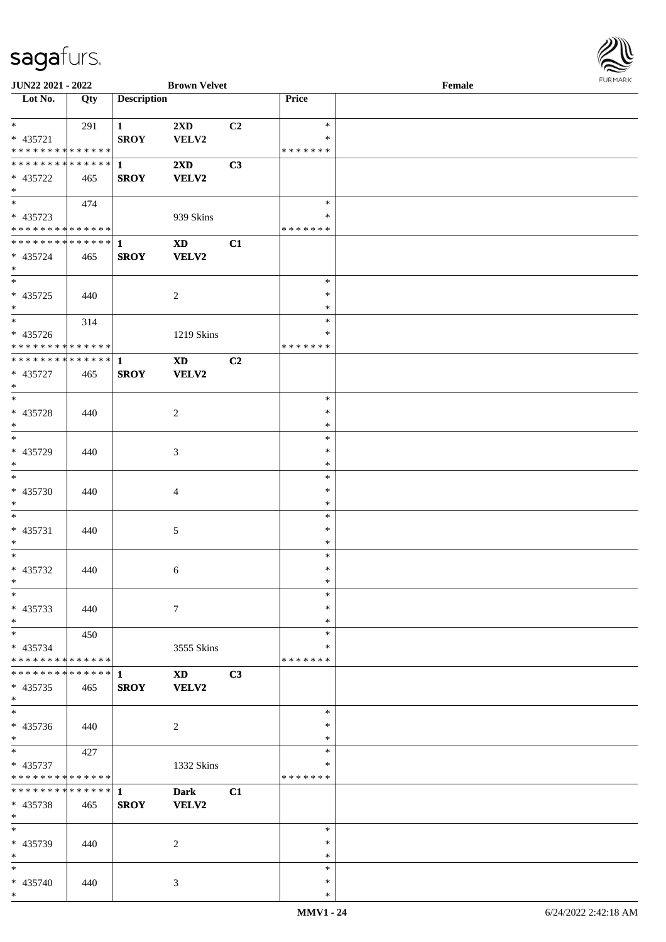

| JUN22 2021 - 2022             |     |                    | <b>Brown Velvet</b>    |                |               | Female |
|-------------------------------|-----|--------------------|------------------------|----------------|---------------|--------|
| Lot No.                       | Qty | <b>Description</b> |                        |                | Price         |        |
|                               |     |                    |                        |                |               |        |
| $*$                           | 291 | $\mathbf{1}$       | 2XD                    | C <sub>2</sub> | $\ast$        |        |
| * 435721                      |     | <b>SROY</b>        | VELV2                  |                | $\ast$        |        |
| * * * * * * * * * * * * * *   |     |                    |                        |                | *******       |        |
|                               |     |                    |                        |                |               |        |
| * * * * * * * * * * * * * * * |     | $\mathbf{1}$       | 2XD                    | C3             |               |        |
| * 435722                      | 465 | <b>SROY</b>        | <b>VELV2</b>           |                |               |        |
| $*$                           |     |                    |                        |                |               |        |
|                               | 474 |                    |                        |                | $\ast$        |        |
| $* 435723$                    |     |                    | 939 Skins              |                | $\ast$        |        |
| * * * * * * * * * * * * * *   |     |                    |                        |                | * * * * * * * |        |
|                               |     |                    |                        |                |               |        |
| * * * * * * * * * * * * * * * |     | $\mathbf{1}$       | $\mathbf{X}\mathbf{D}$ | C1             |               |        |
| * 435724                      | 465 | <b>SROY</b>        | VELV2                  |                |               |        |
| $*$                           |     |                    |                        |                |               |        |
| $\overline{\phantom{0}}$      |     |                    |                        |                | $\ast$        |        |
| $* 435725$                    | 440 |                    | $\sqrt{2}$             |                | $\ast$        |        |
| $*$                           |     |                    |                        |                | $\ast$        |        |
| $\overline{\ast}$             |     |                    |                        |                | $\ast$        |        |
|                               | 314 |                    |                        |                |               |        |
| $* 435726$                    |     |                    | 1219 Skins             |                | $\ast$        |        |
| * * * * * * * * * * * * * *   |     |                    |                        |                | *******       |        |
| ******** <mark>******</mark>  |     | $\mathbf{1}$       | <b>XD</b>              | C2             |               |        |
| * 435727                      | 465 | <b>SROY</b>        | <b>VELV2</b>           |                |               |        |
| $*$                           |     |                    |                        |                |               |        |
| $*$                           |     |                    |                        |                | $\ast$        |        |
|                               |     |                    |                        |                |               |        |
| * 435728                      | 440 |                    | 2                      |                | $\ast$        |        |
| $\ast$                        |     |                    |                        |                | $\ast$        |        |
| $\overline{\ast}$             |     |                    |                        |                | $\ast$        |        |
| * 435729                      | 440 |                    | 3                      |                | $\ast$        |        |
| $*$                           |     |                    |                        |                | $\ast$        |        |
| $*$                           |     |                    |                        |                | $\ast$        |        |
|                               |     |                    |                        |                | $\ast$        |        |
| $* 435730$                    | 440 |                    | 4                      |                |               |        |
| $*$                           |     |                    |                        |                | $\ast$        |        |
| $*$                           |     |                    |                        |                | $\ast$        |        |
| $* 435731$                    | 440 |                    | 5                      |                | $\ast$        |        |
| $*$                           |     |                    |                        |                | $\ast$        |        |
| $*$                           |     |                    |                        |                | $\ast$        |        |
| $* 435732$                    | 440 |                    |                        |                | $\ast$        |        |
|                               |     |                    | 6                      |                |               |        |
| $*$                           |     |                    |                        |                | $\ast$        |        |
| $\ast$                        |     |                    |                        |                | $\ast$        |        |
| * 435733                      | 440 |                    | $\tau$                 |                | $\ast$        |        |
| $*$                           |     |                    |                        |                | $\ast$        |        |
| $*$                           | 450 |                    |                        |                | $\ast$        |        |
| * 435734                      |     |                    | 3555 Skins             |                | ∗             |        |
| * * * * * * * * * * * * * * * |     |                    |                        |                | *******       |        |
|                               |     |                    |                        |                |               |        |
| * * * * * * * * * * * * * * * |     | -1                 | <b>XD</b>              | C3             |               |        |
| $* 435735$                    | 465 | <b>SROY</b>        | VELV2                  |                |               |        |
| $*$                           |     |                    |                        |                |               |        |
| $\overline{\phantom{0}}$      |     |                    |                        |                | $\ast$        |        |
| * 435736                      | 440 |                    | 2                      |                | $\ast$        |        |
|                               |     |                    |                        |                |               |        |
| $*$                           |     |                    |                        |                | $\ast$        |        |
| $*$                           | 427 |                    |                        |                | $\ast$        |        |
| * 435737                      |     |                    | 1332 Skins             |                | $\ast$        |        |
| * * * * * * * * * * * * * *   |     |                    |                        |                | *******       |        |
| * * * * * * * * * * * * * * * |     | $\mathbf{1}$       | <b>Dark</b>            | C1             |               |        |
| $* 435738$                    | 465 | <b>SROY</b>        | VELV2                  |                |               |        |
| $*$                           |     |                    |                        |                |               |        |
|                               |     |                    |                        |                |               |        |
| $*$                           |     |                    |                        |                | $\ast$        |        |
| * 435739                      | 440 |                    | 2                      |                | $\ast$        |        |
| $*$                           |     |                    |                        |                | $\ast$        |        |
| $*$                           |     |                    |                        |                | $\ast$        |        |
| * 435740                      | 440 |                    | 3                      |                | $\ast$        |        |
| $*$                           |     |                    |                        |                | $\ast$        |        |
|                               |     |                    |                        |                |               |        |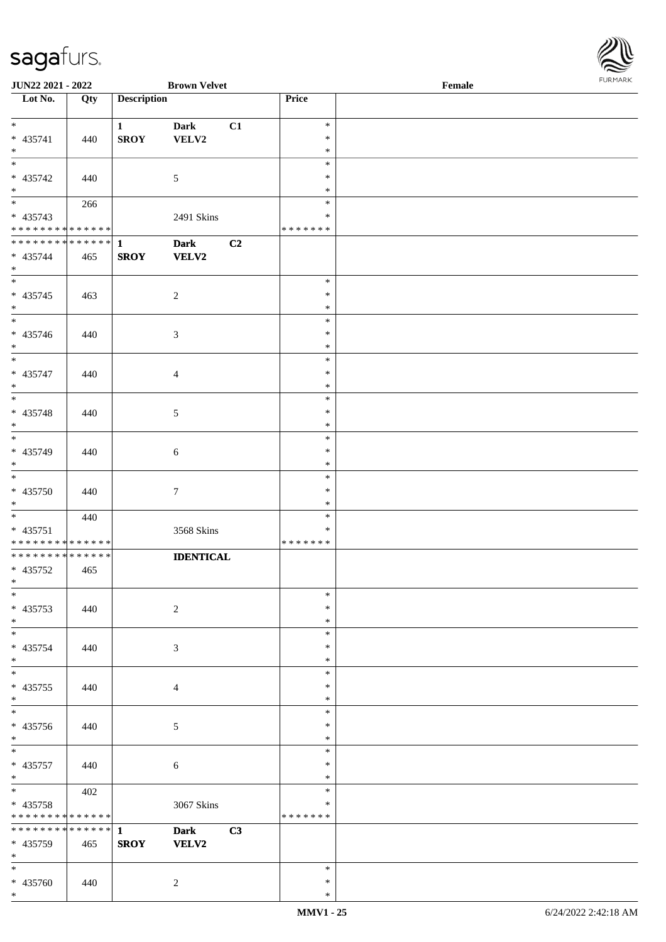\* 435741 | 440

\*

\*

\*

**JUN22 2021 - 2022 Brown Velvet** 

**Lot No. Qty Description** 

|                    |                             |                  |                                             | FURMARK |
|--------------------|-----------------------------|------------------|---------------------------------------------|---------|
|                    | <b>Brown Velvet</b>         | Price            | $\ensuremath{\textnormal{\textbf{Female}}}$ |         |
| <b>Description</b> |                             |                  |                                             |         |
| $\mathbf{1}$       | Dark<br>C1                  | $\ast$           |                                             |         |
| <b>SROY</b>        | VELV2                       | $\ast$           |                                             |         |
|                    |                             | $\ast$           |                                             |         |
|                    |                             | $\ast$           |                                             |         |
|                    | $\sqrt{5}$                  | $\ast$           |                                             |         |
|                    |                             | $\ast$           |                                             |         |
|                    |                             | $\ast$           |                                             |         |
|                    | 2491 Skins                  | $\ast$           |                                             |         |
|                    |                             | * * * * * * *    |                                             |         |
| $\mathbf{1}$       | C2<br>Dark                  |                  |                                             |         |
| <b>SROY</b>        | <b>VELV2</b>                |                  |                                             |         |
|                    |                             | $\ast$           |                                             |         |
|                    | $\sqrt{2}$                  | $\ast$           |                                             |         |
|                    |                             | $\ast$           |                                             |         |
|                    |                             | $\ast$           |                                             |         |
|                    | $\ensuremath{\mathfrak{Z}}$ | $\ast$           |                                             |         |
|                    |                             | $\ast$           |                                             |         |
|                    |                             | $\ast$           |                                             |         |
|                    | $\overline{4}$              | $\ast$           |                                             |         |
|                    |                             | $\ast$           |                                             |         |
|                    |                             | $\ast$           |                                             |         |
|                    | $\sqrt{5}$                  | $\ast$           |                                             |         |
|                    |                             | $\ast$           |                                             |         |
|                    |                             | $\ast$           |                                             |         |
|                    | $\sqrt{6}$                  | $\ast$           |                                             |         |
|                    |                             | $\ast$           |                                             |         |
|                    |                             | $\ast$<br>$\ast$ |                                             |         |
|                    | $\boldsymbol{7}$            | $\ast$           |                                             |         |
|                    |                             | $\ast$           |                                             |         |
|                    | 3568 Skins                  | $\ast$           |                                             |         |
|                    |                             | * * * * * * *    |                                             |         |
|                    | <b>IDENTICAL</b>            |                  |                                             |         |
|                    |                             |                  |                                             |         |
|                    |                             |                  |                                             |         |
|                    |                             | $\ast$           |                                             |         |
|                    | $\sqrt{2}$                  | $\ast$           |                                             |         |
|                    |                             | $\ast$           |                                             |         |
|                    |                             | $\ast$           |                                             |         |
|                    | $\sqrt{3}$                  | $\ast$           |                                             |         |
|                    |                             | $\ast$<br>$\ast$ |                                             |         |
|                    |                             | $\ast$           |                                             |         |
|                    | $\overline{4}$              | $\ast$           |                                             |         |

|                                     |     |              |                  |    | <b>MMV1 - 25</b> | 6/24/2022 2:42:18 AM |
|-------------------------------------|-----|--------------|------------------|----|------------------|----------------------|
| * 435760<br>$\ast$                  | 440 |              | $\overline{c}$   |    | ∗<br>$\ast$      |                      |
| * 435759<br>$\ast$<br>$\frac{1}{1}$ | 465 | <b>SROY</b>  | <b>VELV2</b>     |    | $\ast$           |                      |
| * * * * * * * * * * * * * * *       |     | $\mathbf{1}$ | <b>Dark</b>      | C3 |                  |                      |
| * * * * * * * * * * * * * *         |     |              |                  |    | * * * * * * *    |                      |
| * 435758                            |     |              | 3067 Skins       |    | $\ast$           |                      |
| $\ast$                              | 402 |              |                  |    | $\ast$           |                      |
| $* 435757$<br>$*$                   | 440 |              | 6                |    | *<br>$\ast$      |                      |
| $\frac{1}{1}$                       |     |              |                  |    | $\ast$           |                      |
| $\ast$                              |     |              |                  |    | $\ast$           |                      |
| * 435756                            | 440 |              | $\mathfrak{S}$   |    | $\ast$           |                      |
| $\ast$<br>$\ast$                    |     |              |                  |    | *<br>$\ast$      |                      |
| $* 435755$                          | 440 |              | $\overline{4}$   |    | $\ast$           |                      |
| $*$                                 |     |              |                  |    | $\ast$           |                      |
| $*$                                 |     |              |                  |    | $\ast$           |                      |
| * 435754                            | 440 |              | 3                |    | $\ast$<br>*      |                      |
| $*$<br>$*$                          |     |              |                  |    | $\ast$           |                      |
| $* 435753$                          | 440 |              | 2                |    | $\ast$           |                      |
| $*$                                 |     |              |                  |    | $\ast$           |                      |
| * 435752<br>$*$ $*$                 | 465 |              |                  |    |                  |                      |
| ******** <mark>******</mark>        |     |              | <b>IDENTICAL</b> |    |                  |                      |
| **************                      |     |              |                  |    | * * * * * * *    |                      |
| $* 435751$                          |     |              | 3568 Skins       |    | *                |                      |
| $\overline{\phantom{0}}$            | 440 |              |                  |    | *                |                      |
| * 435750<br>$*$                     | 440 |              | $\tau$           |    | $\ast$<br>$\ast$ |                      |
| $\overline{\ast}$                   |     |              |                  |    | $\ast$           |                      |
| $*$                                 |     |              |                  |    | $\ast$           |                      |
| * 435749                            | 440 |              | 6                |    | $\ast$<br>$\ast$ |                      |
| $*$<br>$*$                          |     |              |                  |    | $\ast$           |                      |
| * 435748                            | 440 |              | 5                |    | *                |                      |
| $\overline{\phantom{0}}$            |     |              |                  |    | $\ast$           |                      |
| * 435747<br>$*$                     | 440 |              | $\overline{4}$   |    | $\ast$<br>$\ast$ |                      |
| $\overline{\ast}$                   |     |              |                  |    | $\ast$           |                      |
| $*$                                 |     |              |                  |    | $\ast$           |                      |
| $* 435746$                          | 440 |              | 3                |    | $\ast$           |                      |
| $*$<br>$\overline{\ast}$            |     |              |                  |    | $\ast$<br>$\ast$ |                      |
| $* 435745$                          | 463 |              | $\overline{2}$   |    | *                |                      |
|                                     |     |              |                  |    | $\ast$           |                      |
| $* 435744$<br>$*$                   | 465 | <b>SROY</b>  | <b>VELV2</b>     |    |                  |                      |
| ************** 1                    |     |              | <b>Dark</b>      | C2 |                  |                      |
| ******** <mark>******</mark>        |     |              |                  |    | * * * * * * *    |                      |
| * 435743                            | 266 |              | 2491 Skins       |    | $\ast$<br>$\ast$ |                      |
| $*$<br>$*$                          |     |              |                  |    | $\ast$           |                      |
| $* 435742$                          | 440 |              | 5                |    | $\ast$           |                      |

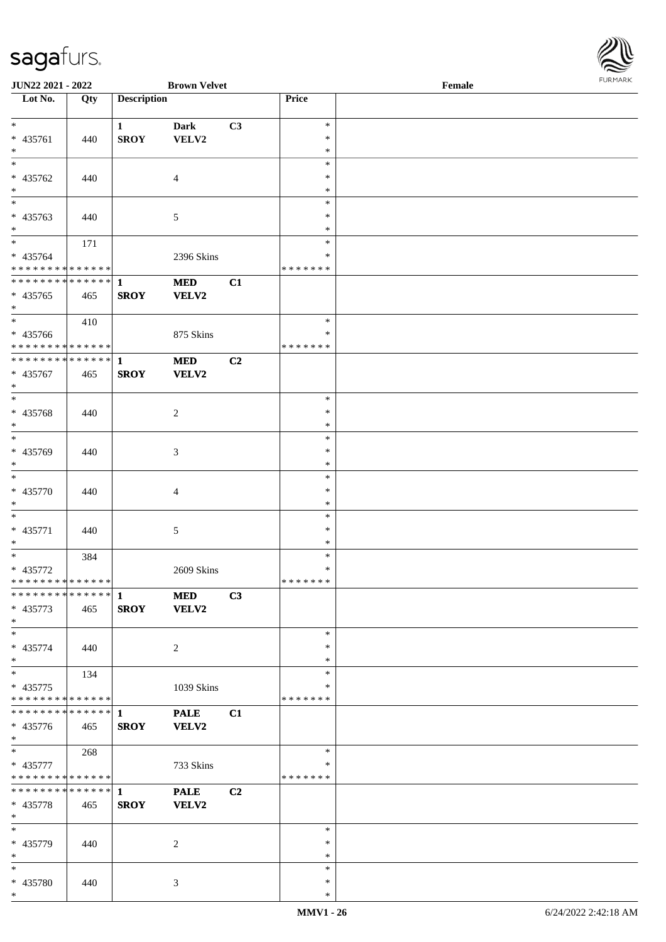

| JUN22 2021 - 2022                          |     |                    | <b>Brown Velvet</b> |                |                         | Female | $1 \times 1$ |
|--------------------------------------------|-----|--------------------|---------------------|----------------|-------------------------|--------|--------------|
| Lot No.                                    | Qty | <b>Description</b> |                     |                | Price                   |        |              |
|                                            |     |                    |                     |                |                         |        |              |
| $*$                                        |     | $\mathbf{1}$       | Dark                | C3             | $\ast$                  |        |              |
| * 435761                                   | 440 | <b>SROY</b>        | VELV2               |                | $\ast$                  |        |              |
| $*$                                        |     |                    |                     |                | $\ast$                  |        |              |
|                                            |     |                    |                     |                | $\ast$<br>$\ast$        |        |              |
| * 435762                                   | 440 |                    | $\overline{4}$      |                |                         |        |              |
| $*$                                        |     |                    |                     |                | $\ast$                  |        |              |
|                                            |     |                    |                     |                | $\ast$                  |        |              |
| * 435763                                   | 440 |                    | $\mathfrak{S}$      |                | $\ast$                  |        |              |
| $\ast$                                     |     |                    |                     |                | $\ast$<br>$\ast$        |        |              |
|                                            | 171 |                    |                     |                |                         |        |              |
| * 435764<br>* * * * * * * * * * * * * *    |     |                    | 2396 Skins          |                | $\ast$<br>* * * * * * * |        |              |
| * * * * * * * * * * * * * * *              |     |                    |                     |                |                         |        |              |
|                                            |     | $\mathbf{1}$       | <b>MED</b>          | C1             |                         |        |              |
| * 435765                                   | 465 | <b>SROY</b>        | VELV2               |                |                         |        |              |
| $*$                                        |     |                    |                     |                | $\ast$                  |        |              |
|                                            | 410 |                    |                     |                | $\ast$                  |        |              |
| * 435766<br>* * * * * * * * * * * * * *    |     |                    | 875 Skins           |                | *******                 |        |              |
| * * * * * * * * <mark>* * * * * * *</mark> |     | $\mathbf{1}$       | <b>MED</b>          | C2             |                         |        |              |
| * 435767                                   | 465 |                    | <b>VELV2</b>        |                |                         |        |              |
| $*$                                        |     | <b>SROY</b>        |                     |                |                         |        |              |
|                                            |     |                    |                     |                | $\ast$                  |        |              |
| * 435768                                   |     |                    |                     |                | $\ast$                  |        |              |
| $*$                                        | 440 |                    | 2                   |                | $\ast$                  |        |              |
|                                            |     |                    |                     |                | $\ast$                  |        |              |
| * 435769                                   | 440 |                    | 3                   |                | $\ast$                  |        |              |
| $*$                                        |     |                    |                     |                | $\ast$                  |        |              |
| $\overline{\phantom{0}}$                   |     |                    |                     |                | $\ast$                  |        |              |
| * 435770                                   | 440 |                    | 4                   |                | $\ast$                  |        |              |
| $\ast$                                     |     |                    |                     |                | $\ast$                  |        |              |
| $\overline{\phantom{0}}$                   |     |                    |                     |                | $\ast$                  |        |              |
| * 435771                                   | 440 |                    | $\mathfrak{S}$      |                | $\ast$                  |        |              |
| $*$                                        |     |                    |                     |                | $\ast$                  |        |              |
|                                            | 384 |                    |                     |                | $\ast$                  |        |              |
| * 435772                                   |     |                    | 2609 Skins          |                | $\ast$                  |        |              |
| * * * * * * * * * * * * * * *              |     |                    |                     |                | *******                 |        |              |
| * * * * * * * * * * * * * * <mark>*</mark> |     | $\mathbf{1}$       | <b>MED</b>          | C3             |                         |        |              |
| * 435773                                   | 465 | <b>SROY</b>        | VELV2               |                |                         |        |              |
| $*$                                        |     |                    |                     |                |                         |        |              |
| $*$                                        |     |                    |                     |                | $\ast$                  |        |              |
| * 435774                                   | 440 |                    | 2                   |                | ∗                       |        |              |
| $*$                                        |     |                    |                     |                | $\ast$                  |        |              |
| $*$                                        | 134 |                    |                     |                | $\ast$                  |        |              |
| * 435775                                   |     |                    | 1039 Skins          |                | ∗                       |        |              |
| * * * * * * * * <mark>* * * * * * *</mark> |     |                    |                     |                | *******                 |        |              |
| * * * * * * * * * * * * * * <mark>*</mark> |     | 1                  | <b>PALE</b>         | C1             |                         |        |              |
| * 435776                                   | 465 | <b>SROY</b>        | VELV2               |                |                         |        |              |
| $*$                                        |     |                    |                     |                |                         |        |              |
| $\overline{\phantom{0}}$                   | 268 |                    |                     |                | $\ast$                  |        |              |
| * 435777                                   |     |                    | 733 Skins           |                | ∗                       |        |              |
| * * * * * * * * * * * * * *                |     |                    |                     |                | * * * * * * *           |        |              |
|                                            |     |                    | <b>PALE</b>         | C <sub>2</sub> |                         |        |              |
| * 435778                                   | 465 | <b>SROY</b>        | <b>VELV2</b>        |                |                         |        |              |
| $*$                                        |     |                    |                     |                |                         |        |              |
| $*$                                        |     |                    |                     |                | $\ast$                  |        |              |
| * 435779                                   | 440 |                    | 2                   |                | $\ast$                  |        |              |
| $*$                                        |     |                    |                     |                | $\ast$                  |        |              |
| $*$                                        |     |                    |                     |                | $\ast$                  |        |              |
| * 435780                                   | 440 |                    | 3                   |                | $\ast$                  |        |              |
| $*$                                        |     |                    |                     |                | $\ast$                  |        |              |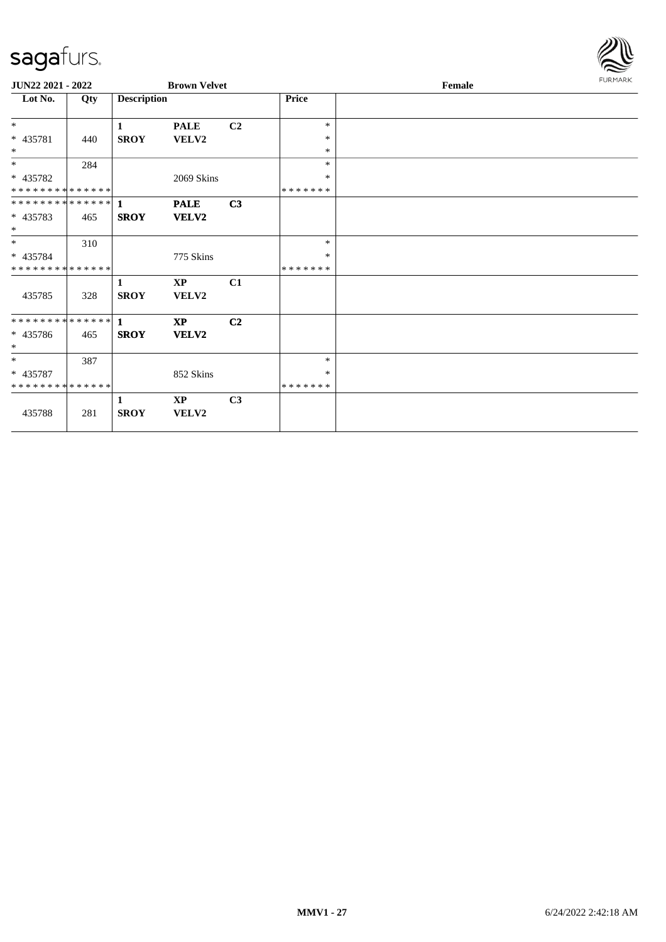

| JUN22 2021 - 2022           |     |                    | <b>Brown Velvet</b>    |                |               | Female | <b>FURMARK</b> |
|-----------------------------|-----|--------------------|------------------------|----------------|---------------|--------|----------------|
| $\overline{\text{Lot No.}}$ | Qty | <b>Description</b> |                        |                | Price         |        |                |
| $\ast$                      |     | $\mathbf{1}$       | <b>PALE</b>            | C <sub>2</sub> | $\ast$        |        |                |
| * 435781                    | 440 | <b>SROY</b>        | <b>VELV2</b>           |                | $\ast$        |        |                |
| $*$                         |     |                    |                        |                | $\ast$        |        |                |
| $\overline{\phantom{0}}$    | 284 |                    |                        |                | $\ast$        |        |                |
| * 435782                    |     |                    | 2069 Skins             |                | $\ast$        |        |                |
| **************              |     |                    |                        |                | *******       |        |                |
|                             |     |                    | <b>PALE</b>            | C3             |               |        |                |
| * 435783                    | 465 | <b>SROY</b>        | <b>VELV2</b>           |                |               |        |                |
| $\ast$                      |     |                    |                        |                |               |        |                |
| $*$                         | 310 |                    |                        |                | $\ast$        |        |                |
| * 435784                    |     |                    | 775 Skins              |                | $\ast$        |        |                |
| * * * * * * * * * * * * * * |     |                    |                        |                | *******       |        |                |
|                             |     | 1                  | $\mathbf{X}\mathbf{P}$ | C1             |               |        |                |
| 435785                      | 328 | <b>SROY</b>        | VELV2                  |                |               |        |                |
|                             |     |                    | <b>XP</b>              | C2             |               |        |                |
| * 435786                    | 465 | <b>SROY</b>        | <b>VELV2</b>           |                |               |        |                |
| $*$                         |     |                    |                        |                |               |        |                |
| $\ast$                      | 387 |                    |                        |                | $\ast$        |        |                |
| * 435787                    |     |                    | 852 Skins              |                | $\ast$        |        |                |
| **************              |     |                    |                        |                | * * * * * * * |        |                |
|                             |     | 1                  | XP                     | C <sub>3</sub> |               |        |                |
| 435788                      | 281 | <b>SROY</b>        | VELV2                  |                |               |        |                |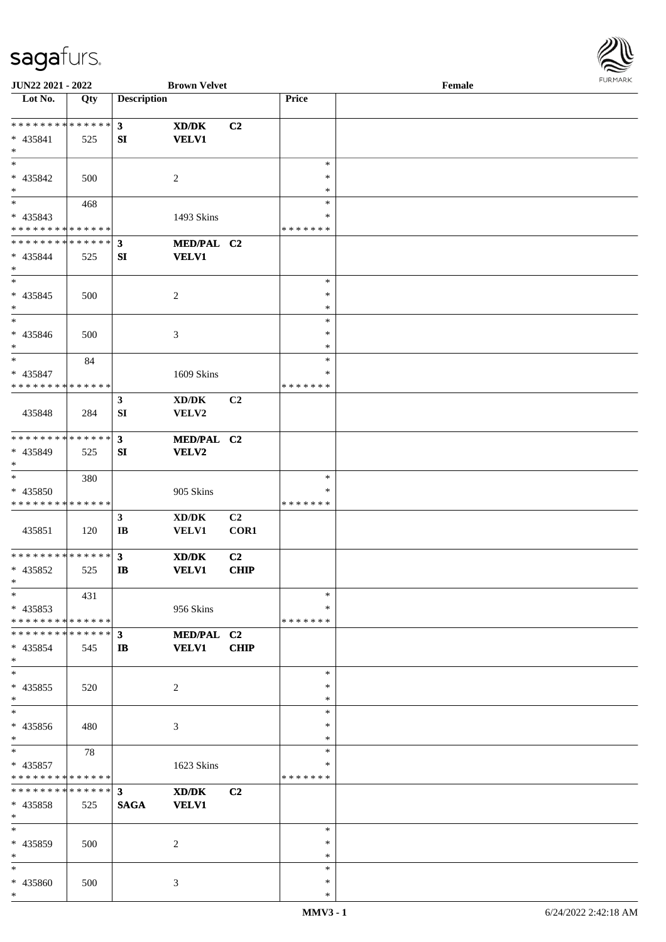

| JUN22 2021 - 2022             |     |                        | <b>Brown Velvet</b>                         |                |               | Female |  |
|-------------------------------|-----|------------------------|---------------------------------------------|----------------|---------------|--------|--|
| Lot No.                       | Qty | <b>Description</b>     |                                             |                | Price         |        |  |
|                               |     |                        |                                             |                |               |        |  |
| * * * * * * * * * * * * * * * |     | 3                      | XD/DK                                       | C2             |               |        |  |
| $* 435841$                    | 525 | SI                     | <b>VELV1</b>                                |                |               |        |  |
| $*$                           |     |                        |                                             |                |               |        |  |
| $\ast$                        |     |                        |                                             |                | $\ast$        |        |  |
|                               |     |                        |                                             |                | ∗             |        |  |
| * 435842                      | 500 |                        | 2                                           |                |               |        |  |
| $*$                           |     |                        |                                             |                | $\ast$        |        |  |
| $\overline{\ast}$             | 468 |                        |                                             |                | $\ast$        |        |  |
| * 435843                      |     |                        | 1493 Skins                                  |                | $\ast$        |        |  |
| * * * * * * * * * * * * * *   |     |                        |                                             |                | * * * * * * * |        |  |
| * * * * * * * * * * * * * *   |     | $\mathbf{3}$           | MED/PAL C2                                  |                |               |        |  |
| * 435844                      | 525 | SI                     | <b>VELV1</b>                                |                |               |        |  |
| $*$                           |     |                        |                                             |                |               |        |  |
| $*$                           |     |                        |                                             |                | $\ast$        |        |  |
|                               |     |                        |                                             |                | $\ast$        |        |  |
| $* 435845$                    | 500 |                        | $\boldsymbol{2}$                            |                |               |        |  |
| $*$                           |     |                        |                                             |                | $\ast$        |        |  |
| $\ast$                        |     |                        |                                             |                | $\ast$        |        |  |
| $* 435846$                    | 500 |                        | 3                                           |                | $\ast$        |        |  |
| $*$                           |     |                        |                                             |                | $\ast$        |        |  |
| $\ast$                        | 84  |                        |                                             |                | $\ast$        |        |  |
| $* 435847$                    |     |                        | 1609 Skins                                  |                | ∗             |        |  |
| * * * * * * * * * * * * * *   |     |                        |                                             |                | * * * * * * * |        |  |
|                               |     |                        |                                             |                |               |        |  |
|                               |     | $\mathbf{3}$           | XD/DK                                       | C2             |               |        |  |
| 435848                        | 284 | SI                     | VELV2                                       |                |               |        |  |
|                               |     |                        |                                             |                |               |        |  |
| * * * * * * * * * * * * * *   |     | 3 <sup>1</sup>         | MED/PAL C2                                  |                |               |        |  |
| * 435849                      | 525 | SI                     | VELV2                                       |                |               |        |  |
| $*$                           |     |                        |                                             |                |               |        |  |
| $\ast$                        | 380 |                        |                                             |                | $\ast$        |        |  |
| * 435850                      |     |                        | 905 Skins                                   |                | ∗             |        |  |
| * * * * * * * * * * * * * *   |     |                        |                                             |                | * * * * * * * |        |  |
|                               |     |                        |                                             |                |               |        |  |
|                               |     | $\mathbf{3}$           | $\bold{X}\bold{D}/\bold{D}\bold{K}$         | C2             |               |        |  |
| 435851                        | 120 | $\mathbf{I}\mathbf{B}$ | <b>VELV1</b>                                | COR1           |               |        |  |
|                               |     |                        |                                             |                |               |        |  |
| * * * * * * * * * * * * * * * |     | $\mathbf{3}$           | XD/DK                                       | C <sub>2</sub> |               |        |  |
| * 435852                      | 525 | $\mathbf{I}$ <b>B</b>  | <b>VELV1</b>                                | <b>CHIP</b>    |               |        |  |
| $*$                           |     |                        |                                             |                |               |        |  |
| $*$                           | 431 |                        |                                             |                | $\ast$        |        |  |
| $* 435853$                    |     |                        | 956 Skins                                   |                | ∗             |        |  |
| * * * * * * * * * * * * * * * |     |                        |                                             |                | * * * * * * * |        |  |
| * * * * * * * * * * * * * * * |     | $\mathbf{3}$           | MED/PAL C2                                  |                |               |        |  |
|                               |     |                        |                                             |                |               |        |  |
| $* 435854$                    | 545 | $\mathbf{I}$           | <b>VELV1</b>                                | <b>CHIP</b>    |               |        |  |
| $*$                           |     |                        |                                             |                |               |        |  |
| $\ast$                        |     |                        |                                             |                | $\ast$        |        |  |
| * 435855                      | 520 |                        | 2                                           |                | $\ast$        |        |  |
| $*$                           |     |                        |                                             |                | $\ast$        |        |  |
| $\overline{\phantom{0}}$      |     |                        |                                             |                | $\ast$        |        |  |
| * 435856                      | 480 |                        | 3                                           |                | ∗             |        |  |
| $*$                           |     |                        |                                             |                | $\ast$        |        |  |
| $*$                           | 78  |                        |                                             |                | $\ast$        |        |  |
| $* 435857$                    |     |                        | 1623 Skins                                  |                | $\ast$        |        |  |
| * * * * * * * * * * * * * *   |     |                        |                                             |                | * * * * * * * |        |  |
| * * * * * * * * * * * * * * * |     |                        |                                             |                |               |        |  |
|                               |     | $\mathbf{3}$           | $\mathbf{X}\mathbf{D}/\mathbf{D}\mathbf{K}$ | C2             |               |        |  |
| $* 435858$                    | 525 | <b>SAGA</b>            | <b>VELV1</b>                                |                |               |        |  |
| $*$                           |     |                        |                                             |                |               |        |  |
| $*$                           |     |                        |                                             |                | $\ast$        |        |  |
| * 435859                      | 500 |                        | 2                                           |                | ∗             |        |  |
| $*$                           |     |                        |                                             |                | $\ast$        |        |  |
| $*$                           |     |                        |                                             |                | $\ast$        |        |  |
| * 435860                      | 500 |                        | 3                                           |                | $\ast$        |        |  |
| $*$                           |     |                        |                                             |                | $\ast$        |        |  |
|                               |     |                        |                                             |                |               |        |  |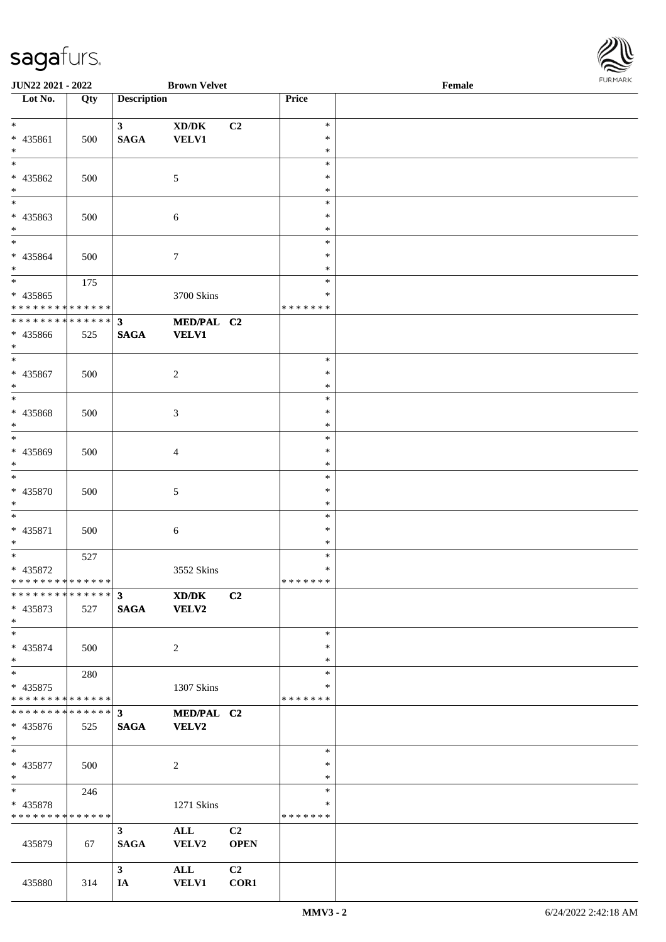

| JUN22 2021 - 2022                |     |                    | <b>Brown Velvet</b>                                          |                |                  | Female | 1.91511111515 |
|----------------------------------|-----|--------------------|--------------------------------------------------------------|----------------|------------------|--------|---------------|
| $\overline{\phantom{1}}$ Lot No. | Qty | <b>Description</b> |                                                              |                | Price            |        |               |
|                                  |     |                    |                                                              |                |                  |        |               |
| $*$                              |     | 3 <sup>7</sup>     | $\boldsymbol{\text{XD}}\boldsymbol{/}\boldsymbol{\text{DK}}$ | C2             | $\ast$           |        |               |
| * 435861                         | 500 | <b>SAGA</b>        | VELV1                                                        |                | $\ast$           |        |               |
| $*$                              |     |                    |                                                              |                | ∗                |        |               |
| $\ast$                           |     |                    |                                                              |                | $\ast$           |        |               |
| * 435862                         | 500 |                    | $\sqrt{5}$                                                   |                | $\ast$           |        |               |
| $*$<br>$*$                       |     |                    |                                                              |                | $\ast$           |        |               |
|                                  |     |                    |                                                              |                | $\ast$           |        |               |
| * 435863<br>$*$                  | 500 |                    | $\sqrt{6}$                                                   |                | ∗<br>$\ast$      |        |               |
| $*$                              |     |                    |                                                              |                | $\ast$           |        |               |
| * 435864                         | 500 |                    |                                                              |                | $\ast$           |        |               |
| $\ast$                           |     |                    | 7                                                            |                | *                |        |               |
|                                  | 175 |                    |                                                              |                | $\ast$           |        |               |
| $* 435865$                       |     |                    | 3700 Skins                                                   |                | $\ast$           |        |               |
| * * * * * * * * * * * * * * *    |     |                    |                                                              |                | * * * * * * *    |        |               |
| * * * * * * * * * * * * * * *    |     | $\mathbf{3}$       | MED/PAL C2                                                   |                |                  |        |               |
| * 435866                         | 525 | <b>SAGA</b>        | <b>VELV1</b>                                                 |                |                  |        |               |
| $*$                              |     |                    |                                                              |                |                  |        |               |
| $*$                              |     |                    |                                                              |                | $\ast$           |        |               |
| * 435867                         | 500 |                    | $\overline{c}$                                               |                | $\ast$           |        |               |
| $*$                              |     |                    |                                                              |                | ∗                |        |               |
| $*$                              |     |                    |                                                              |                | $\ast$           |        |               |
| * 435868                         | 500 |                    | 3                                                            |                | $\ast$           |        |               |
| $*$                              |     |                    |                                                              |                | $\ast$           |        |               |
| $\overline{\phantom{0}}$         |     |                    |                                                              |                | $\ast$           |        |               |
| * 435869                         | 500 |                    | $\overline{4}$                                               |                | ∗                |        |               |
| $*$                              |     |                    |                                                              |                | $\ast$           |        |               |
| $\ast$                           |     |                    |                                                              |                | $\ast$           |        |               |
| * 435870                         | 500 |                    | 5                                                            |                | $\ast$           |        |               |
| $*$                              |     |                    |                                                              |                | $\ast$           |        |               |
| $\ast$                           |     |                    |                                                              |                | $\ast$           |        |               |
| * 435871                         | 500 |                    | 6                                                            |                | $\ast$           |        |               |
| $*$                              |     |                    |                                                              |                | $\ast$           |        |               |
| $*$                              | 527 |                    |                                                              |                | $\ast$           |        |               |
| * 435872                         |     |                    | 3552 Skins                                                   |                | $\ast$           |        |               |
| * * * * * * * * * * * * * * *    |     |                    |                                                              |                | *******          |        |               |
| ************** 3                 |     |                    | $\mathbf{X}\mathbf{D}/\mathbf{D}\mathbf{K}$                  | C2             |                  |        |               |
| * 435873                         | 527 | <b>SAGA</b>        | VELV2                                                        |                |                  |        |               |
| $*$                              |     |                    |                                                              |                |                  |        |               |
| $*$                              |     |                    |                                                              |                | $\ast$           |        |               |
| $* 435874$                       | 500 |                    | 2                                                            |                | $\ast$           |        |               |
| $*$                              |     |                    |                                                              |                | $\ast$           |        |               |
| $*$                              | 280 |                    |                                                              |                | $\ast$           |        |               |
| * 435875                         |     |                    | 1307 Skins                                                   |                | *                |        |               |
| * * * * * * * * * * * * * * *    |     |                    |                                                              |                | * * * * * * *    |        |               |
| * * * * * * * * * * * * * * *    |     | $3^{\circ}$        | MED/PAL C2                                                   |                |                  |        |               |
| * 435876                         | 525 | <b>SAGA</b>        | VELV2                                                        |                |                  |        |               |
| $\ast$                           |     |                    |                                                              |                |                  |        |               |
| $*$                              |     |                    |                                                              |                | $\ast$           |        |               |
| $* 435877$                       | 500 |                    | $\sqrt{2}$                                                   |                | $\ast$<br>$\ast$ |        |               |
| $*$<br>$*$ $*$                   |     |                    |                                                              |                | $\ast$           |        |               |
| * 435878                         | 246 |                    |                                                              |                | ∗                |        |               |
| * * * * * * * * * * * * * *      |     |                    | 1271 Skins                                                   |                | * * * * * * *    |        |               |
|                                  |     | 3 <sup>1</sup>     | ALL                                                          | C2             |                  |        |               |
| 435879                           | 67  | <b>SAGA</b>        | VELV2                                                        | <b>OPEN</b>    |                  |        |               |
|                                  |     |                    |                                                              |                |                  |        |               |
|                                  |     | $\mathbf{3}$       | ALL                                                          | C <sub>2</sub> |                  |        |               |
| 435880                           | 314 | IA                 | <b>VELV1</b>                                                 | COR1           |                  |        |               |
|                                  |     |                    |                                                              |                |                  |        |               |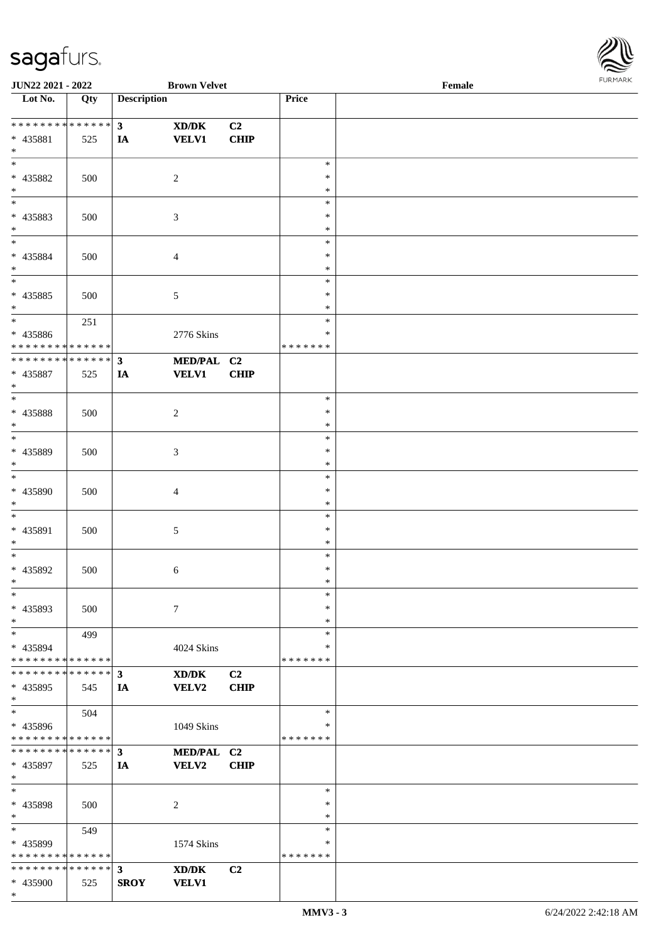

| JUN22 2021 - 2022                       |     |                    | <b>Brown Velvet</b> |             |               | Female |  |
|-----------------------------------------|-----|--------------------|---------------------|-------------|---------------|--------|--|
| Lot No.                                 | Qty | <b>Description</b> |                     |             | Price         |        |  |
|                                         |     |                    |                     |             |               |        |  |
| ******** <mark>******</mark>            |     | $\mathbf{3}$       | XD/DK               | C2          |               |        |  |
| * 435881                                | 525 | IA                 | <b>VELV1</b>        | <b>CHIP</b> |               |        |  |
| $\ast$                                  |     |                    |                     |             |               |        |  |
| $\overline{\ast}$                       |     |                    |                     |             | $\ast$        |        |  |
| * 435882                                | 500 |                    | $\overline{c}$      |             | *             |        |  |
| $\ast$                                  |     |                    |                     |             | ∗             |        |  |
| $\overline{\phantom{a}^*}$              |     |                    |                     |             | $\ast$        |        |  |
| * 435883                                | 500 |                    | $\mathfrak{Z}$      |             | $\ast$        |        |  |
| $\ast$                                  |     |                    |                     |             | $\ast$        |        |  |
| $\overline{\ast}$                       |     |                    |                     |             | $\ast$        |        |  |
| * 435884                                | 500 |                    | $\overline{4}$      |             | $\ast$        |        |  |
| $\ast$                                  |     |                    |                     |             | $\ast$        |        |  |
| $\overline{\phantom{a}^*}$              |     |                    |                     |             | $\ast$        |        |  |
| $* 435885$                              | 500 |                    | $\sqrt{5}$          |             | $\ast$        |        |  |
| $\ast$                                  |     |                    |                     |             | *             |        |  |
| $\overline{\phantom{a}^*}$              |     |                    |                     |             | $\ast$        |        |  |
|                                         | 251 |                    |                     |             | $\ast$        |        |  |
| * 435886<br>* * * * * * * * * * * * * * |     |                    | 2776 Skins          |             | * * * * * * * |        |  |
| ******** <mark>******</mark>            |     |                    |                     |             |               |        |  |
|                                         |     | $\mathbf{3}$       | MED/PAL C2          |             |               |        |  |
| * 435887                                | 525 | IA                 | <b>VELV1</b>        | CHIP        |               |        |  |
| $\ast$                                  |     |                    |                     |             |               |        |  |
| $\ast$                                  |     |                    |                     |             | $\ast$        |        |  |
| * 435888                                | 500 |                    | $\overline{c}$      |             | $\ast$        |        |  |
| $\ast$                                  |     |                    |                     |             | ∗             |        |  |
| $\overline{\ast}$                       |     |                    |                     |             | $\ast$        |        |  |
| * 435889                                | 500 |                    | 3                   |             | $\ast$        |        |  |
| $\ast$                                  |     |                    |                     |             | $\ast$        |        |  |
| $\ast$                                  |     |                    |                     |             | $\ast$        |        |  |
| * 435890                                | 500 |                    | 4                   |             | $\ast$        |        |  |
| $\ast$                                  |     |                    |                     |             | $\ast$        |        |  |
| $\ast$                                  |     |                    |                     |             | $\ast$        |        |  |
| * 435891                                | 500 |                    | $\sqrt{5}$          |             | $\ast$        |        |  |
| $\ast$                                  |     |                    |                     |             | $\ast$        |        |  |
| $\ast$                                  |     |                    |                     |             | $\ast$        |        |  |
| * 435892                                | 500 |                    | 6                   |             | $\ast$        |        |  |
| $*$                                     |     |                    |                     |             | $\ast$        |        |  |
| $\ast$                                  |     |                    |                     |             | $\ast$        |        |  |
| * 435893                                | 500 |                    | $\tau$              |             | ∗             |        |  |
| $\ast$                                  |     |                    |                     |             | $\ast$        |        |  |
| $\ast$                                  | 499 |                    |                     |             | $\ast$        |        |  |
| * 435894                                |     |                    | 4024 Skins          |             | ∗             |        |  |
| * * * * * * * * * * * * * *             |     |                    |                     |             | * * * * * * * |        |  |
| * * * * * * * * * * * * * * *           |     | $\mathbf{3}$       | XD/DK               | C2          |               |        |  |
| * 435895                                | 545 | IA                 | VELV2               | <b>CHIP</b> |               |        |  |
| $*$                                     |     |                    |                     |             |               |        |  |
| $\ast$                                  | 504 |                    |                     |             | $\ast$        |        |  |
| * 435896                                |     |                    | 1049 Skins          |             | ∗             |        |  |
| * * * * * * * * * * * * * *             |     |                    |                     |             | * * * * * * * |        |  |
| * * * * * * * * * * * * * * *           |     | $\mathbf{3}$       | MED/PAL C2          |             |               |        |  |
| * 435897                                |     |                    | VELV2               | <b>CHIP</b> |               |        |  |
| $\ast$                                  | 525 | IA                 |                     |             |               |        |  |
| $\ast$                                  |     |                    |                     |             | $\ast$        |        |  |
|                                         |     |                    |                     |             |               |        |  |
| * 435898                                | 500 |                    | $\overline{c}$      |             | $\ast$        |        |  |
| $\ast$<br>$*$                           |     |                    |                     |             | $\ast$        |        |  |
|                                         | 549 |                    |                     |             | $\ast$        |        |  |
| * 435899                                |     |                    | 1574 Skins          |             | ∗             |        |  |
| * * * * * * * * * * * * * *             |     |                    |                     |             | * * * * * * * |        |  |
| * * * * * * * * * * * * * * *           |     | $\mathbf{3}$       | XD/DK               | C2          |               |        |  |
| * 435900                                | 525 | <b>SROY</b>        | <b>VELV1</b>        |             |               |        |  |
| $\ast$                                  |     |                    |                     |             |               |        |  |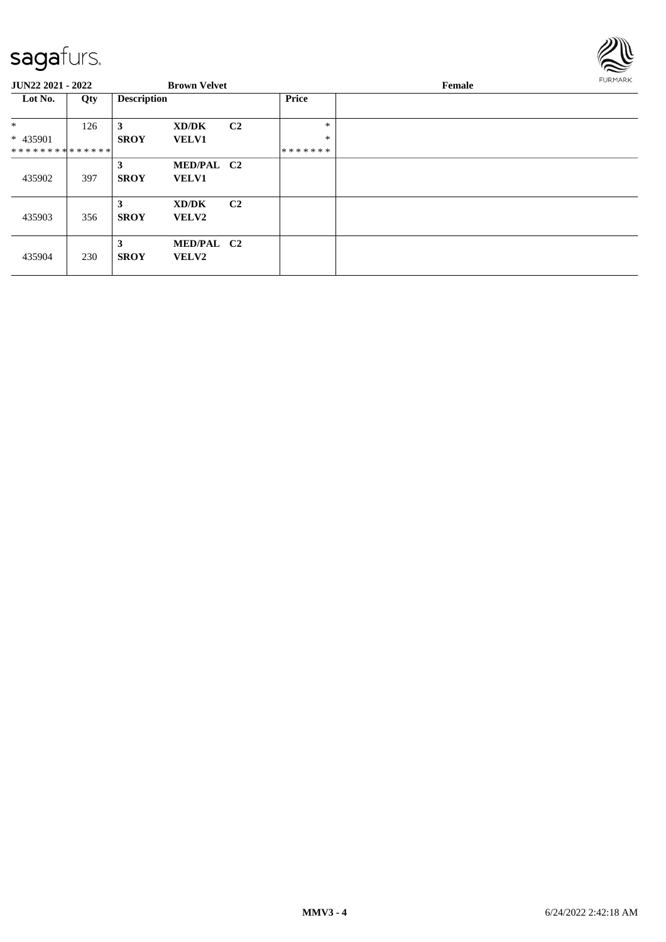

| <b>JUN22 2021 - 2022</b>                            |     |                    | <b>Brown Velvet</b>        |                |                             | Female | FURMARK |
|-----------------------------------------------------|-----|--------------------|----------------------------|----------------|-----------------------------|--------|---------|
| Lot No.                                             | Qty | <b>Description</b> |                            |                | Price                       |        |         |
| $\ast$<br>* 435901<br>* * * * * * * * * * * * * * * | 126 | 3<br><b>SROY</b>   | XD/DK<br><b>VELV1</b>      | C <sub>2</sub> | $\ast$<br>$\ast$<br>******* |        |         |
| 435902                                              | 397 | 3<br><b>SROY</b>   | MED/PAL C2<br><b>VELV1</b> |                |                             |        |         |
| 435903                                              | 356 | 3<br><b>SROY</b>   | XD/DK<br>VELV2             | C <sub>2</sub> |                             |        |         |
| 435904                                              | 230 | 3<br><b>SROY</b>   | MED/PAL C2<br><b>VELV2</b> |                |                             |        |         |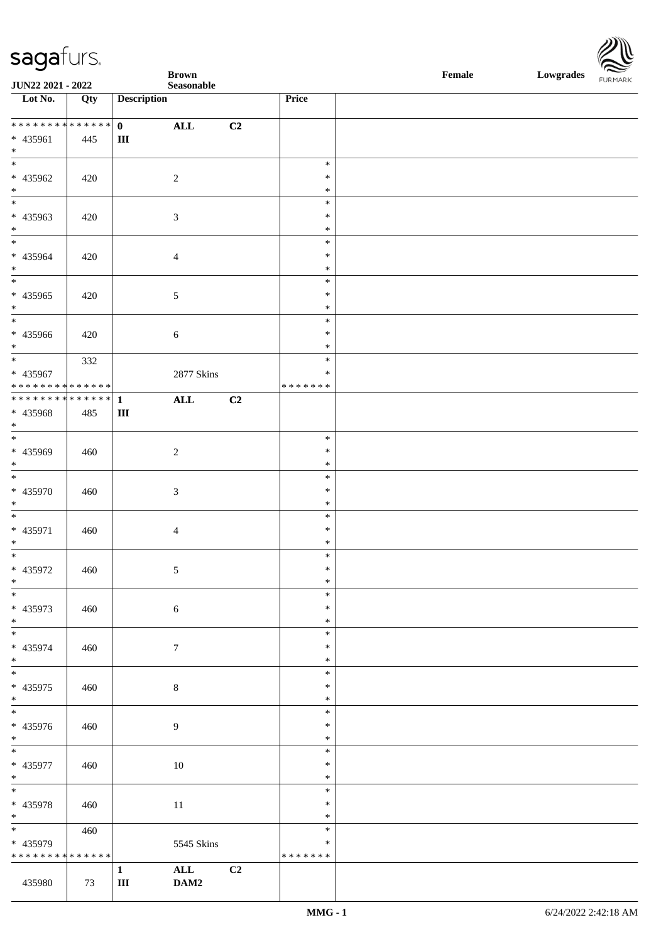| <b>saga</b> furs. |
|-------------------|
|-------------------|



|                                                       |     |                           | <b>Brown</b>     |                |                  | Female<br>Lowgrades FURMARK |  |  |
|-------------------------------------------------------|-----|---------------------------|------------------|----------------|------------------|-----------------------------|--|--|
| JUN22 2021 - 2022<br>$\overline{\phantom{1}}$ Lot No. | Qty | <b>Description</b>        | Seasonable       |                | Price            |                             |  |  |
| ******** <mark>******</mark>                          |     |                           |                  |                |                  |                             |  |  |
| * 435961                                              | 445 | $\mathbf{0}$<br>$\rm III$ | $\mathbf{ALL}$   | C2             |                  |                             |  |  |
| $\ast$                                                |     |                           |                  |                |                  |                             |  |  |
| $_{\ast}^{-}$                                         |     |                           |                  |                | $\ast$           |                             |  |  |
| * 435962                                              | 420 |                           | $\sqrt{2}$       |                | $\ast$           |                             |  |  |
| $\ast$<br>$_{\ast}^{-}$                               |     |                           |                  |                | $\ast$<br>$\ast$ |                             |  |  |
| $* 435963$                                            | 420 |                           | $\mathfrak{Z}$   |                | $\ast$           |                             |  |  |
| $\ast$                                                |     |                           |                  |                | $\ast$           |                             |  |  |
| $\overline{\phantom{a}^*}$                            |     |                           |                  |                | $\ast$           |                             |  |  |
| $* 435964$<br>$\ast$                                  | 420 |                           | $\overline{4}$   |                | $\ast$<br>$\ast$ |                             |  |  |
| $\frac{1}{1}$                                         |     |                           |                  |                | $\ast$           |                             |  |  |
| $* 435965$                                            | 420 |                           | $\sqrt{5}$       |                | $\ast$           |                             |  |  |
| $\ast$<br>$_{*}$                                      |     |                           |                  |                | $\ast$           |                             |  |  |
| * 435966                                              | 420 |                           | 6                |                | $\ast$<br>$\ast$ |                             |  |  |
| $\ast$                                                |     |                           |                  |                | $\ast$           |                             |  |  |
| $\overline{\phantom{a}^*}$                            | 332 |                           |                  |                | $\ast$           |                             |  |  |
| * 435967                                              |     |                           | 2877 Skins       |                | $\ast$           |                             |  |  |
| **************<br>************** 1                    |     |                           | $\mathbf{ALL}$   | C <sub>2</sub> | * * * * * * *    |                             |  |  |
| * 435968                                              | 485 | $\mathbf{III}$            |                  |                |                  |                             |  |  |
| $*$                                                   |     |                           |                  |                |                  |                             |  |  |
| $\overline{\ast}$                                     |     |                           |                  |                | $\ast$           |                             |  |  |
| * 435969<br>$\ast$                                    | 460 |                           | $\sqrt{2}$       |                | $\ast$<br>$\ast$ |                             |  |  |
| $\overline{\phantom{a}^*}$                            |     |                           |                  |                | $\ast$           |                             |  |  |
| * 435970                                              | 460 |                           | $\mathfrak{Z}$   |                | $\ast$           |                             |  |  |
| $\ast$                                                |     |                           |                  |                | $\ast$           |                             |  |  |
| $\overline{\phantom{a}^*}$                            |     |                           |                  |                | $\ast$           |                             |  |  |
| * 435971<br>$\ast$                                    | 460 |                           | $\overline{4}$   |                | $\ast$<br>$\ast$ |                             |  |  |
| $\overline{\phantom{a}^*}$                            |     |                           |                  |                | $\ast$           |                             |  |  |
| * 435972                                              | 460 |                           | 5                |                | $\ast$           |                             |  |  |
| $\ast$<br>$\overline{\phantom{1}}$                    |     |                           |                  |                | $\ast$<br>$\ast$ |                             |  |  |
| * 435973                                              | 460 |                           | $\sqrt{6}$       |                | $\ast$           |                             |  |  |
| $\ast$                                                |     |                           |                  |                | $\ast$           |                             |  |  |
| $\overline{\phantom{a}^*}$                            |     |                           |                  |                | $\ast$           |                             |  |  |
| * 435974<br>$\ast$                                    | 460 |                           | $\boldsymbol{7}$ |                | $\ast$<br>$\ast$ |                             |  |  |
| $\overline{\ast}$                                     |     |                           |                  |                | $\ast$           |                             |  |  |
| * 435975                                              | 460 |                           | $\,8\,$          |                | $\ast$           |                             |  |  |
| $\ast$                                                |     |                           |                  |                | $\ast$           |                             |  |  |
| $\overline{\ast}$                                     |     |                           |                  |                | $\ast$<br>$\ast$ |                             |  |  |
| * 435976<br>$\ast$                                    | 460 |                           | $\overline{9}$   |                | $\ast$           |                             |  |  |
| $\overline{\phantom{a}^*}$                            |     |                           |                  |                | $\ast$           |                             |  |  |
| * 435977                                              | 460 |                           | 10               |                | $\ast$           |                             |  |  |
| $\ast$<br>$\ast$                                      |     |                           |                  |                | $\ast$<br>$\ast$ |                             |  |  |
| * 435978                                              | 460 |                           | 11               |                | $\ast$           |                             |  |  |
| $\ast$                                                |     |                           |                  |                | $\ast$           |                             |  |  |
| $\overline{\ast}$                                     | 460 |                           |                  |                | $\ast$           |                             |  |  |
| * 435979                                              |     |                           | 5545 Skins       |                | $\ast$           |                             |  |  |
| * * * * * * * * * * * * * *                           |     | $\mathbf 1$               | ALL              | C <sub>2</sub> | * * * * * * *    |                             |  |  |
| 435980                                                | 73  | $\rm III$                 | DAM2             |                |                  |                             |  |  |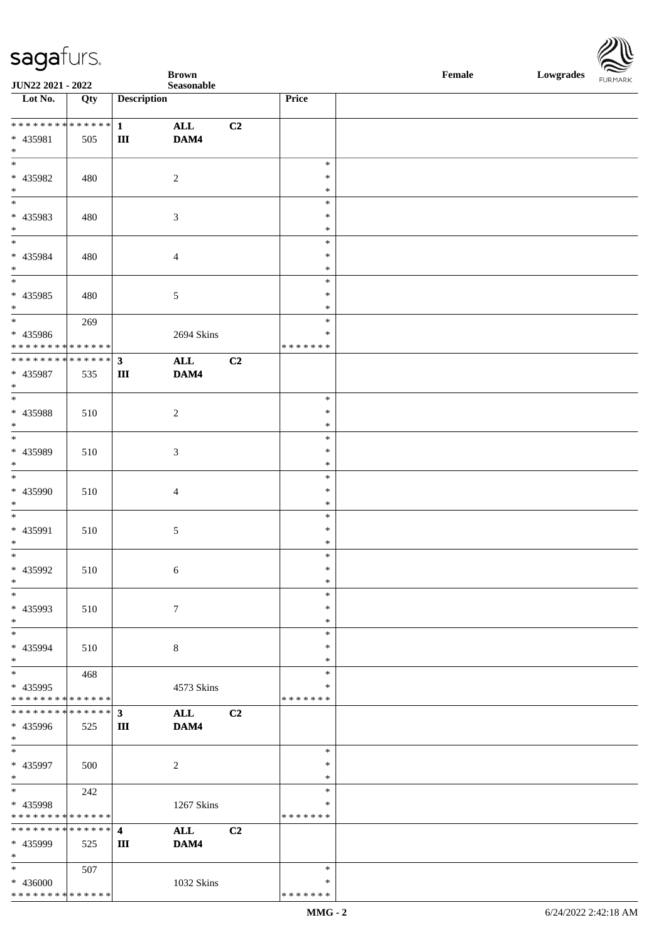\* \* \* \* \* \* \* \* \* \* \* \* \* \* \*

**Brown Female Lowgrades** 



| JUN22 2021 - 2022                                              |     |                                      | Seasonable             |                |                                      | FURMARK |
|----------------------------------------------------------------|-----|--------------------------------------|------------------------|----------------|--------------------------------------|---------|
| Lot No.                                                        | Qty | <b>Description</b>                   |                        |                | Price                                |         |
| ******** <mark>******</mark><br>* 435981<br>$*$                | 505 | $\mathbf{1}$<br>$\rm III$            | $\mathbf{ALL}$<br>DAM4 | C <sub>2</sub> |                                      |         |
| $*$<br>$* 435982$<br>$*$<br>$*$                                | 480 |                                      | $\sqrt{2}$             |                | $\ast$<br>$\ast$<br>$\ast$<br>$\ast$ |         |
| * 435983<br>$*$                                                | 480 |                                      | 3                      |                | $\ast$<br>$\ast$                     |         |
| $*$<br>* 435984<br>$*$                                         | 480 |                                      | $\overline{4}$         |                | $\ast$<br>$\ast$<br>$\ast$           |         |
| $\overline{\phantom{0}}$<br>* 435985<br>$\ast$                 | 480 |                                      | $\sqrt{5}$             |                | $\ast$<br>$\ast$<br>$\ast$           |         |
| * 435986<br>* * * * * * * * * * * * * *                        | 269 |                                      | 2694 Skins             |                | $\ast$<br>$\ast$<br>* * * * * * *    |         |
| ******** <mark>******</mark><br>* 435987<br>$*$                | 535 | $\mathbf{3}$<br>$\rm III$            | $\mathbf{ALL}$<br>DAM4 | C <sub>2</sub> |                                      |         |
| $*$<br>$* 435988$<br>$*$                                       | 510 |                                      | $\boldsymbol{2}$       |                | $\ast$<br>$\ast$<br>$\ast$           |         |
| $*$<br>* 435989<br>$*$                                         | 510 |                                      | 3                      |                | $\ast$<br>$\ast$<br>$\ast$           |         |
| $\ast$<br>* 435990<br>$*$                                      | 510 |                                      | $\overline{4}$         |                | $\ast$<br>$\ast$<br>$\ast$           |         |
| $*$<br>* 435991<br>$*$                                         | 510 |                                      | $\mathfrak{S}$         |                | $\ast$<br>$\ast$<br>$\ast$           |         |
| $*$<br>$* 435992$<br>$\ast$                                    | 510 |                                      | 6                      |                | $\ast$<br>$\ast$<br>∗                |         |
| $\overline{\phantom{0}}$<br>* 435993<br>$*$                    | 510 |                                      | $\boldsymbol{7}$       |                | $\ast$<br>$\ast$<br>$\ast$           |         |
| $\overline{\phantom{0}}$<br>* 435994<br>$*$                    | 510 |                                      | $\,8\,$                |                | $\ast$<br>$\ast$<br>$\ast$           |         |
| $\overline{\ast}$<br>* 435995<br>* * * * * * * * * * * * * * * | 468 |                                      | 4573 Skins             |                | $\ast$<br>$\ast$<br>*******          |         |
| * * * * * * * * * * * * * * *<br>* 435996<br>$*$               | 525 | 3<br>Ш                               | $\mathbf{ALL}$<br>DAM4 | C <sub>2</sub> |                                      |         |
| $*$<br>* 435997<br>$*$                                         | 500 |                                      | $\overline{2}$         |                | $\ast$<br>$\ast$<br>$\ast$           |         |
| $*$<br>* 435998<br>* * * * * * * * * * * * * *                 | 242 |                                      | 1267 Skins             |                | $\ast$<br>$\ast$<br>* * * * * * *    |         |
| * * * * * * * * * * * * * * *<br>* 435999<br>$*$               | 525 | $\overline{\mathbf{4}}$<br>$\rm III$ | $\mathbf{ALL}$<br>DAM4 | C <sub>2</sub> |                                      |         |
| $*$<br>* 436000                                                | 507 |                                      | 1032 Skins             |                | $\ast$<br>$\ast$                     |         |

\* \* \* \* \* \* \*